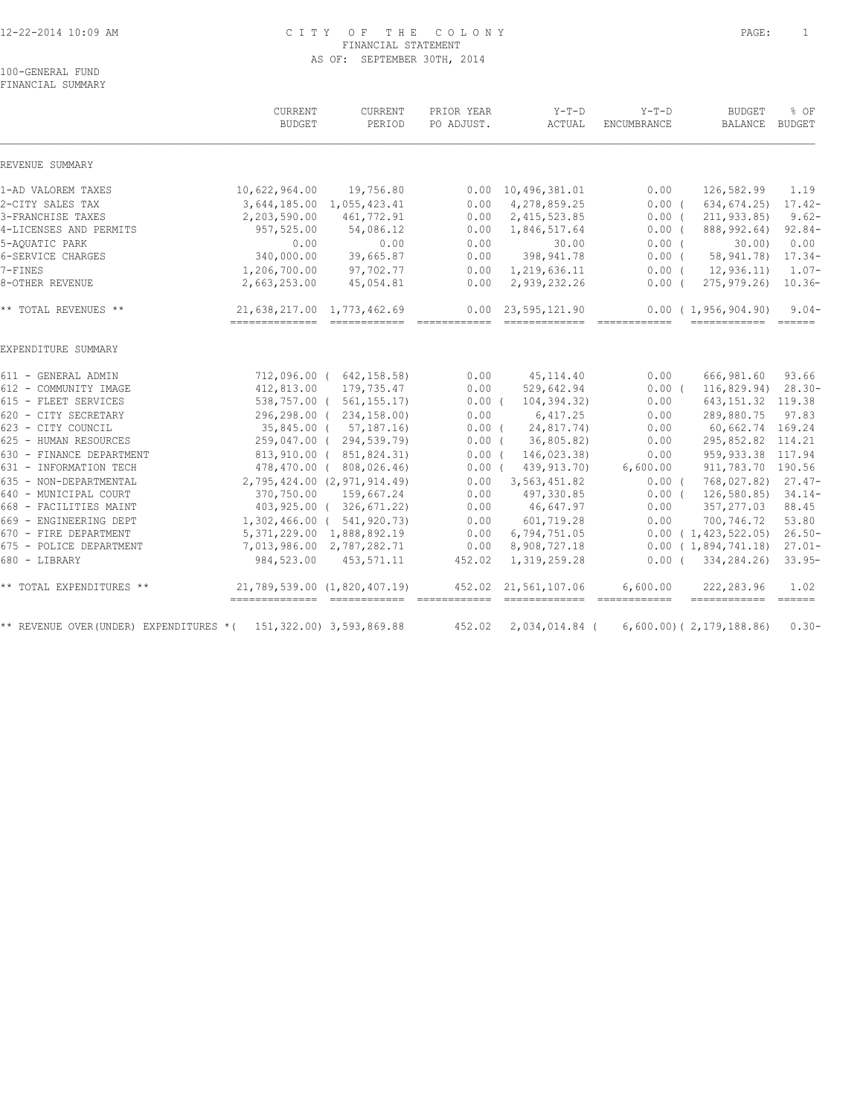## 12-22-2014 10:09 AM C I T Y O F T H E C O L O N Y PAGE: 1 FINANCIAL STATEMENT AS OF: SEPTEMBER 30TH, 2014

100-GENERAL FUND FINANCIAL SUMMARY

|                                        | CURRENT<br><b>BUDGET</b>                                        | CURRENT<br>PERIOD             | PRIOR YEAR<br>PO ADJUST. | $Y-T-D$<br>ACTUAL                                                                                                                                                                                                                                                                                                                                                                                                                                                                                              | $Y-T-D$<br>ENCUMBRANCE                                                                                                                                                                                                                                                                                                                                                                             | <b>BUDGET</b><br>BALANCE BUDGET                                                                                                                                                                                                                                                                                                                                                                                                                                                                                                | % OF      |
|----------------------------------------|-----------------------------------------------------------------|-------------------------------|--------------------------|----------------------------------------------------------------------------------------------------------------------------------------------------------------------------------------------------------------------------------------------------------------------------------------------------------------------------------------------------------------------------------------------------------------------------------------------------------------------------------------------------------------|----------------------------------------------------------------------------------------------------------------------------------------------------------------------------------------------------------------------------------------------------------------------------------------------------------------------------------------------------------------------------------------------------|--------------------------------------------------------------------------------------------------------------------------------------------------------------------------------------------------------------------------------------------------------------------------------------------------------------------------------------------------------------------------------------------------------------------------------------------------------------------------------------------------------------------------------|-----------|
| REVENUE SUMMARY                        |                                                                 |                               |                          |                                                                                                                                                                                                                                                                                                                                                                                                                                                                                                                |                                                                                                                                                                                                                                                                                                                                                                                                    |                                                                                                                                                                                                                                                                                                                                                                                                                                                                                                                                |           |
| 1-AD VALOREM TAXES                     | 10,622,964.00                                                   | 19,756.80                     |                          | $0.00 \quad 10,496,381.01$                                                                                                                                                                                                                                                                                                                                                                                                                                                                                     | 0.00                                                                                                                                                                                                                                                                                                                                                                                               | 126,582.99                                                                                                                                                                                                                                                                                                                                                                                                                                                                                                                     | 1.19      |
| 2-CITY SALES TAX                       |                                                                 | 3,644,185.00 1,055,423.41     | 0.00                     | 4,278,859.25                                                                                                                                                                                                                                                                                                                                                                                                                                                                                                   | 0.00(                                                                                                                                                                                                                                                                                                                                                                                              | 634,674.25)                                                                                                                                                                                                                                                                                                                                                                                                                                                                                                                    | $17.42-$  |
| 3-FRANCHISE TAXES                      | 2,203,590.00                                                    | 461,772.91                    | 0.00                     | 2,415,523.85                                                                                                                                                                                                                                                                                                                                                                                                                                                                                                   | 0.00(                                                                                                                                                                                                                                                                                                                                                                                              | 211,933.85)                                                                                                                                                                                                                                                                                                                                                                                                                                                                                                                    | $9.62 -$  |
| 4-LICENSES AND PERMITS                 | 957,525.00                                                      | 54,086.12                     | 0.00                     | 1,846,517.64                                                                                                                                                                                                                                                                                                                                                                                                                                                                                                   | 0.00(                                                                                                                                                                                                                                                                                                                                                                                              | 888,992.64)                                                                                                                                                                                                                                                                                                                                                                                                                                                                                                                    | $92.84-$  |
| 5-AOUATIC PARK                         | 0.00                                                            | 0.00                          | 0.00                     | 30.00                                                                                                                                                                                                                                                                                                                                                                                                                                                                                                          | $0.00$ (                                                                                                                                                                                                                                                                                                                                                                                           | 30.00                                                                                                                                                                                                                                                                                                                                                                                                                                                                                                                          | 0.00      |
| 6-SERVICE CHARGES                      | 340,000.00                                                      | 39,665.87                     | 0.00                     | 398, 941.78                                                                                                                                                                                                                                                                                                                                                                                                                                                                                                    | $0.00$ (                                                                                                                                                                                                                                                                                                                                                                                           | 58,941.78)                                                                                                                                                                                                                                                                                                                                                                                                                                                                                                                     | $17.34-$  |
| 7-FINES                                | 1,206,700.00                                                    | 97,702.77                     |                          | $0.00 \quad 1,219,636.11$                                                                                                                                                                                                                                                                                                                                                                                                                                                                                      | $0.00$ (                                                                                                                                                                                                                                                                                                                                                                                           | 12,936.11)                                                                                                                                                                                                                                                                                                                                                                                                                                                                                                                     | $1.07-$   |
| 8-OTHER REVENUE                        | 2,663,253.00                                                    | 45,054.81                     | 0.00                     | 2,939,232.26                                                                                                                                                                                                                                                                                                                                                                                                                                                                                                   | $0.00$ (                                                                                                                                                                                                                                                                                                                                                                                           | 275,979.26)                                                                                                                                                                                                                                                                                                                                                                                                                                                                                                                    | $10.36-$  |
| ** TOTAL REVENUES **                   | 21,638,217.00 1,773,462.69                                      |                               |                          | $0.00 \quad 23,595,121.90$                                                                                                                                                                                                                                                                                                                                                                                                                                                                                     |                                                                                                                                                                                                                                                                                                                                                                                                    | 0.00(1,956,904.90)<br>------------- -----                                                                                                                                                                                                                                                                                                                                                                                                                                                                                      | $9.04 -$  |
| EXPENDITURE SUMMARY                    |                                                                 |                               |                          |                                                                                                                                                                                                                                                                                                                                                                                                                                                                                                                |                                                                                                                                                                                                                                                                                                                                                                                                    |                                                                                                                                                                                                                                                                                                                                                                                                                                                                                                                                |           |
| 611 - GENERAL ADMIN                    |                                                                 | 712,096.00 ( 642,158.58)      | 0.00                     | 45, 114.40                                                                                                                                                                                                                                                                                                                                                                                                                                                                                                     | 0.00                                                                                                                                                                                                                                                                                                                                                                                               | 666,981.60                                                                                                                                                                                                                                                                                                                                                                                                                                                                                                                     | 93.66     |
| 612 - COMMUNITY IMAGE                  |                                                                 | 412,813.00 179,735.47         | 0.00                     | 529,642.94                                                                                                                                                                                                                                                                                                                                                                                                                                                                                                     | 0.00(                                                                                                                                                                                                                                                                                                                                                                                              | 116,829.94) 28.30-                                                                                                                                                                                                                                                                                                                                                                                                                                                                                                             |           |
| 615 - FLEET SERVICES                   |                                                                 | 538,757.00 ( 561,155.17)      | $0.00$ (                 | 104,394.32)                                                                                                                                                                                                                                                                                                                                                                                                                                                                                                    | 0.00                                                                                                                                                                                                                                                                                                                                                                                               | 643, 151.32 119.38                                                                                                                                                                                                                                                                                                                                                                                                                                                                                                             |           |
| 620 - CITY SECRETARY                   |                                                                 | 296,298.00 ( 234,158.00)      | 0.00                     | 6,417.25                                                                                                                                                                                                                                                                                                                                                                                                                                                                                                       | 0.00                                                                                                                                                                                                                                                                                                                                                                                               | 289,880.75                                                                                                                                                                                                                                                                                                                                                                                                                                                                                                                     | 97.83     |
| 623 - CITY COUNCIL                     |                                                                 | 35,845.00 ( 57,187.16)        | $0.00$ (                 | 24,817.74)                                                                                                                                                                                                                                                                                                                                                                                                                                                                                                     | 0.00                                                                                                                                                                                                                                                                                                                                                                                               | 60,662.74 169.24                                                                                                                                                                                                                                                                                                                                                                                                                                                                                                               |           |
| 625 - HUMAN RESOURCES                  |                                                                 | 259,047.00 ( 294,539.79)      | $0.00$ (                 | 36,805.82)                                                                                                                                                                                                                                                                                                                                                                                                                                                                                                     | 0.00                                                                                                                                                                                                                                                                                                                                                                                               | 295,852.82 114.21                                                                                                                                                                                                                                                                                                                                                                                                                                                                                                              |           |
| 630 - FINANCE DEPARTMENT               |                                                                 | 813,910.00 ( 851,824.31)      | $0.00$ (                 | 146,023.38)                                                                                                                                                                                                                                                                                                                                                                                                                                                                                                    | 0.00                                                                                                                                                                                                                                                                                                                                                                                               | 959,933.38 117.94                                                                                                                                                                                                                                                                                                                                                                                                                                                                                                              |           |
| 631 - INFORMATION TECH                 |                                                                 | 478,470.00 (808,026.46)       | $0.00$ (                 | 439, 913. 70)                                                                                                                                                                                                                                                                                                                                                                                                                                                                                                  | 6,600.00                                                                                                                                                                                                                                                                                                                                                                                           | 911,783.70 190.56                                                                                                                                                                                                                                                                                                                                                                                                                                                                                                              |           |
| 635 - NON-DEPARTMENTAL                 |                                                                 | 2,795,424.00 (2,971,914.49)   | 0.00                     | 3,563,451.82                                                                                                                                                                                                                                                                                                                                                                                                                                                                                                   | $0.00$ (                                                                                                                                                                                                                                                                                                                                                                                           | 768,027.82) 27.47-                                                                                                                                                                                                                                                                                                                                                                                                                                                                                                             |           |
| 640 - MUNICIPAL COURT                  |                                                                 | 370,750.00 159,667.24         | 0.00                     | 497,330.85                                                                                                                                                                                                                                                                                                                                                                                                                                                                                                     | 0.00(                                                                                                                                                                                                                                                                                                                                                                                              | 126,580.85)                                                                                                                                                                                                                                                                                                                                                                                                                                                                                                                    | $34.14-$  |
| 668 - FACILITIES MAINT                 |                                                                 | 403,925.00 (326,671.22)       | 0.00                     | 46,647.97                                                                                                                                                                                                                                                                                                                                                                                                                                                                                                      | 0.00                                                                                                                                                                                                                                                                                                                                                                                               | 357,277.03                                                                                                                                                                                                                                                                                                                                                                                                                                                                                                                     | 88.45     |
| 669 - ENGINEERING DEPT                 |                                                                 | 1,302,466.00 ( 541,920.73)    | 0.00                     | 601,719.28                                                                                                                                                                                                                                                                                                                                                                                                                                                                                                     | 0.00                                                                                                                                                                                                                                                                                                                                                                                               | 700,746.72                                                                                                                                                                                                                                                                                                                                                                                                                                                                                                                     | 53.80     |
| 670 - FIRE DEPARTMENT                  |                                                                 | 5, 371, 229.00 1, 888, 892.19 | 0.00                     | 6,794,751.05                                                                                                                                                                                                                                                                                                                                                                                                                                                                                                   |                                                                                                                                                                                                                                                                                                                                                                                                    | 0.00(1,423,522.05)                                                                                                                                                                                                                                                                                                                                                                                                                                                                                                             | $26.50 -$ |
| 675 - POLICE DEPARTMENT                |                                                                 | 7,013,986.00 2,787,282.71     | 0.00                     | 8,908,727.18                                                                                                                                                                                                                                                                                                                                                                                                                                                                                                   |                                                                                                                                                                                                                                                                                                                                                                                                    | 0.00(1,894,741.18)                                                                                                                                                                                                                                                                                                                                                                                                                                                                                                             | $27.01 -$ |
| 680 - LIBRARY                          | 984,523.00                                                      | 453,571.11                    | 452.02                   | 1,319,259.28                                                                                                                                                                                                                                                                                                                                                                                                                                                                                                   |                                                                                                                                                                                                                                                                                                                                                                                                    | 0.00(334,284,26)                                                                                                                                                                                                                                                                                                                                                                                                                                                                                                               | $33.95-$  |
| ** TOTAL EXPENDITURES **               | 21,789,539.00 (1,820,407.19)<br>=============================== |                               | ============             | 452.02 21,561,107.06<br>$\begin{array}{cccccccccc} \multicolumn{2}{c}{} & \multicolumn{2}{c}{} & \multicolumn{2}{c}{} & \multicolumn{2}{c}{} & \multicolumn{2}{c}{} & \multicolumn{2}{c}{} & \multicolumn{2}{c}{} & \multicolumn{2}{c}{} & \multicolumn{2}{c}{} & \multicolumn{2}{c}{} & \multicolumn{2}{c}{} & \multicolumn{2}{c}{} & \multicolumn{2}{c}{} & \multicolumn{2}{c}{} & \multicolumn{2}{c}{} & \multicolumn{2}{c}{} & \multicolumn{2}{c}{} & \multicolumn{2}{c}{} & \multicolumn{2}{c}{} & \mult$ | 6,600.00<br>$\qquad \qquad \overline{\qquad \qquad }==-\frac{1}{2}=-\frac{1}{2}=-\frac{1}{2}=-\frac{1}{2}=-\frac{1}{2}=-\frac{1}{2}=-\frac{1}{2}=-\frac{1}{2}=-\frac{1}{2}=-\frac{1}{2}=-\frac{1}{2}=-\frac{1}{2}=-\frac{1}{2}=-\frac{1}{2}=-\frac{1}{2}=-\frac{1}{2}=-\frac{1}{2}=-\frac{1}{2}=-\frac{1}{2}=-\frac{1}{2}=-\frac{1}{2}=-\frac{1}{2}=-\frac{1}{2}=-\frac{1}{2}=-\frac{1}{2}=-\frac$ | 222,283.96<br>$\begin{tabular}{lllllllllll} \multicolumn{2}{l}{{\color{red}\textbf{m}}} & \multicolumn{2}{l}{\color{blue}\textbf{m}} & \multicolumn{2}{l}{\color{blue}\textbf{m}} & \multicolumn{2}{l}{\color{blue}\textbf{m}} & \multicolumn{2}{l}{\color{blue}\textbf{m}} & \multicolumn{2}{l}{\color{blue}\textbf{m}} & \multicolumn{2}{l}{\color{blue}\textbf{m}} & \multicolumn{2}{l}{\color{blue}\textbf{m}} & \multicolumn{2}{l}{\color{blue}\textbf{m}} & \multicolumn{2}{l}{\color{blue}\textbf{m}} & \multicolumn{2$ | 1.02      |
| ** REVENUE OVER(UNDER) EXPENDITURES *( |                                                                 | 151, 322.00) 3, 593, 869.88   | 452.02                   | 2,034,014.84 (                                                                                                                                                                                                                                                                                                                                                                                                                                                                                                 |                                                                                                                                                                                                                                                                                                                                                                                                    | $6,600.00)$ ( $2,179,188.86$ )                                                                                                                                                                                                                                                                                                                                                                                                                                                                                                 | $0.30 -$  |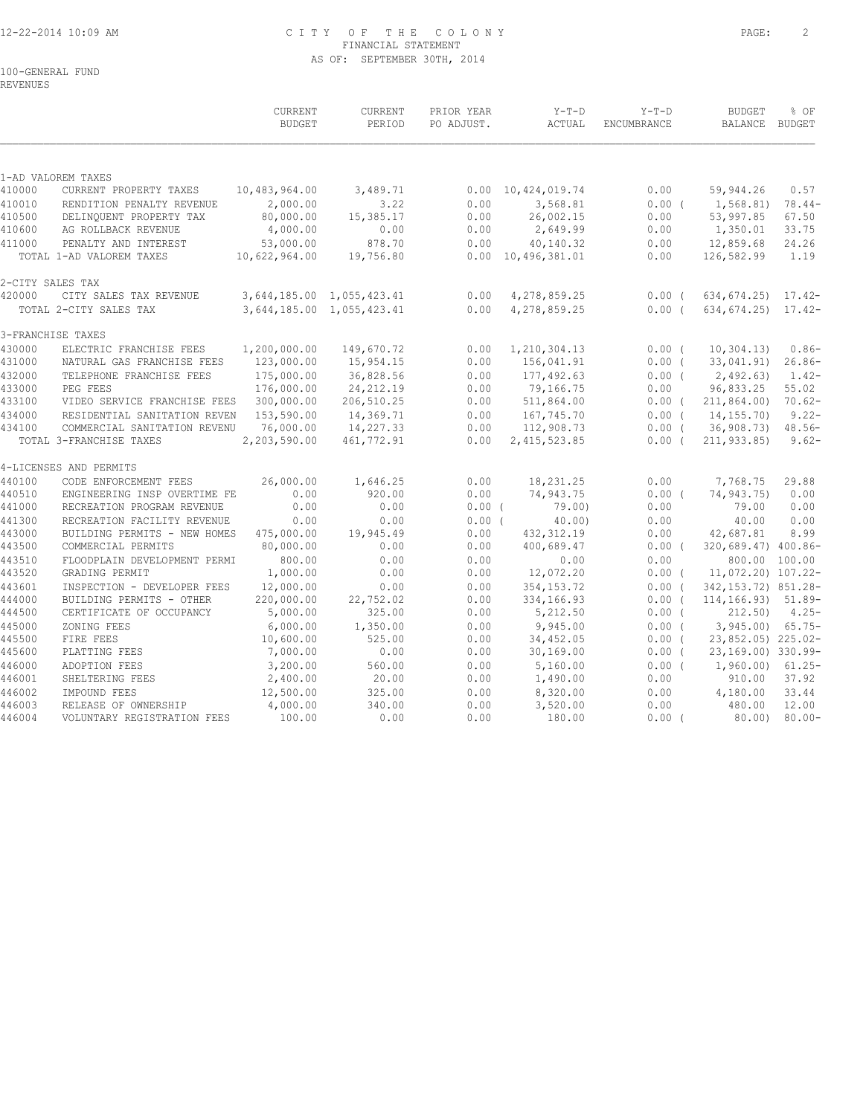## 12-22-2014 10:09 AM C I T Y O F T H E C O L O N Y PAGE: 2 FINANCIAL STATEMENT AS OF: SEPTEMBER 30TH, 2014

100-GENERAL FUND

REVENUES

|                  |                                                         | <b>CURRENT</b><br><b>BUDGET</b> | CURRENT<br>PERIOD         | PRIOR YEAR<br>PO ADJUST. | $Y-T-D$<br>ACTUAL               | $Y-T-D$<br>ENCUMBRANCE | <b>BUDGET</b><br>BALANCE BUDGET | % OF                 |
|------------------|---------------------------------------------------------|---------------------------------|---------------------------|--------------------------|---------------------------------|------------------------|---------------------------------|----------------------|
|                  |                                                         |                                 |                           |                          |                                 |                        |                                 |                      |
|                  | 1-AD VALOREM TAXES                                      |                                 |                           |                          |                                 |                        |                                 |                      |
| 410000           | CURRENT PROPERTY TAXES                                  | 10,483,964.00                   | 3,489.71                  | 0.00                     | 10,424,019.74                   | 0.00                   | 59,944.26                       | 0.57                 |
| 410010           | RENDITION PENALTY REVENUE                               | 2,000.00                        | 3.22                      | 0.00                     | 3,568.81                        | 0.00(                  | 1,568.81)                       | $78.44-$             |
| 410500<br>410600 | DELINQUENT PROPERTY TAX<br>AG ROLLBACK REVENUE          | 80,000.00<br>4,000.00           | 15,385.17<br>0.00         | 0.00<br>0.00             | 26,002.15<br>2,649.99           | 0.00<br>0.00           | 53,997.85<br>1,350.01           | 67.50<br>33.75       |
|                  |                                                         | 53,000.00                       | 878.70                    | 0.00                     |                                 | 0.00                   | 12,859.68                       | 24.26                |
| 411000           | PENALTY AND INTEREST<br>TOTAL 1-AD VALOREM TAXES        | 10,622,964.00                   | 19,756.80                 |                          | 40,140.32<br>0.00 10,496,381.01 | 0.00                   | 126,582.99                      | 1.19                 |
| 2-CITY SALES TAX |                                                         |                                 |                           |                          |                                 |                        |                                 |                      |
| 420000           | CITY SALES TAX REVENUE                                  |                                 | 3,644,185.00 1,055,423.41 | 0.00                     | 4,278,859.25                    | $0.00$ (               | $634, 674.25$ 17.42-            |                      |
|                  | TOTAL 2-CITY SALES TAX                                  |                                 | 3,644,185.00 1,055,423.41 | 0.00                     | 4,278,859.25                    | $0.00$ (               | 634,674.25) 17.42-              |                      |
|                  | 3-FRANCHISE TAXES                                       |                                 |                           |                          |                                 |                        |                                 |                      |
| 430000           | ELECTRIC FRANCHISE FEES                                 | 1,200,000.00                    | 149,670.72                | 0.00                     | 1,210,304.13                    | 0.00(                  | 10, 304.13)                     | $0.86-$              |
| 431000           | NATURAL GAS FRANCHISE FEES                              | 123,000.00                      | 15,954.15                 | 0.00                     | 156,041.91                      | $0.00$ (               | 33,041.91)                      | $26.86-$             |
| 432000           | TELEPHONE FRANCHISE FEES                                | 175,000.00                      | 36,828.56                 | 0.00                     | 177,492.63                      | $0.00$ (               | 2,492.63)                       | $1.42-$              |
| 433000           | PEG FEES                                                | 176,000.00                      | 24, 212.19                | 0.00                     | 79,166.75                       | 0.00                   | 96,833.25                       | 55.02                |
| 433100           | VIDEO SERVICE FRANCHISE FEES                            | 300,000.00                      | 206,510.25                | 0.00                     | 511,864.00                      | $0.00$ (               | 211, 864.00                     | $70.62-$             |
| 434000           | RESIDENTIAL SANITATION REVEN                            | 153,590.00                      | 14,369.71                 | 0.00                     | 167,745.70                      | 0.00(                  | 14,155.70)                      | $9.22 -$             |
| 434100           | COMMERCIAL SANITATION REVENU<br>TOTAL 3-FRANCHISE TAXES | 76,000.00<br>2,203,590.00       | 14,227.33<br>461,772.91   | 0.00<br>0.00             | 112,908.73<br>2, 415, 523.85    | $0.00$ (<br>$0.00$ (   | 36,908.73)<br>211,933.85)       | $48.56-$<br>$9.62 -$ |
|                  | 4-LICENSES AND PERMITS                                  |                                 |                           |                          |                                 |                        |                                 |                      |
| 440100           | CODE ENFORCEMENT FEES                                   | 26,000.00                       | 1,646.25                  | 0.00                     | 18,231.25                       | 0.00                   | 7,768.75                        | 29.88                |
| 440510           | ENGINEERING INSP OVERTIME FE                            | 0.00                            | 920.00                    | 0.00                     | 74,943.75                       | 0.00(                  | 74,943.75)                      | 0.00                 |
| 441000           | RECREATION PROGRAM REVENUE                              | 0.00                            | 0.00                      | $0.00$ (                 | 79.00)                          | 0.00                   | 79.00                           | 0.00                 |
| 441300           | RECREATION FACILITY REVENUE                             | 0.00                            | 0.00                      | 0.00(                    | 40.00                           | 0.00                   | 40.00                           | 0.00                 |
| 443000           | BUILDING PERMITS - NEW HOMES                            | 475,000.00                      | 19,945.49                 | 0.00                     | 432, 312.19                     | 0.00                   | 42,687.81                       | 8.99                 |
| 443500           | COMMERCIAL PERMITS                                      | 80,000.00                       | 0.00                      | 0.00                     | 400,689.47                      | $0.00$ (               | 320,689.47) 400.86-             |                      |
| 443510           | FLOODPLAIN DEVELOPMENT PERMI                            | 800.00                          | 0.00                      | 0.00                     | 0.00                            | 0.00                   |                                 | 800.00 100.00        |
| 443520           | GRADING PERMIT                                          | 1,000.00                        | 0.00                      | 0.00                     | 12,072.20                       | $0.00$ (               | 11,072.20) 107.22-              |                      |
| 443601           | INSPECTION - DEVELOPER FEES                             | 12,000.00                       | 0.00                      | 0.00                     | 354, 153. 72                    | 0.00(                  | 342, 153. 72) 851. 28-          |                      |
| 444000           | BUILDING PERMITS - OTHER                                | 220,000.00                      | 22,752.02                 | 0.00                     | 334,166.93                      | $0.00$ (               | 114, 166. 93) 51.89-            |                      |
| 444500           | CERTIFICATE OF OCCUPANCY                                | 5,000.00                        | 325.00                    | 0.00                     | 5,212.50                        | $0.00$ (               | 212.50                          | $4.25 -$             |
| 445000           | ZONING FEES                                             | 6,000.00                        | 1,350.00                  | 0.00                     | 9,945.00                        | $0.00$ (               | $3,945.00$ 65.75-               |                      |
| 445500           | FIRE FEES                                               | 10,600.00                       | 525.00                    | 0.00                     | 34,452.05                       | $0.00$ (               | 23,852.05) 225.02-              |                      |
| 445600           | PLATTING FEES                                           | 7,000.00                        | 0.00                      | 0.00                     | 30, 169.00                      | $0.00$ (               | 23,169.00) 330.99-              |                      |
| 446000           | ADOPTION FEES                                           | 3,200.00                        | 560.00                    | 0.00                     | 5,160.00                        | $0.00$ (               | 1,960.00)                       | $61.25 -$            |
| 446001           | SHELTERING FEES                                         | 2,400.00                        | 20.00                     | 0.00                     | 1,490.00                        | 0.00                   | 910.00                          | 37.92                |
| 446002           | IMPOUND FEES                                            | 12,500.00                       | 325.00                    | 0.00                     | 8,320.00                        | 0.00                   | 4,180.00                        | 33.44                |
| 446003           | RELEASE OF OWNERSHIP                                    | 4,000.00                        | 340.00                    | 0.00                     | 3,520.00                        | 0.00                   | 480.00                          | 12.00                |
| 446004           | VOLUNTARY REGISTRATION FEES                             | 100.00                          | 0.00                      | 0.00                     | 180.00                          | $0.00$ (               | $80.00$ )                       | $80.00 -$            |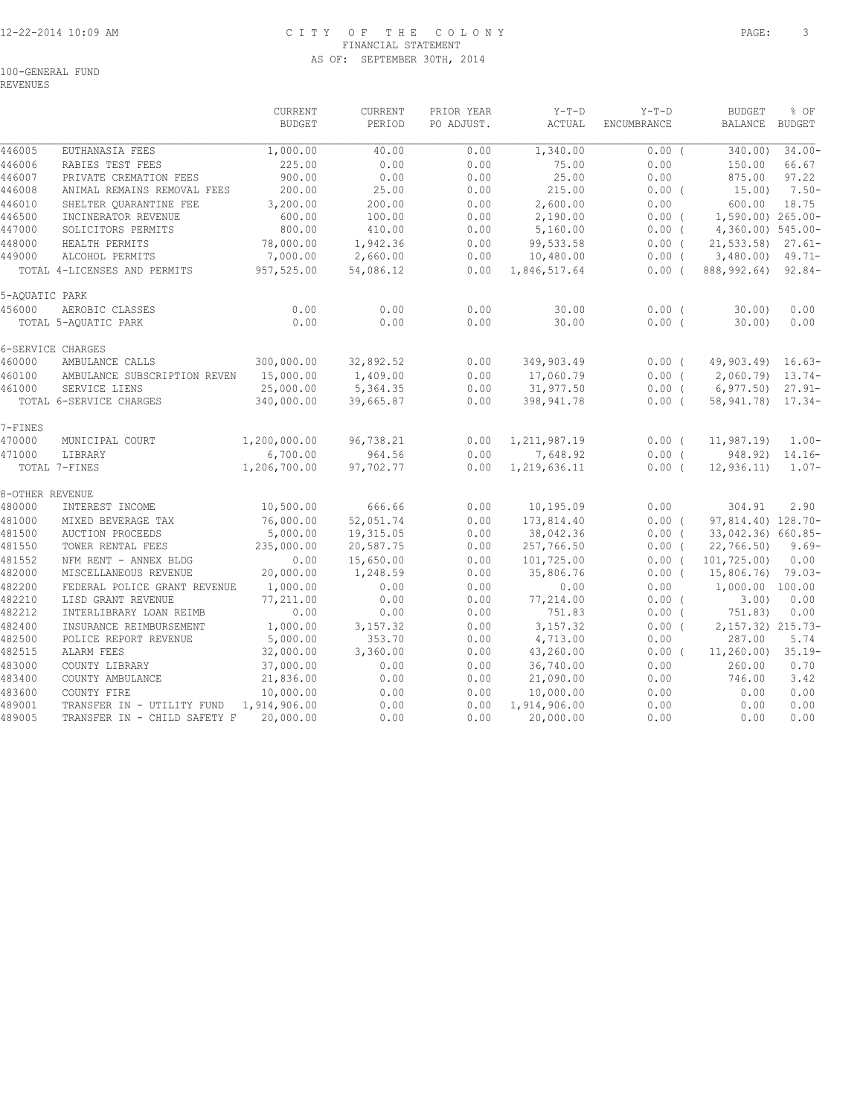# 12-22-2014 10:09 AM C I T Y O F T H E C O L O N Y PAGE: 3 FINANCIAL STATEMENT AS OF: SEPTEMBER 30TH, 2014

REVENUES

|                  |                                                            | CURRENT<br><b>BUDGET</b> | CURRENT<br>PERIOD  | PRIOR YEAR<br>PO ADJUST. | $Y-T-D$<br>ACTUAL      | $Y-T-D$<br>ENCUMBRANCE | <b>BUDGET</b><br>BALANCE | % OF<br><b>BUDGET</b> |
|------------------|------------------------------------------------------------|--------------------------|--------------------|--------------------------|------------------------|------------------------|--------------------------|-----------------------|
| 446005           | EUTHANASIA FEES                                            | 1,000.00                 | 40.00              | 0.00                     | 1,340.00               | $0.00$ (               | 340.00)                  | $34.00 -$             |
| 446006           | RABIES TEST FEES                                           | 225.00                   | 0.00               | 0.00                     | 75.00                  | 0.00                   | 150.00                   | 66.67                 |
| 446007           | PRIVATE CREMATION FEES                                     | 900.00                   | 0.00               | 0.00                     | 25.00                  | 0.00                   | 875.00                   | 97.22                 |
| 446008           | ANIMAL REMAINS REMOVAL FEES                                | 200.00                   | 25.00              | 0.00                     | 215.00                 | $0.00$ (               | 15.00)                   | $7.50 -$              |
| 446010           | SHELTER QUARANTINE FEE                                     | 3,200.00                 | 200.00             | 0.00                     | 2,600.00               | 0.00                   | 600.00                   | 18.75                 |
| 446500           | INCINERATOR REVENUE                                        | 600.00                   | 100.00             | 0.00                     | 2,190.00               | $0.00$ (               | 1,590.00) 265.00-        |                       |
| 447000           | SOLICITORS PERMITS                                         | 800.00                   | 410.00             | 0.00                     | 5,160.00               | 0.00(                  | 4,360.00) 545.00-        |                       |
| 448000           | HEALTH PERMITS                                             | 78,000.00                | 1,942.36           | 0.00                     | 99,533.58              | 0.00(                  | $21, 533.58$ $27.61$ -   |                       |
| 449000           | ALCOHOL PERMITS                                            | 7,000.00                 | 2,660.00           | 0.00                     | 10,480.00              | $0.00$ (               | $3,480.00$ $49.71-$      |                       |
|                  | TOTAL 4-LICENSES AND PERMITS                               | 957,525.00               | 54,086.12          | 0.00                     | 1,846,517.64           | $0.00$ (               | 888,992.64)              | $92.84-$              |
| 5-AQUATIC PARK   |                                                            |                          |                    |                          |                        |                        |                          |                       |
| 456000           | AEROBIC CLASSES                                            | 0.00                     | 0.00               | 0.00                     | 30.00                  | $0.00$ (               | 30.00                    | 0.00                  |
|                  | TOTAL 5-AQUATIC PARK                                       | 0.00                     | 0.00               | 0.00                     | 30.00                  | 0.00(                  | $30.00$ )                | 0.00                  |
|                  | 6-SERVICE CHARGES                                          |                          |                    |                          |                        |                        |                          |                       |
| 460000           | AMBULANCE CALLS                                            | 300,000.00               | 32,892.52          | 0.00                     | 349,903.49             | 0.00(                  | 49,903.49) 16.63-        |                       |
| 460100           | AMBULANCE SUBSCRIPTION REVEN                               | 15,000.00                | 1,409.00           | 0.00                     | 17,060.79              | 0.00(                  | $2,060.79$ 13.74-        |                       |
| 461000           | SERVICE LIENS                                              | 25,000.00                | 5,364.35           | 0.00                     | 31,977.50              | $0.00$ (               | 6,977.50                 | $27.91 -$             |
|                  | TOTAL 6-SERVICE CHARGES                                    | 340,000.00               | 39,665.87          | 0.00                     | 398,941.78             | $0.00$ (               | 58, 941. 78) 17. 34-     |                       |
| 7-FINES          |                                                            |                          |                    |                          |                        |                        |                          |                       |
| 470000           | MUNICIPAL COURT                                            | 1,200,000.00             | 96,738.21          | 0.00                     | 1, 211, 987.19         | 0.00(                  | 11, 987.19               | $1.00 -$              |
| 471000           | LIBRARY                                                    | 6,700.00                 | 964.56             | 0.00                     | 7,648.92               | $0.00$ (               | 948.92)                  | $14.16-$              |
|                  | TOTAL 7-FINES                                              | 1,206,700.00             | 97,702.77          | 0.00                     | 1,219,636.11           | $0.00$ (               | 12,936.11)               | $1.07-$               |
| 8-OTHER REVENUE  |                                                            |                          |                    |                          |                        |                        |                          |                       |
| 480000           | INTEREST INCOME                                            | 10,500.00                | 666.66             | 0.00                     | 10,195.09              | 0.00                   | 304.91                   | 2.90                  |
| 481000           | MIXED BEVERAGE TAX                                         | 76,000.00                | 52,051.74          | 0.00                     | 173,814.40             | 0.00(                  | 97,814.40) 128.70-       |                       |
| 481500           | AUCTION PROCEEDS                                           | 5,000.00                 | 19,315.05          | 0.00                     | 38,042.36              | $0.00$ (               | 33,042.36) 660.85-       |                       |
| 481550           | TOWER RENTAL FEES                                          | 235,000.00               | 20,587.75          | 0.00                     | 257,766.50             | $0.00$ (               | 22,766.50                | $9.69 -$              |
| 481552           | NFM RENT - ANNEX BLDG<br>MISCELLANEOUS REVENUE             | 0.00                     | 15,650.00          | 0.00                     | 101,725.00             | $0.00$ (               | 101, 725, 00)            | 0.00                  |
| 482000           |                                                            | 20,000.00                | 1,248.59           | 0.00                     | 35,806.76              | $0.00$ (               | 15,806.76)               | $79.03-$              |
| 482200           | FEDERAL POLICE GRANT REVENUE                               | 1,000.00                 | 0.00               | 0.00                     | 0.00                   | 0.00                   | 1,000.00 100.00          |                       |
| 482210           | LISD GRANT REVENUE<br>INTERLIBRARY LOAN REIMB              | 77,211.00<br>0.00        | 0.00               | 0.00                     | 77,214.00<br>751.83    | $0.00$ (               | 3.00                     | 0.00<br>0.00          |
| 482212           |                                                            |                          | 0.00               | 0.00                     |                        | $0.00$ (               | 751.83)                  |                       |
| 482400           | INSURANCE REIMBURSEMENT                                    | 1,000.00                 | 3,157.32           | 0.00                     | 3,157.32               | 0.00(                  | 2, 157.32) 215.73-       |                       |
| 482500<br>482515 | POLICE REPORT REVENUE                                      | 5,000.00<br>32,000.00    | 353.70<br>3,360.00 | 0.00<br>0.00             | 4,713.00<br>43,260.00  | 0.00                   | 287.00<br>11, 260.00     | 5.74<br>$35.19-$      |
| 483000           | ALARM FEES                                                 |                          |                    |                          |                        | $0.00$ (               |                          |                       |
| 483400           | COUNTY LIBRARY<br>COUNTY AMBULANCE                         | 37,000.00<br>21,836.00   | 0.00<br>0.00       | 0.00<br>0.00             | 36,740.00<br>21,090.00 | 0.00<br>0.00           | 260.00<br>746.00         | 0.70<br>3.42          |
| 483600           | COUNTY FIRE                                                | 10,000.00                | 0.00               | 0.00                     | 10,000.00              | 0.00                   | 0.00                     | 0.00                  |
| 489001           |                                                            | 1,914,906.00             | 0.00               | 0.00                     | 1,914,906.00           | 0.00                   | 0.00                     | 0.00                  |
| 489005           | TRANSFER IN - UTILITY FUND<br>TRANSFER IN - CHILD SAFETY F | 20,000.00                | 0.00               | 0.00                     | 20,000.00              | 0.00                   | 0.00                     | 0.00                  |
|                  |                                                            |                          |                    |                          |                        |                        |                          |                       |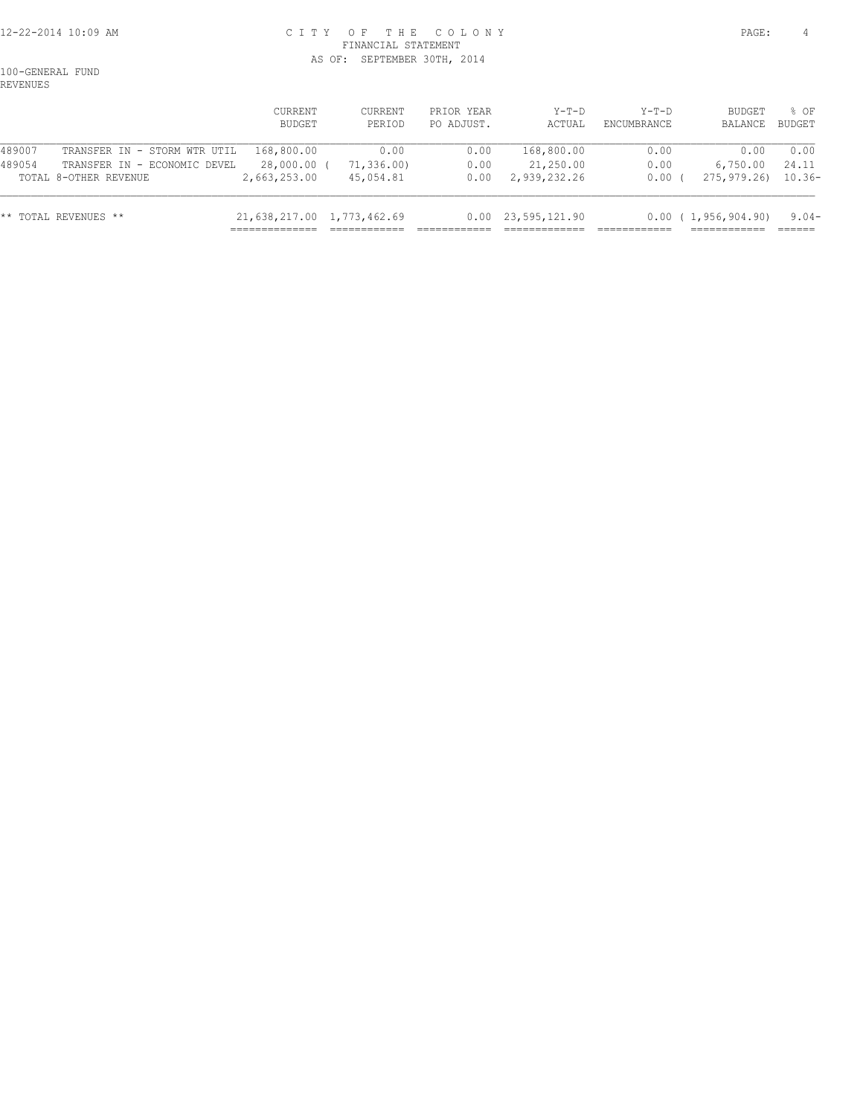## 12-22-2014 10:09 AM C I T Y O F T H E C O L O N Y PAGE: 4 FINANCIAL STATEMENT AS OF: SEPTEMBER 30TH, 2014

100-GENERAL FUND REVENUES

|        |                                                       | CURRENT<br>BUDGET           | CURRENT<br>PERIOD       | PRIOR YEAR<br>PO ADJUST. | $Y-T-D$<br>ACTUAL         | $Y-T-D$<br>ENCUMBRANCE | BUDGET<br>BALANCE        | 8 OF<br>BUDGET  |
|--------|-------------------------------------------------------|-----------------------------|-------------------------|--------------------------|---------------------------|------------------------|--------------------------|-----------------|
| 489007 | TRANSFER IN - STORM WTR UTIL                          | 168,800.00                  | 0.00                    | 0.00                     | 168,800.00                | 0.00                   | 0.00                     | 0.00            |
| 489054 | TRANSFER IN - ECONOMIC DEVEL<br>TOTAL 8-OTHER REVENUE | 28,000.00 (<br>2,663,253.00 | 71,336.00)<br>45,054.81 | 0.00<br>0.00             | 21,250.00<br>2,939,232.26 | 0.00<br>0.00(          | 6,750.00<br>275, 979, 26 | 24.11<br>10.36- |
|        | ** TOTAL REVENUES **                                  | 21,638,217.00 1,773,462.69  |                         | 0.00                     | 23,595,121.90             |                        | 0.00(1,956,904.90)       | $9.04-$         |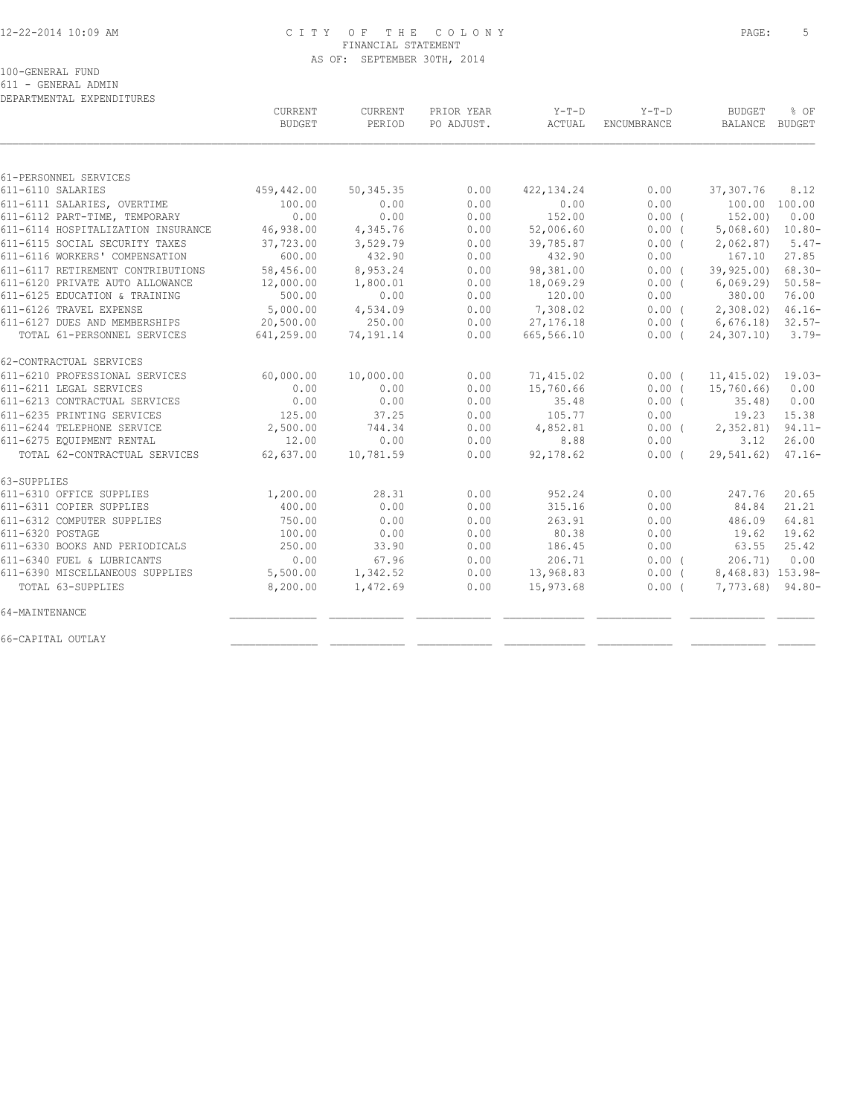## 12-22-2014 10:09 AM C I T Y O F T H E C O L O N Y PAGE: 5 FINANCIAL STATEMENT AS OF: SEPTEMBER 30TH, 2014

100-GENERAL FUND

611 - GENERAL ADMIN

| DEPARTMENTAL EXPENDITURES          |                |           |            |             |             |                   |           |
|------------------------------------|----------------|-----------|------------|-------------|-------------|-------------------|-----------|
|                                    | <b>CURRENT</b> | CURRENT   | PRIOR YEAR | $Y-T-D$     | $Y-T-D$     | <b>BUDGET</b>     | % OF      |
|                                    | <b>BUDGET</b>  | PERIOD    | PO ADJUST. | ACTUAL      | ENCUMBRANCE | BALANCE           | BUDGET    |
|                                    |                |           |            |             |             |                   |           |
| 61-PERSONNEL SERVICES              |                |           |            |             |             |                   |           |
| 611-6110 SALARIES                  | 459,442.00     | 50,345.35 | 0.00       | 422, 134.24 | 0.00        | 37,307.76         | 8.12      |
| 611-6111 SALARIES, OVERTIME        | 100.00         | 0.00      | 0.00       | 0.00        | 0.00        | 100.00 100.00     |           |
| 611-6112 PART-TIME, TEMPORARY      | 0.00           | 0.00      | 0.00       | 152.00      | $0.00$ (    | 152.00)           | 0.00      |
| 611-6114 HOSPITALIZATION INSURANCE | 46,938.00      | 4,345.76  | 0.00       | 52,006.60   | $0.00$ (    | 5,068.60          | $10.80 -$ |
| 611-6115 SOCIAL SECURITY TAXES     | 37,723.00      | 3,529.79  | 0.00       | 39,785.87   | 0.00(       | 2,062.87          | $5.47-$   |
| 611-6116 WORKERS' COMPENSATION     | 600.00         | 432.90    | 0.00       | 432.90      | 0.00        | 167.10            | 27.85     |
| 611-6117 RETIREMENT CONTRIBUTIONS  | 58,456.00      | 8,953.24  | 0.00       | 98,381.00   | 0.00(       | 39,925.00)        | $68.30 -$ |
| 611-6120 PRIVATE AUTO ALLOWANCE    | 12,000.00      | 1,800.01  | 0.00       | 18,069.29   | 0.00(       | 6,069.29          | $50.58 -$ |
| 611-6125 EDUCATION & TRAINING      | 500.00         | 0.00      | 0.00       | 120.00      | 0.00        | 380.00            | 76.00     |
| 611-6126 TRAVEL EXPENSE            | 5,000.00       | 4,534.09  | 0.00       | 7,308.02    | 0.00(       | 2,308.02          | $46.16 -$ |
| 611-6127 DUES AND MEMBERSHIPS      | 20,500.00      | 250.00    | 0.00       | 27, 176.18  | $0.00$ (    | 6,676.18          | $32.57-$  |
| TOTAL 61-PERSONNEL SERVICES        | 641,259.00     | 74,191.14 | 0.00       | 665,566.10  | 0.00(       | 24,307.10)        | $3.79-$   |
| 62-CONTRACTUAL SERVICES            |                |           |            |             |             |                   |           |
| 611-6210 PROFESSIONAL SERVICES     | 60,000.00      | 10,000.00 | 0.00       | 71,415.02   | $0.00$ (    | 11, 415.02)       | $19.03-$  |
| 611-6211 LEGAL SERVICES            | 0.00           | 0.00      | 0.00       | 15,760.66   | $0.00$ (    | 15,760.66)        | 0.00      |
| 611-6213 CONTRACTUAL SERVICES      | 0.00           | 0.00      | 0.00       | 35.48       | $0.00$ (    | 35.48             | 0.00      |
| 611-6235 PRINTING SERVICES         | 125.00         | 37.25     | 0.00       | 105.77      | 0.00        | 19.23             | 15.38     |
| 611-6244 TELEPHONE SERVICE         | 2,500.00       | 744.34    | 0.00       | 4,852.81    | $0.00$ (    | 2,352.81          | $94.11 -$ |
| 611-6275 EQUIPMENT RENTAL          | 12.00          | 0.00      | 0.00       | 8.88        | 0.00        | 3.12              | 26.00     |
| TOTAL 62-CONTRACTUAL SERVICES      | 62,637.00      | 10,781.59 | 0.00       | 92,178.62   | 0.00(       | 29,541.62)        | $47.16 -$ |
| 63-SUPPLIES                        |                |           |            |             |             |                   |           |
| 611-6310 OFFICE SUPPLIES           | 1,200.00       | 28.31     | 0.00       | 952.24      | 0.00        | 247.76            | 20.65     |
| 611-6311 COPIER SUPPLIES           | 400.00         | 0.00      | 0.00       | 315.16      | 0.00        | 84.84             | 21.21     |
| 611-6312 COMPUTER SUPPLIES         | 750.00         | 0.00      | 0.00       | 263.91      | 0.00        | 486.09            | 64.81     |
| 611-6320 POSTAGE                   | 100.00         | 0.00      | 0.00       | 80.38       | 0.00        | 19.62             | 19.62     |
| 611-6330 BOOKS AND PERIODICALS     | 250.00         | 33.90     | 0.00       | 186.45      | 0.00        | 63.55             | 25.42     |
| 611-6340 FUEL & LUBRICANTS         | 0.00           | 67.96     | 0.00       | 206.71      | 0.00(       | 206.71)           | 0.00      |
| 611-6390 MISCELLANEOUS SUPPLIES    | 5,500.00       | 1,342.52  | 0.00       | 13,968.83   | $0.00$ (    | 8,468.83) 153.98- |           |
| TOTAL 63-SUPPLIES                  | 8,200.00       | 1,472.69  | 0.00       | 15,973.68   | $0.00$ (    | $7,773.68$ 94.80- |           |
| 64-MAINTENANCE                     |                |           |            |             |             |                   |           |
| 66-CAPITAL OUTLAY                  |                |           |            |             |             |                   |           |
|                                    |                |           |            |             |             |                   |           |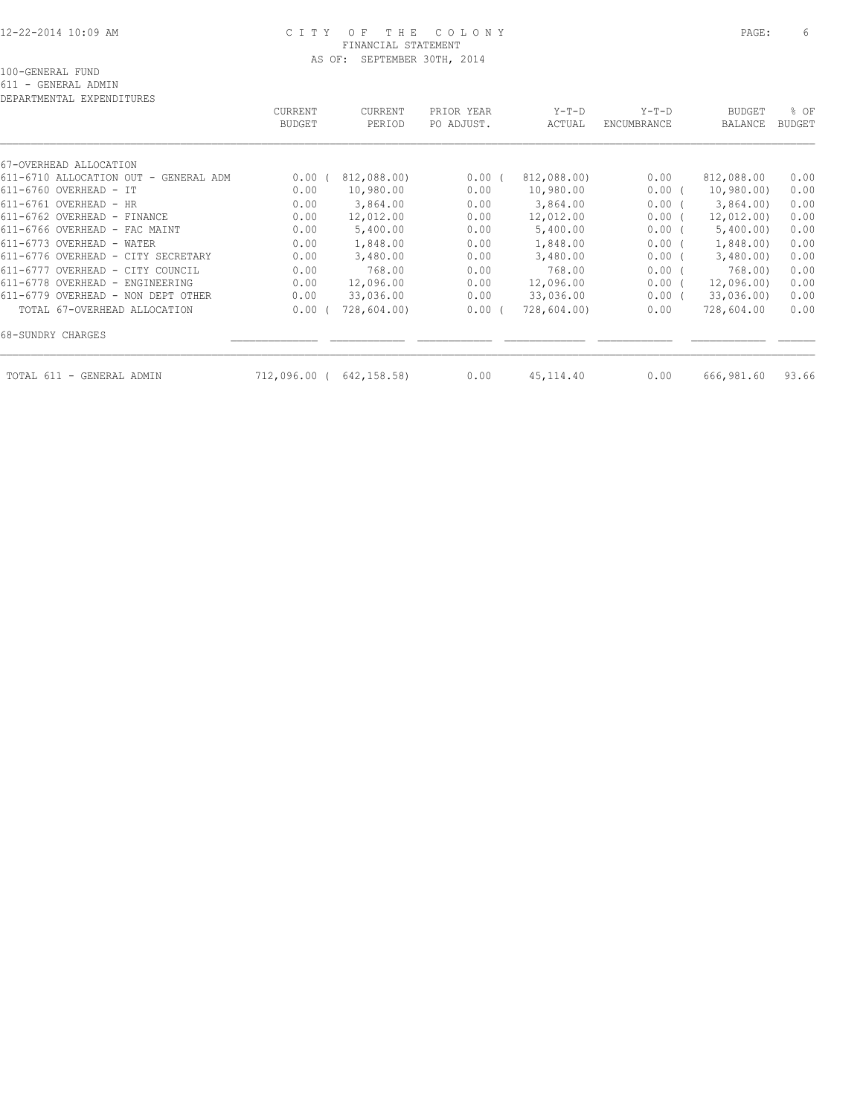#### 12-22-2014 10:09 AM C I T Y O F T H E C O L O N Y PAGE: 6 FINANCIAL STATEMENT AS OF: SEPTEMBER 30TH, 2014

| 67-OVERHEAD ALLOCATION                |            |             |          |             |          |            |       |
|---------------------------------------|------------|-------------|----------|-------------|----------|------------|-------|
| 611-6710 ALLOCATION OUT - GENERAL ADM | 0.00       | 812,088.00) | $0.00$ ( | 812,088.00) | 0.00     | 812,088.00 | 0.00  |
| 611-6760 OVERHEAD - IT                | 0.00       | 10,980.00   | 0.00     | 10,980.00   | 0.00(    | 10,980.00  | 0.00  |
| $611 - 6761$ OVERHEAD - HR            | 0.00       | 3,864.00    | 0.00     | 3,864.00    | 0.00(    | 3,864.00   | 0.00  |
| 611-6762 OVERHEAD - FINANCE           | 0.00       | 12,012.00   | 0.00     | 12,012.00   | 0.00(    | 12,012.00) | 0.00  |
| 611-6766 OVERHEAD - FAC MAINT         | 0.00       | 5,400.00    | 0.00     | 5,400.00    | 0.00(    | 5,400.00)  | 0.00  |
| 611-6773 OVERHEAD - WATER             | 0.00       | 1,848.00    | 0.00     | 1,848.00    | 0.00(    | 1,848.00   | 0.00  |
| 611-6776 OVERHEAD - CITY SECRETARY    | 0.00       | 3,480.00    | 0.00     | 3,480.00    | 0.00(    | 3,480.00   | 0.00  |
| 611-6777 OVERHEAD - CITY COUNCIL      | 0.00       | 768.00      | 0.00     | 768.00      | 0.00(    | 768.00)    | 0.00  |
| 611-6778 OVERHEAD - ENGINEERING       | 0.00       | 12,096.00   | 0.00     | 12,096.00   | 0.00(    | 12,096.00) | 0.00  |
| 611-6779 OVERHEAD - NON DEPT OTHER    | 0.00       | 33,036.00   | 0.00     | 33,036.00   | $0.00$ ( | 33,036.00) | 0.00  |
| TOTAL 67-OVERHEAD ALLOCATION          | 0.00       | 728,604.00) | 0.00(    | 728,604.00) | 0.00     | 728,604.00 | 0.00  |
| 68-SUNDRY CHARGES                     |            |             |          |             |          |            |       |
| - GENERAL ADMIN<br>TOTAL 611          | 712,096.00 | 642,158.58) | 0.00     | 45, 114.40  | 0.00     | 666,981.60 | 93.66 |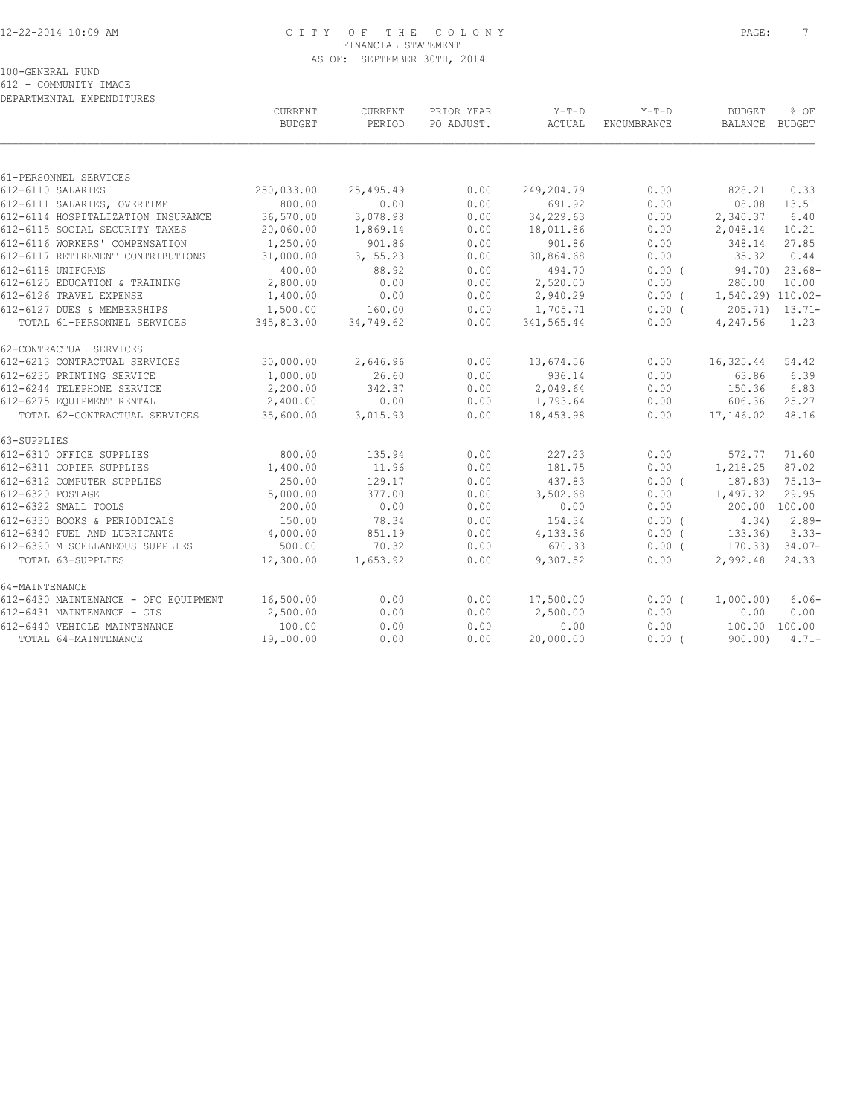## 12-22-2014 10:09 AM C I T Y O F T H E C O L O N Y PAGE: 7 FINANCIAL STATEMENT AS OF: SEPTEMBER 30TH, 2014

100-GENERAL FUND

612 - COMMUNITY IMAGE

| DEPARTMENTAL EXPENDITURES            |               |           |            |            |                    |                   |                    |
|--------------------------------------|---------------|-----------|------------|------------|--------------------|-------------------|--------------------|
|                                      | CURRENT       | CURRENT   | PRIOR YEAR | $Y-T-D$    | $Y-T-D$            | <b>BUDGET</b>     | % OF               |
|                                      | <b>BUDGET</b> | PERIOD    | PO ADJUST. | ACTUAL     | <b>ENCUMBRANCE</b> | BALANCE           | BUDGET             |
|                                      |               |           |            |            |                    |                   |                    |
| 61-PERSONNEL SERVICES                |               |           |            |            |                    |                   |                    |
| 612-6110 SALARIES                    | 250,033.00    | 25,495.49 | 0.00       | 249,204.79 | 0.00               | 828.21            | 0.33               |
| 612-6111 SALARIES, OVERTIME          | 800.00        | 0.00      | 0.00       | 691.92     | 0.00               | 108.08            | 13.51              |
| 612-6114 HOSPITALIZATION INSURANCE   | 36,570.00     | 3,078.98  | 0.00       | 34,229.63  | 0.00               | 2,340.37          | 6.40               |
| 612-6115 SOCIAL SECURITY TAXES       | 20,060.00     | 1,869.14  | 0.00       | 18,011.86  | 0.00               | 2,048.14          | 10.21              |
| 612-6116 WORKERS' COMPENSATION       | 1,250.00      | 901.86    | 0.00       | 901.86     | 0.00               | 348.14            | 27.85              |
| 612-6117 RETIREMENT CONTRIBUTIONS    | 31,000.00     | 3, 155.23 | 0.00       | 30,864.68  | 0.00               | 135.32            | 0.44               |
| 612-6118 UNIFORMS                    | 400.00        | 88.92     | 0.00       | 494.70     | 0.00(              | 94.70)            | $23.68-$           |
| 612-6125 EDUCATION & TRAINING        | 2,800.00      | 0.00      | 0.00       | 2,520.00   | 0.00               | 280.00            | 10.00              |
| 612-6126 TRAVEL EXPENSE              | 1,400.00      | 0.00      | 0.00       | 2,940.29   | $0.00$ (           | 1,540.29) 110.02- |                    |
| 612-6127 DUES & MEMBERSHIPS          | 1,500.00      | 160.00    | 0.00       | 1,705.71   | $0.00$ (           |                   | $205.71$ $13.71$ - |
| TOTAL 61-PERSONNEL SERVICES          | 345,813.00    | 34,749.62 | 0.00       | 341,565.44 | 0.00               | 4,247.56          | 1.23               |
| 62-CONTRACTUAL SERVICES              |               |           |            |            |                    |                   |                    |
| 612-6213 CONTRACTUAL SERVICES        | 30,000.00     | 2,646.96  | 0.00       | 13,674.56  | 0.00               | 16,325.44         | 54.42              |
| 612-6235 PRINTING SERVICE            | 1,000.00      | 26.60     | 0.00       | 936.14     | 0.00               | 63.86             | 6.39               |
| 612-6244 TELEPHONE SERVICE           | 2,200.00      | 342.37    | 0.00       | 2,049.64   | 0.00               | 150.36            | 6.83               |
| 612-6275 EQUIPMENT RENTAL            | 2,400.00      | 0.00      | 0.00       | 1,793.64   | 0.00               | 606.36            | 25.27              |
| TOTAL 62-CONTRACTUAL SERVICES        | 35,600.00     | 3,015.93  | 0.00       | 18,453.98  | 0.00               | 17,146.02         | 48.16              |
| 63-SUPPLIES                          |               |           |            |            |                    |                   |                    |
| 612-6310 OFFICE SUPPLIES             | 800.00        | 135.94    | 0.00       | 227.23     | 0.00               | 572.77            | 71.60              |
| 612-6311 COPIER SUPPLIES             | 1,400.00      | 11.96     | 0.00       | 181.75     | 0.00               | 1,218.25          | 87.02              |
| 612-6312 COMPUTER SUPPLIES           | 250.00        | 129.17    | 0.00       | 437.83     | 0.00(              | 187.83)           | $75.13-$           |
| 612-6320 POSTAGE                     | 5,000.00      | 377.00    | 0.00       | 3,502.68   | 0.00               | 1,497.32          | 29.95              |
| 612-6322 SMALL TOOLS                 | 200.00        | 0.00      | 0.00       | 0.00       | 0.00               | 200.00 100.00     |                    |
| 612-6330 BOOKS & PERIODICALS         | 150.00        | 78.34     | 0.00       | 154.34     | $0.00$ (           | 4.34)             | $2.89-$            |
| 612-6340 FUEL AND LUBRICANTS         | 4,000.00      | 851.19    | 0.00       | 4,133.36   | $0.00$ (           | 133.36)           | $3.33-$            |
| 612-6390 MISCELLANEOUS SUPPLIES      | 500.00        | 70.32     | 0.00       | 670.33     | $0.00$ (           | 170.33)           | $34.07-$           |
| TOTAL 63-SUPPLIES                    | 12,300.00     | 1,653.92  | 0.00       | 9,307.52   | 0.00               | 2,992.48          | 24.33              |
| 64-MAINTENANCE                       |               |           |            |            |                    |                   |                    |
| 612-6430 MAINTENANCE - OFC EQUIPMENT | 16,500.00     | 0.00      | 0.00       | 17,500.00  | $0.00$ (           | 1,000.00)         | $6.06-$            |
| 612-6431 MAINTENANCE - GIS           | 2,500.00      | 0.00      | 0.00       | 2,500.00   | 0.00               | 0.00              | 0.00               |
| 612-6440 VEHICLE MAINTENANCE         | 100.00        | 0.00      | 0.00       | 0.00       | 0.00               | 100.00            | 100.00             |
| TOTAL 64-MAINTENANCE                 | 19,100.00     | 0.00      | 0.00       | 20,000.00  | $0.00$ (           | 900.00)           | $4.71-$            |
|                                      |               |           |            |            |                    |                   |                    |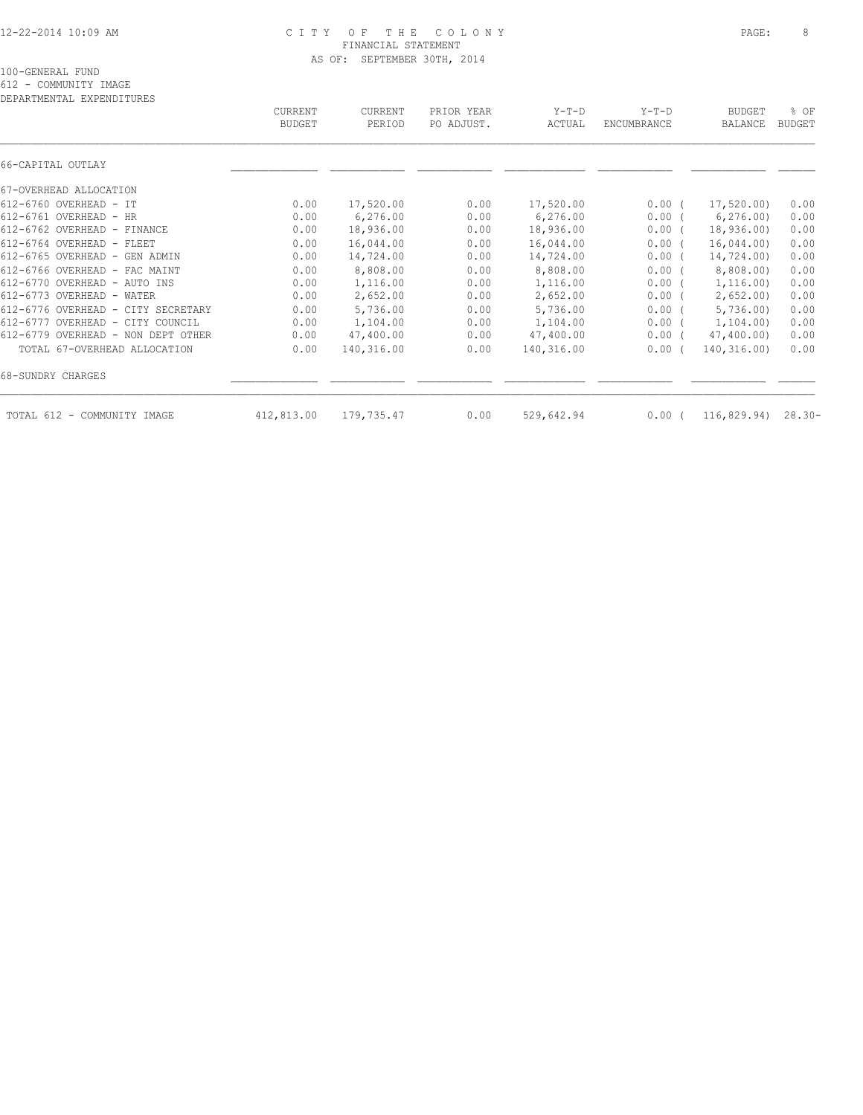#### 12-22-2014 10:09 AM C I T Y O F T H E C O L O N Y PAGE: 8 FINANCIAL STATEMENT AS OF: SEPTEMBER 30TH, 2014

612 - COMMUNITY IMAGE

DEPARTMENTAL EXPENDITURES CURRENT CURRENT PRIOR YEAR Y-T-D Y-T-D BUDGET % OF BUDGET PERIOD PO ADJUST. ACTUAL ENCUMBRANCE BALANCE BUDGET  $\mathcal{L} = \{ \mathcal{L} = \{ \mathcal{L} = \{ \mathcal{L} = \{ \mathcal{L} = \{ \mathcal{L} = \{ \mathcal{L} = \{ \mathcal{L} = \{ \mathcal{L} = \{ \mathcal{L} = \{ \mathcal{L} = \{ \mathcal{L} = \{ \mathcal{L} = \{ \mathcal{L} = \{ \mathcal{L} = \{ \mathcal{L} = \{ \mathcal{L} = \{ \mathcal{L} = \{ \mathcal{L} = \{ \mathcal{L} = \{ \mathcal{L} = \{ \mathcal{L} = \{ \mathcal{L} = \{ \mathcal{L} = \{ \mathcal{$ 66-CAPITAL OUTLAY \_\_\_\_\_\_\_\_\_\_\_\_\_\_ \_\_\_\_\_\_\_\_\_\_\_\_ \_\_\_\_\_\_\_\_\_\_\_\_ \_\_\_\_\_\_\_\_\_\_\_\_\_ \_\_\_\_\_\_\_\_\_\_\_\_ \_\_\_\_\_\_\_\_\_\_\_\_ \_\_\_\_\_\_ 67-OVERHEAD ALLOCATION 612-6760 OVERHEAD - IT 0.00 17,520.00 0.00 17,520.00 0.00 ( 17,520.00) 0.00 612-6761 OVERHEAD - HR 0.00 6,276.00 0.00 6,276.00 0.00 ( 6,276.00) 0.00 612-6762 OVERHEAD - FINANCE 0.00 18,936.00 0.00 18,936.00 0.00 ( 18,936.00) 0.00 612-6764 OVERHEAD - FLEET 0.00 16,044.00 0.00 16,044.00 0.00 ( 16,044.00) 0.00 612-6765 OVERHEAD - GEN ADMIN 0.00 14,724.00 0.00 14,724.00 0.00 ( 14,724.00) 0.00 612-6766 OVERHEAD - FAC MAINT 0.00 8,808.00 0.00 8,808.00 0.00 ( 8,808.00) 0.00 612-6770 OVERHEAD - AUTO INS 0.00 1,116.00 0.00 1,116.00 0.00 ( 1,116.00) 0.00 612-6773 OVERHEAD - WATER 0.00 2,652.00 0.00 2,652.00 0.00 ( 2,652.00) 0.00 612-6776 OVERHEAD - CITY SECRETARY 0.00 5,736.00 0.00 5,736.00 0.00 ( 5,736.00) 0.00 612-6777 OVERHEAD - CITY COUNCIL 0.00 1,104.00 0.00 1,104.00 0.00 ( 1,104.00) 0.00 612-6779 OVERHEAD - NON DEPT OTHER 0.00 47,400.00 0.00 47,400.00 0.00 ( 47,400.00) 0.00 TOTAL 67-OVERHEAD ALLOCATION 0.00 140,316.00 0.00 140,316.00 0.00 ( 140,316.00) 0.00 68-SUNDRY CHARGES \_\_\_\_\_\_\_\_\_\_\_\_\_\_ \_\_\_\_\_\_\_\_\_\_\_\_ \_\_\_\_\_\_\_\_\_\_\_\_ \_\_\_\_\_\_\_\_\_\_\_\_\_ \_\_\_\_\_\_\_\_\_\_\_\_ \_\_\_\_\_\_\_\_\_\_\_\_ \_\_\_\_\_\_

TOTAL 612 - COMMUNITY IMAGE 412,813.00 179,735.47 0.00 529,642.94 0.00 ( 116,829.94) 28.30-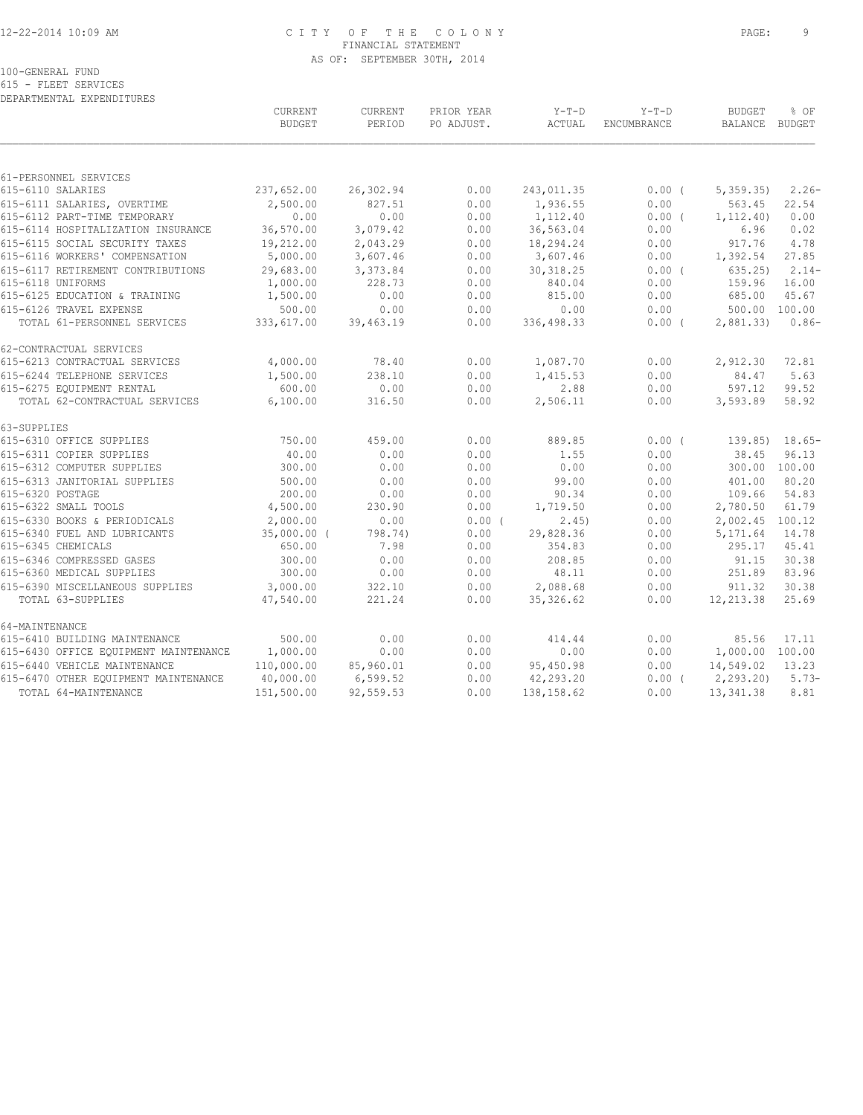## 12-22-2014 10:09 AM C I T Y O F T H E C O L O N Y PAGE: 9 FINANCIAL STATEMENT AS OF: SEPTEMBER 30TH, 2014

100-GENERAL FUND

615 - FLEET SERVICES DEPARTMENTAL EXPENDITURES

|                                       | CURRENT<br><b>BUDGET</b> | <b>CURRENT</b><br>PERIOD | PRIOR YEAR<br>PO ADJUST. | $Y-T-D$<br>ACTUAL | $Y-T-D$<br>ENCUMBRANCE | <b>BUDGET</b><br>BALANCE BUDGET | % OF          |
|---------------------------------------|--------------------------|--------------------------|--------------------------|-------------------|------------------------|---------------------------------|---------------|
|                                       |                          |                          |                          |                   |                        |                                 |               |
| 61-PERSONNEL SERVICES                 |                          |                          |                          |                   |                        |                                 |               |
| 615-6110 SALARIES                     | 237,652.00               | 26,302.94                | 0.00                     | 243,011.35        | $0.00$ (               | 5,359.35                        | $2.26-$       |
| 615-6111 SALARIES, OVERTIME           | 2,500.00                 | 827.51                   | 0.00                     | 1,936.55          | 0.00                   | 563.45                          | 22.54         |
| 615-6112 PART-TIME TEMPORARY          | 0.00                     | 0.00                     | 0.00                     | 1,112.40          | 0.00(                  | 1, 112.40                       | 0.00          |
| 615-6114 HOSPITALIZATION INSURANCE    | 36,570.00                | 3,079.42                 | 0.00                     | 36,563.04         | 0.00                   | 6.96                            | 0.02          |
| 615-6115 SOCIAL SECURITY TAXES        | 19,212.00                | 2,043.29                 | 0.00                     | 18,294.24         | 0.00                   | 917.76                          | 4.78          |
| 615-6116 WORKERS' COMPENSATION        | 5,000.00                 | 3,607.46                 | 0.00                     | 3,607.46          | 0.00                   | 1,392.54                        | 27.85         |
| 615-6117 RETIREMENT CONTRIBUTIONS     | 29,683.00                | 3,373.84                 | 0.00                     | 30, 318.25        | $0.00$ (               | 635.25                          | $2.14-$       |
| 615-6118 UNIFORMS                     | 1,000.00                 | 228.73                   | 0.00                     | 840.04            | 0.00                   | 159.96                          | 16.00         |
| 615-6125 EDUCATION & TRAINING         | 1,500.00                 | 0.00                     | 0.00                     | 815.00            | 0.00                   | 685.00                          | 45.67         |
| 615-6126 TRAVEL EXPENSE               | 500.00                   | 0.00                     | 0.00                     | 0.00              | 0.00                   |                                 | 500.00 100.00 |
| TOTAL 61-PERSONNEL SERVICES           | 333,617.00               | 39,463.19                | 0.00                     | 336,498.33        | $0.00$ (               | 2,881.33                        | $0.86-$       |
| 62-CONTRACTUAL SERVICES               |                          |                          |                          |                   |                        |                                 |               |
| 615-6213 CONTRACTUAL SERVICES         | 4,000.00                 | 78.40                    | 0.00                     | 1,087.70          | 0.00                   | 2,912.30                        | 72.81         |
| 615-6244 TELEPHONE SERVICES           | 1,500.00                 | 238.10                   | 0.00                     | 1,415.53          | 0.00                   | 84.47                           | 5.63          |
| 615-6275 EQUIPMENT RENTAL             | 600.00                   | 0.00                     | 0.00                     | 2.88              | 0.00                   | 597.12                          | 99.52         |
| TOTAL 62-CONTRACTUAL SERVICES         | 6,100.00                 | 316.50                   | 0.00                     | 2,506.11          | 0.00                   | 3,593.89                        | 58.92         |
| 63-SUPPLIES                           |                          |                          |                          |                   |                        |                                 |               |
| 615-6310 OFFICE SUPPLIES              | 750.00                   | 459.00                   | 0.00                     | 889.85            | $0.00$ (               | 139.85)                         | $18.65-$      |
| 615-6311 COPIER SUPPLIES              | 40.00                    | 0.00                     | 0.00                     | 1.55              | 0.00                   | 38.45                           | 96.13         |
| 615-6312 COMPUTER SUPPLIES            | 300.00                   | 0.00                     | 0.00                     | 0.00              | 0.00                   | 300.00 100.00                   |               |
| 615-6313 JANITORIAL SUPPLIES          | 500.00                   | 0.00                     | 0.00                     | 99.00             | 0.00                   | 401.00                          | 80.20         |
| 615-6320 POSTAGE                      | 200.00                   | 0.00                     | 0.00                     | 90.34             | 0.00                   | 109.66                          | 54.83         |
| 615-6322 SMALL TOOLS                  | 4,500.00                 | 230.90                   | 0.00                     | 1,719.50          | 0.00                   | 2,780.50                        | 61.79         |
| 615-6330 BOOKS & PERIODICALS          | 2,000.00                 | 0.00                     | $0.00$ (                 | 2,45)             | 0.00                   | 2,002.45 100.12                 |               |
| 615-6340 FUEL AND LUBRICANTS          | $35,000.00$ (            | 798.74)                  | 0.00                     | 29,828.36         | 0.00                   | 5,171.64                        | 14.78         |
| 615-6345 CHEMICALS                    | 650.00                   | 7.98                     | 0.00                     | 354.83            | 0.00                   | 295.17                          | 45.41         |
| 615-6346 COMPRESSED GASES             | 300.00                   | 0.00                     | 0.00                     | 208.85            | 0.00                   | 91.15                           | 30.38         |
| 615-6360 MEDICAL SUPPLIES             | 300.00                   | 0.00                     | 0.00                     | 48.11             | 0.00                   | 251.89                          | 83.96         |
| 615-6390 MISCELLANEOUS SUPPLIES       | 3,000.00                 | 322.10                   | 0.00                     | 2,088.68          | 0.00                   | 911.32                          | 30.38         |
| TOTAL 63-SUPPLIES                     | 47,540.00                | 221.24                   | 0.00                     | 35, 326.62        | 0.00                   | 12,213.38                       | 25.69         |
| 64-MAINTENANCE                        |                          |                          |                          |                   |                        |                                 |               |
| 615-6410 BUILDING MAINTENANCE         | 500.00                   | 0.00                     | 0.00                     | 414.44            | 0.00                   | 85.56                           | 17.11         |
| 615-6430 OFFICE EQUIPMENT MAINTENANCE | 1,000.00                 | 0.00                     | 0.00                     | 0.00              | 0.00                   | 1,000.00 100.00                 |               |
| 615-6440 VEHICLE MAINTENANCE          | 110,000.00               | 85,960.01                | 0.00                     | 95,450.98         | 0.00                   | 14,549.02                       | 13.23         |
| 615-6470 OTHER EQUIPMENT MAINTENANCE  | 40,000.00                | 6,599.52                 | 0.00                     | 42,293.20         | $0.00$ (               | 2, 293.20                       | $5.73-$       |
| TOTAL 64-MAINTENANCE                  | 151,500.00               | 92,559.53                | 0.00                     | 138, 158.62       | 0.00                   | 13, 341.38                      | 8.81          |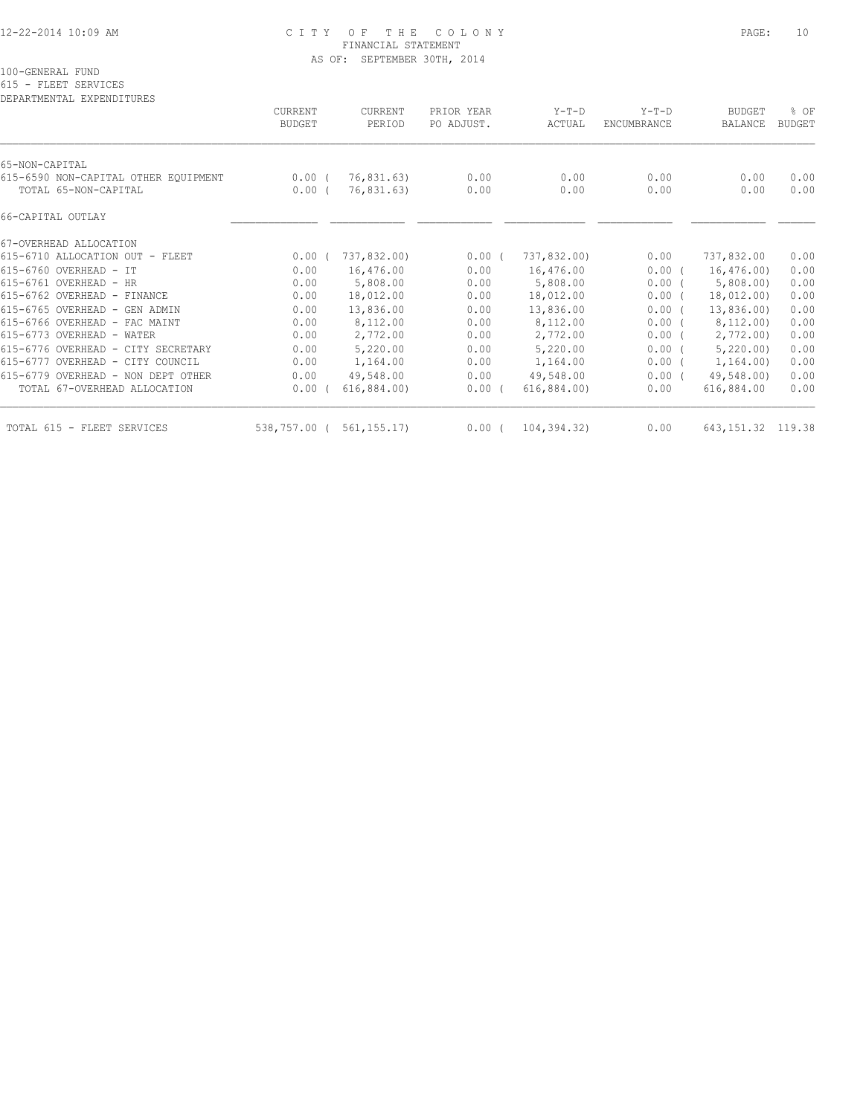#### 12-22-2014 10:09 AM C I T Y O F T H E C O L O N Y PAGE: 10 FINANCIAL STATEMENT AS OF: SEPTEMBER 30TH, 2014

100-GENERAL FUND

615 - FLEET SERVICES

| DEPARTMENTAL EXPENDITURES                                    | CURRENT<br><b>BUDGET</b> | CURRENT<br>PERIOD        | PRIOR YEAR<br>PO ADJUST. | $Y-T-D$<br>ACTUAL | $Y-T-D$<br>ENCUMBRANCE | <b>BUDGET</b><br>BALANCE | % OF<br><b>BUDGET</b> |
|--------------------------------------------------------------|--------------------------|--------------------------|--------------------------|-------------------|------------------------|--------------------------|-----------------------|
| 65-NON-CAPITAL                                               |                          |                          |                          |                   |                        |                          |                       |
| 615-6590 NON-CAPITAL OTHER EOUIPMENT<br>TOTAL 65-NON-CAPITAL | $0.00$ (<br>0.00(        | 76,831.63)<br>76,831.63) | 0.00<br>0.00             | 0.00<br>0.00      | 0.00<br>0.00           | 0.00<br>0.00             | 0.00<br>0.00          |
| 66-CAPITAL OUTLAY                                            |                          |                          |                          |                   |                        |                          |                       |
| 67-OVERHEAD ALLOCATION                                       |                          |                          |                          |                   |                        |                          |                       |
| 615-6710 ALLOCATION OUT - FLEET                              | 0.00(                    | 737,832.00)              | 0.00(                    | 737,832.00)       | 0.00                   | 737,832.00               | 0.00                  |
| 615-6760 OVERHEAD - IT                                       | 0.00                     | 16,476.00                | 0.00                     | 16,476.00         | $0.00$ (               | 16,476.00)               | 0.00                  |
| 615-6761 OVERHEAD - HR                                       | 0.00                     | 5,808.00                 | 0.00                     | 5,808.00          | $0.00$ (               | 5,808.00                 | 0.00                  |
| 615-6762 OVERHEAD - FINANCE                                  | 0.00                     | 18,012.00                | 0.00                     | 18,012.00         | $0.00$ (               | 18,012.00)               | 0.00                  |
| 615-6765 OVERHEAD - GEN ADMIN                                | 0.00                     | 13,836.00                | 0.00                     | 13,836.00         | $0.00$ (               | 13,836.00)               | 0.00                  |
| 615-6766 OVERHEAD - FAC MAINT                                | 0.00                     | 8,112.00                 | 0.00                     | 8,112.00          | $0.00$ (               | 8,112.00)                | 0.00                  |
| 615-6773 OVERHEAD - WATER                                    | 0.00                     | 2,772.00                 | 0.00                     | 2,772.00          | $0.00$ (               | 2,772.00                 | 0.00                  |
| 615-6776 OVERHEAD - CITY SECRETARY                           | 0.00                     | 5,220.00                 | 0.00                     | 5,220.00          | $0.00$ (               | 5,220.00                 | 0.00                  |
| 615-6777 OVERHEAD - CITY COUNCIL                             | 0.00                     | 1,164.00                 | 0.00                     | 1,164.00          | $0.00$ (               | 1,164.00)                | 0.00                  |
| 615-6779 OVERHEAD - NON DEPT OTHER                           | 0.00                     | 49,548.00                | 0.00                     | 49,548.00         | $0.00$ (               | 49,548.00)               | 0.00                  |
| TOTAL 67-OVERHEAD ALLOCATION                                 | 0.00                     | 616,884.00)              | 0.00(                    | 616,884.00)       | 0.00                   | 616,884.00               | 0.00                  |
| TOTAL 615 - FLEET SERVICES                                   | 538,757.00 (             | 561, 155, 17             | $0.00$ (                 | 104,394.32)       | 0.00                   | 643, 151.32 119.38       |                       |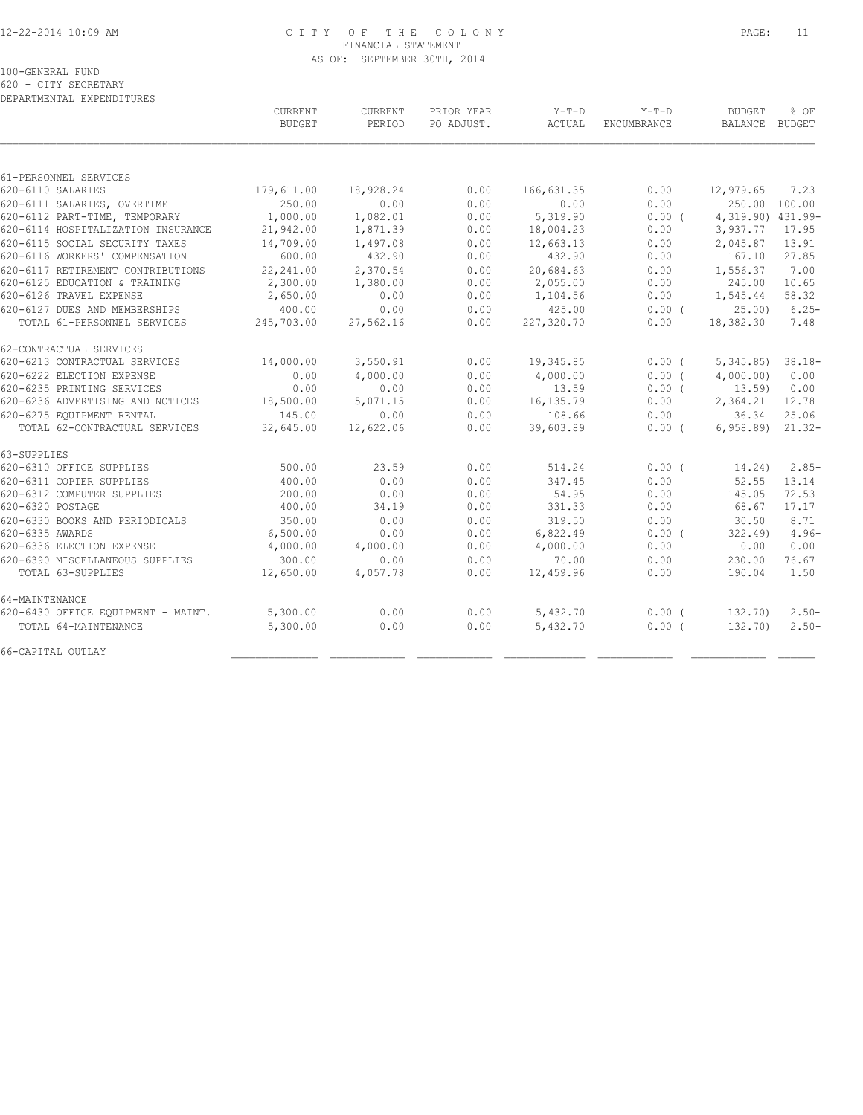## 12-22-2014 10:09 AM C I T Y O F T H E C O L O N Y PAGE: 11 FINANCIAL STATEMENT AS OF: SEPTEMBER 30TH, 2014

100-GENERAL FUND

620 - CITY SECRETARY DEPARTMENTAL EXPENDITURES

|                                    | CURRENT<br><b>BUDGET</b> | CURRENT<br>PERIOD | PRIOR YEAR<br>PO ADJUST. | $Y-T-D$<br>ACTUAL | $Y-T-D$<br>ENCUMBRANCE | <b>BUDGET</b><br>BALANCE BUDGET | % OF      |
|------------------------------------|--------------------------|-------------------|--------------------------|-------------------|------------------------|---------------------------------|-----------|
|                                    |                          |                   |                          |                   |                        |                                 |           |
| 61-PERSONNEL SERVICES              |                          |                   |                          |                   |                        |                                 |           |
| 620-6110 SALARIES                  | 179,611.00               | 18,928.24         | 0.00                     | 166,631.35        | 0.00                   | 12,979.65                       | 7.23      |
| 620-6111 SALARIES, OVERTIME        | 250.00                   | 0.00              | 0.00                     | 0.00              | 0.00                   | 250.00 100.00                   |           |
| 620-6112 PART-TIME, TEMPORARY      | 1,000.00                 | 1,082.01          | 0.00                     | 5,319.90          | 0.00(                  | 4,319.90) 431.99-               |           |
| 620-6114 HOSPITALIZATION INSURANCE | 21,942.00                | 1,871.39          | 0.00                     | 18,004.23         | 0.00                   | 3,937.77                        | 17.95     |
| 620-6115 SOCIAL SECURITY TAXES     | 14,709.00                | 1,497.08          | 0.00                     | 12,663.13         | 0.00                   | 2,045.87                        | 13.91     |
| 620-6116 WORKERS' COMPENSATION     | 600.00                   | 432.90            | 0.00                     | 432.90            | 0.00                   | 167.10                          | 27.85     |
| 620-6117 RETIREMENT CONTRIBUTIONS  | 22,241.00                | 2,370.54          | 0.00                     | 20,684.63         | 0.00                   | 1,556.37                        | 7.00      |
| 620-6125 EDUCATION & TRAINING      | 2,300.00                 | 1,380.00          | 0.00                     | 2,055.00          | 0.00                   | 245.00                          | 10.65     |
| 620-6126 TRAVEL EXPENSE            | 2,650.00                 | 0.00              | 0.00                     | 1,104.56          | 0.00                   | 1,545.44                        | 58.32     |
| 620-6127 DUES AND MEMBERSHIPS      | 400.00                   | 0.00              | 0.00                     | 425.00            | $0.00$ (               | 25.00                           | $6.25-$   |
| TOTAL 61-PERSONNEL SERVICES        | 245,703.00               | 27,562.16         | 0.00                     | 227,320.70        | 0.00                   | 18,382.30                       | 7.48      |
| 62-CONTRACTUAL SERVICES            |                          |                   |                          |                   |                        |                                 |           |
| 620-6213 CONTRACTUAL SERVICES      | 14,000.00                | 3,550.91          | 0.00                     | 19,345.85         | 0.00(                  | 5,345.85                        | $38.18-$  |
| 620-6222 ELECTION EXPENSE          | 0.00                     | 4,000.00          | 0.00                     | 4,000.00          | 0.00(                  | 4,000.00)                       | 0.00      |
| 620-6235 PRINTING SERVICES         | 0.00                     | 0.00              | 0.00                     | 13.59             | 0.00(                  | 13.59                           | 0.00      |
| 620-6236 ADVERTISING AND NOTICES   | 18,500.00                | 5,071.15          | 0.00                     | 16,135.79         | 0.00                   | 2,364.21                        | 12.78     |
| 620-6275 EQUIPMENT RENTAL          | 145.00                   | 0.00              | 0.00                     | 108.66            | 0.00                   | 36.34                           | 25.06     |
| TOTAL 62-CONTRACTUAL SERVICES      | 32,645.00                | 12,622.06         | 0.00                     | 39,603.89         | 0.00(                  | 6,958.89                        | $21.32 -$ |
| 63-SUPPLIES                        |                          |                   |                          |                   |                        |                                 |           |
| 620-6310 OFFICE SUPPLIES           | 500.00                   | 23.59             | 0.00                     | 514.24            | 0.00(                  | 14.24)                          | $2.85-$   |
| 620-6311 COPIER SUPPLIES           | 400.00                   | 0.00              | 0.00                     | 347.45            | 0.00                   | 52.55                           | 13.14     |
| 620-6312 COMPUTER SUPPLIES         | 200.00                   | 0.00              | 0.00                     | 54.95             | 0.00                   | 145.05                          | 72.53     |
| 620-6320 POSTAGE                   | 400.00                   | 34.19             | 0.00                     | 331.33            | 0.00                   | 68.67                           | 17.17     |
| 620-6330 BOOKS AND PERIODICALS     | 350.00                   | 0.00              | 0.00                     | 319.50            | 0.00                   | 30.50                           | 8.71      |
| 620-6335 AWARDS                    | 6,500.00                 | 0.00              | 0.00                     | 6,822.49          | 0.00(                  | 322.49                          | $4.96-$   |
| 620-6336 ELECTION EXPENSE          | 4,000.00                 | 4,000.00          | 0.00                     | 4,000.00          | 0.00                   | 0.00                            | 0.00      |
| 620-6390 MISCELLANEOUS SUPPLIES    | 300.00                   | 0.00              | 0.00                     | 70.00             | 0.00                   | 230.00                          | 76.67     |
| TOTAL 63-SUPPLIES                  | 12,650.00                | 4,057.78          | 0.00                     | 12,459.96         | 0.00                   | 190.04                          | 1.50      |
| 64-MAINTENANCE                     |                          |                   |                          |                   |                        |                                 |           |
| 620-6430 OFFICE EQUIPMENT - MAINT. | 5,300.00                 | 0.00              | 0.00                     | 5,432.70          | $0.00$ (               | 132.70)                         | $2.50-$   |
| TOTAL 64-MAINTENANCE               | 5,300.00                 | 0.00              | 0.00                     | 5,432.70          | 0.00(                  | 132.70)                         | $2.50 -$  |
| 66-CAPITAL OUTLAY                  |                          |                   |                          |                   |                        |                                 |           |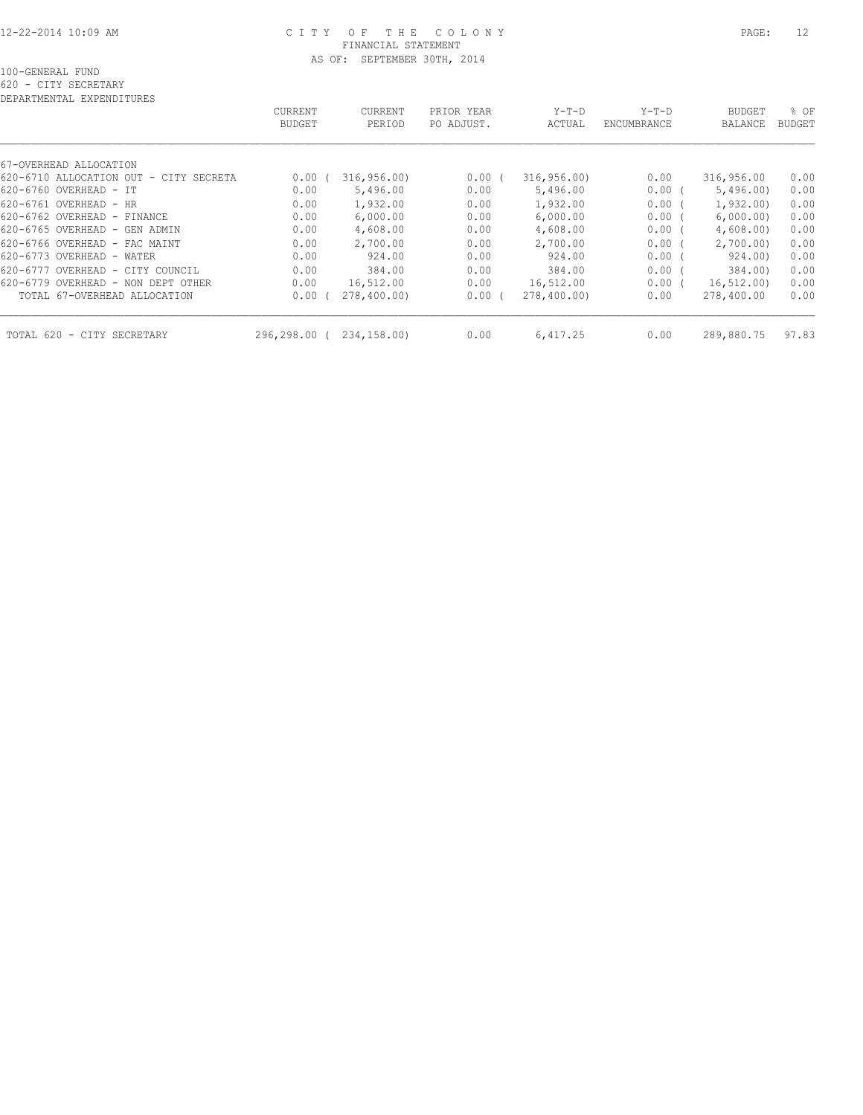#### 12-22-2014 10:09 AM C I T Y O F T H E C O L O N Y PAGE: 12 FINANCIAL STATEMENT AS OF: SEPTEMBER 30TH, 2014

620 - CITY SECRETARY

| DEPARTMENTAL EXPENDITURES                 |                |                |            |             |             |                |        |
|-------------------------------------------|----------------|----------------|------------|-------------|-------------|----------------|--------|
|                                           | <b>CURRENT</b> | <b>CURRENT</b> | PRIOR YEAR | $Y-T-D$     | $Y-T-D$     | <b>BUDGET</b>  | % OF   |
|                                           | <b>BUDGET</b>  | PERIOD         | PO ADJUST. | ACTUAL      | ENCUMBRANCE | <b>BALANCE</b> | BUDGET |
|                                           |                |                |            |             |             |                |        |
| 67-OVERHEAD ALLOCATION                    |                |                |            |             |             |                |        |
| 620-6710 ALLOCATION OUT<br>- CITY SECRETA | 0.00           | 316, 956.00    | 0.00(      | 316, 956.00 | 0.00        | 316,956.00     | 0.00   |
| 620-6760 OVERHEAD - IT                    | 0.00           | 5,496.00       | 0.00       | 5,496.00    | 0.00(       | 5,496,00       | 0.00   |
| 620-6761 OVERHEAD - HR                    | 0.00           | 1,932.00       | 0.00       | 1,932.00    | 0.00(       | 1,932,00)      | 0.00   |
| 620-6762 OVERHEAD - FINANCE               | 0.00           | 6,000.00       | 0.00       | 6,000.00    | 0.00(       | 6,000.00)      | 0.00   |
| 620-6765 OVERHEAD -<br>GEN ADMIN          | 0.00           | 4,608.00       | 0.00       | 4,608.00    | 0.00(       | 4,608.00       | 0.00   |
| 620-6766 OVERHEAD - FAC MAINT             | 0.00           | 2,700.00       | 0.00       | 2,700.00    | 0.00(       | 2,700.00       | 0.00   |
| 620-6773 OVERHEAD -<br>WATER              | 0.00           | 924.00         | 0.00       | 924.00      | 0.00(       | 924.00)        | 0.00   |
| 620-6777 OVERHEAD - CITY COUNCIL          | 0.00           | 384.00         | 0.00       | 384.00      | 0.00(       | 384.00)        | 0.00   |
| 620-6779 OVERHEAD - NON DEPT OTHER        | 0.00           | 16,512.00      | 0.00       | 16,512.00   | 0.00(       | 16, 512, 00)   | 0.00   |
| TOTAL 67-OVERHEAD ALLOCATION              | 0.00           | 278,400.00)    | $0.00$ (   | 278,400.00) | 0.00        | 278,400.00     | 0.00   |
| TOTAL 620<br>- CITY SECRETARY             | 296,298.00     | 234,158.00)    | 0.00       | 6,417.25    | 0.00        | 289,880.75     | 97.83  |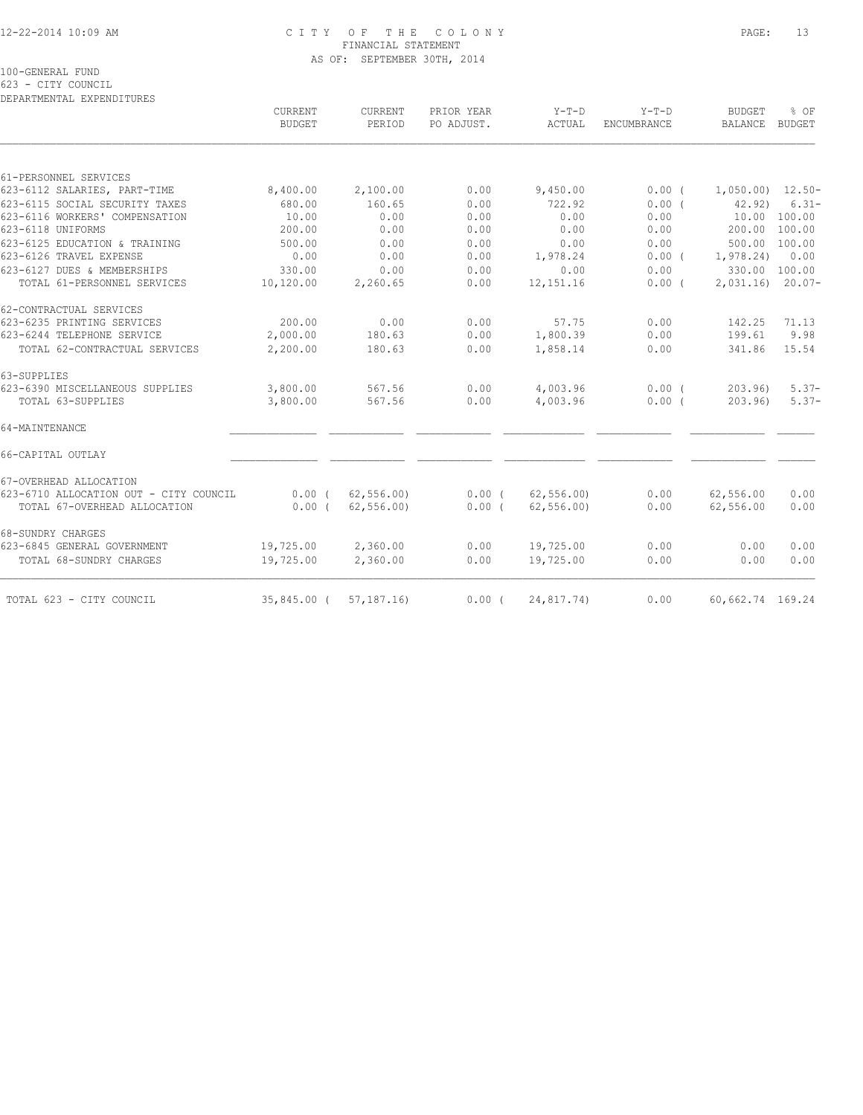## 12-22-2014 10:09 AM C I T Y O F T H E C O L O N Y PAGE: 13 FINANCIAL STATEMENT AS OF: SEPTEMBER 30TH, 2014

100-GENERAL FUND

623 - CITY COUNCIL

| $Y-T-D$<br>ENCUMBRANCE<br>0.00(<br>0.00(<br>0.00<br>0.00<br>0.00<br>$0.00$ (<br>0.00<br>0.00( | <b>BUDGET</b><br><b>BALANCE</b><br>42.92)<br>1,978.24)<br>2,031.16                | % OF<br>BUDGET<br>10.00 100.00<br>200.00 100.00<br>500.00 100.00<br>0.00<br>330.00 100.00    |
|-----------------------------------------------------------------------------------------------|-----------------------------------------------------------------------------------|----------------------------------------------------------------------------------------------|
|                                                                                               |                                                                                   | $1,050.00$ $12.50-$<br>$6.31 -$                                                              |
|                                                                                               |                                                                                   |                                                                                              |
|                                                                                               |                                                                                   |                                                                                              |
|                                                                                               |                                                                                   |                                                                                              |
|                                                                                               |                                                                                   |                                                                                              |
|                                                                                               |                                                                                   |                                                                                              |
|                                                                                               |                                                                                   |                                                                                              |
|                                                                                               |                                                                                   |                                                                                              |
|                                                                                               |                                                                                   |                                                                                              |
|                                                                                               |                                                                                   |                                                                                              |
|                                                                                               |                                                                                   | $20.07-$                                                                                     |
|                                                                                               |                                                                                   |                                                                                              |
|                                                                                               |                                                                                   | 71.13                                                                                        |
|                                                                                               |                                                                                   | 9.98                                                                                         |
|                                                                                               |                                                                                   | 15.54                                                                                        |
|                                                                                               |                                                                                   |                                                                                              |
|                                                                                               |                                                                                   | $5.37-$                                                                                      |
|                                                                                               |                                                                                   | $5.37-$                                                                                      |
|                                                                                               |                                                                                   |                                                                                              |
|                                                                                               |                                                                                   |                                                                                              |
|                                                                                               |                                                                                   |                                                                                              |
|                                                                                               |                                                                                   | 0.00                                                                                         |
|                                                                                               |                                                                                   | 0.00                                                                                         |
|                                                                                               |                                                                                   |                                                                                              |
|                                                                                               | 0.00                                                                              | 0.00                                                                                         |
|                                                                                               | 0.00                                                                              | 0.00                                                                                         |
|                                                                                               |                                                                                   |                                                                                              |
|                                                                                               | 0.00<br>0.00<br>0.00<br>$0.00$ (<br>0.00(<br>0.00<br>0.00<br>0.00<br>0.00<br>0.00 | 142.25<br>199.61<br>341.86<br>203.96<br>203.96<br>62,556.00<br>62,556.00<br>60,662.74 169.24 |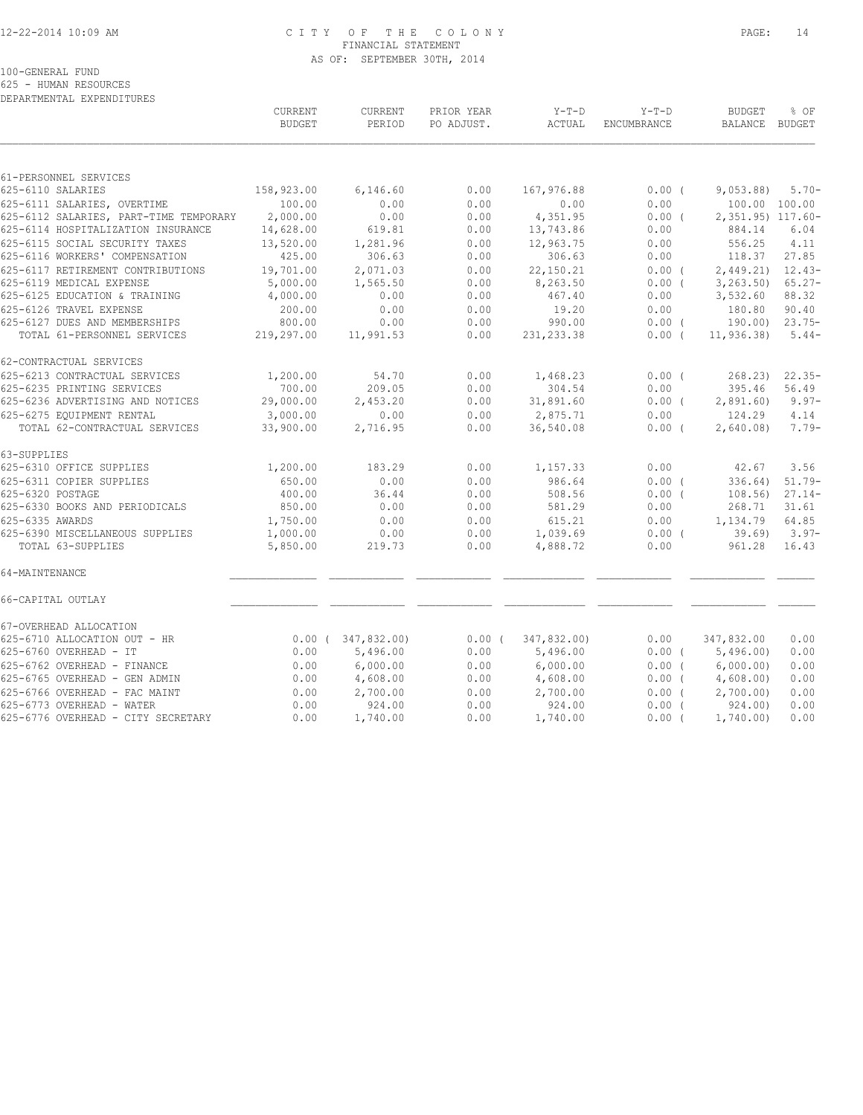## 12-22-2014 10:09 AM C I T Y O F T H E C O L O N Y PAGE: 14 FINANCIAL STATEMENT AS OF: SEPTEMBER 30TH, 2014

100-GENERAL FUND

625 - HUMAN RESOURCES DEPARTMENTAL EXPENDITURES

|                                                          | CURRENT<br><b>BUDGET</b> | CURRENT<br>PERIOD       | PRIOR YEAR<br>PO ADJUST. | $Y-T-D$<br>ACTUAL     | $Y-T-D$<br>ENCUMBRANCE | <b>BUDGET</b><br><b>BALANCE</b> | % OF<br>BUDGET      |
|----------------------------------------------------------|--------------------------|-------------------------|--------------------------|-----------------------|------------------------|---------------------------------|---------------------|
|                                                          |                          |                         |                          |                       |                        |                                 |                     |
| 61-PERSONNEL SERVICES                                    |                          |                         |                          |                       |                        |                                 |                     |
| 625-6110 SALARIES                                        | 158,923.00               | 6,146.60                | 0.00                     | 167,976.88            | $0.00$ (               | 9,053.88                        | $5.70-$             |
| 625-6111 SALARIES, OVERTIME                              | 100.00                   | 0.00                    | 0.00                     | 0.00                  | 0.00                   | 100.00 100.00                   |                     |
| 625-6112 SALARIES, PART-TIME TEMPORARY                   | 2,000.00                 | 0.00                    | 0.00                     | 4,351.95              | $0.00$ (               | 2,351.95) 117.60-               |                     |
| 625-6114 HOSPITALIZATION INSURANCE                       | 14,628.00                | 619.81                  | 0.00                     | 13,743.86             | 0.00                   | 884.14                          | 6.04                |
| 625-6115 SOCIAL SECURITY TAXES                           | 13,520.00                | 1,281.96                | 0.00                     | 12,963.75             | 0.00                   | 556.25                          | 4.11                |
| 625-6116 WORKERS' COMPENSATION                           | 425.00                   | 306.63                  | 0.00                     | 306.63                | 0.00                   | 118.37                          | 27.85               |
| 625-6117 RETIREMENT CONTRIBUTIONS                        | 19,701.00                | 2,071.03                | 0.00                     | 22,150.21             | 0.00(                  | 2,449.21                        | $12.43-$            |
| 625-6119 MEDICAL EXPENSE                                 | 5,000.00                 | 1,565.50                | 0.00                     | 8,263.50              | $0.00$ (               | 3, 263.50                       | $65.27 -$           |
| 625-6125 EDUCATION & TRAINING                            | 4,000.00                 | 0.00                    | 0.00                     | 467.40                | 0.00                   | 3,532.60                        | 88.32               |
| 625-6126 TRAVEL EXPENSE<br>625-6127 DUES AND MEMBERSHIPS | 200.00                   | 0.00                    | 0.00                     | 19.20                 | 0.00                   | 180.80                          | 90.40               |
| TOTAL 61-PERSONNEL SERVICES                              | 800.00<br>219,297.00     | 0.00<br>11,991.53       | 0.00<br>0.00             | 990.00<br>231, 233.38 | $0.00$ (<br>$0.00$ (   | 190.00)<br>11, 936.38           | $23.75-$<br>$5.44-$ |
|                                                          |                          |                         |                          |                       |                        |                                 |                     |
| 62-CONTRACTUAL SERVICES                                  |                          |                         |                          |                       |                        |                                 |                     |
| 625-6213 CONTRACTUAL SERVICES                            | 1,200.00                 | 54.70                   | 0.00                     | 1,468.23              | $0.00$ (               | 268.23)                         | $22.35-$            |
| 625-6235 PRINTING SERVICES                               | 700.00                   | 209.05                  | 0.00                     | 304.54                | 0.00                   | 395.46                          | 56.49               |
| 625-6236 ADVERTISING AND NOTICES                         | 29,000.00                | 2,453.20                | 0.00                     | 31,891.60             | $0.00$ (               | 2,891.60                        | $9.97 -$            |
| 625-6275 EQUIPMENT RENTAL                                | 3,000.00                 | 0.00                    | 0.00                     | 2,875.71              | 0.00                   | 124.29                          | 4.14                |
| TOTAL 62-CONTRACTUAL SERVICES                            | 33,900.00                | 2,716.95                | 0.00                     | 36,540.08             | $0.00$ (               | 2,640.08                        | $7.79-$             |
| 63-SUPPLIES                                              |                          |                         |                          |                       |                        |                                 |                     |
| 625-6310 OFFICE SUPPLIES                                 | 1,200.00                 | 183.29                  | 0.00                     | 1,157.33              | 0.00                   | 42.67                           | 3.56                |
| 625-6311 COPIER SUPPLIES                                 | 650.00                   | 0.00                    | 0.00                     | 986.64                | $0.00$ (               | 336.64)                         | $51.79-$            |
| 625-6320 POSTAGE                                         | 400.00                   | 36.44                   | 0.00                     | 508.56                | $0.00$ (               | 108.56                          | $27.14-$            |
| 625-6330 BOOKS AND PERIODICALS                           | 850.00                   | 0.00                    | 0.00                     | 581.29                | 0.00                   | 268.71                          | 31.61               |
| 625-6335 AWARDS                                          | 1,750.00                 | 0.00                    | 0.00                     | 615.21                | 0.00                   | 1,134.79                        | 64.85               |
| 625-6390 MISCELLANEOUS SUPPLIES                          | 1,000.00                 | 0.00                    | 0.00                     | 1,039.69              | $0.00$ (               | 39.69                           | $3.97-$             |
| TOTAL 63-SUPPLIES                                        | 5,850.00                 | 219.73                  | 0.00                     | 4,888.72              | 0.00                   | 961.28                          | 16.43               |
| 64-MAINTENANCE                                           |                          |                         |                          |                       |                        |                                 |                     |
| 66-CAPITAL OUTLAY                                        |                          |                         |                          |                       |                        |                                 |                     |
| 67-OVERHEAD ALLOCATION                                   |                          |                         |                          |                       |                        |                                 |                     |
| 625-6710 ALLOCATION OUT - HR                             |                          | $0.00$ ( $347,832.00$ ) | 0.00(                    | 347,832.00)           | 0.00                   | 347,832.00                      | 0.00                |
| 625-6760 OVERHEAD - IT                                   | 0.00                     | 5,496.00                | 0.00                     | 5,496.00              | $0.00$ (               | 5,496.00                        | 0.00                |
| 625-6762 OVERHEAD - FINANCE                              | 0.00                     | 6,000.00                | 0.00                     | 6,000.00              | 0.00(                  | 6,000.00)                       | 0.00                |
| 625-6765 OVERHEAD - GEN ADMIN                            | 0.00                     | 4,608.00                | 0.00                     | 4,608.00              | $0.00$ (               | 4,608.00                        | 0.00                |
| 625-6766 OVERHEAD - FAC MAINT                            | 0.00                     | 2,700.00                | 0.00                     | 2,700.00              | 0.00(                  | 2,700.00)                       | 0.00                |
| 625-6773 OVERHEAD - WATER                                | 0.00                     | 924.00                  | 0.00                     | 924.00                | $0.00$ (               | 924.00)                         | 0.00                |
| 625-6776 OVERHEAD - CITY SECRETARY                       | 0.00                     | 1,740.00                | 0.00                     | 1,740.00              | $0.00$ (               | 1,740.00                        | 0.00                |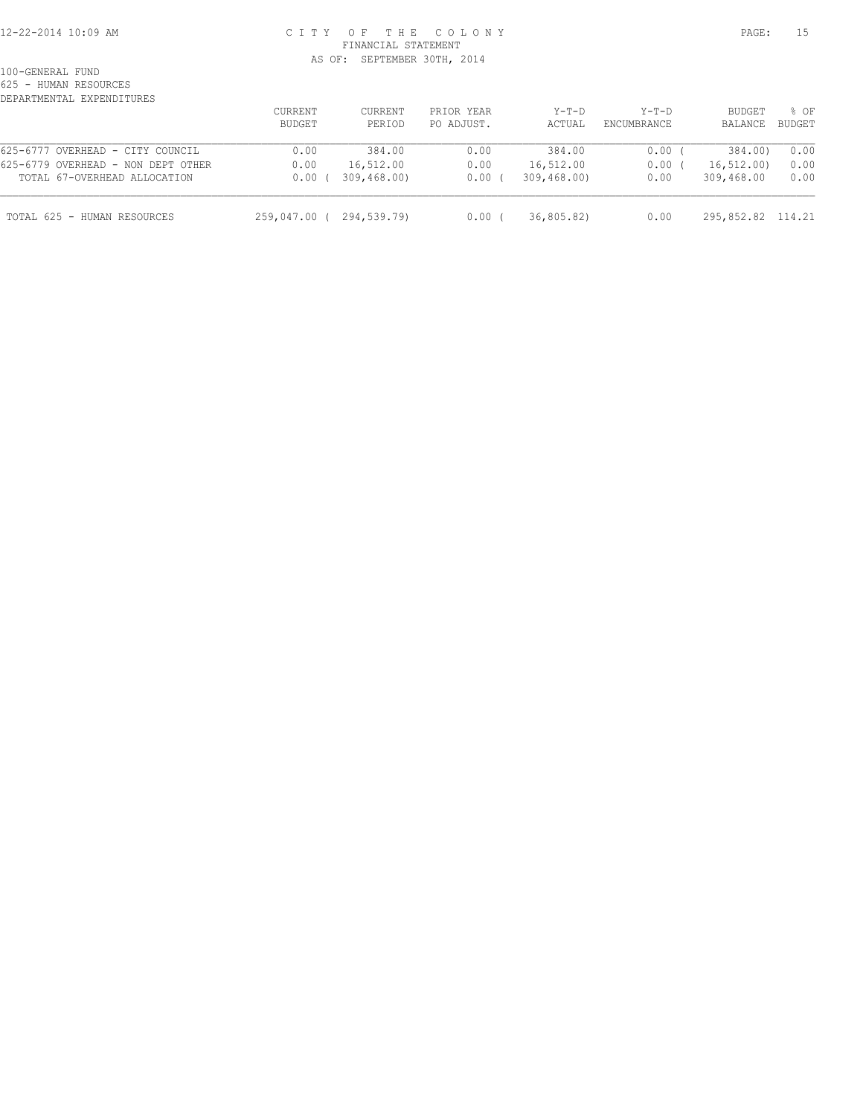#### 12-22-2014 10:09 AM C I T Y O F T H E C O L O N Y PAGE: 15 FINANCIAL STATEMENT AS OF: SEPTEMBER 30TH, 2014

100-GENERAL FUND

625 - HUMAN RESOURCES

| DEPARTMENTAL EXPENDITURES          |                |             |            |             |             |                   |        |
|------------------------------------|----------------|-------------|------------|-------------|-------------|-------------------|--------|
|                                    | <b>CURRENT</b> | CURRENT     | PRIOR YEAR | $Y-T-D$     | $Y-T-D$     | BUDGET            | % OF   |
|                                    | <b>BUDGET</b>  | PERIOD      | PO ADJUST. | ACTUAL      | ENCUMBRANCE | BALANCE           | BUDGET |
| 625-6777 OVERHEAD - CITY COUNCIL   | 0.00           | 384.00      | 0.00       | 384.00      | 0.00        | 384.00)           | 0.00   |
| 625-6779 OVERHEAD - NON DEPT OTHER | 0.00           | 16,512.00   | 0.00       | 16,512.00   | 0.00        | 16, 512, 00)      | 0.00   |
| TOTAL 67-OVERHEAD ALLOCATION       | 0.00           | 309,468,00) | 0.00       | 309,468,00) | 0.00        | 309,468.00        | 0.00   |
| TOTAL 625 - HUMAN RESOURCES        | 259,047.00 (   | 294,539.79) | 0.00       | 36,805.82)  | 0.00        | 295,852.82 114.21 |        |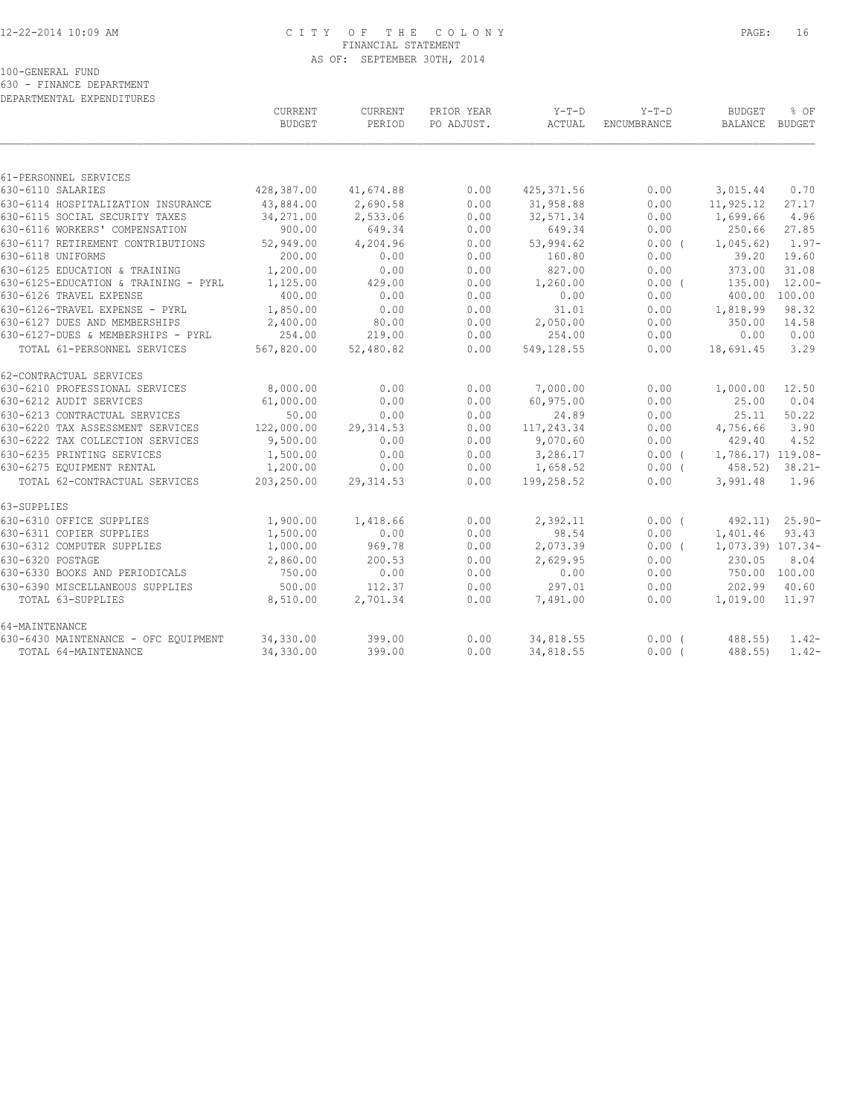## 12-22-2014 10:09 AM C I T Y O F T H E C O L O N Y PAGE: 16 FINANCIAL STATEMENT AS OF: SEPTEMBER 30TH, 2014

100-GENERAL FUND

630 - FINANCE DEPARTMENT

| DEPARTMENTAL EXPENDITURES                                        |                     |                    |              |                     |                               |                          |                    |
|------------------------------------------------------------------|---------------------|--------------------|--------------|---------------------|-------------------------------|--------------------------|--------------------|
|                                                                  | CURRENT             | CURRENT            | PRIOR YEAR   | $Y-T-D$             | $Y-T-D$<br><b>ENCUMBRANCE</b> | <b>BUDGET</b><br>BALANCE | % OF<br>BUDGET     |
|                                                                  | <b>BUDGET</b>       | PERIOD             | PO ADJUST.   | ACTUAL              |                               |                          |                    |
|                                                                  |                     |                    |              |                     |                               |                          |                    |
| 61-PERSONNEL SERVICES                                            |                     |                    |              |                     |                               |                          |                    |
| 630-6110 SALARIES                                                | 428,387.00          | 41,674.88          | 0.00         | 425, 371.56         | 0.00                          | 3,015.44                 | 0.70               |
| 630-6114 HOSPITALIZATION INSURANCE                               | 43,884.00           | 2,690.58           | 0.00         | 31,958.88           | 0.00                          | 11,925.12                | 27.17              |
| 630-6115 SOCIAL SECURITY TAXES<br>630-6116 WORKERS' COMPENSATION | 34,271.00<br>900.00 | 2,533.06<br>649.34 | 0.00<br>0.00 | 32,571.34<br>649.34 | 0.00<br>0.00                  | 1,699.66<br>250.66       | 4.96<br>27.85      |
| 630-6117 RETIREMENT CONTRIBUTIONS                                |                     |                    | 0.00         |                     |                               |                          | $1.97-$            |
| 630-6118 UNIFORMS                                                | 52,949.00<br>200.00 | 4,204.96<br>0.00   | 0.00         | 53,994.62<br>160.80 | $0.00$ (<br>0.00              | 1,045.62)<br>39.20       | 19.60              |
|                                                                  |                     |                    |              |                     |                               |                          |                    |
| 630-6125 EDUCATION & TRAINING                                    | 1,200.00            | 0.00               | 0.00<br>0.00 | 827.00              | 0.00<br>0.00(                 | 373.00<br>135.00         | 31.08<br>$12.00 -$ |
| 630-6125-EDUCATION & TRAINING - PYRL<br>630-6126 TRAVEL EXPENSE  | 1,125.00<br>400.00  | 429.00<br>0.00     | 0.00         | 1,260.00<br>0.00    | 0.00                          | 400.00                   | 100.00             |
|                                                                  | 1,850.00            |                    |              |                     |                               |                          |                    |
| 630-6126-TRAVEL EXPENSE - PYRL<br>630-6127 DUES AND MEMBERSHIPS  | 2,400.00            | 0.00<br>80.00      | 0.00<br>0.00 | 31.01<br>2,050.00   | 0.00<br>0.00                  | 1,818.99<br>350.00       | 98.32<br>14.58     |
| 630-6127-DUES & MEMBERSHIPS - PYRL                               | 254.00              | 219.00             | 0.00         | 254.00              | 0.00                          | 0.00                     | 0.00               |
| TOTAL 61-PERSONNEL SERVICES                                      | 567,820.00          | 52,480.82          | 0.00         | 549,128.55          | 0.00                          | 18,691.45                | 3.29               |
|                                                                  |                     |                    |              |                     |                               |                          |                    |
| 62-CONTRACTUAL SERVICES                                          |                     |                    |              |                     |                               |                          |                    |
| 630-6210 PROFESSIONAL SERVICES                                   | 8,000.00            | 0.00               | 0.00         | 7,000.00            | 0.00                          | 1,000.00                 | 12.50              |
| 630-6212 AUDIT SERVICES                                          | 61,000.00           | 0.00               | 0.00         | 60,975.00           | 0.00                          | 25.00                    | 0.04               |
| 630-6213 CONTRACTUAL SERVICES                                    | 50.00               | 0.00               | 0.00         | 24.89               | 0.00                          | 25.11                    | 50.22              |
| 630-6220 TAX ASSESSMENT SERVICES                                 | 122,000.00          | 29, 314.53         | 0.00         | 117,243.34          | 0.00                          | 4,756.66                 | 3.90               |
| 630-6222 TAX COLLECTION SERVICES                                 | 9,500.00            | 0.00               | 0.00         | 9,070.60            | 0.00                          | 429.40                   | 4.52               |
| 630-6235 PRINTING SERVICES                                       | 1,500.00            | 0.00               | 0.00         | 3,286.17            | 0.00(                         | 1,786.17) 119.08-        |                    |
| 630-6275 EQUIPMENT RENTAL                                        | 1,200.00            | 0.00               | 0.00         | 1,658.52            | $0.00$ (                      | 458.52                   | $38.21 -$          |
| TOTAL 62-CONTRACTUAL SERVICES                                    | 203,250.00          | 29, 314.53         | 0.00         | 199,258.52          | 0.00                          | 3,991.48                 | 1.96               |
| 63-SUPPLIES                                                      |                     |                    |              |                     |                               |                          |                    |
| 630-6310 OFFICE SUPPLIES                                         | 1,900.00            | 1,418.66           | 0.00         | 2,392.11            | 0.00(                         | 492.11)                  | $25.90 -$          |
| 630-6311 COPIER SUPPLIES                                         | 1,500.00            | 0.00               | 0.00         | 98.54               | 0.00                          | 1,401.46                 | 93.43              |
| 630-6312 COMPUTER SUPPLIES                                       | 1,000.00            | 969.78             | 0.00         | 2,073.39            | 0.00(                         | 1,073.39) 107.34-        |                    |
| 630-6320 POSTAGE                                                 | 2,860.00            | 200.53             | 0.00         | 2,629.95            | 0.00                          | 230.05                   | 8.04               |
| 630-6330 BOOKS AND PERIODICALS                                   | 750.00              | 0.00               | 0.00         | 0.00                | 0.00                          | 750.00 100.00            |                    |
| 630-6390 MISCELLANEOUS SUPPLIES                                  | 500.00              | 112.37             | 0.00         | 297.01              | 0.00                          | 202.99                   | 40.60              |
| TOTAL 63-SUPPLIES                                                | 8,510.00            | 2,701.34           | 0.00         | 7,491.00            | 0.00                          | 1,019.00                 | 11.97              |
| 64-MAINTENANCE                                                   |                     |                    |              |                     |                               |                          |                    |
| 630-6430 MAINTENANCE - OFC EOUIPMENT                             | 34,330.00           | 399.00             | 0.00         | 34,818.55           | 0.00(                         | $488.55$ )               | $1.42-$            |
| TOTAL 64-MAINTENANCE                                             | 34,330.00           | 399.00             | 0.00         | 34,818.55           | 0.00(                         | 488.55)                  | $1.42-$            |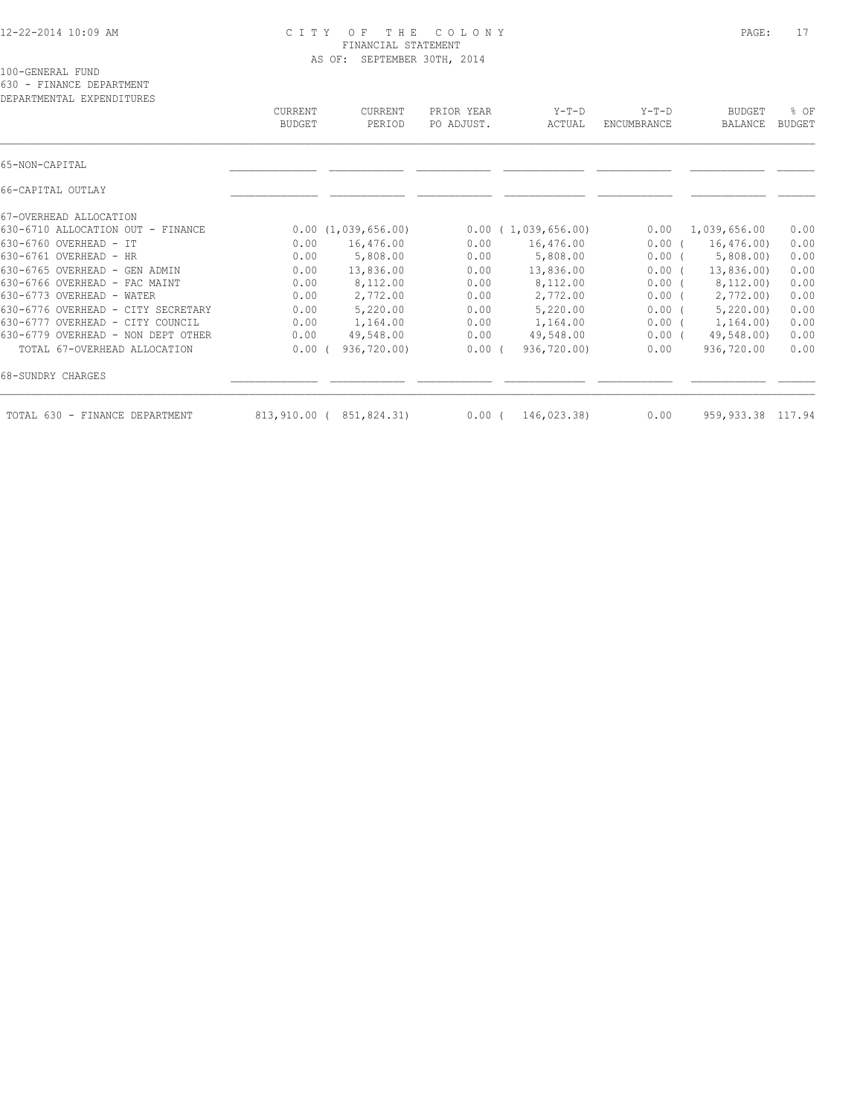#### 12-22-2014 10:09 AM C I T Y O F T H E C O L O N Y PAGE: 17 FINANCIAL STATEMENT AS OF: SEPTEMBER 30TH, 2014

100-GENERAL FUND

630 - FINANCE DEPARTMENT

| DEPARTMENTAL EXPENDITURES          | CURRENT<br><b>BUDGET</b> | CURRENT<br>PERIOD       | PRIOR YEAR<br>PO ADJUST. | $Y-T-D$<br>ACTUAL  | $Y-T-D$<br>ENCUMBRANCE | <b>BUDGET</b><br><b>BALANCE</b> | % OF<br><b>BUDGET</b> |
|------------------------------------|--------------------------|-------------------------|--------------------------|--------------------|------------------------|---------------------------------|-----------------------|
|                                    |                          |                         |                          |                    |                        |                                 |                       |
| 65-NON-CAPITAL                     |                          |                         |                          |                    |                        |                                 |                       |
| 66-CAPITAL OUTLAY                  |                          |                         |                          |                    |                        |                                 |                       |
| 67-OVERHEAD ALLOCATION             |                          |                         |                          |                    |                        |                                 |                       |
| 630-6710 ALLOCATION OUT - FINANCE  |                          | 0.00(1,039,656.00)      |                          | 0.00(1,039,656.00) | 0.00                   | 1,039,656.00                    | 0.00                  |
| 630-6760 OVERHEAD - IT             | 0.00                     | 16,476.00               | 0.00                     | 16,476.00          | 0.00(                  | 16, 476, 00                     | 0.00                  |
| 630-6761 OVERHEAD - HR             | 0.00                     | 5,808.00                | 0.00                     | 5,808.00           | $0.00$ (               | 5,808.00                        | 0.00                  |
| 630-6765 OVERHEAD - GEN ADMIN      | 0.00                     | 13,836.00               | 0.00                     | 13,836.00          | $0.00$ (               | 13,836.00)                      | 0.00                  |
| 630-6766 OVERHEAD - FAC MAINT      | 0.00                     | 8,112.00                | 0.00                     | 8,112.00           | 0.00(                  | 8,112.00)                       | 0.00                  |
| 630-6773 OVERHEAD - WATER          | 0.00                     | 2,772.00                | 0.00                     | 2,772.00           | $0.00$ (               | 2,772.00                        | 0.00                  |
| 630-6776 OVERHEAD - CITY SECRETARY | 0.00                     | 5,220.00                | 0.00                     | 5,220.00           | 0.00(                  | 5,220.00                        | 0.00                  |
| 630-6777 OVERHEAD - CITY COUNCIL   | 0.00                     | 1,164.00                | 0.00                     | 1,164.00           | 0.00(                  | 1,164.00)                       | 0.00                  |
| 630-6779 OVERHEAD - NON DEPT OTHER | 0.00                     | 49,548.00               | 0.00                     | 49,548.00          | $0.00$ (               | 49,548.00)                      | 0.00                  |
| TOTAL 67-OVERHEAD ALLOCATION       | 0.00                     | 936,720.00)             | 0.00(                    | 936,720.00)        | 0.00                   | 936,720.00                      | 0.00                  |
| 68-SUNDRY CHARGES                  |                          |                         |                          |                    |                        |                                 |                       |
| TOTAL 630 - FINANCE DEPARTMENT     |                          | 813,910.00 (851,824.31) | 0.00(                    | 146,023.38)        | 0.00                   | 959, 933.38 117.94              |                       |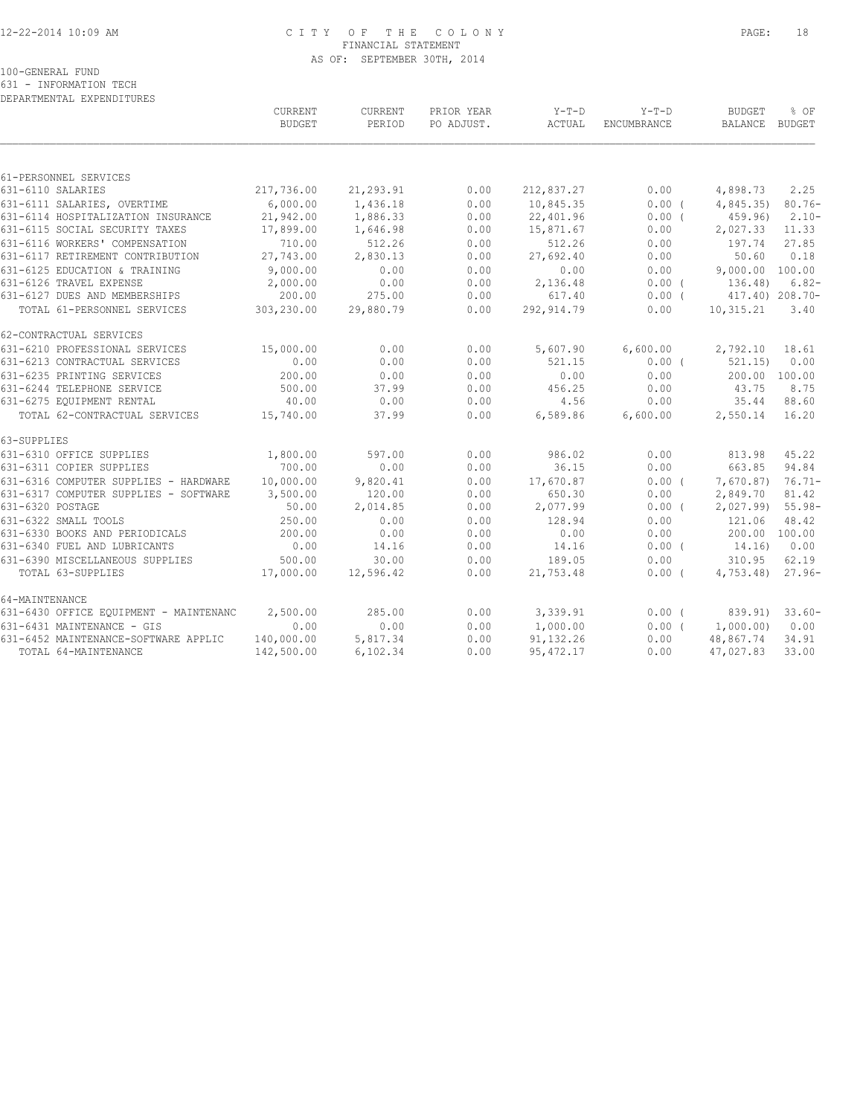## 12-22-2014 10:09 AM C I T Y O F T H E C O L O N Y PAGE: 18 FINANCIAL STATEMENT AS OF: SEPTEMBER 30TH, 2014

100-GENERAL FUND

631 - INFORMATION TECH DEPARTMENTAL EXPENDITURES

|                                        | <b>CURRENT</b><br><b>BUDGET</b> | <b>CURRENT</b><br>PERIOD | PRIOR YEAR<br>PO ADJUST. | $Y-T-D$<br>ACTUAL | $Y-T-D$<br>ENCUMBRANCE | <b>BUDGET</b><br>BALANCE BUDGET | % OF      |
|----------------------------------------|---------------------------------|--------------------------|--------------------------|-------------------|------------------------|---------------------------------|-----------|
|                                        |                                 |                          |                          |                   |                        |                                 |           |
| 61-PERSONNEL SERVICES                  |                                 |                          |                          |                   |                        |                                 |           |
| 631-6110 SALARIES                      | 217,736.00                      | 21,293.91                | 0.00                     | 212,837.27        | 0.00                   | 4,898.73                        | 2.25      |
| 631-6111 SALARIES, OVERTIME            | 6,000.00                        | 1,436.18                 | 0.00                     | 10,845.35         | $0.00$ (               | 4,845.35)                       | $80.76 -$ |
| 631-6114 HOSPITALIZATION INSURANCE     | 21,942.00                       | 1,886.33                 | 0.00                     | 22,401.96         | 0.00(                  | 459.96                          | $2.10-$   |
| 631-6115 SOCIAL SECURITY TAXES         | 17,899.00                       | 1,646.98                 | 0.00                     | 15,871.67         | 0.00                   | 2,027.33                        | 11.33     |
| 631-6116 WORKERS' COMPENSATION         | 710.00                          | 512.26                   | 0.00                     | 512.26            | 0.00                   | 197.74                          | 27.85     |
| 631-6117 RETIREMENT CONTRIBUTION       | 27,743.00                       | 2,830.13                 | 0.00                     | 27,692.40         | 0.00                   | 50.60                           | 0.18      |
| 631-6125 EDUCATION & TRAINING          | 9,000.00                        | 0.00                     | 0.00                     | 0.00              | 0.00                   | 9,000.00 100.00                 |           |
| 631-6126 TRAVEL EXPENSE                | 2,000.00                        | 0.00                     | 0.00                     | 2,136.48          | 0.00(                  | 136.48)                         | $6.82-$   |
| 631-6127 DUES AND MEMBERSHIPS          | 200.00                          | 275.00                   | 0.00                     | 617.40            | $0.00$ (               | 417.40) 208.70-                 |           |
| TOTAL 61-PERSONNEL SERVICES            | 303,230.00                      | 29,880.79                | 0.00                     | 292, 914.79       | 0.00                   | 10,315.21                       | 3.40      |
| 62-CONTRACTUAL SERVICES                |                                 |                          |                          |                   |                        |                                 |           |
| 631-6210 PROFESSIONAL SERVICES         | 15,000.00                       | 0.00                     | 0.00                     | 5,607.90          | 6,600.00               | 2,792.10                        | 18.61     |
| 631-6213 CONTRACTUAL SERVICES          | 0.00                            | 0.00                     | 0.00                     | 521.15            | 0.00(                  | 521.15)                         | 0.00      |
| 631-6235 PRINTING SERVICES             | 200.00                          | 0.00                     | 0.00                     | 0.00              | 0.00                   | 200.00 100.00                   |           |
| 631-6244 TELEPHONE SERVICE             | 500.00                          | 37.99                    | 0.00                     | 456.25            | 0.00                   | 43.75                           | 8.75      |
| 631-6275 EQUIPMENT RENTAL              | 40.00                           | 0.00                     | 0.00                     | 4.56              | 0.00                   | 35.44                           | 88.60     |
| TOTAL 62-CONTRACTUAL SERVICES          | 15,740.00                       | 37.99                    | 0.00                     | 6,589.86          | 6,600.00               | 2,550.14                        | 16.20     |
| 63-SUPPLIES                            |                                 |                          |                          |                   |                        |                                 |           |
| 631-6310 OFFICE SUPPLIES               | 1,800.00                        | 597.00                   | 0.00                     | 986.02            | 0.00                   | 813.98                          | 45.22     |
| 631-6311 COPIER SUPPLIES               | 700.00                          | 0.00                     | 0.00                     | 36.15             | 0.00                   | 663.85                          | 94.84     |
| 631-6316 COMPUTER SUPPLIES - HARDWARE  | 10,000.00                       | 9,820.41                 | 0.00                     | 17,670.87         | $0.00$ (               | 7,670.87)                       | $76.71-$  |
| 631-6317 COMPUTER SUPPLIES - SOFTWARE  | 3,500.00                        | 120.00                   | 0.00                     | 650.30            | 0.00                   | 2,849.70                        | 81.42     |
| 631-6320 POSTAGE                       | 50.00                           | 2,014.85                 | 0.00                     | 2,077.99          | $0.00$ (               | 2,027.99                        | $55.98-$  |
| 631-6322 SMALL TOOLS                   | 250.00                          | 0.00                     | 0.00                     | 128.94            | 0.00                   | 121.06                          | 48.42     |
| 631-6330 BOOKS AND PERIODICALS         | 200.00                          | 0.00                     | 0.00                     | 0.00              | 0.00                   | 200.00 100.00                   |           |
| 631-6340 FUEL AND LUBRICANTS           | 0.00                            | 14.16                    | 0.00                     | 14.16             | 0.00(                  | 14.16)                          | 0.00      |
| 631-6390 MISCELLANEOUS SUPPLIES        | 500.00                          | 30.00                    | 0.00                     | 189.05            | 0.00                   | 310.95                          | 62.19     |
| TOTAL 63-SUPPLIES                      | 17,000.00                       | 12,596.42                | 0.00                     | 21,753.48         | $0.00$ (               | 4,753.48)                       | $27.96-$  |
| 64-MAINTENANCE                         |                                 |                          |                          |                   |                        |                                 |           |
| 631-6430 OFFICE EQUIPMENT - MAINTENANC | 2,500.00                        | 285.00                   | 0.00                     | 3,339.91          | $0.00$ (               | 839.91)                         | $33.60 -$ |
| 631-6431 MAINTENANCE - GIS             | 0.00                            | 0.00                     | 0.00                     | 1,000.00          | 0.00(                  | 1,000.00)                       | 0.00      |
| 631-6452 MAINTENANCE-SOFTWARE APPLIC   | 140,000.00                      | 5,817.34                 | 0.00                     | 91, 132.26        | 0.00                   | 48,867.74                       | 34.91     |
| TOTAL 64-MAINTENANCE                   | 142,500.00                      | 6,102.34                 | 0.00                     | 95, 472.17        | 0.00                   | 47,027.83                       | 33.00     |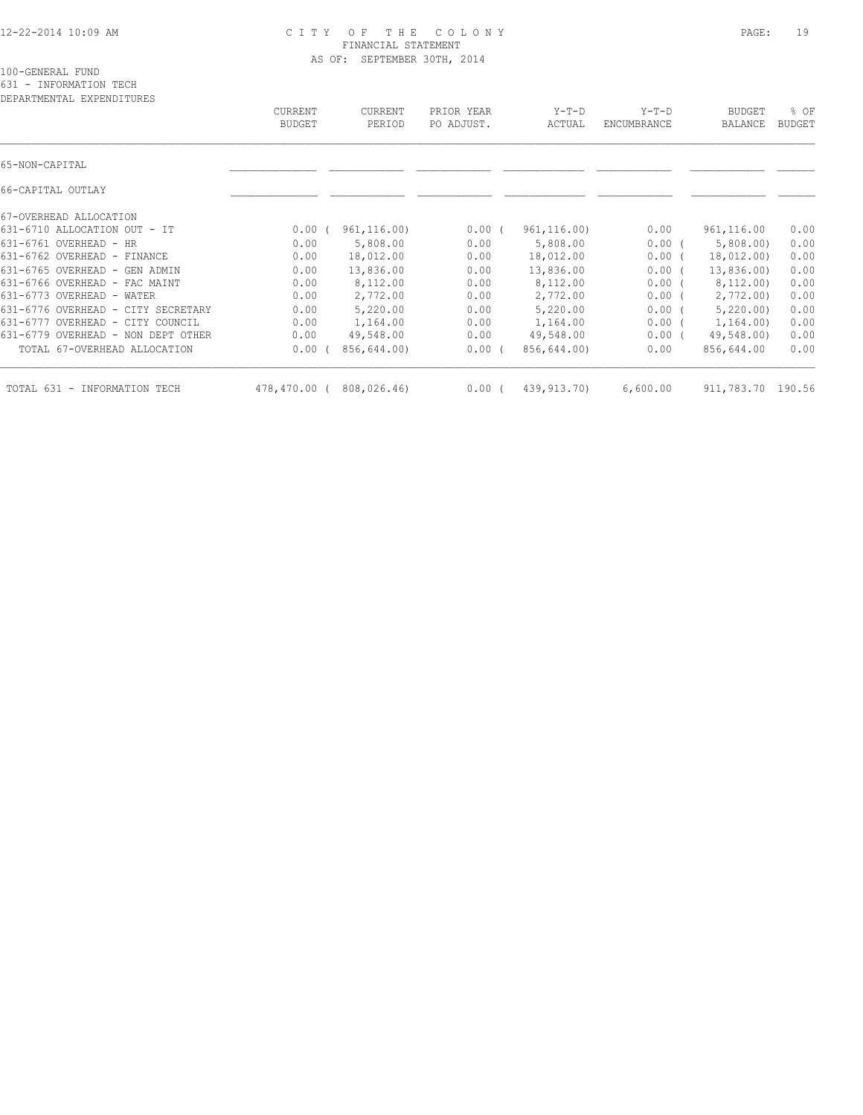#### 12-22-2014 10:09 AM C I T Y O F T H E C O L O N Y PAGE: 19 FINANCIAL STATEMENT AS OF: SEPTEMBER 30TH, 2014

100-GENERAL FUND

631 - INFORMATION TECH

| DEPARTMENTAL EXPENDITURES          | <b>CURRENT</b><br><b>BUDGET</b> | CURRENT<br>PERIOD | PRIOR YEAR<br>PO ADJUST. | $Y-T-D$<br>ACTUAL | $Y-T-D$<br>ENCUMBRANCE | <b>BUDGET</b><br>BALANCE | % OF<br><b>BUDGET</b> |
|------------------------------------|---------------------------------|-------------------|--------------------------|-------------------|------------------------|--------------------------|-----------------------|
| 65-NON-CAPITAL                     |                                 |                   |                          |                   |                        |                          |                       |
| 66-CAPITAL OUTLAY                  |                                 |                   |                          |                   |                        |                          |                       |
| 67-OVERHEAD ALLOCATION             |                                 |                   |                          |                   |                        |                          |                       |
| 631-6710 ALLOCATION OUT - IT       | $0.00$ (                        | 961, 116.00)      | 0.00(                    | 961, 116.00       | 0.00                   | 961, 116.00              | 0.00                  |
| $631-6761$ OVERHEAD - HR           | 0.00                            | 5,808.00          | 0.00                     | 5,808.00          | $0.00$ (               | 5,808.00                 | 0.00                  |
| 631-6762 OVERHEAD - FINANCE        | 0.00                            | 18,012.00         | 0.00                     | 18,012.00         | $0.00$ (               | 18,012.00)               | 0.00                  |
| 631-6765 OVERHEAD - GEN ADMIN      | 0.00                            | 13,836.00         | 0.00                     | 13,836.00         | 0.00(                  | 13,836.00)               | 0.00                  |
| 631-6766 OVERHEAD - FAC MAINT      | 0.00                            | 8,112.00          | 0.00                     | 8,112.00          | 0.00(                  | 8,112.00)                | 0.00                  |
| 631-6773 OVERHEAD - WATER          | 0.00                            | 2,772.00          | 0.00                     | 2,772.00          | 0.00(                  | 2,772.00)                | 0.00                  |
| 631-6776 OVERHEAD - CITY SECRETARY | 0.00                            | 5,220.00          | 0.00                     | 5,220.00          | 0.00(                  | 5,220.00                 | 0.00                  |
| 631-6777 OVERHEAD - CITY COUNCIL   | 0.00                            | 1,164.00          | 0.00                     | 1,164.00          | $0.00$ (               | 1,164.00)                | 0.00                  |
| 631-6779 OVERHEAD - NON DEPT OTHER | 0.00                            | 49,548.00         | 0.00                     | 49,548.00         | $0.00$ (               | 49,548.00)               | 0.00                  |
| TOTAL 67-OVERHEAD ALLOCATION       | 0.00                            | 856,644.00)       | $0.00$ (                 | 856,644.00)       | 0.00                   | 856,644.00               | 0.00                  |
| TOTAL 631<br>- INFORMATION TECH    | 478,470.00 (                    | 808,026.46)       | 0.00(                    | 439, 913. 70)     | 6,600.00               | 911,783.70               | 190.56                |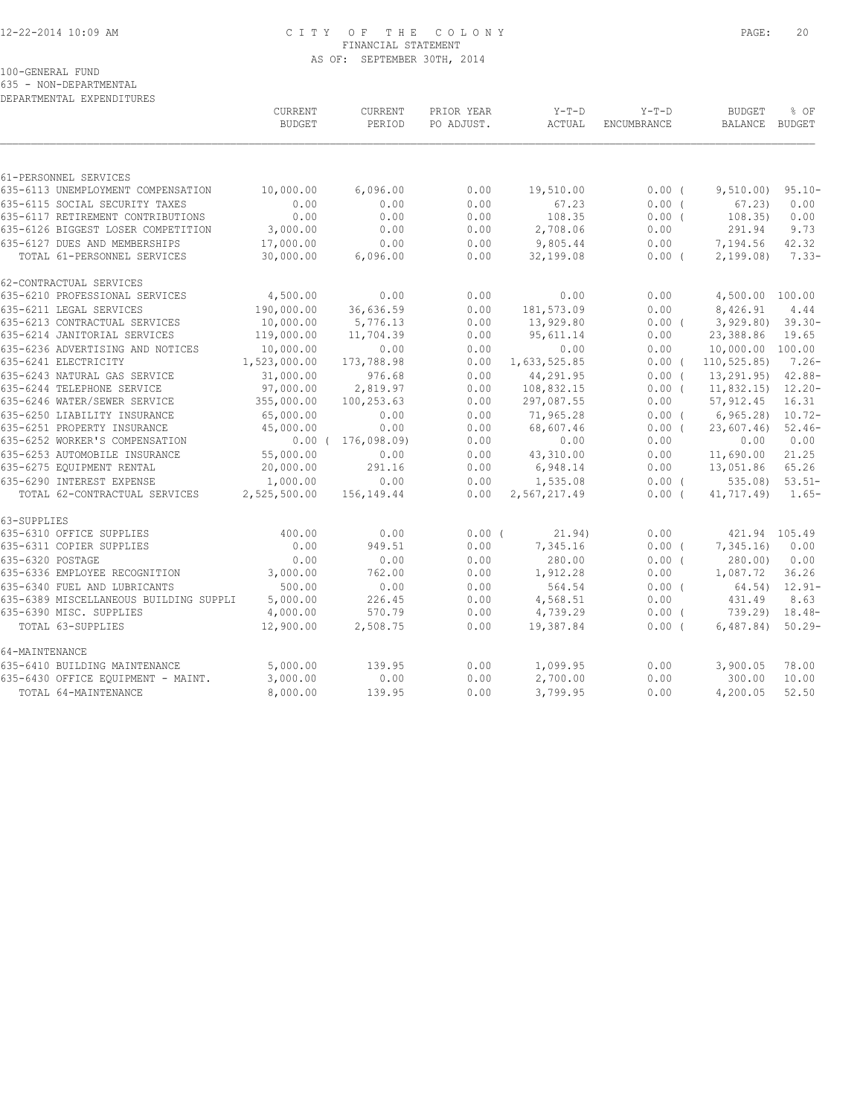## 12-22-2014 10:09 AM C I T Y O F T H E C O L O N Y PAGE: 20 FINANCIAL STATEMENT AS OF: SEPTEMBER 30TH, 2014

100-GENERAL FUND

635 - NON-DEPARTMENTAL

| DEPARTMENTAL EXPENDITURES |
|---------------------------|
|                           |

|                                                              | CURRENT<br><b>BUDGET</b> | CURRENT<br>PERIOD | PRIOR YEAR<br>PO ADJUST. | $Y-T-D$<br>ACTUAL      | $Y-T-D$<br><b>ENCUMBRANCE</b> | <b>BUDGET</b><br><b>BALANCE</b> | % OF<br>BUDGET        |
|--------------------------------------------------------------|--------------------------|-------------------|--------------------------|------------------------|-------------------------------|---------------------------------|-----------------------|
|                                                              |                          |                   |                          |                        |                               |                                 |                       |
| 61-PERSONNEL SERVICES<br>635-6113 UNEMPLOYMENT COMPENSATION  | 10,000.00                | 6,096.00          | 0.00                     | 19,510.00              | 0.00(                         | 9,510.00)                       | $95.10 -$             |
| 635-6115 SOCIAL SECURITY TAXES                               | 0.00                     | 0.00              | 0.00                     | 67.23                  | $0.00$ (                      | 67.23                           | 0.00                  |
| 635-6117 RETIREMENT CONTRIBUTIONS                            | 0.00                     | 0.00              | 0.00                     | 108.35                 | 0.00(                         | 108.35)                         | 0.00                  |
| 635-6126 BIGGEST LOSER COMPETITION                           | 3,000.00                 | 0.00              | 0.00                     | 2,708.06               | 0.00                          | 291.94                          | 9.73                  |
| 635-6127 DUES AND MEMBERSHIPS                                | 17,000.00                | 0.00              | 0.00                     | 9,805.44               | 0.00                          | 7,194.56                        | 42.32                 |
| TOTAL 61-PERSONNEL SERVICES                                  | 30,000.00                | 6,096.00          | 0.00                     | 32,199.08              | 0.00(                         | 2,199.08                        | $7.33-$               |
| 62-CONTRACTUAL SERVICES                                      |                          |                   |                          |                        |                               |                                 |                       |
| 635-6210 PROFESSIONAL SERVICES                               | 4,500.00                 | 0.00              | 0.00                     | 0.00                   | 0.00                          | 4,500.00 100.00                 |                       |
| 635-6211 LEGAL SERVICES                                      | 190,000.00               | 36,636.59         | 0.00                     | 181,573.09             | 0.00                          | 8,426.91                        | 4.44                  |
| 635-6213 CONTRACTUAL SERVICES                                | 10,000.00                | 5,776.13          | 0.00                     | 13,929.80              | 0.00(                         | 3,929.80                        | $39.30 -$             |
| 635-6214 JANITORIAL SERVICES                                 | 119,000.00               | 11,704.39         | 0.00                     | 95,611.14              | 0.00                          | 23,388.86                       | 19.65                 |
| 635-6236 ADVERTISING AND NOTICES                             | 10,000.00                | 0.00              | 0.00                     | 0.00                   | 0.00                          | 10,000.00 100.00                |                       |
| 635-6241 ELECTRICITY                                         | 1,523,000.00             | 173,788.98        | 0.00                     | 1,633,525.85           | $0.00$ (                      | 110, 525.85                     | $7.26-$               |
| 635-6243 NATURAL GAS SERVICE                                 | 31,000.00                | 976.68            | 0.00                     | 44,291.95              | 0.00(                         | 13,291.95)                      | $42.88 -$             |
| 635-6244 TELEPHONE SERVICE                                   | 97,000.00                | 2,819.97          | 0.00                     | 108,832.15             | $0.00$ (                      | 11,832.15                       | $12.20 -$             |
| 635-6246 WATER/SEWER SERVICE<br>635-6250 LIABILITY INSURANCE | 355,000.00               | 100,253.63        | 0.00                     | 297,087.55             | 0.00                          | 57, 912.45                      | 16.31                 |
| 635-6251 PROPERTY INSURANCE                                  | 65,000.00<br>45,000.00   | 0.00<br>0.00      | 0.00<br>0.00             | 71,965.28<br>68,607.46 | 0.00(<br>$0.00$ (             | 6, 965.28<br>23,607.46          | $10.72 -$<br>$52.46-$ |
| 635-6252 WORKER'S COMPENSATION                               | $0.00$ (                 | 176,098.09)       | 0.00                     | 0.00                   | 0.00                          | 0.00                            | 0.00                  |
| 635-6253 AUTOMOBILE INSURANCE                                | 55,000.00                | 0.00              | 0.00                     | 43,310.00              | 0.00                          | 11,690.00                       | 21.25                 |
| 635-6275 EQUIPMENT RENTAL                                    | 20,000.00                | 291.16            | 0.00                     | 6,948.14               | 0.00                          | 13,051.86                       | 65.26                 |
| 635-6290 INTEREST EXPENSE                                    | 1,000.00                 | 0.00              | 0.00                     | 1,535.08               | $0.00$ (                      | $535.08$ )                      | $53.51-$              |
| TOTAL 62-CONTRACTUAL SERVICES                                | 2,525,500.00             | 156,149.44        | 0.00                     | 2,567,217.49           | $0.00$ (                      | 41,717.49)                      | $1.65-$               |
| 63-SUPPLIES                                                  |                          |                   |                          |                        |                               |                                 |                       |
| 635-6310 OFFICE SUPPLIES                                     | 400.00                   | 0.00              | $0.00$ (                 | 21.94)                 | 0.00                          | 421.94 105.49                   |                       |
| 635-6311 COPIER SUPPLIES                                     | 0.00                     | 949.51            | 0.00                     | 7,345.16               | $0.00$ (                      | 7,345.16                        | 0.00                  |
| 635-6320 POSTAGE                                             | 0.00                     | 0.00              | 0.00                     | 280.00                 | 0.00(                         | 280.00                          | 0.00                  |
| 635-6336 EMPLOYEE RECOGNITION                                | 3,000.00                 | 762.00            | 0.00                     | 1,912.28               | 0.00                          | 1,087.72                        | 36.26                 |
| 635-6340 FUEL AND LUBRICANTS                                 | 500.00                   | 0.00              | 0.00                     | 564.54                 | $0.00$ (                      | 64.54)                          | $12.91 -$             |
| 635-6389 MISCELLANEOUS BUILDING SUPPLI                       | 5,000.00                 | 226.45            | 0.00                     | 4,568.51               | 0.00                          | 431.49                          | 8.63                  |
| 635-6390 MISC. SUPPLIES                                      | 4,000.00                 | 570.79            | 0.00                     | 4,739.29               | $0.00$ (                      | 739.29)                         | $18.48-$              |
| TOTAL 63-SUPPLIES                                            | 12,900.00                | 2,508.75          | 0.00                     | 19,387.84              | $0.00$ (                      | 6,487.84)                       | $50.29 -$             |
| 64-MAINTENANCE                                               |                          |                   |                          |                        |                               |                                 |                       |
| 635-6410 BUILDING MAINTENANCE                                | 5,000.00                 | 139.95            | 0.00                     | 1,099.95               | 0.00                          | 3,900.05                        | 78.00                 |
| 635-6430 OFFICE EQUIPMENT - MAINT.                           | 3,000.00                 | 0.00              | 0.00                     | 2,700.00               | 0.00                          | 300.00                          | 10.00                 |
| TOTAL 64-MAINTENANCE                                         | 8,000.00                 | 139.95            | 0.00                     | 3,799.95               | 0.00                          | 4,200.05                        | 52.50                 |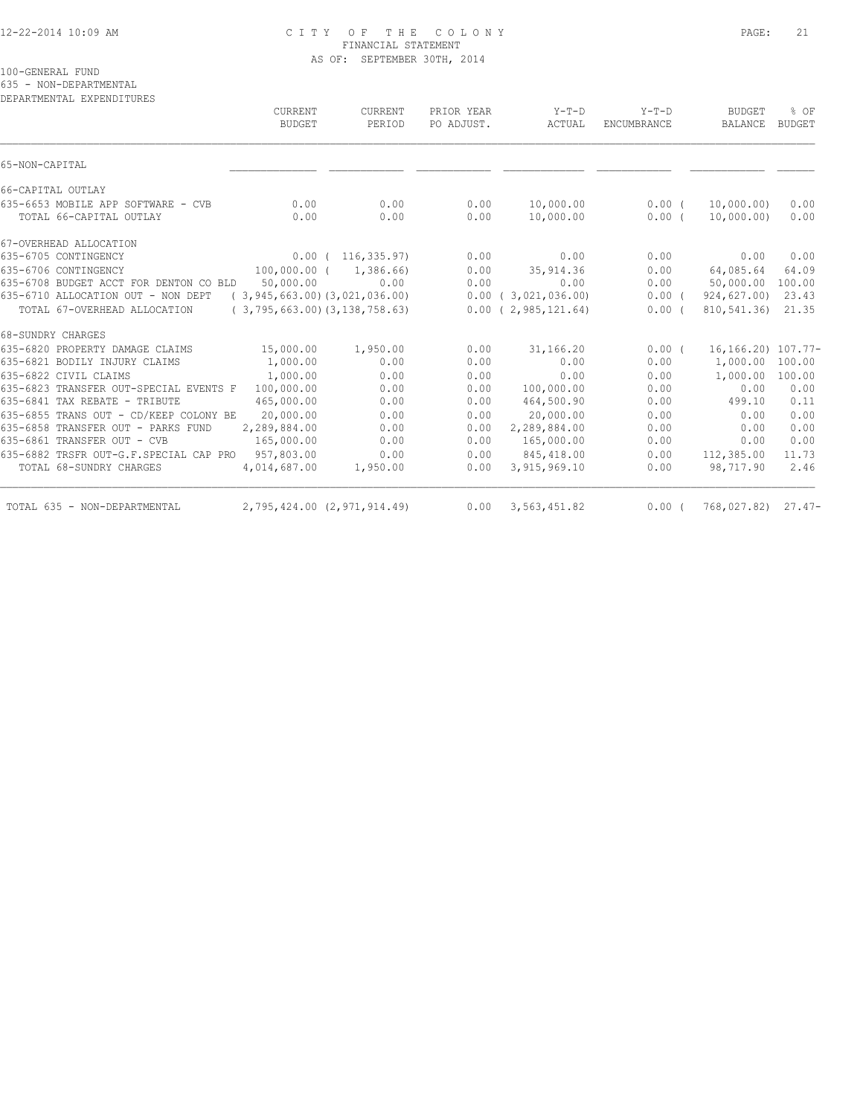#### 12-22-2014 10:09 AM C I T Y O F T H E C O L O N Y PAGE: 21 FINANCIAL STATEMENT AS OF: SEPTEMBER 30TH, 2014

100-GENERAL FUND

635 - NON-DEPARTMENTAL

| DEPARTMENTAL EXPENDITURES                                       |                   |                                         |                          |                                               |                               |                          |                       |
|-----------------------------------------------------------------|-------------------|-----------------------------------------|--------------------------|-----------------------------------------------|-------------------------------|--------------------------|-----------------------|
|                                                                 | CURRENT<br>BUDGET | CURRENT<br>PERIOD                       | PRIOR YEAR<br>PO ADJUST. | $Y-T-D$<br>ACTUAL                             | $Y-T-D$<br><b>ENCUMBRANCE</b> | <b>BUDGET</b><br>BALANCE | % OF<br><b>BUDGET</b> |
| 65-NON-CAPITAL                                                  |                   |                                         |                          |                                               |                               |                          |                       |
| 66-CAPITAL OUTLAY                                               |                   |                                         |                          |                                               |                               |                          |                       |
| 635-6653 MOBILE APP SOFTWARE - CVB                              | 0.00              | 0.00                                    | 0.00                     | 10,000.00                                     | $0.00$ (                      | 10,000.00)               | 0.00                  |
| TOTAL 66-CAPITAL OUTLAY                                         | 0.00              | 0.00                                    | 0.00                     | 10,000.00                                     | $0.00$ (                      | 10,000.00)               | 0.00                  |
| 67-OVERHEAD ALLOCATION                                          |                   |                                         |                          |                                               |                               |                          |                       |
| 635-6705 CONTINGENCY                                            |                   | 0.00(116,335.97)                        | 0.00                     | 0.00                                          | 0.00                          | 0.00                     | 0.00                  |
| 635-6706 CONTINGENCY                                            |                   | 100,000.00 ( 1,386.66)                  | 0.00                     | 35, 914.36                                    | 0.00                          | 64,085.64                | 64.09                 |
| 635-6708 BUDGET ACCT FOR DENTON CO BLD 50,000.00                |                   | 0.00                                    | 0.00                     | 0.00                                          | 0.00                          | 50,000.00 100.00         |                       |
| 635-6710 ALLOCATION OUT - NON DEPT (3,945,663.00)(3,021,036.00) |                   |                                         |                          | $0.00$ ( 3,021,036.00)                        | 0.00(                         | 924,627.00) 23.43        |                       |
| TOTAL 67-OVERHEAD ALLOCATION                                    |                   | $(3, 795, 663, 00)$ $(3, 138, 758, 63)$ |                          | $0.00$ ( 2,985,121.64)                        | 0.00(                         | 810,541.36)              | 21.35                 |
| 68-SUNDRY CHARGES                                               |                   |                                         |                          |                                               |                               |                          |                       |
| 635-6820 PROPERTY DAMAGE CLAIMS                                 | 15,000.00         | 1,950.00                                | 0.00                     | 31,166.20                                     | 0.00(                         | 16, 166. 20) 107. 77-    |                       |
| 635-6821 BODILY INJURY CLAIMS                                   | 1,000.00          | 0.00                                    | 0.00                     | 0.00                                          | 0.00                          | 1,000.00 100.00          |                       |
| 635-6822 CIVIL CLAIMS                                           | 1,000.00          | 0.00                                    | 0.00                     | 0.00                                          | 0.00                          | 1,000.00                 | 100.00                |
| 635-6823 TRANSFER OUT-SPECIAL EVENTS F 100,000.00               |                   | 0.00                                    | 0.00                     | 100,000.00                                    | 0.00                          | 0.00                     | 0.00                  |
| 635-6841 TAX REBATE - TRIBUTE                                   | 465,000.00        | 0.00                                    | 0.00                     | 464,500.90                                    | 0.00                          | 499.10                   | 0.11                  |
| 635-6855 TRANS OUT - CD/KEEP COLONY BE                          | 20,000.00         | 0.00                                    | 0.00                     | 20,000.00                                     | 0.00                          | 0.00                     | 0.00                  |
| 635-6858 TRANSFER OUT - PARKS FUND                              | 2,289,884.00      | 0.00                                    | 0.00                     | 2,289,884.00                                  | 0.00                          | 0.00                     | 0.00                  |
| 635-6861 TRANSFER OUT - CVB                                     | 165,000.00        | 0.00                                    | 0.00                     | 165,000.00                                    | 0.00                          | 0.00                     | 0.00                  |
| 635-6882 TRSFR OUT-G.F.SPECIAL CAP PRO 957,803.00               |                   | 0.00                                    | 0.00                     | 845,418.00                                    | 0.00                          | 112,385.00               | 11.73                 |
| TOTAL 68-SUNDRY CHARGES                                         | 4,014,687.00      | 1,950.00                                | 0.00                     | 3,915,969.10                                  | 0.00                          | 98,717.90                | 2.46                  |
| TOTAL 635 - NON-DEPARTMENTAL                                    |                   |                                         |                          | 2,795,424.00 (2,971,914.49) 0.00 3,563,451.82 | 0.00(                         | 768,027.82) 27.47-       |                       |
|                                                                 |                   |                                         |                          |                                               |                               |                          |                       |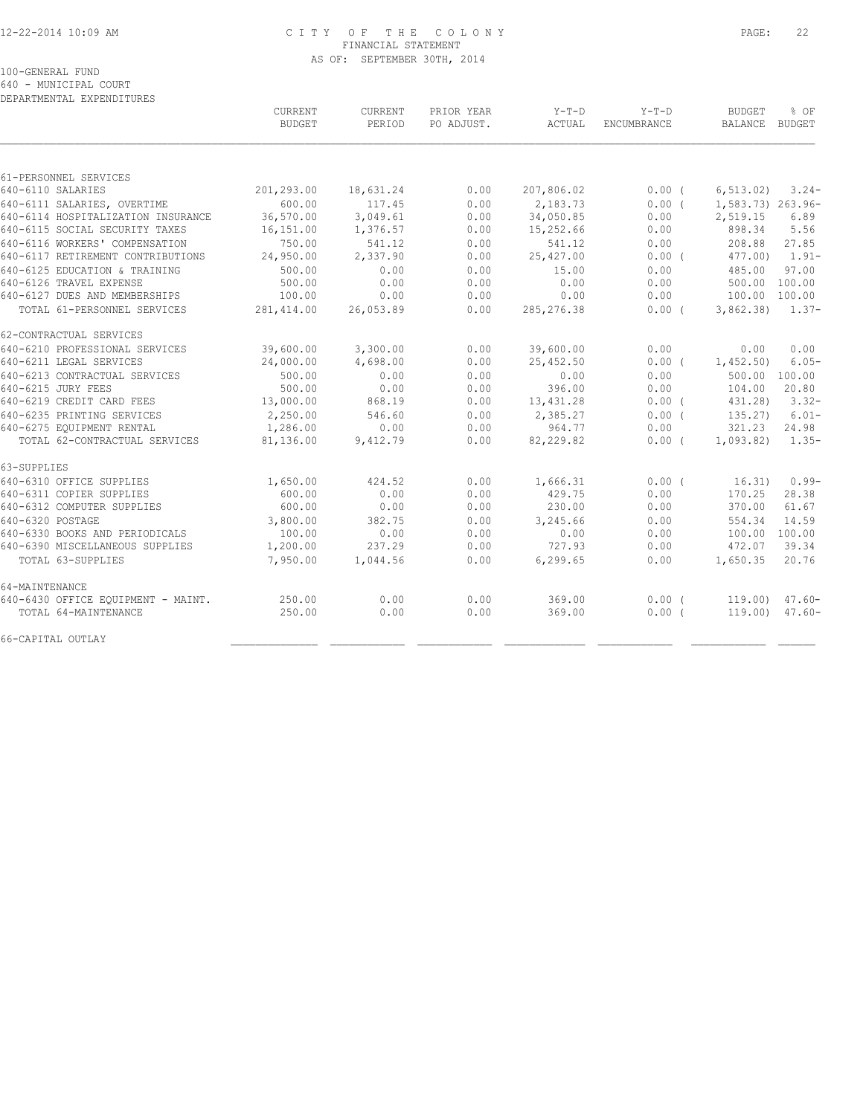## 12-22-2014 10:09 AM C I T Y O F T H E C O L O N Y PAGE: 22 FINANCIAL STATEMENT AS OF: SEPTEMBER 30TH, 2014

100-GENERAL FUND

640 - MUNICIPAL COURT

| DEPARTMENTAL EXPENDITURES          |                          |                   |                          |                   |                        |                                 |           |
|------------------------------------|--------------------------|-------------------|--------------------------|-------------------|------------------------|---------------------------------|-----------|
|                                    | CURRENT<br><b>BUDGET</b> | CURRENT<br>PERIOD | PRIOR YEAR<br>PO ADJUST. | $Y-T-D$<br>ACTUAL | $Y-T-D$<br>ENCUMBRANCE | <b>BUDGET</b><br>BALANCE BUDGET | % OF      |
|                                    |                          |                   |                          |                   |                        |                                 |           |
| 61-PERSONNEL SERVICES              |                          |                   |                          |                   |                        |                                 |           |
| 640-6110 SALARIES                  | 201,293.00               | 18,631.24         | 0.00                     | 207,806.02        | 0.00(                  | 6, 513, 02)                     | $3.24-$   |
| 640-6111 SALARIES, OVERTIME        | 600.00                   | 117.45            | 0.00                     | 2,183.73          | 0.00(                  | 1,583.73) 263.96-               |           |
| 640-6114 HOSPITALIZATION INSURANCE | 36,570.00                | 3,049.61          | 0.00                     | 34,050.85         | 0.00                   | 2,519.15                        | 6.89      |
| 640-6115 SOCIAL SECURITY TAXES     | 16,151.00                | 1,376.57          | 0.00                     | 15,252.66         | 0.00                   | 898.34                          | 5.56      |
| 640-6116 WORKERS' COMPENSATION     | 750.00                   | 541.12            | 0.00                     | 541.12            | 0.00                   | 208.88                          | 27.85     |
| 640-6117 RETIREMENT CONTRIBUTIONS  | 24,950.00                | 2,337.90          | 0.00                     | 25,427.00         | $0.00$ (               | 477.00)                         | $1.91 -$  |
| 640-6125 EDUCATION & TRAINING      | 500.00                   | 0.00              | 0.00                     | 15.00             | 0.00                   | 485.00                          | 97.00     |
| 640-6126 TRAVEL EXPENSE            | 500.00                   | 0.00              | 0.00                     | 0.00              | 0.00                   | 500.00 100.00                   |           |
| 640-6127 DUES AND MEMBERSHIPS      | 100.00                   | 0.00              | 0.00                     | 0.00              | 0.00                   | 100.00 100.00                   |           |
| TOTAL 61-PERSONNEL SERVICES        | 281, 414.00              | 26,053.89         | 0.00                     | 285, 276.38       | 0.00(                  | 3,862.38                        | $1.37-$   |
| 62-CONTRACTUAL SERVICES            |                          |                   |                          |                   |                        |                                 |           |
| 640-6210 PROFESSIONAL SERVICES     | 39,600.00                | 3,300.00          | 0.00                     | 39,600.00         | 0.00                   | 0.00                            | 0.00      |
| 640-6211 LEGAL SERVICES            | 24,000.00                | 4,698.00          | 0.00                     | 25,452.50         | $0.00$ (               | 1,452.50                        | $6.05 -$  |
| 640-6213 CONTRACTUAL SERVICES      | 500.00                   | 0.00              | 0.00                     | 0.00              | 0.00                   | 500.00 100.00                   |           |
| 640-6215 JURY FEES                 | 500.00                   | 0.00              | 0.00                     | 396.00            | 0.00                   | 104.00                          | 20.80     |
| 640-6219 CREDIT CARD FEES          | 13,000.00                | 868.19            | 0.00                     | 13,431.28         | 0.00(                  | 431.28)                         | $3.32 -$  |
| 640-6235 PRINTING SERVICES         | 2,250.00                 | 546.60            | 0.00                     | 2,385.27          | 0.00(                  | 135.27)                         | $6.01 -$  |
| 640-6275 EOUIPMENT RENTAL          | 1,286.00                 | 0.00              | 0.00                     | 964.77            | 0.00                   | 321.23                          | 24.98     |
| TOTAL 62-CONTRACTUAL SERVICES      | 81,136.00                | 9,412.79          | 0.00                     | 82,229.82         | 0.00(                  | 1,093.82)                       | $1.35-$   |
| 63-SUPPLIES                        |                          |                   |                          |                   |                        |                                 |           |
| 640-6310 OFFICE SUPPLIES           | 1,650.00                 | 424.52            | 0.00                     | 1,666.31          | 0.00(                  | 16.31)                          | $0.99 -$  |
| 640-6311 COPIER SUPPLIES           | 600.00                   | 0.00              | 0.00                     | 429.75            | 0.00                   | 170.25                          | 28.38     |
| 640-6312 COMPUTER SUPPLIES         | 600.00                   | 0.00              | 0.00                     | 230.00            | 0.00                   | 370.00                          | 61.67     |
| 640-6320 POSTAGE                   | 3,800.00                 | 382.75            | 0.00                     | 3,245.66          | 0.00                   | 554.34                          | 14.59     |
| 640-6330 BOOKS AND PERIODICALS     | 100.00                   | 0.00              | 0.00                     | 0.00              | 0.00                   | 100.00                          | 100.00    |
| 640-6390 MISCELLANEOUS SUPPLIES    | 1,200.00                 | 237.29            | 0.00                     | 727.93            | 0.00                   | 472.07                          | 39.34     |
| TOTAL 63-SUPPLIES                  | 7,950.00                 | 1,044.56          | 0.00                     | 6,299.65          | 0.00                   | 1,650.35                        | 20.76     |
| 64-MAINTENANCE                     |                          |                   |                          |                   |                        |                                 |           |
| 640-6430 OFFICE EQUIPMENT - MAINT. | 250.00                   | 0.00              | 0.00                     | 369.00            | $0.00$ (               | 119.00)                         | $47.60 -$ |
| TOTAL 64-MAINTENANCE               | 250.00                   | 0.00              | 0.00                     | 369.00            | 0.00(                  | 119.00)                         | $47.60 -$ |
| 66-CAPITAL OUTLAY                  |                          |                   |                          |                   |                        |                                 |           |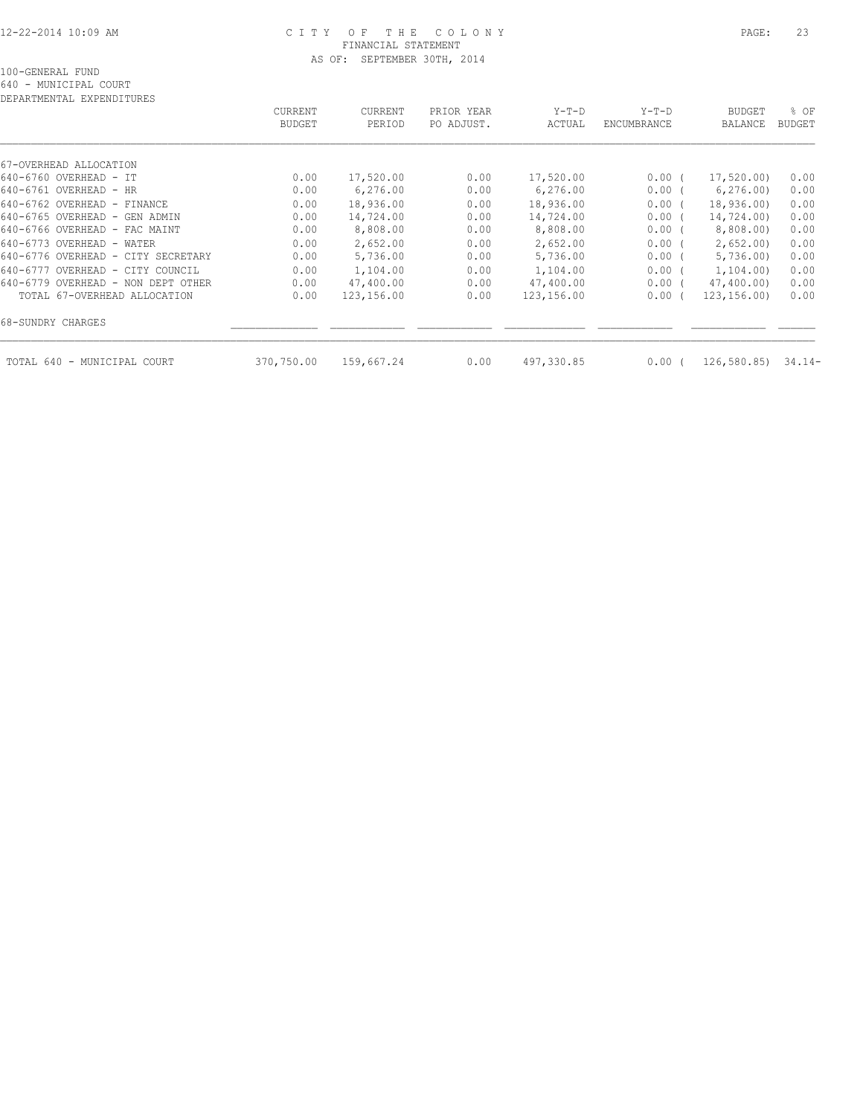#### 12-22-2014 10:09 AM C I T Y O F T H E C O L O N Y PAGE: 23 FINANCIAL STATEMENT AS OF: SEPTEMBER 30TH, 2014

640 - MUNICIPAL COURT

| DEPARTMENTAL EXPENDITURES          |               |            |            |            |             |                |               |
|------------------------------------|---------------|------------|------------|------------|-------------|----------------|---------------|
|                                    | CURRENT       | CURRENT    | PRIOR YEAR | $Y-T-D$    | $Y-T-D$     | <b>BUDGET</b>  | % OF          |
|                                    | <b>BUDGET</b> | PERIOD     | PO ADJUST. | ACTUAL     | ENCUMBRANCE | <b>BALANCE</b> | <b>BUDGET</b> |
|                                    |               |            |            |            |             |                |               |
| 67-OVERHEAD ALLOCATION             |               |            |            |            |             |                |               |
| 640-6760 OVERHEAD - IT             | 0.00          | 17,520.00  | 0.00       | 17,520.00  | 0.00(       | 17,520.00)     | 0.00          |
| 640-6761 OVERHEAD - HR             | 0.00          | 6, 276.00  | 0.00       | 6, 276.00  | $0.00$ (    | 6, 276.00      | 0.00          |
| 640-6762 OVERHEAD - FINANCE        | 0.00          | 18,936.00  | 0.00       | 18,936.00  | 0.00(       | 18,936.00      | 0.00          |
| 640-6765 OVERHEAD - GEN ADMIN      | 0.00          | 14,724.00  | 0.00       | 14,724.00  | 0.00(       | 14,724.00)     | 0.00          |
| 640-6766 OVERHEAD - FAC MAINT      | 0.00          | 8,808.00   | 0.00       | 8,808.00   | 0.00(       | 8,808.00)      | 0.00          |
| 640-6773 OVERHEAD - WATER          | 0.00          | 2,652.00   | 0.00       | 2,652.00   | 0.00(       | 2,652.00       | 0.00          |
| 640-6776 OVERHEAD - CITY SECRETARY | 0.00          | 5,736.00   | 0.00       | 5,736.00   | 0.00(       | 5,736.00)      | 0.00          |
| 640-6777 OVERHEAD - CITY COUNCIL   | 0.00          | 1,104.00   | 0.00       | 1,104.00   | 0.00(       | 1, 104, 00)    | 0.00          |
| 640-6779 OVERHEAD - NON DEPT OTHER | 0.00          | 47,400.00  | 0.00       | 47,400.00  | $0.00$ (    | 47,400.00)     | 0.00          |
| TOTAL 67-OVERHEAD ALLOCATION       | 0.00          | 123,156.00 | 0.00       | 123,156.00 | 0.00(       | 123, 156, 00)  | 0.00          |
| 68-SUNDRY CHARGES                  |               |            |            |            |             |                |               |
| TOTAL 640 - MUNICIPAL COURT        | 370,750.00    | 159,667.24 | 0.00       | 497,330.85 | 0.00(       | 126,580.85     | $34.14-$      |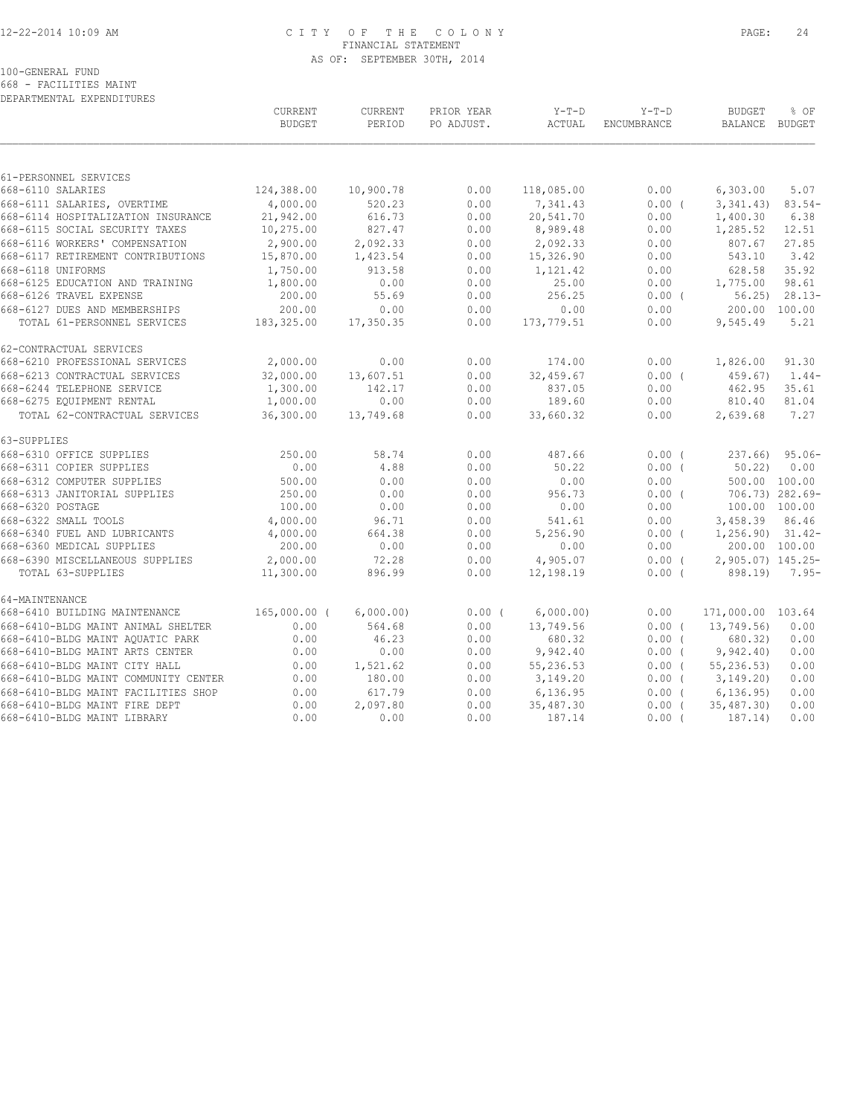## 12-22-2014 10:09 AM C I T Y O F T H E C O L O N Y PAGE: 24 FINANCIAL STATEMENT AS OF: SEPTEMBER 30TH, 2014

100-GENERAL FUND

668 - FACILITIES MAINT DEPARTMENTAL EXPENDITURES

|                                      | CURRENT<br><b>BUDGET</b> | CURRENT<br>PERIOD | PRIOR YEAR<br>PO ADJUST. | $Y-T-D$<br>ACTUAL | $Y-T-D$<br>ENCUMBRANCE | <b>BUDGET</b><br>BALANCE BUDGET | % OF            |
|--------------------------------------|--------------------------|-------------------|--------------------------|-------------------|------------------------|---------------------------------|-----------------|
|                                      |                          |                   |                          |                   |                        |                                 |                 |
| 61-PERSONNEL SERVICES                |                          |                   |                          |                   |                        |                                 |                 |
| 668-6110 SALARIES                    | 124,388.00               | 10,900.78         | 0.00                     | 118,085.00        | 0.00                   | 6,303.00                        | 5.07            |
| 668-6111 SALARIES, OVERTIME          | 4,000.00                 | 520.23            | 0.00                     | 7,341.43          | $0.00$ (               | 3,341.43)                       | $83.54-$        |
| 668-6114 HOSPITALIZATION INSURANCE   | 21,942.00                | 616.73            | 0.00                     | 20,541.70         | 0.00                   | 1,400.30                        | 6.38            |
| 668-6115 SOCIAL SECURITY TAXES       | 10,275.00                | 827.47            | 0.00                     | 8,989.48          | 0.00                   | 1,285.52                        | 12.51           |
| 668-6116 WORKERS' COMPENSATION       | 2,900.00                 | 2,092.33          | 0.00                     | 2,092.33          | 0.00                   | 807.67                          | 27.85           |
| 668-6117 RETIREMENT CONTRIBUTIONS    | 15,870.00                | 1,423.54          | 0.00                     | 15,326.90         | 0.00                   | 543.10                          | 3.42            |
| 668-6118 UNIFORMS                    | 1,750.00                 | 913.58            | 0.00                     | 1,121.42          | 0.00                   | 628.58                          | 35.92           |
| 668-6125 EDUCATION AND TRAINING      | 1,800.00                 | 0.00              | 0.00                     | 25.00             | 0.00                   | 1,775.00                        | 98.61           |
| 668-6126 TRAVEL EXPENSE              | 200.00                   | 55.69             | 0.00                     | 256.25            | $0.00$ (               | 56.25                           | $28.13-$        |
| 668-6127 DUES AND MEMBERSHIPS        | 200.00                   | 0.00              | 0.00                     | 0.00              | 0.00                   | 200.00 100.00                   |                 |
| TOTAL 61-PERSONNEL SERVICES          | 183,325.00               | 17,350.35         | 0.00                     | 173,779.51        | 0.00                   | 9,545.49                        | 5.21            |
| 62-CONTRACTUAL SERVICES              |                          |                   |                          |                   |                        |                                 |                 |
| 668-6210 PROFESSIONAL SERVICES       | 2,000.00                 | 0.00              | 0.00                     | 174.00            | 0.00                   | 1,826.00                        | 91.30           |
| 668-6213 CONTRACTUAL SERVICES        | 32,000.00                | 13,607.51         | 0.00                     | 32,459.67         | 0.00(                  | 459.67                          | $1.44-$         |
| 668-6244 TELEPHONE SERVICE           | 1,300.00                 | 142.17            | 0.00                     | 837.05            | 0.00                   | 462.95                          | 35.61           |
| 668-6275 EQUIPMENT RENTAL            | 1,000.00                 | 0.00              | 0.00                     | 189.60            | 0.00                   | 810.40                          | 81.04           |
| TOTAL 62-CONTRACTUAL SERVICES        | 36,300.00                | 13,749.68         | 0.00                     | 33,660.32         | 0.00                   | 2,639.68                        | 7.27            |
| 63-SUPPLIES                          |                          |                   |                          |                   |                        |                                 |                 |
| 668-6310 OFFICE SUPPLIES             | 250.00                   | 58.74             | 0.00                     | 487.66            | 0.00(                  | 237.66)                         | $95.06 -$       |
| 668-6311 COPIER SUPPLIES             | 0.00                     | 4.88              | 0.00                     | 50.22             | $0.00$ (               | 50.22                           | 0.00            |
| 668-6312 COMPUTER SUPPLIES           | 500.00                   | 0.00              | 0.00                     | 0.00              | 0.00                   | 500.00 100.00                   |                 |
| 668-6313 JANITORIAL SUPPLIES         | 250.00                   | 0.00              | 0.00                     | 956.73            | 0.00(                  |                                 | 706.73) 282.69- |
| 668-6320 POSTAGE                     | 100.00                   | 0.00              | 0.00                     | 0.00              | 0.00                   | 100.00 100.00                   |                 |
| 668-6322 SMALL TOOLS                 | 4,000.00                 | 96.71             | 0.00                     | 541.61            | 0.00                   | 3,458.39                        | 86.46           |
| 668-6340 FUEL AND LUBRICANTS         | 4,000.00                 | 664.38            | 0.00                     | 5,256.90          | $0.00$ (               | $1, 256.90$ $31.42-$            |                 |
| 668-6360 MEDICAL SUPPLIES            | 200.00                   | 0.00              | 0.00                     | 0.00              | 0.00                   | 200.00 100.00                   |                 |
| 668-6390 MISCELLANEOUS SUPPLIES      | 2,000.00                 | 72.28             | 0.00                     | 4,905.07          | $0.00$ (               | 2,905.07) 145.25-               |                 |
| TOTAL 63-SUPPLIES                    | 11,300.00                | 896.99            | 0.00                     | 12,198.19         | 0.00(                  | 898.19)                         | $7.95-$         |
| 64-MAINTENANCE                       |                          |                   |                          |                   |                        |                                 |                 |
| 668-6410 BUILDING MAINTENANCE        | $165,000.00$ (           | 6,000.00)         | 0.00(                    | 6,000.00)         | 0.00                   | 171,000.00 103.64               |                 |
| 668-6410-BLDG MAINT ANIMAL SHELTER   | 0.00                     | 564.68            | 0.00                     | 13,749.56         | 0.00(                  | 13,749.56)                      | 0.00            |
| 668-6410-BLDG MAINT AQUATIC PARK     | 0.00                     | 46.23             | 0.00                     | 680.32            | $0.00$ (               | 680.32)                         | 0.00            |
| 668-6410-BLDG MAINT ARTS CENTER      | 0.00                     | 0.00              | 0.00                     | 9,942.40          | $0.00$ (               | 9,942.40                        | 0.00            |
| 668-6410-BLDG MAINT CITY HALL        | 0.00                     | 1,521.62          | 0.00                     | 55,236.53         | $0.00$ (               | 55, 236.53                      | 0.00            |
| 668-6410-BLDG MAINT COMMUNITY CENTER | 0.00                     | 180.00            | 0.00                     | 3,149.20          | $0.00$ (               | 3,149.20                        | 0.00            |
| 668-6410-BLDG MAINT FACILITIES SHOP  | 0.00                     | 617.79            | 0.00                     | 6,136.95          | 0.00(                  | 6, 136.95                       | 0.00            |
| 668-6410-BLDG MAINT FIRE DEPT        | 0.00                     | 2,097.80          | 0.00                     | 35,487.30         | 0.00(                  | 35,487.30)                      | 0.00            |
| 668-6410-BLDG MAINT LIBRARY          | 0.00                     | 0.00              | 0.00                     | 187.14            | $0.00$ (               | 187.14)                         | 0.00            |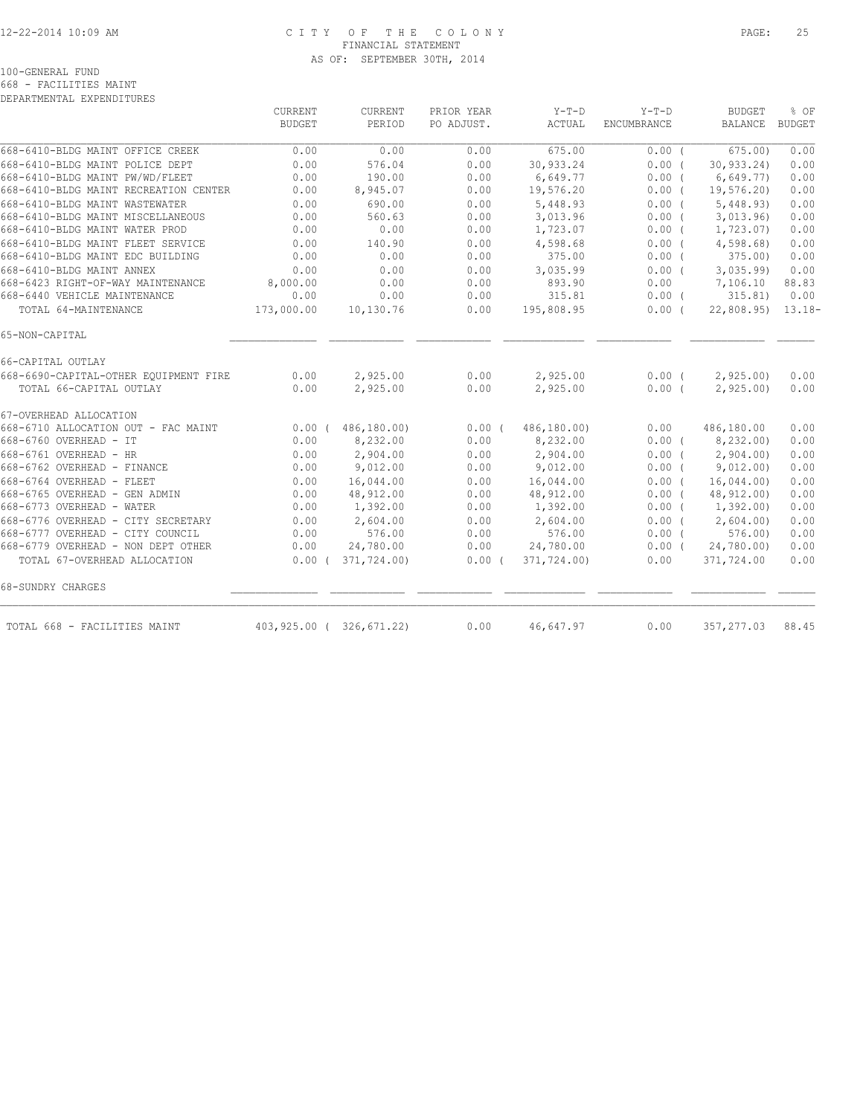## 12-22-2014 10:09 AM C I T Y O F T H E C O L O N Y PAGE: 25 FINANCIAL STATEMENT AS OF: SEPTEMBER 30TH, 2014

100-GENERAL FUND

668 - FACILITIES MAINT DEPARTMENTAL EXPENDITURES

|                                       | CURRENT       | CURRENT                 | PRIOR YEAR | $Y-T-D$     | $Y-T-D$            | <b>BUDGET</b>  | % OF          |
|---------------------------------------|---------------|-------------------------|------------|-------------|--------------------|----------------|---------------|
|                                       | <b>BUDGET</b> | PERIOD                  | PO ADJUST. | ACTUAL      | <b>ENCUMBRANCE</b> | <b>BALANCE</b> | <b>BUDGET</b> |
| 668-6410-BLDG MAINT OFFICE CREEK      | 0.00          | 0.00                    | 0.00       | 675.00      | 0.00(              | 675.00         | 0.00          |
| 668-6410-BLDG MAINT POLICE DEPT       | 0.00          | 576.04                  | 0.00       | 30,933.24   | 0.00(              | 30, 933.24     | 0.00          |
| 668-6410-BLDG MAINT PW/WD/FLEET       | 0.00          | 190.00                  | 0.00       | 6,649.77    | 0.00(              | 6,649.77       | 0.00          |
| 668-6410-BLDG MAINT RECREATION CENTER | 0.00          | 8,945.07                | 0.00       | 19,576.20   | $0.00$ (           | 19, 576.20     | 0.00          |
| 668-6410-BLDG MAINT WASTEWATER        | 0.00          | 690.00                  | 0.00       | 5,448.93    | 0.00(              | 5,448.93       | 0.00          |
| 668-6410-BLDG MAINT MISCELLANEOUS     | 0.00          | 560.63                  | 0.00       | 3,013.96    | $0.00$ (           | 3,013.96       | 0.00          |
| 668-6410-BLDG MAINT WATER PROD        | 0.00          | 0.00                    | 0.00       | 1,723.07    | $0.00$ (           | 1,723.07)      | 0.00          |
| 668-6410-BLDG MAINT FLEET SERVICE     | 0.00          | 140.90                  | 0.00       | 4,598.68    | 0.00(              | 4,598.68)      | 0.00          |
| 668-6410-BLDG MAINT EDC BUILDING      | 0.00          | 0.00                    | 0.00       | 375.00      | $0.00$ (           | 375.00         | 0.00          |
| 668-6410-BLDG MAINT ANNEX             | 0.00          | 0.00                    | 0.00       | 3,035.99    | 0.00(              | 3,035.99       | 0.00          |
| 668-6423 RIGHT-OF-WAY MAINTENANCE     | 8,000.00      | 0.00                    | 0.00       | 893.90      | 0.00               | 7,106.10       | 88.83         |
| 668-6440 VEHICLE MAINTENANCE          | 0.00          | 0.00                    | 0.00       | 315.81      | $0.00$ (           | 315.81)        | 0.00          |
| TOTAL 64-MAINTENANCE                  | 173,000.00    | 10,130.76               | 0.00       | 195,808.95  | 0.00(              | 22,808.95      | $13.18-$      |
| 65-NON-CAPITAL                        |               |                         |            |             |                    |                |               |
| 66-CAPITAL OUTLAY                     |               |                         |            |             |                    |                |               |
| 668-6690-CAPITAL-OTHER EQUIPMENT FIRE | 0.00          | 2,925.00                | 0.00       | 2,925.00    | $0.00$ (           | 2,925.00       | 0.00          |
| TOTAL 66-CAPITAL OUTLAY               | 0.00          | 2,925.00                | 0.00       | 2,925.00    | 0.00(              | 2,925.00       | 0.00          |
| 67-OVERHEAD ALLOCATION                |               |                         |            |             |                    |                |               |
| 668-6710 ALLOCATION OUT - FAC MAINT   | 0.00(         | 486,180.00)             | $0.00$ (   | 486,180.00) | 0.00               | 486,180.00     | 0.00          |
| 668-6760 OVERHEAD - IT                | 0.00          | 8,232.00                | 0.00       | 8,232.00    | $0.00$ (           | 8,232.00)      | 0.00          |
| 668-6761 OVERHEAD - HR                | 0.00          | 2,904.00                | 0.00       | 2,904.00    | $0.00$ (           | 2,904.00       | 0.00          |
| 668-6762 OVERHEAD - FINANCE           | 0.00          | 9,012.00                | 0.00       | 9,012.00    | $0.00$ (           | 9,012.00       | 0.00          |
| 668-6764 OVERHEAD - FLEET             | 0.00          | 16,044.00               | 0.00       | 16,044.00   | 0.00(              | 16,044.00      | 0.00          |
| 668-6765 OVERHEAD - GEN ADMIN         | 0.00          | 48,912.00               | 0.00       | 48,912.00   | 0.00(              | 48,912.00)     | 0.00          |
| 668-6773 OVERHEAD - WATER             | 0.00          | 1,392.00                | 0.00       | 1,392.00    | $0.00$ (           | 1,392.00       | 0.00          |
| 668-6776 OVERHEAD - CITY SECRETARY    | 0.00          | 2,604.00                | 0.00       | 2,604.00    | 0.00(              | 2,604.00       | 0.00          |
| 668-6777 OVERHEAD - CITY COUNCIL      | 0.00          | 576.00                  | 0.00       | 576.00      | $0.00$ (           | 576.00         | 0.00          |
| 668-6779 OVERHEAD - NON DEPT OTHER    | 0.00          | 24,780.00               | 0.00       | 24,780.00   | $0.00$ (           | 24,780.00)     | 0.00          |
| TOTAL 67-OVERHEAD ALLOCATION          | $0.00$ (      | 371,724.00)             | 0.00(      | 371,724.00) | 0.00               | 371,724.00     | 0.00          |
| 68-SUNDRY CHARGES                     |               |                         |            |             |                    |                |               |
| TOTAL 668 - FACILITIES MAINT          |               | 403,925.00 (326,671.22) | 0.00       | 46,647.97   | 0.00               | 357, 277.03    | 88.45         |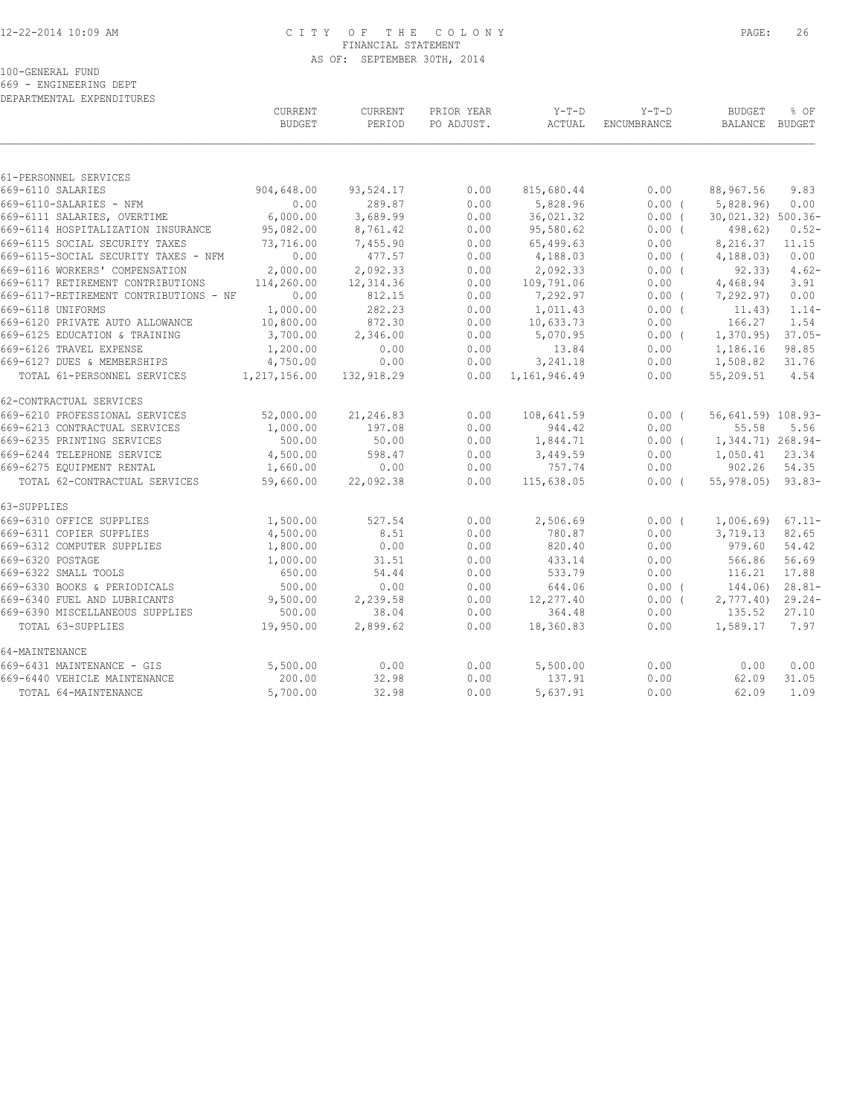#### 12-22-2014 10:09 AM C I T Y O F T H E C O L O N Y PAGE: 26 FINANCIAL STATEMENT AS OF: SEPTEMBER 30TH, 2014

100-GENERAL FUND

669 - ENGINEERING DEPT DEPARTMENTAL EXPENDITURES

|                                    |                                        | CURRENT<br><b>BUDGET</b> | CURRENT<br>PERIOD | PRIOR YEAR<br>PO ADJUST. | $Y-T-D$<br>ACTUAL | $Y-T-D$<br><b>ENCUMBRANCE</b> | <b>BUDGET</b><br>BALANCE BUDGET | % OF      |
|------------------------------------|----------------------------------------|--------------------------|-------------------|--------------------------|-------------------|-------------------------------|---------------------------------|-----------|
|                                    |                                        |                          |                   |                          |                   |                               |                                 |           |
| 61-PERSONNEL SERVICES              |                                        |                          |                   |                          |                   |                               |                                 |           |
| 669-6110 SALARIES                  |                                        | 904,648.00               | 93,524.17         | 0.00                     | 815,680.44        | 0.00                          | 88,967.56                       | 9.83      |
| 669-6110-SALARIES - NFM            |                                        | 0.00                     | 289.87            | 0.00                     | 5,828.96          | 0.00(                         | 5,828.96                        | 0.00      |
| 669-6111 SALARIES, OVERTIME        |                                        | 6,000.00                 | 3,689.99          | 0.00                     | 36,021.32         | 0.00(                         | 30,021.32) 500.36-              |           |
| 669-6114 HOSPITALIZATION INSURANCE |                                        | 95,082.00                | 8,761.42          | 0.00                     | 95,580.62         | $0.00$ (                      | 498.62)                         | $0.52 -$  |
| 669-6115 SOCIAL SECURITY TAXES     |                                        | 73,716.00                | 7,455.90          | 0.00                     | 65,499.63         | 0.00                          | 8,216.37                        | 11.15     |
|                                    | 669-6115-SOCIAL SECURITY TAXES - NFM   | 0.00                     | 477.57            | 0.00                     | 4,188.03          | $0.00$ (                      | 4, 188.03                       | 0.00      |
| 669-6116 WORKERS' COMPENSATION     |                                        | 2,000.00                 | 2,092.33          | 0.00                     | 2,092.33          | 0.00(                         | 92, 33)                         | $4.62-$   |
| 669-6117 RETIREMENT CONTRIBUTIONS  |                                        | 114,260.00               | 12,314.36         | 0.00                     | 109,791.06        | 0.00                          | 4,468.94                        | 3.91      |
|                                    | 669-6117-RETIREMENT CONTRIBUTIONS - NF | 0.00                     | 812.15            | 0.00                     | 7,292.97          | $0.00$ (                      | 7,292.97)                       | 0.00      |
| 669-6118 UNIFORMS                  |                                        | 1,000.00                 | 282.23            | 0.00                     | 1,011.43          | 0.00(                         | 11.43)                          | $1.14-$   |
| 669-6120 PRIVATE AUTO ALLOWANCE    |                                        | 10,800.00                | 872.30            | 0.00                     | 10,633.73         | 0.00                          | 166.27                          | 1.54      |
| 669-6125 EDUCATION & TRAINING      |                                        | 3,700.00                 | 2,346.00          | 0.00                     | 5,070.95          | $0.00$ (                      | 1,370.95)                       | $37.05 -$ |
| 669-6126 TRAVEL EXPENSE            |                                        | 1,200.00                 | 0.00              | 0.00                     | 13.84             | 0.00                          | 1,186.16                        | 98.85     |
| 669-6127 DUES & MEMBERSHIPS        |                                        | 4,750.00                 | 0.00              | 0.00                     | 3,241.18          | 0.00                          | 1,508.82                        | 31.76     |
| TOTAL 61-PERSONNEL SERVICES        |                                        | 1, 217, 156.00           | 132,918.29        | 0.00                     | 1,161,946.49      | 0.00                          | 55,209.51                       | 4.54      |
| 62-CONTRACTUAL SERVICES            |                                        |                          |                   |                          |                   |                               |                                 |           |
| 669-6210 PROFESSIONAL SERVICES     |                                        | 52,000.00                | 21,246.83         | 0.00                     | 108,641.59        | $0.00$ (                      | 56,641.59) 108.93-              |           |
| 669-6213 CONTRACTUAL SERVICES      |                                        | 1,000.00                 | 197.08            | 0.00                     | 944.42            | 0.00                          | 55.58                           | 5.56      |
| 669-6235 PRINTING SERVICES         |                                        | 500.00                   | 50.00             | 0.00                     | 1,844.71          | $0.00$ (                      | 1,344.71) 268.94-               |           |
| 669-6244 TELEPHONE SERVICE         |                                        | 4,500.00                 | 598.47            | 0.00                     | 3,449.59          | 0.00                          | 1,050.41                        | 23.34     |
| 669-6275 EQUIPMENT RENTAL          |                                        | 1,660.00                 | 0.00              | 0.00                     | 757.74            | 0.00                          | 902.26                          | 54.35     |
| TOTAL 62-CONTRACTUAL SERVICES      |                                        | 59,660.00                | 22,092.38         | 0.00                     | 115,638.05        | $0.00$ (                      | $55,978.05$ 93.83-              |           |
| 63-SUPPLIES                        |                                        |                          |                   |                          |                   |                               |                                 |           |
| 669-6310 OFFICE SUPPLIES           |                                        | 1,500.00                 | 527.54            | 0.00                     | 2,506.69          | $0.00$ (                      | 1,006.69                        | $67.11 -$ |
| 669-6311 COPIER SUPPLIES           |                                        | 4,500.00                 | 8.51              | 0.00                     | 780.87            | 0.00                          | 3,719.13                        | 82.65     |
| 669-6312 COMPUTER SUPPLIES         |                                        | 1,800.00                 | 0.00              | 0.00                     | 820.40            | 0.00                          | 979.60                          | 54.42     |
| 669-6320 POSTAGE                   |                                        | 1,000.00                 | 31.51             | 0.00                     | 433.14            | 0.00                          | 566.86                          | 56.69     |
| 669-6322 SMALL TOOLS               |                                        | 650.00                   | 54.44             | 0.00                     | 533.79            | 0.00                          | 116.21                          | 17.88     |
| 669-6330 BOOKS & PERIODICALS       |                                        | 500.00                   | 0.00              | 0.00                     | 644.06            | $0.00$ (                      | 144.06)                         | $28.81-$  |
| 669-6340 FUEL AND LUBRICANTS       |                                        | 9,500.00                 | 2,239.58          | 0.00                     | 12,277.40         | $0.00$ (                      | 2,777.40                        | $29.24-$  |
| 669-6390 MISCELLANEOUS SUPPLIES    |                                        | 500.00                   | 38.04             | 0.00                     | 364.48            | 0.00                          | 135.52                          | 27.10     |
| TOTAL 63-SUPPLIES                  |                                        | 19,950.00                | 2,899.62          | 0.00                     | 18,360.83         | 0.00                          | 1,589.17                        | 7.97      |
| 64-MAINTENANCE                     |                                        |                          |                   |                          |                   |                               |                                 |           |
| 669-6431 MAINTENANCE - GIS         |                                        | 5,500.00                 | 0.00              | 0.00                     | 5,500.00          | 0.00                          | 0.00                            | 0.00      |
| 669-6440 VEHICLE MAINTENANCE       |                                        | 200.00                   | 32.98             | 0.00                     | 137.91            | 0.00                          | 62.09                           | 31.05     |
| TOTAL 64-MAINTENANCE               |                                        | 5,700.00                 | 32.98             | 0.00                     | 5,637.91          | 0.00                          | 62.09                           | 1.09      |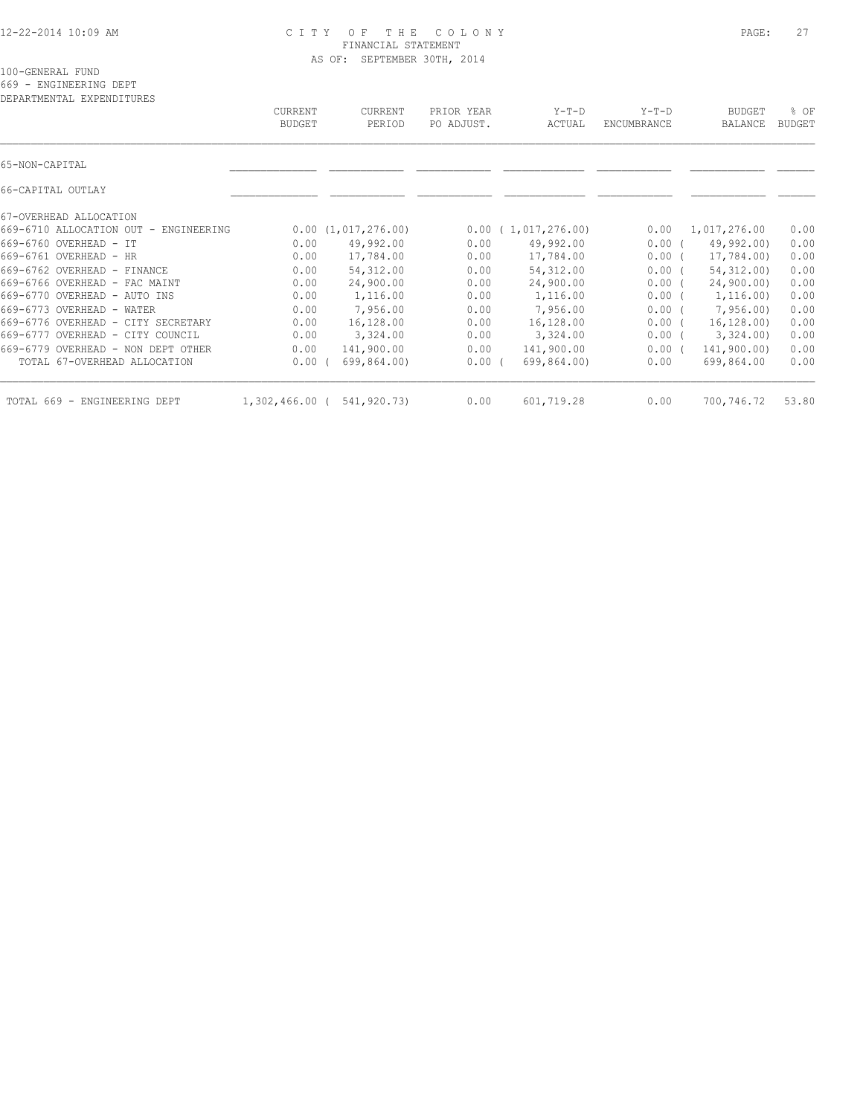#### 12-22-2014 10:09 AM C I T Y O F T H E C O L O N Y PAGE: 27 FINANCIAL STATEMENT AS OF: SEPTEMBER 30TH, 2014

100-GENERAL FUND

669 - ENGINEERING DEPT

| DEPARTMENTAL EXPENDITURES             | CURRENT<br><b>BUDGET</b> | <b>CURRENT</b><br>PERIOD | PRIOR YEAR<br>PO ADJUST. | $Y-T-D$<br>ACTUAL  | $Y-T-D$<br>ENCUMBRANCE | <b>BUDGET</b><br>BALANCE | % OF<br><b>BUDGET</b> |
|---------------------------------------|--------------------------|--------------------------|--------------------------|--------------------|------------------------|--------------------------|-----------------------|
|                                       |                          |                          |                          |                    |                        |                          |                       |
| 65-NON-CAPITAL                        |                          |                          |                          |                    |                        |                          |                       |
| 66-CAPITAL OUTLAY                     |                          |                          |                          |                    |                        |                          |                       |
| 67-OVERHEAD ALLOCATION                |                          |                          |                          |                    |                        |                          |                       |
| 669-6710 ALLOCATION OUT - ENGINEERING |                          | 0.00(1,017,276.00)       |                          | 0.00(1,017,276.00) | 0.00                   | 1,017,276.00             | 0.00                  |
| 669-6760 OVERHEAD - IT                | 0.00                     | 49,992.00                | 0.00                     | 49,992.00          | 0.00(                  | 49,992.00)               | 0.00                  |
| 669-6761 OVERHEAD - HR                | 0.00                     | 17,784.00                | 0.00                     | 17,784.00          | $0.00$ (               | 17,784.00)               | 0.00                  |
| 669-6762 OVERHEAD - FINANCE           | 0.00                     | 54, 312.00               | 0.00                     | 54, 312.00         | 0.00(                  | 54, 312, 00)             | 0.00                  |
| 669-6766 OVERHEAD - FAC MAINT         | 0.00                     | 24,900.00                | 0.00                     | 24,900.00          | 0.00(                  | 24,900.00)               | 0.00                  |
| 669-6770 OVERHEAD - AUTO INS          | 0.00                     | 1,116.00                 | 0.00                     | 1,116.00           | $0.00$ (               | 1, 116.00                | 0.00                  |
| 669-6773 OVERHEAD - WATER             | 0.00                     | 7,956.00                 | 0.00                     | 7,956.00           | $0.00$ (               | 7,956.00                 | 0.00                  |
| 669-6776 OVERHEAD - CITY SECRETARY    | 0.00                     | 16,128.00                | 0.00                     | 16,128.00          | 0.00(                  | 16, 128, 00)             | 0.00                  |
| 669-6777 OVERHEAD - CITY COUNCIL      | 0.00                     | 3,324.00                 | 0.00                     | 3,324.00           | $0.00$ (               | 3,324.00                 | 0.00                  |
| 669-6779 OVERHEAD - NON DEPT OTHER    | 0.00                     | 141,900.00               | 0.00                     | 141,900.00         | 0.00(                  | 141,900.00)              | 0.00                  |
| TOTAL 67-OVERHEAD ALLOCATION          | 0.00                     | 699,864.00)              | 0.00(                    | 699,864.00)        | 0.00                   | 699,864.00               | 0.00                  |
| TOTAL 669 - ENGINEERING DEPT          | 1,302,466.00 (           | 541,920.73)              | 0.00                     | 601,719.28         | 0.00                   | 700,746.72               | 53.80                 |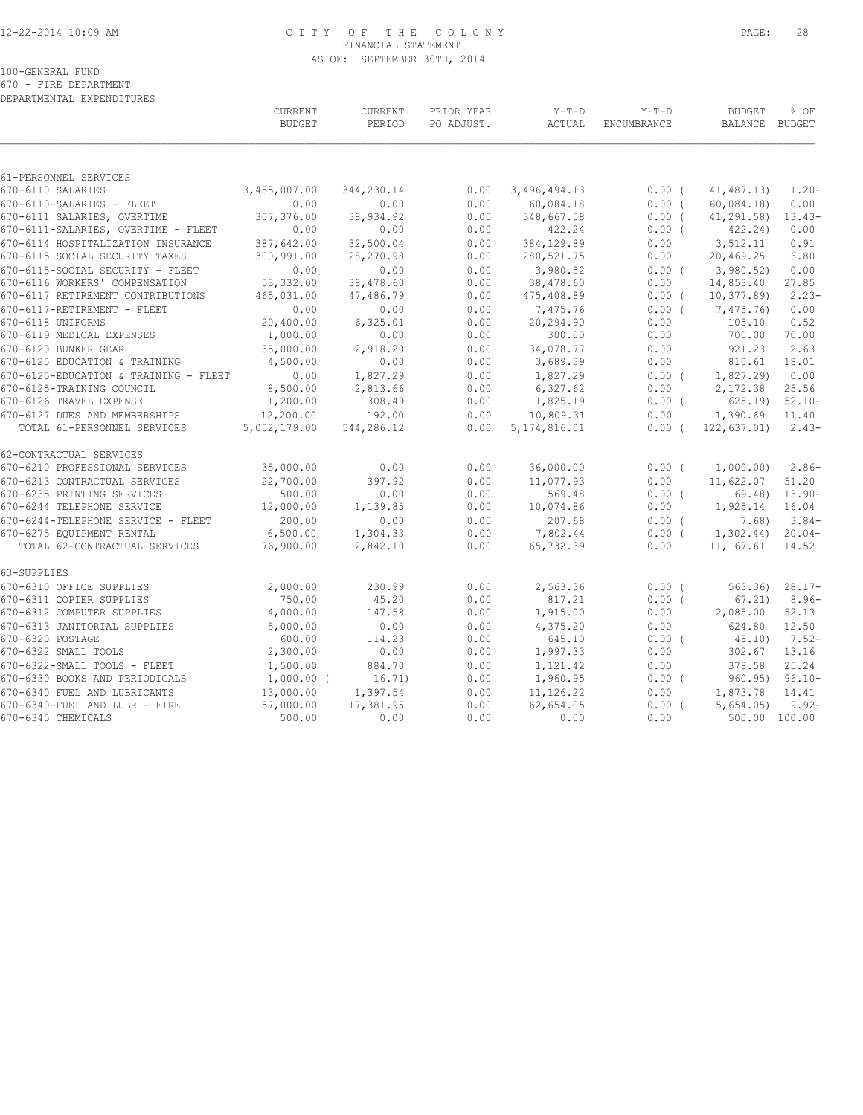#### 12-22-2014 10:09 AM C I T Y O F T H E C O L O N Y PAGE: 28 FINANCIAL STATEMENT AS OF: SEPTEMBER 30TH, 2014

100-GENERAL FUND

670 - FIRE DEPARTMENT

| DEPARTMENTAL EXPENDITURES                                    |                           |                          |                          |                             |                        |                                 |                   |
|--------------------------------------------------------------|---------------------------|--------------------------|--------------------------|-----------------------------|------------------------|---------------------------------|-------------------|
|                                                              | CURRENT<br><b>BUDGET</b>  | <b>CURRENT</b><br>PERIOD | PRIOR YEAR<br>PO ADJUST. | $Y-T-D$<br>ACTUAL           | $Y-T-D$<br>ENCUMBRANCE | <b>BUDGET</b><br><b>BALANCE</b> | % OF<br>BUDGET    |
|                                                              |                           |                          |                          |                             |                        |                                 |                   |
| 61-PERSONNEL SERVICES                                        |                           |                          |                          |                             |                        |                                 |                   |
| 670-6110 SALARIES                                            | 3,455,007.00              | 344,230.14               | 0.00                     | 3,496,494.13                | $0.00$ (               | 41, 487.13)                     | $1.20 -$          |
| 670-6110-SALARIES - FLEET<br>670-6111 SALARIES, OVERTIME     | 0.00<br>307,376.00        | 0.00<br>38,934.92        | 0.00<br>0.00             | 60,084.18<br>348,667.58     | 0.00(<br>0.00(         | 60,084.18)<br>41,291.58)        | 0.00<br>$13.43-$  |
| 670-6111-SALARIES, OVERTIME - FLEET                          | 0.00                      | 0.00                     | 0.00                     | 422.24                      | $0.00$ (               | 422.24)                         | 0.00              |
| 670-6114 HOSPITALIZATION INSURANCE                           | 387,642.00                | 32,500.04                | 0.00                     | 384,129.89                  | 0.00                   | 3,512.11                        | 0.91              |
| 670-6115 SOCIAL SECURITY TAXES                               | 300,991.00                | 28,270.98                | 0.00                     | 280,521.75                  | 0.00                   | 20,469.25                       | 6.80              |
| 670-6115-SOCIAL SECURITY - FLEET                             | 0.00                      | 0.00                     | 0.00                     | 3,980.52                    | 0.00(                  | 3,980.52                        | 0.00              |
| 670-6116 WORKERS' COMPENSATION                               | 53,332.00                 | 38,478.60                | 0.00                     | 38,478.60                   | 0.00                   | 14,853.40                       | 27.85             |
| 670-6117 RETIREMENT CONTRIBUTIONS                            | 465,031.00                | 47,486.79                | 0.00                     | 475,408.89                  | 0.00(                  | 10, 377.89                      | $2.23-$           |
| 670-6117-RETIREMENT - FLEET                                  | 0.00                      | 0.00                     | 0.00                     | 7,475.76                    | 0.00(                  | 7,475.76)                       | 0.00              |
| 670-6118 UNIFORMS                                            | 20,400.00                 | 6,325.01                 | 0.00                     | 20,294.90                   | 0.00                   | 105.10                          | 0.52              |
| 670-6119 MEDICAL EXPENSES                                    | 1,000.00                  | 0.00                     | 0.00                     | 300.00                      | 0.00                   | 700.00                          | 70.00             |
| 670-6120 BUNKER GEAR                                         | 35,000.00                 | 2,918.20                 | 0.00                     | 34,078.77                   | 0.00                   | 921.23                          | 2.63              |
| 670-6125 EDUCATION & TRAINING                                | 4,500.00                  | 0.00                     | 0.00                     | 3,689.39                    | 0.00                   | 810.61                          | 18.01             |
| 670-6125-EDUCATION & TRAINING - FLEET                        | 0.00                      | 1,827.29                 | 0.00                     | 1,827.29                    | $0.00$ (               | 1,827.29)                       | 0.00              |
| 670-6125-TRAINING COUNCIL                                    | 8,500.00                  | 2,813.66                 | 0.00                     | 6,327.62                    | 0.00                   | 2,172.38                        | 25.56             |
| 670-6126 TRAVEL EXPENSE                                      | 1,200.00                  | 308.49                   | 0.00                     | 1,825.19                    | $0.00$ (               | 625.19                          | $52.10 -$         |
| 670-6127 DUES AND MEMBERSHIPS<br>TOTAL 61-PERSONNEL SERVICES | 12,200.00<br>5,052,179.00 | 192.00<br>544,286.12     | 0.00<br>0.00             | 10,809.31<br>5, 174, 816.01 | 0.00<br>$0.00$ (       | 1,390.69<br>122, 637.01         | 11.40<br>$2.43-$  |
| 62-CONTRACTUAL SERVICES                                      |                           |                          |                          |                             |                        |                                 |                   |
| 670-6210 PROFESSIONAL SERVICES                               | 35,000.00                 | 0.00                     | 0.00                     | 36,000.00                   | 0.00(                  | 1,000.00)                       | $2.86-$           |
| 670-6213 CONTRACTUAL SERVICES                                | 22,700.00                 | 397.92                   | 0.00                     | 11,077.93                   | 0.00                   | 11,622.07                       | 51.20             |
| 670-6235 PRINTING SERVICES                                   | 500.00                    | 0.00                     | 0.00                     | 569.48                      | $0.00$ (               | 69.48)                          | $13.90 -$         |
| 670-6244 TELEPHONE SERVICE                                   | 12,000.00                 | 1,139.85                 | 0.00                     | 10,074.86                   | 0.00                   | 1,925.14                        | 16.04             |
| 670-6244-TELEPHONE SERVICE - FLEET                           | 200.00                    | 0.00                     | 0.00                     | 207.68                      | 0.00(                  | 7.68)                           | $3.84-$           |
| 670-6275 EQUIPMENT RENTAL<br>TOTAL 62-CONTRACTUAL SERVICES   | 6,500.00                  | 1,304.33                 | 0.00                     | 7,802.44                    | $0.00$ (               | 1,302.44)                       | $20.04-$<br>14.52 |
|                                                              | 76,900.00                 | 2,842.10                 | 0.00                     | 65,732.39                   | 0.00                   | 11,167.61                       |                   |
| 63-SUPPLIES                                                  |                           |                          |                          |                             |                        |                                 |                   |
| 670-6310 OFFICE SUPPLIES                                     | 2,000.00                  | 230.99                   | 0.00                     | 2,563.36                    | 0.00(                  | 563.36                          | $28.17-$          |
| 670-6311 COPIER SUPPLIES                                     | 750.00                    | 45.20                    | 0.00                     | 817.21                      | 0.00(                  | 67.21)                          | $8.96-$           |
| 670-6312 COMPUTER SUPPLIES                                   | 4,000.00                  | 147.58                   | 0.00                     | 1,915.00                    | 0.00                   | 2,085.00                        | 52.13             |
| 670-6313 JANITORIAL SUPPLIES                                 | 5,000.00                  | 0.00                     | 0.00                     | 4,375.20                    | 0.00                   | 624.80                          | 12.50             |
| 670-6320 POSTAGE<br>670-6322 SMALL TOOLS                     | 600.00<br>2,300.00        | 114.23<br>0.00           | 0.00<br>0.00             | 645.10<br>1,997.33          | $0.00$ (<br>0.00       | 45.10<br>302.67                 | $7.52-$<br>13.16  |
| 670-6322-SMALL TOOLS - FLEET                                 | 1,500.00                  | 884.70                   | 0.00                     | 1,121.42                    | 0.00                   | 378.58                          | 25.24             |
| 670-6330 BOOKS AND PERIODICALS                               | $1,000.00$ (              | 16.71)                   | 0.00                     | 1,960.95                    | $0.00$ (               | 960.95)                         | $96.10 -$         |
| 670-6340 FUEL AND LUBRICANTS                                 | 13,000.00                 | 1,397.54                 | 0.00                     | 11,126.22                   | 0.00                   | 1,873.78                        | 14.41             |
| 670-6340-FUEL AND LUBR - FIRE                                | 57,000.00                 | 17,381.95                | 0.00                     | 62,654.05                   | $0.00$ (               | 5,654.05                        | $9.92 -$          |
| 670-6345 CHEMICALS                                           | 500.00                    | 0.00                     | 0.00                     | 0.00                        | 0.00                   | 500.00 100.00                   |                   |
|                                                              |                           |                          |                          |                             |                        |                                 |                   |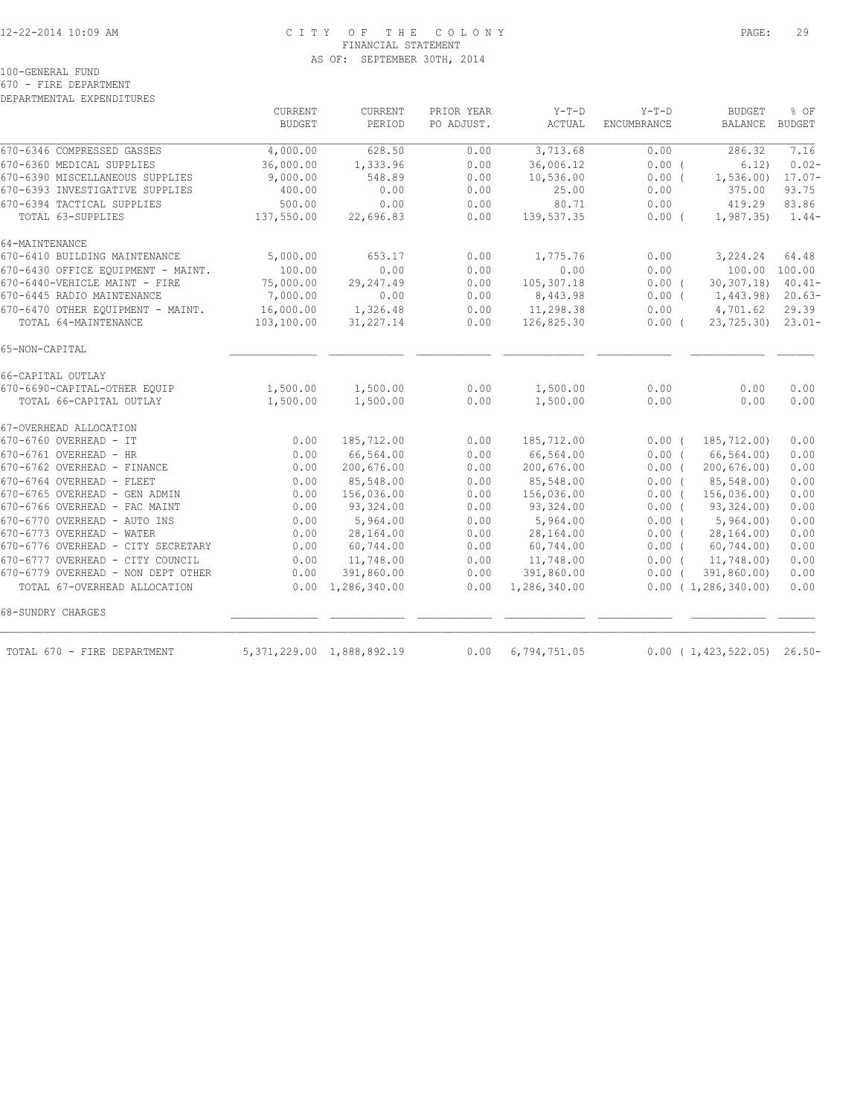### 12-22-2014 10:09 AM C I T Y O F T H E C O L O N Y PAGE: 29 FINANCIAL STATEMENT AS OF: SEPTEMBER 30TH, 2014

100-GENERAL FUND

670 - FIRE DEPARTMENT

DEPARTMENTAL EXPENDITURES

|                                    | CURRENT<br><b>BUDGET</b> | CURRENT<br>PERIOD             | PRIOR YEAR<br>PO ADJUST. | $Y-T-D$<br>ACTUAL | $Y-T-D$<br>ENCUMBRANCE | <b>BUDGET</b><br><b>BALANCE</b> | % OF<br><b>BUDGET</b> |
|------------------------------------|--------------------------|-------------------------------|--------------------------|-------------------|------------------------|---------------------------------|-----------------------|
| 670-6346 COMPRESSED GASSES         | 4,000.00                 | 628.50                        | 0.00                     | 3,713.68          | 0.00                   | 286.32                          | 7.16                  |
| 670-6360 MEDICAL SUPPLIES          | 36,000.00                | 1,333.96                      | 0.00                     | 36,006.12         | 0.00(                  | 6.12)                           | $0.02 -$              |
| 670-6390 MISCELLANEOUS SUPPLIES    | 9,000.00                 | 548.89                        | 0.00                     | 10,536.00         | $0.00$ (               | 1,536.00)                       | $17.07 -$             |
| 670-6393 INVESTIGATIVE SUPPLIES    | 400.00                   | 0.00                          | 0.00                     | 25.00             | 0.00                   | 375.00                          | 93.75                 |
| 670-6394 TACTICAL SUPPLIES         | 500.00                   | 0.00                          | 0.00                     | 80.71             | 0.00                   | 419.29                          | 83.86                 |
| TOTAL 63-SUPPLIES                  | 137,550.00               | 22,696.83                     | 0.00                     | 139,537.35        | $0.00$ (               | 1, 987, 35)                     | $1.44-$               |
| 64-MAINTENANCE                     |                          |                               |                          |                   |                        |                                 |                       |
| 670-6410 BUILDING MAINTENANCE      | 5,000.00                 | 653.17                        | 0.00                     | 1,775.76          | 0.00                   | 3,224.24                        | 64.48                 |
| 670-6430 OFFICE EQUIPMENT - MAINT. | 100.00                   | 0.00                          | 0.00                     | 0.00              | 0.00                   | 100.00 100.00                   |                       |
| 670-6440-VEHICLE MAINT - FIRE      | 75,000.00                | 29, 247.49                    | 0.00                     | 105,307.18        | $0.00$ (               | 30, 307, 18                     | $40.41 -$             |
| 670-6445 RADIO MAINTENANCE         | 7,000.00                 | 0.00                          | 0.00                     | 8,443.98          | $0.00$ (               | 1,443.98)                       | $20.63-$              |
| 670-6470 OTHER EQUIPMENT - MAINT.  | 16,000.00                | 1,326.48                      | 0.00                     | 11,298.38         | 0.00                   | 4,701.62                        | 29.39                 |
| TOTAL 64-MAINTENANCE               | 103,100.00               | 31,227.14                     | 0.00                     | 126,825.30        | $0.00$ (               | 23,725.30)                      | $23.01-$              |
| 65-NON-CAPITAL                     |                          |                               |                          |                   |                        |                                 |                       |
| 66-CAPITAL OUTLAY                  |                          |                               |                          |                   |                        |                                 |                       |
| 670-6690-CAPITAL-OTHER EQUIP       | 1,500.00                 | 1,500.00                      | 0.00                     | 1,500.00          | 0.00                   | 0.00                            | 0.00                  |
| TOTAL 66-CAPITAL OUTLAY            | 1,500.00                 | 1,500.00                      | 0.00                     | 1,500.00          | 0.00                   | 0.00                            | 0.00                  |
| 67-OVERHEAD ALLOCATION             |                          |                               |                          |                   |                        |                                 |                       |
| 670-6760 OVERHEAD - IT             | 0.00                     | 185,712.00                    | 0.00                     | 185,712.00        | $0.00$ (               | 185,712.00)                     | 0.00                  |
| 670-6761 OVERHEAD - HR             | 0.00                     | 66,564.00                     | 0.00                     | 66,564.00         | 0.00(                  | 66,564.00)                      | 0.00                  |
| 670-6762 OVERHEAD - FINANCE        | 0.00                     | 200,676.00                    | 0.00                     | 200,676.00        | $0.00$ (               | 200, 676.00                     | 0.00                  |
| 670-6764 OVERHEAD - FLEET          | 0.00                     | 85,548.00                     | 0.00                     | 85,548.00         | 0.00(                  | 85,548.00)                      | 0.00                  |
| 670-6765 OVERHEAD - GEN ADMIN      | 0.00                     | 156,036.00                    | 0.00                     | 156,036.00        | 0.00(                  | 156,036.00)                     | 0.00                  |
| 670-6766 OVERHEAD - FAC MAINT      | 0.00                     | 93,324.00                     | 0.00                     | 93,324.00         | $0.00$ (               | 93,324.00)                      | 0.00                  |
| 670-6770 OVERHEAD - AUTO INS       | 0.00                     | 5,964.00                      | 0.00                     | 5,964.00          |                        | 0.00(5,964.00)                  | 0.00                  |
| 670-6773 OVERHEAD - WATER          | 0.00                     | 28,164.00                     | 0.00                     | 28,164.00         | 0.00(                  | 28,164.00)                      | 0.00                  |
| 670-6776 OVERHEAD - CITY SECRETARY | 0.00                     | 60,744.00                     | 0.00                     | 60,744.00         | $0.00$ (               | 60,744.00)                      | 0.00                  |
| 670-6777 OVERHEAD - CITY COUNCIL   | 0.00<br>0.00             | 11,748.00                     | 0.00<br>0.00             | 11,748.00         | $0.00$ (               | 11,748.00)                      | 0.00                  |
| 670-6779 OVERHEAD - NON DEPT OTHER |                          | 391,860.00                    |                          | 391,860.00        | $0.00$ (               | 391,860.00)                     | 0.00                  |
| TOTAL 67-OVERHEAD ALLOCATION       |                          | $0.00 \quad 1,286,340.00$     | 0.00                     | 1,286,340.00      |                        | 0.00(1, 286, 340.00)            | 0.00                  |
| 68-SUNDRY CHARGES                  |                          |                               |                          |                   |                        |                                 |                       |
| TOTAL 670 - FIRE DEPARTMENT        |                          | 5, 371, 229.00 1, 888, 892.19 | 0.00                     | 6,794,751.05      |                        | $0.00$ ( 1, 423, 522.05) 26.50- |                       |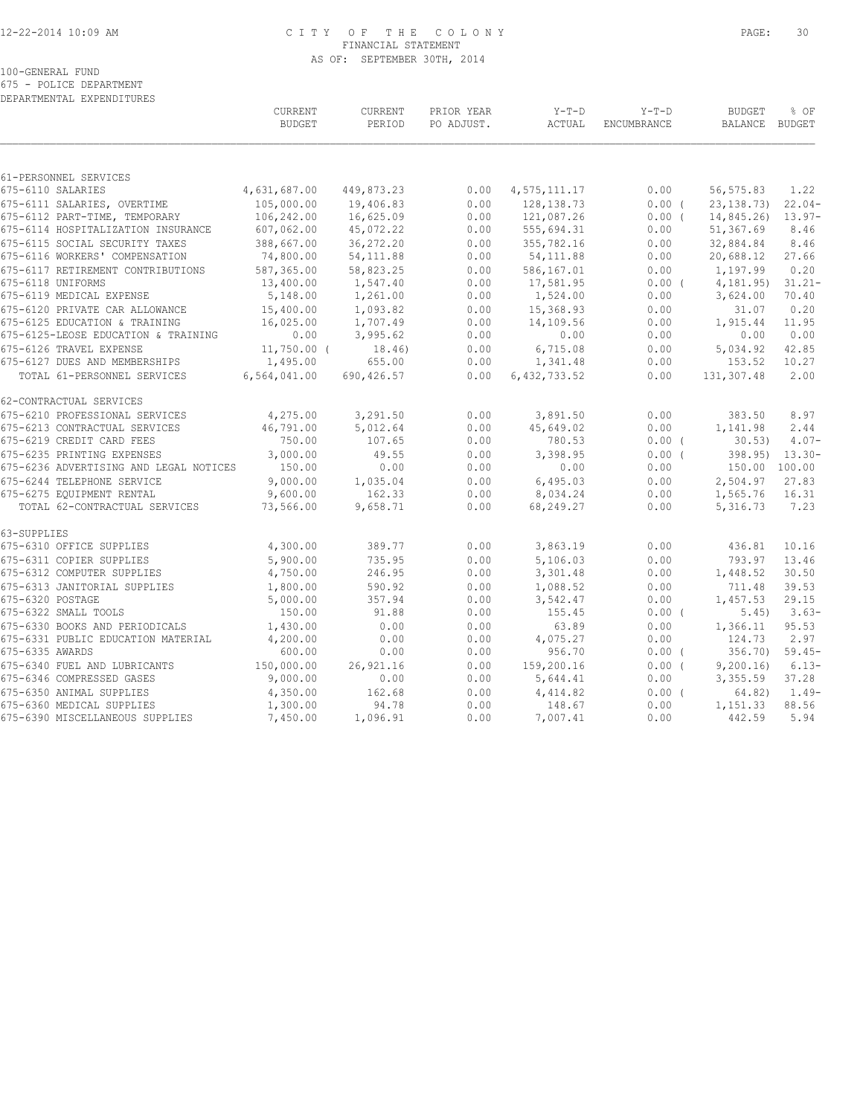## 12-22-2014 10:09 AM C I T Y O F T H E C O L O N Y PAGE: 30 FINANCIAL STATEMENT AS OF: SEPTEMBER 30TH, 2014

100-GENERAL FUND

675 - POLICE DEPARTMENT DEPARTMENTAL EXPENDITURES

|                                        | CURRENT<br><b>BUDGET</b> | CURRENT<br>PERIOD | PRIOR YEAR<br>PO ADJUST. | $Y-T-D$<br>ACTUAL | $Y-T-D$<br>ENCUMBRANCE | <b>BUDGET</b><br>BALANCE BUDGET | % OF               |
|----------------------------------------|--------------------------|-------------------|--------------------------|-------------------|------------------------|---------------------------------|--------------------|
|                                        |                          |                   |                          |                   |                        |                                 |                    |
| 61-PERSONNEL SERVICES                  |                          |                   |                          |                   |                        |                                 |                    |
| 675-6110 SALARIES                      | 4,631,687.00             | 449,873.23        | 0.00                     | 4,575,111.17      | 0.00                   | 56, 575.83                      | 1.22               |
| 675-6111 SALARIES, OVERTIME            | 105,000.00               | 19,406.83         | 0.00                     | 128, 138.73       | 0.00(                  | 23, 138. 73)                    | $22.04-$           |
| 675-6112 PART-TIME, TEMPORARY          | 106,242.00               | 16,625.09         | 0.00                     | 121,087.26        | 0.00(                  | 14,845.26)                      | $13.97-$           |
| 675-6114 HOSPITALIZATION INSURANCE     | 607,062.00               | 45,072.22         | 0.00                     | 555,694.31        | 0.00                   | 51,367.69                       | 8.46               |
| 675-6115 SOCIAL SECURITY TAXES         | 388,667.00               | 36,272.20         | 0.00                     | 355,782.16        | 0.00                   | 32,884.84                       | 8.46               |
| 675-6116 WORKERS' COMPENSATION         | 74,800.00                | 54, 111.88        | 0.00                     | 54, 111.88        | 0.00                   | 20,688.12                       | 27.66              |
| 675-6117 RETIREMENT CONTRIBUTIONS      | 587,365.00               | 58,823.25         | 0.00                     | 586,167.01        | 0.00                   | 1,197.99                        | 0.20               |
| 675-6118 UNIFORMS                      | 13,400.00                | 1,547.40          | 0.00                     | 17,581.95         | $0.00$ (               | 4, 181.95)                      | $31.21 -$          |
| 675-6119 MEDICAL EXPENSE               | 5,148.00                 | 1,261.00          | 0.00                     | 1,524.00          | 0.00                   | 3,624.00                        | 70.40              |
| 675-6120 PRIVATE CAR ALLOWANCE         | 15,400.00                | 1,093.82          | 0.00                     | 15,368.93         | 0.00                   | 31.07                           | 0.20               |
| 675-6125 EDUCATION & TRAINING          | 16,025.00                | 1,707.49          | 0.00                     | 14,109.56         | 0.00                   | 1,915.44                        | 11.95              |
| 675-6125-LEOSE EDUCATION & TRAINING    | 0.00                     | 3,995.62          | 0.00                     | 0.00              | 0.00                   | 0.00                            | 0.00               |
| 675-6126 TRAVEL EXPENSE                | $11,750.00$ (            | 18.46)            | 0.00                     | 6,715.08          | 0.00                   | 5,034.92                        | 42.85              |
| 675-6127 DUES AND MEMBERSHIPS          | 1,495.00                 | 655.00            | 0.00                     | 1,341.48          | 0.00                   | 153.52                          | 10.27              |
| TOTAL 61-PERSONNEL SERVICES            | 6,564,041.00             | 690,426.57        | 0.00                     | 6, 432, 733.52    | 0.00                   | 131,307.48                      | 2.00               |
| 62-CONTRACTUAL SERVICES                |                          |                   |                          |                   |                        |                                 |                    |
| 675-6210 PROFESSIONAL SERVICES         | 4,275.00                 | 3,291.50          | 0.00                     | 3,891.50          | 0.00                   | 383.50                          | 8.97               |
| 675-6213 CONTRACTUAL SERVICES          | 46,791.00                | 5,012.64          | 0.00                     | 45,649.02         | 0.00                   | 1,141.98                        | 2.44               |
| 675-6219 CREDIT CARD FEES              | 750.00                   | 107.65            | 0.00                     | 780.53            | $0.00$ (               | 30.53                           | $4.07-$            |
| 675-6235 PRINTING EXPENSES             | 3,000.00                 | 49.55             | 0.00                     | 3,398.95          | 0.00(                  |                                 | $398.95$ $13.30 -$ |
| 675-6236 ADVERTISING AND LEGAL NOTICES | 150.00                   | 0.00              | 0.00                     | 0.00              | 0.00                   | 150.00 100.00                   |                    |
| 675-6244 TELEPHONE SERVICE             | 9,000.00                 | 1,035.04          | 0.00                     | 6,495.03          | 0.00                   | 2,504.97                        | 27.83              |
| 675-6275 EQUIPMENT RENTAL              | 9,600.00                 | 162.33            | 0.00                     | 8,034.24          | 0.00                   | 1,565.76                        | 16.31              |
| TOTAL 62-CONTRACTUAL SERVICES          | 73,566.00                | 9,658.71          | 0.00                     | 68,249.27         | 0.00                   | 5,316.73                        | 7.23               |
| 63-SUPPLIES                            |                          |                   |                          |                   |                        |                                 |                    |
| 675-6310 OFFICE SUPPLIES               | 4,300.00                 | 389.77            | 0.00                     | 3,863.19          | 0.00                   | 436.81                          | 10.16              |
| 675-6311 COPIER SUPPLIES               | 5,900.00                 | 735.95            | 0.00                     | 5,106.03          | 0.00                   | 793.97                          | 13.46              |
| 675-6312 COMPUTER SUPPLIES             | 4,750.00                 | 246.95            | 0.00                     | 3,301.48          | 0.00                   | 1,448.52                        | 30.50              |
| 675-6313 JANITORIAL SUPPLIES           | 1,800.00                 | 590.92            | 0.00                     | 1,088.52          | 0.00                   | 711.48                          | 39.53              |
| 675-6320 POSTAGE                       | 5,000.00                 | 357.94            | 0.00                     | 3,542.47          | 0.00                   | 1,457.53                        | 29.15              |
| 675-6322 SMALL TOOLS                   | 150.00                   | 91.88             | 0.00                     | 155.45            | $0.00$ (               | 5.45)                           | $3.63-$            |
| 675-6330 BOOKS AND PERIODICALS         | 1,430.00                 | 0.00              | 0.00                     | 63.89             | 0.00                   | 1,366.11                        | 95.53              |
| 675-6331 PUBLIC EDUCATION MATERIAL     | 4,200.00                 | 0.00              | 0.00                     | 4,075.27          | 0.00                   | 124.73                          | 2.97               |
| 675-6335 AWARDS                        | 600.00                   | 0.00              | 0.00                     | 956.70            | $0.00$ (               | 356.70)                         | $59.45-$           |
| 675-6340 FUEL AND LUBRICANTS           | 150,000.00               | 26, 921.16        | 0.00                     | 159,200.16        | $0.00$ (               | 9,200.16                        | $6.13-$            |
| 675-6346 COMPRESSED GASES              | 9,000.00                 | 0.00              | 0.00                     | 5,644.41          | 0.00                   | 3,355.59                        | 37.28              |
| 675-6350 ANIMAL SUPPLIES               | 4,350.00                 | 162.68            | 0.00                     | 4,414.82          | 0.00(                  | 64.82)                          | $1.49-$            |
| 675-6360 MEDICAL SUPPLIES              | 1,300.00                 | 94.78             | 0.00                     | 148.67            | 0.00                   | 1,151.33                        | 88.56              |
| 675-6390 MISCELLANEOUS SUPPLIES        | 7,450.00                 | 1,096.91          | 0.00                     | 7,007.41          | 0.00                   | 442.59                          | 5.94               |
|                                        |                          |                   |                          |                   |                        |                                 |                    |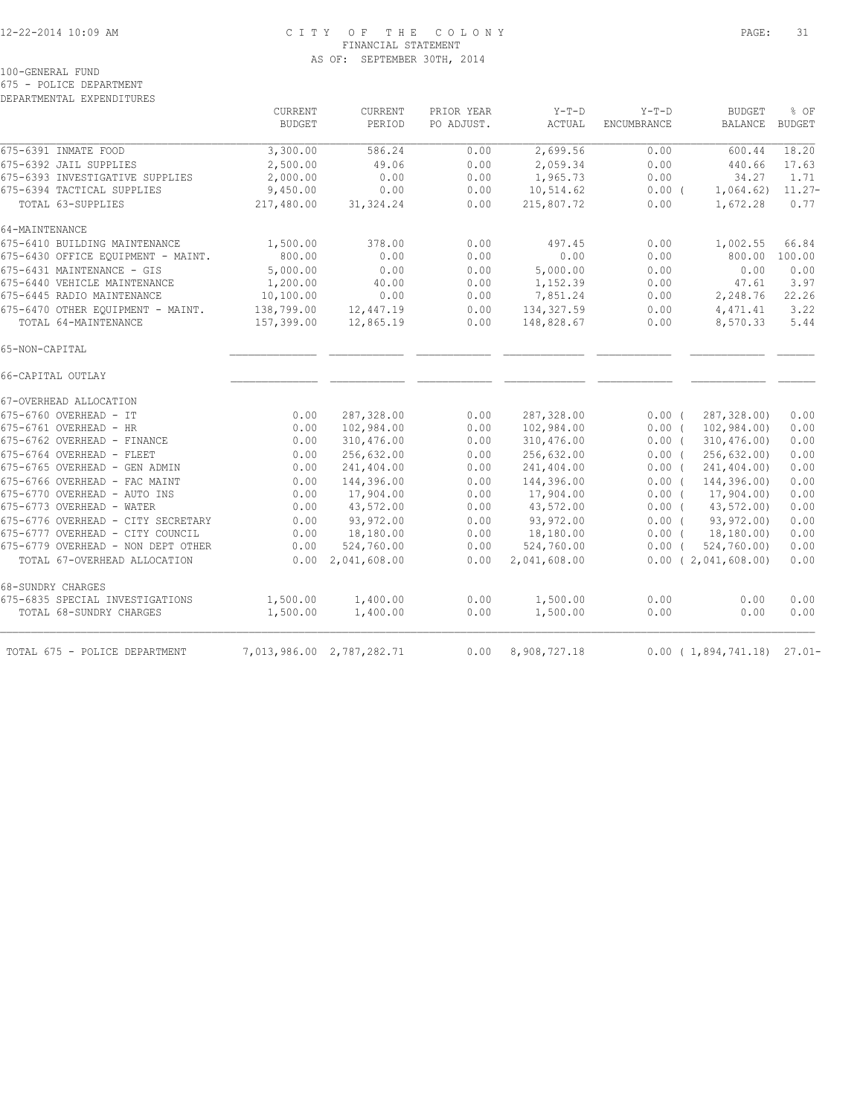#### 12-22-2014 10:09 AM C I T Y O F T H E C O L O N Y PAGE: 31 FINANCIAL STATEMENT AS OF: SEPTEMBER 30TH, 2014

100-GENERAL FUND

675 - POLICE DEPARTMENT

DEPARTMENTAL EXPENDITURES

|                                    | <b>CURRENT</b><br><b>BUDGET</b> | <b>CURRENT</b><br>PERIOD  | PRIOR YEAR<br>PO ADJUST. | $Y-T-D$<br><b>ACTUAL</b> | $Y-T-D$<br><b>ENCUMBRANCE</b> | <b>BUDGET</b><br><b>BALANCE</b> | % OF<br><b>BUDGET</b> |
|------------------------------------|---------------------------------|---------------------------|--------------------------|--------------------------|-------------------------------|---------------------------------|-----------------------|
| 675-6391 INMATE FOOD               | 3,300.00                        | 586.24                    | 0.00                     | 2,699.56                 | 0.00                          | 600.44                          | 18.20                 |
| 675-6392 JAIL SUPPLIES             | 2,500.00                        | 49.06                     | 0.00                     | 2,059.34                 | 0.00                          | 440.66                          | 17.63                 |
| 675-6393 INVESTIGATIVE SUPPLIES    | 2,000.00                        | 0.00                      | 0.00                     | 1,965.73                 | 0.00                          | 34.27                           | 1.71                  |
| 675-6394 TACTICAL SUPPLIES         | 9,450.00                        | 0.00                      | 0.00                     | 10,514.62                | $0.00$ (                      | 1,064.62)                       | $11.27 -$             |
| TOTAL 63-SUPPLIES                  | 217,480.00                      | 31, 324.24                | 0.00                     | 215,807.72               | 0.00                          | 1,672.28                        | 0.77                  |
| 64-MAINTENANCE                     |                                 |                           |                          |                          |                               |                                 |                       |
| 675-6410 BUILDING MAINTENANCE      | 1,500.00                        | 378.00                    | 0.00                     | 497.45                   | 0.00                          | 1,002.55                        | 66.84                 |
| 675-6430 OFFICE EQUIPMENT - MAINT. | 800.00                          | 0.00                      | 0.00                     | 0.00                     | 0.00                          | 800.00                          | 100.00                |
| 675-6431 MAINTENANCE - GIS         | 5,000.00                        | 0.00                      | 0.00                     | 5,000.00                 | 0.00                          | 0.00                            | 0.00                  |
| 675-6440 VEHICLE MAINTENANCE       | 1,200.00                        | 40.00                     | 0.00                     | 1,152.39                 | 0.00                          | 47.61                           | 3.97                  |
| 675-6445 RADIO MAINTENANCE         | 10,100.00                       | 0.00                      | 0.00                     | 7,851.24                 | 0.00                          | 2,248.76                        | 22.26                 |
| 675-6470 OTHER EOUIPMENT - MAINT.  | 138,799.00                      | 12,447.19                 | 0.00                     | 134, 327.59              | 0.00                          | 4, 471.41                       | 3.22                  |
| TOTAL 64-MAINTENANCE               | 157,399.00                      | 12,865.19                 | 0.00                     | 148,828.67               | 0.00                          | 8,570.33                        | 5.44                  |
| 65-NON-CAPITAL                     |                                 |                           |                          |                          |                               |                                 |                       |
| 66-CAPITAL OUTLAY                  |                                 |                           |                          |                          |                               |                                 |                       |
| 67-OVERHEAD ALLOCATION             |                                 |                           |                          |                          |                               |                                 |                       |
| 675-6760 OVERHEAD - IT             | 0.00                            | 287,328.00                | 0.00                     | 287,328.00               | $0.00$ (                      | 287,328.00)                     | 0.00                  |
| 675-6761 OVERHEAD - HR             | 0.00                            | 102,984.00                | 0.00                     | 102,984.00               | $0.00$ (                      | 102,984.00)                     | 0.00                  |
| 675-6762 OVERHEAD - FINANCE        | 0.00                            | 310,476.00                | 0.00                     | 310,476.00               | $0.00$ (                      | 310, 476.00                     | 0.00                  |
| 675-6764 OVERHEAD - FLEET          | 0.00                            | 256,632.00                | 0.00                     | 256,632.00               | $0.00$ (                      | 256,632.00)                     | 0.00                  |
| 675-6765 OVERHEAD - GEN ADMIN      | 0.00                            | 241,404.00                | 0.00                     | 241,404.00               | $0.00$ (                      | 241,404.00)                     | 0.00                  |
| 675-6766 OVERHEAD - FAC MAINT      | 0.00                            | 144,396.00                | 0.00                     | 144,396.00               | 0.00(                         | 144,396.00)                     | 0.00                  |
| 675-6770 OVERHEAD - AUTO INS       | 0.00                            | 17,904.00                 | 0.00                     | 17,904.00                | $0.00$ (                      | 17,904.00)                      | 0.00                  |
| 675-6773 OVERHEAD - WATER          | 0.00                            | 43,572.00                 | 0.00                     | 43,572.00                | 0.00(                         | 43,572.00)                      | 0.00                  |
| 675-6776 OVERHEAD - CITY SECRETARY | 0.00                            | 93,972.00                 | 0.00                     | 93,972.00                | $0.00$ (                      | 93,972.00)                      | 0.00                  |
| 675-6777 OVERHEAD - CITY COUNCIL   | 0.00                            | 18,180.00                 | 0.00                     | 18,180.00                | $0.00$ (                      | 18,180.00)                      | 0.00                  |
| 675-6779 OVERHEAD - NON DEPT OTHER | 0.00                            | 524,760.00                | 0.00                     | 524,760.00               | $0.00$ (                      | 524,760.00                      | 0.00                  |
| TOTAL 67-OVERHEAD ALLOCATION       | 0.00                            | 2,041,608.00              | 0.00                     | 2,041,608.00             |                               | $0.00$ ( 2,041,608.00)          | 0.00                  |
| 68-SUNDRY CHARGES                  |                                 |                           |                          |                          |                               |                                 |                       |
| 675-6835 SPECIAL INVESTIGATIONS    | 1,500.00                        | 1,400.00                  | 0.00                     | 1,500.00                 | 0.00                          | 0.00                            | 0.00                  |
| TOTAL 68-SUNDRY CHARGES            | 1,500.00                        | 1,400.00                  | 0.00                     | 1,500.00                 | 0.00                          | 0.00                            | 0.00                  |
| TOTAL 675 - POLICE DEPARTMENT      |                                 | 7,013,986.00 2,787,282.71 | 0.00                     | 8,908,727.18             |                               | $0.00$ (1,894,741.18) 27.01-    |                       |
|                                    |                                 |                           |                          |                          |                               |                                 |                       |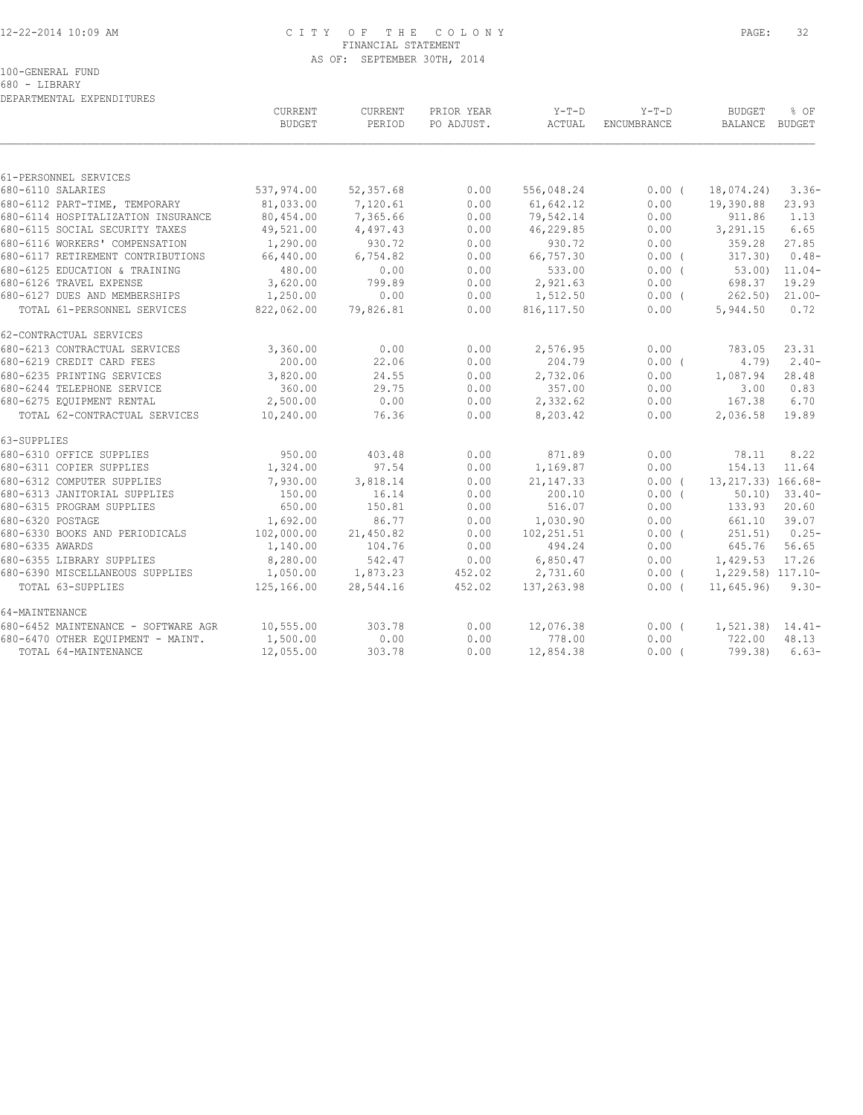## 12-22-2014 10:09 AM C I T Y O F T H E C O L O N Y PAGE: 32 FINANCIAL STATEMENT AS OF: SEPTEMBER 30TH, 2014

100-GENERAL FUND

680 - LIBRARY DEPARTMENTAL EXPENDITURES

|                                     | CURRENT<br><b>BUDGET</b> | CURRENT<br>PERIOD | PRIOR YEAR<br>PO ADJUST. | Y-T-D<br>ACTUAL | $Y-T-D$<br>ENCUMBRANCE | <b>BUDGET</b><br>BALANCE BUDGET | % OF           |
|-------------------------------------|--------------------------|-------------------|--------------------------|-----------------|------------------------|---------------------------------|----------------|
|                                     |                          |                   |                          |                 |                        |                                 |                |
| 61-PERSONNEL SERVICES               |                          |                   |                          |                 |                        |                                 |                |
| 680-6110 SALARIES                   | 537,974.00               | 52,357.68         | 0.00                     | 556,048.24      | $0.00$ (               | 18,074.24)                      | $3.36-$        |
| 680-6112 PART-TIME, TEMPORARY       | 81,033.00                | 7,120.61          | 0.00                     | 61,642.12       | 0.00                   | 19,390.88                       | 23.93          |
| 680-6114 HOSPITALIZATION INSURANCE  | 80,454.00                | 7,365.66          | 0.00                     | 79,542.14       | 0.00                   | 911.86                          | 1.13           |
| 680-6115 SOCIAL SECURITY TAXES      | 49,521.00                | 4,497.43          | 0.00                     | 46,229.85       | 0.00                   | 3,291.15                        | 6.65           |
| 680-6116 WORKERS' COMPENSATION      | 1,290.00                 | 930.72            | 0.00                     | 930.72          | 0.00                   | 359.28                          | 27.85          |
| 680-6117 RETIREMENT CONTRIBUTIONS   | 66,440.00                | 6,754.82          | 0.00                     | 66,757.30       | $0.00$ (               | 317.30)                         | $0.48-$        |
| 680-6125 EDUCATION & TRAINING       | 480.00                   | 0.00              | 0.00                     | 533.00          | $0.00$ (               | 53.00)                          | $11.04-$       |
| 680-6126 TRAVEL EXPENSE             | 3,620.00                 | 799.89            | 0.00                     | 2,921.63        | 0.00                   | 698.37                          | 19.29          |
| 680-6127 DUES AND MEMBERSHIPS       | 1,250.00                 | 0.00              | 0.00                     | 1,512.50        | $0.00$ (               |                                 | 262.50) 21.00- |
| TOTAL 61-PERSONNEL SERVICES         | 822,062.00               | 79,826.81         | 0.00                     | 816, 117.50     | 0.00                   | 5,944.50                        | 0.72           |
| 62-CONTRACTUAL SERVICES             |                          |                   |                          |                 |                        |                                 |                |
| 680-6213 CONTRACTUAL SERVICES       | 3,360.00                 | 0.00              | 0.00                     | 2,576.95        | 0.00                   | 783.05                          | 23.31          |
| 680-6219 CREDIT CARD FEES           | 200.00                   | 22.06             | 0.00                     | 204.79          | 0.00(                  | 4.79                            | $2.40-$        |
| 680-6235 PRINTING SERVICES          | 3,820.00                 | 24.55             | 0.00                     | 2,732.06        | 0.00                   | 1,087.94                        | 28.48          |
| 680-6244 TELEPHONE SERVICE          | 360.00                   | 29.75             | 0.00                     | 357.00          | 0.00                   | 3.00                            | 0.83           |
| 680-6275 EQUIPMENT RENTAL           | 2,500.00                 | 0.00              | 0.00                     | 2,332.62        | 0.00                   | 167.38                          | 6.70           |
| TOTAL 62-CONTRACTUAL SERVICES       | 10,240.00                | 76.36             | 0.00                     | 8,203.42        | 0.00                   | 2,036.58                        | 19.89          |
| 63-SUPPLIES                         |                          |                   |                          |                 |                        |                                 |                |
| 680-6310 OFFICE SUPPLIES            | 950.00                   | 403.48            | 0.00                     | 871.89          | 0.00                   | 78.11                           | 8.22           |
| 680-6311 COPIER SUPPLIES            | 1,324.00                 | 97.54             | 0.00                     | 1,169.87        | 0.00                   | 154.13                          | 11.64          |
| 680-6312 COMPUTER SUPPLIES          | 7,930.00                 | 3,818.14          | 0.00                     | 21, 147.33      | 0.00(                  | 13, 217.33) 166.68-             |                |
| 680-6313 JANITORIAL SUPPLIES        | 150.00                   | 16.14             | 0.00                     | 200.10          | 0.00(                  | 50.10                           | $33.40-$       |
| 680-6315 PROGRAM SUPPLIES           | 650.00                   | 150.81            | 0.00                     | 516.07          | 0.00                   | 133.93                          | 20.60          |
| 680-6320 POSTAGE                    | 1,692.00                 | 86.77             | 0.00                     | 1,030.90        | 0.00                   | 661.10                          | 39.07          |
| 680-6330 BOOKS AND PERIODICALS      | 102,000.00               | 21,450.82         | 0.00                     | 102,251.51      | 0.00(                  | 251.51)                         | $0.25 -$       |
| 680-6335 AWARDS                     | 1,140.00                 | 104.76            | 0.00                     | 494.24          | 0.00                   | 645.76                          | 56.65          |
| 680-6355 LIBRARY SUPPLIES           | 8,280.00                 | 542.47            | 0.00                     | 6,850.47        | 0.00                   | 1,429.53                        | 17.26          |
| 680-6390 MISCELLANEOUS SUPPLIES     | 1,050.00                 | 1,873.23          | 452.02                   | 2,731.60        | $0.00$ (               | 1,229.58) 117.10-               |                |
| TOTAL 63-SUPPLIES                   | 125,166.00               | 28,544.16         | 452.02                   | 137,263.98      | 0.00(                  | 11,645.96                       | $9.30 -$       |
| 64-MAINTENANCE                      |                          |                   |                          |                 |                        |                                 |                |
| 680-6452 MAINTENANCE - SOFTWARE AGR | 10, 555.00               | 303.78            | 0.00                     | 12,076.38       | $0.00$ (               | $1, 521.38$ $14.41-$            |                |
| 680-6470 OTHER EQUIPMENT - MAINT.   | 1,500.00                 | 0.00              | 0.00                     | 778.00          | 0.00                   | 722.00                          | 48.13          |
| TOTAL 64-MAINTENANCE                | 12,055.00                | 303.78            | 0.00                     | 12,854.38       | $0.00$ (               | 799.38)                         | $6.63-$        |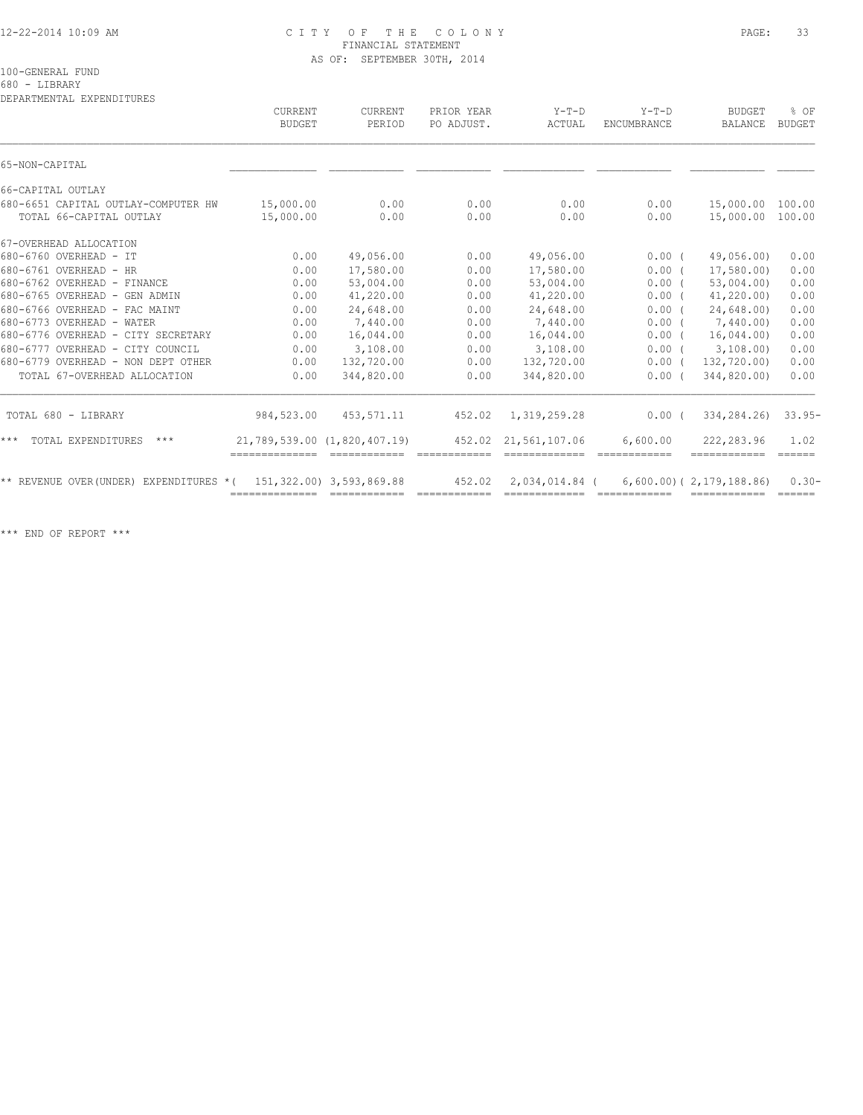### 12-22-2014 10:09 AM C I T Y O F T H E C O L O N Y PAGE: 33 FINANCIAL STATEMENT AS OF: SEPTEMBER 30TH, 2014

100-GENERAL FUND

680 - LIBRARY

DEPARTMENTAL EXPENDITURES

|                                                                | <b>CURRENT</b><br><b>BUDGET</b> | CURRENT<br>PERIOD           | PRIOR YEAR<br>PO ADJUST. | $Y-T-D$<br>ACTUAL               | $Y-T-D$<br>ENCUMBRANCE                                                                                                                                                                                                                                                                                                                                                                                                                                                        | <b>BUDGET</b><br><b>BALANCE</b>                | % OF<br><b>BUDGET</b>               |
|----------------------------------------------------------------|---------------------------------|-----------------------------|--------------------------|---------------------------------|-------------------------------------------------------------------------------------------------------------------------------------------------------------------------------------------------------------------------------------------------------------------------------------------------------------------------------------------------------------------------------------------------------------------------------------------------------------------------------|------------------------------------------------|-------------------------------------|
| 65-NON-CAPITAL                                                 |                                 |                             |                          |                                 |                                                                                                                                                                                                                                                                                                                                                                                                                                                                               |                                                |                                     |
| 66-CAPITAL OUTLAY                                              |                                 |                             |                          |                                 |                                                                                                                                                                                                                                                                                                                                                                                                                                                                               |                                                |                                     |
| 680-6651 CAPITAL OUTLAY-COMPUTER HW<br>TOTAL 66-CAPITAL OUTLAY | 15,000.00<br>15,000.00          | 0.00<br>0.00                | 0.00<br>0.00             | 0.00<br>0.00                    | 0.00<br>0.00                                                                                                                                                                                                                                                                                                                                                                                                                                                                  | 15,000.00<br>15,000.00                         | 100.00<br>100.00                    |
| 67-OVERHEAD ALLOCATION                                         |                                 |                             |                          |                                 |                                                                                                                                                                                                                                                                                                                                                                                                                                                                               |                                                |                                     |
| 680-6760 OVERHEAD - IT                                         | 0.00                            | 49,056.00                   | 0.00                     | 49,056.00                       | 0.00(                                                                                                                                                                                                                                                                                                                                                                                                                                                                         | 49,056.00)                                     | 0.00                                |
| 680-6761 OVERHEAD - HR                                         | 0.00                            | 17,580.00                   | 0.00                     | 17,580.00                       | 0.00(                                                                                                                                                                                                                                                                                                                                                                                                                                                                         | 17,580.00)                                     | 0.00                                |
| 680-6762 OVERHEAD - FINANCE                                    | 0.00                            | 53,004.00                   | 0.00                     | 53,004.00                       | 0.00(                                                                                                                                                                                                                                                                                                                                                                                                                                                                         | 53,004.00                                      | 0.00                                |
| 680-6765 OVERHEAD - GEN ADMIN                                  | 0.00                            | 41,220.00                   | 0.00                     | 41,220.00                       | 0.00(                                                                                                                                                                                                                                                                                                                                                                                                                                                                         | 41, 220.00                                     | 0.00                                |
| 680-6766 OVERHEAD - FAC MAINT                                  | 0.00                            | 24,648.00                   | 0.00                     | 24,648.00                       | 0.00(                                                                                                                                                                                                                                                                                                                                                                                                                                                                         | 24,648.00)                                     | 0.00                                |
| 680-6773 OVERHEAD - WATER                                      | 0.00                            | 7,440.00                    | 0.00                     | 7,440.00                        | 0.00(                                                                                                                                                                                                                                                                                                                                                                                                                                                                         | 7,440.00)                                      | 0.00                                |
| 680-6776 OVERHEAD - CITY SECRETARY                             | 0.00                            | 16,044.00                   | 0.00                     | 16,044.00                       | $0.00$ (                                                                                                                                                                                                                                                                                                                                                                                                                                                                      | 16,044.00                                      | 0.00                                |
| 680-6777 OVERHEAD - CITY COUNCIL                               | 0.00                            | 3,108.00                    | 0.00                     | 3,108.00                        | 0.00(                                                                                                                                                                                                                                                                                                                                                                                                                                                                         | 3,108.00                                       | 0.00                                |
| 680-6779 OVERHEAD - NON DEPT OTHER                             | 0.00                            | 132,720.00                  | 0.00                     | 132,720.00                      | $0.00$ (                                                                                                                                                                                                                                                                                                                                                                                                                                                                      | 132,720.00)                                    | 0.00                                |
| TOTAL 67-OVERHEAD ALLOCATION                                   | 0.00                            | 344,820.00                  | 0.00                     | 344,820.00                      | 0.00(                                                                                                                                                                                                                                                                                                                                                                                                                                                                         | 344,820,00)                                    | 0.00                                |
| TOTAL 680 - LIBRARY                                            | 984,523.00                      | 453,571.11                  | 452.02                   | 1,319,259.28                    | $0.00$ (                                                                                                                                                                                                                                                                                                                                                                                                                                                                      | 334, 284. 26)                                  | $33.95-$                            |
| $***$<br>TOTAL EXPENDITURES<br>$***$                           | 21,789,539.00 (1,820,407.19)    |                             |                          | 452.02 21,561,107.06            | 6,600.00                                                                                                                                                                                                                                                                                                                                                                                                                                                                      | 222,283.96                                     | 1.02<br>$=$ $=$ $=$ $=$ $=$         |
| ** REVENUE OVER (UNDER) EXPENDITURES * (                       | -------------- -------------    | 151, 322.00) 3, 593, 869.88 | 452.02<br>============   | 2,034,014.84 (<br>============= | $\begin{array}{cccccc} \multicolumn{2}{c}{{\color{red}z}} & \multicolumn{2}{c}{{\color{red}z}} & \multicolumn{2}{c}{{\color{red}z}} & \multicolumn{2}{c}{{\color{red}z}} & \multicolumn{2}{c}{{\color{red}z}} & \multicolumn{2}{c}{{\color{red}z}} & \multicolumn{2}{c}{{\color{red}z}} & \multicolumn{2}{c}{{\color{red}z}} & \multicolumn{2}{c}{{\color{red}z}} & \multicolumn{2}{c}{{\color{red}z}} & \multicolumn{2}{c}{{\color{red}z}} & \multicolumn{2}{c}{{\color{red$ | $6,600.00)$ ( 2, 179, 188, 86)<br>============ | $0.30 -$<br>$=$ $=$ $=$ $=$ $=$ $=$ |

\*\*\* END OF REPORT \*\*\*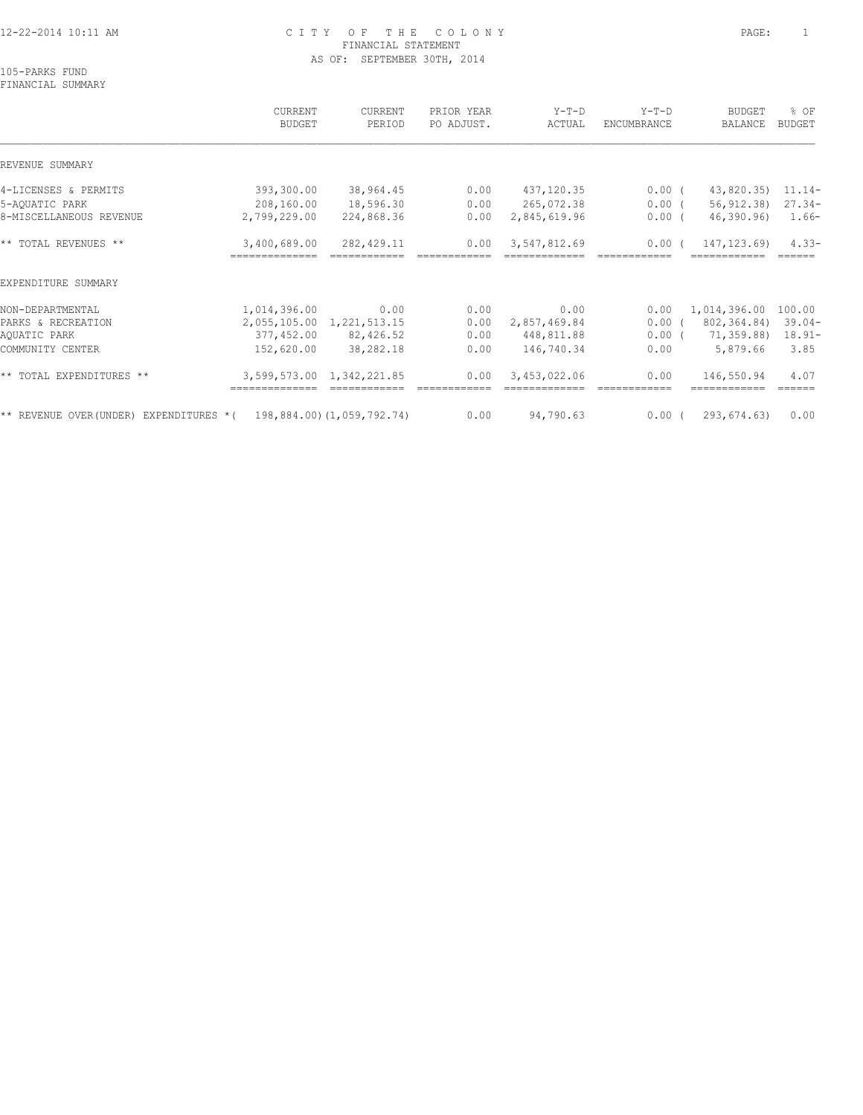# 12-22-2014 10:11 AM C I T Y O F T H E C O L O N Y PAGE: 1 FINANCIAL STATEMENT AS OF: SEPTEMBER 30TH, 2014

105-PARKS FUND

FINANCIAL SUMMARY CURRENT CURRENT PRIOR YEAR Y-T-D Y-T-D BUDGET % OF BUDGET PERIOD PO ADJUST. ACTUAL ENCUMBRANCE BALANCE BUDGET  $\mathcal{L} = \{ \mathcal{L} = \{ \mathcal{L} = \{ \mathcal{L} = \{ \mathcal{L} = \{ \mathcal{L} = \{ \mathcal{L} = \{ \mathcal{L} = \{ \mathcal{L} = \{ \mathcal{L} = \{ \mathcal{L} = \{ \mathcal{L} = \{ \mathcal{L} = \{ \mathcal{L} = \{ \mathcal{L} = \{ \mathcal{L} = \{ \mathcal{L} = \{ \mathcal{L} = \{ \mathcal{L} = \{ \mathcal{L} = \{ \mathcal{L} = \{ \mathcal{L} = \{ \mathcal{L} = \{ \mathcal{L} = \{ \mathcal{$ REVENUE SUMMARY 4-LICENSES & PERMITS 393,300.00 38,964.45 0.00 437,120.35 0.00 ( 43,820.35) 11.14- 5-AQUATIC PARK 208,160.00 18,596.30 0.00 265,072.38 0.00 ( 56,912.38) 27.34- 8-MISCELLANEOUS REVENUE 2,799,229.00 224,868.36 0.00 2,845,619.96 0.00 ( 46,390.96) 1.66- \*\* TOTAL REVENUES \*\* 3,400,689.00 282,429.11 0.00 3,547,812.69 0.00 ( 147,123.69) 4.33- ============== ============ ============ ============= ============ ============ ====== EXPENDITURE SUMMARY NON-DEPARTMENTAL 1,014,396.00 0.00 0.00 0.00 0.00 1,014,396.00 100.00 PARKS & RECREATION 2,055,105.00 1,221,513.15 0.00 2,857,469.84 0.00 ( 802,364.84) 39.04- AQUATIC PARK 377,452.00 82,426.52 0.00 448,811.88 0.00 ( 71,359.88) 18.91- COMMUNITY CENTER 152,620.00 38,282.18 0.00 146,740.34 0.00 5,879.66 3.85 \*\* TOTAL EXPENDITURES \*\* 3,599,573.00 1,342,221.85 0.00 3,453,022.06 0.00 146,550.94 4.07 ============== ============ ============ ============= ============ ============ ======

\*\* REVENUE OVER(UNDER) EXPENDITURES \*( 198,884.00)(1,059,792.74) 0.00 94,790.63 0.00 ( 293,674.63) 0.00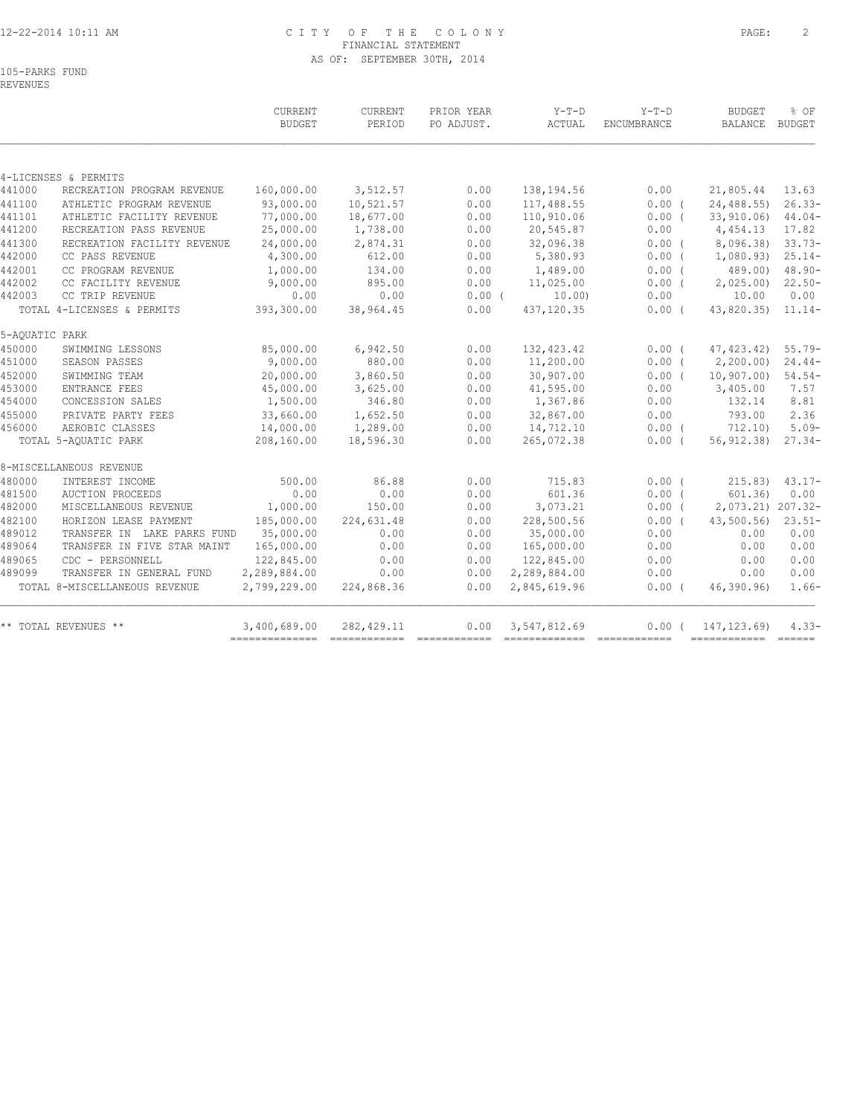## 12-22-2014 10:11 AM C I T Y O F T H E C O L O N Y PAGE: 2 FINANCIAL STATEMENT AS OF: SEPTEMBER 30TH, 2014

105-PARKS FUND

|                               | <b>BUDGET</b>                                                                                                                                                                                                                                                                                           | PERIOD                                                                                                                                                                                                                              | PO ADJUST.                                                                                                                                                            | ACTUAL                                                                                       | ENCUMBRANCE                                                                                                                                                                                               | <b>BALANCE</b>       | BUDGET                                                                                                                                                                                                                                                                                                                                                                                                                                                                                                                                                                                                                                                                                                                                                                                                                                                                                                                                           |
|-------------------------------|---------------------------------------------------------------------------------------------------------------------------------------------------------------------------------------------------------------------------------------------------------------------------------------------------------|-------------------------------------------------------------------------------------------------------------------------------------------------------------------------------------------------------------------------------------|-----------------------------------------------------------------------------------------------------------------------------------------------------------------------|----------------------------------------------------------------------------------------------|-----------------------------------------------------------------------------------------------------------------------------------------------------------------------------------------------------------|----------------------|--------------------------------------------------------------------------------------------------------------------------------------------------------------------------------------------------------------------------------------------------------------------------------------------------------------------------------------------------------------------------------------------------------------------------------------------------------------------------------------------------------------------------------------------------------------------------------------------------------------------------------------------------------------------------------------------------------------------------------------------------------------------------------------------------------------------------------------------------------------------------------------------------------------------------------------------------|
|                               |                                                                                                                                                                                                                                                                                                         |                                                                                                                                                                                                                                     |                                                                                                                                                                       |                                                                                              |                                                                                                                                                                                                           |                      |                                                                                                                                                                                                                                                                                                                                                                                                                                                                                                                                                                                                                                                                                                                                                                                                                                                                                                                                                  |
|                               |                                                                                                                                                                                                                                                                                                         |                                                                                                                                                                                                                                     |                                                                                                                                                                       |                                                                                              |                                                                                                                                                                                                           |                      |                                                                                                                                                                                                                                                                                                                                                                                                                                                                                                                                                                                                                                                                                                                                                                                                                                                                                                                                                  |
|                               |                                                                                                                                                                                                                                                                                                         |                                                                                                                                                                                                                                     |                                                                                                                                                                       |                                                                                              |                                                                                                                                                                                                           |                      | 13.63                                                                                                                                                                                                                                                                                                                                                                                                                                                                                                                                                                                                                                                                                                                                                                                                                                                                                                                                            |
|                               |                                                                                                                                                                                                                                                                                                         |                                                                                                                                                                                                                                     |                                                                                                                                                                       |                                                                                              |                                                                                                                                                                                                           |                      | $26.33-$                                                                                                                                                                                                                                                                                                                                                                                                                                                                                                                                                                                                                                                                                                                                                                                                                                                                                                                                         |
|                               |                                                                                                                                                                                                                                                                                                         |                                                                                                                                                                                                                                     |                                                                                                                                                                       |                                                                                              |                                                                                                                                                                                                           |                      | $44.04-$                                                                                                                                                                                                                                                                                                                                                                                                                                                                                                                                                                                                                                                                                                                                                                                                                                                                                                                                         |
|                               |                                                                                                                                                                                                                                                                                                         |                                                                                                                                                                                                                                     |                                                                                                                                                                       |                                                                                              |                                                                                                                                                                                                           |                      | 17.82                                                                                                                                                                                                                                                                                                                                                                                                                                                                                                                                                                                                                                                                                                                                                                                                                                                                                                                                            |
|                               |                                                                                                                                                                                                                                                                                                         |                                                                                                                                                                                                                                     |                                                                                                                                                                       |                                                                                              |                                                                                                                                                                                                           |                      | $33.73-$                                                                                                                                                                                                                                                                                                                                                                                                                                                                                                                                                                                                                                                                                                                                                                                                                                                                                                                                         |
|                               |                                                                                                                                                                                                                                                                                                         |                                                                                                                                                                                                                                     |                                                                                                                                                                       |                                                                                              |                                                                                                                                                                                                           |                      | $25.14-$                                                                                                                                                                                                                                                                                                                                                                                                                                                                                                                                                                                                                                                                                                                                                                                                                                                                                                                                         |
|                               |                                                                                                                                                                                                                                                                                                         |                                                                                                                                                                                                                                     |                                                                                                                                                                       |                                                                                              |                                                                                                                                                                                                           |                      | $48.90 -$                                                                                                                                                                                                                                                                                                                                                                                                                                                                                                                                                                                                                                                                                                                                                                                                                                                                                                                                        |
|                               |                                                                                                                                                                                                                                                                                                         |                                                                                                                                                                                                                                     |                                                                                                                                                                       |                                                                                              |                                                                                                                                                                                                           |                      | $22.50-$                                                                                                                                                                                                                                                                                                                                                                                                                                                                                                                                                                                                                                                                                                                                                                                                                                                                                                                                         |
|                               |                                                                                                                                                                                                                                                                                                         |                                                                                                                                                                                                                                     |                                                                                                                                                                       |                                                                                              |                                                                                                                                                                                                           |                      | 0.00                                                                                                                                                                                                                                                                                                                                                                                                                                                                                                                                                                                                                                                                                                                                                                                                                                                                                                                                             |
|                               |                                                                                                                                                                                                                                                                                                         |                                                                                                                                                                                                                                     |                                                                                                                                                                       |                                                                                              |                                                                                                                                                                                                           |                      | $11.14-$                                                                                                                                                                                                                                                                                                                                                                                                                                                                                                                                                                                                                                                                                                                                                                                                                                                                                                                                         |
| 5-AQUATIC PARK                |                                                                                                                                                                                                                                                                                                         |                                                                                                                                                                                                                                     |                                                                                                                                                                       |                                                                                              |                                                                                                                                                                                                           |                      |                                                                                                                                                                                                                                                                                                                                                                                                                                                                                                                                                                                                                                                                                                                                                                                                                                                                                                                                                  |
| SWIMMING LESSONS              | 85,000.00                                                                                                                                                                                                                                                                                               | 6,942.50                                                                                                                                                                                                                            | 0.00                                                                                                                                                                  | 132, 423.42                                                                                  |                                                                                                                                                                                                           |                      | $55.79-$                                                                                                                                                                                                                                                                                                                                                                                                                                                                                                                                                                                                                                                                                                                                                                                                                                                                                                                                         |
|                               |                                                                                                                                                                                                                                                                                                         |                                                                                                                                                                                                                                     |                                                                                                                                                                       |                                                                                              |                                                                                                                                                                                                           |                      | $24.44-$                                                                                                                                                                                                                                                                                                                                                                                                                                                                                                                                                                                                                                                                                                                                                                                                                                                                                                                                         |
| SWIMMING TEAM                 |                                                                                                                                                                                                                                                                                                         |                                                                                                                                                                                                                                     | 0.00                                                                                                                                                                  |                                                                                              |                                                                                                                                                                                                           |                      | $54.54-$                                                                                                                                                                                                                                                                                                                                                                                                                                                                                                                                                                                                                                                                                                                                                                                                                                                                                                                                         |
| <b>ENTRANCE FEES</b>          |                                                                                                                                                                                                                                                                                                         |                                                                                                                                                                                                                                     |                                                                                                                                                                       |                                                                                              | 0.00                                                                                                                                                                                                      | 3,405.00             | 7.57                                                                                                                                                                                                                                                                                                                                                                                                                                                                                                                                                                                                                                                                                                                                                                                                                                                                                                                                             |
| CONCESSION SALES              |                                                                                                                                                                                                                                                                                                         |                                                                                                                                                                                                                                     | 0.00                                                                                                                                                                  | 1,367.86                                                                                     | 0.00                                                                                                                                                                                                      | 132.14               | 8.81                                                                                                                                                                                                                                                                                                                                                                                                                                                                                                                                                                                                                                                                                                                                                                                                                                                                                                                                             |
| PRIVATE PARTY FEES            |                                                                                                                                                                                                                                                                                                         | 1,652.50                                                                                                                                                                                                                            | 0.00                                                                                                                                                                  |                                                                                              | 0.00                                                                                                                                                                                                      | 793.00               | 2.36                                                                                                                                                                                                                                                                                                                                                                                                                                                                                                                                                                                                                                                                                                                                                                                                                                                                                                                                             |
| AEROBIC CLASSES               |                                                                                                                                                                                                                                                                                                         |                                                                                                                                                                                                                                     |                                                                                                                                                                       |                                                                                              |                                                                                                                                                                                                           |                      | $5.09-$                                                                                                                                                                                                                                                                                                                                                                                                                                                                                                                                                                                                                                                                                                                                                                                                                                                                                                                                          |
| TOTAL 5-AQUATIC PARK          | 208,160.00                                                                                                                                                                                                                                                                                              | 18,596.30                                                                                                                                                                                                                           | 0.00                                                                                                                                                                  | 265,072.38                                                                                   |                                                                                                                                                                                                           |                      | $27.34-$                                                                                                                                                                                                                                                                                                                                                                                                                                                                                                                                                                                                                                                                                                                                                                                                                                                                                                                                         |
| 8-MISCELLANEOUS REVENUE       |                                                                                                                                                                                                                                                                                                         |                                                                                                                                                                                                                                     |                                                                                                                                                                       |                                                                                              |                                                                                                                                                                                                           |                      |                                                                                                                                                                                                                                                                                                                                                                                                                                                                                                                                                                                                                                                                                                                                                                                                                                                                                                                                                  |
| INTEREST INCOME               | 500.00                                                                                                                                                                                                                                                                                                  | 86.88                                                                                                                                                                                                                               | 0.00                                                                                                                                                                  | 715.83                                                                                       |                                                                                                                                                                                                           |                      | $43.17 -$                                                                                                                                                                                                                                                                                                                                                                                                                                                                                                                                                                                                                                                                                                                                                                                                                                                                                                                                        |
| <b>AUCTION PROCEEDS</b>       | 0.00                                                                                                                                                                                                                                                                                                    | 0.00                                                                                                                                                                                                                                | 0.00                                                                                                                                                                  | 601.36                                                                                       |                                                                                                                                                                                                           |                      | 0.00                                                                                                                                                                                                                                                                                                                                                                                                                                                                                                                                                                                                                                                                                                                                                                                                                                                                                                                                             |
| MISCELLANEOUS REVENUE         | 1,000.00                                                                                                                                                                                                                                                                                                | 150.00                                                                                                                                                                                                                              | 0.00                                                                                                                                                                  | 3,073.21                                                                                     |                                                                                                                                                                                                           |                      |                                                                                                                                                                                                                                                                                                                                                                                                                                                                                                                                                                                                                                                                                                                                                                                                                                                                                                                                                  |
| HORIZON LEASE PAYMENT         | 185,000.00                                                                                                                                                                                                                                                                                              | 224,631.48                                                                                                                                                                                                                          | 0.00                                                                                                                                                                  | 228,500.56                                                                                   |                                                                                                                                                                                                           |                      | $23.51-$                                                                                                                                                                                                                                                                                                                                                                                                                                                                                                                                                                                                                                                                                                                                                                                                                                                                                                                                         |
|                               | 35,000.00                                                                                                                                                                                                                                                                                               | 0.00                                                                                                                                                                                                                                | 0.00                                                                                                                                                                  | 35,000.00                                                                                    | 0.00                                                                                                                                                                                                      | 0.00                 | 0.00                                                                                                                                                                                                                                                                                                                                                                                                                                                                                                                                                                                                                                                                                                                                                                                                                                                                                                                                             |
| TRANSFER IN FIVE STAR MAINT   | 165,000.00                                                                                                                                                                                                                                                                                              | 0.00                                                                                                                                                                                                                                | 0.00                                                                                                                                                                  | 165,000.00                                                                                   | 0.00                                                                                                                                                                                                      | 0.00                 | 0.00                                                                                                                                                                                                                                                                                                                                                                                                                                                                                                                                                                                                                                                                                                                                                                                                                                                                                                                                             |
| CDC - PERSONNELL              | 122,845.00                                                                                                                                                                                                                                                                                              | 0.00                                                                                                                                                                                                                                | 0.00                                                                                                                                                                  | 122,845.00                                                                                   | 0.00                                                                                                                                                                                                      | 0.00                 | 0.00                                                                                                                                                                                                                                                                                                                                                                                                                                                                                                                                                                                                                                                                                                                                                                                                                                                                                                                                             |
| TRANSFER IN GENERAL FUND      | 2,289,884.00                                                                                                                                                                                                                                                                                            | 0.00                                                                                                                                                                                                                                | 0.00                                                                                                                                                                  | 2,289,884.00                                                                                 | 0.00                                                                                                                                                                                                      | 0.00                 | 0.00                                                                                                                                                                                                                                                                                                                                                                                                                                                                                                                                                                                                                                                                                                                                                                                                                                                                                                                                             |
| TOTAL 8-MISCELLANEOUS REVENUE | 2,799,229.00                                                                                                                                                                                                                                                                                            | 224,868.36                                                                                                                                                                                                                          | 0.00                                                                                                                                                                  | 2,845,619.96                                                                                 |                                                                                                                                                                                                           | 46,390.96            | $1.66-$                                                                                                                                                                                                                                                                                                                                                                                                                                                                                                                                                                                                                                                                                                                                                                                                                                                                                                                                          |
| ** TOTAL REVENUES **          | 3,400,689.00                                                                                                                                                                                                                                                                                            | 282, 429.11                                                                                                                                                                                                                         | 0.00                                                                                                                                                                  | 3,547,812.69                                                                                 |                                                                                                                                                                                                           |                      | $4.33-$                                                                                                                                                                                                                                                                                                                                                                                                                                                                                                                                                                                                                                                                                                                                                                                                                                                                                                                                          |
|                               | 4-LICENSES & PERMITS<br>RECREATION PROGRAM REVENUE<br>ATHLETIC PROGRAM REVENUE<br>ATHLETIC FACILITY REVENUE<br>RECREATION PASS REVENUE<br>RECREATION FACILITY REVENUE<br>CC PASS REVENUE<br>CC PROGRAM REVENUE<br>CC FACILITY REVENUE<br>CC TRIP REVENUE<br>TOTAL 4-LICENSES & PERMITS<br>SEASON PASSES | 160,000.00<br>93,000.00<br>77,000.00<br>25,000.00<br>24,000.00<br>4,300.00<br>1,000.00<br>9,000.00<br>0.00<br>393,300.00<br>9,000.00<br>20,000.00<br>45,000.00<br>1,500.00<br>33,660.00<br>14,000.00<br>TRANSFER IN LAKE PARKS FUND | 3,512.57<br>10,521.57<br>18,677.00<br>1,738.00<br>2,874.31<br>612.00<br>134.00<br>895.00<br>0.00<br>38,964.45<br>880.00<br>3,860.50<br>3,625.00<br>346.80<br>1,289.00 | 0.00<br>0.00<br>0.00<br>0.00<br>0.00<br>0.00<br>0.00<br>0.00<br>0.00<br>0.00<br>0.00<br>0.00 | 138,194.56<br>117,488.55<br>110,910.06<br>20,545.87<br>32,096.38<br>5,380.93<br>1,489.00<br>11,025.00<br>$0.00$ (<br>10.00<br>437,120.35<br>11,200.00<br>30,907.00<br>41,595.00<br>32,867.00<br>14,712.10 | 0.00<br>0.00<br>0.00 | 21,805.44<br>0.00(<br>24,488.55)<br>0.00(<br>33,910.06)<br>4,454.13<br>8,096.38)<br>$0.00$ (<br>0.00(<br>1,080.93)<br>0.00(<br>489.00)<br>0.00(<br>2,025.00<br>10.00<br>43,820.35)<br>0.00(<br>0.00(<br>47, 423, 42)<br>$0.00$ (<br>2,200.00<br>10, 907, 00)<br>0.00(<br>$0.00$ (<br>712,10)<br>56, 912, 38)<br>$0.00$ (<br>0.00(<br>215.83<br>0.00(<br>601.36<br>2,073.21) 207.32-<br>$0.00$ (<br>43,500.56)<br>0.00(<br>$0.00$ (<br>0.00(<br>147, 123.69)<br>$\begin{array}{cccccc} \multicolumn{2}{c}{\texttt{m}} & \multicolumn{2}{c}{\texttt{m}} & \multicolumn{2}{c}{\texttt{m}} & \multicolumn{2}{c}{\texttt{m}} & \multicolumn{2}{c}{\texttt{m}} & \multicolumn{2}{c}{\texttt{m}} & \multicolumn{2}{c}{\texttt{m}} & \multicolumn{2}{c}{\texttt{m}} & \multicolumn{2}{c}{\texttt{m}} & \multicolumn{2}{c}{\texttt{m}} & \multicolumn{2}{c}{\texttt{m}} & \multicolumn{2}{c}{\texttt{m}} & \multicolumn{2}{c}{\texttt{m}} & \multicolumn$ |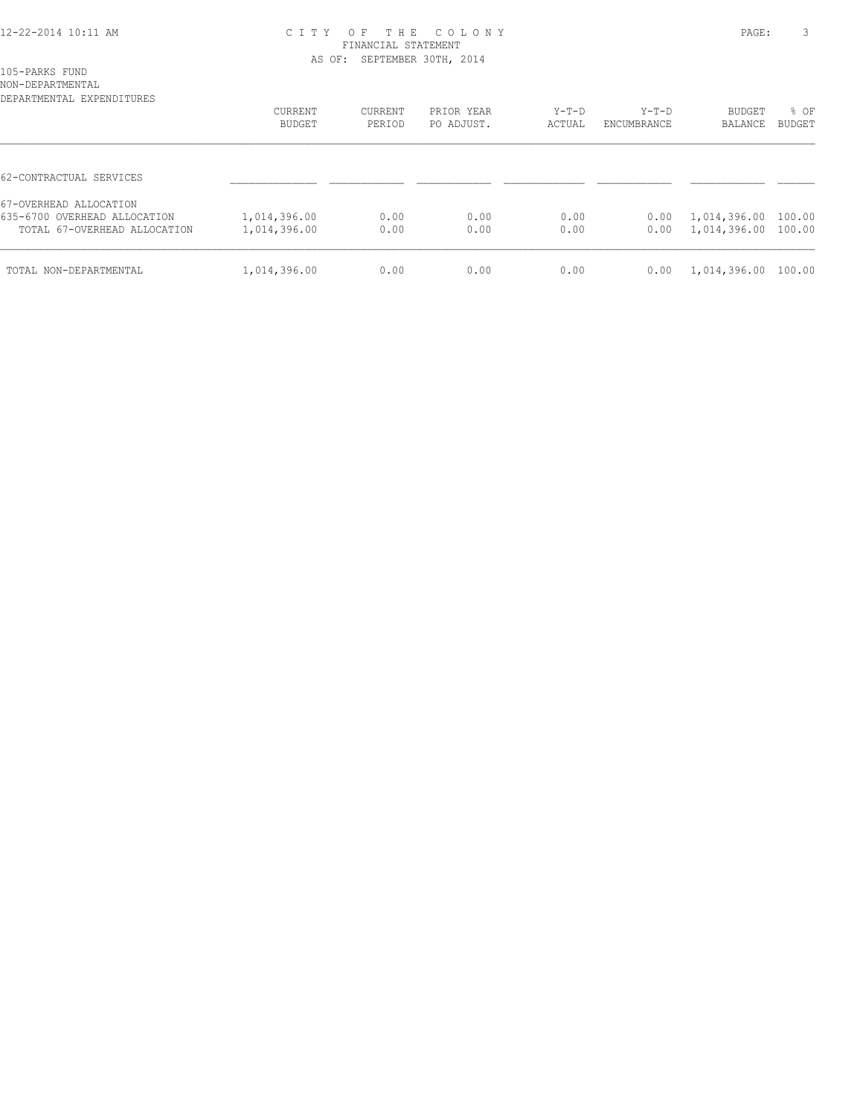#### 12-22-2014 10:11 AM C I T Y O F T H E C O L O N Y PAGE: 3 FINANCIAL STATEMENT AS OF: SEPTEMBER 30TH, 2014

NON-DEPARTMENTAL

| DEPARTMENTAL EXPENDITURES                                                              | CURRENT<br>BUDGET            | CURRENT<br>PERIOD | PRIOR YEAR<br>PO ADJUST. | $Y-T-D$<br>ACTUAL | $Y-T-D$<br>ENCUMBRANCE | <b>BUDGET</b><br>BALANCE     | % OF<br>BUDGET   |
|----------------------------------------------------------------------------------------|------------------------------|-------------------|--------------------------|-------------------|------------------------|------------------------------|------------------|
| 62-CONTRACTUAL SERVICES                                                                |                              |                   |                          |                   |                        |                              |                  |
| 67-OVERHEAD ALLOCATION<br>635-6700 OVERHEAD ALLOCATION<br>TOTAL 67-OVERHEAD ALLOCATION | 1,014,396.00<br>1,014,396.00 | 0.00<br>0.00      | 0.00<br>0.00             | 0.00<br>0.00      | 0.00<br>0.00           | 1,014,396.00<br>1,014,396.00 | 100.00<br>100.00 |
| TOTAL NON-DEPARTMENTAL                                                                 | 1,014,396.00                 | 0.00              | 0.00                     | 0.00              | 0.00                   | 1,014,396.00                 | 100.00           |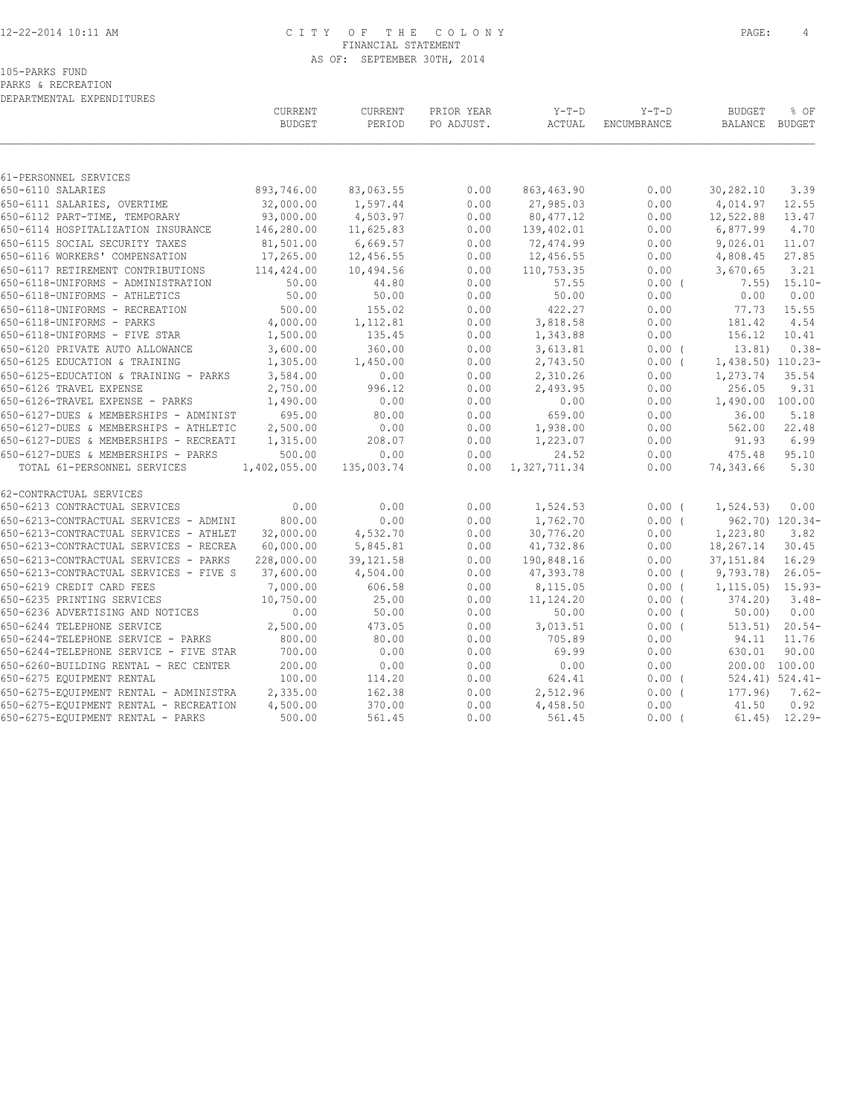### 12-22-2014 10:11 AM C I T Y O F T H E C O L O N Y PAGE: 4 FINANCIAL STATEMENT AS OF: SEPTEMBER 30TH, 2014

PARKS & RECREATION DEPARTMENTAL EXPENDITURES

|                                            | CURRENT<br><b>BUDGET</b> | CURRENT<br>PERIOD | PRIOR YEAR<br>PO ADJUST. | $Y-T-D$<br>ACTUAL | $Y-T-D$<br>ENCUMBRANCE | <b>BUDGET</b><br>BALANCE | % OF<br>BUDGET        |
|--------------------------------------------|--------------------------|-------------------|--------------------------|-------------------|------------------------|--------------------------|-----------------------|
|                                            |                          |                   |                          |                   |                        |                          |                       |
| 61-PERSONNEL SERVICES<br>650-6110 SALARIES | 893,746.00               | 83,063.55         | 0.00                     | 863, 463.90       | 0.00                   | 30,282.10                | 3.39                  |
| 650-6111 SALARIES, OVERTIME                | 32,000.00                | 1,597.44          | 0.00                     | 27,985.03         | 0.00                   | 4,014.97                 | 12.55                 |
| 650-6112 PART-TIME, TEMPORARY              | 93,000.00                | 4,503.97          | 0.00                     | 80, 477.12        | 0.00                   | 12,522.88                | 13.47                 |
| 650-6114 HOSPITALIZATION INSURANCE         | 146,280.00               | 11,625.83         | 0.00                     | 139,402.01        | 0.00                   | 6,877.99                 | 4.70                  |
| 650-6115 SOCIAL SECURITY TAXES             | 81,501.00                | 6,669.57          | 0.00                     | 72,474.99         | 0.00                   | 9,026.01                 | 11.07                 |
| 650-6116 WORKERS' COMPENSATION             | 17,265.00                | 12,456.55         | 0.00                     | 12,456.55         | 0.00                   | 4,808.45                 | 27.85                 |
| 650-6117 RETIREMENT CONTRIBUTIONS          | 114,424.00               | 10,494.56         | 0.00                     | 110,753.35        | 0.00                   | 3,670.65                 | 3.21                  |
| 650-6118-UNIFORMS - ADMINISTRATION         | 50.00                    | 44.80             | 0.00                     | 57.55             | $0.00$ (               | 7.55)                    | $15.10 -$             |
| 650-6118-UNIFORMS - ATHLETICS              | 50.00                    | 50.00             | 0.00                     | 50.00             | 0.00                   | 0.00                     | 0.00                  |
| 650-6118-UNIFORMS - RECREATION             | 500.00                   | 155.02            | 0.00                     | 422.27            | 0.00                   | 77.73                    | 15.55                 |
| 650-6118-UNIFORMS - PARKS                  | 4,000.00                 | 1,112.81          | 0.00                     | 3,818.58          | 0.00                   | 181.42                   | 4.54                  |
| 650-6118-UNIFORMS - FIVE STAR              | 1,500.00                 | 135.45            | 0.00                     | 1,343.88          | 0.00                   | 156.12                   | 10.41                 |
| 650-6120 PRIVATE AUTO ALLOWANCE            | 3,600.00                 | 360.00            | 0.00                     | 3,613.81          | $0.00$ (               | 13.81)                   | $0.38-$               |
| 650-6125 EDUCATION & TRAINING              | 1,305.00                 | 1,450.00          | 0.00                     | 2,743.50          | $0.00$ (               | 1,438.50) 110.23-        |                       |
| 650-6125-EDUCATION & TRAINING - PARKS      | 3,584.00                 | 0.00              | 0.00                     | 2,310.26          | 0.00                   | 1,273.74                 | 35.54                 |
| 650-6126 TRAVEL EXPENSE                    | 2,750.00                 | 996.12            | 0.00                     | 2,493.95          | 0.00                   | 256.05                   | 9.31                  |
| 650-6126-TRAVEL EXPENSE - PARKS            | 1,490.00                 | 0.00              | 0.00                     | 0.00              | 0.00                   | 1,490.00 100.00          |                       |
| 650-6127-DUES & MEMBERSHIPS - ADMINIST     | 695.00                   | 80.00             | 0.00                     | 659.00            | 0.00                   | 36.00                    | 5.18                  |
| 650-6127-DUES & MEMBERSHIPS - ATHLETIC     | 2,500.00                 | 0.00              | 0.00                     | 1,938.00          | 0.00                   | 562.00                   | 22.48                 |
| 650-6127-DUES & MEMBERSHIPS - RECREATI     | 1,315.00                 | 208.07            | 0.00                     | 1,223.07          | 0.00                   | 91.93                    | 6.99                  |
| 650-6127-DUES & MEMBERSHIPS - PARKS        | 500.00                   | 0.00              | 0.00                     | 24.52             | 0.00                   | 475.48                   | 95.10                 |
| TOTAL 61-PERSONNEL SERVICES                | 1,402,055.00             | 135,003.74        | 0.00                     | 1,327,711.34      | 0.00                   | 74,343.66                | 5.30                  |
| 62-CONTRACTUAL SERVICES                    |                          |                   |                          |                   |                        |                          |                       |
| 650-6213 CONTRACTUAL SERVICES              | 0.00                     | 0.00              | 0.00                     | 1,524.53          | $0.00$ (               | 1, 524.53)               | 0.00                  |
| 650-6213-CONTRACTUAL SERVICES - ADMINI     | 800.00                   | 0.00              | 0.00                     | 1,762.70          | 0.00(                  |                          | 962.70) 120.34-       |
| 650-6213-CONTRACTUAL SERVICES - ATHLET     | 32,000.00                | 4,532.70          | 0.00                     | 30,776.20         | 0.00                   | 1,223.80                 | 3.82                  |
| 650-6213-CONTRACTUAL SERVICES - RECREA     | 60,000.00                | 5,845.81          | 0.00                     | 41,732.86         | 0.00                   | 18,267.14                | 30.45                 |
| 650-6213-CONTRACTUAL SERVICES - PARKS      | 228,000.00               | 39, 121.58        | 0.00                     | 190,848.16        | 0.00                   | 37, 151.84               | 16.29                 |
| 650-6213-CONTRACTUAL SERVICES - FIVE S     | 37,600.00                | 4,504.00          | 0.00                     | 47,393.78         | $0.00$ (               | 9,793.78)                | $26.05-$              |
| 650-6219 CREDIT CARD FEES                  | 7,000.00                 | 606.58            | 0.00                     | 8,115.05          | 0.00(                  | $1, 115.05$ $15.93-$     |                       |
| 650-6235 PRINTING SERVICES                 | 10,750.00                | 25.00             | 0.00                     | 11,124.20         | 0.00(                  | 374.20)                  | $3.48-$               |
| 650-6236 ADVERTISING AND NOTICES           | 0.00                     | 50.00             | 0.00                     | 50.00             | $0.00$ (               | 50.00                    | 0.00                  |
| 650-6244 TELEPHONE SERVICE                 | 2,500.00                 | 473.05            | 0.00                     | 3,013.51          | 0.00(                  | 513.51                   | $20.54-$              |
| 650-6244-TELEPHONE SERVICE - PARKS         | 800.00                   | 80.00             | 0.00                     | 705.89            | 0.00                   | 94.11                    | 11.76                 |
| 650-6244-TELEPHONE SERVICE - FIVE STAR     | 700.00                   | 0.00              | 0.00                     | 69.99             | 0.00                   | 630.01                   | 90.00                 |
| 650-6260-BUILDING RENTAL - REC CENTER      | 200.00                   | 0.00              | 0.00                     | 0.00              | 0.00                   |                          | 200.00 100.00         |
| 650-6275 EQUIPMENT RENTAL                  | 100.00                   | 114.20            | 0.00                     | 624.41            | $0.00$ (               |                          | $524.41$ ) $524.41$ - |
| 650-6275-EQUIPMENT RENTAL - ADMINISTRA     | 2,335.00                 | 162.38            | 0.00                     | 2,512.96          | 0.00(                  | 177.96)                  | $7.62-$               |
| 650-6275-EQUIPMENT RENTAL - RECREATION     | 4,500.00                 | 370.00            | 0.00                     | 4,458.50          | 0.00                   | 41.50                    | 0.92                  |
| 650-6275-EQUIPMENT RENTAL - PARKS          | 500.00                   | 561.45            | 0.00                     | 561.45            | $0.00$ (               |                          | $61.45$ $12.29$ -     |
|                                            |                          |                   |                          |                   |                        |                          |                       |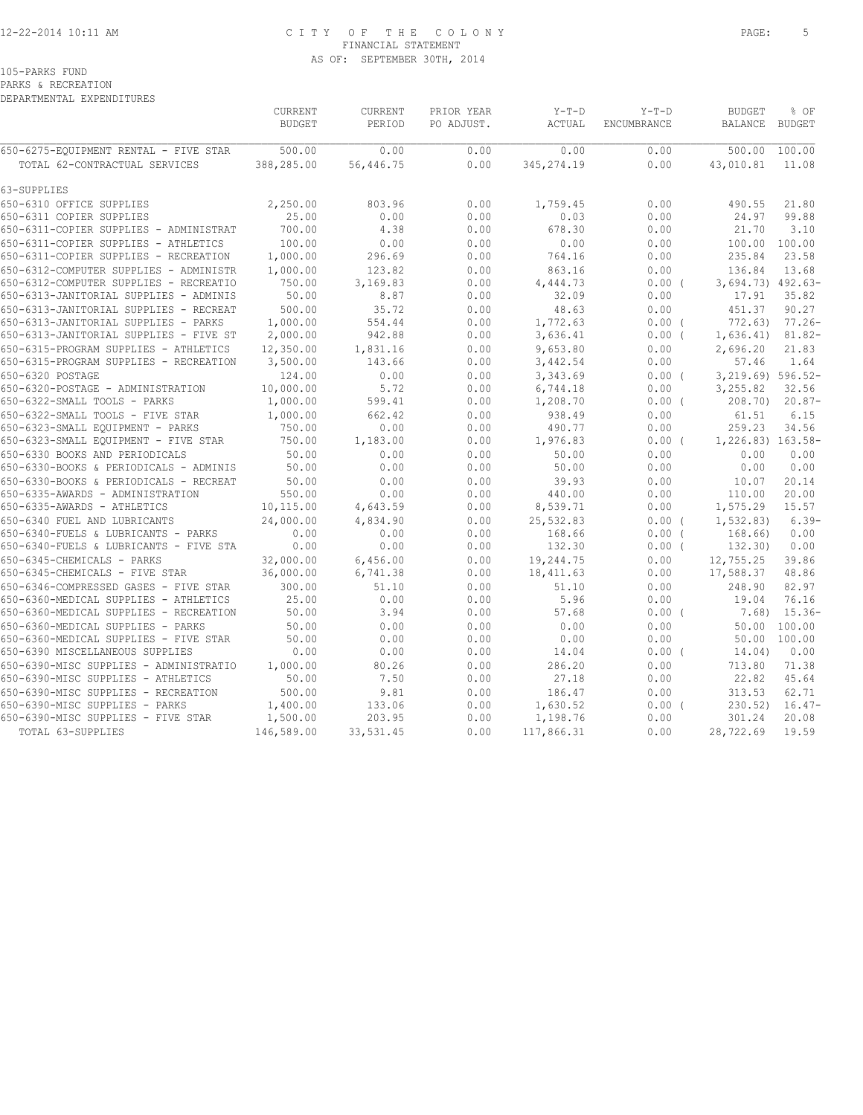### 12-22-2014 10:11 AM C I T Y O F T H E C O L O N Y PAGE: 5 FINANCIAL STATEMENT AS OF: SEPTEMBER 30TH, 2014

105-PARKS FUND

PARKS & RECREATION DEPARTMENTAL EXPENDITURES

| <b>BUDGET</b><br>PERIOD<br>PO ADJUST.<br>ACTUAL<br>ENCUMBRANCE<br><b>BALANCE</b><br>BUDGET<br>500.00<br>0.00<br>0.00<br>0.00<br>500.00<br>100.00<br>0.00<br>0.00<br>388,285.00<br>56,446.75<br>345, 274.19<br>0.00<br>43,010.81<br>11.08<br>TOTAL 62-CONTRACTUAL SERVICES<br>2,250.00<br>803.96<br>0.00<br>1,759.45<br>0.00<br>490.55<br>650-6310 OFFICE SUPPLIES<br>21.80<br>650-6311 COPIER SUPPLIES<br>25.00<br>0.00<br>0.00<br>0.03<br>0.00<br>24.97<br>99.88<br>4.38<br>650-6311-COPIER SUPPLIES - ADMINISTRAT<br>700.00<br>0.00<br>678.30<br>0.00<br>21.70<br>3.10<br>100.00<br>0.00<br>0.00<br>100.00<br>650-6311-COPIER SUPPLIES - ATHLETICS<br>0.00<br>0.00<br>100.00<br>1,000.00<br>764.16<br>235.84<br>23.58<br>296.69<br>0.00<br>0.00<br>1,000.00<br>13.68<br>650-6312-COMPUTER SUPPLIES - ADMINISTR<br>123.82<br>0.00<br>863.16<br>0.00<br>136.84<br>750.00<br>3,694.73) 492.63-<br>3,169.83<br>0.00<br>4,444.73<br>$0.00$ (<br>50.00<br>650-6313-JANITORIAL SUPPLIES - ADMINIS<br>8.87<br>0.00<br>32.09<br>0.00<br>17.91<br>35.82<br>500.00<br>35.72<br>0.00<br>48.63<br>451.37<br>90.27<br>650-6313-JANITORIAL SUPPLIES - RECREAT<br>0.00<br>650-6313-JANITORIAL SUPPLIES - PARKS<br>1,000.00<br>554.44<br>0.00<br>1,772.63<br>772.63)<br>$77.26 -$<br>$0.00$ (<br>2,000.00<br>942.88<br>0.00<br>3,636.41<br>1,636.41)<br>$81.82 -$<br>650-6313-JANITORIAL SUPPLIES - FIVE ST<br>$0.00$ (<br>12,350.00<br>0.00<br>9,653.80<br>650-6315-PROGRAM SUPPLIES - ATHLETICS<br>1,831.16<br>0.00<br>2,696.20<br>21.83<br>3,500.00<br>0.00<br>0.00<br>57.46<br>1.64<br>650-6315-PROGRAM SUPPLIES - RECREATION<br>143.66<br>3,442.54<br>3,219.69) 596.52-<br>650-6320 POSTAGE<br>124.00<br>0.00<br>0.00<br>3,343.69<br>$0.00$ (<br>10,000.00<br>5.72<br>0.00<br>3,255.82<br>32.56<br>650-6320-POSTAGE - ADMINISTRATION<br>6,744.18<br>0.00<br>1,000.00<br>599.41<br>0.00<br>208.70)<br>$20.87-$<br>1,208.70<br>$0.00$ (<br>650-6322-SMALL TOOLS - FIVE STAR<br>1,000.00<br>662.42<br>0.00<br>938.49<br>0.00<br>61.51<br>6.15<br>750.00<br>0.00<br>0.00<br>490.77<br>0.00<br>259.23<br>34.56<br>750.00<br>1,183.00<br>0.00<br>1,976.83<br>$0.00$ (<br>1,226.83) 163.58-<br>50.00<br>0.00<br>50.00<br>0.00<br>0.00<br>650-6330 BOOKS AND PERIODICALS<br>0.00<br>0.00<br>50.00<br>0.00<br>0.00<br>650-6330-BOOKS & PERIODICALS - ADMINIS<br>0.00<br>50.00<br>0.00<br>0.00<br>50.00<br>0.00<br>0.00<br>39.93<br>0.00<br>20.14<br>650-6330-BOOKS & PERIODICALS - RECREAT<br>10.07<br>550.00<br>0.00<br>0.00<br>440.00<br>0.00<br>20.00<br>650-6335-AWARDS - ADMINISTRATION<br>110.00<br>650-6335-AWARDS - ATHLETICS<br>10,115.00<br>4,643.59<br>0.00<br>8,539.71<br>0.00<br>1,575.29<br>15.57<br>24,000.00<br>4,834.90<br>0.00<br>25,532.83<br>1, 532.83<br>$6.39-$<br>0.00(<br>0.00<br>0.00<br>0.00<br>168.66<br>168.66)<br>0.00<br>650-6340-FUELS & LUBRICANTS - PARKS<br>$0.00$ (<br>0.00<br>0.00<br>0.00<br>0.00<br>132.30<br>$0.00$ (<br>132.30)<br>32,000.00<br>19,244.75<br>39.86<br>650-6345-CHEMICALS - PARKS<br>6,456.00<br>0.00<br>0.00<br>12,755.25<br>36,000.00<br>17,588.37<br>6,741.38<br>0.00<br>18, 411.63<br>0.00<br>48.86<br>300.00<br>0.00<br>248.90<br>650-6346-COMPRESSED GASES - FIVE STAR<br>51.10<br>51.10<br>0.00<br>82.97<br>25.00<br>0.00<br>76.16<br>650-6360-MEDICAL SUPPLIES - ATHLETICS<br>0.00<br>5.96<br>0.00<br>19.04<br>650-6360-MEDICAL SUPPLIES - RECREATION<br>50.00<br>3.94<br>0.00<br>57.68<br>$0.00$ (<br>$15.36-$<br>7.68)<br>100.00<br>650-6360-MEDICAL SUPPLIES - PARKS<br>50.00<br>0.00<br>0.00<br>0.00<br>0.00<br>50.00<br>650-6360-MEDICAL SUPPLIES - FIVE STAR<br>50.00<br>0.00<br>0.00<br>0.00<br>0.00<br>50.00 100.00<br>650-6390 MISCELLANEOUS SUPPLIES<br>0.00<br>0.00<br>0.00<br>14.04<br>$0.00$ (<br>14.04)<br>0.00<br>80.26<br>0.00<br>650-6390-MISC SUPPLIES - ADMINISTRATIO<br>1,000.00<br>286.20<br>0.00<br>713.80<br>71.38<br>50.00<br>7.50<br>0.00<br>27.18<br>0.00<br>22.82<br>45.64<br>500.00<br>9.81<br>62.71<br>650-6390-MISC SUPPLIES - RECREATION<br>0.00<br>186.47<br>0.00<br>313.53<br>650-6390-MISC SUPPLIES - PARKS<br>1,400.00<br>133.06<br>0.00<br>1,630.52<br>0.00(<br>230.52<br>$16.47-$<br>1,500.00<br>203.95<br>0.00<br>1,198.76<br>301.24<br>20.08<br>0.00<br>146,589.00<br>33,531.45<br>0.00<br>117,866.31<br>0.00<br>28,722.69<br>19.59<br>TOTAL 63-SUPPLIES |                                        | CURRENT | CURRENT | PRIOR YEAR | $Y-T-D$ | $Y-T-D$ | <b>BUDGET</b> | % OF |
|---------------------------------------------------------------------------------------------------------------------------------------------------------------------------------------------------------------------------------------------------------------------------------------------------------------------------------------------------------------------------------------------------------------------------------------------------------------------------------------------------------------------------------------------------------------------------------------------------------------------------------------------------------------------------------------------------------------------------------------------------------------------------------------------------------------------------------------------------------------------------------------------------------------------------------------------------------------------------------------------------------------------------------------------------------------------------------------------------------------------------------------------------------------------------------------------------------------------------------------------------------------------------------------------------------------------------------------------------------------------------------------------------------------------------------------------------------------------------------------------------------------------------------------------------------------------------------------------------------------------------------------------------------------------------------------------------------------------------------------------------------------------------------------------------------------------------------------------------------------------------------------------------------------------------------------------------------------------------------------------------------------------------------------------------------------------------------------------------------------------------------------------------------------------------------------------------------------------------------------------------------------------------------------------------------------------------------------------------------------------------------------------------------------------------------------------------------------------------------------------------------------------------------------------------------------------------------------------------------------------------------------------------------------------------------------------------------------------------------------------------------------------------------------------------------------------------------------------------------------------------------------------------------------------------------------------------------------------------------------------------------------------------------------------------------------------------------------------------------------------------------------------------------------------------------------------------------------------------------------------------------------------------------------------------------------------------------------------------------------------------------------------------------------------------------------------------------------------------------------------------------------------------------------------------------------------------------------------------------------------------------------------------------------------------------------------------------------------------------------------------------------------------------------------------------------------------------------------------------------------------------------------------------------------------------------------------------------------------------------------------------------------------------------------------------------------------------------------------------------------------------------------------------------------------------------------------------------------------------------------------------------------------------------------------------------------------------------------|----------------------------------------|---------|---------|------------|---------|---------|---------------|------|
|                                                                                                                                                                                                                                                                                                                                                                                                                                                                                                                                                                                                                                                                                                                                                                                                                                                                                                                                                                                                                                                                                                                                                                                                                                                                                                                                                                                                                                                                                                                                                                                                                                                                                                                                                                                                                                                                                                                                                                                                                                                                                                                                                                                                                                                                                                                                                                                                                                                                                                                                                                                                                                                                                                                                                                                                                                                                                                                                                                                                                                                                                                                                                                                                                                                                                                                                                                                                                                                                                                                                                                                                                                                                                                                                                                                                                                                                                                                                                                                                                                                                                                                                                                                                                                                                                                                                             |                                        |         |         |            |         |         |               |      |
|                                                                                                                                                                                                                                                                                                                                                                                                                                                                                                                                                                                                                                                                                                                                                                                                                                                                                                                                                                                                                                                                                                                                                                                                                                                                                                                                                                                                                                                                                                                                                                                                                                                                                                                                                                                                                                                                                                                                                                                                                                                                                                                                                                                                                                                                                                                                                                                                                                                                                                                                                                                                                                                                                                                                                                                                                                                                                                                                                                                                                                                                                                                                                                                                                                                                                                                                                                                                                                                                                                                                                                                                                                                                                                                                                                                                                                                                                                                                                                                                                                                                                                                                                                                                                                                                                                                                             | 650-6275-EQUIPMENT RENTAL - FIVE STAR  |         |         |            |         |         |               |      |
|                                                                                                                                                                                                                                                                                                                                                                                                                                                                                                                                                                                                                                                                                                                                                                                                                                                                                                                                                                                                                                                                                                                                                                                                                                                                                                                                                                                                                                                                                                                                                                                                                                                                                                                                                                                                                                                                                                                                                                                                                                                                                                                                                                                                                                                                                                                                                                                                                                                                                                                                                                                                                                                                                                                                                                                                                                                                                                                                                                                                                                                                                                                                                                                                                                                                                                                                                                                                                                                                                                                                                                                                                                                                                                                                                                                                                                                                                                                                                                                                                                                                                                                                                                                                                                                                                                                                             |                                        |         |         |            |         |         |               |      |
|                                                                                                                                                                                                                                                                                                                                                                                                                                                                                                                                                                                                                                                                                                                                                                                                                                                                                                                                                                                                                                                                                                                                                                                                                                                                                                                                                                                                                                                                                                                                                                                                                                                                                                                                                                                                                                                                                                                                                                                                                                                                                                                                                                                                                                                                                                                                                                                                                                                                                                                                                                                                                                                                                                                                                                                                                                                                                                                                                                                                                                                                                                                                                                                                                                                                                                                                                                                                                                                                                                                                                                                                                                                                                                                                                                                                                                                                                                                                                                                                                                                                                                                                                                                                                                                                                                                                             | 63-SUPPLIES                            |         |         |            |         |         |               |      |
|                                                                                                                                                                                                                                                                                                                                                                                                                                                                                                                                                                                                                                                                                                                                                                                                                                                                                                                                                                                                                                                                                                                                                                                                                                                                                                                                                                                                                                                                                                                                                                                                                                                                                                                                                                                                                                                                                                                                                                                                                                                                                                                                                                                                                                                                                                                                                                                                                                                                                                                                                                                                                                                                                                                                                                                                                                                                                                                                                                                                                                                                                                                                                                                                                                                                                                                                                                                                                                                                                                                                                                                                                                                                                                                                                                                                                                                                                                                                                                                                                                                                                                                                                                                                                                                                                                                                             |                                        |         |         |            |         |         |               |      |
|                                                                                                                                                                                                                                                                                                                                                                                                                                                                                                                                                                                                                                                                                                                                                                                                                                                                                                                                                                                                                                                                                                                                                                                                                                                                                                                                                                                                                                                                                                                                                                                                                                                                                                                                                                                                                                                                                                                                                                                                                                                                                                                                                                                                                                                                                                                                                                                                                                                                                                                                                                                                                                                                                                                                                                                                                                                                                                                                                                                                                                                                                                                                                                                                                                                                                                                                                                                                                                                                                                                                                                                                                                                                                                                                                                                                                                                                                                                                                                                                                                                                                                                                                                                                                                                                                                                                             |                                        |         |         |            |         |         |               |      |
|                                                                                                                                                                                                                                                                                                                                                                                                                                                                                                                                                                                                                                                                                                                                                                                                                                                                                                                                                                                                                                                                                                                                                                                                                                                                                                                                                                                                                                                                                                                                                                                                                                                                                                                                                                                                                                                                                                                                                                                                                                                                                                                                                                                                                                                                                                                                                                                                                                                                                                                                                                                                                                                                                                                                                                                                                                                                                                                                                                                                                                                                                                                                                                                                                                                                                                                                                                                                                                                                                                                                                                                                                                                                                                                                                                                                                                                                                                                                                                                                                                                                                                                                                                                                                                                                                                                                             |                                        |         |         |            |         |         |               |      |
|                                                                                                                                                                                                                                                                                                                                                                                                                                                                                                                                                                                                                                                                                                                                                                                                                                                                                                                                                                                                                                                                                                                                                                                                                                                                                                                                                                                                                                                                                                                                                                                                                                                                                                                                                                                                                                                                                                                                                                                                                                                                                                                                                                                                                                                                                                                                                                                                                                                                                                                                                                                                                                                                                                                                                                                                                                                                                                                                                                                                                                                                                                                                                                                                                                                                                                                                                                                                                                                                                                                                                                                                                                                                                                                                                                                                                                                                                                                                                                                                                                                                                                                                                                                                                                                                                                                                             |                                        |         |         |            |         |         |               |      |
|                                                                                                                                                                                                                                                                                                                                                                                                                                                                                                                                                                                                                                                                                                                                                                                                                                                                                                                                                                                                                                                                                                                                                                                                                                                                                                                                                                                                                                                                                                                                                                                                                                                                                                                                                                                                                                                                                                                                                                                                                                                                                                                                                                                                                                                                                                                                                                                                                                                                                                                                                                                                                                                                                                                                                                                                                                                                                                                                                                                                                                                                                                                                                                                                                                                                                                                                                                                                                                                                                                                                                                                                                                                                                                                                                                                                                                                                                                                                                                                                                                                                                                                                                                                                                                                                                                                                             | 650-6311-COPIER SUPPLIES - RECREATION  |         |         |            |         |         |               |      |
|                                                                                                                                                                                                                                                                                                                                                                                                                                                                                                                                                                                                                                                                                                                                                                                                                                                                                                                                                                                                                                                                                                                                                                                                                                                                                                                                                                                                                                                                                                                                                                                                                                                                                                                                                                                                                                                                                                                                                                                                                                                                                                                                                                                                                                                                                                                                                                                                                                                                                                                                                                                                                                                                                                                                                                                                                                                                                                                                                                                                                                                                                                                                                                                                                                                                                                                                                                                                                                                                                                                                                                                                                                                                                                                                                                                                                                                                                                                                                                                                                                                                                                                                                                                                                                                                                                                                             |                                        |         |         |            |         |         |               |      |
|                                                                                                                                                                                                                                                                                                                                                                                                                                                                                                                                                                                                                                                                                                                                                                                                                                                                                                                                                                                                                                                                                                                                                                                                                                                                                                                                                                                                                                                                                                                                                                                                                                                                                                                                                                                                                                                                                                                                                                                                                                                                                                                                                                                                                                                                                                                                                                                                                                                                                                                                                                                                                                                                                                                                                                                                                                                                                                                                                                                                                                                                                                                                                                                                                                                                                                                                                                                                                                                                                                                                                                                                                                                                                                                                                                                                                                                                                                                                                                                                                                                                                                                                                                                                                                                                                                                                             | 650-6312-COMPUTER SUPPLIES - RECREATIO |         |         |            |         |         |               |      |
|                                                                                                                                                                                                                                                                                                                                                                                                                                                                                                                                                                                                                                                                                                                                                                                                                                                                                                                                                                                                                                                                                                                                                                                                                                                                                                                                                                                                                                                                                                                                                                                                                                                                                                                                                                                                                                                                                                                                                                                                                                                                                                                                                                                                                                                                                                                                                                                                                                                                                                                                                                                                                                                                                                                                                                                                                                                                                                                                                                                                                                                                                                                                                                                                                                                                                                                                                                                                                                                                                                                                                                                                                                                                                                                                                                                                                                                                                                                                                                                                                                                                                                                                                                                                                                                                                                                                             |                                        |         |         |            |         |         |               |      |
|                                                                                                                                                                                                                                                                                                                                                                                                                                                                                                                                                                                                                                                                                                                                                                                                                                                                                                                                                                                                                                                                                                                                                                                                                                                                                                                                                                                                                                                                                                                                                                                                                                                                                                                                                                                                                                                                                                                                                                                                                                                                                                                                                                                                                                                                                                                                                                                                                                                                                                                                                                                                                                                                                                                                                                                                                                                                                                                                                                                                                                                                                                                                                                                                                                                                                                                                                                                                                                                                                                                                                                                                                                                                                                                                                                                                                                                                                                                                                                                                                                                                                                                                                                                                                                                                                                                                             |                                        |         |         |            |         |         |               |      |
|                                                                                                                                                                                                                                                                                                                                                                                                                                                                                                                                                                                                                                                                                                                                                                                                                                                                                                                                                                                                                                                                                                                                                                                                                                                                                                                                                                                                                                                                                                                                                                                                                                                                                                                                                                                                                                                                                                                                                                                                                                                                                                                                                                                                                                                                                                                                                                                                                                                                                                                                                                                                                                                                                                                                                                                                                                                                                                                                                                                                                                                                                                                                                                                                                                                                                                                                                                                                                                                                                                                                                                                                                                                                                                                                                                                                                                                                                                                                                                                                                                                                                                                                                                                                                                                                                                                                             |                                        |         |         |            |         |         |               |      |
|                                                                                                                                                                                                                                                                                                                                                                                                                                                                                                                                                                                                                                                                                                                                                                                                                                                                                                                                                                                                                                                                                                                                                                                                                                                                                                                                                                                                                                                                                                                                                                                                                                                                                                                                                                                                                                                                                                                                                                                                                                                                                                                                                                                                                                                                                                                                                                                                                                                                                                                                                                                                                                                                                                                                                                                                                                                                                                                                                                                                                                                                                                                                                                                                                                                                                                                                                                                                                                                                                                                                                                                                                                                                                                                                                                                                                                                                                                                                                                                                                                                                                                                                                                                                                                                                                                                                             |                                        |         |         |            |         |         |               |      |
|                                                                                                                                                                                                                                                                                                                                                                                                                                                                                                                                                                                                                                                                                                                                                                                                                                                                                                                                                                                                                                                                                                                                                                                                                                                                                                                                                                                                                                                                                                                                                                                                                                                                                                                                                                                                                                                                                                                                                                                                                                                                                                                                                                                                                                                                                                                                                                                                                                                                                                                                                                                                                                                                                                                                                                                                                                                                                                                                                                                                                                                                                                                                                                                                                                                                                                                                                                                                                                                                                                                                                                                                                                                                                                                                                                                                                                                                                                                                                                                                                                                                                                                                                                                                                                                                                                                                             |                                        |         |         |            |         |         |               |      |
|                                                                                                                                                                                                                                                                                                                                                                                                                                                                                                                                                                                                                                                                                                                                                                                                                                                                                                                                                                                                                                                                                                                                                                                                                                                                                                                                                                                                                                                                                                                                                                                                                                                                                                                                                                                                                                                                                                                                                                                                                                                                                                                                                                                                                                                                                                                                                                                                                                                                                                                                                                                                                                                                                                                                                                                                                                                                                                                                                                                                                                                                                                                                                                                                                                                                                                                                                                                                                                                                                                                                                                                                                                                                                                                                                                                                                                                                                                                                                                                                                                                                                                                                                                                                                                                                                                                                             |                                        |         |         |            |         |         |               |      |
|                                                                                                                                                                                                                                                                                                                                                                                                                                                                                                                                                                                                                                                                                                                                                                                                                                                                                                                                                                                                                                                                                                                                                                                                                                                                                                                                                                                                                                                                                                                                                                                                                                                                                                                                                                                                                                                                                                                                                                                                                                                                                                                                                                                                                                                                                                                                                                                                                                                                                                                                                                                                                                                                                                                                                                                                                                                                                                                                                                                                                                                                                                                                                                                                                                                                                                                                                                                                                                                                                                                                                                                                                                                                                                                                                                                                                                                                                                                                                                                                                                                                                                                                                                                                                                                                                                                                             |                                        |         |         |            |         |         |               |      |
|                                                                                                                                                                                                                                                                                                                                                                                                                                                                                                                                                                                                                                                                                                                                                                                                                                                                                                                                                                                                                                                                                                                                                                                                                                                                                                                                                                                                                                                                                                                                                                                                                                                                                                                                                                                                                                                                                                                                                                                                                                                                                                                                                                                                                                                                                                                                                                                                                                                                                                                                                                                                                                                                                                                                                                                                                                                                                                                                                                                                                                                                                                                                                                                                                                                                                                                                                                                                                                                                                                                                                                                                                                                                                                                                                                                                                                                                                                                                                                                                                                                                                                                                                                                                                                                                                                                                             |                                        |         |         |            |         |         |               |      |
|                                                                                                                                                                                                                                                                                                                                                                                                                                                                                                                                                                                                                                                                                                                                                                                                                                                                                                                                                                                                                                                                                                                                                                                                                                                                                                                                                                                                                                                                                                                                                                                                                                                                                                                                                                                                                                                                                                                                                                                                                                                                                                                                                                                                                                                                                                                                                                                                                                                                                                                                                                                                                                                                                                                                                                                                                                                                                                                                                                                                                                                                                                                                                                                                                                                                                                                                                                                                                                                                                                                                                                                                                                                                                                                                                                                                                                                                                                                                                                                                                                                                                                                                                                                                                                                                                                                                             | 650-6322-SMALL TOOLS - PARKS           |         |         |            |         |         |               |      |
|                                                                                                                                                                                                                                                                                                                                                                                                                                                                                                                                                                                                                                                                                                                                                                                                                                                                                                                                                                                                                                                                                                                                                                                                                                                                                                                                                                                                                                                                                                                                                                                                                                                                                                                                                                                                                                                                                                                                                                                                                                                                                                                                                                                                                                                                                                                                                                                                                                                                                                                                                                                                                                                                                                                                                                                                                                                                                                                                                                                                                                                                                                                                                                                                                                                                                                                                                                                                                                                                                                                                                                                                                                                                                                                                                                                                                                                                                                                                                                                                                                                                                                                                                                                                                                                                                                                                             |                                        |         |         |            |         |         |               |      |
|                                                                                                                                                                                                                                                                                                                                                                                                                                                                                                                                                                                                                                                                                                                                                                                                                                                                                                                                                                                                                                                                                                                                                                                                                                                                                                                                                                                                                                                                                                                                                                                                                                                                                                                                                                                                                                                                                                                                                                                                                                                                                                                                                                                                                                                                                                                                                                                                                                                                                                                                                                                                                                                                                                                                                                                                                                                                                                                                                                                                                                                                                                                                                                                                                                                                                                                                                                                                                                                                                                                                                                                                                                                                                                                                                                                                                                                                                                                                                                                                                                                                                                                                                                                                                                                                                                                                             | 650-6323-SMALL EQUIPMENT - PARKS       |         |         |            |         |         |               |      |
|                                                                                                                                                                                                                                                                                                                                                                                                                                                                                                                                                                                                                                                                                                                                                                                                                                                                                                                                                                                                                                                                                                                                                                                                                                                                                                                                                                                                                                                                                                                                                                                                                                                                                                                                                                                                                                                                                                                                                                                                                                                                                                                                                                                                                                                                                                                                                                                                                                                                                                                                                                                                                                                                                                                                                                                                                                                                                                                                                                                                                                                                                                                                                                                                                                                                                                                                                                                                                                                                                                                                                                                                                                                                                                                                                                                                                                                                                                                                                                                                                                                                                                                                                                                                                                                                                                                                             | 650-6323-SMALL EQUIPMENT - FIVE STAR   |         |         |            |         |         |               |      |
|                                                                                                                                                                                                                                                                                                                                                                                                                                                                                                                                                                                                                                                                                                                                                                                                                                                                                                                                                                                                                                                                                                                                                                                                                                                                                                                                                                                                                                                                                                                                                                                                                                                                                                                                                                                                                                                                                                                                                                                                                                                                                                                                                                                                                                                                                                                                                                                                                                                                                                                                                                                                                                                                                                                                                                                                                                                                                                                                                                                                                                                                                                                                                                                                                                                                                                                                                                                                                                                                                                                                                                                                                                                                                                                                                                                                                                                                                                                                                                                                                                                                                                                                                                                                                                                                                                                                             |                                        |         |         |            |         |         |               |      |
|                                                                                                                                                                                                                                                                                                                                                                                                                                                                                                                                                                                                                                                                                                                                                                                                                                                                                                                                                                                                                                                                                                                                                                                                                                                                                                                                                                                                                                                                                                                                                                                                                                                                                                                                                                                                                                                                                                                                                                                                                                                                                                                                                                                                                                                                                                                                                                                                                                                                                                                                                                                                                                                                                                                                                                                                                                                                                                                                                                                                                                                                                                                                                                                                                                                                                                                                                                                                                                                                                                                                                                                                                                                                                                                                                                                                                                                                                                                                                                                                                                                                                                                                                                                                                                                                                                                                             |                                        |         |         |            |         |         |               |      |
|                                                                                                                                                                                                                                                                                                                                                                                                                                                                                                                                                                                                                                                                                                                                                                                                                                                                                                                                                                                                                                                                                                                                                                                                                                                                                                                                                                                                                                                                                                                                                                                                                                                                                                                                                                                                                                                                                                                                                                                                                                                                                                                                                                                                                                                                                                                                                                                                                                                                                                                                                                                                                                                                                                                                                                                                                                                                                                                                                                                                                                                                                                                                                                                                                                                                                                                                                                                                                                                                                                                                                                                                                                                                                                                                                                                                                                                                                                                                                                                                                                                                                                                                                                                                                                                                                                                                             |                                        |         |         |            |         |         |               |      |
|                                                                                                                                                                                                                                                                                                                                                                                                                                                                                                                                                                                                                                                                                                                                                                                                                                                                                                                                                                                                                                                                                                                                                                                                                                                                                                                                                                                                                                                                                                                                                                                                                                                                                                                                                                                                                                                                                                                                                                                                                                                                                                                                                                                                                                                                                                                                                                                                                                                                                                                                                                                                                                                                                                                                                                                                                                                                                                                                                                                                                                                                                                                                                                                                                                                                                                                                                                                                                                                                                                                                                                                                                                                                                                                                                                                                                                                                                                                                                                                                                                                                                                                                                                                                                                                                                                                                             |                                        |         |         |            |         |         |               |      |
|                                                                                                                                                                                                                                                                                                                                                                                                                                                                                                                                                                                                                                                                                                                                                                                                                                                                                                                                                                                                                                                                                                                                                                                                                                                                                                                                                                                                                                                                                                                                                                                                                                                                                                                                                                                                                                                                                                                                                                                                                                                                                                                                                                                                                                                                                                                                                                                                                                                                                                                                                                                                                                                                                                                                                                                                                                                                                                                                                                                                                                                                                                                                                                                                                                                                                                                                                                                                                                                                                                                                                                                                                                                                                                                                                                                                                                                                                                                                                                                                                                                                                                                                                                                                                                                                                                                                             |                                        |         |         |            |         |         |               |      |
|                                                                                                                                                                                                                                                                                                                                                                                                                                                                                                                                                                                                                                                                                                                                                                                                                                                                                                                                                                                                                                                                                                                                                                                                                                                                                                                                                                                                                                                                                                                                                                                                                                                                                                                                                                                                                                                                                                                                                                                                                                                                                                                                                                                                                                                                                                                                                                                                                                                                                                                                                                                                                                                                                                                                                                                                                                                                                                                                                                                                                                                                                                                                                                                                                                                                                                                                                                                                                                                                                                                                                                                                                                                                                                                                                                                                                                                                                                                                                                                                                                                                                                                                                                                                                                                                                                                                             | 650-6340 FUEL AND LUBRICANTS           |         |         |            |         |         |               |      |
|                                                                                                                                                                                                                                                                                                                                                                                                                                                                                                                                                                                                                                                                                                                                                                                                                                                                                                                                                                                                                                                                                                                                                                                                                                                                                                                                                                                                                                                                                                                                                                                                                                                                                                                                                                                                                                                                                                                                                                                                                                                                                                                                                                                                                                                                                                                                                                                                                                                                                                                                                                                                                                                                                                                                                                                                                                                                                                                                                                                                                                                                                                                                                                                                                                                                                                                                                                                                                                                                                                                                                                                                                                                                                                                                                                                                                                                                                                                                                                                                                                                                                                                                                                                                                                                                                                                                             |                                        |         |         |            |         |         |               |      |
|                                                                                                                                                                                                                                                                                                                                                                                                                                                                                                                                                                                                                                                                                                                                                                                                                                                                                                                                                                                                                                                                                                                                                                                                                                                                                                                                                                                                                                                                                                                                                                                                                                                                                                                                                                                                                                                                                                                                                                                                                                                                                                                                                                                                                                                                                                                                                                                                                                                                                                                                                                                                                                                                                                                                                                                                                                                                                                                                                                                                                                                                                                                                                                                                                                                                                                                                                                                                                                                                                                                                                                                                                                                                                                                                                                                                                                                                                                                                                                                                                                                                                                                                                                                                                                                                                                                                             | 650-6340-FUELS & LUBRICANTS - FIVE STA |         |         |            |         |         |               |      |
|                                                                                                                                                                                                                                                                                                                                                                                                                                                                                                                                                                                                                                                                                                                                                                                                                                                                                                                                                                                                                                                                                                                                                                                                                                                                                                                                                                                                                                                                                                                                                                                                                                                                                                                                                                                                                                                                                                                                                                                                                                                                                                                                                                                                                                                                                                                                                                                                                                                                                                                                                                                                                                                                                                                                                                                                                                                                                                                                                                                                                                                                                                                                                                                                                                                                                                                                                                                                                                                                                                                                                                                                                                                                                                                                                                                                                                                                                                                                                                                                                                                                                                                                                                                                                                                                                                                                             |                                        |         |         |            |         |         |               |      |
|                                                                                                                                                                                                                                                                                                                                                                                                                                                                                                                                                                                                                                                                                                                                                                                                                                                                                                                                                                                                                                                                                                                                                                                                                                                                                                                                                                                                                                                                                                                                                                                                                                                                                                                                                                                                                                                                                                                                                                                                                                                                                                                                                                                                                                                                                                                                                                                                                                                                                                                                                                                                                                                                                                                                                                                                                                                                                                                                                                                                                                                                                                                                                                                                                                                                                                                                                                                                                                                                                                                                                                                                                                                                                                                                                                                                                                                                                                                                                                                                                                                                                                                                                                                                                                                                                                                                             | 650-6345-CHEMICALS - FIVE STAR         |         |         |            |         |         |               |      |
|                                                                                                                                                                                                                                                                                                                                                                                                                                                                                                                                                                                                                                                                                                                                                                                                                                                                                                                                                                                                                                                                                                                                                                                                                                                                                                                                                                                                                                                                                                                                                                                                                                                                                                                                                                                                                                                                                                                                                                                                                                                                                                                                                                                                                                                                                                                                                                                                                                                                                                                                                                                                                                                                                                                                                                                                                                                                                                                                                                                                                                                                                                                                                                                                                                                                                                                                                                                                                                                                                                                                                                                                                                                                                                                                                                                                                                                                                                                                                                                                                                                                                                                                                                                                                                                                                                                                             |                                        |         |         |            |         |         |               |      |
|                                                                                                                                                                                                                                                                                                                                                                                                                                                                                                                                                                                                                                                                                                                                                                                                                                                                                                                                                                                                                                                                                                                                                                                                                                                                                                                                                                                                                                                                                                                                                                                                                                                                                                                                                                                                                                                                                                                                                                                                                                                                                                                                                                                                                                                                                                                                                                                                                                                                                                                                                                                                                                                                                                                                                                                                                                                                                                                                                                                                                                                                                                                                                                                                                                                                                                                                                                                                                                                                                                                                                                                                                                                                                                                                                                                                                                                                                                                                                                                                                                                                                                                                                                                                                                                                                                                                             |                                        |         |         |            |         |         |               |      |
|                                                                                                                                                                                                                                                                                                                                                                                                                                                                                                                                                                                                                                                                                                                                                                                                                                                                                                                                                                                                                                                                                                                                                                                                                                                                                                                                                                                                                                                                                                                                                                                                                                                                                                                                                                                                                                                                                                                                                                                                                                                                                                                                                                                                                                                                                                                                                                                                                                                                                                                                                                                                                                                                                                                                                                                                                                                                                                                                                                                                                                                                                                                                                                                                                                                                                                                                                                                                                                                                                                                                                                                                                                                                                                                                                                                                                                                                                                                                                                                                                                                                                                                                                                                                                                                                                                                                             |                                        |         |         |            |         |         |               |      |
|                                                                                                                                                                                                                                                                                                                                                                                                                                                                                                                                                                                                                                                                                                                                                                                                                                                                                                                                                                                                                                                                                                                                                                                                                                                                                                                                                                                                                                                                                                                                                                                                                                                                                                                                                                                                                                                                                                                                                                                                                                                                                                                                                                                                                                                                                                                                                                                                                                                                                                                                                                                                                                                                                                                                                                                                                                                                                                                                                                                                                                                                                                                                                                                                                                                                                                                                                                                                                                                                                                                                                                                                                                                                                                                                                                                                                                                                                                                                                                                                                                                                                                                                                                                                                                                                                                                                             |                                        |         |         |            |         |         |               |      |
|                                                                                                                                                                                                                                                                                                                                                                                                                                                                                                                                                                                                                                                                                                                                                                                                                                                                                                                                                                                                                                                                                                                                                                                                                                                                                                                                                                                                                                                                                                                                                                                                                                                                                                                                                                                                                                                                                                                                                                                                                                                                                                                                                                                                                                                                                                                                                                                                                                                                                                                                                                                                                                                                                                                                                                                                                                                                                                                                                                                                                                                                                                                                                                                                                                                                                                                                                                                                                                                                                                                                                                                                                                                                                                                                                                                                                                                                                                                                                                                                                                                                                                                                                                                                                                                                                                                                             |                                        |         |         |            |         |         |               |      |
|                                                                                                                                                                                                                                                                                                                                                                                                                                                                                                                                                                                                                                                                                                                                                                                                                                                                                                                                                                                                                                                                                                                                                                                                                                                                                                                                                                                                                                                                                                                                                                                                                                                                                                                                                                                                                                                                                                                                                                                                                                                                                                                                                                                                                                                                                                                                                                                                                                                                                                                                                                                                                                                                                                                                                                                                                                                                                                                                                                                                                                                                                                                                                                                                                                                                                                                                                                                                                                                                                                                                                                                                                                                                                                                                                                                                                                                                                                                                                                                                                                                                                                                                                                                                                                                                                                                                             |                                        |         |         |            |         |         |               |      |
|                                                                                                                                                                                                                                                                                                                                                                                                                                                                                                                                                                                                                                                                                                                                                                                                                                                                                                                                                                                                                                                                                                                                                                                                                                                                                                                                                                                                                                                                                                                                                                                                                                                                                                                                                                                                                                                                                                                                                                                                                                                                                                                                                                                                                                                                                                                                                                                                                                                                                                                                                                                                                                                                                                                                                                                                                                                                                                                                                                                                                                                                                                                                                                                                                                                                                                                                                                                                                                                                                                                                                                                                                                                                                                                                                                                                                                                                                                                                                                                                                                                                                                                                                                                                                                                                                                                                             |                                        |         |         |            |         |         |               |      |
|                                                                                                                                                                                                                                                                                                                                                                                                                                                                                                                                                                                                                                                                                                                                                                                                                                                                                                                                                                                                                                                                                                                                                                                                                                                                                                                                                                                                                                                                                                                                                                                                                                                                                                                                                                                                                                                                                                                                                                                                                                                                                                                                                                                                                                                                                                                                                                                                                                                                                                                                                                                                                                                                                                                                                                                                                                                                                                                                                                                                                                                                                                                                                                                                                                                                                                                                                                                                                                                                                                                                                                                                                                                                                                                                                                                                                                                                                                                                                                                                                                                                                                                                                                                                                                                                                                                                             | 650-6390-MISC SUPPLIES - ATHLETICS     |         |         |            |         |         |               |      |
|                                                                                                                                                                                                                                                                                                                                                                                                                                                                                                                                                                                                                                                                                                                                                                                                                                                                                                                                                                                                                                                                                                                                                                                                                                                                                                                                                                                                                                                                                                                                                                                                                                                                                                                                                                                                                                                                                                                                                                                                                                                                                                                                                                                                                                                                                                                                                                                                                                                                                                                                                                                                                                                                                                                                                                                                                                                                                                                                                                                                                                                                                                                                                                                                                                                                                                                                                                                                                                                                                                                                                                                                                                                                                                                                                                                                                                                                                                                                                                                                                                                                                                                                                                                                                                                                                                                                             |                                        |         |         |            |         |         |               |      |
|                                                                                                                                                                                                                                                                                                                                                                                                                                                                                                                                                                                                                                                                                                                                                                                                                                                                                                                                                                                                                                                                                                                                                                                                                                                                                                                                                                                                                                                                                                                                                                                                                                                                                                                                                                                                                                                                                                                                                                                                                                                                                                                                                                                                                                                                                                                                                                                                                                                                                                                                                                                                                                                                                                                                                                                                                                                                                                                                                                                                                                                                                                                                                                                                                                                                                                                                                                                                                                                                                                                                                                                                                                                                                                                                                                                                                                                                                                                                                                                                                                                                                                                                                                                                                                                                                                                                             |                                        |         |         |            |         |         |               |      |
|                                                                                                                                                                                                                                                                                                                                                                                                                                                                                                                                                                                                                                                                                                                                                                                                                                                                                                                                                                                                                                                                                                                                                                                                                                                                                                                                                                                                                                                                                                                                                                                                                                                                                                                                                                                                                                                                                                                                                                                                                                                                                                                                                                                                                                                                                                                                                                                                                                                                                                                                                                                                                                                                                                                                                                                                                                                                                                                                                                                                                                                                                                                                                                                                                                                                                                                                                                                                                                                                                                                                                                                                                                                                                                                                                                                                                                                                                                                                                                                                                                                                                                                                                                                                                                                                                                                                             | 650-6390-MISC SUPPLIES - FIVE STAR     |         |         |            |         |         |               |      |
|                                                                                                                                                                                                                                                                                                                                                                                                                                                                                                                                                                                                                                                                                                                                                                                                                                                                                                                                                                                                                                                                                                                                                                                                                                                                                                                                                                                                                                                                                                                                                                                                                                                                                                                                                                                                                                                                                                                                                                                                                                                                                                                                                                                                                                                                                                                                                                                                                                                                                                                                                                                                                                                                                                                                                                                                                                                                                                                                                                                                                                                                                                                                                                                                                                                                                                                                                                                                                                                                                                                                                                                                                                                                                                                                                                                                                                                                                                                                                                                                                                                                                                                                                                                                                                                                                                                                             |                                        |         |         |            |         |         |               |      |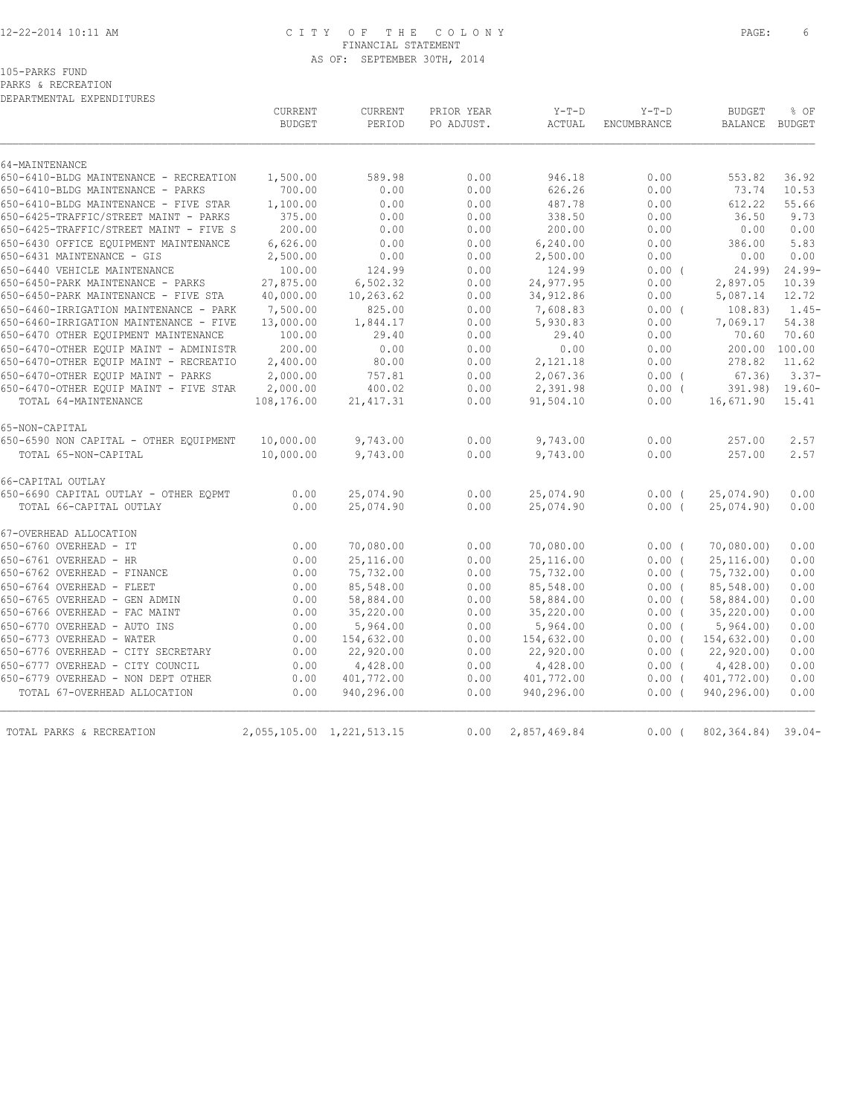### 12-22-2014 10:11 AM C I T Y O F T H E C O L O N Y PAGE: 6 FINANCIAL STATEMENT AS OF: SEPTEMBER 30TH, 2014

## 105-PARKS FUND

PARKS & RECREATION

DEPARTMENTAL EXPENDITURES

|                                                                                 | CURRENT<br><b>BUDGET</b> | CURRENT<br>PERIOD         | PRIOR YEAR<br>PO ADJUST. | $Y-T-D$<br>ACTUAL      | $Y-T-D$<br>ENCUMBRANCE | <b>BUDGET</b><br>BALANCE | % OF<br>BUDGET |
|---------------------------------------------------------------------------------|--------------------------|---------------------------|--------------------------|------------------------|------------------------|--------------------------|----------------|
| 64-MAINTENANCE                                                                  |                          |                           |                          |                        |                        |                          |                |
| 650-6410-BLDG MAINTENANCE - RECREATION                                          | 1,500.00                 | 589.98                    | 0.00                     | 946.18                 | 0.00                   | 553.82                   | 36.92          |
| 650-6410-BLDG MAINTENANCE - PARKS                                               | 700.00                   | 0.00                      | 0.00                     | 626.26                 | 0.00                   | 73.74                    | 10.53          |
| 650-6410-BLDG MAINTENANCE - FIVE STAR                                           | 1,100.00                 | 0.00                      | 0.00                     | 487.78                 | 0.00                   | 612.22                   | 55.66          |
| 650-6425-TRAFFIC/STREET MAINT - PARKS<br>650-6425-TRAFFIC/STREET MAINT - FIVE S | 375.00                   | 0.00                      | 0.00                     | 338.50                 | 0.00                   | 36.50                    | 9.73           |
| 650-6430 OFFICE EOUIPMENT MAINTENANCE                                           | 200.00<br>6,626.00       | 0.00<br>0.00              | 0.00<br>0.00             | 200.00<br>6,240.00     | 0.00<br>0.00           | 0.00<br>386.00           | 0.00<br>5.83   |
| 650-6431 MAINTENANCE - GIS                                                      | 2,500.00                 | 0.00                      | 0.00                     | 2,500.00               | 0.00                   | 0.00                     | 0.00           |
| 650-6440 VEHICLE MAINTENANCE                                                    | 100.00                   | 124.99                    | 0.00                     | 124.99                 | 0.00(                  | 24.99                    | $24.99-$       |
| 650-6450-PARK MAINTENANCE - PARKS                                               | 27,875.00                | 6,502.32                  | 0.00                     | 24,977.95              | 0.00                   | 2,897.05                 | 10.39          |
| 650-6450-PARK MAINTENANCE - FIVE STA                                            | 40,000.00                | 10,263.62                 | 0.00                     | 34,912.86              | 0.00                   | 5,087.14                 | 12.72          |
| 650-6460-IRRIGATION MAINTENANCE - PARK                                          | 7,500.00                 | 825.00                    | 0.00                     | 7,608.83               | 0.00(                  | 108.83                   | $1.45-$        |
| 650-6460-IRRIGATION MAINTENANCE - FIVE                                          | 13,000.00                | 1,844.17                  | 0.00                     | 5,930.83               | 0.00                   | 7,069.17                 | 54.38          |
| 650-6470 OTHER EQUIPMENT MAINTENANCE                                            | 100.00                   | 29.40                     | 0.00                     | 29.40                  | 0.00                   | 70.60                    | 70.60          |
| 650-6470-OTHER EQUIP MAINT - ADMINISTR                                          | 200.00                   | 0.00                      | 0.00                     | 0.00                   | 0.00                   | 200.00 100.00            |                |
| 650-6470-OTHER EQUIP MAINT - RECREATIO                                          | 2,400.00                 | 80.00                     | 0.00                     | 2,121.18               | 0.00                   | 278.82                   | 11.62          |
| 650-6470-OTHER EQUIP MAINT - PARKS                                              | 2,000.00                 | 757.81                    | 0.00                     | 2,067.36               | 0.00(                  | 67.36                    | $3.37-$        |
| 650-6470-OTHER EQUIP MAINT - FIVE STAR                                          | 2,000.00                 | 400.02                    | 0.00                     | 2,391.98               | 0.00(                  |                          | 391.98) 19.60- |
| TOTAL 64-MAINTENANCE                                                            | 108,176.00               | 21, 417.31                | 0.00                     | 91,504.10              | 0.00                   | 16,671.90                | 15.41          |
| 65-NON-CAPITAL                                                                  |                          |                           |                          |                        |                        |                          |                |
| 650-6590 NON CAPITAL - OTHER EQUIPMENT                                          | 10,000.00                | 9,743.00                  | 0.00                     | 9,743.00               | 0.00                   | 257.00                   | 2.57           |
| TOTAL 65-NON-CAPITAL                                                            | 10,000.00                | 9,743.00                  | 0.00                     | 9,743.00               | 0.00                   | 257.00                   | 2.57           |
| 66-CAPITAL OUTLAY                                                               |                          |                           |                          |                        |                        |                          |                |
| 650-6690 CAPITAL OUTLAY - OTHER EOPMT                                           | 0.00                     | 25,074.90                 | 0.00                     | 25,074.90              | $0.00$ (               | 25,074.90)               | 0.00           |
| TOTAL 66-CAPITAL OUTLAY                                                         | 0.00                     | 25,074.90                 | 0.00                     | 25,074.90              | 0.00(                  | 25,074.90)               | 0.00           |
| 67-OVERHEAD ALLOCATION                                                          |                          |                           |                          |                        |                        |                          |                |
| 650-6760 OVERHEAD - IT                                                          | 0.00                     | 70,080.00                 | 0.00                     | 70,080.00              | $0.00$ (               | 70,080.00                | 0.00           |
| 650-6761 OVERHEAD - HR                                                          | 0.00                     | 25,116.00                 | 0.00                     | 25,116.00              | 0.00(                  | 25, 116.00               | 0.00           |
| 650-6762 OVERHEAD - FINANCE                                                     | 0.00                     | 75,732.00                 | 0.00                     | 75,732.00              | 0.00(                  | 75,732.00)               | 0.00           |
| 650-6764 OVERHEAD - FLEET                                                       | 0.00                     | 85,548.00                 | 0.00                     | 85,548.00              | 0.00(                  | 85,548.00)               | 0.00           |
| 650-6765 OVERHEAD - GEN ADMIN                                                   | 0.00                     | 58,884.00                 | 0.00                     | 58,884.00              | $0.00$ (               | 58,884.00)               | 0.00           |
| 650-6766 OVERHEAD - FAC MAINT                                                   | 0.00                     | 35,220.00                 | 0.00                     | 35,220.00              | $0.00$ (               | 35, 220.00               | 0.00           |
| 650-6770 OVERHEAD - AUTO INS<br>650-6773 OVERHEAD - WATER                       | 0.00<br>0.00             | 5,964.00<br>154,632.00    | 0.00<br>0.00             | 5,964.00<br>154,632.00 | 0.00(<br>0.00(         | 5,964.00<br>154,632.00)  | 0.00<br>0.00   |
| 650-6776 OVERHEAD - CITY SECRETARY                                              | 0.00                     | 22,920.00                 | 0.00                     | 22,920.00              | $0.00$ (               | 22, 920.00               | 0.00           |
| 650-6777 OVERHEAD - CITY COUNCIL                                                | 0.00                     | 4,428.00                  | 0.00                     | 4,428.00               | $0.00$ (               | 4,428.00)                | 0.00           |
| 650-6779 OVERHEAD - NON DEPT OTHER                                              | 0.00                     | 401,772.00                | 0.00                     | 401,772.00             | 0.00(                  | 401,772.00)              | 0.00           |
| TOTAL 67-OVERHEAD ALLOCATION                                                    | 0.00                     | 940,296.00                | 0.00                     | 940,296.00             | 0.00(                  | 940,296.00)              | 0.00           |
| TOTAL PARKS & RECREATION                                                        |                          | 2,055,105.00 1,221,513.15 | 0.00                     | 2,857,469.84           | $0.00$ (               | 802, 364.84) 39.04-      |                |
|                                                                                 |                          |                           |                          |                        |                        |                          |                |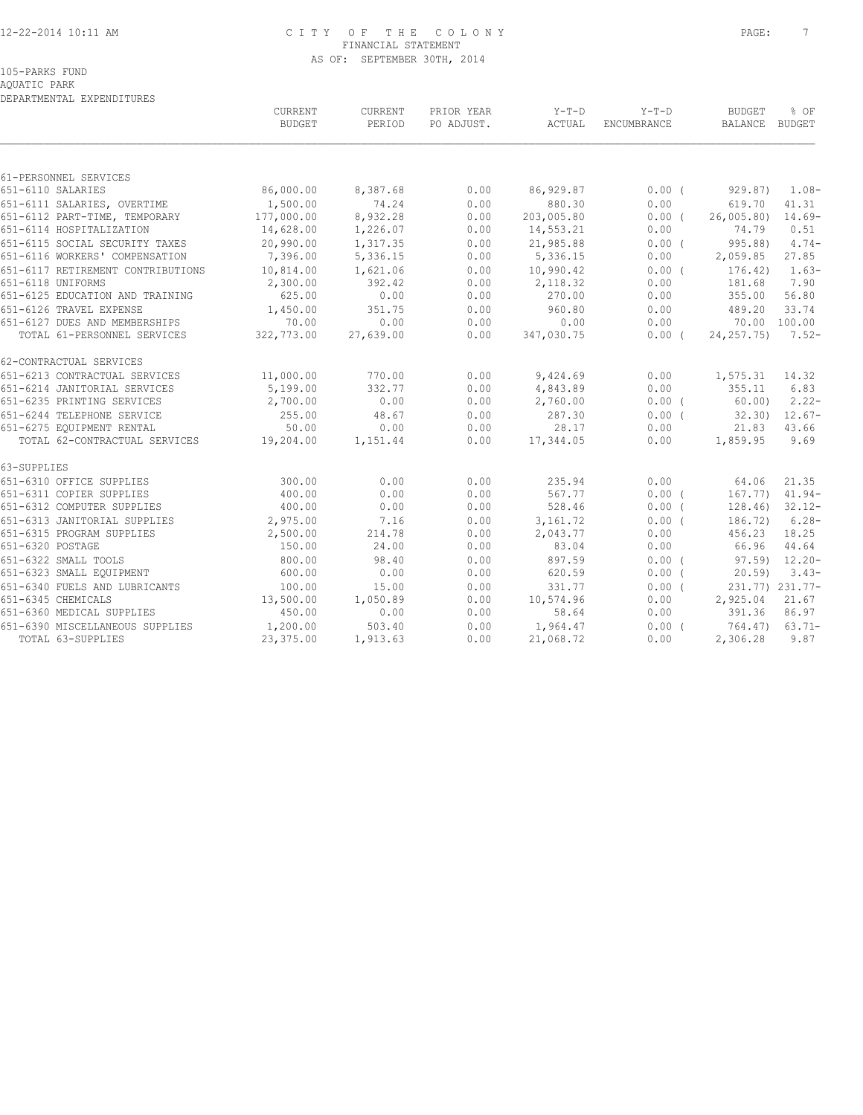### 12-22-2014 10:11 AM C I T Y O F T H E C O L O N Y PAGE: 7 FINANCIAL STATEMENT AS OF: SEPTEMBER 30TH, 2014

AQUATIC PARK DEPARTMENTAL EXPENDITURES

|                                          | CURRENT<br><b>BUDGET</b> | CURRENT<br>PERIOD | PRIOR YEAR<br>PO ADJUST. | Y-T-D<br>ACTUAL | $Y-T-D$<br>ENCUMBRANCE | <b>BUDGET</b><br>BALANCE BUDGET | % OF               |
|------------------------------------------|--------------------------|-------------------|--------------------------|-----------------|------------------------|---------------------------------|--------------------|
|                                          |                          |                   |                          |                 |                        |                                 |                    |
| 61-PERSONNEL SERVICES                    |                          |                   |                          |                 |                        |                                 |                    |
| 651-6110 SALARIES                        | 86,000.00                | 8,387.68          | 0.00                     | 86,929.87       | $0.00$ (               | 929.87) 1.08-                   |                    |
| 651-6111 SALARIES, OVERTIME              | 1,500.00                 | 74.24             | 0.00                     | 880.30          | 0.00                   | 619.70                          | 41.31              |
| 651-6112 PART-TIME, TEMPORARY 177,000.00 |                          | 8,932.28          | 0.00                     | 203,005.80      | $0.00$ (               | 26,005.80)                      | $14.69-$           |
| 651-6114 HOSPITALIZATION                 | 14,628.00                | 1,226.07          | 0.00                     | 14,553.21       | 0.00                   | 74.79                           | 0.51               |
| 651-6115 SOCIAL SECURITY TAXES           | 20,990.00                | 1,317.35          | 0.00                     | 21,985.88       | 0.00(                  | 995.88)                         | $4.74-$            |
| 651-6116 WORKERS' COMPENSATION           | 7,396.00                 | 5,336.15          | 0.00                     | 5,336.15        | 0.00                   | 2,059.85                        | 27.85              |
| 651-6117 RETIREMENT CONTRIBUTIONS        | 10,814.00                | 1,621.06          | 0.00                     | 10,990.42       | $0.00$ (               | 176.42)                         | $1.63-$            |
| 651-6118 UNIFORMS                        | 2,300.00                 | 392.42            | 0.00                     | 2,118.32        | 0.00                   | 181.68                          | 7.90               |
| 651-6125 EDUCATION AND TRAINING          | 625.00                   | 0.00              | 0.00                     | 270.00          | 0.00                   | 355.00                          | 56.80              |
| 651-6126 TRAVEL EXPENSE                  | 1,450.00                 | 351.75            | 0.00                     | 960.80          | 0.00                   | 489.20                          | 33.74              |
| 651-6127 DUES AND MEMBERSHIPS            | 70.00                    | 0.00              | 0.00                     | 0.00            | 0.00                   | 70.00 100.00                    |                    |
| TOTAL 61-PERSONNEL SERVICES              | 322,773.00               | 27,639.00         | 0.00                     | 347,030.75      | 0.00(                  | $24, 257, 75$ 7.52-             |                    |
| 62-CONTRACTUAL SERVICES                  |                          |                   |                          |                 |                        |                                 |                    |
| 651-6213 CONTRACTUAL SERVICES            | 11,000.00                | 770.00            | 0.00                     | 9,424.69        | 0.00                   | 1,575.31                        | 14.32              |
| 651-6214 JANITORIAL SERVICES             | 5,199.00                 | 332.77            | 0.00                     | 4,843.89        | 0.00                   | 355.11                          | 6.83               |
| 651-6235 PRINTING SERVICES               | 2,700.00                 | 0.00              | 0.00                     | 2,760.00        | 0.00(                  | 60.00)                          | $2.22-$            |
| 651-6244 TELEPHONE SERVICE               | 255.00                   | 48.67             | 0.00                     | 287.30          | 0.00(                  |                                 | $32.30$ ) $12.67-$ |
| 651-6275 EQUIPMENT RENTAL                | 50.00                    | 0.00              | 0.00                     | 28.17           | 0.00                   | 21.83                           | 43.66              |
| TOTAL 62-CONTRACTUAL SERVICES 19,204.00  |                          | 1,151.44          | 0.00                     | 17,344.05       | 0.00                   | 1,859.95                        | 9.69               |
| 63-SUPPLIES                              |                          |                   |                          |                 |                        |                                 |                    |
| 651-6310 OFFICE SUPPLIES                 | 300.00                   | 0.00              | 0.00                     | 235.94          | 0.00                   | 64.06                           | 21.35              |
| 651-6311 COPIER SUPPLIES                 | 400.00                   | 0.00              | 0.00                     | 567.77          | 0.00(                  | 167.77)                         | $41.94-$           |
| 651-6312 COMPUTER SUPPLIES               | 400.00                   | 0.00              | 0.00                     | 528.46          | 0.00(                  | 128.46)                         | $32.12 -$          |
| 651-6313 JANITORIAL SUPPLIES 2,975.00    |                          | 7.16              | 0.00                     | 3,161.72        | 0.00(                  | 186.72)                         | $6.28-$            |
| 651-6315 PROGRAM SUPPLIES                | 2,500.00                 | 214.78            | 0.00                     | 2,043.77        | 0.00                   | 456.23                          | 18.25              |
| 651-6320 POSTAGE                         | 150.00                   | 24.00             | 0.00                     | 83.04           | 0.00                   | 66.96                           | 44.64              |
| 651-6322 SMALL TOOLS                     | 800.00                   | 98.40             | 0.00                     | 897.59          | 0.00(                  | $97.59$ $12.20 -$               |                    |
| 651-6323 SMALL EQUIPMENT                 | 600.00                   | 0.00              | 0.00                     | 620.59          | 0.00(                  | 20.59                           | $3.43-$            |
| 651-6340 FUELS AND LUBRICANTS            | 100.00                   | 15.00             | 0.00                     | 331.77          | $0.00$ (               |                                 | 231.77) 231.77-    |
| 651-6345 CHEMICALS                       | 13,500.00                | 1,050.89          | 0.00                     | 10,574.96       | 0.00                   | 2,925.04                        | 21.67              |
| 651-6360 MEDICAL SUPPLIES                | 450.00                   | 0.00              | 0.00                     | 58.64           | 0.00                   | 391.36                          | 86.97              |
| 651-6390 MISCELLANEOUS SUPPLIES          | 1,200.00                 | 503.40            | 0.00                     | 1,964.47        | $0.00$ (               | 764.47) 63.71-                  |                    |
| TOTAL 63-SUPPLIES                        | 23,375.00                | 1,913.63          | 0.00                     | 21,068.72       | 0.00                   | 2,306.28                        | 9.87               |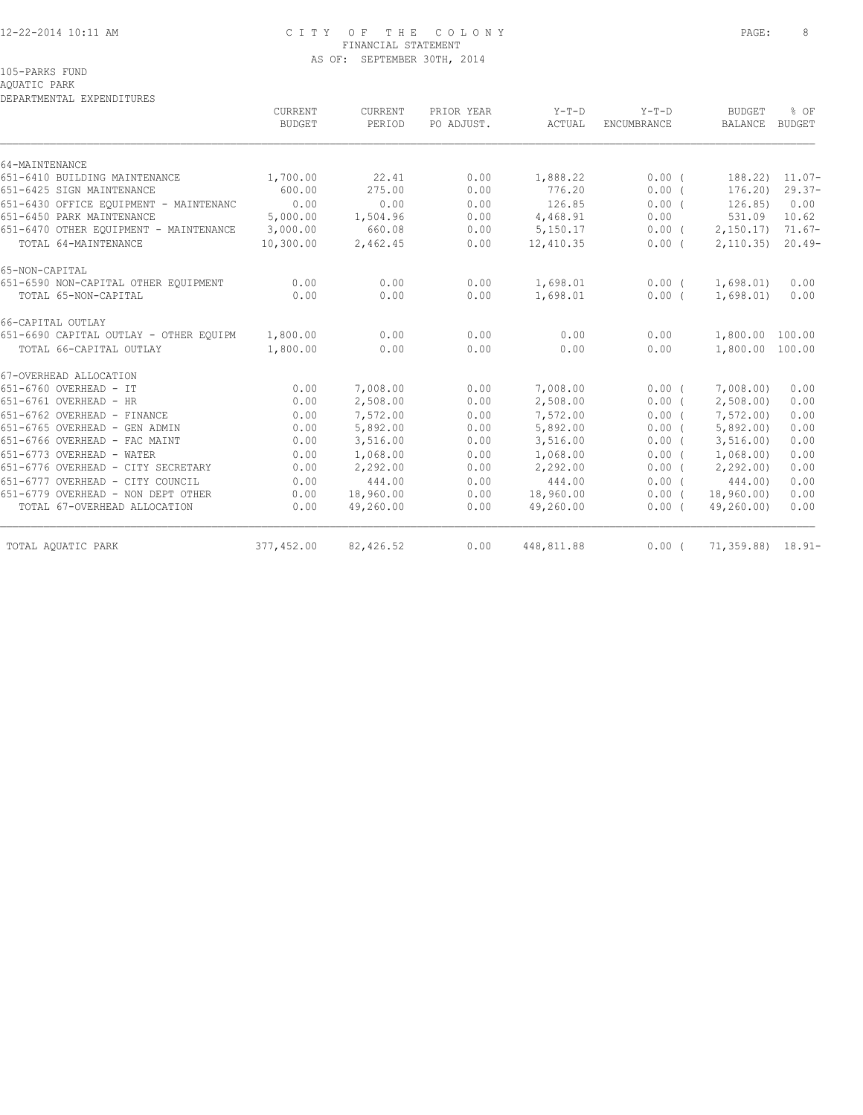### 12-22-2014 10:11 AM C I T Y O F T H E C O L O N Y PAGE: 8 FINANCIAL STATEMENT AS OF: SEPTEMBER 30TH, 2014

105-PARKS FUND

## AQUATIC PARK

DEPARTMENTAL EXPENDITURES

|                                        | CURRENT<br><b>BUDGET</b> | CURRENT<br>PERIOD | PRIOR YEAR<br>PO ADJUST. | Y-T-D<br>ACTUAL | $Y-T-D$<br><b>ENCUMBRANCE</b> | <b>BUDGET</b><br><b>BALANCE</b> | % OF<br><b>BUDGET</b> |
|----------------------------------------|--------------------------|-------------------|--------------------------|-----------------|-------------------------------|---------------------------------|-----------------------|
| 64-MAINTENANCE                         |                          |                   |                          |                 |                               |                                 |                       |
| 651-6410 BUILDING MAINTENANCE          | 1,700.00                 | 22.41             | 0.00                     | 1,888.22        | 0.00(                         | 188.22)                         | $11.07-$              |
| 651-6425 SIGN MAINTENANCE              | 600.00                   | 275.00            | 0.00                     | 776.20          | 0.00(                         | 176.20)                         | $29.37-$              |
| 651-6430 OFFICE EQUIPMENT - MAINTENANC | 0.00                     | 0.00              | 0.00                     | 126.85          | $0.00$ $($                    | 126.85                          | 0.00                  |
| 651-6450 PARK MAINTENANCE              | 5,000.00                 | 1,504.96          | 0.00                     | 4,468.91        | 0.00                          | 531.09                          | 10.62                 |
| 651-6470 OTHER EOUIPMENT - MAINTENANCE | 3,000.00                 | 660.08            | 0.00                     | 5,150.17        | $0.00$ (                      | 2,150.17                        | $71.67-$              |
| TOTAL 64-MAINTENANCE                   | 10,300.00                | 2,462.45          | 0.00                     | 12,410.35       | $0.00$ (                      | 2,110.35)                       | $20.49-$              |
| 65-NON-CAPITAL                         |                          |                   |                          |                 |                               |                                 |                       |
| 651-6590 NON-CAPITAL OTHER EQUIPMENT   | 0.00                     | 0.00              | 0.00                     | 1,698.01        | $0.00$ (                      | 1,698.01)                       | 0.00                  |
| TOTAL 65-NON-CAPITAL                   | 0.00                     | 0.00              | 0.00                     | 1,698.01        | 0.00(                         | 1,698.01)                       | 0.00                  |
| 66-CAPITAL OUTLAY                      |                          |                   |                          |                 |                               |                                 |                       |
| 651-6690 CAPITAL OUTLAY - OTHER EQUIPM | 1,800.00                 | 0.00              | 0.00                     | 0.00            | 0.00                          | 1,800.00 100.00                 |                       |
| TOTAL 66-CAPITAL OUTLAY                | 1,800.00                 | 0.00              | 0.00                     | 0.00            | 0.00                          | 1,800.00 100.00                 |                       |
| 67-OVERHEAD ALLOCATION                 |                          |                   |                          |                 |                               |                                 |                       |
| 651-6760 OVERHEAD - IT                 | 0.00                     | 7,008.00          | 0.00                     | 7,008.00        | $0.00$ (                      | 7,008.00                        | 0.00                  |
| 651-6761 OVERHEAD - HR                 | 0.00                     | 2,508.00          | 0.00                     | 2,508.00        | $0.00$ (                      | 2,508.00                        | 0.00                  |
| 651-6762 OVERHEAD - FINANCE            | 0.00                     | 7,572.00          | 0.00                     | 7,572.00        | 0.00(                         | 7,572.00)                       | 0.00                  |
| 651-6765 OVERHEAD - GEN ADMIN          | 0.00                     | 5,892.00          | 0.00                     | 5,892.00        | 0.00(                         | 5,892.00                        | 0.00                  |
| 651-6766 OVERHEAD - FAC MAINT          | 0.00                     | 3,516.00          | 0.00                     | 3,516.00        | $0.00$ (                      | 3, 516.00                       | 0.00                  |
| 651-6773 OVERHEAD - WATER              | 0.00                     | 1,068.00          | 0.00                     | 1,068.00        | $0.00$ (                      | 1,068.00                        | 0.00                  |
| 651-6776 OVERHEAD - CITY SECRETARY     | 0.00                     | 2,292.00          | 0.00                     | 2,292.00        | $0.00$ (                      | 2, 292.00                       | 0.00                  |
| 651-6777 OVERHEAD - CITY COUNCIL       | 0.00                     | 444.00            | 0.00                     | 444.00          | 0.00(                         | 444.00)                         | 0.00                  |
| 651-6779 OVERHEAD - NON DEPT OTHER     | 0.00                     | 18,960.00         | 0.00                     | 18,960.00       | $0.00$ (                      | 18,960.00)                      | 0.00                  |
| TOTAL 67-OVERHEAD ALLOCATION           | 0.00                     | 49,260.00         | 0.00                     | 49,260.00       | $0.00$ (                      | 49,260.00)                      | 0.00                  |
| TOTAL AQUATIC PARK                     | 377,452.00               | 82,426.52         | 0.00                     | 448,811.88      | $0.00$ (                      | $71,359.88$ $18.91-$            |                       |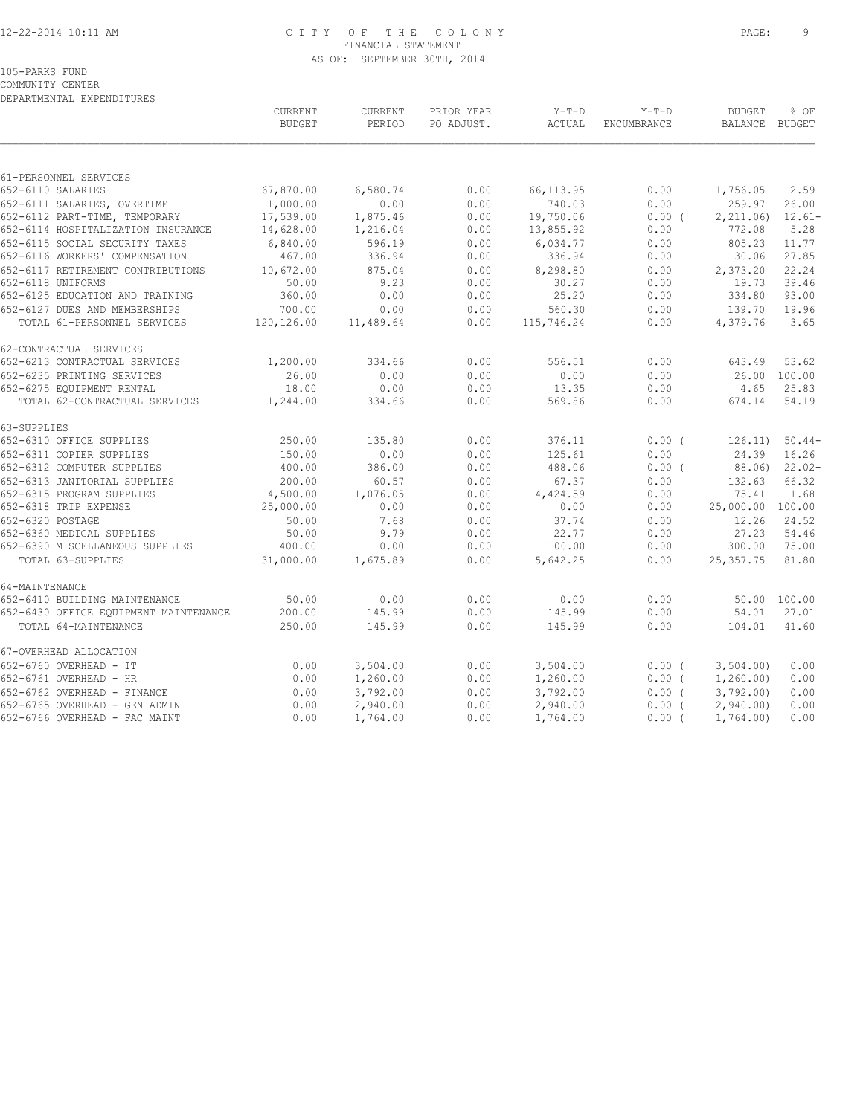### 12-22-2014 10:11 AM C I T Y O F T H E C O L O N Y PAGE: 9 FINANCIAL STATEMENT AS OF: SEPTEMBER 30TH, 2014

COMMUNITY CENTER DEPARTMENTAL EXPENDITURES

|                                       | CURRENT<br><b>BUDGET</b> | CURRENT<br>PERIOD | PRIOR YEAR<br>PO ADJUST. | $Y-T-D$<br>ACTUAL | $Y-T-D$<br>ENCUMBRANCE | <b>BUDGET</b><br>BALANCE | % OF<br><b>BUDGET</b> |
|---------------------------------------|--------------------------|-------------------|--------------------------|-------------------|------------------------|--------------------------|-----------------------|
|                                       |                          |                   |                          |                   |                        |                          |                       |
| 61-PERSONNEL SERVICES                 |                          |                   |                          |                   |                        |                          |                       |
| 652-6110 SALARIES                     | 67,870.00                | 6,580.74          | 0.00                     | 66, 113.95        | 0.00                   | 1,756.05                 | 2.59                  |
| 652-6111 SALARIES, OVERTIME           | 1,000.00                 | 0.00              | 0.00                     | 740.03            | 0.00                   | 259.97                   | 26.00                 |
| 652-6112 PART-TIME, TEMPORARY         | 17,539.00                | 1,875.46          | 0.00                     | 19,750.06         | $0.00$ (               | 2, 211.06                | $12.61-$              |
| 652-6114 HOSPITALIZATION INSURANCE    | 14,628.00                | 1,216.04          | 0.00                     | 13,855.92         | 0.00                   | 772.08                   | 5.28                  |
| 652-6115 SOCIAL SECURITY TAXES        | 6,840.00                 | 596.19            | 0.00                     | 6,034.77          | 0.00                   | 805.23                   | 11.77                 |
| 652-6116 WORKERS' COMPENSATION        | 467.00                   | 336.94            | 0.00                     | 336.94            | 0.00                   | 130.06                   | 27.85                 |
| 652-6117 RETIREMENT CONTRIBUTIONS     | 10,672.00                | 875.04            | 0.00                     | 8,298.80          | 0.00                   | 2,373.20                 | 22.24                 |
| 652-6118 UNIFORMS                     | 50.00                    | 9.23              | 0.00                     | 30.27             | 0.00                   | 19.73                    | 39.46                 |
| 652-6125 EDUCATION AND TRAINING       | 360.00                   | 0.00              | 0.00                     | 25.20             | 0.00                   | 334.80                   | 93.00                 |
| 652-6127 DUES AND MEMBERSHIPS         | 700.00                   | 0.00              | 0.00                     | 560.30            | 0.00                   | 139.70                   | 19.96                 |
| TOTAL 61-PERSONNEL SERVICES           | 120,126.00               | 11,489.64         | 0.00                     | 115,746.24        | 0.00                   | 4,379.76                 | 3.65                  |
| 62-CONTRACTUAL SERVICES               |                          |                   |                          |                   |                        |                          |                       |
| 652-6213 CONTRACTUAL SERVICES         | 1,200.00                 | 334.66            | 0.00                     | 556.51            | 0.00                   | 643.49                   | 53.62                 |
| 652-6235 PRINTING SERVICES            | 26.00                    | 0.00              | 0.00                     | 0.00              | 0.00                   |                          | 26.00 100.00          |
| 652-6275 EQUIPMENT RENTAL             | 18.00                    | 0.00              | 0.00                     | 13.35             | 0.00                   | 4.65                     | 25.83                 |
| TOTAL 62-CONTRACTUAL SERVICES         | 1,244.00                 | 334.66            | 0.00                     | 569.86            | 0.00                   | 674.14                   | 54.19                 |
| 63-SUPPLIES                           |                          |                   |                          |                   |                        |                          |                       |
| 652-6310 OFFICE SUPPLIES              | 250.00                   | 135.80            | 0.00                     | 376.11            | $0.00$ (               | 126.11)                  | $50.44-$              |
| 652-6311 COPIER SUPPLIES              | 150.00                   | 0.00              | 0.00                     | 125.61            | 0.00                   | 24.39                    | 16.26                 |
| 652-6312 COMPUTER SUPPLIES            | 400.00                   | 386.00            | 0.00                     | 488.06            | $0.00$ (               | 88.06)                   | $22.02-$              |
| 652-6313 JANITORIAL SUPPLIES          | 200.00                   | 60.57             | 0.00                     | 67.37             | 0.00                   | 132.63                   | 66.32                 |
| 652-6315 PROGRAM SUPPLIES             | 4,500.00                 | 1,076.05          | 0.00                     | 4,424.59          | 0.00                   | 75.41                    | 1.68                  |
| 652-6318 TRIP EXPENSE                 | 25,000.00                | 0.00              | 0.00                     | 0.00              | 0.00                   | 25,000.00 100.00         |                       |
| 652-6320 POSTAGE                      | 50.00                    | 7.68              | 0.00                     | 37.74             | 0.00                   | 12.26                    | 24.52                 |
| 652-6360 MEDICAL SUPPLIES             | 50.00                    | 9.79              | 0.00                     | 22.77             | 0.00                   | 27.23                    | 54.46                 |
| 652-6390 MISCELLANEOUS SUPPLIES       | 400.00                   | 0.00              | 0.00                     | 100.00            | 0.00                   | 300.00                   | 75.00                 |
| TOTAL 63-SUPPLIES                     | 31,000.00                | 1,675.89          | 0.00                     | 5,642.25          | 0.00                   | 25, 357. 75              | 81.80                 |
| 64-MAINTENANCE                        |                          |                   |                          |                   |                        |                          |                       |
| 652-6410 BUILDING MAINTENANCE         | 50.00                    | 0.00              | 0.00                     | 0.00              | 0.00                   |                          | 50.00 100.00          |
| 652-6430 OFFICE EQUIPMENT MAINTENANCE | 200.00                   | 145.99            | 0.00                     | 145.99            | 0.00                   | 54.01                    | 27.01                 |
| TOTAL 64-MAINTENANCE                  | 250.00                   | 145.99            | 0.00                     | 145.99            | 0.00                   | 104.01                   | 41.60                 |
| 67-OVERHEAD ALLOCATION                |                          |                   |                          |                   |                        |                          |                       |
| 652-6760 OVERHEAD - IT                | 0.00                     | 3,504.00          | 0.00                     | 3,504.00          | 0.00(                  | 3,504.00                 | 0.00                  |
| 652-6761 OVERHEAD - HR                | 0.00                     | 1,260.00          | 0.00                     | 1,260.00          | $0.00$ (               | 1,260.00)                | 0.00                  |
| 652-6762 OVERHEAD - FINANCE           | 0.00                     | 3,792.00          | 0.00                     | 3,792.00          | 0.00(                  | 3,792,00                 | 0.00                  |
| 652-6765 OVERHEAD - GEN ADMIN         | 0.00                     | 2,940.00          | 0.00                     | 2,940.00          | 0.00(                  | 2,940.00                 | 0.00                  |
| 652-6766 OVERHEAD - FAC MAINT         | 0.00                     | 1,764.00          | 0.00                     | 1,764.00          | $0.00$ (               | 1,764.00                 | 0.00                  |
|                                       |                          |                   |                          |                   |                        |                          |                       |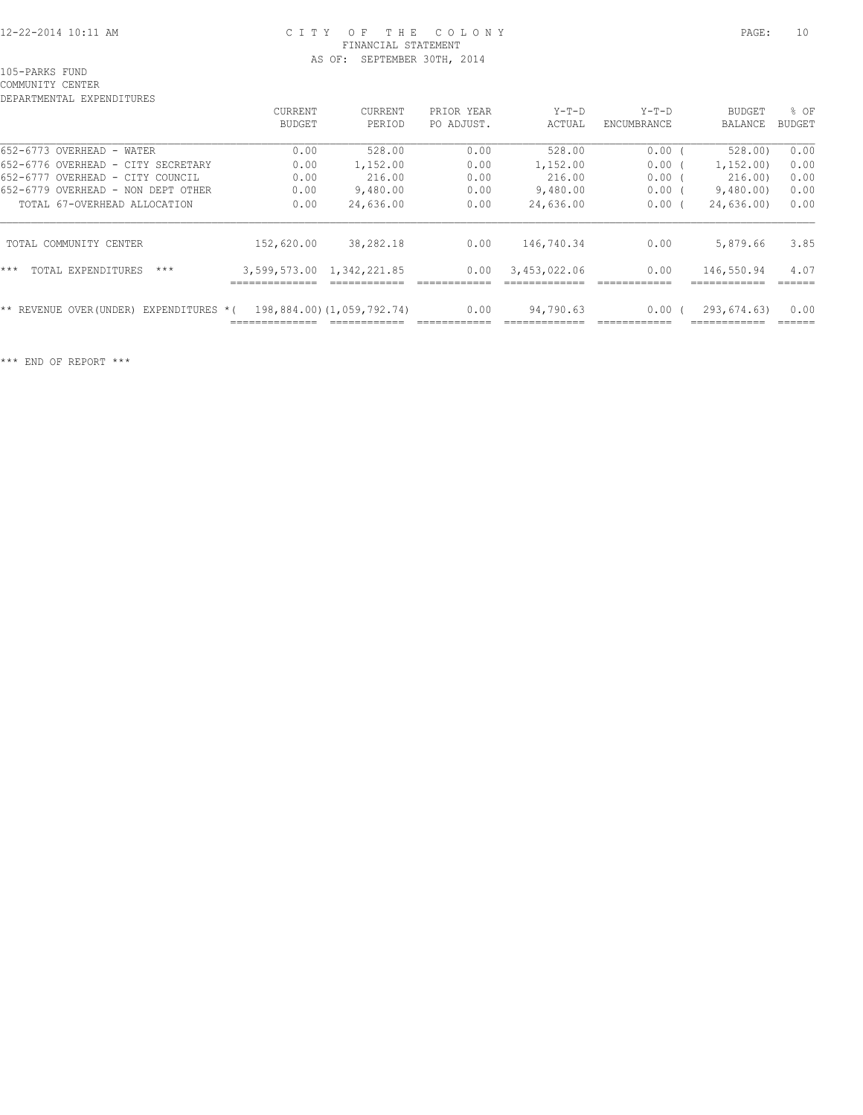### 12-22-2014 10:11 AM C I T Y O F T H E C O L O N Y PAGE: 10 FINANCIAL STATEMENT AS OF: SEPTEMBER 30TH, 2014

105-PARKS FUND

COMMUNITY CENTER DEPARTMENTAL EXPENDITURES

| DEFARIMENIAL EAFENDIIURES                  |                             |                            |            |              |             |                |               |
|--------------------------------------------|-----------------------------|----------------------------|------------|--------------|-------------|----------------|---------------|
|                                            | <b>CURRENT</b>              | <b>CURRENT</b>             | PRIOR YEAR | $Y-T-D$      | $Y-T-D$     | <b>BUDGET</b>  | % OF          |
|                                            | BUDGET                      | PERIOD                     | PO ADJUST. | ACTUAL       | ENCUMBRANCE | <b>BALANCE</b> | <b>BUDGET</b> |
| 652-6773 OVERHEAD -<br>WATER               | 0.00                        | 528.00                     | 0.00       | 528.00       | 0.00        | 528.00         | 0.00          |
| 652-6776 OVERHEAD - CITY SECRETARY         | 0.00                        | 1,152.00                   | 0.00       | 1,152.00     | 0.00        | 1, 152, 00)    | 0.00          |
| 652-6777 OVERHEAD -<br>CITY COUNCIL        | 0.00                        | 216.00                     | 0.00       | 216.00       | 0.00        | 216.00)        | 0.00          |
| 652-6779 OVERHEAD -<br>NON DEPT OTHER      | 0.00                        | 9,480.00                   | 0.00       | 9,480.00     | 0.00        | 9,480.00       | 0.00          |
| TOTAL 67-OVERHEAD ALLOCATION               | 0.00                        | 24,636.00                  | 0.00       | 24,636.00    | 0.00        | 24,636.00)     | 0.00          |
| TOTAL COMMUNITY CENTER                     | 152,620.00                  | 38,282.18                  | 0.00       | 146,740.34   | 0.00        | 5,879.66       | 3.85          |
| $***$<br>TOTAL EXPENDITURES<br>$***$       | 3,599,573.00<br>___________ | 1,342,221.85               | 0.00       | 3,453,022.06 | 0.00        | 146,550.94     | 4.07          |
| EXPENDITURES *(<br>** REVENUE OVER (UNDER) | ___________                 | 198,884.00) (1,059,792.74) | 0.00       | 94,790.63    | 0.00        | 293,674.63)    | 0.00          |
|                                            |                             |                            |            |              |             |                |               |

\*\*\* END OF REPORT \*\*\*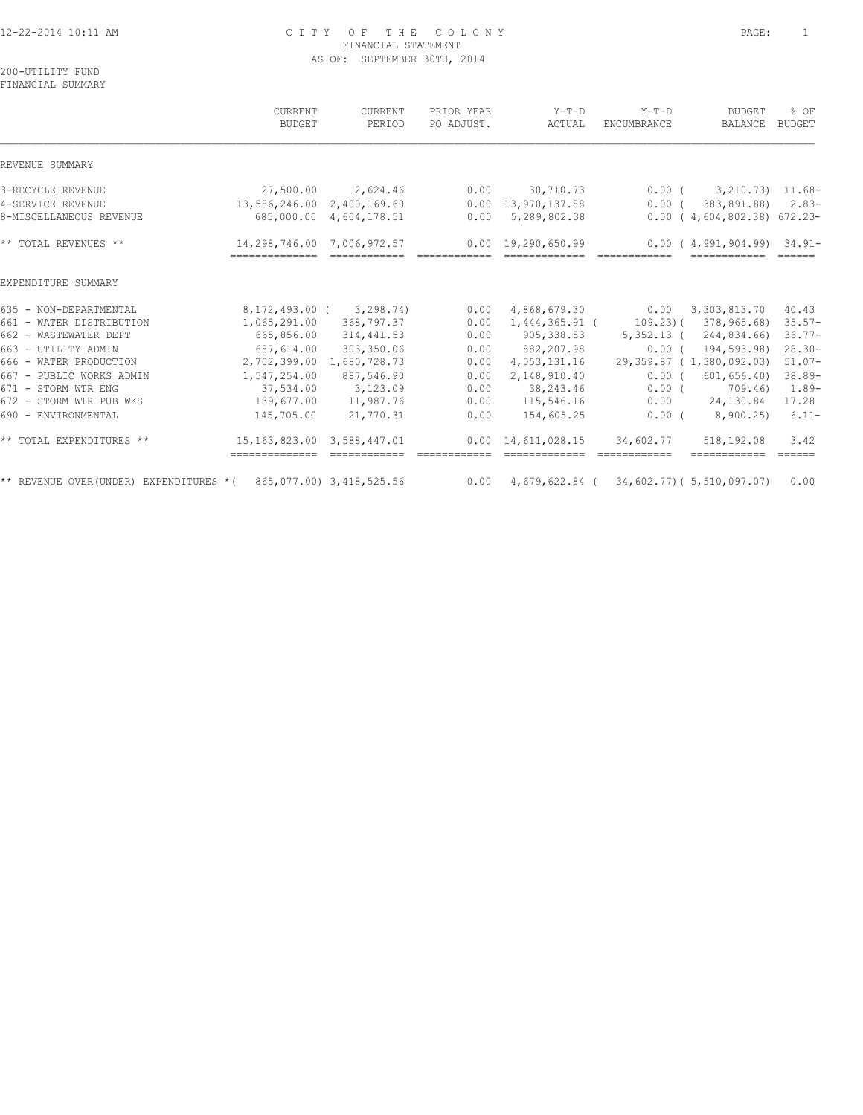### 12-22-2014 10:11 AM C I T Y O F T H E C O L O N Y PAGE: 1 FINANCIAL STATEMENT AS OF: SEPTEMBER 30TH, 2014

200-UTILITY FUND FINANCIAL SUMMARY

|                                                                      | CURRENT<br><b>BUDGET</b>                                          | CURRENT<br>PERIOD             | PRIOR YEAR<br>PO ADJUST.                                                                                                                                                                                                                                                                                                                                                                                                                                                                 | $Y-T-D$<br>ACTUAL                                                | $Y-T-D$<br>ENCUMBRANCE                                                                                                                                                                                                                                                                                                                                                                                                                                                        | <b>BUDGET</b><br>BALANCE     | % OF<br><b>BUDGET</b>       |
|----------------------------------------------------------------------|-------------------------------------------------------------------|-------------------------------|------------------------------------------------------------------------------------------------------------------------------------------------------------------------------------------------------------------------------------------------------------------------------------------------------------------------------------------------------------------------------------------------------------------------------------------------------------------------------------------|------------------------------------------------------------------|-------------------------------------------------------------------------------------------------------------------------------------------------------------------------------------------------------------------------------------------------------------------------------------------------------------------------------------------------------------------------------------------------------------------------------------------------------------------------------|------------------------------|-----------------------------|
| REVENUE SUMMARY                                                      |                                                                   |                               |                                                                                                                                                                                                                                                                                                                                                                                                                                                                                          |                                                                  |                                                                                                                                                                                                                                                                                                                                                                                                                                                                               |                              |                             |
| 3-RECYCLE REVENUE                                                    | 27,500.00                                                         | 2,624.46                      | 0.00                                                                                                                                                                                                                                                                                                                                                                                                                                                                                     | 30,710.73                                                        |                                                                                                                                                                                                                                                                                                                                                                                                                                                                               | $0.00(3,210.73)$ 11.68-      |                             |
| 4-SERVICE REVENUE                                                    | 13,586,246.00 2,400,169.60                                        |                               | 0.00                                                                                                                                                                                                                                                                                                                                                                                                                                                                                     | 13,970,137.88                                                    | $0.00$ (                                                                                                                                                                                                                                                                                                                                                                                                                                                                      | 383,891.88)                  | $2.83-$                     |
| 8-MISCELLANEOUS REVENUE                                              |                                                                   | 685,000.00 4,604,178.51       | 0.00                                                                                                                                                                                                                                                                                                                                                                                                                                                                                     | 5,289,802.38                                                     |                                                                                                                                                                                                                                                                                                                                                                                                                                                                               | $0.00(4,604,802.38)$ 672.23- |                             |
| ** TOTAL REVENUES **                                                 | 14,298,746.00 7,006,972.57<br>=================================== |                               | $\begin{array}{cccccc} \multicolumn{2}{c}{{\color{red}z}} & \multicolumn{2}{c}{{\color{blue}z}} & \multicolumn{2}{c}{{\color{blue}z}} & \multicolumn{2}{c}{{\color{blue}z}} & \multicolumn{2}{c}{{\color{blue}z}} & \multicolumn{2}{c}{{\color{blue}z}} & \multicolumn{2}{c}{{\color{blue}z}} & \multicolumn{2}{c}{{\color{blue}z}} & \multicolumn{2}{c}{{\color{blue}z}} & \multicolumn{2}{c}{{\color{blue}z}} & \multicolumn{2}{c}{{\color{blue}z}} & \multicolumn{2}{c}{{\color{blue$ | $0.00 \quad 19,290,650.99$<br>-------------                      | $\begin{array}{cccccc} \multicolumn{2}{c}{{\color{red}z}} & \multicolumn{2}{c}{{\color{red}z}} & \multicolumn{2}{c}{{\color{red}z}} & \multicolumn{2}{c}{{\color{red}z}} & \multicolumn{2}{c}{{\color{red}z}} & \multicolumn{2}{c}{{\color{red}z}} & \multicolumn{2}{c}{{\color{red}z}} & \multicolumn{2}{c}{{\color{red}z}} & \multicolumn{2}{c}{{\color{red}z}} & \multicolumn{2}{c}{{\color{red}z}} & \multicolumn{2}{c}{{\color{red}z}} & \multicolumn{2}{c}{{\color{red$ | $0.00(4,991,904.99)$ 34.91-  |                             |
| EXPENDITURE SUMMARY                                                  |                                                                   |                               |                                                                                                                                                                                                                                                                                                                                                                                                                                                                                          |                                                                  |                                                                                                                                                                                                                                                                                                                                                                                                                                                                               |                              |                             |
| 635 - NON-DEPARTMENTAL                                               |                                                                   | 8, 172, 493, 00 ( 3, 298, 74) | 0.00                                                                                                                                                                                                                                                                                                                                                                                                                                                                                     | 4,868,679.30                                                     |                                                                                                                                                                                                                                                                                                                                                                                                                                                                               | $0.00 \quad 3,303,813.70$    | 40.43                       |
| 661 - WATER DISTRIBUTION                                             | 1,065,291.00                                                      | 368,797.37                    | 0.00                                                                                                                                                                                                                                                                                                                                                                                                                                                                                     | 1,444,365.91 (                                                   |                                                                                                                                                                                                                                                                                                                                                                                                                                                                               | 109.23) ( 378,965.68)        | $35.57-$                    |
| 662 - WASTEWATER DEPT                                                | 665,856.00                                                        | 314,441.53                    | 0.00                                                                                                                                                                                                                                                                                                                                                                                                                                                                                     | 905,338.53                                                       | $5,352.13$ (                                                                                                                                                                                                                                                                                                                                                                                                                                                                  | 244,834.66)                  | $36.77-$                    |
| 663 - UTILITY ADMIN                                                  | 687,614.00                                                        | 303,350.06                    | 0.00                                                                                                                                                                                                                                                                                                                                                                                                                                                                                     | 882,207.98                                                       | $0.00$ (                                                                                                                                                                                                                                                                                                                                                                                                                                                                      | 194,593.98)                  | $28.30 -$                   |
| 666 - WATER PRODUCTION                                               | 2,702,399.00                                                      | 1,680,728.73                  | 0.00                                                                                                                                                                                                                                                                                                                                                                                                                                                                                     | 4,053,131.16                                                     |                                                                                                                                                                                                                                                                                                                                                                                                                                                                               | 29,359.87 ( 1,380,092.03)    | $51.07-$                    |
| 667 - PUBLIC WORKS ADMIN                                             | 1,547,254.00                                                      | 887,546.90                    | 0.00                                                                                                                                                                                                                                                                                                                                                                                                                                                                                     | 2,148,910.40                                                     | $0.00$ (                                                                                                                                                                                                                                                                                                                                                                                                                                                                      | 601, 656.40                  | $38.89-$                    |
| 671 - STORM WTR ENG                                                  | 37,534.00                                                         | 3,123.09                      | 0.00                                                                                                                                                                                                                                                                                                                                                                                                                                                                                     | 38,243.46                                                        | 0.00(                                                                                                                                                                                                                                                                                                                                                                                                                                                                         | 709.46)                      | $1.89-$                     |
| 672 - STORM WTR PUB WKS                                              | 139,677.00                                                        | 11,987.76                     | 0.00                                                                                                                                                                                                                                                                                                                                                                                                                                                                                     | 115,546.16                                                       | 0.00                                                                                                                                                                                                                                                                                                                                                                                                                                                                          | 24,130.84                    | 17.28                       |
| 690 - ENVIRONMENTAL                                                  | 145,705.00                                                        | 21,770.31                     | 0.00                                                                                                                                                                                                                                                                                                                                                                                                                                                                                     | 154,605.25                                                       | $0.00$ (                                                                                                                                                                                                                                                                                                                                                                                                                                                                      | 8,900.25                     | $6.11-$                     |
| ** TOTAL EXPENDITURES **                                             | 15, 163, 823.00 3, 588, 447.01<br>-------------- -------------    |                               |                                                                                                                                                                                                                                                                                                                                                                                                                                                                                          | $0.00 \quad 14,611,028.15$                                       | 34,602.77                                                                                                                                                                                                                                                                                                                                                                                                                                                                     | 518,192.08<br>============   | 3.42<br>$=$ $=$ $=$ $=$ $=$ |
| ** REVENUE OVER (UNDER) EXPENDITURES * ( $865,077.00$ ) 3,418,525.56 |                                                                   |                               |                                                                                                                                                                                                                                                                                                                                                                                                                                                                                          | $0.00 \quad 4,679,622.84 \quad (34,602.77) \quad (5,510,097.07)$ |                                                                                                                                                                                                                                                                                                                                                                                                                                                                               |                              | 0.00                        |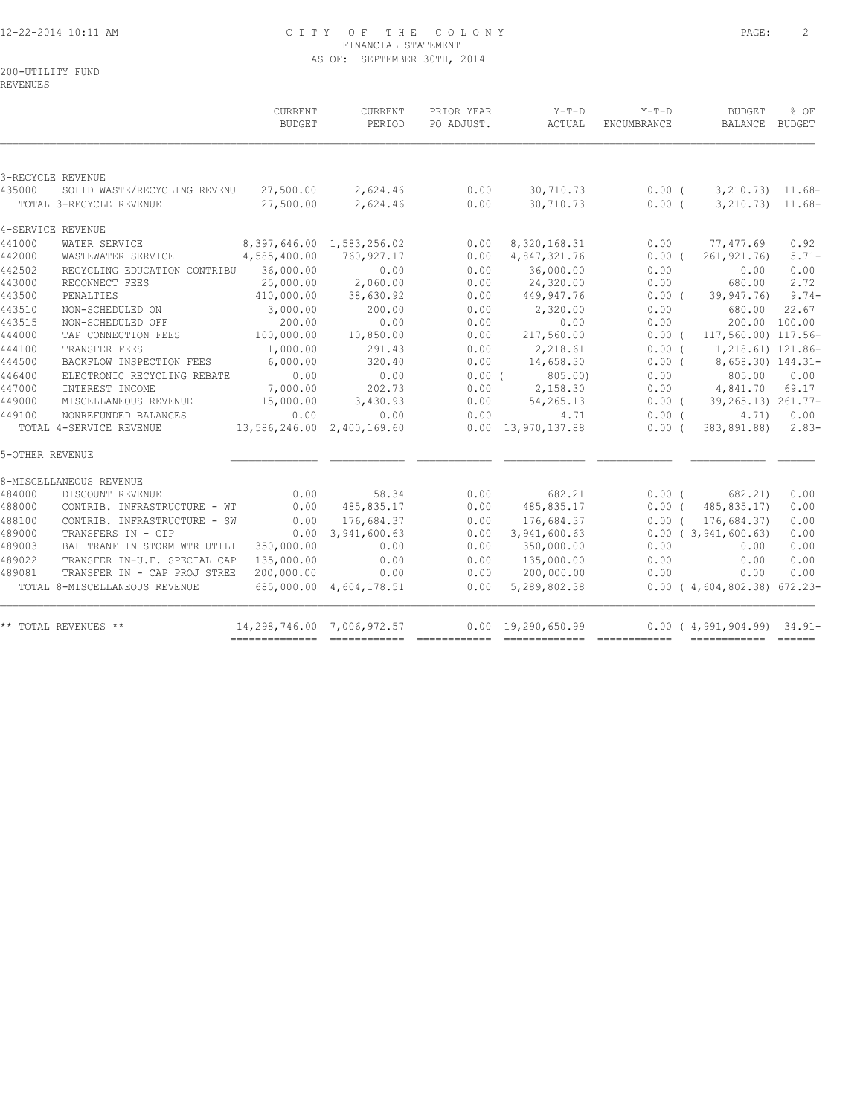## 12-22-2014 10:11 AM C I T Y O F T H E C O L O N Y PAGE: 2 FINANCIAL STATEMENT AS OF: SEPTEMBER 30TH, 2014

200-UTILITY FUND

REVENUES

|                 |                               | CURRENT<br><b>BUDGET</b>   | CURRENT<br>PERIOD         | PRIOR YEAR<br>PO ADJUST. | $Y-T-D$<br>ACTUAL          | $Y-T-D$<br>ENCUMBRANCE | <b>BUDGET</b><br>BALANCE BUDGET                                                                                                                                                                                                                                                                                                                                                                                                                                                              | % OF    |
|-----------------|-------------------------------|----------------------------|---------------------------|--------------------------|----------------------------|------------------------|----------------------------------------------------------------------------------------------------------------------------------------------------------------------------------------------------------------------------------------------------------------------------------------------------------------------------------------------------------------------------------------------------------------------------------------------------------------------------------------------|---------|
|                 |                               |                            |                           |                          |                            |                        |                                                                                                                                                                                                                                                                                                                                                                                                                                                                                              |         |
|                 | 3-RECYCLE REVENUE             |                            |                           |                          |                            |                        |                                                                                                                                                                                                                                                                                                                                                                                                                                                                                              |         |
| 435000          | SOLID WASTE/RECYCLING REVENU  |                            | 27,500.00 2,624.46 0.00   |                          | 30,710.73                  | $0.00$ (               | $3,210.73$ $11.68-$                                                                                                                                                                                                                                                                                                                                                                                                                                                                          |         |
|                 | TOTAL 3-RECYCLE REVENUE       | 27,500.00                  | 2,624.46                  | 0.00                     | 30,710.73                  | $0.00$ (               | $3,210.73$ $11.68$ -                                                                                                                                                                                                                                                                                                                                                                                                                                                                         |         |
|                 | 4-SERVICE REVENUE             |                            |                           |                          |                            |                        |                                                                                                                                                                                                                                                                                                                                                                                                                                                                                              |         |
| 441000          | WATER SERVICE                 |                            | 8,397,646.00 1,583,256.02 | 0.00                     | 8,320,168.31               | 0.00                   | 77,477.69                                                                                                                                                                                                                                                                                                                                                                                                                                                                                    | 0.92    |
| 442000          | WASTEWATER SERVICE            | 4,585,400.00               | 760,927.17                | 0.00                     | 4,847,321.76               | $0.00$ (               | 261, 921.76)                                                                                                                                                                                                                                                                                                                                                                                                                                                                                 | $5.71-$ |
| 442502          | RECYCLING EDUCATION CONTRIBU  | 36,000.00                  | 0.00                      | 0.00                     | 36,000.00                  | 0.00                   | 0.00                                                                                                                                                                                                                                                                                                                                                                                                                                                                                         | 0.00    |
| 443000          | RECONNECT FEES                | 25,000.00                  | 2,060.00                  | 0.00                     | 24,320.00                  | 0.00                   | 680.00                                                                                                                                                                                                                                                                                                                                                                                                                                                                                       | 2.72    |
| 443500          | PENALTIES                     | 410,000.00                 | 38,630.92                 | 0.00                     | 449,947.76                 | $0.00$ (               | 39,947.76)                                                                                                                                                                                                                                                                                                                                                                                                                                                                                   | $9.74-$ |
| 443510          | NON-SCHEDULED ON              | 3,000.00                   | 200.00                    | 0.00                     | 2,320.00                   | 0.00                   | 680.00                                                                                                                                                                                                                                                                                                                                                                                                                                                                                       | 22.67   |
| 443515          | NON-SCHEDULED OFF             | 200.00                     | 0.00                      | 0.00                     | 0.00                       | 0.00                   | 200.00 100.00                                                                                                                                                                                                                                                                                                                                                                                                                                                                                |         |
| 444000          | TAP CONNECTION FEES           | 100,000.00                 | 10,850.00                 | 0.00                     | 217,560.00                 | $0.00$ (               | 117,560.00) 117.56-                                                                                                                                                                                                                                                                                                                                                                                                                                                                          |         |
| 444100          | TRANSFER FEES                 | 1,000.00                   | 291.43                    | 0.00                     | 2,218.61                   | $0.00$ (               | 1,218.61) 121.86-                                                                                                                                                                                                                                                                                                                                                                                                                                                                            |         |
| 444500          | BACKFLOW INSPECTION FEES      | 6,000.00                   | 320.40                    | 0.00                     | 14,658.30                  | 0.00(                  | 8,658.30) 144.31-                                                                                                                                                                                                                                                                                                                                                                                                                                                                            |         |
| 446400          | ELECTRONIC RECYCLING REBATE   | 0.00                       | 0.00                      | $0.00$ (                 | 805.00)                    | 0.00                   | 805.00                                                                                                                                                                                                                                                                                                                                                                                                                                                                                       | 0.00    |
| 447000          | INTEREST INCOME               | 7,000.00                   | 202.73                    | 0.00                     | 2,158.30                   | 0.00                   | 4,841.70                                                                                                                                                                                                                                                                                                                                                                                                                                                                                     | 69.17   |
| 449000          | MISCELLANEOUS REVENUE         | 15,000.00                  | 3,430.93                  | 0.00                     | 54,265.13                  |                        | $0.00$ ( 39,265.13) 261.77-                                                                                                                                                                                                                                                                                                                                                                                                                                                                  |         |
| 449100          | NONREFUNDED BALANCES          | 0.00                       | 0.00                      | 0.00                     | 4.71                       | $0.00$ (               | 4.71)                                                                                                                                                                                                                                                                                                                                                                                                                                                                                        | 0.00    |
|                 | TOTAL 4-SERVICE REVENUE       | 13,586,246.00 2,400,169.60 |                           |                          | $0.00 \quad 13,970,137.88$ | 0.00(                  | 383,891.88)                                                                                                                                                                                                                                                                                                                                                                                                                                                                                  | $2.83-$ |
| 5-OTHER REVENUE |                               |                            |                           |                          |                            |                        |                                                                                                                                                                                                                                                                                                                                                                                                                                                                                              |         |
|                 | 8-MISCELLANEOUS REVENUE       |                            |                           |                          |                            |                        |                                                                                                                                                                                                                                                                                                                                                                                                                                                                                              |         |
| 484000          | DISCOUNT REVENUE              | 0.00                       | 58.34                     | 0.00                     | 682.21                     |                        | 0.00(682.21)                                                                                                                                                                                                                                                                                                                                                                                                                                                                                 | 0.00    |
| 488000          | CONTRIB. INFRASTRUCTURE - WT  | 0.00                       | 485,835.17                | 0.00                     | 485,835.17                 | $0.00$ (               | 485,835.17)                                                                                                                                                                                                                                                                                                                                                                                                                                                                                  | 0.00    |
| 488100          | CONTRIB. INFRASTRUCTURE - SW  | 0.00                       | 176,684.37                | 0.00                     | 176,684.37                 | 0.00(                  | 176,684.37)                                                                                                                                                                                                                                                                                                                                                                                                                                                                                  | 0.00    |
| 489000          | TRANSFERS IN - CIP            | 0.00                       | 3,941,600.63              | 0.00                     | 3,941,600.63               |                        | 0.00(3,941,600.63)                                                                                                                                                                                                                                                                                                                                                                                                                                                                           | 0.00    |
| 489003          | BAL TRANF IN STORM WTR UTILI  | 350,000.00                 | 0.00                      | 0.00                     | 350,000.00                 | 0.00                   | 0.00                                                                                                                                                                                                                                                                                                                                                                                                                                                                                         | 0.00    |
| 489022          | TRANSFER IN-U.F. SPECIAL CAP  | 135,000.00                 | 0.00                      | 0.00                     | 135,000.00                 | 0.00                   | 0.00                                                                                                                                                                                                                                                                                                                                                                                                                                                                                         | 0.00    |
| 489081          | TRANSFER IN - CAP PROJ STREE  | 200,000.00                 | 0.00                      | 0.00                     | 200,000.00                 | 0.00                   | 0.00                                                                                                                                                                                                                                                                                                                                                                                                                                                                                         | 0.00    |
|                 | TOTAL 8-MISCELLANEOUS REVENUE |                            | 685,000.00 4,604,178.51   | 0.00                     | 5,289,802.38               |                        | $0.00$ ( $4,604,802.38$ ) 672.23-                                                                                                                                                                                                                                                                                                                                                                                                                                                            |         |
|                 | ** TOTAL REVENUES **          | 14,298,746.00 7,006,972.57 |                           | 0.00                     | 19,290,650.99              |                        | $0.00(4,991,904.99)$ 34.91-                                                                                                                                                                                                                                                                                                                                                                                                                                                                  |         |
|                 |                               |                            |                           |                          |                            |                        | $\begin{tabular}{lllllllllll} \multicolumn{3}{l}{{\color{red}\textbf{a}}}&\multicolumn{3}{l}{\color{blue}\textbf{a}}&\multicolumn{3}{l}{\color{blue}\textbf{a}}&\multicolumn{3}{l}{\color{blue}\textbf{a}}&\multicolumn{3}{l}{\color{blue}\textbf{a}}&\multicolumn{3}{l}{\color{blue}\textbf{a}}&\multicolumn{3}{l}{\color{blue}\textbf{a}}&\multicolumn{3}{l}{\color{blue}\textbf{a}}&\multicolumn{3}{l}{\color{blue}\textbf{a}}&\multicolumn{3}{l}{\color{blue}\textbf{a}}&\multicolumn{3$ |         |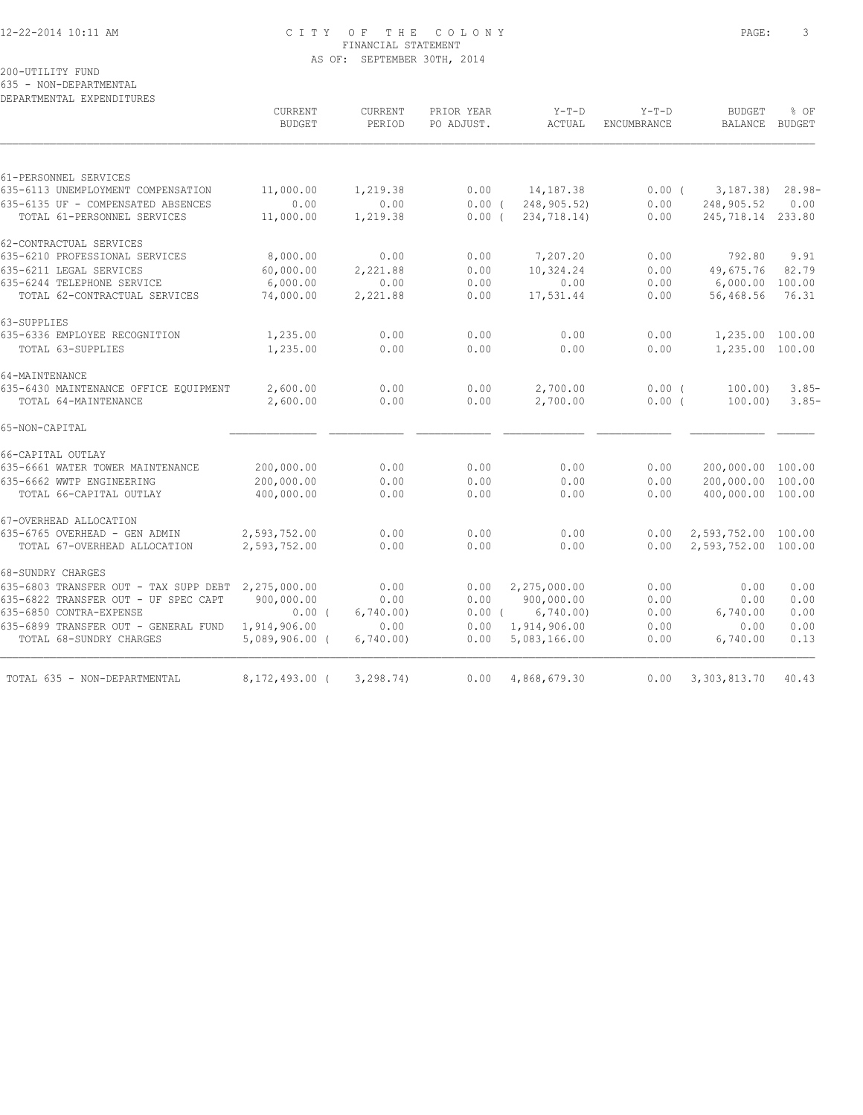## 12-22-2014 10:11 AM C I T Y O F T H E C O L O N Y PAGE: 3 FINANCIAL STATEMENT AS OF: SEPTEMBER 30TH, 2014

200-UTILITY FUND

635 - NON-DEPARTMENTAL

DEPARTMENTAL EXPENDITURES

|                                                                   | CURRENT<br><b>BUDGET</b> | CURRENT<br>PERIOD | PRIOR YEAR<br>PO ADJUST. | $Y-T-D$<br>ACTUAL          | $Y-T-D$<br>ENCUMBRANCE | <b>BUDGET</b><br><b>BALANCE</b> | % OF<br><b>BUDGET</b> |
|-------------------------------------------------------------------|--------------------------|-------------------|--------------------------|----------------------------|------------------------|---------------------------------|-----------------------|
|                                                                   |                          |                   |                          |                            |                        |                                 |                       |
| 61-PERSONNEL SERVICES                                             |                          |                   |                          |                            |                        |                                 |                       |
| 635-6113 UNEMPLOYMENT COMPENSATION                                | 11,000.00                | 1,219.38          | 0.00                     | 14,187.38                  | 0.00(                  | 3,187.38)                       | $28.98-$              |
| 635-6135 UF - COMPENSATED ABSENCES<br>TOTAL 61-PERSONNEL SERVICES | 0.00<br>11,000.00        | 0.00<br>1,219.38  | 0.00(<br>$0.00$ (        | 248,905.52)<br>234,718.14) | 0.00<br>0.00           | 248,905.52<br>245,718.14 233.80 | 0.00                  |
| 62-CONTRACTUAL SERVICES                                           |                          |                   |                          |                            |                        |                                 |                       |
| 635-6210 PROFESSIONAL SERVICES                                    | 8,000.00                 | 0.00              | 0.00                     | 7,207.20                   | 0.00                   | 792.80                          | 9.91                  |
| 635-6211 LEGAL SERVICES                                           | 60,000.00                | 2,221.88          | 0.00                     | 10,324.24                  | 0.00                   | 49,675.76                       | 82.79                 |
| 635-6244 TELEPHONE SERVICE                                        | 6,000.00                 | 0.00              | 0.00                     | 0.00                       | 0.00                   | 6,000.00                        | 100.00                |
| TOTAL 62-CONTRACTUAL SERVICES                                     | 74,000.00                | 2,221.88          | 0.00                     | 17,531.44                  | 0.00                   | 56,468.56                       | 76.31                 |
| 63-SUPPLIES                                                       |                          |                   |                          |                            |                        |                                 |                       |
| 635-6336 EMPLOYEE RECOGNITION                                     | 1,235.00                 | 0.00              | 0.00                     | 0.00                       | 0.00                   | 1,235.00 100.00                 |                       |
| TOTAL 63-SUPPLIES                                                 | 1,235.00                 | 0.00              | 0.00                     | 0.00                       | 0.00                   | 1,235.00 100.00                 |                       |
| 64-MAINTENANCE                                                    |                          |                   |                          |                            |                        |                                 |                       |
| 635-6430 MAINTENANCE OFFICE EQUIPMENT<br>TOTAL 64-MAINTENANCE     | 2,600.00<br>2,600.00     | 0.00<br>0.00      | 0.00<br>0.00             | 2,700.00<br>2,700.00       | $0.00$ (<br>0.00(      | 100.00<br>100.00                | $3.85-$<br>$3.85-$    |
| 65-NON-CAPITAL                                                    |                          |                   |                          |                            |                        |                                 |                       |
| 66-CAPITAL OUTLAY                                                 |                          |                   |                          |                            |                        |                                 |                       |
| 635-6661 WATER TOWER MAINTENANCE                                  | 200,000.00               | 0.00              | 0.00                     | 0.00                       | 0.00                   | 200,000.00 100.00               |                       |
| 635-6662 WWTP ENGINEERING                                         | 200,000.00               | 0.00              | 0.00                     | 0.00                       | 0.00                   | 200,000.00                      | 100.00                |
| TOTAL 66-CAPITAL OUTLAY                                           | 400,000.00               | 0.00              | 0.00                     | 0.00                       | 0.00                   | 400,000.00 100.00               |                       |
| 67-OVERHEAD ALLOCATION                                            |                          |                   |                          |                            |                        |                                 |                       |
| 635-6765 OVERHEAD - GEN ADMIN                                     | 2,593,752.00             | 0.00              | 0.00                     | 0.00                       | 0.00                   | 2,593,752.00 100.00             |                       |
| TOTAL 67-OVERHEAD ALLOCATION                                      | 2,593,752.00             | 0.00              | 0.00                     | 0.00                       | 0.00                   | 2,593,752.00 100.00             |                       |
| 68-SUNDRY CHARGES                                                 |                          |                   |                          |                            |                        |                                 |                       |
| 635-6803 TRANSFER OUT - TAX SUPP DEBT                             | 2,275,000.00             | 0.00              | 0.00                     | 2,275,000.00               | 0.00                   | 0.00                            | 0.00                  |
| 635-6822 TRANSFER OUT - UF SPEC CAPT                              | 900,000.00               | 0.00              | 0.00                     | 900,000.00                 | 0.00                   | 0.00                            | 0.00                  |
| 635-6850 CONTRA-EXPENSE                                           | 0.00(                    | 6,740.00)         | $0.00$ (                 | 6,740.00)                  | 0.00                   | 6,740.00                        | 0.00                  |
| 635-6899 TRANSFER OUT - GENERAL FUND                              | 1,914,906.00             | 0.00              | 0.00                     | 1,914,906.00               | 0.00                   | 0.00                            | 0.00                  |
| TOTAL 68-SUNDRY CHARGES                                           | $5,089,906.00$ (         | 6,740.00          | 0.00                     | 5,083,166.00               | 0.00                   | 6,740.00                        | 0.13                  |
| TOTAL 635 - NON-DEPARTMENTAL                                      | 8,172,493.00 (           | 3, 298, 74)       | 0.00                     | 4,868,679.30               | 0.00                   | 3, 303, 813.70                  | 40.43                 |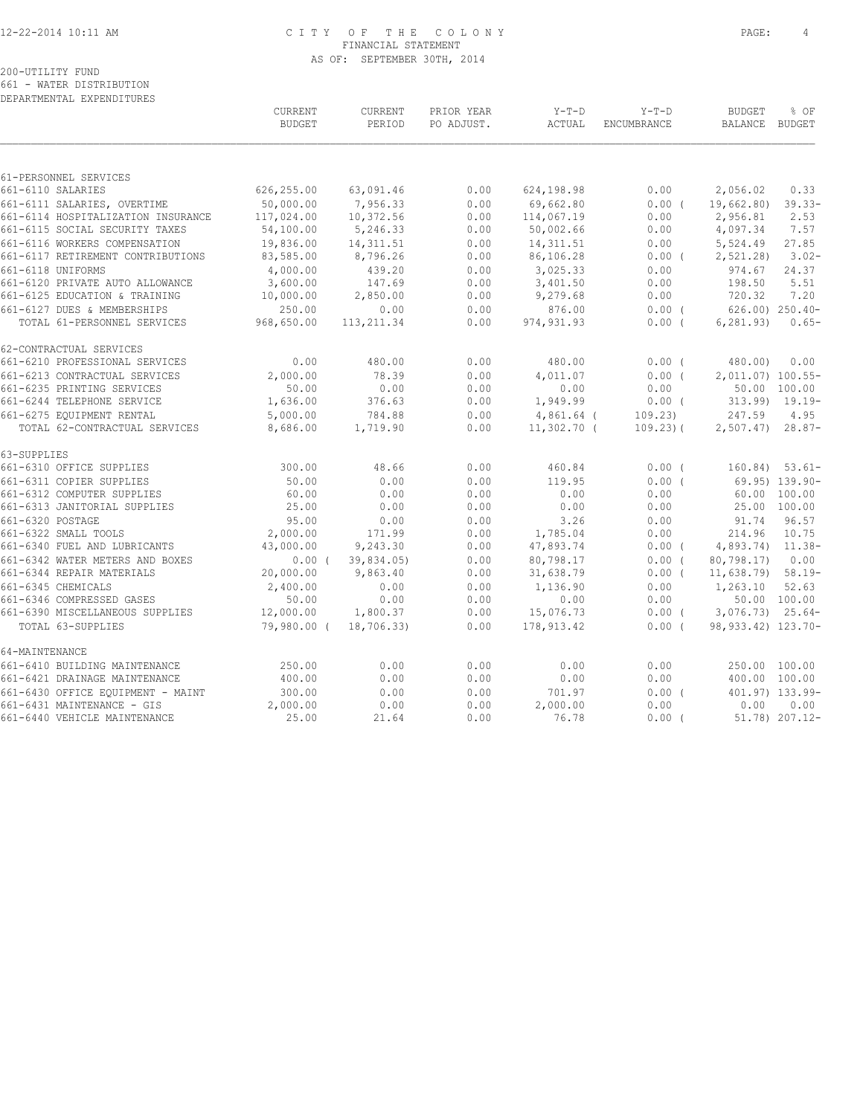### 12-22-2014 10:11 AM C I T Y O F T H E C O L O N Y PAGE: 4 FINANCIAL STATEMENT AS OF: SEPTEMBER 30TH, 2014

## 200-UTILITY FUND 661 - WATER DISTRIBUTION

DEPARTMENTAL EXPENDITURES

| 61-PERSONNEL SERVICES<br>626,255.00<br>63,091.46<br>0.00<br>661-6110 SALARIES<br>0.00<br>624,198.98<br>2,056.02<br>0.33<br>50,000.00<br>7,956.33<br>661-6111 SALARIES, OVERTIME<br>0.00<br>69,662.80<br>0.00(<br>19,662.80)<br>117,024.00<br>10,372.56<br>0.00<br>114,067.19<br>2,956.81<br>2.53<br>661-6114 HOSPITALIZATION INSURANCE<br>0.00<br>661-6115 SOCIAL SECURITY TAXES<br>54,100.00<br>5,246.33<br>0.00<br>50,002.66<br>4,097.34<br>0.00<br>661-6116 WORKERS COMPENSATION<br>19,836.00<br>14, 311.51<br>0.00<br>14, 311.51<br>5,524.49<br>27.85<br>0.00<br>661-6117 RETIREMENT CONTRIBUTIONS<br>83,585.00<br>8,796.26<br>86,106.28<br>2, 521.28<br>0.00<br>$0.00$ (<br>661-6118 UNIFORMS<br>4,000.00<br>439.20<br>0.00<br>3,025.33<br>0.00<br>974.67<br>24.37<br>661-6120 PRIVATE AUTO ALLOWANCE<br>3,600.00<br>147.69<br>198.50<br>0.00<br>3,401.50<br>0.00<br>5.51<br>2,850.00<br>720.32<br>661-6125 EDUCATION & TRAINING<br>10,000.00<br>0.00<br>9,279.68<br>0.00<br>661-6127 DUES & MEMBERSHIPS<br>250.00<br>0.00<br>0.00<br>876.00<br>$0.00$ (<br>$626.00$ ) $250.40-$<br>968,650.00<br>TOTAL 61-PERSONNEL SERVICES<br>113, 211.34<br>0.00<br>974, 931.93<br>$0.00$ (<br>6, 281, 93)<br>62-CONTRACTUAL SERVICES<br>0.00<br>0.00<br>661-6210 PROFESSIONAL SERVICES<br>480.00<br>480.00<br>0.00(<br>480.00)<br>2,000.00<br>78.39<br>0.00<br>661-6213 CONTRACTUAL SERVICES<br>4,011.07<br>0.00(<br>2,011.07) 100.55-<br>0.00<br>661-6235 PRINTING SERVICES<br>50.00<br>0.00<br>0.00<br>0.00<br>50.00 100.00<br>661-6244 TELEPHONE SERVICE<br>1,636.00<br>376.63<br>0.00<br>1,949.99<br>0.00(<br>$313.99$ $19.19$ -<br>661-6275 EQUIPMENT RENTAL<br>5,000.00<br>784.88<br>0.00<br>$4,861.64$ (<br>109.23)<br>247.59<br>TOTAL 62-CONTRACTUAL SERVICES<br>8,686.00<br>1,719.90<br>0.00<br>$11,302.70$ (<br>$109.23$ ) (<br>$2,507.47$ $28.87-$<br>63-SUPPLIES<br>661-6310 OFFICE SUPPLIES<br>300.00<br>48.66<br>0.00<br>460.84<br>0.00(<br>$160.84$ ) 53.61-<br>50.00<br>661-6311 COPIER SUPPLIES<br>0.00<br>0.00<br>119.95<br>0.00(<br>69.95) 139.90-<br>0.00<br>60.00 100.00<br>661-6312 COMPUTER SUPPLIES<br>60.00<br>0.00<br>0.00<br>0.00<br>661-6313 JANITORIAL SUPPLIES<br>25.00<br>0.00<br>0.00<br>0.00<br>0.00<br>25.00 100.00<br>661-6320 POSTAGE<br>95.00<br>3.26<br>91.74<br>0.00<br>0.00<br>0.00<br>2,000.00<br>214.96<br>661-6322 SMALL TOOLS<br>171.99<br>0.00<br>1,785.04<br>0.00<br>661-6340 FUEL AND LUBRICANTS<br>43,000.00<br>9,243.30<br>0.00<br>47,893.74<br>4,893.74) 11.38-<br>$0.00$ (<br>39,834.05)<br>661-6342 WATER METERS AND BOXES<br>$0.00$ (<br>0.00<br>80,798.17<br>0.00(<br>80,798.17)<br>661-6344 REPAIR MATERIALS<br>20,000.00<br>9,863.40<br>0.00<br>31,638.79<br>$0.00$ (<br>$11,638.79$ 58.19-<br>2,400.00<br>1,263.10<br>661-6345 CHEMICALS<br>0.00<br>0.00<br>1,136.90<br>0.00<br>661-6346 COMPRESSED GASES<br>50.00<br>0.00<br>0.00<br>0.00<br>0.00<br>50.00 100.00<br>661-6390 MISCELLANEOUS SUPPLIES<br>12,000.00<br>0.00<br>15,076.73<br>$0.00$ (<br>$3,076.73$ $25.64-$<br>1,800.37<br>18,706.33)<br>98, 933. 42) 123. 70-<br>TOTAL 63-SUPPLIES<br>79,980.00 (<br>0.00<br>178,913.42<br>$0.00$ (<br>64-MAINTENANCE<br>661-6410 BUILDING MAINTENANCE<br>250.00<br>0.00<br>0.00<br>0.00<br>0.00<br>250.00 100.00<br>661-6421 DRAINAGE MAINTENANCE<br>400.00<br>0.00<br>0.00<br>0.00<br>0.00<br>400.00 100.00<br>661-6430 OFFICE EQUIPMENT - MAINT<br>300.00<br>0.00<br>0.00<br>701.97<br>0.00(<br>401.97) 133.99-<br>661-6431 MAINTENANCE - GIS<br>2,000.00<br>0.00<br>0.00<br>2,000.00<br>0.00<br>0.00<br>661-6440 VEHICLE MAINTENANCE<br>25.00<br>21.64<br>0.00<br>76.78<br>51.78) 207.12-<br>0.00( | <b>CURRENT</b><br><b>BUDGET</b> | <b>CURRENT</b><br>PERIOD | PRIOR YEAR<br>PO ADJUST. | $Y-T-D$<br>ACTUAL | $Y-T-D$<br><b>ENCUMBRANCE</b> | <b>BUDGET</b><br>BALANCE BUDGET | $8$ OF    |
|-----------------------------------------------------------------------------------------------------------------------------------------------------------------------------------------------------------------------------------------------------------------------------------------------------------------------------------------------------------------------------------------------------------------------------------------------------------------------------------------------------------------------------------------------------------------------------------------------------------------------------------------------------------------------------------------------------------------------------------------------------------------------------------------------------------------------------------------------------------------------------------------------------------------------------------------------------------------------------------------------------------------------------------------------------------------------------------------------------------------------------------------------------------------------------------------------------------------------------------------------------------------------------------------------------------------------------------------------------------------------------------------------------------------------------------------------------------------------------------------------------------------------------------------------------------------------------------------------------------------------------------------------------------------------------------------------------------------------------------------------------------------------------------------------------------------------------------------------------------------------------------------------------------------------------------------------------------------------------------------------------------------------------------------------------------------------------------------------------------------------------------------------------------------------------------------------------------------------------------------------------------------------------------------------------------------------------------------------------------------------------------------------------------------------------------------------------------------------------------------------------------------------------------------------------------------------------------------------------------------------------------------------------------------------------------------------------------------------------------------------------------------------------------------------------------------------------------------------------------------------------------------------------------------------------------------------------------------------------------------------------------------------------------------------------------------------------------------------------------------------------------------------------------------------------------------------------------------------------------------------------------------------------------------------------------------------------------------------------------------------------------------------------------------------------------------------------------------------------------------------------------------------------------------------------------------------------------------------------------------------------------------------------------|---------------------------------|--------------------------|--------------------------|-------------------|-------------------------------|---------------------------------|-----------|
|                                                                                                                                                                                                                                                                                                                                                                                                                                                                                                                                                                                                                                                                                                                                                                                                                                                                                                                                                                                                                                                                                                                                                                                                                                                                                                                                                                                                                                                                                                                                                                                                                                                                                                                                                                                                                                                                                                                                                                                                                                                                                                                                                                                                                                                                                                                                                                                                                                                                                                                                                                                                                                                                                                                                                                                                                                                                                                                                                                                                                                                                                                                                                                                                                                                                                                                                                                                                                                                                                                                                                                                                                                                           |                                 |                          |                          |                   |                               |                                 |           |
|                                                                                                                                                                                                                                                                                                                                                                                                                                                                                                                                                                                                                                                                                                                                                                                                                                                                                                                                                                                                                                                                                                                                                                                                                                                                                                                                                                                                                                                                                                                                                                                                                                                                                                                                                                                                                                                                                                                                                                                                                                                                                                                                                                                                                                                                                                                                                                                                                                                                                                                                                                                                                                                                                                                                                                                                                                                                                                                                                                                                                                                                                                                                                                                                                                                                                                                                                                                                                                                                                                                                                                                                                                                           |                                 |                          |                          |                   |                               |                                 |           |
|                                                                                                                                                                                                                                                                                                                                                                                                                                                                                                                                                                                                                                                                                                                                                                                                                                                                                                                                                                                                                                                                                                                                                                                                                                                                                                                                                                                                                                                                                                                                                                                                                                                                                                                                                                                                                                                                                                                                                                                                                                                                                                                                                                                                                                                                                                                                                                                                                                                                                                                                                                                                                                                                                                                                                                                                                                                                                                                                                                                                                                                                                                                                                                                                                                                                                                                                                                                                                                                                                                                                                                                                                                                           |                                 |                          |                          |                   |                               |                                 | $39.33 -$ |
|                                                                                                                                                                                                                                                                                                                                                                                                                                                                                                                                                                                                                                                                                                                                                                                                                                                                                                                                                                                                                                                                                                                                                                                                                                                                                                                                                                                                                                                                                                                                                                                                                                                                                                                                                                                                                                                                                                                                                                                                                                                                                                                                                                                                                                                                                                                                                                                                                                                                                                                                                                                                                                                                                                                                                                                                                                                                                                                                                                                                                                                                                                                                                                                                                                                                                                                                                                                                                                                                                                                                                                                                                                                           |                                 |                          |                          |                   |                               |                                 |           |
|                                                                                                                                                                                                                                                                                                                                                                                                                                                                                                                                                                                                                                                                                                                                                                                                                                                                                                                                                                                                                                                                                                                                                                                                                                                                                                                                                                                                                                                                                                                                                                                                                                                                                                                                                                                                                                                                                                                                                                                                                                                                                                                                                                                                                                                                                                                                                                                                                                                                                                                                                                                                                                                                                                                                                                                                                                                                                                                                                                                                                                                                                                                                                                                                                                                                                                                                                                                                                                                                                                                                                                                                                                                           |                                 |                          |                          |                   |                               |                                 | 7.57      |
|                                                                                                                                                                                                                                                                                                                                                                                                                                                                                                                                                                                                                                                                                                                                                                                                                                                                                                                                                                                                                                                                                                                                                                                                                                                                                                                                                                                                                                                                                                                                                                                                                                                                                                                                                                                                                                                                                                                                                                                                                                                                                                                                                                                                                                                                                                                                                                                                                                                                                                                                                                                                                                                                                                                                                                                                                                                                                                                                                                                                                                                                                                                                                                                                                                                                                                                                                                                                                                                                                                                                                                                                                                                           |                                 |                          |                          |                   |                               |                                 |           |
|                                                                                                                                                                                                                                                                                                                                                                                                                                                                                                                                                                                                                                                                                                                                                                                                                                                                                                                                                                                                                                                                                                                                                                                                                                                                                                                                                                                                                                                                                                                                                                                                                                                                                                                                                                                                                                                                                                                                                                                                                                                                                                                                                                                                                                                                                                                                                                                                                                                                                                                                                                                                                                                                                                                                                                                                                                                                                                                                                                                                                                                                                                                                                                                                                                                                                                                                                                                                                                                                                                                                                                                                                                                           |                                 |                          |                          |                   |                               |                                 | $3.02 -$  |
|                                                                                                                                                                                                                                                                                                                                                                                                                                                                                                                                                                                                                                                                                                                                                                                                                                                                                                                                                                                                                                                                                                                                                                                                                                                                                                                                                                                                                                                                                                                                                                                                                                                                                                                                                                                                                                                                                                                                                                                                                                                                                                                                                                                                                                                                                                                                                                                                                                                                                                                                                                                                                                                                                                                                                                                                                                                                                                                                                                                                                                                                                                                                                                                                                                                                                                                                                                                                                                                                                                                                                                                                                                                           |                                 |                          |                          |                   |                               |                                 |           |
|                                                                                                                                                                                                                                                                                                                                                                                                                                                                                                                                                                                                                                                                                                                                                                                                                                                                                                                                                                                                                                                                                                                                                                                                                                                                                                                                                                                                                                                                                                                                                                                                                                                                                                                                                                                                                                                                                                                                                                                                                                                                                                                                                                                                                                                                                                                                                                                                                                                                                                                                                                                                                                                                                                                                                                                                                                                                                                                                                                                                                                                                                                                                                                                                                                                                                                                                                                                                                                                                                                                                                                                                                                                           |                                 |                          |                          |                   |                               |                                 |           |
|                                                                                                                                                                                                                                                                                                                                                                                                                                                                                                                                                                                                                                                                                                                                                                                                                                                                                                                                                                                                                                                                                                                                                                                                                                                                                                                                                                                                                                                                                                                                                                                                                                                                                                                                                                                                                                                                                                                                                                                                                                                                                                                                                                                                                                                                                                                                                                                                                                                                                                                                                                                                                                                                                                                                                                                                                                                                                                                                                                                                                                                                                                                                                                                                                                                                                                                                                                                                                                                                                                                                                                                                                                                           |                                 |                          |                          |                   |                               |                                 | 7.20      |
|                                                                                                                                                                                                                                                                                                                                                                                                                                                                                                                                                                                                                                                                                                                                                                                                                                                                                                                                                                                                                                                                                                                                                                                                                                                                                                                                                                                                                                                                                                                                                                                                                                                                                                                                                                                                                                                                                                                                                                                                                                                                                                                                                                                                                                                                                                                                                                                                                                                                                                                                                                                                                                                                                                                                                                                                                                                                                                                                                                                                                                                                                                                                                                                                                                                                                                                                                                                                                                                                                                                                                                                                                                                           |                                 |                          |                          |                   |                               |                                 |           |
|                                                                                                                                                                                                                                                                                                                                                                                                                                                                                                                                                                                                                                                                                                                                                                                                                                                                                                                                                                                                                                                                                                                                                                                                                                                                                                                                                                                                                                                                                                                                                                                                                                                                                                                                                                                                                                                                                                                                                                                                                                                                                                                                                                                                                                                                                                                                                                                                                                                                                                                                                                                                                                                                                                                                                                                                                                                                                                                                                                                                                                                                                                                                                                                                                                                                                                                                                                                                                                                                                                                                                                                                                                                           |                                 |                          |                          |                   |                               |                                 | $0.65-$   |
|                                                                                                                                                                                                                                                                                                                                                                                                                                                                                                                                                                                                                                                                                                                                                                                                                                                                                                                                                                                                                                                                                                                                                                                                                                                                                                                                                                                                                                                                                                                                                                                                                                                                                                                                                                                                                                                                                                                                                                                                                                                                                                                                                                                                                                                                                                                                                                                                                                                                                                                                                                                                                                                                                                                                                                                                                                                                                                                                                                                                                                                                                                                                                                                                                                                                                                                                                                                                                                                                                                                                                                                                                                                           |                                 |                          |                          |                   |                               |                                 |           |
|                                                                                                                                                                                                                                                                                                                                                                                                                                                                                                                                                                                                                                                                                                                                                                                                                                                                                                                                                                                                                                                                                                                                                                                                                                                                                                                                                                                                                                                                                                                                                                                                                                                                                                                                                                                                                                                                                                                                                                                                                                                                                                                                                                                                                                                                                                                                                                                                                                                                                                                                                                                                                                                                                                                                                                                                                                                                                                                                                                                                                                                                                                                                                                                                                                                                                                                                                                                                                                                                                                                                                                                                                                                           |                                 |                          |                          |                   |                               |                                 | 0.00      |
|                                                                                                                                                                                                                                                                                                                                                                                                                                                                                                                                                                                                                                                                                                                                                                                                                                                                                                                                                                                                                                                                                                                                                                                                                                                                                                                                                                                                                                                                                                                                                                                                                                                                                                                                                                                                                                                                                                                                                                                                                                                                                                                                                                                                                                                                                                                                                                                                                                                                                                                                                                                                                                                                                                                                                                                                                                                                                                                                                                                                                                                                                                                                                                                                                                                                                                                                                                                                                                                                                                                                                                                                                                                           |                                 |                          |                          |                   |                               |                                 |           |
|                                                                                                                                                                                                                                                                                                                                                                                                                                                                                                                                                                                                                                                                                                                                                                                                                                                                                                                                                                                                                                                                                                                                                                                                                                                                                                                                                                                                                                                                                                                                                                                                                                                                                                                                                                                                                                                                                                                                                                                                                                                                                                                                                                                                                                                                                                                                                                                                                                                                                                                                                                                                                                                                                                                                                                                                                                                                                                                                                                                                                                                                                                                                                                                                                                                                                                                                                                                                                                                                                                                                                                                                                                                           |                                 |                          |                          |                   |                               |                                 |           |
|                                                                                                                                                                                                                                                                                                                                                                                                                                                                                                                                                                                                                                                                                                                                                                                                                                                                                                                                                                                                                                                                                                                                                                                                                                                                                                                                                                                                                                                                                                                                                                                                                                                                                                                                                                                                                                                                                                                                                                                                                                                                                                                                                                                                                                                                                                                                                                                                                                                                                                                                                                                                                                                                                                                                                                                                                                                                                                                                                                                                                                                                                                                                                                                                                                                                                                                                                                                                                                                                                                                                                                                                                                                           |                                 |                          |                          |                   |                               |                                 |           |
|                                                                                                                                                                                                                                                                                                                                                                                                                                                                                                                                                                                                                                                                                                                                                                                                                                                                                                                                                                                                                                                                                                                                                                                                                                                                                                                                                                                                                                                                                                                                                                                                                                                                                                                                                                                                                                                                                                                                                                                                                                                                                                                                                                                                                                                                                                                                                                                                                                                                                                                                                                                                                                                                                                                                                                                                                                                                                                                                                                                                                                                                                                                                                                                                                                                                                                                                                                                                                                                                                                                                                                                                                                                           |                                 |                          |                          |                   |                               |                                 | 4.95      |
|                                                                                                                                                                                                                                                                                                                                                                                                                                                                                                                                                                                                                                                                                                                                                                                                                                                                                                                                                                                                                                                                                                                                                                                                                                                                                                                                                                                                                                                                                                                                                                                                                                                                                                                                                                                                                                                                                                                                                                                                                                                                                                                                                                                                                                                                                                                                                                                                                                                                                                                                                                                                                                                                                                                                                                                                                                                                                                                                                                                                                                                                                                                                                                                                                                                                                                                                                                                                                                                                                                                                                                                                                                                           |                                 |                          |                          |                   |                               |                                 |           |
|                                                                                                                                                                                                                                                                                                                                                                                                                                                                                                                                                                                                                                                                                                                                                                                                                                                                                                                                                                                                                                                                                                                                                                                                                                                                                                                                                                                                                                                                                                                                                                                                                                                                                                                                                                                                                                                                                                                                                                                                                                                                                                                                                                                                                                                                                                                                                                                                                                                                                                                                                                                                                                                                                                                                                                                                                                                                                                                                                                                                                                                                                                                                                                                                                                                                                                                                                                                                                                                                                                                                                                                                                                                           |                                 |                          |                          |                   |                               |                                 |           |
|                                                                                                                                                                                                                                                                                                                                                                                                                                                                                                                                                                                                                                                                                                                                                                                                                                                                                                                                                                                                                                                                                                                                                                                                                                                                                                                                                                                                                                                                                                                                                                                                                                                                                                                                                                                                                                                                                                                                                                                                                                                                                                                                                                                                                                                                                                                                                                                                                                                                                                                                                                                                                                                                                                                                                                                                                                                                                                                                                                                                                                                                                                                                                                                                                                                                                                                                                                                                                                                                                                                                                                                                                                                           |                                 |                          |                          |                   |                               |                                 |           |
|                                                                                                                                                                                                                                                                                                                                                                                                                                                                                                                                                                                                                                                                                                                                                                                                                                                                                                                                                                                                                                                                                                                                                                                                                                                                                                                                                                                                                                                                                                                                                                                                                                                                                                                                                                                                                                                                                                                                                                                                                                                                                                                                                                                                                                                                                                                                                                                                                                                                                                                                                                                                                                                                                                                                                                                                                                                                                                                                                                                                                                                                                                                                                                                                                                                                                                                                                                                                                                                                                                                                                                                                                                                           |                                 |                          |                          |                   |                               |                                 |           |
|                                                                                                                                                                                                                                                                                                                                                                                                                                                                                                                                                                                                                                                                                                                                                                                                                                                                                                                                                                                                                                                                                                                                                                                                                                                                                                                                                                                                                                                                                                                                                                                                                                                                                                                                                                                                                                                                                                                                                                                                                                                                                                                                                                                                                                                                                                                                                                                                                                                                                                                                                                                                                                                                                                                                                                                                                                                                                                                                                                                                                                                                                                                                                                                                                                                                                                                                                                                                                                                                                                                                                                                                                                                           |                                 |                          |                          |                   |                               |                                 |           |
|                                                                                                                                                                                                                                                                                                                                                                                                                                                                                                                                                                                                                                                                                                                                                                                                                                                                                                                                                                                                                                                                                                                                                                                                                                                                                                                                                                                                                                                                                                                                                                                                                                                                                                                                                                                                                                                                                                                                                                                                                                                                                                                                                                                                                                                                                                                                                                                                                                                                                                                                                                                                                                                                                                                                                                                                                                                                                                                                                                                                                                                                                                                                                                                                                                                                                                                                                                                                                                                                                                                                                                                                                                                           |                                 |                          |                          |                   |                               |                                 |           |
|                                                                                                                                                                                                                                                                                                                                                                                                                                                                                                                                                                                                                                                                                                                                                                                                                                                                                                                                                                                                                                                                                                                                                                                                                                                                                                                                                                                                                                                                                                                                                                                                                                                                                                                                                                                                                                                                                                                                                                                                                                                                                                                                                                                                                                                                                                                                                                                                                                                                                                                                                                                                                                                                                                                                                                                                                                                                                                                                                                                                                                                                                                                                                                                                                                                                                                                                                                                                                                                                                                                                                                                                                                                           |                                 |                          |                          |                   |                               |                                 | 96.57     |
|                                                                                                                                                                                                                                                                                                                                                                                                                                                                                                                                                                                                                                                                                                                                                                                                                                                                                                                                                                                                                                                                                                                                                                                                                                                                                                                                                                                                                                                                                                                                                                                                                                                                                                                                                                                                                                                                                                                                                                                                                                                                                                                                                                                                                                                                                                                                                                                                                                                                                                                                                                                                                                                                                                                                                                                                                                                                                                                                                                                                                                                                                                                                                                                                                                                                                                                                                                                                                                                                                                                                                                                                                                                           |                                 |                          |                          |                   |                               |                                 | 10.75     |
|                                                                                                                                                                                                                                                                                                                                                                                                                                                                                                                                                                                                                                                                                                                                                                                                                                                                                                                                                                                                                                                                                                                                                                                                                                                                                                                                                                                                                                                                                                                                                                                                                                                                                                                                                                                                                                                                                                                                                                                                                                                                                                                                                                                                                                                                                                                                                                                                                                                                                                                                                                                                                                                                                                                                                                                                                                                                                                                                                                                                                                                                                                                                                                                                                                                                                                                                                                                                                                                                                                                                                                                                                                                           |                                 |                          |                          |                   |                               |                                 |           |
|                                                                                                                                                                                                                                                                                                                                                                                                                                                                                                                                                                                                                                                                                                                                                                                                                                                                                                                                                                                                                                                                                                                                                                                                                                                                                                                                                                                                                                                                                                                                                                                                                                                                                                                                                                                                                                                                                                                                                                                                                                                                                                                                                                                                                                                                                                                                                                                                                                                                                                                                                                                                                                                                                                                                                                                                                                                                                                                                                                                                                                                                                                                                                                                                                                                                                                                                                                                                                                                                                                                                                                                                                                                           |                                 |                          |                          |                   |                               |                                 | 0.00      |
|                                                                                                                                                                                                                                                                                                                                                                                                                                                                                                                                                                                                                                                                                                                                                                                                                                                                                                                                                                                                                                                                                                                                                                                                                                                                                                                                                                                                                                                                                                                                                                                                                                                                                                                                                                                                                                                                                                                                                                                                                                                                                                                                                                                                                                                                                                                                                                                                                                                                                                                                                                                                                                                                                                                                                                                                                                                                                                                                                                                                                                                                                                                                                                                                                                                                                                                                                                                                                                                                                                                                                                                                                                                           |                                 |                          |                          |                   |                               |                                 |           |
|                                                                                                                                                                                                                                                                                                                                                                                                                                                                                                                                                                                                                                                                                                                                                                                                                                                                                                                                                                                                                                                                                                                                                                                                                                                                                                                                                                                                                                                                                                                                                                                                                                                                                                                                                                                                                                                                                                                                                                                                                                                                                                                                                                                                                                                                                                                                                                                                                                                                                                                                                                                                                                                                                                                                                                                                                                                                                                                                                                                                                                                                                                                                                                                                                                                                                                                                                                                                                                                                                                                                                                                                                                                           |                                 |                          |                          |                   |                               |                                 | 52.63     |
|                                                                                                                                                                                                                                                                                                                                                                                                                                                                                                                                                                                                                                                                                                                                                                                                                                                                                                                                                                                                                                                                                                                                                                                                                                                                                                                                                                                                                                                                                                                                                                                                                                                                                                                                                                                                                                                                                                                                                                                                                                                                                                                                                                                                                                                                                                                                                                                                                                                                                                                                                                                                                                                                                                                                                                                                                                                                                                                                                                                                                                                                                                                                                                                                                                                                                                                                                                                                                                                                                                                                                                                                                                                           |                                 |                          |                          |                   |                               |                                 |           |
|                                                                                                                                                                                                                                                                                                                                                                                                                                                                                                                                                                                                                                                                                                                                                                                                                                                                                                                                                                                                                                                                                                                                                                                                                                                                                                                                                                                                                                                                                                                                                                                                                                                                                                                                                                                                                                                                                                                                                                                                                                                                                                                                                                                                                                                                                                                                                                                                                                                                                                                                                                                                                                                                                                                                                                                                                                                                                                                                                                                                                                                                                                                                                                                                                                                                                                                                                                                                                                                                                                                                                                                                                                                           |                                 |                          |                          |                   |                               |                                 |           |
|                                                                                                                                                                                                                                                                                                                                                                                                                                                                                                                                                                                                                                                                                                                                                                                                                                                                                                                                                                                                                                                                                                                                                                                                                                                                                                                                                                                                                                                                                                                                                                                                                                                                                                                                                                                                                                                                                                                                                                                                                                                                                                                                                                                                                                                                                                                                                                                                                                                                                                                                                                                                                                                                                                                                                                                                                                                                                                                                                                                                                                                                                                                                                                                                                                                                                                                                                                                                                                                                                                                                                                                                                                                           |                                 |                          |                          |                   |                               |                                 |           |
|                                                                                                                                                                                                                                                                                                                                                                                                                                                                                                                                                                                                                                                                                                                                                                                                                                                                                                                                                                                                                                                                                                                                                                                                                                                                                                                                                                                                                                                                                                                                                                                                                                                                                                                                                                                                                                                                                                                                                                                                                                                                                                                                                                                                                                                                                                                                                                                                                                                                                                                                                                                                                                                                                                                                                                                                                                                                                                                                                                                                                                                                                                                                                                                                                                                                                                                                                                                                                                                                                                                                                                                                                                                           |                                 |                          |                          |                   |                               |                                 |           |
|                                                                                                                                                                                                                                                                                                                                                                                                                                                                                                                                                                                                                                                                                                                                                                                                                                                                                                                                                                                                                                                                                                                                                                                                                                                                                                                                                                                                                                                                                                                                                                                                                                                                                                                                                                                                                                                                                                                                                                                                                                                                                                                                                                                                                                                                                                                                                                                                                                                                                                                                                                                                                                                                                                                                                                                                                                                                                                                                                                                                                                                                                                                                                                                                                                                                                                                                                                                                                                                                                                                                                                                                                                                           |                                 |                          |                          |                   |                               |                                 |           |
|                                                                                                                                                                                                                                                                                                                                                                                                                                                                                                                                                                                                                                                                                                                                                                                                                                                                                                                                                                                                                                                                                                                                                                                                                                                                                                                                                                                                                                                                                                                                                                                                                                                                                                                                                                                                                                                                                                                                                                                                                                                                                                                                                                                                                                                                                                                                                                                                                                                                                                                                                                                                                                                                                                                                                                                                                                                                                                                                                                                                                                                                                                                                                                                                                                                                                                                                                                                                                                                                                                                                                                                                                                                           |                                 |                          |                          |                   |                               |                                 |           |
|                                                                                                                                                                                                                                                                                                                                                                                                                                                                                                                                                                                                                                                                                                                                                                                                                                                                                                                                                                                                                                                                                                                                                                                                                                                                                                                                                                                                                                                                                                                                                                                                                                                                                                                                                                                                                                                                                                                                                                                                                                                                                                                                                                                                                                                                                                                                                                                                                                                                                                                                                                                                                                                                                                                                                                                                                                                                                                                                                                                                                                                                                                                                                                                                                                                                                                                                                                                                                                                                                                                                                                                                                                                           |                                 |                          |                          |                   |                               |                                 |           |
|                                                                                                                                                                                                                                                                                                                                                                                                                                                                                                                                                                                                                                                                                                                                                                                                                                                                                                                                                                                                                                                                                                                                                                                                                                                                                                                                                                                                                                                                                                                                                                                                                                                                                                                                                                                                                                                                                                                                                                                                                                                                                                                                                                                                                                                                                                                                                                                                                                                                                                                                                                                                                                                                                                                                                                                                                                                                                                                                                                                                                                                                                                                                                                                                                                                                                                                                                                                                                                                                                                                                                                                                                                                           |                                 |                          |                          |                   |                               |                                 | 0.00      |
|                                                                                                                                                                                                                                                                                                                                                                                                                                                                                                                                                                                                                                                                                                                                                                                                                                                                                                                                                                                                                                                                                                                                                                                                                                                                                                                                                                                                                                                                                                                                                                                                                                                                                                                                                                                                                                                                                                                                                                                                                                                                                                                                                                                                                                                                                                                                                                                                                                                                                                                                                                                                                                                                                                                                                                                                                                                                                                                                                                                                                                                                                                                                                                                                                                                                                                                                                                                                                                                                                                                                                                                                                                                           |                                 |                          |                          |                   |                               |                                 |           |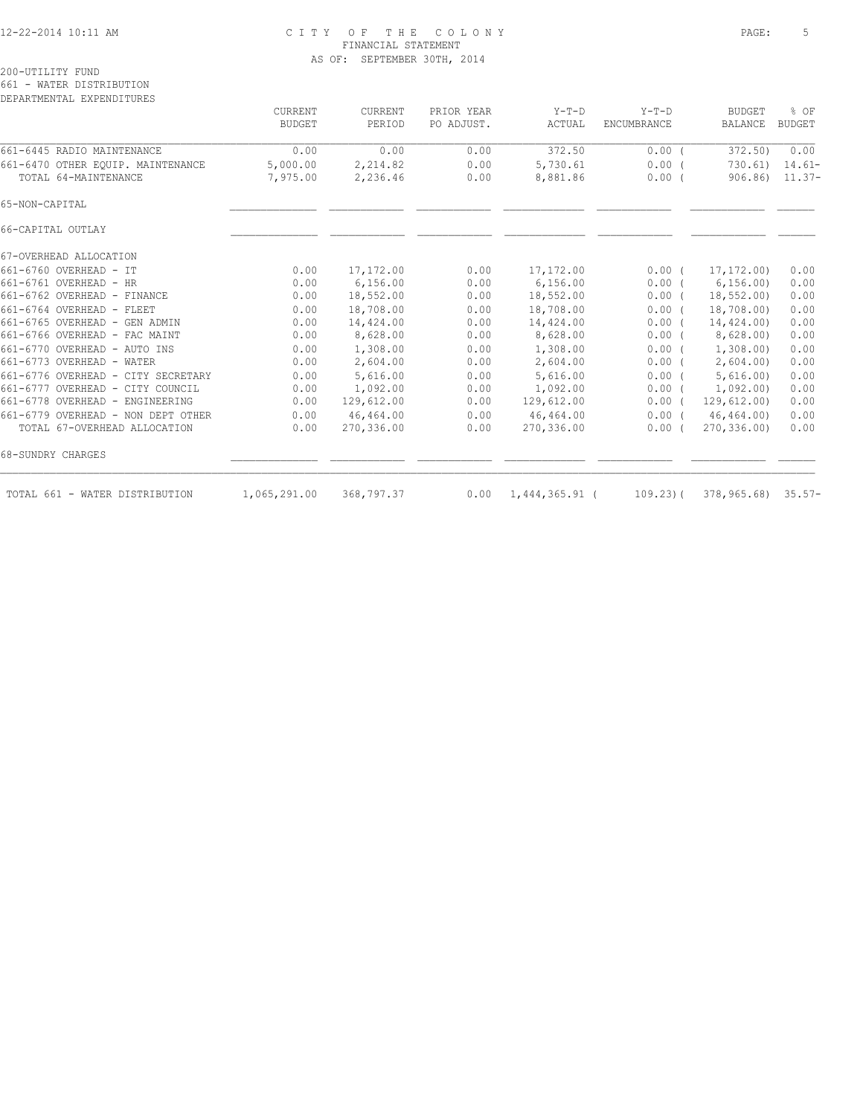### 12-22-2014 10:11 AM C I T Y O F T H E C O L O N Y PAGE: 5 FINANCIAL STATEMENT AS OF: SEPTEMBER 30TH, 2014

|                                    | <b>CURRENT</b><br><b>BUDGET</b> | <b>CURRENT</b><br>PERIOD | PRIOR YEAR<br>PO ADJUST. | $Y-T-D$<br>ACTUAL | $Y-T-D$<br>ENCUMBRANCE | <b>BUDGET</b><br><b>BALANCE</b> | % OF<br><b>BUDGET</b> |
|------------------------------------|---------------------------------|--------------------------|--------------------------|-------------------|------------------------|---------------------------------|-----------------------|
| 661-6445 RADIO MAINTENANCE         | 0.00                            | 0.00                     | 0.00                     | 372.50            | 0.00(                  | 372.50)                         | 0.00                  |
| 661-6470 OTHER EQUIP. MAINTENANCE  | 5,000.00                        | 2,214.82                 | 0.00                     | 5,730.61          | 0.00(                  | 730.61                          | $14.61-$              |
| TOTAL 64-MAINTENANCE               | 7,975.00                        | 2,236.46                 | 0.00                     | 8,881.86          | $0.00$ (               | 906.86                          | $11.37-$              |
| 65-NON-CAPITAL                     |                                 |                          |                          |                   |                        |                                 |                       |
| 66-CAPITAL OUTLAY                  |                                 |                          |                          |                   |                        |                                 |                       |
| 67-OVERHEAD ALLOCATION             |                                 |                          |                          |                   |                        |                                 |                       |
| $661 - 6760$ OVERHEAD - TT         | 0.00                            | 17,172.00                | 0.00                     | 17,172.00         | 0.00(                  | 17,172.00)                      | 0.00                  |
| 661-6761 OVERHEAD - HR             | 0.00                            | 6, 156.00                | 0.00                     | 6,156.00          | $0.00$ (               | 6, 156.00                       | 0.00                  |
| 661-6762 OVERHEAD - FINANCE        | 0.00                            | 18,552.00                | 0.00                     | 18,552.00         | $0.00$ (               | 18,552.00                       | 0.00                  |
| 661-6764 OVERHEAD - FLEET          | 0.00                            | 18,708.00                | 0.00                     | 18,708.00         | 0.00(                  | 18,708.00)                      | 0.00                  |
| 661-6765 OVERHEAD - GEN ADMIN      | 0.00                            | 14,424.00                | 0.00                     | 14,424.00         | $0.00$ (               | 14,424.00)                      | 0.00                  |
| 661-6766 OVERHEAD - FAC MAINT      | 0.00                            | 8,628.00                 | 0.00                     | 8,628.00          | $0.00$ (               | 8,628.00                        | 0.00                  |
| 661-6770 OVERHEAD - AUTO INS       | 0.00                            | 1,308.00                 | 0.00                     | 1,308.00          | 0.00(                  | 1,308.00                        | 0.00                  |
| 661-6773 OVERHEAD - WATER          | 0.00                            | 2,604.00                 | 0.00                     | 2,604.00          | $0.00$ (               | 2,604.00                        | 0.00                  |
| 661-6776 OVERHEAD - CITY SECRETARY | 0.00                            | 5,616.00                 | 0.00                     | 5,616.00          | $0.00$ (               | 5,616.00                        | 0.00                  |
| 661-6777 OVERHEAD - CITY COUNCIL   | 0.00                            | 1,092.00                 | 0.00                     | 1,092.00          | $0.00$ (               | 1,092,00)                       | 0.00                  |
| 661-6778 OVERHEAD - ENGINEERING    | 0.00                            | 129,612.00               | 0.00                     | 129,612.00        | $0.00$ (               | 129,612.00)                     | 0.00                  |
| 661-6779 OVERHEAD - NON DEPT OTHER | 0.00                            | 46,464.00                | 0.00                     | 46,464.00         | $0.00$ (               | 46,464.00)                      | 0.00                  |
| TOTAL 67-OVERHEAD ALLOCATION       | 0.00                            | 270,336.00               | 0.00                     | 270,336.00        | 0.00(                  | 270,336.00)                     | 0.00                  |
| 68-SUNDRY CHARGES                  |                                 |                          |                          |                   |                        |                                 |                       |
| TOTAL 661 - WATER DISTRIBUTION     | 1,065,291.00                    | 368,797.37               | 0.00                     | 1,444,365.91      | $109.23$ $($           | 378,965.68)                     | $35.57-$              |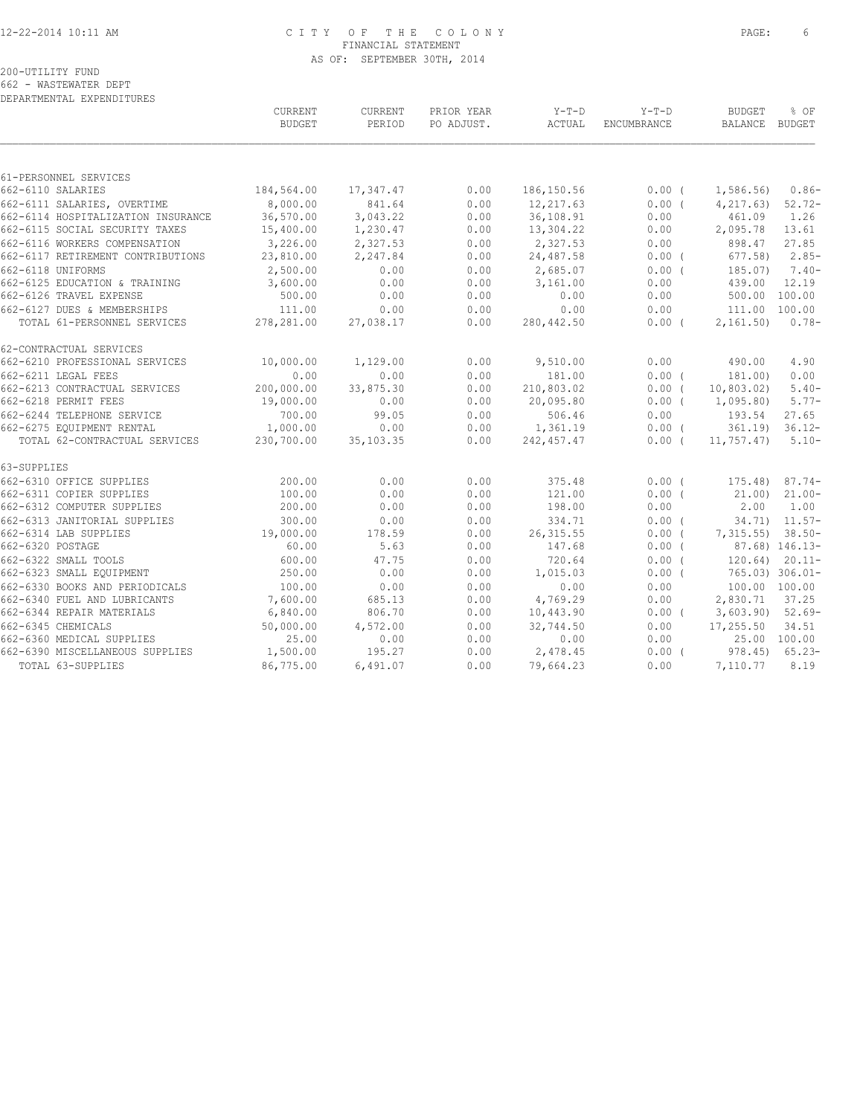## 12-22-2014 10:11 AM C I T Y O F T H E C O L O N Y PAGE: 6 FINANCIAL STATEMENT AS OF: SEPTEMBER 30TH, 2014

|  | 662 - WASTEWATER DEPT     |  |  |
|--|---------------------------|--|--|
|  | DEPARTMENTAL EXPENDITURES |  |  |

|                                    | CURRENT<br><b>BUDGET</b> | CURRENT<br>PERIOD | PRIOR YEAR<br>PO ADJUST. | $Y-T-D$<br>ACTUAL | $Y-T-D$<br>ENCUMBRANCE | BUDGET<br>BALANCE BUDGET | % OF                |
|------------------------------------|--------------------------|-------------------|--------------------------|-------------------|------------------------|--------------------------|---------------------|
|                                    |                          |                   |                          |                   |                        |                          |                     |
| 61-PERSONNEL SERVICES              |                          |                   |                          |                   |                        |                          |                     |
| 662-6110 SALARIES                  | 184,564.00               | 17,347.47         | 0.00                     | 186,150.56        | 0.00(                  | 1,586.56)                | $0.86-$             |
| 662-6111 SALARIES, OVERTIME        | 8,000.00                 | 841.64            | 0.00                     | 12,217.63         | $0.00$ (               | 4, 217, 63)              | $52.72 -$           |
| 662-6114 HOSPITALIZATION INSURANCE | 36,570.00                | 3,043.22          | 0.00                     | 36,108.91         | 0.00                   | 461.09                   | 1.26                |
| 662-6115 SOCIAL SECURITY TAXES     | 15,400.00                | 1,230.47          | 0.00                     | 13,304.22         | 0.00                   | 2,095.78                 | 13.61               |
| 662-6116 WORKERS COMPENSATION      | 3,226.00                 | 2,327.53          | 0.00                     | 2,327.53          | 0.00                   | 898.47                   | 27.85               |
| 662-6117 RETIREMENT CONTRIBUTIONS  | 23,810.00                | 2,247.84          | 0.00                     | 24,487.58         | $0.00$ (               | 677.58)                  | $2.85-$             |
| 662-6118 UNIFORMS                  | 2,500.00                 | 0.00              | 0.00                     | 2,685.07          | $0.00$ (               | 185.07)                  | $7.40-$             |
| 662-6125 EDUCATION & TRAINING      | 3,600.00                 | 0.00              | 0.00                     | 3,161.00          | 0.00                   | 439.00                   | 12.19               |
| 662-6126 TRAVEL EXPENSE            | 500.00                   | 0.00              | 0.00                     | 0.00              | 0.00                   | 500.00 100.00            |                     |
| 662-6127 DUES & MEMBERSHIPS        | 111.00                   | 0.00              | 0.00                     | 0.00              | 0.00                   | 111.00 100.00            |                     |
| TOTAL 61-PERSONNEL SERVICES        | 278,281.00               | 27,038.17         | 0.00                     | 280,442.50        | $0.00$ (               | 2,161.50                 | $0.78-$             |
| 62-CONTRACTUAL SERVICES            |                          |                   |                          |                   |                        |                          |                     |
| 662-6210 PROFESSIONAL SERVICES     | 10,000.00                | 1,129.00          | 0.00                     | 9,510.00          | 0.00                   | 490.00                   | 4.90                |
| 662-6211 LEGAL FEES                | 0.00                     | 0.00              | 0.00                     | 181.00            | $0.00$ (               | 181.00)                  | 0.00                |
| 662-6213 CONTRACTUAL SERVICES      | 200,000.00               | 33,875.30         | 0.00                     | 210,803.02        | $0.00$ (               | 10,803.02)               | $5.40-$             |
| 662-6218 PERMIT FEES               | 19,000.00                | 0.00              | 0.00                     | 20,095.80         | $0.00$ (               | 1,095.80)                | $5.77-$             |
| 662-6244 TELEPHONE SERVICE         | 700.00                   | 99.05             | 0.00                     | 506.46            | 0.00                   | 193.54                   | 27.65               |
| 662-6275 EQUIPMENT RENTAL          | 1,000.00                 | 0.00              | 0.00                     | 1,361.19          | $0.00$ (               |                          | $361.19$ $36.12-$   |
| TOTAL 62-CONTRACTUAL SERVICES      | 230,700.00               | 35,103.35         | 0.00                     | 242,457.47        | $0.00$ (               | 11,757.47)               | $5.10-$             |
| 63-SUPPLIES                        |                          |                   |                          |                   |                        |                          |                     |
| 662-6310 OFFICE SUPPLIES           | 200.00                   | 0.00              | 0.00                     | 375.48            | 0.00(                  | $175.48$ ) 87.74-        |                     |
| 662-6311 COPIER SUPPLIES           | 100.00                   | 0.00              | 0.00                     | 121.00            | $0.00$ (               | 21,00)                   | $21.00 -$           |
| 662-6312 COMPUTER SUPPLIES         | 200.00                   | 0.00              | 0.00                     | 198.00            | 0.00                   | 2.00                     | 1.00                |
| 662-6313 JANITORIAL SUPPLIES       | 300.00                   | 0.00              | 0.00                     | 334.71            | $0.00$ (               |                          | $34.71$ ) $11.57-$  |
| 662-6314 LAB SUPPLIES              | 19,000.00                | 178.59            | 0.00                     | 26, 315.55        | 0.00(                  | $7,315.55$ ) 38.50-      |                     |
| 662-6320 POSTAGE                   | 60.00                    | 5.63              | 0.00                     | 147.68            | 0.00(                  |                          | 87.68) 146.13-      |
| 662-6322 SMALL TOOLS               | 600.00                   | 47.75             | 0.00                     | 720.64            | 0.00(                  |                          | $120.64$ ) $20.11-$ |
| 662-6323 SMALL EQUIPMENT           | 250.00                   | 0.00              | 0.00                     | 1,015.03          | $0.00$ (               |                          | 765.03) 306.01-     |
| 662-6330 BOOKS AND PERIODICALS     | 100.00                   | 0.00              | 0.00                     | 0.00              | 0.00                   | 100.00 100.00            |                     |
| 662-6340 FUEL AND LUBRICANTS       | 7,600.00                 | 685.13            | 0.00                     | 4,769.29          | 0.00                   | 2,830.71                 | 37.25               |
| 662-6344 REPAIR MATERIALS          | 6,840.00                 | 806.70            | 0.00                     | 10,443.90         | $0.00$ (               | $3,603.90$ $52.69-$      |                     |
| 662-6345 CHEMICALS                 | 50,000.00                | 4,572.00          | 0.00                     | 32,744.50         | 0.00                   | 17,255.50                | 34.51               |
| 662-6360 MEDICAL SUPPLIES          | 25.00                    | 0.00              | 0.00                     | 0.00              | 0.00                   |                          | 25.00 100.00        |
| 662-6390 MISCELLANEOUS SUPPLIES    | 1,500.00                 | 195.27            | 0.00                     | 2,478.45          | $0.00$ (               |                          | $978.45$ 65.23-     |
| TOTAL 63-SUPPLIES                  | 86,775.00                | 6,491.07          | 0.00                     | 79,664.23         | 0.00                   | 7,110.77                 | 8.19                |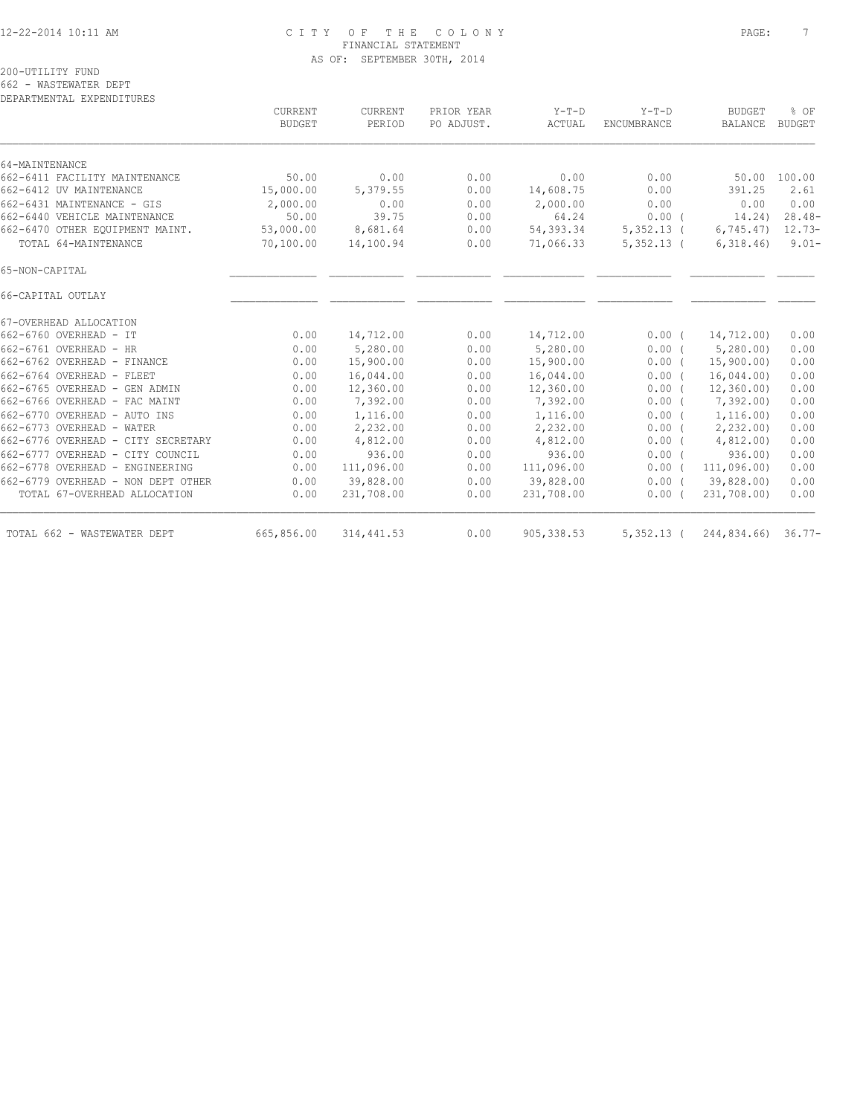### 12-22-2014 10:11 AM C I T Y O F T H E C O L O N Y PAGE: 7 FINANCIAL STATEMENT AS OF: SEPTEMBER 30TH, 2014

662 - WASTEWATER DEPT

| <b>CURRENT</b><br>BUDGET | CURRENT<br>PERIOD       | PRIOR YEAR<br>PO ADJUST. | $Y-T-D$<br>ACTUAL | $Y-T-D$<br>ENCUMBRANCE        | <b>BUDGET</b><br>BALANCE | % OF<br><b>BUDGET</b>                                                                                                                           |
|--------------------------|-------------------------|--------------------------|-------------------|-------------------------------|--------------------------|-------------------------------------------------------------------------------------------------------------------------------------------------|
|                          |                         |                          |                   |                               |                          |                                                                                                                                                 |
| 50.00                    | 0.00                    | 0.00                     |                   | 0.00                          |                          | 50.00 100.00                                                                                                                                    |
|                          |                         | 0.00                     |                   | 0.00                          | 391.25                   | 2.61                                                                                                                                            |
| 2,000.00                 | 0.00                    | 0.00                     |                   | 0.00                          | 0.00                     | 0.00                                                                                                                                            |
| 50.00                    | 39.75                   | 0.00                     | 64.24             |                               | 14.24)                   | $28.48-$                                                                                                                                        |
| 53,000.00                | 8,681.64                | 0.00                     | 54,393.34         |                               | 6,745.47                 | 12.73-                                                                                                                                          |
| 70,100.00                | 14,100.94               | 0.00                     | 71,066.33         |                               | 6,318.46                 | $9.01 -$                                                                                                                                        |
|                          |                         |                          |                   |                               |                          |                                                                                                                                                 |
|                          |                         |                          |                   |                               |                          |                                                                                                                                                 |
|                          |                         |                          |                   |                               |                          |                                                                                                                                                 |
| 0.00                     | 14,712.00               | 0.00                     | 14,712.00         | $0.00$ (                      | 14,712.00)               | 0.00                                                                                                                                            |
| 0.00                     | 5,280.00                | 0.00                     | 5,280.00          |                               | 5,280.00                 | 0.00                                                                                                                                            |
| 0.00                     | 15,900.00               | 0.00                     | 15,900.00         | 0.00(                         | 15,900.00)               | 0.00                                                                                                                                            |
| 0.00                     | 16,044.00               | 0.00                     | 16,044.00         | 0.00(                         | 16,044.00                | 0.00                                                                                                                                            |
| 0.00                     | 12,360.00               | 0.00                     | 12,360.00         | 0.00(                         | 12,360.00                | 0.00                                                                                                                                            |
| 0.00                     | 7,392.00                | 0.00                     | 7,392.00          | $0.00$ (                      | 7,392.00                 | 0.00                                                                                                                                            |
| 0.00                     | 1,116.00                | 0.00                     | 1,116.00          |                               | 1,116.00)                | 0.00                                                                                                                                            |
| 0.00                     | 2,232.00                | 0.00                     | 2,232.00          |                               | 2,232.00                 | 0.00                                                                                                                                            |
| 0.00                     | 4,812.00                | 0.00                     | 4,812.00          |                               | 4,812.00                 | 0.00                                                                                                                                            |
| 0.00                     | 936.00                  | 0.00                     | 936.00            | $0.00$ (                      | 936.00                   | 0.00                                                                                                                                            |
| 0.00                     | 111,096.00              | 0.00                     | 111,096.00        | 0.00(                         | 111,096.00)              | 0.00                                                                                                                                            |
| 0.00                     | 39,828.00               | 0.00                     | 39,828.00         | $0.00$ (                      | 39,828.00)               | 0.00                                                                                                                                            |
| 0.00                     | 231,708.00              | 0.00                     | 231,708.00        | 0.00(                         | 231,708.00)              | 0.00                                                                                                                                            |
|                          |                         |                          |                   |                               |                          |                                                                                                                                                 |
|                          | 15,000.00<br>665,856.00 | 5,379.55<br>314, 441.53  |                   | 0.00<br>14,608.75<br>2,000.00 |                          | 0.00(<br>$5,352.13$ (<br>$5,352.13$ (<br>0.00(<br>0.00(<br>$0.00$ (<br>$0.00$ (<br>0.00<br>905, 338.53<br>$5,352.13$ (<br>$244,834.66$ ) 36.77- |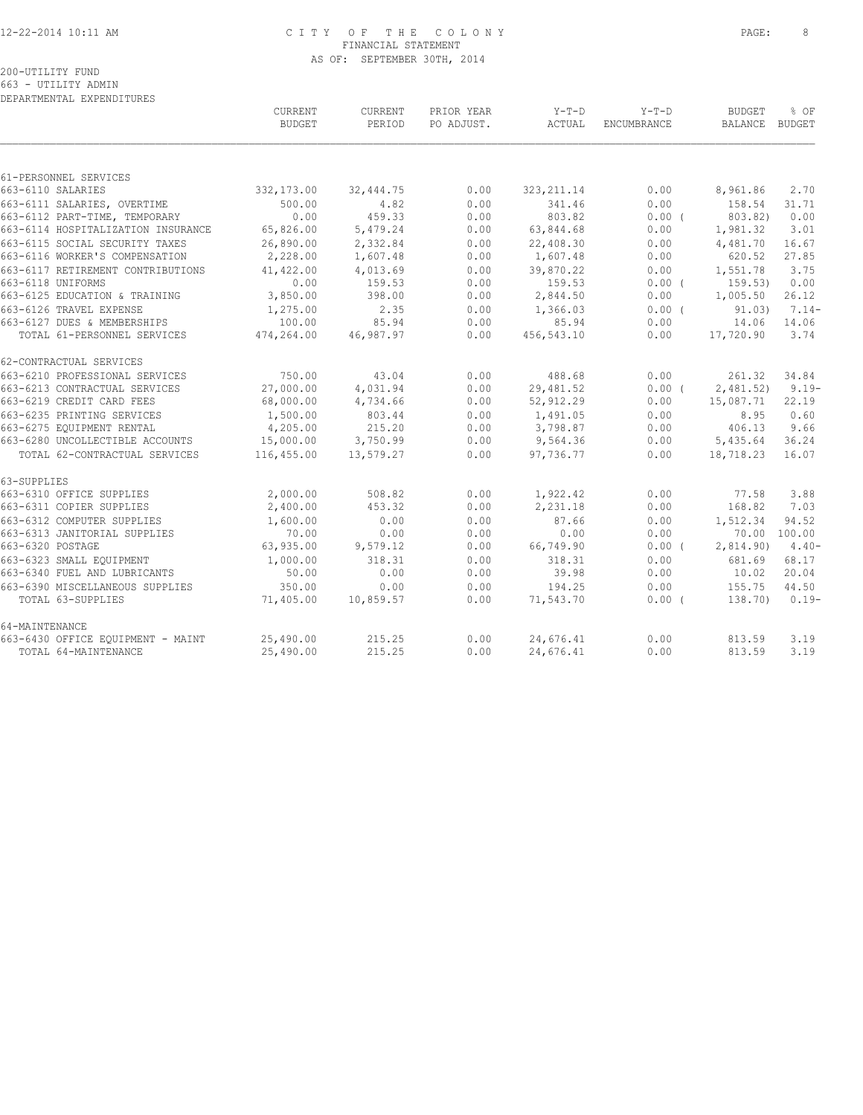### 12-22-2014 10:11 AM C I T Y O F T H E C O L O N Y PAGE: 8 FINANCIAL STATEMENT AS OF: SEPTEMBER 30TH, 2014

| DEPARTMENTAL EXPENDITURES          |                          |                   |                          |                 |                        |                                 |              |
|------------------------------------|--------------------------|-------------------|--------------------------|-----------------|------------------------|---------------------------------|--------------|
|                                    | CURRENT<br><b>BUDGET</b> | CURRENT<br>PERIOD | PRIOR YEAR<br>PO ADJUST. | Y-T-D<br>ACTUAL | $Y-T-D$<br>ENCUMBRANCE | <b>BUDGET</b><br>BALANCE BUDGET | % OF         |
|                                    |                          |                   |                          |                 |                        |                                 |              |
| 61-PERSONNEL SERVICES              |                          |                   |                          |                 |                        |                                 |              |
| 663-6110 SALARIES                  | 332,173.00               | 32, 444.75        | 0.00                     | 323, 211.14     | 0.00                   | 8,961.86                        | 2.70         |
| 663-6111 SALARIES, OVERTIME        | 500.00                   | 4.82              | 0.00                     | 341.46          | 0.00                   | 158.54                          | 31.71        |
| 663-6112 PART-TIME, TEMPORARY      | 0.00                     | 459.33            | 0.00                     | 803.82          | 0.00(                  | 803.82)                         | 0.00         |
| 663-6114 HOSPITALIZATION INSURANCE | 65,826.00                | 5,479.24          | 0.00                     | 63,844.68       | 0.00                   | 1,981.32                        | 3.01         |
| 663-6115 SOCIAL SECURITY TAXES     | 26,890.00                | 2,332.84          | 0.00                     | 22,408.30       | 0.00                   | 4,481.70                        | 16.67        |
| 663-6116 WORKER'S COMPENSATION     | 2,228.00                 | 1,607.48          | 0.00                     | 1,607.48        | 0.00                   | 620.52                          | 27.85        |
| 663-6117 RETIREMENT CONTRIBUTIONS  | 41,422.00                | 4,013.69          | 0.00                     | 39,870.22       | 0.00                   | 1,551.78                        | 3.75         |
| 663-6118 UNIFORMS                  | 0.00                     | 159.53            | 0.00                     | 159.53          | 0.00(                  | 159.53)                         | 0.00         |
| 663-6125 EDUCATION & TRAINING      | 3,850.00                 | 398.00            | 0.00                     | 2,844.50        | 0.00                   | 1,005.50                        | 26.12        |
| 663-6126 TRAVEL EXPENSE            | 1,275.00                 | 2.35              | 0.00                     | 1,366.03        | 0.00(                  | 91.03)                          | $7.14-$      |
| 663-6127 DUES & MEMBERSHIPS        | 100.00                   | 85.94             | 0.00                     | 85.94           | 0.00                   | 14.06                           | 14.06        |
| TOTAL 61-PERSONNEL SERVICES        | 474,264.00               | 46,987.97         | 0.00                     | 456,543.10      | 0.00                   | 17,720.90                       | 3.74         |
| 62-CONTRACTUAL SERVICES            |                          |                   |                          |                 |                        |                                 |              |
| 663-6210 PROFESSIONAL SERVICES     | 750.00                   | 43.04             | 0.00                     | 488.68          | 0.00                   | 261.32                          | 34.84        |
| 663-6213 CONTRACTUAL SERVICES      | 27,000.00                | 4,031.94          | 0.00                     | 29,481.52       | 0.00(                  | 2,481.52)                       | $9.19 -$     |
| 663-6219 CREDIT CARD FEES          | 68,000.00                | 4,734.66          | 0.00                     | 52,912.29       | 0.00                   | 15,087.71                       | 22.19        |
| 663-6235 PRINTING SERVICES         | 1,500.00                 | 803.44            | 0.00                     | 1,491.05        | 0.00                   | 8.95                            | 0.60         |
| 663-6275 EOUIPMENT RENTAL          | 4,205.00                 | 215.20            | 0.00                     | 3,798.87        | 0.00                   | 406.13                          | 9.66         |
| 663-6280 UNCOLLECTIBLE ACCOUNTS    | 15,000.00                | 3,750.99          | 0.00                     | 9,564.36        | 0.00                   | 5,435.64                        | 36.24        |
| TOTAL 62-CONTRACTUAL SERVICES      | 116,455.00               | 13,579.27         | 0.00                     | 97,736.77       | 0.00                   | 18,718.23                       | 16.07        |
| 63-SUPPLIES                        |                          |                   |                          |                 |                        |                                 |              |
| 663-6310 OFFICE SUPPLIES           | 2,000.00                 | 508.82            | 0.00                     | 1,922.42        | 0.00                   | 77.58                           | 3.88         |
| 663-6311 COPIER SUPPLIES           | 2,400.00                 | 453.32            | 0.00                     | 2,231.18        | 0.00                   | 168.82                          | 7.03         |
| 663-6312 COMPUTER SUPPLIES         | 1,600.00                 | 0.00              | 0.00                     | 87.66           | 0.00                   | 1,512.34                        | 94.52        |
| 663-6313 JANITORIAL SUPPLIES       | 70.00                    | 0.00              | 0.00                     | 0.00            | 0.00                   |                                 | 70.00 100.00 |
| 663-6320 POSTAGE                   | 63,935.00                | 9,579.12          | 0.00                     | 66,749.90       | $0.00$ (               | 2,814.90                        | $4.40-$      |
| 663-6323 SMALL EQUIPMENT           | 1,000.00                 | 318.31            | 0.00                     | 318.31          | 0.00                   | 681.69                          | 68.17        |
| 663-6340 FUEL AND LUBRICANTS       | 50.00                    | 0.00              | 0.00                     | 39.98           | 0.00                   | 10.02                           | 20.04        |
| 663-6390 MISCELLANEOUS SUPPLIES    | 350.00                   | 0.00              | 0.00                     | 194.25          | 0.00                   | 155.75                          | 44.50        |
| TOTAL 63-SUPPLIES                  | 71,405.00                | 10,859.57         | 0.00                     | 71,543.70       | 0.00(                  | 138.70)                         | $0.19-$      |
| 64-MAINTENANCE                     |                          |                   |                          |                 |                        |                                 |              |
| 663-6430 OFFICE EQUIPMENT - MAINT  | 25,490.00                | 215.25            | 0.00                     | 24,676.41       | 0.00                   | 813.59                          | 3.19         |
| TOTAL 64-MAINTENANCE               | 25,490.00                | 215.25            | 0.00                     | 24,676.41       | 0.00                   | 813.59                          | 3.19         |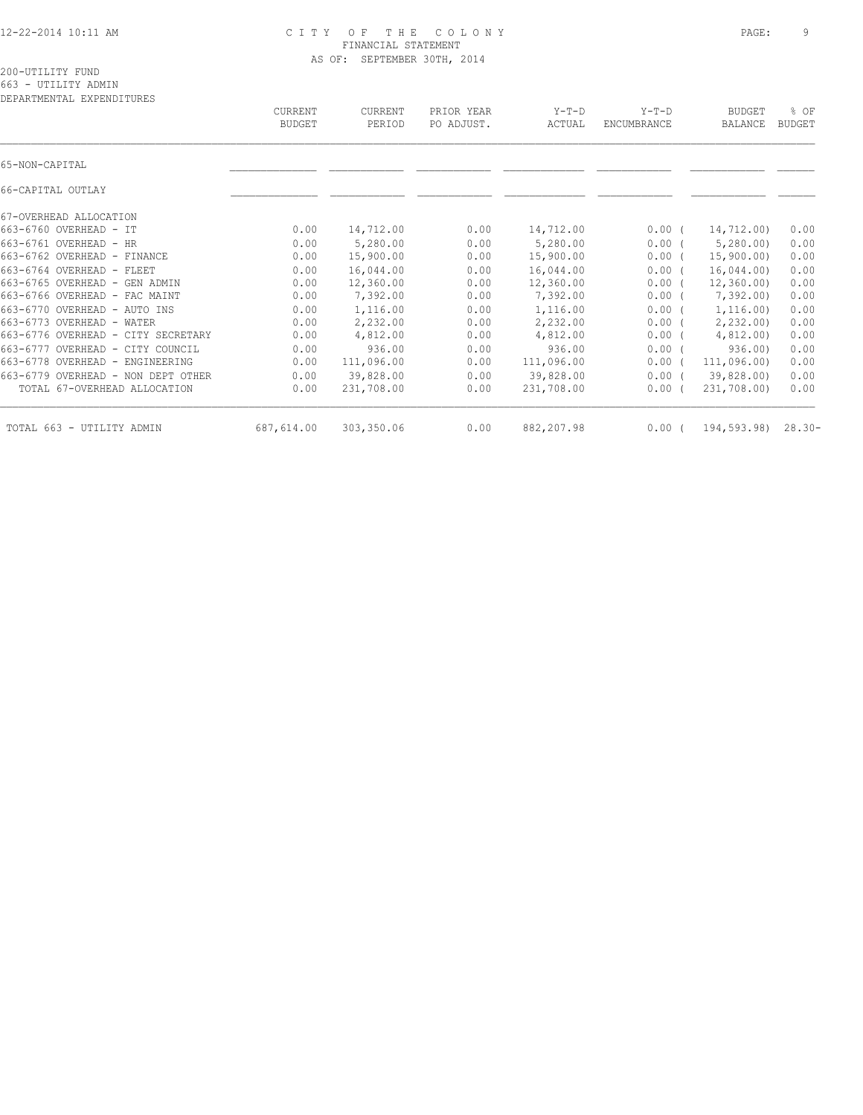### 12-22-2014 10:11 AM C I T Y O F T H E C O L O N Y PAGE: 9 FINANCIAL STATEMENT AS OF: SEPTEMBER 30TH, 2014

| DEPARTMENTAL EXPENDITURES          | CURRENT<br><b>BUDGET</b> | CURRENT<br>PERIOD | PRIOR YEAR<br>PO ADJUST. | $Y-T-D$<br>ACTUAL | $Y-T-D$<br>ENCUMBRANCE | <b>BUDGET</b><br><b>BALANCE</b> | % OF<br><b>BUDGET</b> |
|------------------------------------|--------------------------|-------------------|--------------------------|-------------------|------------------------|---------------------------------|-----------------------|
| 65-NON-CAPITAL                     |                          |                   |                          |                   |                        |                                 |                       |
| 66-CAPITAL OUTLAY                  |                          |                   |                          |                   |                        |                                 |                       |
| 67-OVERHEAD ALLOCATION             |                          |                   |                          |                   |                        |                                 |                       |
| 663-6760 OVERHEAD - IT             | 0.00                     | 14,712.00         | 0.00                     | 14,712.00         | $0.00$ (               | 14,712.00)                      | 0.00                  |
| 663-6761 OVERHEAD - HR             | 0.00                     | 5,280.00          | 0.00                     | 5,280.00          | 0.00(                  | 5,280.00                        | 0.00                  |
| 663-6762 OVERHEAD - FINANCE        | 0.00                     | 15,900.00         | 0.00                     | 15,900.00         | $0.00$ (               | 15,900.00)                      | 0.00                  |
| 663-6764 OVERHEAD - FLEET          | 0.00                     | 16,044.00         | 0.00                     | 16,044.00         | $0.00$ (               | 16,044.00                       | 0.00                  |
| 663-6765 OVERHEAD - GEN ADMIN      | 0.00                     | 12,360.00         | 0.00                     | 12,360.00         | $0.00$ (               | 12,360.00                       | 0.00                  |
| 663-6766 OVERHEAD - FAC MAINT      | 0.00                     | 7,392.00          | 0.00                     | 7,392.00          | $0.00$ (               | 7,392.00                        | 0.00                  |
| 663-6770 OVERHEAD - AUTO INS       | 0.00                     | 1,116.00          | 0.00                     | 1,116.00          | 0.00(                  | 1,116.00)                       | 0.00                  |
| 663-6773 OVERHEAD - WATER          | 0.00                     | 2,232.00          | 0.00                     | 2,232.00          | $0.00$ (               | 2,232.00                        | 0.00                  |
| 663-6776 OVERHEAD - CITY SECRETARY | 0.00                     | 4,812.00          | 0.00                     | 4,812.00          | $0.00$ (               | 4,812.00                        | 0.00                  |
| 663-6777 OVERHEAD - CITY COUNCIL   | 0.00                     | 936.00            | 0.00                     | 936.00            | 0.00(                  | 936.00)                         | 0.00                  |
| 663-6778 OVERHEAD - ENGINEERING    | 0.00                     | 111,096.00        | 0.00                     | 111,096.00        | 0.00(                  | 111,096.00                      | 0.00                  |
| 663-6779 OVERHEAD - NON DEPT OTHER | 0.00                     | 39,828.00         | 0.00                     | 39,828.00         | $0.00$ (               | 39,828.00)                      | 0.00                  |
| TOTAL 67-OVERHEAD ALLOCATION       | 0.00                     | 231,708.00        | 0.00                     | 231,708.00        | 0.00(                  | 231,708.00)                     | 0.00                  |
| TOTAL 663 - UTILITY ADMIN          | 687,614.00               | 303,350.06        | 0.00                     | 882,207.98        | 0.00                   | 194,593.98)                     | $28.30 -$             |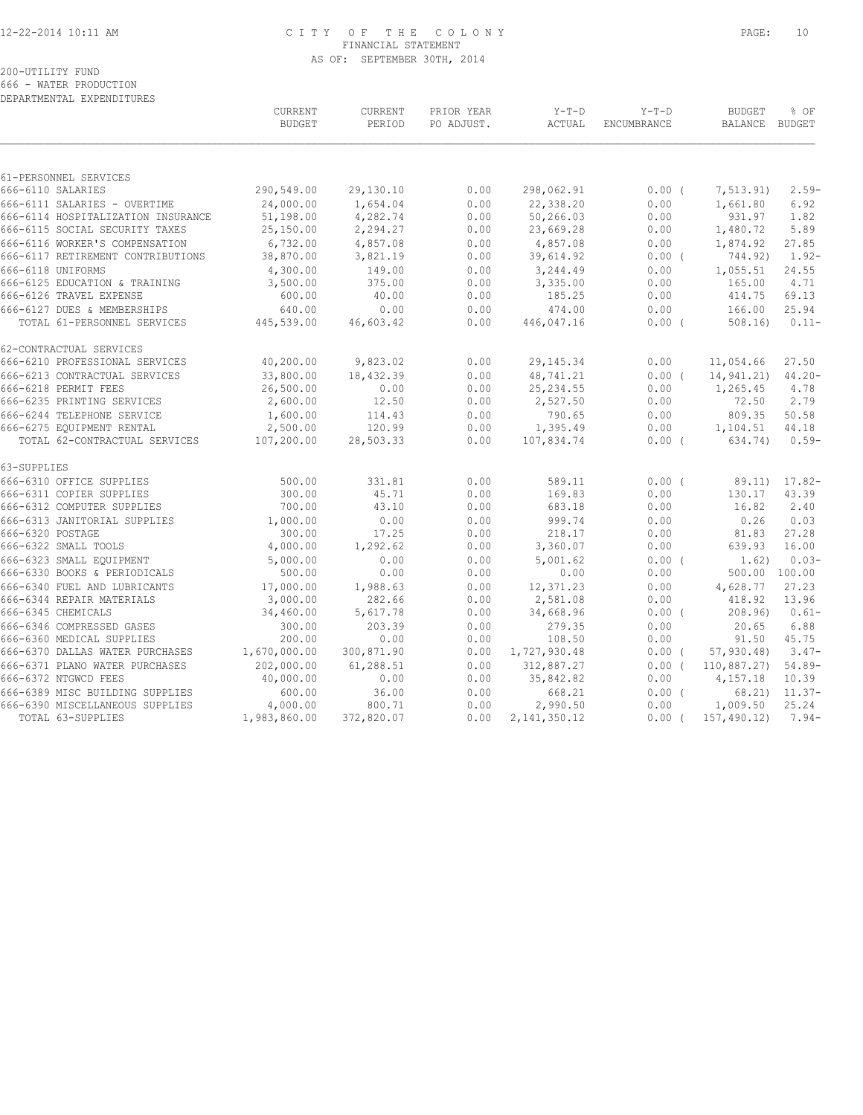### 12-22-2014 10:11 AM C I T Y O F T H E C O L O N Y PAGE: 10 FINANCIAL STATEMENT AS OF: SEPTEMBER 30TH, 2014

200-UTILITY FUND 666 - WATER PRODUCTION

DEPARTMENTAL EXPENDITURES

|                                    | <b>CURRENT</b><br><b>BUDGET</b> | <b>CURRENT</b><br>PERIOD | PRIOR YEAR<br>PO ADJUST. | $Y-T-D$<br>ACTUAL | $Y-T-D$<br><b>ENCUMBRANCE</b> | <b>BUDGET</b><br>BALANCE BUDGET | % OF               |
|------------------------------------|---------------------------------|--------------------------|--------------------------|-------------------|-------------------------------|---------------------------------|--------------------|
|                                    |                                 |                          |                          |                   |                               |                                 |                    |
| 61-PERSONNEL SERVICES              |                                 |                          |                          |                   |                               |                                 |                    |
| 666-6110 SALARIES                  | 290,549.00                      | 29,130.10                | 0.00                     | 298,062.91        | 0.00(                         | 7,513.91)                       | $2.59-$            |
| 666-6111 SALARIES - OVERTIME       | 24,000.00                       | 1,654.04                 | 0.00                     | 22,338.20         | 0.00                          | 1,661.80                        | 6.92               |
| 666-6114 HOSPITALIZATION INSURANCE | 51,198.00                       | 4,282.74                 | 0.00                     | 50,266.03         | 0.00                          | 931.97                          | 1.82               |
| 666-6115 SOCIAL SECURITY TAXES     | 25,150.00                       | 2,294.27                 | 0.00                     | 23,669.28         | 0.00                          | 1,480.72                        | 5.89               |
| 666-6116 WORKER'S COMPENSATION     | 6,732.00                        | 4,857.08                 | 0.00                     | 4,857.08          | 0.00                          | 1,874.92                        | 27.85              |
| 666-6117 RETIREMENT CONTRIBUTIONS  | 38,870.00                       | 3,821.19                 | 0.00                     | 39,614.92         | $0.00$ (                      | 744.92)                         | $1.92-$            |
| 666-6118 UNIFORMS                  | 4,300.00                        | 149.00                   | 0.00                     | 3,244.49          | 0.00                          | 1,055.51                        | 24.55              |
| 666-6125 EDUCATION & TRAINING      | 3,500.00                        | 375.00                   | 0.00                     | 3,335.00          | 0.00                          | 165.00                          | 4.71               |
| 666-6126 TRAVEL EXPENSE            | 600.00                          | 40.00                    | 0.00                     | 185.25            | 0.00                          | 414.75                          | 69.13              |
| 666-6127 DUES & MEMBERSHIPS        | 640.00                          | 0.00                     | 0.00                     | 474.00            | 0.00                          | 166.00                          | 25.94              |
| TOTAL 61-PERSONNEL SERVICES        | 445,539.00                      | 46,603.42                | 0.00                     | 446,047.16        | $0.00$ (                      | 508.16)                         | $0.11 -$           |
| 62-CONTRACTUAL SERVICES            |                                 |                          |                          |                   |                               |                                 |                    |
| 666-6210 PROFESSIONAL SERVICES     | 40,200.00                       | 9,823.02                 | 0.00                     | 29, 145.34        | 0.00                          | 11,054.66                       | 27.50              |
| 666-6213 CONTRACTUAL SERVICES      | 33,800.00                       | 18,432.39                | 0.00                     | 48,741.21         | 0.00(                         | 14,941.21)                      | $44.20 -$          |
| 666-6218 PERMIT FEES               | 26,500.00                       | 0.00                     | 0.00                     | 25, 234.55        | 0.00                          | 1,265.45                        | 4.78               |
| 666-6235 PRINTING SERVICES         | 2,600.00                        | 12.50                    | 0.00                     | 2,527.50          | 0.00                          | 72.50                           | 2.79               |
| 666-6244 TELEPHONE SERVICE         | 1,600.00                        | 114.43                   | 0.00                     | 790.65            | 0.00                          | 809.35                          | 50.58              |
| 666-6275 EQUIPMENT RENTAL          | 2,500.00                        | 120.99                   | 0.00                     | 1,395.49          | 0.00                          | 1,104.51                        | 44.18              |
| TOTAL 62-CONTRACTUAL SERVICES      | 107,200.00                      | 28,503.33                | 0.00                     | 107,834.74        | $0.00$ (                      | 634.74)                         | $0.59-$            |
| 63-SUPPLIES                        |                                 |                          |                          |                   |                               |                                 |                    |
| 666-6310 OFFICE SUPPLIES           | 500.00                          | 331.81                   | 0.00                     | 589.11            | 0.00(                         |                                 | 89.11) 17.82-      |
| 666-6311 COPIER SUPPLIES           | 300.00                          | 45.71                    | 0.00                     | 169.83            | 0.00                          | 130.17                          | 43.39              |
| 666-6312 COMPUTER SUPPLIES         | 700.00                          | 43.10                    | 0.00                     | 683.18            | 0.00                          | 16.82                           | 2.40               |
| 666-6313 JANITORIAL SUPPLIES       | 1,000.00                        | 0.00                     | 0.00                     | 999.74            | 0.00                          | 0.26                            | 0.03               |
| 666-6320 POSTAGE                   | 300.00                          | 17.25                    | 0.00                     | 218.17            | 0.00                          | 81.83                           | 27.28              |
| 666-6322 SMALL TOOLS               | 4,000.00                        | 1,292.62                 | 0.00                     | 3,360.07          | 0.00                          | 639.93                          | 16.00              |
| 666-6323 SMALL EQUIPMENT           | 5,000.00                        | 0.00                     | 0.00                     | 5,001.62          | 0.00(                         | 1.62)                           | $0.03-$            |
| 666-6330 BOOKS & PERIODICALS       | 500.00                          | 0.00                     | 0.00                     | 0.00              | 0.00                          |                                 | 500.00 100.00      |
| 666-6340 FUEL AND LUBRICANTS       | 17,000.00                       | 1,988.63                 | 0.00                     | 12,371.23         | 0.00                          | 4,628.77                        | 27.23              |
| 666-6344 REPAIR MATERIALS          | 3,000.00                        | 282.66                   | 0.00                     | 2,581.08          | 0.00                          | 418.92                          | 13.96              |
| 666-6345 CHEMICALS                 | 34,460.00                       | 5,617.78                 | 0.00                     | 34,668.96         | $0.00$ (                      | 208.96                          | $0.61-$            |
| 666-6346 COMPRESSED GASES          | 300.00                          | 203.39                   | 0.00                     | 279.35            | 0.00                          | 20.65                           | 6.88               |
| 666-6360 MEDICAL SUPPLIES          | 200.00                          | 0.00                     | 0.00                     | 108.50            | 0.00                          | 91.50                           | 45.75              |
| 666-6370 DALLAS WATER PURCHASES    | 1,670,000.00                    | 300,871.90               | 0.00                     | 1,727,930.48      | 0.00(                         | 57, 930.48                      | $3.47-$            |
| 666-6371 PLANO WATER PURCHASES     | 202,000.00                      | 61,288.51                | 0.00                     | 312,887.27        | 0.00(                         | 110,887.27) 54.89-              |                    |
| 666-6372 NTGWCD FEES               | 40,000.00                       | 0.00                     | 0.00                     | 35,842.82         | 0.00                          | 4,157.18                        | 10.39              |
| 666-6389 MISC BUILDING SUPPLIES    | 600.00                          | 36.00                    | 0.00                     | 668.21            | 0.00(                         |                                 | $68.21$ ) $11.37-$ |
| 666-6390 MISCELLANEOUS SUPPLIES    | 4,000.00                        | 800.71                   | 0.00                     | 2,990.50          | 0.00                          | 1,009.50                        | 25.24              |
| TOTAL 63-SUPPLIES                  | 1,983,860.00                    | 372,820.07               | 0.00                     | 2, 141, 350.12    | $0.00$ (                      | 157, 490.12                     | $7.94-$            |
|                                    |                                 |                          |                          |                   |                               |                                 |                    |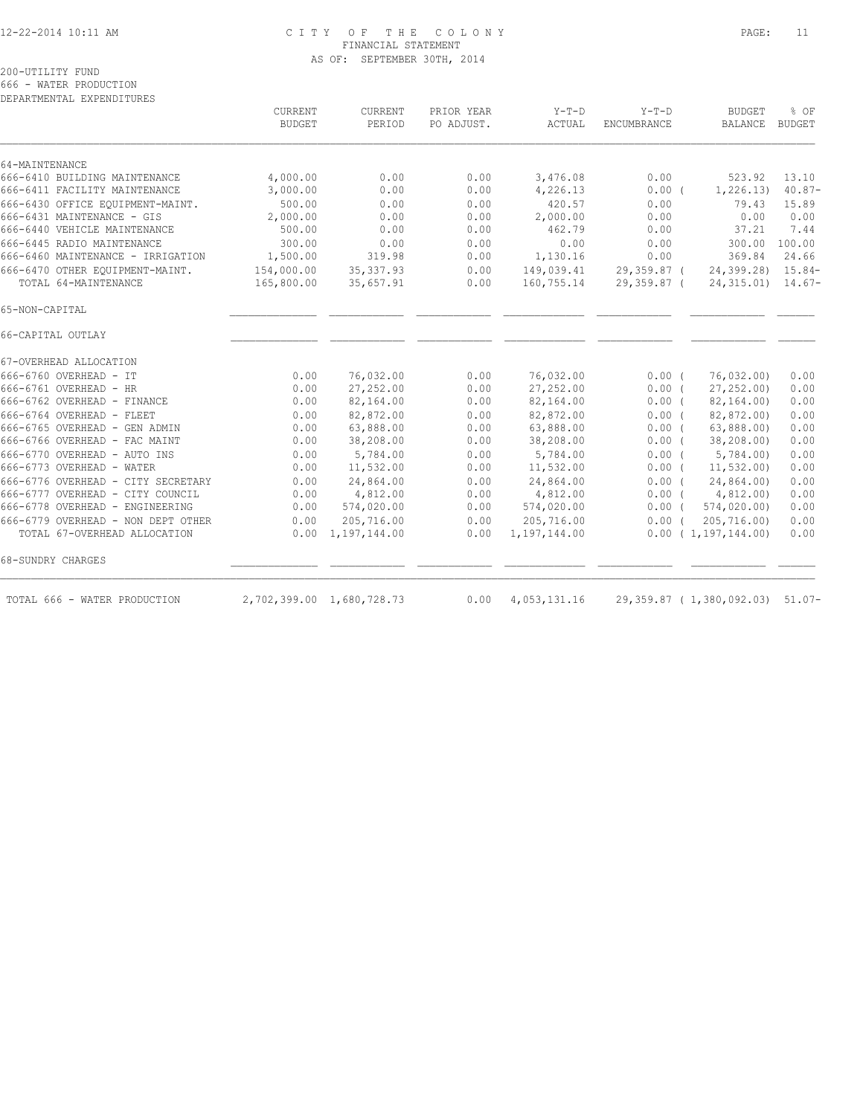## 12-22-2014 10:11 AM C I T Y O F T H E C O L O N Y PAGE: 11 FINANCIAL STATEMENT AS OF: SEPTEMBER 30TH, 2014

200-UTILITY FUND

666 - WATER PRODUCTION

| DEPARTMENTAL EXPENDITURES          |                                 |                   |                          |                   |                        |                                 |                |
|------------------------------------|---------------------------------|-------------------|--------------------------|-------------------|------------------------|---------------------------------|----------------|
|                                    | <b>CURRENT</b><br><b>BUDGET</b> | CURRENT<br>PERIOD | PRIOR YEAR<br>PO ADJUST. | $Y-T-D$<br>ACTUAL | $Y-T-D$<br>ENCUMBRANCE | <b>BUDGET</b><br>BALANCE        | % OF<br>BUDGET |
| 64-MAINTENANCE                     |                                 |                   |                          |                   |                        |                                 |                |
| 666-6410 BUILDING MAINTENANCE      | 4,000.00                        | 0.00              | 0.00                     | 3,476.08          | 0.00                   | 523.92                          | 13.10          |
| 666-6411 FACILITY MAINTENANCE      | 3,000.00                        | 0.00              | 0.00                     | 4,226.13          | 0.00(                  | 1,226.13)                       | $40.87-$       |
| 666-6430 OFFICE EQUIPMENT-MAINT.   | 500.00                          | 0.00              | 0.00                     | 420.57            | 0.00                   | 79.43                           | 15.89          |
| 666-6431 MAINTENANCE - GIS         | 2,000.00                        | 0.00              | 0.00                     | 2,000.00          | 0.00                   | 0.00                            | 0.00           |
| 666-6440 VEHICLE MAINTENANCE       | 500.00                          | 0.00              | 0.00                     | 462.79            | 0.00                   | 37.21                           | 7.44           |
| 666-6445 RADIO MAINTENANCE         | 300.00                          | 0.00              | 0.00                     | 0.00              | 0.00                   | 300.00                          | 100.00         |
| 666-6460 MAINTENANCE - IRRIGATION  | 1,500.00                        | 319.98            | 0.00                     | 1,130.16          | 0.00                   | 369.84                          | 24.66          |
| 666-6470 OTHER EQUIPMENT-MAINT.    | 154,000.00                      | 35, 337.93        | 0.00                     | 149,039.41        | 29,359.87 (            | 24,399.28) 15.84-               |                |
| TOTAL 64-MAINTENANCE               | 165,800.00                      | 35,657.91         | 0.00                     | 160,755.14        | 29,359.87 (            | $24,315.01$ $14.67-$            |                |
| 65-NON-CAPITAL                     |                                 |                   |                          |                   |                        |                                 |                |
| 66-CAPITAL OUTLAY                  |                                 |                   |                          |                   |                        |                                 |                |
| 67-OVERHEAD ALLOCATION             |                                 |                   |                          |                   |                        |                                 |                |
| 666-6760 OVERHEAD - IT             | 0.00                            | 76,032.00         | 0.00                     | 76,032.00         | 0.00(                  | 76,032.00)                      | 0.00           |
| 666-6761 OVERHEAD - HR             | 0.00                            | 27,252.00         | 0.00                     | 27,252.00         | $0.00$ (               | 27, 252.00                      | 0.00           |
| 666-6762 OVERHEAD - FINANCE        | 0.00                            | 82,164.00         | 0.00                     | 82,164.00         | 0.00(                  | 82, 164.00                      | 0.00           |
| 666-6764 OVERHEAD - FLEET          | 0.00                            | 82,872.00         | 0.00                     | 82,872.00         | 0.00(                  | 82,872.00)                      | 0.00           |
| 666-6765 OVERHEAD - GEN ADMIN      | 0.00                            | 63,888.00         | 0.00                     | 63,888.00         | $0.00$ (               | 63,888.00                       | 0.00           |
| 666-6766 OVERHEAD - FAC MAINT      | 0.00                            | 38,208.00         | 0.00                     | 38,208.00         | 0.00(                  | 38,208.00)                      | 0.00           |
| 666-6770 OVERHEAD - AUTO INS       | 0.00                            | 5,784.00          | 0.00                     | 5,784.00          | 0.00(                  | 5,784.00                        | 0.00           |
| 666-6773 OVERHEAD - WATER          | 0.00                            | 11,532.00         | 0.00                     | 11,532.00         | $0.00$ (               | 11, 532.00                      | 0.00           |
| 666-6776 OVERHEAD - CITY SECRETARY | 0.00                            | 24,864.00         | 0.00                     | 24,864.00         | 0.00(                  | 24,864.00)                      | 0.00           |
| 666-6777 OVERHEAD - CITY COUNCIL   | 0.00                            | 4,812.00          | 0.00                     | 4,812.00          | 0.00(                  | 4,812.00)                       | 0.00           |
| 666-6778 OVERHEAD - ENGINEERING    | 0.00                            | 574,020.00        | 0.00                     | 574,020.00        | 0.00(                  | 574,020.00)                     | 0.00           |
| 666-6779 OVERHEAD - NON DEPT OTHER | 0.00                            | 205,716.00        | 0.00                     | 205,716.00        | $0.00$ (               | 205, 716, 00)                   | 0.00           |
| TOTAL 67-OVERHEAD ALLOCATION       | 0.00                            | 1,197,144.00      | 0.00                     | 1,197,144.00      |                        | 0.00(1,197,144.00)              | 0.00           |
| 68-SUNDRY CHARGES                  |                                 |                   |                          |                   |                        |                                 |                |
| TOTAL 666 - WATER PRODUCTION       | 2,702,399.00 1,680,728.73       |                   | 0.00                     | 4,053,131.16      |                        | 29,359.87 (1,380,092.03) 51.07- |                |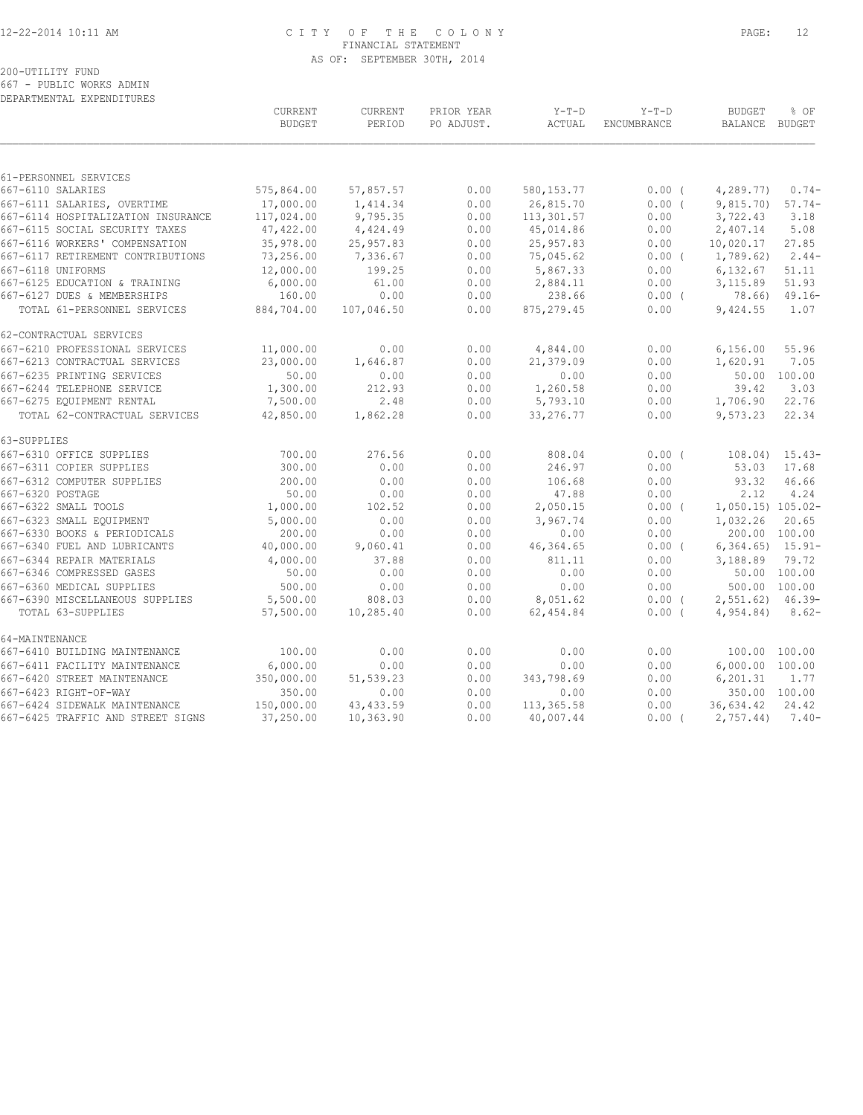### 12-22-2014 10:11 AM C I T Y O F T H E C O L O N Y PAGE: 12 FINANCIAL STATEMENT AS OF: SEPTEMBER 30TH, 2014

# 200-UTILITY FUND

667 - PUBLIC WORKS ADMIN

| DEPARTMENTAL EXPENDITURES                                |                          |                    |                          |                      |                        |                                 |                       |
|----------------------------------------------------------|--------------------------|--------------------|--------------------------|----------------------|------------------------|---------------------------------|-----------------------|
|                                                          | CURRENT<br><b>BUDGET</b> | CURRENT<br>PERIOD  | PRIOR YEAR<br>PO ADJUST. | $Y-T-D$<br>ACTUAL    | $Y-T-D$<br>ENCUMBRANCE | <b>BUDGET</b><br><b>BALANCE</b> | % OF<br><b>BUDGET</b> |
| 61-PERSONNEL SERVICES                                    |                          |                    |                          |                      |                        |                                 |                       |
| 667-6110 SALARIES                                        | 575,864.00               | 57,857.57          | 0.00                     | 580, 153.77          | $0.00$ (               | 4,289.77)                       | $0.74-$               |
| 667-6111 SALARIES, OVERTIME                              | 17,000.00                | 1,414.34           | 0.00                     | 26,815.70            | 0.00(                  | 9,815.70                        | $57.74-$              |
| 667-6114 HOSPITALIZATION INSURANCE                       | 117,024.00               | 9,795.35           | 0.00                     | 113,301.57           | 0.00                   | 3,722.43                        | 3.18                  |
| 667-6115 SOCIAL SECURITY TAXES                           | 47,422.00                | 4,424.49           | 0.00                     | 45,014.86            | 0.00                   | 2,407.14                        | 5.08                  |
| 667-6116 WORKERS' COMPENSATION                           | 35,978.00                | 25,957.83          | 0.00                     | 25,957.83            | 0.00                   | 10,020.17                       | 27.85                 |
| 667-6117 RETIREMENT CONTRIBUTIONS                        | 73,256.00                | 7,336.67           | 0.00                     | 75,045.62            | 0.00(                  | 1,789.62)                       | $2.44-$               |
| 667-6118 UNIFORMS                                        | 12,000.00                | 199.25             | 0.00                     | 5,867.33             | 0.00                   | 6,132.67                        | 51.11                 |
| 667-6125 EDUCATION & TRAINING                            | 6,000.00                 | 61.00              | 0.00                     | 2,884.11             | 0.00                   | 3,115.89                        | 51.93                 |
| 667-6127 DUES & MEMBERSHIPS                              | 160.00                   | 0.00               | 0.00                     | 238.66               | 0.00(                  | 78.66)                          | $49.16 -$             |
| TOTAL 61-PERSONNEL SERVICES                              | 884,704.00               | 107,046.50         | 0.00                     | 875, 279.45          | 0.00                   | 9,424.55                        | 1.07                  |
| 62-CONTRACTUAL SERVICES                                  |                          |                    |                          |                      |                        |                                 |                       |
| 667-6210 PROFESSIONAL SERVICES                           | 11,000.00                | 0.00               | 0.00                     | 4,844.00             | 0.00                   | 6,156.00                        | 55.96                 |
| 667-6213 CONTRACTUAL SERVICES                            | 23,000.00                | 1,646.87           | 0.00                     | 21,379.09            | 0.00                   | 1,620.91                        | 7.05                  |
| 667-6235 PRINTING SERVICES<br>667-6244 TELEPHONE SERVICE | 50.00<br>1,300.00        | 0.00<br>212.93     | 0.00<br>0.00             | 0.00                 | 0.00                   | 50.00<br>39.42                  | 100.00<br>3.03        |
| 667-6275 EQUIPMENT RENTAL                                | 7,500.00                 | 2.48               | 0.00                     | 1,260.58<br>5,793.10 | 0.00<br>0.00           | 1,706.90                        | 22.76                 |
| TOTAL 62-CONTRACTUAL SERVICES                            | 42,850.00                | 1,862.28           | 0.00                     | 33, 276. 77          | 0.00                   | 9,573.23                        | 22.34                 |
| 63-SUPPLIES                                              |                          |                    |                          |                      |                        |                                 |                       |
| 667-6310 OFFICE SUPPLIES                                 | 700.00                   | 276.56             | 0.00                     | 808.04               | 0.00(                  | 108.04)                         | $15.43-$              |
| 667-6311 COPIER SUPPLIES                                 | 300.00                   | 0.00               | 0.00                     | 246.97               | 0.00                   | 53.03                           | 17.68                 |
| 667-6312 COMPUTER SUPPLIES                               | 200.00                   | 0.00               | 0.00                     | 106.68               | 0.00                   | 93.32                           | 46.66                 |
| 667-6320 POSTAGE                                         | 50.00                    | 0.00               | 0.00                     | 47.88                | 0.00                   | 2.12                            | 4.24                  |
| 667-6322 SMALL TOOLS                                     | 1,000.00                 | 102.52             | 0.00                     | 2,050.15             | $0.00$ (               | 1,050.15) 105.02-               |                       |
| 667-6323 SMALL EQUIPMENT                                 | 5,000.00                 | 0.00               | 0.00                     | 3,967.74             | 0.00                   | 1,032.26                        | 20.65                 |
| 667-6330 BOOKS & PERIODICALS                             | 200.00                   | 0.00               | 0.00                     | 0.00                 | 0.00                   | 200.00 100.00                   |                       |
| 667-6340 FUEL AND LUBRICANTS                             | 40,000.00                | 9,060.41           | 0.00                     | 46,364.65            | 0.00(                  | $6,364.65$ 15.91-               |                       |
| 667-6344 REPAIR MATERIALS                                | 4,000.00                 | 37.88              | 0.00                     | 811.11               | 0.00                   | 3,188.89                        | 79.72                 |
| 667-6346 COMPRESSED GASES                                | 50.00                    | 0.00               | 0.00                     | 0.00                 | 0.00                   |                                 | 50.00 100.00          |
| 667-6360 MEDICAL SUPPLIES                                | 500.00                   | 0.00               | 0.00                     | 0.00                 | 0.00                   |                                 | 500.00 100.00         |
| 667-6390 MISCELLANEOUS SUPPLIES                          | 5,500.00                 | 808.03             | 0.00                     | 8,051.62             | 0.00(                  | 2,551.62)                       | $46.39-$              |
| TOTAL 63-SUPPLIES                                        | 57,500.00                | 10,285.40          | 0.00                     | 62,454.84            | 0.00(                  | 4,954.84)                       | $8.62-$               |
| 64-MAINTENANCE                                           |                          |                    |                          |                      |                        |                                 |                       |
| 667-6410 BUILDING MAINTENANCE                            | 100.00                   | 0.00               | 0.00                     | 0.00                 | 0.00                   | 100.00 100.00                   |                       |
| 667-6411 FACILITY MAINTENANCE                            | 6,000.00                 | 0.00               | 0.00                     | 0.00                 | 0.00                   | 6,000.00 100.00                 |                       |
| 667-6420 STREET MAINTENANCE                              | 350,000.00               | 51,539.23          | 0.00                     | 343,798.69           | 0.00                   | 6,201.31                        | 1.77                  |
| 667-6423 RIGHT-OF-WAY<br>667-6424 SIDEWALK MAINTENANCE   | 350.00<br>150,000.00     | 0.00<br>43, 433.59 | 0.00<br>0.00             | 0.00<br>113, 365.58  | 0.00<br>0.00           | 350.00 100.00<br>36,634.42      | 24.42                 |
| 667-6425 TRAFFIC AND STREET SIGNS                        | 37,250.00                | 10,363.90          | 0.00                     | 40,007.44            | $0.00$ (               | 2,757.44                        | $7.40-$               |
|                                                          |                          |                    |                          |                      |                        |                                 |                       |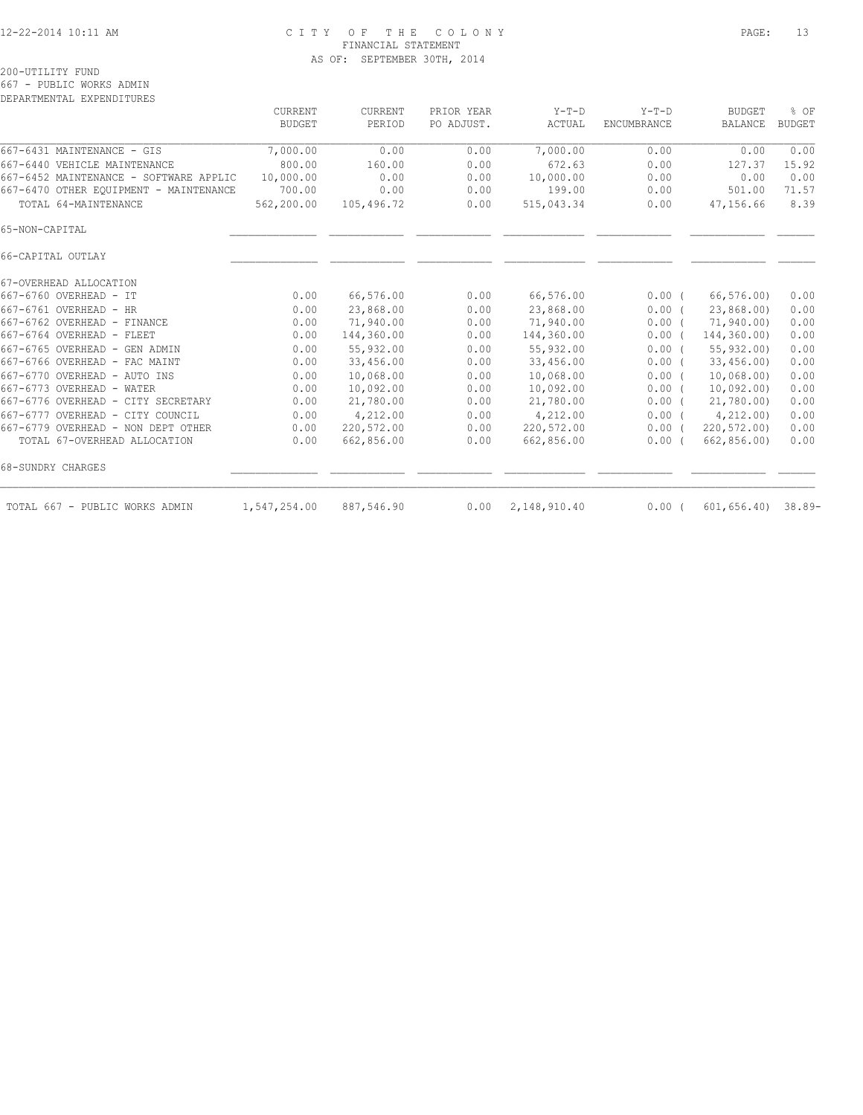### 12-22-2014 10:11 AM C I T Y O F T H E C O L O N Y PAGE: 13 FINANCIAL STATEMENT AS OF: SEPTEMBER 30TH, 2014

|                                        | <b>CURRENT</b> | CURRENT    | PRIOR YEAR | $Y-T-D$      | $Y-T-D$     | <b>BUDGET</b>           | % OF          |
|----------------------------------------|----------------|------------|------------|--------------|-------------|-------------------------|---------------|
|                                        | <b>BUDGET</b>  | PERIOD     | PO ADJUST. | ACTUAL       | ENCUMBRANCE | <b>BALANCE</b>          | <b>BUDGET</b> |
| 667-6431 MAINTENANCE - GIS             | 7,000.00       | 0.00       | 0.00       | 7,000.00     | 0.00        | 0.00                    | 0.00          |
| 667-6440 VEHICLE MAINTENANCE           | 800.00         | 160.00     | 0.00       | 672.63       | 0.00        | 127.37                  | 15.92         |
| 667-6452 MAINTENANCE - SOFTWARE APPLIC | 10,000.00      | 0.00       | 0.00       | 10,000.00    | 0.00        | 0.00                    | 0.00          |
| 667-6470 OTHER EQUIPMENT - MAINTENANCE | 700.00         | 0.00       | 0.00       | 199.00       | 0.00        | 501.00                  | 71.57         |
| TOTAL 64-MAINTENANCE                   | 562,200.00     | 105,496.72 | 0.00       | 515,043.34   | 0.00        | 47,156.66               | 8.39          |
| 65-NON-CAPITAL                         |                |            |            |              |             |                         |               |
| 66-CAPITAL OUTLAY                      |                |            |            |              |             |                         |               |
| 67-OVERHEAD ALLOCATION                 |                |            |            |              |             |                         |               |
| 667-6760 OVERHEAD - IT                 | 0.00           | 66,576.00  | 0.00       | 66,576.00    | 0.00(       | 66, 576.00              | 0.00          |
| 667-6761 OVERHEAD - HR                 | 0.00           | 23,868.00  | 0.00       | 23,868.00    | 0.00(       | 23,868.00)              | 0.00          |
| 667-6762 OVERHEAD - FINANCE            | 0.00           | 71,940.00  | 0.00       | 71,940.00    | 0.00(       | 71,940.00)              | 0.00          |
| 667-6764 OVERHEAD - FLEET              | 0.00           | 144,360.00 | 0.00       | 144,360.00   | $0.00$ (    | 144,360.00)             | 0.00          |
| 667-6765 OVERHEAD - GEN ADMIN          | 0.00           | 55,932.00  | 0.00       | 55,932.00    | 0.00(       | 55, 932, 00             | 0.00          |
| 667-6766 OVERHEAD - FAC MAINT          | 0.00           | 33,456.00  | 0.00       | 33,456.00    | $0.00$ (    | 33,456.00               | 0.00          |
| 667-6770 OVERHEAD - AUTO INS           | 0.00           | 10,068.00  | 0.00       | 10,068.00    | $0.00$ (    | 10,068,00)              | 0.00          |
| 667-6773 OVERHEAD - WATER              | 0.00           | 10,092.00  | 0.00       | 10,092.00    | 0.00(       | 10,092.00               | 0.00          |
| 667-6776 OVERHEAD - CITY SECRETARY     | 0.00           | 21,780.00  | 0.00       | 21,780.00    | $0.00$ (    | 21,780.00)              | 0.00          |
| 667-6777 OVERHEAD - CITY COUNCIL       | 0.00           | 4,212.00   | 0.00       | 4,212.00     | 0.00(       | 4,212.00                | 0.00          |
| 667-6779 OVERHEAD - NON DEPT OTHER     | 0.00           | 220,572.00 | 0.00       | 220,572.00   | $0.00$ (    | 220,572.00)             | 0.00          |
| TOTAL 67-OVERHEAD ALLOCATION           | 0.00           | 662,856.00 | 0.00       | 662,856.00   | $0.00$ (    | 662,856.00)             | 0.00          |
| 68-SUNDRY CHARGES                      |                |            |            |              |             |                         |               |
| TOTAL 667 - PUBLIC WORKS ADMIN         | 1,547,254.00   | 887,546.90 | 0.00       | 2,148,910.40 | $0.00$ (    | $601, 656.40$ $38.89 -$ |               |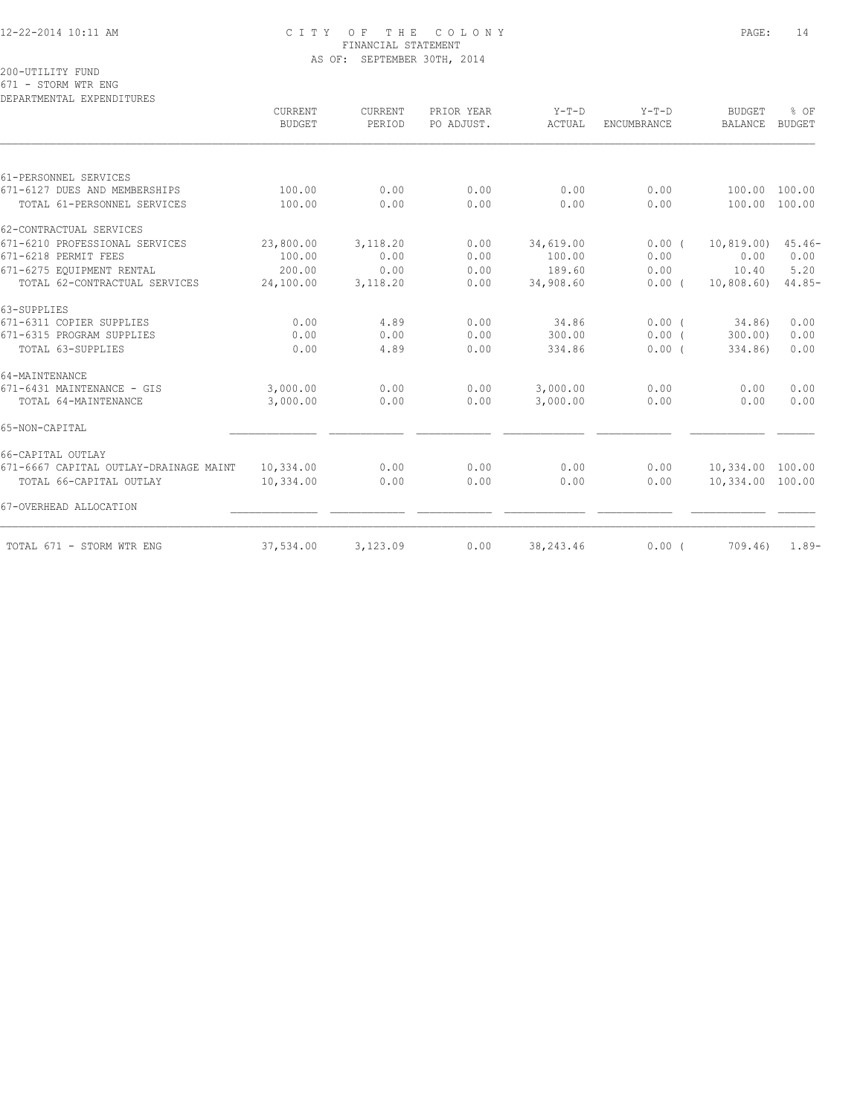### 12-22-2014 10:11 AM C I T Y O F T H E C O L O N Y PAGE: 14 FINANCIAL STATEMENT AS OF: SEPTEMBER 30TH, 2014

200-UTILITY FUND

671 - STORM WTR ENG DEPARTMENTAL EXPENDITURES

|                                        | CURRENT<br><b>BUDGET</b> | CURRENT<br>PERIOD | PRIOR YEAR<br>PO ADJUST. | $Y-T-D$<br>ACTUAL | $Y-T-D$<br><b>ENCUMBRANCE</b> | <b>BUDGET</b><br><b>BALANCE</b> | % OF<br><b>BUDGET</b> |
|----------------------------------------|--------------------------|-------------------|--------------------------|-------------------|-------------------------------|---------------------------------|-----------------------|
|                                        |                          |                   |                          |                   |                               |                                 |                       |
| 61-PERSONNEL SERVICES                  |                          |                   |                          |                   |                               |                                 |                       |
| 671-6127 DUES AND MEMBERSHIPS          | 100.00                   | 0.00              | 0.00                     | 0.00              | 0.00                          | 100.00                          | 100.00                |
| TOTAL 61-PERSONNEL SERVICES            | 100.00                   | 0.00              | 0.00                     | 0.00              | 0.00                          | 100.00                          | 100.00                |
| 62-CONTRACTUAL SERVICES                |                          |                   |                          |                   |                               |                                 |                       |
| 671-6210 PROFESSIONAL SERVICES         | 23,800.00                | 3,118.20          | 0.00                     | 34,619.00         | 0.00(                         | 10, 819, 00)                    | $45.46-$              |
| 671-6218 PERMIT FEES                   | 100.00                   | 0.00              | 0.00                     | 100.00            | 0.00                          | 0.00                            | 0.00                  |
| 671-6275 EQUIPMENT RENTAL              | 200.00                   | 0.00              | 0.00                     | 189.60            | 0.00                          | 10.40                           | 5.20                  |
| TOTAL 62-CONTRACTUAL SERVICES          | 24,100.00                | 3,118.20          | 0.00                     | 34,908.60         | $0.00$ (                      | 10,808.60                       | $44.85-$              |
| 63-SUPPLIES                            |                          |                   |                          |                   |                               |                                 |                       |
| 671-6311 COPIER SUPPLIES               | 0.00                     | 4.89              | 0.00                     | 34.86             | 0.00(                         | 34.86)                          | 0.00                  |
| 671-6315 PROGRAM SUPPLIES              | 0.00                     | 0.00              | 0.00                     | 300.00            | $0.00$ (                      | 300.00)                         | 0.00                  |
| TOTAL 63-SUPPLIES                      | 0.00                     | 4.89              | 0.00                     | 334.86            | $0.00$ (                      | 334.86)                         | 0.00                  |
| 64-MAINTENANCE                         |                          |                   |                          |                   |                               |                                 |                       |
| 671-6431 MAINTENANCE - GIS             | 3,000.00                 | 0.00              | 0.00                     | 3,000.00          | 0.00                          | 0.00                            | 0.00                  |
| TOTAL 64-MAINTENANCE                   | 3,000.00                 | 0.00              | 0.00                     | 3,000.00          | 0.00                          | 0.00                            | 0.00                  |
| 65-NON-CAPITAL                         |                          |                   |                          |                   |                               |                                 |                       |
| 66-CAPITAL OUTLAY                      |                          |                   |                          |                   |                               |                                 |                       |
| 671-6667 CAPITAL OUTLAY-DRAINAGE MAINT | 10,334.00                | 0.00              | 0.00                     | 0.00              | 0.00                          | 10,334.00 100.00                |                       |
| TOTAL 66-CAPITAL OUTLAY                | 10,334.00                | 0.00              | 0.00                     | 0.00              | 0.00                          | 10,334.00 100.00                |                       |
| 67-OVERHEAD ALLOCATION                 |                          |                   |                          |                   |                               |                                 |                       |
| TOTAL 671 - STORM WTR ENG              | 37,534.00                | 3,123.09          | 0.00                     | 38,243.46         | $0.00$ (                      | 709.46)                         | $1.89-$               |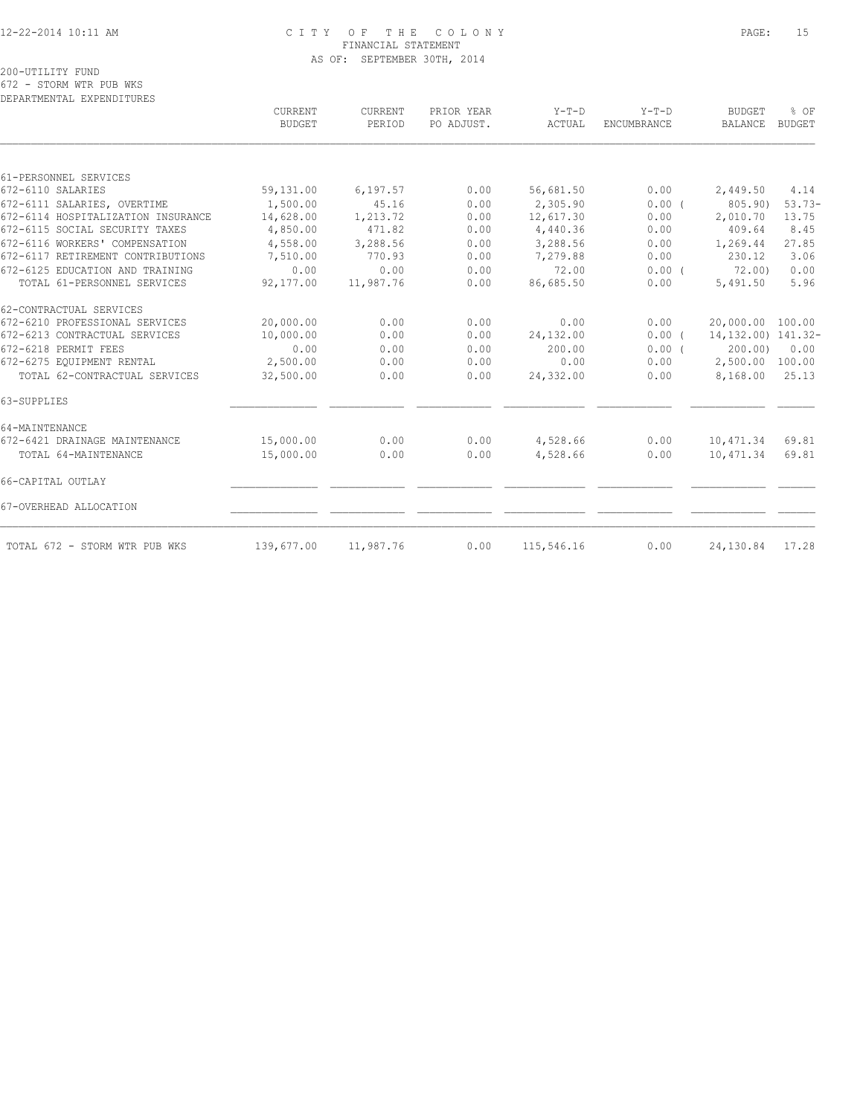### 12-22-2014 10:11 AM C I T Y O F T H E C O L O N Y PAGE: 15 FINANCIAL STATEMENT AS OF: SEPTEMBER 30TH, 2014

200-UTILITY FUND

672 - STORM WTR PUB WKS DEPARTMENTAL EXPENDITURES

|                                    | CURRENT<br><b>BUDGET</b> | CURRENT<br>PERIOD | PRIOR YEAR<br>PO ADJUST. | $Y-T-D$<br>ACTUAL | $Y-T-D$<br><b>ENCUMBRANCE</b> | <b>BUDGET</b><br>BALANCE | % OF<br><b>BUDGET</b> |
|------------------------------------|--------------------------|-------------------|--------------------------|-------------------|-------------------------------|--------------------------|-----------------------|
|                                    |                          |                   |                          |                   |                               |                          |                       |
| 61-PERSONNEL SERVICES              |                          |                   |                          |                   |                               |                          |                       |
| 672-6110 SALARIES                  | 59,131.00                | 6, 197.57         | 0.00                     | 56,681.50         | 0.00                          | 2,449.50                 | 4.14                  |
| 672-6111 SALARIES, OVERTIME        | 1,500.00                 | 45.16             | 0.00                     | 2,305.90          | 0.00(                         | 805.90)                  | $53.73-$              |
| 672-6114 HOSPITALIZATION INSURANCE | 14,628.00                | 1,213.72          | 0.00                     | 12,617.30         | 0.00                          | 2,010.70                 | 13.75                 |
| 672-6115 SOCIAL SECURITY TAXES     | 4,850.00                 | 471.82            | 0.00                     | 4,440.36          | 0.00                          | 409.64                   | 8.45                  |
| 672-6116 WORKERS' COMPENSATION     | 4,558.00                 | 3,288.56          | 0.00                     | 3,288.56          | 0.00                          | 1,269.44                 | 27.85                 |
| 672-6117 RETIREMENT CONTRIBUTIONS  | 7,510.00                 | 770.93            | 0.00                     | 7,279.88          | 0.00                          | 230.12                   | 3.06                  |
| 672-6125 EDUCATION AND TRAINING    | 0.00                     | 0.00              | 0.00                     | 72.00             | $0.00$ (                      | 72,00)                   | 0.00                  |
| TOTAL 61-PERSONNEL SERVICES        | 92,177.00                | 11,987.76         | 0.00                     | 86,685.50         | 0.00                          | 5,491.50                 | 5.96                  |
| 62-CONTRACTUAL SERVICES            |                          |                   |                          |                   |                               |                          |                       |
| 672-6210 PROFESSIONAL SERVICES     | 20,000.00                | 0.00              | 0.00                     | 0.00              | 0.00                          | 20,000.00 100.00         |                       |
| 672-6213 CONTRACTUAL SERVICES      | 10,000.00                | 0.00              | 0.00                     | 24,132.00         | 0.00(                         | 14, 132, 00) 141, 32-    |                       |
| 672-6218 PERMIT FEES               | 0.00                     | 0.00              | 0.00                     | 200.00            | 0.00(                         | 200.00                   | 0.00                  |
| 672-6275 EQUIPMENT RENTAL          | 2,500.00                 | 0.00              | 0.00                     | 0.00              | 0.00                          | 2,500.00                 | 100.00                |
| TOTAL 62-CONTRACTUAL SERVICES      | 32,500.00                | 0.00              | 0.00                     | 24,332.00         | 0.00                          | 8,168.00                 | 25.13                 |
| 63-SUPPLIES                        |                          |                   |                          |                   |                               |                          |                       |
| 64-MAINTENANCE                     |                          |                   |                          |                   |                               |                          |                       |
| 672-6421 DRAINAGE MAINTENANCE      | 15,000.00                | 0.00              | 0.00                     | 4,528.66          | 0.00                          | 10,471.34                | 69.81                 |
| TOTAL 64-MAINTENANCE               | 15,000.00                | 0.00              | 0.00                     | 4,528.66          | 0.00                          | 10,471.34                | 69.81                 |
| 66-CAPITAL OUTLAY                  |                          |                   |                          |                   |                               |                          |                       |
| 67-OVERHEAD ALLOCATION             |                          |                   |                          |                   |                               |                          |                       |
| TOTAL 672 - STORM WTR PUB WKS      | 139,677.00               | 11,987.76         | 0.00                     | 115,546.16        | 0.00                          | 24,130.84                | 17.28                 |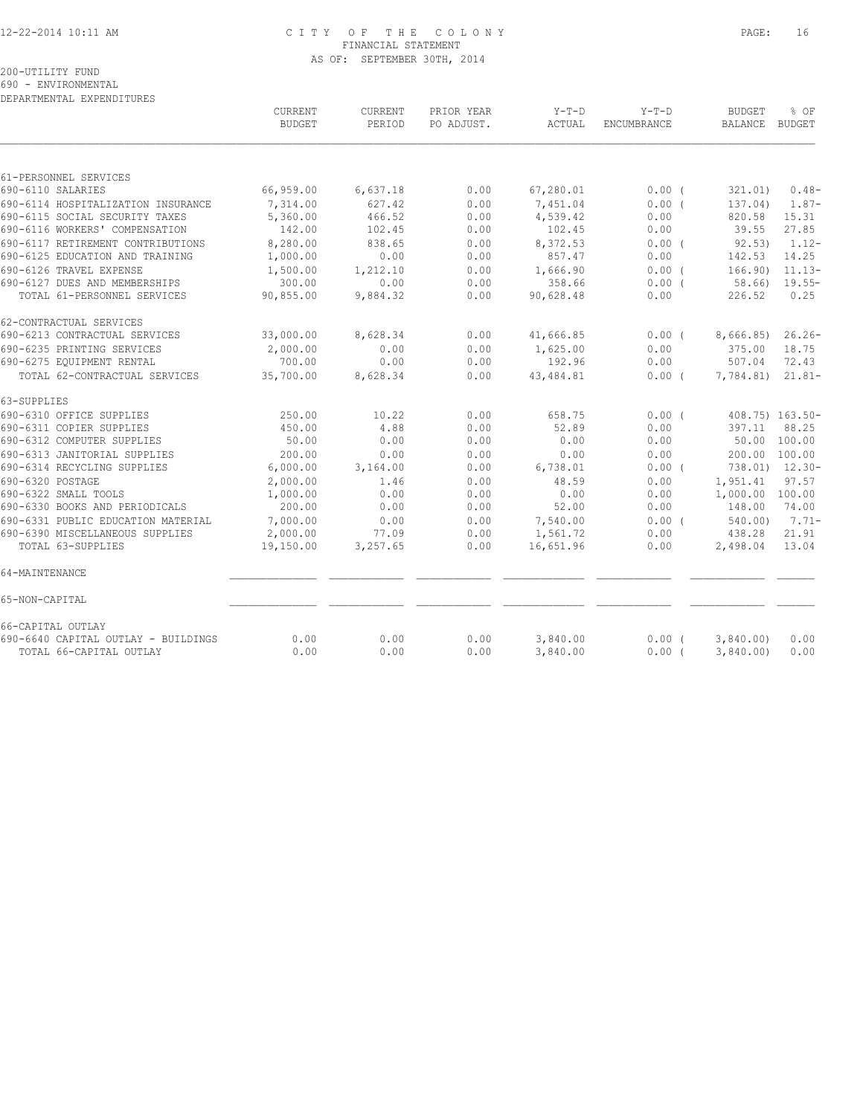### 12-22-2014 10:11 AM C I T Y O F T H E C O L O N Y PAGE: 16 FINANCIAL STATEMENT AS OF: SEPTEMBER 30TH, 2014

200-UTILITY FUND

690 - ENVIRONMENTAL DEPARTMENTAL EXPENDITURES

|                                     | CURRENT<br><b>BUDGET</b> | <b>CURRENT</b><br>PERIOD | PRIOR YEAR<br>PO ADJUST. | Y-T-D<br>ACTUAL | $Y-T-D$<br>ENCUMBRANCE | <b>BUDGET</b><br>BALANCE BUDGET | % OF           |
|-------------------------------------|--------------------------|--------------------------|--------------------------|-----------------|------------------------|---------------------------------|----------------|
|                                     |                          |                          |                          |                 |                        |                                 |                |
| 61-PERSONNEL SERVICES               |                          |                          |                          |                 |                        |                                 |                |
| 690-6110 SALARIES                   | 66,959.00                | 6,637.18                 | 0.00                     | 67,280.01       | $0.00$ (               | 321.01)                         | $0.48-$        |
| 690-6114 HOSPITALIZATION INSURANCE  | 7,314.00                 | 627.42                   | 0.00                     | 7,451.04        | 0.00(                  | 137.04)                         | $1.87-$        |
| 690-6115 SOCIAL SECURITY TAXES      | 5,360.00                 | 466.52                   | 0.00                     | 4,539.42        | 0.00                   | 820.58                          | 15.31          |
| 690-6116 WORKERS' COMPENSATION      | 142.00                   | 102.45                   | 0.00                     | 102.45          | 0.00                   | 39.55                           | 27.85          |
| 690-6117 RETIREMENT CONTRIBUTIONS   | 8,280.00                 | 838.65                   | 0.00                     | 8,372.53        | 0.00(                  | 92.53)                          | $1.12-$        |
| 690-6125 EDUCATION AND TRAINING     | 1,000.00                 | 0.00                     | 0.00                     | 857.47          | 0.00                   | 142.53                          | 14.25          |
| 690-6126 TRAVEL EXPENSE             | 1,500.00                 | 1,212.10                 | 0.00                     | 1,666.90        | 0.00(                  | 166.90)                         | $11.13-$       |
| 690-6127 DUES AND MEMBERSHIPS       | 300.00                   | 0.00                     | 0.00                     | 358.66          | $0.00$ (               | 58.66)                          | $19.55-$       |
| TOTAL 61-PERSONNEL SERVICES         | 90,855.00                | 9,884.32                 | 0.00                     | 90,628.48       | 0.00                   | 226.52                          | 0.25           |
| 62-CONTRACTUAL SERVICES             |                          |                          |                          |                 |                        |                                 |                |
| 690-6213 CONTRACTUAL SERVICES       | 33,000.00                | 8,628.34                 | 0.00                     | 41,666.85       | 0.00(                  | 8,666.85)                       | $26.26-$       |
| 690-6235 PRINTING SERVICES          | 2,000.00                 | 0.00                     | 0.00                     | 1,625.00        | 0.00                   | 375.00                          | 18.75          |
| 690-6275 EQUIPMENT RENTAL           | 700.00                   | 0.00                     | 0.00                     | 192.96          | 0.00                   | 507.04                          | 72.43          |
| TOTAL 62-CONTRACTUAL SERVICES       | 35,700.00                | 8,628.34                 | 0.00                     | 43, 484.81      | $0.00$ (               | 7,784.81)                       | $21.81 -$      |
| 63-SUPPLIES                         |                          |                          |                          |                 |                        |                                 |                |
| 690-6310 OFFICE SUPPLIES            | 250.00                   | 10.22                    | 0.00                     | 658.75          | $0.00$ $($             | 408.75) 163.50-                 |                |
| 690-6311 COPIER SUPPLIES            | 450.00                   | 4.88                     | 0.00                     | 52.89           | 0.00                   | 397.11                          | 88.25          |
| 690-6312 COMPUTER SUPPLIES          | 50.00                    | 0.00                     | 0.00                     | 0.00            | 0.00                   | 50.00 100.00                    |                |
| 690-6313 JANITORIAL SUPPLIES        | 200.00                   | 0.00                     | 0.00                     | 0.00            | 0.00                   | 200.00 100.00                   |                |
| 690-6314 RECYCLING SUPPLIES         | 6,000.00                 | 3,164.00                 | 0.00                     | 6,738.01        | $0.00$ (               |                                 | 738.01) 12.30- |
| 690-6320 POSTAGE                    | 2,000.00                 | 1.46                     | 0.00                     | 48.59           | 0.00                   | 1,951.41                        | 97.57          |
| 690-6322 SMALL TOOLS                | 1,000.00                 | 0.00                     | 0.00                     | 0.00            | 0.00                   | 1,000.00 100.00                 |                |
| 690-6330 BOOKS AND PERIODICALS      | 200.00                   | 0.00                     | 0.00                     | 52.00           | 0.00                   | 148.00                          | 74.00          |
| 690-6331 PUBLIC EDUCATION MATERIAL  | 7,000.00                 | 0.00                     | 0.00                     | 7,540.00        | 0.00(                  | 540.00)                         | $7.71-$        |
| 690-6390 MISCELLANEOUS SUPPLIES     | 2,000.00                 | 77.09                    | 0.00                     | 1,561.72        | 0.00                   | 438.28                          | 21.91          |
| TOTAL 63-SUPPLIES                   | 19,150.00                | 3,257.65                 | 0.00                     | 16,651.96       | 0.00                   | 2,498.04                        | 13.04          |
| 64-MAINTENANCE                      |                          |                          |                          |                 |                        |                                 |                |
| 65-NON-CAPITAL                      |                          |                          |                          |                 |                        |                                 |                |
| 66-CAPITAL OUTLAY                   |                          |                          |                          |                 |                        |                                 |                |
| 690-6640 CAPITAL OUTLAY - BUILDINGS | 0.00                     | 0.00                     | 0.00                     | 3,840.00        | $0.00$ (               | 3,840.00                        | 0.00           |
| TOTAL 66-CAPITAL OUTLAY             | 0.00                     | 0.00                     | 0.00                     | 3,840.00        | $0.00$ (               | 3,840.00                        | 0.00           |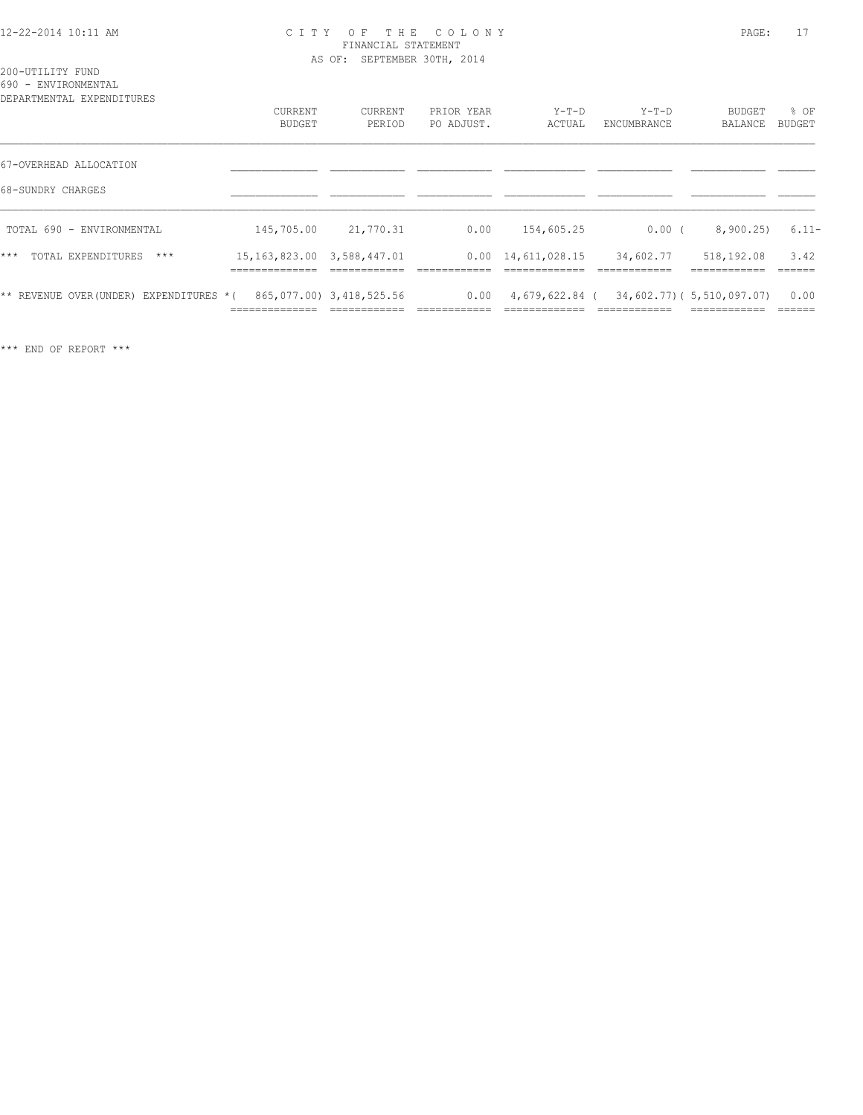### 12-22-2014 10:11 AM C I T Y O F T H E C O L O N Y PAGE: 17 FINANCIAL STATEMENT AS OF: SEPTEMBER 30TH, 2014

|  | 200-UTILITY FUND |                     |
|--|------------------|---------------------|
|  |                  | 690 - ENVIRONMENTAL |

| DEPARTMENTAL EXPENDITURES                   | CURRENT<br>BUDGET                                                    | CURRENT<br>PERIOD                        | PRIOR YEAR<br>PO ADJUST. | $Y-T-D$<br>ACTUAL                | $Y-T-D$<br>ENCUMBRANCE | BUDGET<br><b>BALANCE</b>                  | % OF<br>BUDGET  |
|---------------------------------------------|----------------------------------------------------------------------|------------------------------------------|--------------------------|----------------------------------|------------------------|-------------------------------------------|-----------------|
| 67-OVERHEAD ALLOCATION<br>68-SUNDRY CHARGES |                                                                      |                                          |                          |                                  |                        |                                           |                 |
| TOTAL 690 - ENVIRONMENTAL                   | 145,705.00                                                           | 21,770.31                                | 0.00                     | 154,605.25                       | 0.00(                  | 8,900.25                                  | $6.11-$         |
| $***$<br>TOTAL EXPENDITURES<br>$***$        | 15, 163, 823.00 3, 588, 447.01<br>--------------<br>________________ |                                          |                          | $0.00 \quad 14,611,028.15$       | 34,602.77              | 518,192.08                                | 3.42            |
| ** REVENUE OVER(UNDER) EXPENDITURES *(      | ______________                                                       | 865,077.00) 3,418,525.56<br>____________ | 0.00<br>--------------   | 4,679,622.84 (<br>-------------- | ____________           | 34,602.77) (5,510,097.07)<br>____________ | 0.00<br>------- |

\*\*\* END OF REPORT \*\*\*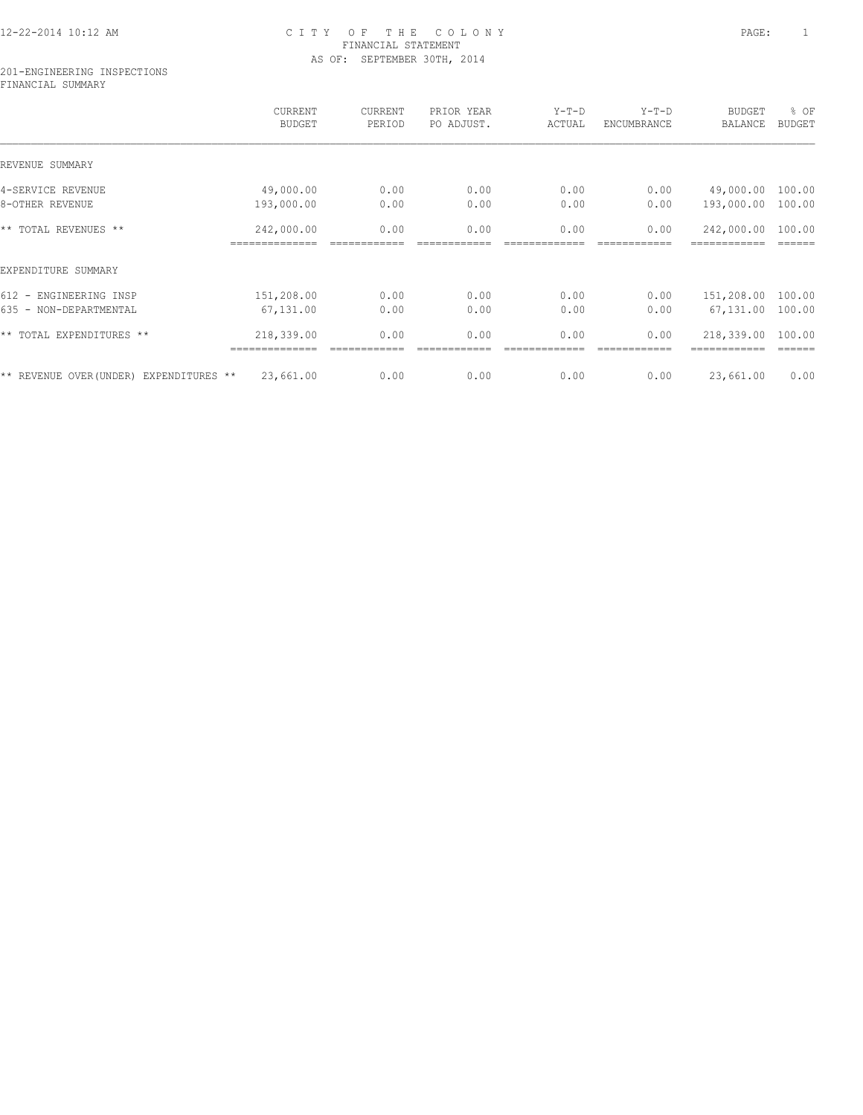## 12-22-2014 10:12 AM C I T Y O F T H E C O L O N Y PAGE: 1 FINANCIAL STATEMENT AS OF: SEPTEMBER 30TH, 2014

#### 201-ENGINEERING INSPECTIONS FINANCIAL SUMMARY

|                                         | CURRENT<br><b>BUDGET</b>     | CURRENT<br>PERIOD | PRIOR YEAR<br>PO ADJUST. | $Y-T-D$<br>ACTUAL | $Y-T-D$<br>ENCUMBRANCE | <b>BUDGET</b><br>BALANCE | % OF<br><b>BUDGET</b> |
|-----------------------------------------|------------------------------|-------------------|--------------------------|-------------------|------------------------|--------------------------|-----------------------|
| REVENUE SUMMARY                         |                              |                   |                          |                   |                        |                          |                       |
| 4-SERVICE REVENUE                       | 49,000.00                    | 0.00              | 0.00                     | 0.00              | 0.00                   | 49,000.00                | 100.00                |
| 8-OTHER REVENUE                         | 193,000.00                   | 0.00              | 0.00                     | 0.00              | 0.00                   | 193,000.00               | 100.00                |
| ** TOTAL REVENUES **                    | 242,000.00<br>============== | 0.00              | 0.00                     | 0.00              | 0.00                   | 242,000.00               | 100.00                |
| EXPENDITURE SUMMARY                     |                              |                   |                          |                   |                        |                          |                       |
| 612 - ENGINEERING INSP                  | 151,208.00                   | 0.00              | 0.00                     | 0.00              | 0.00                   | 151,208.00               | 100.00                |
| 635 - NON-DEPARTMENTAL                  | 67,131.00                    | 0.00              | 0.00                     | 0.00              | 0.00                   | 67,131.00                | 100.00                |
| ** TOTAL EXPENDITURES **                | 218,339.00<br>===========    | 0.00              | 0.00                     | 0.00              | 0.00                   | 218,339.00               | 100.00                |
| ** REVENUE OVER (UNDER) EXPENDITURES ** | 23,661.00                    | 0.00              | 0.00                     | 0.00              | 0.00                   | 23,661.00                | 0.00                  |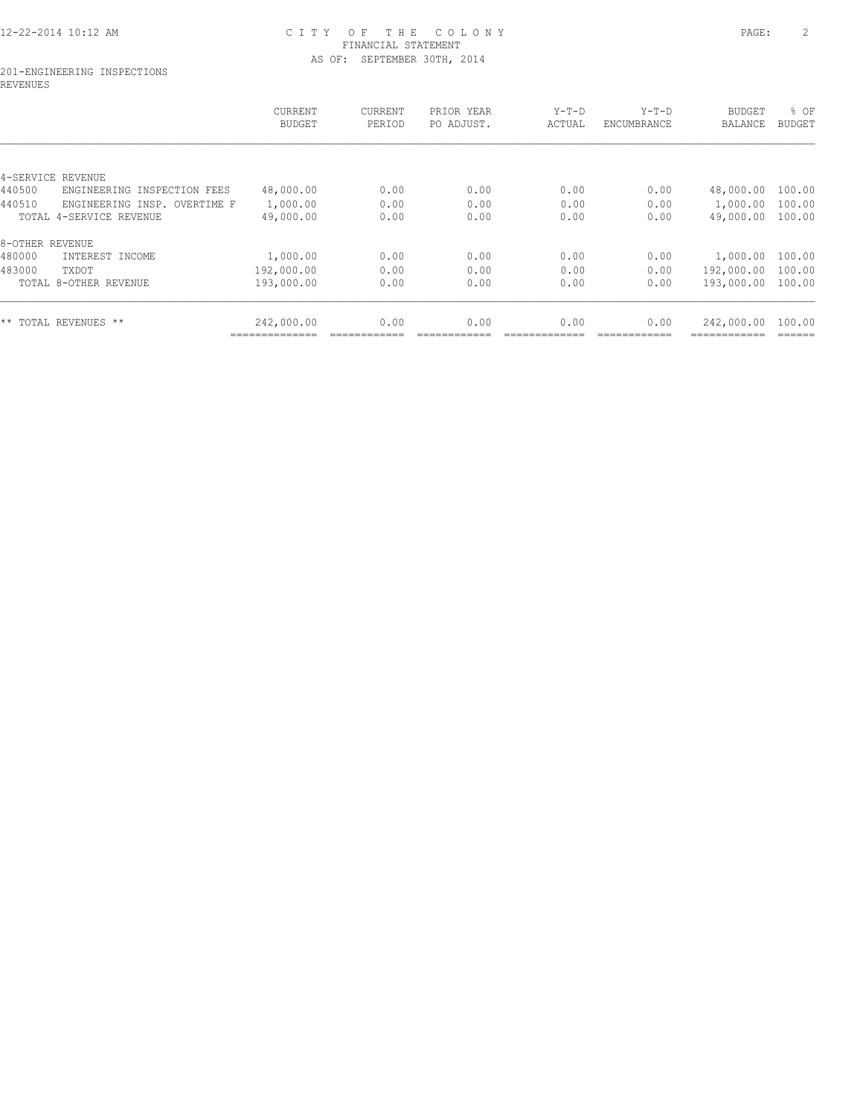## 12-22-2014 10:12 AM C I T Y O F T H E C O L O N Y PAGE: 2 FINANCIAL STATEMENT AS OF: SEPTEMBER 30TH, 2014

#### 201-ENGINEERING INSPECTIONS REVENUES

|                                          | CURRENT<br><b>BUDGET</b> | CURRENT<br>PERIOD | PRIOR YEAR<br>PO ADJUST. | $Y-T-D$<br>ACTUAL | $Y-T-D$<br>ENCUMBRANCE | <b>BUDGET</b><br><b>BALANCE</b> | % OF<br><b>BUDGET</b> |
|------------------------------------------|--------------------------|-------------------|--------------------------|-------------------|------------------------|---------------------------------|-----------------------|
|                                          |                          |                   |                          |                   |                        |                                 |                       |
| 4-SERVICE<br>REVENUE                     |                          |                   |                          |                   |                        |                                 |                       |
| 440500<br>ENGINEERING<br>INSPECTION FEES | 48,000.00                | 0.00              | 0.00                     | 0.00              | 0.00                   | 48,000.00                       | 100.00                |
| 440510<br>ENGINEERING INSP. OVERTIME F   | 1,000.00                 | 0.00              | 0.00                     | 0.00              | 0.00                   | 1,000.00                        | 100.00                |
| TOTAL 4-SERVICE REVENUE                  | 49,000.00                | 0.00              | 0.00                     | 0.00              | 0.00                   | 49,000.00                       | 100.00                |
| 8-OTHER REVENUE                          |                          |                   |                          |                   |                        |                                 |                       |
| 480000<br>INTEREST INCOME                | 1,000.00                 | 0.00              | 0.00                     | 0.00              | 0.00                   | 1,000.00                        | 100.00                |
| 483000<br>TXDOT                          | 192,000.00               | 0.00              | 0.00                     | 0.00              | 0.00                   | 192,000.00                      | 100.00                |
| TOTAL 8-OTHER REVENUE                    | 193,000.00               | 0.00              | 0.00                     | 0.00              | 0.00                   | 193,000.00                      | 100.00                |
| ** TOTAL REVENUES **                     | 242,000.00               | 0.00              | 0.00                     | 0.00              | 0.00                   | 242,000.00                      | 100.00                |
|                                          |                          |                   |                          |                   |                        |                                 |                       |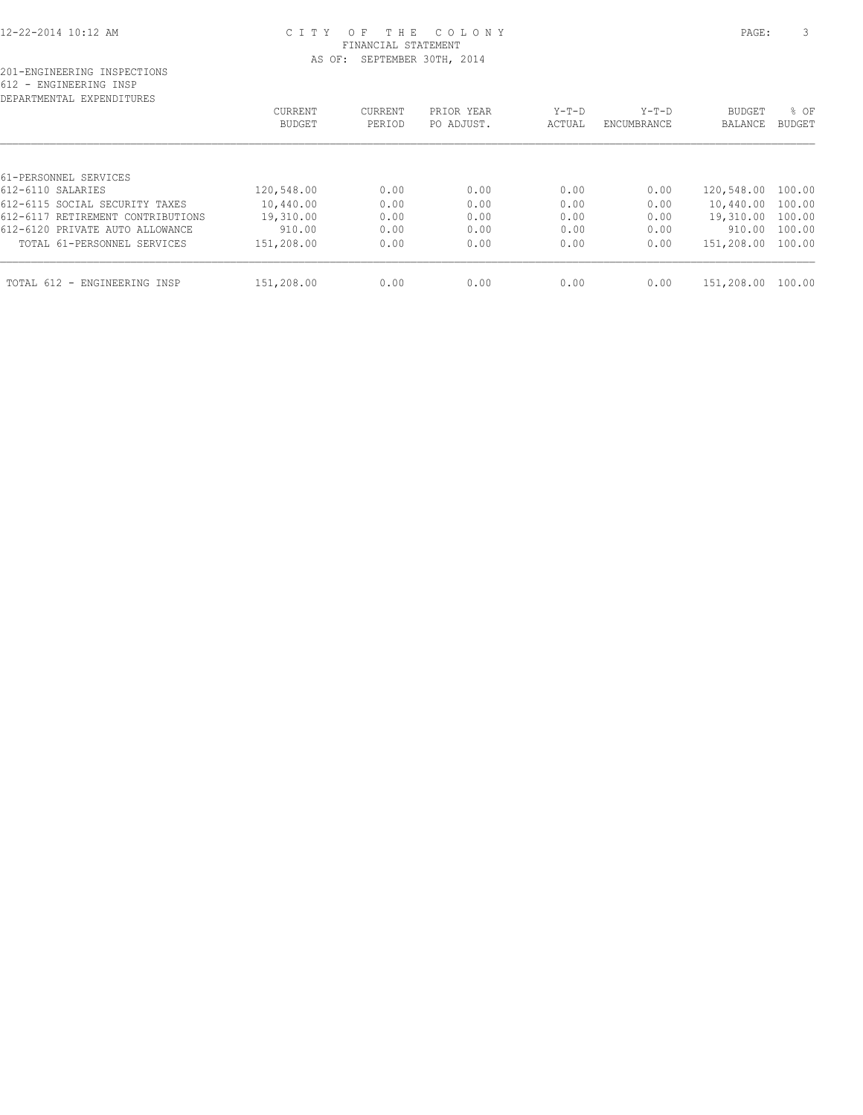### 12-22-2014 10:12 AM C I T Y O F T H E C O L O N Y PAGE: 3 FINANCIAL STATEMENT AS OF: SEPTEMBER 30TH, 2014

| DEPARTMENTAL EXPENDITURES         |            |         |            |         |             |                   |               |
|-----------------------------------|------------|---------|------------|---------|-------------|-------------------|---------------|
|                                   | CURRENT    | CURRENT | PRIOR YEAR | $Y-T-D$ | $Y-T-D$     | <b>BUDGET</b>     | % OF          |
|                                   | BUDGET     | PERIOD  | PO ADJUST. | ACTUAL  | ENCUMBRANCE | BALANCE           | <b>BUDGET</b> |
|                                   |            |         |            |         |             |                   |               |
| 61-PERSONNEL SERVICES             |            |         |            |         |             |                   |               |
| 612-6110 SALARIES                 | 120,548.00 | 0.00    | 0.00       | 0.00    | 0.00        | 120,548.00        | 100.00        |
| 612-6115 SOCIAL SECURITY TAXES    | 10,440.00  | 0.00    | 0.00       | 0.00    | 0.00        | 10,440.00         | 100.00        |
| 612-6117 RETIREMENT CONTRIBUTIONS | 19,310.00  | 0.00    | 0.00       | 0.00    | 0.00        | 19,310.00         | 100.00        |
| 612-6120 PRIVATE AUTO ALLOWANCE   | 910.00     | 0.00    | 0.00       | 0.00    | 0.00        | 910.00            | 100.00        |
| TOTAL 61-PERSONNEL SERVICES       | 151,208.00 | 0.00    | 0.00       | 0.00    | 0.00        | 151,208.00 100.00 |               |
| TOTAL 612 - ENGINEERING INSP      | 151,208.00 | 0.00    | 0.00       | 0.00    | 0.00        | 151,208.00        | 100.00        |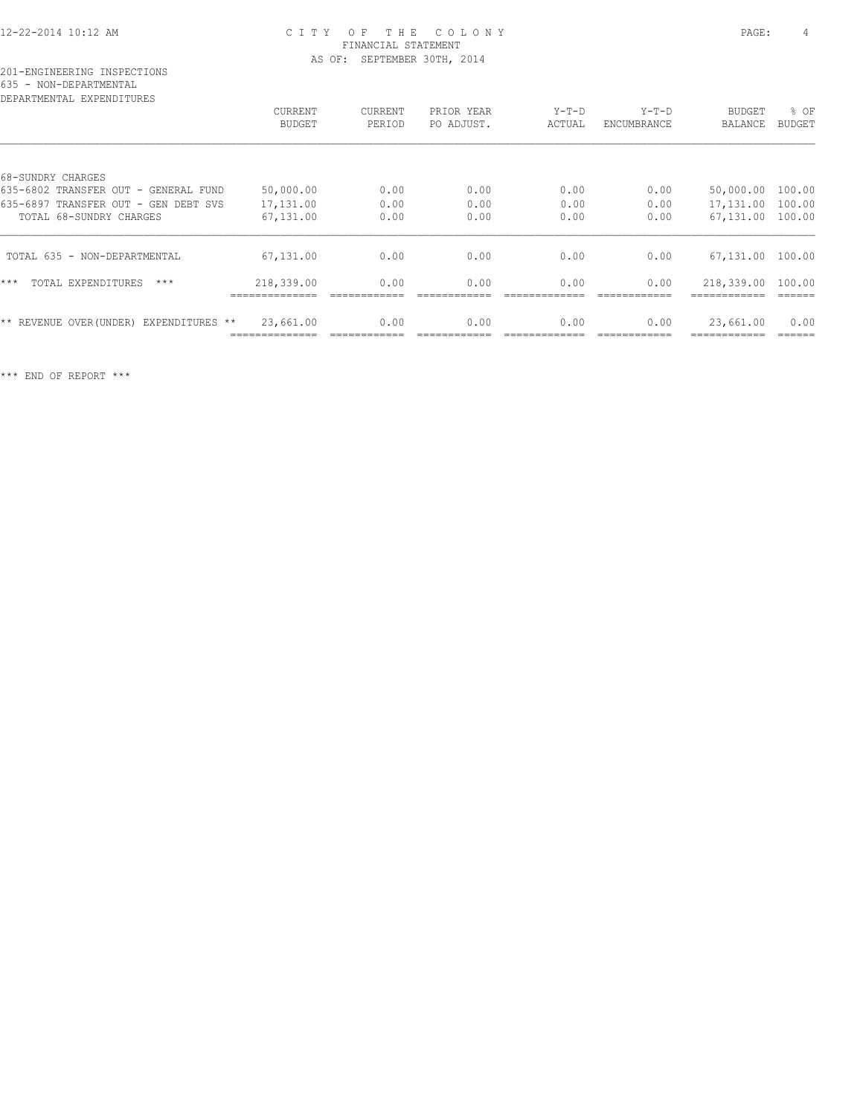### 12-22-2014 10:12 AM C I T Y O F T H E C O L O N Y PAGE: 4 FINANCIAL STATEMENT AS OF: SEPTEMBER 30TH, 2014

# 201-ENGINEERING INSPECTIONS 635 - NON-DEPARTMENTAL

| DEPARTMENTAL EXPENDITURES                  |                |         |            |         |             |                |               |
|--------------------------------------------|----------------|---------|------------|---------|-------------|----------------|---------------|
|                                            | <b>CURRENT</b> | CURRENT | PRIOR YEAR | $Y-T-D$ | $Y-T-D$     | <b>BUDGET</b>  | % OF          |
|                                            | <b>BUDGET</b>  | PERIOD  | PO ADJUST. | ACTUAL  | ENCUMBRANCE | <b>BALANCE</b> | <b>BUDGET</b> |
|                                            |                |         |            |         |             |                |               |
| 68-SUNDRY CHARGES                          |                |         |            |         |             |                |               |
| 635-6802 TRANSFER OUT - GENERAL FUND       | 50,000.00      | 0.00    | 0.00       | 0.00    | 0.00        | 50,000.00      | 100.00        |
| 635-6897 TRANSFER OUT - GEN DEBT SVS       | 17,131.00      | 0.00    | 0.00       | 0.00    | 0.00        | 17,131.00      | 100.00        |
| TOTAL 68-SUNDRY CHARGES                    | 67,131.00      | 0.00    | 0.00       | 0.00    | 0.00        | 67,131.00      | 100.00        |
| TOTAL 635 - NON-DEPARTMENTAL               | 67,131.00      | 0.00    | 0.00       | 0.00    | 0.00        | 67,131.00      | 100.00        |
| $***$<br>TOTAL EXPENDITURES<br>$***$       | 218,339.00     | 0.00    | 0.00       | 0.00    | 0.00        | 218,339.00     | 100.00        |
| ** REVENUE OVER (UNDER)<br>EXPENDITURES ** | 23,661.00      | 0.00    | 0.00       | 0.00    | 0.00        | 23,661.00      | 0.00          |
|                                            |                |         |            |         |             |                |               |

\*\*\* END OF REPORT \*\*\*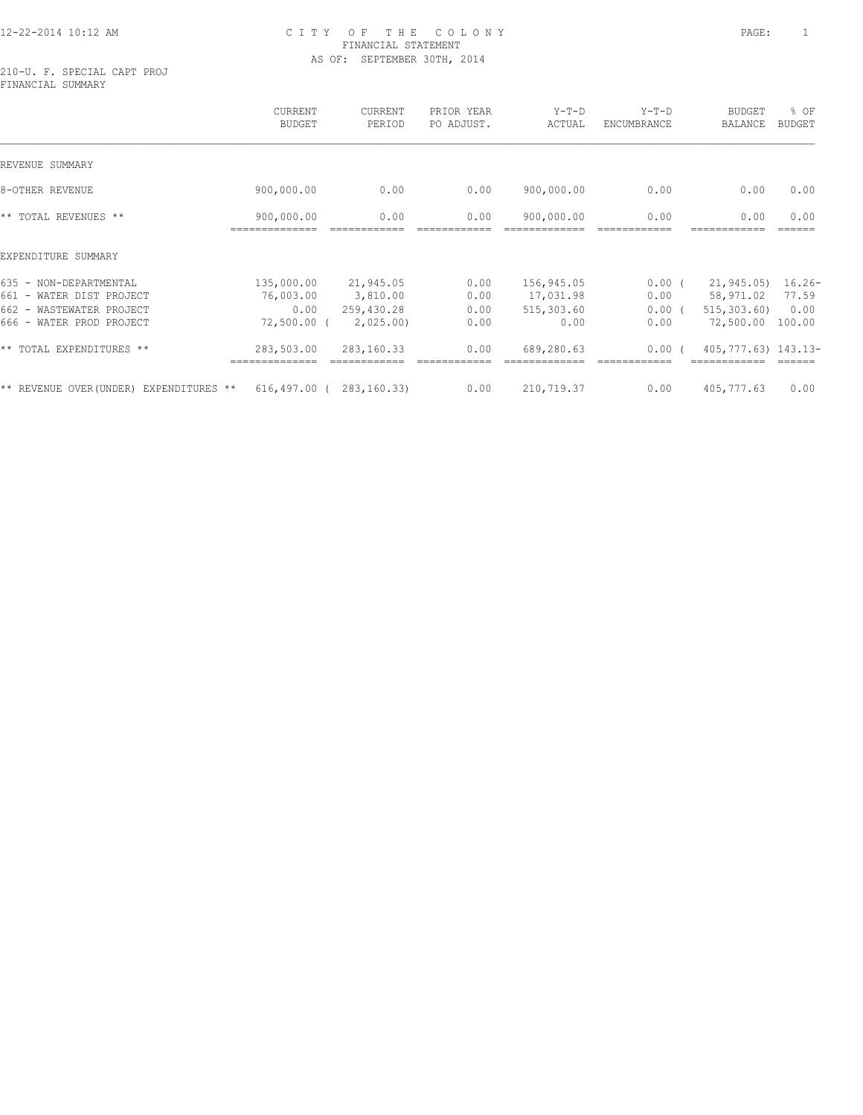### 12-22-2014 10:12 AM C I T Y O F T H E C O L O N Y PAGE: 1 FINANCIAL STATEMENT AS OF: SEPTEMBER 30TH, 2014

210-U. F. SPECIAL CAPT PROJ FINANCIAL SUMMARY

|                                                                                                                      | CURRENT<br><b>BUDGET</b>                         | CURRENT<br>PERIOD                               | PRIOR YEAR<br>PO ADJUST.     | $Y-T-D$<br>ACTUAL                             | $Y-T-D$<br>ENCUMBRANCE               | <b>BUDGET</b><br>BALANCE                              | % OF<br><b>BUDGET</b>               |
|----------------------------------------------------------------------------------------------------------------------|--------------------------------------------------|-------------------------------------------------|------------------------------|-----------------------------------------------|--------------------------------------|-------------------------------------------------------|-------------------------------------|
| REVENUE SUMMARY                                                                                                      |                                                  |                                                 |                              |                                               |                                      |                                                       |                                     |
| 8-OTHER REVENUE                                                                                                      | 900,000.00                                       | 0.00                                            | 0.00                         | 900,000.00                                    | 0.00                                 | 0.00                                                  | 0.00                                |
| ** TOTAL REVENUES **                                                                                                 | 900,000.00                                       | 0.00                                            | 0.00                         | 900,000.00                                    | 0.00                                 | 0.00                                                  | 0.00                                |
| EXPENDITURE SUMMARY                                                                                                  |                                                  |                                                 |                              |                                               |                                      |                                                       |                                     |
| 635 - NON-DEPARTMENTAL<br>661 - WATER DIST PROJECT<br>$662 -$<br>WASTEWATER PROJECT<br>WATER PROD PROJECT<br>$666 -$ | 135,000.00<br>76,003.00<br>0.00<br>$72,500.00$ ( | 21,945.05<br>3,810.00<br>259,430.28<br>2,025.00 | 0.00<br>0.00<br>0.00<br>0.00 | 156,945.05<br>17,031.98<br>515,303.60<br>0.00 | $0.00$ (<br>0.00<br>$0.00$ (<br>0.00 | 21,945.05)<br>58,971.02<br>515, 303, 60)<br>72,500.00 | $16.26-$<br>77.59<br>0.00<br>100.00 |
| ** TOTAL EXPENDITURES **                                                                                             | 283,503.00                                       | 283,160.33                                      | 0.00                         | 689,280.63                                    | 0.00(                                | 405, 777.63) 143.13-                                  |                                     |
| ** REVENUE OVER (UNDER)<br>EXPENDITURES **                                                                           |                                                  | $616, 497.00$ ( 283, 160.33)                    | 0.00                         | 210,719.37                                    | 0.00                                 | 405,777.63                                            | 0.00                                |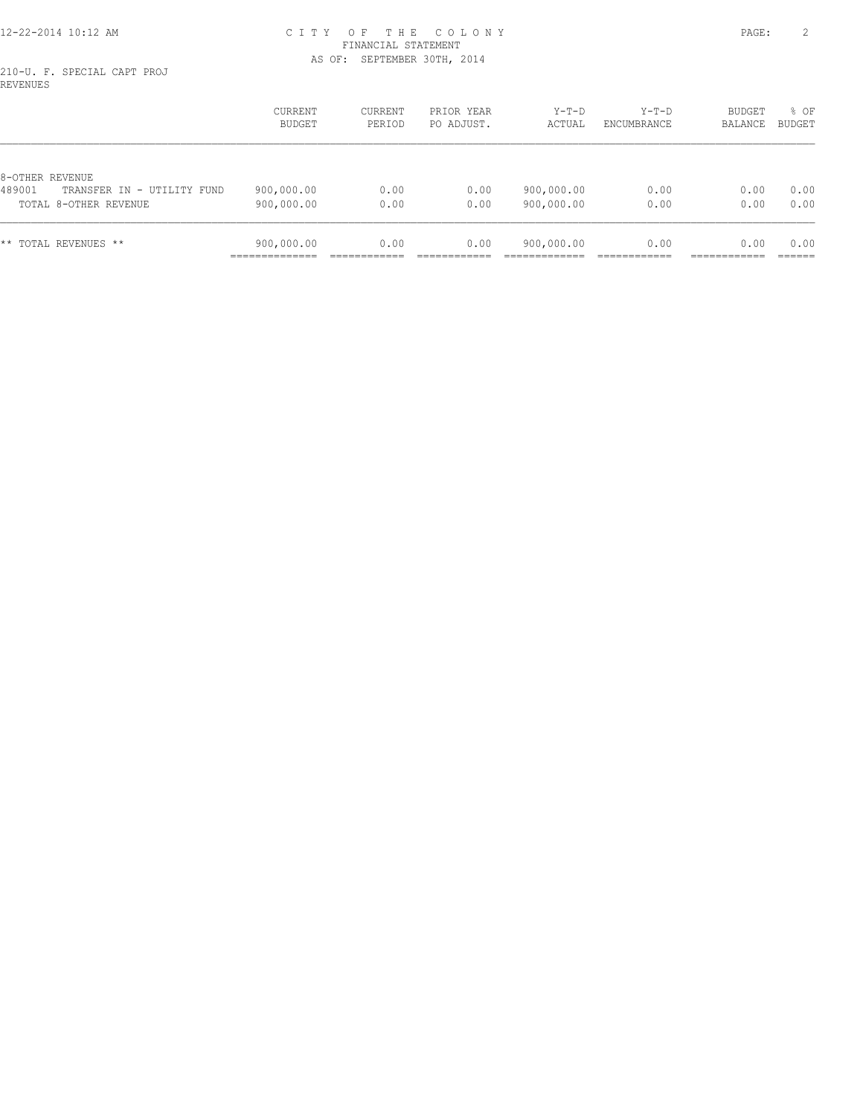### 12-22-2014 10:12 AM C I T Y O F T H E C O L O N Y PAGE: 2 FINANCIAL STATEMENT AS OF: SEPTEMBER 30TH, 2014

210-U. F. SPECIAL CAPT PROJ REVENUES

|                                      | <b>CURRENT</b><br>BUDGET | CURRENT<br>PERIOD | PRIOR YEAR<br>PO ADJUST. | $Y-T-D$<br>ACTUAL | $Y-T-D$<br>ENCUMBRANCE | BUDGET<br><b>BALANCE</b> | % OF<br><b>BUDGET</b> |
|--------------------------------------|--------------------------|-------------------|--------------------------|-------------------|------------------------|--------------------------|-----------------------|
| 8-OTHER REVENUE                      |                          |                   |                          |                   |                        |                          |                       |
| 489001<br>TRANSFER IN - UTILITY FUND | 900,000.00               | 0.00              | 0.00                     | 900,000.00        | 0.00                   | 0.00                     | 0.00                  |
| TOTAL 8-OTHER REVENUE                | 900,000.00               | 0.00              | 0.00                     | 900,000.00        | 0.00                   | 0.00                     | 0.00                  |
| TOTAL REVENUES **<br>* *             | 900,000.00               | 0.00              | 0.00                     | 900,000.00        | 0.00                   | 0.00                     | 0.00                  |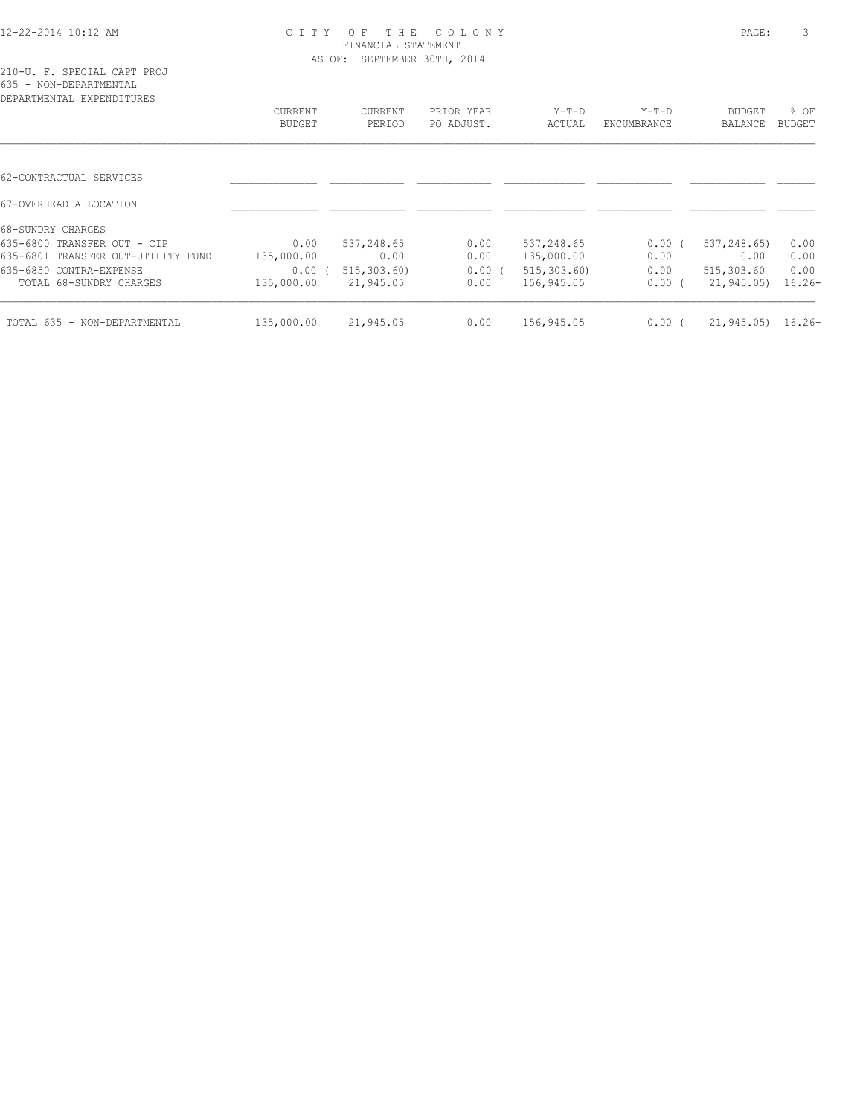### 12-22-2014 10:12 AM C I T Y O F T H E C O L O N Y PAGE: 3 FINANCIAL STATEMENT AS OF: SEPTEMBER 30TH, 2014

| 210-U. F. SPECIAL CAPT PROJ  |  |  |  |
|------------------------------|--|--|--|
| 635 - NON-DEPARTMENTAL       |  |  |  |
| מתחזה דתות המעת הגהוות המתחת |  |  |  |

| CURRENT<br><b>BUDGET</b> | CURRENT<br>PERIOD | PRIOR YEAR<br>PO ADJUST. | $Y-T-D$<br>ACTUAL | $Y-T-D$<br>ENCUMBRANCE | BUDGET<br><b>BALANCE</b> | $8$ OF<br>BUDGET |
|--------------------------|-------------------|--------------------------|-------------------|------------------------|--------------------------|------------------|
|                          |                   |                          |                   |                        |                          |                  |
|                          |                   |                          |                   |                        |                          |                  |
|                          |                   |                          |                   |                        |                          |                  |
|                          |                   |                          |                   |                        |                          |                  |
| 0.00                     | 537,248.65        | 0.00                     | 537,248.65        | 0.00(                  | 537,248.65)              | 0.00             |
| 135,000.00               | 0.00              | 0.00                     | 135,000.00        | 0.00                   | 0.00                     | 0.00             |
| $0.00$ (                 | 515, 303, 60)     | 0.00(                    | 515, 303, 60      | 0.00                   | 515,303.60               | 0.00             |
| 135,000.00               | 21,945.05         | 0.00                     | 156,945.05        | 0.00(                  | 21,945.05)               | $16.26-$         |
| 135,000.00               | 21,945.05         | 0.00                     | 156,945.05        | $0.00$ (               | 21, 945.05               | $16.26-$         |
|                          |                   |                          |                   |                        |                          |                  |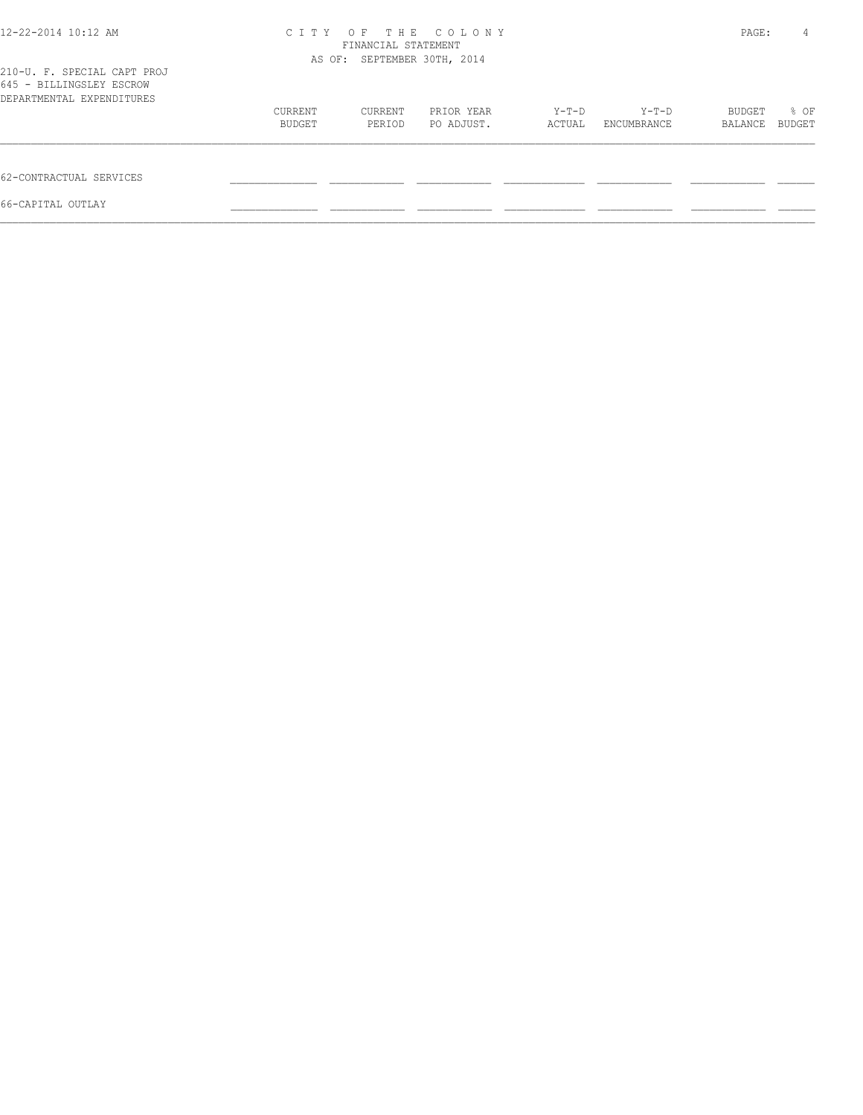| 12-22-2014 10:12 AM                                                                  | C T T Y | OF.<br>FINANCIAL STATEMENT<br>AS OF: SEPTEMBER 30TH, 2014 | THE COLONY |        |             | PAGE:   | 4      |
|--------------------------------------------------------------------------------------|---------|-----------------------------------------------------------|------------|--------|-------------|---------|--------|
| 210-U. F. SPECIAL CAPT PROJ<br>645 - BILLINGSLEY ESCROW<br>DEPARTMENTAL EXPENDITURES |         |                                                           |            |        |             |         |        |
|                                                                                      | CURRENT | CURRENT                                                   | PRIOR YEAR | Y-T-D  | Y-T-D       | BUDGET  | % OF   |
|                                                                                      | BUDGET  | PERIOD                                                    | PO ADJUST. | ACTUAL | ENCUMBRANCE | BALANCE | BUDGET |
| 62-CONTRACTUAL SERVICES                                                              |         |                                                           |            |        |             |         |        |
| 66-CAPITAL OUTLAY                                                                    |         |                                                           |            |        |             |         |        |
|                                                                                      |         |                                                           |            |        |             |         |        |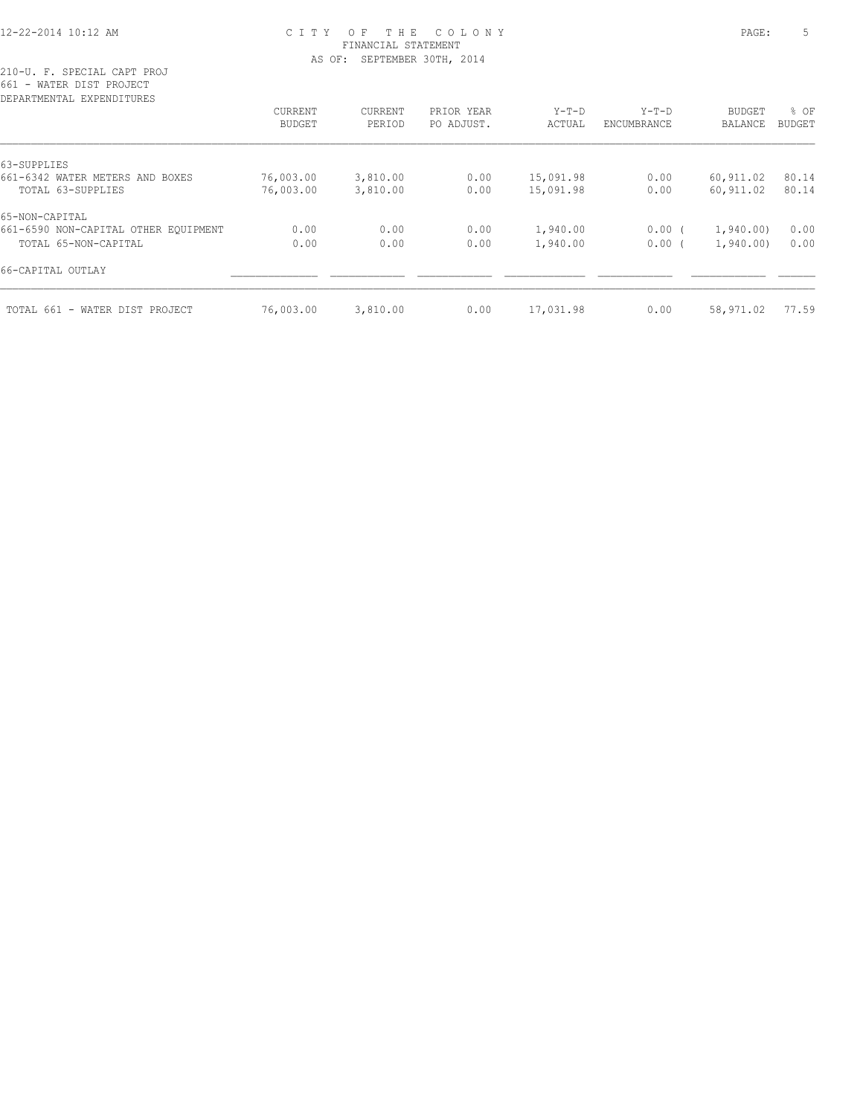### 12-22-2014 10:12 AM C I T Y O F T H E C O L O N Y PAGE: 5 FINANCIAL STATEMENT AS OF: SEPTEMBER 30TH, 2014

210-U. F. SPECIAL CAPT PROJ 661 - WATER DIST PROJECT

| DEPARTMENTAL EXPENDITURES            |           |                |            |           |             |                |               |
|--------------------------------------|-----------|----------------|------------|-----------|-------------|----------------|---------------|
|                                      | CURRENT   | <b>CURRENT</b> | PRIOR YEAR | $Y-T-D$   | $Y-T-D$     | <b>BUDGET</b>  | % OF          |
|                                      | BUDGET    | PERIOD         | PO ADJUST. | ACTUAL    | ENCUMBRANCE | <b>BALANCE</b> | <b>BUDGET</b> |
| 63-SUPPLIES                          |           |                |            |           |             |                |               |
| 661-6342 WATER METERS AND BOXES      | 76,003.00 | 3,810.00       | 0.00       | 15,091.98 | 0.00        | 60,911.02      | 80.14         |
| TOTAL 63-SUPPLIES                    | 76,003.00 | 3,810.00       | 0.00       | 15,091.98 | 0.00        | 60,911.02      | 80.14         |
| 65-NON-CAPITAL                       |           |                |            |           |             |                |               |
| 661-6590 NON-CAPITAL OTHER EQUIPMENT | 0.00      | 0.00           | 0.00       | 1,940.00  | 0.00(       | 1,940.00)      | 0.00          |
| TOTAL 65-NON-CAPITAL                 | 0.00      | 0.00           | 0.00       | 1,940.00  | 0.00(       | 1,940.00       | 0.00          |
| 66-CAPITAL OUTLAY                    |           |                |            |           |             |                |               |
| TOTAL 661 - WATER DIST PROJECT       | 76,003.00 | 3,810.00       | 0.00       | 17,031.98 | 0.00        | 58,971.02      | 77.59         |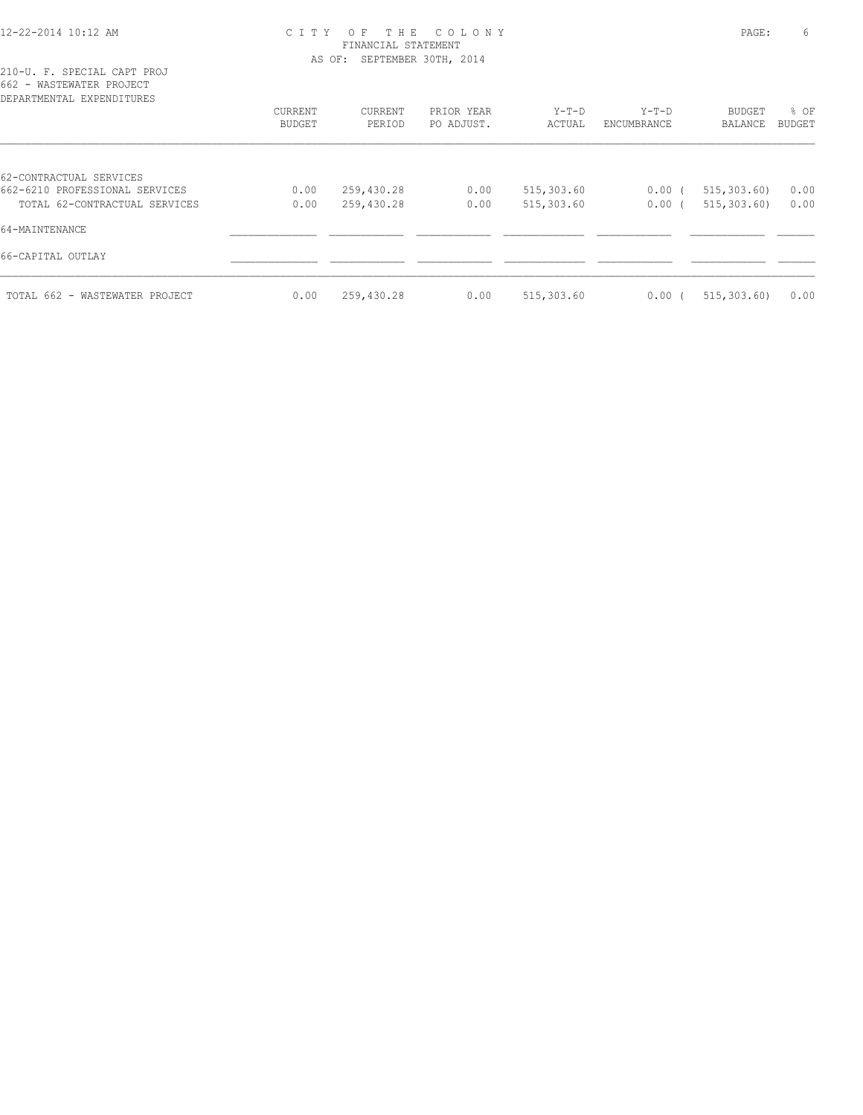### 12-22-2014 10:12 AM C I T Y O F T H E C O L O N Y PAGE: 6 FINANCIAL STATEMENT AS OF: SEPTEMBER 30TH, 2014

| DEPARTMENTAL EXPENDITURES      | CURRENT<br>BUDGET | CURRENT<br>PERIOD | PRIOR YEAR<br>PO ADJUST. | $Y-T-D$<br>ACTUAL | $Y-T-D$<br>ENCUMBRANCE | <b>BUDGET</b><br>BALANCE | % OF<br><b>BUDGET</b> |
|--------------------------------|-------------------|-------------------|--------------------------|-------------------|------------------------|--------------------------|-----------------------|
|                                |                   |                   |                          |                   |                        |                          |                       |
| 62-CONTRACTUAL SERVICES        |                   |                   |                          |                   |                        |                          |                       |
| 662-6210 PROFESSIONAL SERVICES | 0.00              | 259,430.28        | 0.00                     | 515,303.60        | 0.00(                  | 515, 303.60              | 0.00                  |
| TOTAL 62-CONTRACTUAL SERVICES  | 0.00              | 259,430.28        | 0.00                     | 515,303.60        | 0.00(                  | 515, 303, 60)            | 0.00                  |
| 64-MAINTENANCE                 |                   |                   |                          |                   |                        |                          |                       |
| 66-CAPITAL OUTLAY              |                   |                   |                          |                   |                        |                          |                       |
| TOTAL 662 - WASTEWATER PROJECT | 0.00              | 259,430.28        | 0.00                     | 515,303.60        | 0.00(                  | 515, 303, 60)            | 0.00                  |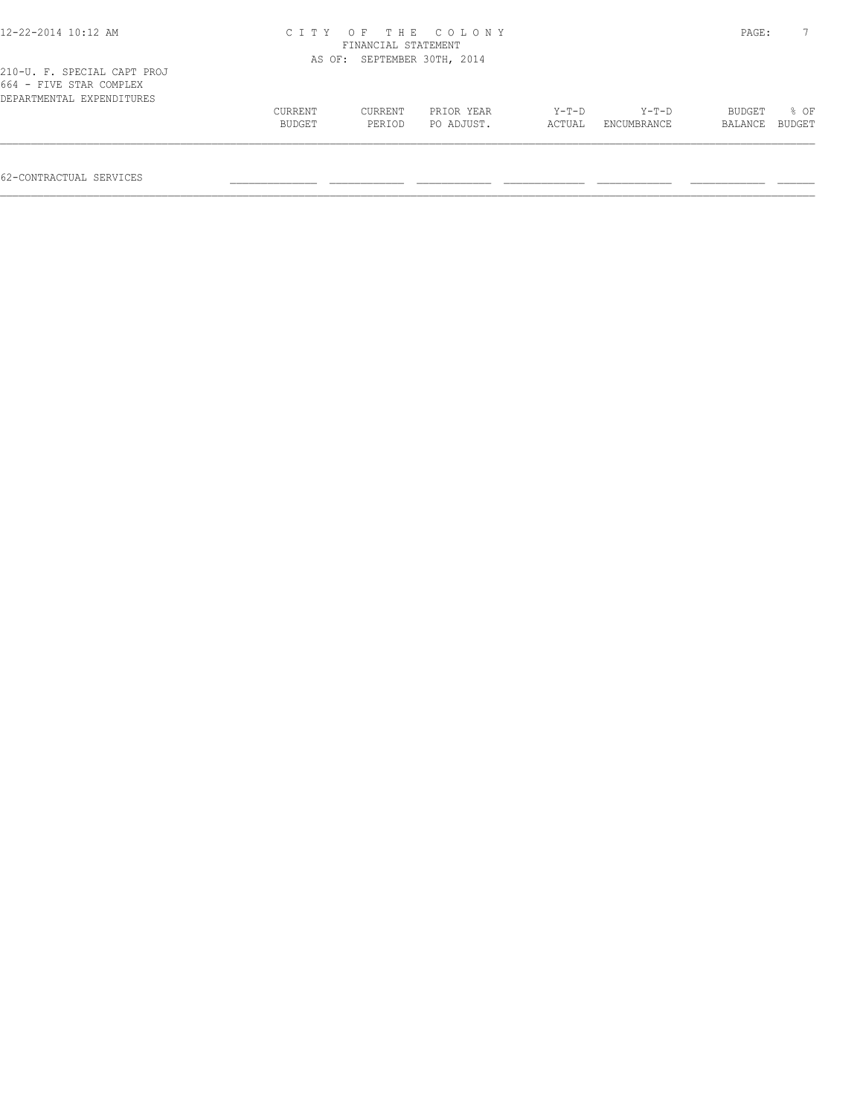| $12 - 22 - 2014$ 10:12 AM                                                           |                          | FINANCIAL STATEMENT         | CITY OF THE COLONY       |                 |                      | PAGE:             |                |
|-------------------------------------------------------------------------------------|--------------------------|-----------------------------|--------------------------|-----------------|----------------------|-------------------|----------------|
|                                                                                     |                          | AS OF: SEPTEMBER 30TH, 2014 |                          |                 |                      |                   |                |
| 210-U. F. SPECIAL CAPT PROJ<br>664 - FIVE STAR COMPLEX<br>DEPARTMENTAL EXPENDITURES |                          |                             |                          |                 |                      |                   |                |
|                                                                                     | <b>CURRENT</b><br>BUDGET | <b>CURRENT</b><br>PERIOD    | PRIOR YEAR<br>PO ADJUST. | Y-T-D<br>ACTUAL | Y-T-D<br>ENCUMBRANCE | BUDGET<br>BALANCE | 8 OF<br>BUDGET |
|                                                                                     |                          |                             |                          |                 |                      |                   |                |

62-CONTRACTUAL SERVICES \_\_\_\_\_\_\_\_\_\_\_\_\_\_ \_\_\_\_\_\_\_\_\_\_\_\_ \_\_\_\_\_\_\_\_\_\_\_\_ \_\_\_\_\_\_\_\_\_\_\_\_\_ \_\_\_\_\_\_\_\_\_\_\_\_ \_\_\_\_\_\_\_\_\_\_\_\_ \_\_\_\_\_\_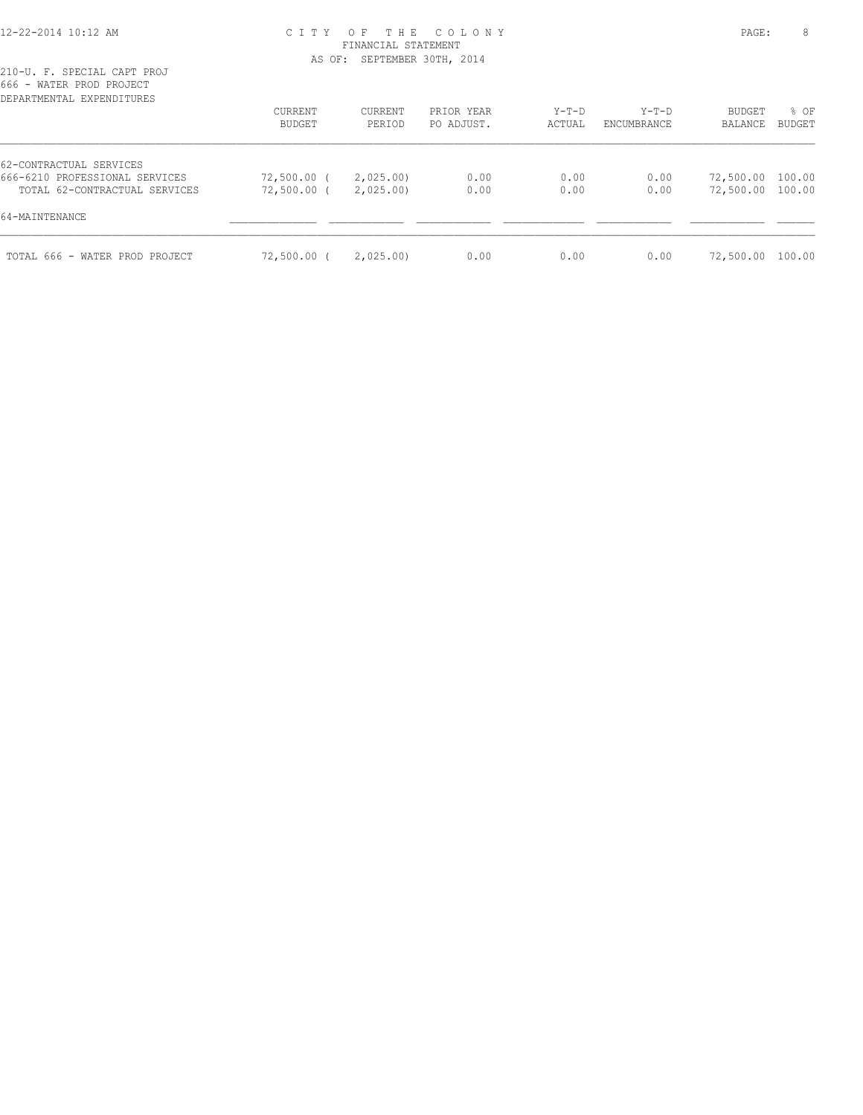### 12-22-2014 10:12 AM C I T Y O F T H E C O L O N Y PAGE: 8 FINANCIAL STATEMENT AS OF: SEPTEMBER 30TH, 2014

| DEPARTMENTAL EXPENDITURES                                 | CURRENT<br>BUDGET | CURRENT<br>PERIOD | PRIOR YEAR<br>PO ADJUST. | Y-T-D<br>ACTUAL | Y-T-D<br>ENCUMBRANCE | BUDGET<br>BALANCE | % OF<br><b>BUDGET</b> |
|-----------------------------------------------------------|-------------------|-------------------|--------------------------|-----------------|----------------------|-------------------|-----------------------|
|                                                           |                   |                   |                          |                 |                      |                   |                       |
| 62-CONTRACTUAL SERVICES<br>666-6210 PROFESSIONAL SERVICES | 72,500.00 (       | 2,025.00)         | 0.00                     | 0.00            | 0.00                 | 72,500.00 100.00  |                       |
| TOTAL 62-CONTRACTUAL SERVICES                             | 72,500.00 (       | 2,025.00          | 0.00                     | 0.00            | 0.00                 | 72,500.00 100.00  |                       |
| 64-MAINTENANCE                                            |                   |                   |                          |                 |                      |                   |                       |
| TOTAL 666 - WATER PROD PROJECT                            | 72,500.00 (       | 2,025.00)         | 0.00                     | 0.00            | 0.00                 | 72,500.00 100.00  |                       |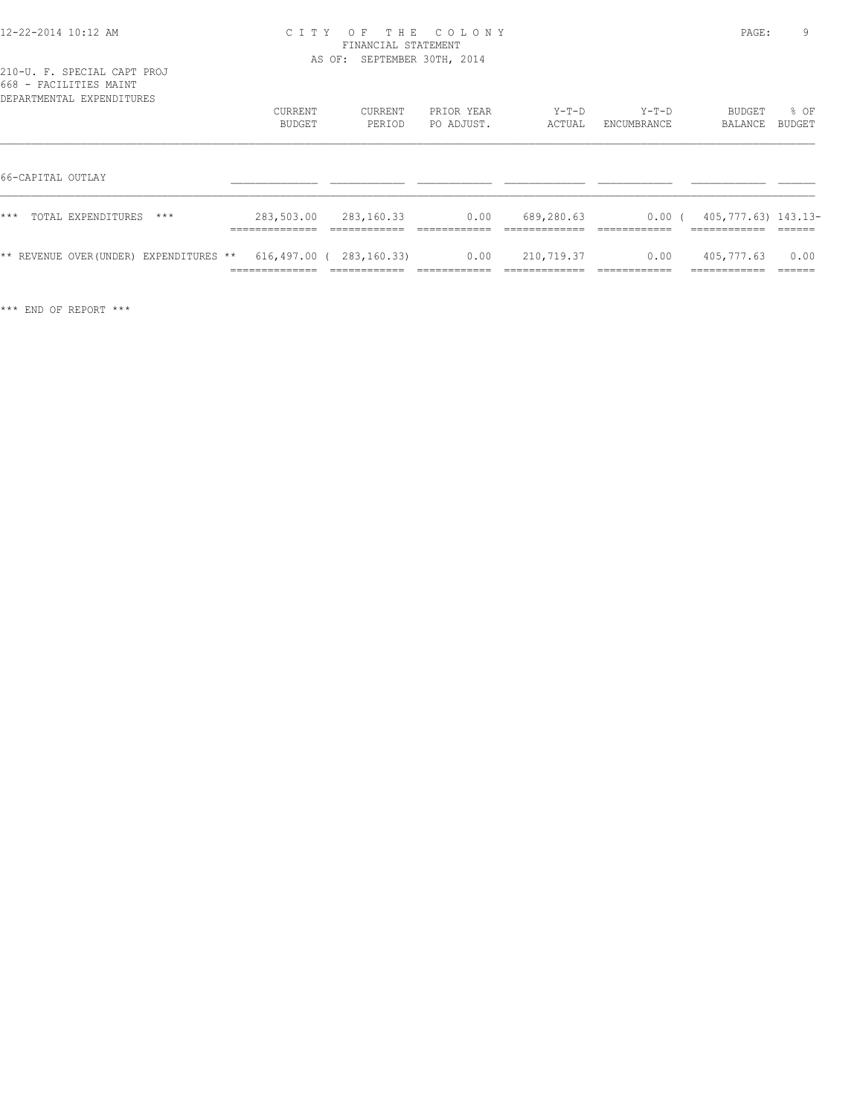| 12-22-2014 10:12 AM |  |
|---------------------|--|
|---------------------|--|

## 12-22-2014 10:12 AM C I T Y O F T H E C O L O N Y PAGE: 9 FINANCIAL STATEMENT AS OF: SEPTEMBER 30TH, 2014

| 668 - FACILITIES MAINT<br>DEPARTMENTAL EXPENDITURES | CURRENT                                       | CURRENT                                                 | PRIOR YEAR            | $Y-T-D$                    | $Y-T-D$                 | BUDGET                                    | % OF                     |
|-----------------------------------------------------|-----------------------------------------------|---------------------------------------------------------|-----------------------|----------------------------|-------------------------|-------------------------------------------|--------------------------|
|                                                     | BUDGET                                        | PERIOD                                                  | PO ADJUST.            | ACTUAL                     | ENCUMBRANCE             | BALANCE                                   | BUDGET                   |
| 66-CAPITAL OUTLAY                                   |                                               |                                                         |                       |                            |                         |                                           |                          |
| ***<br>TOTAL EXPENDITURES<br>$***$                  | 283,503.00<br>______________<br>------------- | 283,160.33<br>____________                              | 0.00                  | 689,280.63                 | $0.00$ (<br>___________ | 405,777.63) 143.13-<br>____________       |                          |
| ** REVENUE OVER(UNDER) EXPENDITURES **              | ______________<br>-------------               | 616,497.00 ( 283,160.33)<br>____________<br>----------- | 0.00<br>------------- | 210,719.37<br>____________ | 0.00<br>-------------   | 405,777.63<br>------------<br>----------- | 0.00<br>-------<br>_____ |

\*\*\* END OF REPORT \*\*\*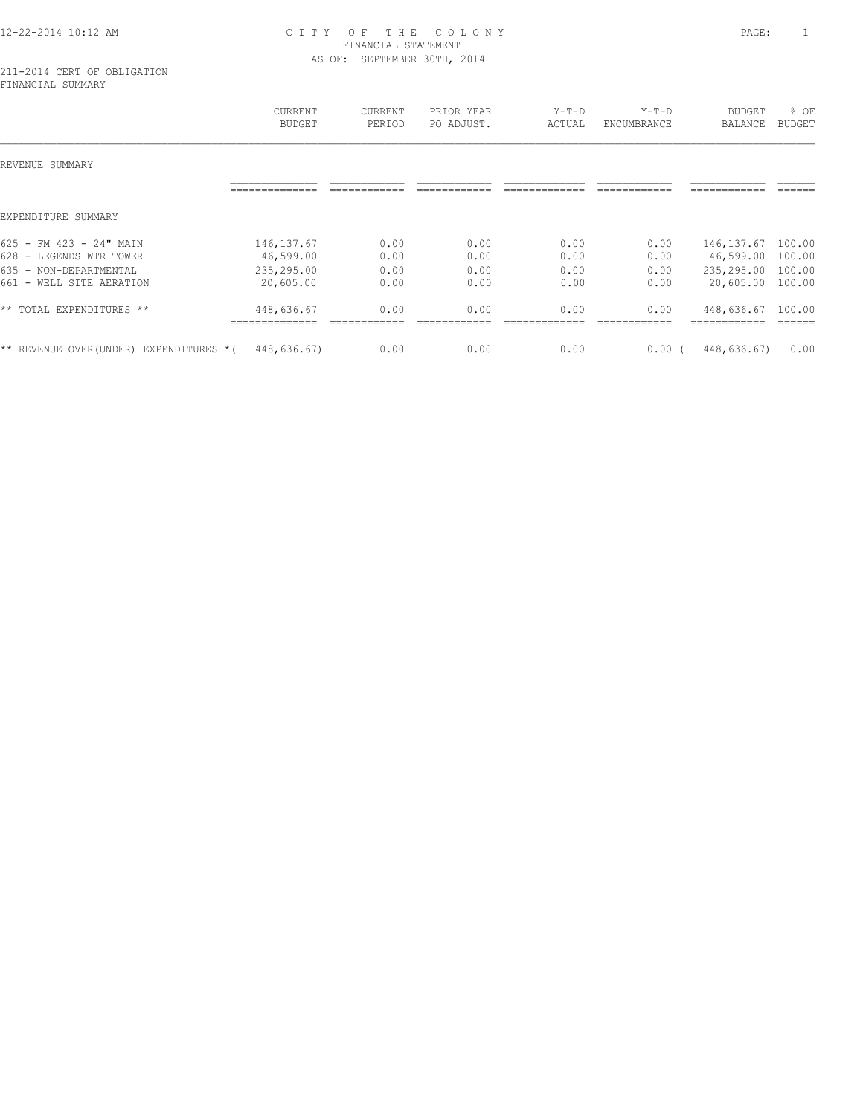## 12-22-2014 10:12 AM C I T Y O F T H E C O L O N Y PAGE: 1 FINANCIAL STATEMENT AS OF: SEPTEMBER 30TH, 2014

#### 211-2014 CERT OF OBLIGATION FINANCIAL SUMMARY

|                                                                                                          | <b>CURRENT</b><br><b>BUDGET</b>                     | <b>CURRENT</b><br>PERIOD     | PRIOR YEAR<br>PO ADJUST.     | $Y-T-D$<br>ACTUAL            | $Y-T-D$<br>ENCUMBRANCE       | <b>BUDGET</b><br><b>BALANCE</b>                     | % OF<br><b>BUDGET</b>                |
|----------------------------------------------------------------------------------------------------------|-----------------------------------------------------|------------------------------|------------------------------|------------------------------|------------------------------|-----------------------------------------------------|--------------------------------------|
| REVENUE SUMMARY                                                                                          |                                                     |                              |                              |                              |                              |                                                     |                                      |
|                                                                                                          |                                                     |                              |                              |                              |                              |                                                     |                                      |
| EXPENDITURE SUMMARY                                                                                      |                                                     |                              |                              |                              |                              |                                                     |                                      |
| 625 - FM 423 - 24" MAIN<br>628 - LEGENDS WTR TOWER<br>635 - NON-DEPARTMENTAL<br>661 - WELL SITE AERATION | 146, 137.67<br>46,599.00<br>235,295.00<br>20,605.00 | 0.00<br>0.00<br>0.00<br>0.00 | 0.00<br>0.00<br>0.00<br>0.00 | 0.00<br>0.00<br>0.00<br>0.00 | 0.00<br>0.00<br>0.00<br>0.00 | 146, 137.67<br>46,599.00<br>235,295.00<br>20,605.00 | 100.00<br>100.00<br>100.00<br>100.00 |
| ** TOTAL EXPENDITURES **                                                                                 | 448,636.67                                          | 0.00                         | 0.00                         | 0.00                         | 0.00                         | 448,636.67                                          | 100.00                               |
| ** REVENUE OVER (UNDER)<br>EXPENDITURES *(                                                               | 448,636.67)                                         | 0.00                         | 0.00                         | 0.00                         | 0.00(                        | 448,636.67)                                         | 0.00                                 |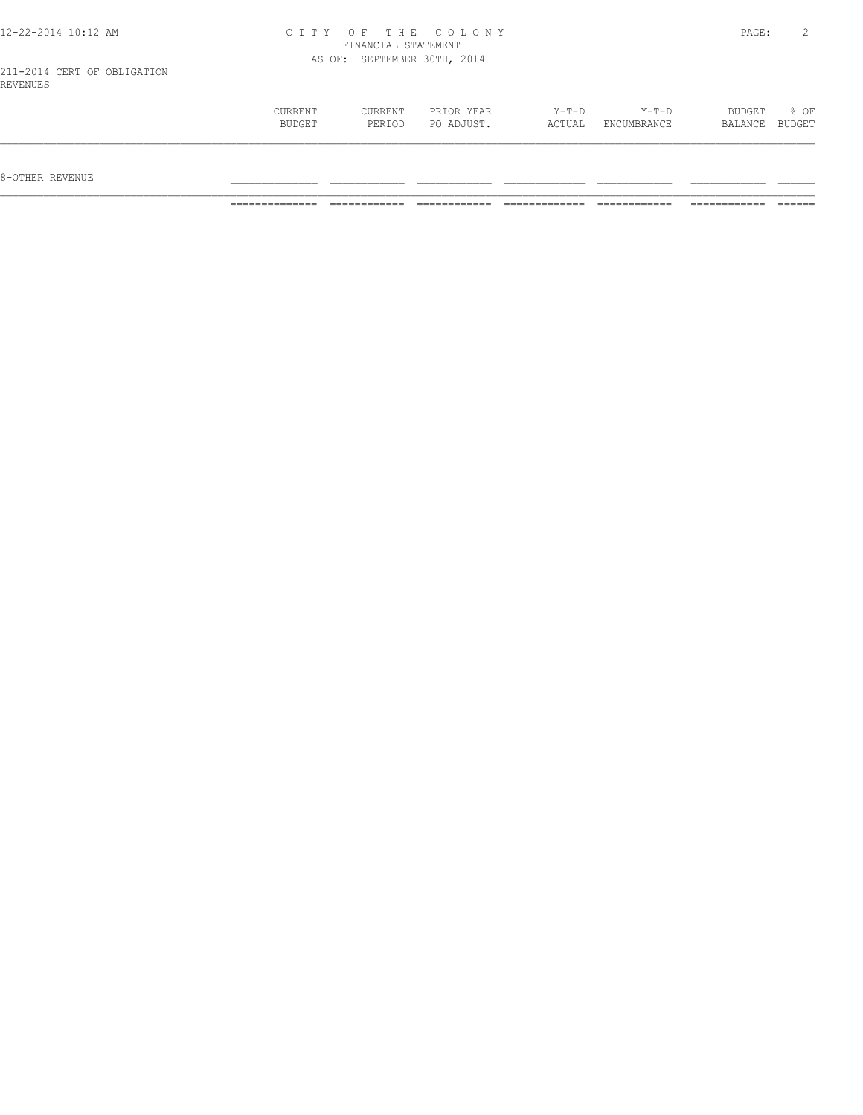| 12-22-2014 10:12 AM                     |                   | FINANCIAL STATEMENT         | CITY OF THE COLONY       |                 |                      | PAGE:             | $2^{\circ}$    |
|-----------------------------------------|-------------------|-----------------------------|--------------------------|-----------------|----------------------|-------------------|----------------|
|                                         |                   | AS OF: SEPTEMBER 30TH, 2014 |                          |                 |                      |                   |                |
| 211-2014 CERT OF OBLIGATION<br>REVENUES |                   |                             |                          |                 |                      |                   |                |
|                                         | CURRENT<br>BUDGET | CURRENT<br>PERIOD           | PRIOR YEAR<br>PO ADJUST. | Y-T-D<br>ACTUAL | Y-T-D<br>ENCUMBRANCE | BUDGET<br>BALANCE | % OF<br>BUDGET |

============== ============ ============ ============= ============ ============ ======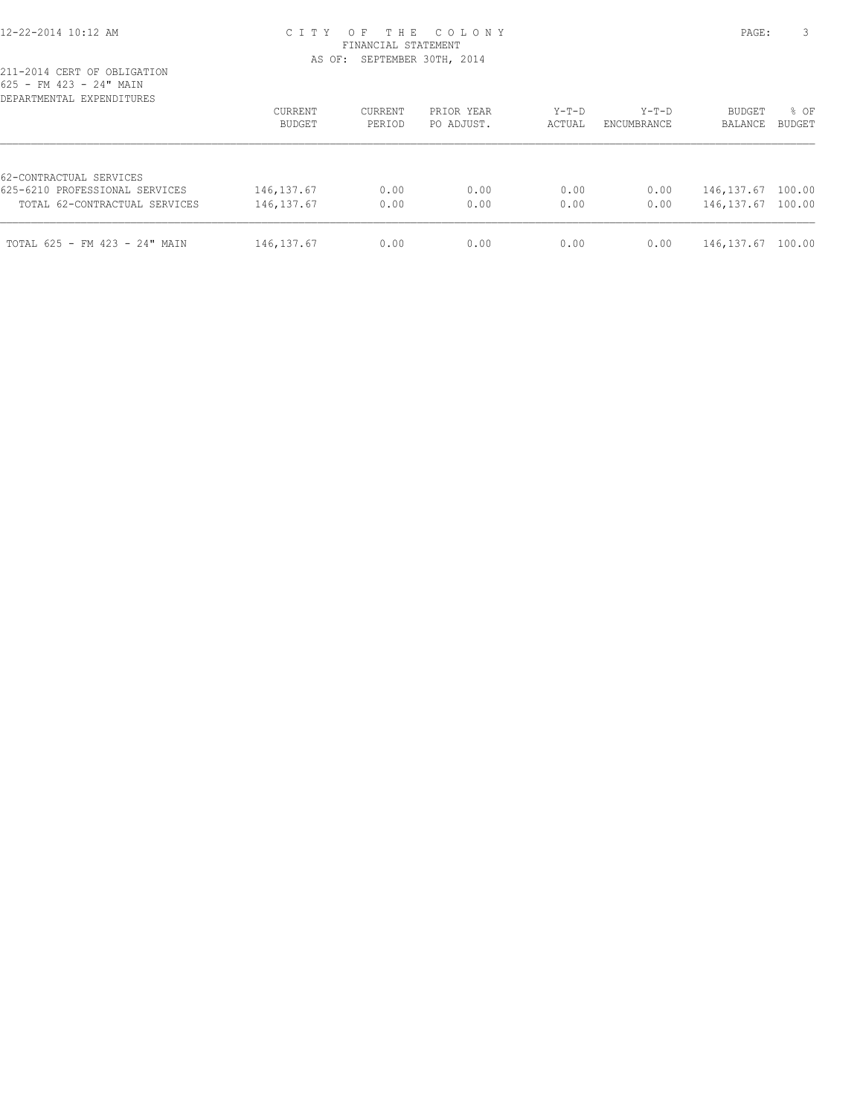## 12-22-2014 10:12 AM C I T Y O F T H E C O L O N Y PAGE: 3 FINANCIAL STATEMENT AS OF: SEPTEMBER 30TH, 2014

| DEPARTMENTAL EXPENDITURES                                                                  | CURRENT<br>BUDGET          | CURRENT<br>PERIOD | PRIOR YEAR<br>PO ADJUST. | $Y-T-D$<br>ACTUAL | $Y-T-D$<br>ENCUMBRANCE | <b>BUDGET</b><br>BALANCE         | % OF<br><b>BUDGET</b> |
|--------------------------------------------------------------------------------------------|----------------------------|-------------------|--------------------------|-------------------|------------------------|----------------------------------|-----------------------|
| 62-CONTRACTUAL SERVICES<br>625-6210 PROFESSIONAL SERVICES<br>TOTAL 62-CONTRACTUAL SERVICES | 146, 137.67<br>146, 137.67 | 0.00<br>0.00      | 0.00<br>0.00             | 0.00<br>0.00      | 0.00<br>0.00           | 146, 137.67 100.00<br>146,137.67 | 100.00                |
| TOTAL 625 - FM 423 - 24" MAIN                                                              | 146, 137.67                | 0.00              | 0.00                     | 0.00              | 0.00                   | 146, 137.67                      | 100.00                |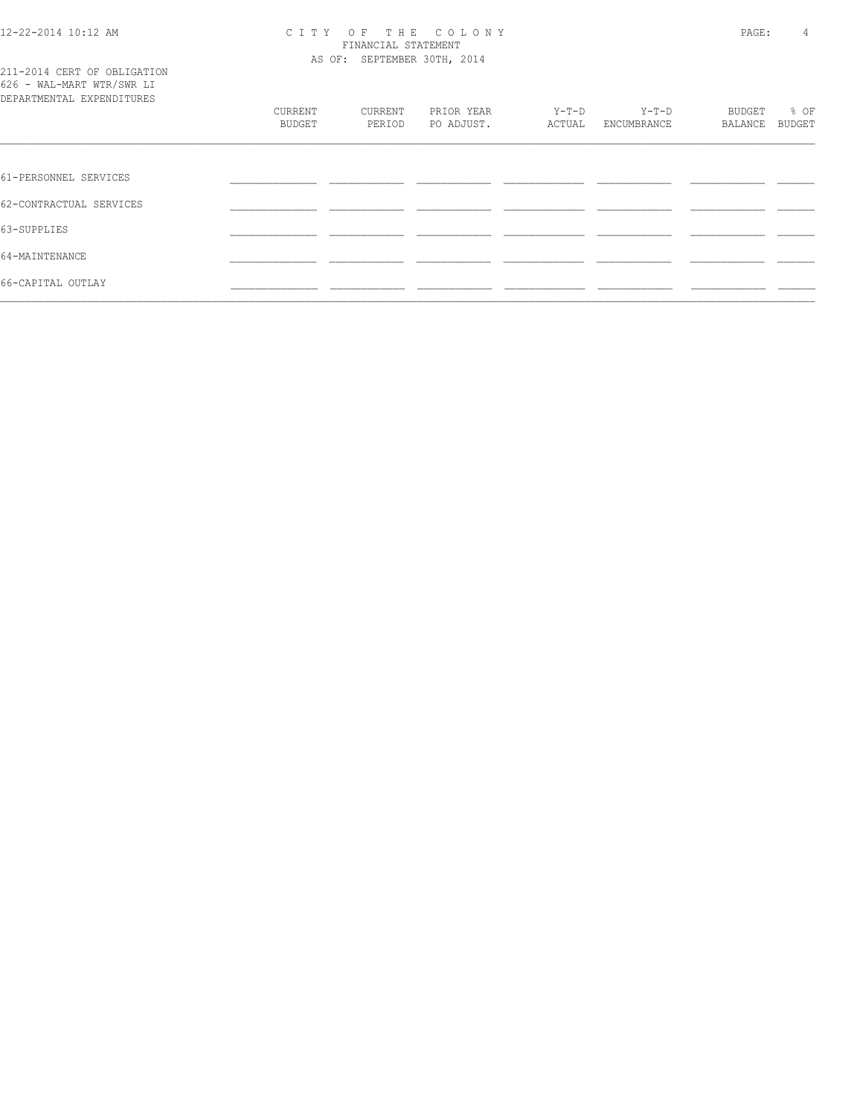## 12-22-2014 10:12 AM C I T Y O F T H E C O L O N Y PAGE: 4 FINANCIAL STATEMENT AS OF: SEPTEMBER 30TH, 2014

|  |  | 211-2014 CERT OF OBLIGATION |  |
|--|--|-----------------------------|--|
|  |  | 626 - WAL-MART WTR/SWR LI   |  |
|  |  | DEPARTMENTAL EXPENDITURES   |  |

| DEPARTMENTAL EXPENDITURES |         |         |            |         |             |         |        |
|---------------------------|---------|---------|------------|---------|-------------|---------|--------|
|                           | CURRENT | CURRENT | PRIOR YEAR | $Y-T-D$ | $Y-T-D$     | BUDGET  | % OF   |
|                           | BUDGET  | PERIOD  | PO ADJUST. | ACTUAL  | ENCUMBRANCE | BALANCE | BUDGET |
|                           |         |         |            |         |             |         |        |
|                           |         |         |            |         |             |         |        |
| 61-PERSONNEL SERVICES     |         |         |            |         |             |         |        |
| 62-CONTRACTUAL SERVICES   |         |         |            |         |             |         |        |
| 63-SUPPLIES               |         |         |            |         |             |         |        |
| 64-MAINTENANCE            |         |         |            |         |             |         |        |
| 66-CAPITAL OUTLAY         |         |         |            |         |             |         |        |
|                           |         |         |            |         |             |         |        |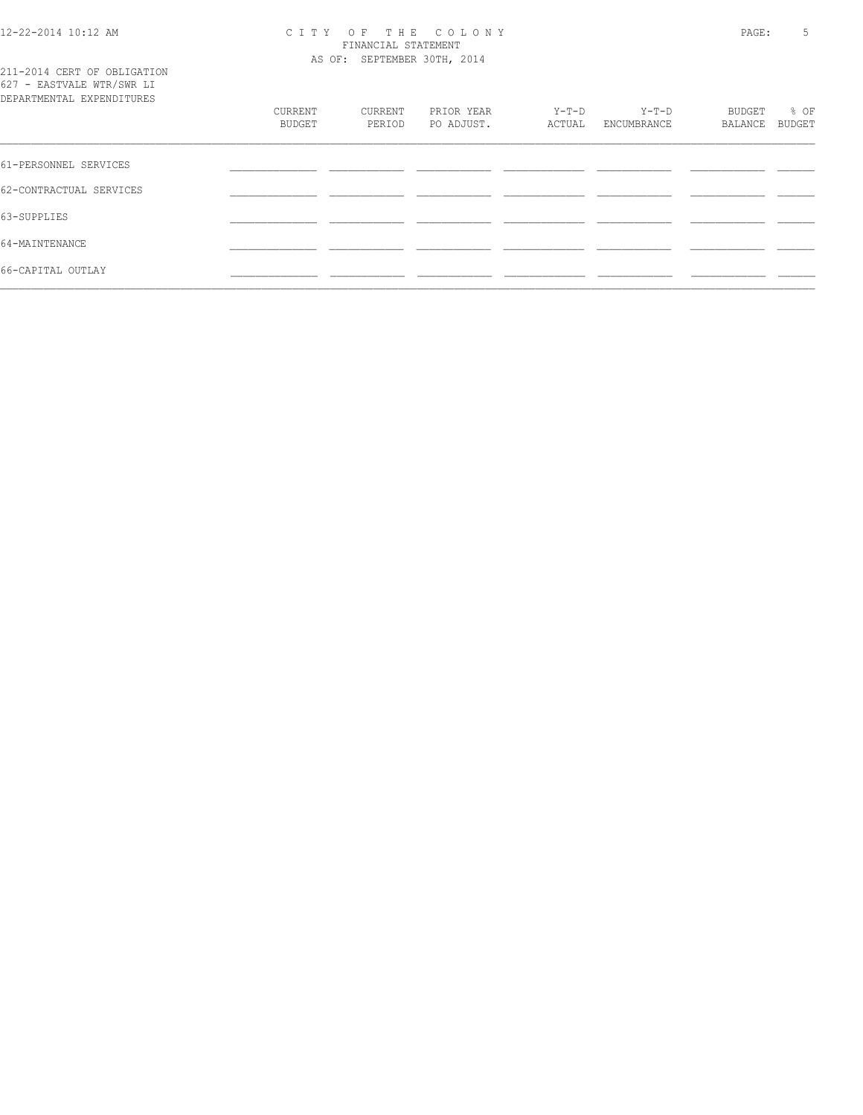### 12-22-2014 10:12 AM C I T Y O F T H E C O L O N Y PAGE: 5 FINANCIAL STATEMENT AS OF: SEPTEMBER 30TH, 2014

|  |  | 211-2014 CERT OF OBLIGATION |  |
|--|--|-----------------------------|--|
|  |  | 627 - EASTVALE WTR/SWR LI   |  |
|  |  | DEPARTMENTAL EXPENDITURES   |  |

| DEPARTMENTAL EXPENDITURES | CURRENT<br>BUDGET | CURRENT<br>PERIOD | PRIOR YEAR<br>PO ADJUST. | $Y-T-D$<br>ACTUAL | Y-T-D<br>ENCUMBRANCE | BUDGET<br>BALANCE | % OF<br>BUDGET |
|---------------------------|-------------------|-------------------|--------------------------|-------------------|----------------------|-------------------|----------------|
| 61-PERSONNEL SERVICES     |                   |                   |                          |                   |                      |                   |                |
| 62-CONTRACTUAL SERVICES   |                   |                   |                          |                   |                      |                   |                |
| 63-SUPPLIES               |                   |                   |                          |                   |                      |                   |                |
| 64-MAINTENANCE            |                   |                   |                          |                   |                      |                   |                |
| 66-CAPITAL OUTLAY         |                   |                   |                          |                   |                      |                   |                |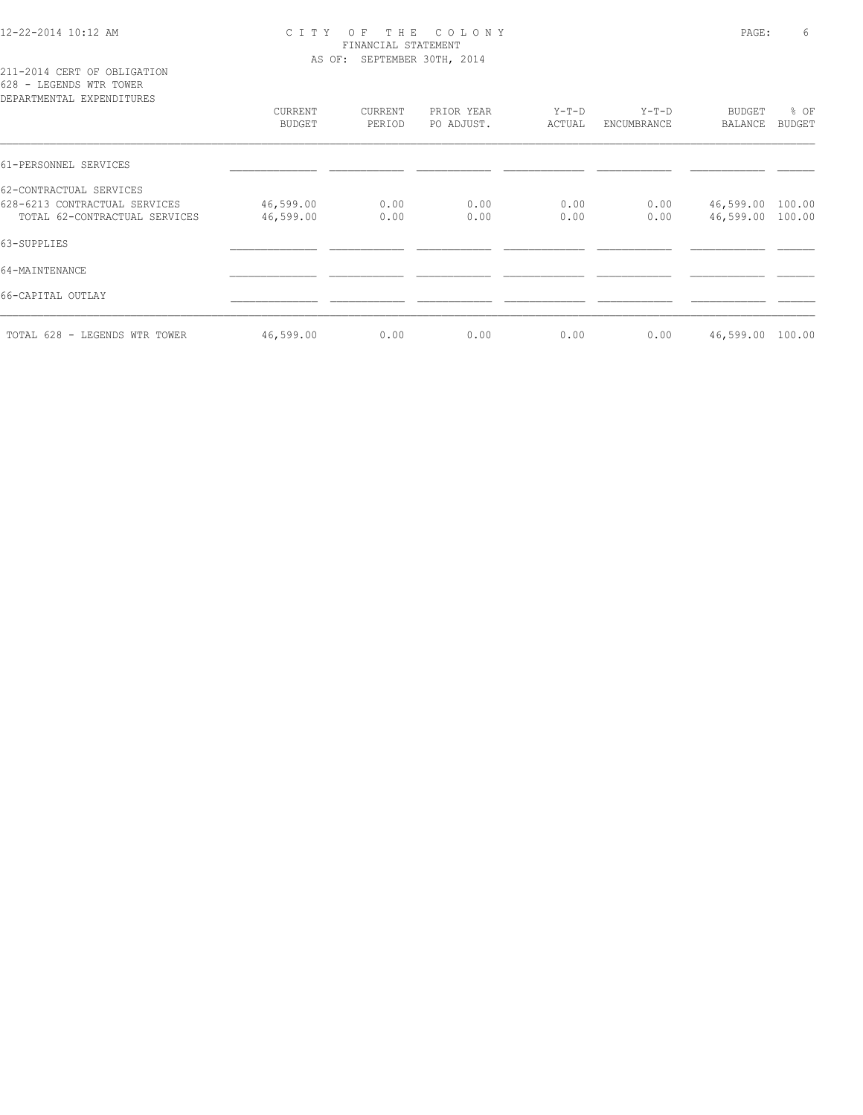## 12-22-2014 10:12 AM C I T Y O F T H E C O L O N Y PAGE: 6 FINANCIAL STATEMENT AS OF: SEPTEMBER 30TH, 2014

211-2014 CERT OF OBLIGATION 628 - LEGENDS WTR TOWER

| DEPARTMENTAL EXPENDITURES     |               |         |            |        |             |                  |               |
|-------------------------------|---------------|---------|------------|--------|-------------|------------------|---------------|
|                               | CURRENT       | CURRENT | PRIOR YEAR | Y-T-D  | Y-T-D       | <b>BUDGET</b>    | % OF          |
|                               | <b>BUDGET</b> | PERIOD  | PO ADJUST. | ACTUAL | ENCUMBRANCE | BALANCE          | <b>BUDGET</b> |
| 61-PERSONNEL SERVICES         |               |         |            |        |             |                  |               |
| 62-CONTRACTUAL SERVICES       |               |         |            |        |             |                  |               |
| 628-6213 CONTRACTUAL SERVICES | 46,599.00     | 0.00    | 0.00       | 0.00   | 0.00        | 46,599.00        | 100.00        |
| TOTAL 62-CONTRACTUAL SERVICES | 46,599.00     | 0.00    | 0.00       | 0.00   | 0.00        | 46,599.00 100.00 |               |
| 63-SUPPLIES                   |               |         |            |        |             |                  |               |
| 64-MAINTENANCE                |               |         |            |        |             |                  |               |
| 66-CAPITAL OUTLAY             |               |         |            |        |             |                  |               |
| TOTAL 628 - LEGENDS WTR TOWER | 46,599.00     | 0.00    | 0.00       | 0.00   | 0.00        | 46,599.00        | 100.00        |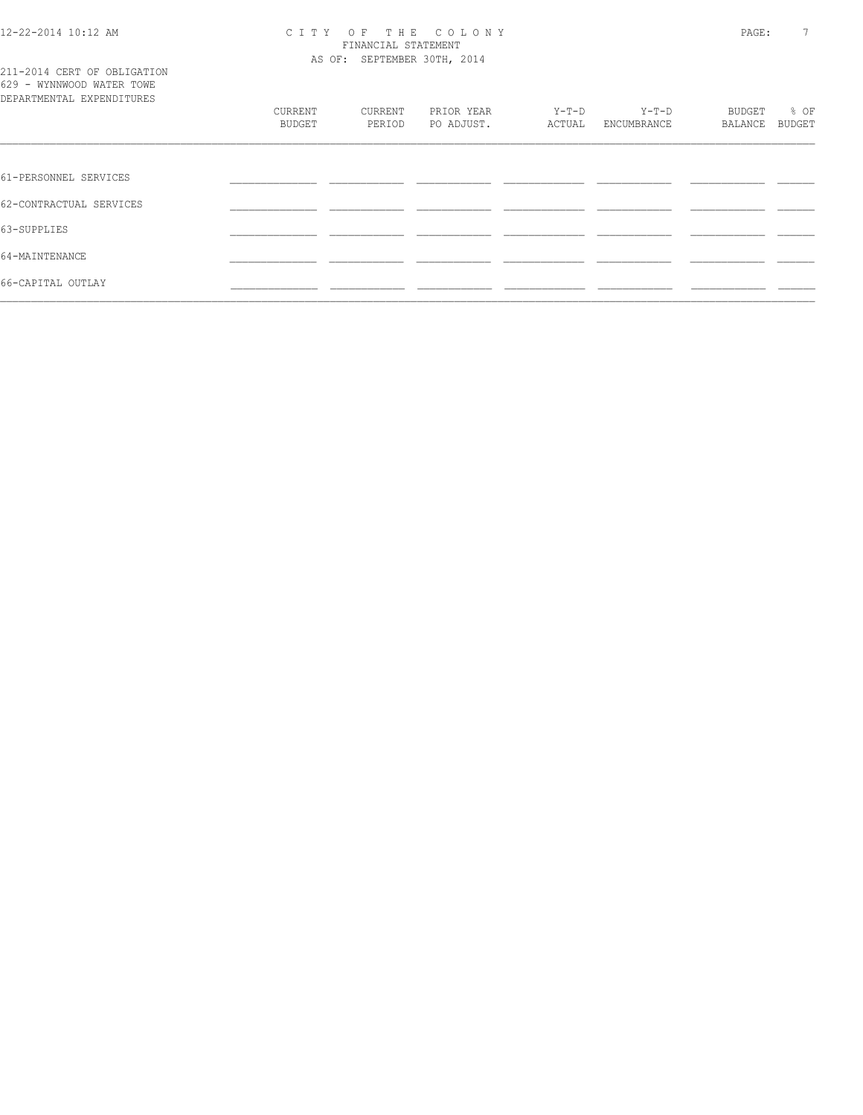### 12-22-2014 10:12 AM C I T Y O F T H E C O L O N Y PAGE: 7 FINANCIAL STATEMENT AS OF: SEPTEMBER 30TH, 2014

|  |  |                           |  | 211-2014 CERT OF OBLIGATION |  |
|--|--|---------------------------|--|-----------------------------|--|
|  |  | 629 - WYNNWOOD WATER TOWE |  |                             |  |
|  |  | DEPARTMENTAL EXPENDITURES |  |                             |  |

| DEPARTMENTAL EXPENDITURES |         |         |            |         |             |               |        |
|---------------------------|---------|---------|------------|---------|-------------|---------------|--------|
|                           | CURRENT | CURRENT | PRIOR YEAR | $Y-T-D$ | $Y-T-D$     | <b>BUDGET</b> | % OF   |
|                           | BUDGET  | PERIOD  | PO ADJUST. | ACTUAL  | ENCUMBRANCE | BALANCE       | BUDGET |
|                           |         |         |            |         |             |               |        |
| 61-PERSONNEL SERVICES     |         |         |            |         |             |               |        |
| 62-CONTRACTUAL SERVICES   |         |         |            |         |             |               |        |
| 63-SUPPLIES               |         |         |            |         |             |               |        |
| 64-MAINTENANCE            |         |         |            |         |             |               |        |
| 66-CAPITAL OUTLAY         |         |         |            |         |             |               |        |
|                           |         |         |            |         |             |               |        |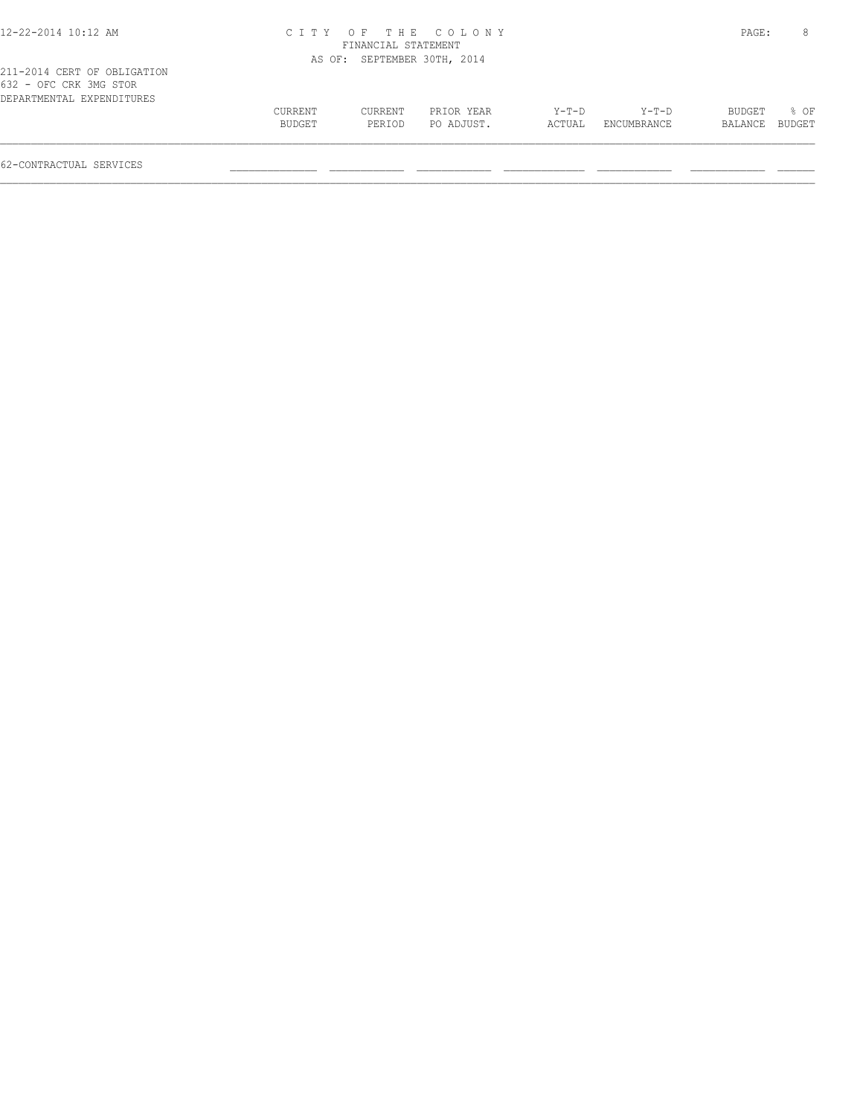| 12-22-2014 10:12 AM                                                                |         |                             | CITY OF THE COLONY |        |             | PAGE:   | 8      |
|------------------------------------------------------------------------------------|---------|-----------------------------|--------------------|--------|-------------|---------|--------|
|                                                                                    |         | FINANCIAL STATEMENT         |                    |        |             |         |        |
|                                                                                    |         | AS OF: SEPTEMBER 30TH, 2014 |                    |        |             |         |        |
| 211-2014 CERT OF OBLIGATION<br>632 - OFC CRK 3MG STOR<br>DEPARTMENTAL EXPENDITURES |         |                             |                    |        |             |         |        |
|                                                                                    | CURRENT | CURRENT                     | PRIOR YEAR         | Y-T-D  | Y-T-D       | BUDGET  | 8 OF   |
|                                                                                    | BUDGET  | PERIOD                      | PO ADJUST.         | ACTUAL | ENCUMBRANCE | BALANCE | BUDGET |
|                                                                                    |         |                             |                    |        |             |         |        |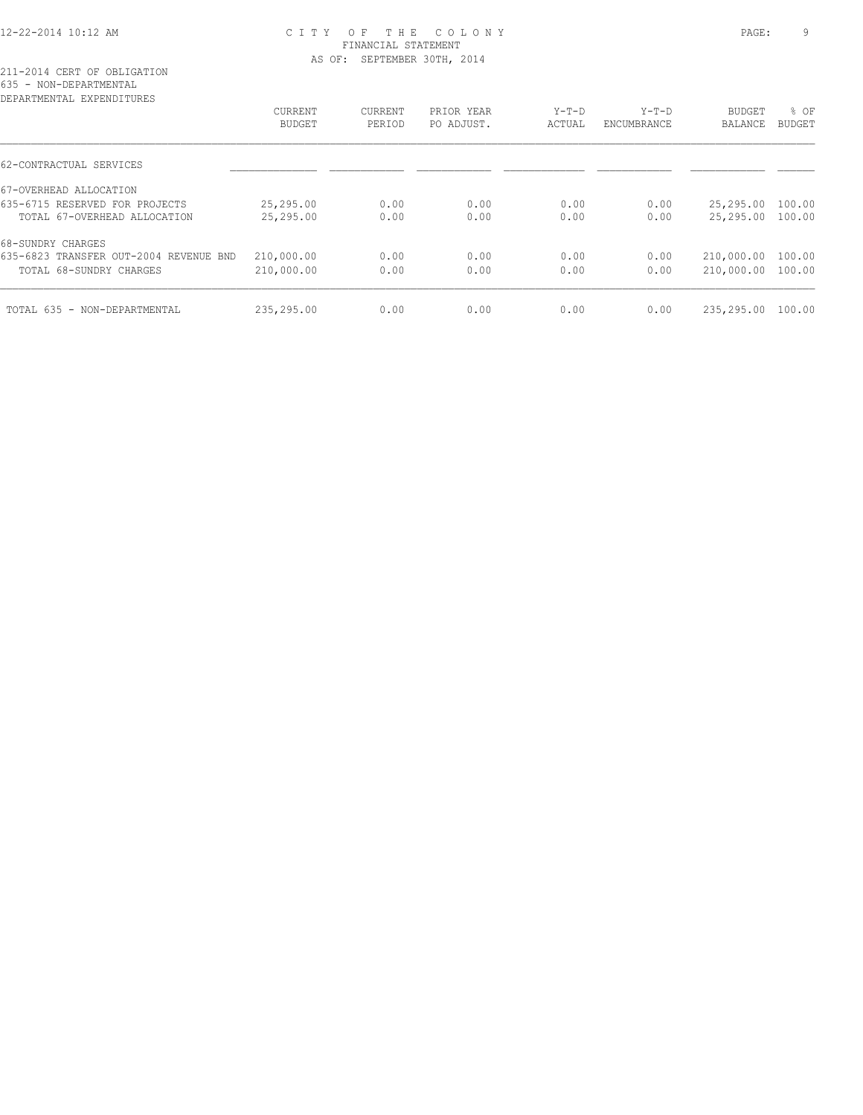## 12-22-2014 10:12 AM C I T Y O F T H E C O L O N Y PAGE: 9 FINANCIAL STATEMENT AS OF: SEPTEMBER 30TH, 2014

| DEPARTMENTAL EXPENDITURES              |                |         |            |         |             |                   |               |
|----------------------------------------|----------------|---------|------------|---------|-------------|-------------------|---------------|
|                                        | <b>CURRENT</b> | CURRENT | PRIOR YEAR | $Y-T-D$ | $Y-T-D$     | <b>BUDGET</b>     | % OF          |
|                                        | <b>BUDGET</b>  | PERIOD  | PO ADJUST. | ACTUAL  | ENCUMBRANCE | BALANCE           | <b>BUDGET</b> |
| 62-CONTRACTUAL SERVICES                |                |         |            |         |             |                   |               |
| 67-OVERHEAD ALLOCATION                 |                |         |            |         |             |                   |               |
| 635-6715 RESERVED FOR PROJECTS         | 25,295.00      | 0.00    | 0.00       | 0.00    | 0.00        | 25,295.00         | 100.00        |
| TOTAL 67-OVERHEAD ALLOCATION           | 25,295.00      | 0.00    | 0.00       | 0.00    | 0.00        | 25,295.00 100.00  |               |
| 68-SUNDRY CHARGES                      |                |         |            |         |             |                   |               |
| 635-6823 TRANSFER OUT-2004 REVENUE BND | 210,000.00     | 0.00    | 0.00       | 0.00    | 0.00        | 210,000.00        | 100.00        |
| TOTAL 68-SUNDRY CHARGES                | 210,000.00     | 0.00    | 0.00       | 0.00    | 0.00        | 210,000.00 100.00 |               |
| TOTAL 635 - NON-DEPARTMENTAL           | 235,295.00     | 0.00    | 0.00       | 0.00    | 0.00        | 235,295.00        | 100.00        |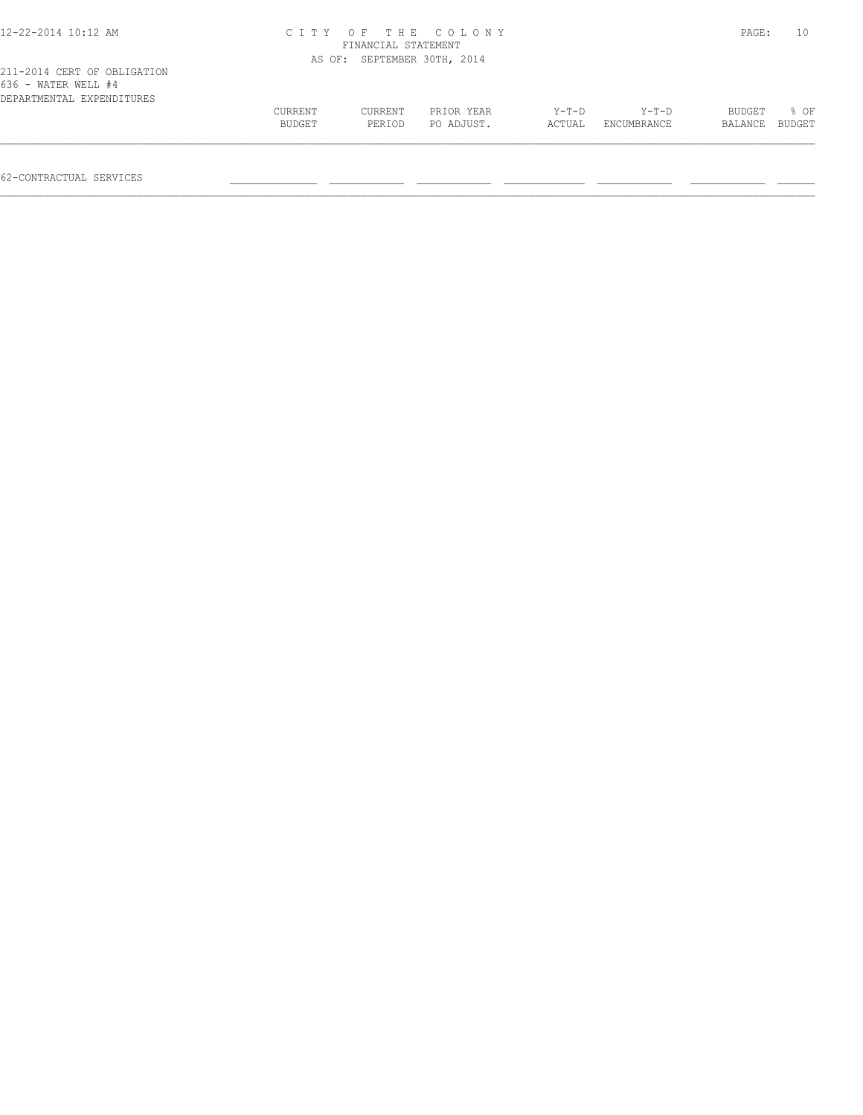| 12-22-2014 10:12 AM                                                             | CITY OF THE COLONY<br>FINANCIAL STATEMENT |                             |                          |                   |                        |                   |                |  |
|---------------------------------------------------------------------------------|-------------------------------------------|-----------------------------|--------------------------|-------------------|------------------------|-------------------|----------------|--|
|                                                                                 |                                           | AS OF: SEPTEMBER 30TH, 2014 |                          |                   |                        |                   |                |  |
| 211-2014 CERT OF OBLIGATION<br>636 - WATER WELL #4<br>DEPARTMENTAL EXPENDITURES |                                           |                             |                          |                   |                        |                   |                |  |
|                                                                                 | CURRENT<br>BUDGET                         | CURRENT<br>PERIOD           | PRIOR YEAR<br>PO ADJUST. | $Y-T-D$<br>ACTUAL | $Y-T-D$<br>ENCUMBRANCE | BUDGET<br>BALANCE | 8 OF<br>BUDGET |  |
|                                                                                 |                                           |                             |                          |                   |                        |                   |                |  |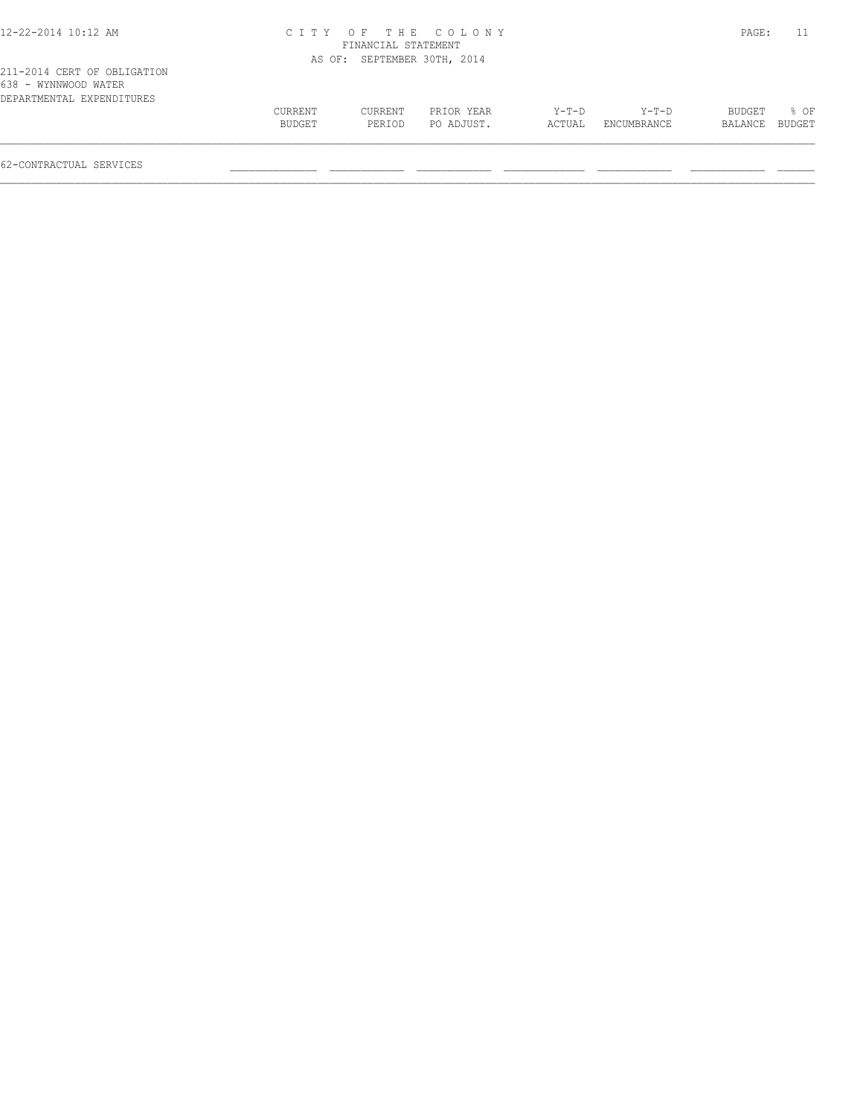|         |         |            |                                                                          |             |         | 11     |
|---------|---------|------------|--------------------------------------------------------------------------|-------------|---------|--------|
|         |         |            |                                                                          |             |         |        |
|         |         |            |                                                                          |             |         |        |
|         |         |            |                                                                          |             |         |        |
| CURRENT | CURRENT | PRIOR YEAR | Y-T-D                                                                    | Y-T-D       | BUDGET  | % OF   |
| BUDGET  | PERIOD  | PO ADJUST. | ACTUAL                                                                   | ENCUMBRANCE | BALANCE | BUDGET |
|         |         |            | CITY OF THE COLONY<br>FINANCIAL STATEMENT<br>AS OF: SEPTEMBER 30TH, 2014 |             |         | PAGE:  |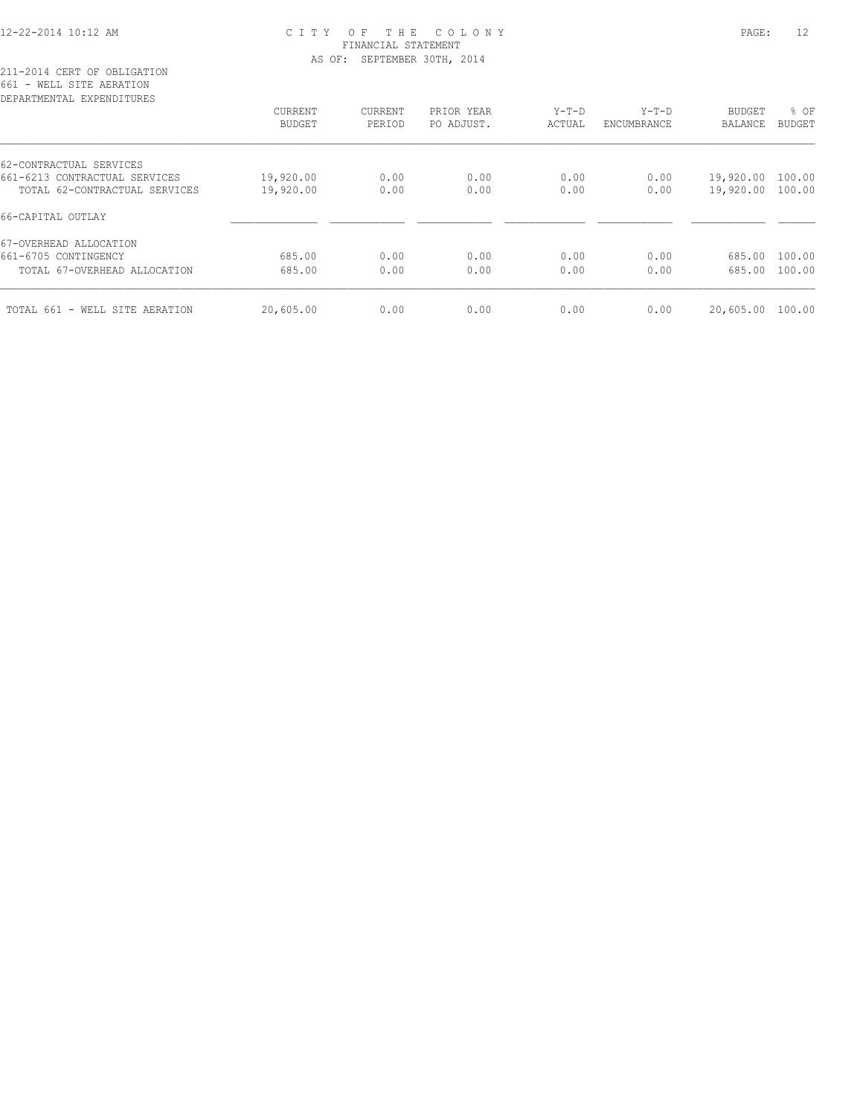## 12-22-2014 10:12 AM C I T Y O F T H E C O L O N Y PAGE: 12 FINANCIAL STATEMENT AS OF: SEPTEMBER 30TH, 2014

211-2014 CERT OF OBLIGATION 661 - WELL SITE AERATION

| DEPARTMENTAL<br>EXPENDITURES   |           |         |            |         |             |               |               |
|--------------------------------|-----------|---------|------------|---------|-------------|---------------|---------------|
|                                | CURRENT   | CURRENT | PRIOR YEAR | $Y-T-D$ | $Y-T-D$     | <b>BUDGET</b> | % OF          |
|                                | BUDGET    | PERIOD  | PO ADJUST. | ACTUAL  | ENCUMBRANCE | BALANCE       | <b>BUDGET</b> |
| 62-CONTRACTUAL SERVICES        |           |         |            |         |             |               |               |
| 661-6213 CONTRACTUAL SERVICES  | 19,920.00 | 0.00    | 0.00       | 0.00    | 0.00        | 19,920.00     | 100.00        |
| TOTAL 62-CONTRACTUAL SERVICES  | 19,920.00 | 0.00    | 0.00       | 0.00    | 0.00        | 19,920.00     | 100.00        |
| 66-CAPITAL OUTLAY              |           |         |            |         |             |               |               |
| 67-OVERHEAD ALLOCATION         |           |         |            |         |             |               |               |
| 661-6705 CONTINGENCY           | 685.00    | 0.00    | 0.00       | 0.00    | 0.00        | 685.00        | 100.00        |
| TOTAL 67-OVERHEAD ALLOCATION   | 685.00    | 0.00    | 0.00       | 0.00    | 0.00        | 685.00        | 100.00        |
|                                |           |         |            |         |             |               | 100.00        |
| TOTAL 661 - WELL SITE AERATION | 20,605.00 | 0.00    | 0.00       | 0.00    | 0.00        | 20,605.00     |               |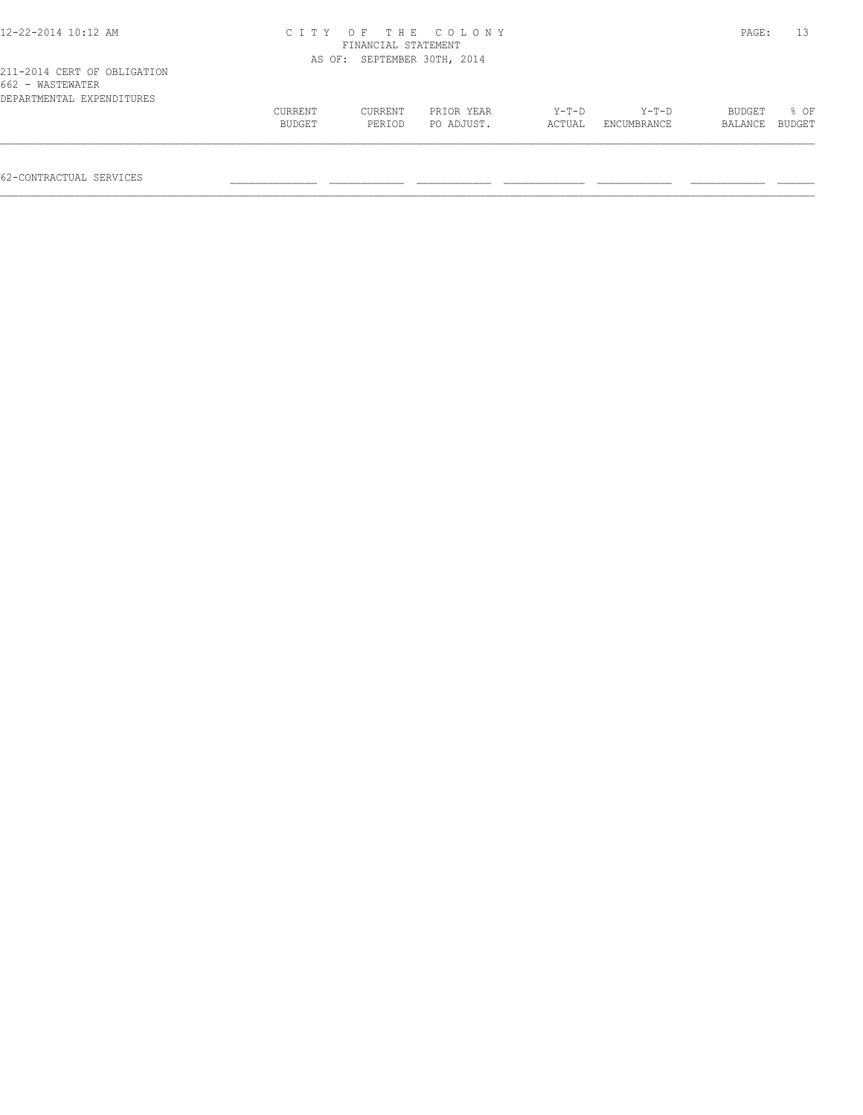| 12-22-2014 10:12 AM                                                          |                   | FINANCIAL STATEMENT         | CITY OF THE COLONY       |                   |                        | PAGE:             |                |
|------------------------------------------------------------------------------|-------------------|-----------------------------|--------------------------|-------------------|------------------------|-------------------|----------------|
|                                                                              |                   | AS OF: SEPTEMBER 30TH, 2014 |                          |                   |                        |                   |                |
| 211-2014 CERT OF OBLIGATION<br>662 - WASTEWATER<br>DEPARTMENTAL EXPENDITURES |                   |                             |                          |                   |                        |                   |                |
|                                                                              | CURRENT<br>BUDGET | CURRENT<br>PERIOD           | PRIOR YEAR<br>PO ADJUST. | $Y-T-D$<br>ACTUAL | $Y-T-D$<br>ENCUMBRANCE | BUDGET<br>BALANCE | 8 OF<br>BUDGET |
|                                                                              |                   |                             |                          |                   |                        |                   |                |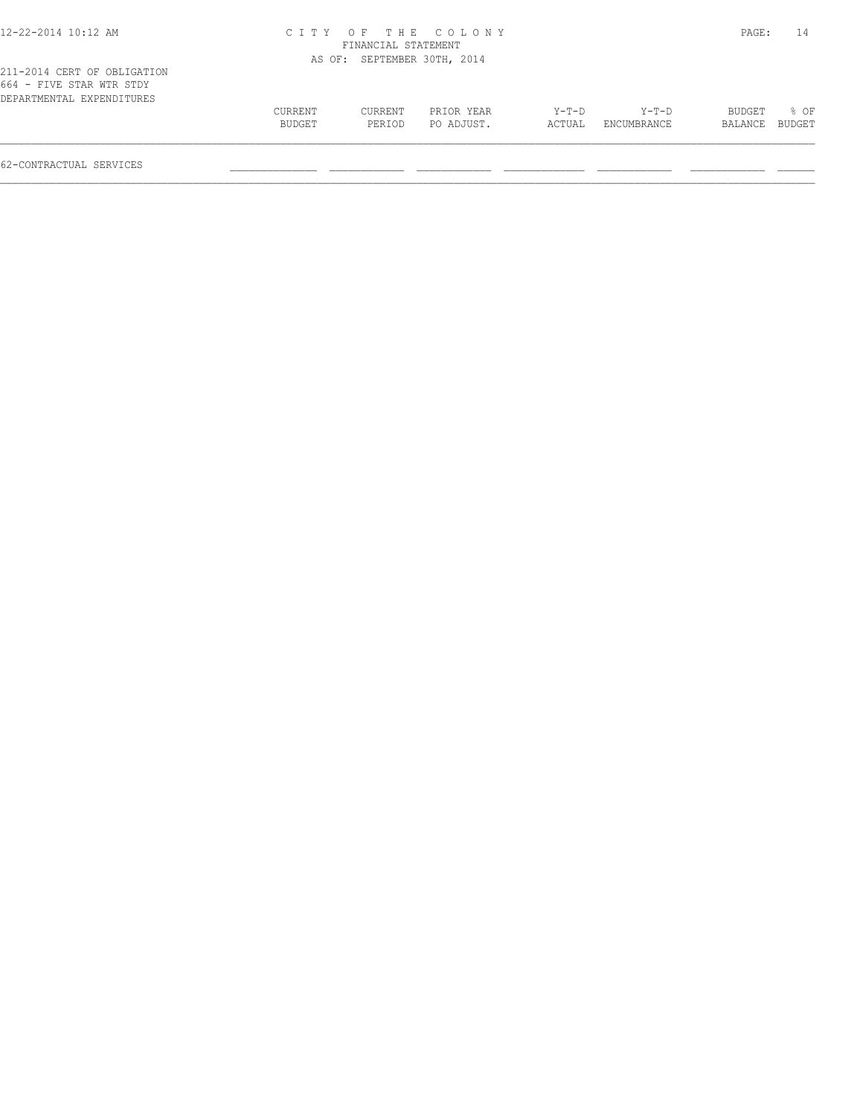| 12-22-2014 10:12 AM                                                                  |                   |                             | CITY OF THE COLONY       |                   |                        | PAGE:             | 14             |
|--------------------------------------------------------------------------------------|-------------------|-----------------------------|--------------------------|-------------------|------------------------|-------------------|----------------|
|                                                                                      |                   | FINANCIAL STATEMENT         |                          |                   |                        |                   |                |
|                                                                                      |                   | AS OF: SEPTEMBER 30TH, 2014 |                          |                   |                        |                   |                |
| 211-2014 CERT OF OBLIGATION<br>664 - FIVE STAR WTR STDY<br>DEPARTMENTAL EXPENDITURES |                   |                             |                          |                   |                        |                   |                |
|                                                                                      | CURRENT<br>BUDGET | CURRENT<br>PERIOD           | PRIOR YEAR<br>PO ADJUST. | $Y-T-D$<br>ACTUAL | $Y-T-D$<br>ENCUMBRANCE | BUDGET<br>BALANCE | % OF<br>BUDGET |
|                                                                                      |                   |                             |                          |                   |                        |                   |                |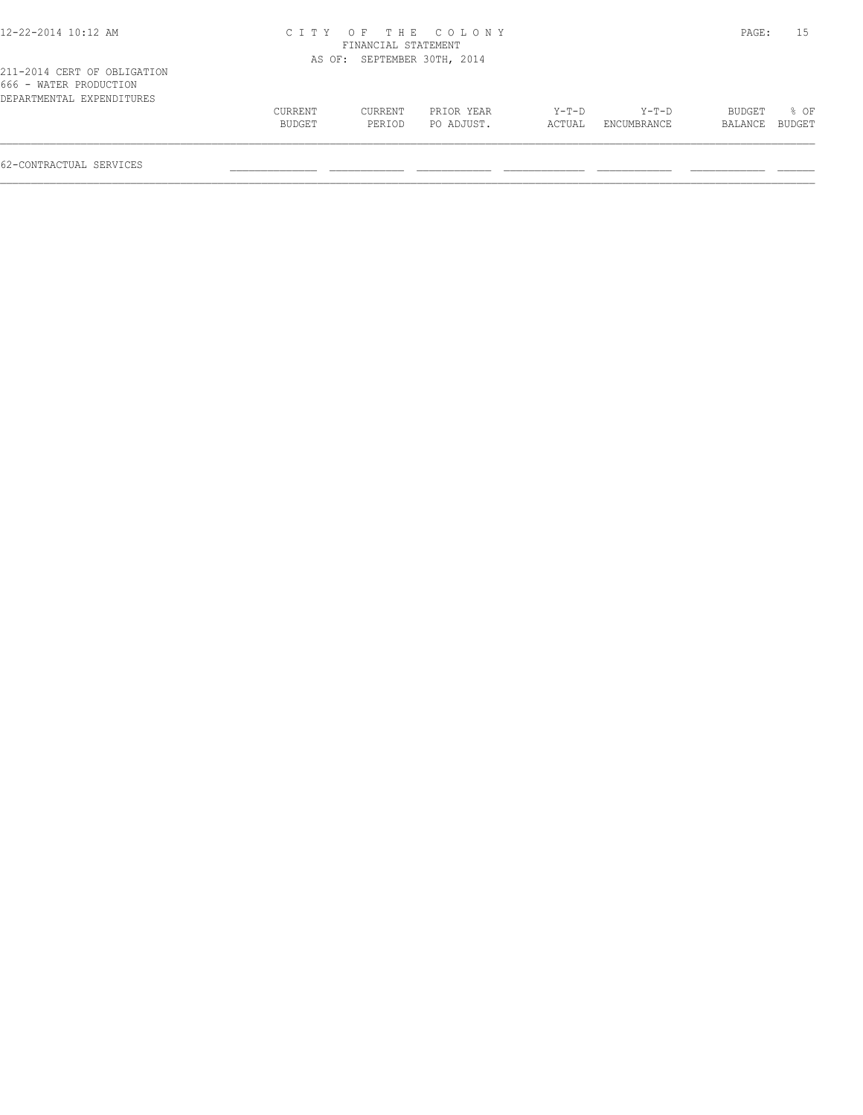| 12-22-2014 10:12 AM                                                                |                   | FINANCIAL STATEMENT | CITY OF THE COLONY       |                   |                        | PAGE:             | 15             |
|------------------------------------------------------------------------------------|-------------------|---------------------|--------------------------|-------------------|------------------------|-------------------|----------------|
|                                                                                    | AS OF:            |                     | SEPTEMBER 30TH, 2014     |                   |                        |                   |                |
| 211-2014 CERT OF OBLIGATION<br>666 - WATER PRODUCTION<br>DEPARTMENTAL EXPENDITURES | CURRENT<br>BUDGET | CURRENT<br>PERIOD   | PRIOR YEAR<br>PO ADJUST. | $Y-T-D$<br>ACTUAL | $Y-T-D$<br>ENCUMBRANCE | BUDGET<br>BALANCE | 8 OF<br>BUDGET |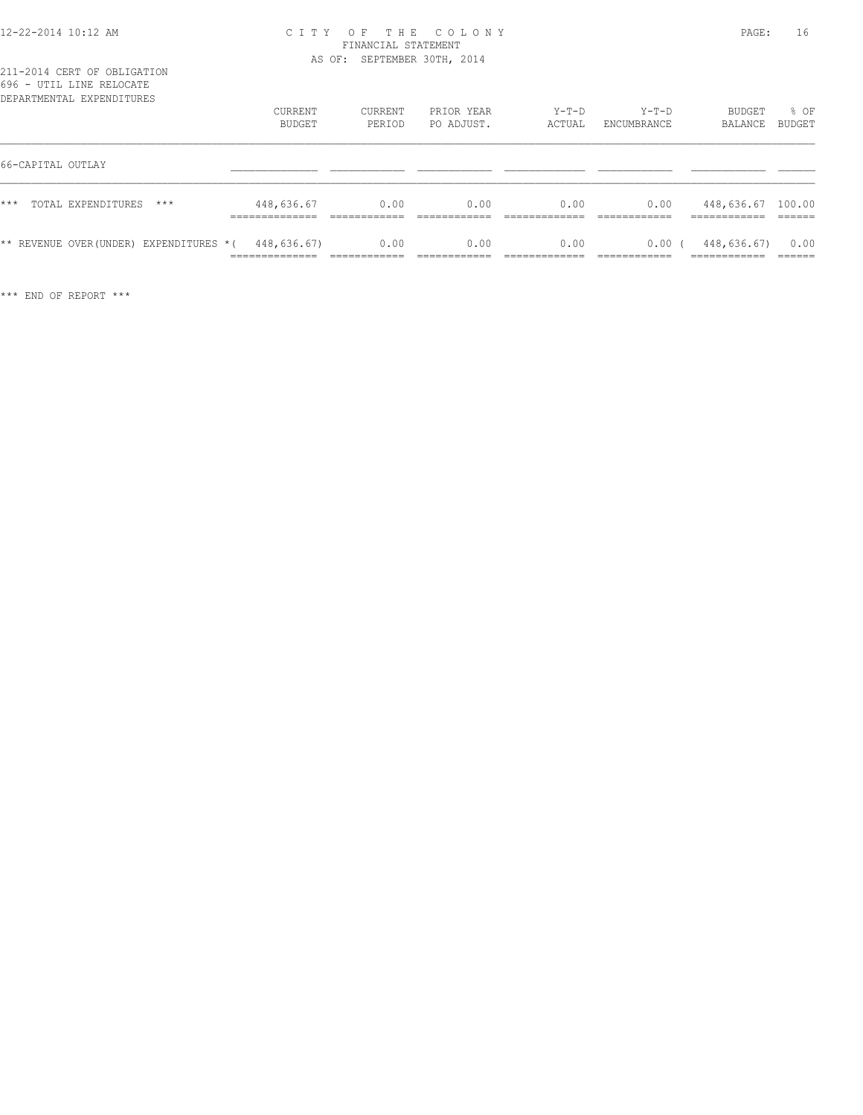## 12-22-2014 10:12 AM C I T Y O F T H E C O L O N Y PAGE: 16 FINANCIAL STATEMENT AS OF: SEPTEMBER 30TH, 2014

| DEPARTMENTAL EXPENDITURES                             | CURRENT<br><b>BUDGET</b>        | CURRENT<br>PERIOD | PRIOR YEAR<br>PO ADJUST. | Y-T-D<br>ACTUAL | Y-T-D<br>ENCUMBRANCE  | BUDGET<br>BALANCE                           | % OF<br>BUDGET |
|-------------------------------------------------------|---------------------------------|-------------------|--------------------------|-----------------|-----------------------|---------------------------------------------|----------------|
| 66-CAPITAL OUTLAY                                     |                                 |                   |                          |                 |                       |                                             |                |
| $***$<br>TOTAL EXPENDITURES<br>$***$                  | 448,636.67<br>______________    | 0.00              | 0.00                     | 0.00            | 0.00                  | 448,636.67 100.00                           |                |
| ** REVENUE OVER (UNDER) EXPENDITURES $*($ 448,636.67) | ______________<br>------------- | 0.00              | 0.00                     | 0.00            | 0.00(<br>____________ | 448,636.67)<br>____________<br>____________ | 0.00<br>______ |

\*\*\* END OF REPORT \*\*\*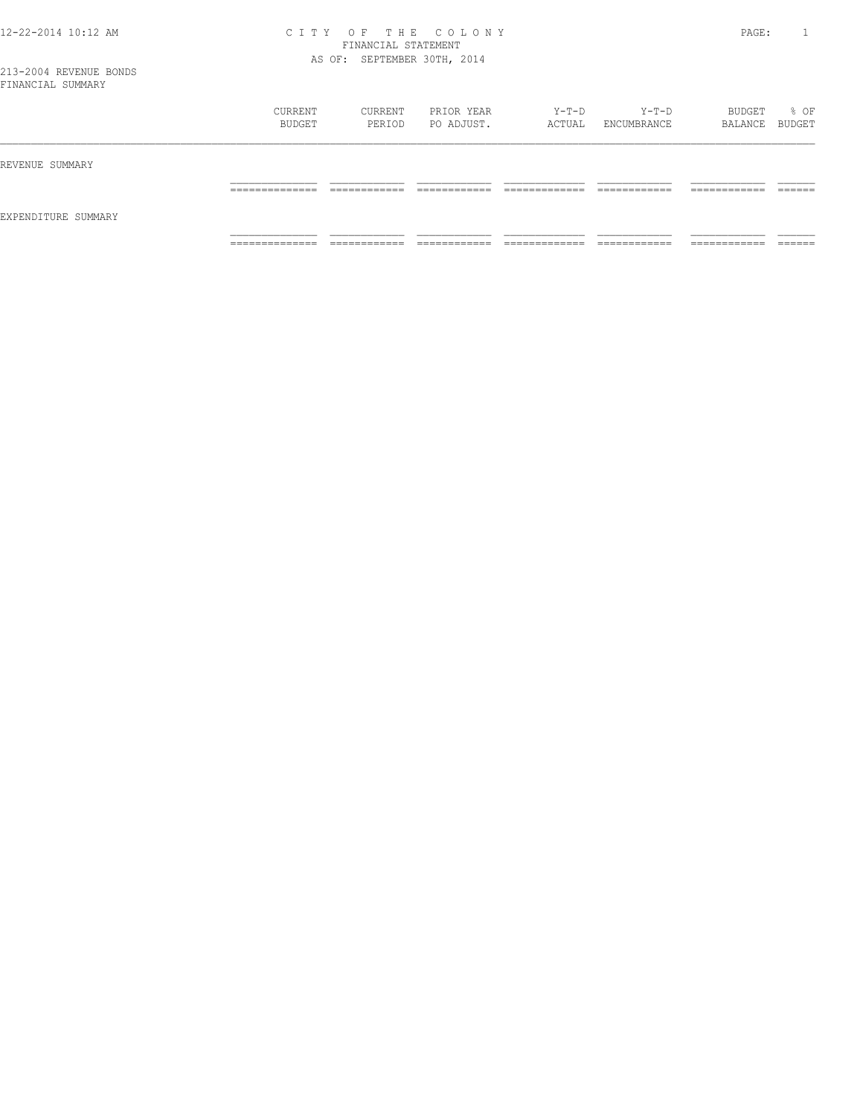## 12-22-2014 10:12 AM C I T Y O F T H E C O L O N Y PAGE: 1 FINANCIAL STATEMENT AS OF: SEPTEMBER 30TH, 2014

| IL INVINCIALE OOPERINI |                                  |                              |                              |                                 |                              |                               |                    |
|------------------------|----------------------------------|------------------------------|------------------------------|---------------------------------|------------------------------|-------------------------------|--------------------|
|                        | CURRENT<br>BUDGET                | CURRENT<br>PERIOD            | PRIOR YEAR<br>PO ADJUST.     | $Y-T-D$<br>ACTUAL               | $Y-T-D$<br>ENCUMBRANCE       | BUDGET<br>BALANCE BUDGET      | % OF               |
| REVENUE SUMMARY        |                                  |                              |                              |                                 |                              |                               |                    |
| EXPENDITURE SUMMARY    | ______________<br>______________ | ____________<br>____________ | ____________<br>____________ | _____________<br>______________ | ____________<br>____________ | ____________<br>------------- | -------<br>_______ |
|                        | ______________<br>______________ | ___________<br>____________  | ____________<br>____________ | _____________<br>______________ | ____________<br>____________ | -------------<br>____________ | ______<br>_______  |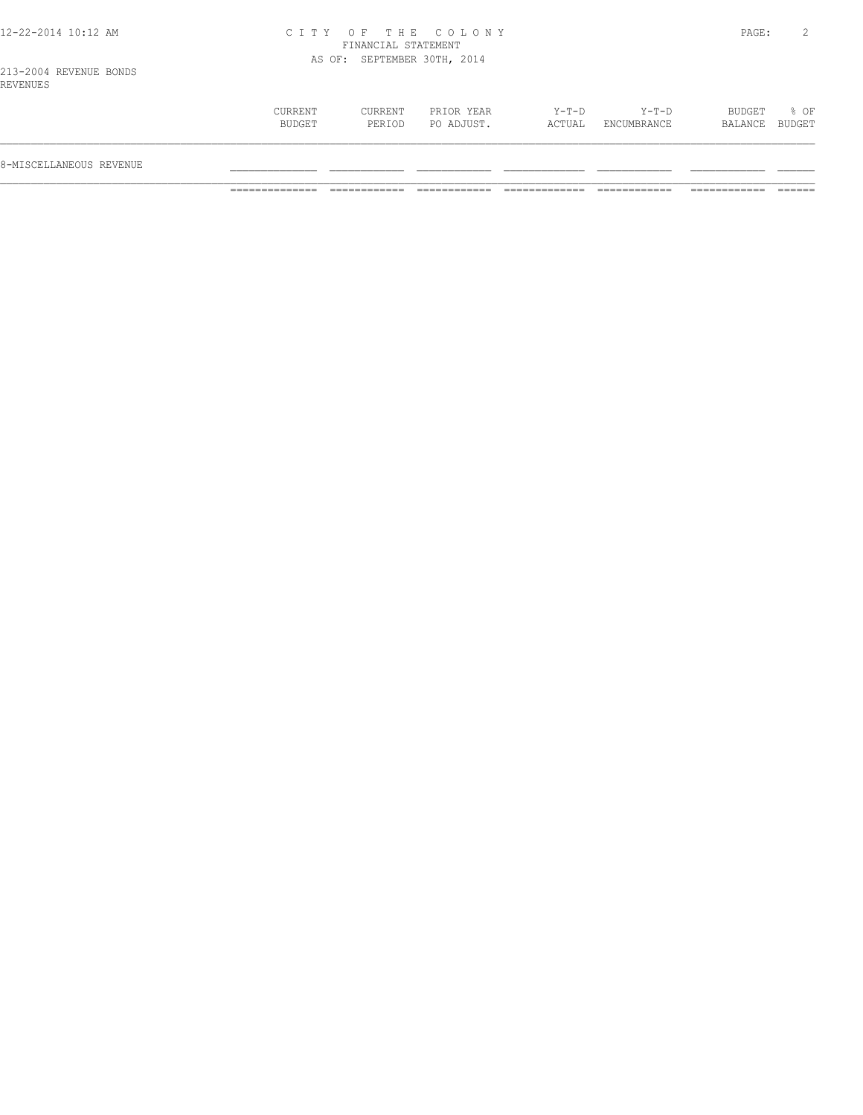## 12-22-2014 10:12 AM C I T Y O F T H E C O L O N Y PAGE: 2 FINANCIAL STATEMENT AS OF: SEPTEMBER 30TH, 2014

213-2004 REVENUE BONDS REVENUES

| $Y-T-D$<br>$Y-T-D$<br>CURRENT<br>CURRENT<br>BUDGET<br>PRIOR YEAR<br>PO ADJUST.<br>BUDGET<br>ACTUAL<br>PERIOD<br>ENCUMBRANCE<br>BALANCE<br>8-MISCELLANEOUS REVENUE |  |  |  |                |
|-------------------------------------------------------------------------------------------------------------------------------------------------------------------|--|--|--|----------------|
|                                                                                                                                                                   |  |  |  |                |
|                                                                                                                                                                   |  |  |  | % OF<br>BUDGET |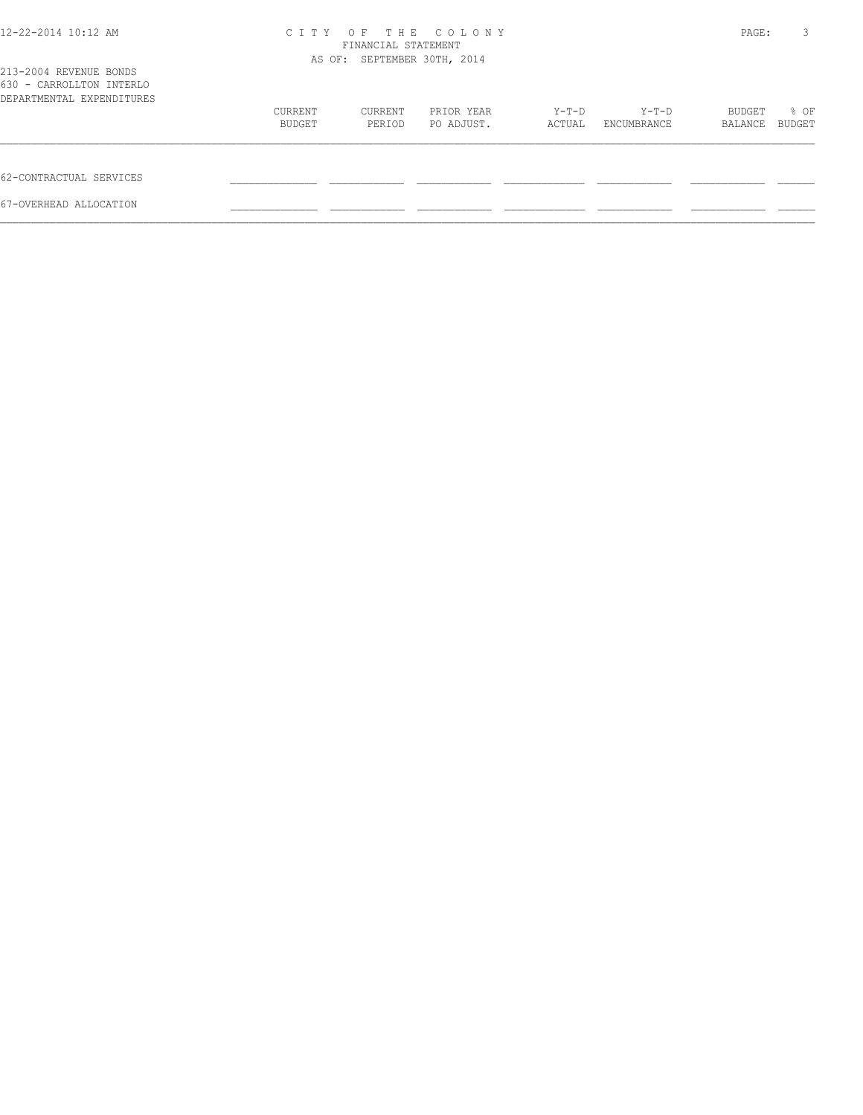| 12-22-2014 10:12 AM                                                             | CITY OF THE COLONY<br>FINANCIAL STATEMENT<br>AS OF: SEPTEMBER 30TH, 2014 |         |            |        |             |         | 3      |
|---------------------------------------------------------------------------------|--------------------------------------------------------------------------|---------|------------|--------|-------------|---------|--------|
| 213-2004 REVENUE BONDS<br>630 - CARROLLTON INTERLO<br>DEPARTMENTAL EXPENDITURES |                                                                          |         |            |        |             |         |        |
|                                                                                 | CURRENT                                                                  | CURRENT | PRIOR YEAR | Y-T-D  | Y-T-D       | BUDGET  | % OF   |
|                                                                                 | BUDGET                                                                   | PERIOD  | PO ADJUST. | ACTUAL | ENCUMBRANCE | BALANCE | BUDGET |
| 62-CONTRACTUAL SERVICES                                                         |                                                                          |         |            |        |             |         |        |
| 67-OVERHEAD ALLOCATION                                                          |                                                                          |         |            |        |             |         |        |
|                                                                                 |                                                                          |         |            |        |             |         |        |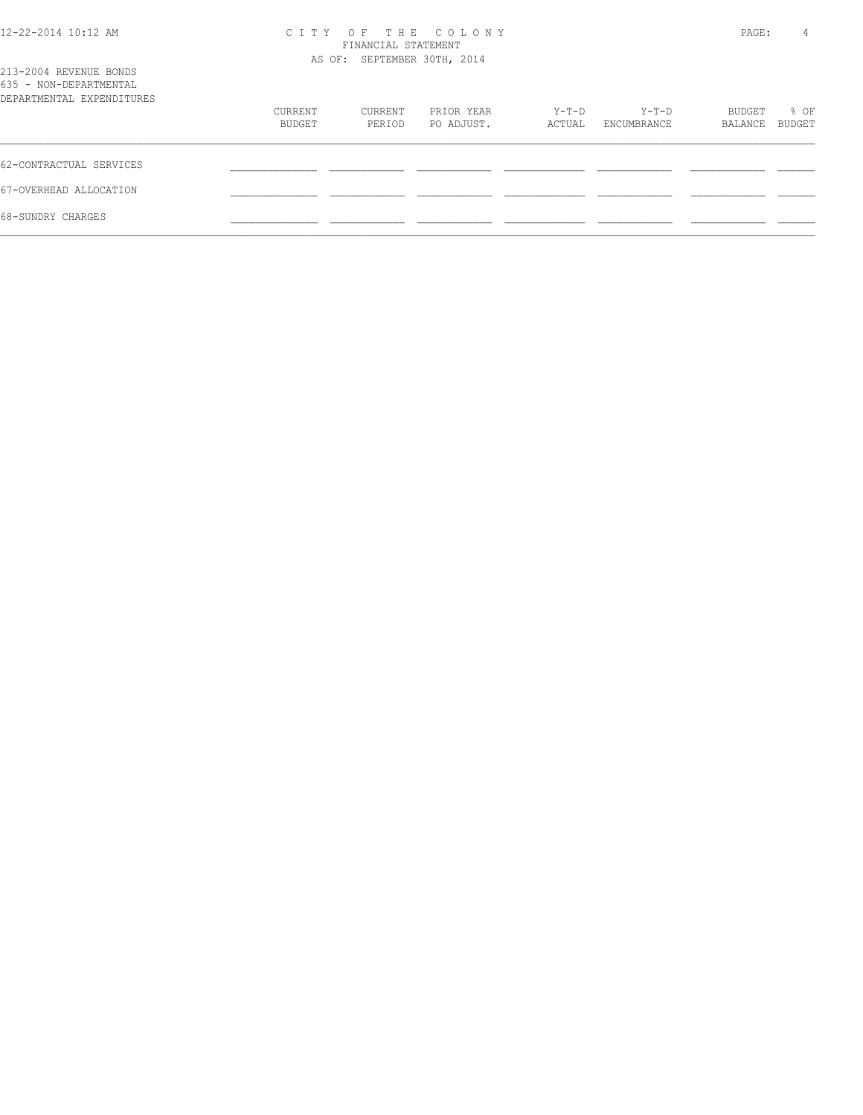| 12-22-2014 10:12 AM |  |  |
|---------------------|--|--|
|---------------------|--|--|

## 12-22-2014 10:12 AM C I T Y O F T H E C O L O N Y PAGE: 4 FINANCIAL STATEMENT

| 213-2004 REVENUE BONDS<br>635 - NON-DEPARTMENTAL |                   |                   | AS OF: SEPTEMBER 30TH, 2014 |                 |                      |                   |                       |
|--------------------------------------------------|-------------------|-------------------|-----------------------------|-----------------|----------------------|-------------------|-----------------------|
| DEPARTMENTAL EXPENDITURES                        | CURRENT<br>BUDGET | CURRENT<br>PERIOD | PRIOR YEAR<br>PO ADJUST.    | Y-T-D<br>ACTUAL | Y-T-D<br>ENCUMBRANCE | BUDGET<br>BALANCE | % OF<br><b>BUDGET</b> |
| 62-CONTRACTUAL SERVICES                          |                   |                   |                             |                 |                      |                   |                       |
| 67-OVERHEAD ALLOCATION                           |                   |                   |                             |                 |                      |                   |                       |
| 68-SUNDRY CHARGES                                |                   |                   |                             |                 |                      |                   |                       |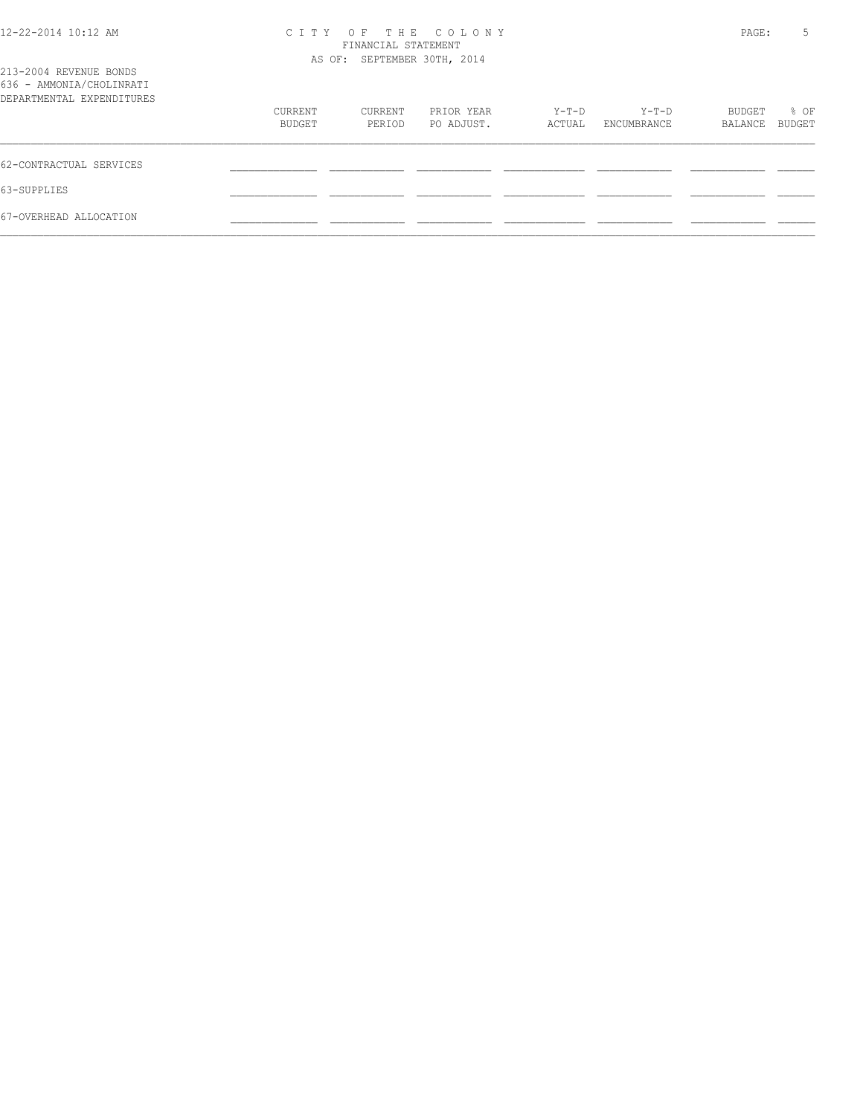| 12-22-2014 10:12 AM<br>213-2004 REVENUE BONDS         | C I T Y | FINANCIAL STATEMENT<br>AS OF: SEPTEMBER 30TH, 2014 | OF THE COLONY |        |             | PAGE:   | 5             |
|-------------------------------------------------------|---------|----------------------------------------------------|---------------|--------|-------------|---------|---------------|
| 636 - AMMONIA/CHOLINRATI<br>DEPARTMENTAL EXPENDITURES |         |                                                    |               |        |             |         |               |
|                                                       | CURRENT | CURRENT                                            | PRIOR YEAR    | Y-T-D  | Y-T-D       | BUDGET  | % OF          |
|                                                       | BUDGET  | PERIOD                                             | PO ADJUST.    | ACTUAL | ENCUMBRANCE | BALANCE | <b>BUDGET</b> |
| 62-CONTRACTUAL SERVICES                               |         |                                                    |               |        |             |         |               |
| 63-SUPPLIES                                           |         |                                                    |               |        |             |         |               |
| 67-OVERHEAD ALLOCATION                                |         |                                                    |               |        |             |         |               |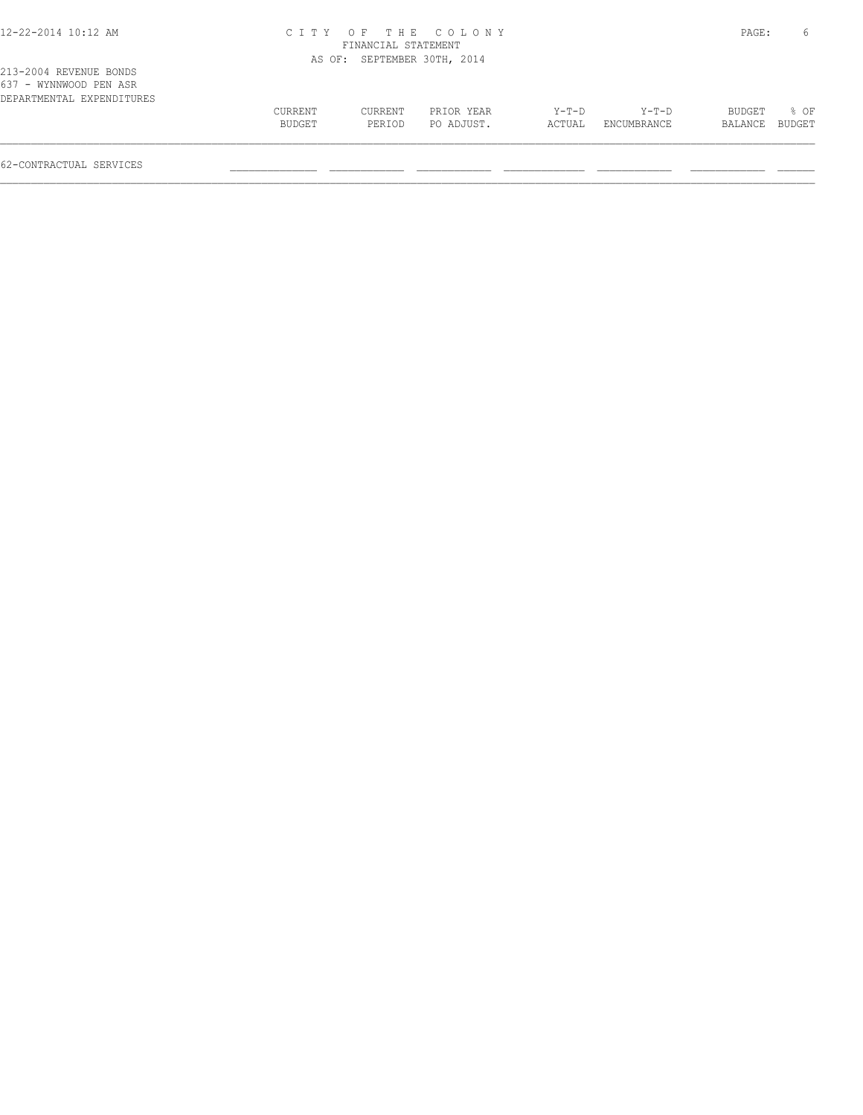## 12-22-2014 10:12 AM C I T Y O F T H E C O L O N Y PAGE: 6 FINANCIAL STATEMENT

|                                                                               |                   |                   | AS OF: SEPTEMBER 30TH, 2014 |                 |                        |                          |      |
|-------------------------------------------------------------------------------|-------------------|-------------------|-----------------------------|-----------------|------------------------|--------------------------|------|
| 213-2004 REVENUE BONDS<br>637 - WYNNWOOD PEN ASR<br>DEPARTMENTAL EXPENDITURES |                   |                   |                             |                 |                        |                          |      |
|                                                                               | CURRENT<br>BUDGET | CURRENT<br>PERIOD | PRIOR YEAR<br>PO ADJUST.    | Y-T-D<br>ACTUAL | $Y-T-D$<br>ENCUMBRANCE | BUDGET<br>BALANCE BUDGET | 8 OF |
|                                                                               |                   |                   |                             |                 |                        |                          |      |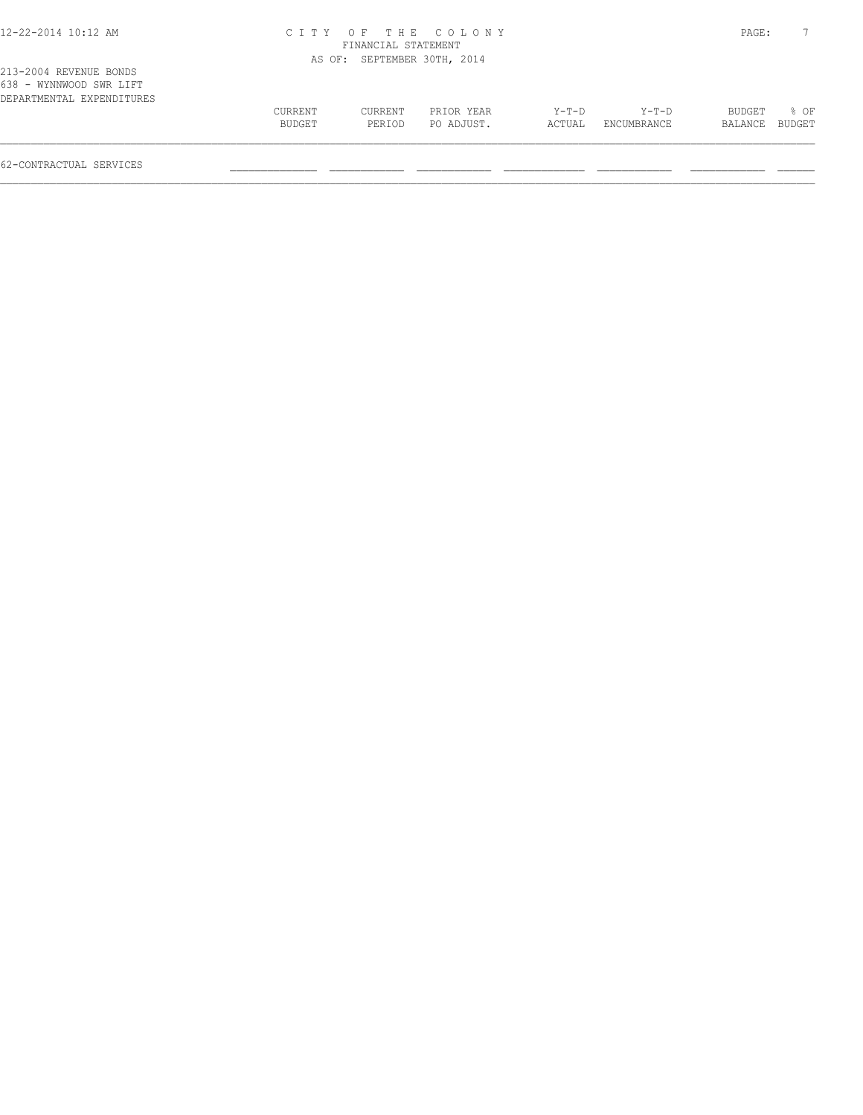## 12-22-2014 10:12 AM C I T Y O F T H E C O L O N Y PAGE: 7 FINANCIAL STATEMENT

|                                                                                |         |         | AS OF: SEPTEMBER 30TH, 2014 |         |             |         |        |
|--------------------------------------------------------------------------------|---------|---------|-----------------------------|---------|-------------|---------|--------|
| 213-2004 REVENUE BONDS<br>638 - WYNNWOOD SWR LIFT<br>DEPARTMENTAL EXPENDITURES |         |         |                             |         |             |         |        |
|                                                                                | CURRENT | CURRENT | PRIOR YEAR                  | $Y-T-D$ | $Y-T-D$     | BUDGET  | 8 OF   |
|                                                                                | BUDGET  | PERIOD  | PO ADJUST.                  | ACTUAL  | ENCUMBRANCE | BALANCE | BUDGET |
|                                                                                |         |         |                             |         |             |         |        |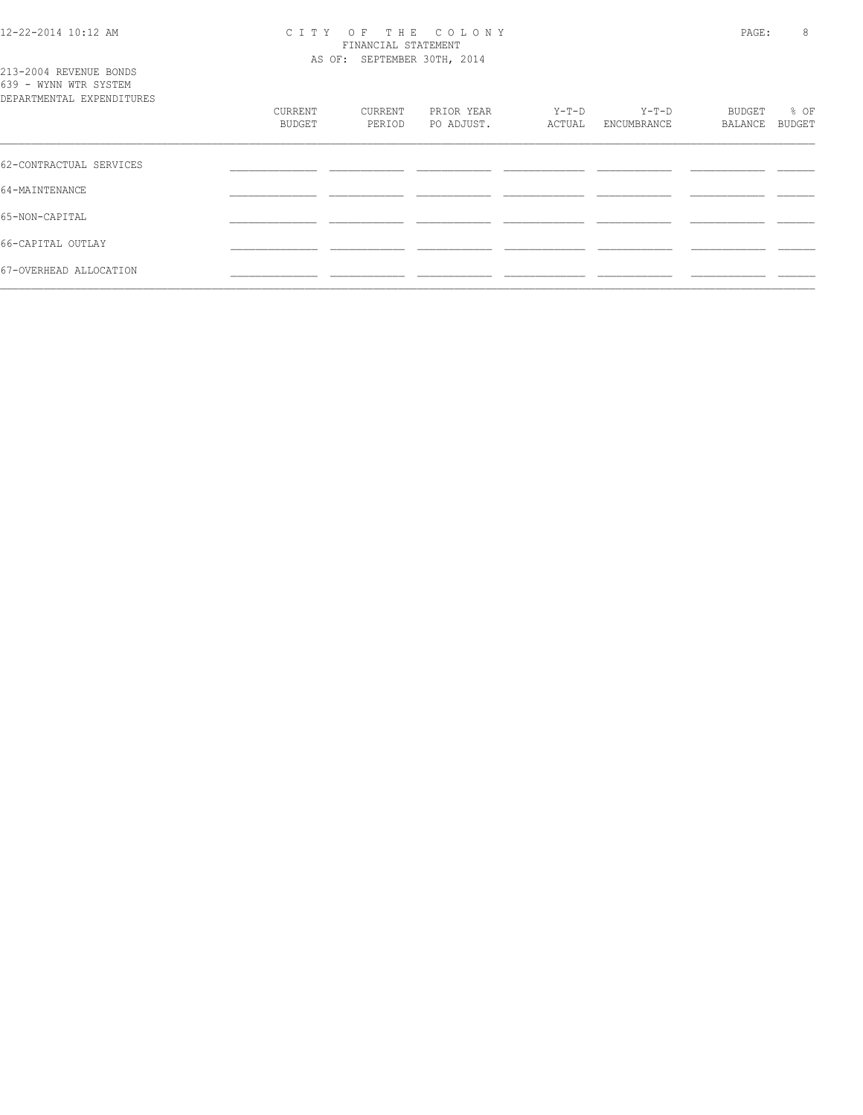213-2004 REVENUE BONDS

### 12-22-2014 10:12 AM C I T Y O F T H E C O L O N Y PAGE: 8 FINANCIAL STATEMENT AS OF: SEPTEMBER 30TH, 2014

| 639 - WYNN WTR SYSTEM<br>DEPARTMENTAL EXPENDITURES |                   |                   |                          |                   |                      |                   |                |
|----------------------------------------------------|-------------------|-------------------|--------------------------|-------------------|----------------------|-------------------|----------------|
|                                                    | CURRENT<br>BUDGET | CURRENT<br>PERIOD | PRIOR YEAR<br>PO ADJUST. | $Y-T-D$<br>ACTUAL | Y-T-D<br>ENCUMBRANCE | BUDGET<br>BALANCE | % OF<br>BUDGET |
| 62-CONTRACTUAL SERVICES                            |                   |                   |                          |                   |                      |                   |                |
| 64-MAINTENANCE                                     |                   |                   |                          |                   |                      |                   |                |
| 65-NON-CAPITAL                                     |                   |                   |                          |                   |                      |                   |                |
| 66-CAPITAL OUTLAY                                  |                   |                   |                          |                   |                      |                   |                |
| 67-OVERHEAD ALLOCATION                             |                   |                   |                          |                   |                      |                   |                |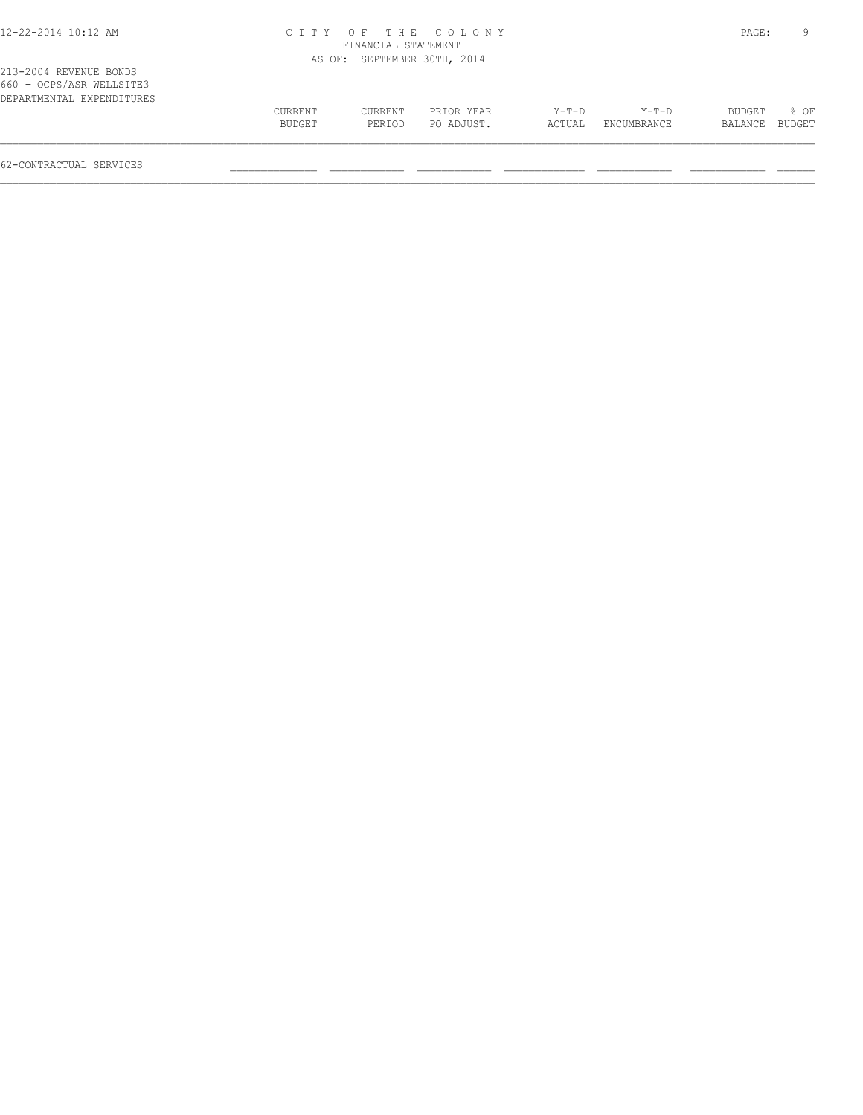## 12-22-2014 10:12 AM C I T Y O F T H E C O L O N Y PAGE: 9 FINANCIAL STATEMENT AS OF: SEPTEMBER 30TH, 2014

|  | 213-2004 REVENUE BONDS    |  |  |  |
|--|---------------------------|--|--|--|
|  | 660 - OCPS/ASR WELLSITE3  |  |  |  |
|  | DEPARTMENTAL EXPENDITURES |  |  |  |

| DEPARTMENTAL EXPENDITURES |         |         |            |         |             |         |        |
|---------------------------|---------|---------|------------|---------|-------------|---------|--------|
|                           | CURRENT | CURRENT | PRIOR YEAR | $Y-T-D$ | $Y-T-D$     | BUDGET  | % OF   |
|                           | BUDGET  | PERIOD  | PO ADJUST. | ACTUAL  | ENCUMBRANCE | BALANCE | BUDGET |
|                           |         |         |            |         |             |         |        |
|                           |         |         |            |         |             |         |        |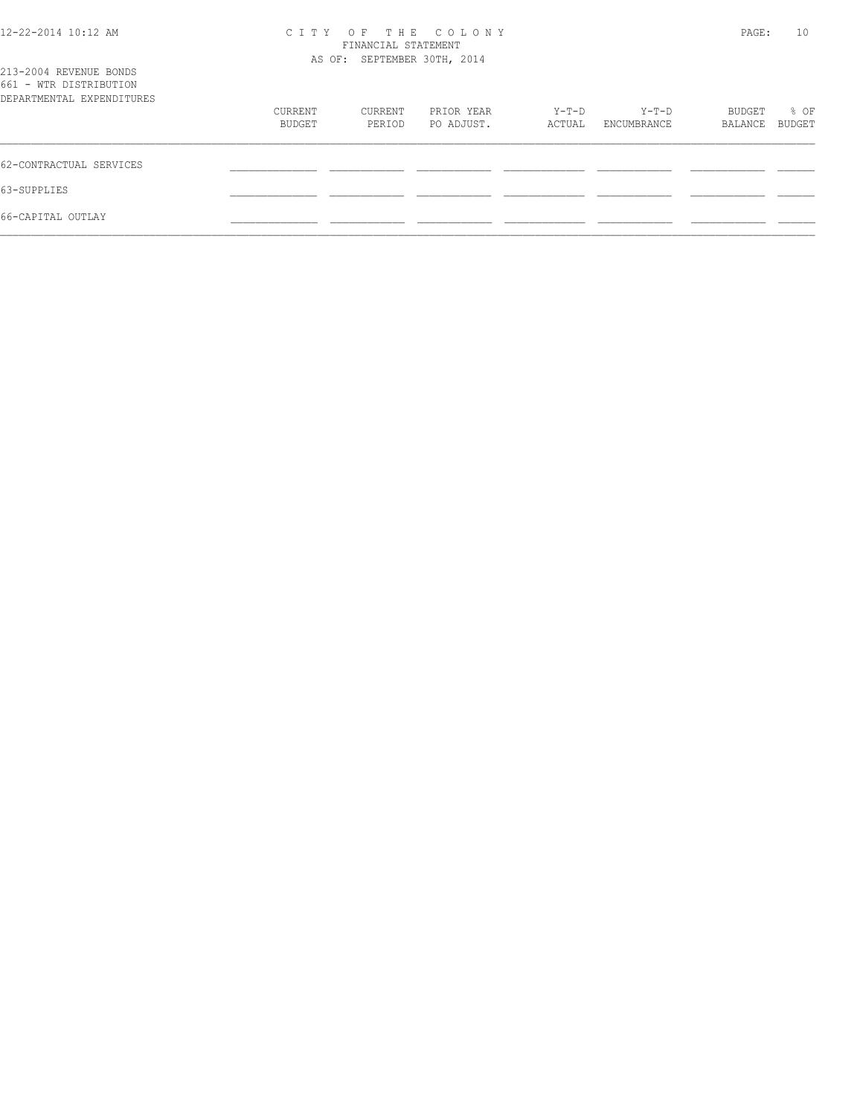| 12-22-2014 10:12 AM<br>213-2004 REVENUE BONDS       | C T T Y           | FINANCIAL STATEMENT<br>AS OF: SEPTEMBER 30TH, 2014 | OF THE COLONY            |                 |                      | PAGE:             | 10             |
|-----------------------------------------------------|-------------------|----------------------------------------------------|--------------------------|-----------------|----------------------|-------------------|----------------|
| 661 - WTR DISTRIBUTION<br>DEPARTMENTAL EXPENDITURES |                   |                                                    |                          |                 |                      |                   |                |
|                                                     | CURRENT<br>BUDGET | CURRENT<br>PERIOD                                  | PRIOR YEAR<br>PO ADJUST. | Y-T-D<br>ACTUAL | Y-T-D<br>ENCUMBRANCE | BUDGET<br>BALANCE | % OF<br>BUDGET |
| 62-CONTRACTUAL SERVICES                             |                   |                                                    |                          |                 |                      |                   |                |
| 63-SUPPLIES                                         |                   |                                                    |                          |                 |                      |                   |                |
| 66-CAPITAL OUTLAY                                   |                   |                                                    |                          |                 |                      |                   |                |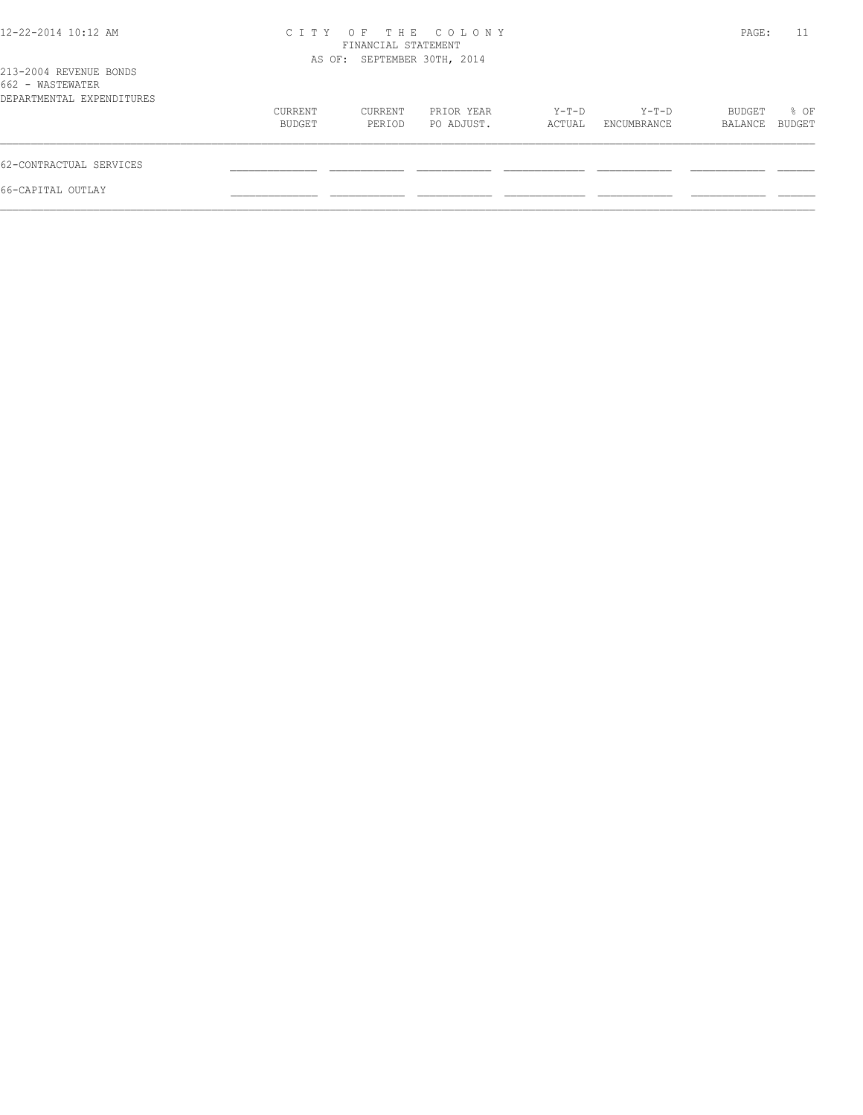| $12 - 22 - 2014$ 10:12 AM                                               |                   | FINANCIAL STATEMENT         | CITY OF THE COLONY       |                   |                      | PAGE:             | 11             |
|-------------------------------------------------------------------------|-------------------|-----------------------------|--------------------------|-------------------|----------------------|-------------------|----------------|
| 213-2004 REVENUE BONDS<br>662 - WASTEWATER<br>DEPARTMENTAL EXPENDITURES |                   | AS OF: SEPTEMBER 30TH, 2014 |                          |                   |                      |                   |                |
|                                                                         | CURRENT<br>BUDGET | CURRENT<br>PERIOD           | PRIOR YEAR<br>PO ADJUST. | $Y-T-D$<br>ACTUAL | Y-T-D<br>ENCUMBRANCE | BUDGET<br>BALANCE | % OF<br>BUDGET |
| 62-CONTRACTUAL SERVICES                                                 |                   |                             |                          |                   |                      |                   |                |
| 66-CAPITAL OUTLAY                                                       |                   |                             |                          |                   |                      |                   |                |
|                                                                         |                   |                             |                          |                   |                      |                   |                |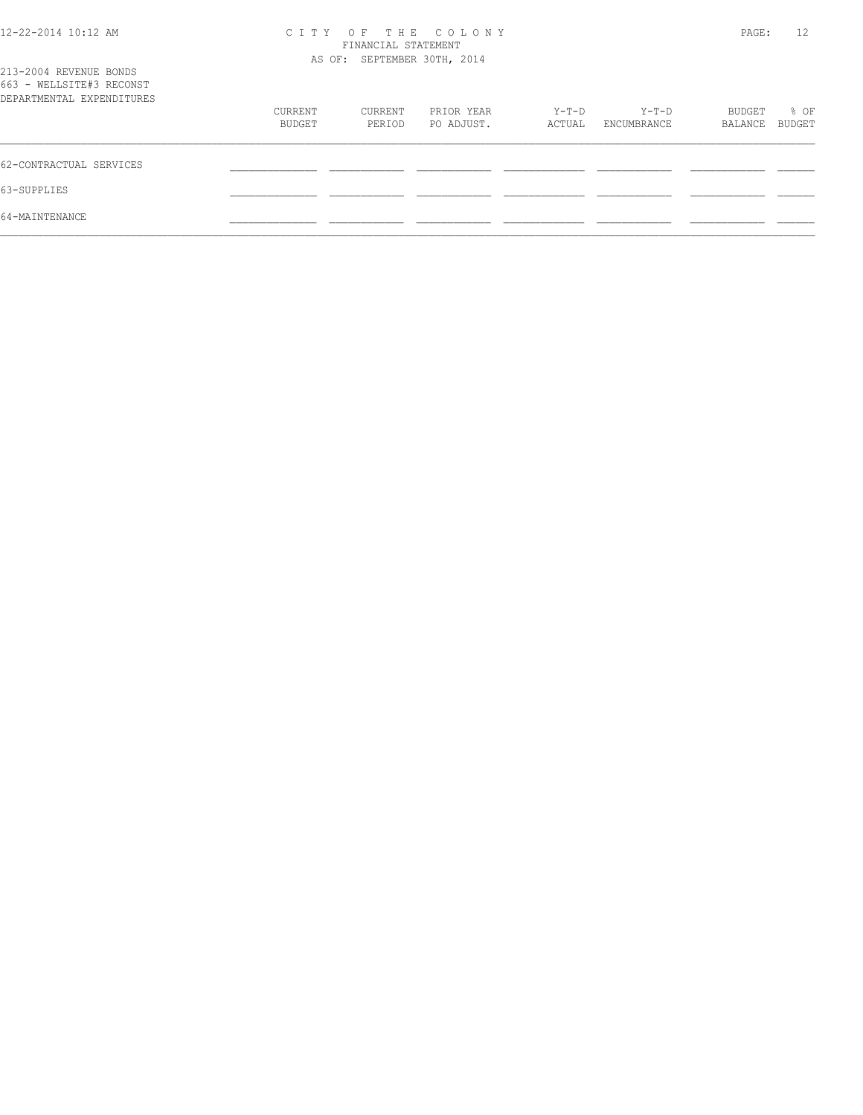| 12-22-2014 10:12 AM                                                             |         | FINANCIAL STATEMENT<br>AS OF: SEPTEMBER 30TH, 2014 | CITY OF THE COLONY |        |             | PAGE:   | 12     |
|---------------------------------------------------------------------------------|---------|----------------------------------------------------|--------------------|--------|-------------|---------|--------|
| 213-2004 REVENUE BONDS<br>663 - WELLSITE#3 RECONST<br>DEPARTMENTAL EXPENDITURES |         |                                                    |                    |        |             |         |        |
|                                                                                 | CURRENT | CURRENT                                            | PRIOR YEAR         | Y-T-D  | Y-T-D       | BUDGET  | % OF   |
|                                                                                 | BUDGET  | PERIOD                                             | PO ADJUST.         | ACTUAL | ENCUMBRANCE | BALANCE | BUDGET |
| 62-CONTRACTUAL SERVICES                                                         |         |                                                    |                    |        |             |         |        |
| 63-SUPPLIES                                                                     |         |                                                    |                    |        |             |         |        |
| 64-MAINTENANCE                                                                  |         |                                                    |                    |        |             |         |        |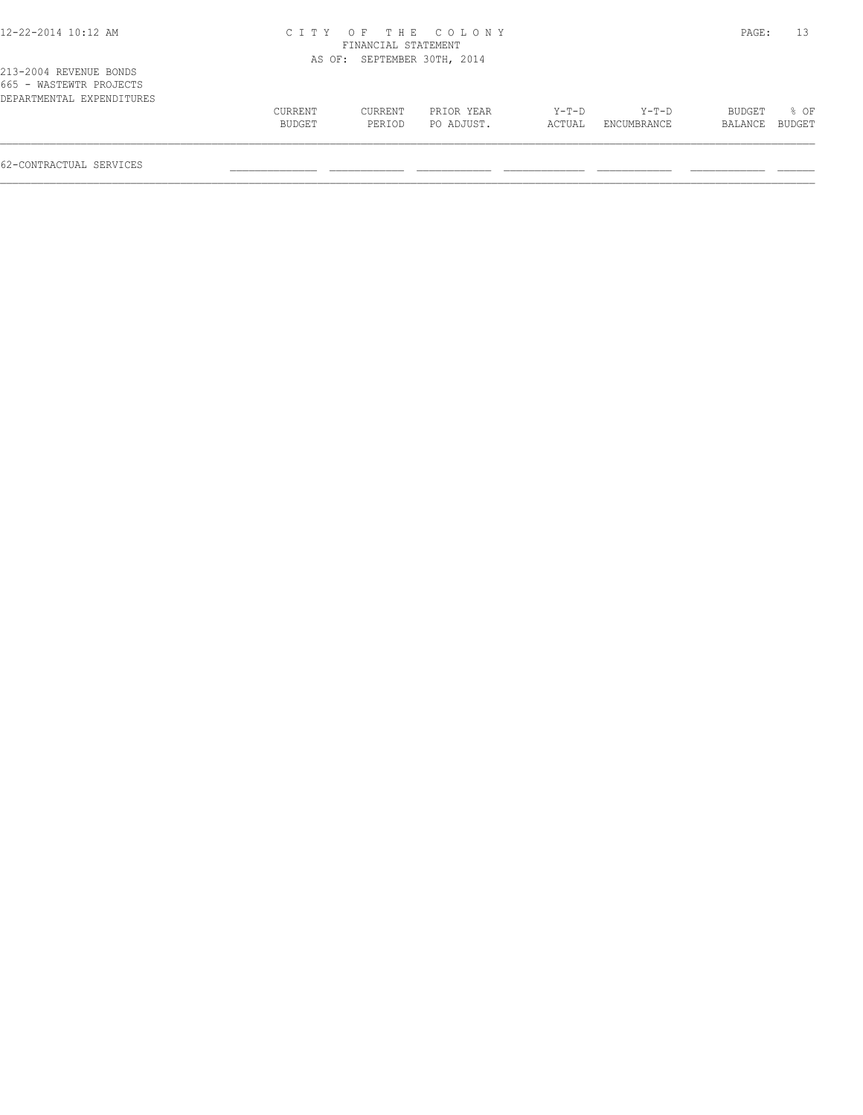## 12-22-2014 10:12 AM C I T Y O F T H E C O L O N Y PAGE: 13 FINANCIAL STATEMENT OTH, 2014

|                           |  | AS OF: SEPTEMBER 30T |  |
|---------------------------|--|----------------------|--|
| 213-2004 REVENUE BONDS    |  |                      |  |
| 665 - WASTEWTR PROJECTS   |  |                      |  |
| DEPARTMENTAL EXPENDITURES |  |                      |  |

| DEPARTMENTAL EXPENDITURES | CURRENT | CURRENT | PRIOR YEAR | Y-T-D  | $Y - T - D$ | BUDGET  | % OF   |
|---------------------------|---------|---------|------------|--------|-------------|---------|--------|
|                           | BUDGET  | PERIOD  | PO ADJUST. | ACTUAL | ENCUMBRANCE | BALANCE | BUDGET |
|                           |         |         |            |        |             |         |        |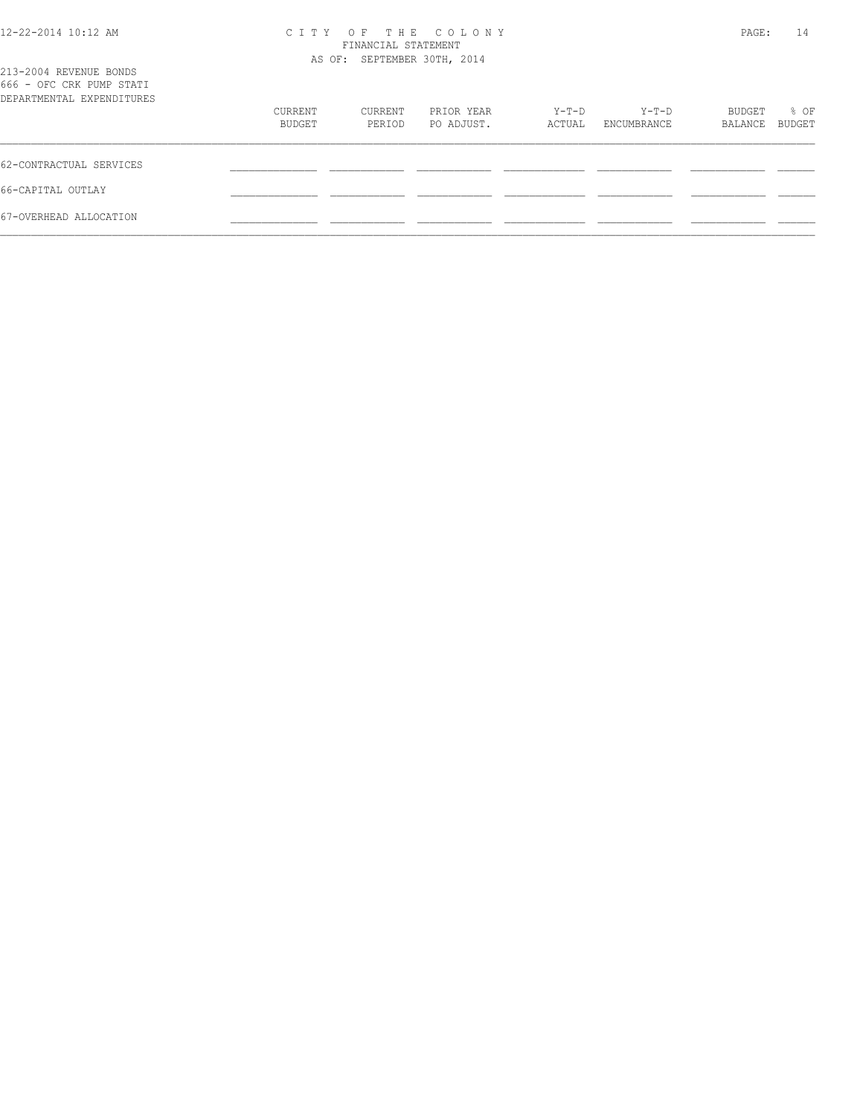| 12-22-2014 10:12 AM |  |  |  |  |  |
|---------------------|--|--|--|--|--|
|---------------------|--|--|--|--|--|

## 12-22-2014 10:12 AM C I T Y O F T H E C O L O N Y PAGE: 14 FINANCIAL STATEMENT

| 213-2004 REVENUE BONDS<br>666 - OFC CRK PUMP STATI |                   |                   | AS OF: SEPTEMBER 30TH, 2014 |                 |                      |                   |                       |
|----------------------------------------------------|-------------------|-------------------|-----------------------------|-----------------|----------------------|-------------------|-----------------------|
| DEPARTMENTAL EXPENDITURES                          | CURRENT<br>BUDGET | CURRENT<br>PERIOD | PRIOR YEAR<br>PO ADJUST.    | Y-T-D<br>ACTUAL | Y-T-D<br>ENCUMBRANCE | BUDGET<br>BALANCE | % OF<br><b>BUDGET</b> |
| 62-CONTRACTUAL SERVICES                            |                   |                   |                             |                 |                      |                   |                       |
| 66-CAPITAL OUTLAY                                  |                   |                   |                             |                 |                      |                   |                       |
| 67-OVERHEAD ALLOCATION                             |                   |                   |                             |                 |                      |                   |                       |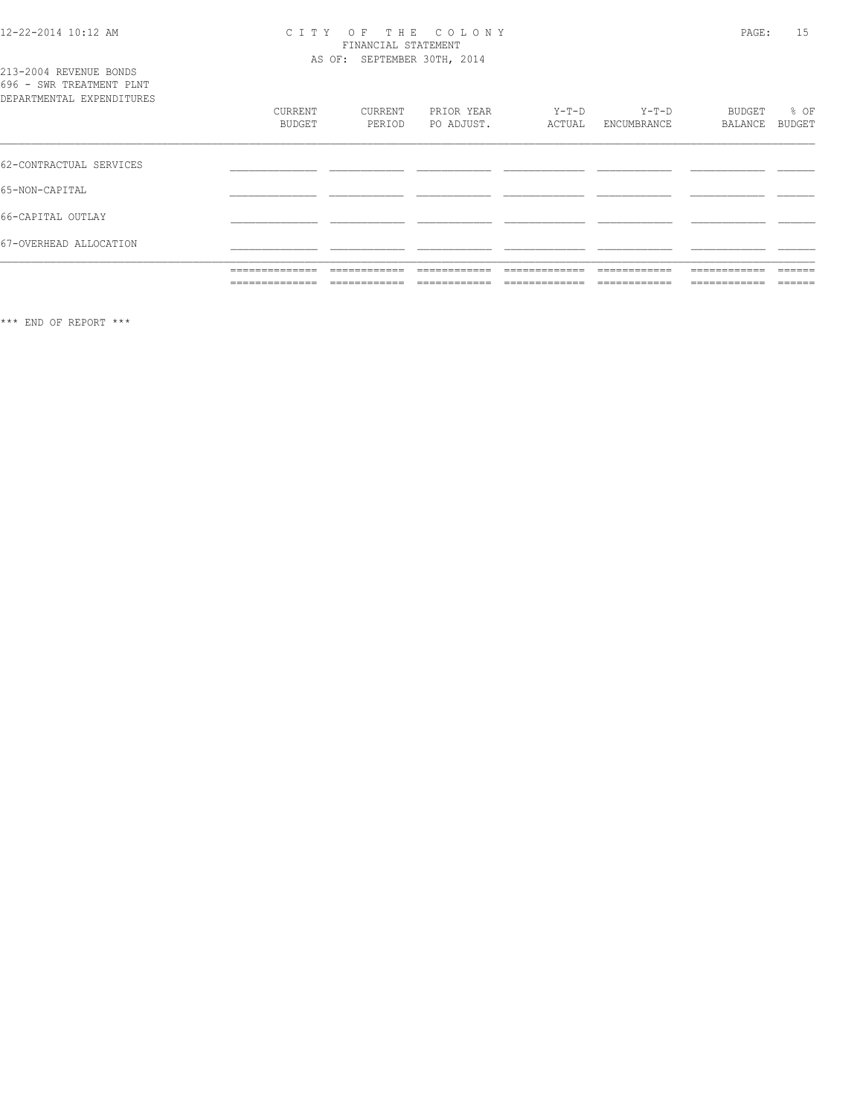## CITY OF THE COLONY<br>FINANCIAL STATEMENT<br>AS OF: SEPTEMBER 30TH, 2014

| 213-2004 REVENUE BONDS<br>696 - SWR TREATMENT PLNT<br>DEPARTMENTAL EXPENDITURES<br>62-CONTRACTUAL SERVICES<br>65-NON-CAPITAL<br>66-CAPITAL OUTLAY |                                                                             |                               |                          |                   |                        |                             |                   |
|---------------------------------------------------------------------------------------------------------------------------------------------------|-----------------------------------------------------------------------------|-------------------------------|--------------------------|-------------------|------------------------|-----------------------------|-------------------|
|                                                                                                                                                   | CURRENT<br><b>BUDGET</b>                                                    | CURRENT<br>PERIOD             | PRIOR YEAR<br>PO ADJUST. | $Y-T-D$<br>ACTUAL | $Y-T-D$<br>ENCUMBRANCE | BUDGET<br>BALANCE           | % OF<br>BUDGET    |
|                                                                                                                                                   |                                                                             |                               |                          |                   |                        |                             |                   |
|                                                                                                                                                   |                                                                             |                               |                          |                   |                        |                             |                   |
|                                                                                                                                                   |                                                                             |                               |                          |                   |                        |                             |                   |
| 67-OVERHEAD ALLOCATION                                                                                                                            |                                                                             |                               |                          |                   |                        |                             |                   |
|                                                                                                                                                   | --------------<br>مساميات المترامين المترامين المترامين المترامين المترامين | _____________<br>_________    | -------------            | _____________     | -------------          | ____________<br>__________  | -------<br>______ |
|                                                                                                                                                   | ==============                                                              | -------------<br>____________ | ------------             | ____________      | ------------           | ------------<br>----------- | ======            |

\*\*\* END OF REPORT \*\*\*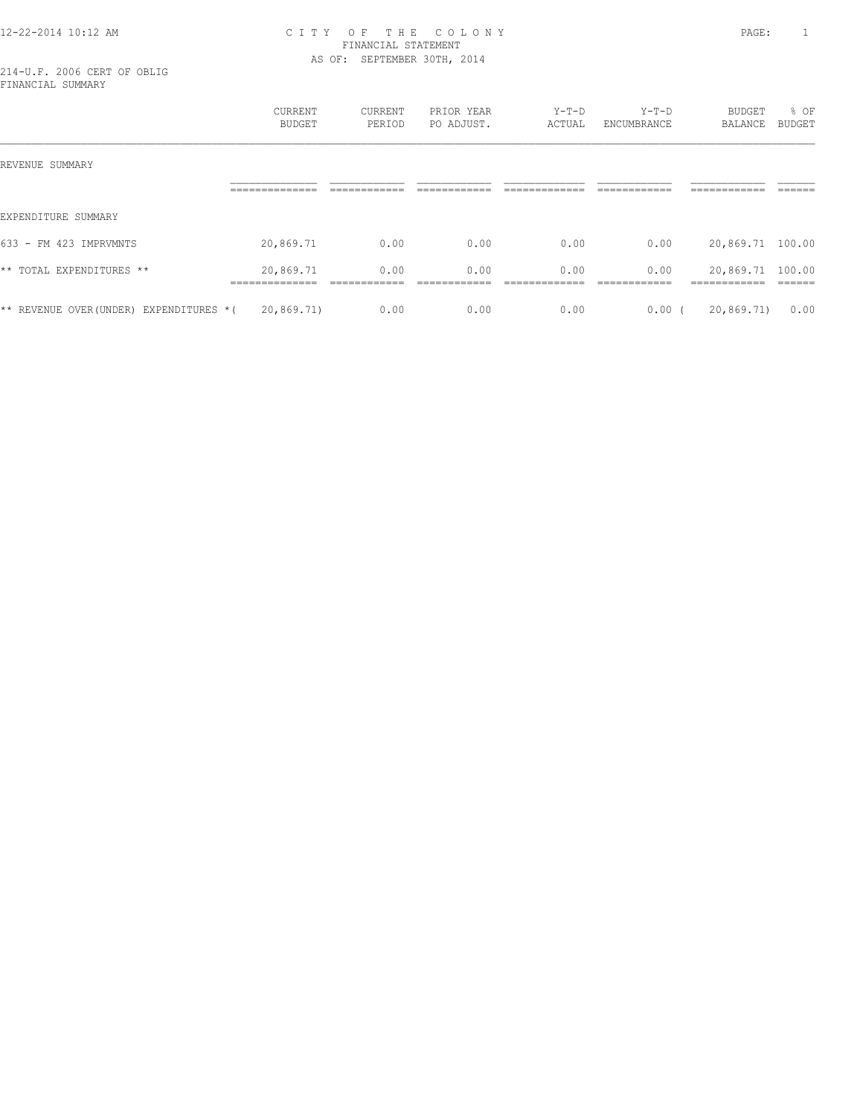## 12-22-2014 10:12 AM C I T Y O F T H E C O L O N Y PAGE: 1 FINANCIAL STATEMENT AS OF: SEPTEMBER 30TH, 2014

214-U.F. 2006 CERT OF OBLIG FINANCIAL SUMMARY

|                                         | CURRENT<br>BUDGET                            | CURRENT<br>PERIOD    | PRIOR YEAR<br>PO ADJUST. | $Y-T-D$<br>ACTUAL    | $Y-T-D$<br>ENCUMBRANCE | <b>BUDGET</b><br>BALANCE                         | % OF<br>BUDGET |
|-----------------------------------------|----------------------------------------------|----------------------|--------------------------|----------------------|------------------------|--------------------------------------------------|----------------|
| REVENUE SUMMARY                         |                                              |                      |                          |                      |                        |                                                  |                |
|                                         | _____________<br>---------------             |                      |                          |                      |                        | ------------<br>____________                     | ______         |
| EXPENDITURE SUMMARY                     |                                              |                      |                          |                      |                        |                                                  |                |
| 633 - FM 423 IMPRVMNTS                  | 20,869.71                                    | 0.00                 | 0.00                     | 0.00                 | 0.00                   | 20,869.71 100.00                                 |                |
| ** TOTAL EXPENDITURES **                | 20,869.71<br>______________<br>------------- | 0.00<br>____________ | 0.00<br>-------------    | 0.00<br>____________ | 0.00<br>-------------  | 20,869.71 100.00<br>-------------<br>----------- | -------        |
| ** REVENUE OVER (UNDER) EXPENDITURES *( | 20,869.71)                                   | 0.00                 | 0.00                     | 0.00                 | 0.00(                  | 20,869.71)                                       | 0.00           |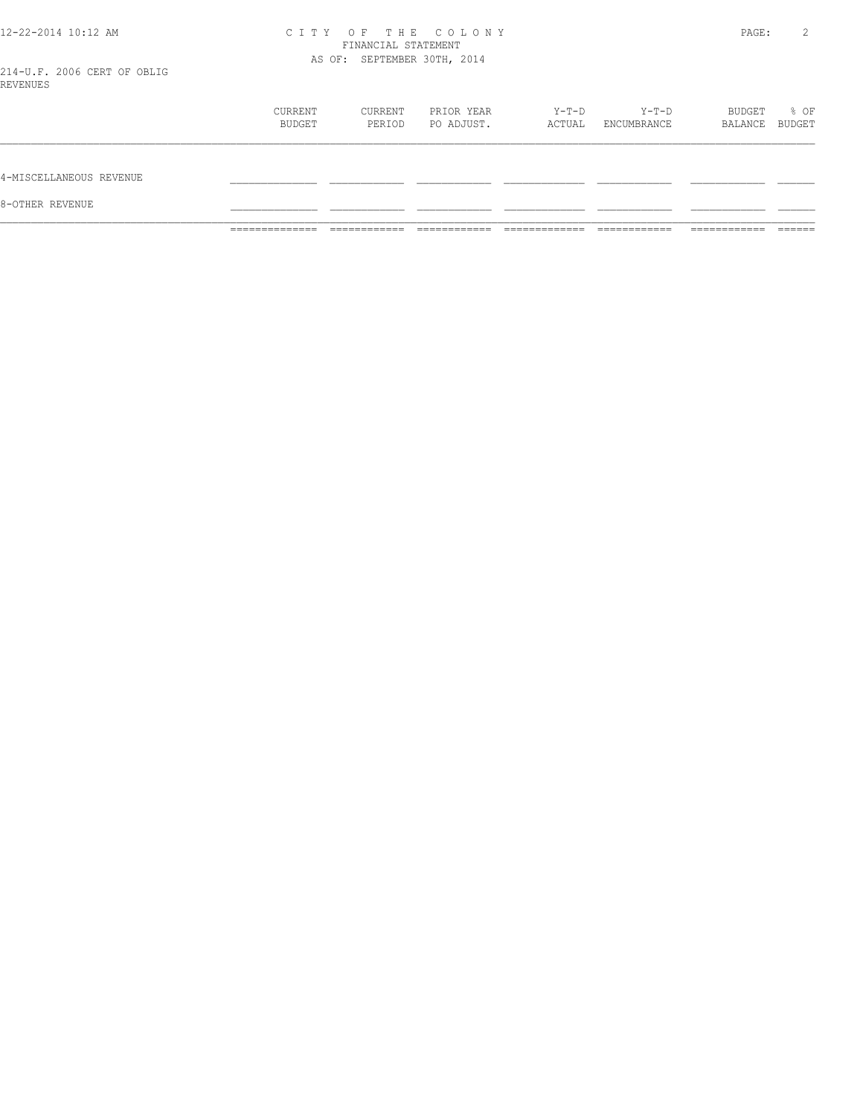# 12-22-2014 10:12 AM CITY OF THE COLONY<br>FINANCIAL STATEMENT<br>214 V.F. 2006 CERT OF ORLE

| 8-OTHER REVENUE         |                   |                   |                          |                 |                      |                          |      |
|-------------------------|-------------------|-------------------|--------------------------|-----------------|----------------------|--------------------------|------|
| 4-MISCELLANEOUS REVENUE |                   |                   |                          |                 |                      |                          |      |
|                         | CURRENT<br>BUDGET | CURRENT<br>PERIOD | PRIOR YEAR<br>PO ADJUST. | Y-T-D<br>ACTUAL | Y-T-D<br>ENCUMBRANCE | BUDGET<br>BALANCE BUDGET | % OF |
| ---------               |                   |                   |                          |                 |                      |                          |      |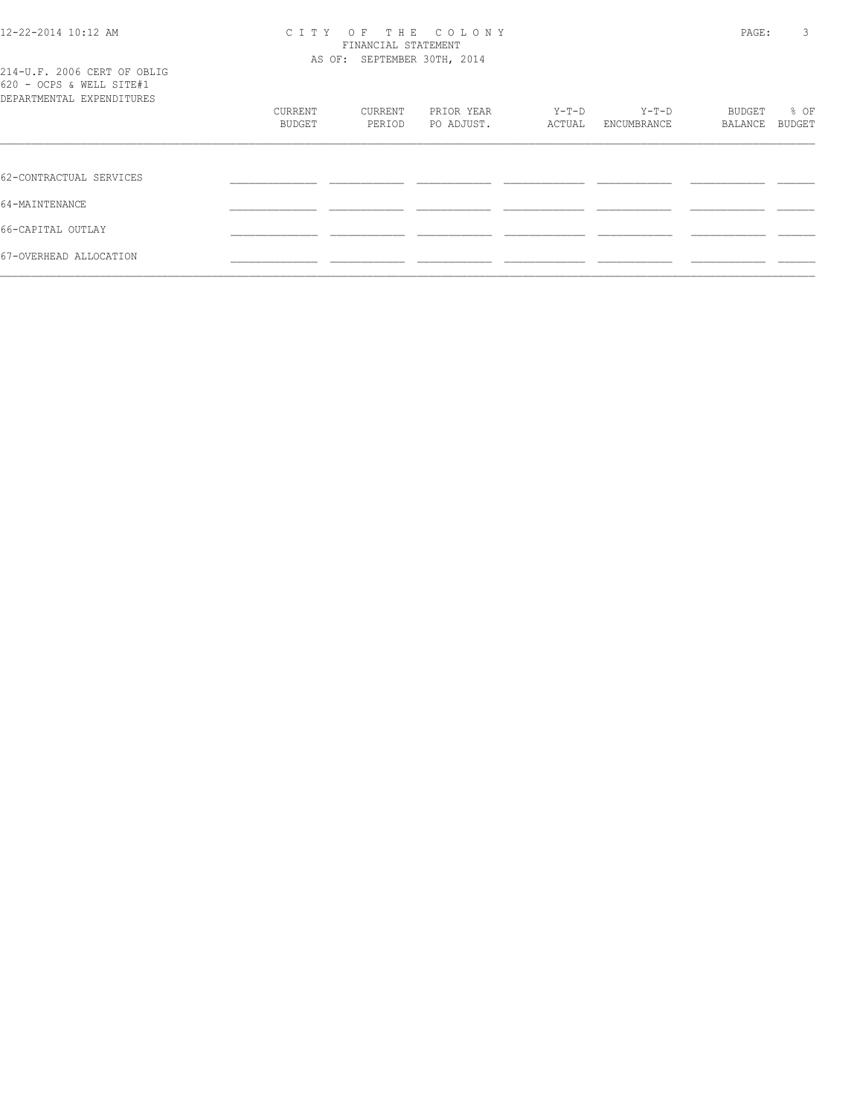214-U.F. 2006 CERT OF OBLIG

## 12-22-2014 10:12 AM C I T Y O F T H E C O L O N Y PAGE: 3 FINANCIAL STATEMENT AS OF: SEPTEMBER 30TH, 2014

| 620 - OCPS & WELL SITE#1<br>DEPARTMENTAL EXPENDITURES |                   |                   |                          |                 |                        |                   |                       |
|-------------------------------------------------------|-------------------|-------------------|--------------------------|-----------------|------------------------|-------------------|-----------------------|
|                                                       | CURRENT<br>BUDGET | CURRENT<br>PERIOD | PRIOR YEAR<br>PO ADJUST. | Y-T-D<br>ACTUAL | $Y-T-D$<br>ENCUMBRANCE | BUDGET<br>BALANCE | % OF<br><b>BUDGET</b> |
|                                                       |                   |                   |                          |                 |                        |                   |                       |
| 62-CONTRACTUAL SERVICES                               |                   |                   |                          |                 |                        |                   |                       |
| 64-MAINTENANCE                                        |                   |                   |                          |                 |                        |                   |                       |
| 66-CAPITAL OUTLAY                                     |                   |                   |                          |                 |                        |                   |                       |
| 67-OVERHEAD ALLOCATION                                |                   |                   |                          |                 |                        |                   |                       |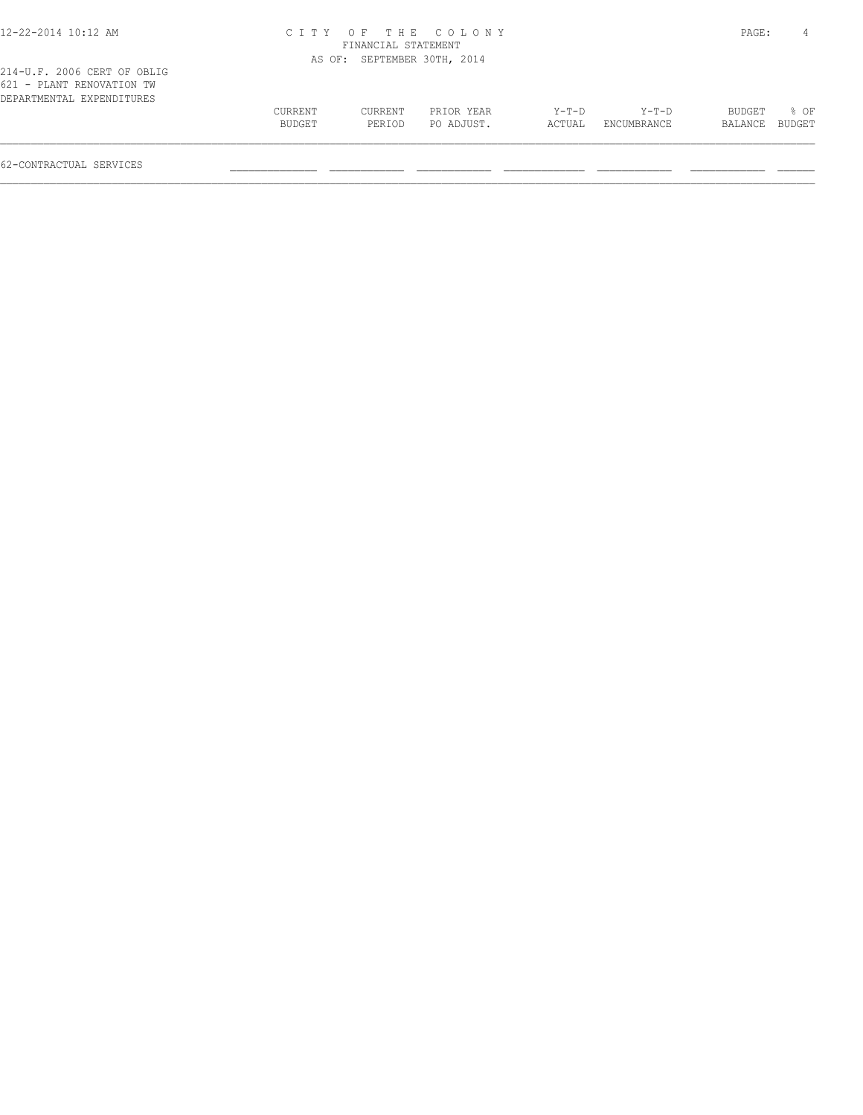| 12-22-2014 10:12 AM                                      |                   |                             | CITY OF THE COLONY       |                 |                      | PAGE:             |                  |
|----------------------------------------------------------|-------------------|-----------------------------|--------------------------|-----------------|----------------------|-------------------|------------------|
|                                                          |                   | FINANCIAL STATEMENT         |                          |                 |                      |                   |                  |
|                                                          |                   | AS OF: SEPTEMBER 30TH, 2014 |                          |                 |                      |                   |                  |
| 214-U.F. 2006 CERT OF OBLIG<br>621 - PLANT RENOVATION TW |                   |                             |                          |                 |                      |                   |                  |
| DEPARTMENTAL EXPENDITURES                                | CURRENT<br>BUDGET | CURRENT<br>PERIOD           | PRIOR YEAR<br>PO ADJUST. | Y-T-D<br>ACTUAL | Y-T-D<br>ENCUMBRANCE | BUDGET<br>BALANCE | $8$ OF<br>BUDGET |
|                                                          |                   |                             |                          |                 |                      |                   |                  |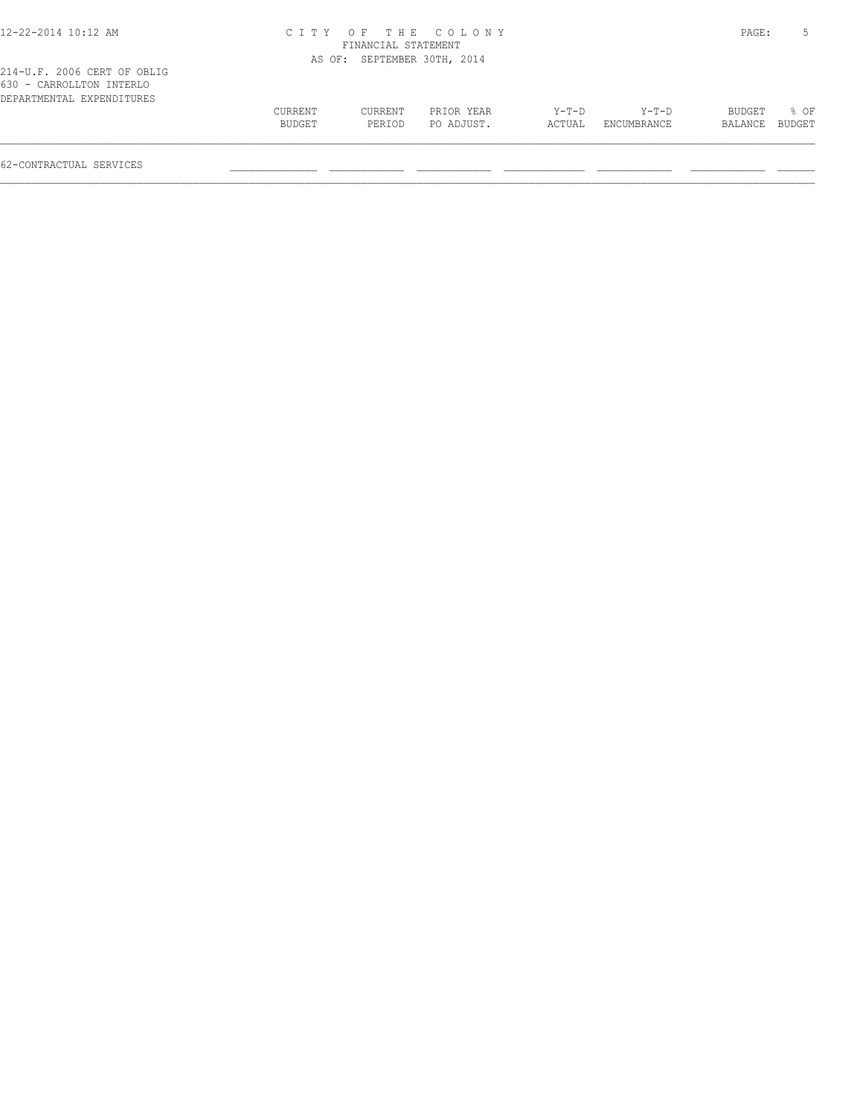| 12-22-2014 10:12 AM                                                                  |                   |                             | CITY OF THE COLONY       |                   |                        | PAGE:             |                  |
|--------------------------------------------------------------------------------------|-------------------|-----------------------------|--------------------------|-------------------|------------------------|-------------------|------------------|
|                                                                                      |                   | FINANCIAL STATEMENT         |                          |                   |                        |                   |                  |
|                                                                                      |                   | AS OF: SEPTEMBER 30TH, 2014 |                          |                   |                        |                   |                  |
| 214-U.F. 2006 CERT OF OBLIG<br>630 - CARROLLTON INTERLO<br>DEPARTMENTAL EXPENDITURES |                   |                             |                          |                   |                        |                   |                  |
|                                                                                      | CURRENT<br>BUDGET | CURRENT<br>PERIOD           | PRIOR YEAR<br>PO ADJUST. | $Y-T-D$<br>ACTUAL | $Y-T-D$<br>ENCUMBRANCE | BUDGET<br>BALANCE | $8$ OF<br>BUDGET |
|                                                                                      |                   |                             |                          |                   |                        |                   |                  |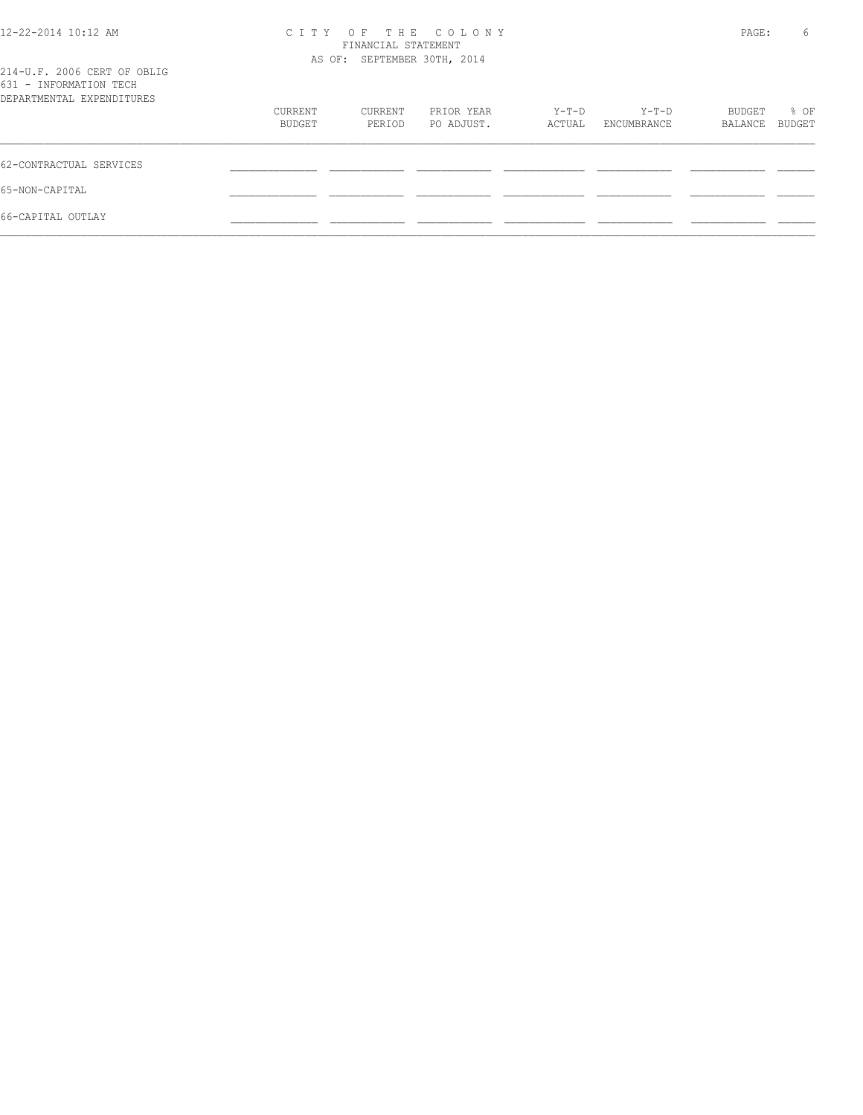| 12-22-2014 10:12 AM                                   | CITY OF THE COLONY<br>FINANCIAL STATEMENT | PAGE:   | 6          |        |             |         |        |
|-------------------------------------------------------|-------------------------------------------|---------|------------|--------|-------------|---------|--------|
|                                                       | AS OF: SEPTEMBER 30TH, 2014               |         |            |        |             |         |        |
| 214-U.F. 2006 CERT OF OBLIG<br>631 - INFORMATION TECH |                                           |         |            |        |             |         |        |
| DEPARTMENTAL EXPENDITURES                             | CURRENT                                   | CURRENT | PRIOR YEAR | Y-T-D  | Y-T-D       | BUDGET  | % OF   |
|                                                       | BUDGET                                    | PERIOD  | PO ADJUST. | ACTUAL | ENCUMBRANCE | BALANCE | BUDGET |
| 62-CONTRACTUAL SERVICES                               |                                           |         |            |        |             |         |        |
| 65-NON-CAPITAL                                        |                                           |         |            |        |             |         |        |
| 66-CAPITAL OUTLAY                                     |                                           |         |            |        |             |         |        |
|                                                       |                                           |         |            |        |             |         |        |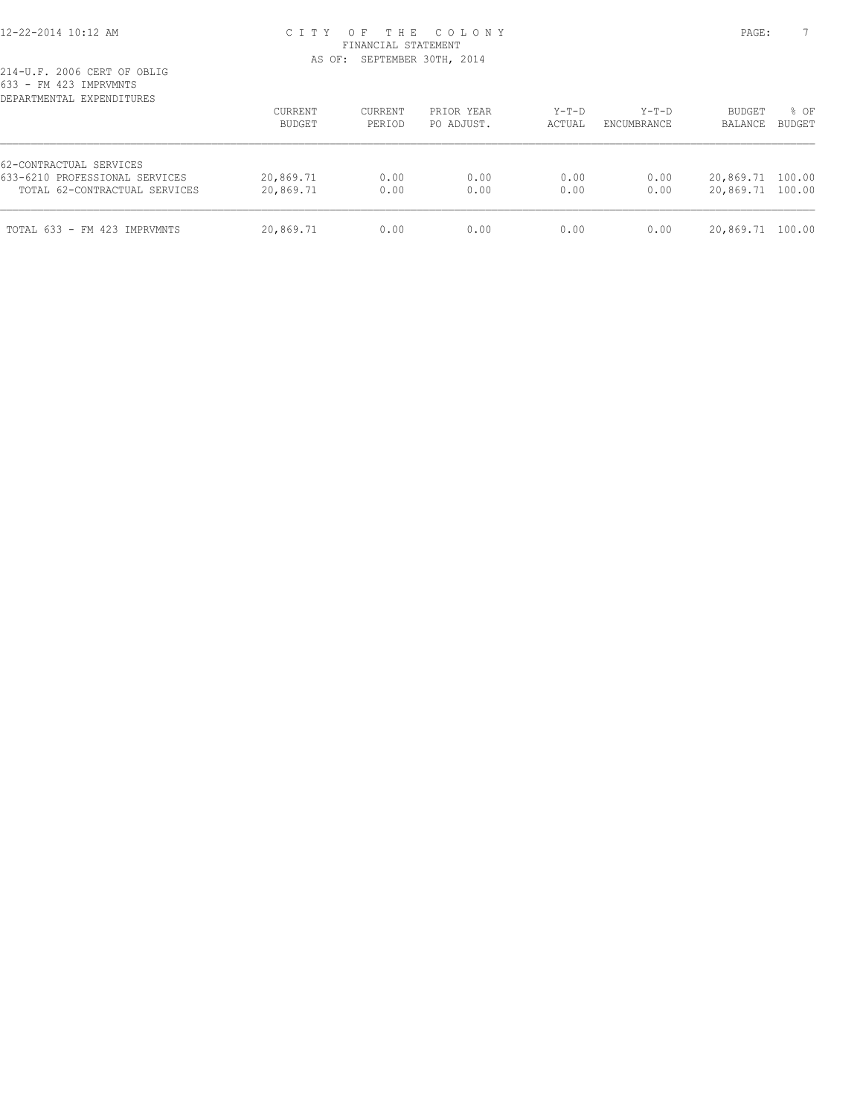# 12-22-2014 10:12 AM C I T Y O F T H E C O L O N Y PAGE: 7 FINANCIAL STATEMENT AS OF: SEPTEMBER 30TH, 2014

| DEPARTMENTAL EXPENDITURES      | CURRENT<br>BUDGET | CURRENT<br>PERIOD | PRIOR YEAR<br>PO ADJUST. | $Y-T-D$<br>ACTUAL | $Y-T-D$<br>ENCUMBRANCE | <b>BUDGET</b><br>BALANCE | % OF<br><b>BUDGET</b> |
|--------------------------------|-------------------|-------------------|--------------------------|-------------------|------------------------|--------------------------|-----------------------|
| 62-CONTRACTUAL SERVICES        |                   |                   |                          |                   |                        |                          |                       |
| 633-6210 PROFESSIONAL SERVICES | 20,869.71         | 0.00              | 0.00                     | 0.00              | 0.00                   | 20,869.71 100.00         |                       |
| TOTAL 62-CONTRACTUAL SERVICES  | 20,869.71         | 0.00              | 0.00                     | 0.00              | 0.00                   | 20,869.71 100.00         |                       |
| TOTAL 633 - FM 423 IMPRVMNTS   | 20,869.71         | 0.00              | 0.00                     | 0.00              | 0.00                   | 20,869.71 100.00         |                       |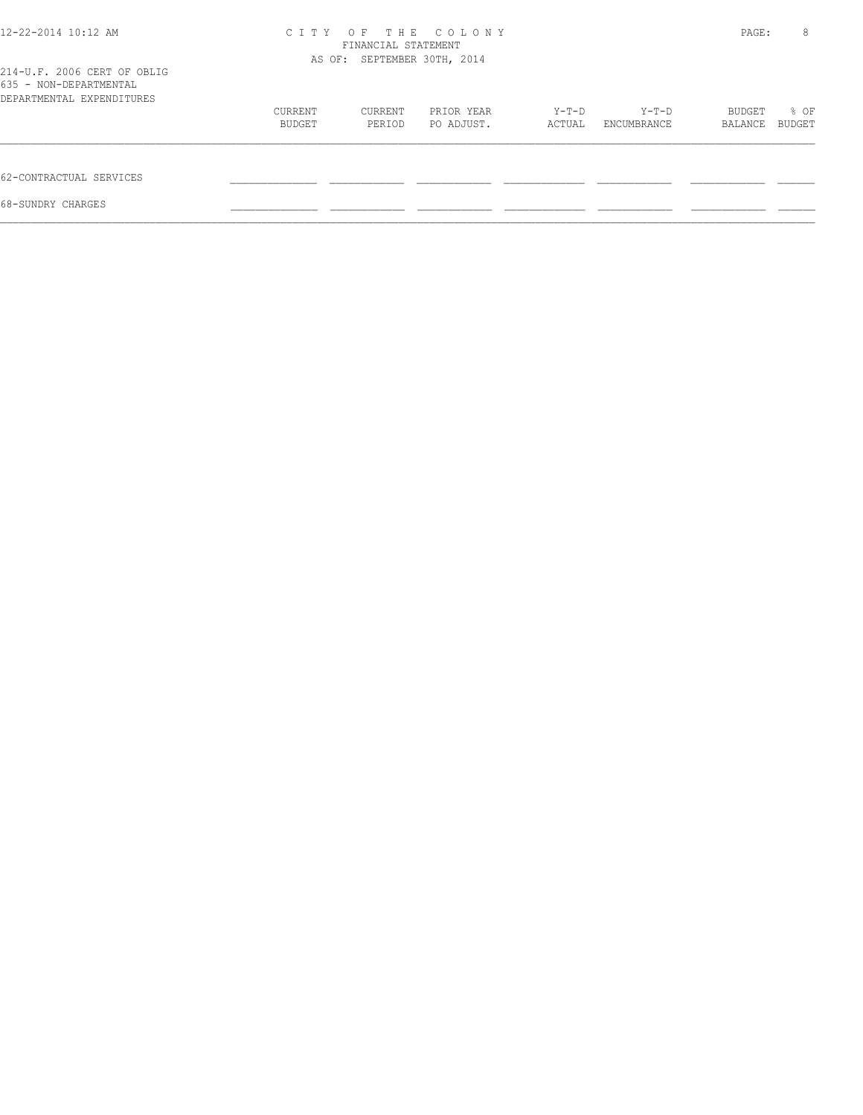| 12-22-2014 10:12 AM                                                                | OF THE COLONY<br>C T T Y    | PAGE:   | 8          |         |             |         |        |
|------------------------------------------------------------------------------------|-----------------------------|---------|------------|---------|-------------|---------|--------|
|                                                                                    | AS OF: SEPTEMBER 30TH, 2014 |         |            |         |             |         |        |
| 214-U.F. 2006 CERT OF OBLIG<br>635 - NON-DEPARTMENTAL<br>DEPARTMENTAL EXPENDITURES |                             |         |            |         |             |         |        |
|                                                                                    | CURRENT                     | CURRENT | PRIOR YEAR | $Y-T-D$ | Y-T-D       | BUDGET  | % OF   |
|                                                                                    | BUDGET                      | PERIOD  | PO ADJUST. | ACTUAL  | ENCUMBRANCE | BALANCE | BUDGET |
| 62-CONTRACTUAL SERVICES                                                            |                             |         |            |         |             |         |        |
| 68-SUNDRY CHARGES                                                                  |                             |         |            |         |             |         |        |
|                                                                                    |                             |         |            |         |             |         |        |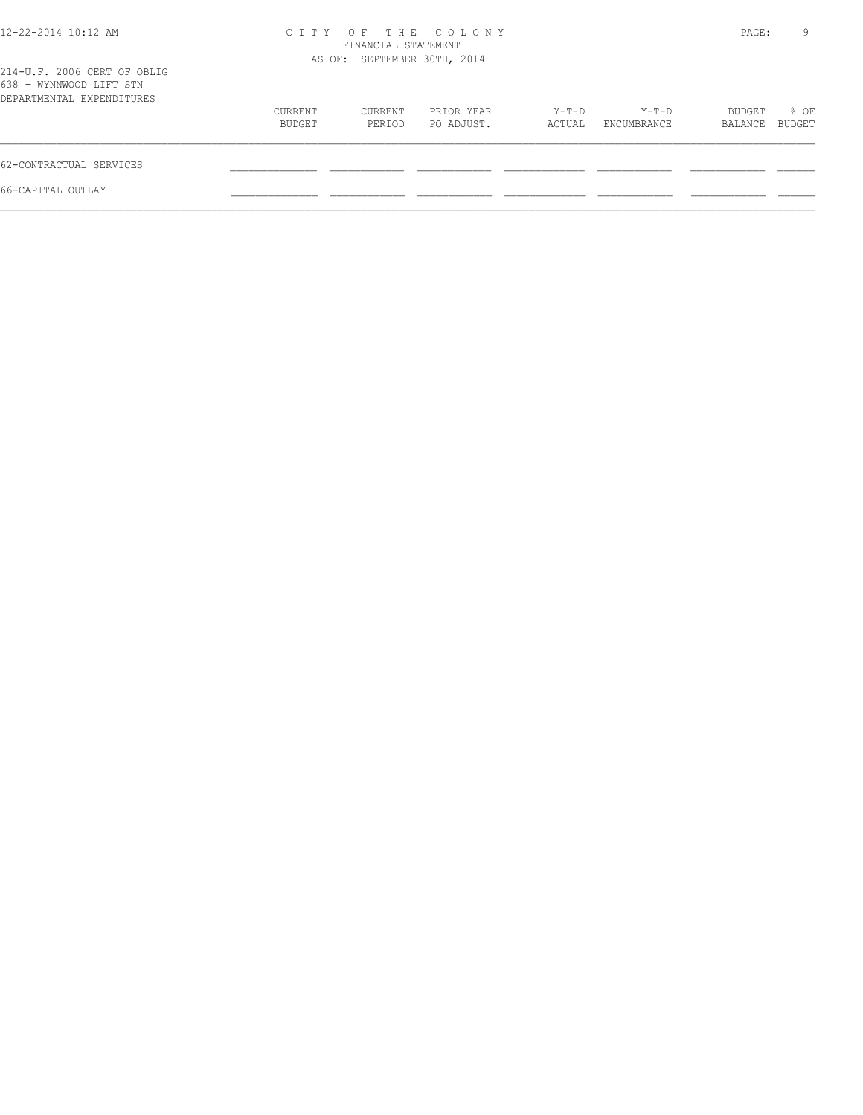| 12-22-2014 10:12 AM                                                                 |                   | FINANCIAL STATEMENT         | CITY OF THE COLONY       |                 |                      | PAGE:             | 9              |
|-------------------------------------------------------------------------------------|-------------------|-----------------------------|--------------------------|-----------------|----------------------|-------------------|----------------|
| 214-U.F. 2006 CERT OF OBLIG<br>638 - WYNNWOOD LIFT STN<br>DEPARTMENTAL EXPENDITURES |                   | AS OF: SEPTEMBER 30TH, 2014 |                          |                 |                      |                   |                |
|                                                                                     | CURRENT<br>BUDGET | CURRENT<br>PERIOD           | PRIOR YEAR<br>PO ADJUST. | Y-T-D<br>ACTUAL | Y-T-D<br>ENCUMBRANCE | BUDGET<br>BALANCE | % OF<br>BUDGET |
| 62-CONTRACTUAL SERVICES                                                             |                   |                             |                          |                 |                      |                   |                |
| 66-CAPITAL OUTLAY                                                                   |                   |                             |                          |                 |                      |                   |                |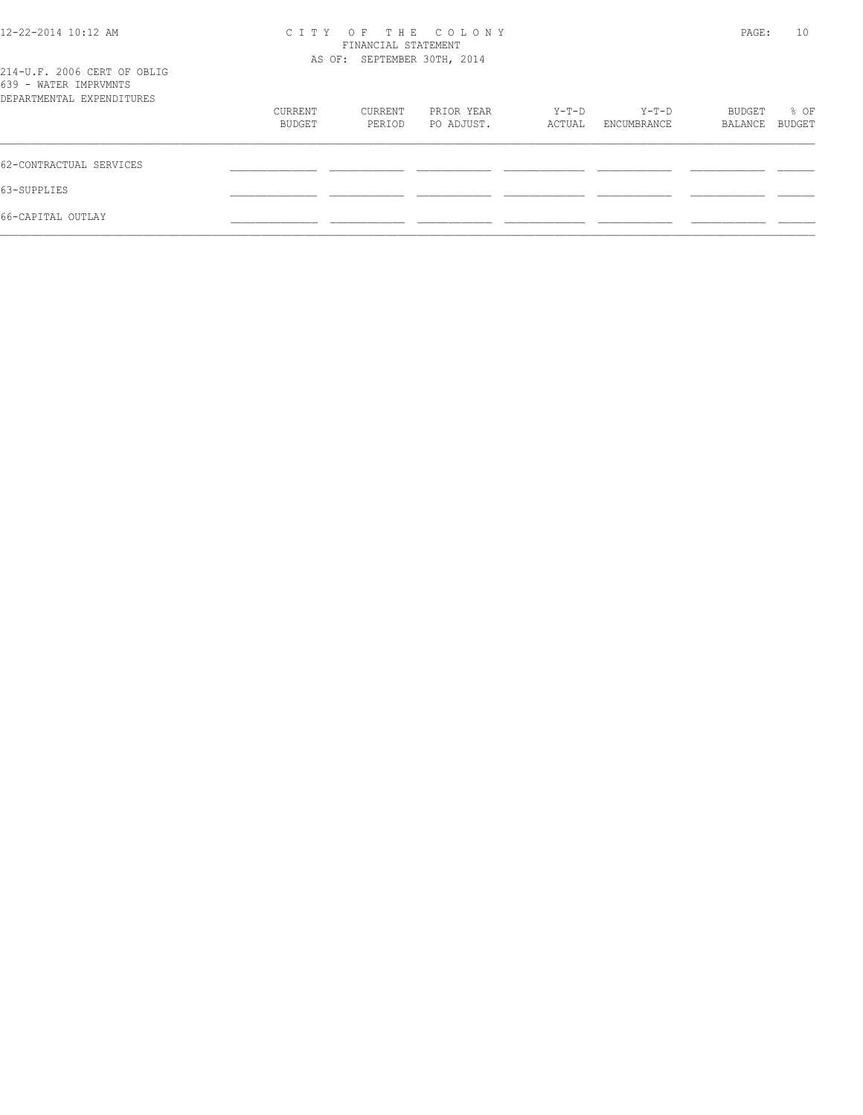| 12-22-2014 10:12 AM                                                               | CITY OF THE COLONY                                 | PAGE:   | 10         |        |             |         |        |
|-----------------------------------------------------------------------------------|----------------------------------------------------|---------|------------|--------|-------------|---------|--------|
|                                                                                   | FINANCIAL STATEMENT<br>AS OF: SEPTEMBER 30TH, 2014 |         |            |        |             |         |        |
| 214-U.F. 2006 CERT OF OBLIG<br>639 - WATER IMPRVMNTS<br>DEPARTMENTAL EXPENDITURES |                                                    |         |            |        |             |         |        |
|                                                                                   | CURRENT                                            | CURRENT | PRIOR YEAR | Y-T-D  | Y-T-D       | BUDGET  | % OF   |
|                                                                                   | BUDGET                                             | PERIOD  | PO ADJUST. | ACTUAL | ENCUMBRANCE | BALANCE | BUDGET |
| 62-CONTRACTUAL SERVICES                                                           |                                                    |         |            |        |             |         |        |
| 63-SUPPLIES                                                                       |                                                    |         |            |        |             |         |        |
| 66-CAPITAL OUTLAY                                                                 |                                                    |         |            |        |             |         |        |
|                                                                                   |                                                    |         |            |        |             |         |        |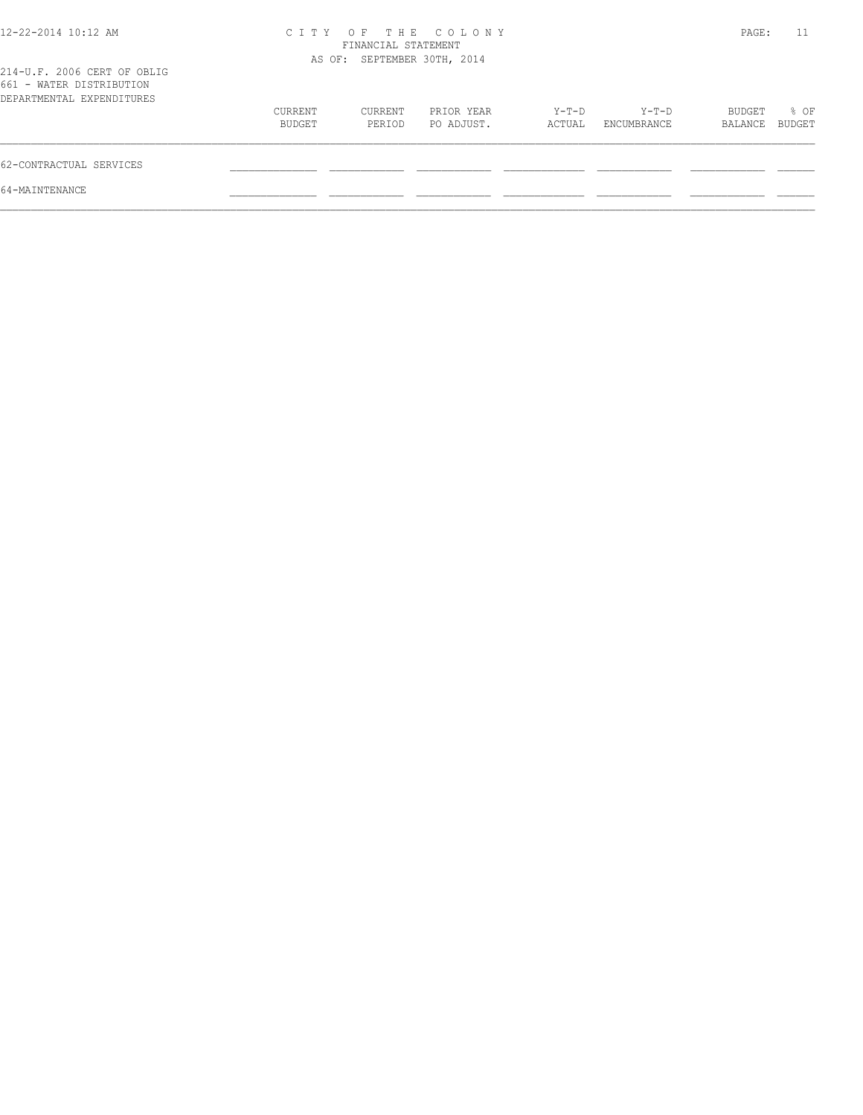| 12-22-2014 10:12 AM                                                                  | C T T Y           | FINANCIAL STATEMENT         | OF THE COLONY            |                 |                        | PAGE:             | 11                    |
|--------------------------------------------------------------------------------------|-------------------|-----------------------------|--------------------------|-----------------|------------------------|-------------------|-----------------------|
| 214-U.F. 2006 CERT OF OBLIG<br>661 - WATER DISTRIBUTION<br>DEPARTMENTAL EXPENDITURES |                   | AS OF: SEPTEMBER 30TH, 2014 |                          |                 |                        |                   |                       |
|                                                                                      | CURRENT<br>BUDGET | CURRENT<br>PERIOD           | PRIOR YEAR<br>PO ADJUST. | Y-T-D<br>ACTUAL | $Y-T-D$<br>ENCUMBRANCE | BUDGET<br>BALANCE | % OF<br><b>BUDGET</b> |
| 62-CONTRACTUAL SERVICES                                                              |                   |                             |                          |                 |                        |                   |                       |
| 64-MAINTENANCE                                                                       |                   |                             |                          |                 |                        |                   |                       |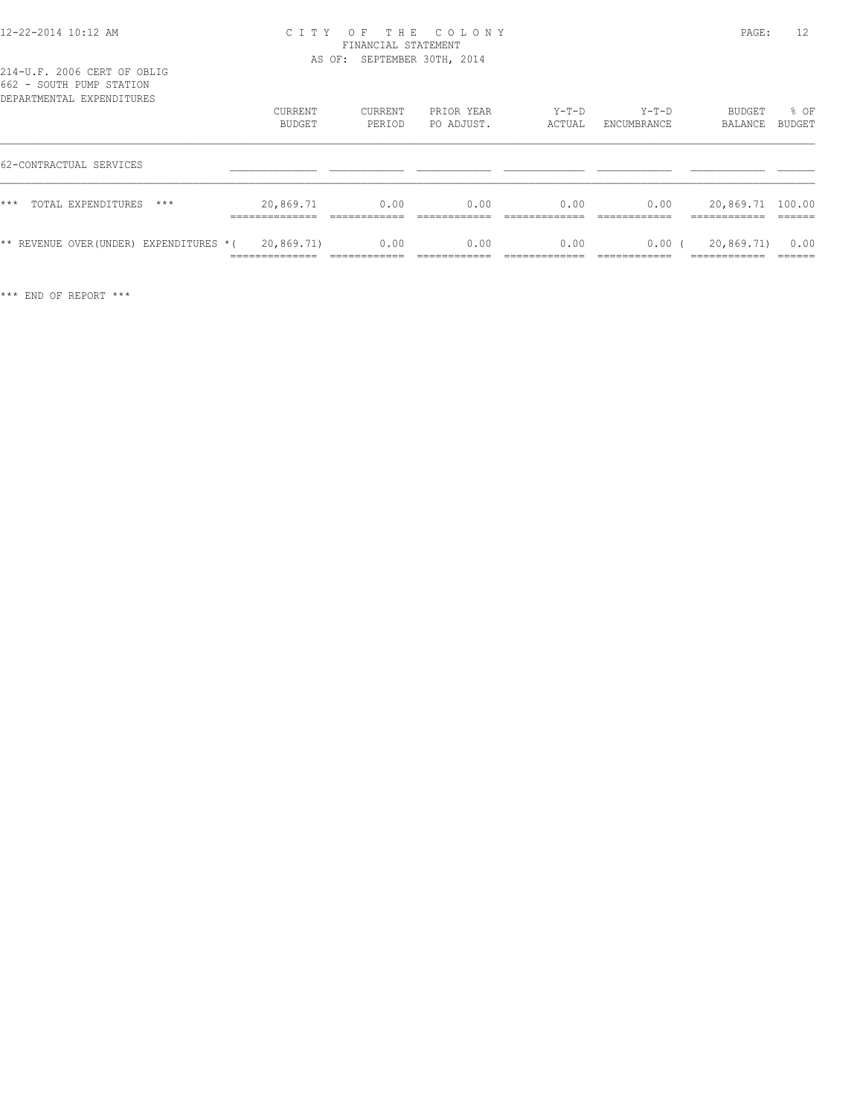#### 12-22-2014 10:12 AM C I T Y O F T H E C O L O N Y PAGE: 12 FINANCIAL STATEMENT AS OF: SEPTEMBER 30TH, 2014

| ◡◡▵<br>OOGIN LOML DINILON<br>DEPARTMENTAL EXPENDITURES |                              |                   |                          |                   |                        |                   |                       |
|--------------------------------------------------------|------------------------------|-------------------|--------------------------|-------------------|------------------------|-------------------|-----------------------|
|                                                        | <b>CURRENT</b><br>BUDGET     | CURRENT<br>PERIOD | PRIOR YEAR<br>PO ADJUST. | $Y-T-D$<br>ACTUAL | $Y-T-D$<br>ENCUMBRANCE | BUDGET<br>BALANCE | % OF<br><b>BUDGET</b> |
| 62-CONTRACTUAL SERVICES                                |                              |                   |                          |                   |                        |                   |                       |
| $***$<br>TOTAL EXPENDITURES<br>$***$                   | 20,869.71                    | 0.00              | 0.00                     | 0.00              | 0.00                   | 20,869.71 100.00  |                       |
| ** REVENUE OVER(UNDER) EXPENDITURES *(                 | 20,869.71)<br>______________ | 0.00              | 0.00                     | 0.00              | 0.00(                  | 20,869.71)        | 0.00                  |

\*\*\* END OF REPORT \*\*\*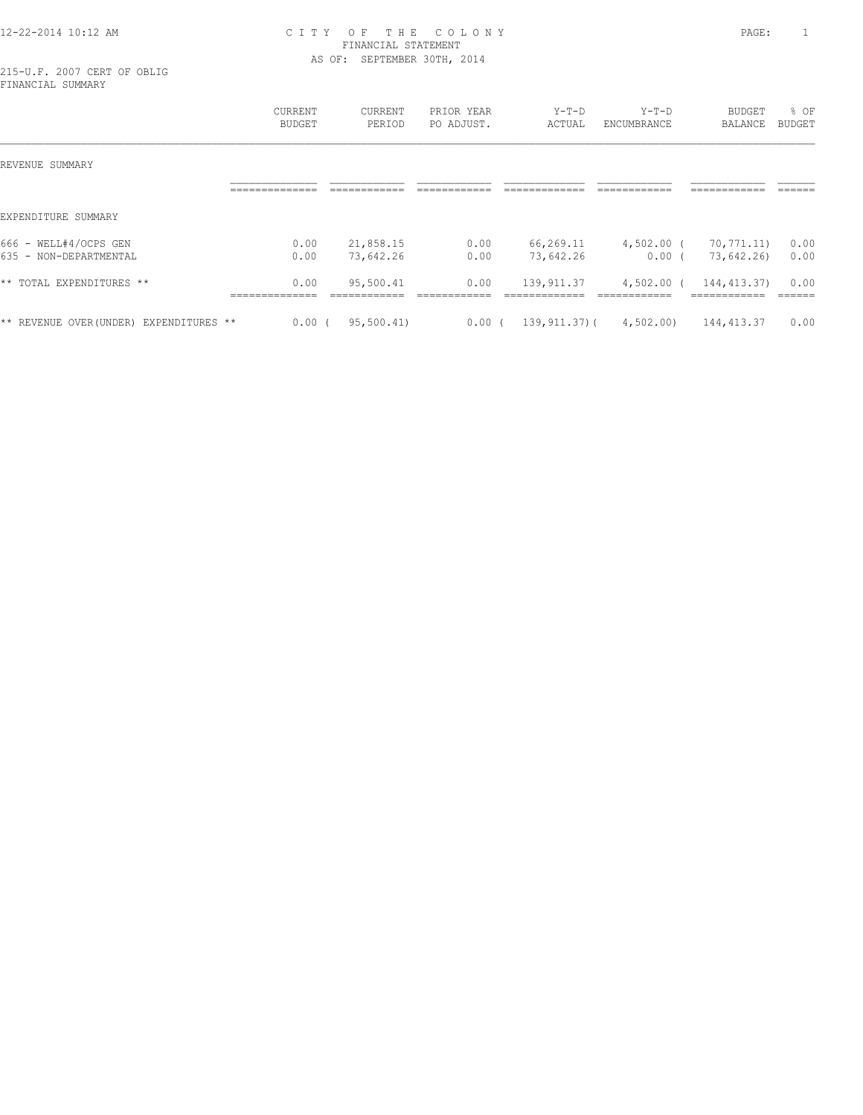### 12-22-2014 10:12 AM C I T Y O F T H E C O L O N Y PAGE: 1 FINANCIAL STATEMENT AS OF: SEPTEMBER 30TH, 2014

215-U.F. 2007 CERT OF OBLIG FINANCIAL SUMMARY

|                                            | CURRENT<br><b>BUDGET</b>                 | <b>CURRENT</b><br>PERIOD                  | PRIOR YEAR<br>PO ADJUST.           | $Y-T-D$<br>ACTUAL                              | $Y-T-D$<br>ENCUMBRANCE                       | <b>BUDGET</b><br><b>BALANCE</b>              | % OF<br><b>BUDGET</b>    |
|--------------------------------------------|------------------------------------------|-------------------------------------------|------------------------------------|------------------------------------------------|----------------------------------------------|----------------------------------------------|--------------------------|
| REVENUE SUMMARY                            |                                          |                                           |                                    |                                                |                                              |                                              |                          |
|                                            | --------------<br>--------------         | ____________<br>-------------             | ____________<br>-------------      | _____________<br>--------------                | ------------<br>-------------                | ------------<br>--------------               | -------<br>------        |
| EXPENDITURE SUMMARY                        |                                          |                                           |                                    |                                                |                                              |                                              |                          |
| $666 -$<br>WELL#4/OCPS GEN                 | 0.00                                     | 21,858.15                                 | 0.00                               | 66,269.11                                      | $4,502.00$ (                                 | 70,771.11)                                   | 0.00                     |
| 635 - NON-DEPARTMENTAL                     | 0.00                                     | 73,642.26                                 | 0.00                               | 73,642.26                                      | 0.00(                                        | 73,642.26)                                   | 0.00                     |
| ** TOTAL EXPENDITURES **                   | 0.00<br>_______________<br>_____________ | 95,500.41<br>____________<br>____________ | 0.00<br>--------------<br>________ | 139, 911.37<br>_____________<br>-------------- | $4,502.00$ (<br>____________<br>____________ | 144, 413.37)<br>____________<br>____________ | 0.00<br>______<br>------ |
| ** REVENUE OVER (UNDER)<br>EXPENDITURES ** | $0.00$ (                                 | 95,500.41)                                | 0.00(                              | $139, 911, 37)$ (                              | 4,502.00)                                    | 144, 413.37                                  | 0.00                     |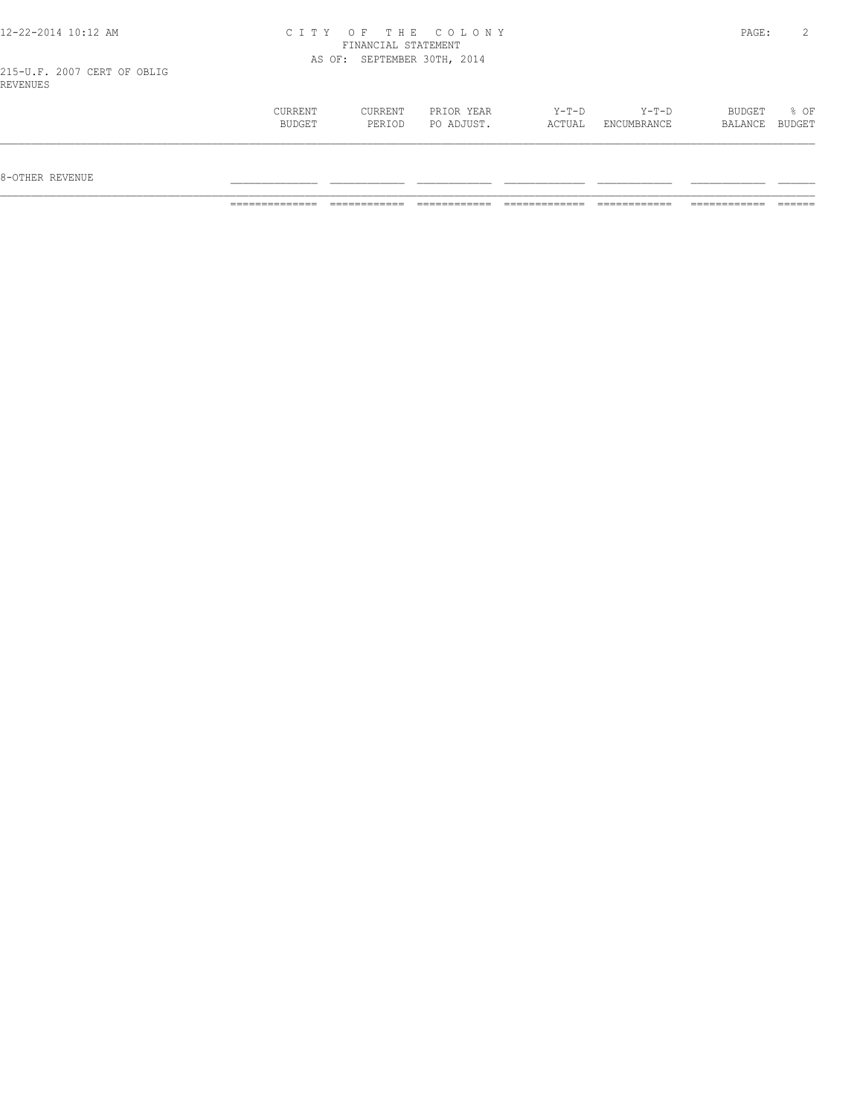| 12-22-2014 10:12 AM                     |                   |                             | CITY OF THE COLONY       |                 |                      | PAGE:             | $\mathbf{2}$   |
|-----------------------------------------|-------------------|-----------------------------|--------------------------|-----------------|----------------------|-------------------|----------------|
|                                         |                   | FINANCIAL STATEMENT         |                          |                 |                      |                   |                |
|                                         |                   | AS OF: SEPTEMBER 30TH, 2014 |                          |                 |                      |                   |                |
| 215-U.F. 2007 CERT OF OBLIG<br>REVENUES |                   |                             |                          |                 |                      |                   |                |
|                                         | CURRENT<br>BUDGET | CURRENT<br>PERIOD           | PRIOR YEAR<br>PO ADJUST. | Y-T-D<br>ACTUAL | Y-T-D<br>ENCUMBRANCE | BUDGET<br>BALANCE | % OF<br>BUDGET |

 $8-{\rm OFF}$  revenue  $\_$ 

============== ============ ============ ============= ============ ============ ======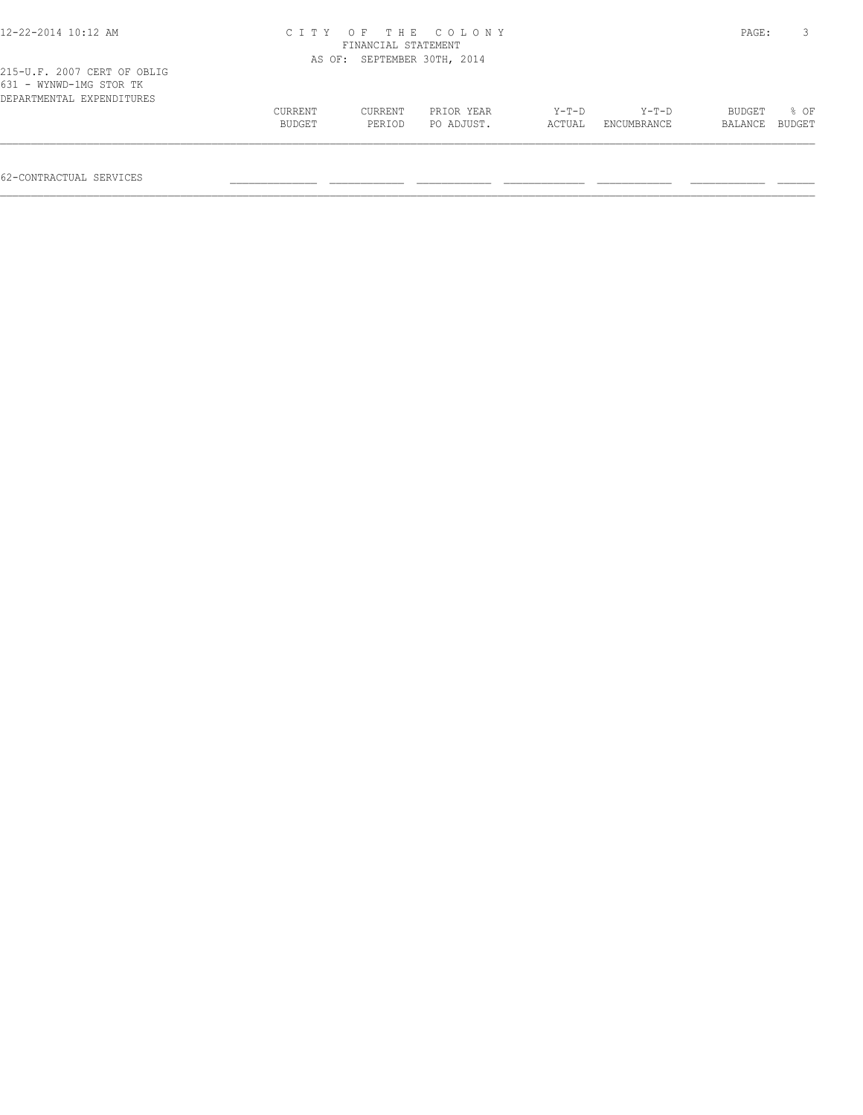| 12-22-2014 10:12 AM                                                                 |         | FINANCIAL STATEMENT         | CITY OF THE COLONY |         |                    | PAGE:   |        |
|-------------------------------------------------------------------------------------|---------|-----------------------------|--------------------|---------|--------------------|---------|--------|
|                                                                                     |         | AS OF: SEPTEMBER 30TH, 2014 |                    |         |                    |         |        |
| 215-U.F. 2007 CERT OF OBLIG<br>631 - WYNWD-1MG STOR TK<br>DEPARTMENTAL EXPENDITURES |         |                             |                    |         |                    |         |        |
|                                                                                     | CURRENT | <b>CURRENT</b>              | PRIOR YEAR         | $Y-T-D$ | $Y-T-D$            | BUDGET  | 8 OF   |
|                                                                                     | BUDGET  | PERIOD                      | PO ADJUST.         | ACTUAL  | <b>ENCUMBRANCE</b> | BALANCE | BUDGET |
|                                                                                     |         |                             |                    |         |                    |         |        |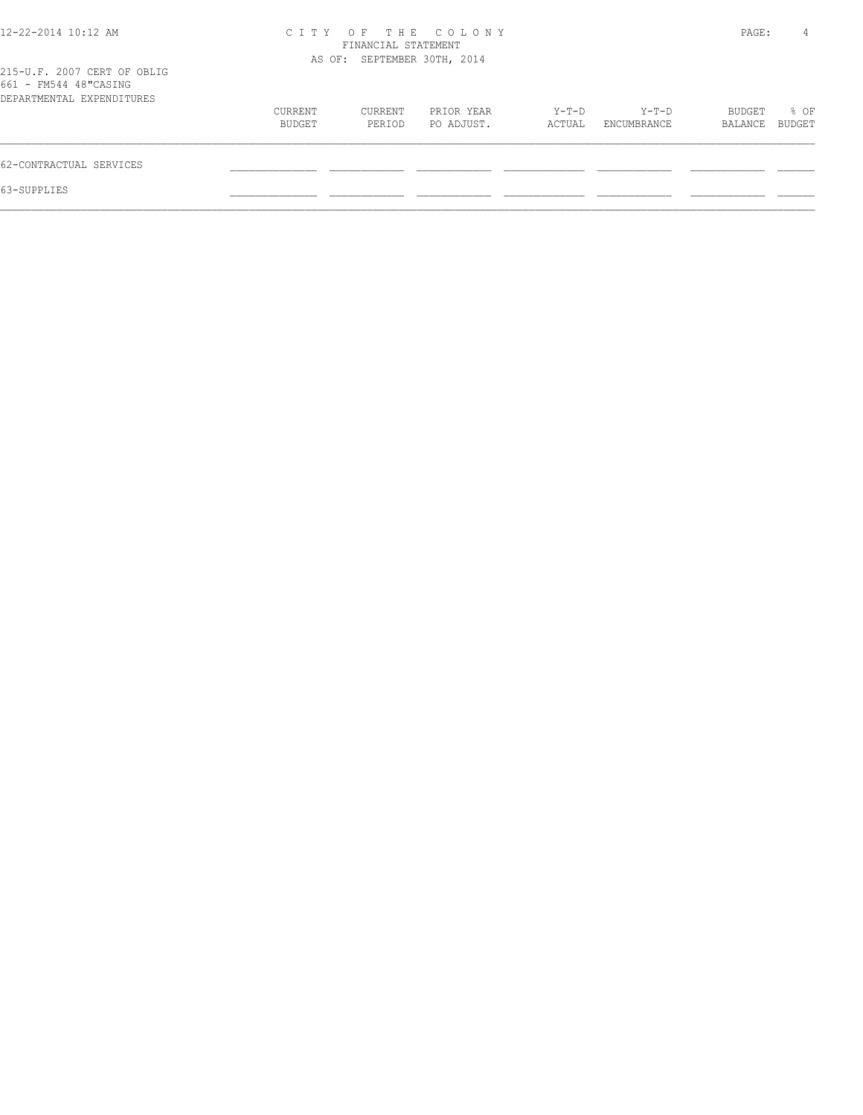| $12 - 22 - 2014$ 10:12 AM                                                         | C T T Y           | FINANCIAL STATEMENT         | OF THE COLONY            |                 |                      | PAGE:             | 4                     |
|-----------------------------------------------------------------------------------|-------------------|-----------------------------|--------------------------|-----------------|----------------------|-------------------|-----------------------|
| 215-U.F. 2007 CERT OF OBLIG<br>661 - FM544 48"CASING<br>DEPARTMENTAL EXPENDITURES |                   | AS OF: SEPTEMBER 30TH, 2014 |                          |                 |                      |                   |                       |
|                                                                                   | CURRENT<br>BUDGET | CURRENT<br>PERIOD           | PRIOR YEAR<br>PO ADJUST. | Y-T-D<br>ACTUAL | Y-T-D<br>ENCUMBRANCE | BUDGET<br>BALANCE | % OF<br><b>BUDGET</b> |
| 62-CONTRACTUAL SERVICES                                                           |                   |                             |                          |                 |                      |                   |                       |
| 63-SUPPLIES                                                                       |                   |                             |                          |                 |                      |                   |                       |
|                                                                                   |                   |                             |                          |                 |                      |                   |                       |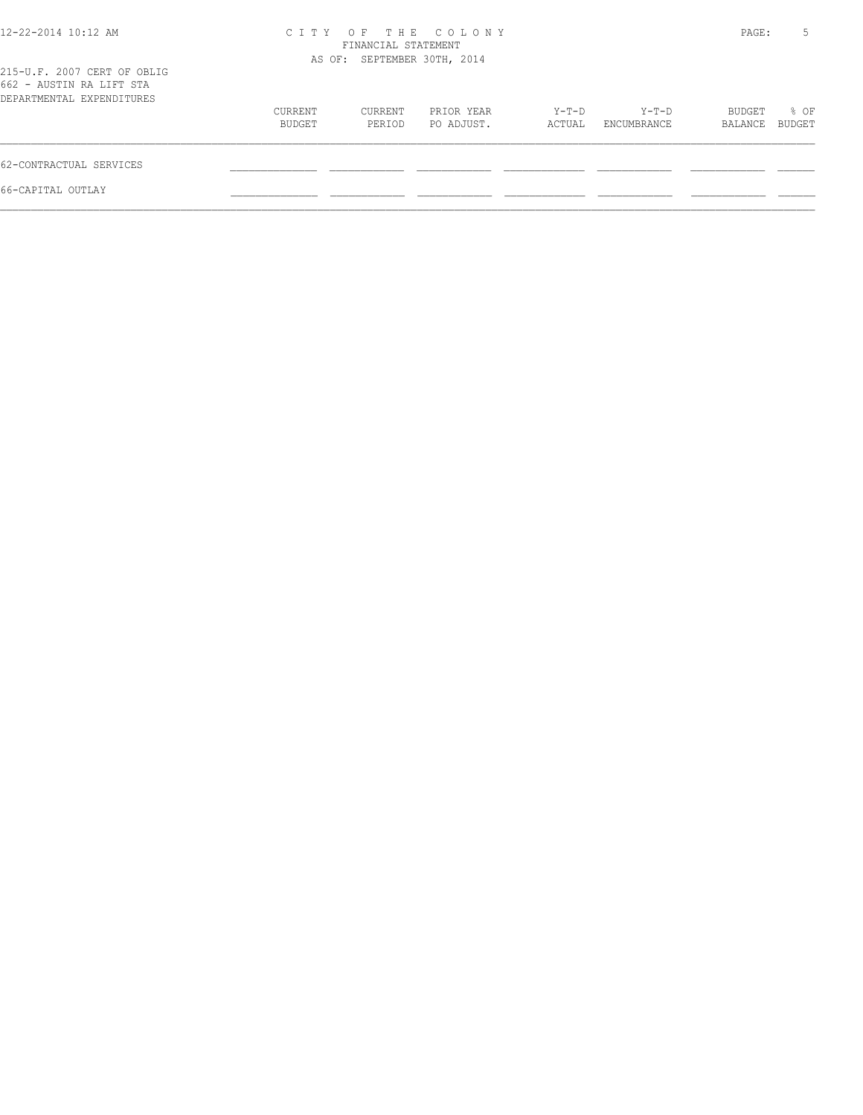| 12-22-2014 10:12 AM                                                                  |                   | FINANCIAL STATEMENT         | CITY OF THE COLONY       |                 |                      | PAGE:             | 5              |
|--------------------------------------------------------------------------------------|-------------------|-----------------------------|--------------------------|-----------------|----------------------|-------------------|----------------|
| 215-U.F. 2007 CERT OF OBLIG<br>662 - AUSTIN RA LIFT STA<br>DEPARTMENTAL EXPENDITURES |                   | AS OF: SEPTEMBER 30TH, 2014 |                          |                 |                      |                   |                |
|                                                                                      | CURRENT<br>BUDGET | CURRENT<br>PERIOD           | PRIOR YEAR<br>PO ADJUST. | Y-T-D<br>ACTUAL | Y-T-D<br>ENCUMBRANCE | BUDGET<br>BALANCE | % OF<br>BUDGET |
| 62-CONTRACTUAL SERVICES                                                              |                   |                             |                          |                 |                      |                   |                |
| 66-CAPITAL OUTLAY                                                                    |                   |                             |                          |                 |                      |                   |                |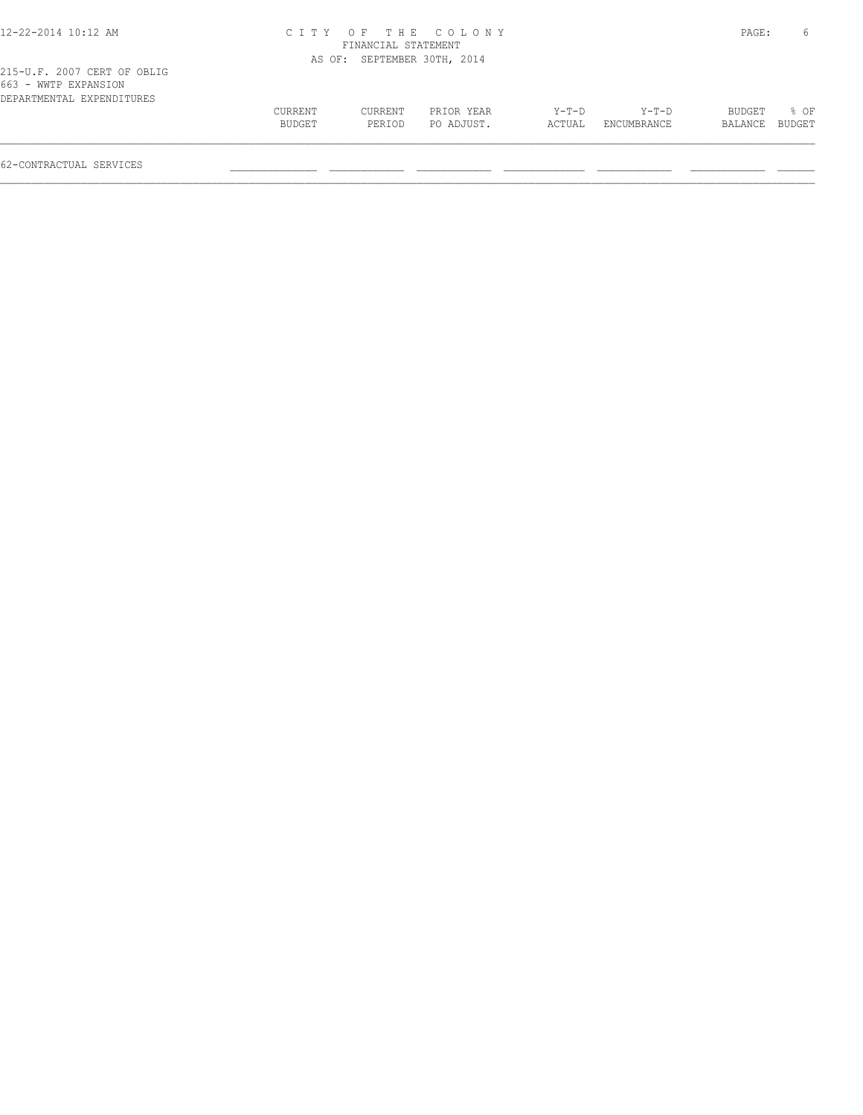| 12-22-2014 10:12 AM                                                              |                   |                             | CITY OF THE COLONY       |                 |                      | PAGE:             | 6              |
|----------------------------------------------------------------------------------|-------------------|-----------------------------|--------------------------|-----------------|----------------------|-------------------|----------------|
|                                                                                  |                   | FINANCIAL STATEMENT         |                          |                 |                      |                   |                |
|                                                                                  |                   | AS OF: SEPTEMBER 30TH, 2014 |                          |                 |                      |                   |                |
| 215-U.F. 2007 CERT OF OBLIG<br>663 - WWTP EXPANSION<br>DEPARTMENTAL EXPENDITURES |                   |                             |                          |                 |                      |                   |                |
|                                                                                  | CURRENT<br>BUDGET | CURRENT<br>PERIOD           | PRIOR YEAR<br>PO ADJUST. | Y-T-D<br>ACTUAL | Y-T-D<br>ENCUMBRANCE | BUDGET<br>BALANCE | 8 OF<br>BUDGET |
|                                                                                  |                   |                             |                          |                 |                      |                   |                |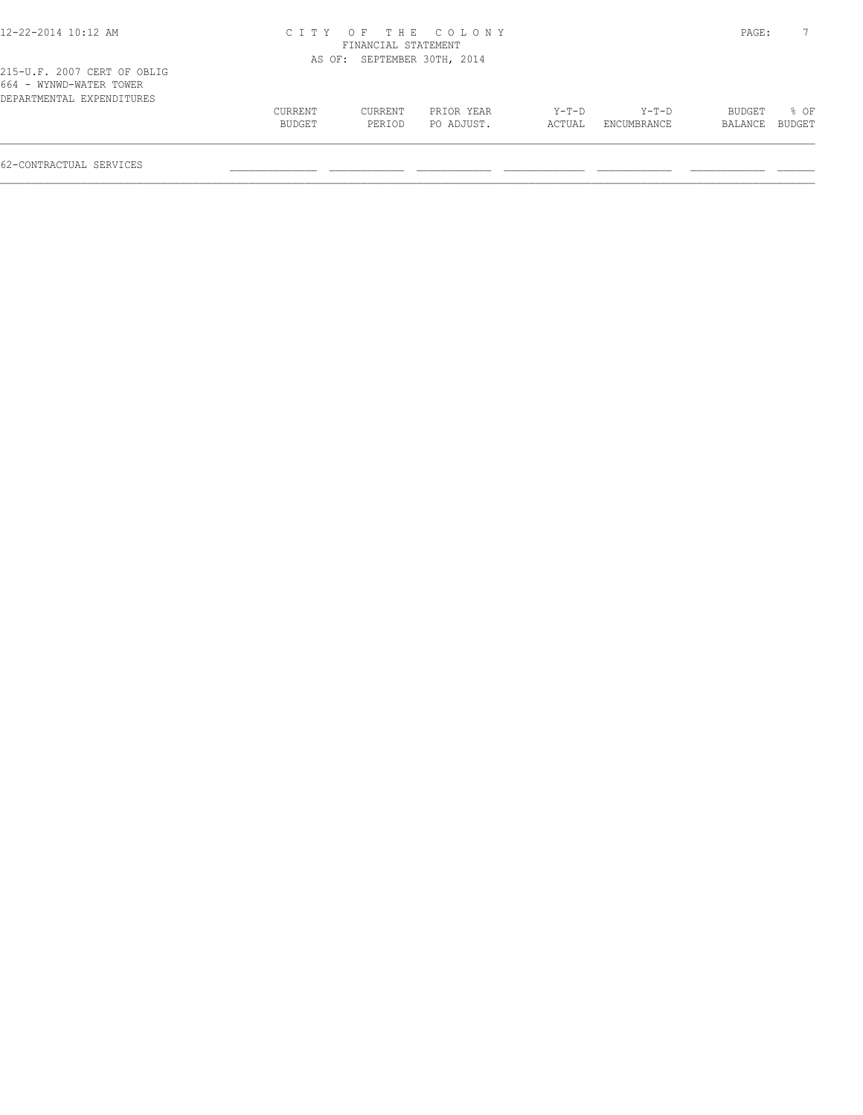| CURRENT<br>BUDGET | CURRENT<br>PERIOD | PRIOR YEAR<br>PO ADJUST. | $Y-T-D$<br>ACTUAL                                                        | $Y-T-D$<br>ENCUMBRANCE | BUDGET<br>BALANCE | $8$ OF<br>BUDGET |
|-------------------|-------------------|--------------------------|--------------------------------------------------------------------------|------------------------|-------------------|------------------|
|                   |                   |                          | CITY OF THE COLONY<br>FINANCIAL STATEMENT<br>AS OF: SEPTEMBER 30TH, 2014 |                        |                   | PAGE:            |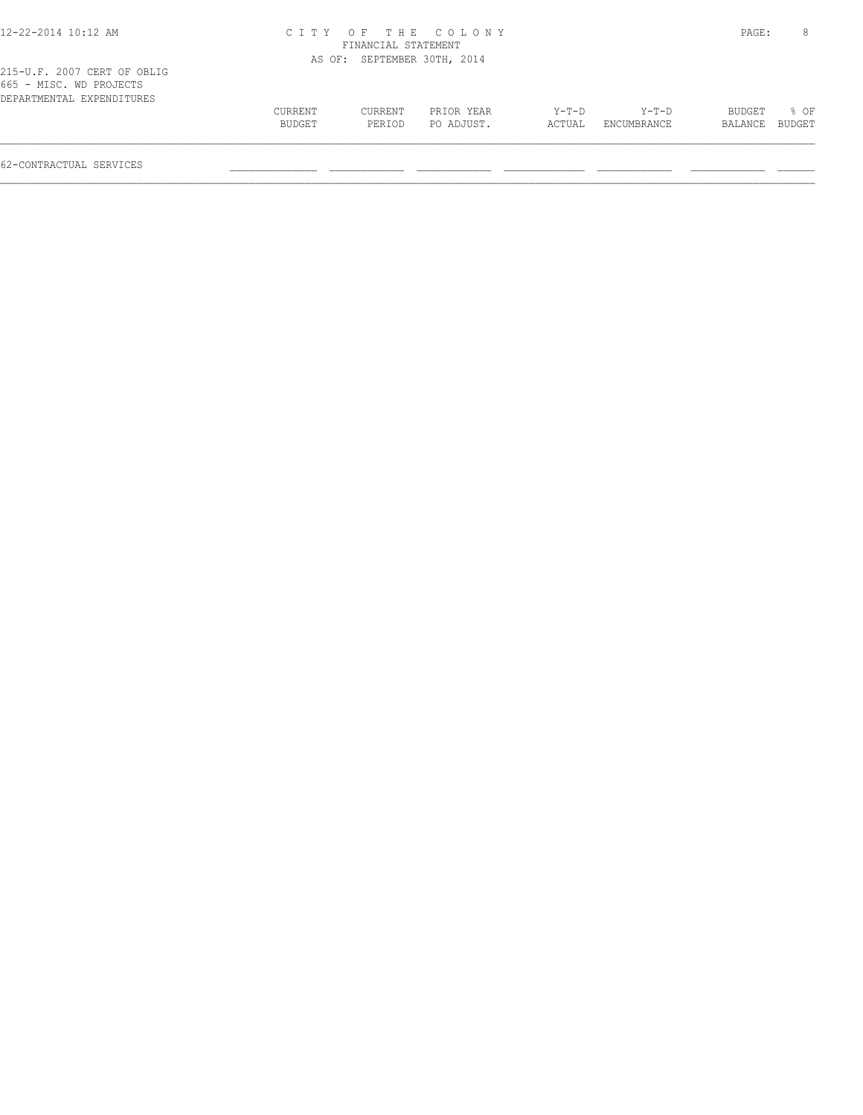| 12-22-2014 10:12 AM                                                                 |                   |                             | CITY OF THE COLONY       |                   |                        | PAGE:             | 8              |
|-------------------------------------------------------------------------------------|-------------------|-----------------------------|--------------------------|-------------------|------------------------|-------------------|----------------|
|                                                                                     |                   | FINANCIAL STATEMENT         |                          |                   |                        |                   |                |
|                                                                                     |                   | AS OF: SEPTEMBER 30TH, 2014 |                          |                   |                        |                   |                |
| 215-U.F. 2007 CERT OF OBLIG<br>665 - MISC. WD PROJECTS<br>DEPARTMENTAL EXPENDITURES |                   |                             |                          |                   |                        |                   |                |
|                                                                                     | CURRENT<br>BUDGET | CURRENT<br>PERIOD           | PRIOR YEAR<br>PO ADJUST. | $Y-T-D$<br>ACTUAL | $Y-T-D$<br>ENCUMBRANCE | BUDGET<br>BALANCE | % OF<br>BUDGET |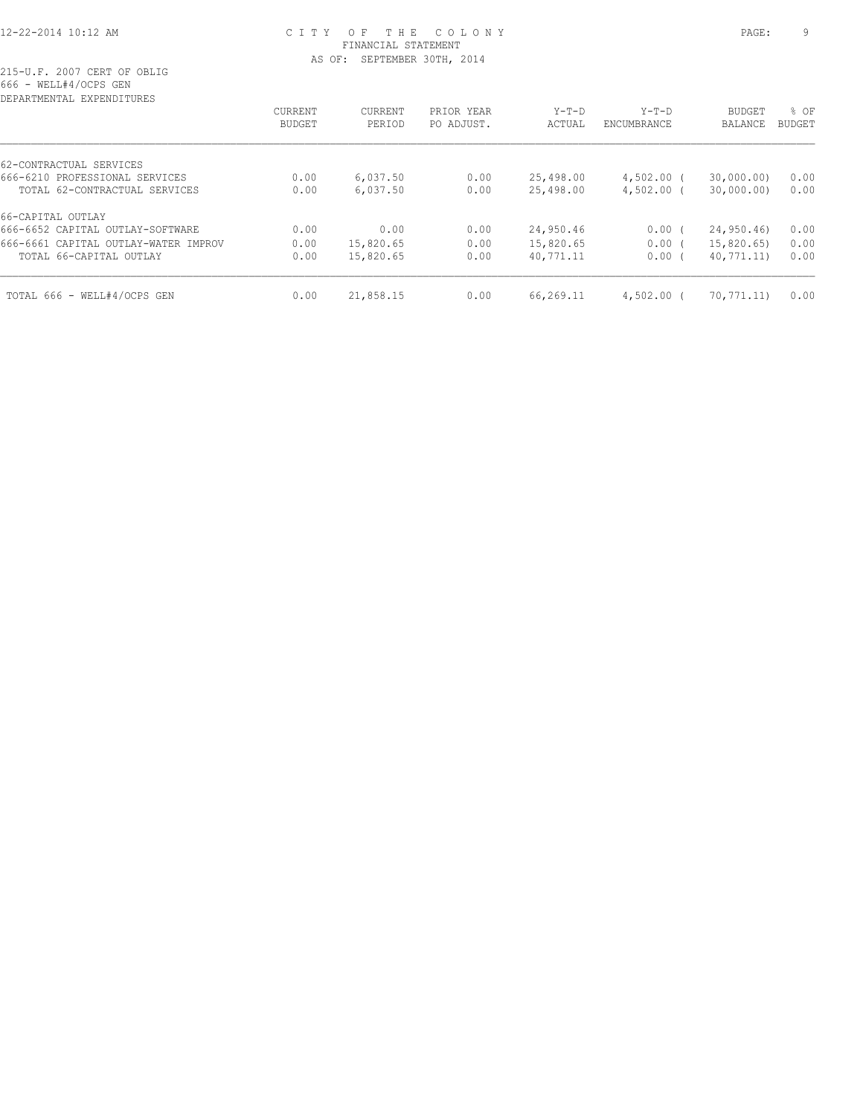# 12-22-2014 10:12 AM C I T Y O F T H E C O L O N Y PAGE: 9 FINANCIAL STATEMENT AS OF: SEPTEMBER 30TH, 2014

215-U.F. 2007 CERT OF OBLIG 666 - WELL#4/OCPS GEN

| DEPARTMENTAL EXPENDITURES            |                          |                   |                          |                   |                        |                                 |                       |
|--------------------------------------|--------------------------|-------------------|--------------------------|-------------------|------------------------|---------------------------------|-----------------------|
|                                      | CURRENT<br><b>BUDGET</b> | CURRENT<br>PERIOD | PRIOR YEAR<br>PO ADJUST. | $Y-T-D$<br>ACTUAL | $Y-T-D$<br>ENCUMBRANCE | <b>BUDGET</b><br><b>BALANCE</b> | % OF<br><b>BUDGET</b> |
| 62-CONTRACTUAL SERVICES              |                          |                   |                          |                   |                        |                                 |                       |
| 666-6210 PROFESSIONAL SERVICES       | 0.00                     | 6,037.50          | 0.00                     | 25,498.00         | $4,502.00$ (           | 30,000.00)                      | 0.00                  |
| TOTAL 62-CONTRACTUAL SERVICES        | 0.00                     | 6,037.50          | 0.00                     | 25,498.00         | $4,502.00$ (           | 30,000.00)                      | 0.00                  |
| 66-CAPITAL OUTLAY                    |                          |                   |                          |                   |                        |                                 |                       |
| 666-6652 CAPITAL OUTLAY-SOFTWARE     | 0.00                     | 0.00              | 0.00                     | 24,950.46         | 0.00(                  | 24,950.46                       | 0.00                  |
| 666-6661 CAPITAL OUTLAY-WATER IMPROV | 0.00                     | 15,820.65         | 0.00                     | 15,820.65         | $0.00$ (               | 15,820.65)                      | 0.00                  |
| TOTAL 66-CAPITAL OUTLAY              | 0.00                     | 15,820.65         | 0.00                     | 40,771.11         | 0.00(                  | 40,771.11)                      | 0.00                  |
| TOTAL 666 - WELL#4/OCPS GEN          | 0.00                     | 21,858.15         | 0.00                     | 66,269.11         | $4,502.00$ (           | 70,771.11)                      | 0.00                  |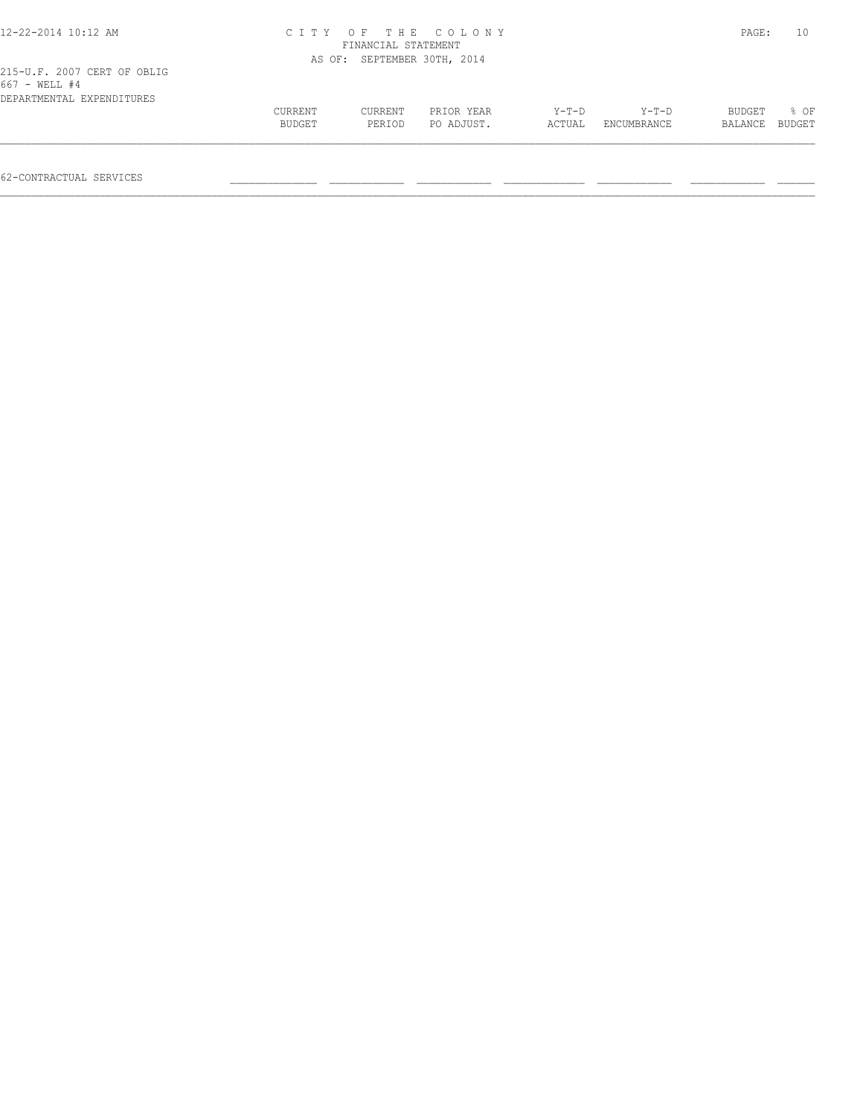|                   | PAGE:             | 10                       |                                                                          |                        |                   |                |
|-------------------|-------------------|--------------------------|--------------------------------------------------------------------------|------------------------|-------------------|----------------|
|                   |                   |                          |                                                                          |                        |                   |                |
|                   |                   |                          |                                                                          |                        |                   |                |
| CURRENT<br>BUDGET | CURRENT<br>PERIOD | PRIOR YEAR<br>PO ADJUST. | $Y-T-D$<br>ACTUAL                                                        | $Y-T-D$<br>ENCUMBRANCE | BUDGET<br>BALANCE | % OF<br>BUDGET |
|                   |                   |                          | CITY OF THE COLONY<br>FINANCIAL STATEMENT<br>AS OF: SEPTEMBER 30TH, 2014 |                        |                   |                |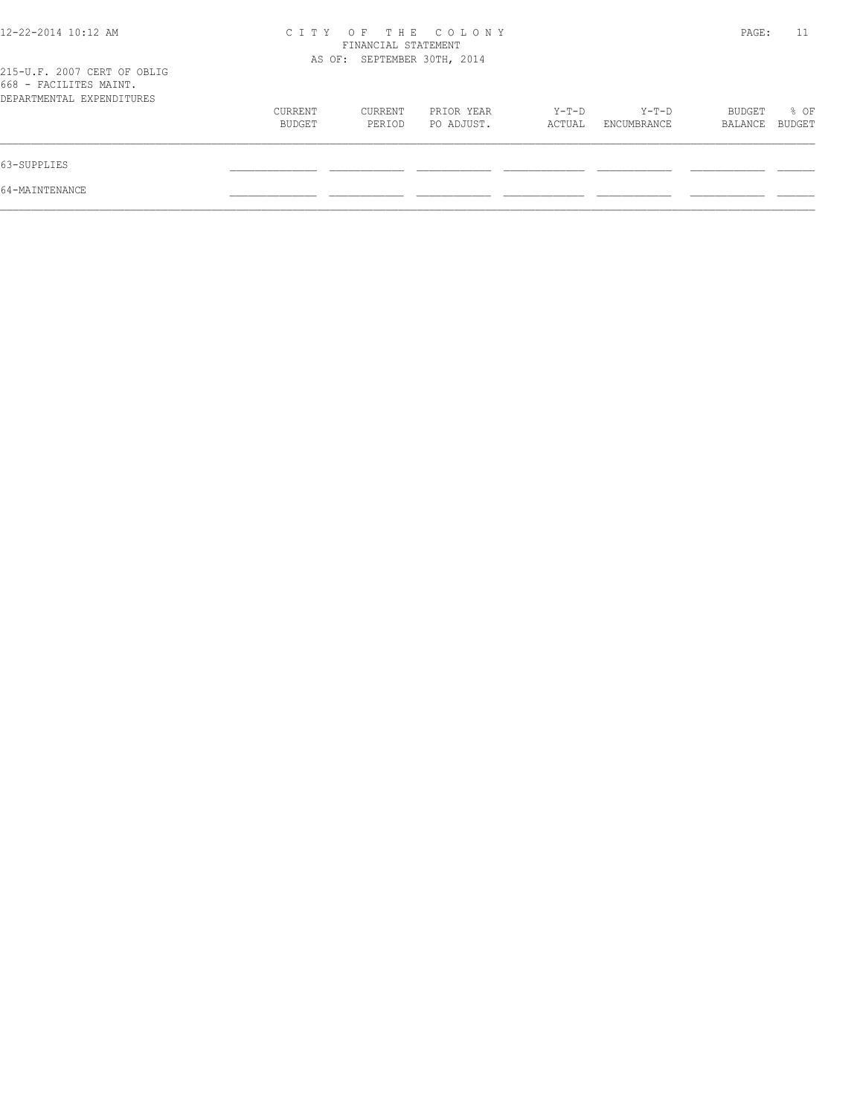| 12-22-2014 10:12 AM                                                                |                   | FINANCIAL STATEMENT         | CITY OF THE COLONY       |                 |                      | PAGE:             | 11             |
|------------------------------------------------------------------------------------|-------------------|-----------------------------|--------------------------|-----------------|----------------------|-------------------|----------------|
| 215-U.F. 2007 CERT OF OBLIG<br>668 - FACILITES MAINT.<br>DEPARTMENTAL EXPENDITURES |                   | AS OF: SEPTEMBER 30TH, 2014 |                          |                 |                      |                   |                |
|                                                                                    | CURRENT<br>BUDGET | CURRENT<br>PERIOD           | PRIOR YEAR<br>PO ADJUST. | Y-T-D<br>ACTUAL | Y-T-D<br>ENCUMBRANCE | BUDGET<br>BALANCE | % OF<br>BUDGET |
| 63-SUPPLIES                                                                        |                   |                             |                          |                 |                      |                   |                |
| 64-MAINTENANCE                                                                     |                   |                             |                          |                 |                      |                   |                |
|                                                                                    |                   |                             |                          |                 |                      |                   |                |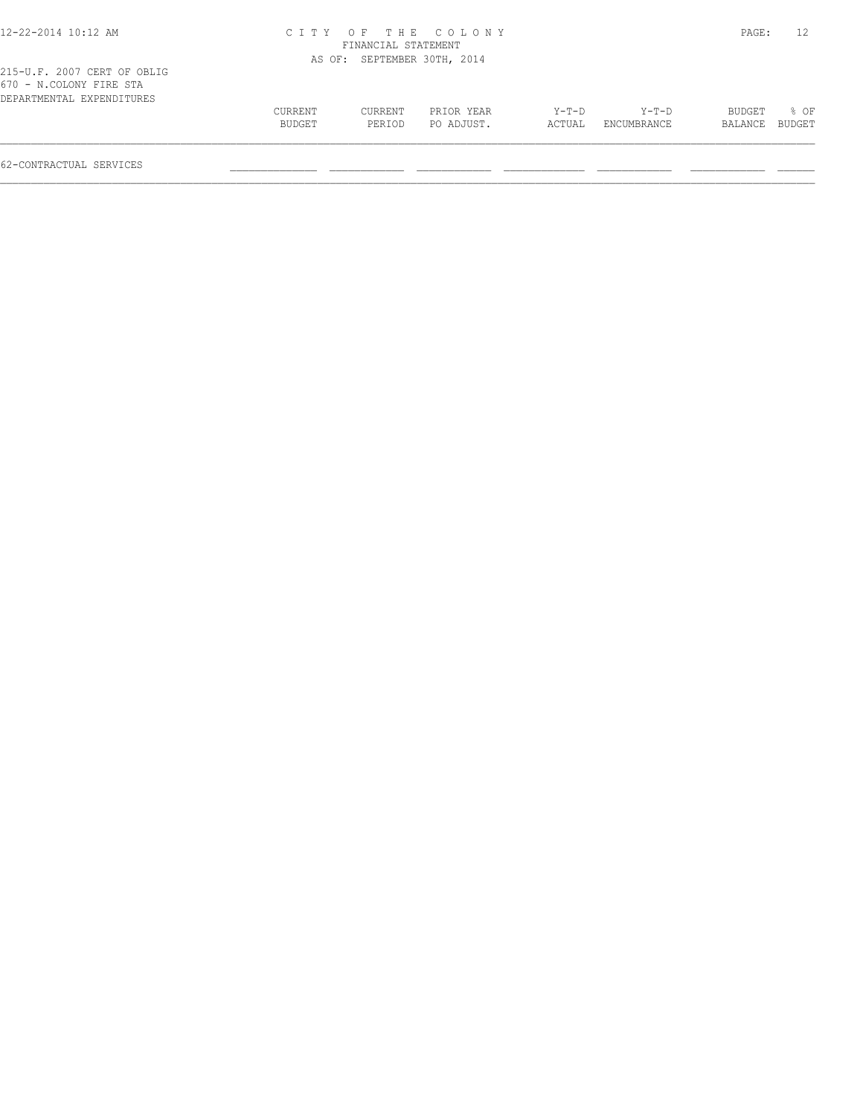| 12-22-2014 10:12 AM                                                                 |                |                             | CITY OF THE COLONY |        |             | PAGE:   | 12.    |
|-------------------------------------------------------------------------------------|----------------|-----------------------------|--------------------|--------|-------------|---------|--------|
|                                                                                     |                | FINANCIAL STATEMENT         |                    |        |             |         |        |
|                                                                                     |                | AS OF: SEPTEMBER 30TH, 2014 |                    |        |             |         |        |
| 215-U.F. 2007 CERT OF OBLIG<br>670 - N.COLONY FIRE STA<br>DEPARTMENTAL EXPENDITURES |                |                             |                    |        |             |         |        |
|                                                                                     | <b>CURRENT</b> | CURRENT                     | PRIOR YEAR         | Y-T-D  | Y-T-D       | BUDGET  | $8$ OF |
|                                                                                     | BUDGET         | PERIOD                      | PO ADJUST.         | ACTUAL | ENCUMBRANCE | BALANCE | BUDGET |
|                                                                                     |                |                             |                    |        |             |         |        |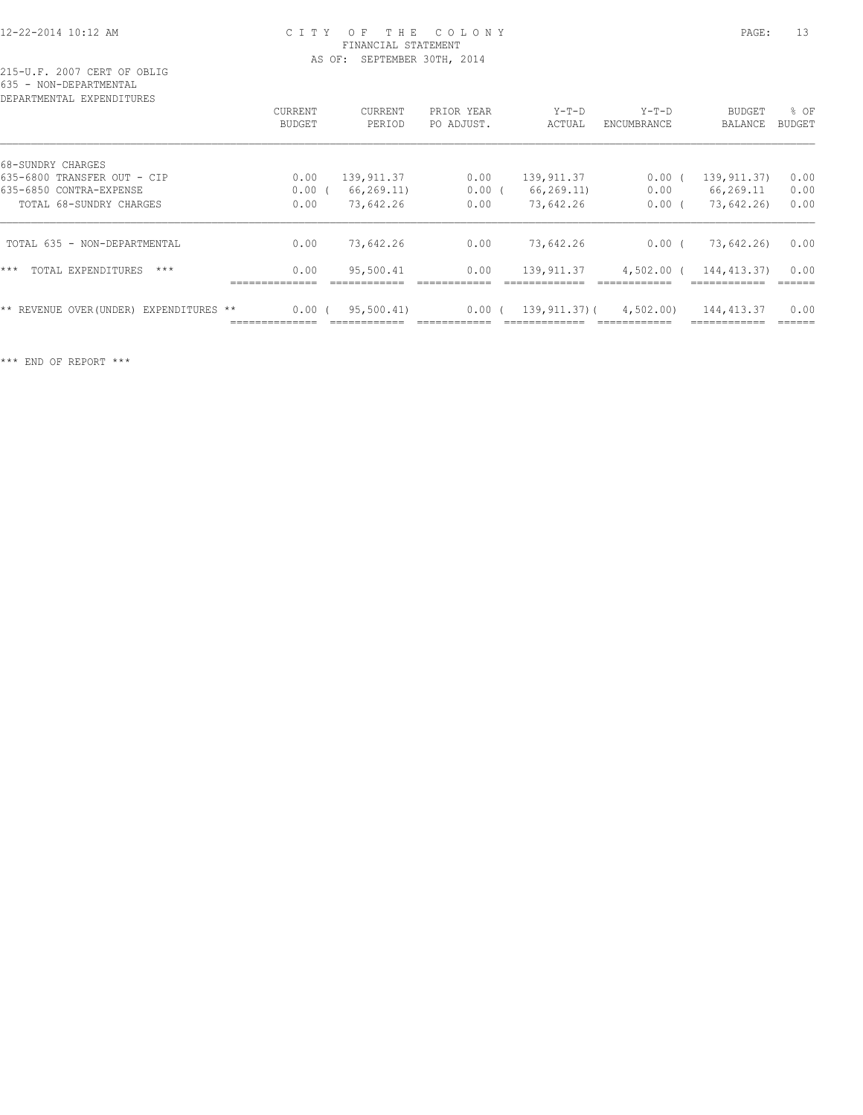# 12-22-2014 10:12 AM C I T Y O F T H E C O L O N Y PAGE: 13 FINANCIAL STATEMENT AS OF: SEPTEMBER 30TH, 2014

215-U.F. 2007 CERT OF OBLIG 635 - NON-DEPARTMENTAL

| DEPARTMENTAL<br>EXPENDITURES                     |                                 |                          |                          |                   |                        |                                 |                       |
|--------------------------------------------------|---------------------------------|--------------------------|--------------------------|-------------------|------------------------|---------------------------------|-----------------------|
|                                                  | <b>CURRENT</b><br><b>BUDGET</b> | <b>CURRENT</b><br>PERIOD | PRIOR YEAR<br>PO ADJUST. | $Y-T-D$<br>ACTUAL | $Y-T-D$<br>ENCUMBRANCE | <b>BUDGET</b><br><b>BALANCE</b> | % OF<br><b>BUDGET</b> |
| 68-SUNDRY CHARGES                                |                                 |                          |                          |                   |                        |                                 |                       |
| 635-6800 TRANSFER OUT - CIP                      | 0.00                            | 139, 911.37              | 0.00                     | 139, 911.37       | $0.00$ (               | 139, 911.37)                    | 0.00                  |
| 635-6850 CONTRA-EXPENSE                          | 0.00(                           | 66,269.11)               | 0.00(                    | 66, 269.11        | 0.00                   | 66,269.11                       | 0.00                  |
| TOTAL 68-SUNDRY CHARGES                          | 0.00                            | 73,642.26                | 0.00                     | 73,642.26         | 0.00(                  | 73,642.26)                      | 0.00                  |
| TOTAL 635 - NON-DEPARTMENTAL                     | 0.00                            | 73,642.26                | 0.00                     | 73,642.26         | 0.00(                  | 73,642.26)                      | 0.00                  |
| ***<br>TOTAL EXPENDITURES<br>$***$               | 0.00                            | 95,500.41                | 0.00                     | 139, 911.37       | $4,502.00$ (           | 144, 413.37)                    | 0.00                  |
| ** REVENUE OVER (UNDER)<br>EXPENDITURES<br>$***$ | 0.00(                           | 95,500.41)               | 0.00                     | 139,911,37)(      | 4,502.00               | 144, 413.37                     | 0.00                  |

\*\*\* END OF REPORT \*\*\*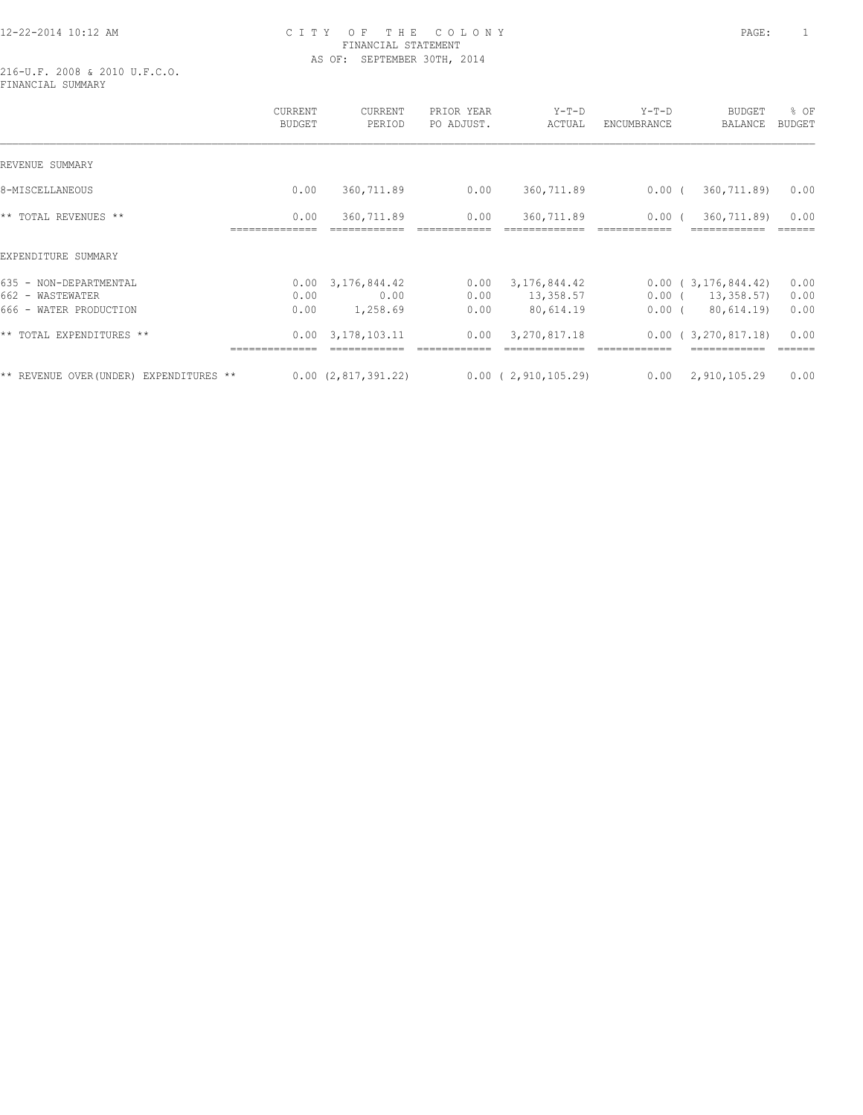# 12-22-2014 10:12 AM C I T Y O F T H E C O L O N Y PAGE: 1 FINANCIAL STATEMENT AS OF: SEPTEMBER 30TH, 2014

216-U.F. 2008 & 2010 U.F.C.O. FINANCIAL SUMMARY

|                                                                      | <b>CURRENT</b><br><b>BUDGET</b> | CURRENT<br>PERIOD                             | PRIOR YEAR<br>PO ADJUST. | $Y-T-D$<br>ACTUAL                      | $Y-T-D$<br>ENCUMBRANCE | BUDGET<br>BALANCE                              | % OF<br><b>BUDGET</b> |
|----------------------------------------------------------------------|---------------------------------|-----------------------------------------------|--------------------------|----------------------------------------|------------------------|------------------------------------------------|-----------------------|
| REVENUE SUMMARY                                                      |                                 |                                               |                          |                                        |                        |                                                |                       |
| 8-MISCELLANEOUS                                                      | 0.00                            | 360,711.89                                    | 0.00                     | 360,711.89                             | $0.00$ (               | 360,711.89)                                    | 0.00                  |
| ** TOTAL REVENUES **                                                 | 0.00                            | 360,711.89                                    | 0.00                     | 360,711.89                             | 0.00(                  | 360,711.89)                                    | 0.00                  |
| EXPENDITURE SUMMARY                                                  |                                 |                                               |                          |                                        |                        |                                                |                       |
| 635 - NON-DEPARTMENTAL<br>662 - WASTEWATER<br>666 - WATER PRODUCTION | 0.00<br>0.00                    | $0.00 \quad 3,176,844.42$<br>0.00<br>1,258.69 | 0.00<br>0.00<br>0.00     | 3,176,844.42<br>13,358.57<br>80,614.19 | $0.00$ (<br>$0.00$ (   | 0.00(3,176,844.42)<br>13,358.57)<br>80,614.19) | 0.00<br>0.00<br>0.00  |
| ** TOTAL EXPENDITURES **                                             |                                 | $0.00 \quad 3.178.103.11$                     | 0.00                     | 3, 270, 817.18                         |                        | 0.00(3,270,817,18)                             | 0.00                  |
| ** REVENUE OVER (UNDER) EXPENDITURES **                              |                                 | 0.00(2,817,391.22)                            |                          | $0.00$ ( 2,910,105.29)                 | 0.00                   | 2,910,105.29                                   | 0.00                  |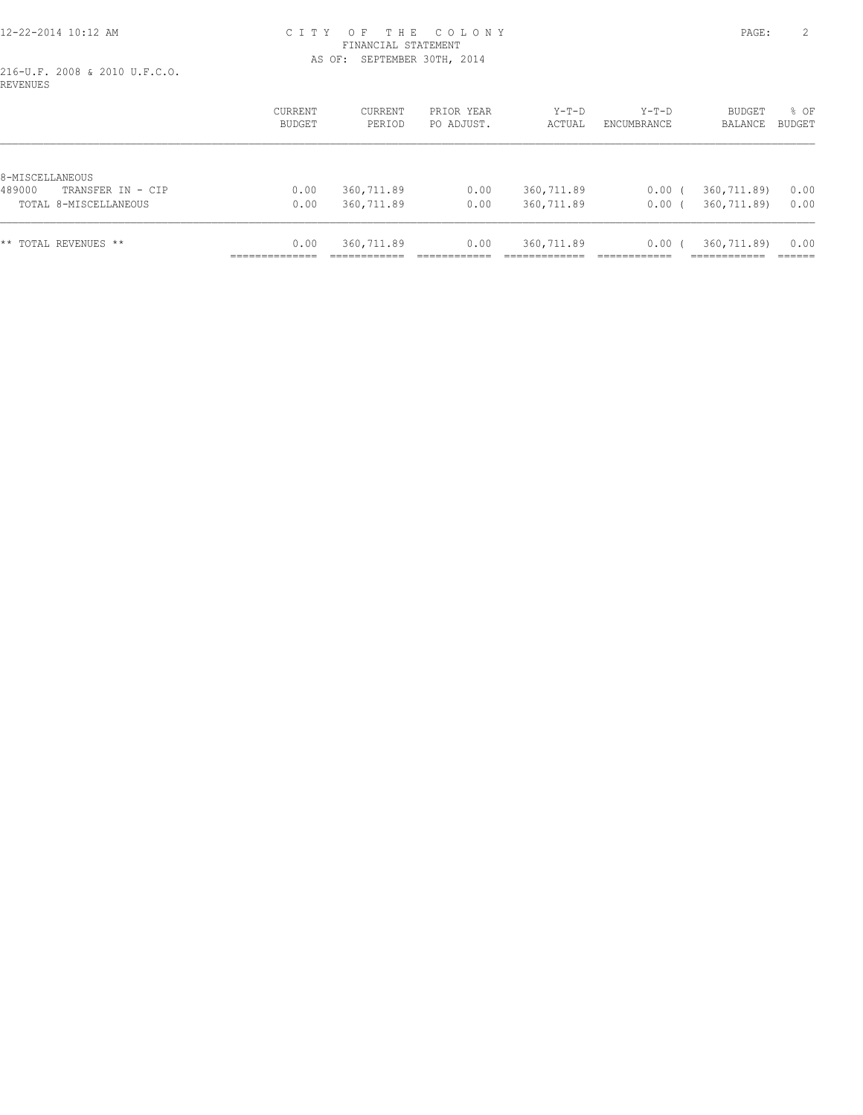# 12-22-2014 10:12 AM C I T Y O F T H E C O L O N Y PAGE: 2 FINANCIAL STATEMENT AS OF: SEPTEMBER 30TH, 2014

216-U.F. 2008 & 2010 U.F.C.O. REVENUES

|                                                | <b>CURRENT</b><br>BUDGET | CURRENT<br>PERIOD | PRIOR YEAR<br>PO ADJUST. | $Y-T-D$<br>ACTUAL | $Y-T-D$<br>ENCUMBRANCE | <b>BUDGET</b><br>BALANCE | % OF<br><b>BUDGET</b> |
|------------------------------------------------|--------------------------|-------------------|--------------------------|-------------------|------------------------|--------------------------|-----------------------|
|                                                |                          |                   |                          |                   |                        |                          |                       |
| 8-MISCELLANEOUS<br>489000<br>TRANSFER IN - CIP | 0.00                     | 360,711.89        | 0.00                     | 360,711.89        | 0.00(                  | 360,711.89)              | 0.00                  |
|                                                |                          |                   |                          |                   |                        |                          |                       |
| TOTAL 8-MISCELLANEOUS                          | 0.00                     | 360,711.89        | 0.00                     | 360,711.89        | 0.00(                  | 360,711.89)              | 0.00                  |
| TOTAL REVENUES **<br>* *                       | 0.00                     | 360,711.89        | 0.00                     | 360,711.89        | 0.00(                  | 360,711.89)              | 0.00                  |
|                                                |                          |                   |                          |                   |                        |                          |                       |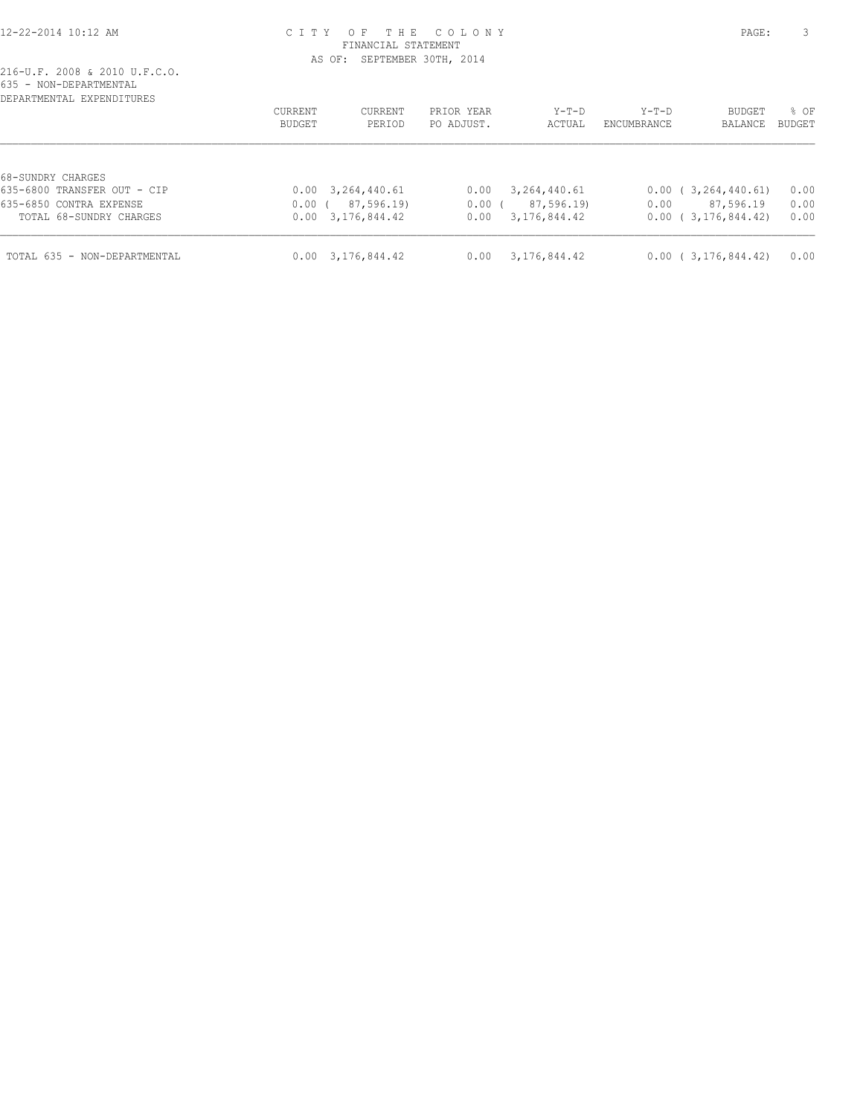#### 12-22-2014 10:12 AM C I T Y O F T H E C O L O N Y PAGE: 3 FINANCIAL STATEMENT AS OF: SEPTEMBER 30TH, 2014

| DEPARTMENTAL EXPENDITURES                          | CURRENT<br>CURRENT<br>BUDGET<br>PERIOD              | PRIOR YEAR<br>PO ADJUST. | $Y-T-D$<br>ACTUAL          | Y-T-D<br>ENCUMBRANCE | BUDGET<br><b>BALANCE</b>        | % OF<br><b>BUDGET</b> |
|----------------------------------------------------|-----------------------------------------------------|--------------------------|----------------------------|----------------------|---------------------------------|-----------------------|
| 68-SUNDRY CHARGES<br>635-6800 TRANSFER OUT - CIP   | $0.00 \quad 3,264,440.61$                           | 0.00                     | 3,264,440.61               |                      | 0.00(3,264,440.61)              | 0.00                  |
| 635-6850 CONTRA EXPENSE<br>TOTAL 68-SUNDRY CHARGES | 87,596.19)<br>$0.00$ (<br>$0.00 \quad 3.176.844.42$ | $0.00$ (<br>0.00         | 87,596.19)<br>3,176,844.42 | 0.00                 | 87,596.19<br>0.00(3,176,844.42) | 0.00<br>0.00          |
| TOTAL 635 - NON-DEPARTMENTAL                       | $0.00 \quad 3.176.844.42$                           | 0.00                     | 3,176,844.42               |                      | 0.00(3,176,844.42)              | 0.00                  |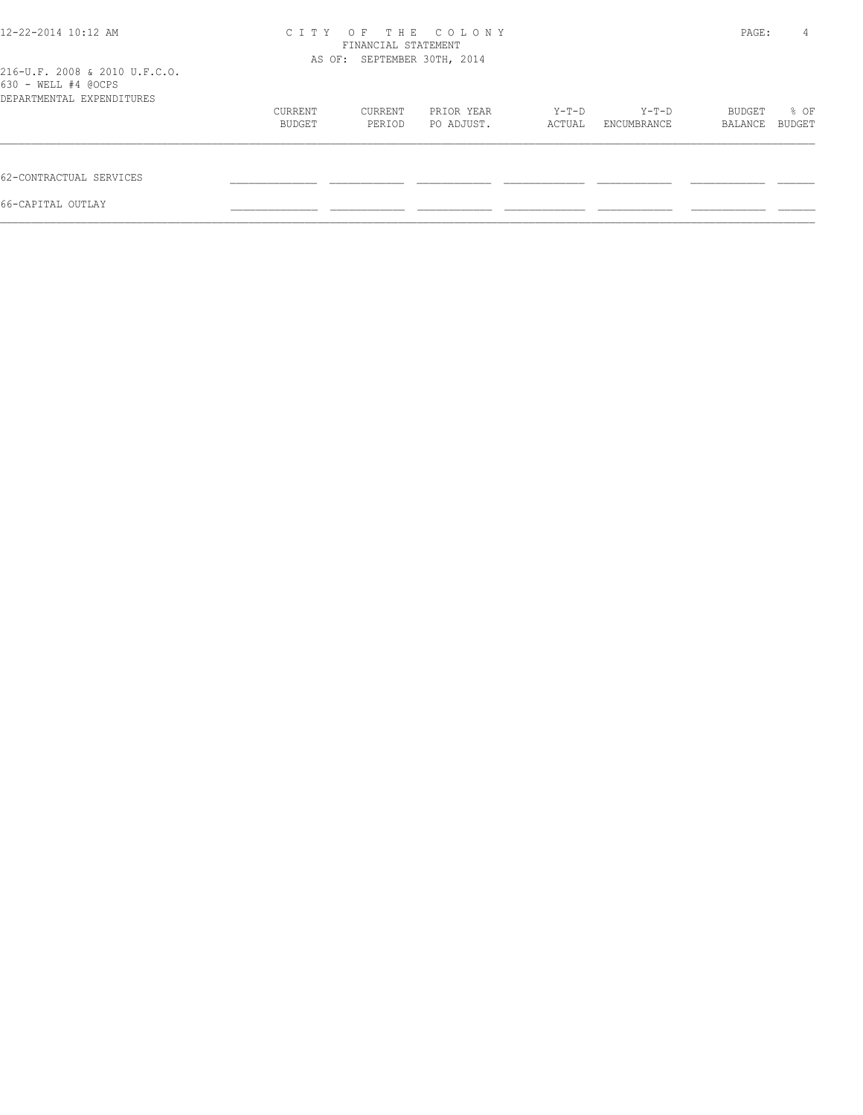| 12-22-2014 10:12 AM                                                               | OF THE COLONY<br>C T T Y<br>FINANCIAL STATEMENT<br>AS OF: SEPTEMBER 30TH, 2014 |         |            |        |             |         | 4      |
|-----------------------------------------------------------------------------------|--------------------------------------------------------------------------------|---------|------------|--------|-------------|---------|--------|
| 216-U.F. 2008 & 2010 U.F.C.O.<br>630 - WELL #4 @OCPS<br>DEPARTMENTAL EXPENDITURES |                                                                                |         |            |        |             |         |        |
|                                                                                   | CURRENT                                                                        | CURRENT | PRIOR YEAR | Y-T-D  | Y-T-D       | BUDGET  | % OF   |
|                                                                                   | BUDGET                                                                         | PERIOD  | PO ADJUST. | ACTUAL | ENCUMBRANCE | BALANCE | BUDGET |
| 62-CONTRACTUAL SERVICES                                                           |                                                                                |         |            |        |             |         |        |
| 66-CAPITAL OUTLAY                                                                 |                                                                                |         |            |        |             |         |        |
|                                                                                   |                                                                                |         |            |        |             |         |        |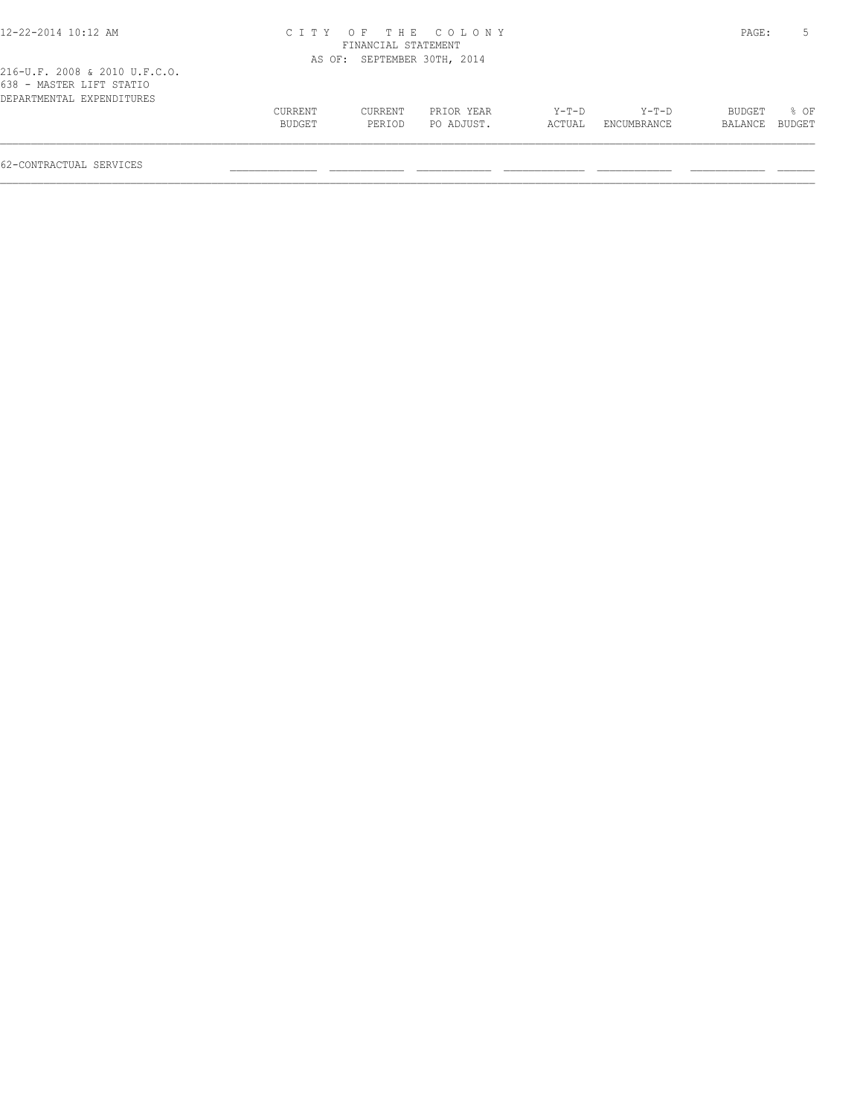| 12-22-2014 10:12 AM                                                                    |         |                     | CITY OF THE COLONY          |        |                    | PAGE:   |        |
|----------------------------------------------------------------------------------------|---------|---------------------|-----------------------------|--------|--------------------|---------|--------|
|                                                                                        |         | FINANCIAL STATEMENT |                             |        |                    |         |        |
|                                                                                        |         |                     | AS OF: SEPTEMBER 30TH, 2014 |        |                    |         |        |
| 216-U.F. 2008 & 2010 U.F.C.O.<br>638 - MASTER LIFT STATIO<br>DEPARTMENTAL EXPENDITURES |         |                     |                             |        |                    |         |        |
|                                                                                        | CURRENT | CURRENT             | PRIOR YEAR                  | Y-T-D  | $Y-T-D$            | BUDGET  | 8 OF   |
|                                                                                        | BUDGET  | PERIOD              | PO ADJUST.                  | ACTUAL | <b>ENCUMBRANCE</b> | BALANCE | BUDGET |
| 62-CONTRACTUAL SERVICES                                                                |         |                     |                             |        |                    |         |        |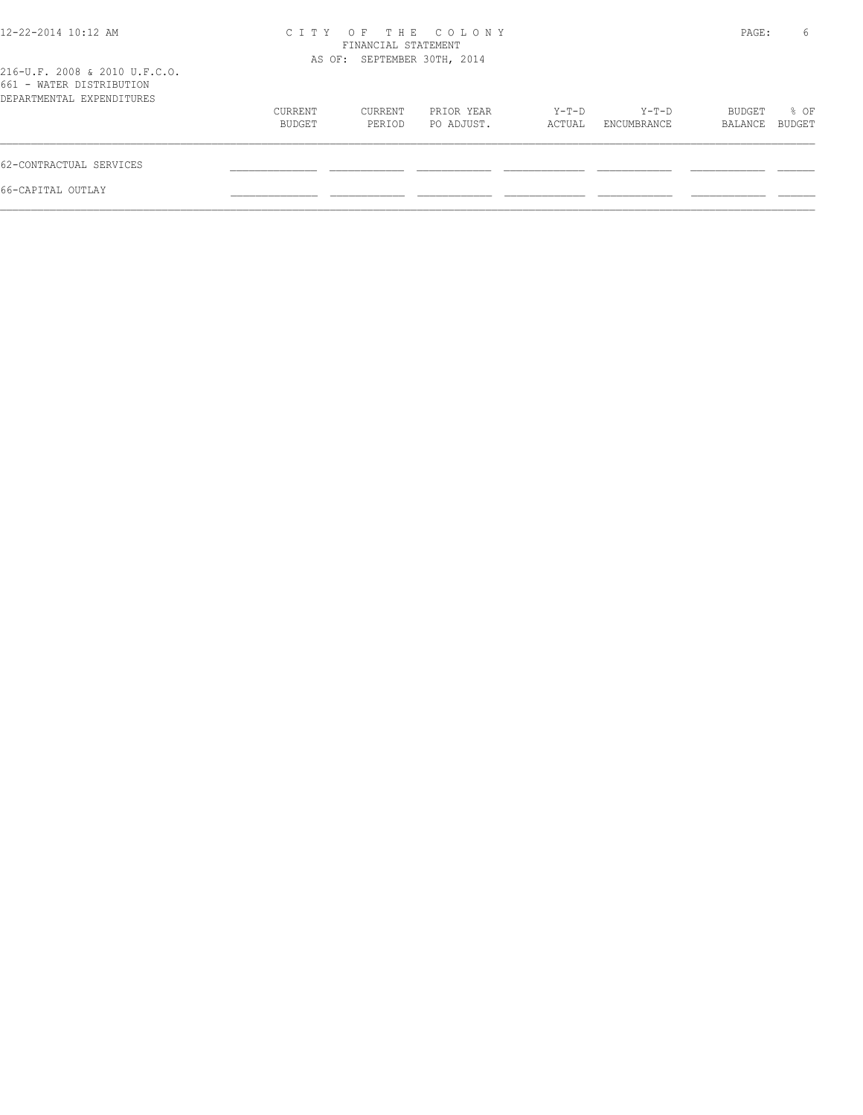|                          | CITY OF THE COLONY<br>FINANCIAL STATEMENT |                          |                             |                      |                   |                |  |
|--------------------------|-------------------------------------------|--------------------------|-----------------------------|----------------------|-------------------|----------------|--|
|                          |                                           |                          |                             |                      |                   |                |  |
| <b>CURRENT</b><br>BUDGET | CURRENT<br>PERIOD                         | PRIOR YEAR<br>PO ADJUST. | $Y-T-D$<br>ACTUAL           | Y-T-D<br>ENCUMBRANCE | BUDGET<br>BALANCE | % OF<br>BUDGET |  |
|                          |                                           |                          |                             |                      |                   |                |  |
|                          |                                           |                          |                             |                      |                   |                |  |
|                          |                                           |                          | AS OF: SEPTEMBER 30TH, 2014 |                      |                   | PAGE:          |  |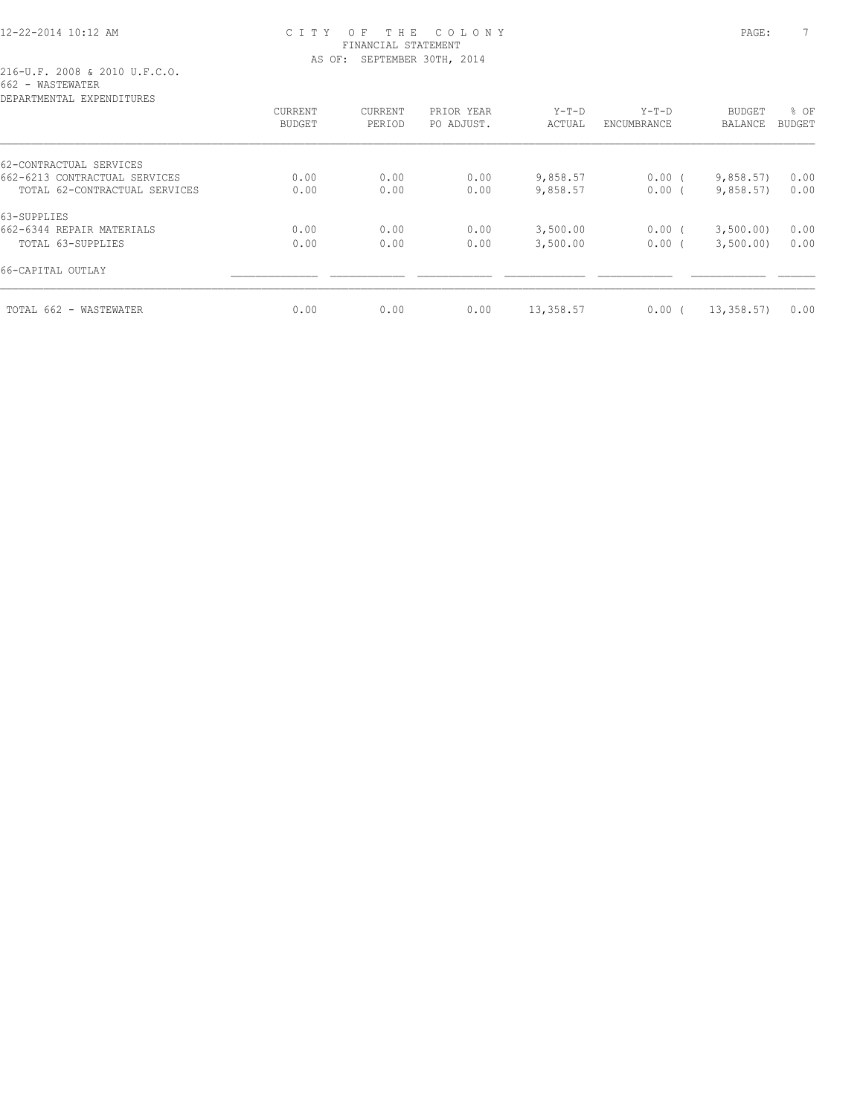# 12-22-2014 10:12 AM C I T Y O F T H E C O L O N Y PAGE: 7 FINANCIAL STATEMENT AS OF: SEPTEMBER 30TH, 2014

| DEPARTMENTAL EXPENDITURES     |                |         |            |           |             |            |               |
|-------------------------------|----------------|---------|------------|-----------|-------------|------------|---------------|
|                               | <b>CURRENT</b> | CURRENT | PRIOR YEAR | $Y-T-D$   | $Y-T-D$     | BUDGET     | % OF          |
|                               | <b>BUDGET</b>  | PERIOD  | PO ADJUST. | ACTUAL    | ENCUMBRANCE | BALANCE    | <b>BUDGET</b> |
| 62-CONTRACTUAL SERVICES       |                |         |            |           |             |            |               |
| 662-6213 CONTRACTUAL SERVICES | 0.00           | 0.00    | 0.00       | 9,858.57  | $0.00$ (    | 9,858.57   | 0.00          |
| TOTAL 62-CONTRACTUAL SERVICES | 0.00           | 0.00    | 0.00       | 9,858.57  | $0.00$ (    | 9,858.57   | 0.00          |
| 63-SUPPLIES                   |                |         |            |           |             |            |               |
| 662-6344 REPAIR MATERIALS     | 0.00           | 0.00    | 0.00       | 3,500.00  | $0.00$ (    | 3,500.00)  | 0.00          |
| TOTAL 63-SUPPLIES             | 0.00           | 0.00    | 0.00       | 3,500.00  | 0.00(       | 3,500.00)  | 0.00          |
| 66-CAPITAL OUTLAY             |                |         |            |           |             |            |               |
| TOTAL 662 - WASTEWATER        | 0.00           | 0.00    | 0.00       | 13,358.57 | $0.00$ (    | 13, 358.57 | 0.00          |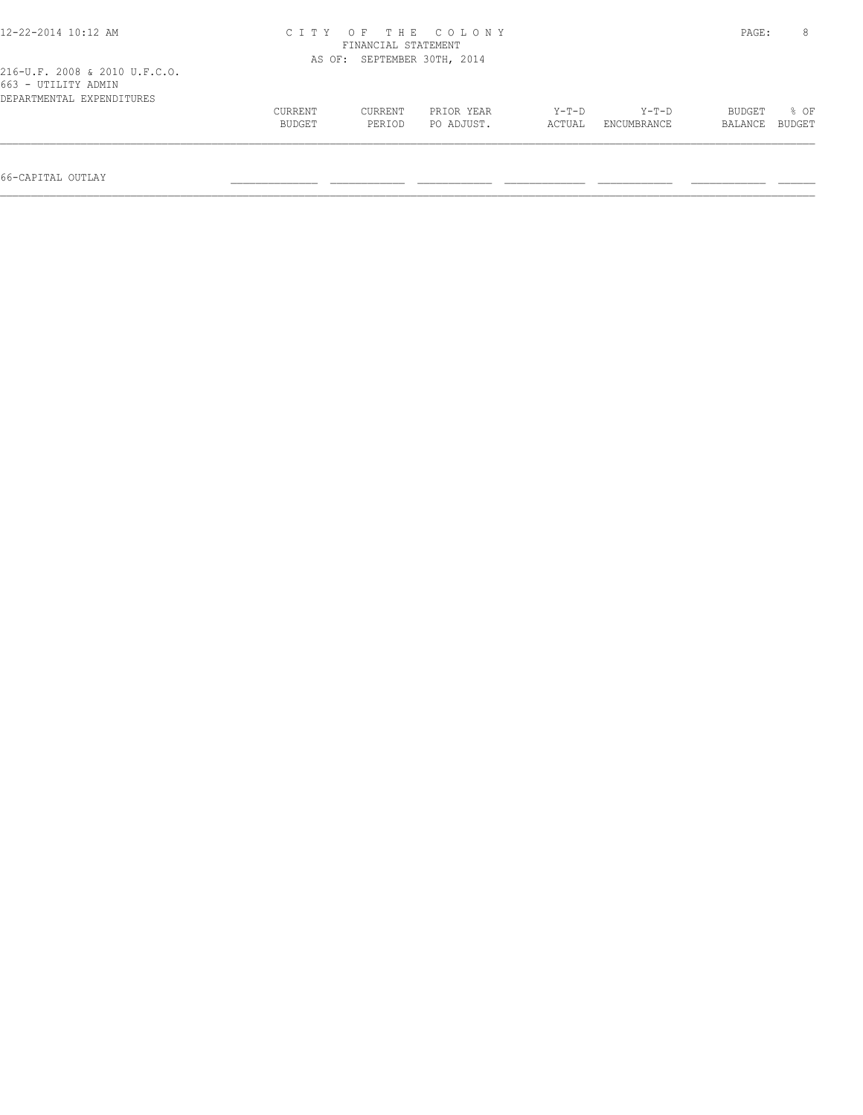| 12-22-2014 10:12 AM                                                               | PAGE:             | 8                           |                          |                 |                             |                   |                |
|-----------------------------------------------------------------------------------|-------------------|-----------------------------|--------------------------|-----------------|-----------------------------|-------------------|----------------|
| 216-U.F. 2008 & 2010 U.F.C.O.<br>663 - UTILITY ADMIN<br>DEPARTMENTAL EXPENDITURES |                   | AS OF: SEPTEMBER 30TH, 2014 |                          |                 |                             |                   |                |
|                                                                                   | CURRENT<br>BUDGET | CURRENT<br>PERIOD           | PRIOR YEAR<br>PO ADJUST. | Y-T-D<br>ACTUAL | Y-T-D<br><b>ENCUMBRANCE</b> | BUDGET<br>BALANCE | % OF<br>BUDGET |
| 66-CAPITAL OUTLAY                                                                 |                   |                             |                          |                 |                             |                   |                |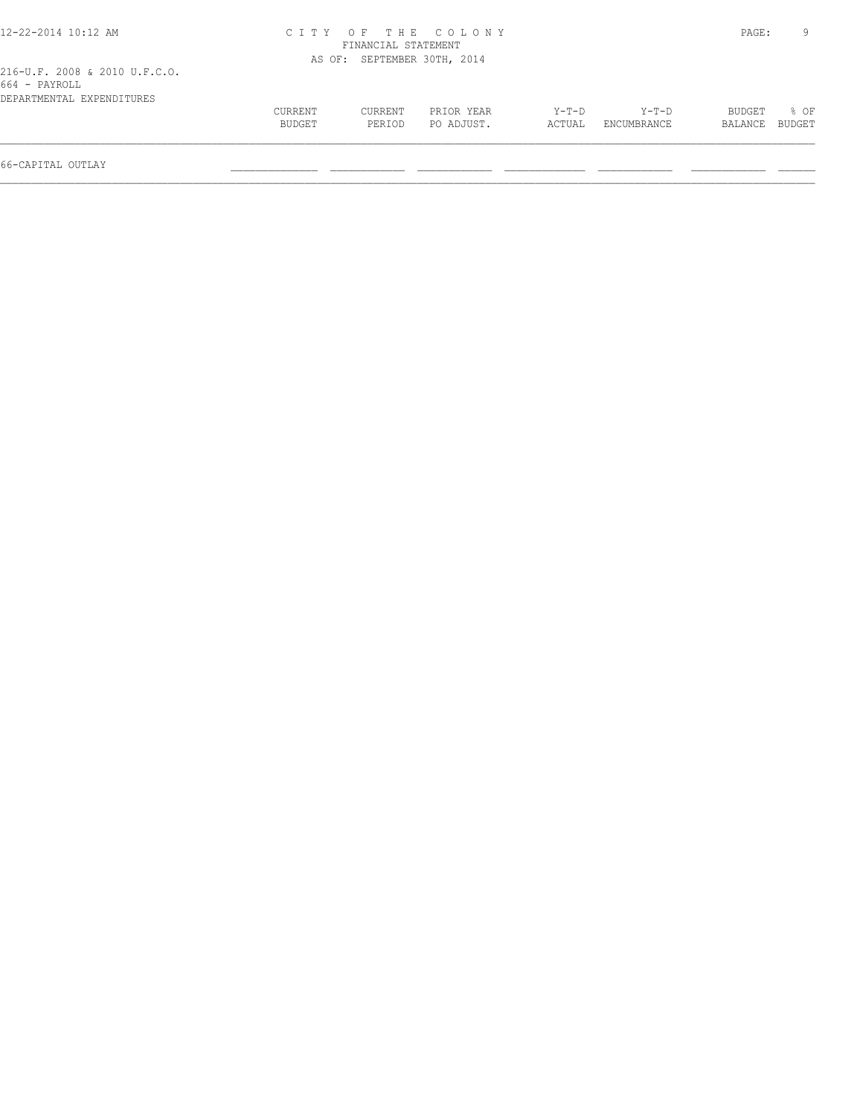| 12-22-2014 10:12 AM                                                         |                   |                             | CITY OF THE COLONY       |                 |                      | PAGE:             | 9              |
|-----------------------------------------------------------------------------|-------------------|-----------------------------|--------------------------|-----------------|----------------------|-------------------|----------------|
|                                                                             |                   | FINANCIAL STATEMENT         |                          |                 |                      |                   |                |
|                                                                             |                   | AS OF: SEPTEMBER 30TH, 2014 |                          |                 |                      |                   |                |
| 216-U.F. 2008 & 2010 U.F.C.O.<br>664 - PAYROLL<br>DEPARTMENTAL EXPENDITURES |                   |                             |                          |                 |                      |                   |                |
|                                                                             | CURRENT<br>BUDGET | CURRENT<br>PERIOD           | PRIOR YEAR<br>PO ADJUST. | Y-T-D<br>ACTUAL | Y-T-D<br>ENCUMBRANCE | BUDGET<br>BALANCE | 8 OF<br>BUDGET |
| 66-CAPITAL OUTLAY                                                           |                   |                             |                          |                 |                      |                   |                |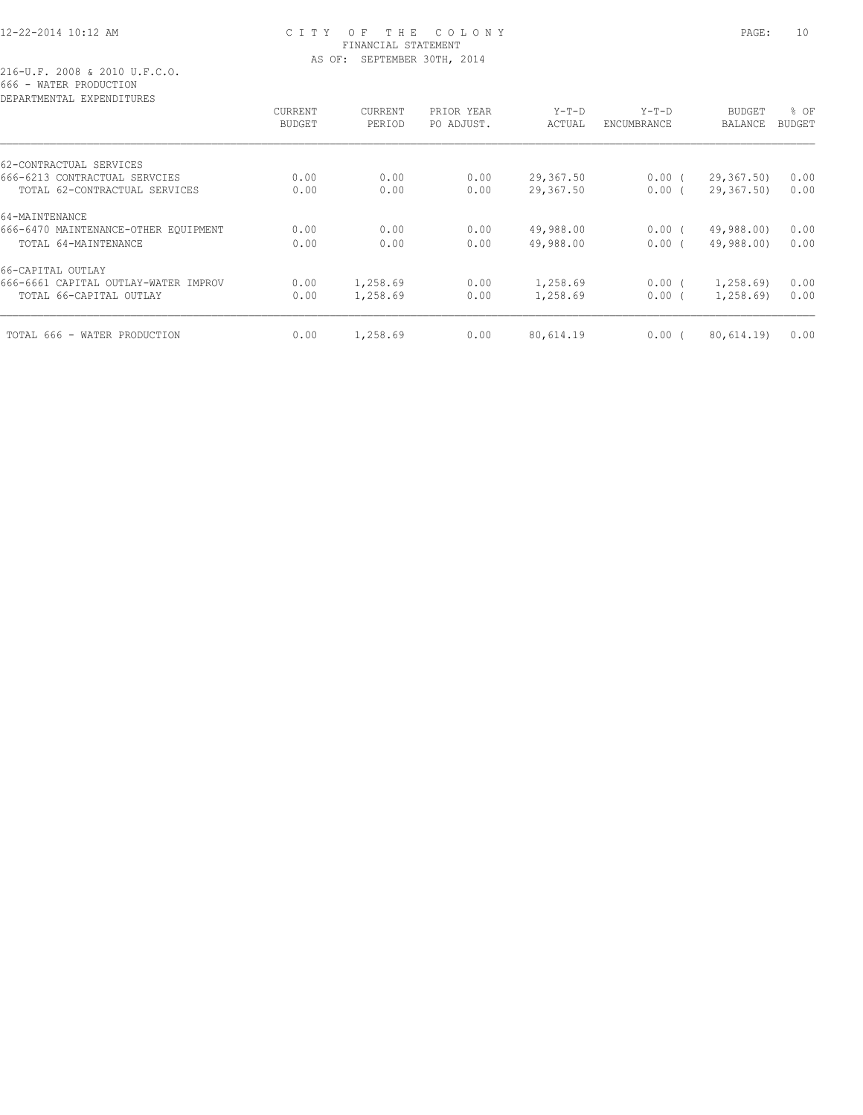# 12-22-2014 10:12 AM C I T Y O F T H E C O L O N Y PAGE: 10 FINANCIAL STATEMENT AS OF: SEPTEMBER 30TH, 2014

216-U.F. 2008 & 2010 U.F.C.O. 666 - WATER PRODUCTION

| DEPARTMENTAL EXPENDITURES            |                |          |            |           |             |                |               |
|--------------------------------------|----------------|----------|------------|-----------|-------------|----------------|---------------|
|                                      | <b>CURRENT</b> | CURRENT  | PRIOR YEAR | $Y-T-D$   | $Y-T-D$     | <b>BUDGET</b>  | % OF          |
|                                      | <b>BUDGET</b>  | PERIOD   | PO ADJUST. | ACTUAL    | ENCUMBRANCE | <b>BALANCE</b> | <b>BUDGET</b> |
| 62-CONTRACTUAL SERVICES              |                |          |            |           |             |                |               |
| 666-6213 CONTRACTUAL SERVCIES        | 0.00           | 0.00     | 0.00       | 29,367.50 | $0.00$ (    | 29, 367, 50)   | 0.00          |
| TOTAL 62-CONTRACTUAL SERVICES        | 0.00           | 0.00     | 0.00       | 29,367.50 | 0.00(       | 29,367.50)     | 0.00          |
| 64-MAINTENANCE                       |                |          |            |           |             |                |               |
| 666-6470 MAINTENANCE-OTHER EQUIPMENT | 0.00           | 0.00     | 0.00       | 49,988.00 | 0.00(       | 49,988.00)     | 0.00          |
| TOTAL 64-MAINTENANCE                 | 0.00           | 0.00     | 0.00       | 49,988.00 | $0.00$ $($  | 49,988.00)     | 0.00          |
| 66-CAPITAL OUTLAY                    |                |          |            |           |             |                |               |
| 666-6661 CAPITAL OUTLAY-WATER IMPROV | 0.00           | 1,258.69 | 0.00       | 1,258.69  | $0.00$ (    | 1, 258.69      | 0.00          |
| TOTAL 66-CAPITAL OUTLAY              | 0.00           | 1,258.69 | 0.00       | 1,258.69  | 0.00(       | 1,258.69       | 0.00          |
| TOTAL 666 - WATER PRODUCTION         | 0.00           | 1,258.69 | 0.00       | 80,614.19 | 0.00(       | 80,614.19)     | 0.00          |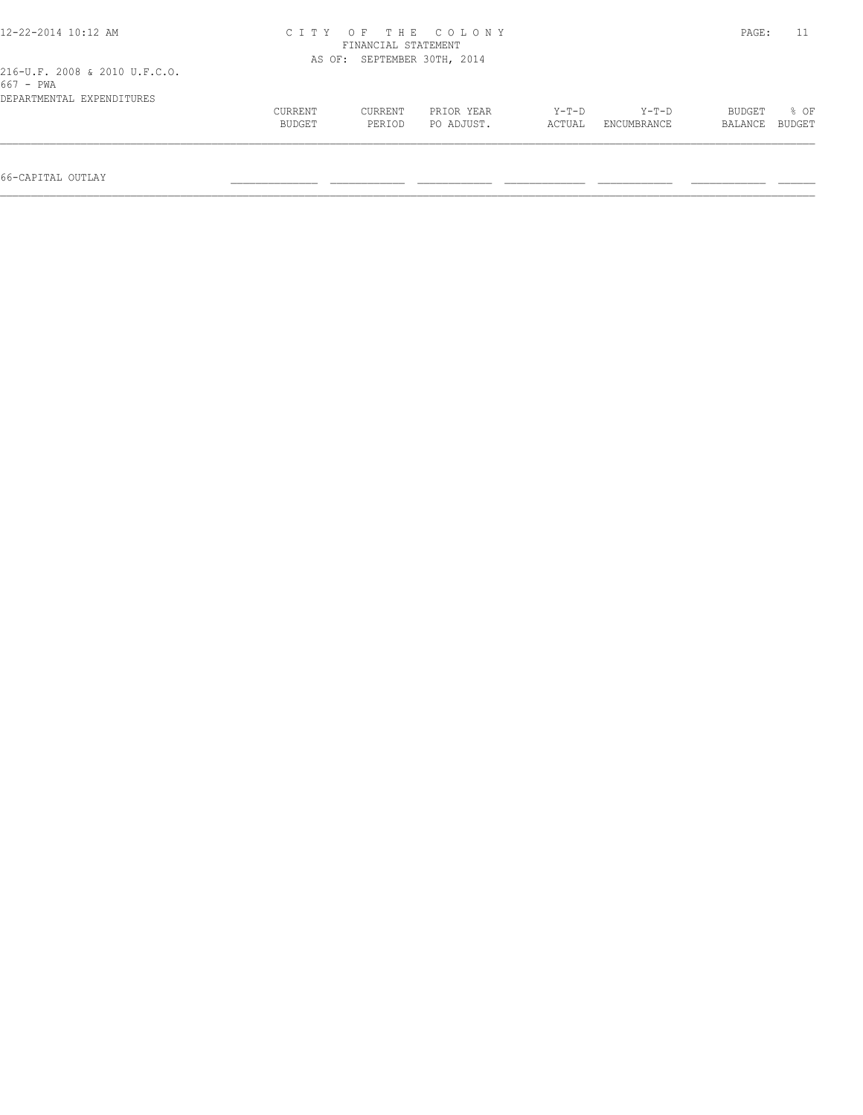| 12-22-2014 10:12 AM                                                       |                   |                             | CITY OF THE COLONY       |                 |                      | PAGE:             | 11             |
|---------------------------------------------------------------------------|-------------------|-----------------------------|--------------------------|-----------------|----------------------|-------------------|----------------|
|                                                                           |                   | FINANCIAL STATEMENT         |                          |                 |                      |                   |                |
|                                                                           |                   | AS OF: SEPTEMBER 30TH, 2014 |                          |                 |                      |                   |                |
| 216-U.F. 2008 & 2010 U.F.C.O.<br>$667 - PWA$<br>DEPARTMENTAL EXPENDITURES |                   |                             |                          |                 |                      |                   |                |
|                                                                           | CURRENT<br>BUDGET | CURRENT<br>PERIOD           | PRIOR YEAR<br>PO ADJUST. | Y-T-D<br>ACTUAL | Y-T-D<br>ENCUMBRANCE | BUDGET<br>BALANCE | % OF<br>BUDGET |
| 66-CAPITAL OUTLAY                                                         |                   |                             |                          |                 |                      |                   |                |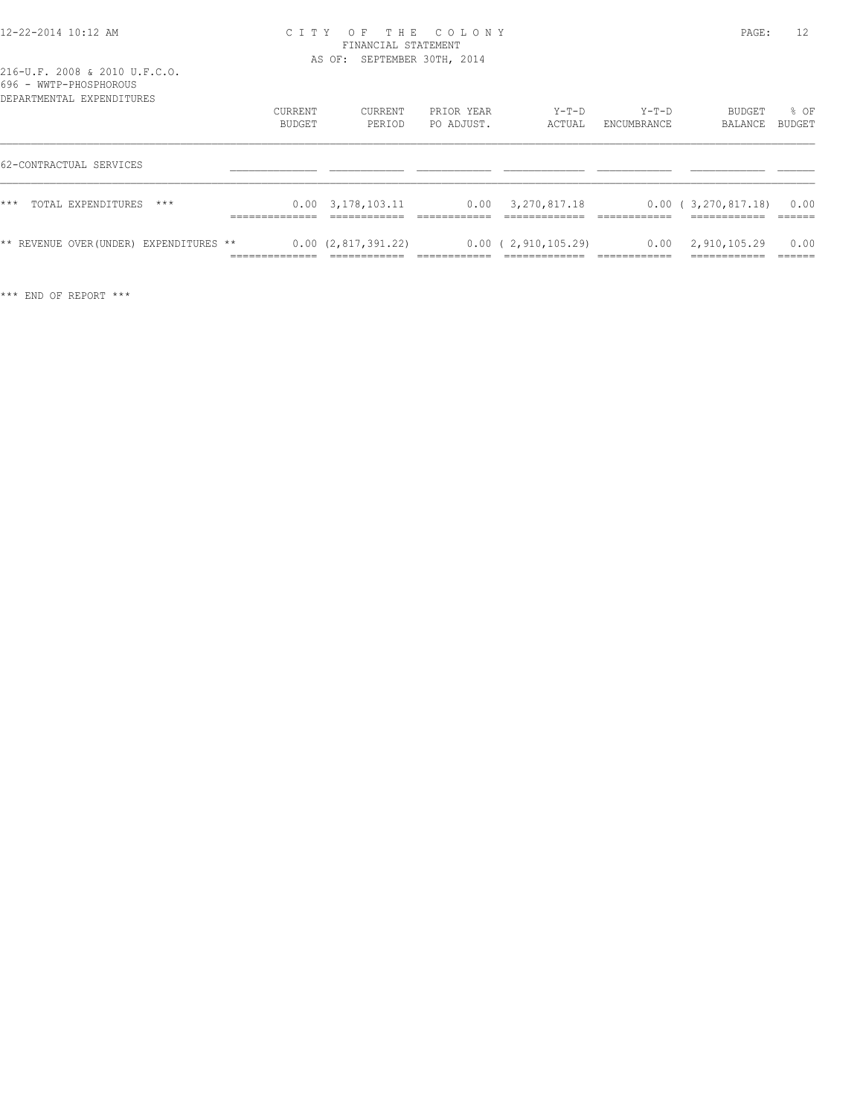#### 12-22-2014 10:12 AM C I T Y O F T H E C O L O N Y PAGE: 12 FINANCIAL STATEMENT AS OF: SEPTEMBER 30TH, 2014

| <u>v v v</u><br>WWII IIUJIIUUNUU<br>DEPARTMENTAL EXPENDITURES |                   |                           |                          |                        |                        |                                            |                          |
|---------------------------------------------------------------|-------------------|---------------------------|--------------------------|------------------------|------------------------|--------------------------------------------|--------------------------|
|                                                               | CURRENT<br>BUDGET | CURRENT<br>PERIOD         | PRIOR YEAR<br>PO ADJUST. | $Y-T-D$<br>ACTUAL      | $Y-T-D$<br>ENCUMBRANCE | BUDGET<br>BALANCE                          | % OF<br>BUDGET           |
| 62-CONTRACTUAL SERVICES                                       |                   |                           |                          |                        |                        |                                            |                          |
| $***$<br>TOTAL EXPENDITURES<br>$***$                          |                   | $0.00 \quad 3.178.103.11$ | 0.00                     | 3,270,817.18           |                        | 0.00(3,270,817.18)<br>____________         | 0.00                     |
| ** REVENUE OVER (UNDER) EXPENDITURES **                       | ______________    | 0.00(2,817,391.22)        |                          | $0.00$ ( 2,910,105.29) |                        | $0.00 \quad 2,910,105.29$<br>------------- | 0.00<br>------<br>______ |

\*\*\* END OF REPORT \*\*\*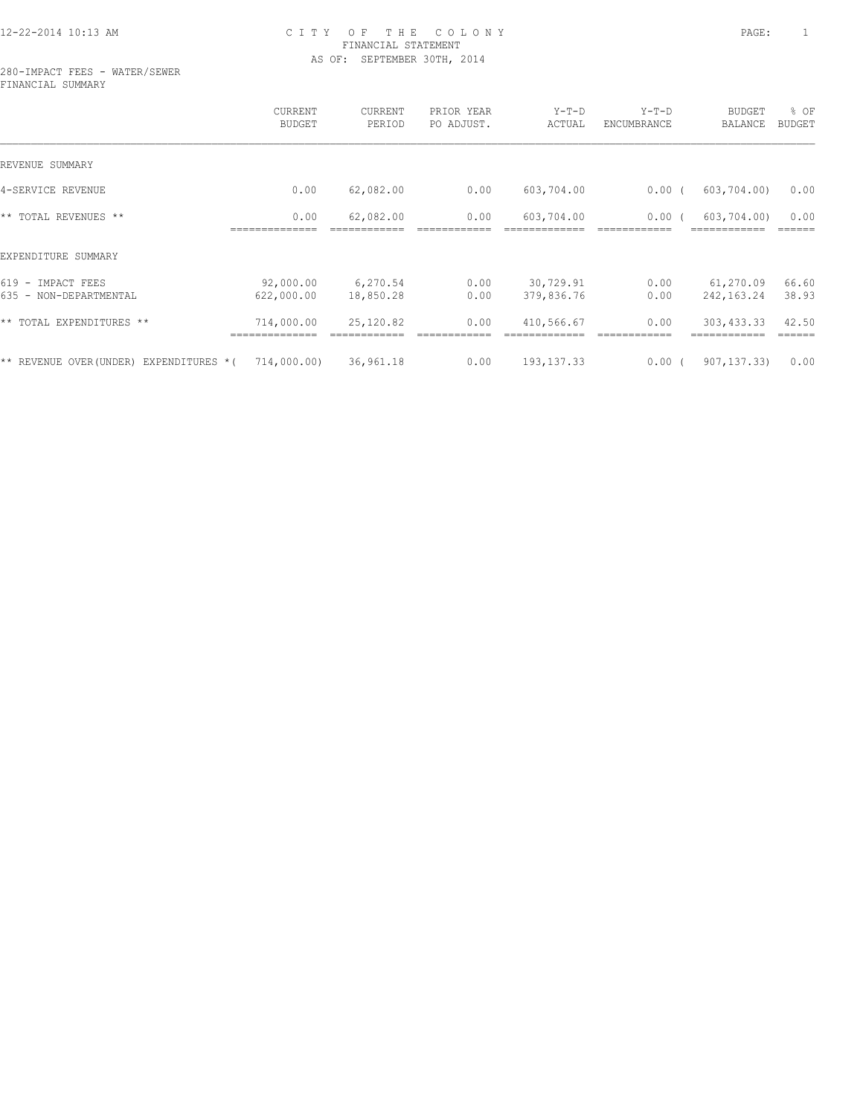# 12-22-2014 10:13 AM C I T Y O F T H E C O L O N Y PAGE: 1 FINANCIAL STATEMENT AS OF: SEPTEMBER 30TH, 2014

280-IMPACT FEES - WATER/SEWER FINANCIAL SUMMARY

|                                                  | CURRENT<br><b>BUDGET</b> | CURRENT<br>PERIOD     | PRIOR YEAR<br>PO ADJUST. | $Y-T-D$<br>ACTUAL       | $Y-T-D$<br>ENCUMBRANCE | <b>BUDGET</b><br><b>BALANCE</b> | % OF<br><b>BUDGET</b> |
|--------------------------------------------------|--------------------------|-----------------------|--------------------------|-------------------------|------------------------|---------------------------------|-----------------------|
| REVENUE SUMMARY                                  |                          |                       |                          |                         |                        |                                 |                       |
| 4-SERVICE REVENUE                                | 0.00                     | 62,082.00             | 0.00                     | 603,704.00              | $0.00$ (               | 603, 704.00                     | 0.00                  |
| ** TOTAL REVENUES **                             | 0.00                     | 62,082.00             | 0.00                     | 603,704.00              | 0.00                   | 603,704.00)                     | 0.00                  |
| EXPENDITURE SUMMARY                              |                          |                       |                          |                         |                        |                                 |                       |
| $619 -$<br>IMPACT FEES<br>635 - NON-DEPARTMENTAL | 92,000.00<br>622,000.00  | 6,270.54<br>18,850.28 | 0.00<br>0.00             | 30,729.91<br>379,836.76 | 0.00<br>0.00           | 61,270.09<br>242, 163. 24       | 66.60<br>38.93        |
| ** TOTAL EXPENDITURES **                         | 714,000.00               | 25,120.82             | 0.00                     | 410,566.67              | 0.00                   | 303, 433.33                     | 42.50                 |
| ** REVENUE OVER (UNDER)<br>EXPENDITURES *(       | 714,000.00)              | 36,961.18             | 0.00                     | 193, 137.33             | $0.00$ (               | 907, 137, 33)                   | 0.00                  |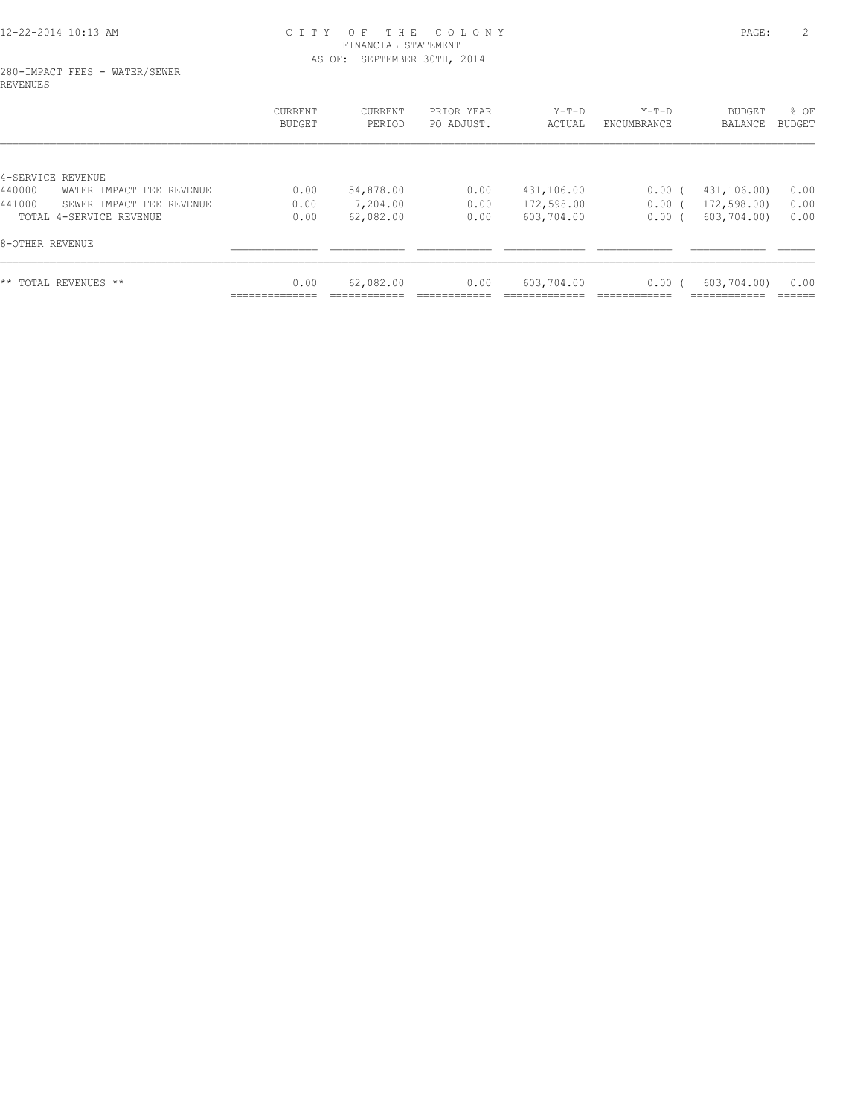# 12-22-2014 10:13 AM C I T Y O F T H E C O L O N Y PAGE: 2 FINANCIAL STATEMENT AS OF: SEPTEMBER 30TH, 2014

#### 280-IMPACT FEES - WATER/SEWER REVENUES

|                                    | CURRENT<br><b>BUDGET</b> | CURRENT<br>PERIOD | PRIOR YEAR<br>PO ADJUST. | $Y-T-D$<br>ACTUAL | $Y-T-D$<br>ENCUMBRANCE | <b>BUDGET</b><br>BALANCE | % OF<br>BUDGET |
|------------------------------------|--------------------------|-------------------|--------------------------|-------------------|------------------------|--------------------------|----------------|
|                                    |                          |                   |                          |                   |                        |                          |                |
| 4-SERVICE REVENUE                  |                          |                   |                          |                   |                        |                          |                |
| 440000<br>WATER IMPACT FEE REVENUE | 0.00                     | 54,878.00         | 0.00                     | 431,106.00        | 0.00(                  | 431,106.00)              | 0.00           |
| 441000<br>SEWER IMPACT FEE REVENUE | 0.00                     | 7,204.00          | 0.00                     | 172,598.00        | $0.00$ (               | 172,598.00)              | 0.00           |
| TOTAL 4-SERVICE REVENUE            | 0.00                     | 62,082.00         | 0.00                     | 603,704.00        | 0.00(                  | 603,704.00)              | 0.00           |
| 8-OTHER REVENUE                    |                          |                   |                          |                   |                        |                          |                |
| ** TOTAL REVENUES **               | 0.00                     | 62,082.00         | 0.00                     | 603,704.00        | 0.00(                  | 603,704.00)              | 0.00           |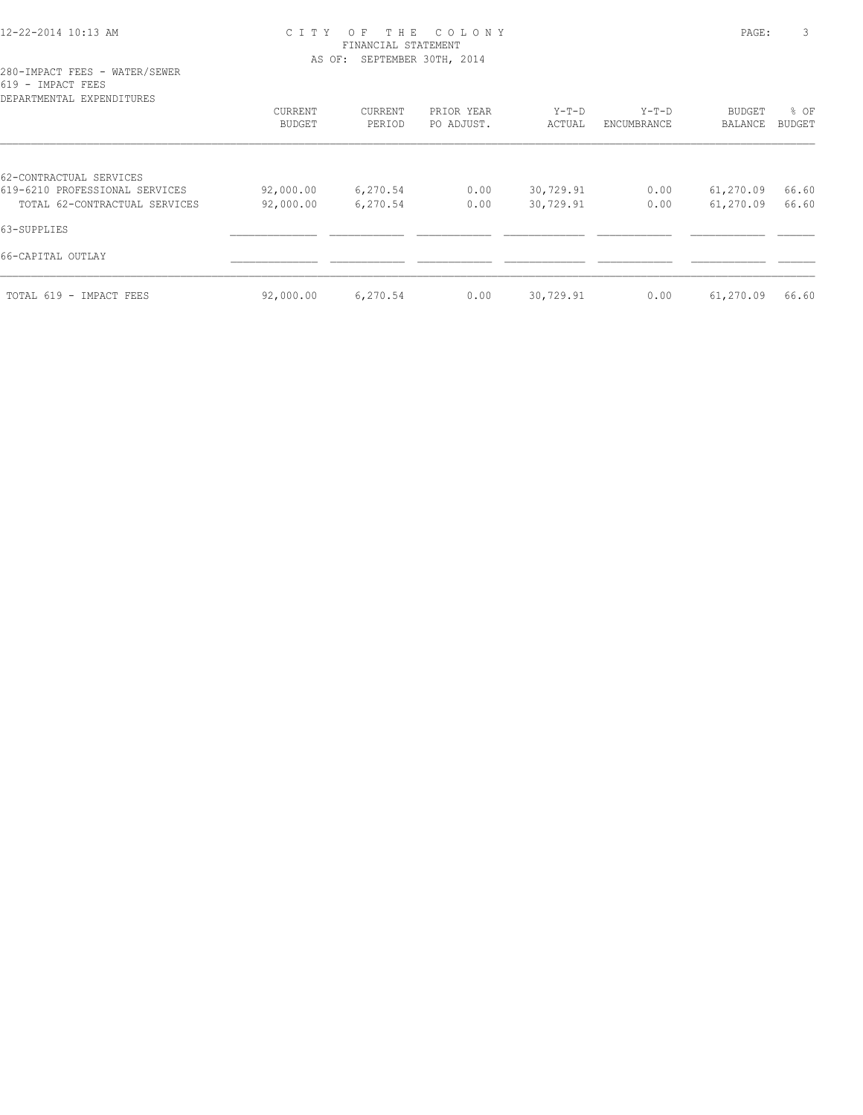# 12-22-2014 10:13 AM C I T Y O F T H E C O L O N Y PAGE: 3 FINANCIAL STATEMENT AS OF: SEPTEMBER 30TH, 2014

| DEPARTMENTAL EXPENDITURES      |           |          |            |           |             |               |               |
|--------------------------------|-----------|----------|------------|-----------|-------------|---------------|---------------|
|                                | CURRENT   | CURRENT  | PRIOR YEAR | $Y-T-D$   | $Y-T-D$     | <b>BUDGET</b> | % OF          |
|                                | BUDGET    | PERIOD   | PO ADJUST. | ACTUAL    | ENCUMBRANCE | BALANCE       | <b>BUDGET</b> |
| 62-CONTRACTUAL SERVICES        |           |          |            |           |             |               |               |
| 619-6210 PROFESSIONAL SERVICES | 92,000.00 | 6,270.54 | 0.00       | 30,729.91 | 0.00        | 61,270.09     | 66.60         |
| TOTAL 62-CONTRACTUAL SERVICES  | 92,000.00 | 6,270.54 | 0.00       | 30,729.91 | 0.00        | 61,270.09     | 66.60         |
| 63-SUPPLIES                    |           |          |            |           |             |               |               |
| 66-CAPITAL OUTLAY              |           |          |            |           |             |               |               |
| TOTAL 619 - IMPACT FEES        | 92,000.00 | 6,270.54 | 0.00       | 30,729.91 | 0.00        | 61,270.09     | 66.60         |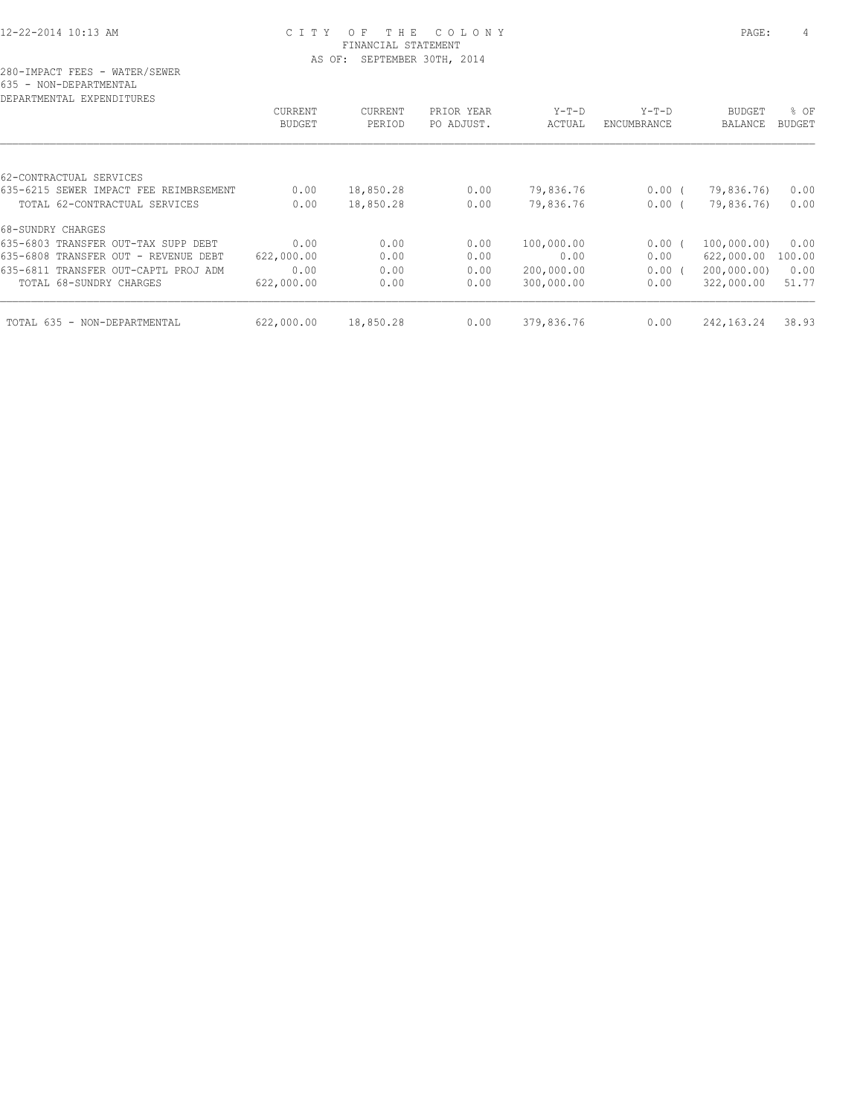| DEPARTMENTAL EXPENDITURES              |               |           |            |            |             |               |        |
|----------------------------------------|---------------|-----------|------------|------------|-------------|---------------|--------|
|                                        | CURRENT       | CURRENT   | PRIOR YEAR | $Y-T-D$    | $Y-T-D$     | <b>BUDGET</b> | % OF   |
|                                        | <b>BUDGET</b> | PERIOD    | PO ADJUST. | ACTUAL     | ENCUMBRANCE | BALANCE       | BUDGET |
|                                        |               |           |            |            |             |               |        |
| 62-CONTRACTUAL SERVICES                |               |           |            |            |             |               |        |
| 635-6215 SEWER IMPACT FEE REIMBRSEMENT | 0.00          | 18,850.28 | 0.00       | 79,836.76  | $0.00$ (    | 79,836.76)    | 0.00   |
| TOTAL 62-CONTRACTUAL SERVICES          | 0.00          | 18,850.28 | 0.00       | 79,836.76  | 0.00(       | 79,836.76)    | 0.00   |
| 68-SUNDRY CHARGES                      |               |           |            |            |             |               |        |
| 635-6803 TRANSFER OUT-TAX SUPP DEBT    | 0.00          | 0.00      | 0.00       | 100,000.00 | $0.00$ (    | 100,000.00)   | 0.00   |
| 635-6808 TRANSFER OUT - REVENUE DEBT   | 622,000.00    | 0.00      | 0.00       | 0.00       | 0.00        | 622,000.00    | 100.00 |
| 635-6811 TRANSFER OUT-CAPTL PROJ ADM   | 0.00          | 0.00      | 0.00       | 200,000.00 | 0.00(       | 200,000.00)   | 0.00   |
| TOTAL 68-SUNDRY CHARGES                | 622,000.00    | 0.00      | 0.00       | 300,000.00 | 0.00        | 322,000.00    | 51.77  |
| TOTAL 635 - NON-DEPARTMENTAL           | 622,000.00    | 18,850.28 | 0.00       | 379,836.76 | 0.00        | 242, 163. 24  | 38.93  |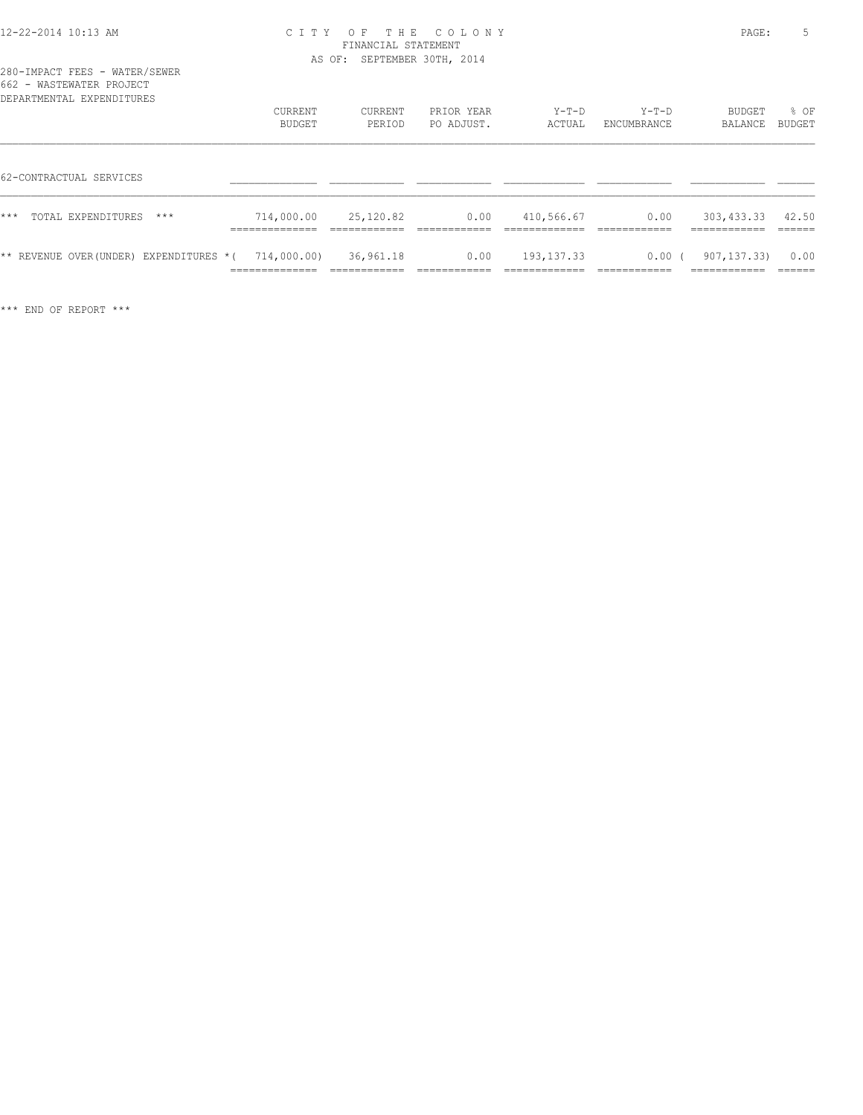| 662 - WASTEWATER PROJECT<br>DEPARTMENTAL EXPENDITURES  |                                                 |                                            |                          |                              |                          |                                          |                          |
|--------------------------------------------------------|-------------------------------------------------|--------------------------------------------|--------------------------|------------------------------|--------------------------|------------------------------------------|--------------------------|
|                                                        | CURRENT<br>BUDGET                               | CURRENT<br>PERIOD                          | PRIOR YEAR<br>PO ADJUST. | $Y-T-D$<br>ACTUAL            | $Y-T-D$<br>ENCUMBRANCE   | BUDGET<br>BALANCE                        | % OF<br>BUDGET           |
| 62-CONTRACTUAL SERVICES                                |                                                 |                                            |                          |                              |                          |                                          |                          |
| $***$<br>TOTAL EXPENDITURES<br>$***$                   | 714,000.00<br>______________<br>--------------- | 25,120.82<br>____________<br>------------- | 0.00                     | 410,566.67<br>_________      | 0.00                     | 303,433.33<br>------------<br>__________ | 42.50                    |
| $**$ REVENUE OVER(UNDER) EXPENDITURES $*($ 714,000.00) | ______________<br>-------------                 | 36,961.18<br>------------                  | 0.00<br>____________     | 193, 137.33<br>_____________ | $0.00$ (<br>____________ | 907, 137, 33)<br>============            | 0.00<br>------<br>______ |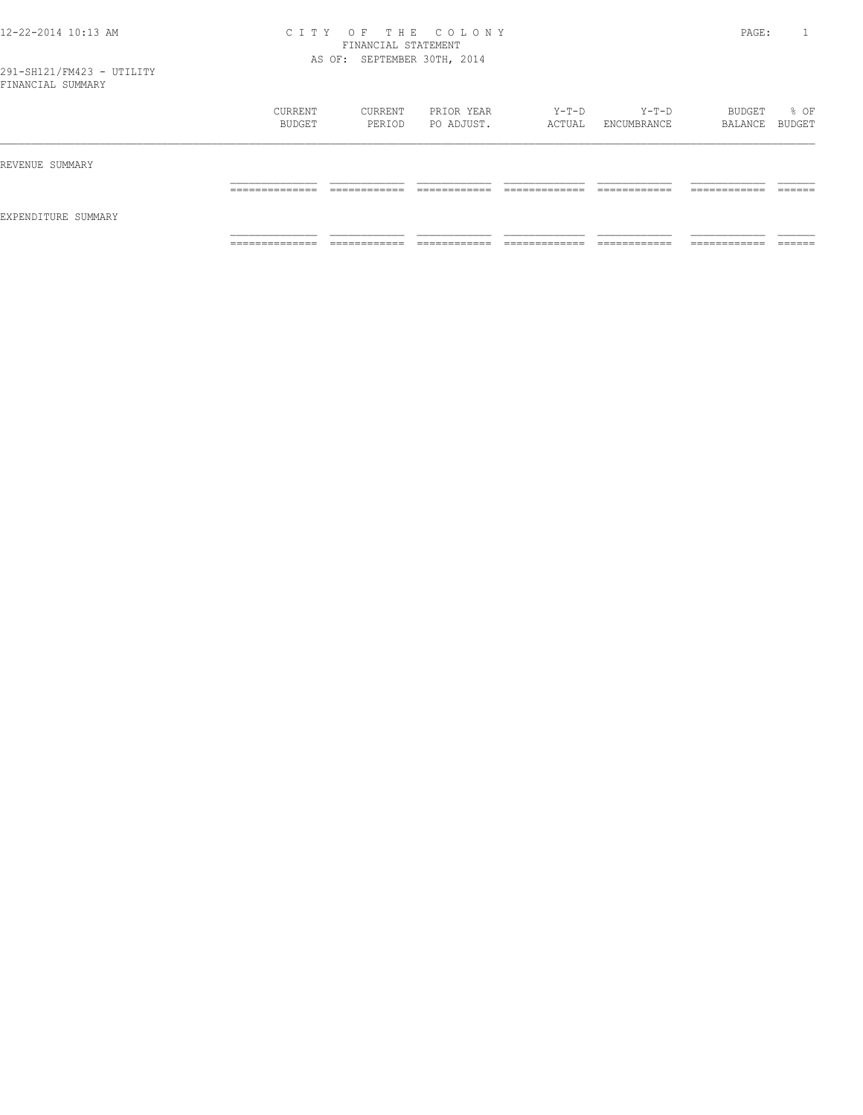| __                  |                                 |                   |                          |                 |                        |                            |      |
|---------------------|---------------------------------|-------------------|--------------------------|-----------------|------------------------|----------------------------|------|
|                     | CURRENT<br>BUDGET               | CURRENT<br>PERIOD | PRIOR YEAR<br>PO ADJUST. | Y-T-D<br>ACTUAL | $Y-T-D$<br>ENCUMBRANCE | BUDGET<br>BALANCE BUDGET   | % OF |
| REVENUE SUMMARY     |                                 |                   |                          |                 |                        |                            |      |
|                     | __________<br>------------      |                   |                          |                 |                        | _______<br>_______         |      |
| EXPENDITURE SUMMARY |                                 |                   |                          |                 |                        |                            |      |
|                     | ------------<br>_______________ | ____________      | ____________             | _____________   | ____________           | ---------<br>------------- |      |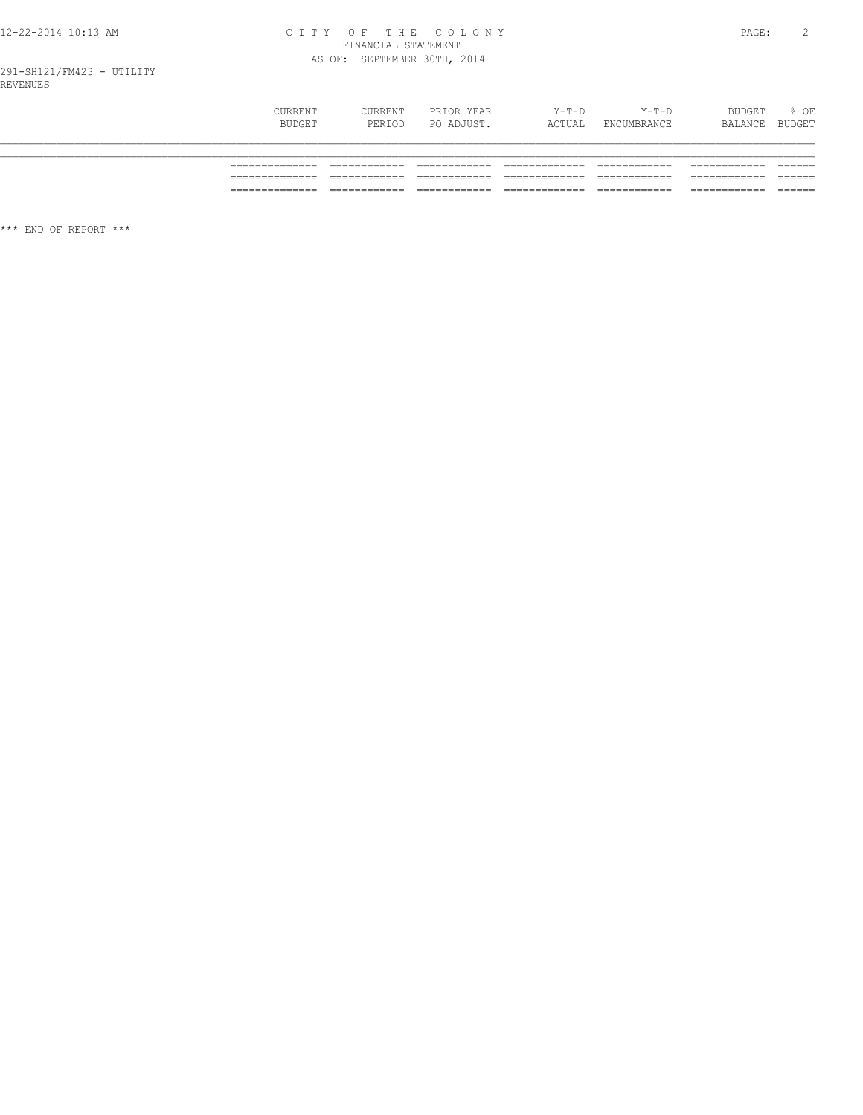# CITY OF THE COLONY<br>
CITY OF THE COLONY<br>
FINANCIAL STATEMENT<br>
AS OF: SEPTEMBER 30TH, 2014

| CURRENT<br>BUDGET | CURRENT<br>PERIOD | PRIOR YEAR<br>PO ADJUST. | Y-T-D<br>ACTUAL | Y-T-D<br>ENCUMBRANCE | BUDGET<br>BALANCE | % OF<br>BUDGET |
|-------------------|-------------------|--------------------------|-----------------|----------------------|-------------------|----------------|
|                   |                   |                          |                 |                      |                   |                |
|                   |                   |                          |                 |                      |                   |                |
| ________          |                   |                          |                 |                      |                   |                |
| _______________   |                   |                          |                 |                      |                   | ______         |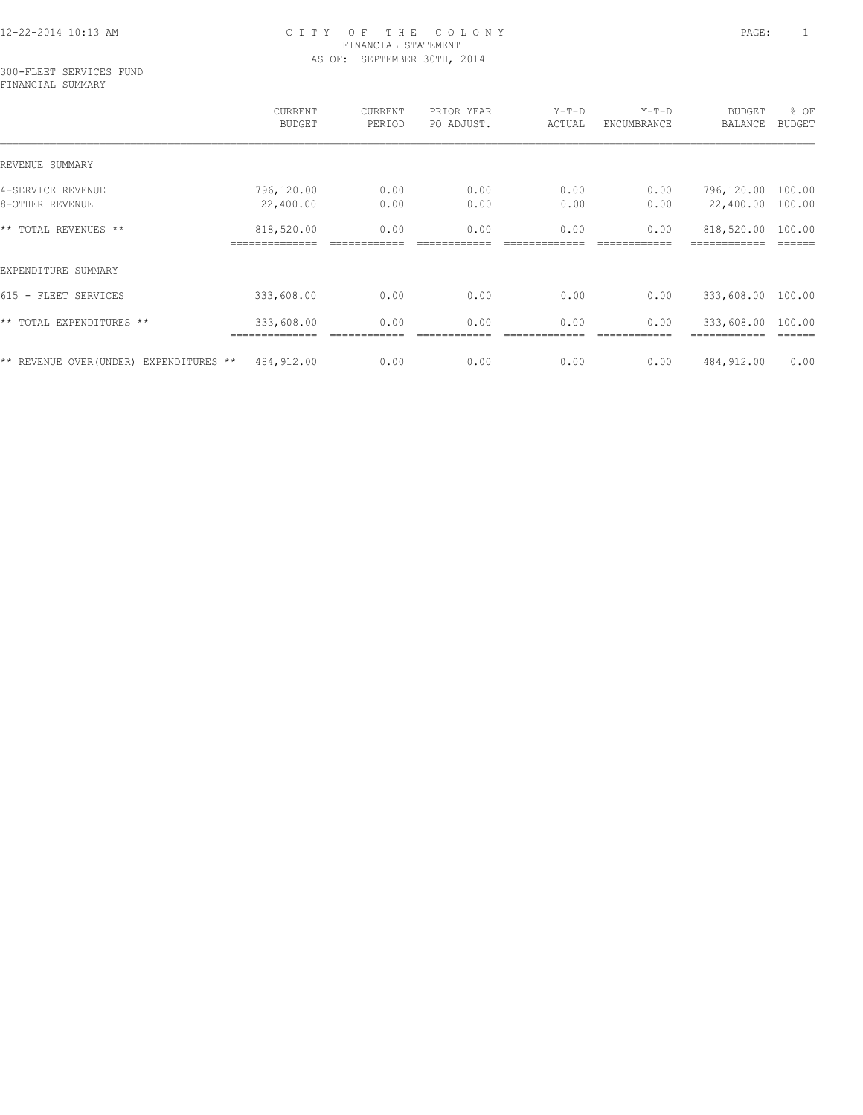#### 300-FLEET SERVICES FUND FINANCIAL SUMMARY

|                                         | CURRENT<br>BUDGET | CURRENT<br>PERIOD | PRIOR YEAR<br>PO ADJUST. | $Y-T-D$<br>ACTUAL | $Y-T-D$<br>ENCUMBRANCE | <b>BUDGET</b><br>BALANCE | % OF<br><b>BUDGET</b> |
|-----------------------------------------|-------------------|-------------------|--------------------------|-------------------|------------------------|--------------------------|-----------------------|
| REVENUE SUMMARY                         |                   |                   |                          |                   |                        |                          |                       |
| 4-SERVICE REVENUE                       | 796,120.00        | 0.00              | 0.00                     | 0.00              | 0.00                   | 796,120.00               | 100.00                |
| 8-OTHER REVENUE                         | 22,400.00         | 0.00              | 0.00                     | 0.00              | 0.00                   | 22,400.00                | 100.00                |
| ** TOTAL REVENUES **                    | 818,520.00        | 0.00              | 0.00                     | 0.00              | 0.00                   | 818,520.00               | 100.00                |
| EXPENDITURE SUMMARY                     |                   |                   |                          |                   |                        |                          |                       |
| $615 -$<br>FLEET SERVICES               | 333,608.00        | 0.00              | 0.00                     | 0.00              | 0.00                   | 333,608.00               | 100.00                |
| ** TOTAL EXPENDITURES **                | 333,608.00        | 0.00              | 0.00                     | 0.00              | 0.00                   | 333,608.00               | 100.00                |
| ** REVENUE OVER (UNDER) EXPENDITURES ** | 484,912.00        | 0.00              | 0.00                     | 0.00              | 0.00                   | 484,912.00               | 0.00                  |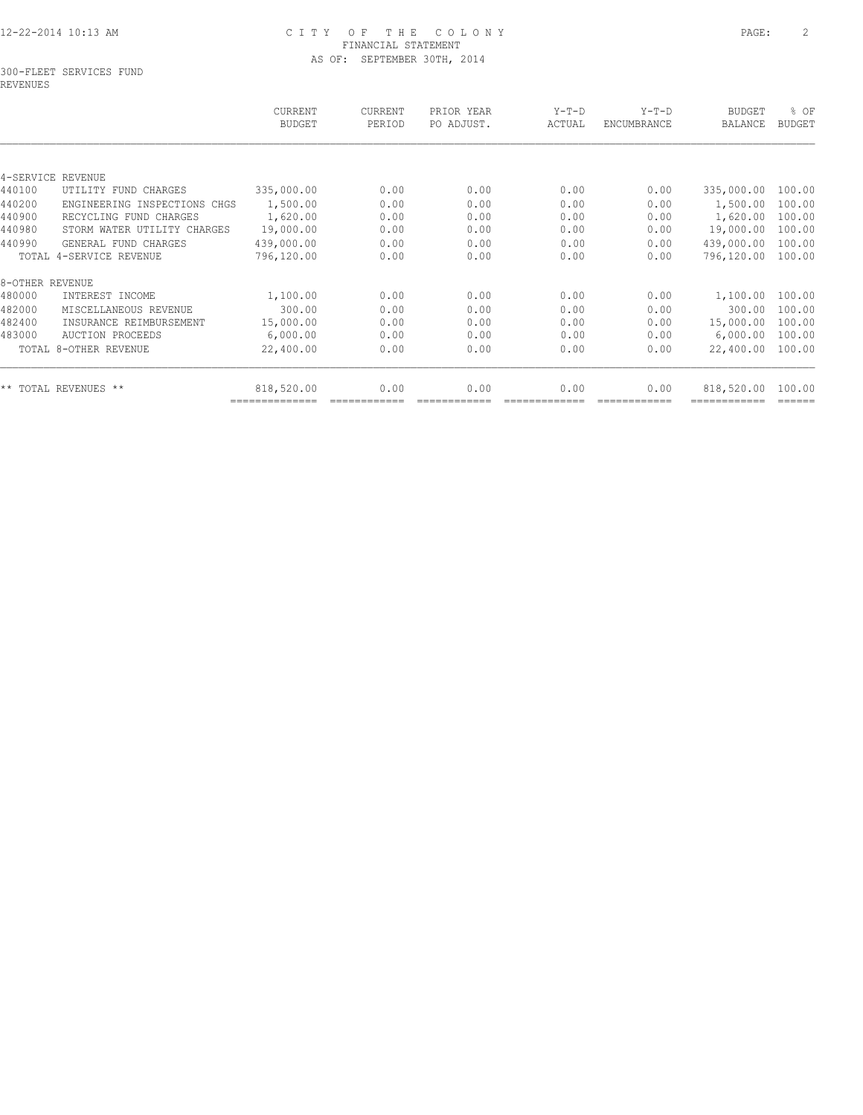#### 300-FLEET SERVICES FUND REVENUES

| CURRENT<br>BUDGET | <b>CURRENT</b><br>PERIOD                                                                                                                                                                  | PRIOR YEAR<br>PO ADJUST. | $Y-T-D$<br>ACTUAL | $Y-T-D$<br><b>ENCUMBRANCE</b> | <b>BUDGET</b><br><b>BALANCE</b> | % OF<br><b>BUDGET</b> |
|-------------------|-------------------------------------------------------------------------------------------------------------------------------------------------------------------------------------------|--------------------------|-------------------|-------------------------------|---------------------------------|-----------------------|
|                   |                                                                                                                                                                                           |                          |                   |                               |                                 |                       |
|                   |                                                                                                                                                                                           |                          |                   |                               |                                 |                       |
| 335,000.00        | 0.00                                                                                                                                                                                      | 0.00                     | 0.00              | 0.00                          | 335,000.00                      | 100.00                |
| 1,500.00          | 0.00                                                                                                                                                                                      | 0.00                     | 0.00              | 0.00                          | 1,500.00                        | 100.00                |
| 1,620.00          | 0.00                                                                                                                                                                                      | 0.00                     | 0.00              | 0.00                          | 1,620.00                        | 100.00                |
| 19,000.00         | 0.00                                                                                                                                                                                      | 0.00                     | 0.00              | 0.00                          | 19,000.00                       | 100.00                |
| 439,000.00        | 0.00                                                                                                                                                                                      | 0.00                     | 0.00              | 0.00                          | 439,000.00                      | 100.00                |
| 796,120.00        | 0.00                                                                                                                                                                                      | 0.00                     | 0.00              | 0.00                          | 796,120.00                      | 100.00                |
|                   |                                                                                                                                                                                           |                          |                   |                               |                                 |                       |
| 1,100.00          | 0.00                                                                                                                                                                                      | 0.00                     | 0.00              | 0.00                          | 1,100.00                        | 100.00                |
| 300.00            | 0.00                                                                                                                                                                                      | 0.00                     | 0.00              | 0.00                          | 300.00                          | 100.00                |
| 15,000.00         | 0.00                                                                                                                                                                                      | 0.00                     | 0.00              | 0.00                          | 15,000.00                       | 100.00                |
| 6,000.00          | 0.00                                                                                                                                                                                      | 0.00                     | 0.00              | 0.00                          | 6,000.00                        | 100.00                |
| 22,400.00         | 0.00                                                                                                                                                                                      | 0.00                     | 0.00              | 0.00                          | 22,400.00                       | 100.00                |
| 818,520.00        | 0.00                                                                                                                                                                                      | 0.00                     | 0.00              | 0.00                          | 818,520.00                      | 100.00                |
|                   | UTILITY FUND CHARGES<br>ENGINEERING INSPECTIONS CHGS<br>RECYCLING FUND CHARGES<br>STORM WATER UTILITY CHARGES<br>GENERAL FUND CHARGES<br>MISCELLANEOUS REVENUE<br>INSURANCE REIMBURSEMENT |                          |                   |                               |                                 |                       |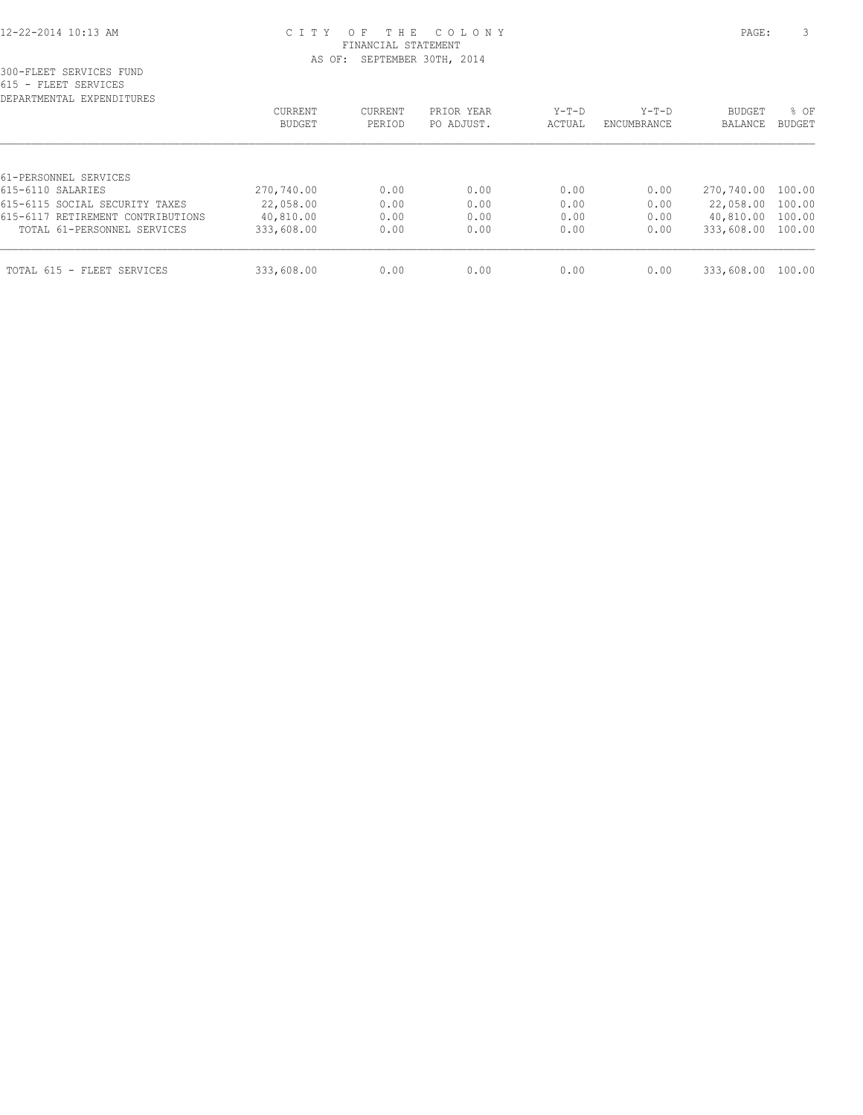| DEPARTMENTAL EXPENDITURES         |                   |                   |                          |                 |                        |                          |                       |
|-----------------------------------|-------------------|-------------------|--------------------------|-----------------|------------------------|--------------------------|-----------------------|
|                                   | CURRENT<br>BUDGET | CURRENT<br>PERIOD | PRIOR YEAR<br>PO ADJUST. | Y-T-D<br>ACTUAL | $Y-T-D$<br>ENCUMBRANCE | <b>BUDGET</b><br>BALANCE | % OF<br><b>BUDGET</b> |
|                                   |                   |                   |                          |                 |                        |                          |                       |
| 61-PERSONNEL SERVICES             |                   |                   |                          |                 |                        |                          |                       |
| 615-6110 SALARIES                 | 270,740.00        | 0.00              | 0.00                     | 0.00            | 0.00                   | 270,740.00 100.00        |                       |
| 615-6115 SOCIAL SECURITY TAXES    | 22,058.00         | 0.00              | 0.00                     | 0.00            | 0.00                   | 22,058.00 100.00         |                       |
| 615-6117 RETIREMENT CONTRIBUTIONS | 40,810.00         | 0.00              | 0.00                     | 0.00            | 0.00                   | 40,810.00 100.00         |                       |
| TOTAL 61-PERSONNEL SERVICES       | 333,608.00        | 0.00              | 0.00                     | 0.00            | 0.00                   | 333,608.00 100.00        |                       |
| TOTAL 615 - FLEET SERVICES        | 333,608.00        | 0.00              | 0.00                     | 0.00            | 0.00                   | 333,608.00               | 100.00                |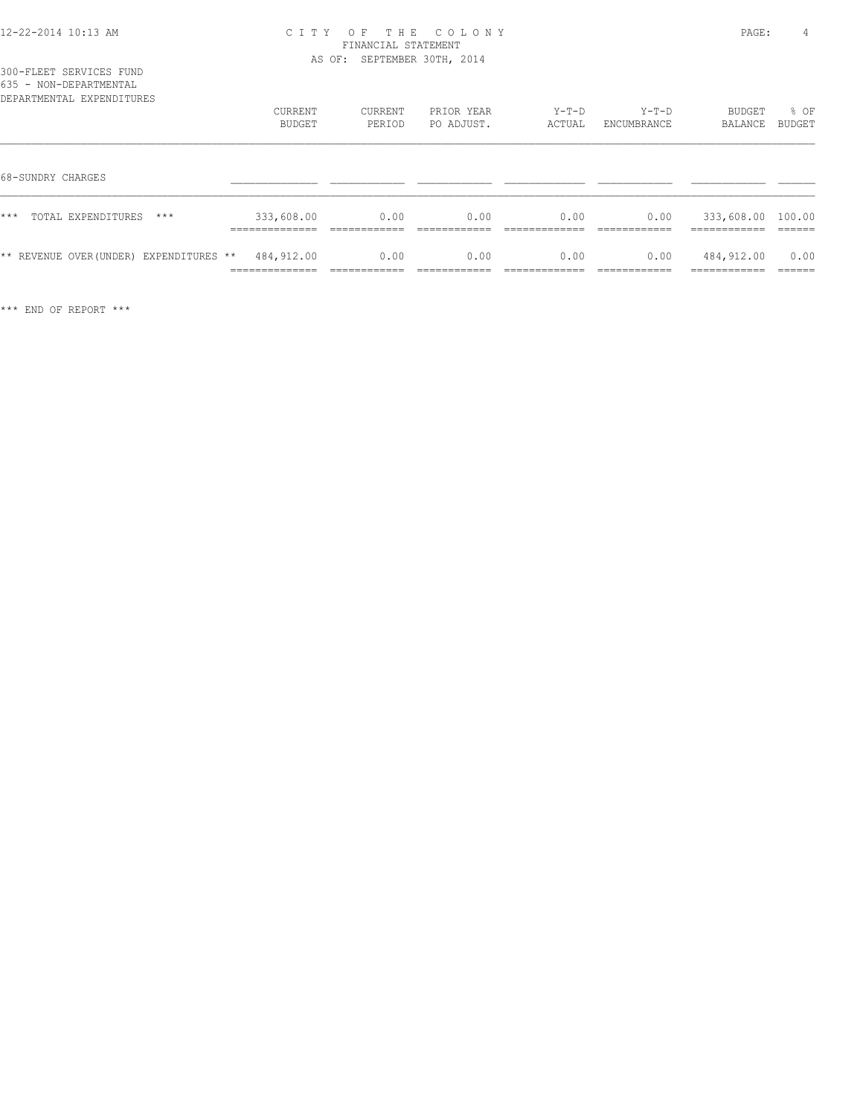|  | 300-FLEET SERVICES FUND |  |
|--|-------------------------|--|
|  | 635 - NON-DEPARTMENTAL  |  |

| 635 - NON-DEPARTMENTAL<br>DEPARTMENTAL EXPENDITURES | CURRENT<br>BUDGET                             | <b>CURRENT</b><br>PERIOD              | PRIOR YEAR<br>PO ADJUST. | $Y-T-D$<br>ACTUAL      | $Y-T-D$<br>ENCUMBRANCE | BUDGET<br>BALANCE                         | % OF<br>BUDGET            |
|-----------------------------------------------------|-----------------------------------------------|---------------------------------------|--------------------------|------------------------|------------------------|-------------------------------------------|---------------------------|
| 68-SUNDRY CHARGES                                   |                                               |                                       |                          |                        |                        |                                           |                           |
| ***<br>TOTAL EXPENDITURES<br>$***$                  | 333,608.00<br>______________                  | 0.00<br>____________                  | 0.00<br>-------------    | 0.00<br>____________   | 0.00<br>------------   | 333,608.00 100.00<br>-------------        | -------                   |
| ** REVENUE OVER (UNDER) EXPENDITURES **             | 484,912.00<br>______________<br>------------- | 0.00<br>-------------<br>____________ | 0.00<br>____________     | 0.00<br>-------------- | 0.00<br>____________   | 484,912.00<br>------------<br>----------- | 0.00<br>-------<br>______ |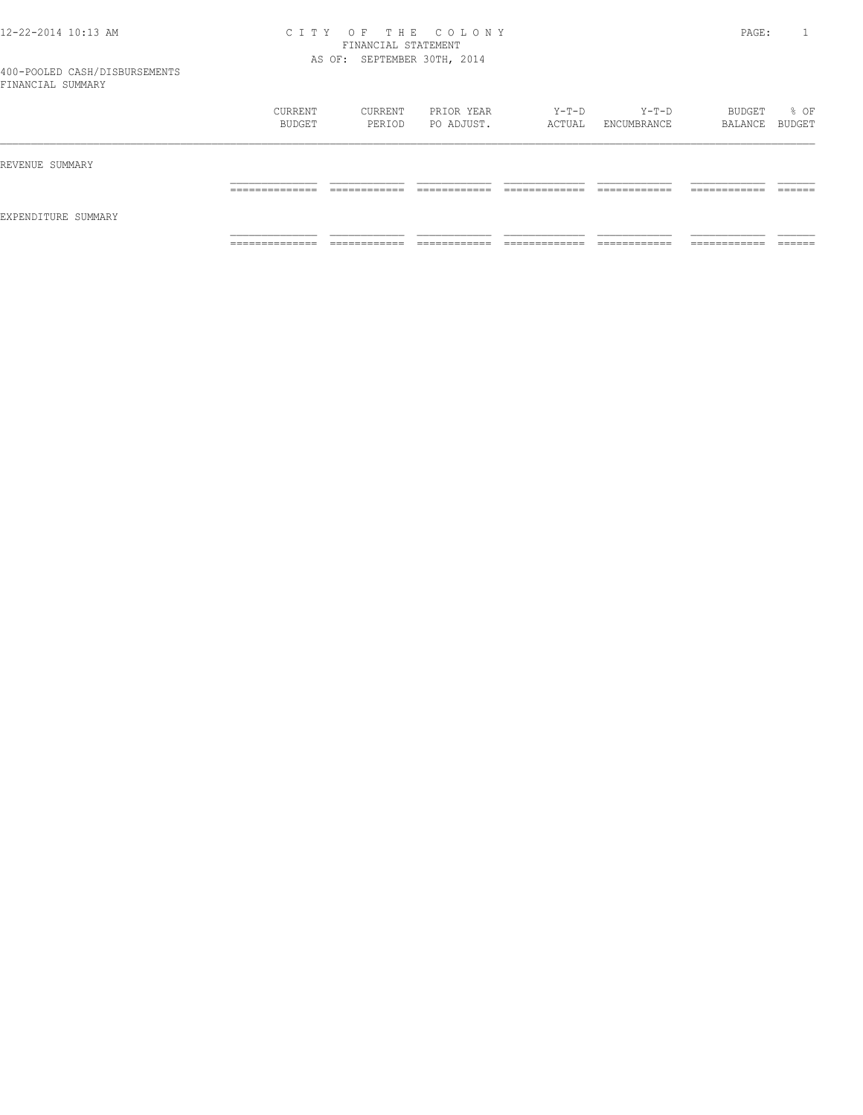|                     | CURRENT<br>BUDGET   | CURRENT<br>PERIOD           | PRIOR YEAR<br>PO ADJUST. | $Y-T-D$<br>ACTUAL  | Y-T-D<br>ENCUMBRANCE | BUDGET<br>BALANCE BUDGET     | % OF    |
|---------------------|---------------------|-----------------------------|--------------------------|--------------------|----------------------|------------------------------|---------|
| REVENUE SUMMARY     | ______________      | -------------               | ____________             | _____________      | ____________         | ____________                 | ------- |
| EXPENDITURE SUMMARY | ____________        | ____________                | ____________             | ______________     | ____________         | ____________                 | _______ |
|                     | ______________<br>. | ------------<br>----------- | -------------<br>.       | _____________<br>. | -------------<br>.   | -------------<br>----------- |         |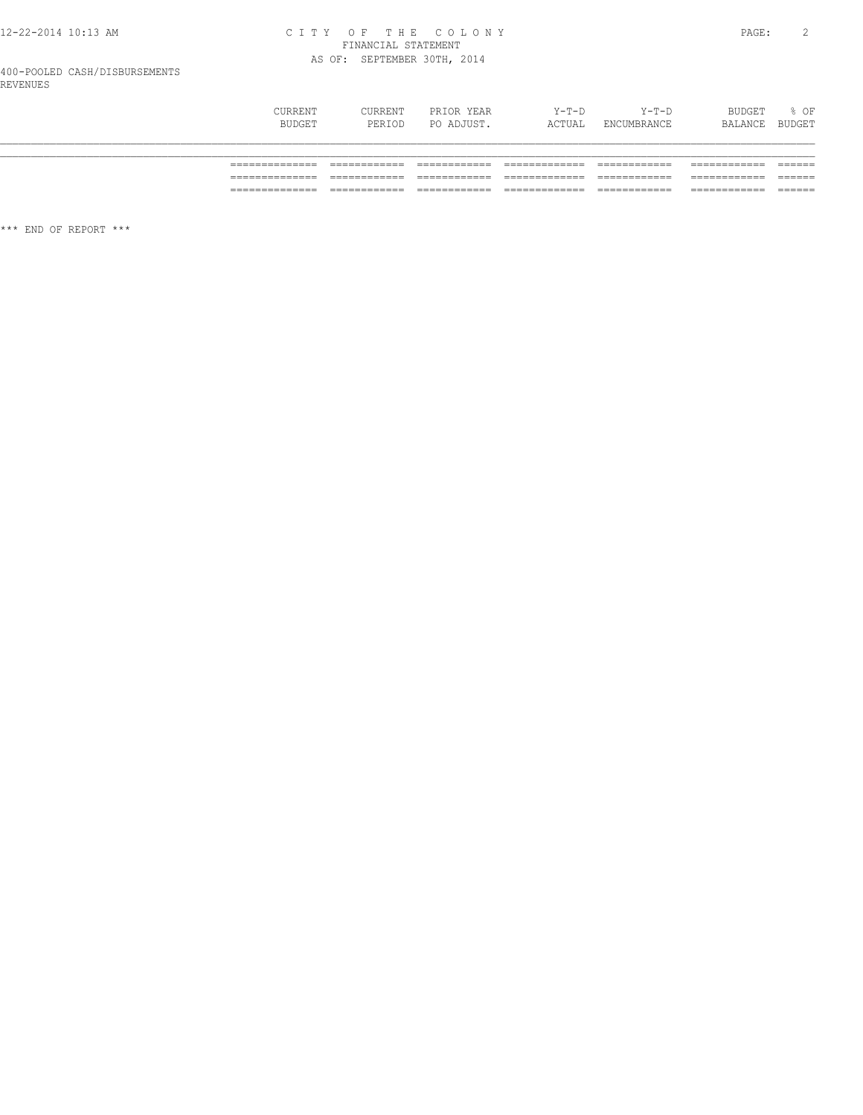# CITY OF THE COLONY<br>
FINANCIAL STATEMENT<br>
AS OF: SEPTEMBER 30TH, 2014

| <b>CURRENT</b> | CURRENT | PRIOR YEAR | $Y-T-D$ | Y-T-D       | BUDGET         | $\frac{1}{6}$ OF |
|----------------|---------|------------|---------|-------------|----------------|------------------|
| BUDGET         | PERIOD  | PO ADJUST. | ACTUAL  | ENCUMBRANCE | BALANCE BUDGET |                  |

| ______________                    | ____________                    | ____________                                 | _____________                       | ____________                 | ____________                 | _______            |
|-----------------------------------|---------------------------------|----------------------------------------------|-------------------------------------|------------------------------|------------------------------|--------------------|
| _______________                   | ____________                    | _____________                                |                                     | ____________                 | ____________                 | _______            |
| ______________                    | ____________                    | --------------                               | _____________                       | ____________                 | ____________                 | _______            |
| _______________                   | ____________                    | _____________                                |                                     | ____________                 | ____________                 | _______            |
| ______________<br>_______________ | $- - -$<br>____<br>____________ | $- - -$<br>__________<br>___<br>____________ | _____<br>___________<br>____<br>___ | ____________<br>____________ | ____________<br>____________ | -------<br>_______ |

\*\*\* END OF REPORT \*\*\*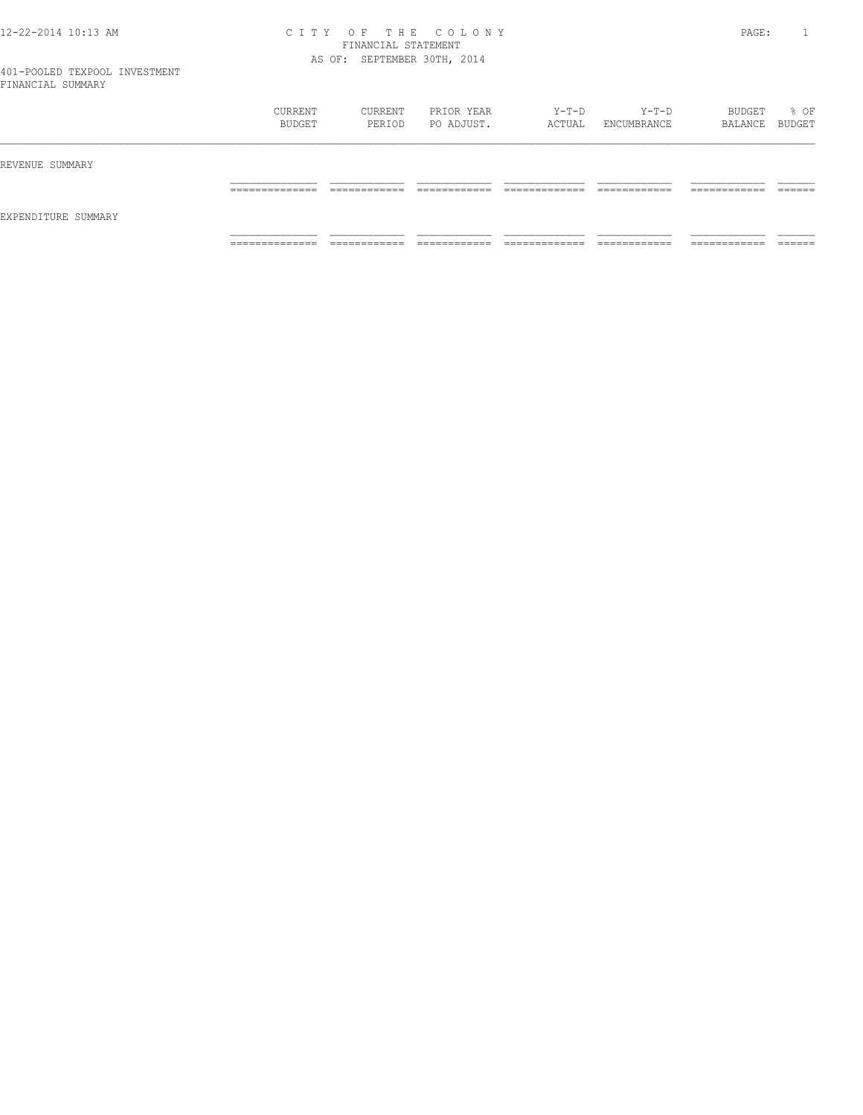| ___                 |                                   |                              |                               |                                |                              |                               |                    |
|---------------------|-----------------------------------|------------------------------|-------------------------------|--------------------------------|------------------------------|-------------------------------|--------------------|
|                     | CURRENT<br>BUDGET                 | CURRENT<br>PERIOD            | PRIOR YEAR<br>PO ADJUST.      | Y-T-D<br>ACTUAL                | $Y-T-D$<br>ENCUMBRANCE       | BUDGET<br>BALANCE BUDGET      | % OF               |
| REVENUE SUMMARY     |                                   |                              |                               |                                |                              |                               |                    |
|                     | ______________<br>_______________ | ------------<br>_________    | -------------<br>____________ | _____________<br>_____________ | ------------<br>____________ | -------------<br>____________ | -------<br>_______ |
| EXPENDITURE SUMMARY |                                   |                              |                               |                                |                              |                               |                    |
|                     | ______________<br>______________  | ____________<br>____________ | ____________<br>____________  | _____________<br>_____________ | ____________<br>____________ | -----------<br>____________   | _______            |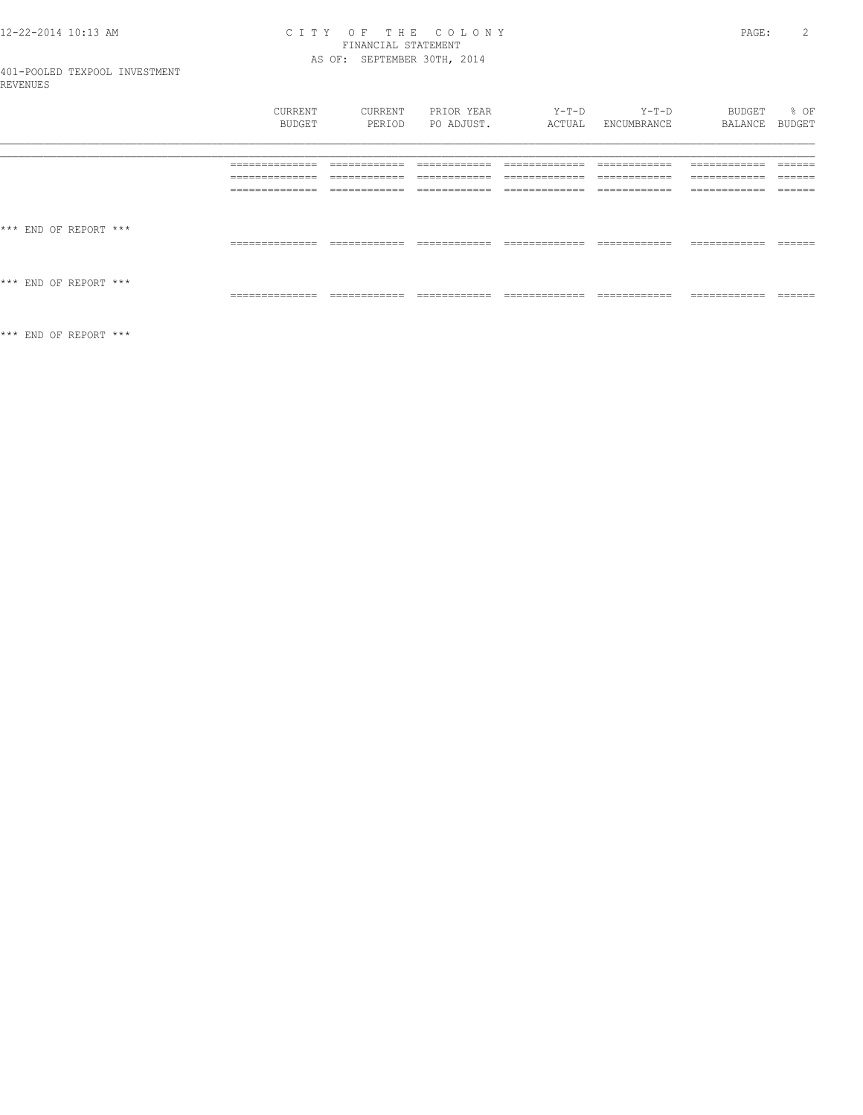# CITY OF THE COLONY<br>FINANCIAL STATEMENT<br>AS OF: SEPTEMBER 30TH, 2014

| CURRENT | <b>CURRENT</b> | PRIOR YEAR | Y-T-D  | $Y-T-D$     | BUDGET  | $8$ OF |
|---------|----------------|------------|--------|-------------|---------|--------|
| BUDGET  | PERIOD         | PO ADJUST. | ACTUAL | ENCUMBRANCE | BALANCE | BUDGET |
|         |                |            |        |             |         |        |

\*\*\* END OF REPORT \*\*\*

 $\star\star\star$  END OF REPORT  $\star\star\star$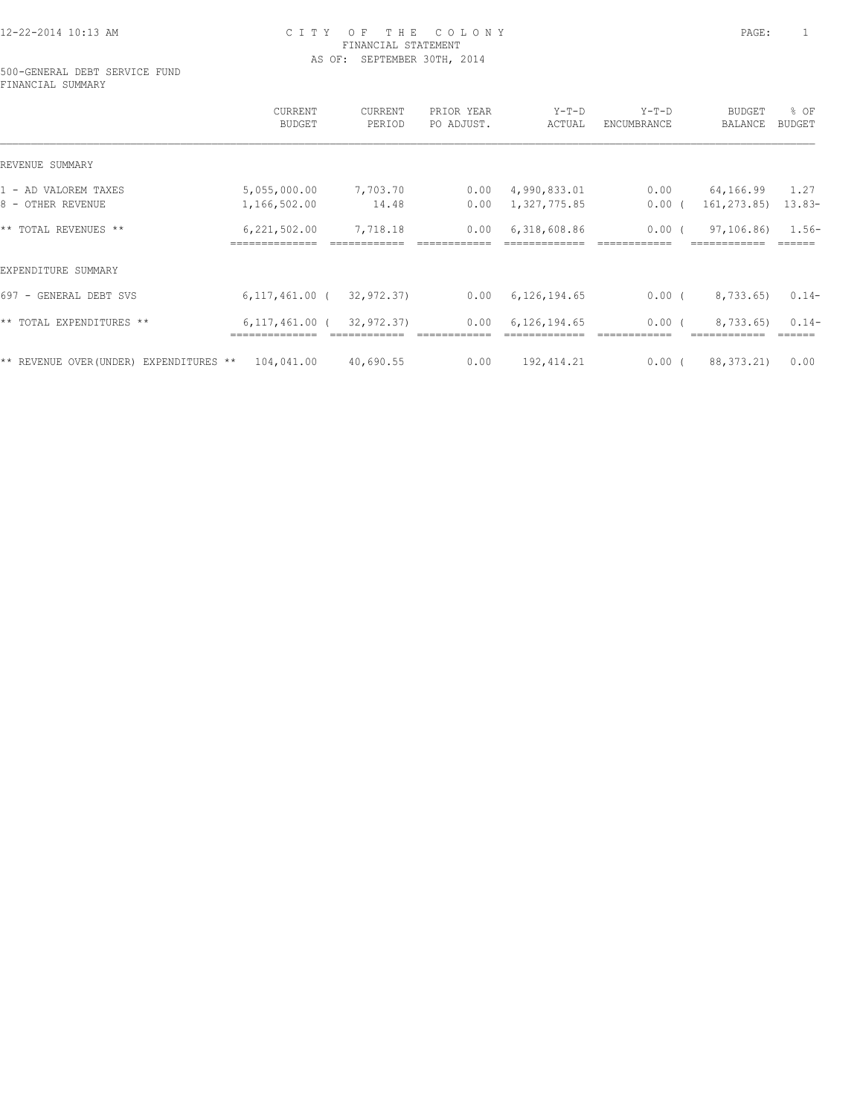#### 500-GENERAL DEBT SERVICE FUND FINANCIAL SUMMARY

|                                            | CURRENT<br>BUDGET  | <b>CURRENT</b><br>PERIOD | PRIOR YEAR<br>PO ADJUST. | $Y-T-D$<br>ACTUAL | $Y-T-D$<br>ENCUMBRANCE | <b>BUDGET</b><br><b>BALANCE</b> | % OF<br><b>BUDGET</b> |
|--------------------------------------------|--------------------|--------------------------|--------------------------|-------------------|------------------------|---------------------------------|-----------------------|
| REVENUE SUMMARY                            |                    |                          |                          |                   |                        |                                 |                       |
| 1 - AD VALOREM TAXES                       | 5,055,000.00       | 7,703.70                 | 0.00                     | 4,990,833.01      | 0.00                   | 64,166.99                       | 1.27                  |
| 8 - OTHER REVENUE                          | 1,166,502.00       | 14.48                    | 0.00                     | 1,327,775.85      | $0.00$ (               | 161,273.85)                     | $13.83-$              |
| ** TOTAL REVENUES **                       | 6,221,502.00       | 7,718.18                 | 0.00                     | 6,318,608.86      | $0.00$ (               | 97,106.86)                      | $1.56-$               |
| EXPENDITURE SUMMARY                        |                    |                          |                          |                   |                        |                                 |                       |
| 697 - GENERAL DEBT SVS                     | $6, 117, 461.00$ ( | 32,972.37)               | 0.00                     | 6,126,194.65      | $0.00$ (               | 8,733.65)                       | $0.14-$               |
| ** TOTAL EXPENDITURES **                   | $6,117,461.00$ (   | 32,972.37)               | 0.00                     | 6,126,194.65      | 0.00(                  | 8,733.65)                       | $0.14-$               |
| ** REVENUE OVER (UNDER)<br>EXPENDITURES ** | 104,041.00         | 40,690.55                | 0.00                     | 192, 414.21       | 0.00(                  | 88, 373. 21)                    | 0.00                  |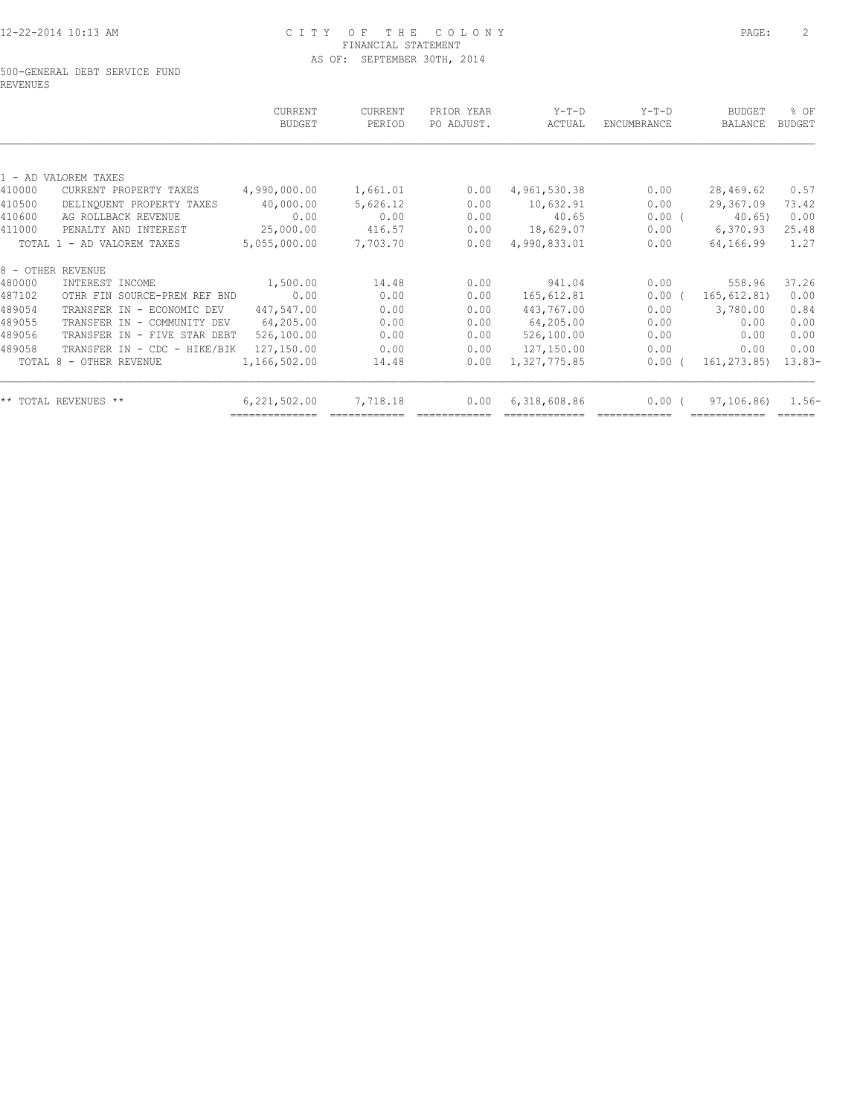#### 500-GENERAL DEBT SERVICE FUND REVENUES

|        |                              | CURRENT<br><b>BUDGET</b> | <b>CURRENT</b><br>PERIOD | PRIOR YEAR<br>PO ADJUST. | $Y-T-D$<br>ACTUAL | $Y-T-D$<br>ENCUMBRANCE | <b>BUDGET</b><br><b>BALANCE</b> | % OF<br><b>BUDGET</b> |
|--------|------------------------------|--------------------------|--------------------------|--------------------------|-------------------|------------------------|---------------------------------|-----------------------|
|        |                              |                          |                          |                          |                   |                        |                                 |                       |
|        | 1 - AD VALOREM TAXES         |                          |                          |                          |                   |                        |                                 |                       |
| 410000 | CURRENT PROPERTY TAXES       | 4,990,000.00             | 1,661.01                 | 0.00                     | 4,961,530.38      | 0.00                   | 28,469.62                       | 0.57                  |
| 410500 | DELINQUENT PROPERTY TAXES    | 40,000.00                | 5,626.12                 | 0.00                     | 10,632.91         | 0.00                   | 29,367.09                       | 73.42                 |
| 410600 | AG ROLLBACK REVENUE          | 0.00                     | 0.00                     | 0.00                     | 40.65             | 0.00(                  | $40.65$ )                       | 0.00                  |
| 411000 | PENALTY AND INTEREST         | 25,000.00                | 416.57                   | 0.00                     | 18,629.07         | 0.00                   | 6,370.93                        | 25.48                 |
|        | TOTAL 1 - AD VALOREM TAXES   | 5,055,000.00             | 7,703.70                 | 0.00                     | 4,990,833.01      | 0.00                   | 64,166.99                       | 1.27                  |
|        | 8 - OTHER REVENUE            |                          |                          |                          |                   |                        |                                 |                       |
| 480000 | INTEREST INCOME              | 1,500.00                 | 14.48                    | 0.00                     | 941.04            | 0.00                   | 558.96                          | 37.26                 |
| 487102 | OTHR FIN SOURCE-PREM REF BND | 0.00                     | 0.00                     | 0.00                     | 165,612.81        | $0.00$ (               | 165, 612.81)                    | 0.00                  |
| 489054 | TRANSFER IN - ECONOMIC DEV   | 447,547.00               | 0.00                     | 0.00                     | 443,767.00        | 0.00                   | 3,780.00                        | 0.84                  |
| 489055 | TRANSFER IN - COMMUNITY DEV  | 64,205.00                | 0.00                     | 0.00                     | 64,205.00         | 0.00                   | 0.00                            | 0.00                  |
| 489056 | TRANSFER IN - FIVE STAR DEBT | 526,100.00               | 0.00                     | 0.00                     | 526,100.00        | 0.00                   | 0.00                            | 0.00                  |
| 489058 | TRANSFER IN - CDC - HIKE/BIK | 127,150.00               | 0.00                     | 0.00                     | 127,150.00        | 0.00                   | 0.00                            | 0.00                  |
|        | TOTAL 8 - OTHER REVENUE      | 1,166,502.00             | 14.48                    | 0.00                     | 1,327,775.85      | $0.00$ (               | 161,273.85)                     | $13.83-$              |
|        | ** TOTAL REVENUES **         | 6,221,502.00             | 7,718.18                 | 0.00                     | 6,318,608.86      | 0.00(                  | 97,106.86)                      | $1.56-$               |
|        |                              |                          |                          |                          |                   |                        |                                 |                       |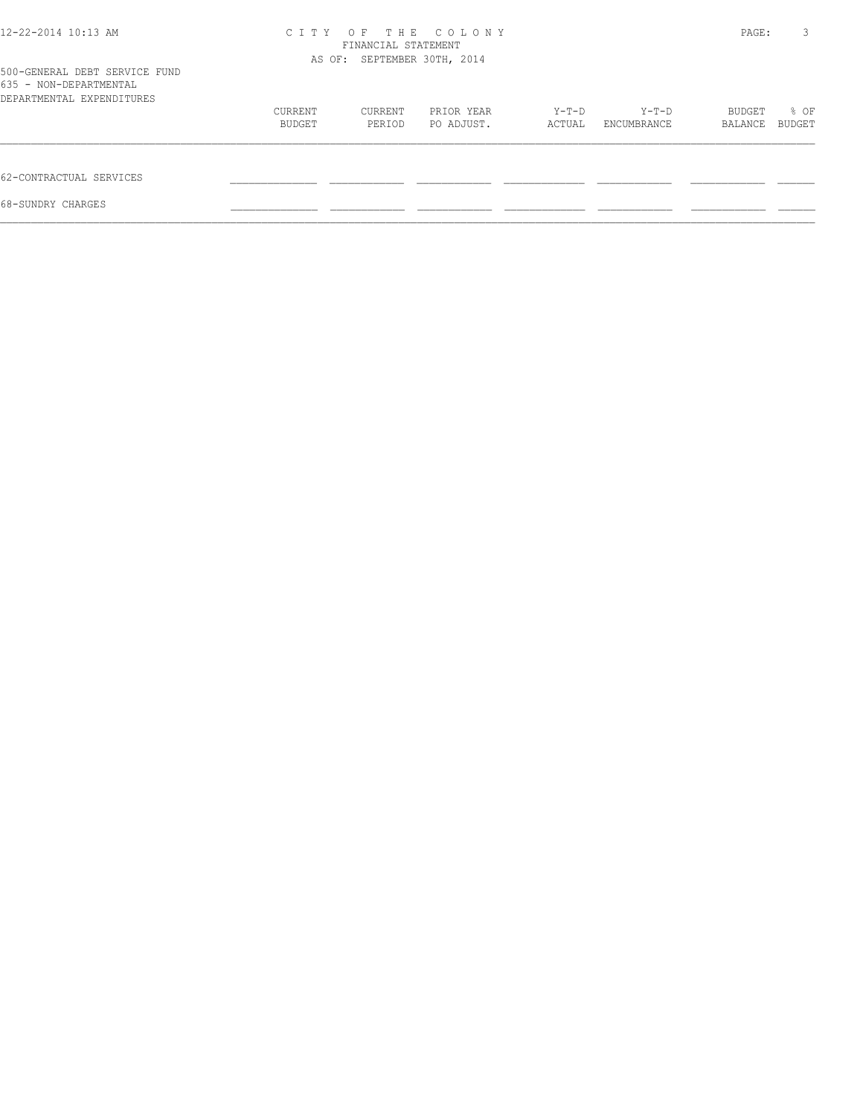| 12-22-2014 10:13 AM                                                                  | C T T Y<br>FINANCIAL STATEMENT | PAGE:                       | 3                        |                 |                      |                   |                |
|--------------------------------------------------------------------------------------|--------------------------------|-----------------------------|--------------------------|-----------------|----------------------|-------------------|----------------|
| 500-GENERAL DEBT SERVICE FUND<br>635 - NON-DEPARTMENTAL<br>DEPARTMENTAL EXPENDITURES |                                | AS OF: SEPTEMBER 30TH, 2014 |                          |                 |                      |                   |                |
|                                                                                      | CURRENT<br>BUDGET              | CURRENT<br>PERIOD           | PRIOR YEAR<br>PO ADJUST. | Y-T-D<br>ACTUAL | Y-T-D<br>ENCUMBRANCE | BUDGET<br>BALANCE | % OF<br>BUDGET |
| 62-CONTRACTUAL SERVICES                                                              |                                |                             |                          |                 |                      |                   |                |
| 68-SUNDRY CHARGES                                                                    |                                |                             |                          |                 |                      |                   |                |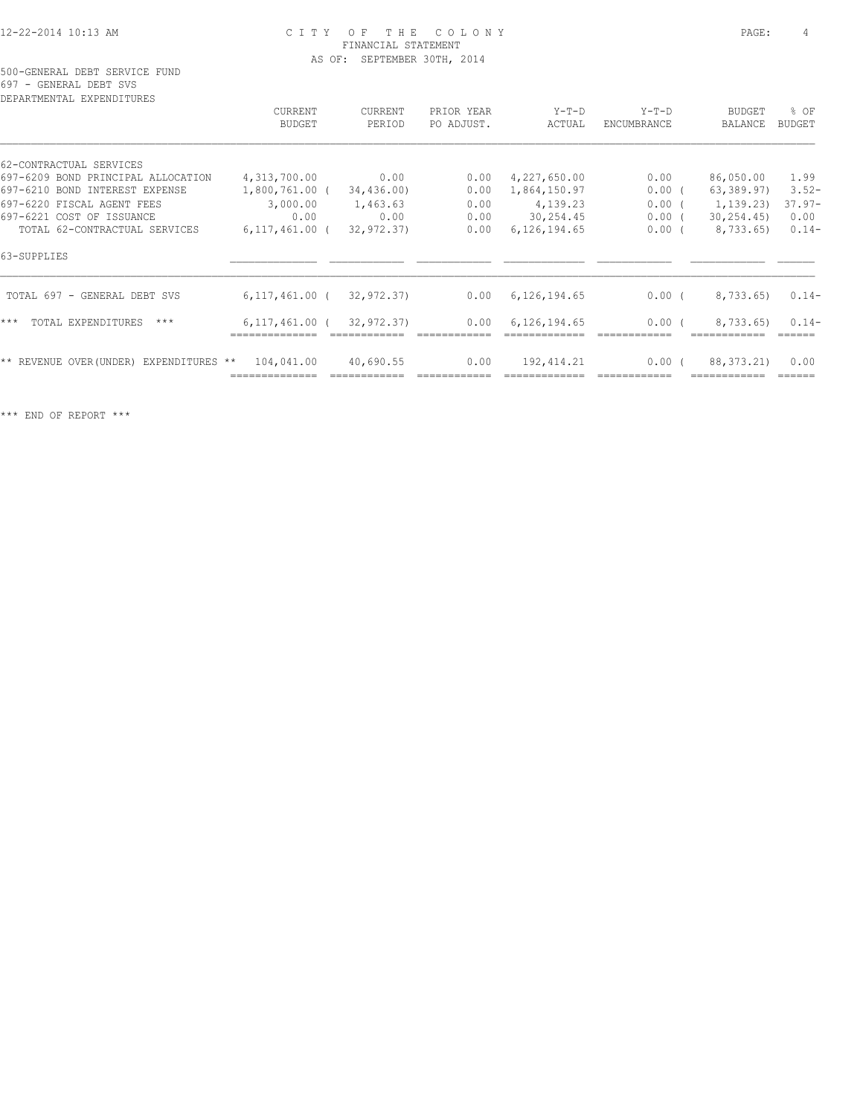500-GENERAL DEBT SERVICE FUND 697 - GENERAL DEBT SVS

| CURRENT          | CURRENT                   | PRIOR YEAR                                                            | $Y-T-D$        | $Y-T-D$ | <b>BUDGET</b> | % OF                                                                                        |
|------------------|---------------------------|-----------------------------------------------------------------------|----------------|---------|---------------|---------------------------------------------------------------------------------------------|
|                  |                           |                                                                       |                |         |               | <b>BUDGET</b>                                                                               |
|                  |                           |                                                                       |                |         |               |                                                                                             |
| 4,313,700.00     | 0.00                      | 0.00                                                                  | 4,227,650.00   | 0.00    | 86,050.00     | 1.99                                                                                        |
|                  | 34,436.00                 | 0.00                                                                  | 1,864,150.97   |         | 63,389.97)    | $3.52-$                                                                                     |
| 3,000.00         | 1,463.63                  | 0.00                                                                  | 4,139.23       |         | 1, 139, 23)   | $37.97-$                                                                                    |
| 0.00             | 0.00                      | 0.00                                                                  | 30,254.45      |         | 30, 254, 45)  | 0.00                                                                                        |
| $6,117,461.00$ ( | 32,972.37)                | 0.00                                                                  | 6, 126, 194.65 |         | 8,733.65)     | $0.14-$                                                                                     |
|                  |                           |                                                                       |                |         |               |                                                                                             |
|                  | 32,972.37)                | 0.00                                                                  | 6,126,194.65   |         | 8,733.65)     | $0.14-$                                                                                     |
|                  | 32,972.37)                | 0.00                                                                  | 6,126,194.65   |         | 8,733.65)     | $0.14-$                                                                                     |
| 104,041.00       | 40,690.55                 | 0.00                                                                  | 192, 414.21    |         | 88, 373. 21)  | 0.00                                                                                        |
|                  | BUDGET<br>EXPENDITURES ** | PERIOD<br>1,800,761.00 (<br>$6, 117, 461.00$ (<br>$6, 117, 461, 00$ ( | PO ADJUST.     | ACTUAL  | ENCUMBRANCE   | BALANCE<br>$0.00$ (<br>$0.00$ (<br>$0.00$ (<br>$0.00$ (<br>$0.00$ (<br>$0.00$ (<br>$0.00$ ( |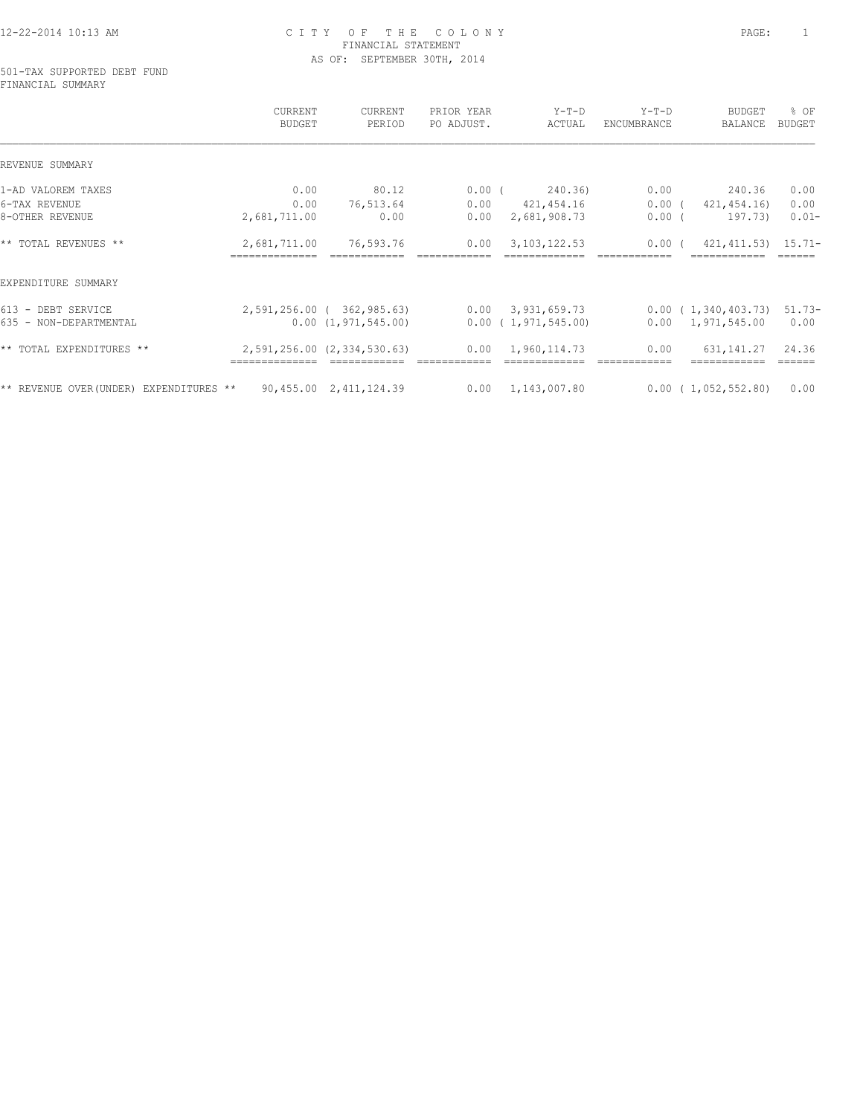#### 501-TAX SUPPORTED DEBT FUND FINANCIAL SUMMARY

|                                              | CURRENT<br>BUDGET              | CURRENT<br>PERIOD                                | PRIOR YEAR<br>PO ADJUST. | $Y-T-D$<br>ACTUAL                               | $Y-T-D$<br>ENCUMBRANCE | <b>BUDGET</b><br>BALANCE                        | % OF<br><b>BUDGET</b> |
|----------------------------------------------|--------------------------------|--------------------------------------------------|--------------------------|-------------------------------------------------|------------------------|-------------------------------------------------|-----------------------|
| REVENUE SUMMARY                              |                                |                                                  |                          |                                                 |                        |                                                 |                       |
| 1-AD VALOREM TAXES                           | 0.00                           | 80.12                                            |                          | $0.00$ (<br>240.36)                             | 0.00                   | 240.36                                          | 0.00                  |
| 6-TAX REVENUE                                | 0.00                           | 76,513.64                                        | 0.00                     | 421,454.16                                      | $0.00$ (               | 421,454.16)                                     | 0.00                  |
| 8-OTHER REVENUE                              | 2,681,711.00                   | 0.00                                             | 0.00                     | 2,681,908.73                                    | $0.00$ (               | 197.73)                                         | $0.01 -$              |
| ** TOTAL REVENUES **                         | 2,681,711.00<br>============== | 76,593.76                                        | 0.00                     | 3, 103, 122.53                                  | 0.00(                  | 421, 411.53) 15.71-                             |                       |
| EXPENDITURE SUMMARY                          |                                |                                                  |                          |                                                 |                        |                                                 |                       |
| 613 - DEBT SERVICE<br>635 - NON-DEPARTMENTAL |                                | 2,591,256.00 ( 362,985.63)<br>0.00(1,971,545.00) |                          | $0.00 \quad 3.931.659.73$<br>0.00(1,971,545.00) |                        | 0.00(1,340,403.73)<br>$0.00 \quad 1,971,545.00$ | $51.73-$<br>0.00      |
| ** TOTAL EXPENDITURES **                     |                                | 2,591,256.00 (2,334,530.63)                      | 0.00                     | 1,960,114.73                                    | 0.00                   | 631, 141. 27                                    | 24.36                 |
|                                              |                                |                                                  |                          |                                                 |                        |                                                 |                       |
| ** REVENUE OVER (UNDER) EXPENDITURES **      |                                | 90,455.00 2,411,124.39                           |                          | $0.00 \quad 1,143,007.80$                       |                        | 0.00(1,052,552.80)                              | 0.00                  |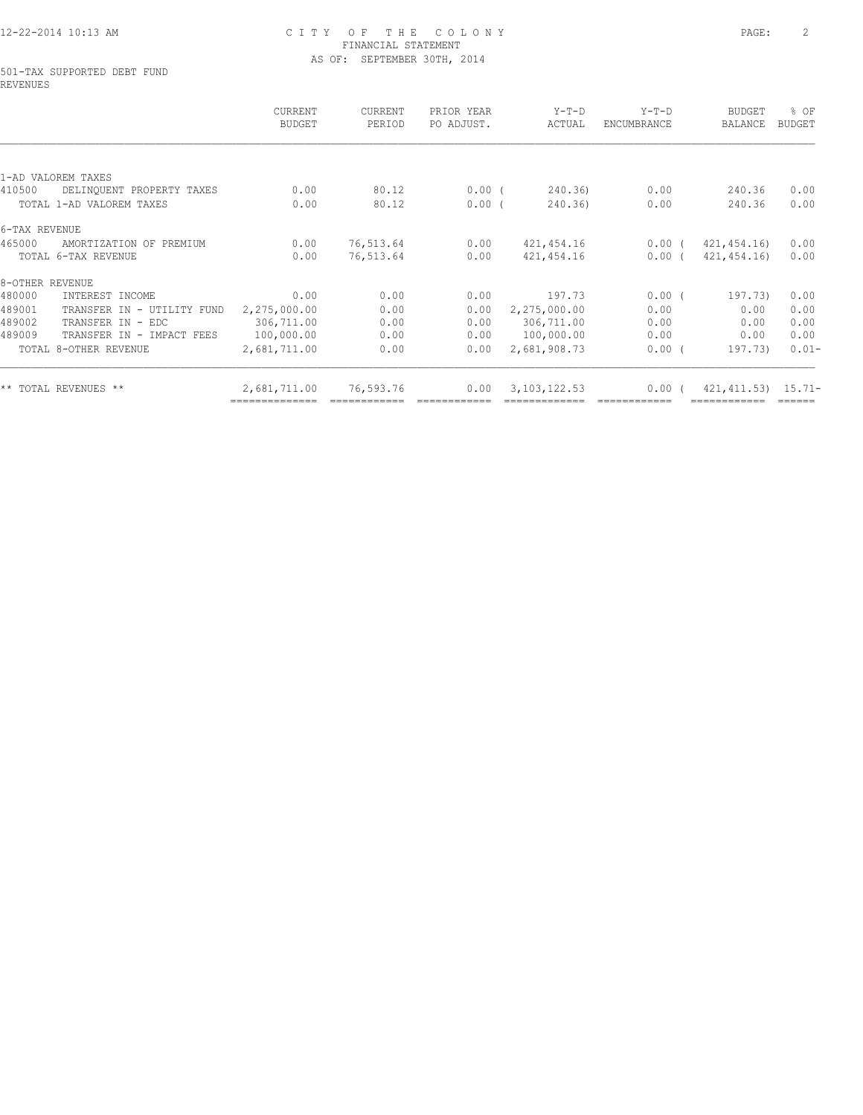#### 501-TAX SUPPORTED DEBT FUND REVENUES

|                                      | CURRENT<br><b>BUDGET</b> | <b>CURRENT</b><br>PERIOD | PRIOR YEAR<br>PO ADJUST. | $Y-T-D$<br>ACTUAL | $Y-T-D$<br>ENCUMBRANCE | <b>BUDGET</b><br>BALANCE | % OF<br><b>BUDGET</b> |
|--------------------------------------|--------------------------|--------------------------|--------------------------|-------------------|------------------------|--------------------------|-----------------------|
|                                      |                          |                          |                          |                   |                        |                          |                       |
| 1-AD VALOREM TAXES                   |                          |                          |                          |                   |                        |                          |                       |
| 410500<br>DELINQUENT PROPERTY TAXES  | 0.00                     | 80.12                    | $0.00$ (                 | 240.36)           | 0.00                   | 240.36                   | 0.00                  |
| TOTAL 1-AD VALOREM TAXES             | 0.00                     | 80.12                    | $0.00$ (                 | 240.36)           | 0.00                   | 240.36                   | 0.00                  |
| 6-TAX REVENUE                        |                          |                          |                          |                   |                        |                          |                       |
| 465000<br>AMORTIZATION OF PREMIUM    | 0.00                     | 76,513.64                | 0.00                     | 421, 454.16       | $0.00$ (               | 421, 454.16              | 0.00                  |
| TOTAL 6-TAX REVENUE                  | 0.00                     | 76,513.64                | 0.00                     | 421,454.16        | $0.00$ (               | 421, 454.16)             | 0.00                  |
| 8-OTHER REVENUE                      |                          |                          |                          |                   |                        |                          |                       |
| 480000<br>INTEREST INCOME            | 0.00                     | 0.00                     | 0.00                     | 197.73            | $0.00$ (               | 197.73)                  | 0.00                  |
| 489001<br>TRANSFER IN - UTILITY FUND | 2,275,000.00             | 0.00                     | 0.00                     | 2,275,000.00      | 0.00                   | 0.00                     | 0.00                  |
| 489002<br>TRANSFER IN - EDC          | 306,711.00               | 0.00                     | 0.00                     | 306,711.00        | 0.00                   | 0.00                     | 0.00                  |
| 489009<br>TRANSFER IN - IMPACT FEES  | 100,000.00               | 0.00                     | 0.00                     | 100,000.00        | 0.00                   | 0.00                     | 0.00                  |
| TOTAL 8-OTHER REVENUE                | 2,681,711.00             | 0.00                     | 0.00                     | 2,681,908.73      | 0.00(                  | 197.73)                  | $0.01 -$              |
| ** TOTAL REVENUES **                 | 2,681,711.00             | 76,593.76                | 0.00                     | 3, 103, 122.53    | 0.00(                  | $421, 411.53$ $15.71-$   |                       |
|                                      |                          |                          |                          |                   |                        |                          |                       |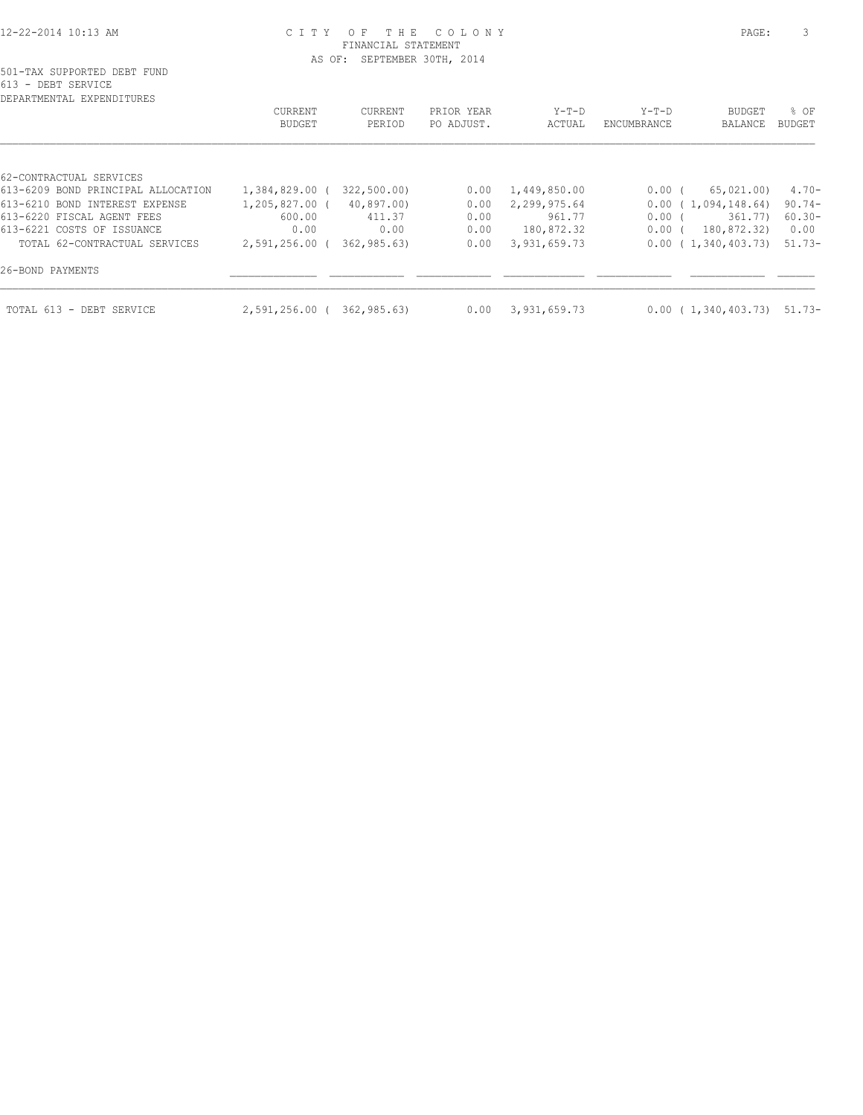| DEPARTMENTAL EXPENDITURES          |                |             |            |              |             |                               |           |
|------------------------------------|----------------|-------------|------------|--------------|-------------|-------------------------------|-----------|
|                                    | CURRENT        | CURRENT     | PRIOR YEAR | $Y-T-D$      | $Y-T-D$     | BUDGET                        | $8$ OF    |
|                                    | <b>BUDGET</b>  | PERIOD      | PO ADJUST. | ACTUAL       | ENCUMBRANCE | BALANCE                       | BUDGET    |
|                                    |                |             |            |              |             |                               |           |
| 62-CONTRACTUAL SERVICES            |                |             |            |              |             |                               |           |
| 613-6209 BOND PRINCIPAL ALLOCATION | 1,384,829.00 ( | 322,500.00) | 0.00       | 1,449,850.00 | $0.00$ (    | 65,021.00)                    | $4.70-$   |
| 613-6210 BOND INTEREST EXPENSE     | 1,205,827.00 ( | 40,897.00)  | 0.00       | 2,299,975.64 |             | 0.00(1,094,148.64)            | $90.74 -$ |
| 613-6220 FISCAL AGENT FEES         | 600.00         | 411.37      | 0.00       | 961.77       | $0.00$ (    | 361.77)                       | $60.30 -$ |
| 613-6221 COSTS OF ISSUANCE         | 0.00           | 0.00        | 0.00       | 180,872.32   | $0.00$ (    | 180,872.32)                   | 0.00      |
| TOTAL 62-CONTRACTUAL SERVICES      | 2,591,256.00 ( | 362,985.63) | 0.00       | 3,931,659.73 |             | 0.00(1,340,403.73)            | 51.73-    |
| 26-BOND PAYMENTS                   |                |             |            |              |             |                               |           |
| TOTAL 613 - DEBT SERVICE           | 2,591,256.00 ( | 362,985.63) | 0.00       | 3,931,659.73 |             | $0.00$ ( 1,340,403.73) 51.73- |           |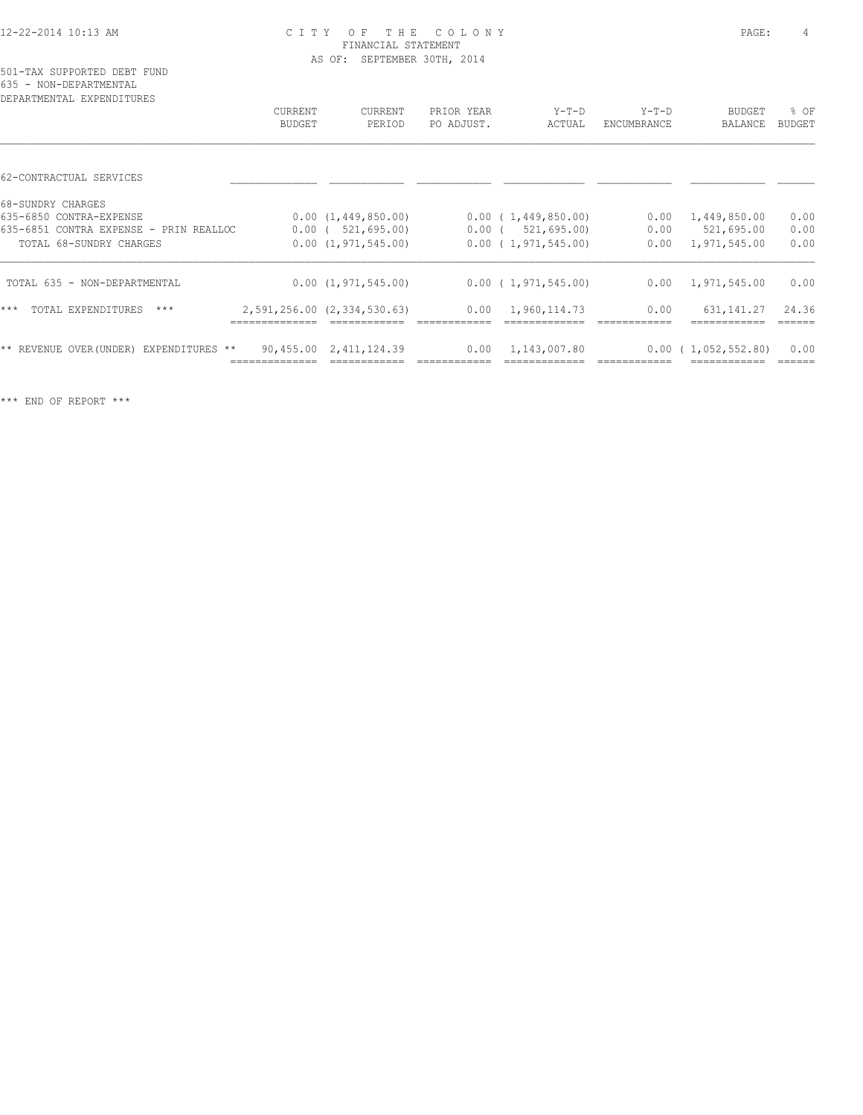| DEPARTMENTAL EXPENDITURES               |         |                             |            |                           |             |                           |               |
|-----------------------------------------|---------|-----------------------------|------------|---------------------------|-------------|---------------------------|---------------|
|                                         | CURRENT | <b>CURRENT</b>              | PRIOR YEAR | $Y-T-D$                   | $Y-T-D$     | <b>BUDGET</b>             | % OF          |
|                                         | BUDGET  | PERIOD                      | PO ADJUST. | ACTUAL                    | ENCUMBRANCE | BALANCE                   | <b>BUDGET</b> |
|                                         |         |                             |            |                           |             |                           |               |
| 62-CONTRACTUAL SERVICES                 |         |                             |            |                           |             |                           |               |
| 68-SUNDRY CHARGES                       |         |                             |            |                           |             |                           |               |
| 635-6850 CONTRA-EXPENSE                 |         | 0.00(1,449,850.00)          |            | 0.00(1,449,850.00)        | 0.00        | 1,449,850.00              | 0.00          |
| 635-6851 CONTRA EXPENSE - PRIN REALLOC  |         | $0.00$ ( $521,695.00$ )     |            | $0.00$ ( 521,695.00)      | 0.00        | 521,695.00                | 0.00          |
| TOTAL 68-SUNDRY CHARGES                 |         | 0.00(1,971,545.00)          |            | 0.00(1,971,545.00)        | 0.00        | 1,971,545.00              | 0.00          |
| TOTAL 635 - NON-DEPARTMENTAL            |         | 0.00(1,971,545.00)          |            | $0.00$ ( 1,971,545.00)    |             | $0.00 \quad 1,971,545.00$ | 0.00          |
| $***$<br>TOTAL EXPENDITURES<br>$***$    |         | 2,591,256.00 (2,334,530.63) | 0.00       | 1,960,114.73              | 0.00        | 631, 141.27               | 24.36         |
|                                         |         |                             |            |                           |             |                           |               |
| ** REVENUE OVER (UNDER) EXPENDITURES ** |         | 90,455.00 2,411,124.39      |            | $0.00 \quad 1,143,007.80$ |             | $0.00$ ( 1,052,552.80)    | 0.00          |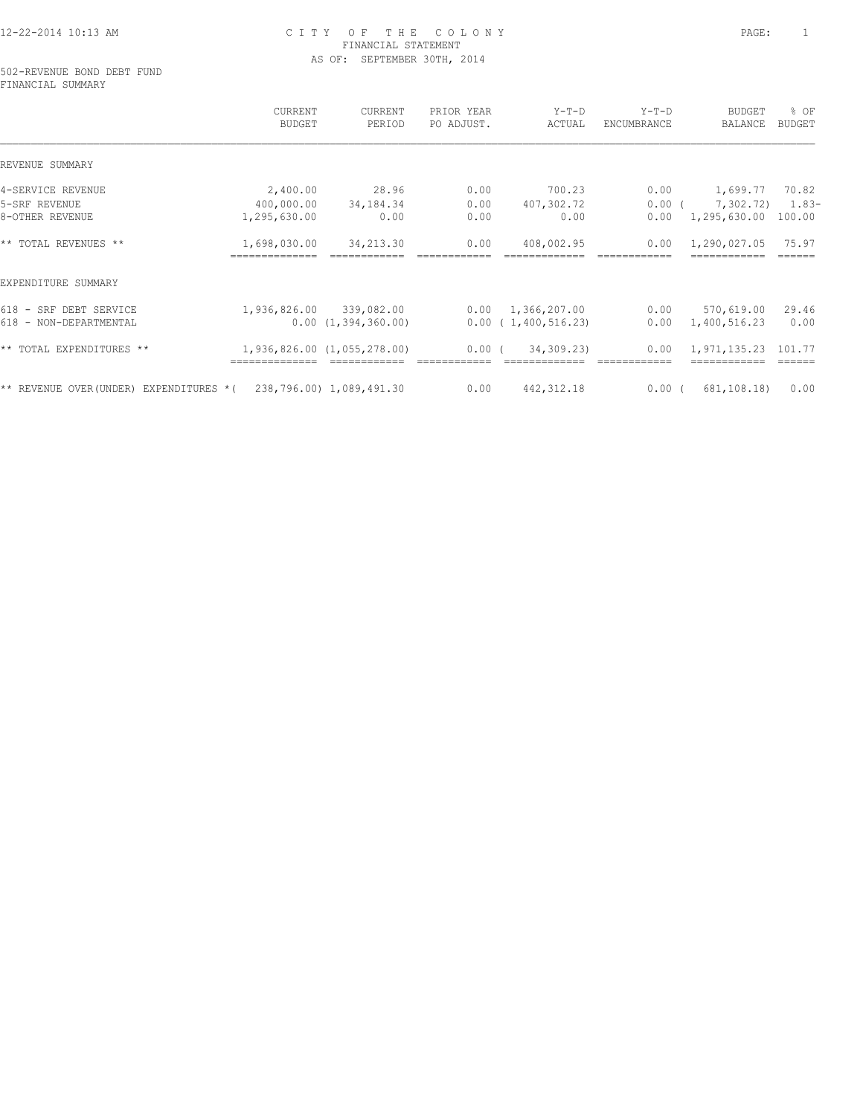502-REVENUE BOND DEBT FUND FINANCIAL SUMMARY

|                                        | CURRENT<br><b>BUDGET</b> | CURRENT<br>PERIOD           | PRIOR YEAR<br>PO ADJUST. | $Y-T-D$<br>ACTUAL  | $Y-T-D$<br>ENCUMBRANCE | <b>BUDGET</b><br><b>BALANCE</b> | % OF<br><b>BUDGET</b> |
|----------------------------------------|--------------------------|-----------------------------|--------------------------|--------------------|------------------------|---------------------------------|-----------------------|
| REVENUE SUMMARY                        |                          |                             |                          |                    |                        |                                 |                       |
| 4-SERVICE REVENUE                      | 2,400.00                 | 28.96                       | 0.00                     | 700.23             | 0.00                   | 1,699.77                        | 70.82                 |
| 5-SRF REVENUE                          | 400,000.00               | 34,184.34                   | 0.00                     | 407,302.72         | $0.00$ (               | 7,302.72)                       | $1.83-$               |
| 8-OTHER REVENUE                        | 1,295,630.00             | 0.00                        | 0.00                     | 0.00               | 0.00                   | 1,295,630.00                    | 100.00                |
| ** TOTAL REVENUES **                   | 1,698,030.00             | 34,213.30                   | 0.00                     | 408,002.95         | 0.00                   | 1,290,027.05                    | 75.97                 |
| EXPENDITURE SUMMARY                    |                          |                             |                          |                    |                        |                                 |                       |
| 618 - SRF DEBT SERVICE                 | 1,936,826.00             | 339,082.00                  | 0.00                     | 1,366,207.00       | 0.00                   | 570,619.00                      | 29.46                 |
| 618 - NON-DEPARTMENTAL                 |                          | 0.00(1,394,360.00)          |                          | 0.00(1,400,516.23) | 0.00                   | 1,400,516.23                    | 0.00                  |
| ** TOTAL EXPENDITURES **               |                          | 1,936,826.00 (1,055,278.00) | $0.00$ (                 | 34,309.23)         | 0.00                   | 1,971,135.23                    | 101.77                |
| ** REVENUE OVER(UNDER) EXPENDITURES *( |                          | 238,796.00) 1,089,491.30    | 0.00                     | 442, 312.18        | $0.00$ (               | 681,108.18)                     | 0.00                  |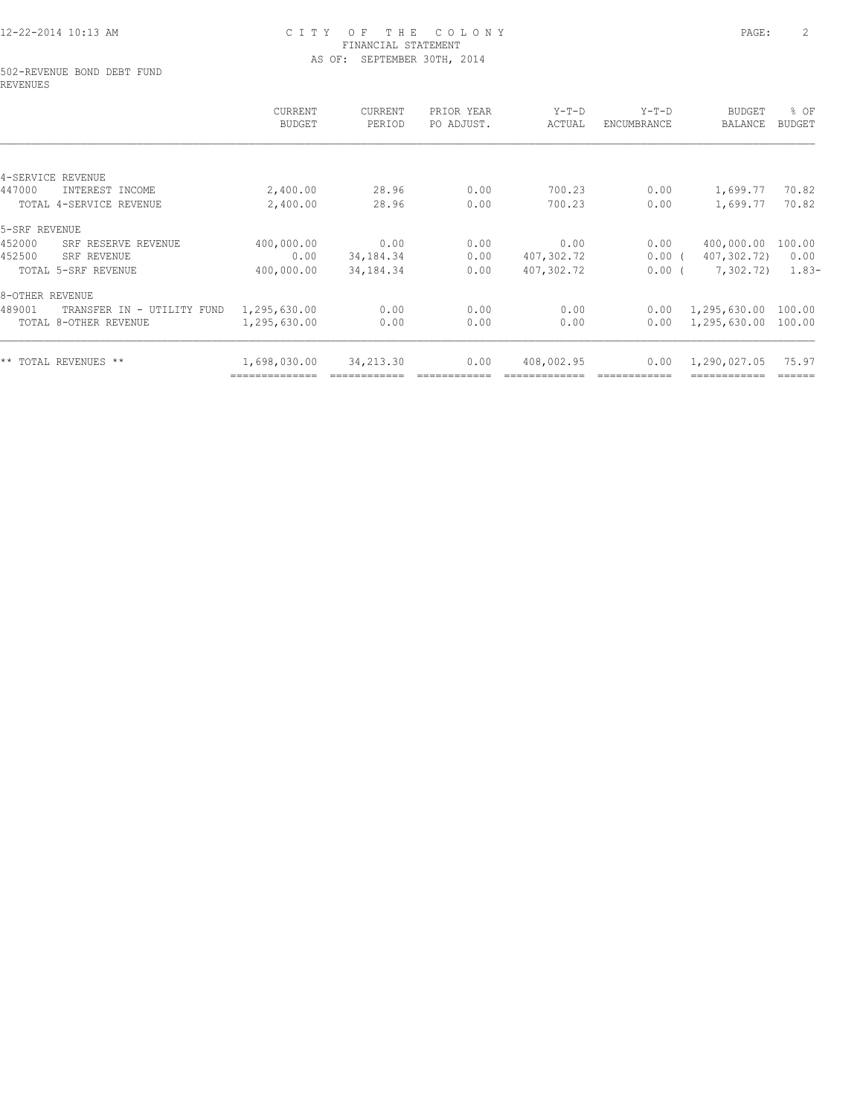#### 502-REVENUE BOND DEBT FUND REVENUES

|                                      | CURRENT<br><b>BUDGET</b> | CURRENT<br>PERIOD | PRIOR YEAR<br>PO ADJUST. | $Y-T-D$<br>ACTUAL | $Y-T-D$<br>ENCUMBRANCE | BUDGET<br>BALANCE | % OF<br>BUDGET |
|--------------------------------------|--------------------------|-------------------|--------------------------|-------------------|------------------------|-------------------|----------------|
|                                      |                          |                   |                          |                   |                        |                   |                |
| 4-SERVICE REVENUE                    |                          |                   |                          |                   |                        |                   |                |
| 447000<br>INTEREST INCOME            | 2,400.00                 | 28.96             | 0.00                     | 700.23            | 0.00                   | 1,699.77          | 70.82          |
| TOTAL 4-SERVICE REVENUE              | 2,400.00                 | 28.96             | 0.00                     | 700.23            | 0.00                   | 1,699.77          | 70.82          |
| 5-SRF REVENUE                        |                          |                   |                          |                   |                        |                   |                |
| 452000<br>SRF RESERVE REVENUE        | 400,000.00               | 0.00              | 0.00                     | 0.00              | 0.00                   | 400,000.00        | 100.00         |
| 452500<br>SRF REVENUE                | 0.00                     | 34, 184. 34       | 0.00                     | 407,302.72        | $0.00$ (               | 407,302.72)       | 0.00           |
| TOTAL 5-SRF REVENUE                  | 400,000.00               | 34,184.34         | 0.00                     | 407,302.72        | $0.00$ (               | 7,302.72)         | $1.83-$        |
| 8-OTHER REVENUE                      |                          |                   |                          |                   |                        |                   |                |
| 489001<br>TRANSFER IN - UTILITY FUND | 1,295,630.00             | 0.00              | 0.00                     | 0.00              | 0.00                   | 1,295,630.00      | 100.00         |
| TOTAL 8-OTHER REVENUE                | 1,295,630.00             | 0.00              | 0.00                     | 0.00              | 0.00                   | 1,295,630.00      | 100.00         |
| ** TOTAL REVENUES **                 | 1,698,030.00             | 34,213.30         | 0.00                     | 408,002.95        | 0.00                   | 1,290,027.05      | 75.97          |
|                                      |                          |                   |                          |                   |                        |                   |                |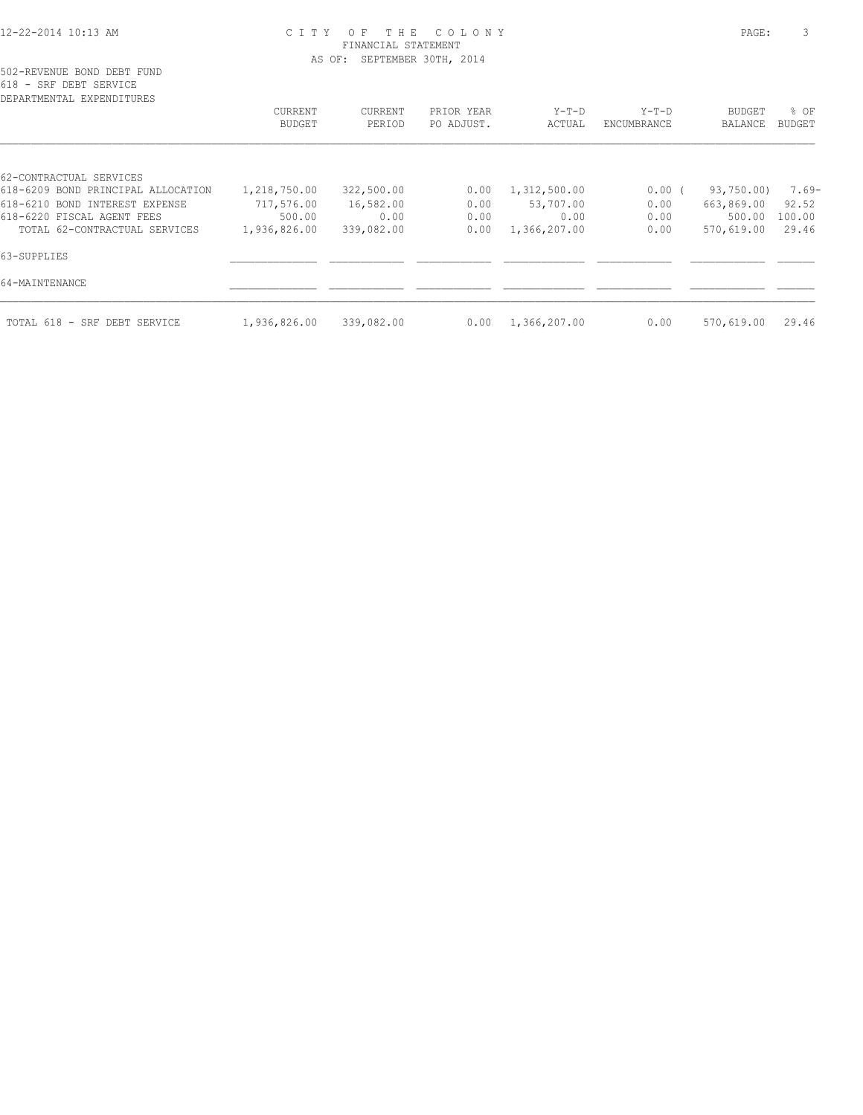| DEPARTMENTAL EXPENDITURES          |                          |                   |                          |                   |                        |                          |                  |
|------------------------------------|--------------------------|-------------------|--------------------------|-------------------|------------------------|--------------------------|------------------|
|                                    | CURRENT<br><b>BUDGET</b> | CURRENT<br>PERIOD | PRIOR YEAR<br>PO ADJUST. | $Y-T-D$<br>ACTUAL | $Y-T-D$<br>ENCUMBRANCE | <b>BUDGET</b><br>BALANCE | $8$ OF<br>BUDGET |
|                                    |                          |                   |                          |                   |                        |                          |                  |
| 62-CONTRACTUAL SERVICES            |                          |                   |                          |                   |                        |                          |                  |
| 618-6209 BOND PRINCIPAL ALLOCATION | 1,218,750.00             | 322,500.00        | 0.00                     | 1,312,500.00      | $0.00$ (               | 93,750.00)               | 7.69-            |
| 618-6210 BOND INTEREST EXPENSE     | 717,576.00               | 16,582.00         | 0.00                     | 53,707.00         | 0.00                   | 663,869.00               | 92.52            |
| 618-6220 FISCAL AGENT FEES         | 500.00                   | 0.00              | 0.00                     | 0.00              | 0.00                   | 500.00                   | 100.00           |
| TOTAL 62-CONTRACTUAL SERVICES      | 1,936,826.00             | 339,082.00        | 0.00                     | 1,366,207.00      | 0.00                   | 570,619.00               | 29.46            |
| 63-SUPPLIES                        |                          |                   |                          |                   |                        |                          |                  |
| 64-MAINTENANCE                     |                          |                   |                          |                   |                        |                          |                  |
| TOTAL 618 - SRF DEBT SERVICE       | 1,936,826.00             | 339,082.00        | 0.00                     | 1,366,207.00      | 0.00                   | 570,619.00               | 29.46            |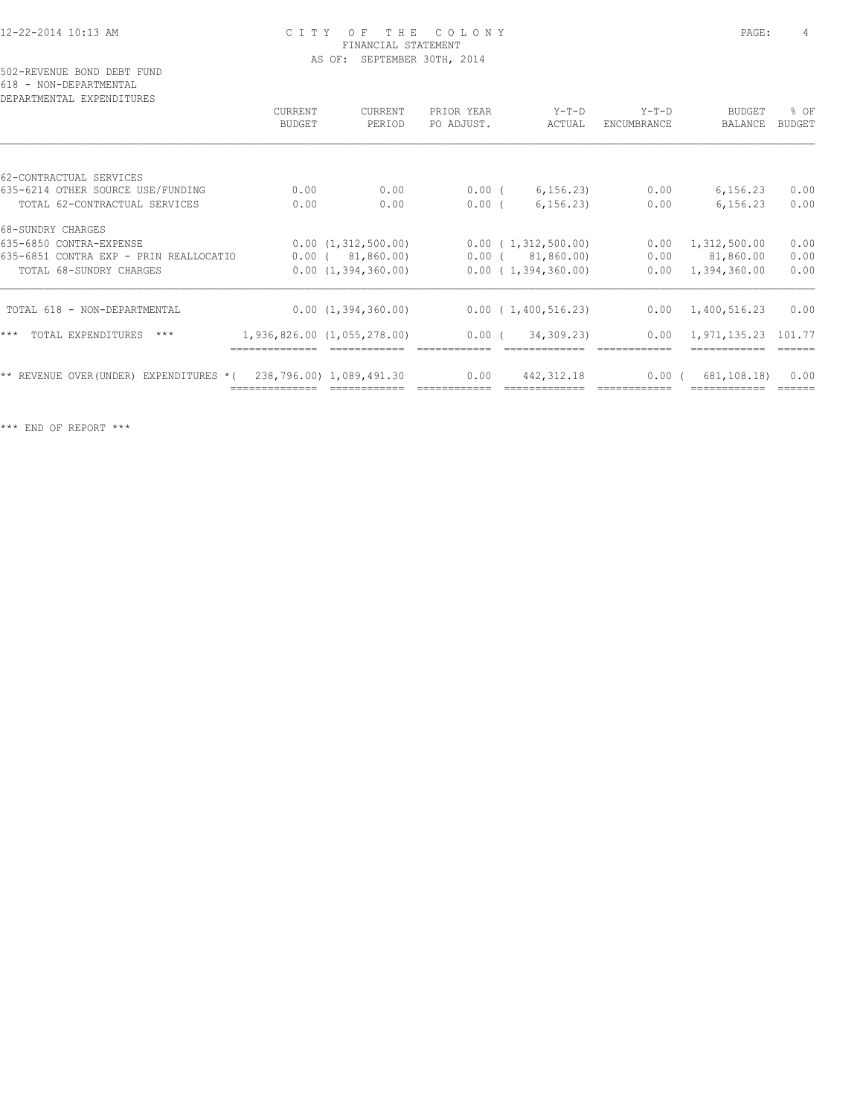502-REVENUE BOND DEBT FUND 618 - NON-DEPARTMENTAL

| DEPARTMENTAL EXPENDITURES              |               |                             |            |                        |                    |               |               |
|----------------------------------------|---------------|-----------------------------|------------|------------------------|--------------------|---------------|---------------|
|                                        | CURRENT       | <b>CURRENT</b>              | PRIOR YEAR | $Y-T-D$                | $Y-T-D$            | <b>BUDGET</b> | % OF          |
|                                        | <b>BUDGET</b> | PERIOD                      | PO ADJUST. | ACTUAL                 | <b>ENCUMBRANCE</b> | BALANCE       | <b>BUDGET</b> |
|                                        |               |                             |            |                        |                    |               |               |
| 62-CONTRACTUAL SERVICES                |               |                             |            |                        |                    |               |               |
| 635-6214 OTHER SOURCE USE/FUNDING      | 0.00          | 0.00                        | $0.00$ (   | 6, 156.23              | 0.00               | 6, 156.23     | 0.00          |
| TOTAL 62-CONTRACTUAL SERVICES          | 0.00          | 0.00                        | $0.00$ (   | 6, 156, 23)            | 0.00               | 6,156.23      | 0.00          |
| 68-SUNDRY CHARGES                      |               |                             |            |                        |                    |               |               |
| 635-6850 CONTRA-EXPENSE                |               | 0.00(1,312,500.00)          |            | 0.00(1,312,500.00)     | 0.00               | 1,312,500.00  | 0.00          |
| 635-6851 CONTRA EXP - PRIN REALLOCATIO |               | $0.00$ ( $81,860.00$ )      |            | $0.00$ ( $81,860.00$ ) | 0.00               | 81,860.00     | 0.00          |
| TOTAL 68-SUNDRY CHARGES                |               | 0.00(1,394,360.00)          |            | 0.00(1,394,360.00)     | 0.00               | 1,394,360.00  | 0.00          |
| TOTAL 618 - NON-DEPARTMENTAL           |               | 0.00(1,394,360.00)          |            | 0.00(1,400,516.23)     | 0.00               | 1,400,516.23  | 0.00          |
|                                        |               |                             |            |                        |                    |               |               |
| ***<br>TOTAL EXPENDITURES<br>$***$     |               | 1,936,826.00 (1,055,278.00) | $0.00$ (   | 34,309.23)             | 0.00               | 1,971,135.23  | 101.77        |
| ** REVENUE OVER(UNDER) EXPENDITURES *( |               | 238,796.00) 1,089,491.30    | 0.00       | 442, 312.18            | 0.00(              | 681,108.18)   | 0.00          |
|                                        |               |                             |            |                        |                    |               |               |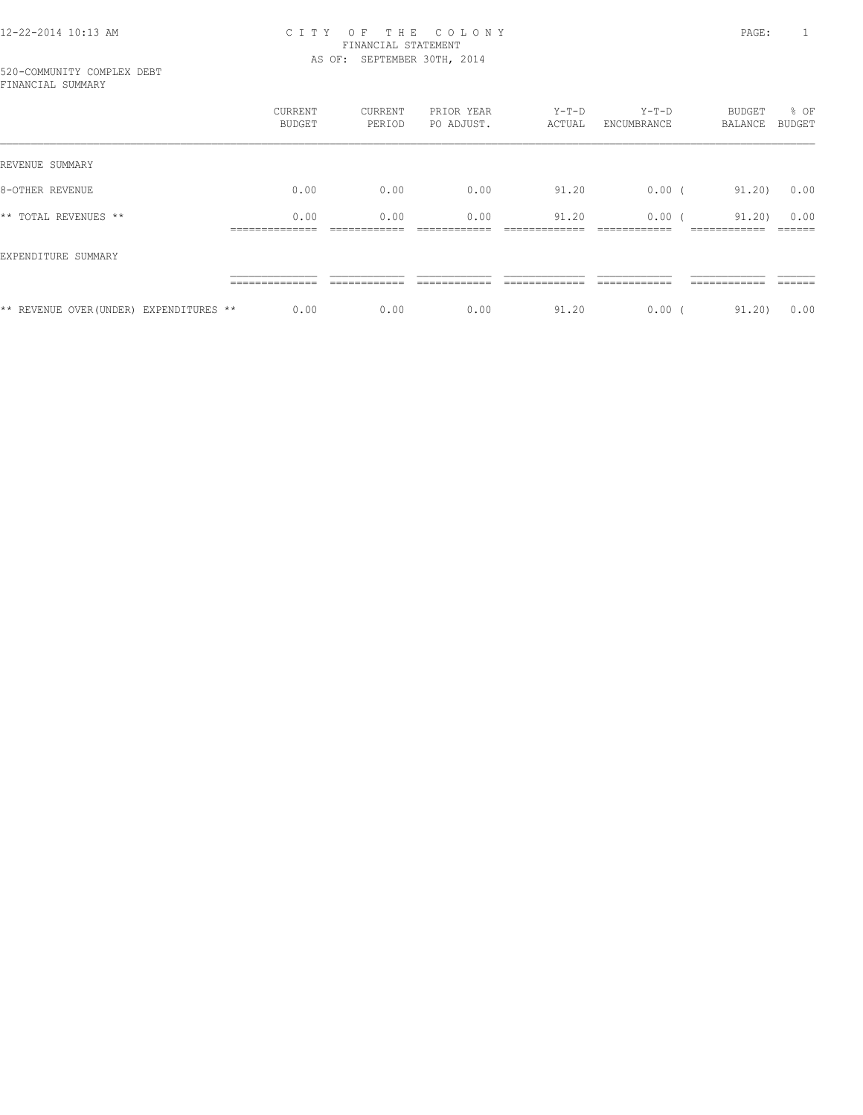#### 520-COMMUNITY COMPLEX DEBT FINANCIAL SUMMARY

|                                         | CURRENT<br>BUDGET                       | CURRENT<br>PERIOD            | PRIOR YEAR<br>PO ADJUST. | $Y-T-D$<br>ACTUAL      | $Y-T-D$<br>ENCUMBRANCE                | BUDGET<br>BALANCE                     | % OF<br><b>BUDGET</b> |
|-----------------------------------------|-----------------------------------------|------------------------------|--------------------------|------------------------|---------------------------------------|---------------------------------------|-----------------------|
| REVENUE SUMMARY                         |                                         |                              |                          |                        |                                       |                                       |                       |
| 8-OTHER REVENUE                         | 0.00                                    | 0.00                         | 0.00                     | 91.20                  | $0.00$ (                              | 91.20)                                | 0.00                  |
| ** TOTAL REVENUES **                    | 0.00<br>______________<br>------------- | 0.00<br>____________         | 0.00<br>____________     | 91.20<br>_____________ | 0.00(<br>------------<br>____________ | 91.20)<br>____________<br>----------- | 0.00<br>_____         |
| EXPENDITURE SUMMARY                     |                                         |                              |                          |                        |                                       |                                       |                       |
|                                         | --------------<br>_______________       | ------------<br>____________ | _______                  | ________               | _________                             | ------------<br>____________          | ______                |
| ** REVENUE OVER (UNDER) EXPENDITURES ** | 0.00                                    | 0.00                         | 0.00                     | 91.20                  | 0.00                                  | 91,20)                                | 0.00                  |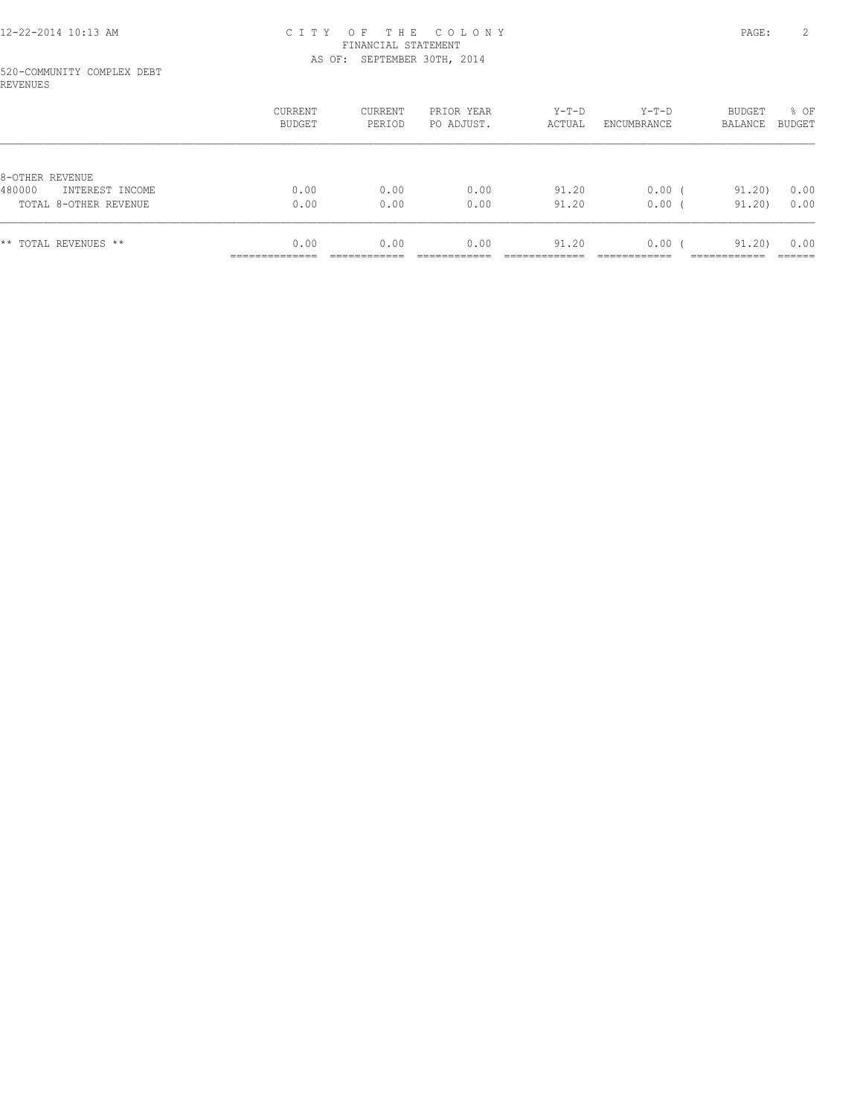#### 520-COMMUNITY COMPLEX DEBT REVENUES

|                                              | CURRENT<br>BUDGET     | CURRENT<br>PERIOD | PRIOR YEAR<br>PO ADJUST. | Y-T-D<br>ACTUAL | $Y-T-D$<br>ENCUMBRANCE | BUDGET<br>BALANCE | % OF<br>BUDGET |
|----------------------------------------------|-----------------------|-------------------|--------------------------|-----------------|------------------------|-------------------|----------------|
|                                              |                       |                   |                          |                 |                        |                   |                |
| 8-OTHER REVENUE<br>480000<br>INTEREST INCOME | 0.00                  | 0.00              | 0.00                     | 91.20           | $0.00$ (               | 91,20)            | 0.00           |
| TOTAL 8-OTHER REVENUE                        | 0.00                  | 0.00              | 0.00                     | 91.20           | 0.00(                  | 91,20)            | 0.00           |
| ** TOTAL REVENUES **                         | 0.00<br>------------- | 0.00              | 0.00                     | 91.20           | $0.00$ (               | 91.20)            | 0.00           |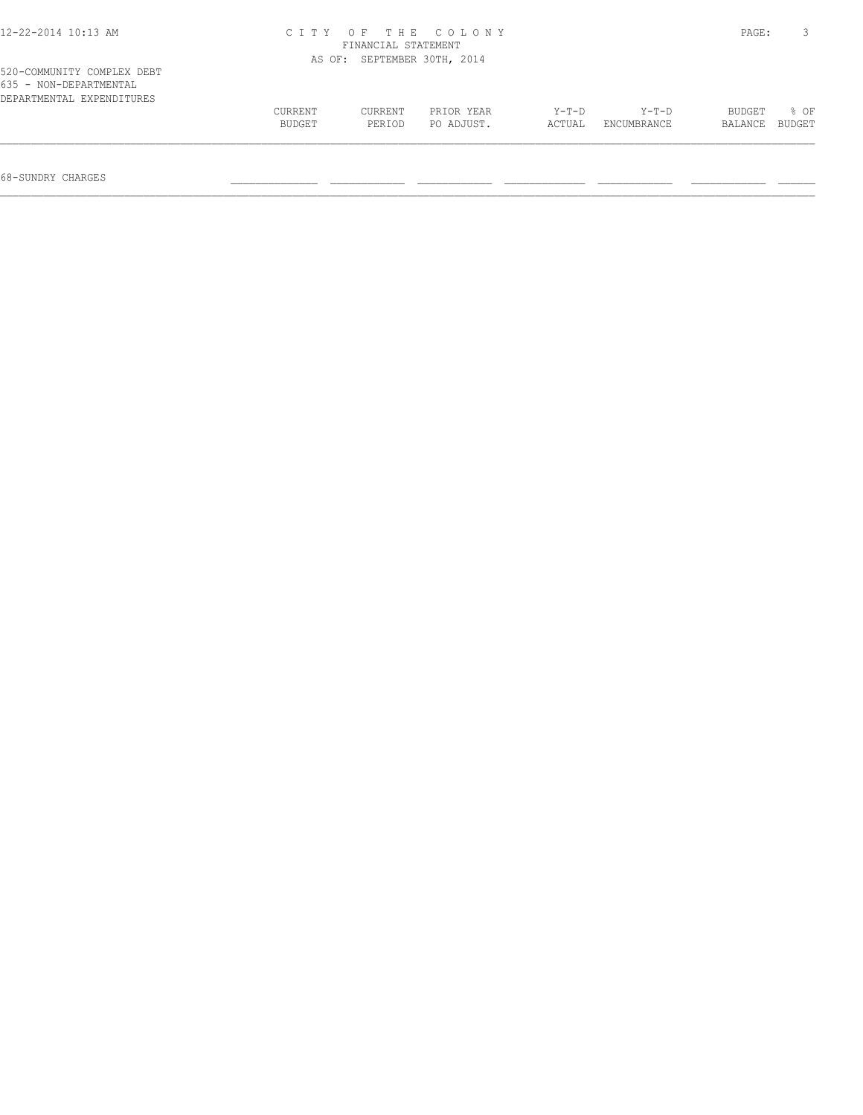| 12-22-2014 10:13 AM                                                               | C T T Y | PAGE:                       |            |         |             |         |        |
|-----------------------------------------------------------------------------------|---------|-----------------------------|------------|---------|-------------|---------|--------|
|                                                                                   |         | AS OF: SEPTEMBER 30TH, 2014 |            |         |             |         |        |
| 520-COMMUNITY COMPLEX DEBT<br>635 - NON-DEPARTMENTAL<br>DEPARTMENTAL EXPENDITURES |         |                             |            |         |             |         |        |
|                                                                                   | CURRENT | CURRENT                     | PRIOR YEAR | $Y-T-D$ | Y-T-D       | BUDGET  | $8$ OF |
|                                                                                   | BUDGET  | PERIOD                      | PO ADJUST. | ACTUAL  | ENCUMBRANCE | BALANCE | BUDGET |
|                                                                                   |         |                             |            |         |             |         |        |

68-SUNDRY CHARGES \_\_\_\_\_\_\_\_\_\_\_\_\_\_ \_\_\_\_\_\_\_\_\_\_\_\_ \_\_\_\_\_\_\_\_\_\_\_\_ \_\_\_\_\_\_\_\_\_\_\_\_\_ \_\_\_\_\_\_\_\_\_\_\_\_ \_\_\_\_\_\_\_\_\_\_\_\_ \_\_\_\_\_\_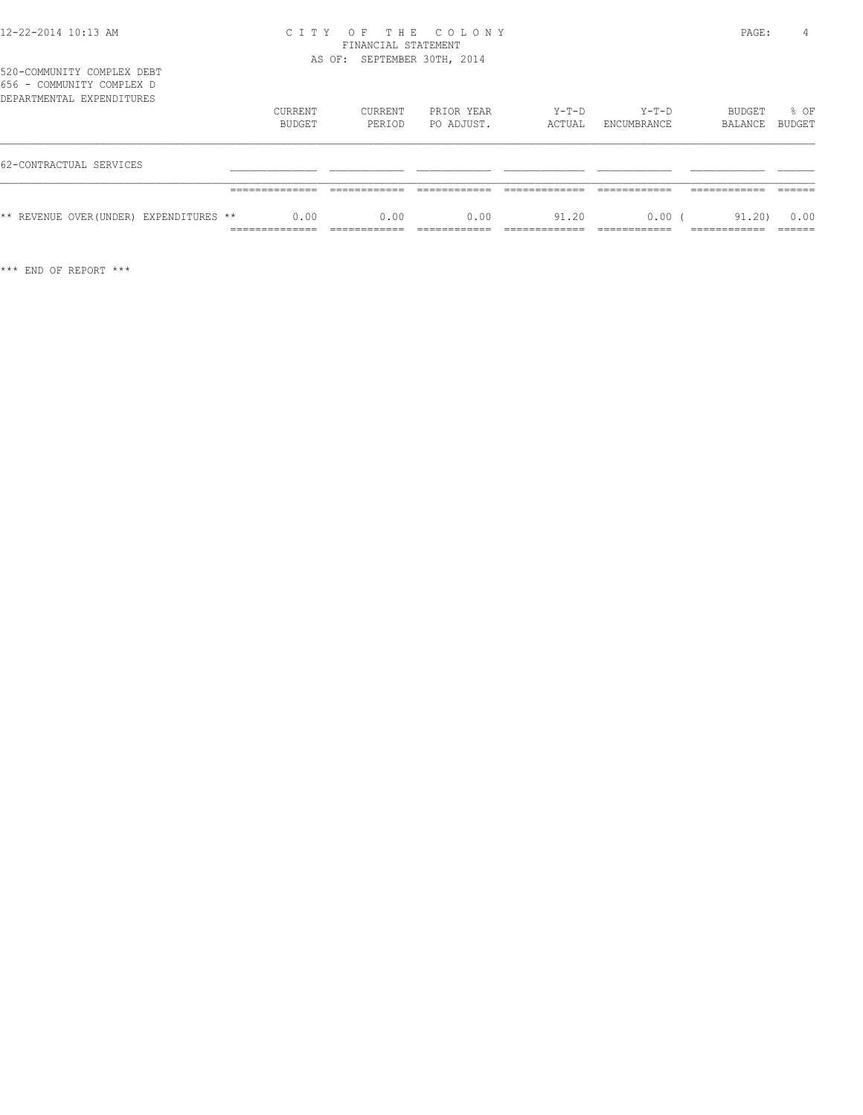520-COMMUNITY COMPLEX DEBT 656 - COMMUNITY COMPLEX D

| 000 - Commoniti Cometey d<br>DEPARTMENTAL EXPENDITURES | CURRENT                                 | CURRENT | PRIOR YEAR | Y-T-D  | $Y-T-D$     | BUDGET  | % OF           |
|--------------------------------------------------------|-----------------------------------------|---------|------------|--------|-------------|---------|----------------|
|                                                        | BUDGET                                  | PERIOD  | PO ADJUST. | ACTUAL | ENCUMBRANCE | BALANCE | BUDGET         |
| 62-CONTRACTUAL SERVICES                                |                                         |         |            |        |             |         |                |
|                                                        |                                         |         |            |        |             |         |                |
| ** REVENUE OVER (UNDER) EXPENDITURES **                | 0.00<br>______________<br>------------- | 0.00    | 0.00       | 91.20  | $0.00$ (    | 91.20)  | 0.00<br>______ |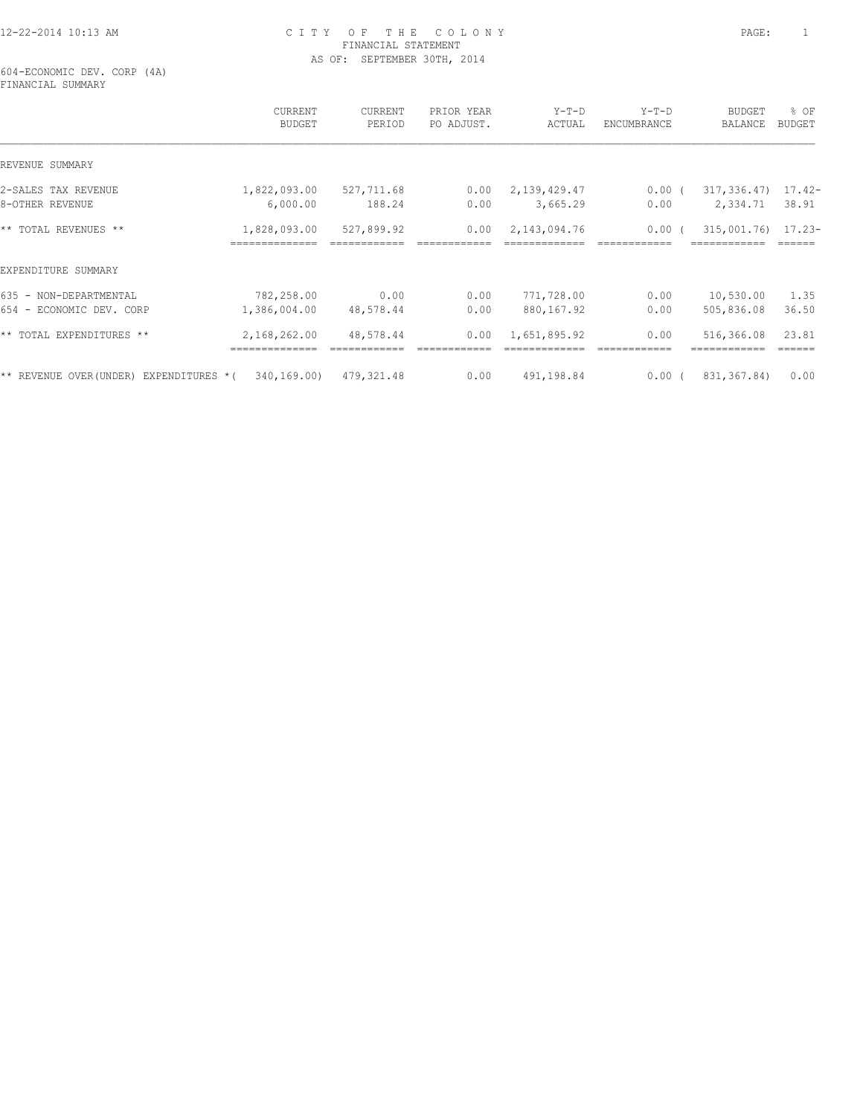604-ECONOMIC DEV. CORP (4A) FINANCIAL SUMMARY

|                                                      | CURRENT<br><b>BUDGET</b> | CURRENT<br>PERIOD | PRIOR YEAR<br>PO ADJUST. | $Y-T-D$<br>ACTUAL | $Y-T-D$<br>ENCUMBRANCE | <b>BUDGET</b><br>BALANCE           | % OF<br><b>BUDGET</b> |
|------------------------------------------------------|--------------------------|-------------------|--------------------------|-------------------|------------------------|------------------------------------|-----------------------|
| REVENUE SUMMARY                                      |                          |                   |                          |                   |                        |                                    |                       |
| 2-SALES TAX REVENUE                                  | 1,822,093.00             | 527,711.68        | 0.00                     | 2,139,429.47      | $0.00$ (               | $317, 336.47$ 17.42-               |                       |
| 8-OTHER REVENUE                                      | 6,000.00                 | 188.24            | 0.00                     | 3,665.29          | 0.00                   | 2,334.71                           | 38.91                 |
| ** TOTAL REVENUES **                                 | 1,828,093.00             | 527,899.92        | 0.00                     | 2,143,094.76      | 0.00 <sub>0</sub>      | 315,001.76) 17.23-<br>============ |                       |
| EXPENDITURE SUMMARY                                  |                          |                   |                          |                   |                        |                                    |                       |
| 635 - NON-DEPARTMENTAL                               | 782,258.00               | 0.00              | 0.00                     | 771,728.00        | 0.00                   | 10,530.00                          | 1.35                  |
| 654 - ECONOMIC DEV. CORP                             | 1,386,004.00             | 48,578.44         | 0.00                     | 880,167.92        | 0.00                   | 505,836.08                         | 36.50                 |
| ** TOTAL EXPENDITURES **                             | 2,168,262.00             | 48,578.44         | 0.00                     | 1,651,895.92      | 0.00                   | 516,366.08                         | 23.81                 |
| ** REVENUE OVER(UNDER) EXPENDITURES $*($ 340,169.00) |                          | 479,321.48        | 0.00                     | 491,198.84        | $0.00$ (               | 831,367.84)                        | 0.00                  |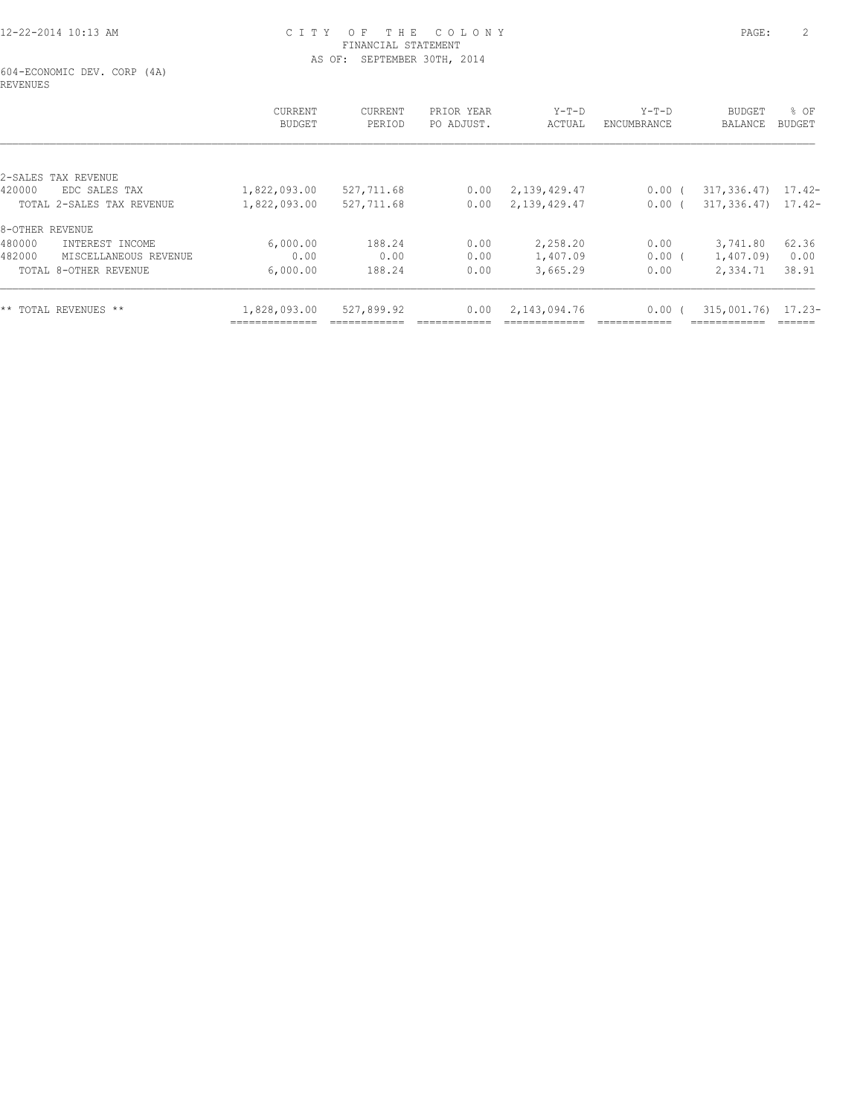604-ECONOMIC DEV. CORP (4A) REVENUES

|                                 | CURRENT<br><b>BUDGET</b> | CURRENT<br>PERIOD | PRIOR YEAR<br>PO ADJUST. | $Y-T-D$<br>ACTUAL | $Y-T-D$<br>ENCUMBRANCE | <b>BUDGET</b><br>BALANCE | % OF<br>BUDGET |
|---------------------------------|--------------------------|-------------------|--------------------------|-------------------|------------------------|--------------------------|----------------|
|                                 |                          |                   |                          |                   |                        |                          |                |
| 2-SALES<br>TAX REVENUE          |                          |                   |                          |                   |                        |                          |                |
| 420000<br>EDC SALES TAX         | 1,822,093.00             | 527,711.68        | 0.00                     | 2,139,429.47      | $0.00$ (               | $317,336.47$ $17.42-$    |                |
| TOTAL 2-SALES TAX REVENUE       | 1,822,093.00             | 527,711.68        | 0.00                     | 2,139,429.47      | 0.00(                  | $317,336.47$ $17.42-$    |                |
| 8-OTHER REVENUE                 |                          |                   |                          |                   |                        |                          |                |
| 480000<br>INTEREST INCOME       | 6,000.00                 | 188.24            | 0.00                     | 2,258.20          | 0.00                   | 3,741.80                 | 62.36          |
| 482000<br>MISCELLANEOUS REVENUE | 0.00                     | 0.00              | 0.00                     | 1,407.09          | $0.00$ (               | 1,407.09)                | 0.00           |
| TOTAL 8-OTHER REVENUE           | 6,000.00                 | 188.24            | 0.00                     | 3,665.29          | 0.00                   | 2,334.71                 | 38.91          |
| ** TOTAL REVENUES **            | 1,828,093.00             | 527,899.92        | 0.00                     | 2,143,094.76      | $0.00$ (               | 315,001.76)              | $17.23-$       |
|                                 |                          |                   |                          |                   |                        |                          |                |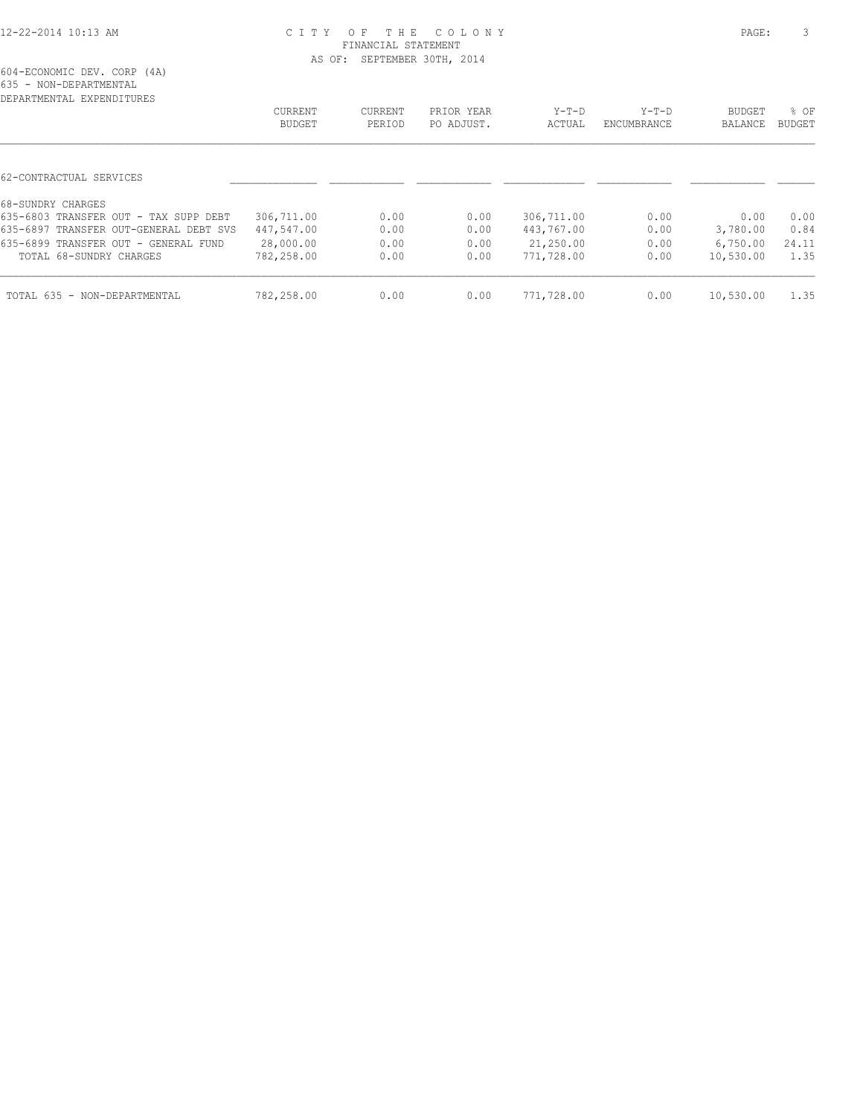| DEPARTMENTAL EXPENDITURES              |                |         |            |            |             |               |        |
|----------------------------------------|----------------|---------|------------|------------|-------------|---------------|--------|
|                                        | <b>CURRENT</b> | CURRENT | PRIOR YEAR | $Y-T-D$    | $Y-T-D$     | <b>BUDGET</b> | $8$ OF |
|                                        | BUDGET         | PERIOD  | PO ADJUST. | ACTUAL     | ENCUMBRANCE | BALANCE       | BUDGET |
|                                        |                |         |            |            |             |               |        |
| 62-CONTRACTUAL SERVICES                |                |         |            |            |             |               |        |
| 68-SUNDRY CHARGES                      |                |         |            |            |             |               |        |
| 635-6803 TRANSFER OUT - TAX SUPP DEBT  | 306,711.00     | 0.00    | 0.00       | 306,711.00 | 0.00        | 0.00          | 0.00   |
| 635-6897 TRANSFER OUT-GENERAL DEBT SVS | 447,547.00     | 0.00    | 0.00       | 443,767.00 | 0.00        | 3,780.00      | 0.84   |
| 635-6899 TRANSFER OUT - GENERAL FUND   | 28,000.00      | 0.00    | 0.00       | 21,250.00  | 0.00        | 6,750.00      | 24.11  |
| TOTAL 68-SUNDRY CHARGES                | 782,258.00     | 0.00    | 0.00       | 771,728.00 | 0.00        | 10,530.00     | 1.35   |
| TOTAL 635 - NON-DEPARTMENTAL           | 782,258.00     | 0.00    | 0.00       | 771,728.00 | 0.00        | 10,530.00     | 1.35   |
|                                        |                |         |            |            |             |               |        |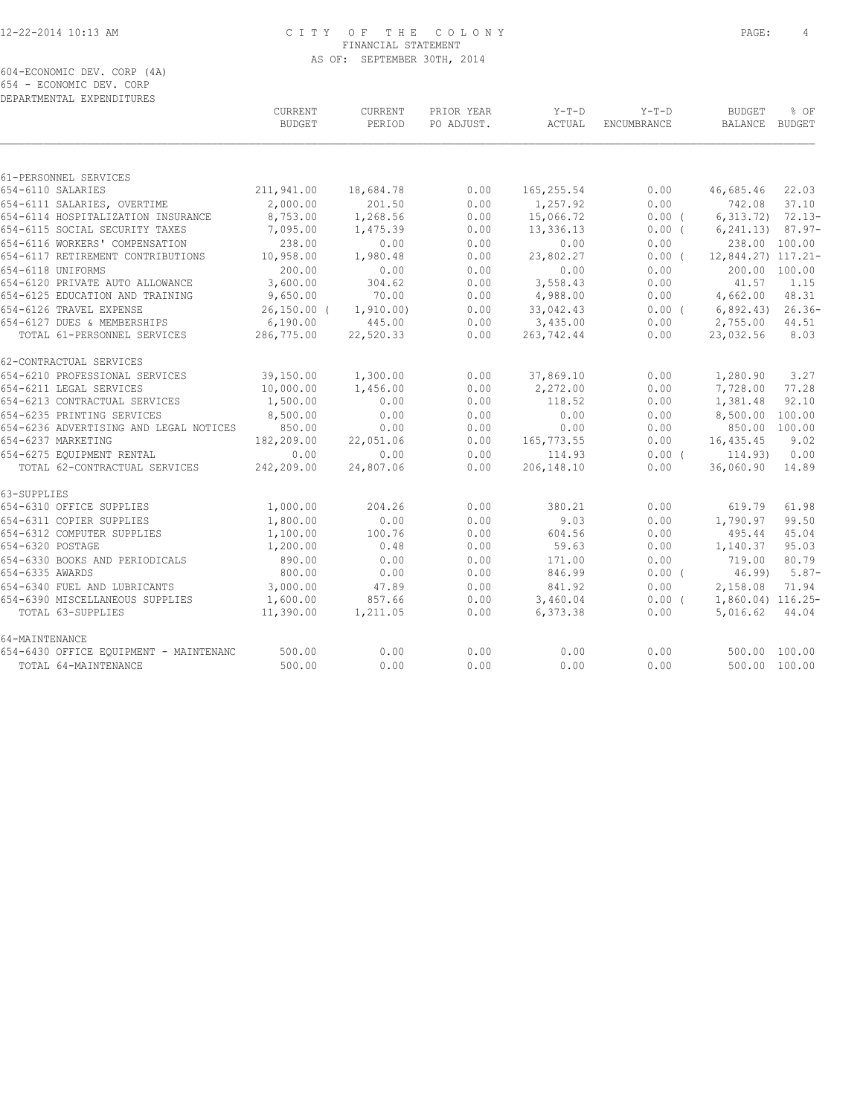604-ECONOMIC DEV. CORP (4A) 654 - ECONOMIC DEV. CORP

| DEPARTMENTAL EXPENDITURES              |                                 |                          |                          |                   |                               |                                 |          |
|----------------------------------------|---------------------------------|--------------------------|--------------------------|-------------------|-------------------------------|---------------------------------|----------|
|                                        | <b>CURRENT</b><br><b>BUDGET</b> | <b>CURRENT</b><br>PERIOD | PRIOR YEAR<br>PO ADJUST. | $Y-T-D$<br>ACTUAL | $Y-T-D$<br><b>ENCUMBRANCE</b> | <b>BUDGET</b><br>BALANCE BUDGET | % OF     |
|                                        |                                 |                          |                          |                   |                               |                                 |          |
| 61-PERSONNEL SERVICES                  |                                 |                          |                          |                   |                               |                                 |          |
| 654-6110 SALARIES                      | 211,941.00                      | 18,684.78                | 0.00                     | 165, 255.54       | 0.00                          | 46,685.46                       | 22.03    |
| 654-6111 SALARIES, OVERTIME            | 2,000.00                        | 201.50                   | 0.00                     | 1,257.92          | 0.00                          | 742.08                          | 37.10    |
| 654-6114 HOSPITALIZATION INSURANCE     | 8,753.00                        | 1,268.56                 | 0.00                     | 15,066.72         | $0.00$ (                      | $6,313.72$ $72.13-$             |          |
| 654-6115 SOCIAL SECURITY TAXES         | 7,095.00                        | 1,475.39                 | 0.00                     | 13,336.13         | $0.00$ (                      | $6, 241, 13$ $87.97 -$          |          |
| 654-6116 WORKERS' COMPENSATION         | 238.00                          | 0.00                     | 0.00                     | 0.00              | 0.00                          | 238.00 100.00                   |          |
| 654-6117 RETIREMENT CONTRIBUTIONS      | 10,958.00                       | 1,980.48                 | 0.00                     | 23,802.27         | 0.00(                         | 12,844.27) 117.21-              |          |
| 654-6118 UNIFORMS                      | 200.00                          | 0.00                     | 0.00                     | 0.00              | 0.00                          | 200.00 100.00                   |          |
| 654-6120 PRIVATE AUTO ALLOWANCE        | 3,600.00                        | 304.62                   | 0.00                     | 3,558.43          | 0.00                          | 41.57                           | 1.15     |
| 654-6125 EDUCATION AND TRAINING        | 9,650.00                        | 70.00                    | 0.00                     | 4,988.00          | 0.00                          | 4,662.00                        | 48.31    |
| 654-6126 TRAVEL EXPENSE                | $26,150.00$ (                   | 1, 910.00)               | 0.00                     | 33,042.43         | 0.00(                         | 6,892.43)                       | $26.36-$ |
| 654-6127 DUES & MEMBERSHIPS            | 6,190.00                        | 445.00                   | 0.00                     | 3,435.00          | 0.00                          | 2,755.00                        | 44.51    |
| TOTAL 61-PERSONNEL SERVICES            | 286,775.00                      | 22,520.33                | 0.00                     | 263,742.44        | 0.00                          | 23,032.56                       | 8.03     |
| 62-CONTRACTUAL SERVICES                |                                 |                          |                          |                   |                               |                                 |          |
| 654-6210 PROFESSIONAL SERVICES         | 39,150.00                       | 1,300.00                 | 0.00                     | 37,869.10         | 0.00                          | 1,280.90                        | 3.27     |
| 654-6211 LEGAL SERVICES                | 10,000.00                       | 1,456.00                 | 0.00                     | 2,272.00          | 0.00                          | 7,728.00                        | 77.28    |
| 654-6213 CONTRACTUAL SERVICES          | 1,500.00                        | 0.00                     | 0.00                     | 118.52            | 0.00                          | 1,381.48                        | 92.10    |
| 654-6235 PRINTING SERVICES             | 8,500.00                        | 0.00                     | 0.00                     | 0.00              | 0.00                          | 8,500.00 100.00                 |          |
| 654-6236 ADVERTISING AND LEGAL NOTICES | 850.00                          | 0.00                     | 0.00                     | 0.00              | 0.00                          | 850.00 100.00                   |          |
| 654-6237 MARKETING                     | 182,209.00                      | 22,051.06                | 0.00                     | 165,773.55        | 0.00                          | 16,435.45                       | 9.02     |
| 654-6275 EOUIPMENT RENTAL              | 0.00                            | 0.00                     | 0.00                     | 114.93            | $0.00$ (                      | 114.93)                         | 0.00     |
| TOTAL 62-CONTRACTUAL SERVICES          | 242,209.00                      | 24,807.06                | 0.00                     | 206,148.10        | 0.00                          | 36,060.90                       | 14.89    |
| 63-SUPPLIES                            |                                 |                          |                          |                   |                               |                                 |          |
| 654-6310 OFFICE SUPPLIES               | 1,000.00                        | 204.26                   | 0.00                     | 380.21            | 0.00                          | 619.79                          | 61.98    |
| 654-6311 COPIER SUPPLIES               | 1,800.00                        | 0.00                     | 0.00                     | 9.03              | 0.00                          | 1,790.97                        | 99.50    |
| 654-6312 COMPUTER SUPPLIES             | 1,100.00                        | 100.76                   | 0.00                     | 604.56            | 0.00                          | 495.44                          | 45.04    |
| 654-6320 POSTAGE                       | 1,200.00                        | 0.48                     | 0.00                     | 59.63             | 0.00                          | 1,140.37                        | 95.03    |
| 654-6330 BOOKS AND PERIODICALS         | 890.00                          | 0.00                     | 0.00                     | 171.00            | 0.00                          | 719.00                          | 80.79    |
| 654-6335 AWARDS                        | 800.00                          | 0.00                     | 0.00                     | 846.99            | $0.00$ (                      | 46.99                           | $5.87-$  |
| 654-6340 FUEL AND LUBRICANTS           | 3,000.00                        | 47.89                    | 0.00                     | 841.92            | 0.00                          | 2,158.08                        | 71.94    |
| 654-6390 MISCELLANEOUS SUPPLIES        | 1,600.00                        | 857.66                   | 0.00                     | 3,460.04          | $0.00$ (                      | 1,860.04) 116.25-               |          |
| TOTAL 63-SUPPLIES                      | 11,390.00                       | 1,211.05                 | 0.00                     | 6,373.38          | 0.00                          | 5,016.62                        | 44.04    |
| 64-MAINTENANCE                         |                                 |                          |                          |                   |                               |                                 |          |
| 654-6430 OFFICE EQUIPMENT - MAINTENANC | 500.00                          | 0.00                     | 0.00                     | 0.00              | 0.00                          | 500.00 100.00                   |          |
| TOTAL 64-MAINTENANCE                   | 500.00                          | 0.00                     | 0.00                     | 0.00              | 0.00                          | 500.00 100.00                   |          |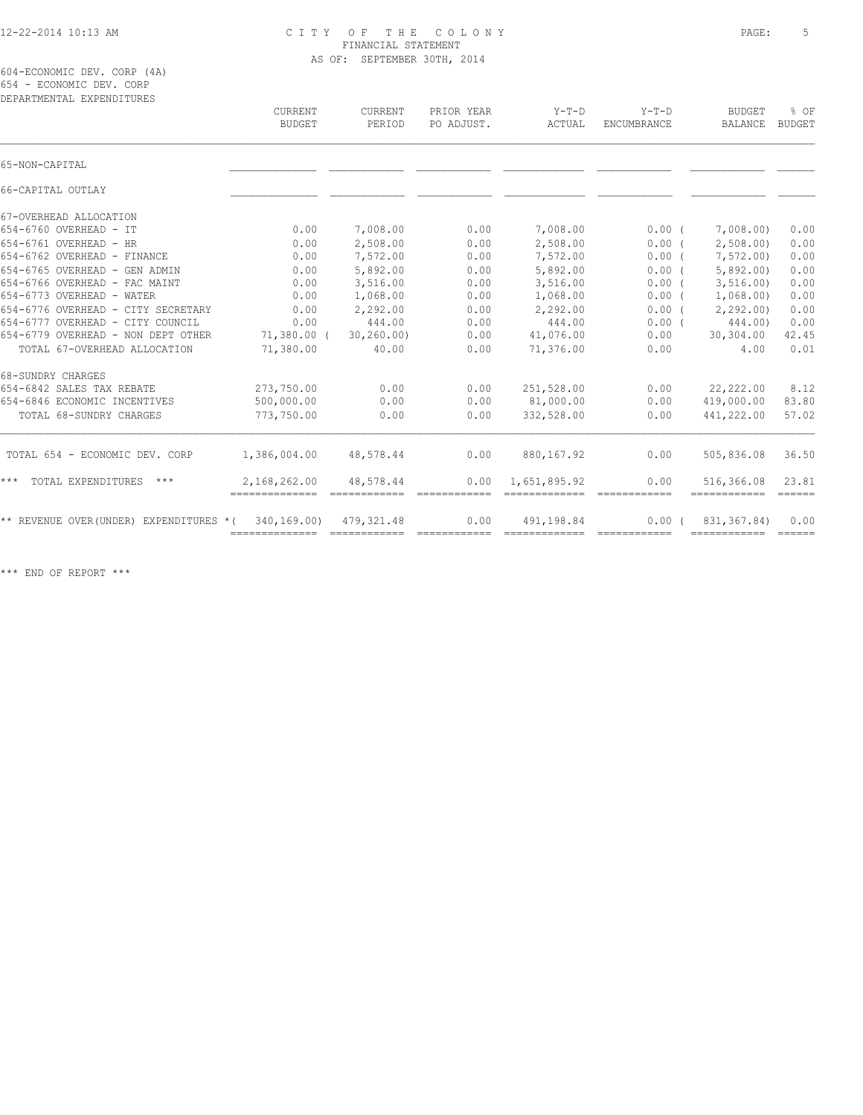604-ECONOMIC DEV. CORP (4A) 654 - ECONOMIC DEV. CORP

| DEPARTMENTAL EXPENDITURES               | CURRENT<br>BUDGET              | CURRENT<br>PERIOD | PRIOR YEAR<br>PO ADJUST.                                                                                                                                                                                                                                                                                                                                                                                                                                                                       | $Y-T-D$<br>ACTUAL | $Y-T-D$<br><b>ENCUMBRANCE</b>                                                                                                                                                                                                                                                                                                                                                                                                                                                                  | <b>BUDGET</b><br><b>BALANCE</b> | % OF<br><b>BUDGET</b>            |
|-----------------------------------------|--------------------------------|-------------------|------------------------------------------------------------------------------------------------------------------------------------------------------------------------------------------------------------------------------------------------------------------------------------------------------------------------------------------------------------------------------------------------------------------------------------------------------------------------------------------------|-------------------|------------------------------------------------------------------------------------------------------------------------------------------------------------------------------------------------------------------------------------------------------------------------------------------------------------------------------------------------------------------------------------------------------------------------------------------------------------------------------------------------|---------------------------------|----------------------------------|
| 65-NON-CAPITAL                          |                                |                   |                                                                                                                                                                                                                                                                                                                                                                                                                                                                                                |                   |                                                                                                                                                                                                                                                                                                                                                                                                                                                                                                |                                 |                                  |
| 66-CAPITAL OUTLAY                       |                                |                   |                                                                                                                                                                                                                                                                                                                                                                                                                                                                                                |                   |                                                                                                                                                                                                                                                                                                                                                                                                                                                                                                |                                 |                                  |
| 67-OVERHEAD ALLOCATION                  |                                |                   |                                                                                                                                                                                                                                                                                                                                                                                                                                                                                                |                   |                                                                                                                                                                                                                                                                                                                                                                                                                                                                                                |                                 |                                  |
| 654-6760 OVERHEAD - IT                  | 0.00                           | 7,008.00          | 0.00                                                                                                                                                                                                                                                                                                                                                                                                                                                                                           | 7,008.00          | $0.00$ (                                                                                                                                                                                                                                                                                                                                                                                                                                                                                       | 7,008.00                        | 0.00                             |
| 654-6761 OVERHEAD - HR                  | 0.00                           | 2,508.00          | 0.00                                                                                                                                                                                                                                                                                                                                                                                                                                                                                           | 2,508.00          | 0.00(                                                                                                                                                                                                                                                                                                                                                                                                                                                                                          | 2,508.00                        | 0.00                             |
| 654-6762 OVERHEAD - FINANCE             | 0.00                           | 7,572.00          | 0.00                                                                                                                                                                                                                                                                                                                                                                                                                                                                                           | 7,572.00          | 0.00(                                                                                                                                                                                                                                                                                                                                                                                                                                                                                          | 7,572.00)                       | 0.00                             |
| 654-6765 OVERHEAD - GEN ADMIN           | 0.00                           | 5,892.00          | 0.00                                                                                                                                                                                                                                                                                                                                                                                                                                                                                           | 5,892.00          | 0.00(                                                                                                                                                                                                                                                                                                                                                                                                                                                                                          | 5,892.00                        | 0.00                             |
| 654-6766 OVERHEAD - FAC MAINT           | 0.00                           | 3,516.00          | 0.00                                                                                                                                                                                                                                                                                                                                                                                                                                                                                           | 3,516.00          | 0.00(                                                                                                                                                                                                                                                                                                                                                                                                                                                                                          | 3, 516.00                       | 0.00                             |
| 654-6773 OVERHEAD - WATER               | 0.00                           | 1,068.00          | 0.00                                                                                                                                                                                                                                                                                                                                                                                                                                                                                           | 1,068.00          | 0.00(                                                                                                                                                                                                                                                                                                                                                                                                                                                                                          | 1,068.00                        | 0.00                             |
| 654-6776 OVERHEAD - CITY SECRETARY      | 0.00                           | 2,292.00          | 0.00                                                                                                                                                                                                                                                                                                                                                                                                                                                                                           | 2,292.00          | 0.00(                                                                                                                                                                                                                                                                                                                                                                                                                                                                                          | 2, 292, 00                      | 0.00                             |
| 654-6777 OVERHEAD - CITY COUNCIL        | 0.00                           | 444.00            | 0.00                                                                                                                                                                                                                                                                                                                                                                                                                                                                                           | 444.00            | 0.00(                                                                                                                                                                                                                                                                                                                                                                                                                                                                                          | 444.00)                         | 0.00                             |
| 654-6779 OVERHEAD - NON DEPT OTHER      | $71,380.00$ (                  | 30, 260.00        | 0.00                                                                                                                                                                                                                                                                                                                                                                                                                                                                                           | 41,076.00         | 0.00                                                                                                                                                                                                                                                                                                                                                                                                                                                                                           | 30,304.00                       | 42.45                            |
| TOTAL 67-OVERHEAD ALLOCATION            | 71,380.00                      | 40.00             | 0.00                                                                                                                                                                                                                                                                                                                                                                                                                                                                                           | 71,376.00         | 0.00                                                                                                                                                                                                                                                                                                                                                                                                                                                                                           | 4.00                            | 0.01                             |
| 68-SUNDRY CHARGES                       |                                |                   |                                                                                                                                                                                                                                                                                                                                                                                                                                                                                                |                   |                                                                                                                                                                                                                                                                                                                                                                                                                                                                                                |                                 |                                  |
| 654-6842 SALES TAX REBATE               | 273,750.00                     | 0.00              | 0.00                                                                                                                                                                                                                                                                                                                                                                                                                                                                                           | 251,528.00        | 0.00                                                                                                                                                                                                                                                                                                                                                                                                                                                                                           | 22,222.00                       | 8.12                             |
| 654-6846 ECONOMIC INCENTIVES            | 500,000.00                     | 0.00              | 0.00                                                                                                                                                                                                                                                                                                                                                                                                                                                                                           | 81,000.00         | 0.00                                                                                                                                                                                                                                                                                                                                                                                                                                                                                           | 419,000.00                      | 83.80                            |
| TOTAL 68-SUNDRY CHARGES                 | 773,750.00                     | 0.00              | 0.00                                                                                                                                                                                                                                                                                                                                                                                                                                                                                           | 332,528.00        | 0.00                                                                                                                                                                                                                                                                                                                                                                                                                                                                                           | 441,222.00                      | 57.02                            |
| TOTAL 654 - ECONOMIC DEV. CORP          | 1,386,004.00                   | 48,578.44         | 0.00                                                                                                                                                                                                                                                                                                                                                                                                                                                                                           | 880,167.92        | 0.00                                                                                                                                                                                                                                                                                                                                                                                                                                                                                           | 505,836.08                      | 36.50                            |
| $***$<br>TOTAL EXPENDITURES<br>$***$    | 2,168,262.00<br>-------------- | 48,578.44         | 0.00                                                                                                                                                                                                                                                                                                                                                                                                                                                                                           | 1,651,895.92      | 0.00<br>$\begin{array}{cccccccccccccc} \multicolumn{2}{c}{} & \multicolumn{2}{c}{} & \multicolumn{2}{c}{} & \multicolumn{2}{c}{} & \multicolumn{2}{c}{} & \multicolumn{2}{c}{} & \multicolumn{2}{c}{} & \multicolumn{2}{c}{} & \multicolumn{2}{c}{} & \multicolumn{2}{c}{} & \multicolumn{2}{c}{} & \multicolumn{2}{c}{} & \multicolumn{2}{c}{} & \multicolumn{2}{c}{} & \multicolumn{2}{c}{} & \multicolumn{2}{c}{} & \multicolumn{2}{c}{} & \multicolumn{2}{c}{} & \multicolumn{2}{c}{} & \$ | 516,366.08<br>============      | 23.81<br>$=$ $=$ $=$ $=$ $=$ $=$ |
| ** REVENUE OVER (UNDER) EXPENDITURES *( | 340,169.00)<br>--------------  | 479, 321.48       | 0.00<br>$\begin{array}{cccccccccc} \multicolumn{2}{c}{} & \multicolumn{2}{c}{} & \multicolumn{2}{c}{} & \multicolumn{2}{c}{} & \multicolumn{2}{c}{} & \multicolumn{2}{c}{} & \multicolumn{2}{c}{} & \multicolumn{2}{c}{} & \multicolumn{2}{c}{} & \multicolumn{2}{c}{} & \multicolumn{2}{c}{} & \multicolumn{2}{c}{} & \multicolumn{2}{c}{} & \multicolumn{2}{c}{} & \multicolumn{2}{c}{} & \multicolumn{2}{c}{} & \multicolumn{2}{c}{} & \multicolumn{2}{c}{} & \multicolumn{2}{c}{} & \mult$ | 491,198.84        | 0.00(                                                                                                                                                                                                                                                                                                                                                                                                                                                                                          | 831, 367.84)<br>------------    | 0.00<br>$=$ $=$ $=$ $=$ $=$ $=$  |
|                                         |                                |                   |                                                                                                                                                                                                                                                                                                                                                                                                                                                                                                |                   |                                                                                                                                                                                                                                                                                                                                                                                                                                                                                                |                                 |                                  |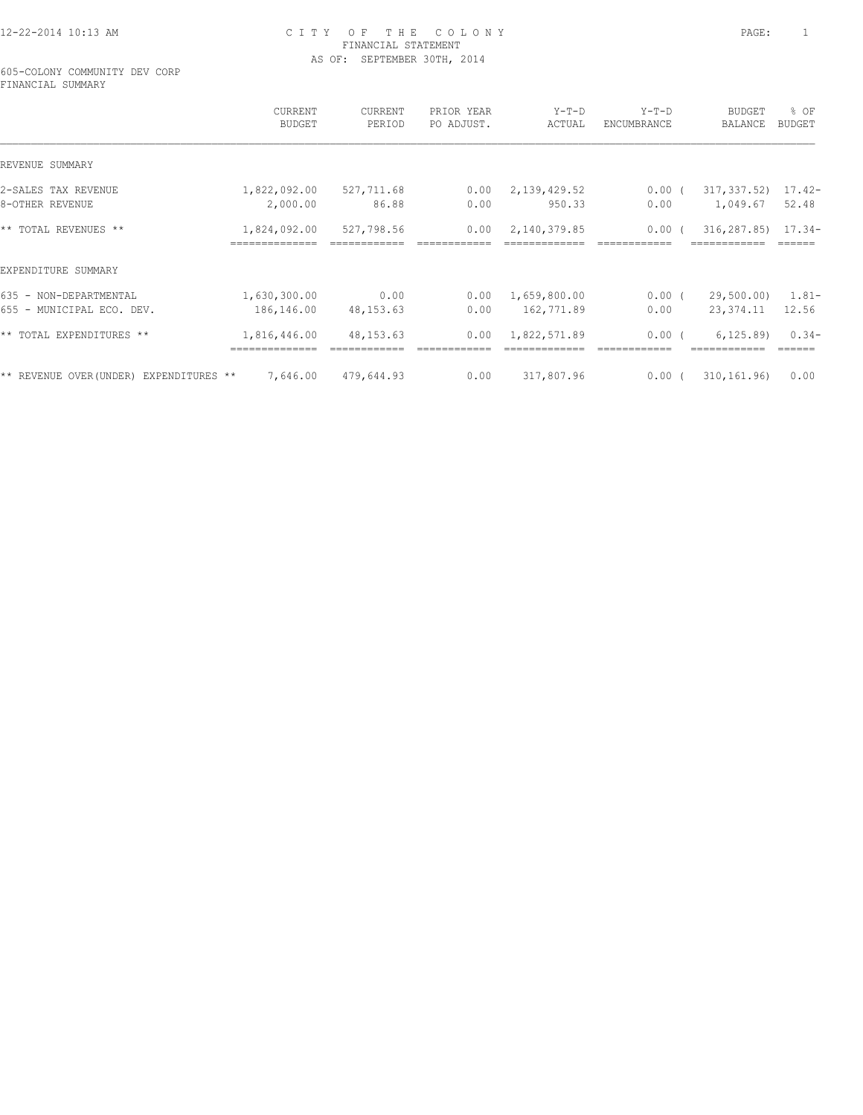605-COLONY COMMUNITY DEV CORP FINANCIAL SUMMARY

|                                         | CURRENT<br>BUDGET       | CURRENT<br>PERIOD | PRIOR YEAR<br>PO ADJUST. | $Y-T-D$<br>ACTUAL | $Y-T-D$<br>ENCUMBRANCE | <b>BUDGET</b><br>BALANCE | % OF<br>BUDGET |
|-----------------------------------------|-------------------------|-------------------|--------------------------|-------------------|------------------------|--------------------------|----------------|
| REVENUE SUMMARY                         |                         |                   |                          |                   |                        |                          |                |
| 2-SALES TAX REVENUE                     | 1,822,092.00 527,711.68 |                   | 0.00                     | 2,139,429.52      | $0.00$ (               | 317,337.52) 17.42-       |                |
| 8-OTHER REVENUE                         | 2,000.00                | 86.88             | 0.00                     | 950.33            | 0.00                   | 1,049.67                 | 52.48          |
| ** TOTAL REVENUES **                    | 1,824,092.00            | 527,798.56        | 0.00                     | 2,140,379.85      | $0.00$ (               | $316, 287.85$ $17.34$    |                |
| EXPENDITURE SUMMARY                     |                         |                   |                          |                   |                        |                          |                |
| 635 - NON-DEPARTMENTAL                  | 1,630,300.00            | 0.00              | 0.00                     | 1,659,800.00      | $0.00$ (               | 29,500.00)               | 1.81-          |
| 655 - MUNICIPAL ECO. DEV.               | 186,146.00              | 48,153.63         | 0.00                     | 162,771.89        | 0.00                   | 23,374.11                | 12.56          |
| ** TOTAL EXPENDITURES **                | 1,816,446.00            | 48, 153. 63       | 0.00                     | 1,822,571.89      | $0.00$ (               | 6, 125.89                | $0.34-$        |
| ** REVENUE OVER (UNDER) EXPENDITURES ** | 7,646.00                | 479,644.93        | 0.00                     | 317,807.96        | $0.00$ (               | 310, 161, 96             | 0.00           |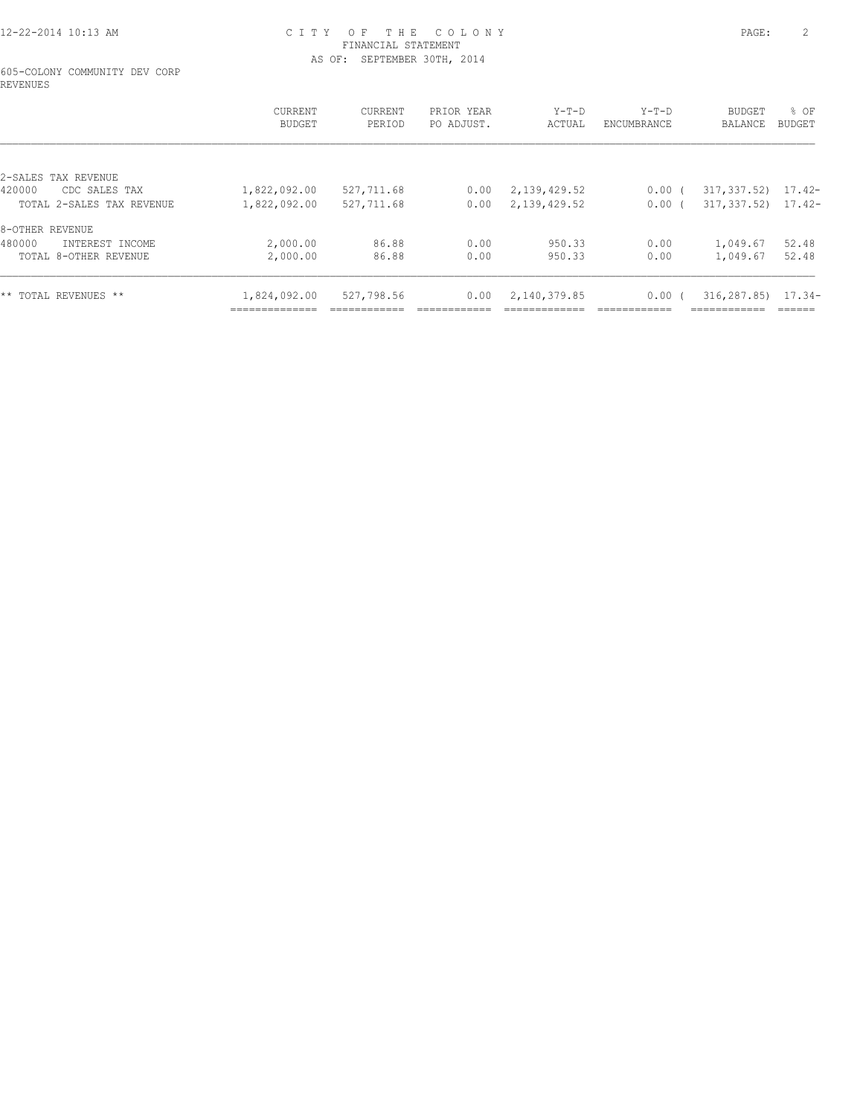605-COLONY COMMUNITY DEV CORP REVENUES

|                           | CURRENT<br><b>BUDGET</b>       | CURRENT<br>PERIOD | PRIOR YEAR<br>PO ADJUST. | $Y-T-D$<br>ACTUAL | $Y-T-D$<br>ENCUMBRANCE | BUDGET<br><b>BALANCE</b> | % OF<br>BUDGET |
|---------------------------|--------------------------------|-------------------|--------------------------|-------------------|------------------------|--------------------------|----------------|
| 2-SALES TAX REVENUE       |                                |                   |                          |                   |                        |                          |                |
| 420000<br>CDC SALES TAX   | 1,822,092.00                   | 527,711.68        | 0.00                     | 2,139,429.52      | $0.00$ (               | 317,337.52)              | 17.42-         |
| TOTAL 2-SALES TAX REVENUE | 1,822,092.00                   | 527,711.68        | 0.00                     | 2,139,429.52      | $0.00$ (               | $317, 337.52$ 17.42-     |                |
| 8-OTHER REVENUE           |                                |                   |                          |                   |                        |                          |                |
| 480000<br>INTEREST INCOME | 2,000.00                       | 86.88             | 0.00                     | 950.33            | 0.00                   | 1,049.67                 | 52.48          |
| TOTAL 8-OTHER REVENUE     | 2,000.00                       | 86.88             | 0.00                     | 950.33            | 0.00                   | 1,049.67                 | 52.48          |
| ** TOTAL REVENUES **      | 1,824,092.00<br>-------------- | 527,798.56        | 0.00                     | 2,140,379.85      | $0.00$ (               | 316,287.85)              | $17.34-$       |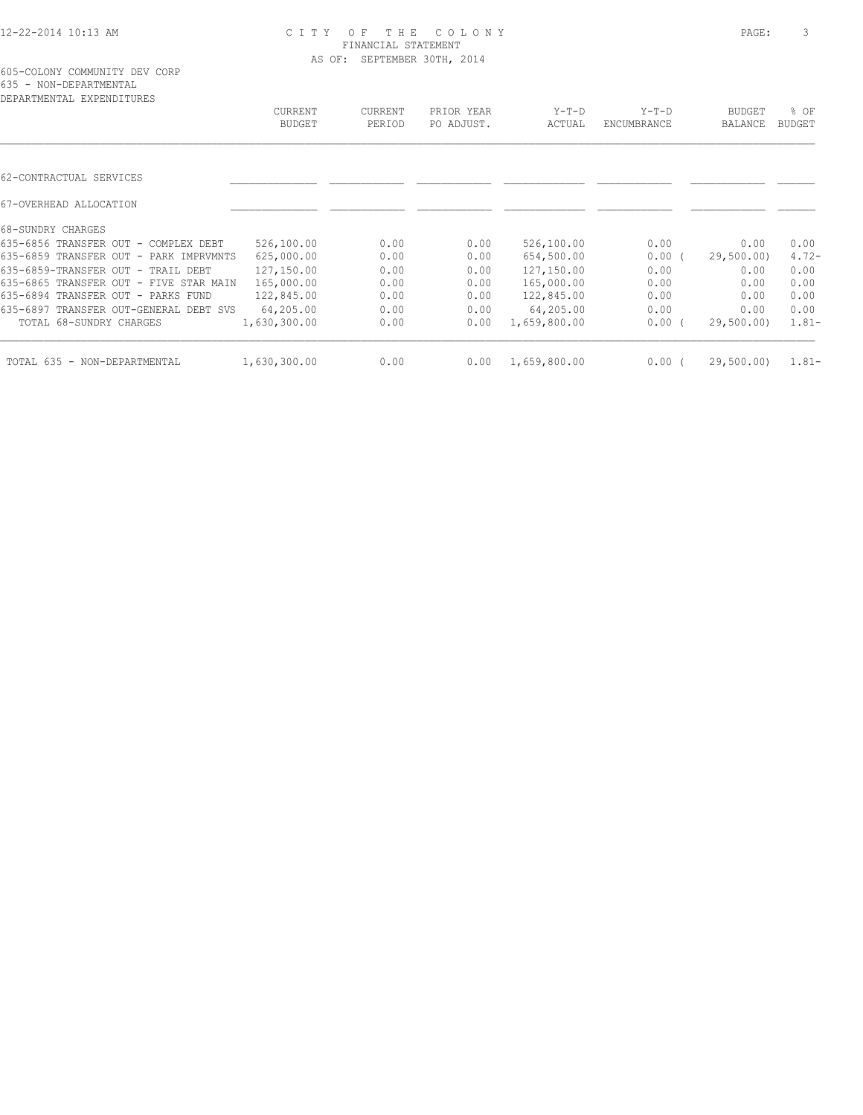| DEPARTMENTAL EXPENDITURES              |                |                |            |              |             |            |               |
|----------------------------------------|----------------|----------------|------------|--------------|-------------|------------|---------------|
|                                        | <b>CURRENT</b> | <b>CURRENT</b> | PRIOR YEAR | $Y-T-D$      | $Y-T-D$     | BUDGET     | % OF          |
|                                        | <b>BUDGET</b>  | PERIOD         | PO ADJUST. | ACTUAL       | ENCUMBRANCE | BALANCE    | <b>BUDGET</b> |
|                                        |                |                |            |              |             |            |               |
| 62-CONTRACTUAL SERVICES                |                |                |            |              |             |            |               |
| 67-OVERHEAD ALLOCATION                 |                |                |            |              |             |            |               |
| 68-SUNDRY CHARGES                      |                |                |            |              |             |            |               |
| 635-6856 TRANSFER OUT - COMPLEX DEBT   | 526,100.00     | 0.00           | 0.00       | 526,100.00   | 0.00        | 0.00       | 0.00          |
| 635-6859 TRANSFER OUT - PARK IMPRVMNTS | 625,000.00     | 0.00           | 0.00       | 654,500.00   | 0.00(       | 29,500.00) | $4.72-$       |
| 635-6859-TRANSFER OUT - TRAIL DEBT     | 127,150.00     | 0.00           | 0.00       | 127,150.00   | 0.00        | 0.00       | 0.00          |
| 635-6865 TRANSFER OUT - FIVE STAR MAIN | 165,000.00     | 0.00           | 0.00       | 165,000.00   | 0.00        | 0.00       | 0.00          |
| 635-6894 TRANSFER OUT - PARKS FUND     | 122,845.00     | 0.00           | 0.00       | 122,845.00   | 0.00        | 0.00       | 0.00          |
| 635-6897 TRANSFER OUT-GENERAL DEBT SVS | 64,205.00      | 0.00           | 0.00       | 64,205.00    | 0.00        | 0.00       | 0.00          |
| TOTAL 68-SUNDRY CHARGES                | 1,630,300.00   | 0.00           | 0.00       | 1,659,800.00 | $0.00$ (    | 29,500.00) | $1.81 -$      |
| TOTAL 635 - NON-DEPARTMENTAL           | 1,630,300.00   | 0.00           | 0.00       | 1,659,800.00 | 0.00(       | 29,500.00) | $1.81 -$      |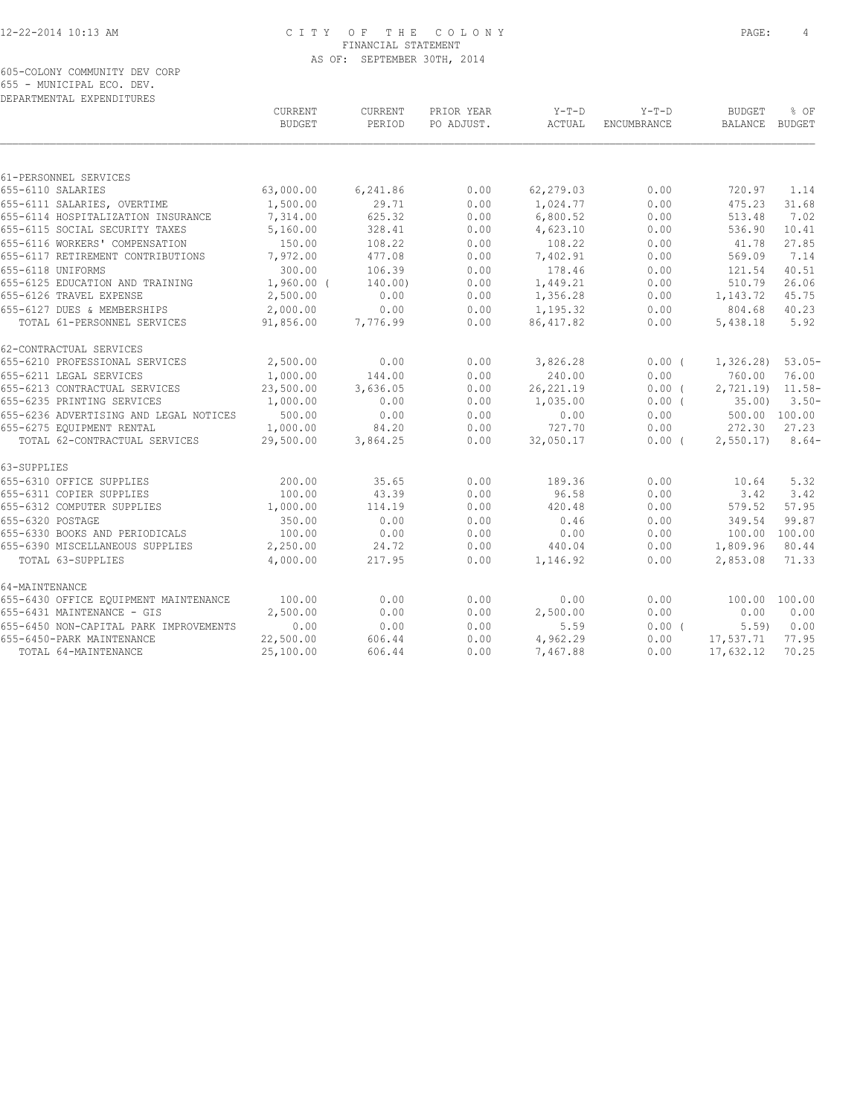605-COLONY COMMUNITY DEV CORP 655 - MUNICIPAL ECO. DEV. DEPARTMENTAL EXPENDITURES

| DELANINENIAE EALENDIIONEO              | CURRENT<br><b>BUDGET</b> | CURRENT<br>PERIOD | PRIOR YEAR<br>PO ADJUST. | Y-T-D<br>ACTUAL | $Y-T-D$<br>ENCUMBRANCE | <b>BUDGET</b><br>BALANCE BUDGET | % OF     |
|----------------------------------------|--------------------------|-------------------|--------------------------|-----------------|------------------------|---------------------------------|----------|
|                                        |                          |                   |                          |                 |                        |                                 |          |
| 61-PERSONNEL SERVICES                  |                          |                   |                          |                 |                        |                                 |          |
| 655-6110 SALARIES                      | 63,000.00                | 6,241.86          | 0.00                     | 62,279.03       | 0.00                   | 720.97                          | 1.14     |
| 655-6111 SALARIES, OVERTIME            | 1,500.00                 | 29.71             | 0.00                     | 1,024.77        | 0.00                   | 475.23                          | 31.68    |
| 655-6114 HOSPITALIZATION INSURANCE     | 7,314.00                 | 625.32            | 0.00                     | 6,800.52        | 0.00                   | 513.48                          | 7.02     |
| 655-6115 SOCIAL SECURITY TAXES         | 5,160.00                 | 328.41            | 0.00                     | 4,623.10        | 0.00                   | 536.90                          | 10.41    |
| 655-6116 WORKERS' COMPENSATION         | 150.00                   | 108.22            | 0.00                     | 108.22          | 0.00                   | 41.78                           | 27.85    |
| 655-6117 RETIREMENT CONTRIBUTIONS      | 7,972.00                 | 477.08            | 0.00                     | 7,402.91        | 0.00                   | 569.09                          | 7.14     |
| 655-6118 UNIFORMS                      | 300.00                   | 106.39            | 0.00                     | 178.46          | 0.00                   | 121.54                          | 40.51    |
| 655-6125 EDUCATION AND TRAINING        | $1,960.00$ (             | 140.00)           | 0.00                     | 1,449.21        | 0.00                   | 510.79                          | 26.06    |
| 655-6126 TRAVEL EXPENSE                | 2,500.00                 | 0.00              | 0.00                     | 1,356.28        | 0.00                   | 1,143.72                        | 45.75    |
| 655-6127 DUES & MEMBERSHIPS            | 2,000.00                 | 0.00              | 0.00                     | 1,195.32        | 0.00                   | 804.68                          | 40.23    |
| TOTAL 61-PERSONNEL SERVICES            | 91,856.00                | 7,776.99          | 0.00                     | 86, 417.82      | 0.00                   | 5,438.18                        | 5.92     |
| 62-CONTRACTUAL SERVICES                |                          |                   |                          |                 |                        |                                 |          |
| 655-6210 PROFESSIONAL SERVICES         | 2,500.00                 | 0.00              | 0.00                     | 3,826.28        | 0.00(                  | 1,326.28                        | $53.05-$ |
| 655-6211 LEGAL SERVICES                | 1,000.00                 | 144.00            | 0.00                     | 240.00          | 0.00                   | 760.00                          | 76.00    |
| 655-6213 CONTRACTUAL SERVICES          | 23,500.00                | 3,636.05          | 0.00                     | 26, 221.19      | $0.00$ (               | $2,721.19$ $11.58-$             |          |
| 655-6235 PRINTING SERVICES             | 1,000.00                 | 0.00              | 0.00                     | 1,035.00        | $0.00$ (               | 35.00                           | $3.50 -$ |
| 655-6236 ADVERTISING AND LEGAL NOTICES | 500.00                   | 0.00              | 0.00                     | 0.00            | 0.00                   | 500.00 100.00                   |          |
| 655-6275 EQUIPMENT RENTAL              | 1,000.00                 | 84.20             | 0.00                     | 727.70          | 0.00                   | 272.30                          | 27.23    |
| TOTAL 62-CONTRACTUAL SERVICES          | 29,500.00                | 3,864.25          | 0.00                     | 32,050.17       | $0.00$ (               | 2,550.17                        | $8.64-$  |
| 63-SUPPLIES                            |                          |                   |                          |                 |                        |                                 |          |
| 655-6310 OFFICE SUPPLIES               | 200.00                   | 35.65             | 0.00                     | 189.36          | 0.00                   | 10.64                           | 5.32     |
| 655-6311 COPIER SUPPLIES               | 100.00                   | 43.39             | 0.00                     | 96.58           | 0.00                   | 3.42                            | 3.42     |
| 655-6312 COMPUTER SUPPLIES             | 1,000.00                 | 114.19            | 0.00                     | 420.48          | 0.00                   | 579.52                          | 57.95    |
| 655-6320 POSTAGE                       | 350.00                   | 0.00              | 0.00                     | 0.46            | 0.00                   | 349.54                          | 99.87    |
| 655-6330 BOOKS AND PERIODICALS         | 100.00                   | 0.00              | 0.00                     | 0.00            | 0.00                   | 100.00 100.00                   |          |
| 655-6390 MISCELLANEOUS SUPPLIES        | 2,250.00                 | 24.72             | 0.00                     | 440.04          | 0.00                   | 1,809.96                        | 80.44    |
| TOTAL 63-SUPPLIES                      | 4,000.00                 | 217.95            | 0.00                     | 1,146.92        | 0.00                   | 2,853.08                        | 71.33    |
| 64-MAINTENANCE                         |                          |                   |                          |                 |                        |                                 |          |
| 655-6430 OFFICE EQUIPMENT MAINTENANCE  | 100.00                   | 0.00              | 0.00                     | 0.00            | 0.00                   | 100.00 100.00                   |          |
| 655-6431 MAINTENANCE - GIS             | 2,500.00                 | 0.00              | 0.00                     | 2,500.00        | 0.00                   | 0.00                            | 0.00     |
| 655-6450 NON-CAPITAL PARK IMPROVEMENTS | 0.00                     | 0.00              | 0.00                     | 5.59            | 0.00(                  | 5.59                            | 0.00     |
| 655-6450-PARK MAINTENANCE              | 22,500.00                | 606.44            | 0.00                     | 4,962.29        | 0.00                   | 17,537.71                       | 77.95    |
| TOTAL 64-MAINTENANCE                   | 25,100.00                | 606.44            | 0.00                     | 7,467.88        | 0.00                   | 17,632.12                       | 70.25    |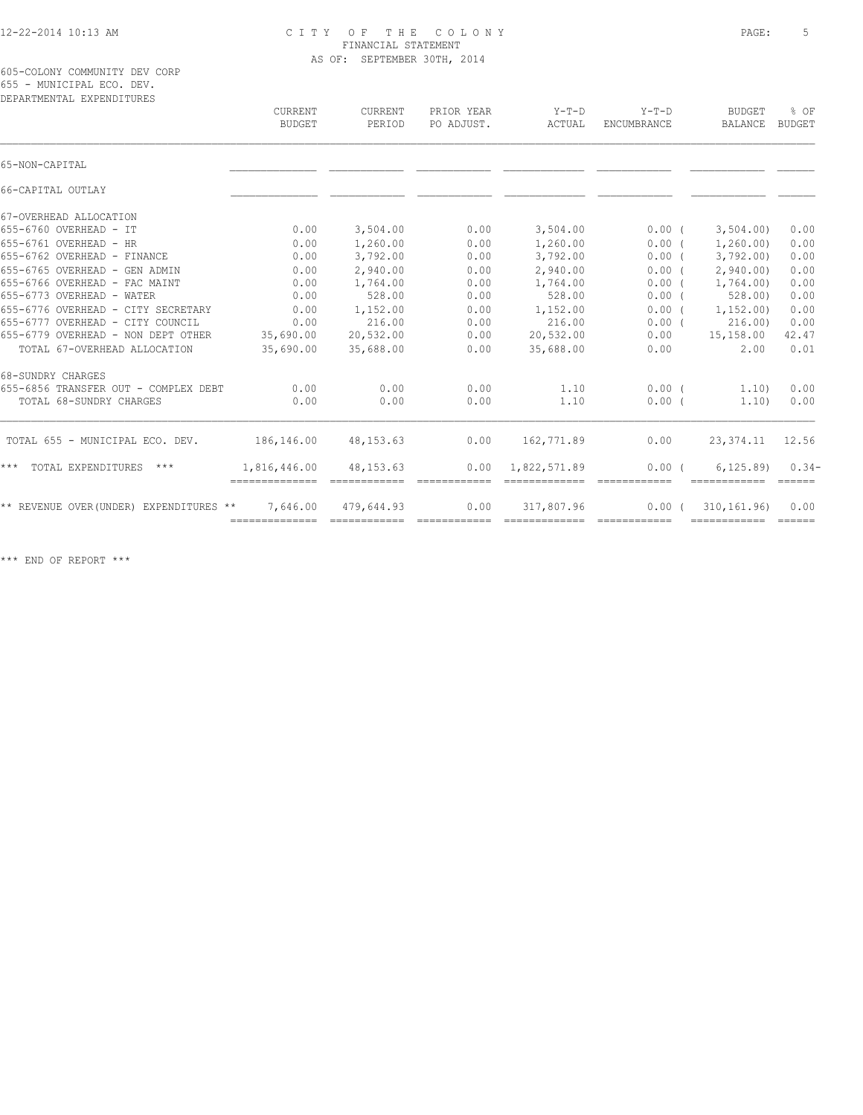605-COLONY COMMUNITY DEV CORP 655 - MUNICIPAL ECO. DEV.

| DEPARTMENTAL EXPENDITURES              |                              |                   |                                                                                                                                                                                                                                                                                                                                                                                                                                                                                        |                   |                        |                                 |                                |
|----------------------------------------|------------------------------|-------------------|----------------------------------------------------------------------------------------------------------------------------------------------------------------------------------------------------------------------------------------------------------------------------------------------------------------------------------------------------------------------------------------------------------------------------------------------------------------------------------------|-------------------|------------------------|---------------------------------|--------------------------------|
|                                        | CURRENT<br><b>BUDGET</b>     | CURRENT<br>PERIOD | PRIOR YEAR<br>PO ADJUST.                                                                                                                                                                                                                                                                                                                                                                                                                                                               | $Y-T-D$<br>ACTUAL | $Y-T-D$<br>ENCUMBRANCE | <b>BUDGET</b><br><b>BALANCE</b> | % OF<br><b>BUDGET</b>          |
| 65-NON-CAPITAL                         |                              |                   |                                                                                                                                                                                                                                                                                                                                                                                                                                                                                        |                   |                        |                                 |                                |
| 66-CAPITAL OUTLAY                      |                              |                   |                                                                                                                                                                                                                                                                                                                                                                                                                                                                                        |                   |                        |                                 |                                |
| 67-OVERHEAD ALLOCATION                 |                              |                   |                                                                                                                                                                                                                                                                                                                                                                                                                                                                                        |                   |                        |                                 |                                |
| 655-6760 OVERHEAD - IT                 | 0.00                         | 3,504.00          | 0.00                                                                                                                                                                                                                                                                                                                                                                                                                                                                                   | 3,504.00          | $0.00$ (               | 3,504.00                        | 0.00                           |
| 655-6761 OVERHEAD - HR                 | 0.00                         | 1,260.00          | 0.00                                                                                                                                                                                                                                                                                                                                                                                                                                                                                   | 1,260.00          | $0.00$ (               | 1, 260.00                       | 0.00                           |
| 655-6762 OVERHEAD - FINANCE            | 0.00                         | 3,792.00          | 0.00                                                                                                                                                                                                                                                                                                                                                                                                                                                                                   | 3,792.00          | 0.00(                  | 3,792.00                        | 0.00                           |
| 655-6765 OVERHEAD - GEN ADMIN          | 0.00                         | 2,940.00          | 0.00                                                                                                                                                                                                                                                                                                                                                                                                                                                                                   | 2,940.00          | 0.00(                  | 2,940.00                        | 0.00                           |
| 655-6766 OVERHEAD - FAC MAINT          | 0.00                         | 1,764.00          | 0.00                                                                                                                                                                                                                                                                                                                                                                                                                                                                                   | 1,764.00          | $0.00$ (               | 1,764.00)                       | 0.00                           |
| 655-6773 OVERHEAD - WATER              | 0.00                         | 528.00            | 0.00                                                                                                                                                                                                                                                                                                                                                                                                                                                                                   | 528.00            | 0.00(                  | 528.00                          | 0.00                           |
| 655-6776 OVERHEAD - CITY SECRETARY     | 0.00                         | 1,152.00          | 0.00                                                                                                                                                                                                                                                                                                                                                                                                                                                                                   | 1,152.00          | 0.00(                  | 1, 152, 00)                     | 0.00                           |
| 655-6777 OVERHEAD - CITY COUNCIL       | 0.00                         | 216.00            | 0.00                                                                                                                                                                                                                                                                                                                                                                                                                                                                                   | 216.00            | $0.00$ (               | 216.00                          | 0.00                           |
| 655-6779 OVERHEAD - NON DEPT OTHER     | 35,690.00                    | 20,532.00         | 0.00                                                                                                                                                                                                                                                                                                                                                                                                                                                                                   | 20,532.00         | 0.00                   | 15,158.00                       | 42.47                          |
| TOTAL 67-OVERHEAD ALLOCATION           | 35,690.00                    | 35,688.00         | 0.00                                                                                                                                                                                                                                                                                                                                                                                                                                                                                   | 35,688.00         | 0.00                   | 2.00                            | 0.01                           |
| 68-SUNDRY CHARGES                      |                              |                   |                                                                                                                                                                                                                                                                                                                                                                                                                                                                                        |                   |                        |                                 |                                |
| 655-6856 TRANSFER OUT - COMPLEX DEBT   | 0.00                         | 0.00              | 0.00                                                                                                                                                                                                                                                                                                                                                                                                                                                                                   | 1.10              | $0.00$ (               | 1,10)                           | 0.00                           |
| TOTAL 68-SUNDRY CHARGES                | 0.00                         | 0.00              | 0.00                                                                                                                                                                                                                                                                                                                                                                                                                                                                                   | 1.10              | 0.00(                  | 1.10                            | 0.00                           |
| TOTAL 655 - MUNICIPAL ECO. DEV.        | 186,146.00                   | 48, 153. 63       | 0.00                                                                                                                                                                                                                                                                                                                                                                                                                                                                                   | 162,771.89        | 0.00                   | 23,374.11                       | 12.56                          |
| TOTAL EXPENDITURES<br>***<br>***       | 1,816,446.00                 | 48, 153. 63       | 0.00                                                                                                                                                                                                                                                                                                                                                                                                                                                                                   | 1,822,571.89      | 0.00(                  | 6, 125, 89                      | $0.34-$<br>$=$ $=$ $=$ $=$ $=$ |
| ** REVENUE OVER(UNDER) EXPENDITURES ** | 7,646.00                     | 479,644.93        | 0.00                                                                                                                                                                                                                                                                                                                                                                                                                                                                                   | 317,807.96        | 0.00(                  | 310, 161, 96)                   | 0.00                           |
|                                        | -------------- ------------- |                   | $\begin{array}{cccccccccc} \multicolumn{2}{c}{} & \multicolumn{2}{c}{} & \multicolumn{2}{c}{} & \multicolumn{2}{c}{} & \multicolumn{2}{c}{} & \multicolumn{2}{c}{} & \multicolumn{2}{c}{} & \multicolumn{2}{c}{} & \multicolumn{2}{c}{} & \multicolumn{2}{c}{} & \multicolumn{2}{c}{} & \multicolumn{2}{c}{} & \multicolumn{2}{c}{} & \multicolumn{2}{c}{} & \multicolumn{2}{c}{} & \multicolumn{2}{c}{} & \multicolumn{2}{c}{} & \multicolumn{2}{c}{} & \multicolumn{2}{c}{} & \mult$ | assessessesse     |                        |                                 |                                |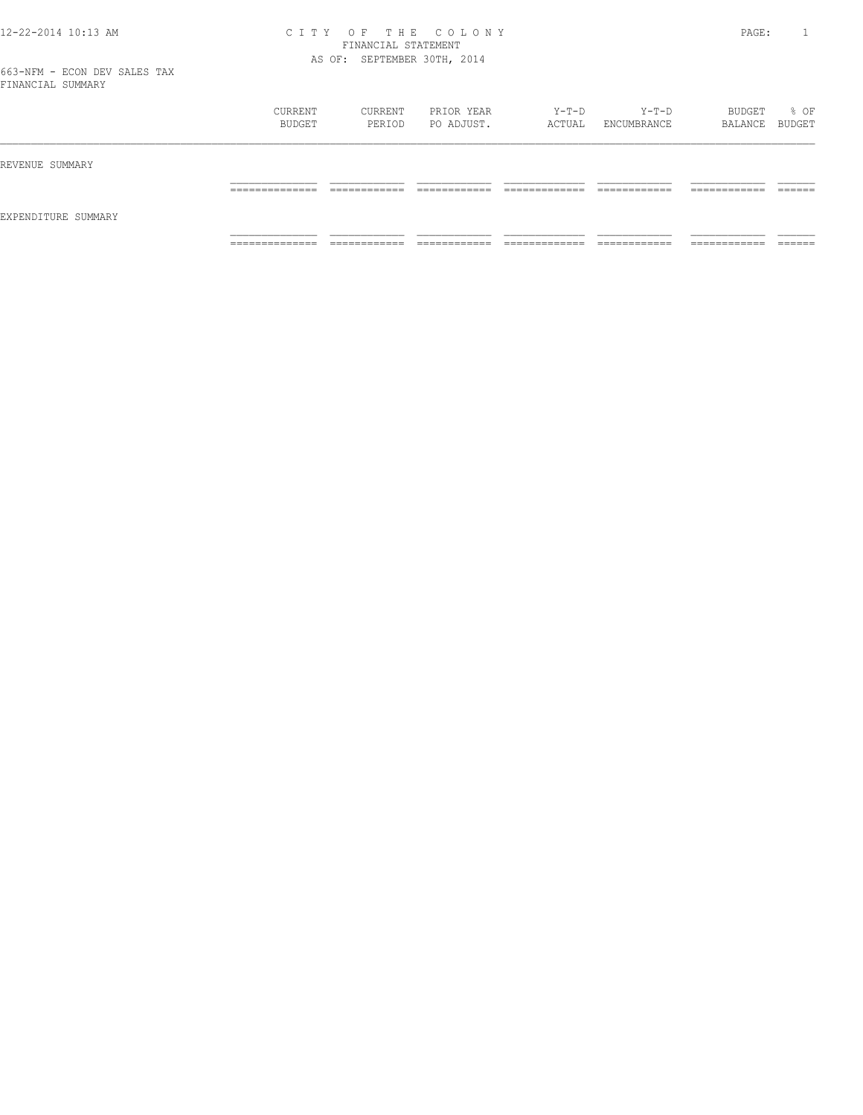|                     | CURRENT<br>BUDGET   | CURRENT<br>PERIOD            | PRIOR YEAR<br>PO ADJUST.     | Y-T-D<br>ACTUAL                 | $Y-T-D$<br>ENCUMBRANCE       | BUDGET<br>BALANCE BUDGET      | % OF               |
|---------------------|---------------------|------------------------------|------------------------------|---------------------------------|------------------------------|-------------------------------|--------------------|
| REVENUE SUMMARY     |                     |                              |                              |                                 |                              |                               |                    |
| EXPENDITURE SUMMARY | ______________<br>. | ------------<br>____________ | -------------                | ____________<br>______________  | ____________<br>____________ | -------------<br>____________ | -------<br>_______ |
|                     | _____________<br>.  | ____________<br>____________ | ____________<br>____________ | _____________<br>______________ | ____________<br>-----------  | -------------<br>____________ | _______            |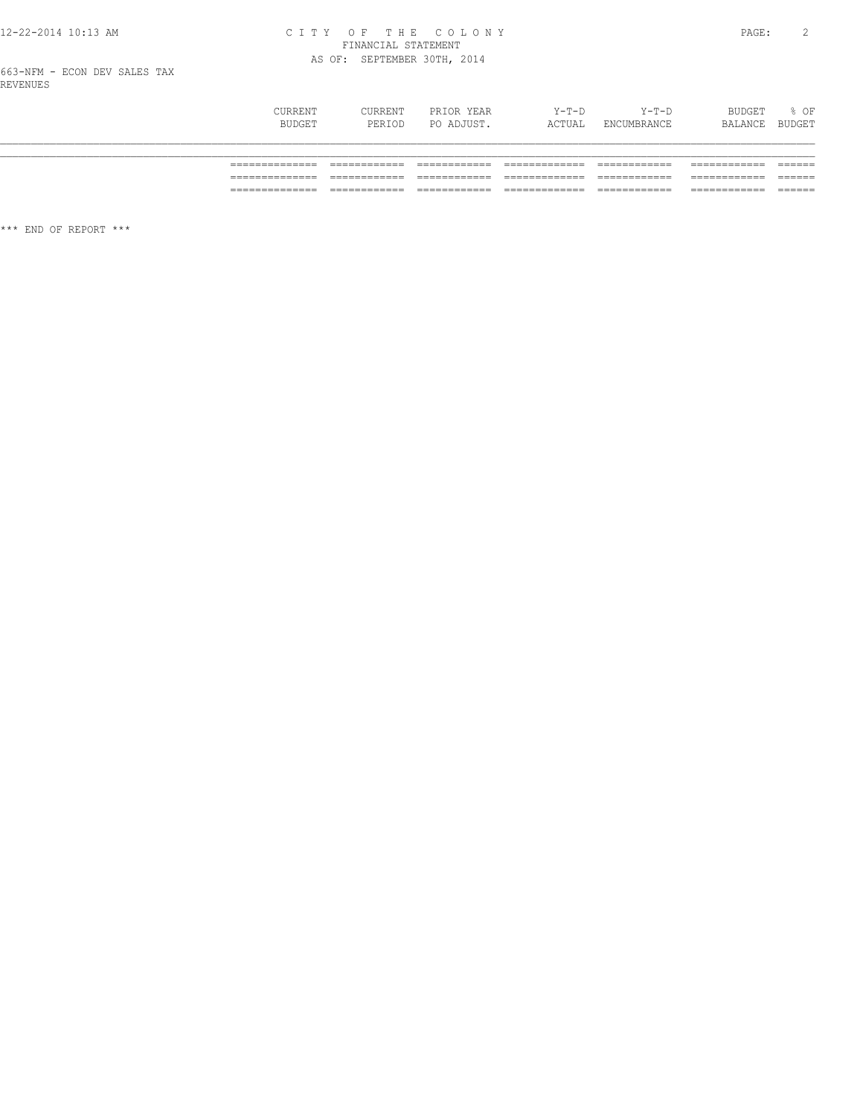## CITY OF THE COLONY<br>
FINANCIAL STATEMENT<br>
AS OF: SEPTEMBER 30TH, 2014

| CURRENT<br>BUDGET | CURRENT<br>PERIOD | PRIOR YEAR<br>PO ADJUST. | $Y-T-D$<br>ACTUAL | $Y-T-D$<br>ENCUMBRANCE | BUDGET<br>BALANCE | % OF<br>BUDGET |
|-------------------|-------------------|--------------------------|-------------------|------------------------|-------------------|----------------|
|                   |                   |                          |                   |                        |                   |                |
|                   |                   |                          |                   |                        |                   |                |
|                   |                   |                          |                   |                        |                   |                |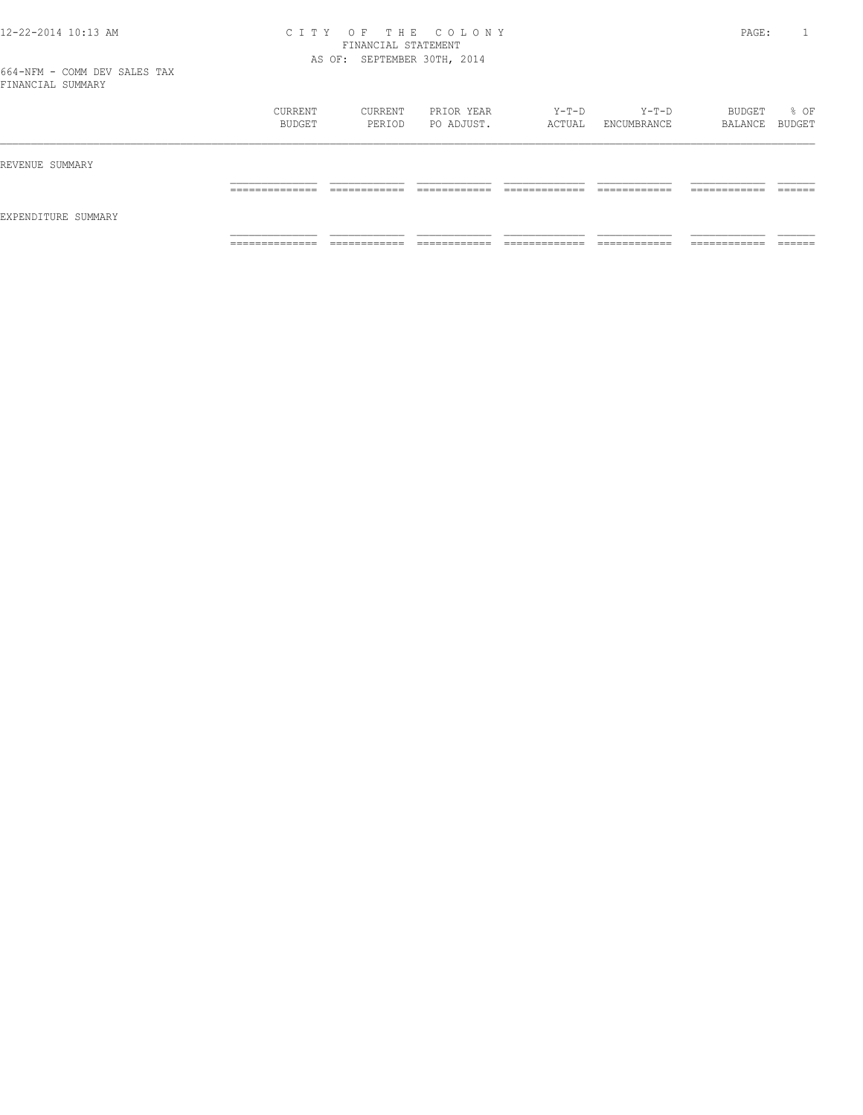|                     | <b>CURRENT</b><br>BUDGET | CURRENT<br>PERIOD           | PRIOR YEAR<br>PO ADJUST. | Y-T-D<br>ACTUAL    | $Y-T-D$<br>ENCUMBRANCE      | BUDGET<br>BALANCE BUDGET      | % OF              |
|---------------------|--------------------------|-----------------------------|--------------------------|--------------------|-----------------------------|-------------------------------|-------------------|
| REVENUE SUMMARY     |                          |                             |                          |                    |                             |                               |                   |
|                     | ______________<br>.      |                             |                          |                    |                             | -------------<br>____________ | ------<br>_______ |
| EXPENDITURE SUMMARY |                          |                             |                          |                    |                             |                               |                   |
|                     | ______________<br>.      | -----------<br>____________ | ____________             | _____________<br>. | ____________<br>----------- | -------------<br>-----------  | _______           |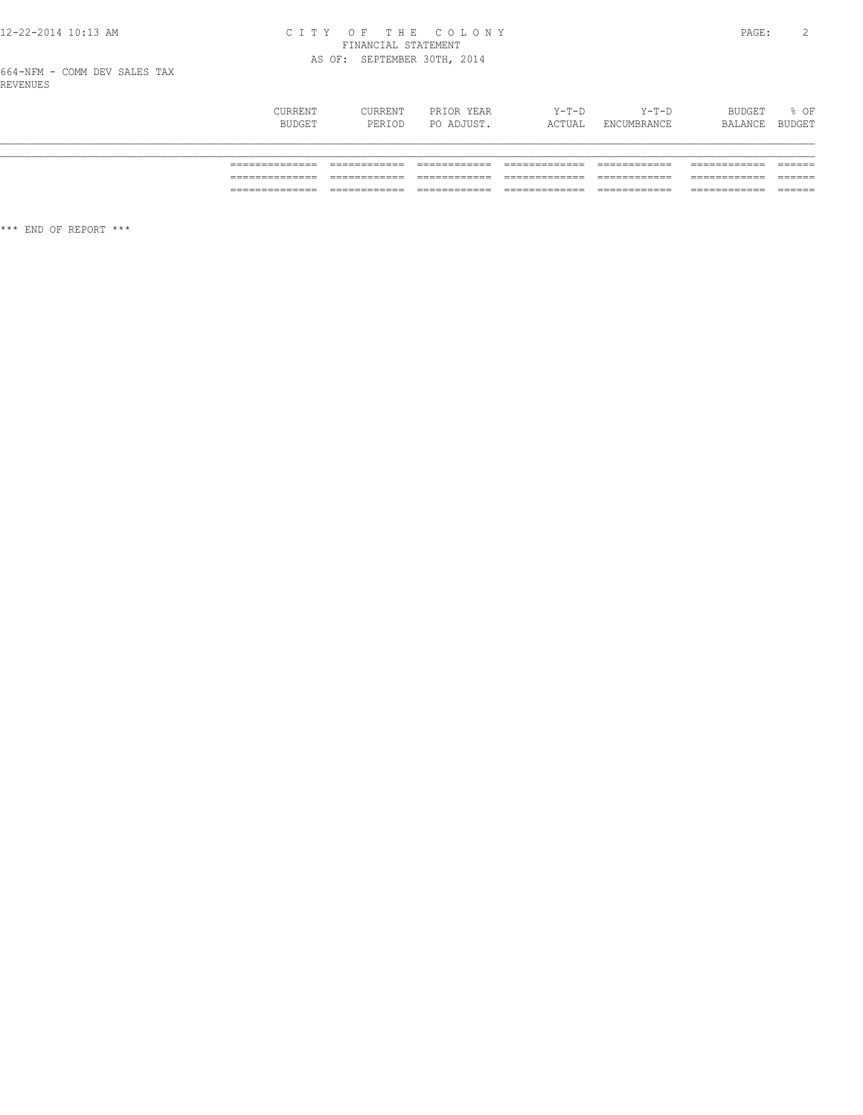## CITY OF THE COLONY<br>
FINANCIAL STATEMENT<br>
AS OF: SEPTEMBER 30TH, 2014

| CURRENT<br>BUDGET | CURRENT<br>PERIOD | PRIOR YEAR<br>PO ADJUST. | Y-T-D<br>ACTUAL | $Y-T-D$<br>ENCUMBRANCE | BUDGET<br>BALANCE | $8$ OF<br>BUDGET |
|-------------------|-------------------|--------------------------|-----------------|------------------------|-------------------|------------------|
|                   |                   |                          |                 |                        |                   |                  |
|                   |                   |                          |                 |                        |                   |                  |
|                   |                   |                          |                 |                        |                   | ------           |
| ______________    | $-$               |                          |                 | ____________           | ____________      | -------          |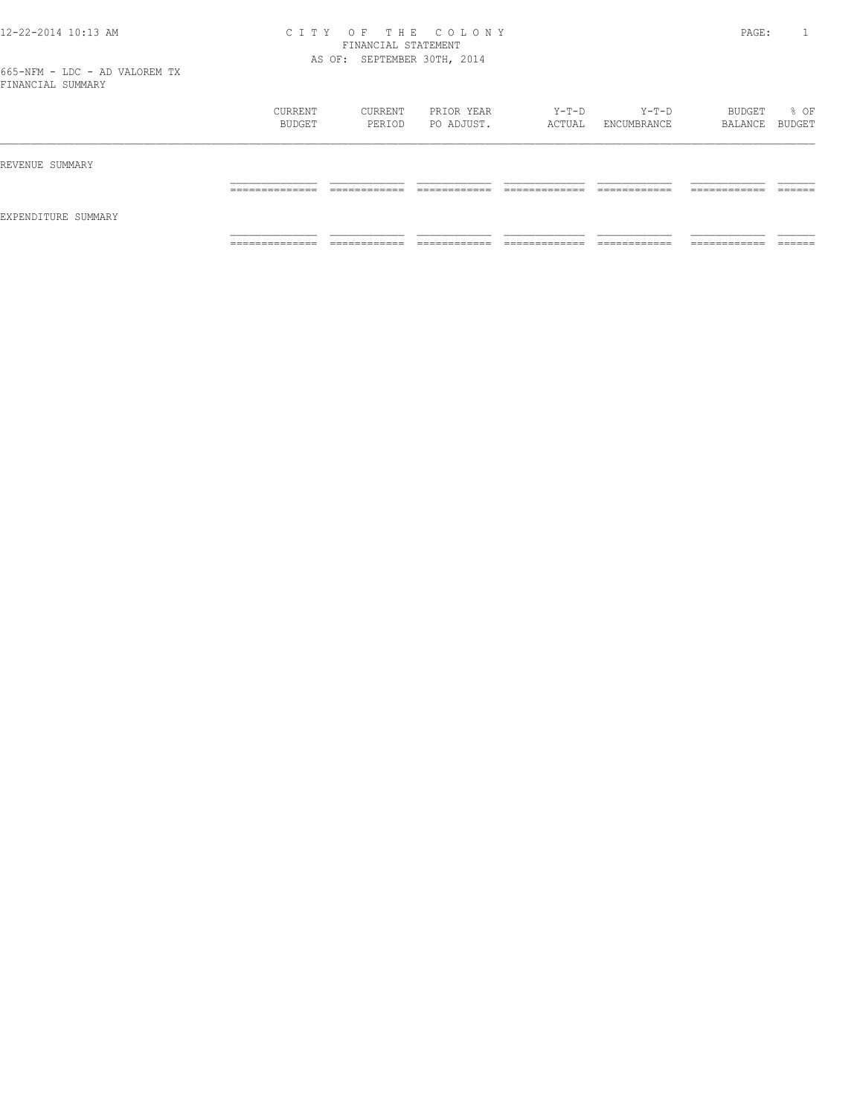|                     | CURRENT<br>BUDGET               | CURRENT<br>PERIOD            | PRIOR YEAR<br>PO ADJUST.     | Y-T-D<br>ACTUAL                 | Y-T-D<br>ENCUMBRANCE          | BUDGET<br>BALANCE BUDGET      | % OF               |
|---------------------|---------------------------------|------------------------------|------------------------------|---------------------------------|-------------------------------|-------------------------------|--------------------|
| REVENUE SUMMARY     |                                 |                              |                              |                                 |                               |                               |                    |
| EXPENDITURE SUMMARY | ______________<br>------------- | ____________<br>____________ | -------------<br>_________   | _____________<br>_____________  | -------------<br>____________ | -------------<br>____________ | -------<br>_______ |
|                     | ______________<br>.             | ____________<br>____________ | ____________<br>____________ | _____________<br>______________ | ____________<br>____________  | ___________<br>____________   | _______            |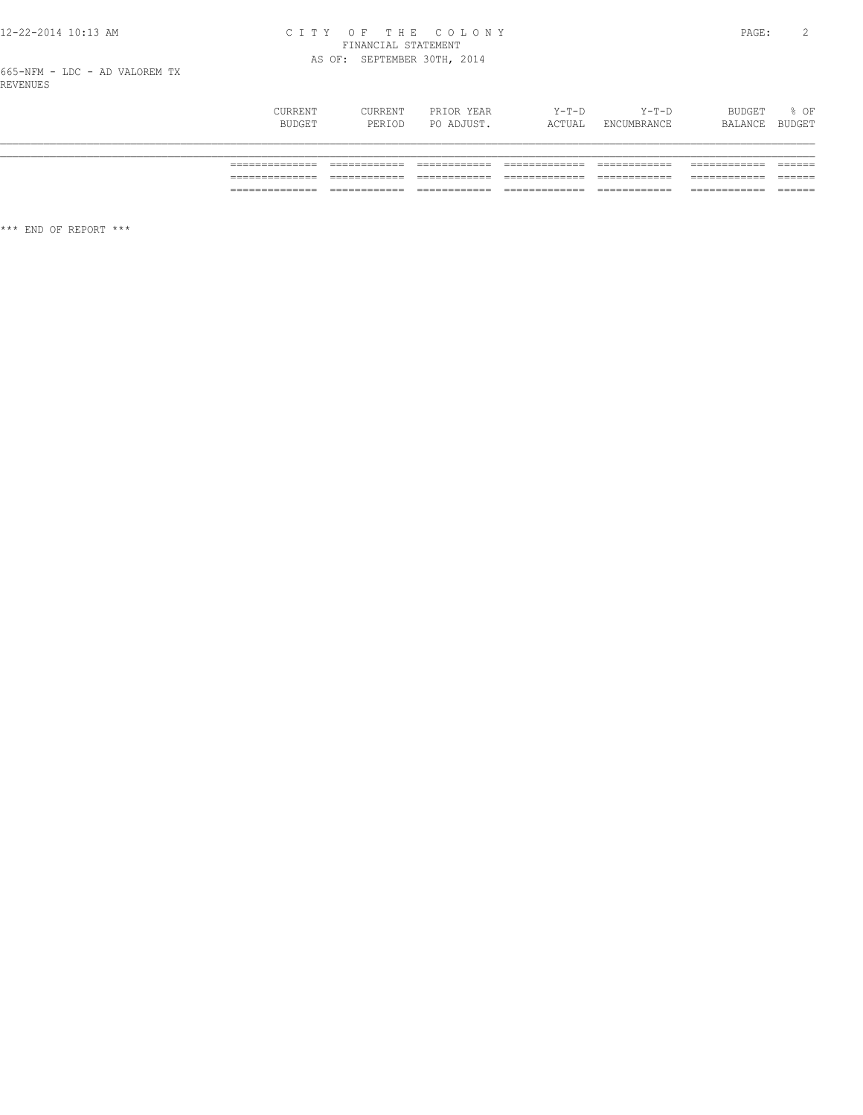## CITY OF THE COLONY<br>FINANCIAL STATEMENT<br>AS OF: SEPTEMBER 30TH, 2014

| CURRENT<br>BUDGET | CURRENT<br>PERIOD | PRIOR YEAR<br>PO ADJUST. | $Y-T-D$<br>ACTUAL | $Y-T-D$<br>ENCUMBRANCE | BUDGET<br>BALANCE BUDGET | % OF |
|-------------------|-------------------|--------------------------|-------------------|------------------------|--------------------------|------|
|                   |                   |                          |                   |                        |                          |      |
|                   |                   |                          |                   |                        |                          |      |
| ___               |                   |                          |                   |                        |                          |      |
|                   |                   |                          |                   |                        |                          |      |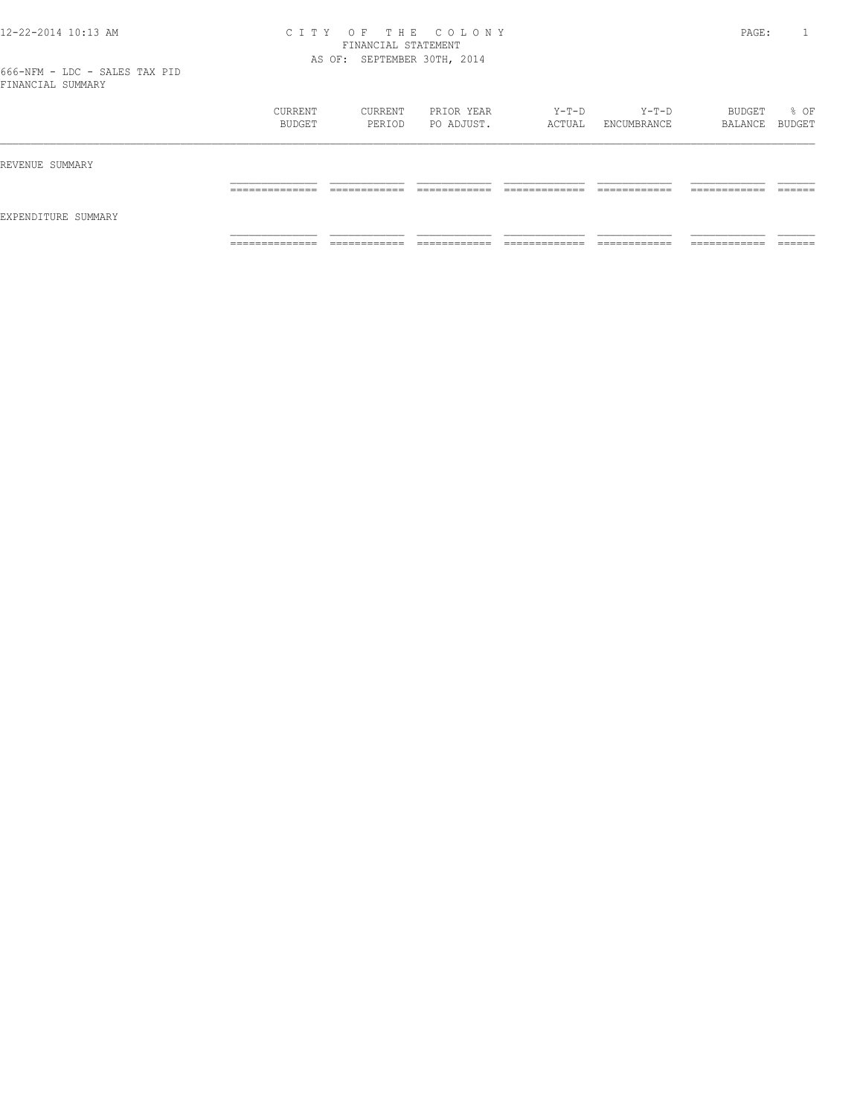|                     | CURRENT<br>BUDGET                 | CURRENT<br>PERIOD             | PRIOR YEAR<br>PO ADJUST.   | Y-T-D<br>ACTUAL                | Y-T-D<br>ENCUMBRANCE         | BUDGET<br>BALANCE BUDGET      | % OF               |
|---------------------|-----------------------------------|-------------------------------|----------------------------|--------------------------------|------------------------------|-------------------------------|--------------------|
| REVENUE SUMMARY     |                                   |                               |                            |                                |                              |                               |                    |
|                     | ______________<br>_______________ | -------------<br>____________ | -------------<br>_________ | _____________<br>_____________ | ____________<br>____________ | -------------<br>____________ | -------<br>_______ |
| EXPENDITURE SUMMARY |                                   |                               |                            |                                |                              |                               |                    |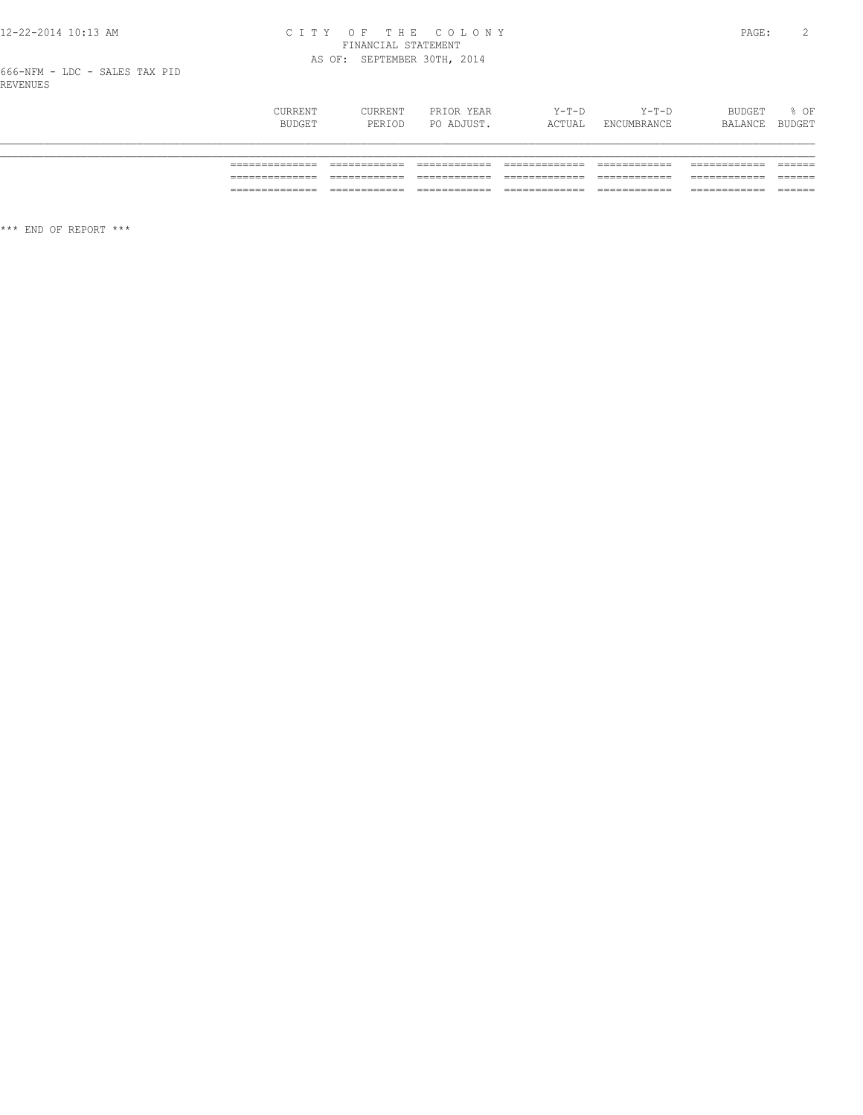### CITY OF THE COLONY<br>
CITY OF THE COLONY<br>
FINANCIAL STATEMENT<br>
AS OF: SEPTEMBER 30TH, 2014

| CURRENT<br>BUDGET | CURRENT<br>PERIOD | PRIOR YEAR<br>PO ADJUST. | $Y-T-D$<br>ACTUAL | $Y-T-D$<br>ENCUMBRANCE | BUDGET<br>BALANCE | % OF<br>BUDGET |
|-------------------|-------------------|--------------------------|-------------------|------------------------|-------------------|----------------|
|                   |                   |                          |                   |                        |                   |                |
| _______           |                   |                          |                   |                        |                   | _____          |
|                   |                   |                          |                   |                        |                   | ______         |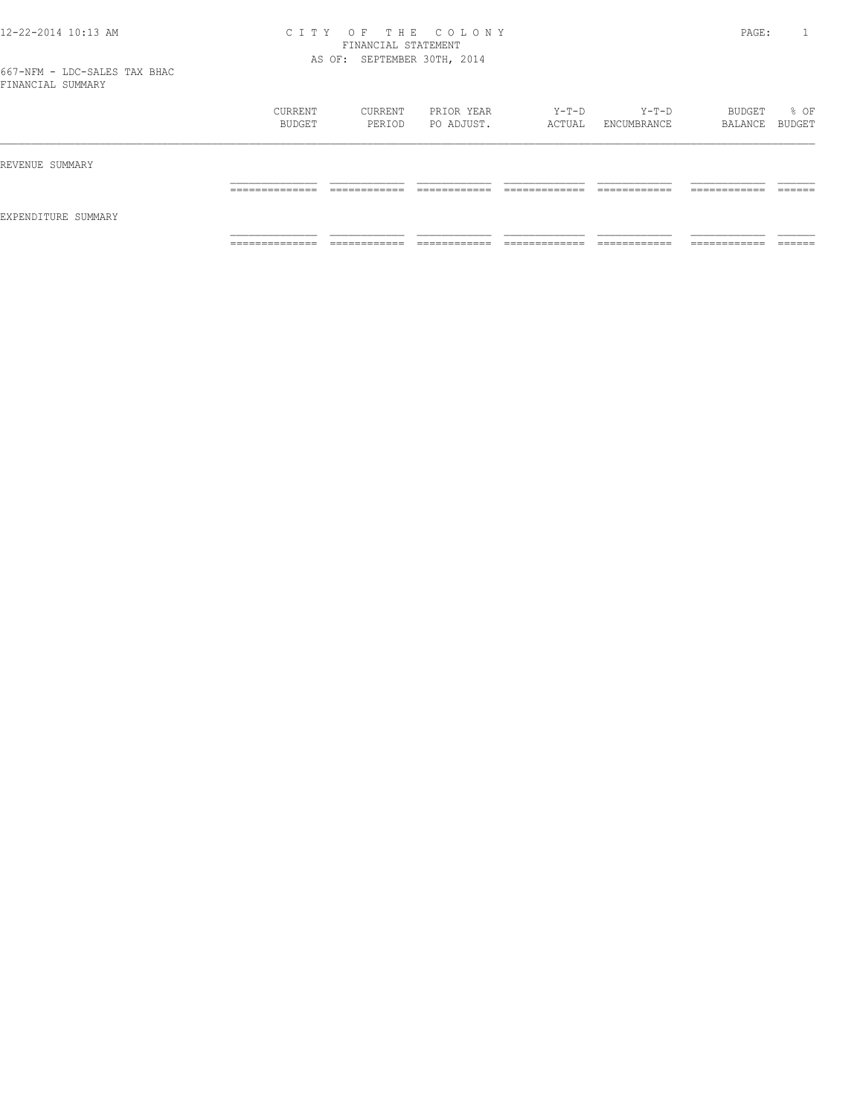|                     | CURRENT<br>BUDGET                 | CURRENT<br>PERIOD             | PRIOR YEAR<br>PO ADJUST.     | Y-T-D<br>ACTUAL                | Y-T-D<br>ENCUMBRANCE         | BUDGET<br>BALANCE BUDGET      | % OF               |
|---------------------|-----------------------------------|-------------------------------|------------------------------|--------------------------------|------------------------------|-------------------------------|--------------------|
| REVENUE SUMMARY     |                                   |                               |                              |                                |                              |                               |                    |
|                     | ______________<br>_______________ | -------------<br>____________ | -------------<br>_________   | _____________<br>_____________ | ____________<br>____________ | _____________<br>____________ | -------<br>_______ |
| EXPENDITURE SUMMARY |                                   |                               |                              |                                |                              |                               |                    |
|                     | ______________<br>.               | ___________<br>____________   | ____________<br>____________ | _____________<br>_____________ | ____________<br>____________ | -------------<br>____________ | _______            |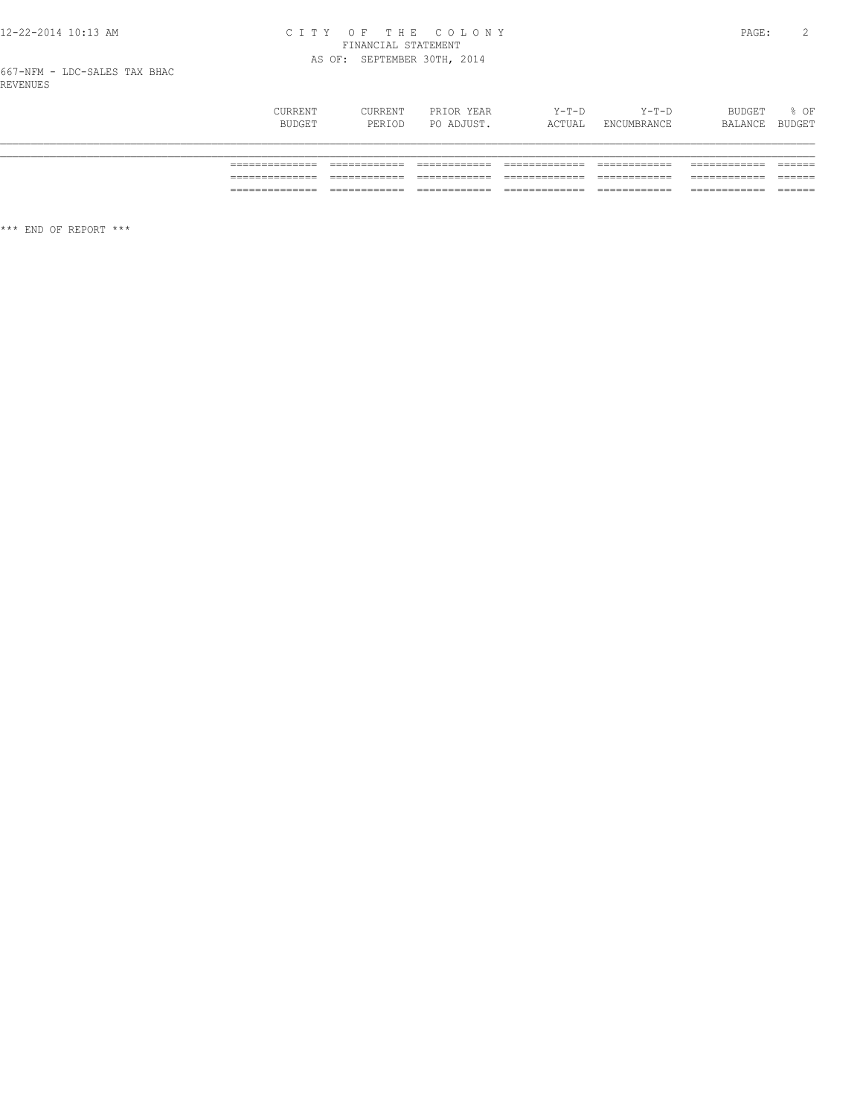# CITY OF THE COLONY<br>FINANCIAL STATEMENT<br>AS OF: SEPTEMBER 30TH, 2014

| CURRENT<br>BUDGET | CURRENT<br>PERIOD | PRIOR YEAR<br>PO ADJUST. | $Y-T-D$<br>ACTUAL | $Y-T-D$<br>ENCUMBRANCE | <b>BUDGET</b><br>BALANCE | $8$ OF<br>BUDGET |
|-------------------|-------------------|--------------------------|-------------------|------------------------|--------------------------|------------------|
|                   |                   |                          |                   |                        |                          |                  |
| _______________   |                   |                          |                   |                        |                          |                  |
|                   |                   |                          |                   | _________              |                          | ------<br>_____  |
| ______________    |                   |                          |                   |                        |                          | _____            |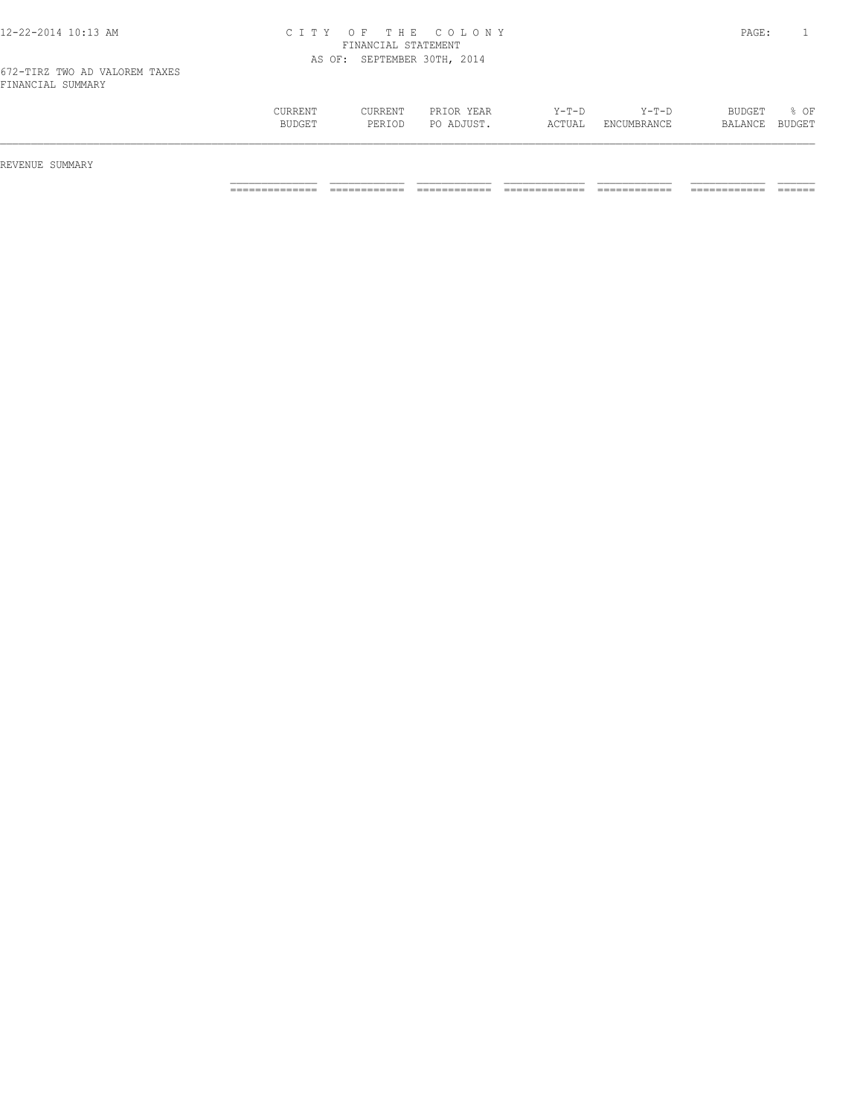| 12-22-2014 10:13 AM |  |  |  |  |  |  |
|---------------------|--|--|--|--|--|--|
|---------------------|--|--|--|--|--|--|

| CURRENT<br><b>BUDGET</b> | CURRENT<br>PERIOD | PRIOR YEAR<br>ADJUST<br>PO. | $Y-T-D$<br>ACTUAL | $Y-T-D$<br><b>ENCUMBRANCE</b> | <b>BUDGET</b><br><b>BALANCE</b> | % OF<br>BUDGE <sup>T</sup> |
|--------------------------|-------------------|-----------------------------|-------------------|-------------------------------|---------------------------------|----------------------------|
|                          |                   |                             |                   |                               |                                 |                            |

REVENUE SUMMARY

============== ============ ============ ============= ============ ============ ======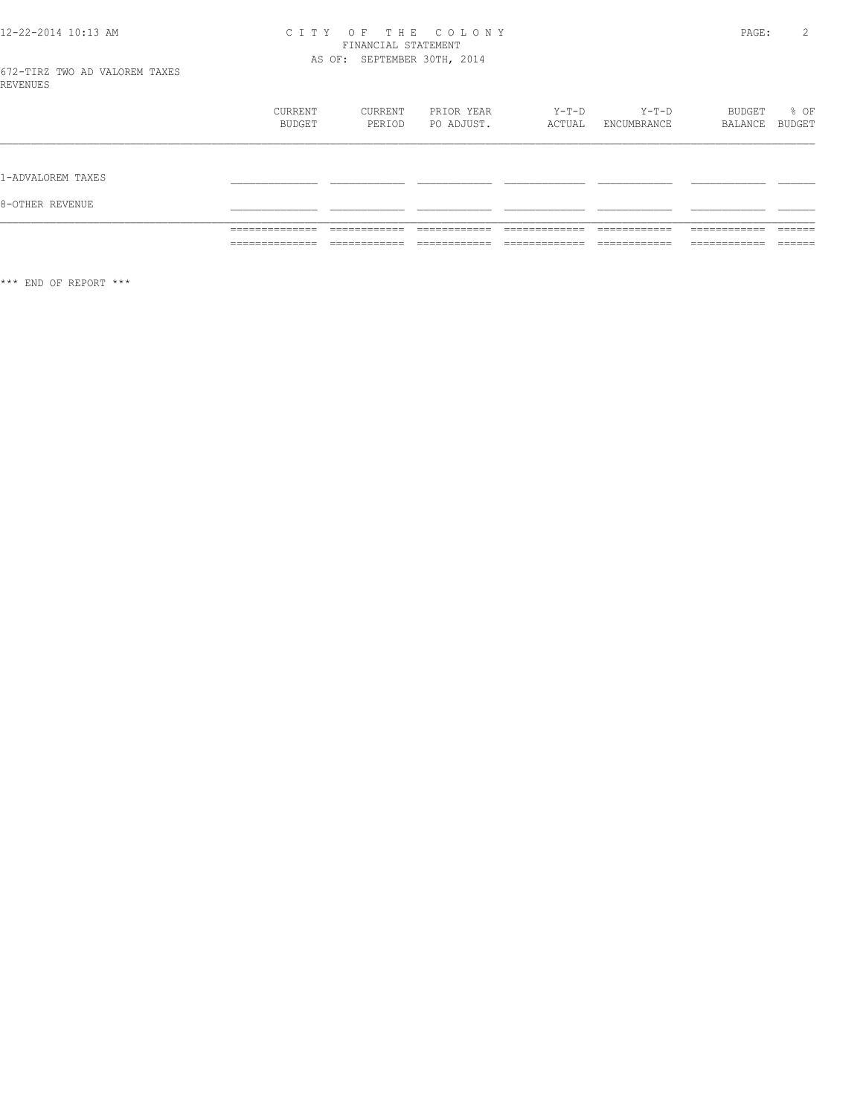### CITY OF THE COLONY<br>FINANCIAL STATEMENT<br>AS OF: SEPTEMBER 30TH, 2014

| VENUE |                                         |                |                              |                        |                              |                                      | _________________  |  |
|-------|-----------------------------------------|----------------|------------------------------|------------------------|------------------------------|--------------------------------------|--------------------|--|
|       | _______________<br>______________       | _____<br>____  | $ -$<br>$- - -$              | ____<br>$- - -$        | __________<br>----<br>___    | ____________<br>___                  | _______<br>______  |  |
|       | ________<br>----<br>___________<br>____ | $- -$<br>$  -$ | $- - -$<br>---<br>___<br>___ | ----<br>$- - -$<br>___ | $- -$<br>---<br>____<br>____ | ________<br>____<br>________<br>____ | _______<br>_______ |  |
|       |                                         |                |                              |                        |                              |                                      |                    |  |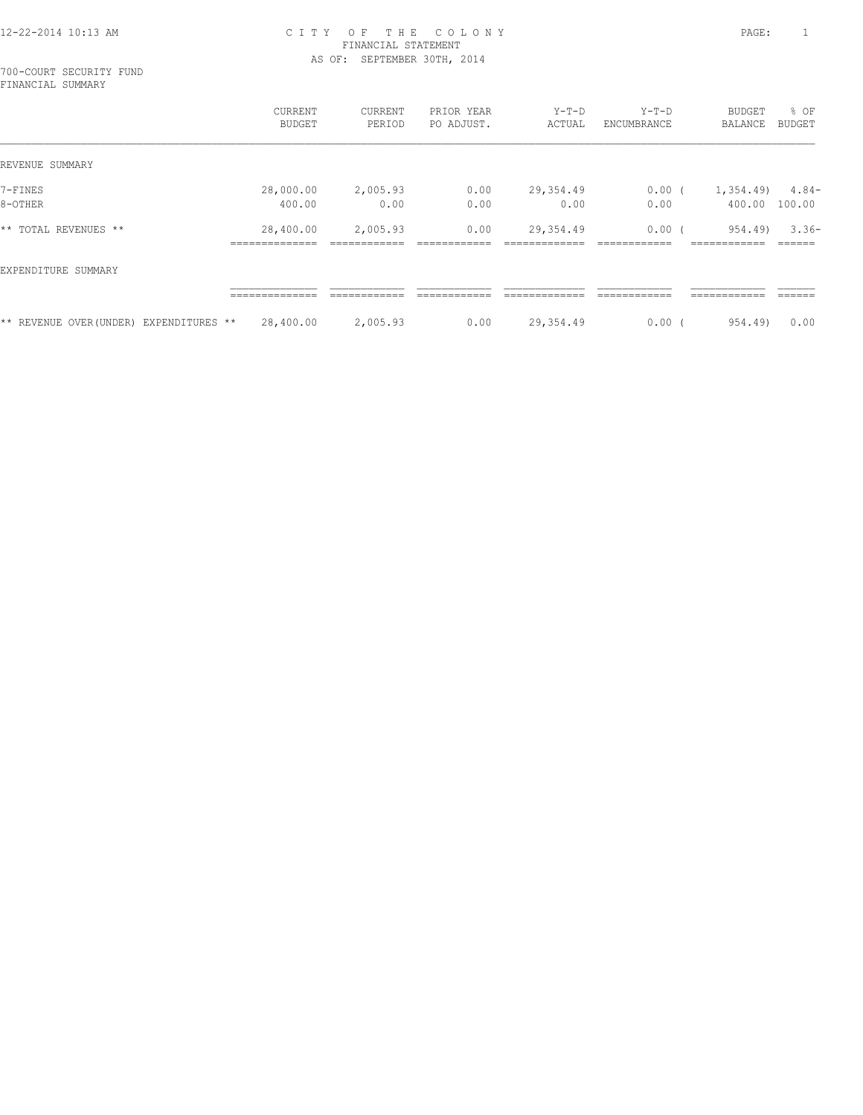700-COURT SECURITY FUND FINANCIAL SUMMARY

|                          |                 | <b>CURRENT</b><br><b>BUDGET</b>                 | CURRENT<br>PERIOD        | PRIOR YEAR<br>PO ADJUST. | $Y-T-D$<br>ACTUAL               | $Y-T-D$<br>ENCUMBRANCE        | <b>BUDGET</b><br>BALANCE                 | $8$ OF<br>BUDGET  |
|--------------------------|-----------------|-------------------------------------------------|--------------------------|--------------------------|---------------------------------|-------------------------------|------------------------------------------|-------------------|
| REVENUE SUMMARY          |                 |                                                 |                          |                          |                                 |                               |                                          |                   |
| 7-FINES                  |                 | 28,000.00                                       | 2,005.93                 | 0.00                     | 29,354.49                       | $0.00$ (                      | 1,354.49)                                | $4.84-$           |
| 8-OTHER                  |                 | 400.00                                          | 0.00                     | 0.00                     | 0.00                            | 0.00                          | 400.00                                   | 100.00            |
| * *<br>TOTAL REVENUES ** |                 | 28,400.00<br>______________<br>---------------- | 2,005.93<br>____________ | 0.00<br>____________     | 29,354.49                       | 0.00<br>___________           | 954.49)<br>____________<br>------------- | $3.36-$<br>______ |
| EXPENDITURE SUMMARY      |                 |                                                 |                          |                          |                                 |                               |                                          |                   |
|                          |                 | ______________<br>-------------                 | ____________             | ____________             | _____________<br>-------------- | ____________<br>------------- | ____________<br>-----------              | ______<br>______  |
| ** REVENUE OVER(UNDER)   | EXPENDITURES ** | 28,400.00                                       | 2,005.93                 | 0.00                     | 29,354.49                       | 0.00                          | 954.49)                                  | 0.00              |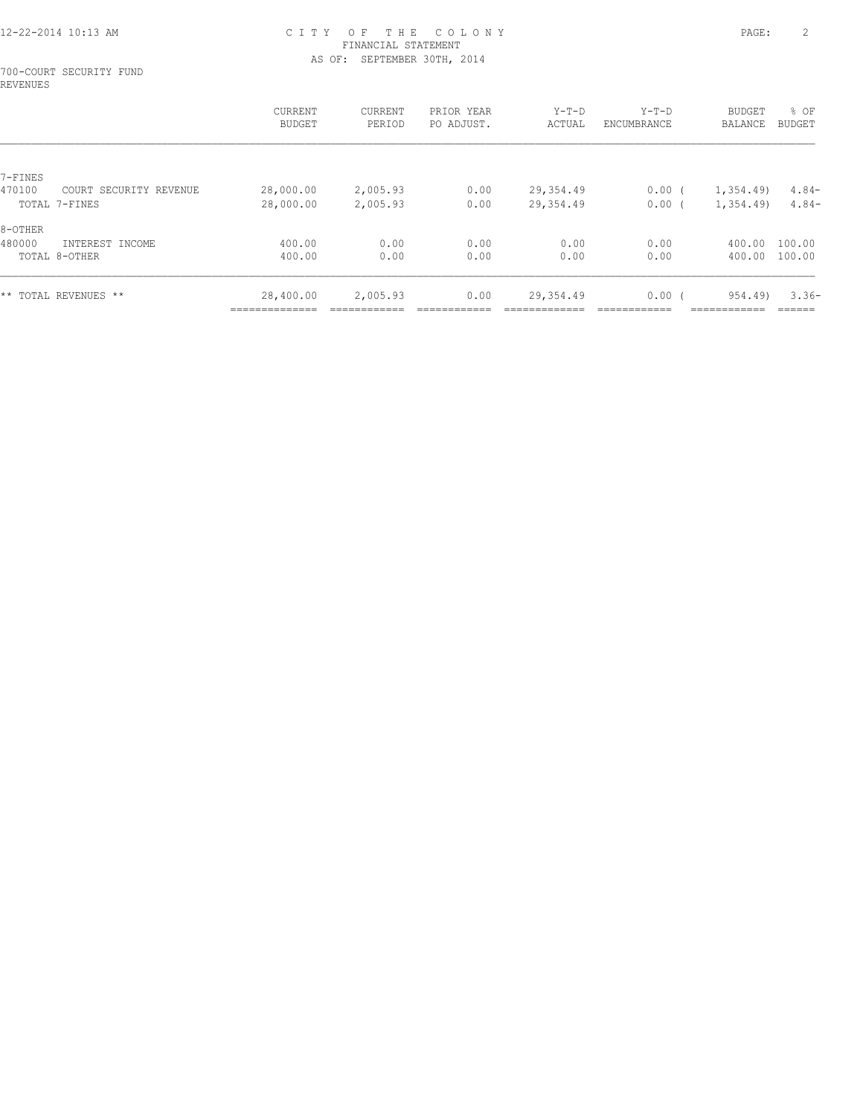#### 700-COURT SECURITY FUND REVENUES

| <b>CURRENT</b><br>BUDGET   | <b>CURRENT</b><br>PERIOD | PRIOR YEAR<br>PO ADJUST. | $Y-T-D$<br>ACTUAL | $Y-T-D$<br>ENCUMBRANCE | <b>BUDGET</b><br><b>BALANCE</b> | % OF<br>BUDGET |
|----------------------------|--------------------------|--------------------------|-------------------|------------------------|---------------------------------|----------------|
|                            |                          |                          |                   |                        |                                 |                |
|                            |                          |                          |                   |                        |                                 |                |
|                            |                          |                          |                   |                        |                                 | $4.84-$        |
| 28,000.00                  | 2,005.93                 | 0.00                     | 29,354.49         | $0.00$ (               | 1,354.49)                       | $4.84-$        |
|                            |                          |                          |                   |                        |                                 |                |
| 400.00                     | 0.00                     | 0.00                     | 0.00              | 0.00                   | 400.00                          | 100.00         |
| 400.00                     | 0.00                     | 0.00                     | 0.00              | 0.00                   | 400.00                          | 100.00         |
| 28,400.00<br>_____________ | 2,005.93                 | 0.00                     | 29,354.49         | 0.00(                  | 954.49)                         | $3.36-$        |
|                            | 28,000.00                | 2,005.93                 | 0.00              | 29,354.49              | $0.00$ (                        | 1,354.49       |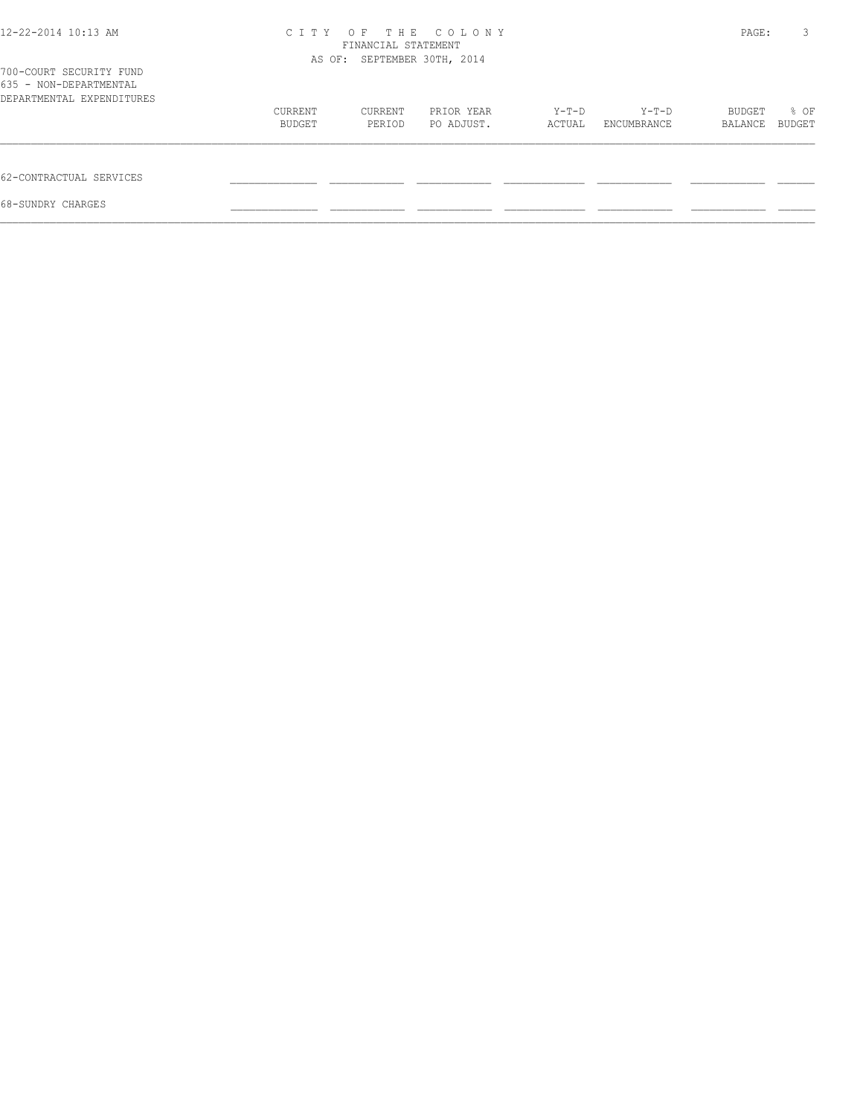| 12-22-2014 10:13 AM                                                            |         | FINANCIAL STATEMENT<br>AS OF: SEPTEMBER 30TH, 2014 | CITY OF THE COLONY |        |             | PAGE:   | 3      |
|--------------------------------------------------------------------------------|---------|----------------------------------------------------|--------------------|--------|-------------|---------|--------|
| 700-COURT SECURITY FUND<br>635 - NON-DEPARTMENTAL<br>DEPARTMENTAL EXPENDITURES |         |                                                    |                    |        |             |         |        |
|                                                                                | CURRENT | CURRENT                                            | PRIOR YEAR         | Y-T-D  | Y-T-D       | BUDGET  | % OF   |
|                                                                                | BUDGET  | PERIOD                                             | PO ADJUST.         | ACTUAL | ENCUMBRANCE | BALANCE | BUDGET |
| 62-CONTRACTUAL SERVICES                                                        |         |                                                    |                    |        |             |         |        |
| 68-SUNDRY CHARGES                                                              |         |                                                    |                    |        |             |         |        |
|                                                                                |         |                                                    |                    |        |             |         |        |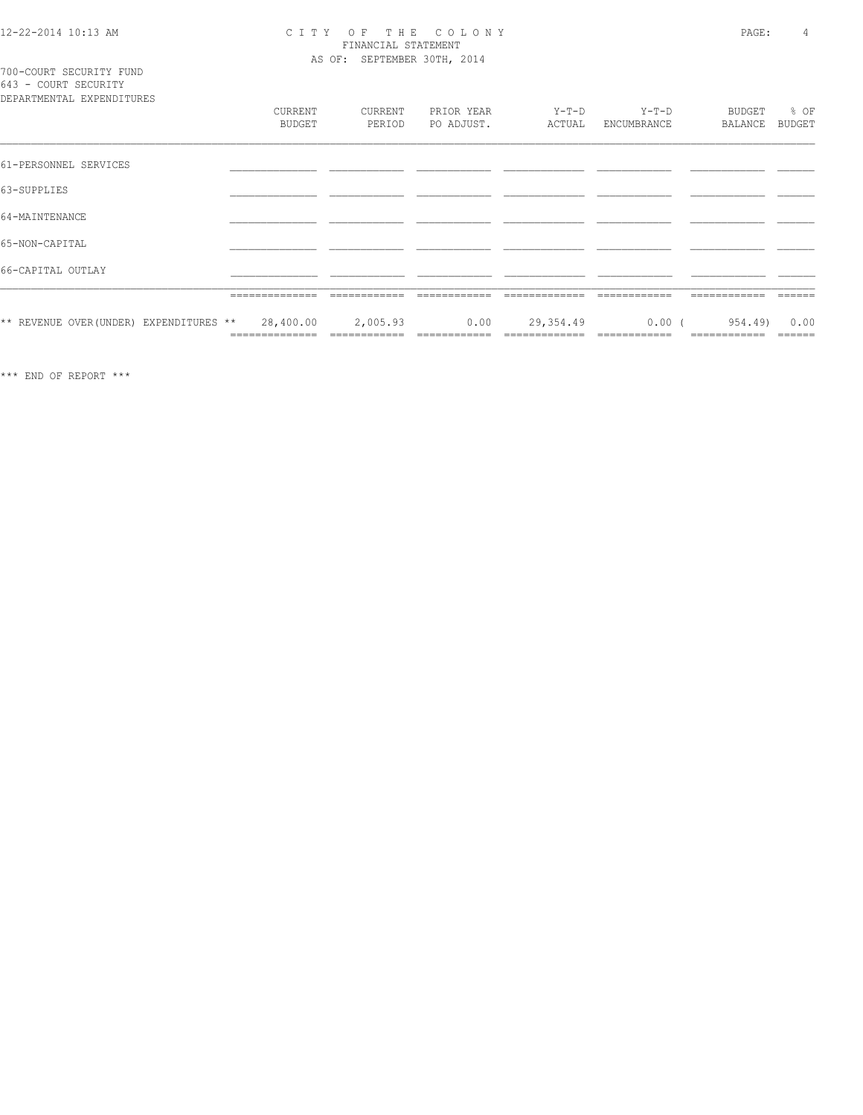## CITY OF THE COLONY<br>
FINANCIAL STATEMENT<br>
AS OF: SEPTEMBER 30TH, 2014

700-COURT SECURITY FUND<br>643 - COURT SECURITY

| DEPARTMENTAL EXPENDITURES               |                             |                          |                          |                 |                          |                         |                |
|-----------------------------------------|-----------------------------|--------------------------|--------------------------|-----------------|--------------------------|-------------------------|----------------|
|                                         | CURRENT<br><b>BUDGET</b>    | CURRENT<br>PERIOD        | PRIOR YEAR<br>PO ADJUST. | Y-T-D<br>ACTUAL | $Y-T-D$<br>ENCUMBRANCE   | BUDGET<br>BALANCE       | % OF<br>BUDGET |
| 61-PERSONNEL SERVICES                   |                             |                          |                          |                 |                          |                         |                |
| 63-SUPPLIES                             |                             |                          |                          |                 |                          |                         |                |
| 64-MAINTENANCE                          |                             |                          |                          |                 |                          |                         |                |
| 65-NON-CAPITAL                          |                             |                          |                          |                 |                          |                         |                |
| 66-CAPITAL OUTLAY                       |                             |                          |                          |                 |                          |                         |                |
|                                         | ______________<br>.         |                          |                          |                 |                          |                         |                |
| ** REVENUE OVER (UNDER) EXPENDITURES ** | 28,400.00<br>-------------- | 2,005.93<br>============ | 0.00                     | 29,354.49       | $0.00$ (<br>============ | 954.49)<br>============ | 0.00           |

 $\star\star\star$  END OF REPORT  $\star\star\star$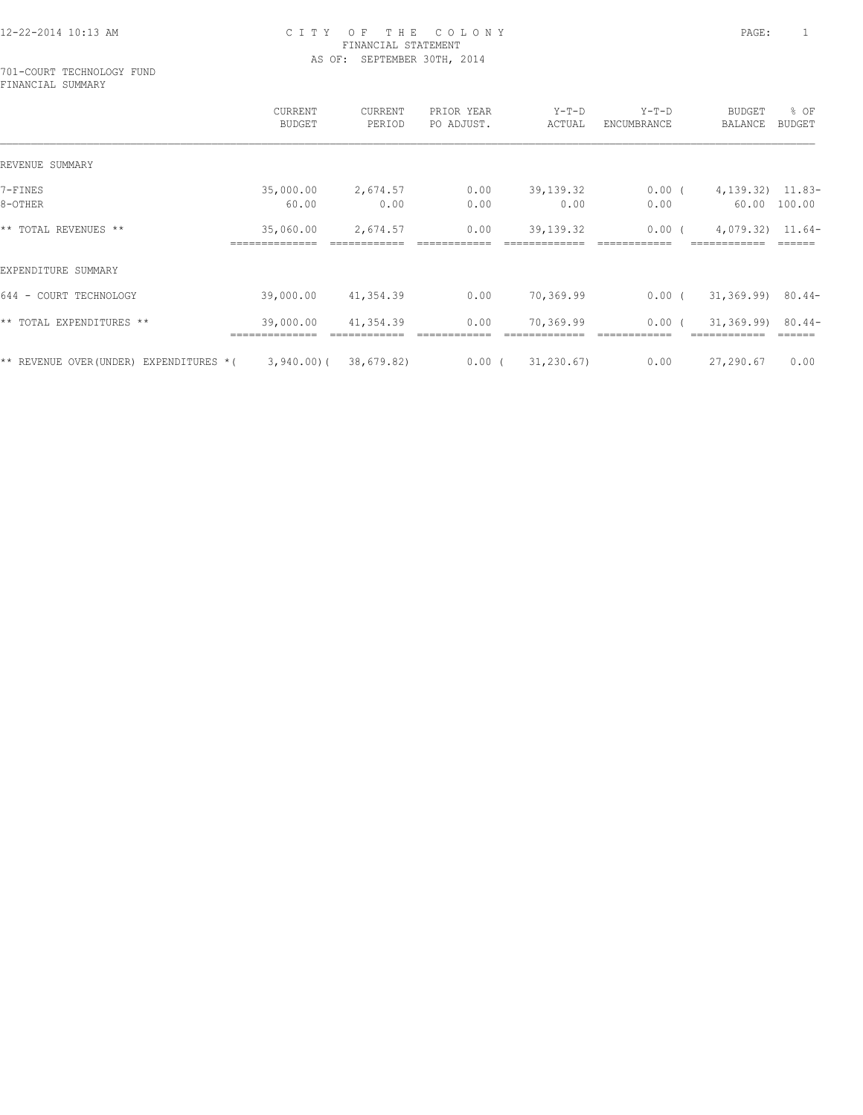#### 701-COURT TECHNOLOGY FUND FINANCIAL SUMMARY

|                                            | CURRENT<br><b>BUDGET</b>    | CURRENT<br>PERIOD | PRIOR YEAR<br>PO ADJUST. | $Y-T-D$<br>ACTUAL | $Y-T-D$<br>ENCUMBRANCE | BUDGET<br>BALANCE                   | % OF<br><b>BUDGET</b> |
|--------------------------------------------|-----------------------------|-------------------|--------------------------|-------------------|------------------------|-------------------------------------|-----------------------|
| REVENUE SUMMARY                            |                             |                   |                          |                   |                        |                                     |                       |
| 7-FINES                                    | 35,000.00                   | 2,674.57          | 0.00                     | 39, 139. 32       | $0.00$ (               | $4,139.32$ $11.83-$                 |                       |
| 8-OTHER                                    | 60.00                       | 0.00              | 0.00                     | 0.00              | 0.00                   | 60.00                               | 100.00                |
| ** TOTAL REVENUES **                       | 35,060.00<br>============== | 2,674.57          | 0.00                     | 39, 139. 32       | $0.00$ (               | $4,079.32$ $11.64-$<br>============ |                       |
| EXPENDITURE SUMMARY                        |                             |                   |                          |                   |                        |                                     |                       |
| 644 -<br>COURT TECHNOLOGY                  | 39,000.00                   | 41,354.39         | 0.00                     | 70,369.99         | $0.00$ (               | $31,369.99)$ 80.44-                 |                       |
| ** TOTAL EXPENDITURES **                   | 39,000.00                   | 41,354.39         | 0.00                     | 70,369.99         | 0.00(                  | 31,369.99)                          | $80.44-$              |
| ** REVENUE OVER (UNDER)<br>EXPENDITURES *( | 3,940.00(                   | 38,679.82)        | $0.00$ (                 | 31, 230.67        | 0.00                   | 27,290.67                           | 0.00                  |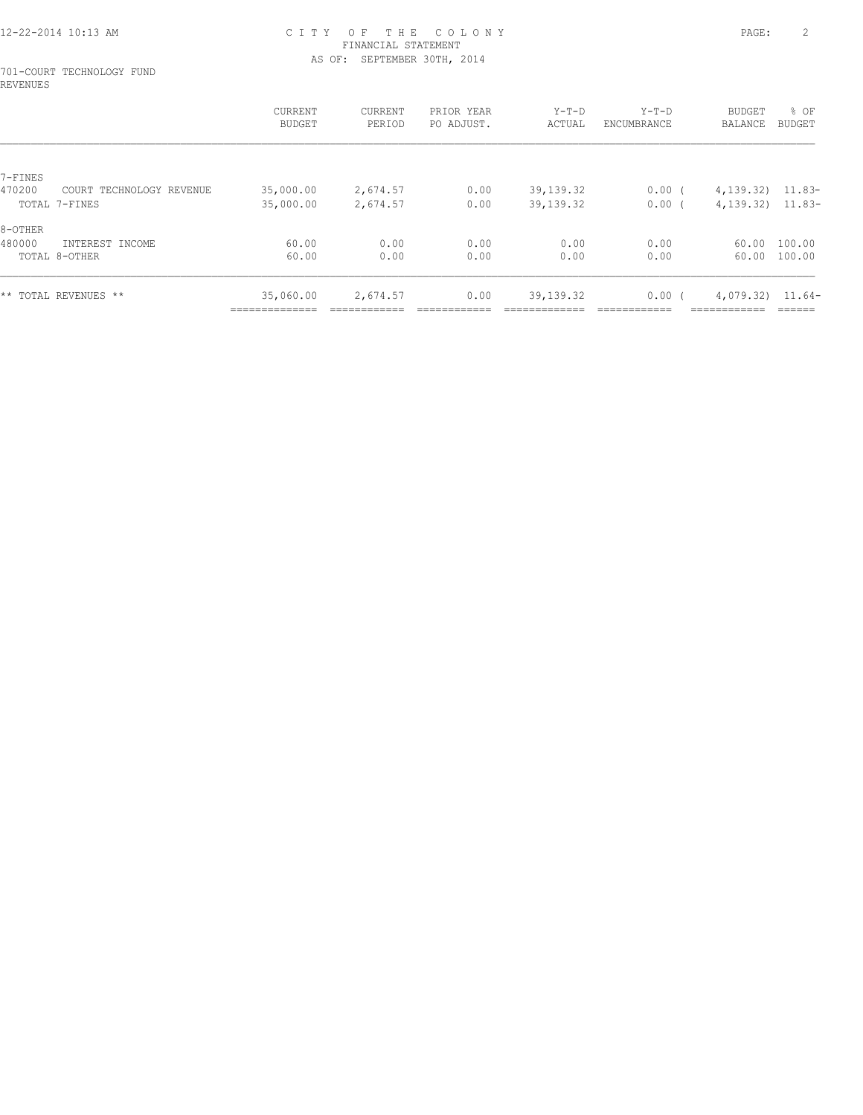#### 701-COURT TECHNOLOGY FUND REVENUES

|         |                          | CURRENT<br>BUDGET | CURRENT<br>PERIOD | PRIOR YEAR<br>PO ADJUST. | $Y-T-D$<br>ACTUAL | $Y-T-D$<br>ENCUMBRANCE | <b>BUDGET</b><br>BALANCE | % OF<br>BUDGET |
|---------|--------------------------|-------------------|-------------------|--------------------------|-------------------|------------------------|--------------------------|----------------|
|         |                          |                   |                   |                          |                   |                        |                          |                |
| 7-FINES |                          |                   |                   |                          |                   |                        |                          |                |
| 470200  | COURT TECHNOLOGY REVENUE | 35,000.00         | 2,674.57          | 0.00                     | 39,139.32         | 0.00(                  | 4, 139. 32) 11.83-       |                |
|         | TOTAL 7-FINES            | 35,000.00         | 2,674.57          | 0.00                     | 39,139.32         | 0.00 <sub>0</sub>      | $4,139.32$ $11.83-$      |                |
| 8-OTHER |                          |                   |                   |                          |                   |                        |                          |                |
| 480000  | INTEREST INCOME          | 60.00             | 0.00              | 0.00                     | 0.00              | 0.00                   | 60.00                    | 100.00         |
|         | TOTAL 8-OTHER            | 60.00             | 0.00              | 0.00                     | 0.00              | 0.00                   | 60.00                    | 100.00         |
|         |                          |                   |                   |                          |                   |                        |                          |                |
|         |                          |                   |                   |                          |                   |                        |                          |                |
|         | ** TOTAL REVENUES **     | 35,060.00         | 2,674.57          | 0.00                     | 39, 139. 32       | $0.00$ (               | 4,079.32)                | 11.64-         |
|         |                          | _____________     |                   |                          |                   |                        | -------------            |                |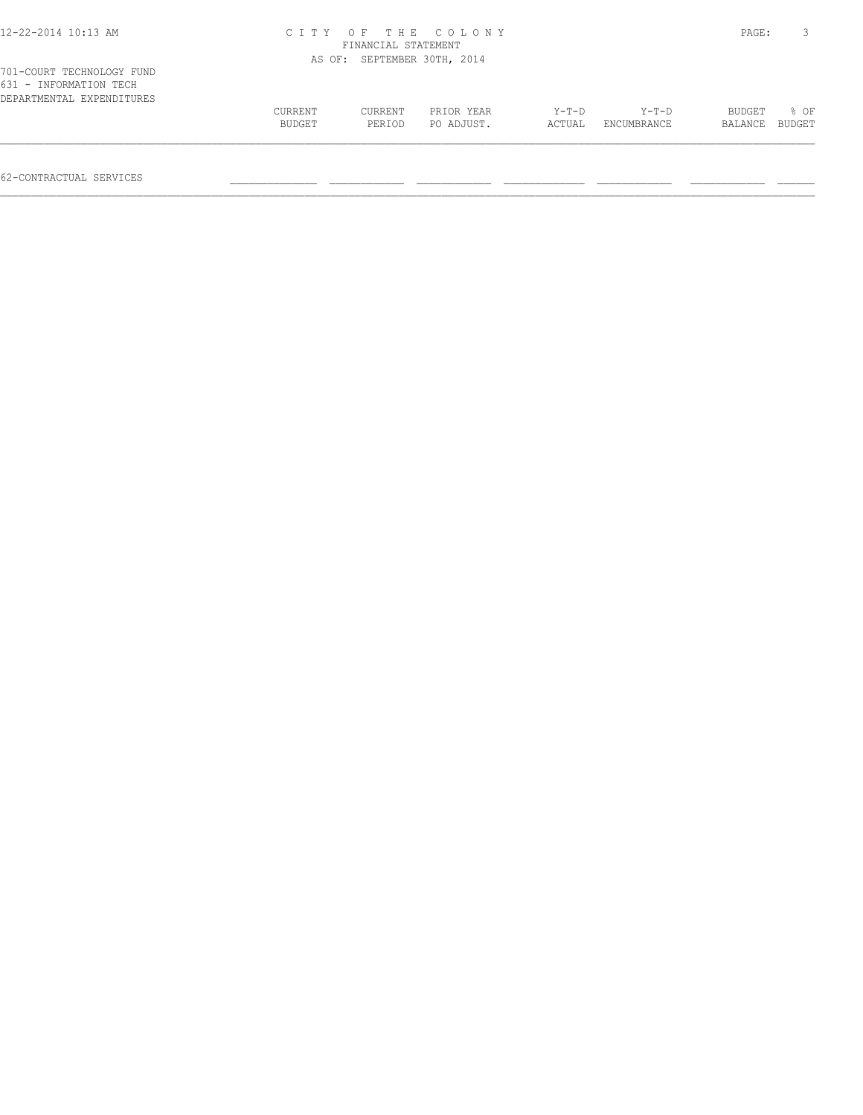| 12-22-2014 10:13 AM                                                              | C I T Y | FINANCIAL STATEMENT         | OF THE COLONY |        |             | PAGE:   |        |
|----------------------------------------------------------------------------------|---------|-----------------------------|---------------|--------|-------------|---------|--------|
|                                                                                  |         | AS OF: SEPTEMBER 30TH, 2014 |               |        |             |         |        |
| 701-COURT TECHNOLOGY FUND<br>631 - INFORMATION TECH<br>DEPARTMENTAL EXPENDITURES |         |                             |               |        |             |         |        |
|                                                                                  | CURRENT | CURRENT                     | PRIOR YEAR    | Y-T-D  | Y-T-D       | BUDGET  | 8 OF   |
|                                                                                  | BUDGET  | PERIOD                      | PO ADJUST.    | ACTUAL | ENCUMBRANCE | BALANCE | BUDGET |

62-CONTRACTUAL SERVICES \_\_\_\_\_\_\_\_\_\_\_\_\_\_ \_\_\_\_\_\_\_\_\_\_\_\_ \_\_\_\_\_\_\_\_\_\_\_\_ \_\_\_\_\_\_\_\_\_\_\_\_\_ \_\_\_\_\_\_\_\_\_\_\_\_ \_\_\_\_\_\_\_\_\_\_\_\_ \_\_\_\_\_\_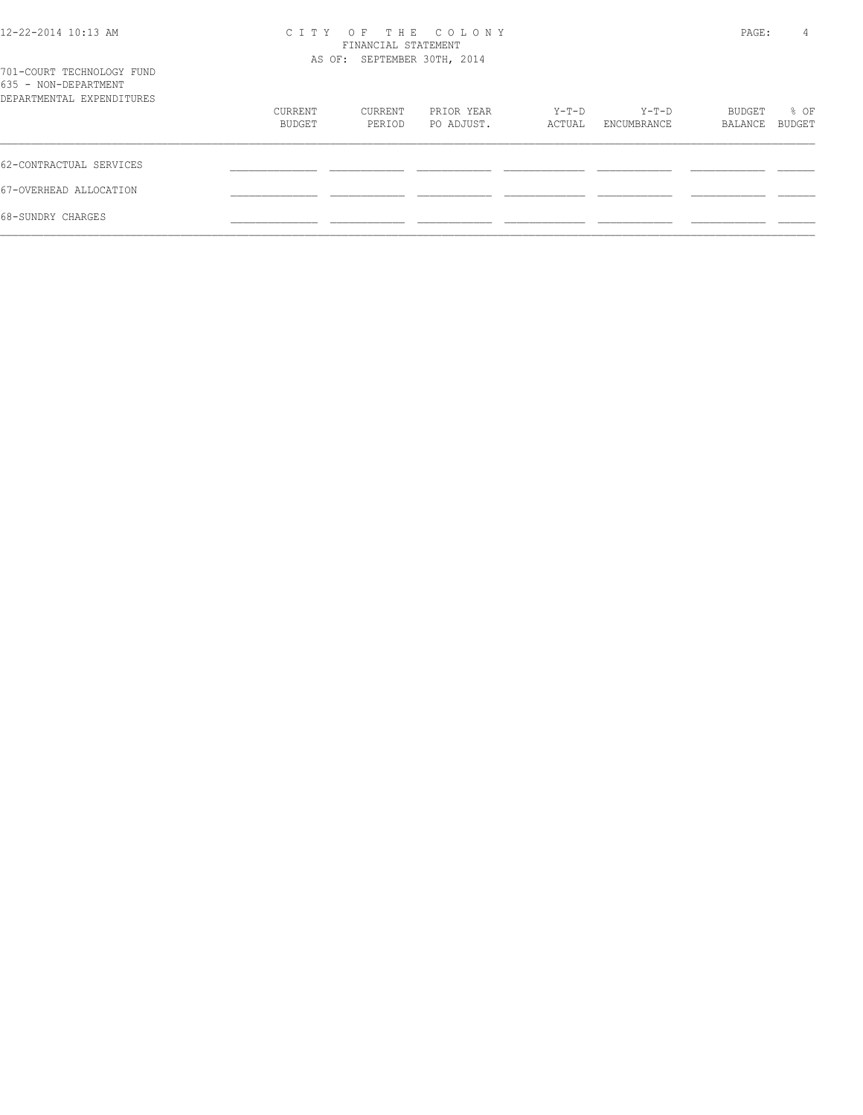| 12-22-2014 10:13 AM                               |                             | PAGE:   |            |        |             |         |        |
|---------------------------------------------------|-----------------------------|---------|------------|--------|-------------|---------|--------|
|                                                   | AS OF: SEPTEMBER 30TH, 2014 |         |            |        |             |         |        |
| 701-COURT TECHNOLOGY FUND<br>635 - NON-DEPARTMENT |                             |         |            |        |             |         |        |
| DEPARTMENTAL EXPENDITURES                         |                             |         |            |        |             |         |        |
|                                                   | CURRENT                     | CURRENT | PRIOR YEAR | Y-T-D  | Y-T-D       | BUDGET  | % OF   |
|                                                   | BUDGET                      | PERIOD  | PO ADJUST. | ACTUAL | ENCUMBRANCE | BALANCE | BUDGET |
| 62-CONTRACTUAL SERVICES                           |                             |         |            |        |             |         |        |
| 67-OVERHEAD ALLOCATION                            |                             |         |            |        |             |         |        |
| 68-SUNDRY CHARGES                                 |                             |         |            |        |             |         |        |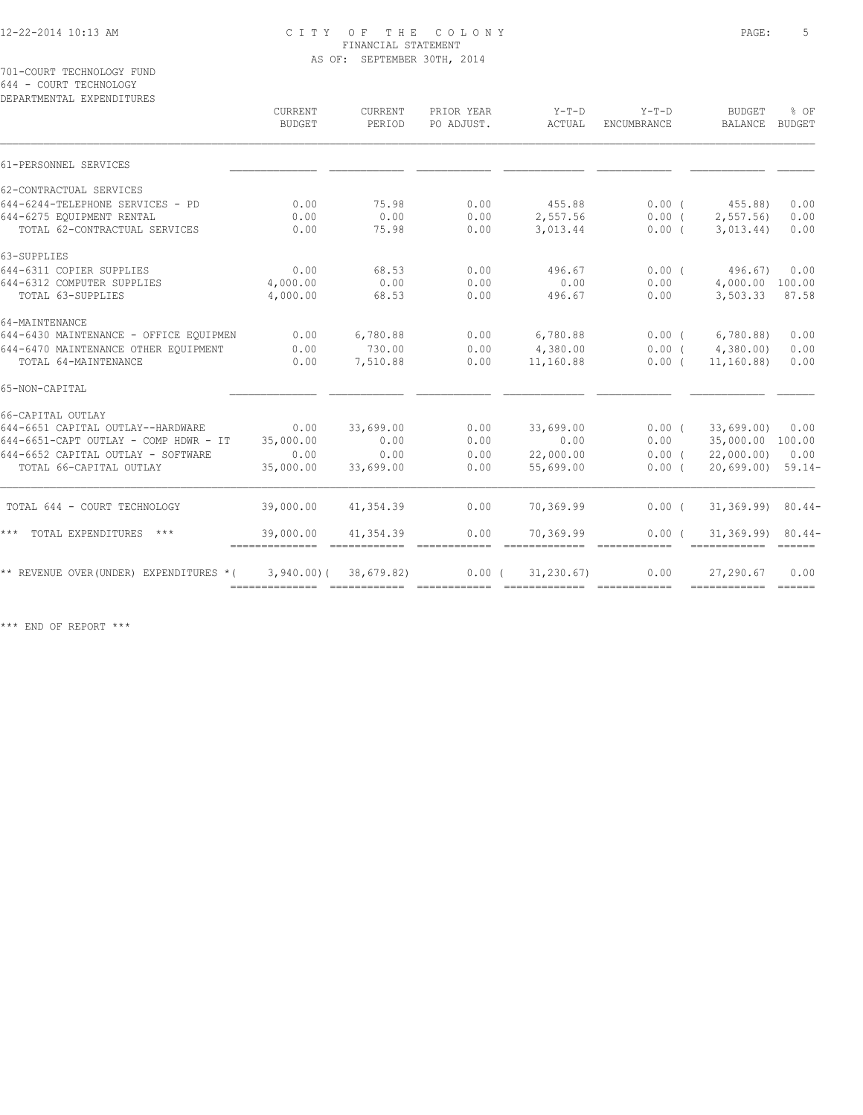701-COURT TECHNOLOGY FUND 644 - COURT TECHNOLOGY

DEPARTMENTAL EXPENDITURES CURRENT CURRENT PRIOR YEAR Y-T-D Y-T-D BUDGET % OF BUDGET PERIOD PO ADJUST. ACTUAL ENCUMBRANCE BALANCE BUDGET  $\mathcal{L} = \{ \mathcal{L} = \{ \mathcal{L} = \{ \mathcal{L} = \{ \mathcal{L} = \{ \mathcal{L} = \{ \mathcal{L} = \{ \mathcal{L} = \{ \mathcal{L} = \{ \mathcal{L} = \{ \mathcal{L} = \{ \mathcal{L} = \{ \mathcal{L} = \{ \mathcal{L} = \{ \mathcal{L} = \{ \mathcal{L} = \{ \mathcal{L} = \{ \mathcal{L} = \{ \mathcal{L} = \{ \mathcal{L} = \{ \mathcal{L} = \{ \mathcal{L} = \{ \mathcal{L} = \{ \mathcal{L} = \{ \mathcal{$ 61-PERSONNEL SERVICES \_\_\_\_\_\_\_\_\_\_\_\_\_\_ \_\_\_\_\_\_\_\_\_\_\_\_ \_\_\_\_\_\_\_\_\_\_\_\_ \_\_\_\_\_\_\_\_\_\_\_\_\_ \_\_\_\_\_\_\_\_\_\_\_\_ \_\_\_\_\_\_\_\_\_\_\_\_ \_\_\_\_\_\_ 62-CONTRACTUAL SERVICES 644-6244-TELEPHONE SERVICES - PD 0.00 75.98 0.00 455.88 0.00 ( 455.88) 0.00 644-6275 EQUIPMENT RENTAL 0.00 0.00 0.00 2,557.56 0.00 ( 2,557.56) 0.00 TOTAL 62-CONTRACTUAL SERVICES 0.00 75.98 0.00 3,013.44 0.00 ( 3,013.44) 0.00 63-SUPPLIES 644-6311 COPIER SUPPLIES 0.00 68.53 0.00 496.67 0.00 ( 496.67) 0.00 644-6312 COMPUTER SUPPLIES 4,000.00 0.00 0.00 0.00 0.00 4,000.00 100.00 TOTAL 63-SUPPLIES 4,000.00 68.53 0.00 496.67 0.00 3,503.33 87.58 64-MAINTENANCE 644-6430 MAINTENANCE - OFFICE EQUIPMEN 0.00 6,780.88 0.00 6,780.88 0.00 ( 6,780.88) 0.00 644-6470 MAINTENANCE OTHER EQUIPMENT 0.00 730.00 0.00 4,380.00 0.00 ( 4,380.00) 0.00 TOTAL 64-MAINTENANCE 0.00 7,510.88 0.00 11,160.88 0.00 ( 11,160.88) 0.00 65-NON-CAPITAL \_\_\_\_\_\_\_\_\_\_\_\_\_\_ \_\_\_\_\_\_\_\_\_\_\_\_ \_\_\_\_\_\_\_\_\_\_\_\_ \_\_\_\_\_\_\_\_\_\_\_\_\_ \_\_\_\_\_\_\_\_\_\_\_\_ \_\_\_\_\_\_\_\_\_\_\_\_ \_\_\_\_\_\_ 66-CAPITAL OUTLAY 644-6651 CAPITAL OUTLAY--HARDWARE 0.00 33,699.00 0.00 33,699.00 0.00 ( 33,699.00) 0.00 644-6651-CAPT OUTLAY - COMP HDWR - IT 35,000.00 0.00 0.00 0.00 0.00 35,000.00 100.00 644-6652 CAPITAL OUTLAY - SOFTWARE 0.00 0.00 0.00 22,000.00 0.00 ( 22,000.00) 0.00 TOTAL 66-CAPITAL OUTLAY 35,000.00 33,699.00 0.00 55,699.00 0.00 ( 20,699.00) 59.14- TOTAL 644 - COURT TECHNOLOGY 39,000.00 41,354.39 0.00 70,369.99 0.00 ( 31,369.99) 80.44- \*\*\* TOTAL EXPENDITURES \*\*\* 39,000.00 41,354.39 0.00 70,369.99 0.00 ( 31,369.99) 80.44- ============== ============ ============ ============= ============ ============ ====== \*\* REVENUE OVER(UNDER) EXPENDITURES \*( 3,940.00)( 38,679.82) 0.00 ( 31,230.67) 0.00 27,290.67 0.00 ============== ============ ============ ============= ============ ============ ======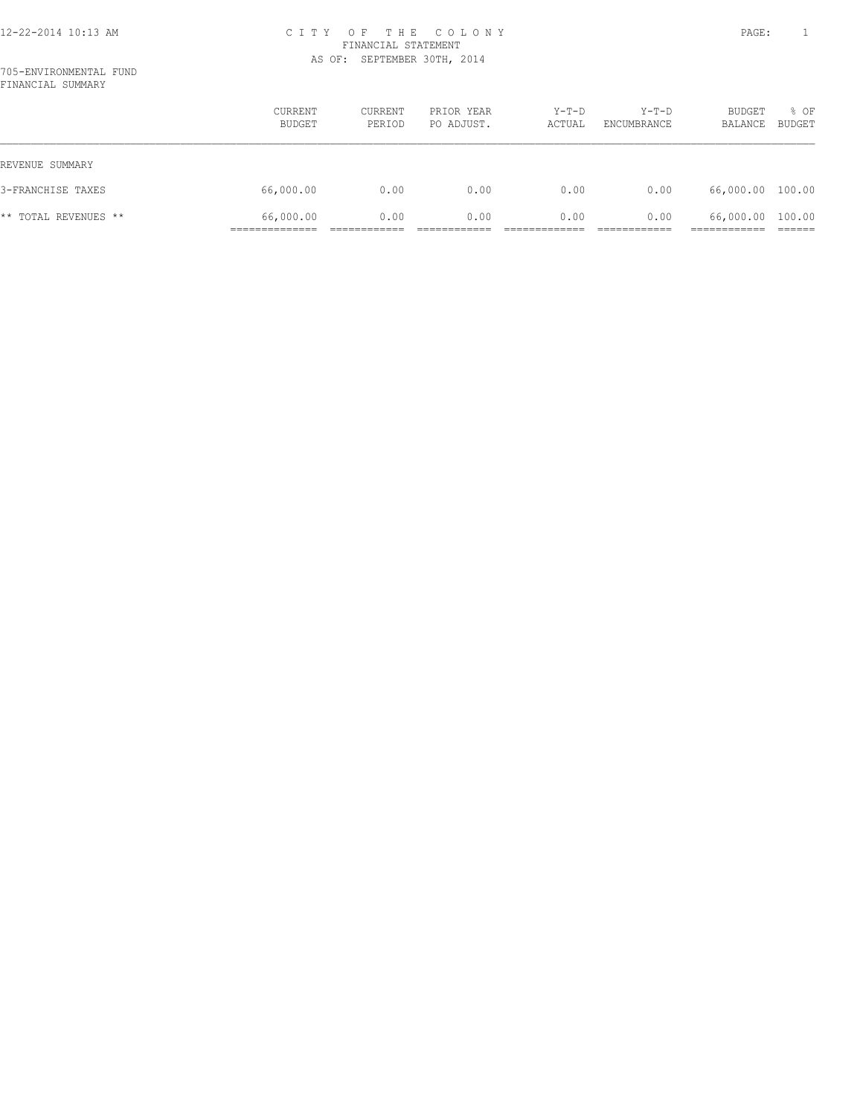|                      | CURRENT<br>BUDGET | CURRENT<br>PERIOD | PRIOR YEAR<br>PO ADJUST. | $Y-T-D$<br>ACTUAL | $Y-T-D$<br>ENCUMBRANCE | BUDGET<br>BALANCE | % OF<br><b>BUDGET</b> |
|----------------------|-------------------|-------------------|--------------------------|-------------------|------------------------|-------------------|-----------------------|
| REVENUE SUMMARY      |                   |                   |                          |                   |                        |                   |                       |
| 3-FRANCHISE TAXES    | 66,000.00         | 0.00              | 0.00                     | 0.00              | 0.00                   | 66,000.00 100.00  |                       |
| ** TOTAL REVENUES ** | 66,000.00         | 0.00              | 0.00                     | 0.00              | 0.00                   | 66,000.00 100.00  |                       |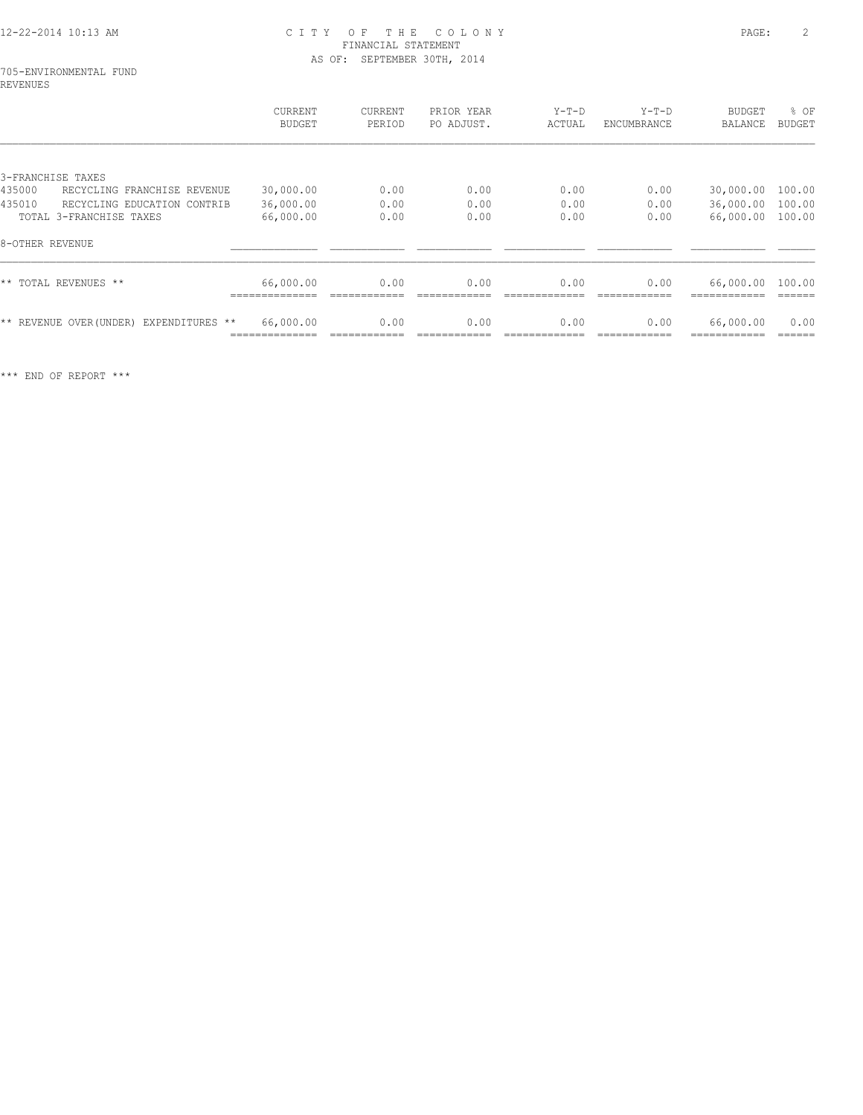#### 705-ENVIRONMENTAL FUND REVENUES

|                                         | CURRENT<br>BUDGET | CURRENT<br>PERIOD | PRIOR YEAR<br>PO ADJUST. | $Y-T-D$<br>ACTUAL | $Y-T-D$<br>ENCUMBRANCE | <b>BUDGET</b><br>BALANCE | % OF<br><b>BUDGET</b> |
|-----------------------------------------|-------------------|-------------------|--------------------------|-------------------|------------------------|--------------------------|-----------------------|
|                                         |                   |                   |                          |                   |                        |                          |                       |
| 3-FRANCHISE TAXES                       |                   |                   |                          |                   |                        |                          |                       |
| 435000<br>RECYCLING FRANCHISE REVENUE   | 30,000.00         | 0.00              | 0.00                     | 0.00              | 0.00                   | 30,000.00                | 100.00                |
| 435010<br>RECYCLING EDUCATION CONTRIB   | 36,000.00         | 0.00              | 0.00                     | 0.00              | 0.00                   | 36,000.00                | 100.00                |
| TOTAL 3-FRANCHISE TAXES                 | 66,000.00         | 0.00              | 0.00                     | 0.00              | 0.00                   | 66,000.00                | 100.00                |
| 8-OTHER REVENUE                         |                   |                   |                          |                   |                        |                          |                       |
| ** TOTAL REVENUES **                    | 66,000.00         | 0.00              | 0.00                     | 0.00              | 0.00                   | 66,000.00 100.00         |                       |
| ** REVENUE OVER (UNDER) EXPENDITURES ** | 66,000.00         | 0.00              | 0.00                     | 0.00              | 0.00                   | 66,000.00                | 0.00                  |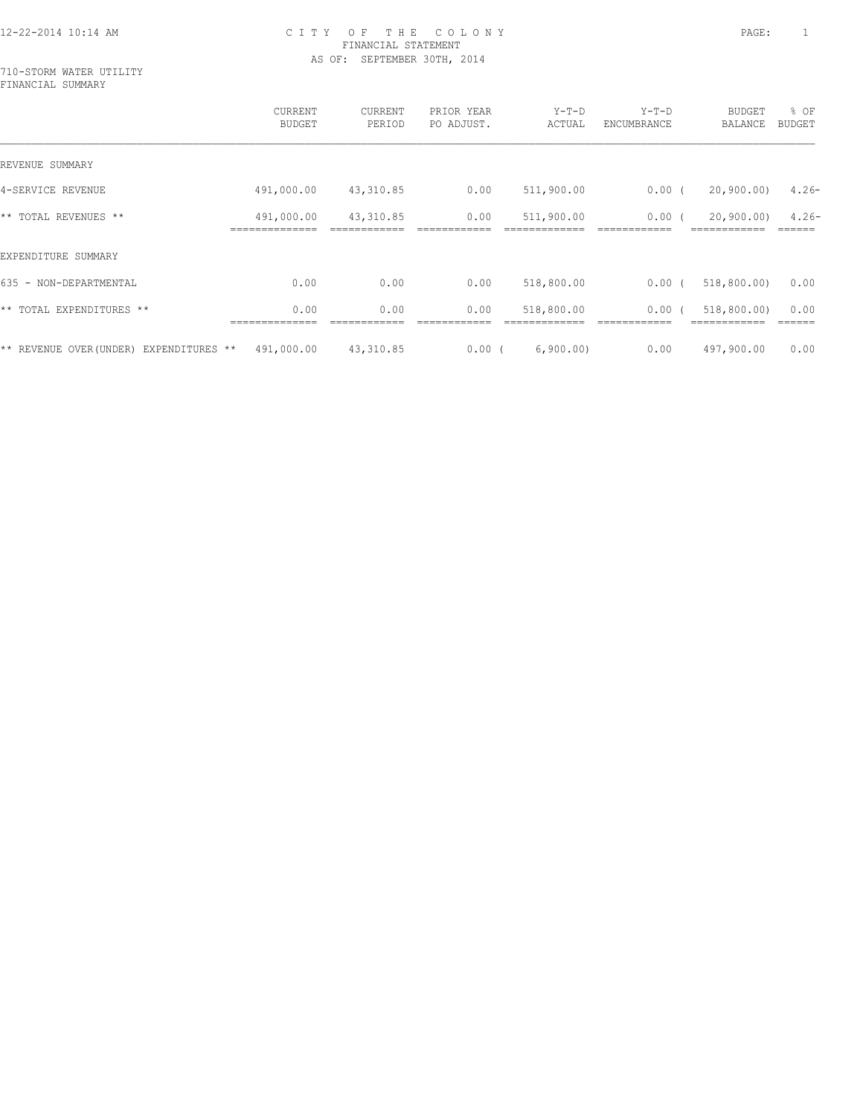710-STORM WATER UTILITY FINANCIAL SUMMARY

|                                        | CURRENT<br><b>BUDGET</b> | CURRENT<br>PERIOD | PRIOR YEAR<br>PO ADJUST. | $Y-T-D$<br>ACTUAL | $Y-T-D$<br>ENCUMBRANCE | <b>BUDGET</b><br>BALANCE | % OF<br><b>BUDGET</b> |
|----------------------------------------|--------------------------|-------------------|--------------------------|-------------------|------------------------|--------------------------|-----------------------|
| REVENUE SUMMARY                        |                          |                   |                          |                   |                        |                          |                       |
| 4-SERVICE REVENUE                      | 491,000.00               | 43,310.85         | 0.00                     | 511,900.00        | $0.00$ (               | 20,900,00)               | $4.26-$               |
| ** TOTAL REVENUES **                   | 491,000.00               | 43,310.85         | 0.00                     | 511,900.00        | 0.00(                  | 20, 900, 00)             | $4.26 -$              |
| EXPENDITURE SUMMARY                    |                          |                   |                          |                   |                        |                          |                       |
| 635 - NON-DEPARTMENTAL                 | 0.00                     | 0.00              | 0.00                     | 518,800.00        | $0.00$ (               | 518,800.00)              | 0.00                  |
| ** TOTAL EXPENDITURES **               | 0.00                     | 0.00              | 0.00                     | 518,800.00        | $0.00$ (               | 518,800.00               | 0.00                  |
| ** REVENUE OVER(UNDER) EXPENDITURES ** | 491,000.00               | 43,310.85         | $0.00$ (                 | 6,900.00)         | 0.00                   | 497,900.00               | 0.00                  |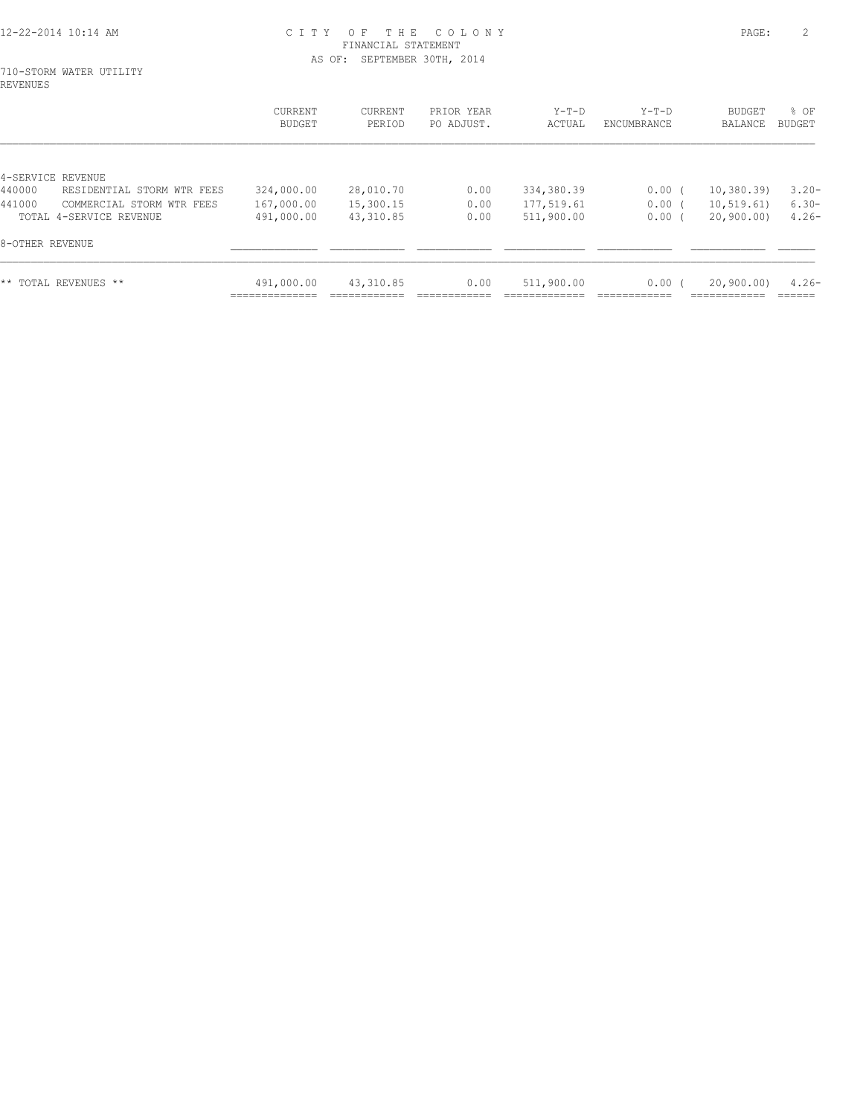#### 710-STORM WATER UTILITY REVENUES

|                                                                | <b>CURRENT</b><br>BUDGET | CURRENT<br>PERIOD      | PRIOR YEAR<br>PO ADJUST. | $Y-T-D$<br>ACTUAL        | $Y-T-D$<br>ENCUMBRANCE | <b>BUDGET</b><br>BALANCE  | $8$ OF<br>BUDGET    |
|----------------------------------------------------------------|--------------------------|------------------------|--------------------------|--------------------------|------------------------|---------------------------|---------------------|
| 4-SERVICE REVENUE<br>440000<br>RESIDENTIAL STORM WTR FEES      | 324,000.00               | 28,010.70              | 0.00                     | 334,380.39               | 0.00(                  | 10,380.39                 | $3.20 -$            |
| 441000<br>COMMERCIAL STORM WTR FEES<br>TOTAL 4-SERVICE REVENUE | 167,000.00<br>491,000.00 | 15,300.15<br>43,310.85 | 0.00<br>0.00             | 177,519.61<br>511,900.00 | $0.00$ (<br>0.00(      | 10, 519.61)<br>20,900.00) | $6.30 -$<br>$4.26-$ |
| 8-OTHER REVENUE                                                |                          |                        |                          |                          |                        |                           |                     |
| ** TOTAL REVENUES **                                           | 491,000.00               | 43,310.85              | 0.00                     | 511,900.00               | 0.00(                  | 20,900,00)                | $4.26-$             |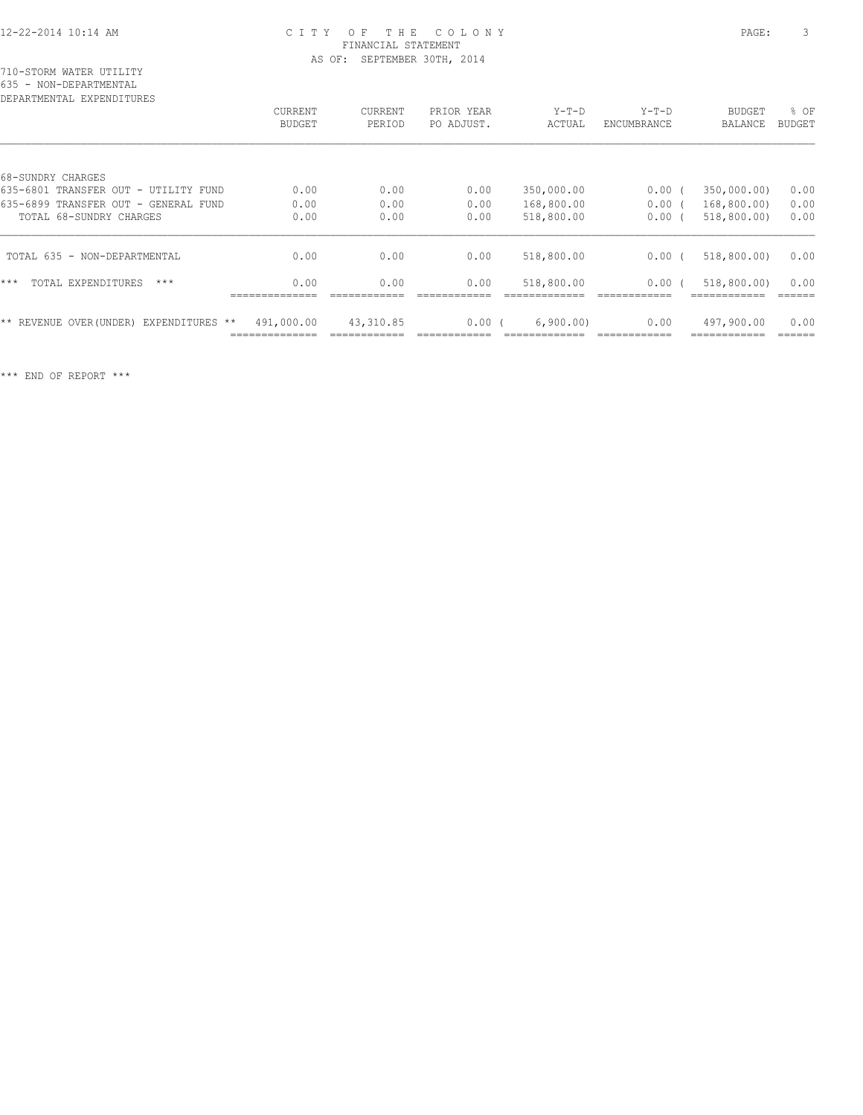| DEPARTMENTAL EXPENDITURES               |                   |                   |                          |                   |                        |                          |                       |
|-----------------------------------------|-------------------|-------------------|--------------------------|-------------------|------------------------|--------------------------|-----------------------|
|                                         | CURRENT<br>BUDGET | CURRENT<br>PERIOD | PRIOR YEAR<br>PO ADJUST. | $Y-T-D$<br>ACTUAL | $Y-T-D$<br>ENCUMBRANCE | <b>BUDGET</b><br>BALANCE | % OF<br><b>BUDGET</b> |
|                                         |                   |                   |                          |                   |                        |                          |                       |
| 68-SUNDRY CHARGES                       |                   |                   |                          |                   |                        |                          |                       |
| 635-6801 TRANSFER OUT - UTILITY FUND    | 0.00              | 0.00              | 0.00                     | 350,000.00        | 0.00(                  | 350,000.00)              | 0.00                  |
| 635-6899 TRANSFER OUT - GENERAL FUND    | 0.00              | 0.00              | 0.00                     | 168,800.00        | 0.00(                  | 168,800.00)              | 0.00                  |
| TOTAL 68-SUNDRY CHARGES                 | 0.00              | 0.00              | 0.00                     | 518,800.00        | 0.00(                  | 518,800.00)              | 0.00                  |
| TOTAL 635 - NON-DEPARTMENTAL            | 0.00              | 0.00              | 0.00                     | 518,800.00        | 0.00(                  | 518,800.00)              | 0.00                  |
| ***<br>TOTAL EXPENDITURES<br>$***$      | 0.00              | 0.00              | 0.00                     | 518,800.00        | 0.00(                  | 518,800.00)              | 0.00                  |
| ** REVENUE OVER (UNDER) EXPENDITURES ** | 491,000.00        | 43,310.85         | 0.00(                    | 6,900.00)         | 0.00                   | 497,900.00               | 0.00                  |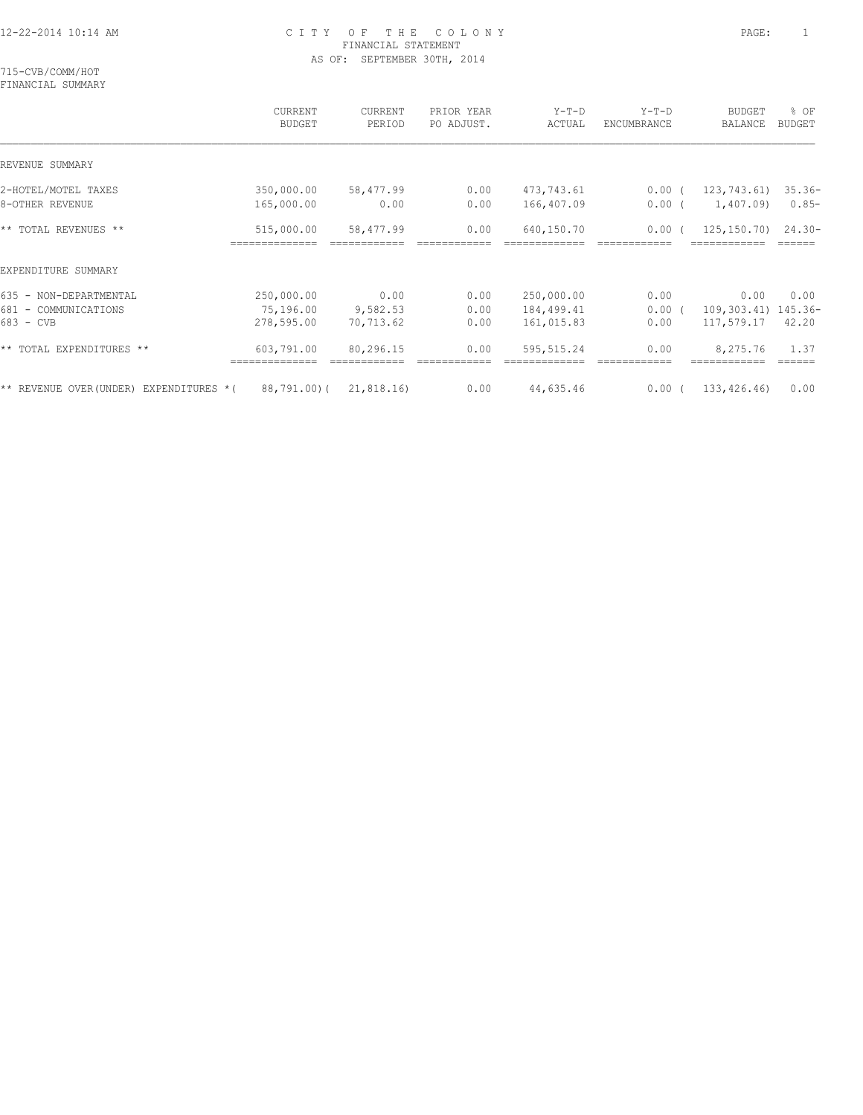715-CVB/COMM/HOT FINANCIAL SUMMARY

|                                          | CURRENT<br><b>BUDGET</b> | <b>CURRENT</b><br>PERIOD | PRIOR YEAR<br>PO ADJUST. | $Y-T-D$<br>ACTUAL | $Y-T-D$<br>ENCUMBRANCE | <b>BUDGET</b><br>BALANCE | % OF<br><b>BUDGET</b> |
|------------------------------------------|--------------------------|--------------------------|--------------------------|-------------------|------------------------|--------------------------|-----------------------|
| REVENUE SUMMARY                          |                          |                          |                          |                   |                        |                          |                       |
| 2-HOTEL/MOTEL TAXES                      | 350,000.00               | 58,477.99                | 0.00                     | 473,743.61        | 0.00(                  | 123,743.61)              | $35.36-$              |
| 8-OTHER REVENUE                          | 165,000.00               | 0.00                     | 0.00                     | 166,407.09        | $0.00$ (               | 1,407.09)                | $0.85-$               |
| ** TOTAL REVENUES **                     | 515,000.00               | 58,477.99                | 0.00                     | 640,150.70        | 0.00(                  | 125,150.70)              | $24.30 -$             |
| EXPENDITURE SUMMARY                      |                          |                          |                          |                   |                        |                          |                       |
| 635 - NON-DEPARTMENTAL                   | 250,000.00               | 0.00                     | 0.00                     | 250,000.00        | 0.00                   | 0.00                     | 0.00                  |
| 681 - COMMUNICATIONS                     | 75,196.00                | 9,582.53                 | 0.00                     | 184,499.41        | 0.00(                  | 109,303.41) 145.36-      |                       |
| 683 - CVB                                | 278,595.00               | 70,713.62                | 0.00                     | 161,015.83        | 0.00                   | 117,579.17               | 42.20                 |
| ** TOTAL EXPENDITURES **                 | 603,791.00               | 80,296.15                | 0.00                     | 595, 515.24       | 0.00                   | 8,275.76                 | 1.37<br>======        |
| ** REVENUE OVER (UNDER) EXPENDITURES * ( | 88,791.00)(              | 21,818.16)               | 0.00                     | 44,635.46         | 0.00(                  | 133,426.46)              | 0.00                  |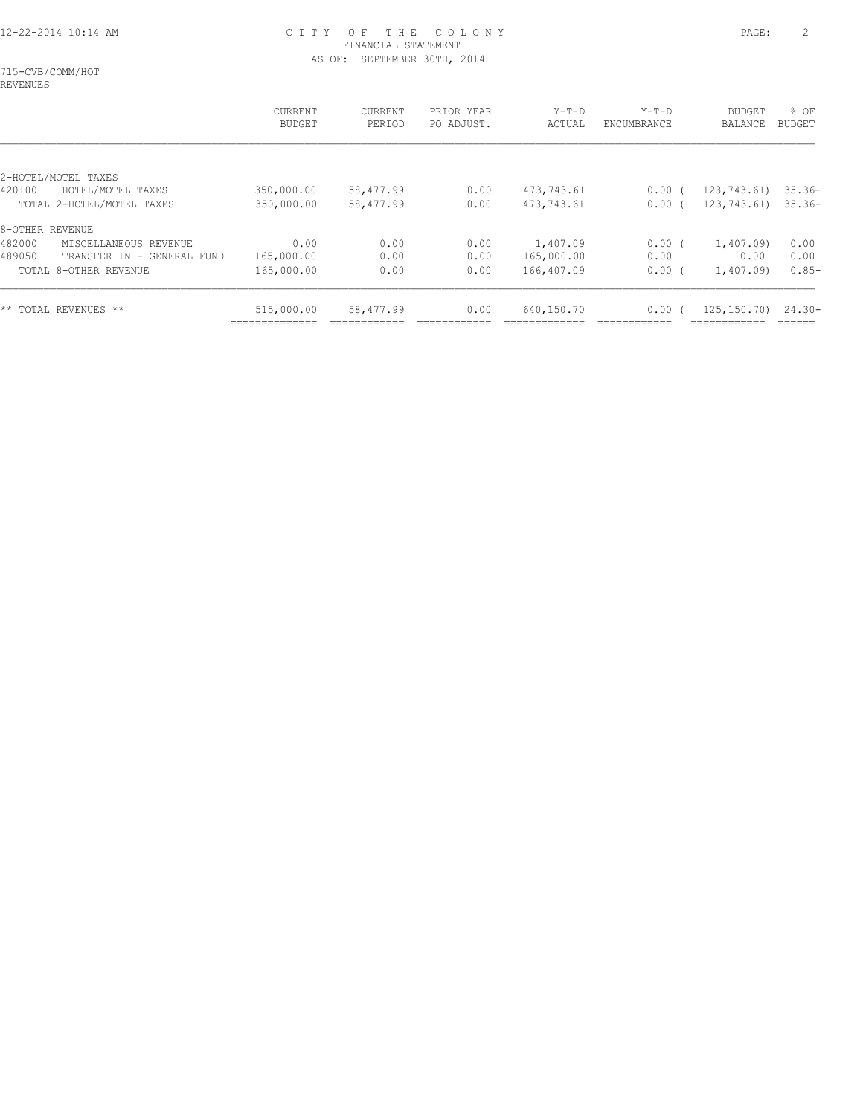715-CVB/COMM/HOT REVENUES

|                                      | CURRENT<br><b>BUDGET</b> | CURRENT<br>PERIOD | PRIOR YEAR<br>PO ADJUST. | $Y-T-D$<br>ACTUAL | $Y-T-D$<br>ENCUMBRANCE | <b>BUDGET</b><br>BALANCE | % OF<br>BUDGET |
|--------------------------------------|--------------------------|-------------------|--------------------------|-------------------|------------------------|--------------------------|----------------|
|                                      |                          |                   |                          |                   |                        |                          |                |
| 2-HOTEL/MOTEL TAXES                  |                          |                   |                          |                   |                        |                          |                |
| HOTEL/MOTEL TAXES<br>420100          | 350,000.00               | 58,477.99         | 0.00                     | 473,743.61        | $0.00$ (               | 123,743.61)              | $35.36-$       |
| TOTAL 2-HOTEL/MOTEL TAXES            | 350,000.00               | 58,477.99         | 0.00                     | 473,743.61        | 0.00(                  | 123,743.61)              | $35.36-$       |
| 8-OTHER REVENUE                      |                          |                   |                          |                   |                        |                          |                |
| 482000<br>MISCELLANEOUS REVENUE      | 0.00                     | 0.00              | 0.00                     | 1,407.09          | $0.00$ (               | 1,407.09)                | 0.00           |
| 489050<br>TRANSFER IN - GENERAL FUND | 165,000.00               | 0.00              | 0.00                     | 165,000.00        | 0.00                   | 0.00                     | 0.00           |
| TOTAL 8-OTHER REVENUE                | 165,000.00               | 0.00              | 0.00                     | 166,407.09        | 0.00                   | 1,407.09)                | $0.85-$        |
| ** TOTAL REVENUES **                 | 515,000.00               | 58,477.99         | 0.00                     | 640,150.70        | 0.00                   | 125, 150, 70)            | $24.30-$       |
|                                      |                          |                   |                          |                   |                        |                          |                |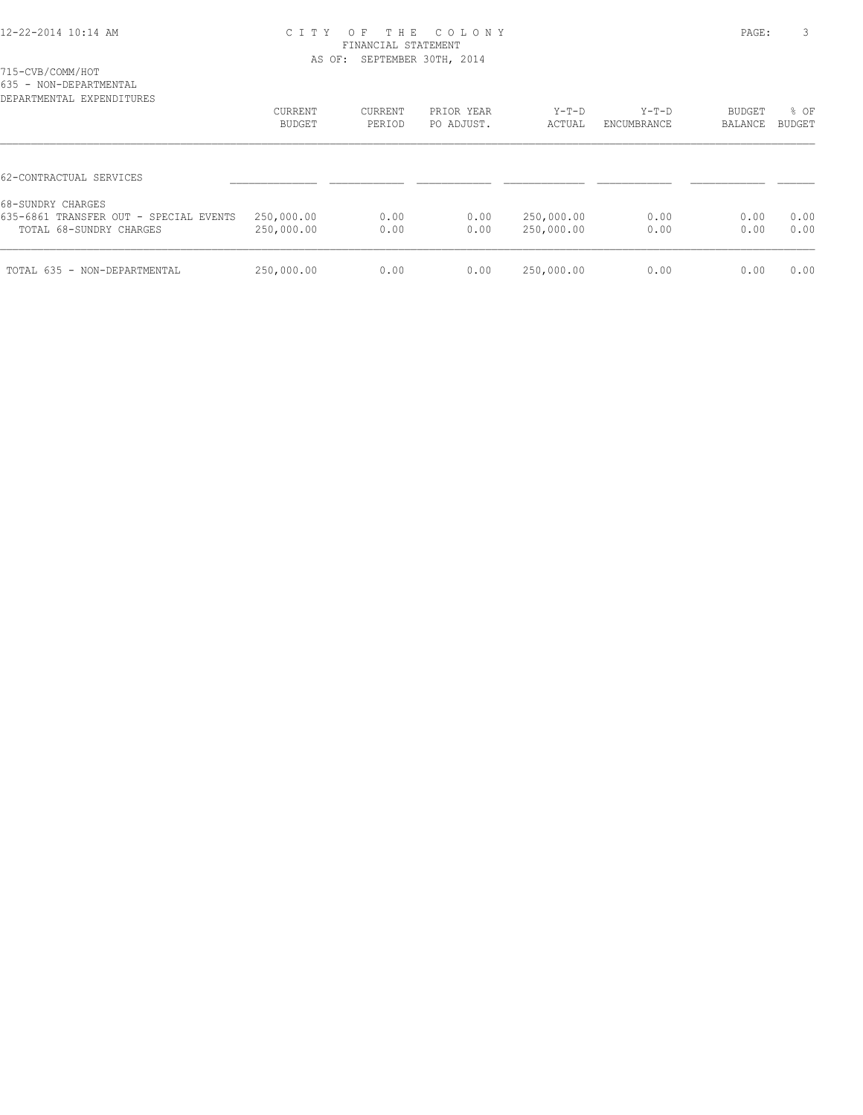715-CVB/COMM/HOT

635 - NON-DEPARTMENTAL

| DEPARTMENTAL EXPENDITURES                                                              | CURRENT<br><b>BUDGET</b> | CURRENT<br>PERIOD | PRIOR YEAR<br>PO ADJUST. | $Y-T-D$<br>ACTUAL        | $Y-T-D$<br>ENCUMBRANCE | <b>BUDGET</b><br>BALANCE | % OF<br><b>BUDGET</b> |
|----------------------------------------------------------------------------------------|--------------------------|-------------------|--------------------------|--------------------------|------------------------|--------------------------|-----------------------|
| 62-CONTRACTUAL SERVICES                                                                |                          |                   |                          |                          |                        |                          |                       |
| 68-SUNDRY CHARGES<br>635-6861 TRANSFER OUT - SPECIAL EVENTS<br>TOTAL 68-SUNDRY CHARGES | 250,000.00<br>250,000.00 | 0.00<br>0.00      | 0.00<br>0.00             | 250,000.00<br>250,000.00 | 0.00<br>0.00           | 0.00<br>0.00             | 0.00<br>0.00          |
| TOTAL 635 - NON-DEPARTMENTAL                                                           | 250,000.00               | 0.00              | 0.00                     | 250,000.00               | 0.00                   | 0.00                     | 0.00                  |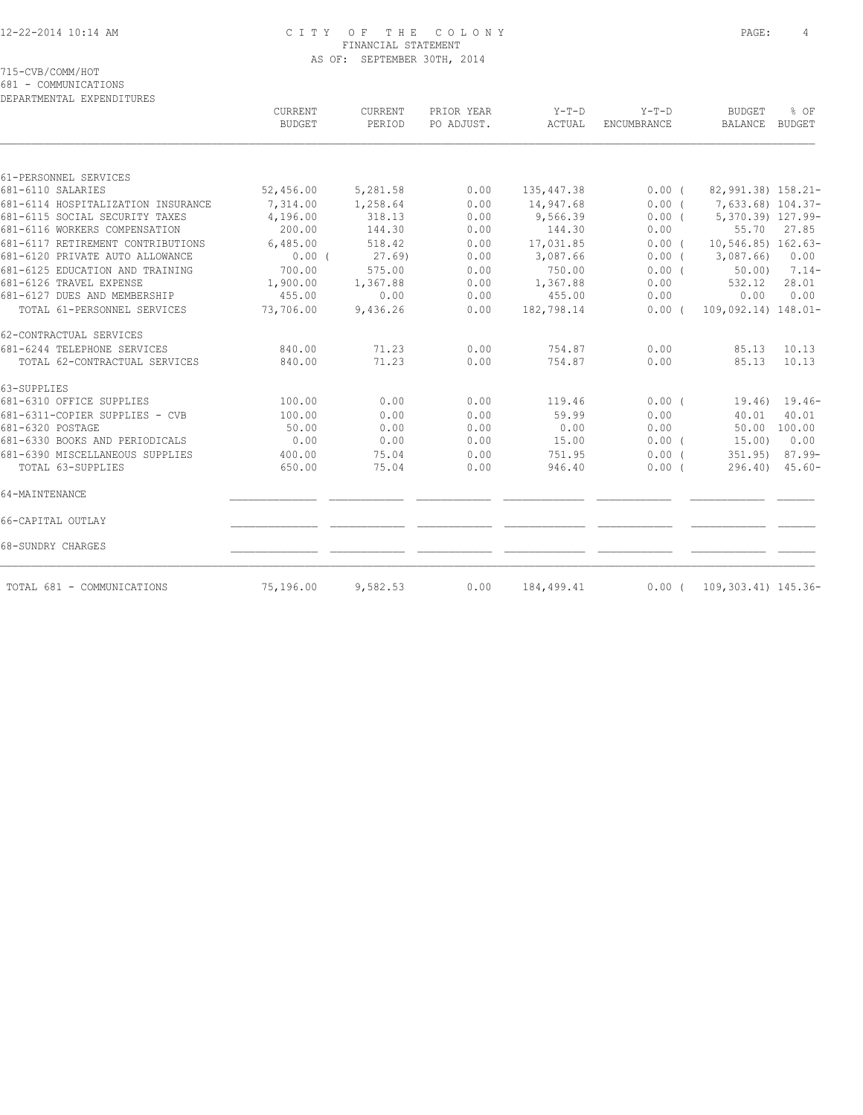715-CVB/COMM/HOT

681 - COMMUNICATIONS

DEPARTMENTAL EXPENDITURES

|                                    | CURRENT<br><b>BUDGET</b> | <b>CURRENT</b><br>PERIOD | PRIOR YEAR<br>PO ADJUST. | $Y-T-D$<br>ACTUAL | $Y-T-D$<br>ENCUMBRANCE | <b>BUDGET</b><br>BALANCE        | % OF<br>BUDGET      |
|------------------------------------|--------------------------|--------------------------|--------------------------|-------------------|------------------------|---------------------------------|---------------------|
|                                    |                          |                          |                          |                   |                        |                                 |                     |
| 61-PERSONNEL SERVICES              |                          |                          |                          |                   |                        |                                 |                     |
| 681-6110 SALARIES                  | 52,456.00                | 5,281.58                 | 0.00                     | 135,447.38        | $0.00$ (               | 82,991.38) 158.21-              |                     |
| 681-6114 HOSPITALIZATION INSURANCE | 7,314.00                 | 1,258.64                 | 0.00                     | 14,947.68         |                        | $0.00$ ( $7,633.68$ ) $104.37-$ |                     |
| 681-6115 SOCIAL SECURITY TAXES     | 4,196.00                 | 318.13                   | 0.00                     | 9,566.39          | $0.00$ (               | 5,370.39) 127.99-               |                     |
| 681-6116 WORKERS COMPENSATION      | 200.00                   | 144.30                   | 0.00                     | 144.30            | 0.00                   | 55.70                           | 27.85               |
| 681-6117 RETIREMENT CONTRIBUTIONS  | 6,485.00                 | 518.42                   | 0.00                     | 17,031.85         | 0.00(                  | $10, 546.85)$ $162.63-$         |                     |
| 681-6120 PRIVATE AUTO ALLOWANCE    | $0.00$ (                 | 27.69)                   | 0.00                     | 3,087.66          | 0.00(                  | 3,087.66                        | 0.00                |
| 681-6125 EDUCATION AND TRAINING    | 700.00                   | 575.00                   | 0.00                     | 750.00            | 0.00(                  | 50.00                           | $7.14-$             |
| 681-6126 TRAVEL EXPENSE            | 1,900.00                 | 1,367.88                 | 0.00                     | 1,367.88          | 0.00                   | 532.12                          | 28.01               |
| 681-6127 DUES AND MEMBERSHIP       | 455.00                   | 0.00                     | 0.00                     | 455.00            | 0.00                   | 0.00                            | 0.00                |
| TOTAL 61-PERSONNEL SERVICES        | 73,706.00                | 9,436.26                 | 0.00                     | 182,798.14        | $0.00$ (               | 109,092.14) 148.01-             |                     |
| 62-CONTRACTUAL SERVICES            |                          |                          |                          |                   |                        |                                 |                     |
| 681-6244 TELEPHONE SERVICES        | 840.00                   | 71.23                    | 0.00                     | 754.87            | 0.00                   | 85.13                           | 10.13               |
| TOTAL 62-CONTRACTUAL SERVICES      | 840.00                   | 71.23                    | 0.00                     | 754.87            | 0.00                   | 85.13                           | 10.13               |
| 63-SUPPLIES                        |                          |                          |                          |                   |                        |                                 |                     |
| 681-6310 OFFICE SUPPLIES           | 100.00                   | 0.00                     | 0.00                     | 119.46            | 0.00(                  |                                 | $19.46$ ) $19.46$ - |
| 681-6311-COPIER SUPPLIES - CVB     | 100.00                   | 0.00                     | 0.00                     | 59.99             | 0.00                   | 40.01                           | 40.01               |
| 681-6320 POSTAGE                   | 50.00                    | 0.00                     | 0.00                     | 0.00              | 0.00                   |                                 | 50.00 100.00        |
| 681-6330 BOOKS AND PERIODICALS     | 0.00                     | 0.00                     | 0.00                     | 15.00             | $0.00$ (               | 15.00)                          | 0.00                |
| 681-6390 MISCELLANEOUS SUPPLIES    | 400.00                   | 75.04                    | 0.00                     | 751.95            | 0.00(                  | 351.95                          | $87.99 -$           |
| TOTAL 63-SUPPLIES                  | 650.00                   | 75.04                    | 0.00                     | 946.40            | 0.00(                  |                                 | $296.40$ $45.60 -$  |
| 64-MAINTENANCE                     |                          |                          |                          |                   |                        |                                 |                     |
| 66-CAPITAL OUTLAY                  |                          |                          |                          |                   |                        |                                 |                     |
| 68-SUNDRY CHARGES                  |                          |                          |                          |                   |                        |                                 |                     |
|                                    |                          |                          |                          |                   |                        |                                 |                     |
| TOTAL 681 - COMMUNICATIONS         | 75,196.00                | 9,582.53                 | 0.00                     | 184,499.41        | 0.00(                  | 109,303.41) 145.36-             |                     |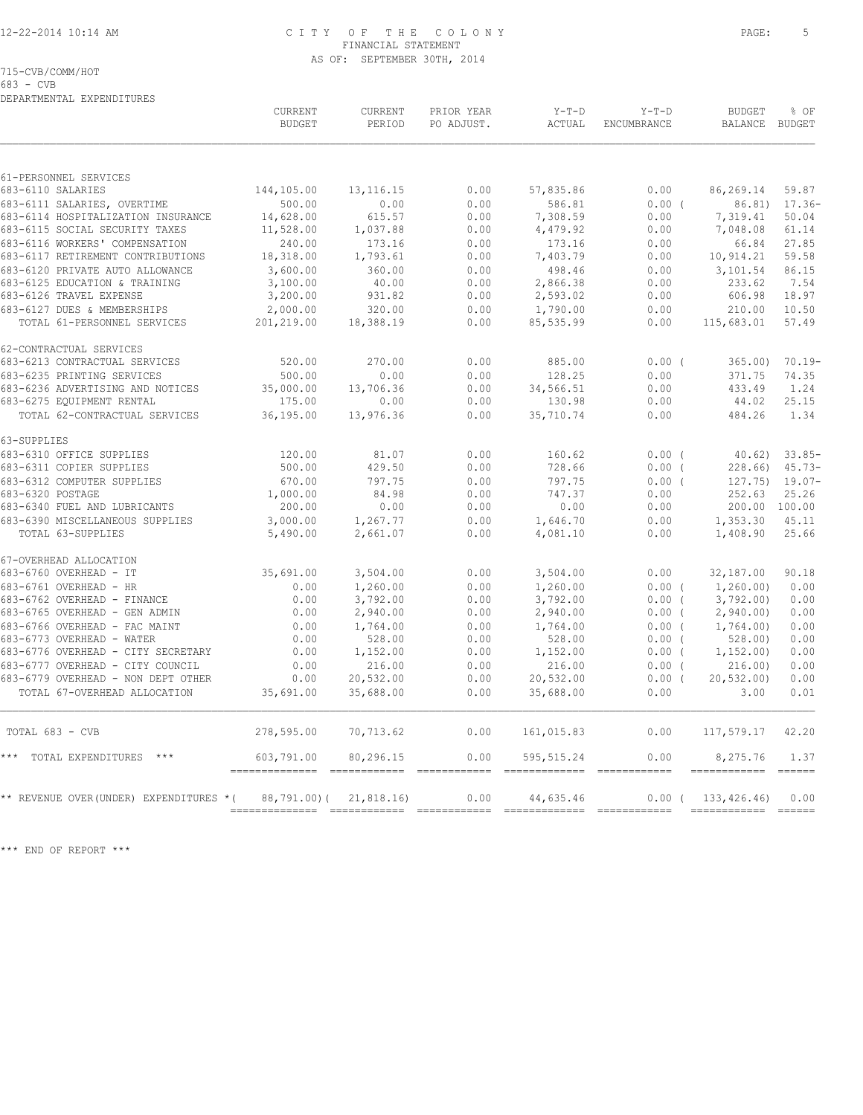715-CVB/COMM/HOT

683 - CVB

| $\sim$ | AS OF: |  |
|--------|--------|--|
|        |        |  |

| DEPARTMENTAL EXPENDITURES                                  |                                 |                          |                          |                       |                               |                                 |               |
|------------------------------------------------------------|---------------------------------|--------------------------|--------------------------|-----------------------|-------------------------------|---------------------------------|---------------|
|                                                            | <b>CURRENT</b><br><b>BUDGET</b> | <b>CURRENT</b><br>PERIOD | PRIOR YEAR<br>PO ADJUST. | $Y-T-D$<br>ACTUAL     | $Y-T-D$<br><b>ENCUMBRANCE</b> | <b>BUDGET</b><br>BALANCE BUDGET | % OF          |
|                                                            |                                 |                          |                          |                       |                               |                                 |               |
| 61-PERSONNEL SERVICES                                      |                                 |                          |                          |                       |                               |                                 |               |
| 683-6110 SALARIES                                          | 144,105.00                      | 13, 116. 15              | 0.00                     | 57,835.86             | 0.00                          | 86,269.14                       | 59.87         |
| 683-6111 SALARIES, OVERTIME                                | 500.00                          | 0.00                     | 0.00                     | 586.81                | 0.00(                         | 86.81)                          | $17.36-$      |
| 683-6114 HOSPITALIZATION INSURANCE                         | 14,628.00                       | 615.57                   | 0.00                     | 7,308.59              | 0.00                          | 7,319.41                        | 50.04         |
| 683-6115 SOCIAL SECURITY TAXES                             | 11,528.00                       | 1,037.88                 | 0.00                     | 4,479.92              | 0.00                          | 7,048.08                        | 61.14         |
| 683-6116 WORKERS' COMPENSATION                             | 240.00                          | 173.16                   | 0.00                     | 173.16                | 0.00                          | 66.84                           | 27.85         |
| 683-6117 RETIREMENT CONTRIBUTIONS                          | 18,318.00                       | 1,793.61                 | 0.00                     | 7,403.79              | 0.00                          | 10,914.21                       | 59.58         |
| 683-6120 PRIVATE AUTO ALLOWANCE                            | 3,600.00                        | 360.00                   | 0.00                     | 498.46                | 0.00                          | 3,101.54                        | 86.15         |
| 683-6125 EDUCATION & TRAINING<br>683-6126 TRAVEL EXPENSE   | 3,100.00                        | 40.00<br>931.82          | 0.00<br>0.00             | 2,866.38              | 0.00                          | 233.62<br>606.98                | 7.54<br>18.97 |
|                                                            | 3,200.00                        |                          |                          | 2,593.02              | 0.00                          |                                 | 10.50         |
| 683-6127 DUES & MEMBERSHIPS<br>TOTAL 61-PERSONNEL SERVICES | 2,000.00<br>201,219.00          | 320.00<br>18,388.19      | 0.00<br>0.00             | 1,790.00<br>85,535.99 | 0.00<br>0.00                  | 210.00<br>115,683.01            | 57.49         |
|                                                            |                                 |                          |                          |                       |                               |                                 |               |
| 62-CONTRACTUAL SERVICES                                    |                                 |                          |                          |                       |                               |                                 |               |
| 683-6213 CONTRACTUAL SERVICES                              | 520.00                          | 270.00                   | 0.00                     | 885.00                | $0.00$ (                      | 365.00                          | $70.19 -$     |
| 683-6235 PRINTING SERVICES                                 | 500.00                          | 0.00                     | 0.00                     | 128.25                | 0.00                          | 371.75                          | 74.35         |
| 683-6236 ADVERTISING AND NOTICES                           | 35,000.00                       | 13,706.36                | 0.00                     | 34,566.51             | 0.00                          | 433.49                          | 1.24          |
| 683-6275 EQUIPMENT RENTAL                                  | 175.00                          | 0.00                     | 0.00                     | 130.98                | 0.00                          | 44.02                           | 25.15         |
| TOTAL 62-CONTRACTUAL SERVICES                              | 36,195.00                       | 13,976.36                | 0.00                     | 35,710.74             | 0.00                          | 484.26                          | 1.34          |
| 63-SUPPLIES                                                |                                 |                          |                          |                       |                               |                                 |               |
| 683-6310 OFFICE SUPPLIES                                   | 120.00                          | 81.07                    | 0.00                     | 160.62                | $0.00$ (                      | 40.62                           | $33.85-$      |
| 683-6311 COPIER SUPPLIES                                   | 500.00                          | 429.50                   | 0.00                     | 728.66                | 0.00(                         | 228.66                          | $45.73-$      |
| 683-6312 COMPUTER SUPPLIES                                 | 670.00                          | 797.75                   | 0.00                     | 797.75                | 0.00(                         | 127.75)                         | $19.07 -$     |
| 683-6320 POSTAGE                                           | 1,000.00                        | 84.98                    | 0.00                     | 747.37                | 0.00                          | 252.63                          | 25.26         |
| 683-6340 FUEL AND LUBRICANTS                               | 200.00                          | 0.00                     | 0.00                     | 0.00                  | 0.00                          | 200.00 100.00                   |               |
| 683-6390 MISCELLANEOUS SUPPLIES                            | 3,000.00                        | 1,267.77                 | 0.00                     | 1,646.70              | 0.00                          | 1,353.30                        | 45.11         |
| TOTAL 63-SUPPLIES                                          | 5,490.00                        | 2,661.07                 | 0.00                     | 4,081.10              | 0.00                          | 1,408.90                        | 25.66         |
| 67-OVERHEAD ALLOCATION                                     |                                 |                          |                          |                       |                               |                                 |               |
| 683-6760 OVERHEAD - IT                                     | 35,691.00                       | 3,504.00                 | 0.00                     | 3,504.00              | 0.00                          | 32,187.00                       | 90.18         |
| 683-6761 OVERHEAD - HR                                     | 0.00                            | 1,260.00                 | 0.00                     | 1,260.00              | 0.00(                         | 1,260.00)                       | 0.00          |
| 683-6762 OVERHEAD - FINANCE                                | 0.00                            | 3,792.00                 | 0.00                     | 3,792.00              | $0.00$ (                      | 3,792.00                        | 0.00          |
| 683-6765 OVERHEAD - GEN ADMIN                              | 0.00                            | 2,940.00                 | 0.00                     | 2,940.00              | $0.00$ (                      | 2,940.00                        | 0.00          |
| 683-6766 OVERHEAD - FAC MAINT                              | 0.00                            | 1,764.00                 | 0.00                     | 1,764.00              | 0.00(                         | 1,764.00)                       | 0.00          |
| 683-6773 OVERHEAD - WATER                                  | 0.00                            | 528.00                   | 0.00                     | 528.00                | $0.00$ (                      | 528.00                          | 0.00          |
| 683-6776 OVERHEAD - CITY SECRETARY                         | 0.00                            | 1,152.00                 | 0.00                     | 1,152.00              | $0.00$ (                      | 1, 152.00                       | 0.00          |
| 683-6777 OVERHEAD - CITY COUNCIL                           | 0.00                            | 216.00                   | 0.00                     | 216.00                | $0.00$ (                      | 216.00                          | 0.00          |
| 683-6779 OVERHEAD - NON DEPT OTHER                         | 0.00                            | 20,532.00                | 0.00                     | 20,532.00             | $0.00$ (                      | 20, 532.00                      | 0.00          |
| TOTAL 67-OVERHEAD ALLOCATION                               | 35,691.00                       | 35,688.00                | 0.00                     | 35,688.00             | 0.00                          | 3.00                            | 0.01          |
| TOTAL 683 - CVB                                            | 278,595.00                      | 70,713.62                | 0.00                     | 161,015.83            | 0.00                          | 117,579.17                      | 42.20         |
| TOTAL EXPENDITURES ***<br>$***$                            | 603,791.00                      | 80,296.15                | 0.00                     | 595, 515.24           | 0.00                          | 8,275.76                        | 1.37          |

\*\* REVENUE OVER(UNDER) EXPENDITURES \*( 88,791.00)( 21,818.16) 0.00 44,635.46 0.00 ( 133,426.46) 0.00 ============== ============ ============ ============= ============ ============ ======

============== ============ ============ ============= ============ ============ ======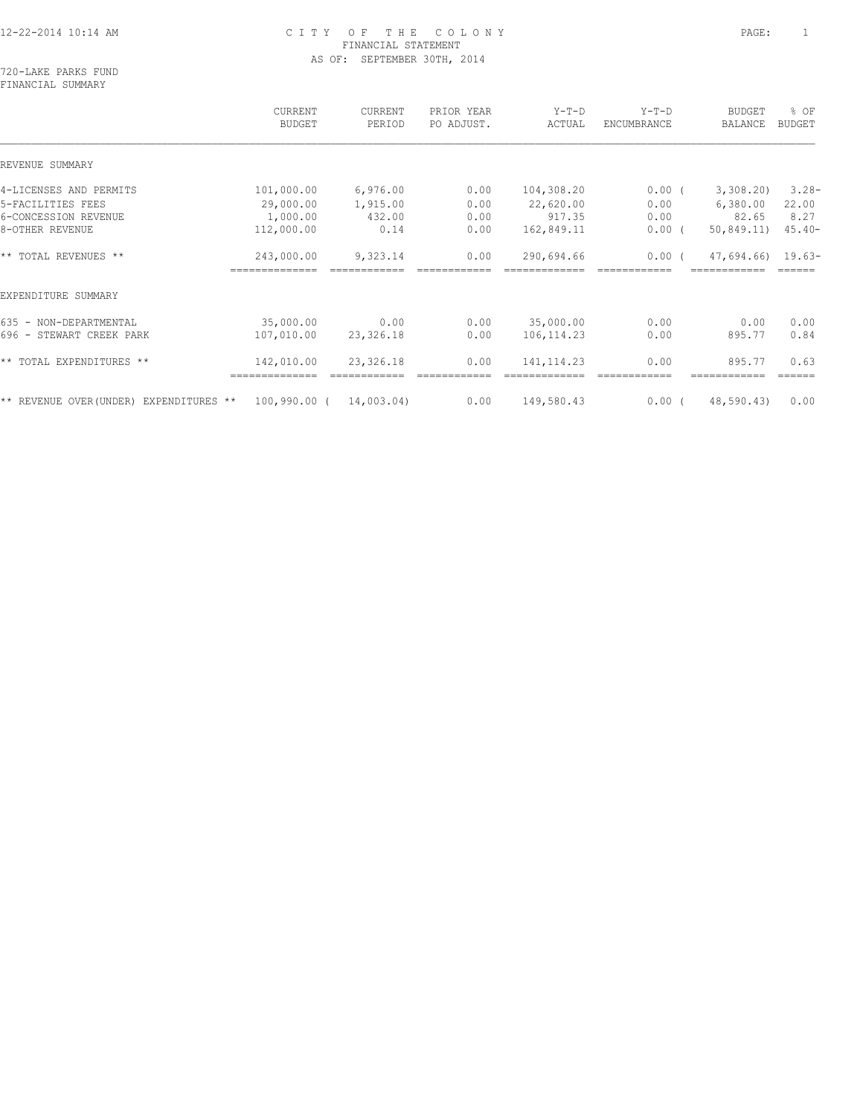720-LAKE PARKS FUND FINANCIAL SUMMARY

|                                         | CURRENT<br><b>BUDGET</b>     | CURRENT<br>PERIOD | PRIOR YEAR<br>PO ADJUST. | $Y-T-D$<br>ACTUAL | $Y-T-D$<br>ENCUMBRANCE | <b>BUDGET</b><br>BALANCE | % OF<br><b>BUDGET</b> |
|-----------------------------------------|------------------------------|-------------------|--------------------------|-------------------|------------------------|--------------------------|-----------------------|
| REVENUE SUMMARY                         |                              |                   |                          |                   |                        |                          |                       |
| 4-LICENSES AND PERMITS                  | 101,000.00                   | 6,976.00          | 0.00                     | 104,308.20        | $0.00$ (               | 3,308.20                 | $3.28 -$              |
| 5-FACILITIES FEES                       | 29,000.00                    | 1,915.00          | 0.00                     | 22,620.00         | 0.00                   | 6,380.00                 | 22.00                 |
| 6-CONCESSION REVENUE                    | 1,000.00                     | 432.00            | 0.00                     | 917.35            | 0.00                   | 82.65                    | 8.27                  |
| 8-OTHER REVENUE                         | 112,000.00                   | 0.14              | 0.00                     | 162,849.11        | $0.00$ (               | 50,849.11)               | $45.40-$              |
| ** TOTAL REVENUES **                    | 243,000.00                   | 9,323.14          | 0.00                     | 290,694.66        | $0.00$ (               | $47,694.66$ 19.63-       |                       |
|                                         |                              |                   |                          |                   |                        |                          |                       |
| EXPENDITURE SUMMARY                     |                              |                   |                          |                   |                        |                          |                       |
| 635 - NON-DEPARTMENTAL                  | 35,000.00                    | 0.00              | 0.00                     | 35,000.00         | 0.00                   | 0.00                     | 0.00                  |
| 696 - STEWART CREEK PARK                | 107,010.00                   | 23,326.18         | 0.00                     | 106, 114.23       | 0.00                   | 895.77                   | 0.84                  |
| ** TOTAL EXPENDITURES **                | 142,010.00                   | 23,326.18         | 0.00                     | 141, 114.23       | 0.00                   | 895.77                   | 0.63<br>======        |
|                                         |                              |                   |                          |                   |                        |                          |                       |
| ** REVENUE OVER (UNDER) EXPENDITURES ** | $100,990.00$ ( $14,003.04$ ) |                   | 0.00                     | 149,580.43        | $0.00$ (               | 48,590.43)               | 0.00                  |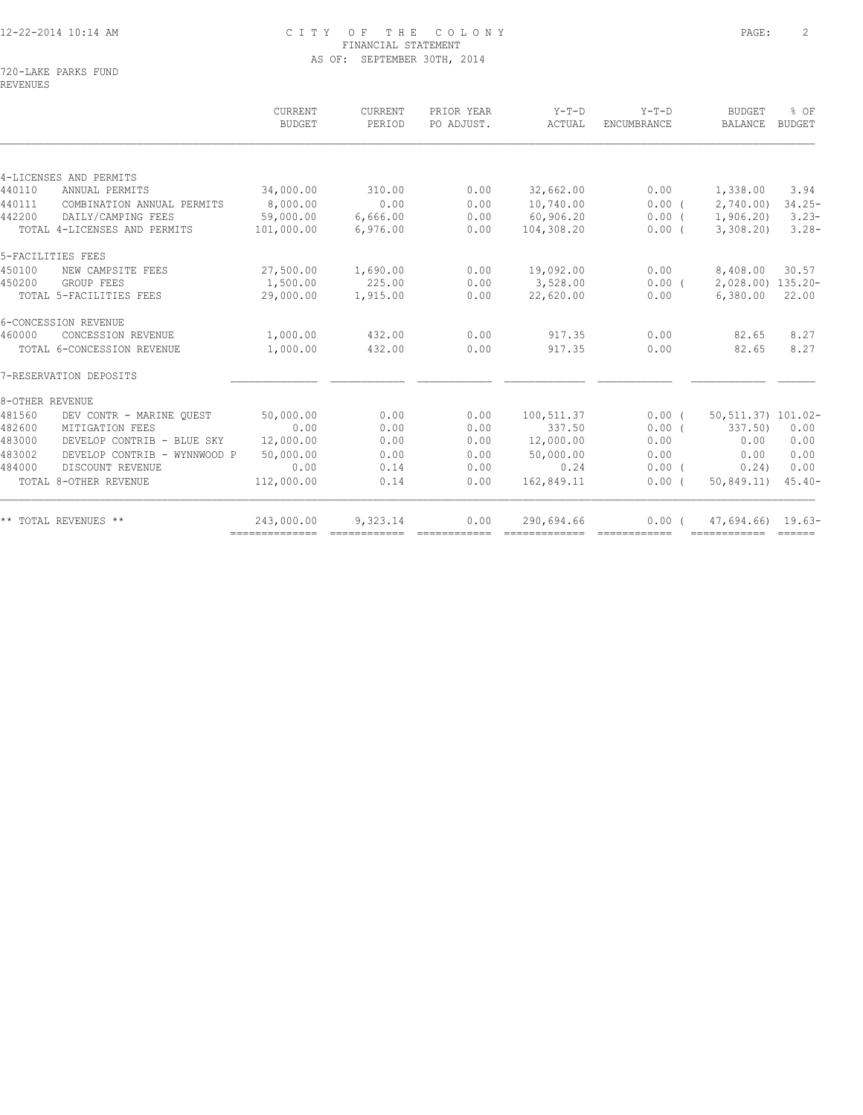720-LAKE PARKS FUND REVENUES

|                              | CURRENT<br>BUDGET                                                                                                            | CURRENT<br>PERIOD                                              | PRIOR YEAR<br>PO ADJUST.                           | $Y-T-D$<br>ACTUAL            | $Y-T-D$<br><b>ENCUMBRANCE</b>                                   | <b>BUDGET</b><br>BALANCE | % OF<br><b>BUDGET</b>                                                                  |
|------------------------------|------------------------------------------------------------------------------------------------------------------------------|----------------------------------------------------------------|----------------------------------------------------|------------------------------|-----------------------------------------------------------------|--------------------------|----------------------------------------------------------------------------------------|
|                              |                                                                                                                              |                                                                |                                                    |                              |                                                                 |                          |                                                                                        |
|                              |                                                                                                                              |                                                                |                                                    |                              |                                                                 |                          |                                                                                        |
|                              |                                                                                                                              |                                                                |                                                    |                              |                                                                 |                          | 3.94                                                                                   |
|                              |                                                                                                                              |                                                                |                                                    |                              |                                                                 |                          | $34.25 -$                                                                              |
|                              |                                                                                                                              |                                                                |                                                    |                              |                                                                 |                          | $3.23-$                                                                                |
|                              |                                                                                                                              |                                                                |                                                    |                              |                                                                 |                          | $3.28 -$                                                                               |
|                              |                                                                                                                              |                                                                |                                                    |                              |                                                                 |                          |                                                                                        |
| NEW CAMPSITE FEES            | 27,500.00                                                                                                                    | 1,690.00                                                       | 0.00                                               | 19,092.00                    | 0.00                                                            | 8,408.00                 | 30.57                                                                                  |
| GROUP FEES                   | 1,500.00                                                                                                                     | 225.00                                                         | 0.00                                               | 3,528.00                     |                                                                 | 2,028.00) 135.20-        |                                                                                        |
| TOTAL 5-FACILITIES FEES      | 29,000.00                                                                                                                    | 1,915.00                                                       | 0.00                                               | 22,620.00                    | 0.00                                                            | 6,380.00                 | 22.00                                                                                  |
| 6-CONCESSION REVENUE         |                                                                                                                              |                                                                |                                                    |                              |                                                                 |                          |                                                                                        |
| CONCESSION REVENUE           | 1,000.00                                                                                                                     | 432.00                                                         | 0.00                                               | 917.35                       | 0.00                                                            | 82.65                    | 8.27                                                                                   |
| TOTAL 6-CONCESSION REVENUE   | 1,000.00                                                                                                                     | 432.00                                                         | 0.00                                               | 917.35                       | 0.00                                                            | 82.65                    | 8.27                                                                                   |
| 7-RESERVATION DEPOSITS       |                                                                                                                              |                                                                |                                                    |                              |                                                                 |                          |                                                                                        |
|                              |                                                                                                                              |                                                                |                                                    |                              |                                                                 |                          |                                                                                        |
| DEV CONTR - MARINE OUEST     | 50,000.00                                                                                                                    | 0.00                                                           | 0.00                                               | 100,511.37                   | $0.00$ (                                                        | 50,511.37) 101.02-       |                                                                                        |
| MITIGATION FEES              | 0.00                                                                                                                         | 0.00                                                           | 0.00                                               | 337.50                       | 0.00(                                                           | 337.50)                  | 0.00                                                                                   |
| DEVELOP CONTRIB - BLUE SKY   | 12,000.00                                                                                                                    | 0.00                                                           | 0.00                                               | 12,000.00                    | 0.00                                                            | 0.00                     | 0.00                                                                                   |
| DEVELOP CONTRIB - WYNNWOOD P | 50,000.00                                                                                                                    | 0.00                                                           | 0.00                                               | 50,000.00                    | 0.00                                                            | 0.00                     | 0.00                                                                                   |
| DISCOUNT REVENUE             | 0.00                                                                                                                         | 0.14                                                           | 0.00                                               | 0.24                         | $0.00$ (                                                        | 0.24)                    | 0.00                                                                                   |
| TOTAL 8-OTHER REVENUE        | 112,000.00                                                                                                                   | 0.14                                                           | 0.00                                               | 162,849.11                   | 0.00(                                                           | 50,849.11)               | $45.40 -$                                                                              |
| ** TOTAL REVENUES **         |                                                                                                                              |                                                                | 0.00                                               |                              |                                                                 | $47,694.66$ 19.63-       |                                                                                        |
|                              | 4-LICENSES AND PERMITS<br>ANNUAL PERMITS<br>COMBINATION ANNUAL PERMITS<br>DAILY/CAMPING FEES<br>TOTAL 4-LICENSES AND PERMITS | 34,000.00<br>8,000.00<br>59,000.00<br>101,000.00<br>243,000.00 | 310.00<br>0.00<br>6,666.00<br>6,976.00<br>9,323.14 | 0.00<br>0.00<br>0.00<br>0.00 | 32,662.00<br>10,740.00<br>60,906.20<br>104,308.20<br>290,694.66 | 0.00<br>0.00(            | 1,338.00<br>0.00(<br>2,740.00<br>$0.00$ (<br>1,906.20<br>3,308,20<br>0.00(<br>$0.00$ ( |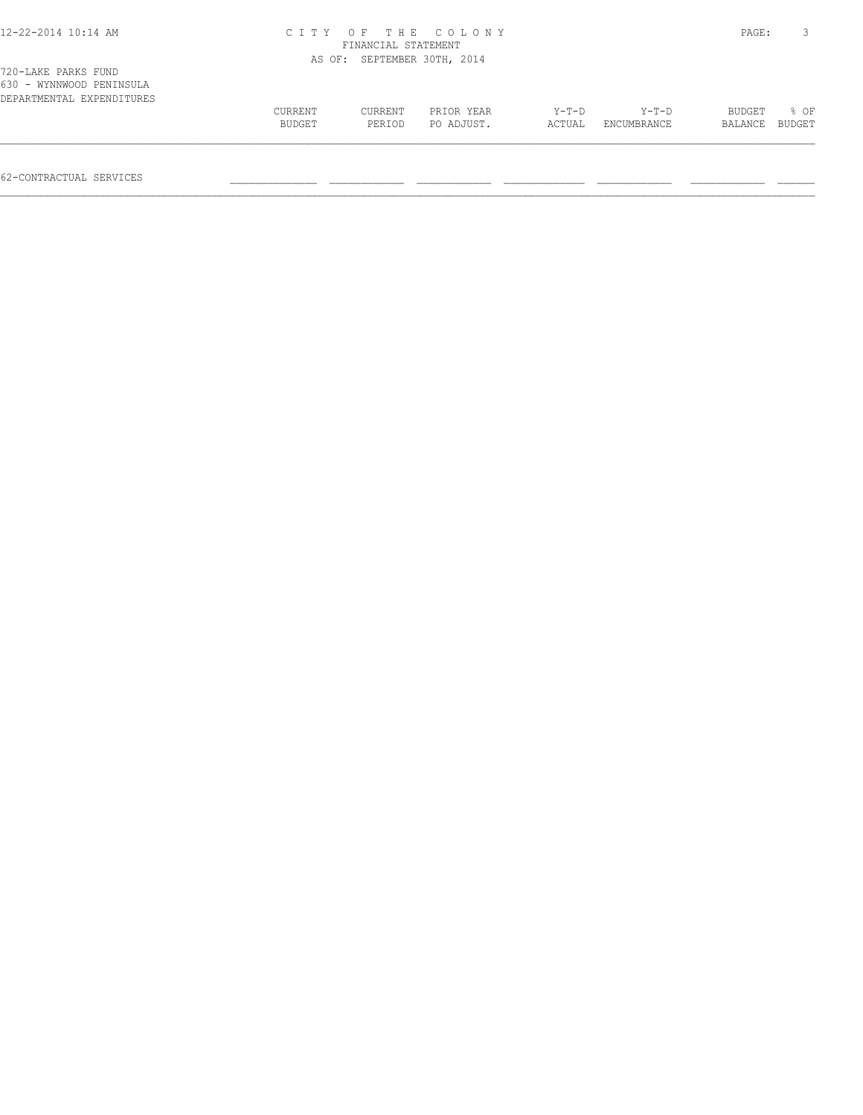| 12-22-2014 10:14 AM                                                          |         | FINANCIAL STATEMENT         | CITY OF THE COLONY |         |             | PAGE:   |        |
|------------------------------------------------------------------------------|---------|-----------------------------|--------------------|---------|-------------|---------|--------|
|                                                                              |         | AS OF: SEPTEMBER 30TH, 2014 |                    |         |             |         |        |
| 720-LAKE PARKS FUND<br>630 - WYNNWOOD PENINSULA<br>DEPARTMENTAL EXPENDITURES |         |                             |                    |         |             |         |        |
|                                                                              | CURRENT | CURRENT                     | PRIOR YEAR         | $Y-T-D$ | $Y-T-D$     | BUDGET  | 8 OF   |
|                                                                              | BUDGET  | PERIOD                      | PO ADJUST.         | ACTUAL  | ENCUMBRANCE | BALANCE | BUDGET |

 $\mathcal{L} = \{ \mathcal{L} = \{ \mathcal{L} = \{ \mathcal{L} = \{ \mathcal{L} = \{ \mathcal{L} = \{ \mathcal{L} = \{ \mathcal{L} = \{ \mathcal{L} = \{ \mathcal{L} = \{ \mathcal{L} = \{ \mathcal{L} = \{ \mathcal{L} = \{ \mathcal{L} = \{ \mathcal{L} = \{ \mathcal{L} = \{ \mathcal{L} = \{ \mathcal{L} = \{ \mathcal{L} = \{ \mathcal{L} = \{ \mathcal{L} = \{ \mathcal{L} = \{ \mathcal{L} = \{ \mathcal{L} = \{ \mathcal{$ 

62-CONTRACTUAL SERVICES \_\_\_\_\_\_\_\_\_\_\_\_\_\_ \_\_\_\_\_\_\_\_\_\_\_\_ \_\_\_\_\_\_\_\_\_\_\_\_ \_\_\_\_\_\_\_\_\_\_\_\_\_ \_\_\_\_\_\_\_\_\_\_\_\_ \_\_\_\_\_\_\_\_\_\_\_\_ \_\_\_\_\_\_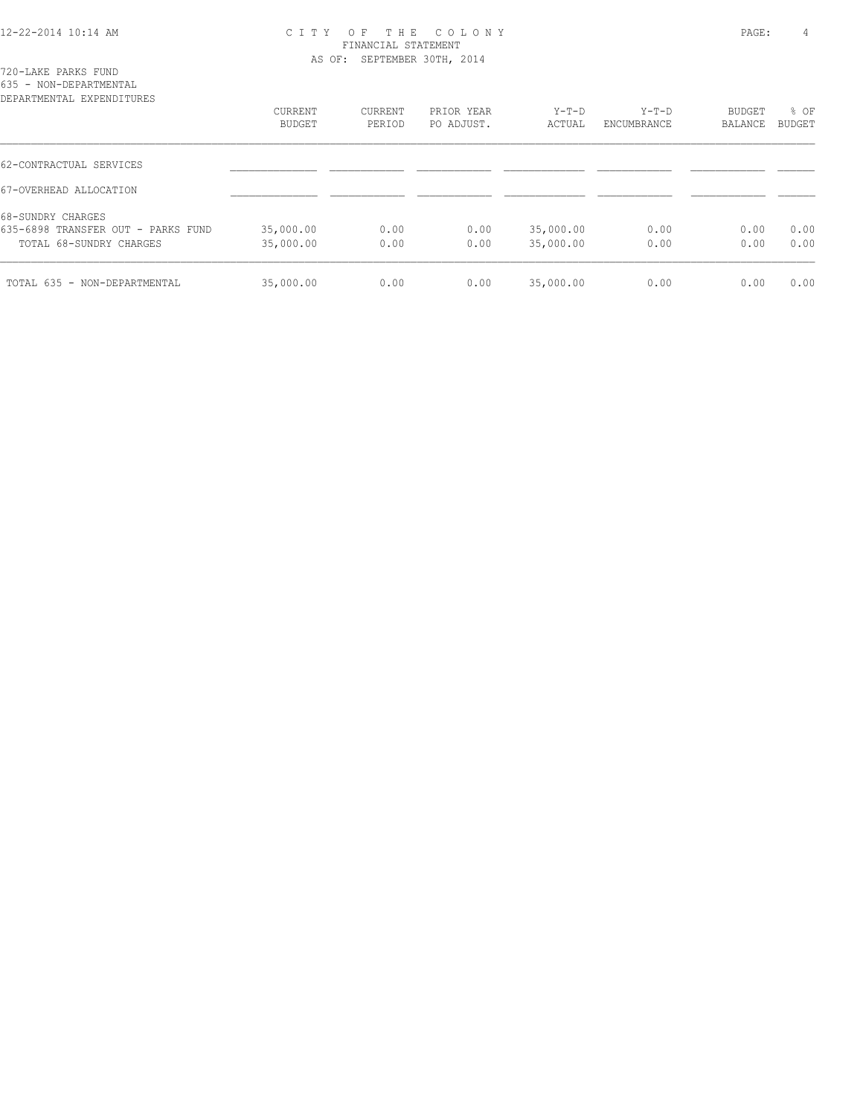|  | 720-LAKE PARKS FUND |                        |  |
|--|---------------------|------------------------|--|
|  |                     | 635 - NON-DEPARTMENTAL |  |

| DEPARTMENTAL EXPENDITURES          |                   |                   |                          |                 |                        |                          |                |
|------------------------------------|-------------------|-------------------|--------------------------|-----------------|------------------------|--------------------------|----------------|
|                                    | CURRENT<br>BUDGET | CURRENT<br>PERIOD | PRIOR YEAR<br>PO ADJUST. | Y-T-D<br>ACTUAL | $Y-T-D$<br>ENCUMBRANCE | <b>BUDGET</b><br>BALANCE | % OF<br>BUDGET |
|                                    |                   |                   |                          |                 |                        |                          |                |
| 62-CONTRACTUAL SERVICES            |                   |                   |                          |                 |                        |                          |                |
| 67-OVERHEAD ALLOCATION             |                   |                   |                          |                 |                        |                          |                |
| 68-SUNDRY CHARGES                  |                   |                   |                          |                 |                        |                          |                |
| 635-6898 TRANSFER OUT - PARKS FUND | 35,000.00         | 0.00              | 0.00                     | 35,000.00       | 0.00                   | 0.00                     | 0.00           |
| TOTAL 68-SUNDRY CHARGES            | 35,000.00         | 0.00              | 0.00                     | 35,000.00       | 0.00                   | 0.00                     | 0.00           |
| TOTAL 635 - NON-DEPARTMENTAL       | 35,000.00         | 0.00              | 0.00                     | 35,000.00       | 0.00                   | 0.00                     | 0.00           |
|                                    |                   |                   |                          |                 |                        |                          |                |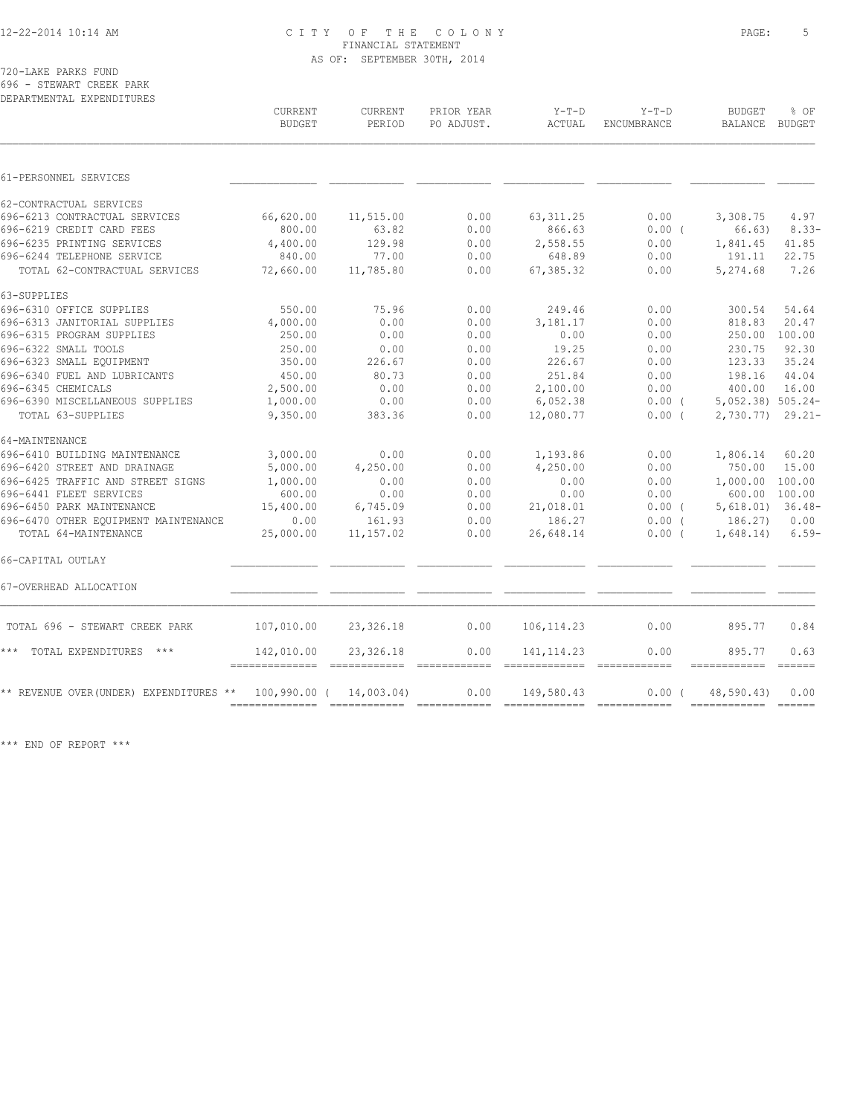720-LAKE PARKS FUND 696 - STEWART CREEK PARK

| DEPARTMENTAL EXPENDITURES                                |                                 |                                                                                                                                                                                                                                                                                                                                                                                                                                                                                                     |                          |                               |                        |                                 |                                 |
|----------------------------------------------------------|---------------------------------|-----------------------------------------------------------------------------------------------------------------------------------------------------------------------------------------------------------------------------------------------------------------------------------------------------------------------------------------------------------------------------------------------------------------------------------------------------------------------------------------------------|--------------------------|-------------------------------|------------------------|---------------------------------|---------------------------------|
|                                                          | <b>CURRENT</b><br><b>BUDGET</b> | <b>CURRENT</b><br>PERIOD                                                                                                                                                                                                                                                                                                                                                                                                                                                                            | PRIOR YEAR<br>PO ADJUST. | $Y-T-D$<br>ACTUAL             | $Y-T-D$<br>ENCUMBRANCE | <b>BUDGET</b><br><b>BALANCE</b> | % OF<br>BUDGET                  |
| 61-PERSONNEL SERVICES                                    |                                 |                                                                                                                                                                                                                                                                                                                                                                                                                                                                                                     |                          |                               |                        |                                 |                                 |
|                                                          |                                 |                                                                                                                                                                                                                                                                                                                                                                                                                                                                                                     |                          |                               |                        |                                 |                                 |
| 62-CONTRACTUAL SERVICES<br>696-6213 CONTRACTUAL SERVICES | 66,620.00                       | 11,515.00                                                                                                                                                                                                                                                                                                                                                                                                                                                                                           | 0.00                     | 63, 311.25                    | 0.00                   | 3,308.75                        | 4.97                            |
| 696-6219 CREDIT CARD FEES                                | 800.00                          | 63.82                                                                                                                                                                                                                                                                                                                                                                                                                                                                                               | 0.00                     | 866.63                        | 0.00(                  | 66.63)                          | $8.33 -$                        |
| 696-6235 PRINTING SERVICES                               | 4,400.00                        | 129.98                                                                                                                                                                                                                                                                                                                                                                                                                                                                                              | 0.00                     | 2,558.55                      | 0.00                   | 1,841.45                        | 41.85                           |
| 696-6244 TELEPHONE SERVICE                               | 840.00                          | 77.00                                                                                                                                                                                                                                                                                                                                                                                                                                                                                               | 0.00                     | 648.89                        | 0.00                   | 191.11                          | 22.75                           |
| TOTAL 62-CONTRACTUAL SERVICES                            | 72,660.00                       | 11,785.80                                                                                                                                                                                                                                                                                                                                                                                                                                                                                           | 0.00                     | 67,385.32                     | 0.00                   | 5,274.68                        | 7.26                            |
| 63-SUPPLIES                                              |                                 |                                                                                                                                                                                                                                                                                                                                                                                                                                                                                                     |                          |                               |                        |                                 |                                 |
| 696-6310 OFFICE SUPPLIES                                 | 550.00                          | 75.96                                                                                                                                                                                                                                                                                                                                                                                                                                                                                               | 0.00                     | 249.46                        | 0.00                   | 300.54                          | 54.64                           |
| 696-6313 JANITORIAL SUPPLIES                             | 4,000.00                        | 0.00                                                                                                                                                                                                                                                                                                                                                                                                                                                                                                | 0.00                     | 3,181.17                      | 0.00                   | 818.83                          | 20.47                           |
| 696-6315 PROGRAM SUPPLIES                                | 250.00                          | 0.00                                                                                                                                                                                                                                                                                                                                                                                                                                                                                                | 0.00                     | 0.00                          | 0.00                   | 250.00                          | 100.00                          |
| 696-6322 SMALL TOOLS                                     | 250.00                          | 0.00                                                                                                                                                                                                                                                                                                                                                                                                                                                                                                | 0.00                     | 19.25                         | 0.00                   | 230.75                          | 92.30                           |
| 696-6323 SMALL EQUIPMENT                                 | 350.00                          | 226.67                                                                                                                                                                                                                                                                                                                                                                                                                                                                                              | 0.00                     | 226.67                        | 0.00                   | 123.33                          | 35.24                           |
| 696-6340 FUEL AND LUBRICANTS                             | 450.00                          | 80.73                                                                                                                                                                                                                                                                                                                                                                                                                                                                                               | 0.00                     | 251.84                        | 0.00                   | 198.16                          | 44.04                           |
| 696-6345 CHEMICALS                                       | 2,500.00                        | 0.00                                                                                                                                                                                                                                                                                                                                                                                                                                                                                                | 0.00                     | 2,100.00                      | 0.00                   | 400.00                          | 16.00                           |
| 696-6390 MISCELLANEOUS SUPPLIES                          | 1,000.00                        | 0.00                                                                                                                                                                                                                                                                                                                                                                                                                                                                                                | 0.00                     | 6,052.38                      | $0.00$ (               | 5,052.38) 505.24-               |                                 |
| TOTAL 63-SUPPLIES                                        | 9,350.00                        | 383.36                                                                                                                                                                                                                                                                                                                                                                                                                                                                                              | 0.00                     | 12,080.77                     | 0.00(                  | 2,730.77)                       | $29.21 -$                       |
| 64-MAINTENANCE                                           |                                 |                                                                                                                                                                                                                                                                                                                                                                                                                                                                                                     |                          |                               |                        |                                 |                                 |
| 696-6410 BUILDING MAINTENANCE                            | 3,000.00                        | 0.00                                                                                                                                                                                                                                                                                                                                                                                                                                                                                                | 0.00                     | 1,193.86                      | 0.00                   | 1,806.14                        | 60.20                           |
| 696-6420 STREET AND DRAINAGE                             | 5,000.00                        | 4,250.00                                                                                                                                                                                                                                                                                                                                                                                                                                                                                            | 0.00                     | 4,250.00                      | 0.00                   | 750.00                          | 15.00                           |
| 696-6425 TRAFFIC AND STREET SIGNS                        | 1,000.00                        | 0.00                                                                                                                                                                                                                                                                                                                                                                                                                                                                                                | 0.00                     | 0.00                          | 0.00                   | 1,000.00                        | 100.00                          |
| 696-6441 FLEET SERVICES                                  | 600.00                          | 0.00                                                                                                                                                                                                                                                                                                                                                                                                                                                                                                | 0.00                     | 0.00                          | 0.00                   | 600.00 100.00                   |                                 |
| 696-6450 PARK MAINTENANCE                                | 15,400.00                       | 6,745.09                                                                                                                                                                                                                                                                                                                                                                                                                                                                                            | 0.00                     | 21,018.01                     | $0.00$ (               | 5,618.01)                       | $36.48-$                        |
| 696-6470 OTHER EQUIPMENT MAINTENANCE                     | 0.00                            | 161.93                                                                                                                                                                                                                                                                                                                                                                                                                                                                                              | 0.00                     | 186.27                        | $0.00$ (               | 186.27)                         | 0.00                            |
| TOTAL 64-MAINTENANCE                                     | 25,000.00                       | 11,157.02                                                                                                                                                                                                                                                                                                                                                                                                                                                                                           | 0.00                     | 26,648.14                     | $0.00$ (               | 1,648.14)                       | $6.59-$                         |
| 66-CAPITAL OUTLAY                                        |                                 |                                                                                                                                                                                                                                                                                                                                                                                                                                                                                                     |                          |                               |                        |                                 |                                 |
| 67-OVERHEAD ALLOCATION                                   |                                 |                                                                                                                                                                                                                                                                                                                                                                                                                                                                                                     |                          |                               |                        |                                 |                                 |
| TOTAL 696 - STEWART CREEK PARK                           | 107,010.00                      | 23,326.18                                                                                                                                                                                                                                                                                                                                                                                                                                                                                           | 0.00                     | 106, 114.23                   | 0.00                   | 895.77                          | 0.84                            |
| * * *<br>TOTAL EXPENDITURES<br>$***$                     | 142,010.00<br>--------------    | 23,326.18<br>$\begin{array}{cccccccccc} \multicolumn{2}{c}{} & \multicolumn{2}{c}{} & \multicolumn{2}{c}{} & \multicolumn{2}{c}{} & \multicolumn{2}{c}{} & \multicolumn{2}{c}{} & \multicolumn{2}{c}{} & \multicolumn{2}{c}{} & \multicolumn{2}{c}{} & \multicolumn{2}{c}{} & \multicolumn{2}{c}{} & \multicolumn{2}{c}{} & \multicolumn{2}{c}{} & \multicolumn{2}{c}{} & \multicolumn{2}{c}{} & \multicolumn{2}{c}{} & \multicolumn{2}{c}{} & \multicolumn{2}{c}{} & \multicolumn{2}{c}{} & \mult$ | 0.00<br>eccessesses      | 141, 114.23<br>-------------- | 0.00                   | 895.77<br>------------          | 0.63<br>$=$ $=$ $=$ $=$ $=$ $=$ |
| ** REVENUE OVER(UNDER) EXPENDITURES **                   | 100,990.00 (                    | 14,003.04)                                                                                                                                                                                                                                                                                                                                                                                                                                                                                          | 0.00                     | 149,580.43                    | 0.00(                  | 48,590.43)                      | 0.00                            |
|                                                          |                                 |                                                                                                                                                                                                                                                                                                                                                                                                                                                                                                     |                          |                               |                        |                                 |                                 |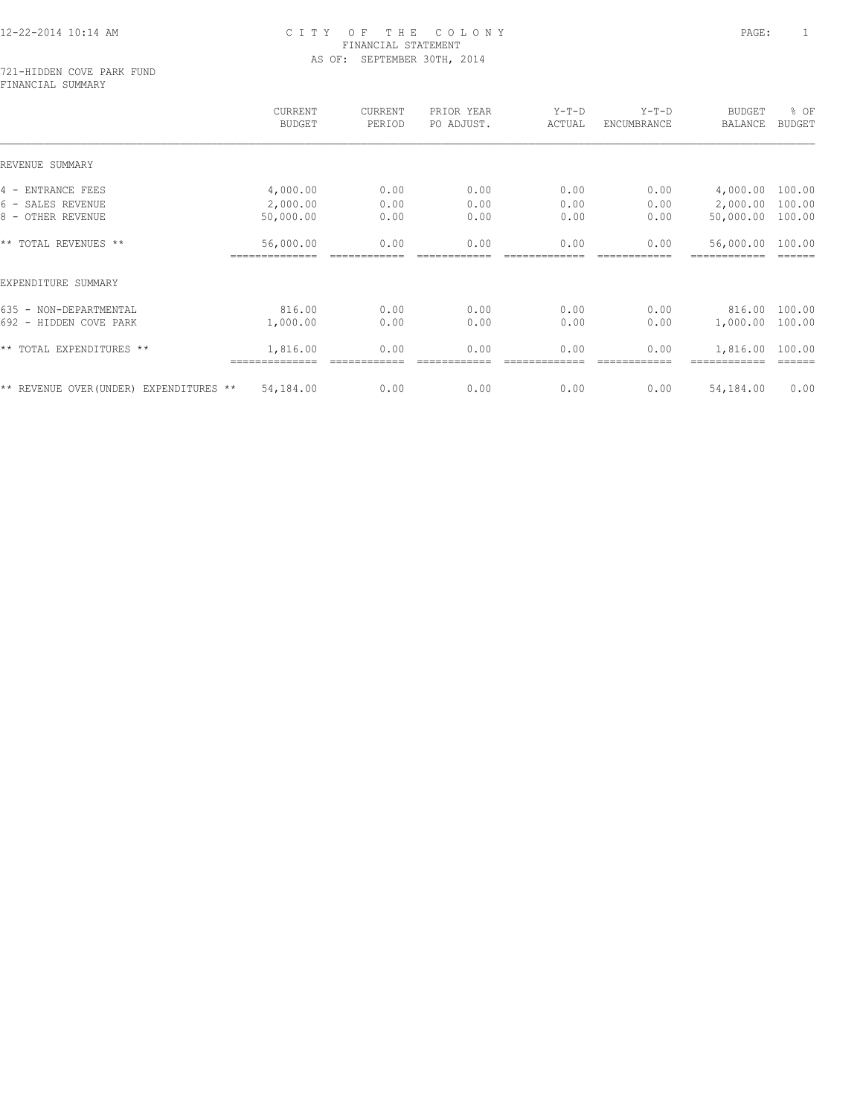#### 721-HIDDEN COVE PARK FUND FINANCIAL SUMMARY

|                                         | CURRENT<br><b>BUDGET</b> | CURRENT<br>PERIOD | PRIOR YEAR<br>PO ADJUST. | $Y-T-D$<br>ACTUAL | $Y-T-D$<br>ENCUMBRANCE | <b>BUDGET</b><br>BALANCE | % OF<br><b>BUDGET</b> |
|-----------------------------------------|--------------------------|-------------------|--------------------------|-------------------|------------------------|--------------------------|-----------------------|
| REVENUE SUMMARY                         |                          |                   |                          |                   |                        |                          |                       |
| 4 - ENTRANCE FEES                       | 4,000.00                 | 0.00              | 0.00                     | 0.00              | 0.00                   | 4,000.00                 | 100.00                |
| 6 - SALES REVENUE                       | 2,000.00                 | 0.00              | 0.00                     | 0.00              | 0.00                   | 2,000.00                 | 100.00                |
| 8 - OTHER REVENUE                       | 50,000.00                | 0.00              | 0.00                     | 0.00              | 0.00                   | 50,000.00                | 100.00                |
| ** TOTAL REVENUES **                    | 56,000.00                | 0.00              | 0.00                     | 0.00              | 0.00                   | 56,000.00                | 100.00                |
| EXPENDITURE SUMMARY                     |                          |                   |                          |                   |                        |                          |                       |
| 635 - NON-DEPARTMENTAL                  | 816.00                   | 0.00              | 0.00                     | 0.00              | 0.00                   | 816.00                   | 100.00                |
| 692 - HIDDEN COVE PARK                  | 1,000.00                 | 0.00              | 0.00                     | 0.00              | 0.00                   | 1,000.00                 | 100.00                |
| ** TOTAL EXPENDITURES **                | 1,816.00                 | 0.00              | 0.00                     | 0.00              | 0.00                   | 1,816.00                 | 100.00                |
| ** REVENUE OVER (UNDER) EXPENDITURES ** | 54,184.00                | 0.00              | 0.00                     | 0.00              | 0.00                   | 54,184.00                | 0.00                  |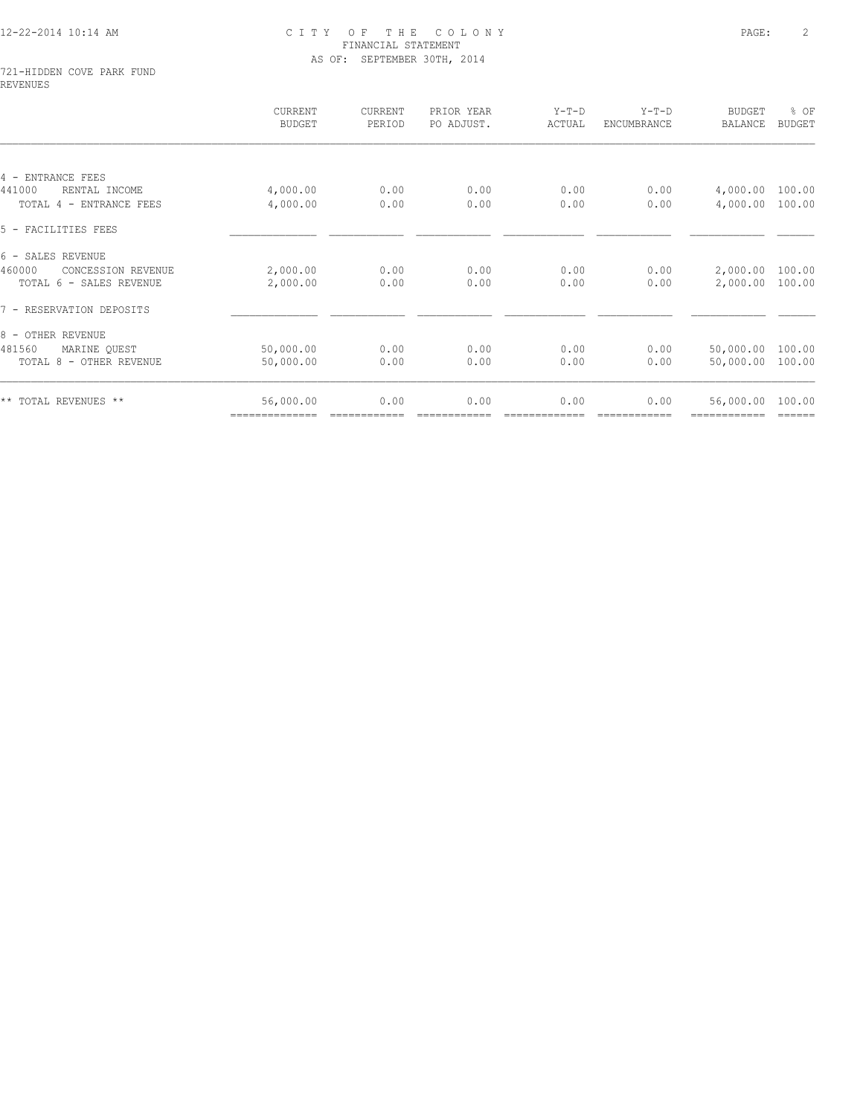#### 721-HIDDEN COVE PARK FUND REVENUES

|                              | CURRENT<br><b>BUDGET</b> | CURRENT<br>PERIOD | PRIOR YEAR<br>PO ADJUST. | $Y-T-D$<br>ACTUAL | $Y-T-D$<br>ENCUMBRANCE | <b>BUDGET</b><br><b>BALANCE</b> | % OF<br><b>BUDGET</b> |
|------------------------------|--------------------------|-------------------|--------------------------|-------------------|------------------------|---------------------------------|-----------------------|
|                              |                          |                   |                          |                   |                        |                                 |                       |
| 4 - ENTRANCE FEES            |                          |                   |                          |                   |                        |                                 |                       |
| 441000<br>RENTAL INCOME      | 4,000.00                 | 0.00              | 0.00                     | 0.00              | 0.00                   | 4,000.00                        | 100.00                |
| TOTAL 4 - ENTRANCE FEES      | 4,000.00                 | 0.00              | 0.00                     | 0.00              | 0.00                   | 4,000.00                        | 100.00                |
| 5 - FACILITIES FEES          |                          |                   |                          |                   |                        |                                 |                       |
| 6 - SALES REVENUE            |                          |                   |                          |                   |                        |                                 |                       |
| 460000<br>CONCESSION REVENUE | 2,000.00                 | 0.00              | 0.00                     | 0.00              | 0.00                   | 2,000.00                        | 100.00                |
| TOTAL 6 - SALES REVENUE      | 2,000.00                 | 0.00              | 0.00                     | 0.00              | 0.00                   | 2,000.00                        | 100.00                |
| 7 - RESERVATION DEPOSITS     |                          |                   |                          |                   |                        |                                 |                       |
| 8 - OTHER REVENUE            |                          |                   |                          |                   |                        |                                 |                       |
| 481560<br>MARINE OUEST       | 50,000.00                | 0.00              | 0.00                     | 0.00              | 0.00                   | 50,000.00                       | 100.00                |
| TOTAL 8 - OTHER REVENUE      | 50,000.00                | 0.00              | 0.00                     | 0.00              | 0.00                   | 50,000.00                       | 100.00                |
| ** TOTAL REVENUES **         | 56,000.00                | 0.00              | 0.00                     | 0.00              | 0.00                   | 56,000.00                       | 100.00                |
|                              | ==============           |                   |                          |                   |                        |                                 | ======                |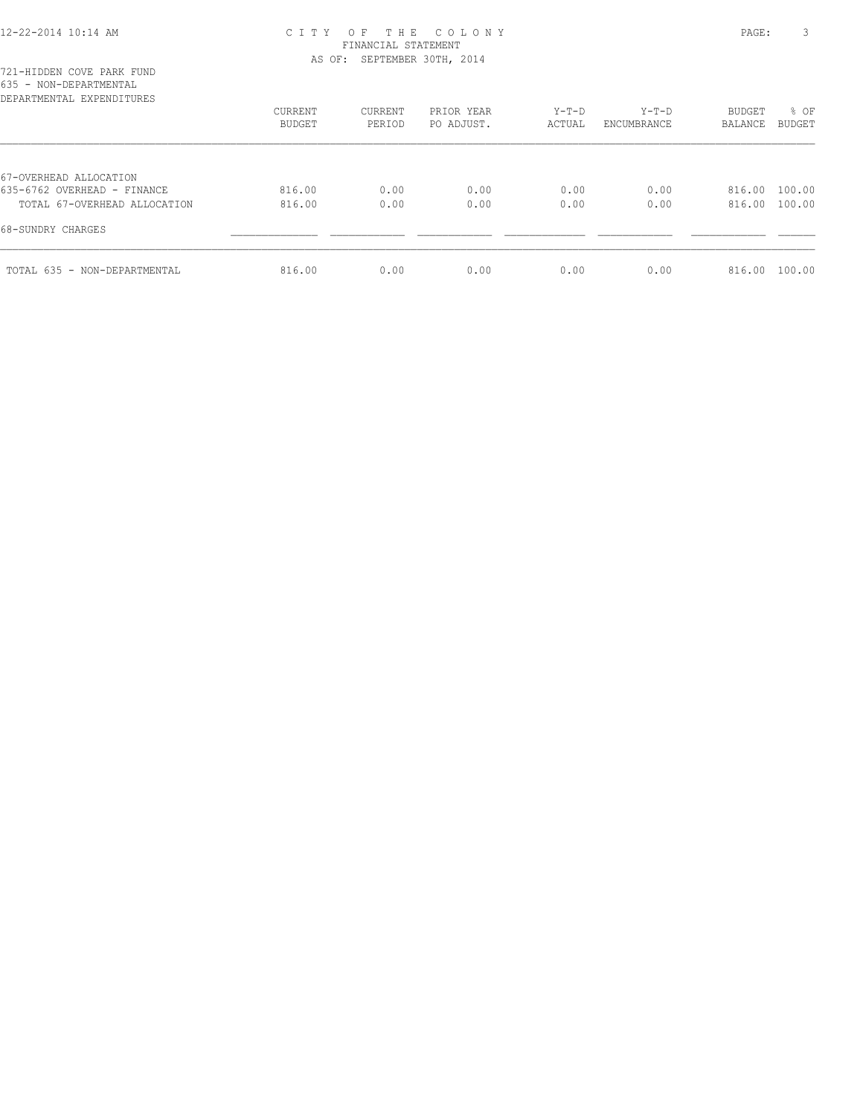| DEPARTMENTAL EXPENDITURES    | CURRENT<br>BUDGET | CURRENT<br>PERIOD | PRIOR YEAR<br>PO ADJUST. | $Y-T-D$<br>ACTUAL | $Y-T-D$<br>ENCUMBRANCE | <b>BUDGET</b><br>BALANCE | % OF<br>BUDGET |
|------------------------------|-------------------|-------------------|--------------------------|-------------------|------------------------|--------------------------|----------------|
|                              |                   |                   |                          |                   |                        |                          |                |
| 67-OVERHEAD ALLOCATION       |                   |                   |                          |                   |                        |                          |                |
| 635-6762 OVERHEAD - FINANCE  | 816.00            | 0.00              | 0.00                     | 0.00              | 0.00                   | 816.00                   | 100.00         |
| TOTAL 67-OVERHEAD ALLOCATION | 816.00            | 0.00              | 0.00                     | 0.00              | 0.00                   | 816.00                   | 100.00         |
| 68-SUNDRY CHARGES            |                   |                   |                          |                   |                        |                          |                |
| TOTAL 635 - NON-DEPARTMENTAL | 816.00            | 0.00              | 0.00                     | 0.00              | 0.00                   | 816.00                   | 100.00         |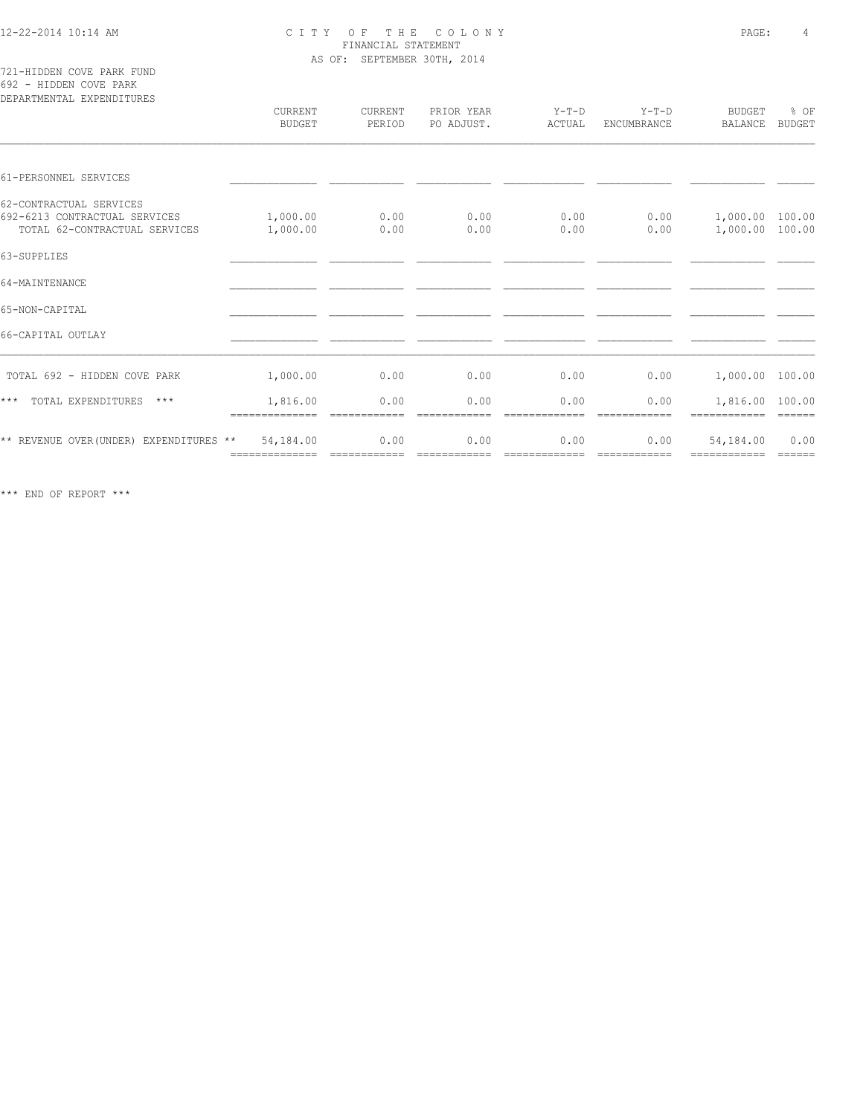721-HIDDEN COVE PARK FUND 692 - HIDDEN COVE PARK

| DEPARTMENTAL EXPENDITURES                                                                 | CURRENT<br><b>BUDGET</b> | CURRENT<br>PERIOD | PRIOR YEAR<br>PO ADJUST. | $Y-T-D$<br>ACTUAL     | $Y-T-D$<br><b>ENCUMBRANCE</b> | BUDGET<br><b>BALANCE</b>           | % OF<br><b>BUDGET</b>                                                                                                                                                                                                                                                                                                                                                                                                                                                                          |
|-------------------------------------------------------------------------------------------|--------------------------|-------------------|--------------------------|-----------------------|-------------------------------|------------------------------------|------------------------------------------------------------------------------------------------------------------------------------------------------------------------------------------------------------------------------------------------------------------------------------------------------------------------------------------------------------------------------------------------------------------------------------------------------------------------------------------------|
| 61-PERSONNEL SERVICES                                                                     |                          |                   |                          |                       |                               |                                    |                                                                                                                                                                                                                                                                                                                                                                                                                                                                                                |
| 62-CONTRACTUAL SERVICES<br>692-6213 CONTRACTUAL SERVICES<br>TOTAL 62-CONTRACTUAL SERVICES | 1,000.00<br>1,000.00     | 0.00<br>0.00      | 0.00<br>0.00             | 0.00<br>0.00          | 0.00<br>0.00                  | 1,000.00 100.00<br>1,000.00 100.00 |                                                                                                                                                                                                                                                                                                                                                                                                                                                                                                |
| 63-SUPPLIES                                                                               |                          |                   |                          |                       |                               |                                    |                                                                                                                                                                                                                                                                                                                                                                                                                                                                                                |
| 64-MAINTENANCE                                                                            |                          |                   |                          |                       |                               |                                    |                                                                                                                                                                                                                                                                                                                                                                                                                                                                                                |
| 65-NON-CAPITAL                                                                            |                          |                   |                          |                       |                               |                                    |                                                                                                                                                                                                                                                                                                                                                                                                                                                                                                |
| 66-CAPITAL OUTLAY                                                                         |                          |                   |                          |                       |                               |                                    |                                                                                                                                                                                                                                                                                                                                                                                                                                                                                                |
| TOTAL 692 - HIDDEN COVE PARK                                                              | 1,000.00                 | 0.00              | 0.00                     | 0.00                  | 0.00                          | 1,000.00 100.00                    |                                                                                                                                                                                                                                                                                                                                                                                                                                                                                                |
| TOTAL EXPENDITURES<br>$***$<br>$***$                                                      | 1,816.00                 | 0.00              | 0.00                     | 0.00                  | 0.00                          | 1,816.00 100.00                    |                                                                                                                                                                                                                                                                                                                                                                                                                                                                                                |
| ** REVENUE OVER (UNDER) EXPENDITURES **                                                   | 54,184.00                | 0.00              | 0.00                     | 0.00<br>============= | 0.00<br>============          | 54,184.00<br>============          | 0.00<br>$\begin{array}{cccccccccc} \multicolumn{2}{c}{} & \multicolumn{2}{c}{} & \multicolumn{2}{c}{} & \multicolumn{2}{c}{} & \multicolumn{2}{c}{} & \multicolumn{2}{c}{} & \multicolumn{2}{c}{} & \multicolumn{2}{c}{} & \multicolumn{2}{c}{} & \multicolumn{2}{c}{} & \multicolumn{2}{c}{} & \multicolumn{2}{c}{} & \multicolumn{2}{c}{} & \multicolumn{2}{c}{} & \multicolumn{2}{c}{} & \multicolumn{2}{c}{} & \multicolumn{2}{c}{} & \multicolumn{2}{c}{} & \multicolumn{2}{c}{} & \mult$ |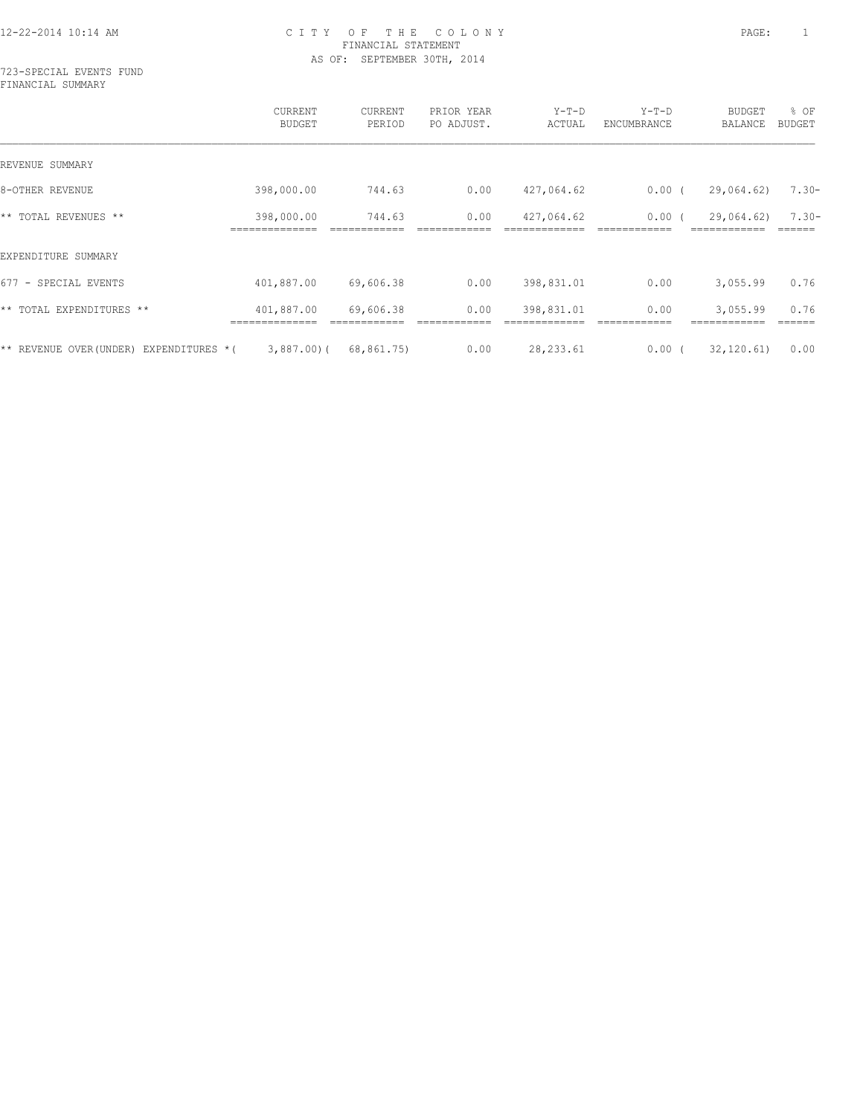723-SPECIAL EVENTS FUND FINANCIAL SUMMARY

|                                        | CURRENT<br><b>BUDGET</b> | CURRENT<br>PERIOD | PRIOR YEAR<br>PO ADJUST. | $Y-T-D$<br>ACTUAL | $Y-T-D$<br>ENCUMBRANCE | BUDGET<br>BALANCE | % OF<br><b>BUDGET</b> |
|----------------------------------------|--------------------------|-------------------|--------------------------|-------------------|------------------------|-------------------|-----------------------|
| REVENUE SUMMARY                        |                          |                   |                          |                   |                        |                   |                       |
| 8-OTHER REVENUE                        | 398,000.00               | 744.63            | 0.00                     | 427,064.62        | $0.00$ (               | 29,064.62)        | $7.30 -$              |
| ** TOTAL REVENUES **                   | 398,000.00               | 744.63            | 0.00                     | 427,064.62        | $0.00$ (               | 29,064.62)        | $7.30 -$              |
| EXPENDITURE SUMMARY                    |                          |                   |                          |                   |                        |                   |                       |
| 677 - SPECIAL EVENTS                   | 401,887.00               | 69,606.38         | 0.00                     | 398,831.01        | 0.00                   | 3,055.99          | 0.76                  |
| ** TOTAL EXPENDITURES **               | 401,887.00               | 69,606.38         | 0.00                     | 398,831.01        | 0.00                   | 3,055.99          | 0.76                  |
| ** REVENUE OVER(UNDER) EXPENDITURES *( | $3,887,00$ ) (           | 68,861.75)        | 0.00                     | 28, 233.61        | $0.00$ (               | 32, 120.61        | 0.00                  |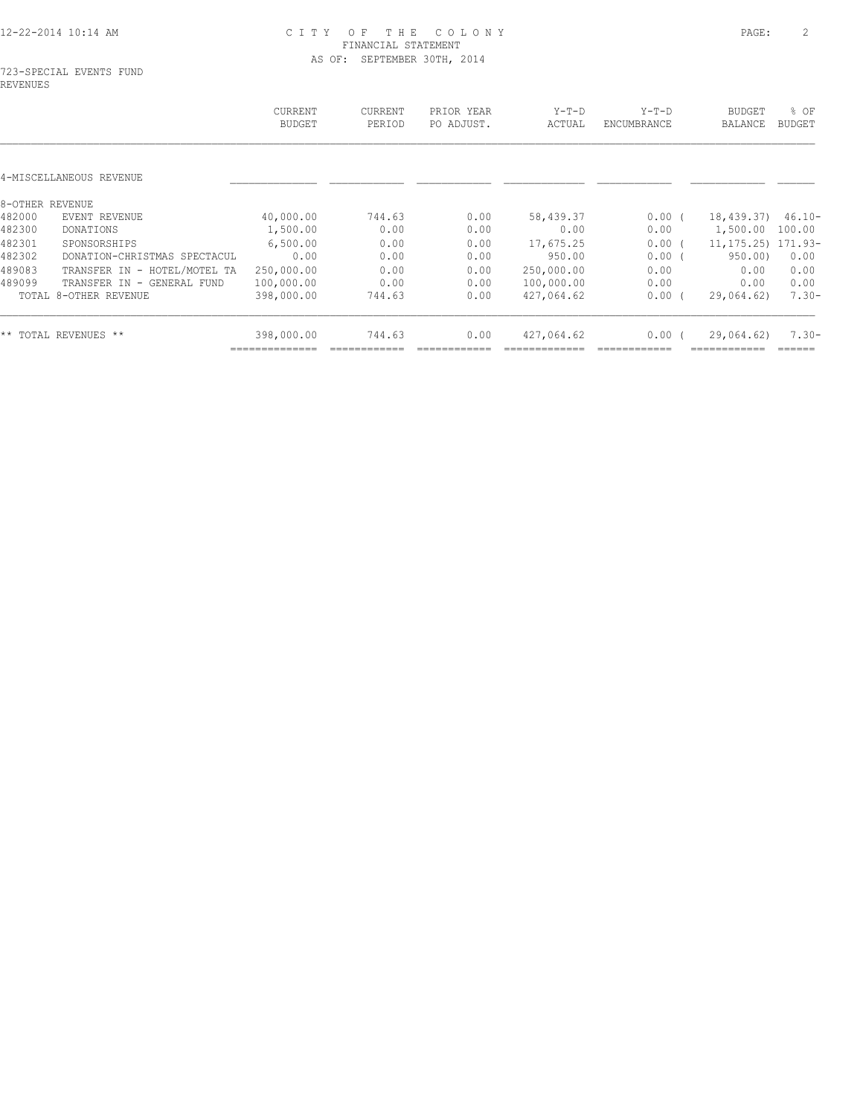|                              | CURRENT<br><b>BUDGET</b>                                                                    | CURRENT<br>PERIOD | PRIOR YEAR<br>PO ADJUST. | $Y-T-D$<br>ACTUAL | $Y-T-D$<br>ENCUMBRANCE | <b>BUDGET</b><br>BALANCE | % OF<br><b>BUDGET</b>               |
|------------------------------|---------------------------------------------------------------------------------------------|-------------------|--------------------------|-------------------|------------------------|--------------------------|-------------------------------------|
|                              |                                                                                             |                   |                          |                   |                        |                          |                                     |
|                              |                                                                                             |                   |                          |                   |                        |                          |                                     |
| EVENT REVENUE                |                                                                                             |                   |                          |                   |                        |                          | $46.10 -$                           |
| DONATIONS                    | 1,500.00                                                                                    | 0.00              | 0.00                     | 0.00              | 0.00                   | 1,500.00                 | 100.00                              |
| SPONSORSHIPS                 | 6,500.00                                                                                    | 0.00              | 0.00                     | 17,675.25         | 0.00(                  |                          |                                     |
| DONATION-CHRISTMAS SPECTACUL | 0.00                                                                                        | 0.00              | 0.00                     | 950.00            | 0.00                   | 950.00                   | 0.00                                |
| TRANSFER IN - HOTEL/MOTEL TA | 250,000.00                                                                                  | 0.00              | 0.00                     | 250,000.00        | 0.00                   | 0.00                     | 0.00                                |
| TRANSFER IN - GENERAL FUND   | 100,000.00                                                                                  | 0.00              | 0.00                     | 100,000.00        | 0.00                   | 0.00                     | 0.00                                |
|                              | 398,000.00                                                                                  | 744.63            | 0.00                     | 427,064.62        | $0.00$ (               | 29,064.62)               | $7.30 -$                            |
|                              | 398,000.00                                                                                  | 744.63            | 0.00                     | 427,064.62        | $0.00$ (               | 29,064.62)               | $7.30 -$                            |
|                              | 4-MISCELLANEOUS REVENUE<br>8-OTHER REVENUE<br>TOTAL 8-OTHER REVENUE<br>** TOTAL REVENUES ** | 40,000.00         | 744.63                   | 0.00              | 58,439.37              | $0.00$ (                 | 18,439.37)<br>11, 175. 25) 171. 93- |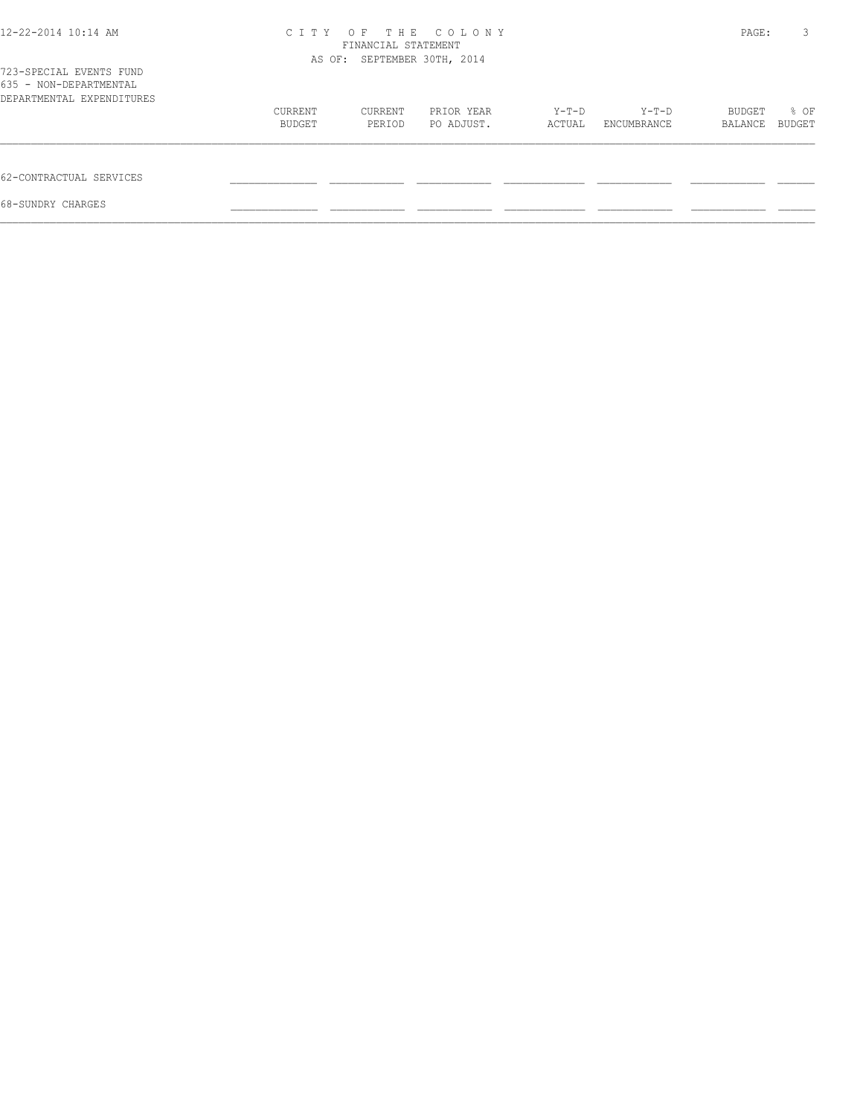| 12-22-2014 10:14 AM                                                            |         | FINANCIAL STATEMENT<br>AS OF: SEPTEMBER 30TH, 2014 | CITY OF THE COLONY |        |             | PAGE:   | 3      |
|--------------------------------------------------------------------------------|---------|----------------------------------------------------|--------------------|--------|-------------|---------|--------|
| 723-SPECIAL EVENTS FUND<br>635 - NON-DEPARTMENTAL<br>DEPARTMENTAL EXPENDITURES |         |                                                    |                    |        |             |         |        |
|                                                                                | CURRENT | CURRENT                                            | PRIOR YEAR         | Y-T-D  | Y-T-D       | BUDGET  | % OF   |
|                                                                                | BUDGET  | PERIOD                                             | PO ADJUST.         | ACTUAL | ENCUMBRANCE | BALANCE | BUDGET |
| 62-CONTRACTUAL SERVICES                                                        |         |                                                    |                    |        |             |         |        |
| 68-SUNDRY CHARGES                                                              |         |                                                    |                    |        |             |         |        |
|                                                                                |         |                                                    |                    |        |             |         |        |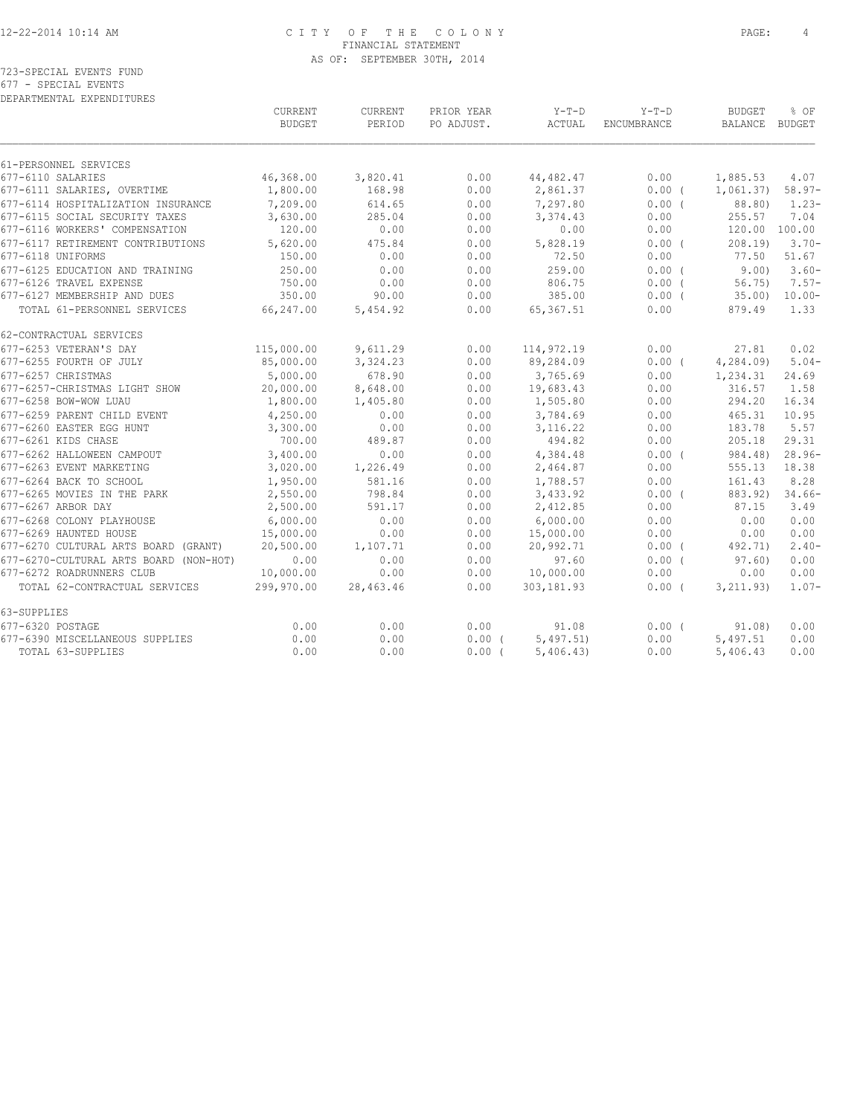|                      |  |  |  | 723-SPECIAL EVENTS FUND   |  |
|----------------------|--|--|--|---------------------------|--|
| 677 - SPECIAL EVENTS |  |  |  |                           |  |
|                      |  |  |  | DEPARTMENTAL EXPENDITURES |  |

|                                        | CURRENT<br><b>BUDGET</b> | CURRENT<br>PERIOD | PRIOR YEAR<br>PO ADJUST. | $Y-T-D$<br>ACTUAL | $Y-T-D$<br>ENCUMBRANCE | BUDGET<br>BALANCE BUDGET | % OF      |
|----------------------------------------|--------------------------|-------------------|--------------------------|-------------------|------------------------|--------------------------|-----------|
| 61-PERSONNEL SERVICES                  |                          |                   |                          |                   |                        |                          |           |
| 677-6110 SALARIES                      | 46,368.00                | 3,820.41          | 0.00                     | 44,482.47         | 0.00                   | 1,885.53                 | 4.07      |
| 677-6111 SALARIES, OVERTIME            | 1,800.00                 | 168.98            | 0.00                     | 2,861.37          | $0.00$ (               | 1,061.37)                | $58.97-$  |
| 677-6114 HOSPITALIZATION INSURANCE     | 7,209.00                 | 614.65            | 0.00                     | 7,297.80          | 0.00(                  | 88.80)                   | $1.23 -$  |
| 677-6115 SOCIAL SECURITY TAXES         | 3,630.00                 | 285.04            | 0.00                     | 3,374.43          | 0.00                   | 255.57                   | 7.04      |
| 677-6116 WORKERS' COMPENSATION         | 120.00                   | 0.00              | 0.00                     | 0.00              | 0.00                   | 120.00 100.00            |           |
| 677-6117 RETIREMENT CONTRIBUTIONS      | 5,620.00                 | 475.84            | 0.00                     | 5,828.19          | 0.00(                  | 208.19                   | $3.70-$   |
| 677-6118 UNIFORMS                      | 150.00                   | 0.00              | 0.00                     | 72.50             | 0.00                   | 77.50                    | 51.67     |
| 677-6125 EDUCATION AND TRAINING        | 250.00                   | 0.00              | 0.00                     | 259.00            | 0.00(                  | 9.00                     | $3.60 -$  |
| 677-6126 TRAVEL EXPENSE                | 750.00                   | 0.00              | 0.00                     | 806.75            | 0.00(                  | 56.75)                   | $7.57-$   |
| 677-6127 MEMBERSHIP AND DUES 350.00    |                          | 90.00             | 0.00                     | 385.00            | $0.00$ (               | 35.00)                   | $10.00 -$ |
| TOTAL 61-PERSONNEL SERVICES            | 66,247.00                | 5,454.92          | 0.00                     | 65,367.51         | 0.00                   | 879.49                   | 1.33      |
| 62-CONTRACTUAL SERVICES                |                          |                   |                          |                   |                        |                          |           |
| 677-6253 VETERAN'S DAY                 | 115,000.00               | 9,611.29          | 0.00                     | 114,972.19        | 0.00                   | 27.81                    | 0.02      |
| 677-6255 FOURTH OF JULY                | 85,000.00                | 3,324.23          | 0.00                     | 89,284.09         | $0.00$ (               | 4,284.09                 | $5.04-$   |
| 677-6257 CHRISTMAS                     | 5,000.00                 | 678.90            | 0.00                     | 3,765.69          | 0.00                   | 1,234.31                 | 24.69     |
| 677-6257-CHRISTMAS LIGHT SHOW          | 20,000.00                | 8,648.00          | 0.00                     | 19,683.43         | 0.00                   | 316.57                   | 1.58      |
| 677-6258 BOW-WOW LUAU                  | 1,800.00                 | 1,405.80          | 0.00                     | 1,505.80          | 0.00                   | 294.20                   | 16.34     |
| 677-6259 PARENT CHILD EVENT            | 4,250.00                 | 0.00              | 0.00                     | 3,784.69          | 0.00                   | 465.31                   | 10.95     |
| 677-6260 EASTER EGG HUNT               | 3,300.00                 | 0.00              | 0.00                     | 3, 116.22         | 0.00                   | 183.78                   | 5.57      |
| 677-6261 KIDS CHASE                    | 700.00                   | 489.87            | 0.00                     | 494.82            | 0.00                   | 205.18                   | 29.31     |
| 677-6262 HALLOWEEN CAMPOUT             | 3,400.00                 | 0.00              | 0.00                     | 4,384.48          | $0.00$ (               | 984.48)                  | $28.96-$  |
| 677-6263 EVENT MARKETING               | 3,020.00                 | 1,226.49          | 0.00                     | 2,464.87          | 0.00                   | 555.13                   | 18.38     |
| 677-6264 BACK TO SCHOOL                | 1,950.00                 | 581.16            | 0.00                     | 1,788.57          | 0.00                   | 161.43                   | 8.28      |
| 677-6265 MOVIES IN THE PARK            | 2,550.00                 | 798.84            | 0.00                     | 3,433.92          | 0.00(                  | 883.92)                  | $34.66-$  |
| 677-6267 ARBOR DAY                     | 2,500.00                 | 591.17            | 0.00                     | 2,412.85          | 0.00                   | 87.15                    | 3.49      |
| 677-6268 COLONY PLAYHOUSE              | 6,000.00                 | 0.00              | 0.00                     | 6,000.00          | 0.00                   | 0.00                     | 0.00      |
| 677-6269 HAUNTED HOUSE                 | 15,000.00                | 0.00              | 0.00                     | 15,000.00         | 0.00                   | 0.00                     | 0.00      |
| 677-6270 CULTURAL ARTS BOARD (GRANT)   | 20,500.00                | 1,107.71          | 0.00                     | 20,992.71         | $0.00$ (               | 492.71)                  | $2.40-$   |
| 677-6270-CULTURAL ARTS BOARD (NON-HOT) | 0.00                     | 0.00              | 0.00                     | 97.60             | 0.00(                  | 97.60                    | 0.00      |
| 677-6272 ROADRUNNERS CLUB              | 10,000.00                | 0.00              | 0.00                     | 10,000.00         | 0.00                   | 0.00                     | 0.00      |
| TOTAL 62-CONTRACTUAL SERVICES          | 299,970.00               | 28,463.46         | 0.00                     | 303,181.93        | $0.00$ (               | 3, 211.93)               | $1.07 -$  |
| 63-SUPPLIES                            |                          |                   |                          |                   |                        |                          |           |
| 677-6320 POSTAGE                       | 0.00                     | 0.00              | 0.00                     | 91.08             | 0.00(                  | 91.08)                   | 0.00      |
| 677-6390 MISCELLANEOUS SUPPLIES        | 0.00                     | 0.00              | $0.00$ (                 | 5,497.51          | 0.00                   | 5,497.51                 | 0.00      |
| TOTAL 63-SUPPLIES                      | 0.00                     | 0.00              | 0.00(                    | 5,406.43          | 0.00                   | 5,406.43                 | 0.00      |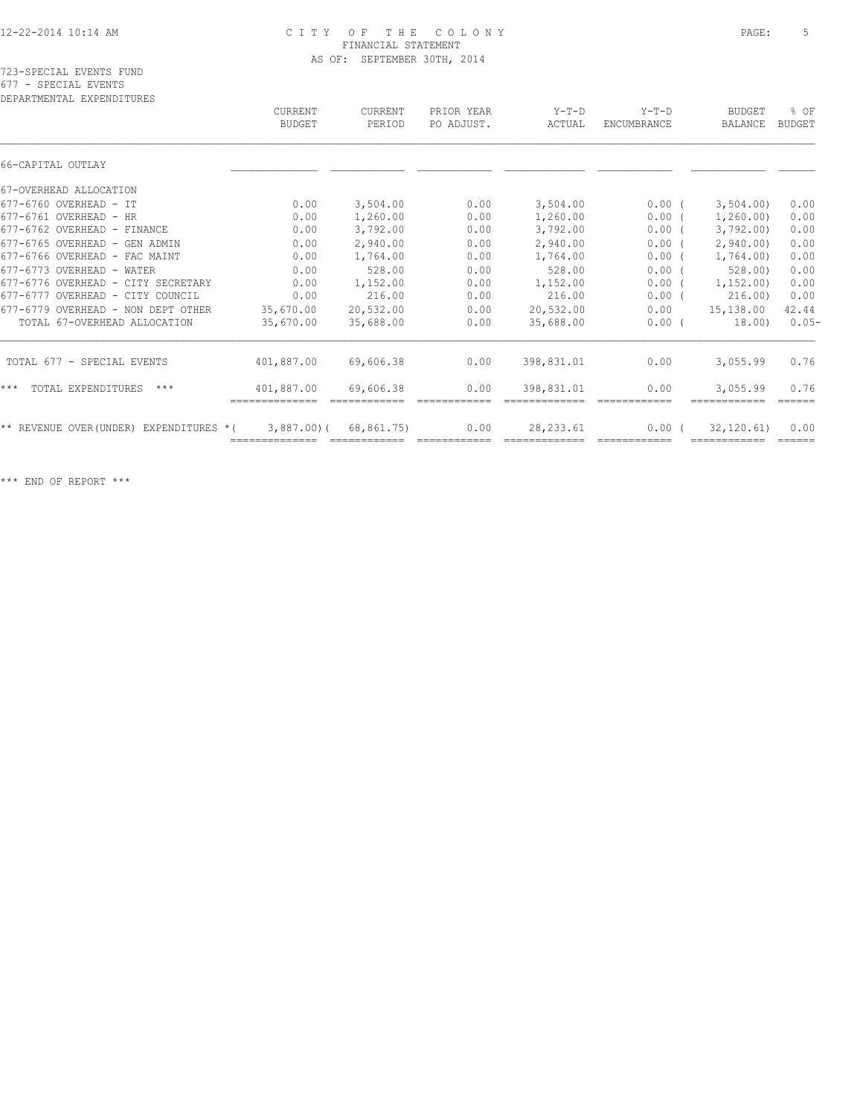| DEPARTMENTAL EXPENDITURES                  | CURRENT<br><b>BUDGET</b> | CURRENT<br>PERIOD | PRIOR YEAR<br>PO ADJUST. | $Y-T-D$<br>ACTUAL | $Y-T-D$<br><b>ENCUMBRANCE</b> | <b>BUDGET</b><br>BALANCE | $8$ OF<br><b>BUDGET</b> |
|--------------------------------------------|--------------------------|-------------------|--------------------------|-------------------|-------------------------------|--------------------------|-------------------------|
| 66-CAPITAL OUTLAY                          |                          |                   |                          |                   |                               |                          |                         |
| 67-OVERHEAD ALLOCATION                     |                          |                   |                          |                   |                               |                          |                         |
| 677-6760 OVERHEAD - IT                     | 0.00                     | 3,504.00          | 0.00                     | 3,504.00          | $0.00$ (                      | 3,504.00                 | 0.00                    |
| 677-6761 OVERHEAD - HR                     | 0.00                     | 1,260.00          | 0.00                     | 1,260.00          | $0.00$ (                      | 1,260.00)                | 0.00                    |
| 677-6762 OVERHEAD - FINANCE                | 0.00                     | 3,792.00          | 0.00                     | 3,792.00          | $0.00$ (                      | 3,792,00)                | 0.00                    |
| 677-6765 OVERHEAD - GEN ADMIN              | 0.00                     | 2,940.00          | 0.00                     | 2,940.00          | $0.00$ (                      | 2,940.00                 | 0.00                    |
| 677-6766 OVERHEAD - FAC MAINT              | 0.00                     | 1,764.00          | 0.00                     | 1,764.00          | $0.00$ (                      | 1,764.00)                | 0.00                    |
| 677-6773 OVERHEAD - WATER                  | 0.00                     | 528.00            | 0.00                     | 528.00            | 0.00(                         | 528.00                   | 0.00                    |
| 677-6776 OVERHEAD - CITY SECRETARY         | 0.00                     | 1,152.00          | 0.00                     | 1,152.00          | 0.00                          | 1, 152, 00)              | 0.00                    |
| 677-6777 OVERHEAD - CITY COUNCIL           | 0.00                     | 216.00            | 0.00                     | 216.00            | 0.00(                         | 216.00                   | 0.00                    |
| 677-6779 OVERHEAD - NON DEPT OTHER         | 35,670.00                | 20,532.00         | 0.00                     | 20,532.00         | 0.00                          | 15,138.00                | 42.44                   |
| TOTAL 67-OVERHEAD ALLOCATION               | 35,670.00                | 35,688.00         | 0.00                     | 35,688.00         | 0.00(                         | 18.00)                   | $0.05-$                 |
| TOTAL 677 - SPECIAL EVENTS                 | 401,887.00               | 69,606.38         | 0.00                     | 398,831.01        | 0.00                          | 3,055.99                 | 0.76                    |
| $***$<br>TOTAL EXPENDITURES<br>$***$       | 401,887.00               | 69,606.38         | 0.00                     | 398,831.01        | 0.00<br>============          | 3,055.99                 | 0.76<br>======          |
| ** REVENUE OVER (UNDER)<br>EXPENDITURES *( | $3,887.00$ (             | 68,861.75)        | 0.00                     | 28, 233.61        | 0.00                          | 32, 120.61               | 0.00                    |
|                                            |                          |                   |                          |                   |                               |                          |                         |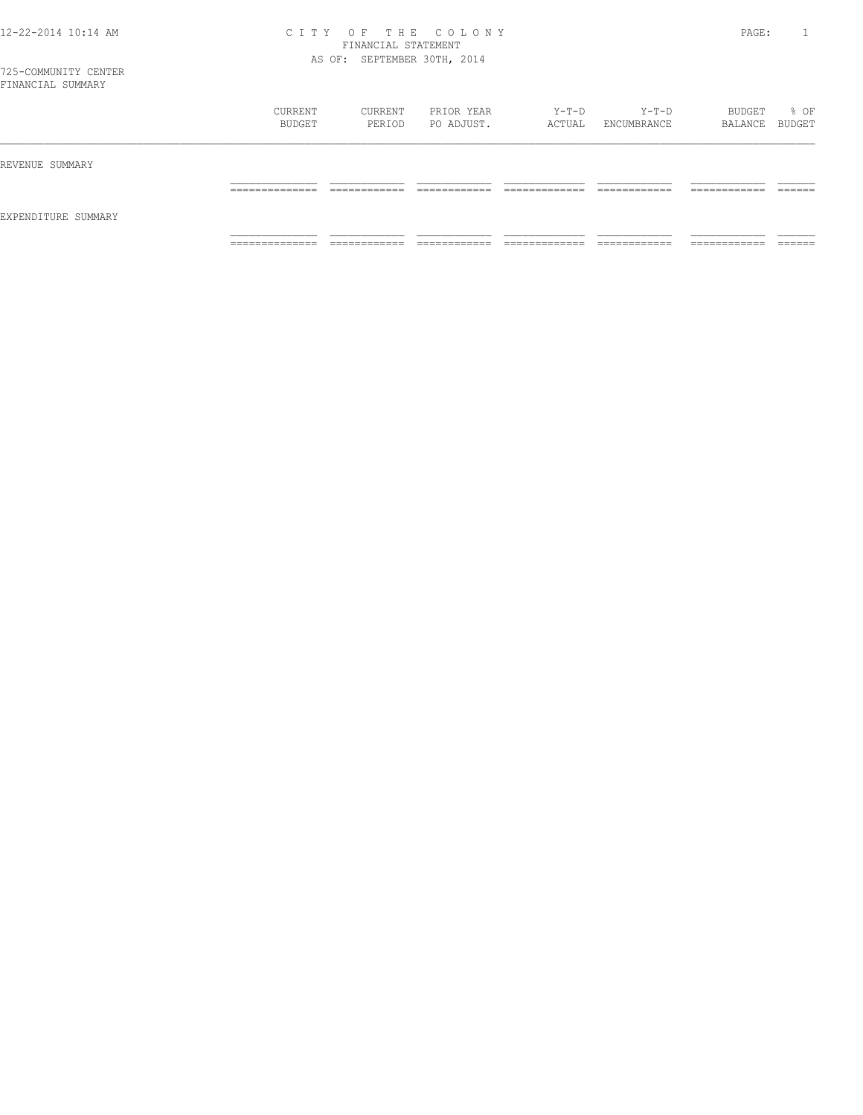| FINANCIAL SUMMARY   |                                |                   |                          |                 |                        |                          |                  |
|---------------------|--------------------------------|-------------------|--------------------------|-----------------|------------------------|--------------------------|------------------|
|                     | CURRENT<br>BUDGET              | CURRENT<br>PERIOD | PRIOR YEAR<br>PO ADJUST. | Y-T-D<br>ACTUAL | Y-T-D<br>ENCUMBRANCE   | BUDGET<br>BALANCE        | % OF<br>BUDGET   |
| REVENUE SUMMARY     |                                |                   |                          |                 |                        |                          |                  |
|                     |                                |                   |                          |                 |                        |                          |                  |
| EXPENDITURE SUMMARY |                                |                   |                          |                 |                        |                          |                  |
|                     | ____________<br>______________ | ________          |                          |                 | _________<br>_________ | __________<br>__________ | ______<br>______ |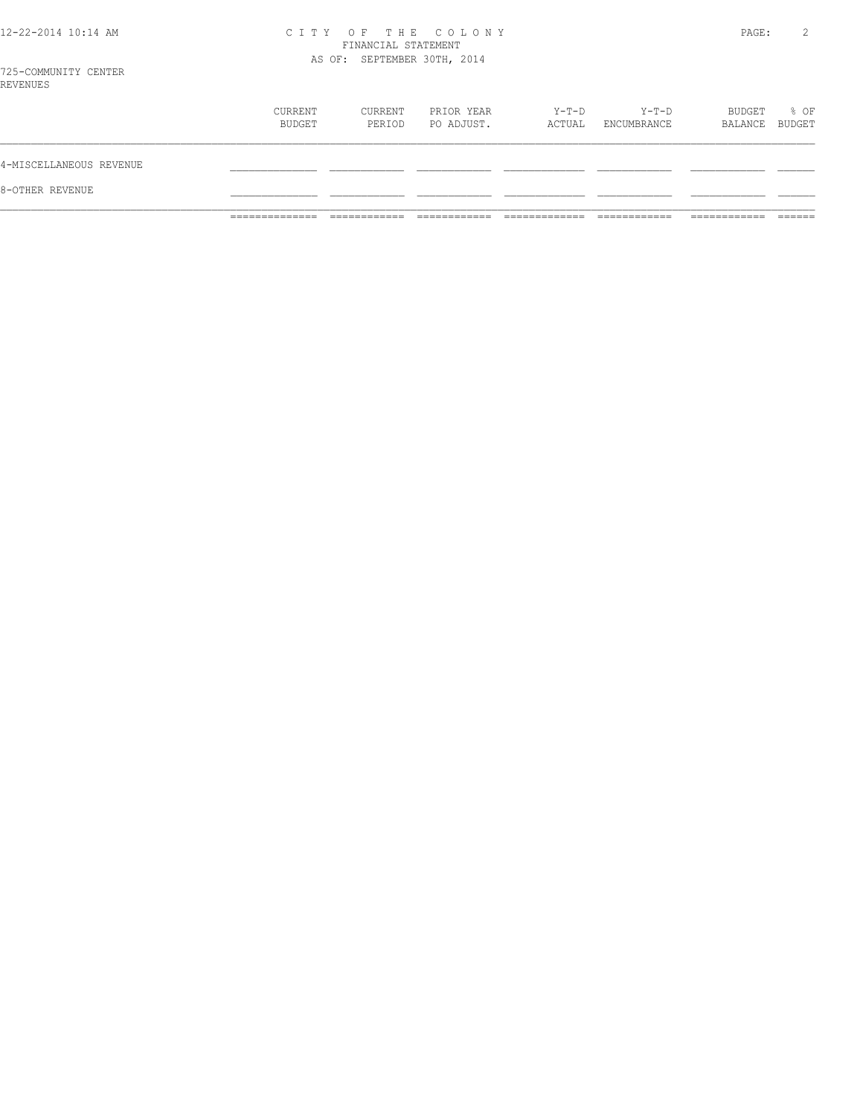|  |  | 12-22-2014 10:14 AM |  |
|--|--|---------------------|--|
|  |  |                     |  |

# CITY OF THE COLONY<br>FINANCIAL STATEMENT<br>AS OF: SEPTEMBER 30TH, 2014

PAGE: 2

| 8-OTHER REVENUE         |                   |                   |                          |                 |                      |                   |                |
|-------------------------|-------------------|-------------------|--------------------------|-----------------|----------------------|-------------------|----------------|
| 4-MISCELLANEOUS REVENUE |                   |                   |                          |                 |                      |                   |                |
|                         | CURRENT<br>BUDGET | CURRENT<br>PERIOD | PRIOR YEAR<br>PO ADJUST. | Y-T-D<br>ACTUAL | Y-T-D<br>ENCUMBRANCE | BUDGET<br>BALANCE | % OF<br>BUDGET |
| LA U LINU LI U          |                   |                   |                          |                 |                      |                   |                |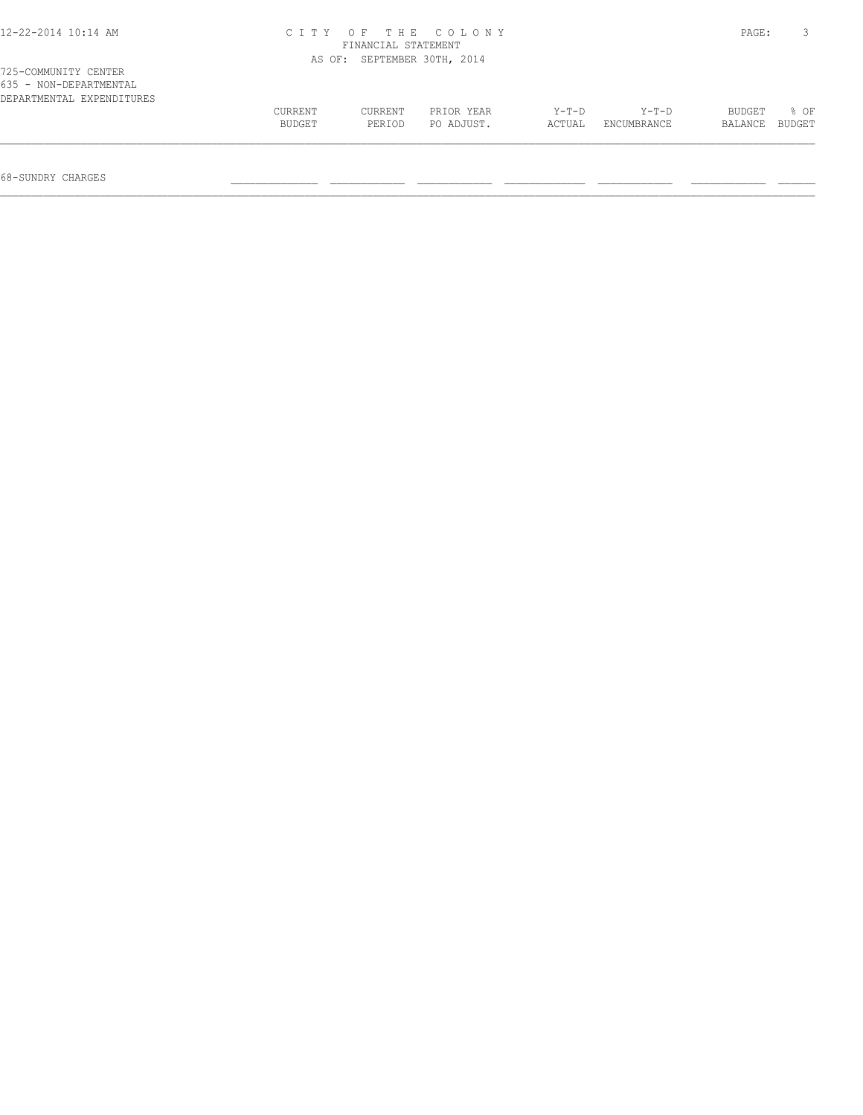| $12 - 22 - 2014$ 10:14 AM | CITY OF THE COLONY<br>FINANCIAL STATEMENT |                             |            |        |             |         | PAGE:  |
|---------------------------|-------------------------------------------|-----------------------------|------------|--------|-------------|---------|--------|
|                           |                                           | AS OF: SEPTEMBER 30TH, 2014 |            |        |             |         |        |
| 725-COMMUNITY CENTER      |                                           |                             |            |        |             |         |        |
| 635 - NON-DEPARTMENTAL    |                                           |                             |            |        |             |         |        |
| DEPARTMENTAL EXPENDITURES |                                           |                             |            |        |             |         |        |
|                           | CURRENT                                   | CURRENT                     | PRIOR YEAR | Y-T-D  | Y-T-D       | BUDGET  | 8 OF   |
|                           | BUDGET                                    | PERIOD                      | PO ADJUST. | ACTUAL | ENCUMBRANCE | BALANCE | BUDGET |
|                           |                                           |                             |            |        |             |         |        |

68-SUNDRY CHARGES \_\_\_\_\_\_\_\_\_\_\_\_\_\_ \_\_\_\_\_\_\_\_\_\_\_\_ \_\_\_\_\_\_\_\_\_\_\_\_ \_\_\_\_\_\_\_\_\_\_\_\_\_ \_\_\_\_\_\_\_\_\_\_\_\_ \_\_\_\_\_\_\_\_\_\_\_\_ \_\_\_\_\_\_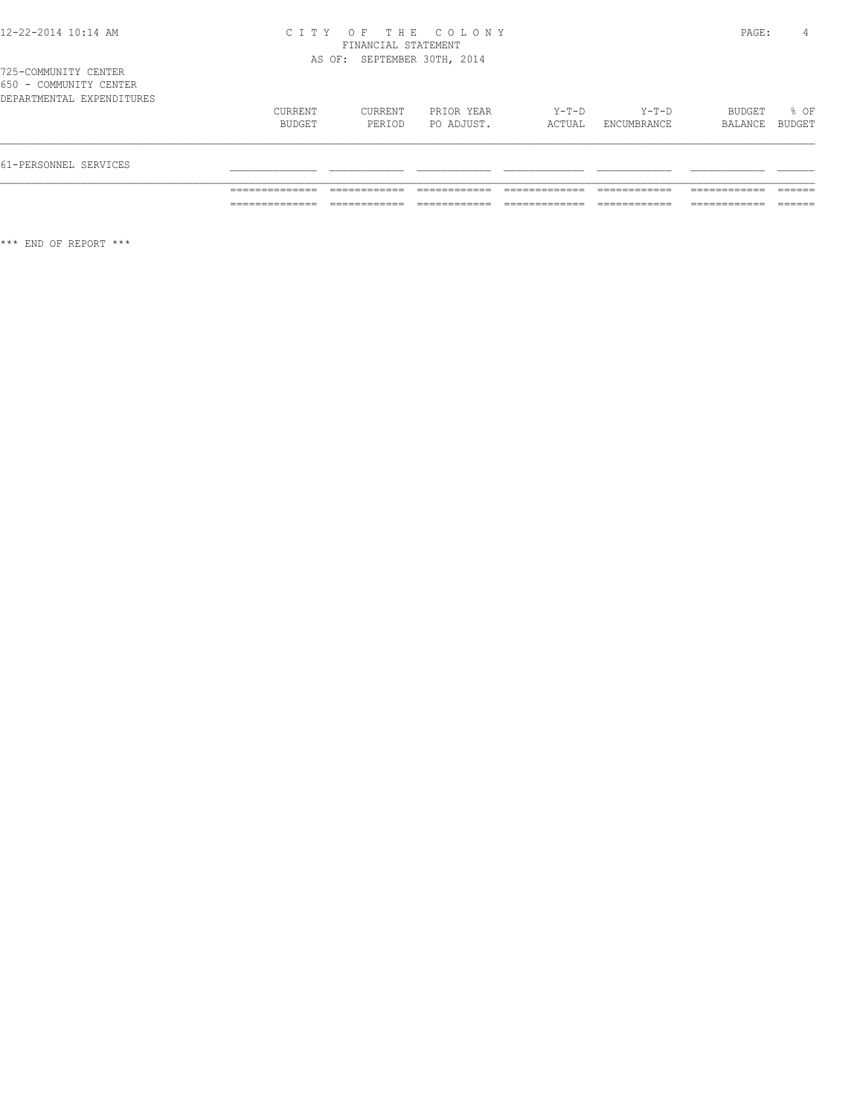|  | 1725-COMMUNITY CENTER     |  |  |
|--|---------------------------|--|--|
|  | 650 - COMMUNITY CENTER    |  |  |
|  | DEPARTMENTAL EXPENDITURES |  |  |

| 61-PERSONNEL SERVICES |                   |                   |                          |                 |                        |                   |                |
|-----------------------|-------------------|-------------------|--------------------------|-----------------|------------------------|-------------------|----------------|
|                       | CURRENT<br>BUDGET | CURRENT<br>PERIOD | PRIOR YEAR<br>PO ADJUST. | Y-T-D<br>ACTUAL | $Y-T-D$<br>ENCUMBRANCE | BUDGET<br>BALANCE | % OF<br>BUDGET |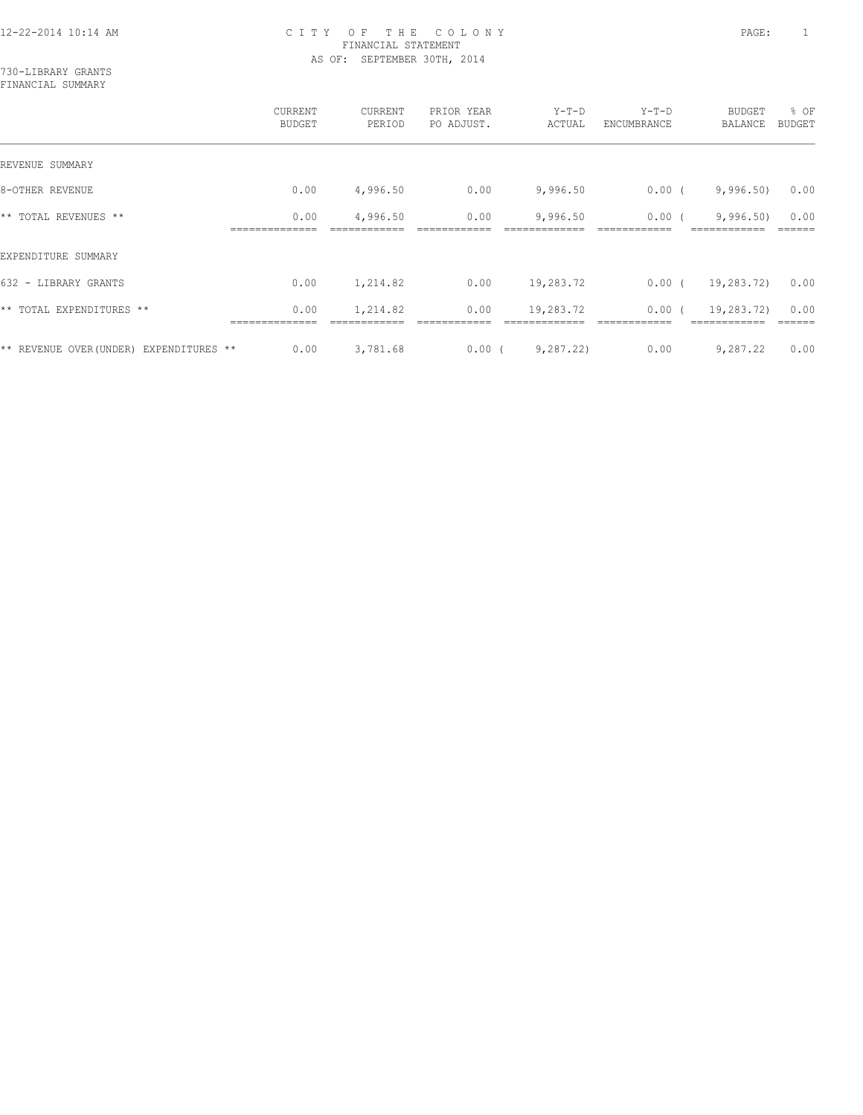730-LIBRARY GRANTS FINANCIAL SUMMARY

|                                         | CURRENT<br><b>BUDGET</b> | CURRENT<br>PERIOD | PRIOR YEAR<br>PO ADJUST. | $Y-T-D$<br>ACTUAL | $Y-T-D$<br>ENCUMBRANCE | <b>BUDGET</b><br>BALANCE | % OF<br><b>BUDGET</b> |
|-----------------------------------------|--------------------------|-------------------|--------------------------|-------------------|------------------------|--------------------------|-----------------------|
| REVENUE SUMMARY                         |                          |                   |                          |                   |                        |                          |                       |
| 8-OTHER REVENUE                         | 0.00                     | 4,996.50          | 0.00                     | 9,996.50          | $0.00$ (               | 9,996.50                 | 0.00                  |
| ** TOTAL REVENUES **                    | 0.00                     | 4,996.50          | 0.00                     | 9,996.50          | 0.00                   | 9,996.50                 | 0.00                  |
| EXPENDITURE SUMMARY                     |                          |                   |                          |                   |                        |                          |                       |
| 632 - LIBRARY GRANTS                    | 0.00                     | 1,214.82          | 0.00                     | 19,283.72         | $0.00$ (               | 19,283.72)               | 0.00                  |
| ** TOTAL EXPENDITURES **                | 0.00                     | 1,214.82          | 0.00                     | 19,283.72         | 0.00(                  | 19,283.72)               | 0.00                  |
| ** REVENUE OVER (UNDER) EXPENDITURES ** | 0.00                     | 3,781.68          | $0.00$ (                 | 9,287,22)         | 0.00                   | 9,287.22                 | 0.00                  |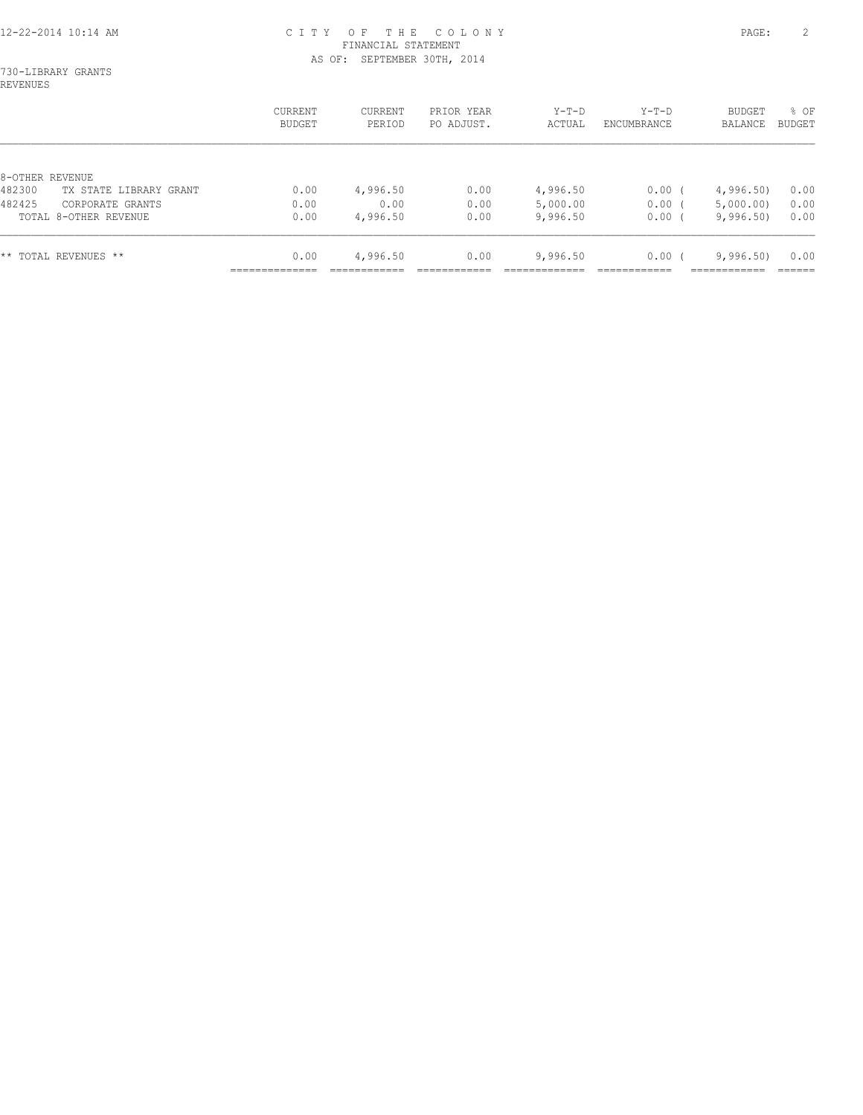730-LIBRARY GRANTS REVENUES

|                                   | CURRENT<br>BUDGET | CURRENT<br>PERIOD | PRIOR YEAR<br>PO ADJUST. | $Y-T-D$<br>ACTUAL | $Y-T-D$<br>ENCUMBRANCE | <b>BUDGET</b><br>BALANCE | % OF<br><b>BUDGET</b> |
|-----------------------------------|-------------------|-------------------|--------------------------|-------------------|------------------------|--------------------------|-----------------------|
|                                   |                   |                   |                          |                   |                        |                          |                       |
| 8-OTHER REVENUE                   |                   |                   |                          |                   |                        |                          |                       |
| 482300<br>TX STATE LIBRARY GRANT  | 0.00              | 4,996.50          | 0.00                     | 4,996.50          | $0.00$ (               | 4,996.50                 | 0.00                  |
| 482425<br>CORPORATE GRANTS        | 0.00              | 0.00              | 0.00                     | 5,000.00          | $0.00$ (               | 5,000.00)                | 0.00                  |
| TOTAL 8-OTHER REVENUE             | 0.00              | 4,996.50          | 0.00                     | 9,996.50          | $0.00$ (               | 9,996.50                 | 0.00                  |
| $\star\star$<br>TOTAL REVENUES ** | 0.00              | 4,996.50          | 0.00                     | 9,996.50          | 0.00(                  | 9,996.50                 | 0.00                  |
|                                   |                   |                   |                          |                   |                        |                          |                       |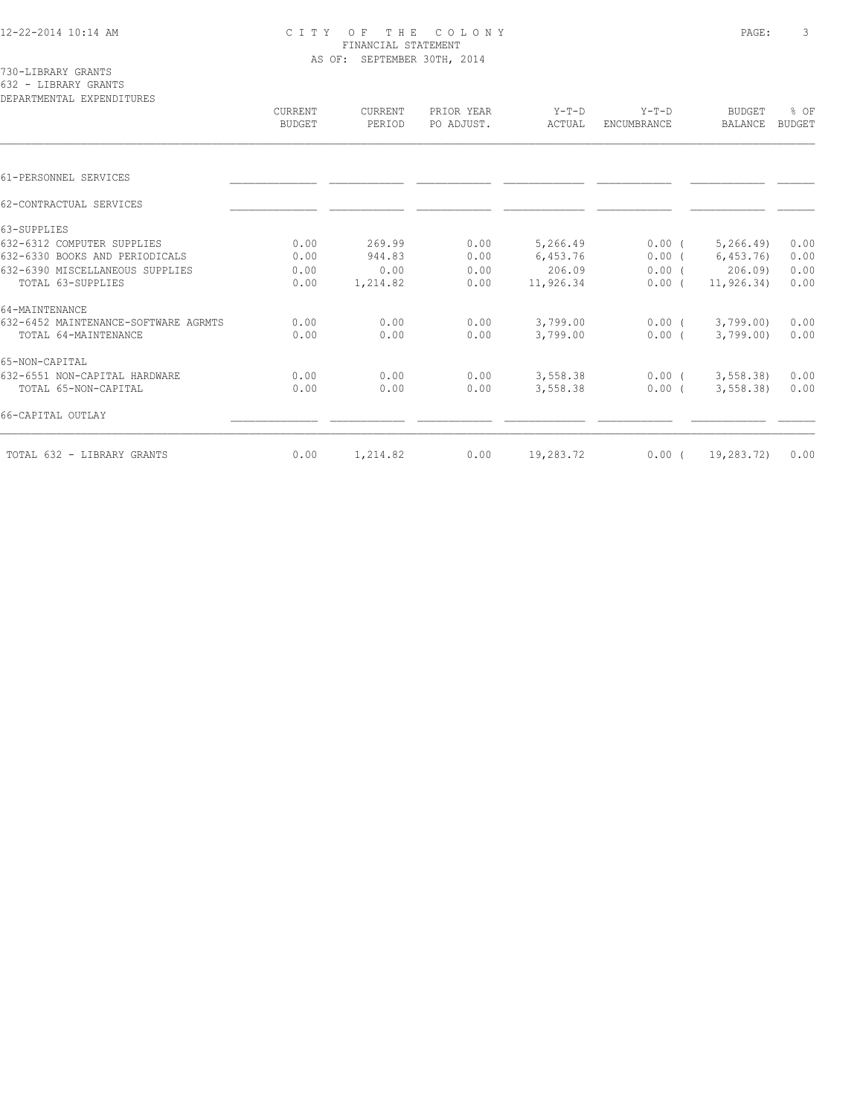730-LIBRARY GRANTS 632 - LIBRARY GRANTS

| DEPARTMENTAL EXPENDITURES            | CURRENT<br><b>BUDGET</b> | CURRENT<br>PERIOD | PRIOR YEAR<br>PO ADJUST. | $Y-T-D$<br>ACTUAL | $Y-T-D$<br><b>ENCUMBRANCE</b> | <b>BUDGET</b><br><b>BALANCE</b> | % OF<br><b>BUDGET</b> |
|--------------------------------------|--------------------------|-------------------|--------------------------|-------------------|-------------------------------|---------------------------------|-----------------------|
|                                      |                          |                   |                          |                   |                               |                                 |                       |
| 61-PERSONNEL SERVICES                |                          |                   |                          |                   |                               |                                 |                       |
| 62-CONTRACTUAL SERVICES              |                          |                   |                          |                   |                               |                                 |                       |
| 63-SUPPLIES                          |                          |                   |                          |                   |                               |                                 |                       |
| 632-6312 COMPUTER SUPPLIES           | 0.00                     | 269.99            | 0.00                     | 5,266.49          | $0.00$ (                      | 5, 266.49                       | 0.00                  |
| 632-6330 BOOKS AND PERIODICALS       | 0.00                     | 944.83            | 0.00                     | 6,453.76          | $0.00$ (                      | 6,453.76                        | 0.00                  |
| 632-6390 MISCELLANEOUS SUPPLIES      | 0.00                     | 0.00              | 0.00                     | 206.09            | $0.00$ (                      | 206.09                          | 0.00                  |
| TOTAL 63-SUPPLIES                    | 0.00                     | 1,214.82          | 0.00                     | 11,926.34         | $0.00$ (                      | 11, 926, 34)                    | 0.00                  |
| 64-MAINTENANCE                       |                          |                   |                          |                   |                               |                                 |                       |
| 632-6452 MAINTENANCE-SOFTWARE AGRMTS | 0.00                     | 0.00              | 0.00                     | 3,799.00          | $0.00$ (                      | 3,799.00                        | 0.00                  |
| TOTAL 64-MAINTENANCE                 | 0.00                     | 0.00              | 0.00                     | 3,799.00          | $0.00$ (                      | 3,799.00                        | 0.00                  |
| 65-NON-CAPITAL                       |                          |                   |                          |                   |                               |                                 |                       |
| 632-6551 NON-CAPITAL HARDWARE        | 0.00                     | 0.00              | 0.00                     | 3,558.38          | $0.00$ (                      | 3, 558.38                       | 0.00                  |
| TOTAL 65-NON-CAPITAL                 | 0.00                     | 0.00              | 0.00                     | 3,558.38          | 0.00(                         | 3, 558.38                       | 0.00                  |
| 66-CAPITAL OUTLAY                    |                          |                   |                          |                   |                               |                                 |                       |
| TOTAL 632 - LIBRARY GRANTS           | 0.00                     | 1,214.82          | 0.00                     | 19,283.72         | $0.00$ (                      | 19,283.72)                      | 0.00                  |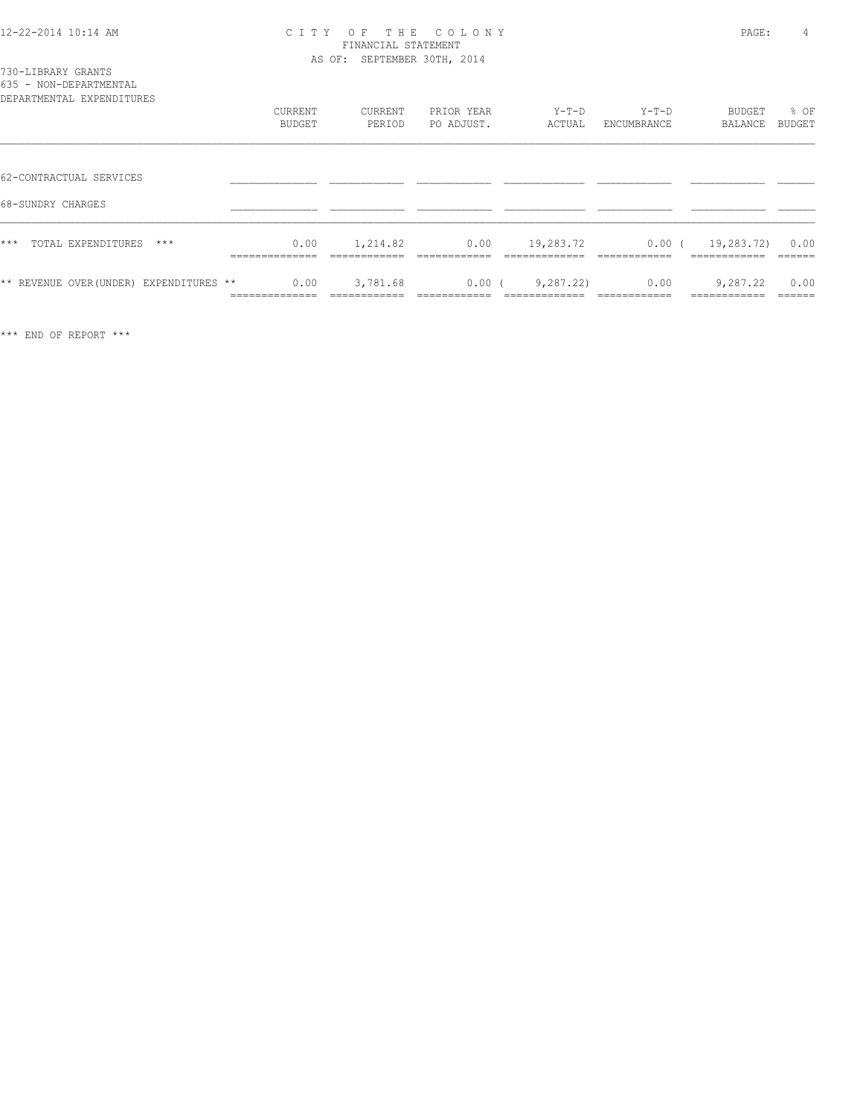|  | 730-LIBRARY GRANTS     |
|--|------------------------|
|  | 635 - NON-DEPARTMENTAL |

| ROJJ - RUN-DEFANIMENIAL<br>DEPARTMENTAL EXPENDITURES | CURRENT<br>BUDGET      | CURRENT<br>PERIOD | PRIOR YEAR<br>PO ADJUST. | $Y-T-D$<br>ACTUAL | $Y-T-D$<br>ENCUMBRANCE | BUDGET<br>BALANCE         | % OF<br>BUDGET |
|------------------------------------------------------|------------------------|-------------------|--------------------------|-------------------|------------------------|---------------------------|----------------|
| 62-CONTRACTUAL SERVICES                              |                        |                   |                          |                   |                        |                           |                |
| 68-SUNDRY CHARGES                                    |                        |                   |                          |                   |                        |                           |                |
| $***$<br>TOTAL EXPENDITURES<br>***                   | 0.00<br>______________ | 1,214.82          | 0.00                     | 19,283.72         | $0.00$ (<br>--------   | 19,283.72)                | 0.00           |
| ** REVENUE OVER (UNDER) EXPENDITURES **              | 0.00<br>============== | 3,781.68          | $0.00$ (                 | 9,287,22)         | 0.00                   | 9,287.22<br>------------- | 0.00           |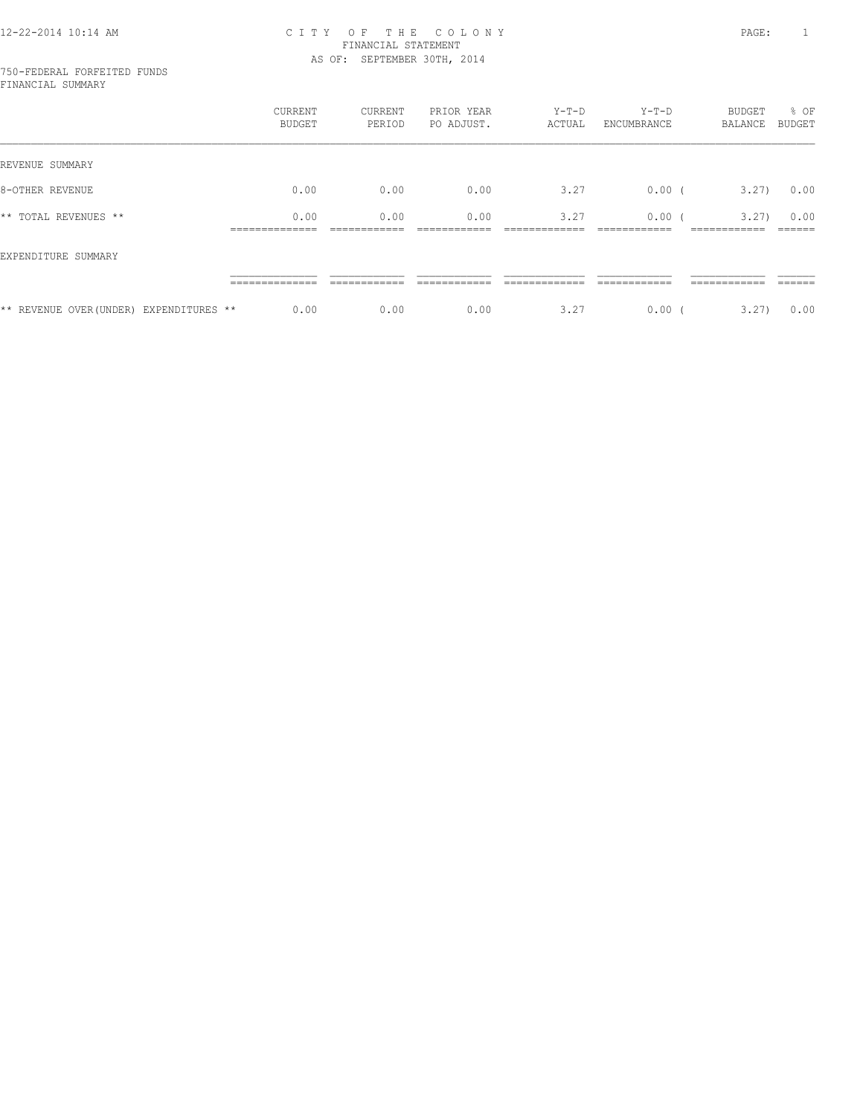750-FEDERAL FORFEITED FUNDS FINANCIAL SUMMARY

|                                         | CURRENT<br>BUDGET | CURRENT<br>PERIOD | PRIOR YEAR<br>PO ADJUST. | $Y-T-D$<br>ACTUAL | $Y-T-D$<br>ENCUMBRANCE | BUDGET<br>BALANCE | % OF<br>BUDGET |
|-----------------------------------------|-------------------|-------------------|--------------------------|-------------------|------------------------|-------------------|----------------|
| REVENUE SUMMARY                         |                   |                   |                          |                   |                        |                   |                |
| 8-OTHER REVENUE                         | 0.00              | 0.00              | 0.00                     | 3.27              | $0.00$ (               | 3.27              | 0.00           |
| ** TOTAL REVENUES **                    | 0.00              | 0.00              | 0.00                     | 3.27              | 0.00(                  | 3.27              | 0.00           |
| EXPENDITURE SUMMARY                     |                   |                   |                          |                   |                        |                   |                |
|                                         |                   |                   |                          |                   |                        |                   |                |
| ** REVENUE OVER (UNDER) EXPENDITURES ** | 0.00              | 0.00              | 0.00                     | 3.27              | 0.00(                  | 3,27)             | 0.00           |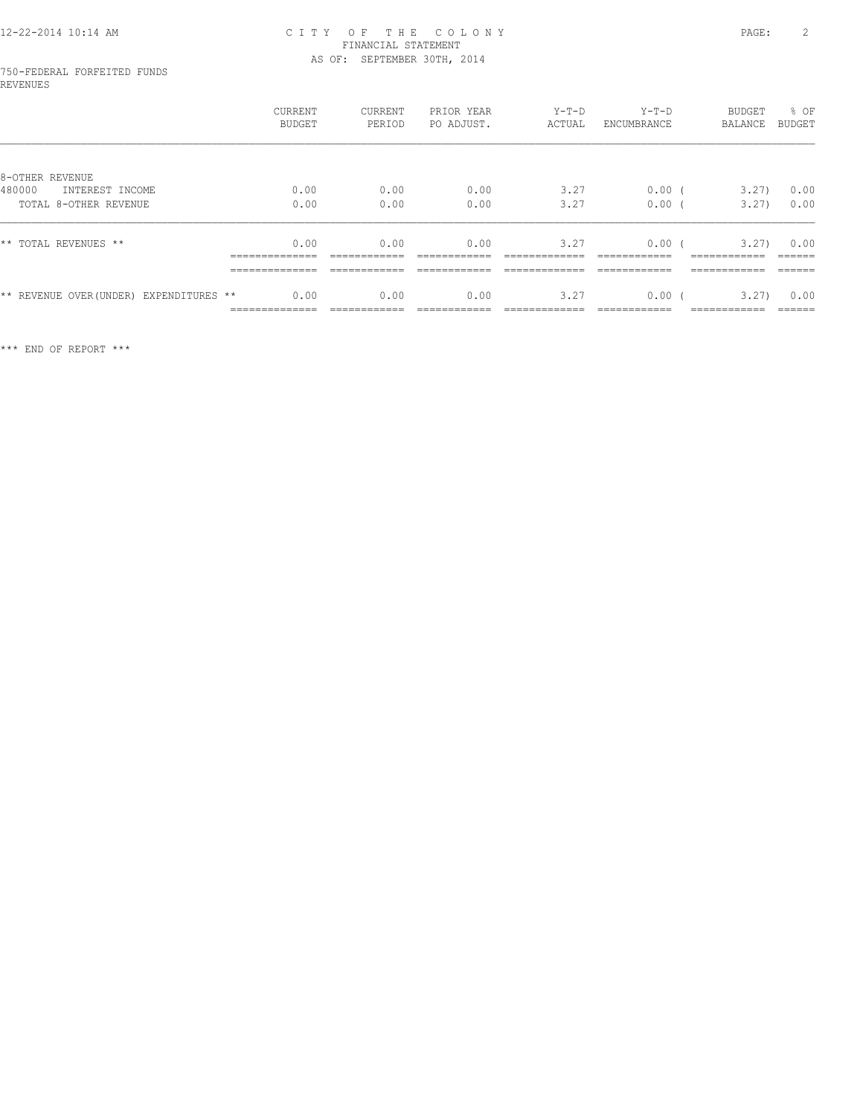# 750-FEDERAL FORFEITED FUNDS REVENUES

|                                              | CURRENT<br><b>BUDGET</b>                                   | <b>CURRENT</b><br>PERIOD                         | PRIOR YEAR<br>PO ADJUST. | $Y-T-D$<br>ACTUAL     | $Y-T-D$<br>ENCUMBRANCE | BUDGET<br>BALANCE                                    | % OF<br><b>BUDGET</b>                |
|----------------------------------------------|------------------------------------------------------------|--------------------------------------------------|--------------------------|-----------------------|------------------------|------------------------------------------------------|--------------------------------------|
| 8-OTHER REVENUE<br>480000<br>INTEREST INCOME | 0.00                                                       | 0.00                                             | 0.00                     | 3.27                  | $0.00$ (               | 3.27)                                                | 0.00                                 |
| TOTAL 8-OTHER REVENUE                        | 0.00                                                       | 0.00                                             | 0.00                     | 3.27                  | 0.00                   | 3.27)                                                | 0.00                                 |
| ** TOTAL REVENUES **                         | 0.00<br>______________<br>______________<br>______________ | 0.00<br>____________<br>------------<br>________ | 0.00<br>-------------    | 3.27<br>_____________ | 0.00<br>-------------  | 3.27)<br>____________<br>------------<br>___________ | 0.00<br>-------<br>-------<br>______ |
| ** REVENUE OVER (UNDER) EXPENDITURES **      | 0.00<br>______________<br>-------------                    | 0.00<br>____________                             | 0.00<br>-------------    | 3.27<br>____________  | 0.00<br>-------------  | 3.27)<br>____________                                | 0.00<br>-------                      |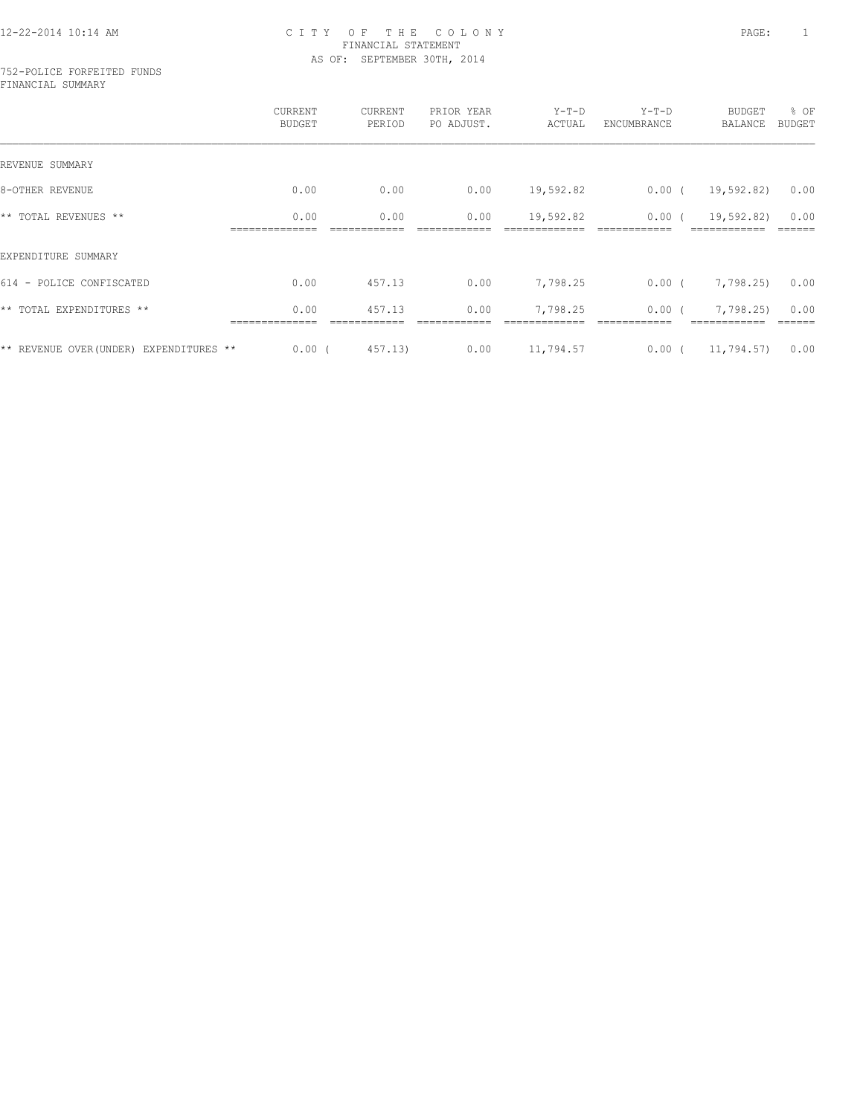#### 752-POLICE FORFEITED FUNDS FINANCIAL SUMMARY

|                                         | CURRENT<br><b>BUDGET</b> | CURRENT<br>PERIOD | PRIOR YEAR<br>PO ADJUST. | $Y-T-D$<br>ACTUAL | $Y-T-D$<br>ENCUMBRANCE | <b>BUDGET</b><br><b>BALANCE</b> | % OF<br><b>BUDGET</b> |
|-----------------------------------------|--------------------------|-------------------|--------------------------|-------------------|------------------------|---------------------------------|-----------------------|
| REVENUE SUMMARY                         |                          |                   |                          |                   |                        |                                 |                       |
| 8-OTHER REVENUE                         | 0.00                     | 0.00              | 0.00                     | 19,592.82         | $0.00$ (               | 19,592.82)                      | 0.00                  |
| ** TOTAL REVENUES **                    | 0.00                     | 0.00              | 0.00                     | 19,592.82         | $0.00$ (               | 19,592.82)                      | 0.00                  |
| EXPENDITURE SUMMARY                     |                          |                   |                          |                   |                        |                                 |                       |
| 614 - POLICE CONFISCATED                | 0.00                     | 457.13            | 0.00                     | 7,798.25          | $0.00$ (               | 7,798.25)                       | 0.00                  |
| ** TOTAL EXPENDITURES **                | 0.00                     | 457.13            | 0.00                     | 7,798.25          | $0.00$ (               | 7,798.25)                       | 0.00                  |
| ** REVENUE OVER (UNDER) EXPENDITURES ** | 0.00(                    | 457.13)           | 0.00                     | 11,794.57         | $0.00$ (               | 11,794.57)                      | 0.00                  |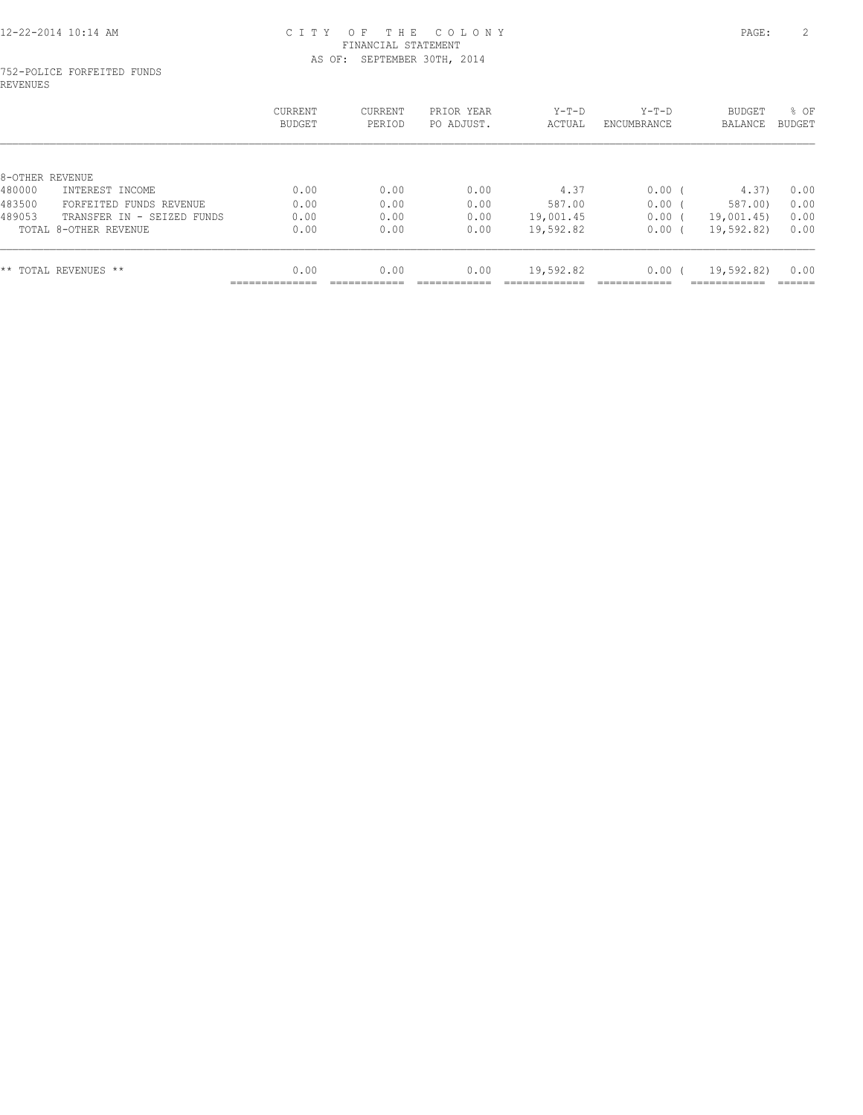#### 752-POLICE FORFEITED FUNDS REVENUES

| CURRENT<br><b>BUDGET</b> | <b>CURRENT</b><br>PERIOD | PRIOR<br>YEAR<br>PO ADJUST. | $Y-T-D$<br>ACTUAL | $Y-T-D$<br>ENCUMBRANCE | BUDGET<br><b>BALANCE</b> | % OF<br>BUDGET |
|--------------------------|--------------------------|-----------------------------|-------------------|------------------------|--------------------------|----------------|
|                          |                          |                             |                   |                        |                          |                |
|                          |                          |                             |                   |                        |                          |                |
| 0.00                     | 0.00                     | 0.00                        | 4.37              | 0.00                   | 4.37)                    | 0.00           |
| 0.00                     | 0.00                     | 0.00                        | 587.00            | 0.00                   | 587.00)                  | 0.00           |
| 0.00                     | 0.00                     | 0.00                        | 19,001.45         | 0.00                   | 19,001.45)               | 0.00           |
| 0.00                     | 0.00                     | 0.00                        | 19,592.82         | 0.00                   | 19,592.82)               | 0.00           |
| 0.00                     | 0.00                     | 0.00                        | 19,592.82         | 0.00                   | 19,592.82)               | 0.00           |
|                          | ______________           |                             |                   |                        |                          | ------------   |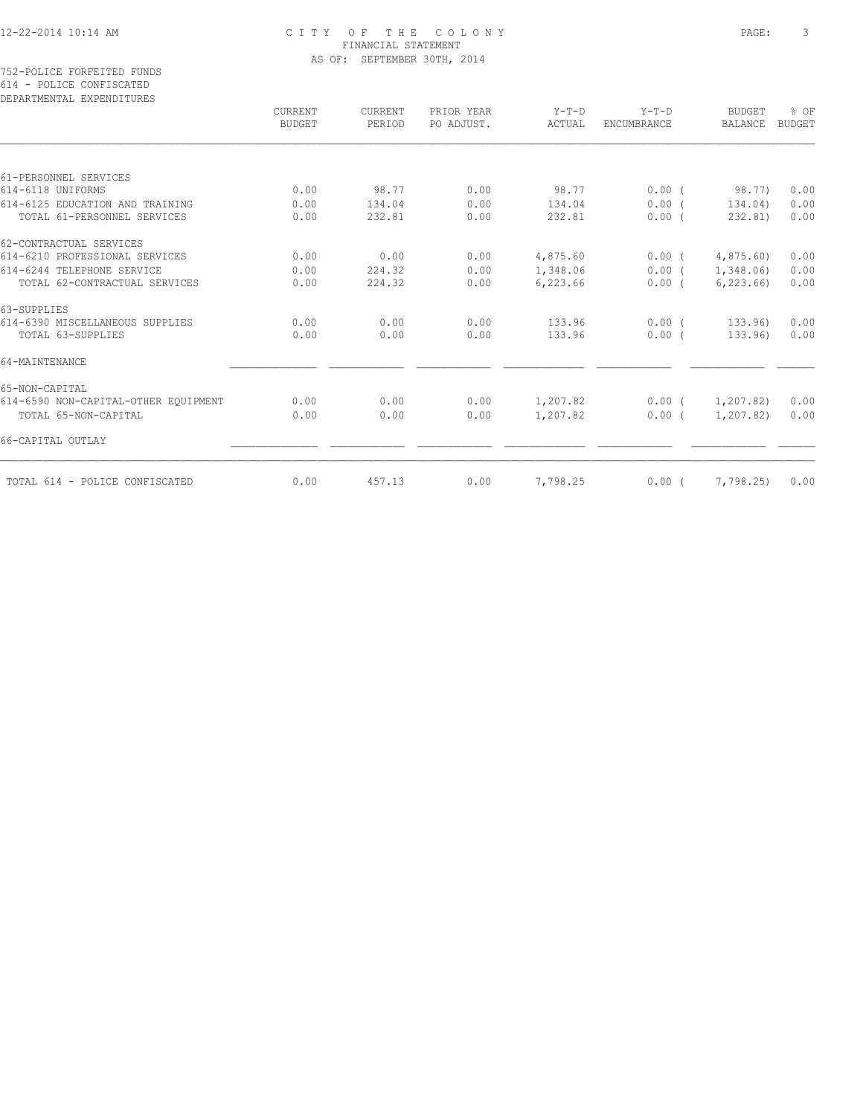| DEPARTMENTAL EXPENDITURES            |                          |                   |                          |                   |                        |                          |                       |
|--------------------------------------|--------------------------|-------------------|--------------------------|-------------------|------------------------|--------------------------|-----------------------|
|                                      | CURRENT<br><b>BUDGET</b> | CURRENT<br>PERIOD | PRIOR YEAR<br>PO ADJUST. | $Y-T-D$<br>ACTUAL | $Y-T-D$<br>ENCUMBRANCE | <b>BUDGET</b><br>BALANCE | % OF<br><b>BUDGET</b> |
|                                      |                          |                   |                          |                   |                        |                          |                       |
| 61-PERSONNEL SERVICES                |                          |                   |                          |                   |                        |                          |                       |
| 614-6118 UNIFORMS                    | 0.00                     | 98.77             | 0.00                     | 98.77             | 0.00(                  | 98.77)                   | 0.00                  |
| 614-6125 EDUCATION AND TRAINING      | 0.00                     | 134.04            | 0.00                     | 134.04            | $0.00$ (               | 134.04)                  | 0.00                  |
| TOTAL 61-PERSONNEL SERVICES          | 0.00                     | 232.81            | 0.00                     | 232.81            | 0.00(                  | 232.81)                  | 0.00                  |
| 62-CONTRACTUAL SERVICES              |                          |                   |                          |                   |                        |                          |                       |
| 614-6210 PROFESSIONAL SERVICES       | 0.00                     | 0.00              | 0.00                     | 4,875.60          | 0.00(                  | 4,875.60)                | 0.00                  |
| 614-6244 TELEPHONE SERVICE           | 0.00                     | 224.32            | 0.00                     | 1,348.06          | $0.00$ (               | 1,348.06)                | 0.00                  |
| TOTAL 62-CONTRACTUAL SERVICES        | 0.00                     | 224.32            | 0.00                     | 6,223.66          | $0.00$ (               | 6, 223.66                | 0.00                  |
| 63-SUPPLIES                          |                          |                   |                          |                   |                        |                          |                       |
| 614-6390 MISCELLANEOUS SUPPLIES      | 0.00                     | 0.00              | 0.00                     | 133.96            | $0.00$ (               | 133.96)                  | 0.00                  |
| TOTAL 63-SUPPLIES                    | 0.00                     | 0.00              | 0.00                     | 133.96            | 0.00(                  | 133.96)                  | 0.00                  |
| 64-MAINTENANCE                       |                          |                   |                          |                   |                        |                          |                       |
| 65-NON-CAPITAL                       |                          |                   |                          |                   |                        |                          |                       |
| 614-6590 NON-CAPITAL-OTHER EQUIPMENT | 0.00                     | 0.00              | 0.00                     | 1,207.82          | $0.00$ (               | 1,207.82)                | 0.00                  |
| TOTAL 65-NON-CAPITAL                 | 0.00                     | 0.00              | 0.00                     | 1,207.82          | 0.00(                  | 1,207.82)                | 0.00                  |
| 66-CAPITAL OUTLAY                    |                          |                   |                          |                   |                        |                          |                       |
| TOTAL 614 - POLICE CONFISCATED       | 0.00                     | 457.13            | 0.00                     | 7,798.25          | 0.00(                  | 7,798.25)                | 0.00                  |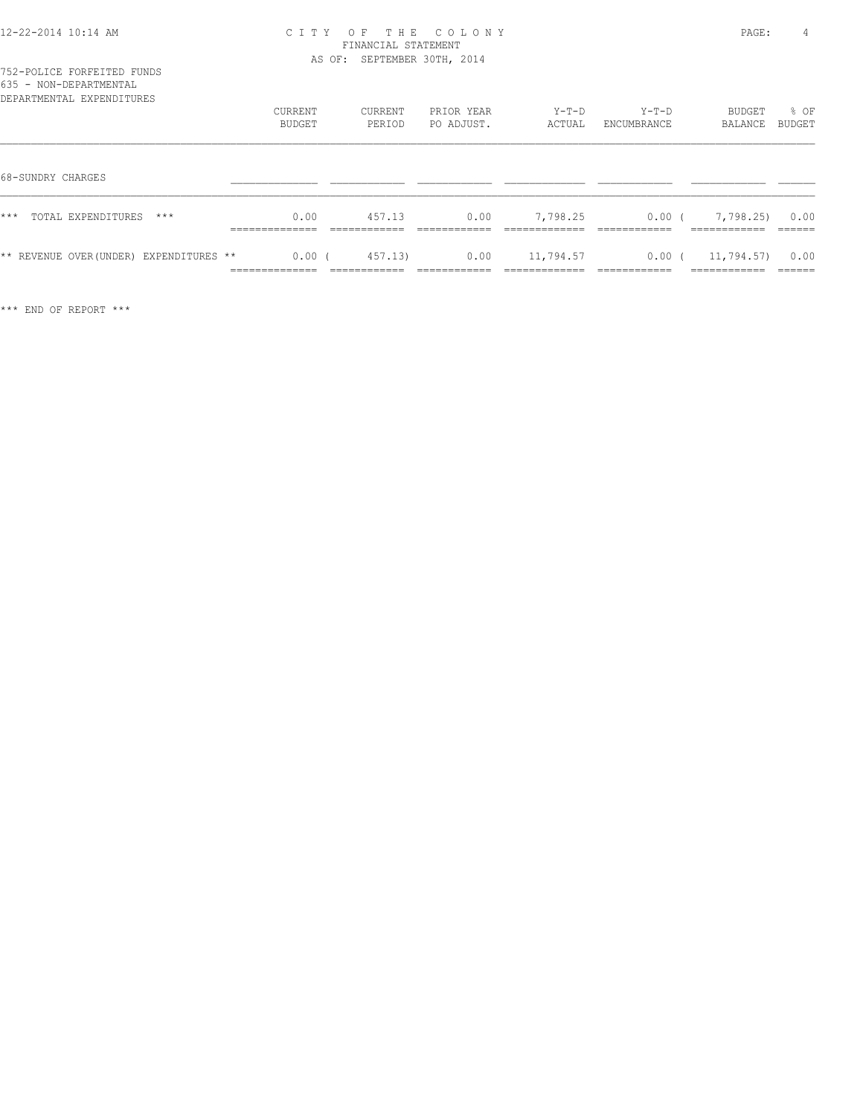| 12-22-2014 10:14 AM |  |  |
|---------------------|--|--|
|---------------------|--|--|

| 635 - NON-DEPARTMENTAL<br>DEPARTMENTAL EXPENDITURES |                   |                   |                          |                 |                        |                   |                |
|-----------------------------------------------------|-------------------|-------------------|--------------------------|-----------------|------------------------|-------------------|----------------|
|                                                     | CURRENT<br>BUDGET | CURRENT<br>PERIOD | PRIOR YEAR<br>PO ADJUST. | Y-T-D<br>ACTUAL | $Y-T-D$<br>ENCUMBRANCE | BUDGET<br>BALANCE | % OF<br>BUDGET |
| 68-SUNDRY CHARGES                                   |                   |                   |                          |                 |                        |                   |                |
| $***$<br>TOTAL EXPENDITURES<br>***                  | 0.00              | 457.13            | 0.00                     | 7,798.25        | $0.00$ (               | 7,798,25          | 0.00           |
| ** REVENUE OVER (UNDER) EXPENDITURES **             | $0.00$ (          | 457.13)           | 0.00                     | 11,794.57       | $0.00$ (               | 11,794.57)        | 0.00           |

============== ============ ============ ============= ============ ============ ======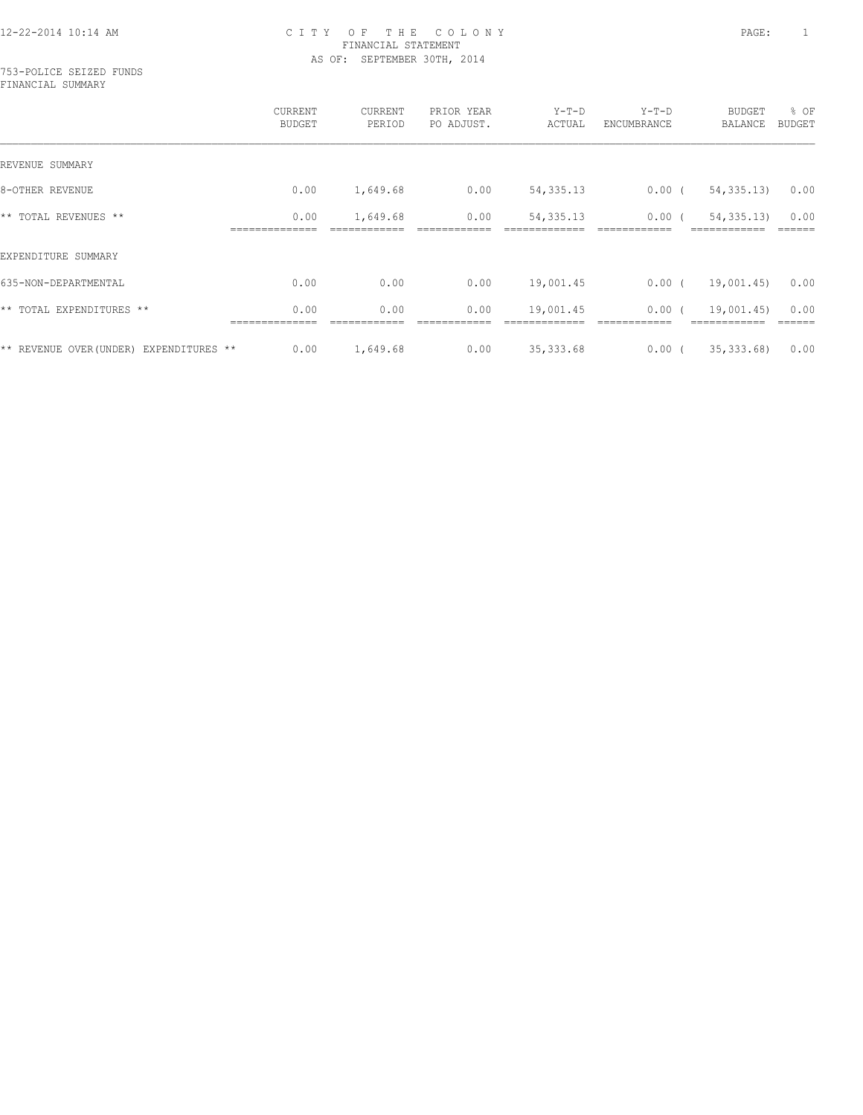753-POLICE SEIZED FUNDS FINANCIAL SUMMARY

|                                         | <b>CURRENT</b><br><b>BUDGET</b> | CURRENT<br>PERIOD | PRIOR YEAR<br>PO ADJUST. | $Y-T-D$<br>ACTUAL | $Y-T-D$<br>ENCUMBRANCE | BUDGET<br>BALANCE | % OF<br><b>BUDGET</b> |
|-----------------------------------------|---------------------------------|-------------------|--------------------------|-------------------|------------------------|-------------------|-----------------------|
| REVENUE SUMMARY                         |                                 |                   |                          |                   |                        |                   |                       |
| 8-OTHER REVENUE                         | 0.00                            | 1,649.68          | 0.00                     | 54, 335.13        | 0.00(                  | 54, 335.13        | 0.00                  |
| ** TOTAL REVENUES **                    | 0.00                            | 1,649.68          | 0.00                     | 54, 335. 13       | 0.00                   | 54, 335.13        | 0.00                  |
| EXPENDITURE SUMMARY                     |                                 |                   |                          |                   |                        |                   |                       |
| 635-NON-DEPARTMENTAL                    | 0.00                            | 0.00              | 0.00                     | 19,001.45         | $0.00$ (               | 19,001.45)        | 0.00                  |
| ** TOTAL EXPENDITURES **                | 0.00                            | 0.00              | 0.00                     | 19,001.45         | 0.00(                  | 19,001.45)        | 0.00                  |
| ** REVENUE OVER (UNDER) EXPENDITURES ** | 0.00                            | 1,649.68          | 0.00                     | 35, 333.68        | 0.00(                  | 35, 333, 68)      | 0.00                  |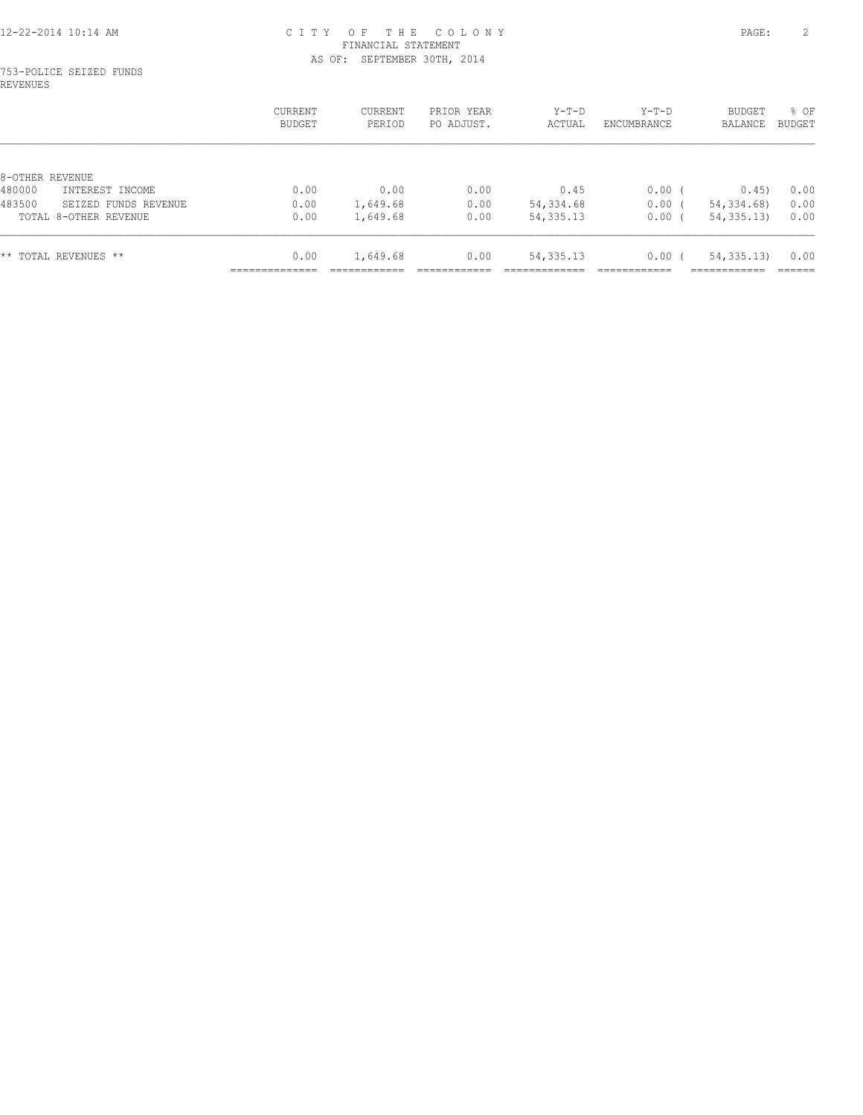#### 753-POLICE SEIZED FUNDS REVENUES

|                                | CURRENT<br>BUDGET | CURRENT<br>PERIOD | PRIOR YEAR<br>PO ADJUST. | Y-T-D<br>ACTUAL | $Y-T-D$<br>ENCUMBRANCE | <b>BUDGET</b><br>BALANCE | % OF<br>BUDGET |
|--------------------------------|-------------------|-------------------|--------------------------|-----------------|------------------------|--------------------------|----------------|
|                                |                   |                   |                          |                 |                        |                          |                |
| 8-OTHER REVENUE                |                   |                   |                          |                 |                        |                          |                |
| 480000<br>INTEREST INCOME      | 0.00              | 0.00              | 0.00                     | 0.45            | $0.00$ (               | 0.45)                    | 0.00           |
| 483500<br>SEIZED FUNDS REVENUE | 0.00              | 1,649.68          | 0.00                     | 54,334.68       | 0.00                   | 54, 334, 68)             | 0.00           |
| TOTAL 8-OTHER REVENUE          | 0.00              | 1,649.68          | 0.00                     | 54, 335. 13     | 0.00                   | 54, 335.13               | 0.00           |
| ** TOTAL REVENUES **           | 0.00              | 1,649.68          | 0.00                     | 54, 335. 13     | 0.00(                  | 54, 335.13               | 0.00           |
|                                |                   |                   |                          |                 |                        |                          |                |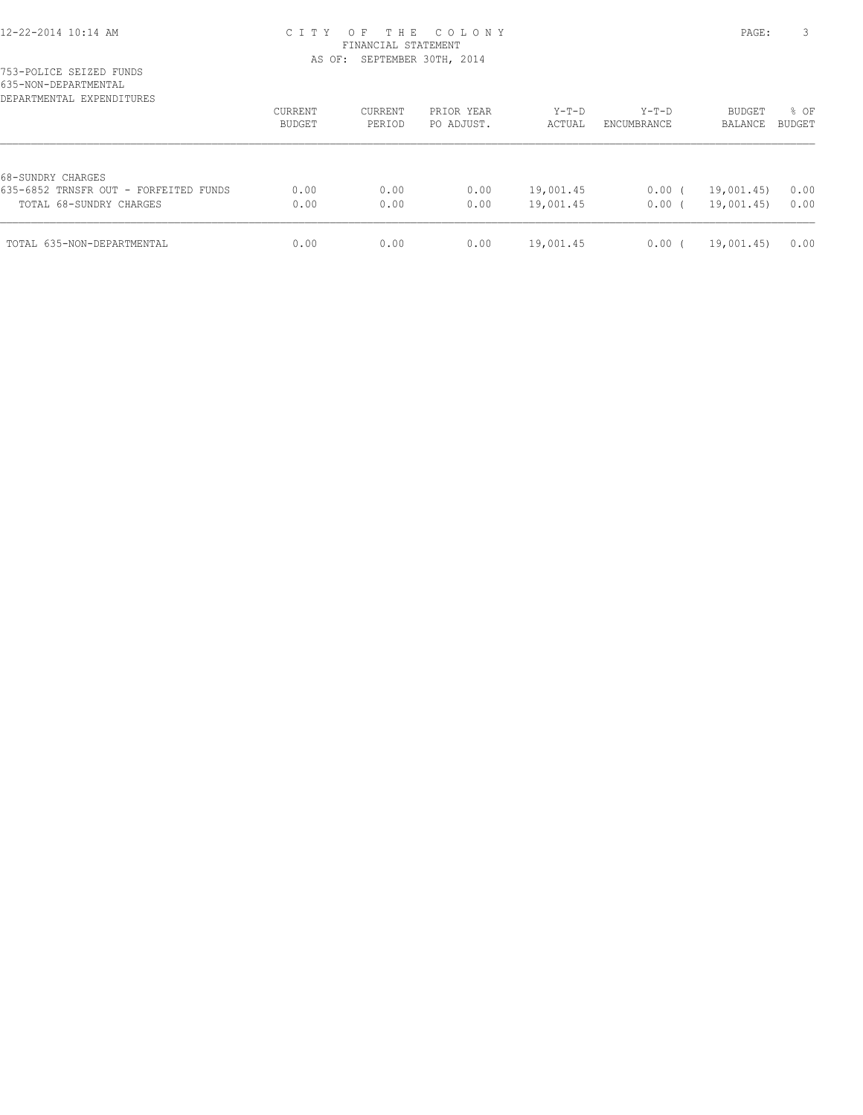| DEPARTMENTAL EXPENDITURES                                                             | <b>CURRENT</b><br>BUDGET | <b>CURRENT</b><br>PERIOD | PRIOR YEAR<br>PO ADJUST. | $Y-T-D$<br>ACTUAL      | $Y-T-D$<br>ENCUMBRANCE | <b>BUDGET</b><br>BALANCE | % OF<br><b>BUDGET</b> |
|---------------------------------------------------------------------------------------|--------------------------|--------------------------|--------------------------|------------------------|------------------------|--------------------------|-----------------------|
| 68-SUNDRY CHARGES<br>635-6852 TRNSFR OUT - FORFEITED FUNDS<br>TOTAL 68-SUNDRY CHARGES | 0.00<br>0.00             | 0.00<br>0.00             | 0.00<br>0.00             | 19,001.45<br>19,001.45 | $0.00$ (<br>0.00(      | 19,001.45)<br>19,001.45) | 0.00<br>0.00          |
| TOTAL 635-NON-DEPARTMENTAL                                                            | 0.00                     | 0.00                     | 0.00                     | 19,001.45              | 0.00                   | 19,001.45)               | 0.00                  |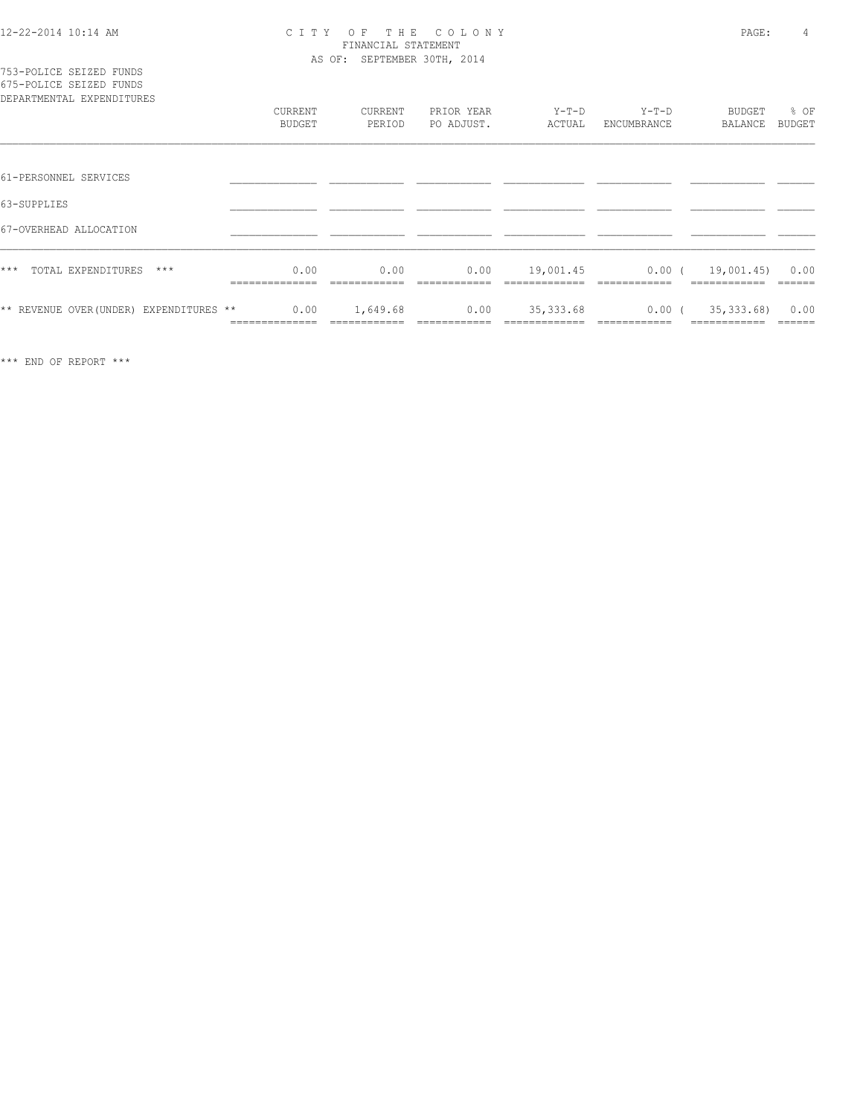| 753-POLICE SEIZED FUNDS   |  |  |
|---------------------------|--|--|
| 675-POLICE SEIZED FUNDS   |  |  |
| DEPARTMENTAL EXPENDITURES |  |  |

| DEPARTMENTAL EXPENDITURES               |                     |                   |                          |                   |                        |                   |                       |
|-----------------------------------------|---------------------|-------------------|--------------------------|-------------------|------------------------|-------------------|-----------------------|
|                                         | CURRENT<br>BUDGET   | CURRENT<br>PERIOD | PRIOR YEAR<br>PO ADJUST. | $Y-T-D$<br>ACTUAL | $Y-T-D$<br>ENCUMBRANCE | BUDGET<br>BALANCE | % OF<br><b>BUDGET</b> |
|                                         |                     |                   |                          |                   |                        |                   |                       |
| 61-PERSONNEL SERVICES                   |                     |                   |                          |                   |                        |                   |                       |
| 63-SUPPLIES                             |                     |                   |                          |                   |                        |                   |                       |
| 67-OVERHEAD ALLOCATION                  |                     |                   |                          |                   |                        |                   |                       |
| $***$<br>TOTAL EXPENDITURES<br>$***$    | 0.00                | 0.00              | 0.00                     | 19,001.45         | $0.00$ (               | 19,001.45)        | 0.00                  |
| ** REVENUE OVER (UNDER) EXPENDITURES ** | 0.00<br>___________ | 1,649.68          | 0.00                     | 35, 333.68        | $0.00$ (               | 35, 333.68)       | 0.00                  |
|                                         |                     |                   |                          |                   |                        |                   |                       |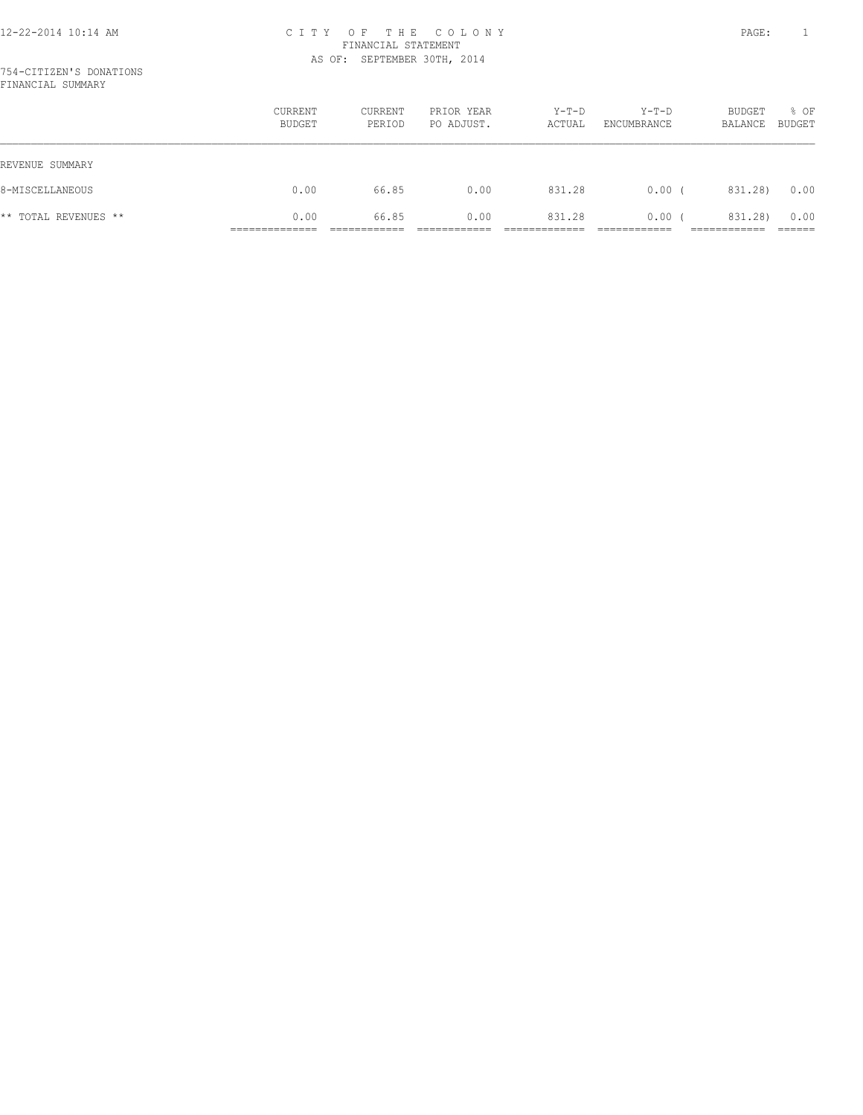|                      | CURRENT<br>BUDGET | <b>CURRENT</b><br>PERIOD | PRIOR YEAR<br>PO ADJUST. | $Y-T-D$<br>ACTUAL | $Y-T-D$<br>ENCUMBRANCE | BUDGET<br>BALANCE | % OF<br><b>BUDGET</b> |
|----------------------|-------------------|--------------------------|--------------------------|-------------------|------------------------|-------------------|-----------------------|
| REVENUE SUMMARY      |                   |                          |                          |                   |                        |                   |                       |
| 8-MISCELLANEOUS      | 0.00              | 66.85                    | 0.00                     | 831.28            | 0.00(                  | 831.28)           | 0.00                  |
| ** TOTAL REVENUES ** | 0.00              | 66.85                    | 0.00                     | 831.28            | 0.00                   | 831.28)           | 0.00                  |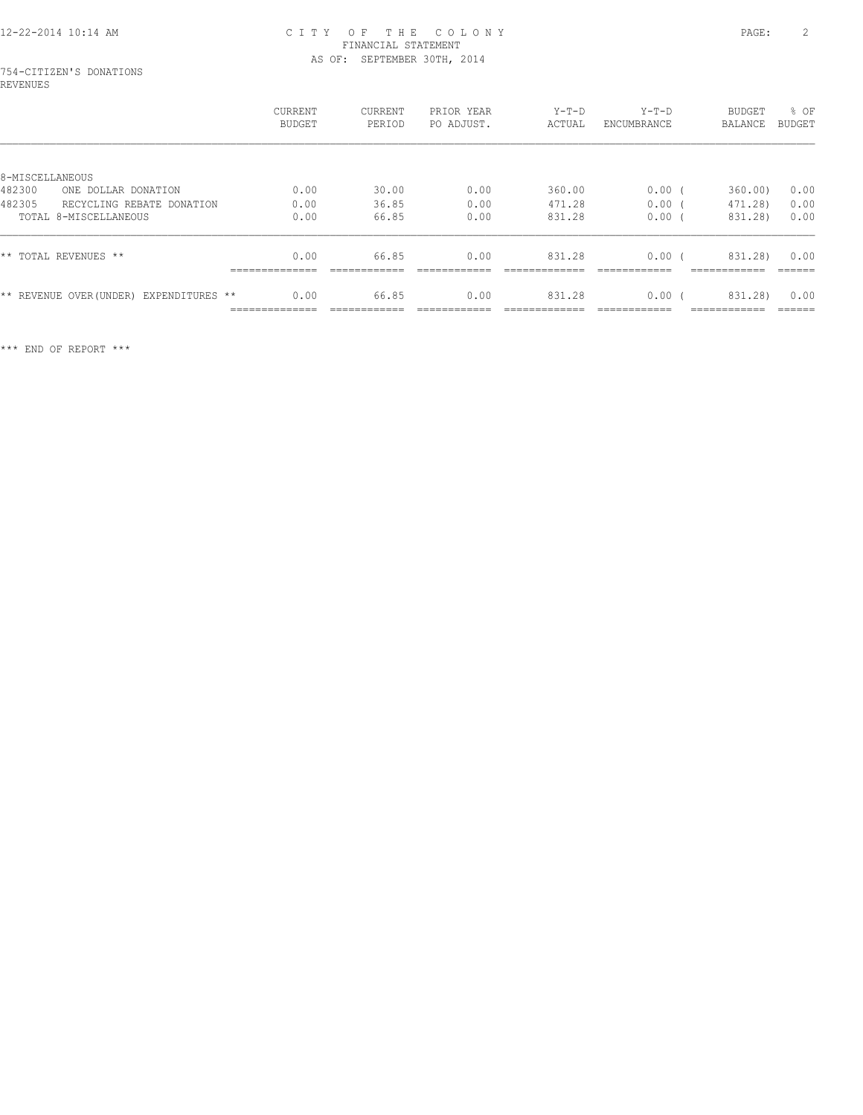#### 754-CITIZEN'S DONATIONS REVENUES

|                                         | <b>CURRENT</b><br>BUDGET | CURRENT<br>PERIOD      | PRIOR YEAR<br>PO ADJUST. | $Y-T-D$<br>ACTUAL | $Y-T-D$<br>ENCUMBRANCE | <b>BUDGET</b><br>BALANCE | % OF<br><b>BUDGET</b> |
|-----------------------------------------|--------------------------|------------------------|--------------------------|-------------------|------------------------|--------------------------|-----------------------|
|                                         |                          |                        |                          |                   |                        |                          |                       |
| 8-MISCELLANEOUS                         |                          |                        |                          |                   |                        |                          |                       |
| 482300<br>ONE DOLLAR DONATION           | 0.00                     | 30.00                  | 0.00                     | 360.00            | 0.00                   | 360.00                   | 0.00                  |
| 482305<br>RECYCLING REBATE DONATION     | 0.00                     | 36.85                  | 0.00                     | 471.28            | 0.00                   | 471.28)                  | 0.00                  |
| TOTAL 8-MISCELLANEOUS                   | 0.00                     | 66.85                  | 0.00                     | 831.28            | 0.00                   | 831.28)                  | 0.00                  |
| ** TOTAL REVENUES **                    | 0.00<br>--------------   | 66.85                  | 0.00                     | 831.28            | 0.00                   | 831.28)                  | 0.00<br>------        |
| ** REVENUE OVER (UNDER) EXPENDITURES ** | 0.00<br>______________   | 66.85<br>------------- | 0.00                     | 831.28            | 0.00                   | 831.28)<br>___________   | 0.00<br>------        |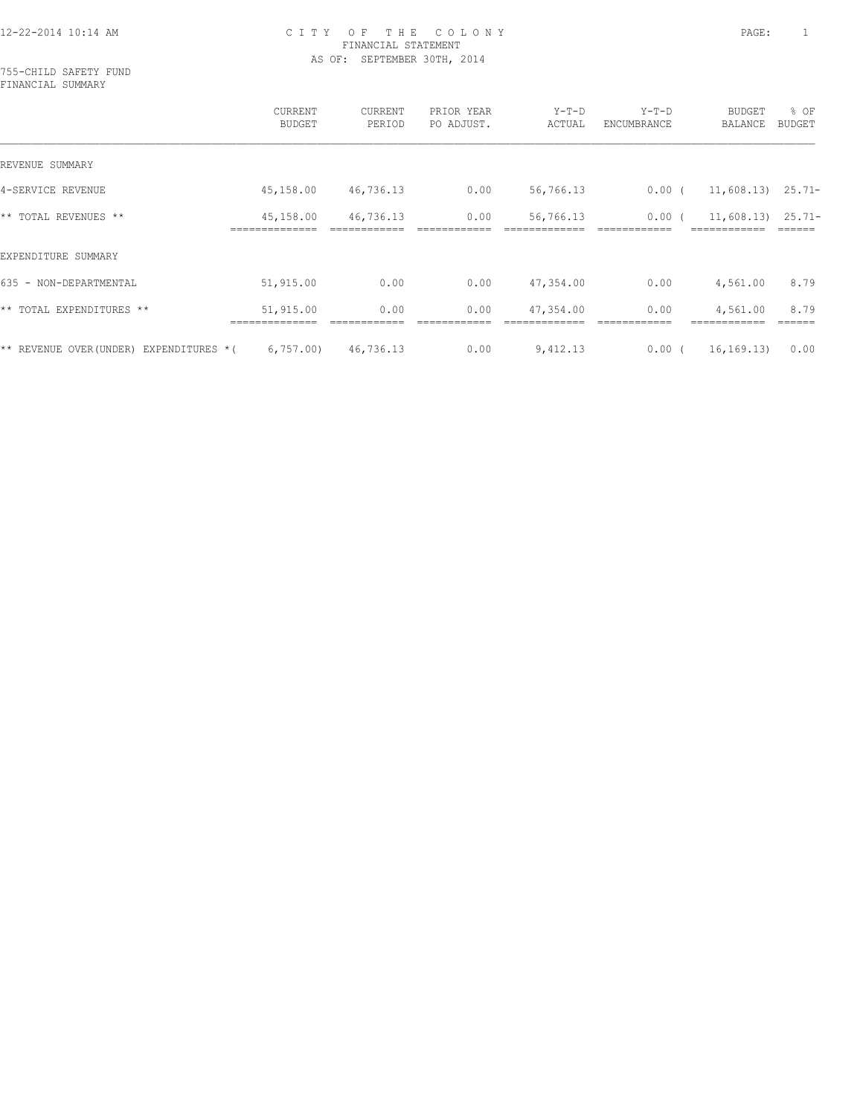755-CHILD SAFETY FUND FINANCIAL SUMMARY

|                                            | CURRENT<br><b>BUDGET</b> | CURRENT<br>PERIOD | PRIOR YEAR<br>PO ADJUST. | $Y-T-D$<br>ACTUAL | $Y-T-D$<br>ENCUMBRANCE | <b>BUDGET</b><br>BALANCE | % OF<br>BUDGET |
|--------------------------------------------|--------------------------|-------------------|--------------------------|-------------------|------------------------|--------------------------|----------------|
| REVENUE SUMMARY                            |                          |                   |                          |                   |                        |                          |                |
| 4-SERVICE REVENUE                          | 45,158.00                | 46,736.13         | 0.00                     | 56,766.13         | $0.00$ (               | $11,608.13$ $25.71-$     |                |
| ** TOTAL REVENUES **                       | 45,158.00                | 46,736.13         | 0.00                     | 56,766.13         | 0.00(                  | $11,608.13$ $25.71-$     |                |
| EXPENDITURE SUMMARY                        |                          |                   |                          |                   |                        |                          |                |
| 635 - NON-DEPARTMENTAL                     | 51,915.00                | 0.00              | 0.00                     | 47,354.00         | 0.00                   | 4,561.00                 | 8.79           |
| ** TOTAL EXPENDITURES **                   | 51,915.00                | 0.00              | 0.00                     | 47,354.00         | 0.00                   | 4,561.00                 | 8.79           |
| ** REVENUE OVER (UNDER)<br>EXPENDITURES *( | 6,757.00                 | 46,736.13         | 0.00                     | 9,412.13          | 0.00(                  | 16, 169, 13)             | 0.00           |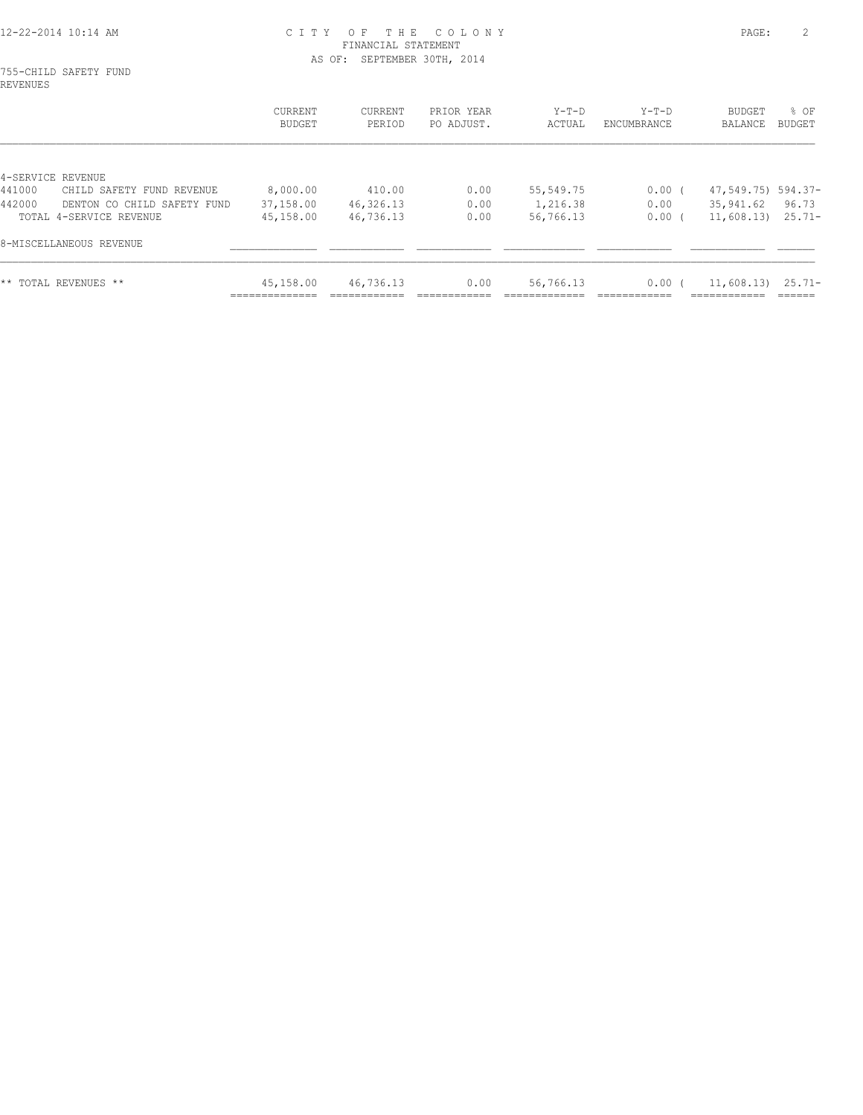755-CHILD SAFETY FUND REVENUES

|                                                                                                                              | CURRENT<br>BUDGET                  | CURRENT<br>PERIOD                | PRIOR YEAR<br>PO ADJUST. | $Y-T-D$<br>ACTUAL                  | $Y-T-D$<br>ENCUMBRANCE    | BUDGET<br>BALANCE                                       | $8$ OF<br>BUDGET |
|------------------------------------------------------------------------------------------------------------------------------|------------------------------------|----------------------------------|--------------------------|------------------------------------|---------------------------|---------------------------------------------------------|------------------|
| 4-SERVICE REVENUE<br>441000<br>CHILD SAFETY FUND REVENUE<br>442000<br>DENTON CO CHILD SAFETY FUND<br>TOTAL 4-SERVICE REVENUE | 8,000.00<br>37,158.00<br>45,158.00 | 410.00<br>46,326.13<br>46,736.13 | 0.00<br>0.00<br>0.00     | 55,549.75<br>1,216.38<br>56,766.13 | $0.00$ (<br>0.00<br>0.00( | 47,549.75) 594.37-<br>35,941.62<br>$11,608.13$ $25.71-$ | 96.73            |
| 8-MISCELLANEOUS REVENUE                                                                                                      |                                    |                                  |                          |                                    |                           |                                                         |                  |
| ** TOTAL REVENUES **                                                                                                         | 45,158.00<br>___________           | 46,736.13                        | 0.00                     | 56,766.13                          | 0.00(                     | $11,608.13$ $25.71-$                                    |                  |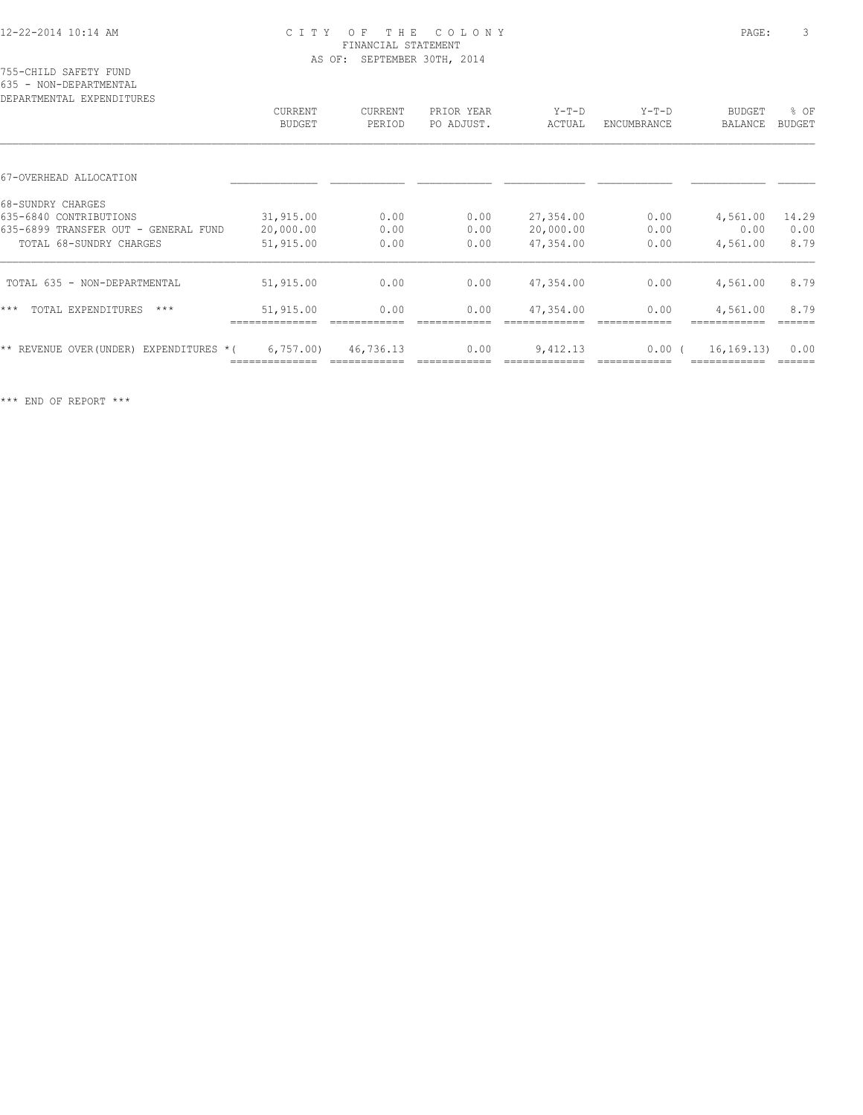#### 755-CHILD SAFETY FUND 635 - NON-DEPARTMENTAL

| DEPARTMENTAL EXPENDITURES                  |                |           |            |           |             |                |               |
|--------------------------------------------|----------------|-----------|------------|-----------|-------------|----------------|---------------|
|                                            | <b>CURRENT</b> | CURRENT   | PRIOR YEAR | $Y-T-D$   | $Y-T-D$     | <b>BUDGET</b>  | % OF          |
|                                            | <b>BUDGET</b>  | PERIOD    | PO ADJUST. | ACTUAL    | ENCUMBRANCE | <b>BALANCE</b> | <b>BUDGET</b> |
|                                            |                |           |            |           |             |                |               |
| 67-OVERHEAD ALLOCATION                     |                |           |            |           |             |                |               |
| 68-SUNDRY CHARGES                          |                |           |            |           |             |                |               |
| 635-6840 CONTRIBUTIONS                     | 31,915.00      | 0.00      | 0.00       | 27,354.00 | 0.00        | 4,561.00       | 14.29         |
| 635-6899 TRANSFER OUT - GENERAL FUND       | 20,000.00      | 0.00      | 0.00       | 20,000.00 | 0.00        | 0.00           | 0.00          |
| TOTAL 68-SUNDRY CHARGES                    | 51,915.00      | 0.00      | 0.00       | 47,354.00 | 0.00        | 4,561.00       | 8.79          |
| TOTAL 635 - NON-DEPARTMENTAL               | 51,915.00      | 0.00      | 0.00       | 47,354.00 | 0.00        | 4,561.00       | 8.79          |
| $***$<br>TOTAL EXPENDITURES<br>$***$       | 51,915.00      | 0.00      | 0.00       | 47,354.00 | 0.00        | 4,561.00       | 8.79          |
| EXPENDITURES *(<br>** REVENUE OVER (UNDER) | 6,757.00       | 46,736.13 | 0.00       | 9,412.13  | $0.00$ (    | 16, 169.13     | 0.00          |
|                                            |                |           |            |           |             |                |               |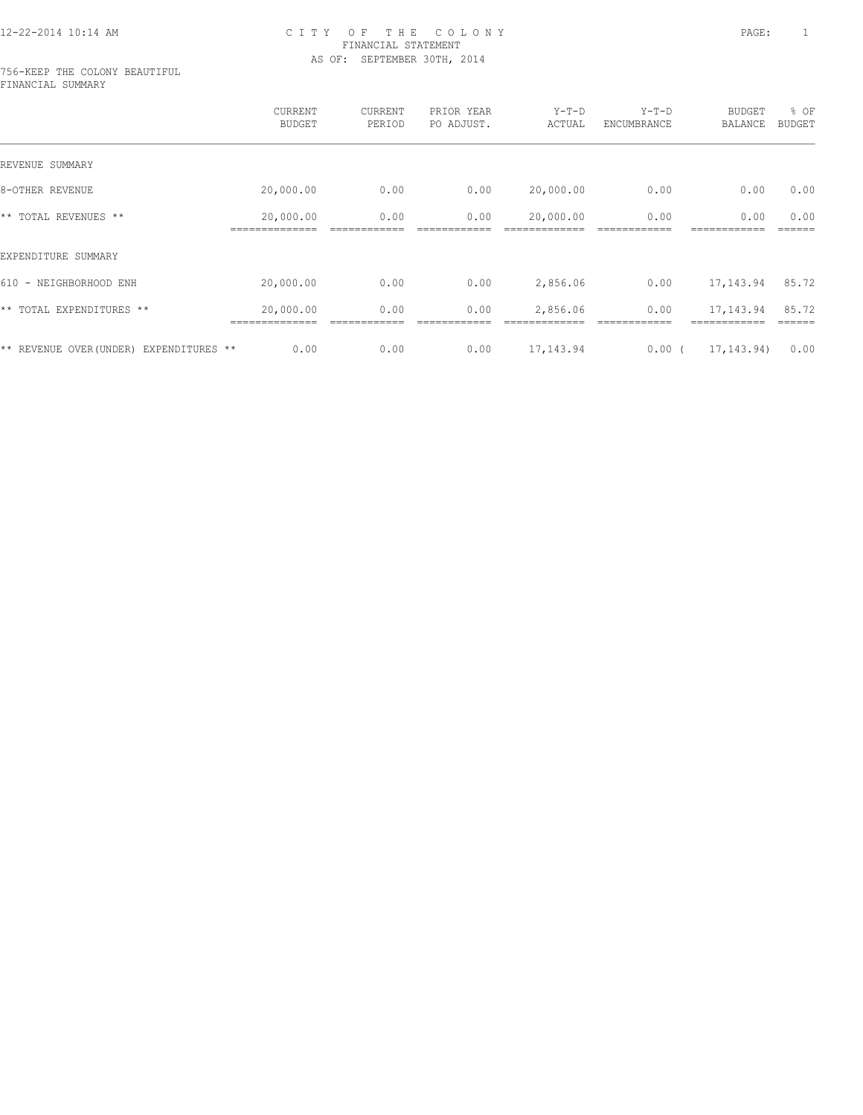#### 756-KEEP THE COLONY BEAUTIFUL FINANCIAL SUMMARY

|                                            | CURRENT<br><b>BUDGET</b>    | CURRENT<br>PERIOD | PRIOR YEAR<br>PO ADJUST. | $Y-T-D$<br>ACTUAL | $Y-T-D$<br>ENCUMBRANCE | BUDGET<br><b>BALANCE</b> | % OF<br><b>BUDGET</b> |
|--------------------------------------------|-----------------------------|-------------------|--------------------------|-------------------|------------------------|--------------------------|-----------------------|
| REVENUE SUMMARY                            |                             |                   |                          |                   |                        |                          |                       |
| 8-OTHER REVENUE                            | 20,000.00                   | 0.00              | 0.00                     | 20,000.00         | 0.00                   | 0.00                     | 0.00                  |
| ** TOTAL REVENUES **                       | 20,000.00<br>============== | 0.00              | 0.00                     | 20,000.00         | 0.00                   | 0.00                     | 0.00                  |
| EXPENDITURE SUMMARY                        |                             |                   |                          |                   |                        |                          |                       |
| 610 - NEIGHBORHOOD ENH                     | 20,000.00                   | 0.00              | 0.00                     | 2,856.06          | 0.00                   | 17,143.94                | 85.72                 |
| ** TOTAL EXPENDITURES **                   | 20,000.00                   | 0.00              | 0.00                     | 2,856.06          | 0.00                   | 17,143.94                | 85.72                 |
| ** REVENUE OVER (UNDER)<br>EXPENDITURES ** | 0.00                        | 0.00              | 0.00                     | 17,143.94         | 0.00(                  | 17, 143.94)              | 0.00                  |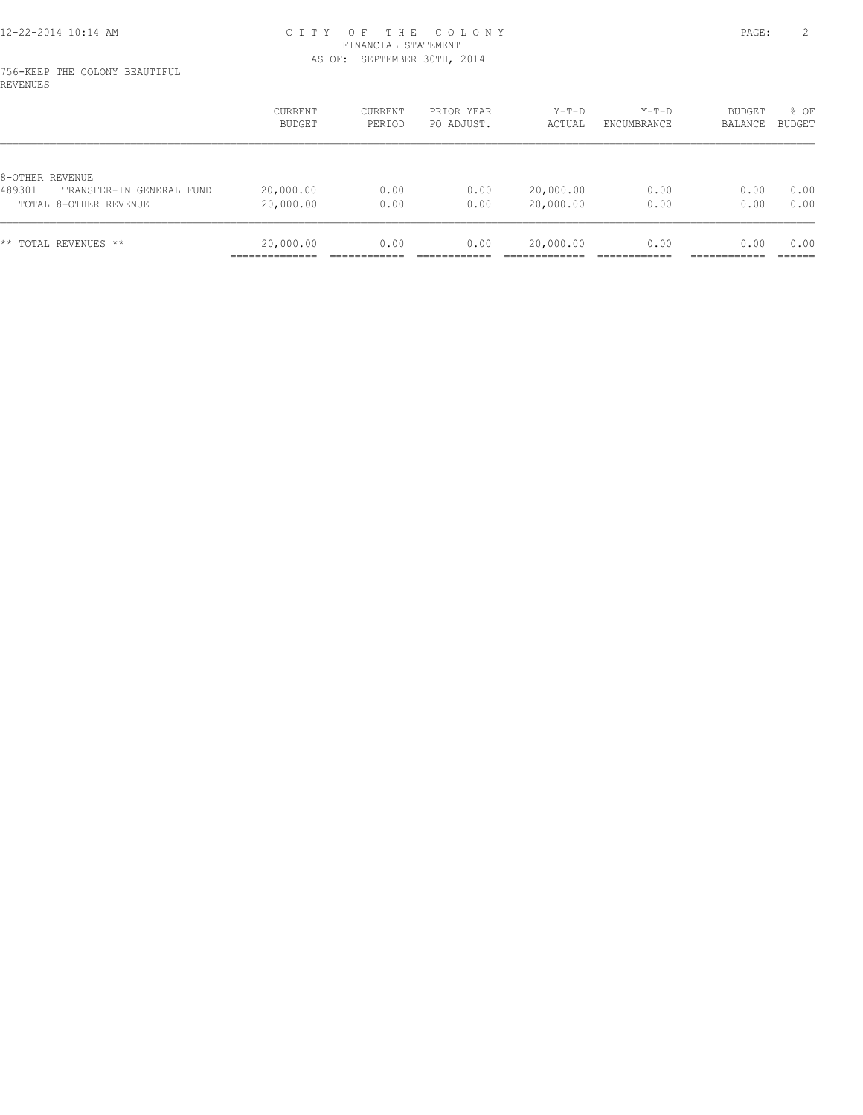#### 756-KEEP THE COLONY BEAUTIFUL REVENUES

|                                    | <b>CURRENT</b><br>BUDGET | CURRENT<br>PERIOD | PRIOR YEAR<br>PO ADJUST. | Y-T-D<br>ACTUAL | $Y-T-D$<br>ENCUMBRANCE | <b>BUDGET</b><br>BALANCE | $8$ OF<br>BUDGET |
|------------------------------------|--------------------------|-------------------|--------------------------|-----------------|------------------------|--------------------------|------------------|
| 8-OTHER REVENUE                    |                          |                   |                          |                 |                        |                          |                  |
| 489301<br>TRANSFER-IN GENERAL FUND | 20,000.00                | 0.00              | 0.00                     | 20,000.00       | 0.00                   | 0.00                     | 0.00             |
| TOTAL 8-OTHER REVENUE              | 20,000.00                | 0.00              | 0.00                     | 20,000.00       | 0.00                   | 0.00                     | 0.00             |
| ** TOTAL REVENUES **               | 20,000.00                | 0.00              | 0.00                     | 20,000.00       | 0.00                   | 0.00                     | 0.00             |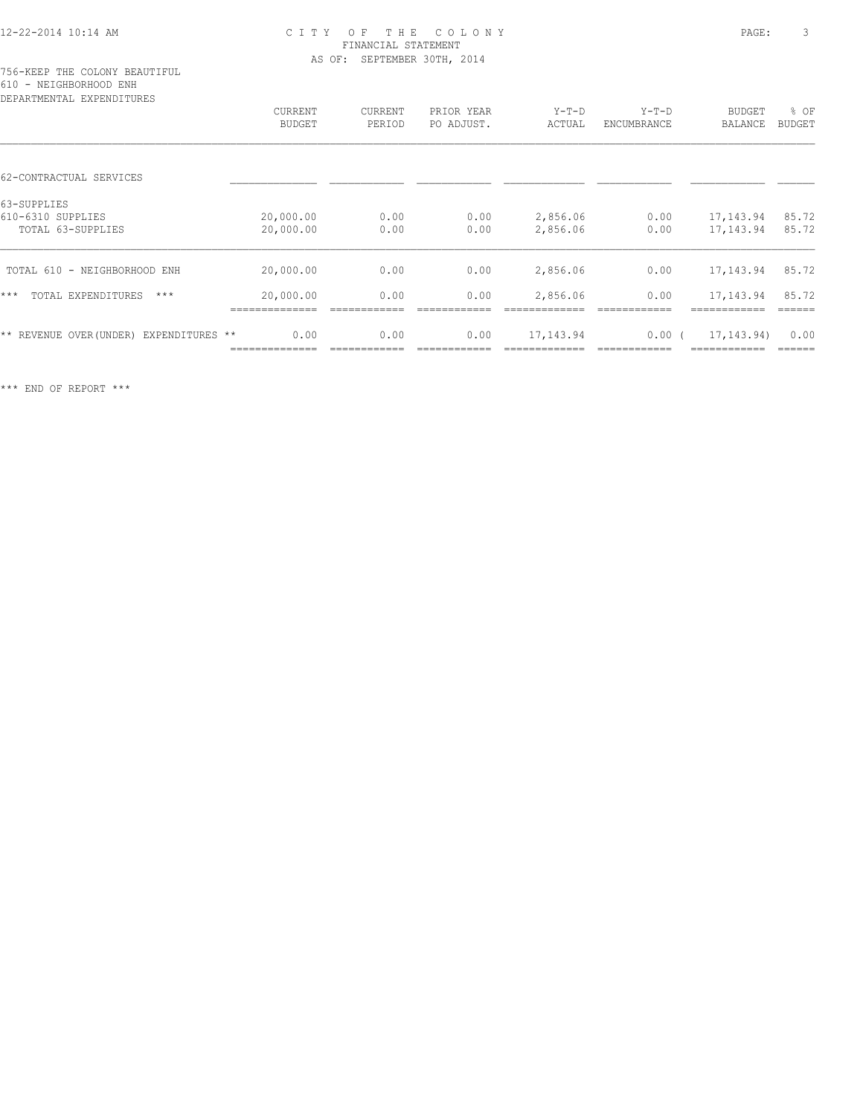### 12-22-2014 10:14 AM C I T Y O F T H E C O L O N Y PAGE: 3 FINANCIAL STATEMENT AS OF: SEPTEMBER 30TH, 2014

| DEPARTMENTAL EXPENDITURES               |                         |         |            |            |             |                |               |
|-----------------------------------------|-------------------------|---------|------------|------------|-------------|----------------|---------------|
|                                         | CURRENT                 | CURRENT | PRIOR YEAR | $Y-T-D$    | $Y-T-D$     | <b>BUDGET</b>  | % OF          |
|                                         | <b>BUDGET</b><br>PERIOD |         | PO ADJUST. | ACTUAL     | ENCUMBRANCE | <b>BALANCE</b> | <b>BUDGET</b> |
|                                         |                         |         |            |            |             |                |               |
| 62-CONTRACTUAL SERVICES                 |                         |         |            |            |             |                |               |
| 63-SUPPLIES                             |                         |         |            |            |             |                |               |
| 610-6310 SUPPLIES                       | 20,000.00               | 0.00    | 0.00       | 2,856.06   | 0.00        | 17,143.94      | 85.72         |
| TOTAL 63-SUPPLIES                       | 20,000.00               | 0.00    | 0.00       | 2,856.06   | 0.00        | 17,143.94      | 85.72         |
| TOTAL 610 - NEIGHBORHOOD ENH            | 20,000.00               | 0.00    | 0.00       | 2,856.06   | 0.00        | 17,143.94      | 85.72         |
| $***$<br>TOTAL EXPENDITURES<br>$***$    | 20,000.00               | 0.00    | 0.00       | 2,856.06   | 0.00        | 17,143.94      | 85.72         |
|                                         |                         |         |            |            |             |                |               |
| ** REVENUE OVER (UNDER) EXPENDITURES ** | 0.00                    | 0.00    | 0.00       | 17, 143.94 | $0.00$ (    | 17, 143. 94)   | 0.00          |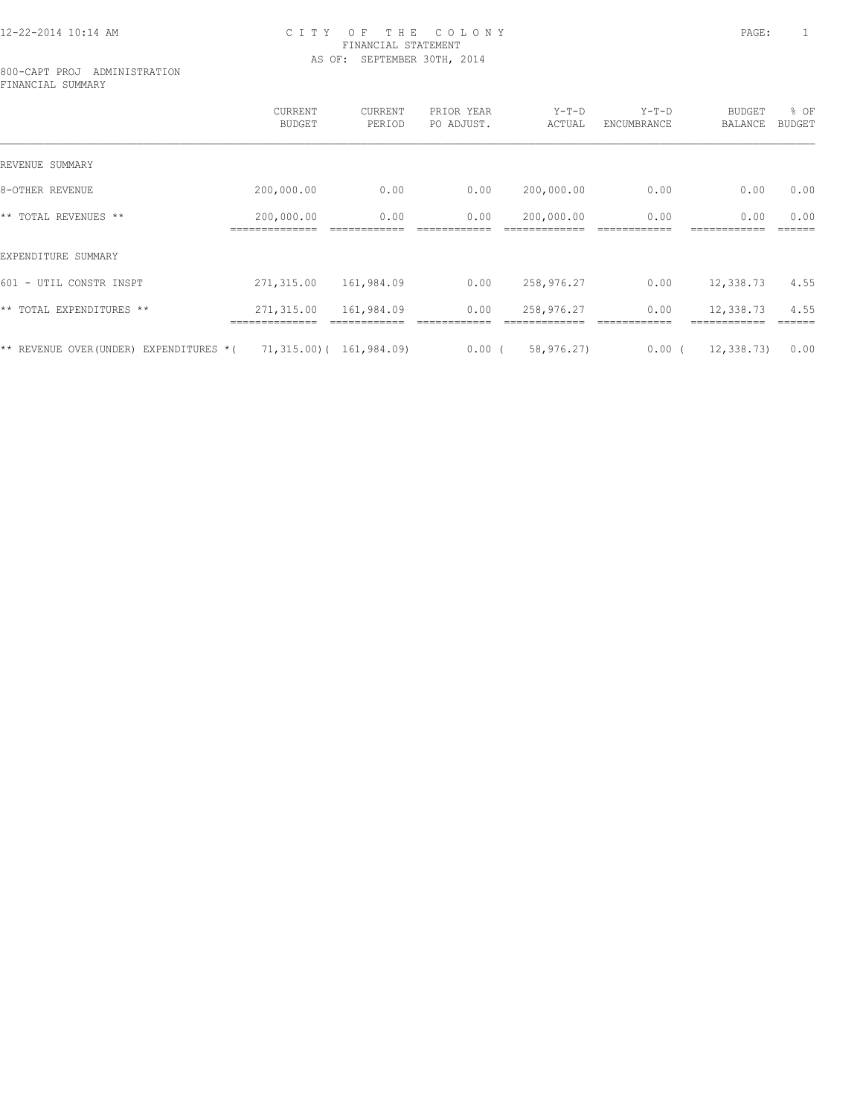### 12-22-2014 10:14 AM C I T Y O F T H E C O L O N Y PAGE: 1 FINANCIAL STATEMENT AS OF: SEPTEMBER 30TH, 2014

#### 800-CAPT PROJ ADMINISTRATION FINANCIAL SUMMARY

|                                            | CURRENT<br><b>BUDGET</b> | CURRENT<br>PERIOD        | PRIOR YEAR<br>PO ADJUST. | $Y-T-D$<br>ACTUAL | $Y-T-D$<br>ENCUMBRANCE | <b>BUDGET</b><br>BALANCE | % OF<br><b>BUDGET</b> |
|--------------------------------------------|--------------------------|--------------------------|--------------------------|-------------------|------------------------|--------------------------|-----------------------|
| REVENUE SUMMARY                            |                          |                          |                          |                   |                        |                          |                       |
| 8-OTHER REVENUE                            | 200,000.00               | 0.00                     | 0.00                     | 200,000.00        | 0.00                   | 0.00                     | 0.00                  |
| ** TOTAL REVENUES **                       | 200,000.00               | 0.00                     | 0.00                     | 200,000.00        | 0.00                   | 0.00                     | 0.00                  |
| EXPENDITURE SUMMARY                        |                          |                          |                          |                   |                        |                          |                       |
| 601 - UTIL CONSTR INSPT                    | 271,315.00               | 161,984.09               | 0.00                     | 258,976.27        | 0.00                   | 12,338.73                | 4.55                  |
| ** TOTAL EXPENDITURES **                   | 271,315.00               | 161,984.09               | 0.00                     | 258,976.27        | 0.00                   | 12,338.73                | 4.55                  |
| ** REVENUE OVER (UNDER)<br>EXPENDITURES *( |                          | 71,315.00) ( 161,984.09) | $0.00$ (                 | 58,976.27)        | 0.00(                  | 12, 338, 73)             | 0.00                  |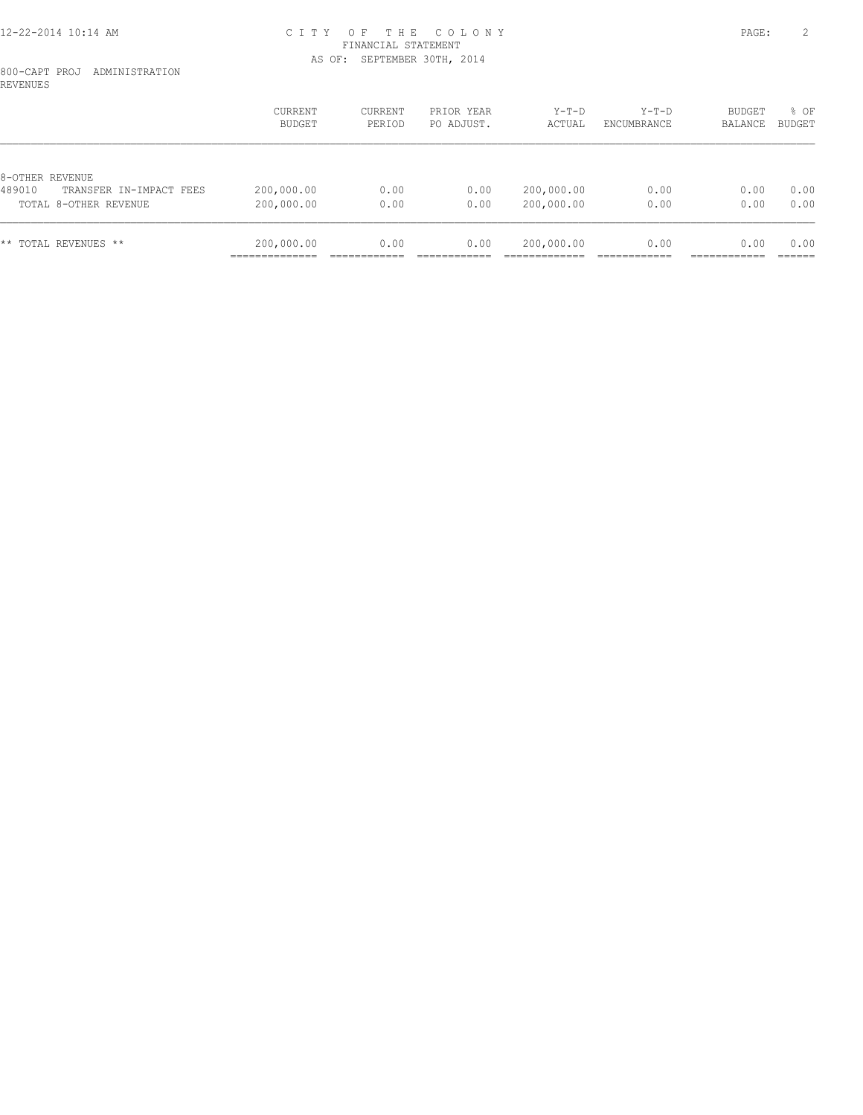### 12-22-2014 10:14 AM C I T Y O F T H E C O L O N Y PAGE: 2 FINANCIAL STATEMENT AS OF: SEPTEMBER 30TH, 2014

### 800-CAPT PROJ ADMINISTRATION REVENUES

|                                   | CURRENT<br>BUDGET | CURRENT<br>PERIOD | PRIOR YEAR<br>PO ADJUST. | Y-T-D<br>ACTUAL | $Y-T-D$<br>ENCUMBRANCE | BUDGET<br>BALANCE | % OF<br>BUDGET |
|-----------------------------------|-------------------|-------------------|--------------------------|-----------------|------------------------|-------------------|----------------|
|                                   |                   |                   |                          |                 |                        |                   |                |
| 8-OTHER REVENUE                   |                   |                   |                          |                 |                        |                   |                |
| 489010<br>TRANSFER IN-IMPACT FEES | 200,000.00        | 0.00              | 0.00                     | 200,000.00      | 0.00                   | 0.00              | 0.00           |
| TOTAL 8-OTHER REVENUE             | 200,000.00        | 0.00              | 0.00                     | 200,000.00      | 0.00                   | 0.00              | 0.00           |
| ** TOTAL REVENUES **              | 200,000.00        | 0.00              | 0.00                     | 200,000.00      | 0.00                   | 0.00              | 0.00           |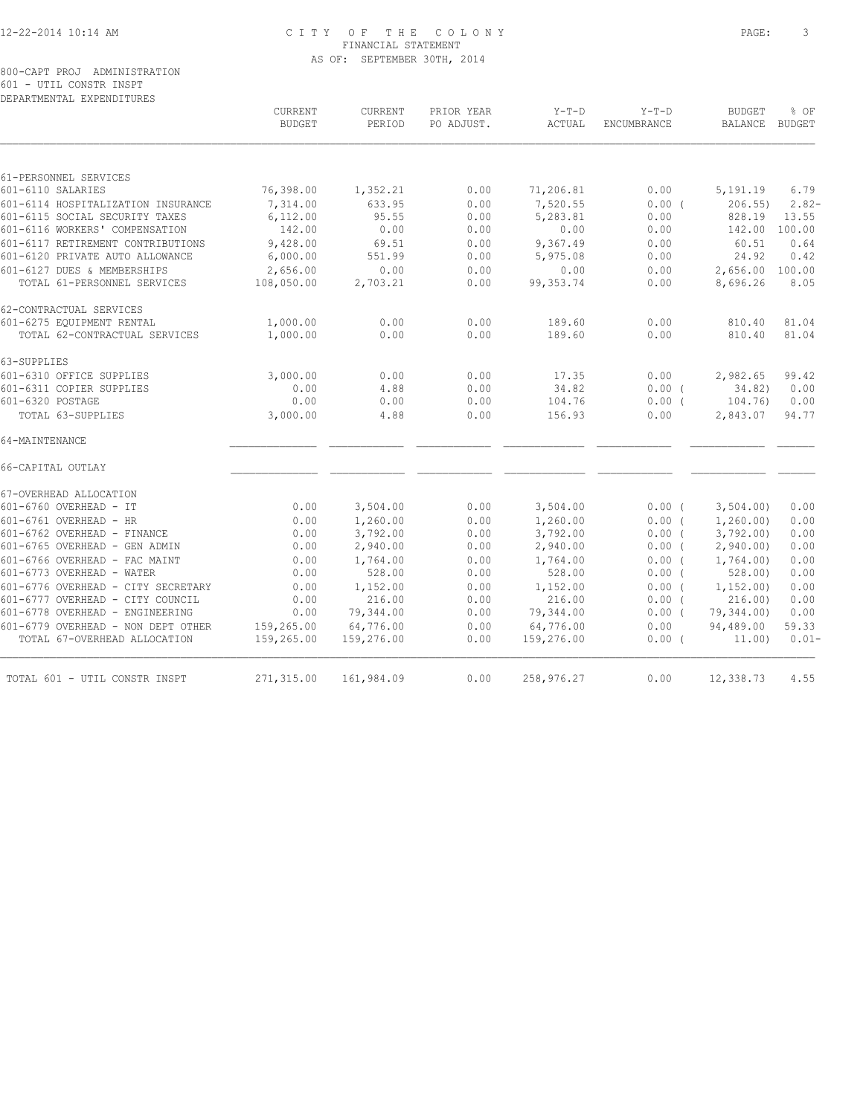### 12-22-2014 10:14 AM C I T Y O F T H E C O L O N Y PAGE: 3 FINANCIAL STATEMENT AS OF: SEPTEMBER 30TH, 2014

|                                    | CURRENT<br><b>BUDGET</b> | CURRENT<br>PERIOD | PRIOR YEAR<br>PO ADJUST. | $Y-T-D$<br>ACTUAL | $Y-T-D$<br>ENCUMBRANCE | <b>BUDGET</b><br><b>BALANCE</b> | % OF<br><b>BUDGET</b> |
|------------------------------------|--------------------------|-------------------|--------------------------|-------------------|------------------------|---------------------------------|-----------------------|
|                                    |                          |                   |                          |                   |                        |                                 |                       |
| 61-PERSONNEL SERVICES              |                          |                   |                          |                   |                        |                                 |                       |
| 601-6110 SALARIES                  | 76,398.00                | 1,352.21          | 0.00                     | 71,206.81         | 0.00                   | 5,191.19                        | 6.79                  |
| 601-6114 HOSPITALIZATION INSURANCE | 7,314.00                 | 633.95            | 0.00                     | 7,520.55          | 0.00(                  | 206.55                          | $2.82-$               |
| 601-6115 SOCIAL SECURITY TAXES     | 6,112.00                 | 95.55             | 0.00                     | 5,283.81          | 0.00                   | 828.19                          | 13.55                 |
| 601-6116 WORKERS' COMPENSATION     | 142.00                   | 0.00              | 0.00                     | 0.00              | 0.00                   | 142.00                          | 100.00                |
| 601-6117 RETIREMENT CONTRIBUTIONS  | 9,428.00                 | 69.51             | 0.00                     | 9,367.49          | 0.00                   | 60.51                           | 0.64                  |
| 601-6120 PRIVATE AUTO ALLOWANCE    | 6,000.00                 | 551.99            | 0.00                     | 5,975.08          | 0.00                   | 24.92                           | 0.42                  |
| 601-6127 DUES & MEMBERSHIPS        | 2,656.00                 | 0.00              | 0.00                     | 0.00              | 0.00                   | 2,656.00                        | 100.00                |
| TOTAL 61-PERSONNEL SERVICES        | 108,050.00               | 2,703.21          | 0.00                     | 99, 353.74        | 0.00                   | 8,696.26                        | 8.05                  |
| 62-CONTRACTUAL SERVICES            |                          |                   |                          |                   |                        |                                 |                       |
| 601-6275 EQUIPMENT RENTAL          | 1,000.00                 | 0.00              | 0.00                     | 189.60            | 0.00                   | 810.40                          | 81.04                 |
| TOTAL 62-CONTRACTUAL SERVICES      | 1,000.00                 | 0.00              | 0.00                     | 189.60            | 0.00                   | 810.40                          | 81.04                 |
| 63-SUPPLIES                        |                          |                   |                          |                   |                        |                                 |                       |
| 601-6310 OFFICE SUPPLIES           | 3,000.00                 | 0.00              | 0.00                     | 17.35             | 0.00                   | 2,982.65                        | 99.42                 |
| 601-6311 COPIER SUPPLIES           | 0.00                     | 4.88              | 0.00                     | 34.82             | $0.00$ (               | 34.82)                          | 0.00                  |
| 601-6320 POSTAGE                   | 0.00                     | 0.00              | 0.00                     | 104.76            | $0.00$ (               | 104.76)                         | 0.00                  |
| TOTAL 63-SUPPLIES                  | 3,000.00                 | 4.88              | 0.00                     | 156.93            | 0.00                   | 2,843.07                        | 94.77                 |
| 64-MAINTENANCE                     |                          |                   |                          |                   |                        |                                 |                       |
| 66-CAPITAL OUTLAY                  |                          |                   |                          |                   |                        |                                 |                       |
| 67-OVERHEAD ALLOCATION             |                          |                   |                          |                   |                        |                                 |                       |
| 601-6760 OVERHEAD - IT             | 0.00                     | 3,504.00          | 0.00                     | 3,504.00          | $0.00$ (               | 3,504.00                        | 0.00                  |
| 601-6761 OVERHEAD - HR             | 0.00                     | 1,260.00          | 0.00                     | 1,260.00          | $0.00$ (               | 1, 260.00                       | 0.00                  |
| 601-6762 OVERHEAD - FINANCE        | 0.00                     | 3,792.00          | 0.00                     | 3,792.00          | 0.00(                  | 3,792.00                        | 0.00                  |
| 601-6765 OVERHEAD - GEN ADMIN      | 0.00                     | 2,940.00          | 0.00                     | 2,940.00          | $0.00$ (               | 2,940.00                        | 0.00                  |
| 601-6766 OVERHEAD - FAC MAINT      | 0.00                     | 1,764.00          | 0.00                     | 1,764.00          | 0.00(                  | 1,764.00)                       | 0.00                  |
| 601-6773 OVERHEAD - WATER          | 0.00                     | 528.00            | 0.00                     | 528.00            | 0.00(                  | 528.00                          | 0.00                  |
| 601-6776 OVERHEAD - CITY SECRETARY | 0.00                     | 1,152.00          | 0.00                     | 1,152.00          | 0.00(                  | 1, 152, 00)                     | 0.00                  |
| 601-6777 OVERHEAD - CITY COUNCIL   | 0.00                     | 216.00            | 0.00                     | 216.00            | 0.00(                  | 216.00                          | 0.00                  |
| 601-6778 OVERHEAD - ENGINEERING    | 0.00                     | 79,344.00         | 0.00                     | 79,344.00         | 0.00(                  | 79,344.00)                      | 0.00                  |
| 601-6779 OVERHEAD - NON DEPT OTHER | 159,265.00               | 64,776.00         | 0.00                     | 64,776.00         | 0.00                   | 94,489.00                       | 59.33                 |
| TOTAL 67-OVERHEAD ALLOCATION       | 159,265.00               | 159,276.00        | 0.00                     | 159,276.00        | $0.00$ (               | 11.00)                          | $0.01 -$              |
| TOTAL 601 - UTIL CONSTR INSPT      | 271,315.00               | 161,984.09        | 0.00                     | 258,976.27        | 0.00                   | 12,338.73                       | 4.55                  |
|                                    |                          |                   |                          |                   |                        |                                 |                       |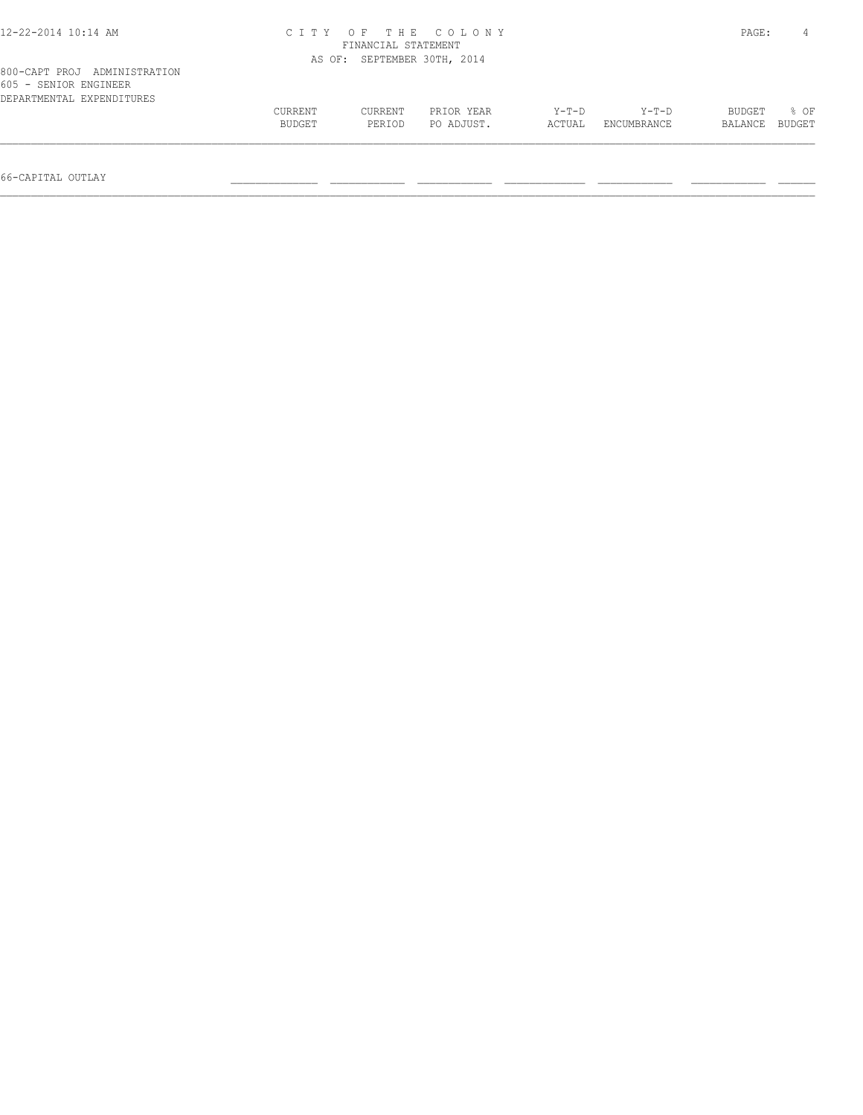| 12-22-2014 10:14 AM                                                                |         | FINANCIAL STATEMENT         | CITY OF THE COLONY |         |             | PAGE:   |        |
|------------------------------------------------------------------------------------|---------|-----------------------------|--------------------|---------|-------------|---------|--------|
|                                                                                    |         | AS OF: SEPTEMBER 30TH, 2014 |                    |         |             |         |        |
| 800-CAPT PROJ ADMINISTRATION<br>605 - SENIOR ENGINEER<br>DEPARTMENTAL EXPENDITURES |         |                             |                    |         |             |         |        |
|                                                                                    | CURRENT | CURRENT                     | PRIOR YEAR         | $Y-T-D$ | Y-T-D       | BUDGET  | 8 OF   |
|                                                                                    | BUDGET  | PERIOD                      | PO ADJUST.         | ACTUAL  | ENCUMBRANCE | BALANCE | BUDGET |
|                                                                                    |         |                             |                    |         |             |         |        |

66-CAPITAL OUTLAY \_\_\_\_\_\_\_\_\_\_\_\_\_\_ \_\_\_\_\_\_\_\_\_\_\_\_ \_\_\_\_\_\_\_\_\_\_\_\_ \_\_\_\_\_\_\_\_\_\_\_\_\_ \_\_\_\_\_\_\_\_\_\_\_\_ \_\_\_\_\_\_\_\_\_\_\_\_ \_\_\_\_\_\_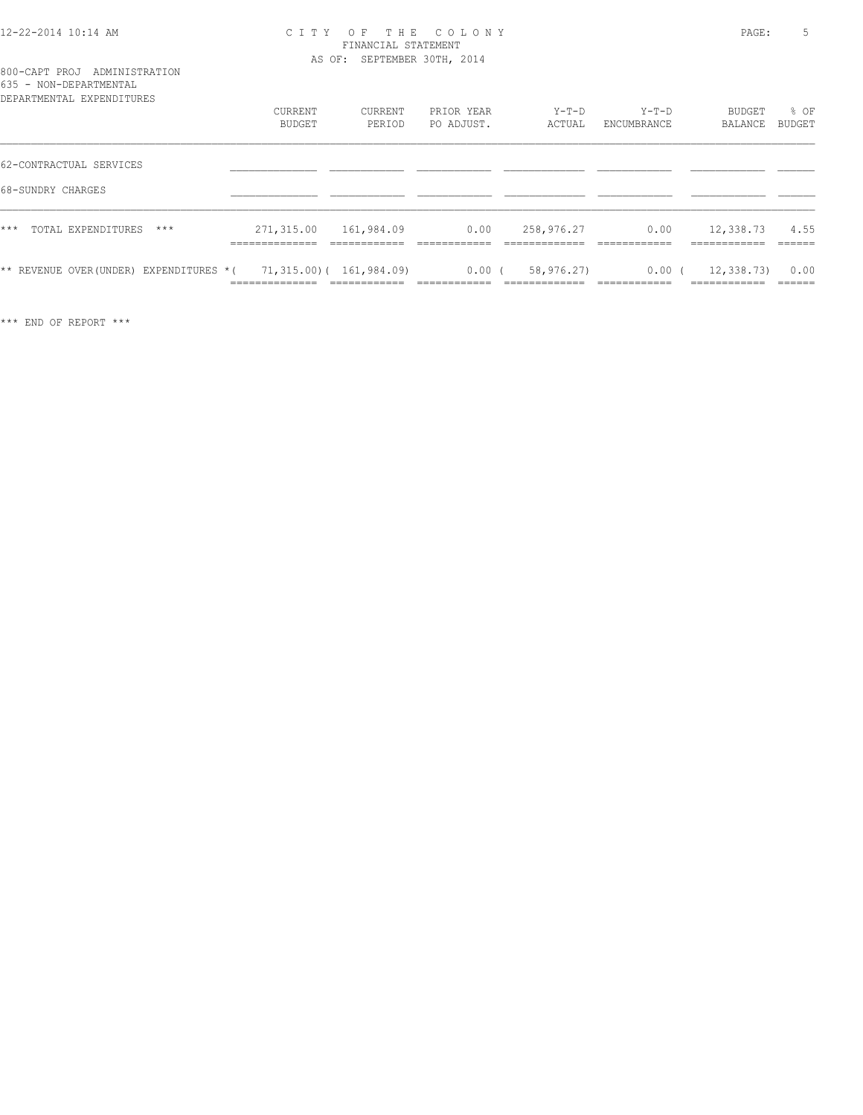### 12-22-2014 10:14 AM C I T Y O F T H E C O L O N Y PAGE: 5 FINANCIAL STATEMENT AS OF: SEPTEMBER 30TH, 2014

|  | 800-CAPT PROJ ADMINISTRATION      |
|--|-----------------------------------|
|  | 635 - NON-DEPARTMENTAL            |
|  | ,,,,,,,,,,,,,,,,,,,,,,,,,,,,,,,,, |

| DEPARTMENTAL EXPENDITURES                                        | CURRENT<br>BUDGET                       | CURRENT<br>PERIOD | PRIOR YEAR<br>PO ADJUST. | $Y-T-D$<br>ACTUAL | Y-T-D<br>ENCUMBRANCE | BUDGET<br>BALANCE         | % OF<br>BUDGET  |
|------------------------------------------------------------------|-----------------------------------------|-------------------|--------------------------|-------------------|----------------------|---------------------------|-----------------|
| 62-CONTRACTUAL SERVICES                                          |                                         |                   |                          |                   |                      |                           |                 |
| 68-SUNDRY CHARGES                                                |                                         |                   |                          |                   |                      |                           |                 |
| $***$<br>TOTAL EXPENDITURES<br>***                               | 271,315.00 161,984.09<br>______________ |                   | 0.00                     | 258,976.27        | 0.00                 | 12,338.73<br>____________ | 4.55<br>------- |
| ** REVENUE OVER(UNDER) EXPENDITURES $*($ 71,315.00)( 161,984.09) |                                         |                   | $0.00$ (                 | 58,976.27)        | $0.00$ (             | 12,338.73)                | 0.00            |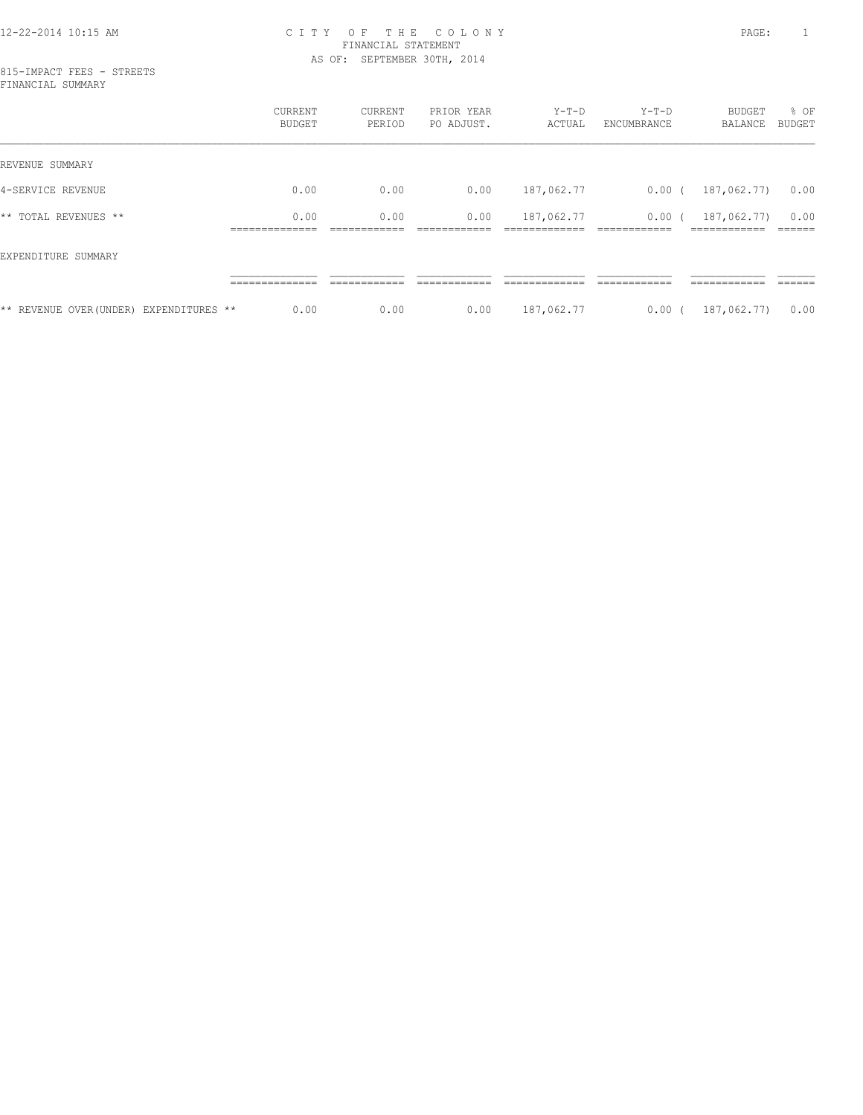### 12-22-2014 10:15 AM C I T Y O F T H E C O L O N Y PAGE: 1 FINANCIAL STATEMENT AS OF: SEPTEMBER 30TH, 2014

|                                         | CURRENT<br>BUDGET   | CURRENT<br>PERIOD | PRIOR YEAR<br>PO ADJUST. | $Y-T-D$<br>ACTUAL | $Y-T-D$<br>ENCUMBRANCE | BUDGET<br>BALANCE | % OF<br>BUDGET |
|-----------------------------------------|---------------------|-------------------|--------------------------|-------------------|------------------------|-------------------|----------------|
| REVENUE SUMMARY                         |                     |                   |                          |                   |                        |                   |                |
| 4-SERVICE REVENUE                       | 0.00                | 0.00              | 0.00                     | 187,062.77        | $0.00$ (               | 187,062.77)       | 0.00           |
| ** TOTAL REVENUES **                    | 0.00<br>___________ | 0.00              | 0.00                     | 187,062.77        | 0.00(                  | 187,062.77)       | 0.00           |
| EXPENDITURE SUMMARY                     |                     |                   |                          |                   |                        |                   |                |
|                                         |                     |                   |                          |                   |                        |                   |                |
| ** REVENUE OVER (UNDER) EXPENDITURES ** | 0.00                | 0.00              | 0.00                     | 187,062.77        | $0.00$ (               | 187,062.77)       | 0.00           |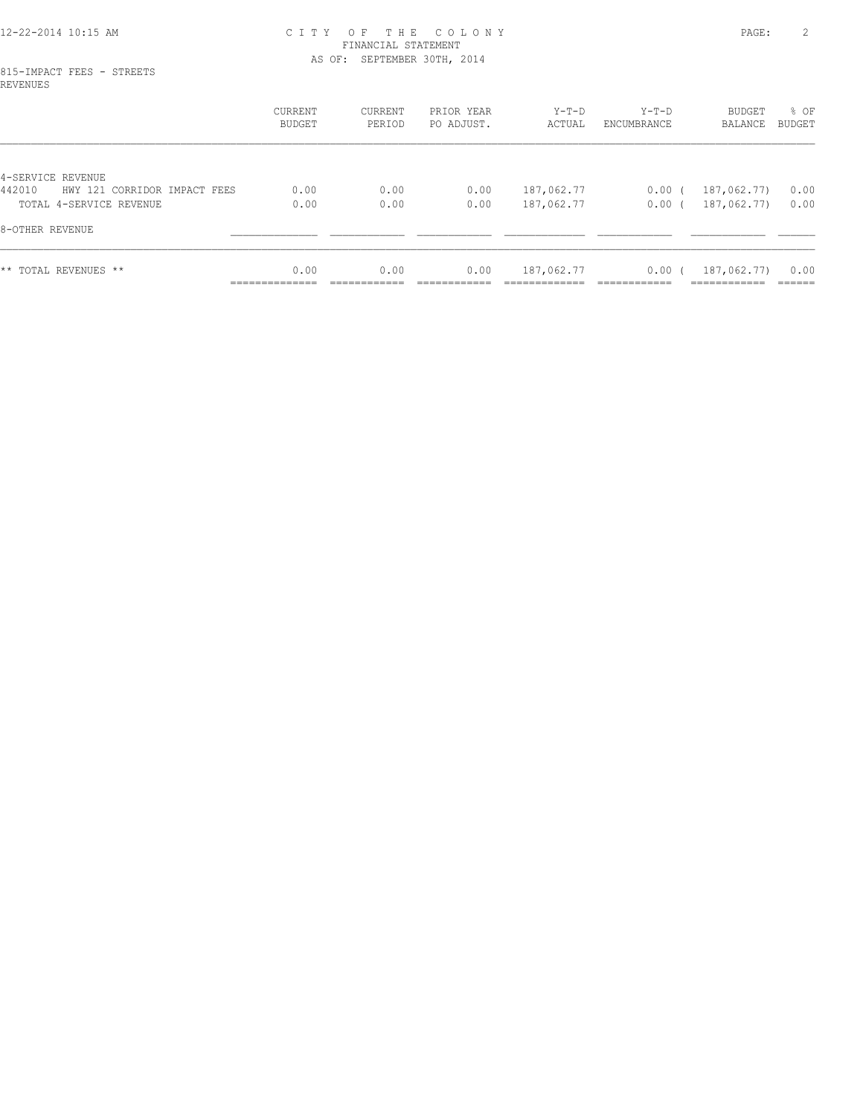### 12-22-2014 10:15 AM C I T Y O F T H E C O L O N Y PAGE: 2 FINANCIAL STATEMENT AS OF: SEPTEMBER 30TH, 2014

### 815-IMPACT FEES - STREETS REVENUES

|                                        | CURRENT<br><b>BUDGET</b> | CURRENT<br>PERIOD | PRIOR YEAR<br>PO ADJUST. | $Y-T-D$<br>ACTUAL | Y-T-D<br>ENCUMBRANCE | BUDGET<br>BALANCE | % OF<br>BUDGET |
|----------------------------------------|--------------------------|-------------------|--------------------------|-------------------|----------------------|-------------------|----------------|
|                                        |                          |                   |                          |                   |                      |                   |                |
| 4-SERVICE REVENUE                      |                          |                   |                          |                   |                      |                   |                |
| 442010<br>HWY 121 CORRIDOR IMPACT FEES | 0.00                     | 0.00              | 0.00                     | 187,062.77        | $0.00$ (             | 187,062.77)       | 0.00           |
| TOTAL 4-SERVICE REVENUE                | 0.00                     | 0.00              | 0.00                     | 187,062.77        | 0.00(                | 187,062.77)       | 0.00           |
| 8-OTHER REVENUE                        |                          |                   |                          |                   |                      |                   |                |
| ** TOTAL REVENUES **                   | 0.00                     | 0.00              | 0.00                     | 187,062.77        | 0.00(                | 187,062.77)       | 0.00           |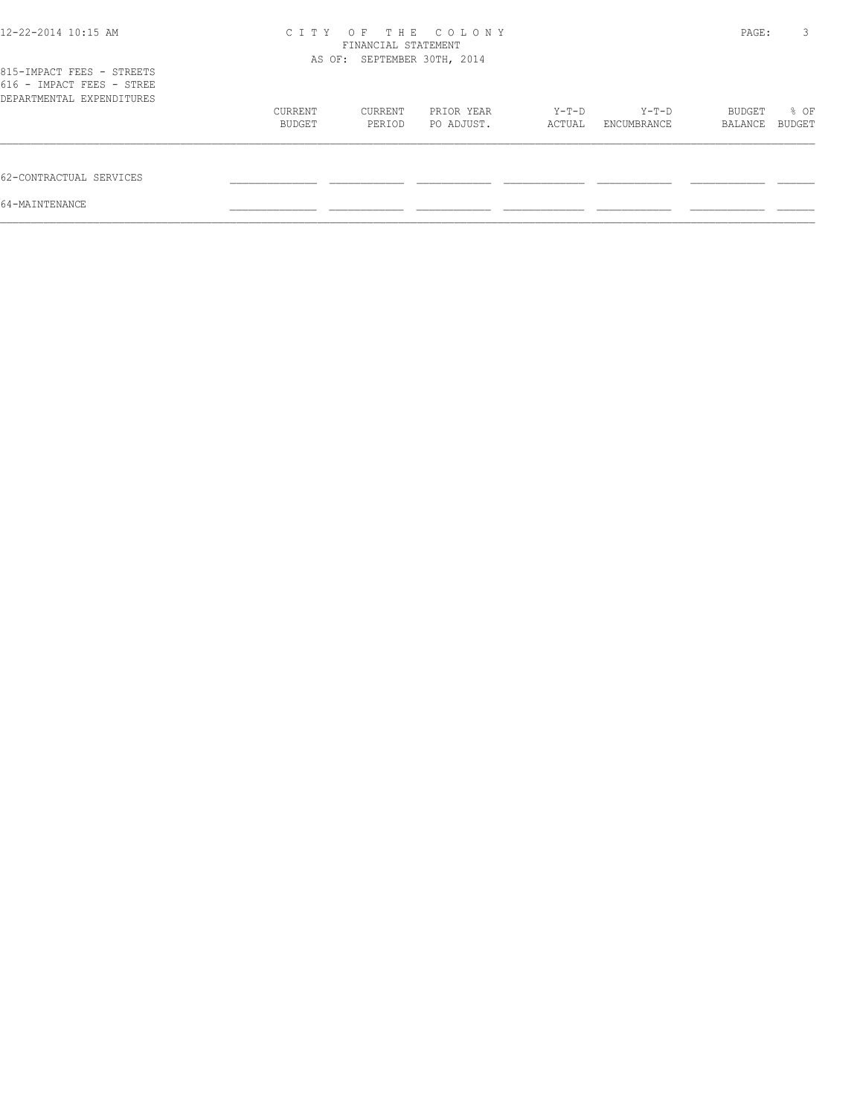| 12-22-2014 10:15 AM                                                                 | C I T Y | O F<br>FINANCIAL STATEMENT<br>AS OF: SEPTEMBER 30TH, 2014 | THE COLONY |        |             | PAGE:   | 3      |
|-------------------------------------------------------------------------------------|---------|-----------------------------------------------------------|------------|--------|-------------|---------|--------|
| 815-IMPACT FEES - STREETS<br>616 - IMPACT FEES - STREE<br>DEPARTMENTAL EXPENDITURES |         |                                                           |            |        |             |         |        |
|                                                                                     | CURRENT | CURRENT                                                   | PRIOR YEAR | Y-T-D  | Y-T-D       | BUDGET  | % OF   |
|                                                                                     | BUDGET  | PERIOD                                                    | PO ADJUST. | ACTUAL | ENCUMBRANCE | BALANCE | BUDGET |
| 62-CONTRACTUAL SERVICES                                                             |         |                                                           |            |        |             |         |        |
| 64-MAINTENANCE                                                                      |         |                                                           |            |        |             |         |        |
|                                                                                     |         |                                                           |            |        |             |         |        |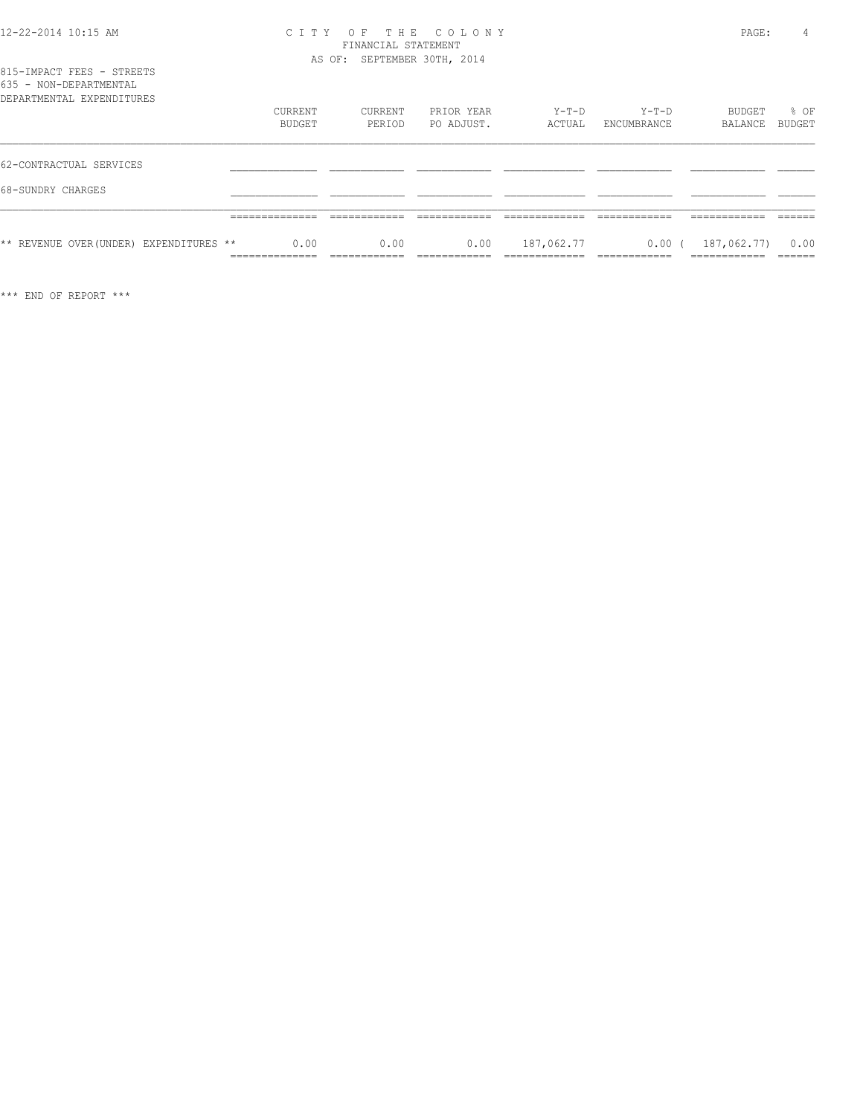| 12-22-2014 10:15 AM |  |
|---------------------|--|
|---------------------|--|

### 12-22-2014 10:15 AM C I T Y O F T H E C O L O N Y PAGE: 4 FINANCIAL STATEMENT AS OF: SEPTEMBER 30TH, 2014

| AS |
|----|
|----|

| 815-IMPACT FEES - STREETS |  |  |  |
|---------------------------|--|--|--|
| 635 - NON-DEPARTMENTAL    |  |  |  |
| DEPARTMENTAL EXPENDITURES |  |  |  |
|                           |  |  |  |
|                           |  |  |  |

|                                         | CURRENT<br><b>BUDGET</b> | CURRENT<br>PERIOD | PRIOR YEAR<br>PO ADJUST. | Y-T-D<br>ACTUAL | Y-T-D<br>ENCUMBRANCE | BUDGET<br>BALANCE            | % OF<br>BUDGET |
|-----------------------------------------|--------------------------|-------------------|--------------------------|-----------------|----------------------|------------------------------|----------------|
| 62-CONTRACTUAL SERVICES                 |                          |                   |                          |                 |                      |                              |                |
| 68-SUNDRY CHARGES                       |                          |                   |                          |                 |                      |                              |                |
|                                         | ________                 |                   |                          |                 |                      |                              |                |
| ** REVENUE OVER (UNDER) EXPENDITURES ** | 0.00<br>------------     | 0.00              | 0.00                     | 187,062.77      | $0.00$ (             | 187,062.77)<br>------------- | 0.00<br>______ |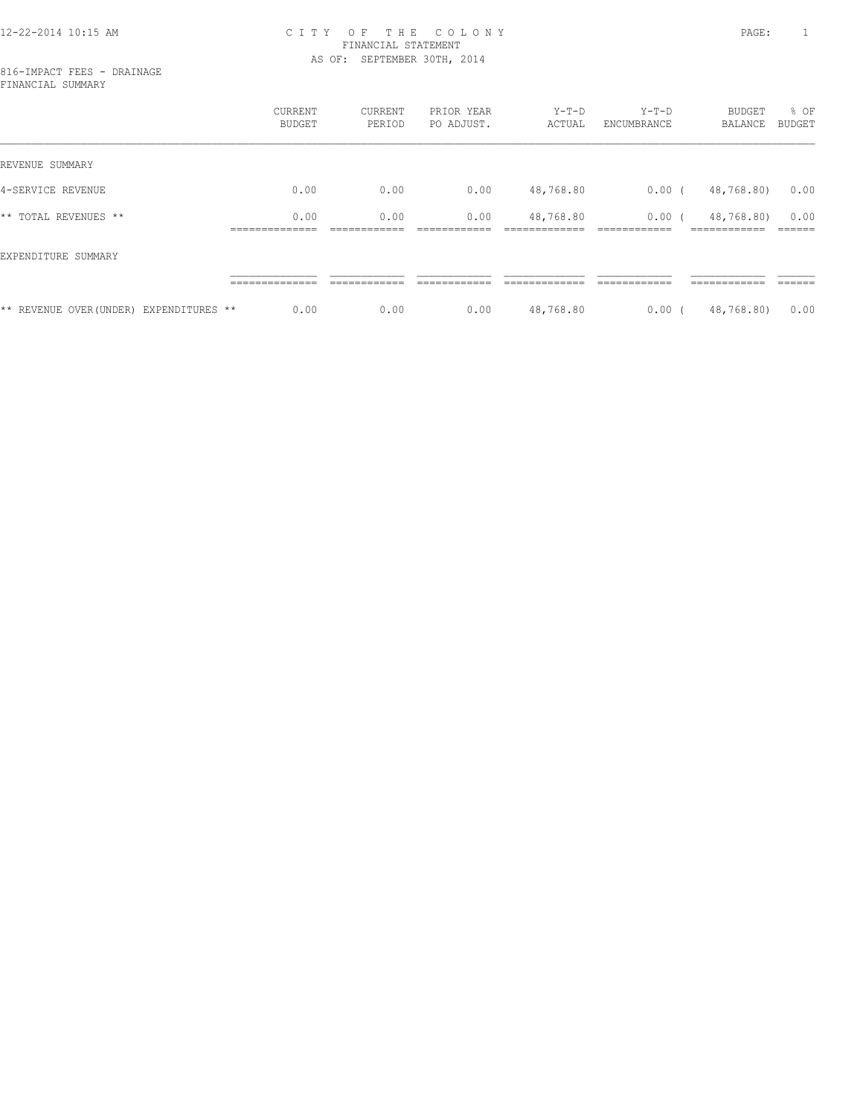### 12-22-2014 10:15 AM C I T Y O F T H E C O L O N Y PAGE: 1 FINANCIAL STATEMENT AS OF: SEPTEMBER 30TH, 2014

816-IMPACT FEES - DRAINAGE FINANCIAL SUMMARY

|                                         | CURRENT<br><b>BUDGET</b> | CURRENT<br>PERIOD | PRIOR YEAR<br>PO ADJUST. | $Y-T-D$<br>ACTUAL | $Y-T-D$<br>ENCUMBRANCE | BUDGET<br>BALANCE | % OF<br>BUDGET |
|-----------------------------------------|--------------------------|-------------------|--------------------------|-------------------|------------------------|-------------------|----------------|
| REVENUE SUMMARY                         |                          |                   |                          |                   |                        |                   |                |
| 4-SERVICE REVENUE                       | 0.00                     | 0.00              | 0.00                     | 48,768.80         | $0.00$ (               | 48,768.80)        | 0.00           |
| ** TOTAL REVENUES **                    | 0.00                     | 0.00              | 0.00                     | 48,768.80         | $0.00$ (               | 48,768.80)        | 0.00           |
| EXPENDITURE SUMMARY                     |                          |                   |                          |                   |                        |                   |                |
|                                         |                          |                   |                          |                   |                        |                   |                |
| ** REVENUE OVER (UNDER) EXPENDITURES ** | 0.00                     | 0.00              | 0.00                     | 48,768.80         | $0.00$ (               | 48,768.80)        | 0.00           |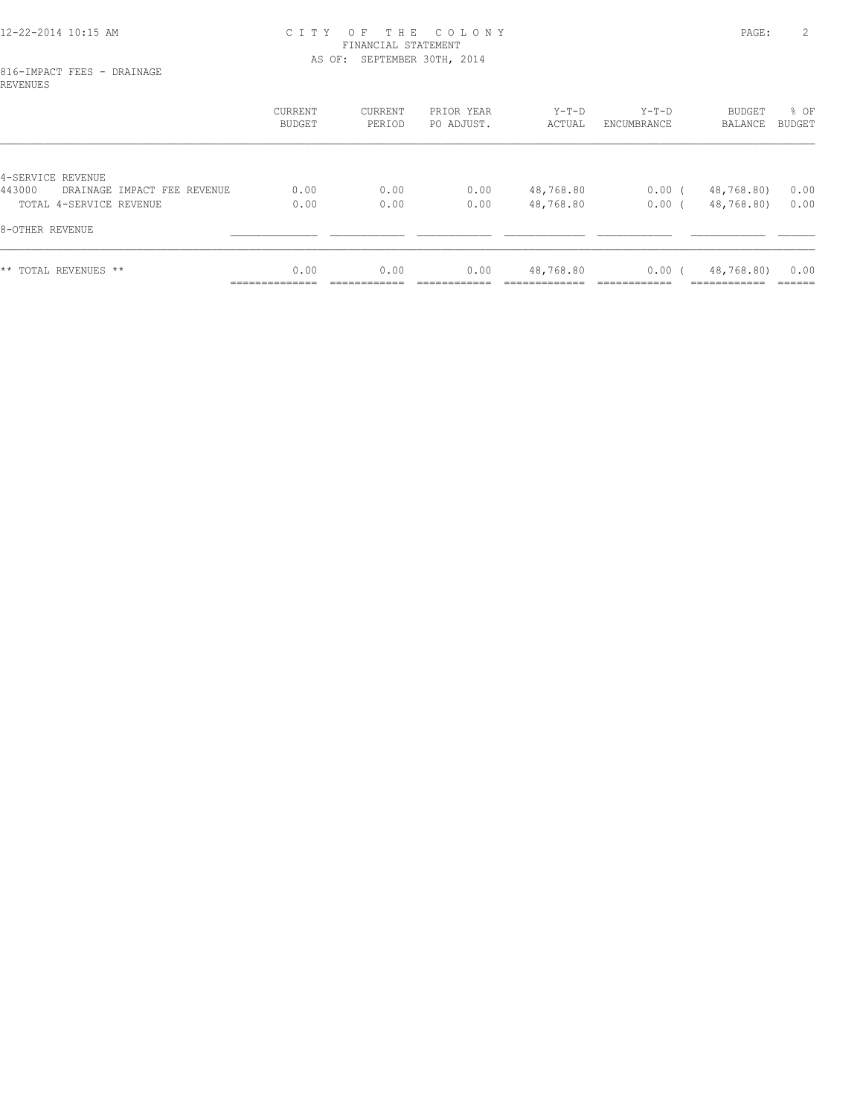### 12-22-2014 10:15 AM C I T Y O F T H E C O L O N Y PAGE: 2 FINANCIAL STATEMENT AS OF: SEPTEMBER 30TH, 2014

### 816-IMPACT FEES - DRAINAGE REVENUES

|                                                            | CURRENT<br><b>BUDGET</b> | CURRENT<br>PERIOD | PRIOR YEAR<br>PO ADJUST. | $Y-T-D$<br>ACTUAL | $Y-T-D$<br>ENCUMBRANCE | BUDGET<br>BALANCE | % OF<br>BUDGET |
|------------------------------------------------------------|--------------------------|-------------------|--------------------------|-------------------|------------------------|-------------------|----------------|
|                                                            |                          |                   |                          |                   |                        |                   |                |
| 4-SERVICE REVENUE<br>443000<br>DRAINAGE IMPACT FEE REVENUE | 0.00                     | 0.00              | 0.00                     | 48,768.80         | $0.00$ (               | 48,768.80)        | 0.00           |
| TOTAL 4-SERVICE REVENUE                                    | 0.00                     | 0.00              | 0.00                     | 48,768.80         | 0.00(                  | 48,768.80)        | 0.00           |
| 8-OTHER REVENUE                                            |                          |                   |                          |                   |                        |                   |                |
| ** TOTAL REVENUES **                                       | 0.00<br>______________   | 0.00              | 0.00                     | 48,768.80         | 0.00(                  | 48,768.80)        | 0.00<br>------ |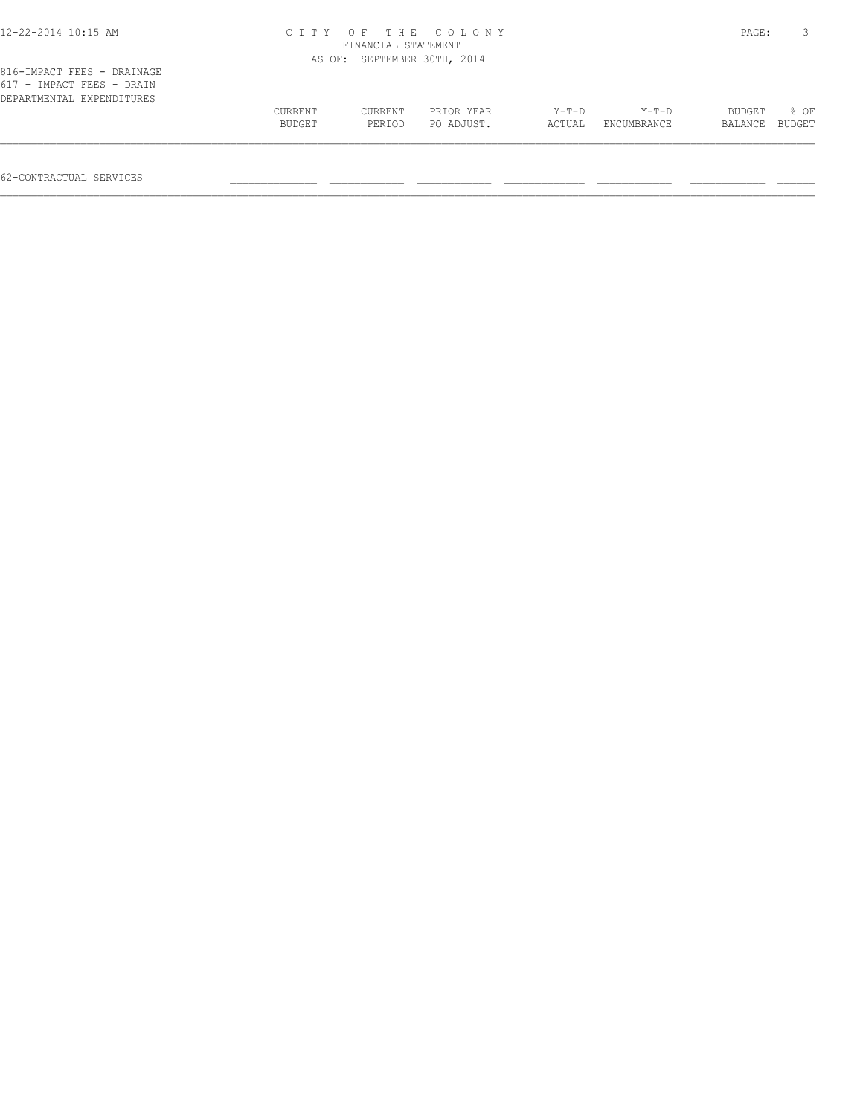| гтү               | OF                |                          |                                                                  |                      |                   |                |
|-------------------|-------------------|--------------------------|------------------------------------------------------------------|----------------------|-------------------|----------------|
|                   |                   |                          |                                                                  |                      |                   |                |
|                   |                   |                          |                                                                  |                      |                   |                |
| CURRENT<br>BUDGET | CURRENT<br>PERIOD | PRIOR YEAR<br>PO ADJUST. | $Y-T-D$<br>ACTUAL                                                | Y-T-D<br>ENCUMBRANCE | BUDGET<br>BALANCE | 8 OF<br>BUDGET |
|                   |                   |                          | THE COLONY<br>FINANCIAL STATEMENT<br>AS OF: SEPTEMBER 30TH, 2014 |                      |                   | PAGE:          |

62-CONTRACTUAL SERVICES \_\_\_\_\_\_\_\_\_\_\_\_\_\_ \_\_\_\_\_\_\_\_\_\_\_\_ \_\_\_\_\_\_\_\_\_\_\_\_ \_\_\_\_\_\_\_\_\_\_\_\_\_ \_\_\_\_\_\_\_\_\_\_\_\_ \_\_\_\_\_\_\_\_\_\_\_\_ \_\_\_\_\_\_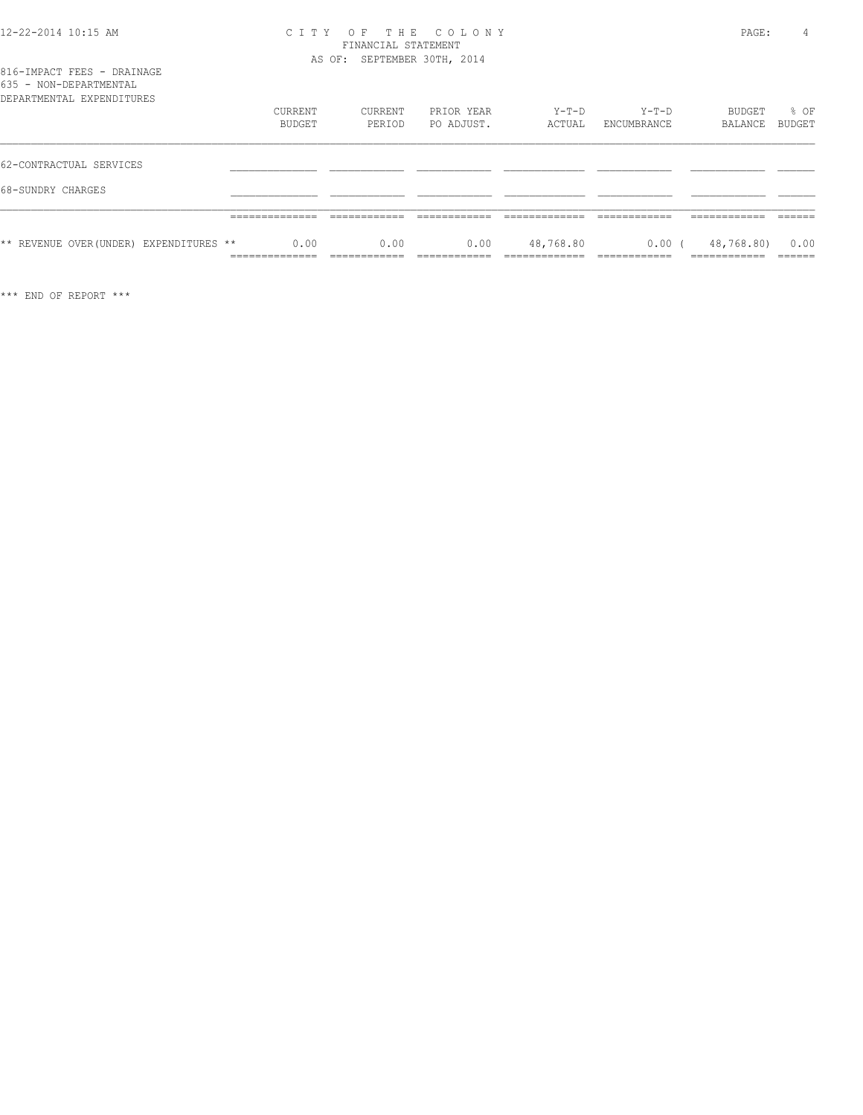### 12-22-2014 10:15 AM C I T Y O F T H E C O L O N Y PAGE: 4 FINANCIAL STATEMENT AS OF: SEPTEMBER 30TH, 2014

| ** REVENUE OVER (UNDER) EXPENDITURES **             | 0.00<br>_______________<br>______________ | 0.00<br>____________<br>____________ | 0.00<br>_____            | 48,768.80<br>_____________<br>-------------- | 0.00<br>------------<br>____________ | 48,768.80)<br>____________<br>____________ | 0.00<br>_____<br>______ |
|-----------------------------------------------------|-------------------------------------------|--------------------------------------|--------------------------|----------------------------------------------|--------------------------------------|--------------------------------------------|-------------------------|
|                                                     | _____________<br>______________           |                                      |                          |                                              |                                      | ---------                                  |                         |
| 68-SUNDRY CHARGES                                   |                                           |                                      |                          |                                              |                                      |                                            |                         |
| 62-CONTRACTUAL SERVICES                             |                                           |                                      |                          |                                              |                                      |                                            |                         |
| 035 - NON-DEPARTMENTAL<br>DEPARTMENTAL EXPENDITURES | CURRENT<br>BUDGET                         | CURRENT<br>PERIOD                    | PRIOR YEAR<br>PO ADJUST. | $Y-T-D$<br>ACTUAL                            | $Y-T-D$<br>ENCUMBRANCE               | BUDGET<br>BALANCE                          | % OF<br><b>BUDGET</b>   |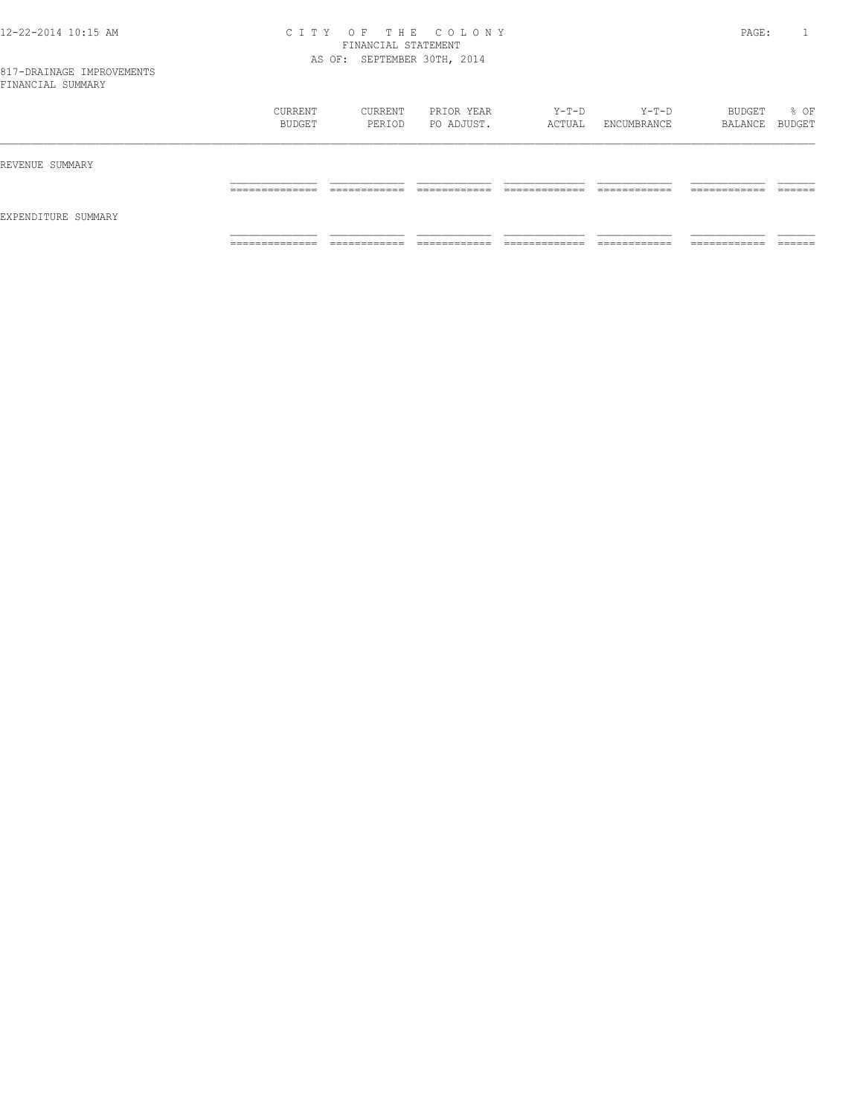### 12-22-2014 10:15 AM C I T Y O F T H E C O L O N Y PAGE: 1 FINANCIAL STATEMENT AS OF: SEPTEMBER 30TH, 2014

|                     | CURRENT<br>BUDGET | CURRENT<br>PERIOD | PRIOR YEAR<br>PO ADJUST. | Y-T-D<br>ACTUAL | $Y-T-D$<br>ENCUMBRANCE | BUDGET<br>BALANCE BUDGET | % OF    |
|---------------------|-------------------|-------------------|--------------------------|-----------------|------------------------|--------------------------|---------|
| REVENUE SUMMARY     |                   |                   |                          |                 |                        |                          |         |
| EXPENDITURE SUMMARY | ______________    | ____________      | -------------            | _____________   | -------------          | -------------            | ------- |
|                     | .                 | ____________      | ____________             | _____________   | ____________           | ____________             | _______ |
|                     | ______________    | ___________       | ____________             | _____________   | ____________           | ___________              | ______  |
|                     | .                 | ____________      | _____________            | _____________   | _____________          | ____________             | _______ |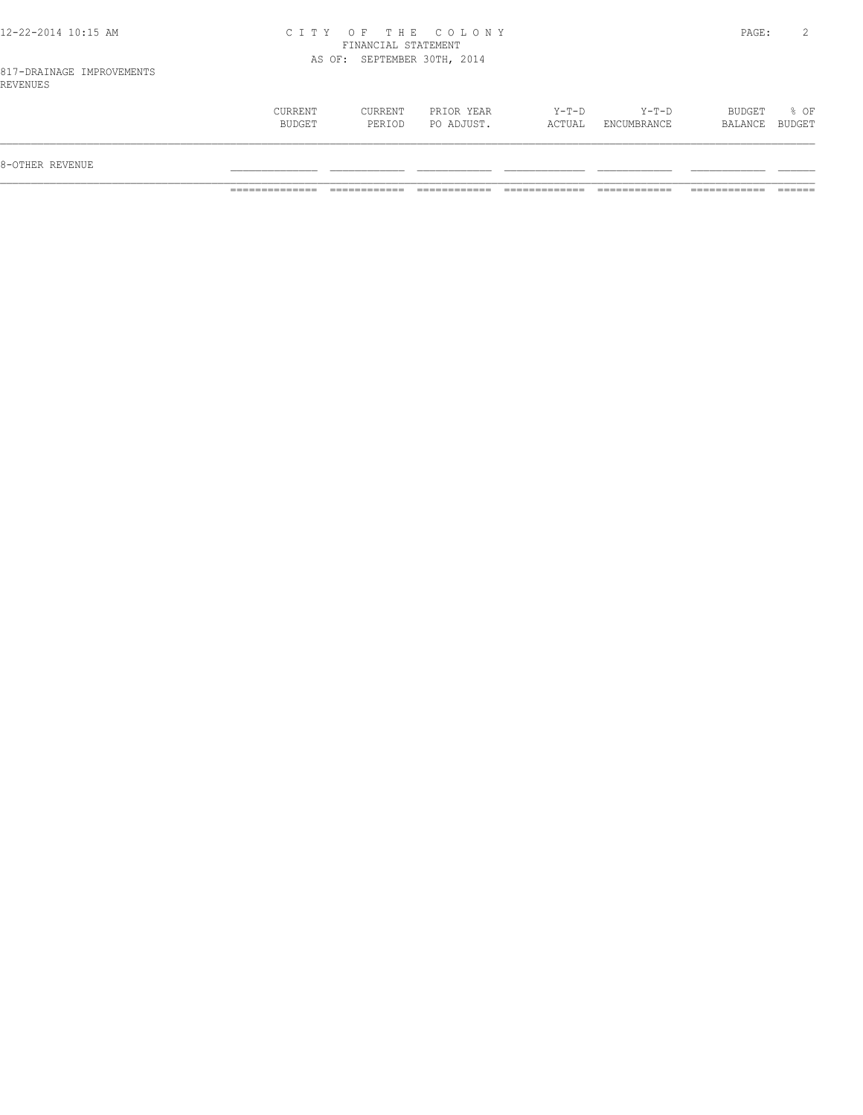| 12-22-2014 10:15 AM |  |
|---------------------|--|
|---------------------|--|

### 12-22-2014 10:15 AM C I T Y O F T H E C O L O N Y PAGE: 2 FINANCIAL STATEMENT AS OF: SEPTEMBER 30TH, 2014

| 8-OTHER REVENUE                        |                          |                 |                        |                   |                |
|----------------------------------------|--------------------------|-----------------|------------------------|-------------------|----------------|
| CURRENT<br>CURRENT<br>BUDGET<br>PERIOD | PRIOR YEAR<br>PO ADJUST. | Y-T-D<br>ACTUAL | $Y-T-D$<br>ENCUMBRANCE | BUDGET<br>BALANCE | % OF<br>BUDGET |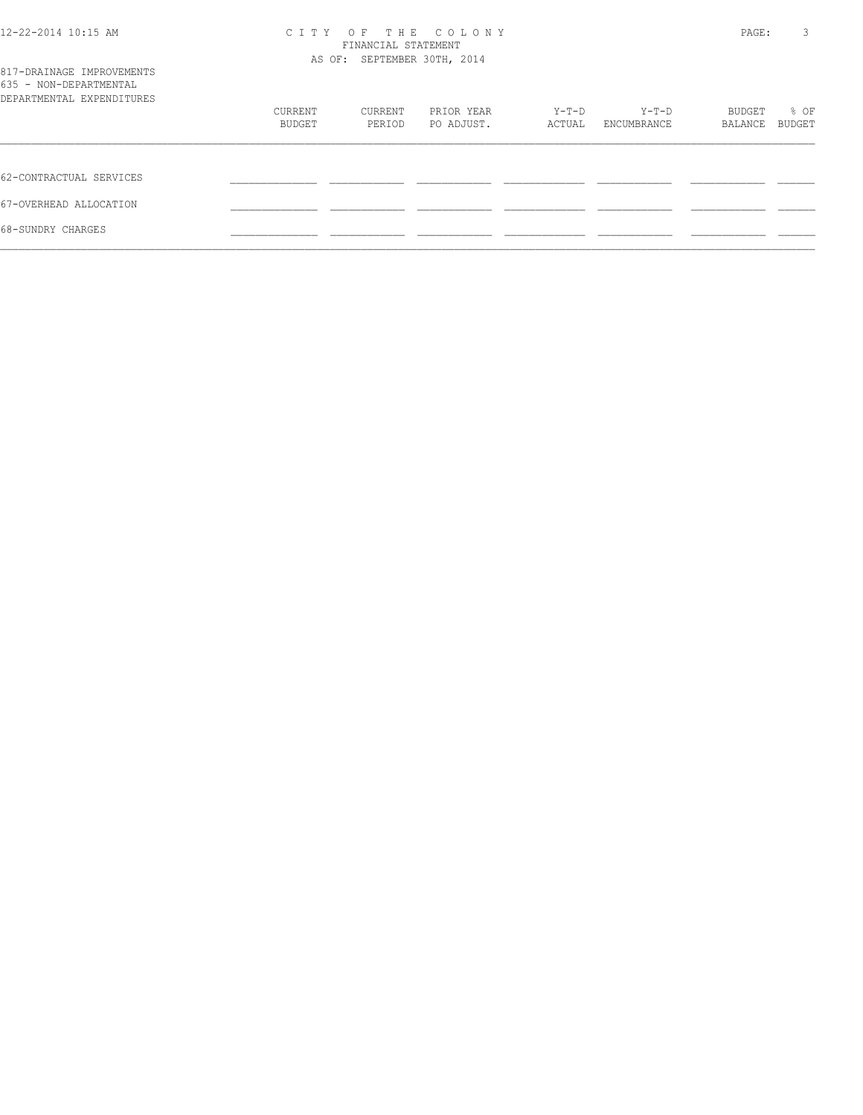| 12-22-2014 10:15 AM                                                              | CITY OF THE COLONY<br>FINANCIAL STATEMENT<br>AS OF: SEPTEMBER 30TH, 2014 |         |            |        |             |         | 3<br>PAGE: |
|----------------------------------------------------------------------------------|--------------------------------------------------------------------------|---------|------------|--------|-------------|---------|------------|
| 817-DRAINAGE IMPROVEMENTS<br>635 - NON-DEPARTMENTAL<br>DEPARTMENTAL EXPENDITURES |                                                                          |         |            |        |             |         |            |
|                                                                                  | CURRENT                                                                  | CURRENT | PRIOR YEAR | Y-T-D  | Y-T-D       | BUDGET  | % OF       |
|                                                                                  | BUDGET                                                                   | PERIOD  | PO ADJUST. | ACTUAL | ENCUMBRANCE | BALANCE | BUDGET     |
| 62-CONTRACTUAL SERVICES                                                          |                                                                          |         |            |        |             |         |            |
| 67-OVERHEAD ALLOCATION                                                           |                                                                          |         |            |        |             |         |            |
| 68-SUNDRY CHARGES                                                                |                                                                          |         |            |        |             |         |            |
|                                                                                  |                                                                          |         |            |        |             |         |            |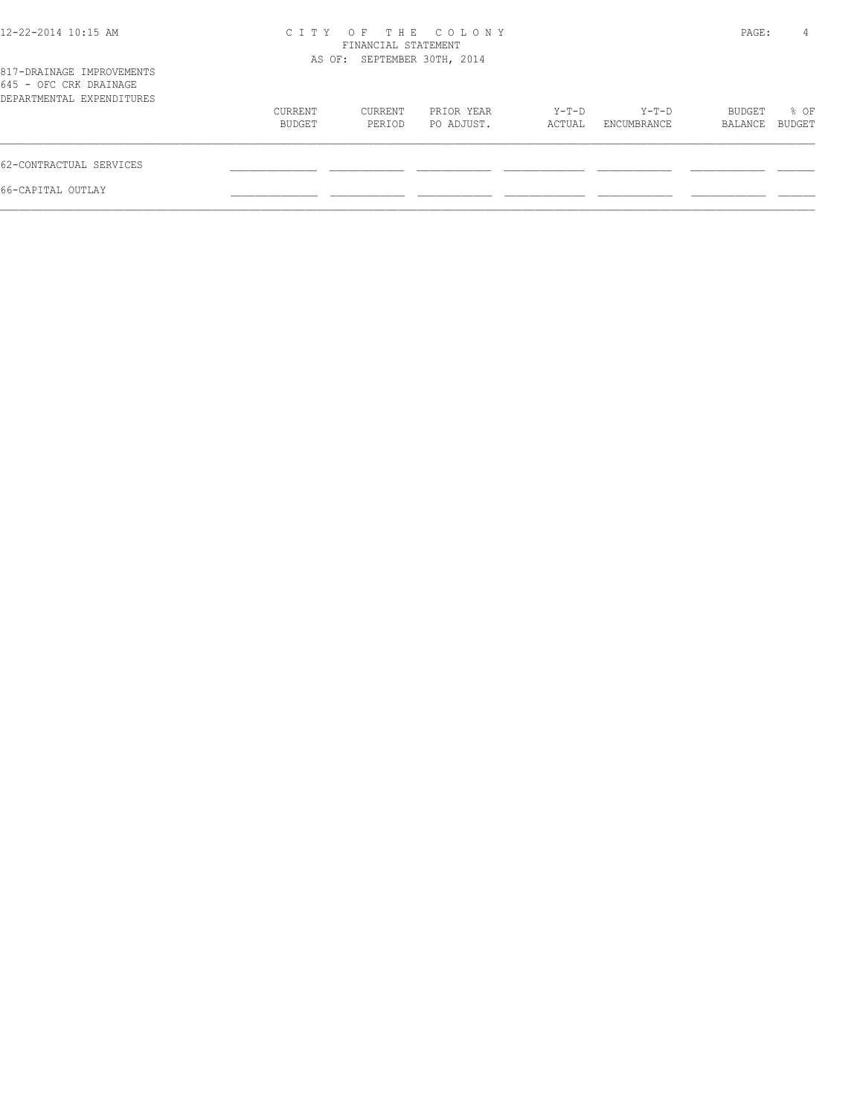| 12-22-2014 10:15 AM                                                              | C T T Y                     | FINANCIAL STATEMENT | OF THE COLONY            |                 |                      | PAGE:             | 4              |
|----------------------------------------------------------------------------------|-----------------------------|---------------------|--------------------------|-----------------|----------------------|-------------------|----------------|
| 817-DRAINAGE IMPROVEMENTS<br>645 - OFC CRK DRAINAGE<br>DEPARTMENTAL EXPENDITURES | AS OF: SEPTEMBER 30TH, 2014 |                     |                          |                 |                      |                   |                |
|                                                                                  | CURRENT<br>BUDGET           | CURRENT<br>PERIOD   | PRIOR YEAR<br>PO ADJUST. | Y-T-D<br>ACTUAL | Y-T-D<br>ENCUMBRANCE | BUDGET<br>BALANCE | % OF<br>BUDGET |
| 62-CONTRACTUAL SERVICES                                                          |                             |                     |                          |                 |                      |                   |                |
| 66-CAPITAL OUTLAY                                                                |                             |                     |                          |                 |                      |                   |                |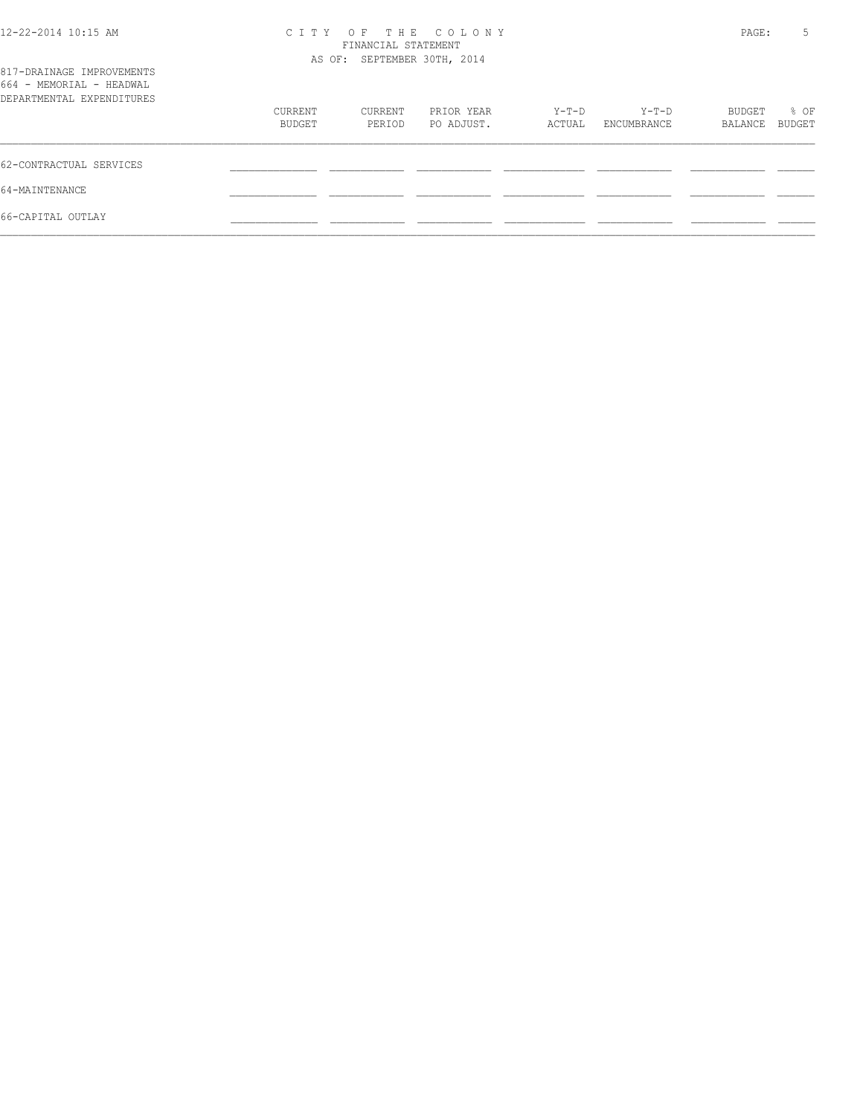| $12 - 22 - 2014$ 10:15 AM<br>817-DRAINAGE IMPROVEMENTS | C T T Y | OF<br>FINANCIAL STATEMENT<br>AS OF: SEPTEMBER 30TH, 2014 | THE COLONY |        |             | PAGE:   | 5      |
|--------------------------------------------------------|---------|----------------------------------------------------------|------------|--------|-------------|---------|--------|
| 664 - MEMORIAL - HEADWAL                               |         |                                                          |            |        |             |         |        |
| DEPARTMENTAL EXPENDITURES                              |         |                                                          |            |        |             |         |        |
|                                                        | CURRENT | CURRENT                                                  | PRIOR YEAR | Y-T-D  | $Y-T-D$     | BUDGET  | % OF   |
|                                                        | BUDGET  | PERIOD                                                   | PO ADJUST. | ACTUAL | ENCUMBRANCE | BALANCE | BUDGET |
| 62-CONTRACTUAL SERVICES                                |         |                                                          |            |        |             |         |        |
| 64-MAINTENANCE                                         |         |                                                          |            |        |             |         |        |
| 66-CAPITAL OUTLAY                                      |         |                                                          |            |        |             |         |        |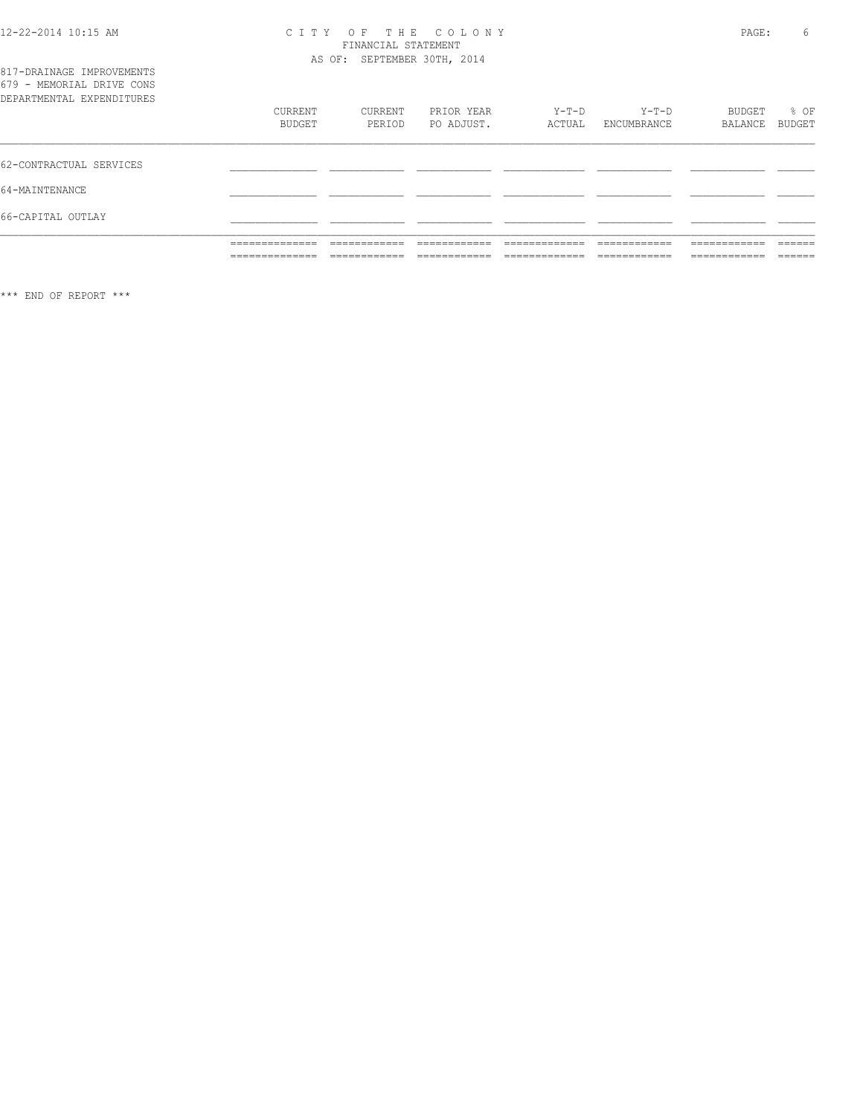### CITY OF THE COLONY<br>FINANCIAL STATEMENT

|                                                                                     | ______________<br>__________ |                             |                          |                   |                        | ____________      |                |
|-------------------------------------------------------------------------------------|------------------------------|-----------------------------|--------------------------|-------------------|------------------------|-------------------|----------------|
| 66-CAPITAL OUTLAY                                                                   |                              |                             |                          |                   |                        |                   |                |
| 64-MAINTENANCE                                                                      |                              |                             |                          |                   |                        |                   |                |
| 62-CONTRACTUAL SERVICES                                                             |                              |                             |                          |                   |                        |                   |                |
|                                                                                     | CURRENT<br>BUDGET            | CURRENT<br>PERIOD           | PRIOR YEAR<br>PO ADJUST. | $Y-T-D$<br>ACTUAL | $Y-T-D$<br>ENCUMBRANCE | BUDGET<br>BALANCE | % OF<br>BUDGET |
| 817-DRAINAGE IMPROVEMENTS<br>679 - MEMORIAL DRIVE CONS<br>DEPARTMENTAL EXPENDITURES |                              | AS OF: SEPTEMBER 30TH, 2014 |                          |                   |                        |                   |                |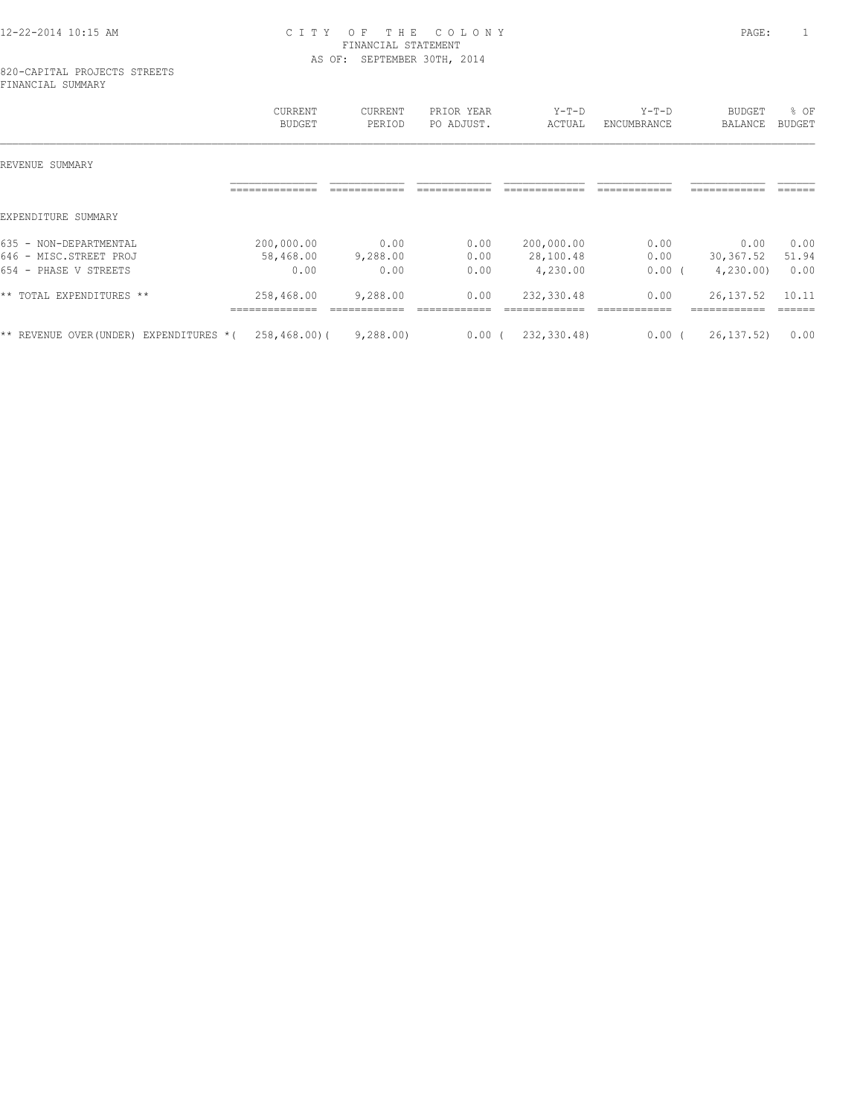### 12-22-2014 10:15 AM C I T Y O F T H E C O L O N Y PAGE: 1 FINANCIAL STATEMENT AS OF: SEPTEMBER 30TH, 2014

#### 820-CAPITAL PROJECTS STREETS FINANCIAL SUMMARY

|                                                                           | CURRENT<br>BUDGET               | CURRENT<br>PERIOD        | PRIOR YEAR<br>PO ADJUST. | $Y-T-D$<br>ACTUAL                   | $Y-T-D$<br>ENCUMBRANCE | <b>BUDGET</b><br><b>BALANCE</b> | % OF<br><b>BUDGET</b> |
|---------------------------------------------------------------------------|---------------------------------|--------------------------|--------------------------|-------------------------------------|------------------------|---------------------------------|-----------------------|
| REVENUE<br>SUMMARY                                                        |                                 |                          |                          |                                     |                        |                                 |                       |
|                                                                           | --------------                  |                          |                          |                                     |                        | ------------                    | -------               |
| EXPENDITURE SUMMARY                                                       |                                 |                          |                          |                                     |                        |                                 |                       |
| 635 - NON-DEPARTMENTAL<br>646 - MISC.STREET PROJ<br>654 - PHASE V STREETS | 200,000.00<br>58,468.00<br>0.00 | 0.00<br>9,288.00<br>0.00 | 0.00<br>0.00<br>0.00     | 200,000.00<br>28,100.48<br>4,230.00 | 0.00<br>0.00<br>0.00   | 0.00<br>30,367.52<br>4,230.00   | 0.00<br>51.94<br>0.00 |
| ** TOTAL EXPENDITURES **                                                  | 258,468.00                      | 9,288.00                 | 0.00                     | 232,330.48                          | 0.00                   | 26, 137.52                      | 10.11                 |
| EXPENDITURES *(<br>** REVENUE OVER(UNDER)                                 | $258, 468, 00$ (                | 9,288.00                 | 0.00(                    | 232,330.48)                         | 0.00                   | 26, 137, 52)                    | 0.00                  |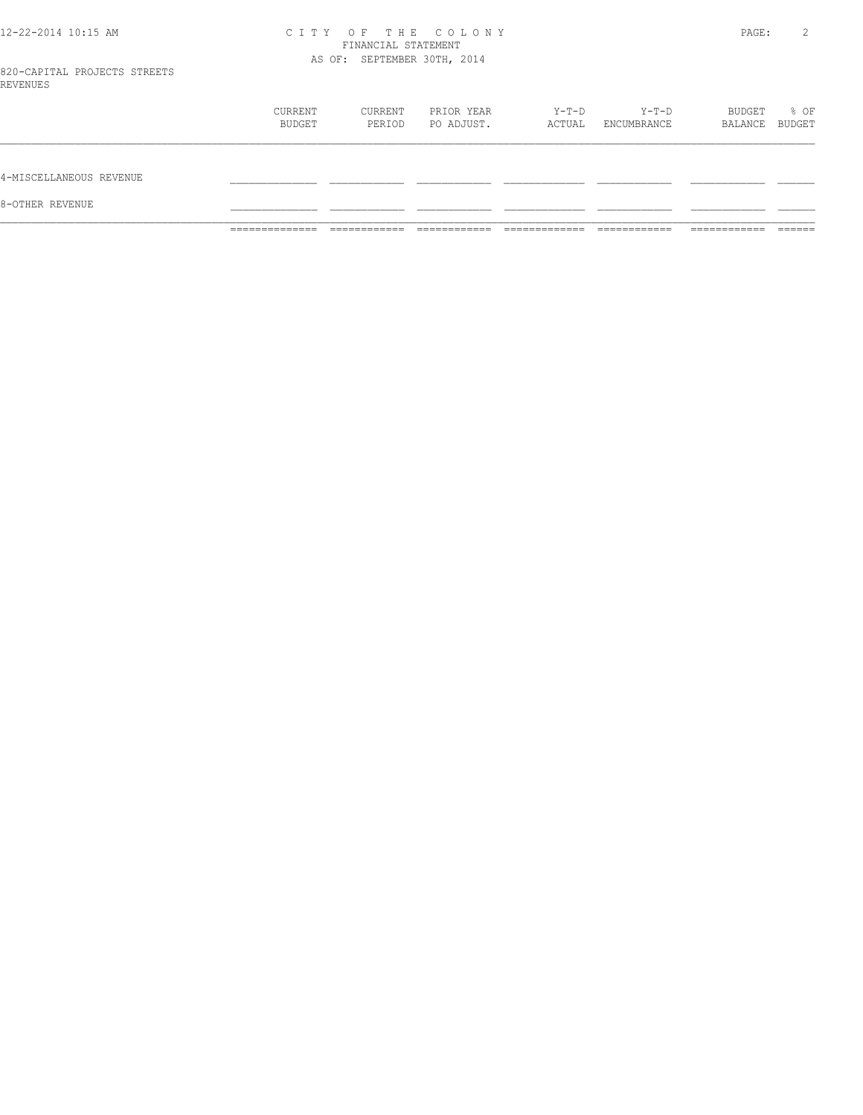### 12-22-2014 10:15 AM C I T Y O F T H E C O L O N Y PAGE: 2 FINANCIAL STATEMENT AS OF: SEPTEMBER 30TH, 2014

|                         | ______________<br>______________ |                   |                          |                 |                      | ________                 |      |
|-------------------------|----------------------------------|-------------------|--------------------------|-----------------|----------------------|--------------------------|------|
| 8-OTHER REVENUE         |                                  |                   |                          |                 |                      |                          |      |
| 4-MISCELLANEOUS REVENUE |                                  |                   |                          |                 |                      |                          |      |
|                         | CURRENT<br>BUDGET                | CURRENT<br>PERIOD | PRIOR YEAR<br>PO ADJUST. | Y-T-D<br>ACTUAL | Y-T-D<br>ENCUMBRANCE | BUDGET<br>BALANCE BUDGET | % OF |
| ﯩﺴﻰ ﺑﯩﺴ                 |                                  |                   |                          |                 |                      |                          |      |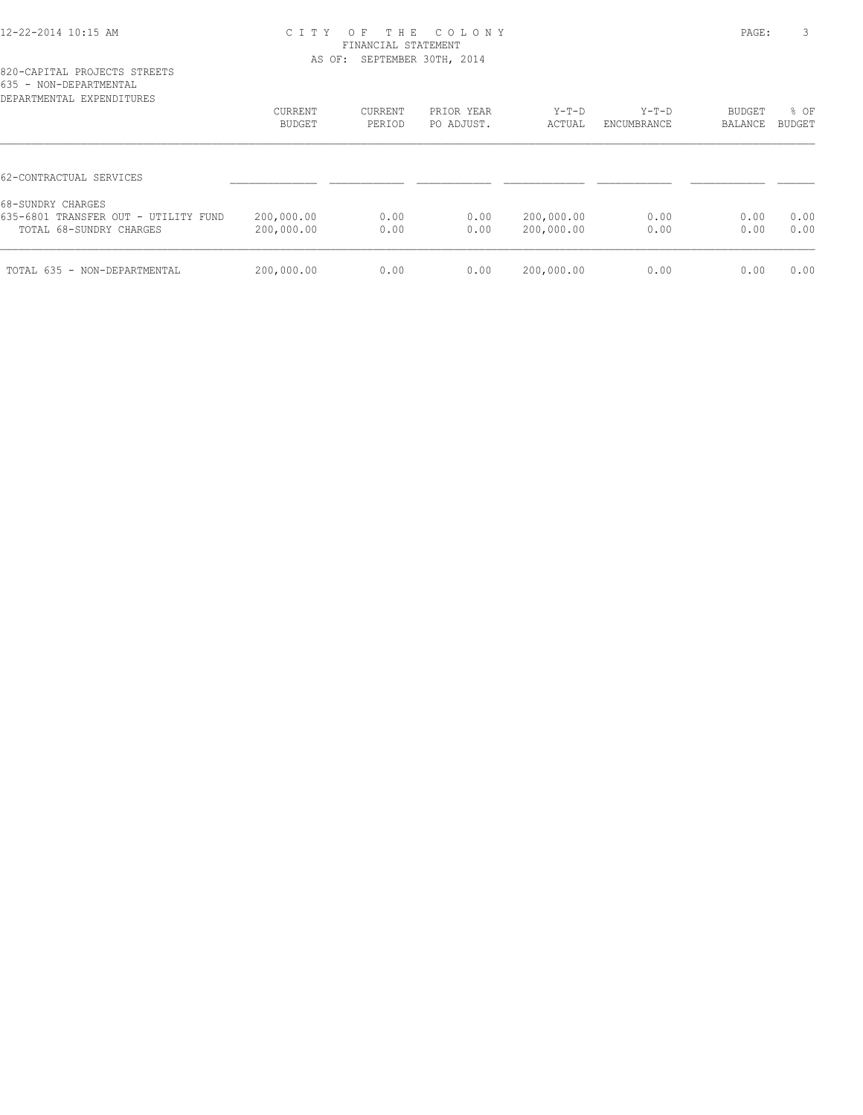### 12-22-2014 10:15 AM C I T Y O F T H E C O L O N Y PAGE: 3 FINANCIAL STATEMENT AS OF: SEPTEMBER 30TH, 2014

| DEPARTMENTAL EXPENDITURES                                       | CURRENT<br>BUDGET        | CURRENT<br>PERIOD | PRIOR YEAR<br>PO ADJUST. | $Y-T-D$<br>ACTUAL        | $Y-T-D$<br>ENCUMBRANCE | BUDGET<br>BALANCE | % OF<br><b>BUDGET</b> |
|-----------------------------------------------------------------|--------------------------|-------------------|--------------------------|--------------------------|------------------------|-------------------|-----------------------|
| 62-CONTRACTUAL SERVICES                                         |                          |                   |                          |                          |                        |                   |                       |
| 68-SUNDRY CHARGES                                               |                          |                   |                          |                          |                        |                   |                       |
| 635-6801 TRANSFER OUT - UTILITY FUND<br>TOTAL 68-SUNDRY CHARGES | 200,000.00<br>200,000.00 | 0.00<br>0.00      | 0.00<br>0.00             | 200,000.00<br>200,000.00 | 0.00<br>0.00           | 0.00<br>0.00      | 0.00<br>0.00          |
| TOTAL 635 - NON-DEPARTMENTAL                                    | 200,000.00               | 0.00              | 0.00                     | 200,000.00               | 0.00                   | 0.00              | 0.00                  |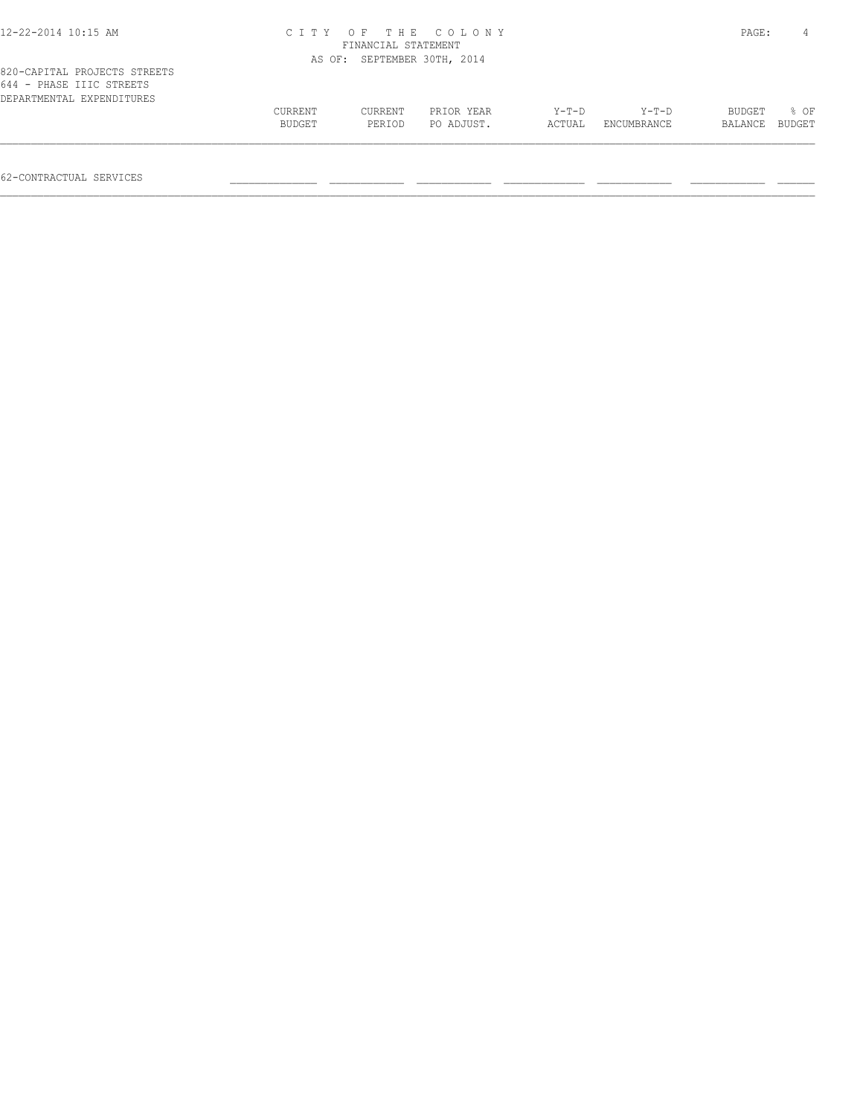| 12-22-2014 10:15 AM                                                                   | CITY OF THE COLONY<br>FINANCIAL STATEMENT |                   |                          |                   |                        |                   | PAGE:          |
|---------------------------------------------------------------------------------------|-------------------------------------------|-------------------|--------------------------|-------------------|------------------------|-------------------|----------------|
|                                                                                       | AS OF:                                    |                   | SEPTEMBER 30TH, 2014     |                   |                        |                   |                |
| 820-CAPITAL PROJECTS STREETS<br>644 - PHASE IIIC STREETS<br>DEPARTMENTAL EXPENDITURES |                                           |                   |                          |                   |                        |                   |                |
|                                                                                       | <b>CURRENT</b><br>BUDGET                  | CURRENT<br>PERIOD | PRIOR YEAR<br>PO ADJUST. | $Y-T-D$<br>ACTUAL | $Y-T-D$<br>ENCUMBRANCE | BUDGET<br>BALANCE | 8 OF<br>BUDGET |
|                                                                                       |                                           |                   |                          |                   |                        |                   |                |

62-CONTRACTUAL SERVICES \_\_\_\_\_\_\_\_\_\_\_\_\_\_ \_\_\_\_\_\_\_\_\_\_\_\_ \_\_\_\_\_\_\_\_\_\_\_\_ \_\_\_\_\_\_\_\_\_\_\_\_\_ \_\_\_\_\_\_\_\_\_\_\_\_ \_\_\_\_\_\_\_\_\_\_\_\_ \_\_\_\_\_\_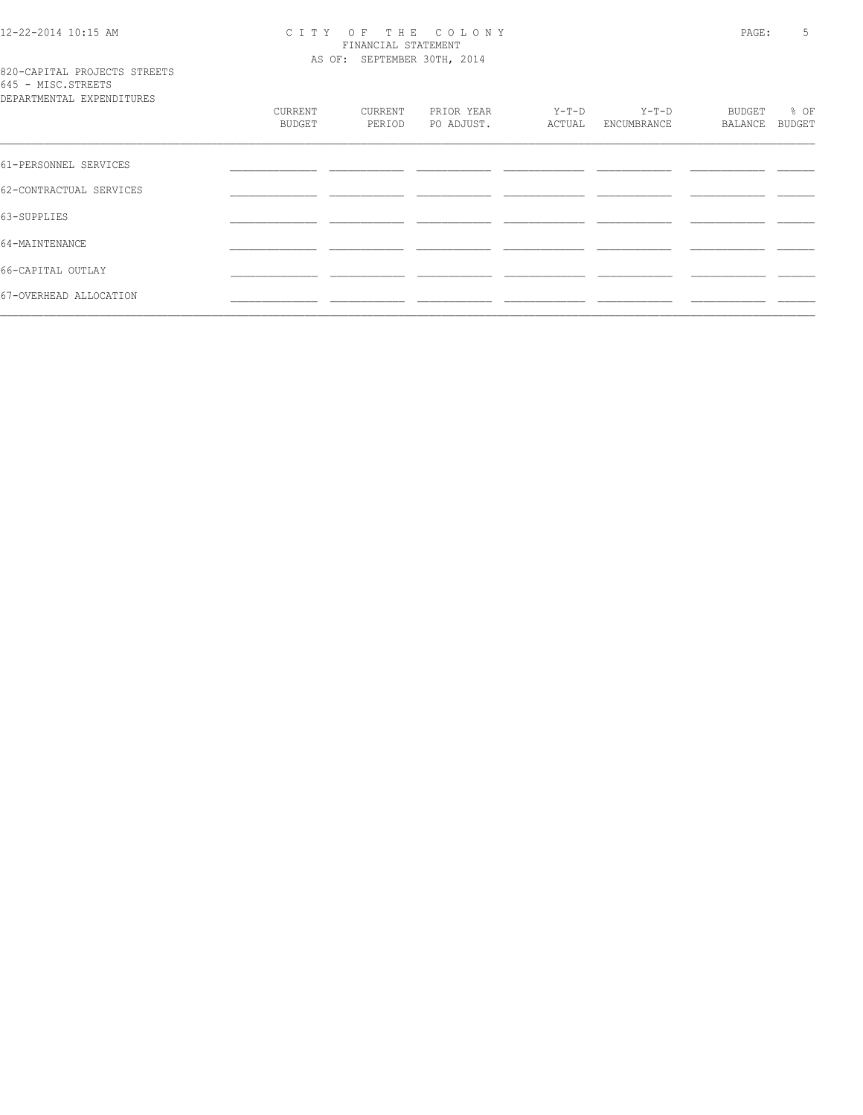# 12-22-2014 10:15 AM CITY OF THE COLONY<br>FINANCIAL STATEMENT<br>AS OF: SEPTEMBER 30TH, 2014

## 820-CAPITAL PROJECTS STREETS<br>645 - MISC.STREETS

| DEPARTMENTAL EXPENDITURES |                   |                   |                          |                 |                      |                   |                |
|---------------------------|-------------------|-------------------|--------------------------|-----------------|----------------------|-------------------|----------------|
|                           | CURRENT<br>BUDGET | CURRENT<br>PERIOD | PRIOR YEAR<br>PO ADJUST. | Y-T-D<br>ACTUAL | Y-T-D<br>ENCUMBRANCE | BUDGET<br>BALANCE | % OF<br>BUDGET |
|                           |                   |                   |                          |                 |                      |                   |                |
| 61-PERSONNEL SERVICES     |                   |                   |                          |                 |                      |                   |                |
| 62-CONTRACTUAL SERVICES   |                   |                   |                          |                 |                      |                   |                |
| 63-SUPPLIES               |                   |                   |                          |                 |                      |                   |                |
| 64-MAINTENANCE            |                   |                   |                          |                 |                      |                   |                |
| 66-CAPITAL OUTLAY         |                   |                   |                          |                 |                      |                   |                |
| 67-OVERHEAD ALLOCATION    |                   |                   |                          |                 |                      |                   |                |
|                           |                   |                   |                          |                 |                      |                   |                |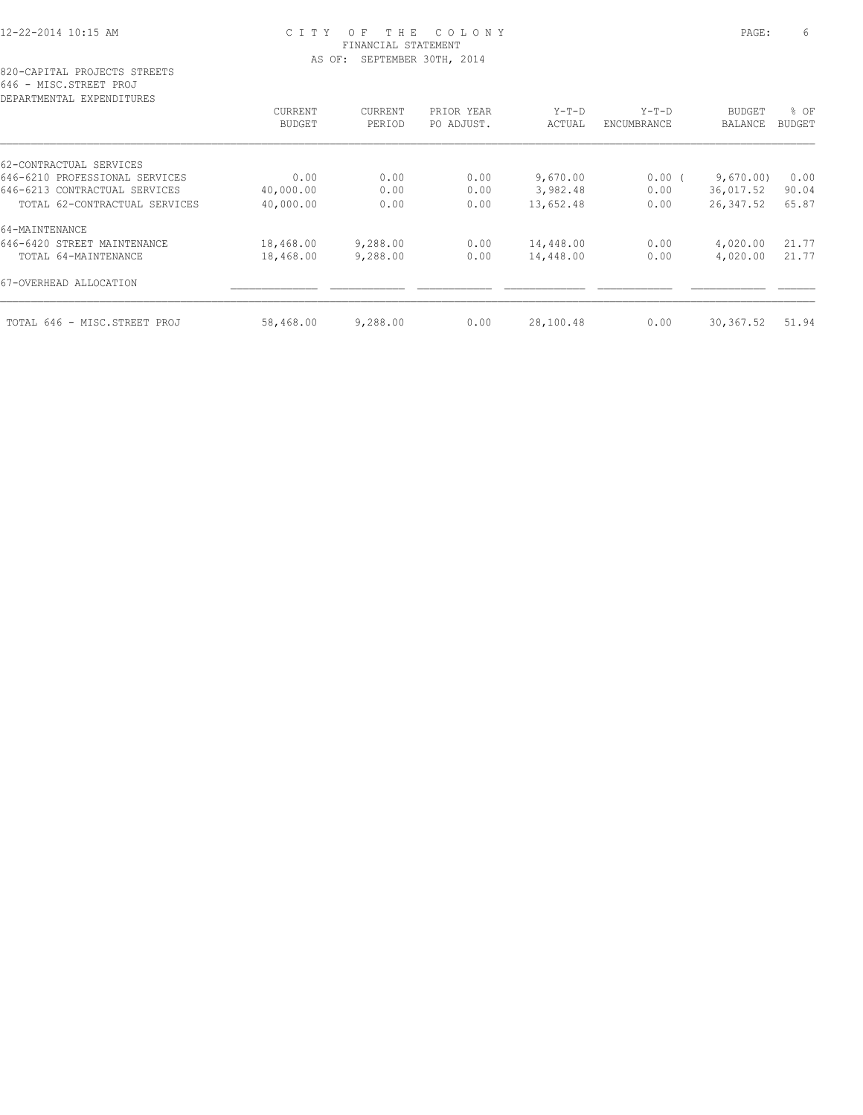### 12-22-2014 10:15 AM C I T Y O F T H E C O L O N Y PAGE: 6 FINANCIAL STATEMENT AS OF: SEPTEMBER 30TH, 2014

| <b>CURRENT</b> | <b>CURRENT</b> | PRIOR YEAR | $Y-T-D$   | $Y-T-D$            | <b>BUDGET</b> | % OF          |
|----------------|----------------|------------|-----------|--------------------|---------------|---------------|
| <b>BUDGET</b>  | PERIOD         | PO ADJUST. | ACTUAL    | <b>ENCUMBRANCE</b> | BALANCE       | <b>BUDGET</b> |
|                |                |            |           |                    |               |               |
| 0.00           | 0.00           | 0.00       |           |                    |               | 0.00          |
| 40,000.00      | 0.00           | 0.00       | 3,982.48  | 0.00               | 36,017.52     | 90.04         |
| 40,000.00      | 0.00           | 0.00       | 13,652.48 | 0.00               | 26, 347.52    | 65.87         |
|                |                |            |           |                    |               |               |
| 18,468.00      | 9,288.00       | 0.00       | 14,448.00 | 0.00               | 4,020.00      | 21.77         |
| 18,468.00      | 9,288.00       | 0.00       | 14,448.00 | 0.00               | 4,020.00      | 21.77         |
|                |                |            |           |                    |               |               |
| 58,468.00      | 9,288.00       | 0.00       | 28,100.48 | 0.00               | 30, 367.52    | 51.94         |
|                |                |            |           | 9,670.00           | 0.00(         | 9,670.00      |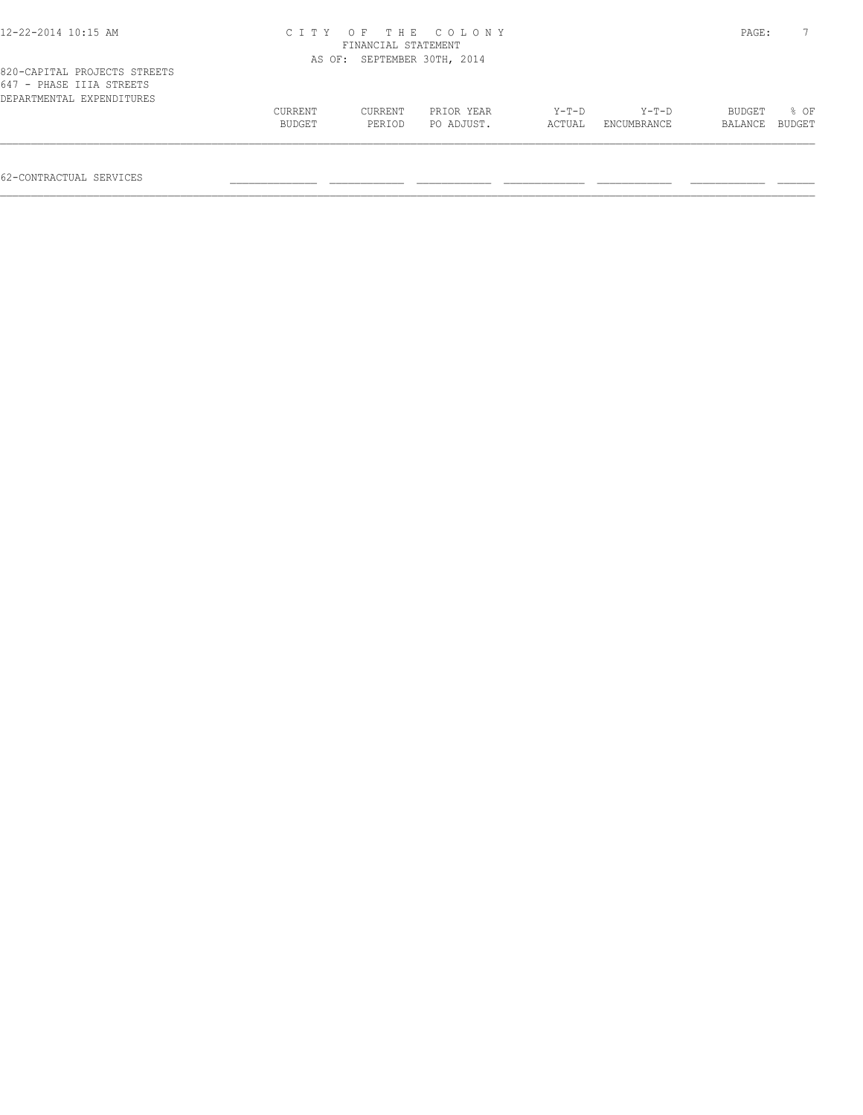| 12-22-2014 10:15 AM                                                                   |                          | FINANCIAL STATEMENT         | CITY OF THE COLONY       |                   |                        | PAGE:             |                |
|---------------------------------------------------------------------------------------|--------------------------|-----------------------------|--------------------------|-------------------|------------------------|-------------------|----------------|
|                                                                                       |                          | AS OF: SEPTEMBER 30TH, 2014 |                          |                   |                        |                   |                |
| 820-CAPITAL PROJECTS STREETS<br>647 - PHASE IIIA STREETS<br>DEPARTMENTAL EXPENDITURES |                          |                             |                          |                   |                        |                   |                |
|                                                                                       | <b>CURRENT</b><br>BUDGET | CURRENT<br>PERIOD           | PRIOR YEAR<br>PO ADJUST. | $Y-T-D$<br>ACTUAL | $Y-T-D$<br>ENCUMBRANCE | BUDGET<br>BALANCE | 8 OF<br>BUDGET |
|                                                                                       |                          |                             |                          |                   |                        |                   |                |

62-CONTRACTUAL SERVICES \_\_\_\_\_\_\_\_\_\_\_\_\_\_ \_\_\_\_\_\_\_\_\_\_\_\_ \_\_\_\_\_\_\_\_\_\_\_\_ \_\_\_\_\_\_\_\_\_\_\_\_\_ \_\_\_\_\_\_\_\_\_\_\_\_ \_\_\_\_\_\_\_\_\_\_\_\_ \_\_\_\_\_\_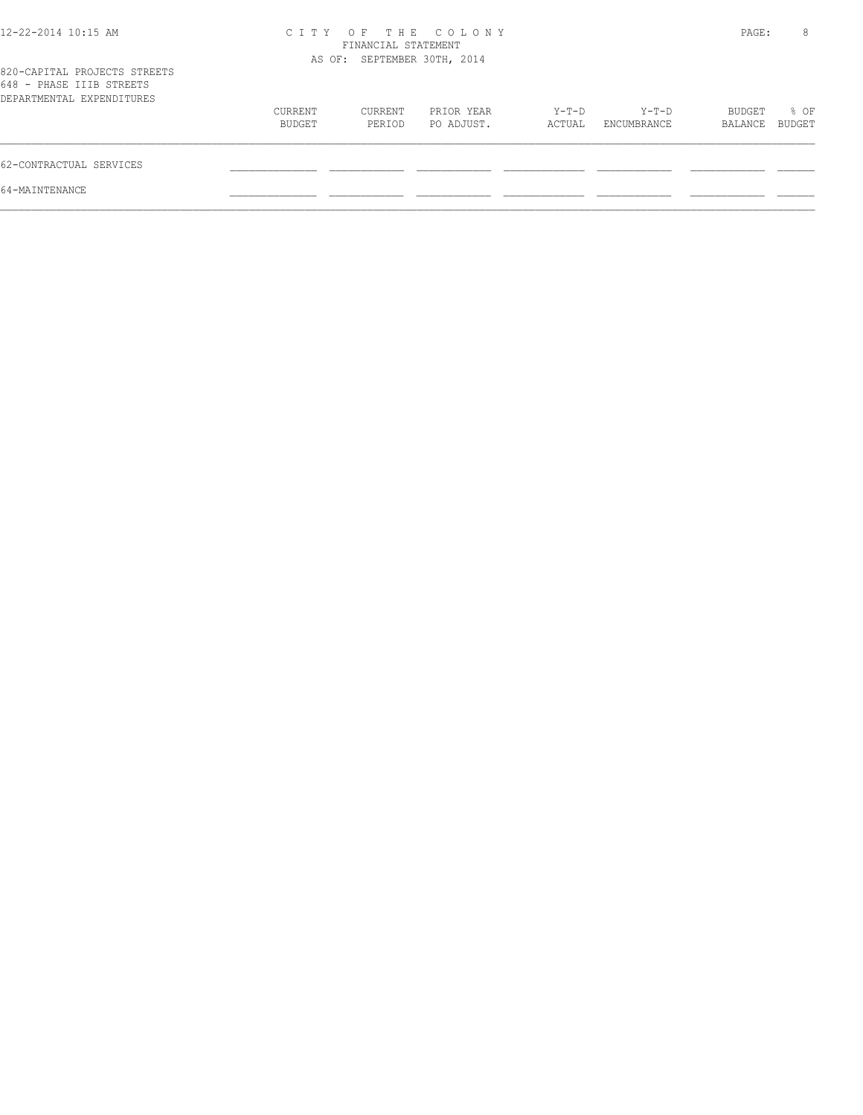| 12-22-2014 10:15 AM                                                                   | C T T Y           | FINANCIAL STATEMENT         | OF THE COLONY            |                 |                        | PAGE:             | 8                     |
|---------------------------------------------------------------------------------------|-------------------|-----------------------------|--------------------------|-----------------|------------------------|-------------------|-----------------------|
| 820-CAPITAL PROJECTS STREETS<br>648 - PHASE IIIB STREETS<br>DEPARTMENTAL EXPENDITURES |                   | AS OF: SEPTEMBER 30TH, 2014 |                          |                 |                        |                   |                       |
|                                                                                       | CURRENT<br>BUDGET | CURRENT<br>PERIOD           | PRIOR YEAR<br>PO ADJUST. | Y-T-D<br>ACTUAL | $Y-T-D$<br>ENCUMBRANCE | BUDGET<br>BALANCE | % OF<br><b>BUDGET</b> |
| 62-CONTRACTUAL SERVICES                                                               |                   |                             |                          |                 |                        |                   |                       |
| 64-MAINTENANCE                                                                        |                   |                             |                          |                 |                        |                   |                       |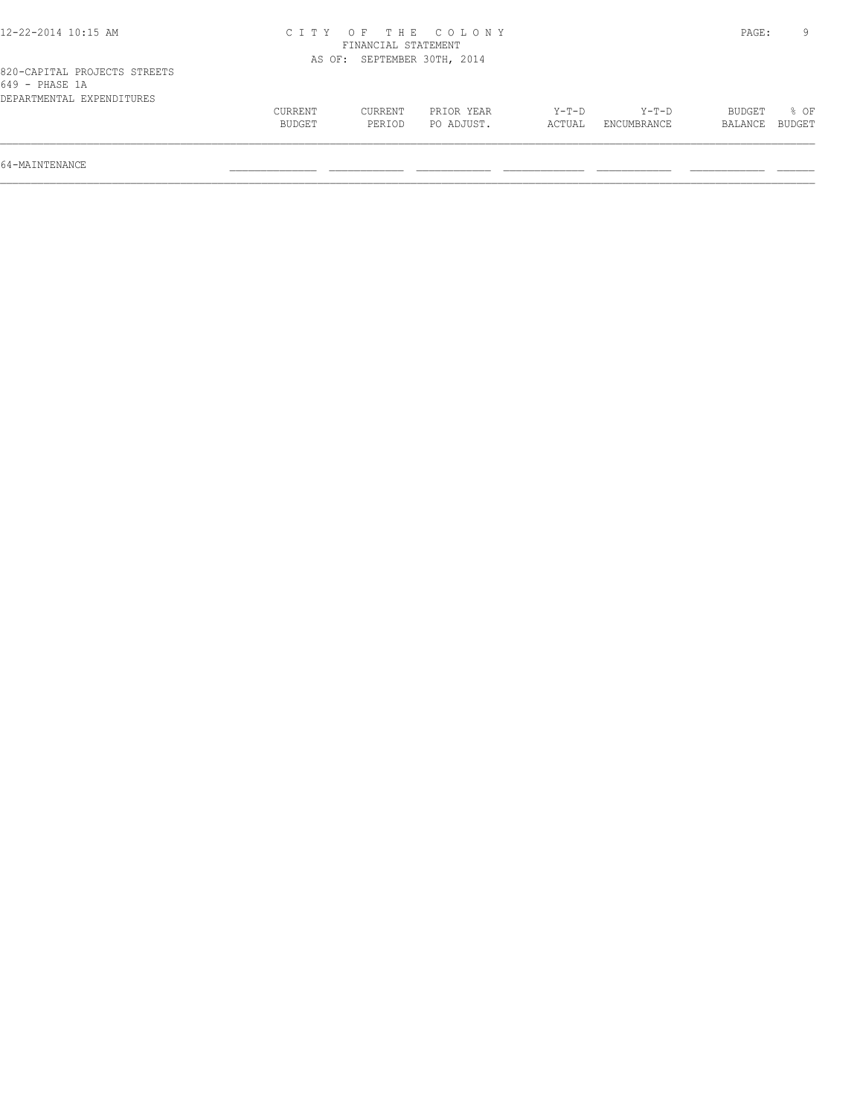| 12-22-2014 10:15 AM                                                         |                   |                             | CITY OF THE COLONY       |                   |                      | PAGE:             |                |
|-----------------------------------------------------------------------------|-------------------|-----------------------------|--------------------------|-------------------|----------------------|-------------------|----------------|
|                                                                             |                   | FINANCIAL STATEMENT         |                          |                   |                      |                   |                |
|                                                                             |                   | AS OF: SEPTEMBER 30TH, 2014 |                          |                   |                      |                   |                |
| 820-CAPITAL PROJECTS STREETS<br>649 - PHASE 1A<br>DEPARTMENTAL EXPENDITURES |                   |                             |                          |                   |                      |                   |                |
|                                                                             | CURRENT<br>BUDGET | <b>CURRENT</b><br>PERIOD    | PRIOR YEAR<br>PO ADJUST. | $Y-T-D$<br>ACTUAL | Y-T-D<br>ENCUMBRANCE | BUDGET<br>BALANCE | 8 OF<br>BUDGET |

64-MAINTENANCE \_\_\_\_\_\_\_\_\_\_\_\_\_\_ \_\_\_\_\_\_\_\_\_\_\_\_ \_\_\_\_\_\_\_\_\_\_\_\_ \_\_\_\_\_\_\_\_\_\_\_\_\_ \_\_\_\_\_\_\_\_\_\_\_\_ \_\_\_\_\_\_\_\_\_\_\_\_ \_\_\_\_\_\_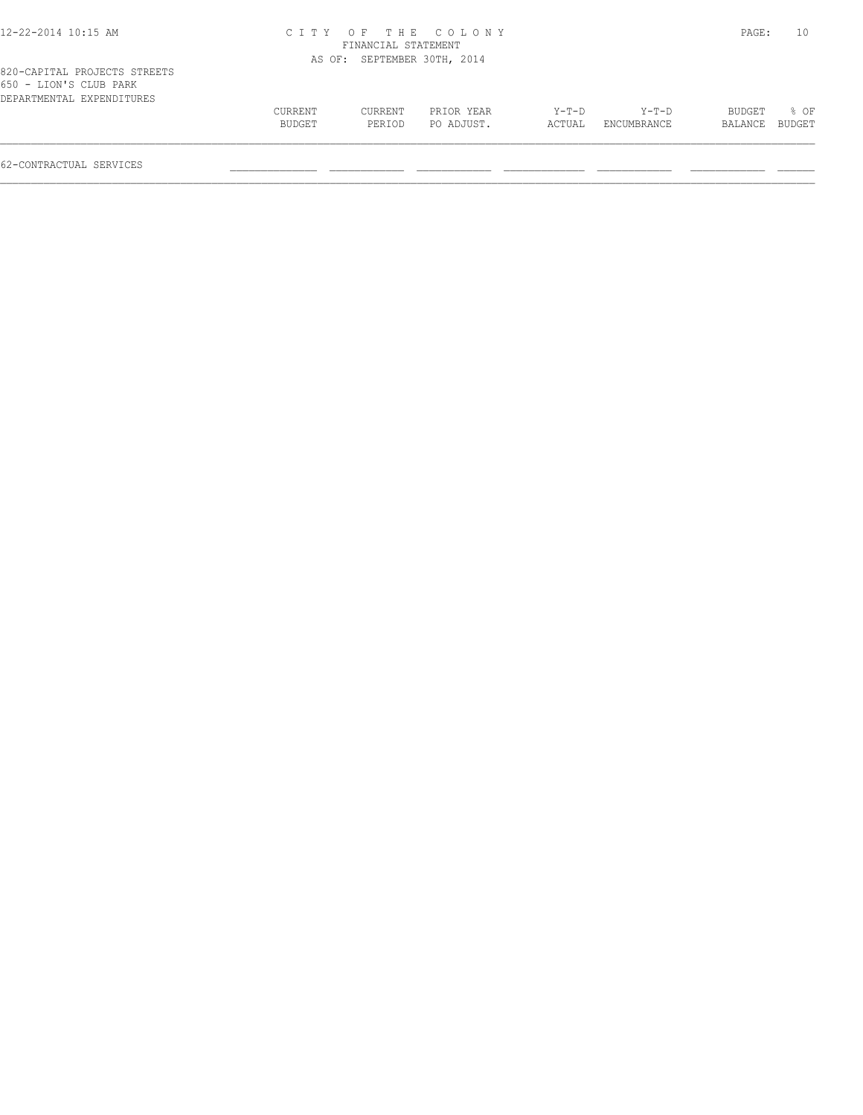### 12-22-2014 10:15 AM C I T Y O F T H E C O L O N Y PAGE: 10 FINANCIAL STATEMENT AS OF: SEPTEMBER 30TH, 2014

| 820-CAPITAL PROJECTS STREETS |  |
|------------------------------|--|
| 650 - LION'S CLUB PARK       |  |
| DEPARTMENTAL EXPENDITURES    |  |

|  |  | CURRENT<br>BUDGET | CURRENT<br>PERIOD | PRIOR YEAR<br>PO ADJUST. | $Y-T-D$<br>ACTUAL | $Y-T-D$<br>ENCUMBRANCE | BUDGET<br>BALANCE BUDGET | 8 OF |
|--|--|-------------------|-------------------|--------------------------|-------------------|------------------------|--------------------------|------|
|--|--|-------------------|-------------------|--------------------------|-------------------|------------------------|--------------------------|------|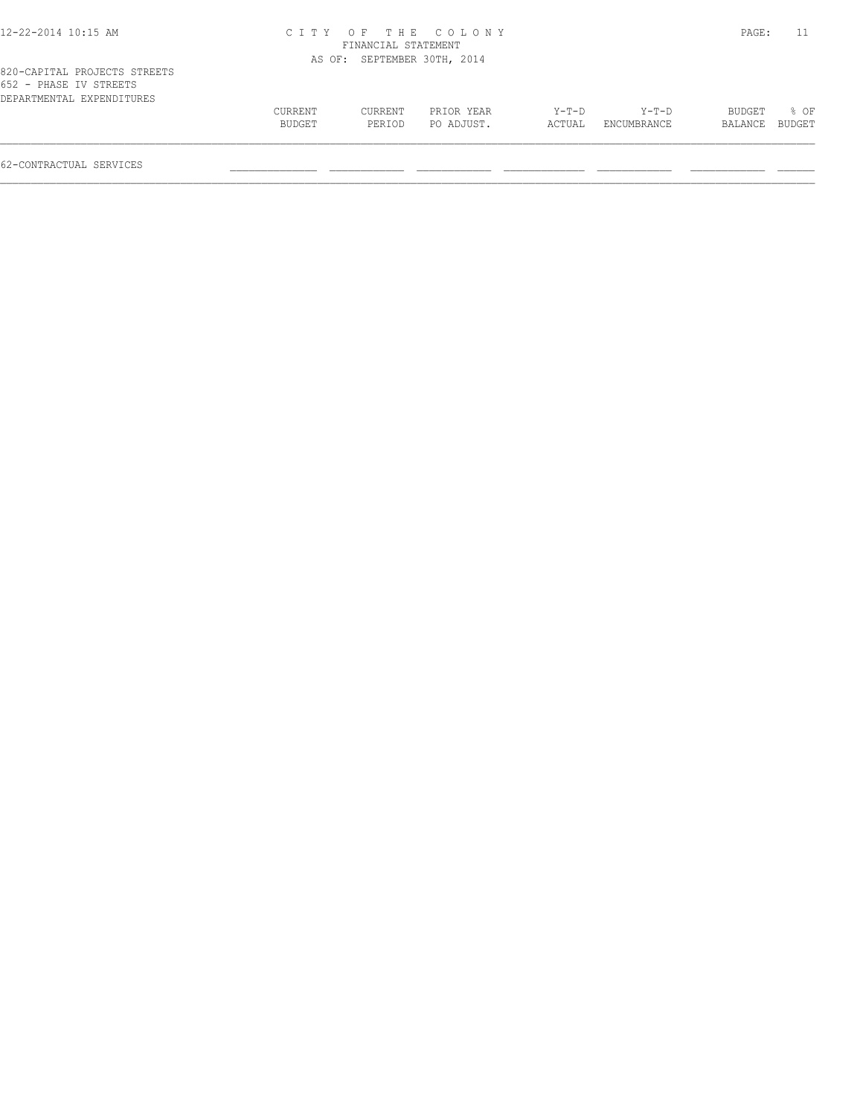| 2-22-2014 10:15 AM |  |  |  |
|--------------------|--|--|--|
|--------------------|--|--|--|

### 12-22-2014 10:15 AM C I T Y O F T H E C O L O N Y PAGE: 11 FINANCIAL STATEMENT AS OF: SEPTEMBER 30TH, 2014

|                        | 820-CAPITAL PROJECTS STREETS |  |
|------------------------|------------------------------|--|
| 652 - PHASE IV STREETS |                              |  |
|                        | DEPARTMENTAL EXPENDITURES    |  |

| <b>EXPENDITURES</b><br>DEPARTMENTAL |                |         |            |        |                    |               |        |
|-------------------------------------|----------------|---------|------------|--------|--------------------|---------------|--------|
|                                     | <b>CURRENT</b> | CURRENT | PRIOR YEAR | Y-T-D  | $Y-T-D$            | <b>BUDGET</b> | OF     |
|                                     | <b>BUDGET</b>  | PERIOD  | PO ADJUST. | ACTUAL | <b>ENCUMBRANCE</b> | BALANCE       | BUDGET |
|                                     |                |         |            |        |                    |               |        |
|                                     |                |         |            |        |                    |               |        |

62-CONTRACTUAL SERVICES \_\_\_\_\_\_\_\_\_\_\_\_\_\_ \_\_\_\_\_\_\_\_\_\_\_\_ \_\_\_\_\_\_\_\_\_\_\_\_ \_\_\_\_\_\_\_\_\_\_\_\_\_ \_\_\_\_\_\_\_\_\_\_\_\_ \_\_\_\_\_\_\_\_\_\_\_\_ \_\_\_\_\_\_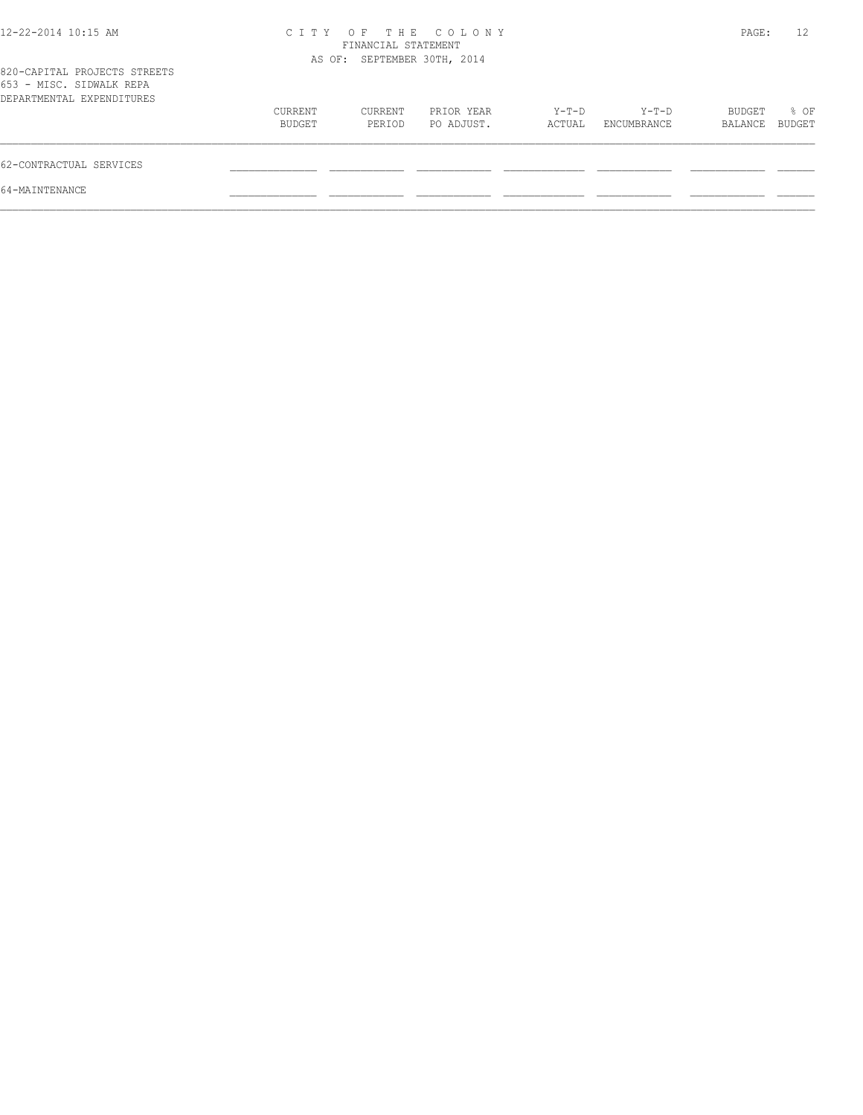| 12-22-2014 10:15 AM                                                                   | C T T Y           | FINANCIAL STATEMENT         | OF THE COLONY            |                 |                        | PAGE:             | 12                    |
|---------------------------------------------------------------------------------------|-------------------|-----------------------------|--------------------------|-----------------|------------------------|-------------------|-----------------------|
| 820-CAPITAL PROJECTS STREETS<br>653 - MISC. SIDWALK REPA<br>DEPARTMENTAL EXPENDITURES |                   | AS OF: SEPTEMBER 30TH, 2014 |                          |                 |                        |                   |                       |
|                                                                                       | CURRENT<br>BUDGET | CURRENT<br>PERIOD           | PRIOR YEAR<br>PO ADJUST. | Y-T-D<br>ACTUAL | $Y-T-D$<br>ENCUMBRANCE | BUDGET<br>BALANCE | % OF<br><b>BUDGET</b> |
| 62-CONTRACTUAL SERVICES                                                               |                   |                             |                          |                 |                        |                   |                       |
| 64-MAINTENANCE                                                                        |                   |                             |                          |                 |                        |                   |                       |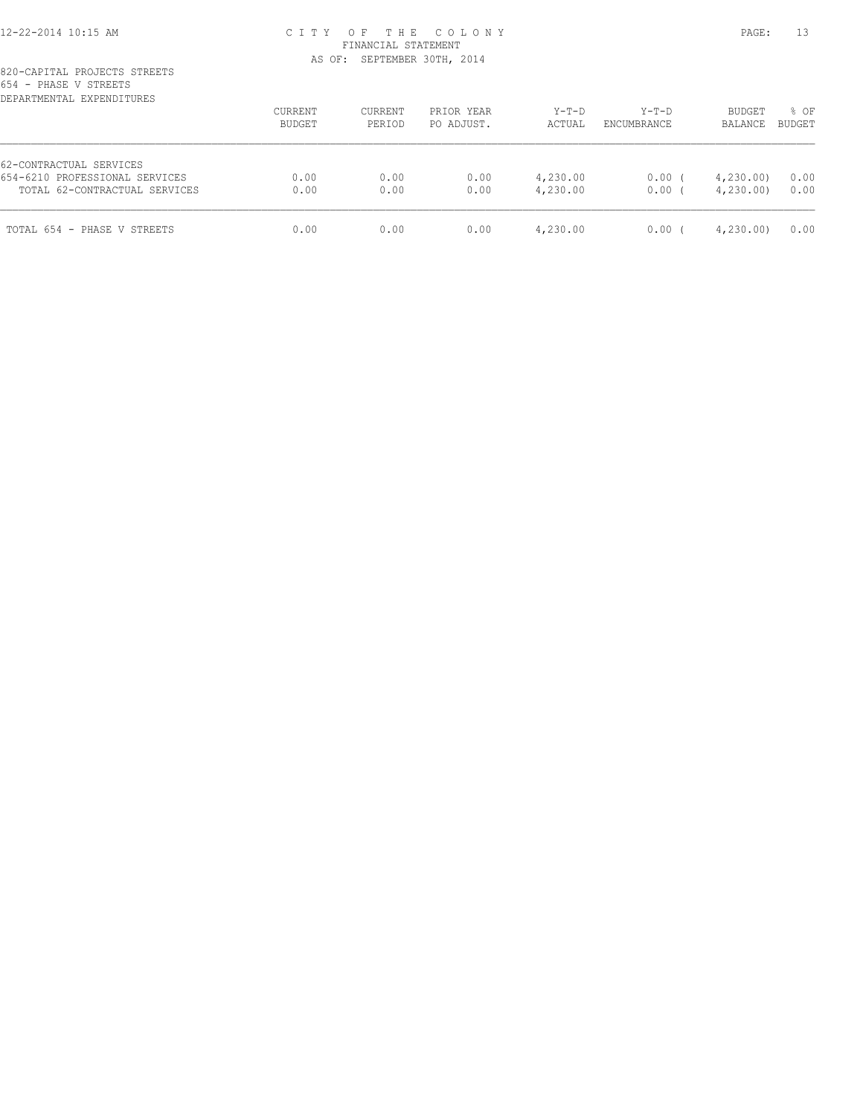### 12-22-2014 10:15 AM C I T Y O F T H E C O L O N Y PAGE: 13 FINANCIAL STATEMENT AS OF: SEPTEMBER 30TH, 2014

### 820-CAPITAL PROJECTS STREETS 654 - PHASE V STREETS

| DEPARTMENTAL EXPENDITURES      | <b>CURRENT</b><br>BUDGET | CURRENT<br>PERIOD | PRIOR YEAR<br>PO ADJUST. | $Y-T-D$<br>ACTUAL | $Y-T-D$<br>ENCUMBRANCE | <b>BUDGET</b><br>BALANCE | % OF<br>BUDGET |
|--------------------------------|--------------------------|-------------------|--------------------------|-------------------|------------------------|--------------------------|----------------|
| 62-CONTRACTUAL SERVICES        |                          |                   |                          |                   |                        |                          |                |
| 654-6210 PROFESSIONAL SERVICES | 0.00                     | 0.00              | 0.00                     | 4,230.00          | 0.00                   | 4,230.00                 | 0.00           |
| TOTAL 62-CONTRACTUAL SERVICES  | 0.00                     | 0.00              | 0.00                     | 4,230.00          | 0.00                   | 4,230.00                 | 0.00           |
| TOTAL 654 - PHASE V STREETS    | 0.00                     | 0.00              | 0.00                     | 4,230.00          | 0.00                   | 4,230.00                 | 0.00           |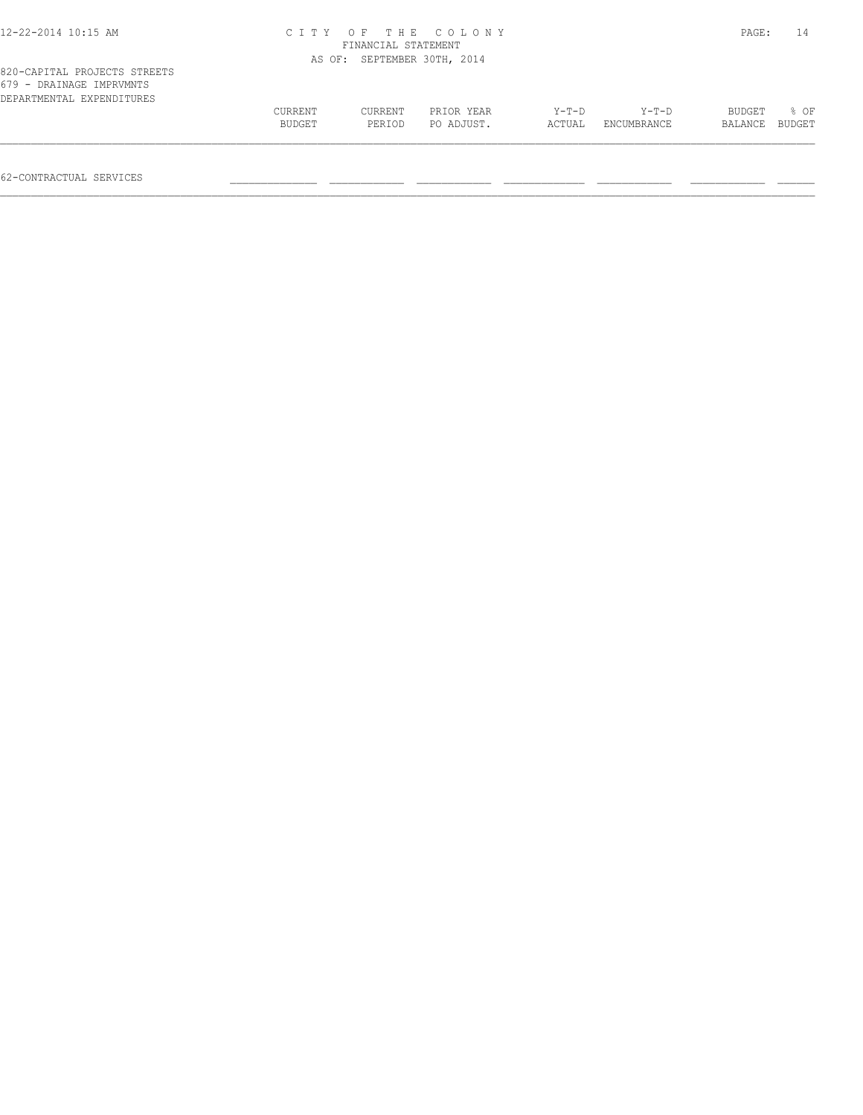| 12-22-2014 10:15 AM                                                                   |                   | FINANCIAL STATEMENT         | CITY OF THE COLONY       |                 |                      | PAGE:             | 14             |
|---------------------------------------------------------------------------------------|-------------------|-----------------------------|--------------------------|-----------------|----------------------|-------------------|----------------|
|                                                                                       |                   | AS OF: SEPTEMBER 30TH, 2014 |                          |                 |                      |                   |                |
| 820-CAPITAL PROJECTS STREETS<br>679 - DRAINAGE IMPRVMNTS<br>DEPARTMENTAL EXPENDITURES |                   |                             |                          |                 |                      |                   |                |
|                                                                                       | CURRENT<br>BUDGET | CURRENT<br>PERIOD           | PRIOR YEAR<br>PO ADJUST. | Y-T-D<br>ACTUAL | Y-T-D<br>ENCUMBRANCE | BUDGET<br>BALANCE | 8 OF<br>BUDGET |
|                                                                                       |                   |                             |                          |                 |                      |                   |                |

62-CONTRACTUAL SERVICES \_\_\_\_\_\_\_\_\_\_\_\_\_\_ \_\_\_\_\_\_\_\_\_\_\_\_ \_\_\_\_\_\_\_\_\_\_\_\_ \_\_\_\_\_\_\_\_\_\_\_\_\_ \_\_\_\_\_\_\_\_\_\_\_\_ \_\_\_\_\_\_\_\_\_\_\_\_ \_\_\_\_\_\_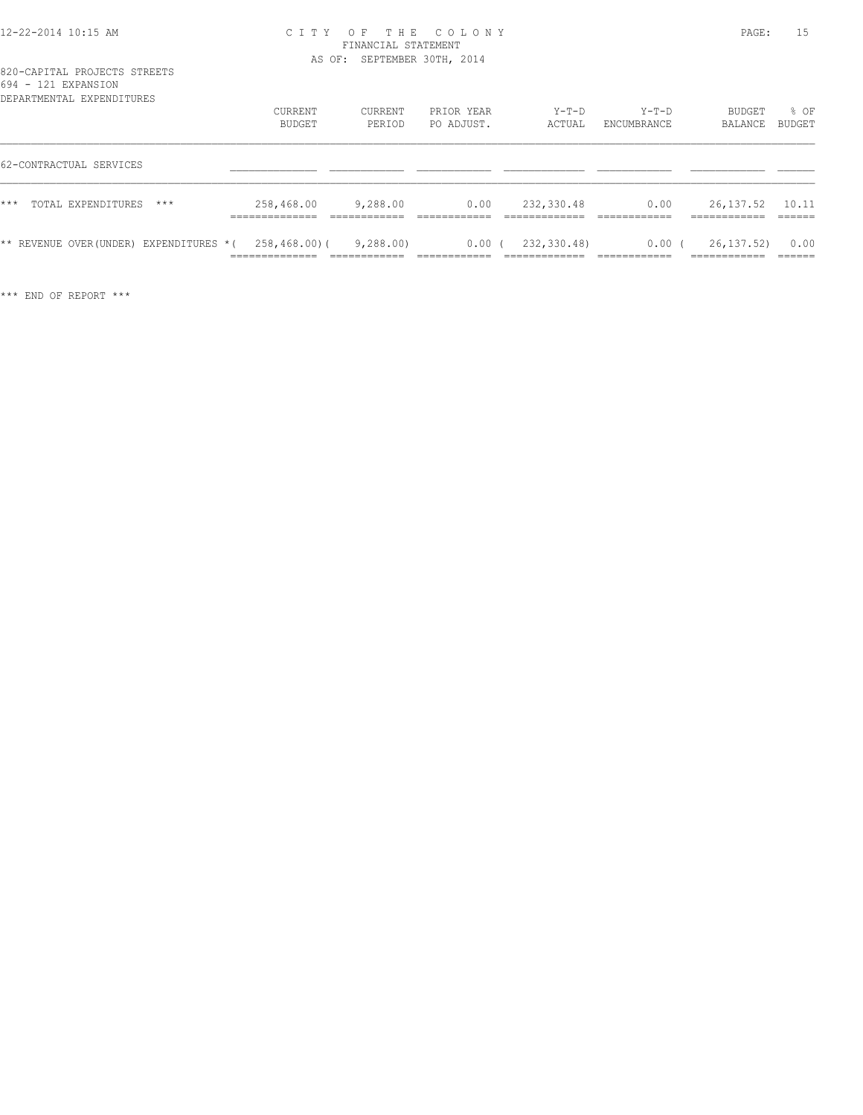### 12-22-2014 10:15 AM C I T Y O F T H E C O L O N Y PAGE: 15 FINANCIAL STATEMENT AS OF: SEPTEMBER 30TH, 2014

| .<br>$121$ $11101$<br>DEPARTMENTAL EXPENDITURES |                                                 |                                          |                          |                                               |                                      |                                              |                            |
|-------------------------------------------------|-------------------------------------------------|------------------------------------------|--------------------------|-----------------------------------------------|--------------------------------------|----------------------------------------------|----------------------------|
|                                                 | <b>CURRENT</b><br>BUDGET                        | CURRENT<br>PERIOD                        | PRIOR YEAR<br>PO ADJUST. | $Y-T-D$<br>ACTUAL                             | $Y-T-D$<br>ENCUMBRANCE               | BUDGET<br>BALANCE                            | % OF<br>BUDGET             |
| 62-CONTRACTUAL SERVICES                         |                                                 |                                          |                          |                                               |                                      |                                              |                            |
| $***$<br>TOTAL EXPENDITURES<br>$***$            | 258,468.00<br>______________<br>______________  | 9,288.00<br>____________<br>____________ | 0.00<br>____________     | 232,330.48<br>____________<br>_____________   | 0.00<br>____________                 | 26,137.52<br>-------------<br>____________   | 10.11<br>-------<br>______ |
| ** REVENUE OVER (UNDER) EXPENDITURES * (        | 258,468.00)(<br>______________<br>------------- | 9,288.00<br>____________<br>____________ | $0.00$ (                 | 232,330.48)<br>____________<br>-------------- | 0.00<br>____________<br>____________ | 26, 137, 52)<br>____________<br>____________ | 0.00<br>-------<br>______  |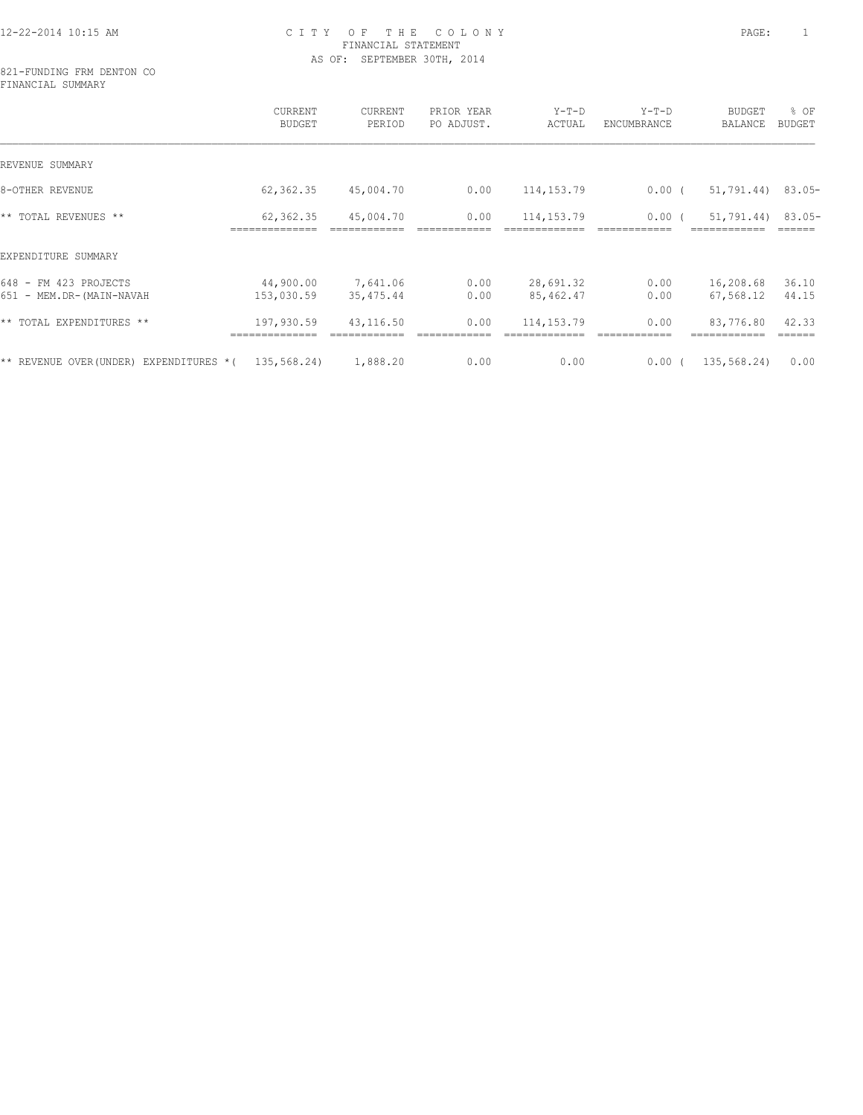### 12-22-2014 10:15 AM C I T Y O F T H E C O L O N Y PAGE: 1 FINANCIAL STATEMENT AS OF: SEPTEMBER 30TH, 2014

821-FUNDING FRM DENTON CO FINANCIAL SUMMARY

|                                                   | CURRENT<br>BUDGET           | CURRENT<br>PERIOD      | PRIOR YEAR<br>PO ADJUST. | $Y-T-D$<br>ACTUAL       | $Y-T-D$<br>ENCUMBRANCE | <b>BUDGET</b><br>BALANCE           | % OF<br><b>BUDGET</b> |
|---------------------------------------------------|-----------------------------|------------------------|--------------------------|-------------------------|------------------------|------------------------------------|-----------------------|
| REVENUE SUMMARY                                   |                             |                        |                          |                         |                        |                                    |                       |
| 8-OTHER REVENUE                                   | 62,362.35                   | 45,004.70              | 0.00                     | 114, 153. 79            | $0.00$ (               | 51,791.44)                         | $83.05-$              |
| ** TOTAL REVENUES **                              | 62,362.35<br>============== | 45,004.70              | 0.00                     | 114, 153. 79            | $0.00$ (               | $51,791.44$ 83.05-<br>============ |                       |
| EXPENDITURE SUMMARY                               |                             |                        |                          |                         |                        |                                    |                       |
| 648 - FM 423 PROJECTS<br>651 - MEM.DR-(MAIN-NAVAH | 44,900.00<br>153,030.59     | 7,641.06<br>35, 475.44 | 0.00<br>0.00             | 28,691.32<br>85, 462.47 | 0.00<br>0.00           | 16,208.68<br>67,568.12             | 36.10<br>44.15        |
| ** TOTAL EXPENDITURES **                          | 197,930.59                  | 43,116.50              | 0.00                     | 114, 153. 79            | 0.00                   | 83,776.80                          | 42.33                 |
| ** REVENUE OVER (UNDER)<br>EXPENDITURES *(        | 135,568.24)                 | 1,888.20               | 0.00                     | 0.00                    | $0.00$ (               | 135,568.24)                        | 0.00                  |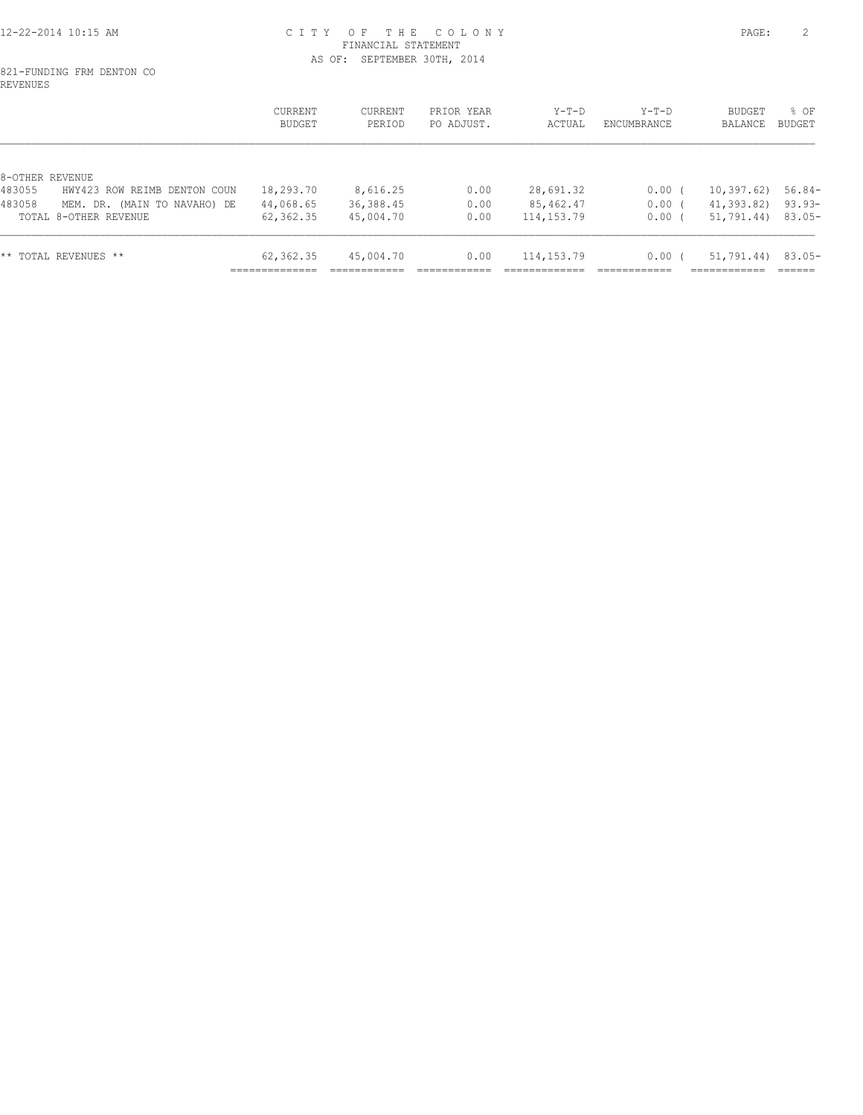#### 12-22-2014 10:15 AM C I T Y O F T H E C O L O N Y PAGE: 2 FINANCIAL STATEMENT AS OF: SEPTEMBER 30TH, 2014

#### 821-FUNDING FRM DENTON CO REVENUES

|                           |                              | <b>CURRENT</b><br>BUDGET | CURRENT<br>PERIOD | PRIOR YEAR<br>PO ADJUST. | $Y-T-D$<br>ACTUAL | $Y-T-D$<br>ENCUMBRANCE | BUDGET<br>BALANCE    | % OF<br>BUDGET |
|---------------------------|------------------------------|--------------------------|-------------------|--------------------------|-------------------|------------------------|----------------------|----------------|
|                           |                              |                          |                   |                          |                   |                        |                      |                |
| 8-OTHER REVENUE<br>483055 | HWY423 ROW REIMB DENTON COUN | 18,293.70                | 8,616.25          | 0.00                     | 28,691.32         | 0.00 <sub>0</sub>      | $10,397.62$ 56.84-   |                |
| 483058                    | MEM. DR. (MAIN TO NAVAHO) DE | 44,068.65                | 36,388.45         | 0.00                     | 85,462.47         | $0.00$ (               | 41,393.82) 93.93-    |                |
|                           | TOTAL 8-OTHER REVENUE        | 62,362.35                | 45,004.70         | 0.00                     | 114, 153. 79      | 0.00(                  | $51,791.44$ 83.05-   |                |
|                           | ** TOTAL REVENUES **         | 62,362.35                | 45,004.70         | 0.00                     | 114, 153. 79      | 0.00 <sub>0</sub>      | $51,791.44$ ) 83.05- |                |
|                           |                              |                          |                   |                          |                   |                        |                      |                |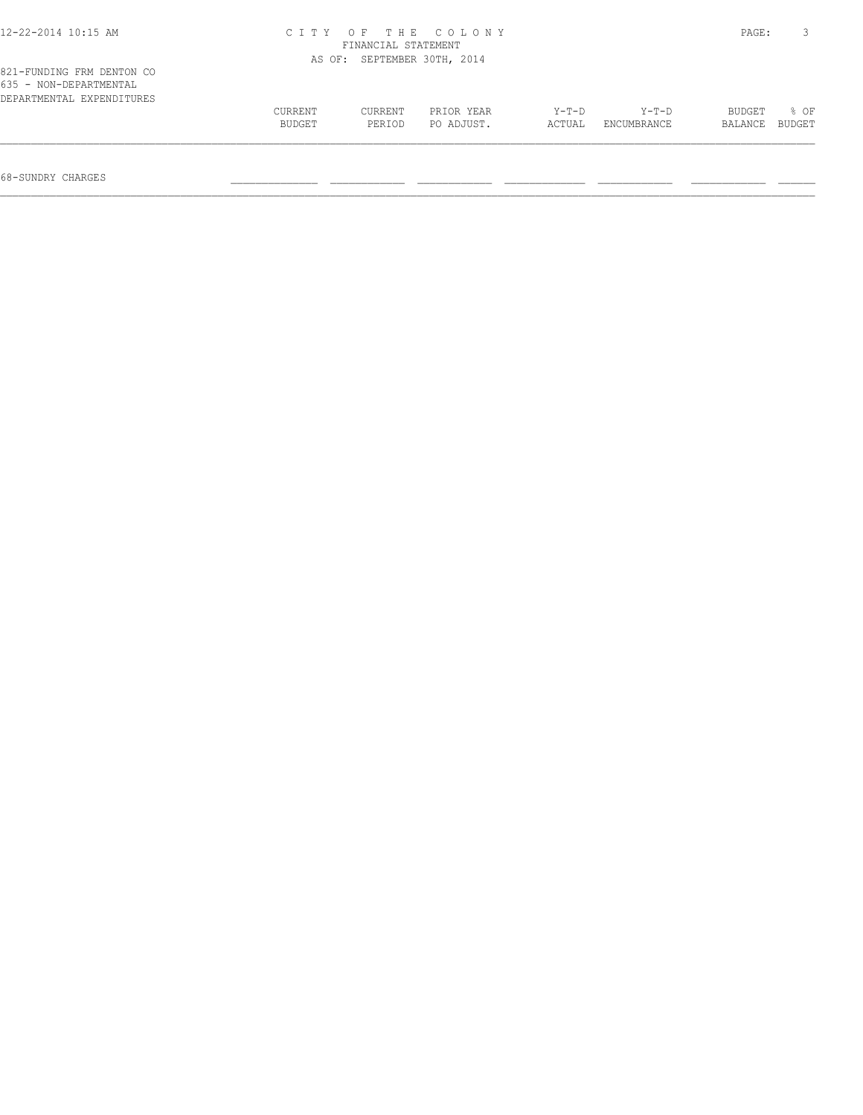| 12-22-2014 10:15 AM                                                              |         | FINANCIAL STATEMENT         | CITY OF THE COLONY |         |             | PAGE:   |        |
|----------------------------------------------------------------------------------|---------|-----------------------------|--------------------|---------|-------------|---------|--------|
|                                                                                  |         | AS OF: SEPTEMBER 30TH, 2014 |                    |         |             |         |        |
| 821-FUNDING FRM DENTON CO<br>635 - NON-DEPARTMENTAL<br>DEPARTMENTAL EXPENDITURES |         |                             |                    |         |             |         |        |
|                                                                                  | CURRENT | CURRENT                     | PRIOR YEAR         | $Y-T-D$ | $Y-T-D$     | BUDGET  | 8 OF   |
|                                                                                  | BUDGET  | PERIOD                      | PO ADJUST.         | ACTUAL  | ENCUMBRANCE | BALANCE | BUDGET |
|                                                                                  |         |                             |                    |         |             |         |        |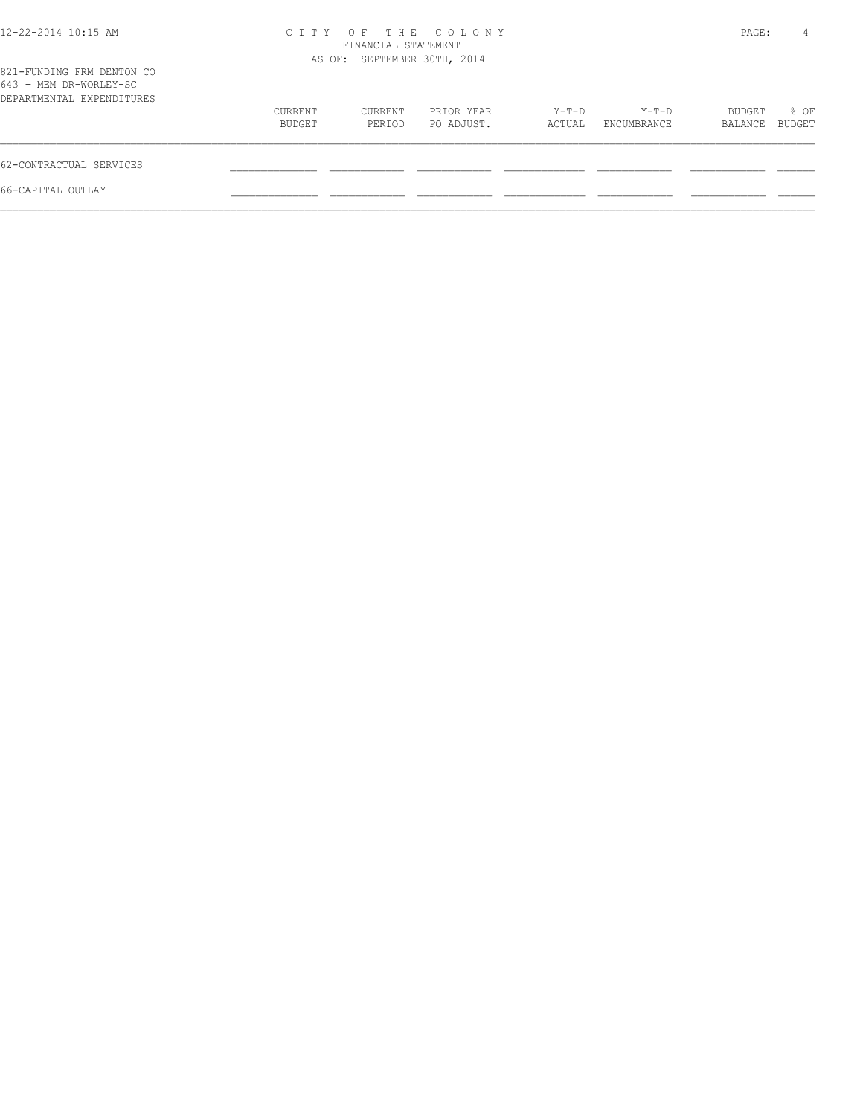| 12-22-2014 10:15 AM                                                              |                   | FINANCIAL STATEMENT<br>AS OF: SEPTEMBER 30TH, 2014 | CITY OF THE COLONY       |                 |                      | PAGE:             | 4              |
|----------------------------------------------------------------------------------|-------------------|----------------------------------------------------|--------------------------|-----------------|----------------------|-------------------|----------------|
| 821-FUNDING FRM DENTON CO<br>643 - MEM DR-WORLEY-SC<br>DEPARTMENTAL EXPENDITURES |                   |                                                    |                          |                 |                      |                   |                |
|                                                                                  | CURRENT<br>BUDGET | CURRENT<br>PERIOD                                  | PRIOR YEAR<br>PO ADJUST. | Y-T-D<br>ACTUAL | Y-T-D<br>ENCUMBRANCE | BUDGET<br>BALANCE | % OF<br>BUDGET |
| 62-CONTRACTUAL SERVICES                                                          |                   |                                                    |                          |                 |                      |                   |                |
| 66-CAPITAL OUTLAY                                                                |                   |                                                    |                          |                 |                      |                   |                |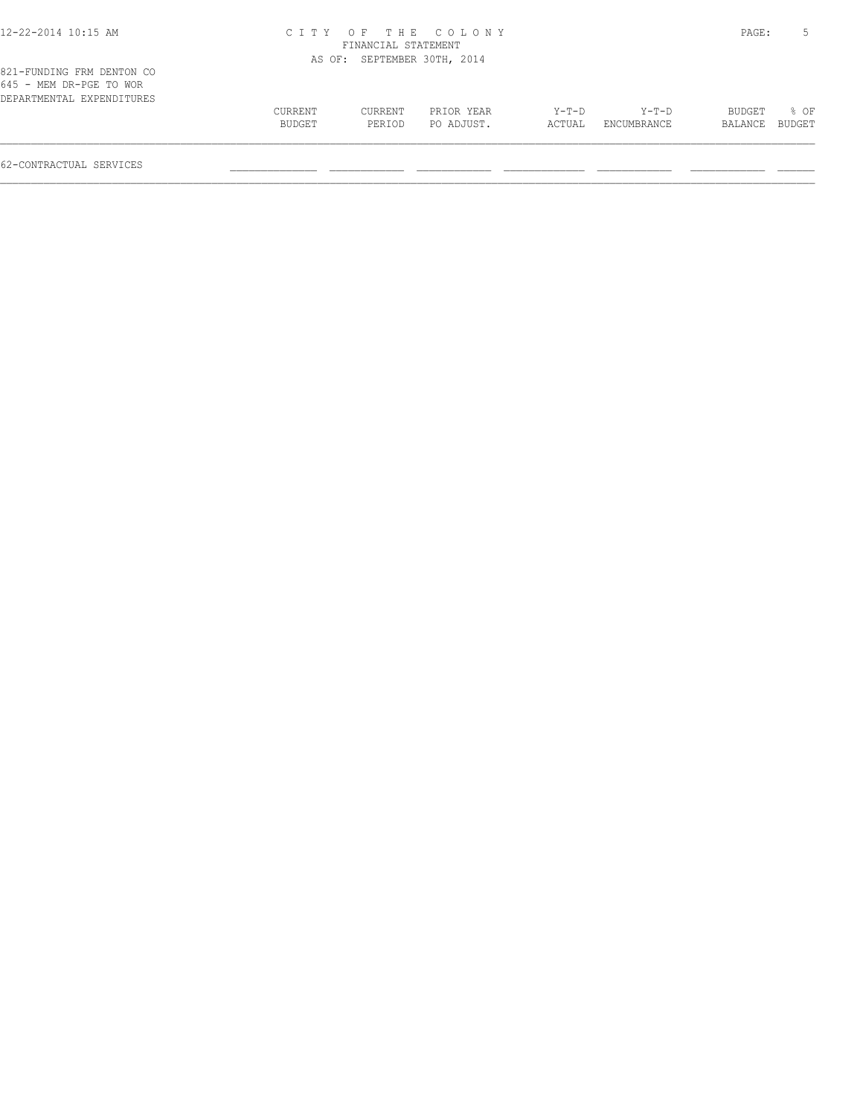| 12-22-2014 10:15 AM |  |  |
|---------------------|--|--|
|---------------------|--|--|

## 12-22-2014 10:15 AM C I T Y O F T H E C O L O N Y PAGE: 5 FINANCIAL STATEMENT

|                                                                                   |                   |                   | AS OF: SEPTEMBER 30TH, 2014 |                   |                        |                   |                  |
|-----------------------------------------------------------------------------------|-------------------|-------------------|-----------------------------|-------------------|------------------------|-------------------|------------------|
| 821-FUNDING FRM DENTON CO<br>645 - MEM DR-PGE TO WOR<br>DEPARTMENTAL EXPENDITURES |                   |                   |                             |                   |                        |                   |                  |
|                                                                                   | CURRENT<br>BUDGET | CURRENT<br>PERIOD | PRIOR YEAR<br>PO ADJUST.    | $Y-T-D$<br>ACTUAL | $Y-T-D$<br>ENCUMBRANCE | BUDGET<br>BALANCE | $8$ OF<br>BUDGET |
|                                                                                   |                   |                   |                             |                   |                        |                   |                  |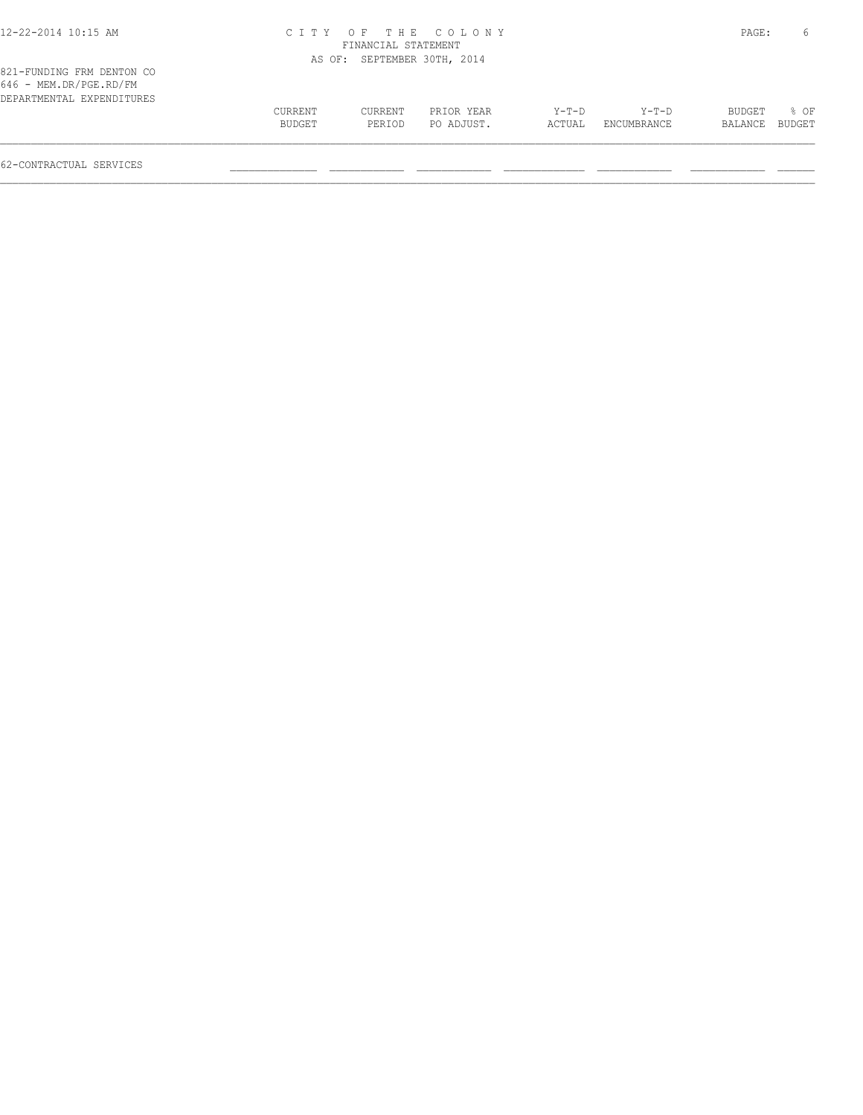| 12-22-2014 10:15 AM |  |  |  |  |  |  |
|---------------------|--|--|--|--|--|--|
|---------------------|--|--|--|--|--|--|

821-FUNDING FRM DENTON CO 646 - MEM.DR/PGE.RD/FM DEPARTMENTAL EXPENDITURES

## 12-22-2014 10:15 AM C I T Y O F T H E C O L O N Y PAGE: 6

 CURRENT CURRENT PRIOR YEAR Y-T-D Y-T-D BUDGET % OF BUDGET PERIOD PO ADJUST. ACTUAL ENCUMBRANCE BALANCE BUDGET  $\mathcal{L} = \{ \mathcal{L} = \{ \mathcal{L} = \{ \mathcal{L} = \{ \mathcal{L} = \{ \mathcal{L} = \{ \mathcal{L} = \{ \mathcal{L} = \{ \mathcal{L} = \{ \mathcal{L} = \{ \mathcal{L} = \{ \mathcal{L} = \{ \mathcal{L} = \{ \mathcal{L} = \{ \mathcal{L} = \{ \mathcal{L} = \{ \mathcal{L} = \{ \mathcal{L} = \{ \mathcal{L} = \{ \mathcal{L} = \{ \mathcal{L} = \{ \mathcal{L} = \{ \mathcal{L} = \{ \mathcal{L} = \{ \mathcal{$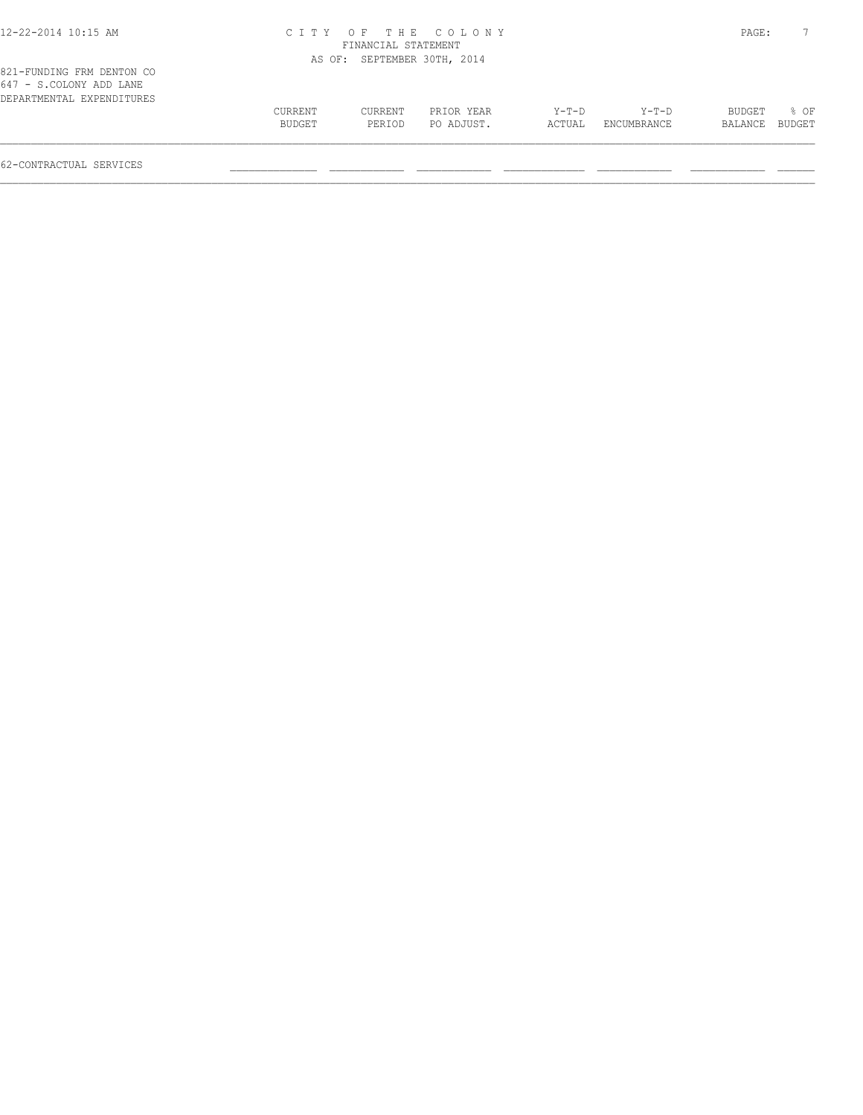| 12-22-2014 10:15 AM |  |  |
|---------------------|--|--|
|---------------------|--|--|

## 12-22-2014 10:15 AM C I T Y O F T H E C O L O N Y PAGE: 7

| CURRENT | CURRENT | PRIOR YEAR | Y-T-D                                              | Y-T-D       | BUDGET | $\approx$ OF |                |
|---------|---------|------------|----------------------------------------------------|-------------|--------|--------------|----------------|
| BUDGET  | PERIOD  | PO ADJUST. | ACTUAL                                             | ENCUMBRANCE |        |              |                |
|         |         |            | FINANCIAL STATEMENT<br>AS OF: SEPTEMBER 30TH, 2014 |             |        |              | BALANCE BUDGET |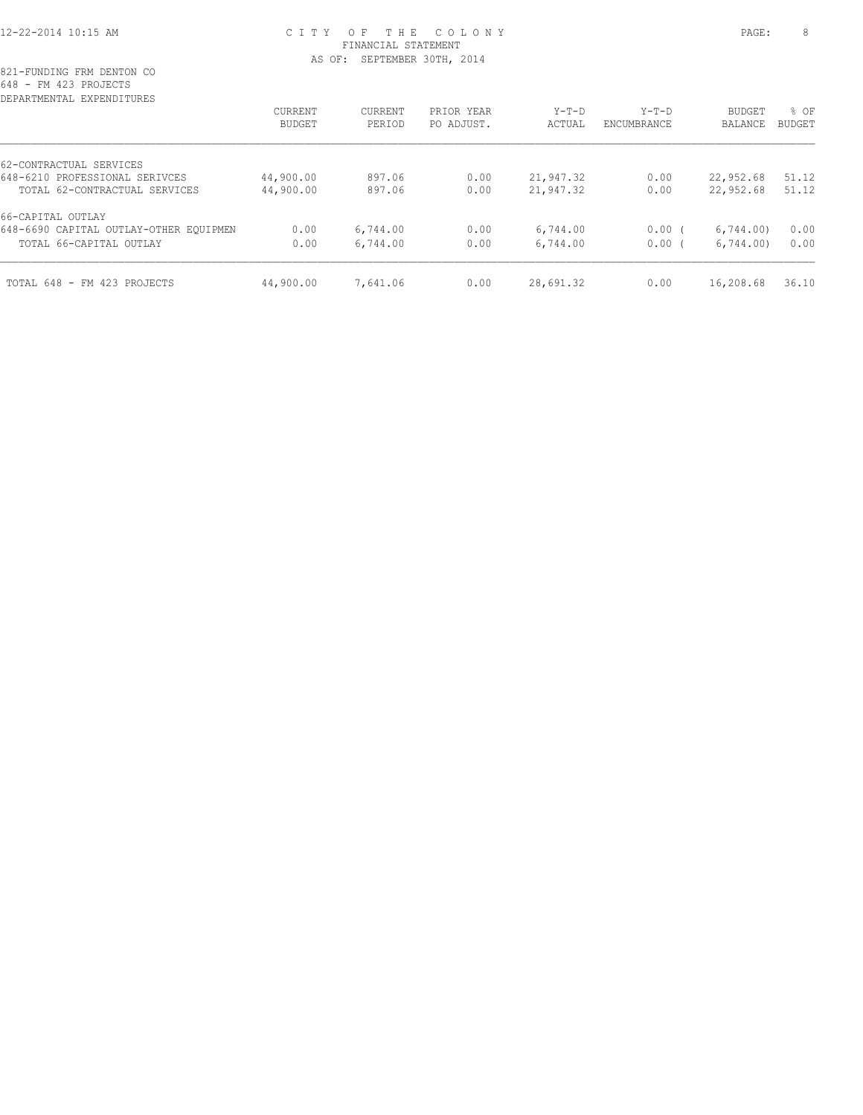#### 12-22-2014 10:15 AM C I T Y O F T H E C O L O N Y PAGE: 8 FINANCIAL STATEMENT AS OF: SEPTEMBER 30TH, 2014

| CURRENT   | CURRENT  | PRIOR YEAR | Y-T-D     | $Y-T-D$     | <b>BUDGET</b> | % OF          |
|-----------|----------|------------|-----------|-------------|---------------|---------------|
| BUDGET    | PERIOD   | PO ADJUST. | ACTUAL    | ENCUMBRANCE | BALANCE       | <b>BUDGET</b> |
|           |          |            |           |             |               |               |
| 44,900.00 | 897.06   | 0.00       | 21,947.32 | 0.00        | 22,952.68     | 51.12         |
| 44,900.00 | 897.06   | 0.00       | 21,947.32 | 0.00        | 22,952.68     | 51.12         |
|           |          |            |           |             |               |               |
| 0.00      | 6,744.00 | 0.00       | 6,744.00  | $0.00$ (    | 6,744.00      | 0.00          |
| 0.00      | 6,744.00 | 0.00       | 6,744.00  | 0.00(       | 6,744.00      | 0.00          |
| 44,900.00 | 7,641.06 | 0.00       | 28,691.32 | 0.00        | 16,208.68     | 36.10         |
|           |          |            |           |             |               |               |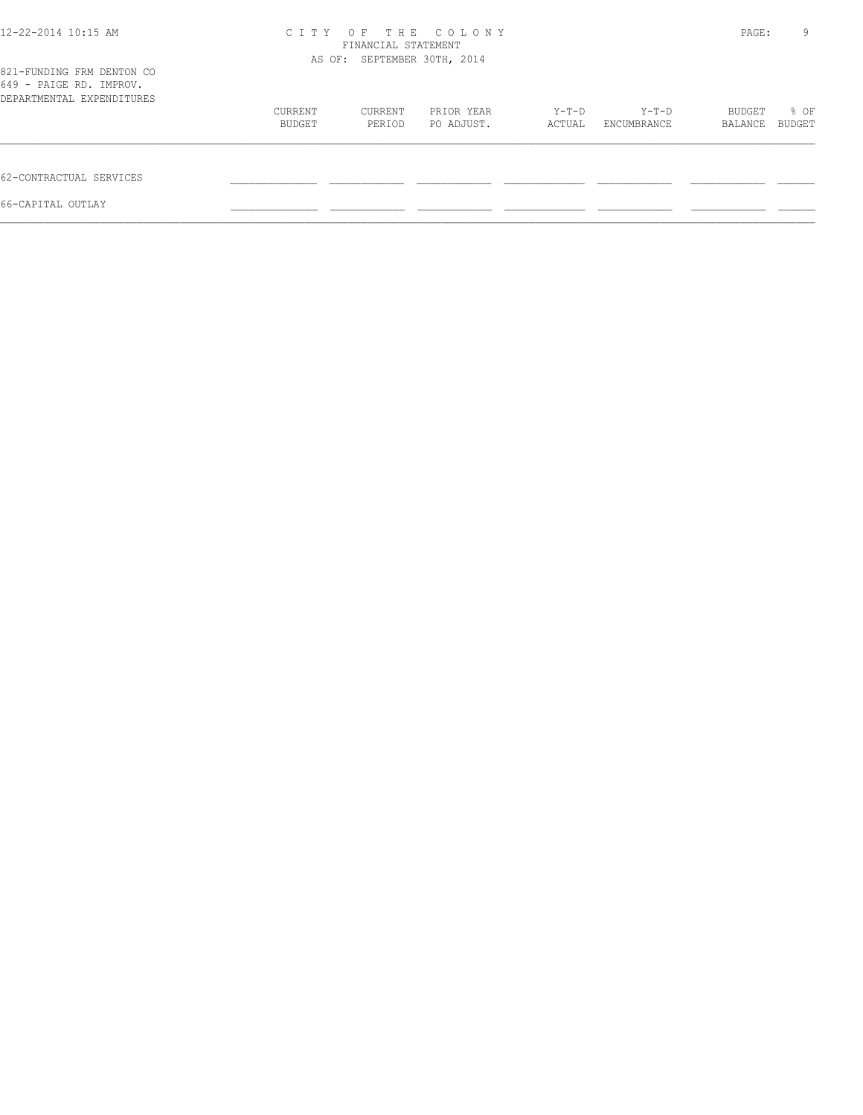| 12-22-2014 10:15 AM                                                               | OF<br>THE COLONY<br>C I T Y<br>FINANCIAL STATEMENT<br>AS OF: SEPTEMBER 30TH, 2014 |         |            |        |             |         | 9<br>PAGE: |
|-----------------------------------------------------------------------------------|-----------------------------------------------------------------------------------|---------|------------|--------|-------------|---------|------------|
| 821-FUNDING FRM DENTON CO<br>649 - PAIGE RD. IMPROV.<br>DEPARTMENTAL EXPENDITURES |                                                                                   |         |            |        |             |         |            |
|                                                                                   | CURRENT                                                                           | CURRENT | PRIOR YEAR | Y-T-D  | Y-T-D       | BUDGET  | % OF       |
|                                                                                   | BUDGET                                                                            | PERIOD  | PO ADJUST. | ACTUAL | ENCUMBRANCE | BALANCE | BUDGET     |
| 62-CONTRACTUAL SERVICES                                                           |                                                                                   |         |            |        |             |         |            |
| 66-CAPITAL OUTLAY                                                                 |                                                                                   |         |            |        |             |         |            |
|                                                                                   |                                                                                   |         |            |        |             |         |            |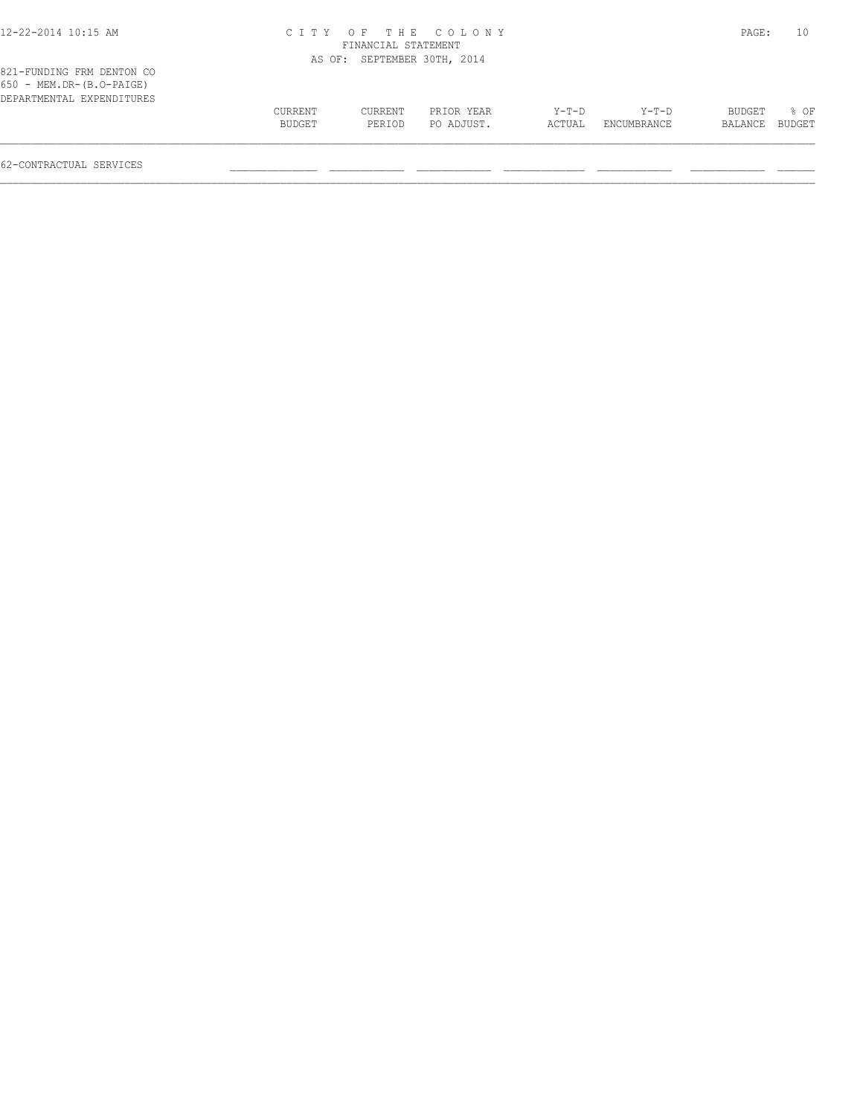### 12-22-2014 10:15 AM C I T Y O F T H E C O L O N Y PAGE: 10 FINANCIAL STATEMENT

|                                                                                      |         |         | AS OF: SEPTEMBER 30TH, 2014 |         |             |         |        |
|--------------------------------------------------------------------------------------|---------|---------|-----------------------------|---------|-------------|---------|--------|
| 821-FUNDING FRM DENTON CO<br>$650 - MEM.DR-(B.O-PAIGE)$<br>DEPARTMENTAL EXPENDITURES |         |         |                             |         |             |         |        |
|                                                                                      | CURRENT | CURRENT | PRIOR YEAR                  | $Y-T-D$ | $Y-T-D$     | BUDGET  | $8$ OF |
|                                                                                      | BUDGET  | PERIOD  | PO ADJUST.                  | ACTUAL  | ENCUMBRANCE | BALANCE | BUDGET |
|                                                                                      |         |         |                             |         |             |         |        |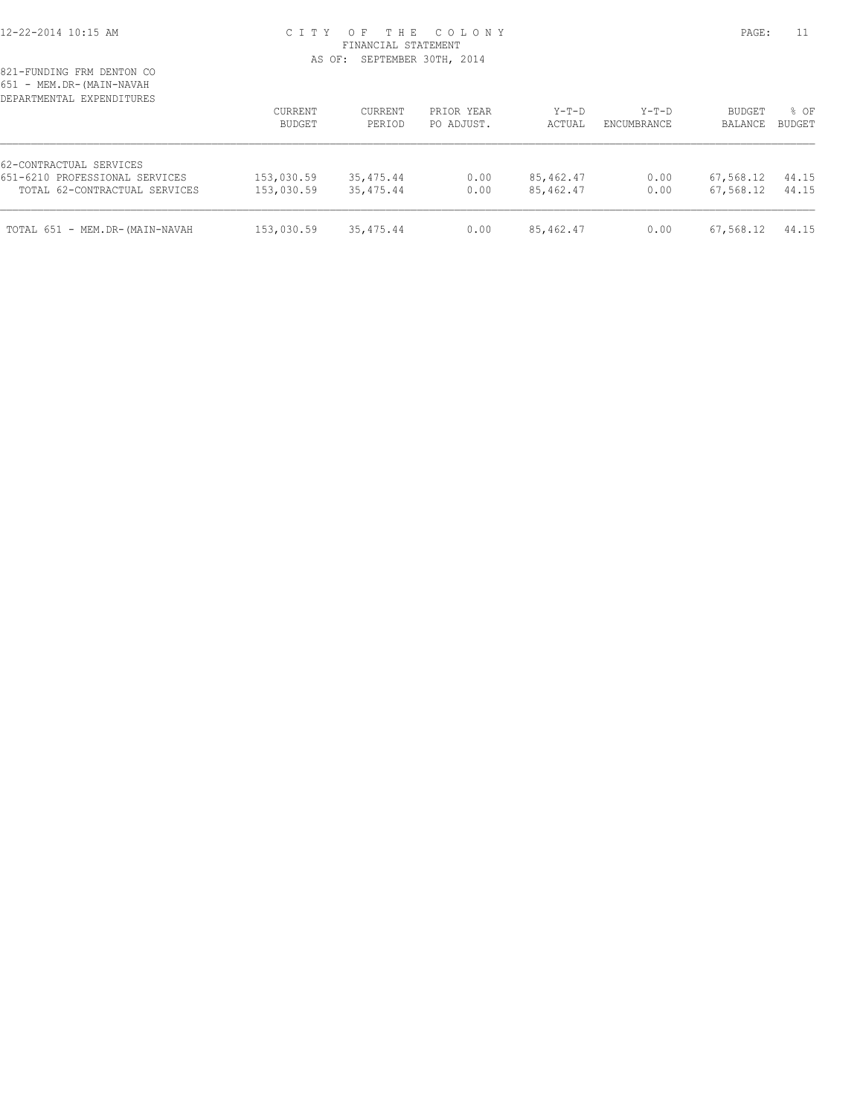#### 12-22-2014 10:15 AM C I T Y O F T H E C O L O N Y PAGE: 11 FINANCIAL STATEMENT AS OF: SEPTEMBER 30TH, 2014

| DEPARTMENTAL EXPENDITURES      | CURRENT<br>BUDGET | CURRENT<br>PERTOD | PRIOR YEAR<br>PO ADJUST. | $Y-T-D$<br>ACTUAL | $Y-T-D$<br><b>ENCUMBRANCE</b> | <b>BUDGET</b><br>BALANCE | % OF<br><b>BUDGET</b> |
|--------------------------------|-------------------|-------------------|--------------------------|-------------------|-------------------------------|--------------------------|-----------------------|
| 62-CONTRACTUAL SERVICES        |                   |                   |                          |                   |                               |                          |                       |
| 651-6210 PROFESSIONAL SERVICES | 153,030.59        | 35,475.44         | 0.00                     | 85, 462.47        | 0.00                          | 67,568.12                | 44.15                 |
| TOTAL 62-CONTRACTUAL SERVICES  | 153,030.59        | 35,475.44         | 0.00                     | 85,462.47         | 0.00                          | 67,568.12                | 44.15                 |
| TOTAL 651 - MEM.DR-(MAIN-NAVAH | 153,030.59        | 35,475.44         | 0.00                     | 85,462.47         | 0.00                          | 67,568.12                | 44.15                 |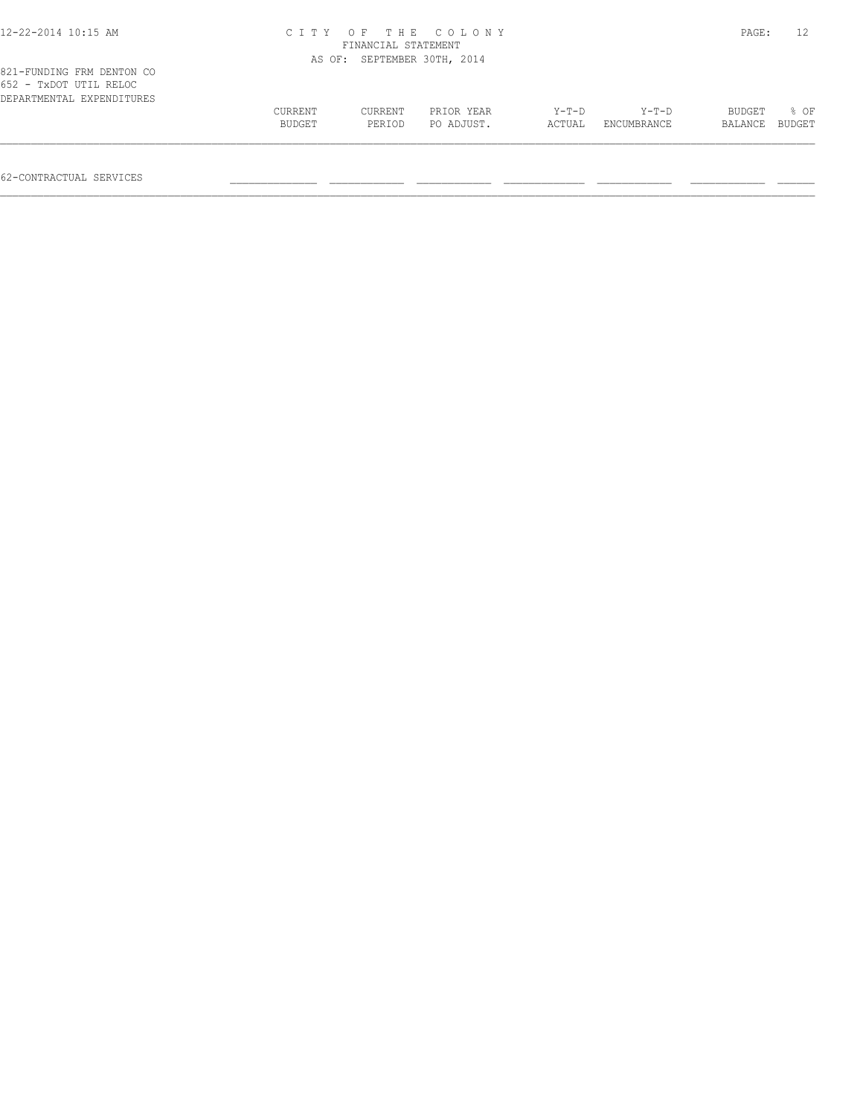| 12-22-2014 10:15 AM                                                              | ITY.<br>C 1 | OF<br>FINANCIAL STATEMENT   | THE COLONY |         |             | PAGE:   |        |
|----------------------------------------------------------------------------------|-------------|-----------------------------|------------|---------|-------------|---------|--------|
|                                                                                  |             | AS OF: SEPTEMBER 30TH, 2014 |            |         |             |         |        |
| 821-FUNDING FRM DENTON CO<br>652 - TxDOT UTIL RELOC<br>DEPARTMENTAL EXPENDITURES | CURRENT     | CURRENT                     | PRIOR YEAR | $Y-T-D$ | $Y-T-D$     | BUDGET  | 8 OF   |
|                                                                                  | BUDGET      | PERIOD                      | PO ADJUST. | ACTUAL  | ENCUMBRANCE | BALANCE | BUDGET |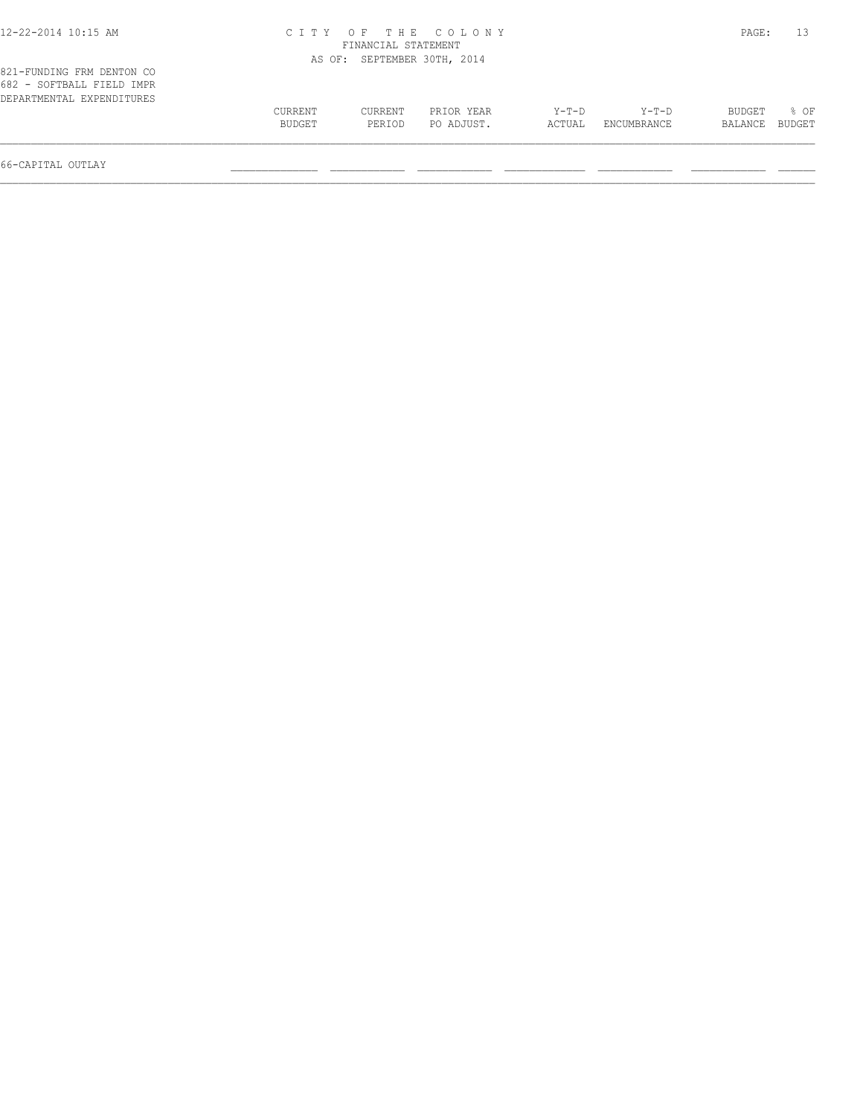# 12-22-2014 10:15 AM C I T Y O F T H E C O L O N Y PAGE: 13

\_\_\_\_\_\_\_\_\_\_\_\_\_\_\_\_\_\_\_\_\_\_\_\_\_\_\_\_\_\_\_\_\_\_\_\_\_\_\_\_\_\_\_\_\_\_\_\_\_\_\_\_\_\_\_\_\_\_\_\_\_\_\_\_\_\_\_\_\_\_\_\_\_\_\_\_\_\_\_\_\_\_\_\_\_\_\_\_\_\_\_\_\_\_\_\_\_\_\_\_\_\_\_\_\_\_\_\_\_\_\_\_\_\_\_\_\_\_\_\_\_\_\_\_\_\_\_\_\_\_\_

|                                                                                     |                   | FINANCIAL STATEMENT |                             |                 |                      |                   |                            |
|-------------------------------------------------------------------------------------|-------------------|---------------------|-----------------------------|-----------------|----------------------|-------------------|----------------------------|
|                                                                                     |                   |                     | AS OF: SEPTEMBER 30TH, 2014 |                 |                      |                   |                            |
| 821-FUNDING FRM DENTON CO<br>682 - SOFTBALL FIELD IMPR<br>DEPARTMENTAL EXPENDITURES |                   |                     |                             |                 |                      |                   |                            |
|                                                                                     | CURRENT<br>BUDGET | CURRENT<br>PERIOD   | PRIOR YEAR<br>PO ADJUST.    | Y-T-D<br>ACTUAL | Y-T-D<br>ENCUMBRANCE | BUDGET<br>BALANCE | $\frac{1}{2}$ OF<br>BUDGET |

66-CAPITAL OUTLAY \_\_\_\_\_\_\_\_\_\_\_\_\_\_ \_\_\_\_\_\_\_\_\_\_\_\_ \_\_\_\_\_\_\_\_\_\_\_\_ \_\_\_\_\_\_\_\_\_\_\_\_\_ \_\_\_\_\_\_\_\_\_\_\_\_ \_\_\_\_\_\_\_\_\_\_\_\_ \_\_\_\_\_\_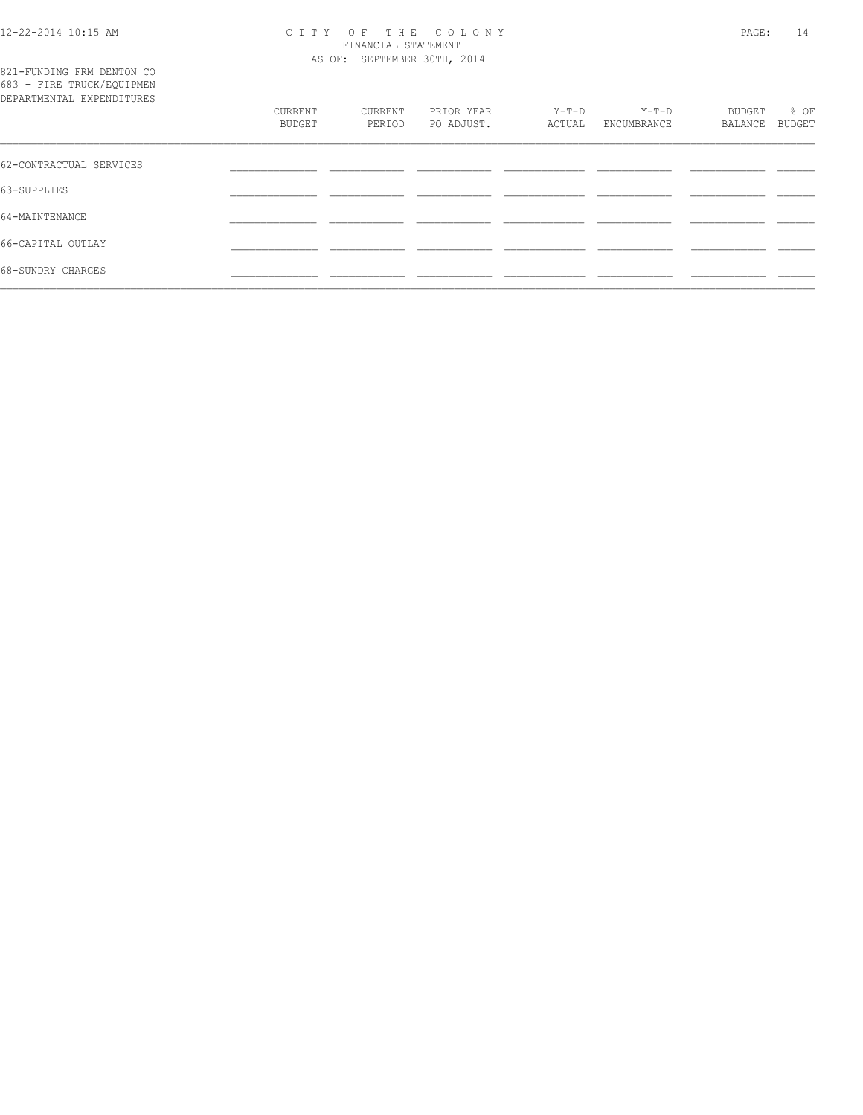821-FUNDING FRM DENTON CO 683 - FIRE TRUCK/EQUIPMEN

#### 12-22-2014 10:15 AM C I T Y O F T H E C O L O N Y PAGE: 14 FINANCIAL STATEMENT AS OF: SEPTEMBER 30TH, 2014

| DEPARTMENTAL EXPENDITURES |                   |                   |                          |                 |                        |                   |                |
|---------------------------|-------------------|-------------------|--------------------------|-----------------|------------------------|-------------------|----------------|
|                           | CURRENT<br>BUDGET | CURRENT<br>PERIOD | PRIOR YEAR<br>PO ADJUST. | Y-T-D<br>ACTUAL | $Y-T-D$<br>ENCUMBRANCE | BUDGET<br>BALANCE | % OF<br>BUDGET |
| 62-CONTRACTUAL SERVICES   |                   |                   |                          |                 |                        |                   |                |
|                           |                   |                   |                          |                 |                        |                   |                |
| 63-SUPPLIES               |                   |                   |                          |                 |                        |                   |                |
| 64-MAINTENANCE            |                   |                   |                          |                 |                        |                   |                |
| 66-CAPITAL OUTLAY         |                   |                   |                          |                 |                        |                   |                |
| 68-SUNDRY CHARGES         |                   |                   |                          |                 |                        |                   |                |
|                           |                   |                   |                          |                 |                        |                   |                |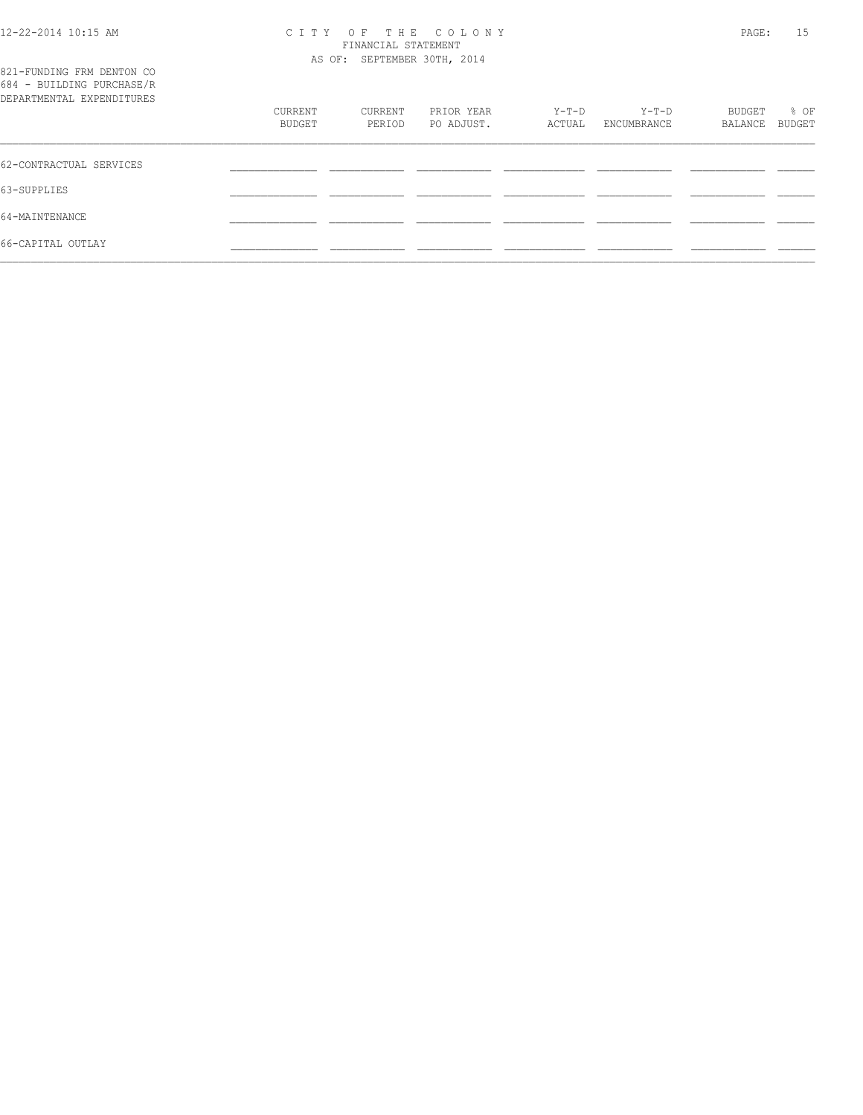### 12-22-2014 10:15 AM C I T Y O F T H E C O L O N Y PAGE: 15 FINANCIAL STATEMENT

| 821-FUNDING FRM DENTON CO<br>684 - BUILDING PURCHASE/R |                   |                   | AS OF: SEPTEMBER 30TH, 2014 |                 |                        |                   |                |
|--------------------------------------------------------|-------------------|-------------------|-----------------------------|-----------------|------------------------|-------------------|----------------|
| DEPARTMENTAL EXPENDITURES                              | CURRENT<br>BUDGET | CURRENT<br>PERIOD | PRIOR YEAR<br>PO ADJUST.    | Y-T-D<br>ACTUAL | $Y-T-D$<br>ENCUMBRANCE | BUDGET<br>BALANCE | % OF<br>BUDGET |
| 62-CONTRACTUAL SERVICES                                |                   |                   |                             |                 |                        |                   |                |
| 63-SUPPLIES                                            |                   |                   |                             |                 |                        |                   |                |
| 64-MAINTENANCE                                         |                   |                   |                             |                 |                        |                   |                |
| 66-CAPITAL OUTLAY                                      |                   |                   |                             |                 |                        |                   |                |
|                                                        |                   |                   |                             |                 |                        |                   |                |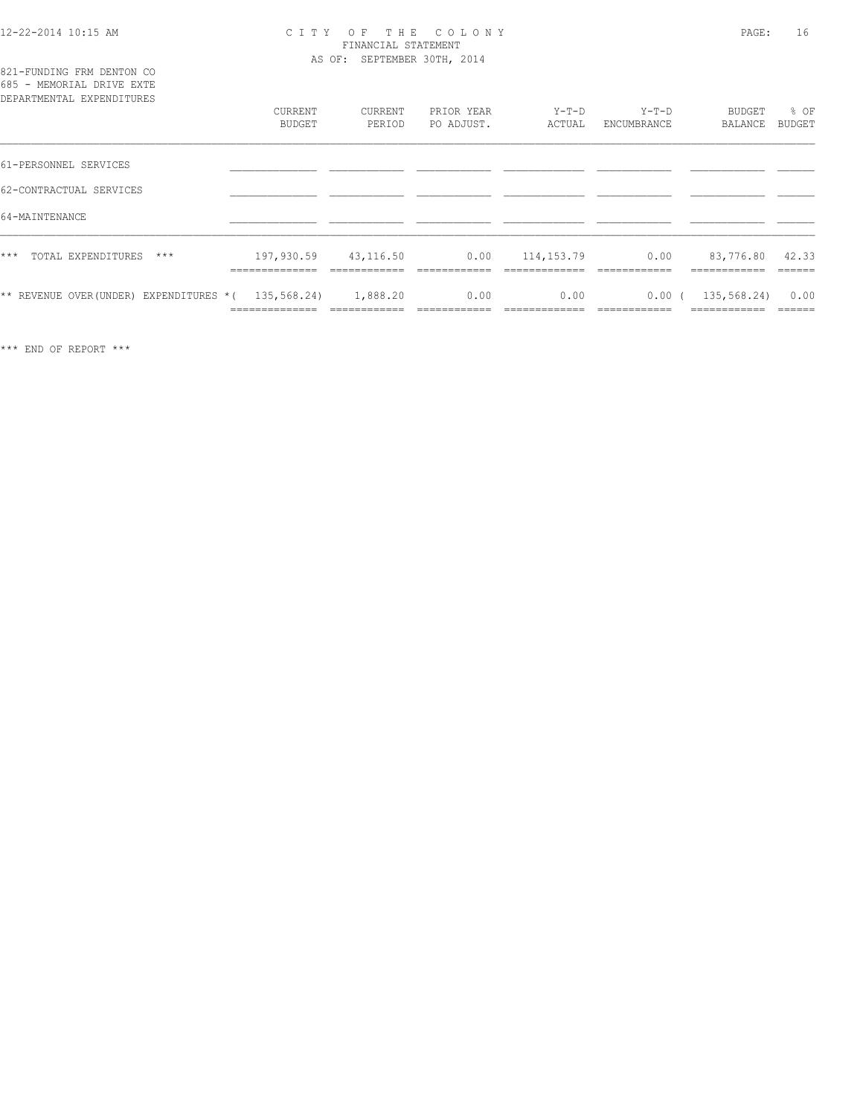821-FUNDING FRM DENTON CO

#### 12-22-2014 10:15 AM C I T Y O F T H E C O L O N Y PAGE: 16 FINANCIAL STATEMENT AS OF: SEPTEMBER 30TH, 2014

| 685 - MEMORIAL DRIVE EXTE<br>DEPARTMENTAL EXPENDITURES |                              |                           |                          |                   |                        |                                 |                |
|--------------------------------------------------------|------------------------------|---------------------------|--------------------------|-------------------|------------------------|---------------------------------|----------------|
|                                                        | CURRENT<br><b>BUDGET</b>     | CURRENT<br>PERIOD         | PRIOR YEAR<br>PO ADJUST. | $Y-T-D$<br>ACTUAL | $Y-T-D$<br>ENCUMBRANCE | BUDGET<br>BALANCE               | % OF<br>BUDGET |
| 61-PERSONNEL SERVICES                                  |                              |                           |                          |                   |                        |                                 |                |
| 62-CONTRACTUAL SERVICES                                |                              |                           |                          |                   |                        |                                 |                |
| 64-MAINTENANCE                                         |                              |                           |                          |                   |                        |                                 |                |
| TOTAL EXPENDITURES<br>***<br>$***$                     | 197,930.59<br>______________ | 43,116.50<br>____________ | 0.00<br>-------------    | 114,153.79        | 0.00<br>_______        | 83,776.80 42.33<br>____________ | -------        |
| ** REVENUE OVER (UNDER) EXPENDITURES $*(135,568.24)$   | -------------                | 1,888.20                  | 0.00                     | 0.00              | 0.00(                  | 135,568.24)                     | 0.00<br>------ |

\*\*\* END OF REPORT \*\*\*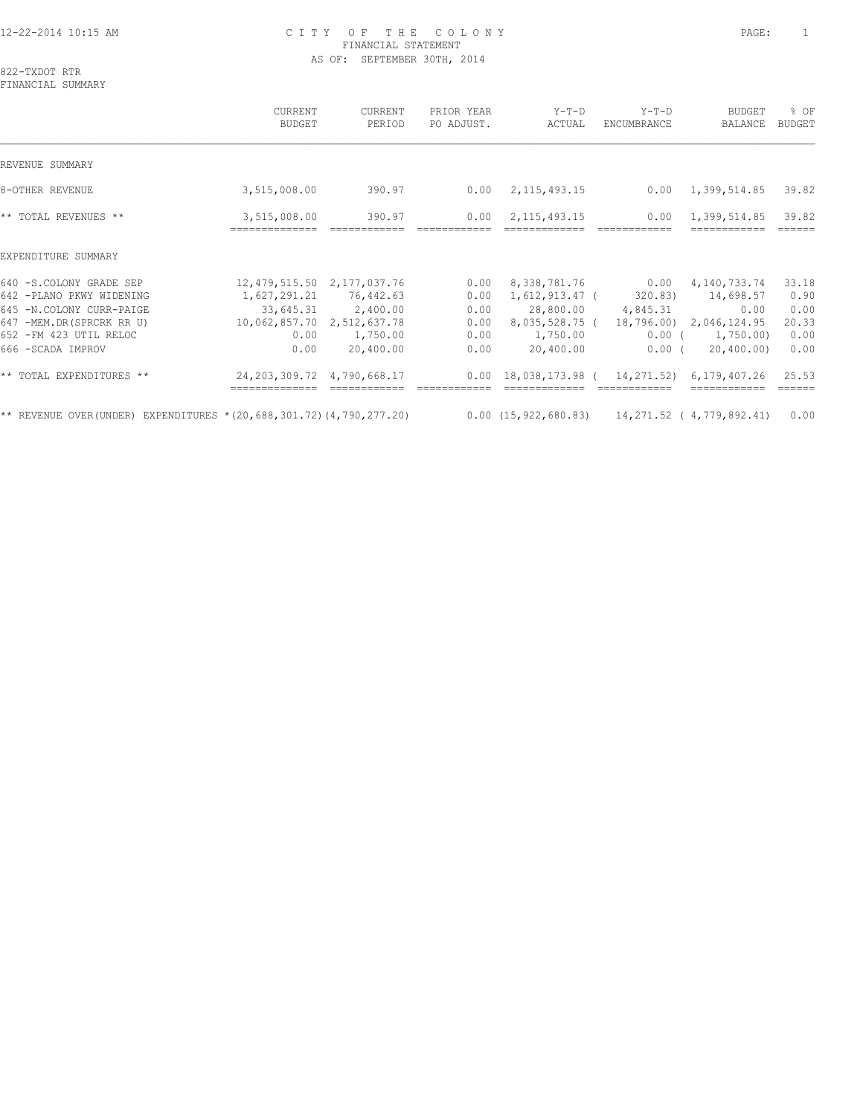#### 12-22-2014 10:15 AM C I T Y O F T H E C O L O N Y PAGE: 1 FINANCIAL STATEMENT AS OF: SEPTEMBER 30TH, 2014

822-TXDOT RTR FINANCIAL SUMMARY

 CURRENT CURRENT PRIOR YEAR Y-T-D Y-T-D BUDGET % OF BUDGET PERIOD PO ADJUST. ACTUAL ENCUMBRANCE BALANCE BUDGET  $\mathcal{L} = \{ \mathcal{L} = \{ \mathcal{L} = \{ \mathcal{L} = \{ \mathcal{L} = \{ \mathcal{L} = \{ \mathcal{L} = \{ \mathcal{L} = \{ \mathcal{L} = \{ \mathcal{L} = \{ \mathcal{L} = \{ \mathcal{L} = \{ \mathcal{L} = \{ \mathcal{L} = \{ \mathcal{L} = \{ \mathcal{L} = \{ \mathcal{L} = \{ \mathcal{L} = \{ \mathcal{L} = \{ \mathcal{L} = \{ \mathcal{L} = \{ \mathcal{L} = \{ \mathcal{L} = \{ \mathcal{L} = \{ \mathcal{$ REVENUE SUMMARY 8-OTHER REVENUE 2,515,008.00 390.97 0.00 2,115,493.15 0.00 1,399,514.85 39.82 \*\* TOTAL REVENUES \*\* 3,515,008.00 390.97 0.00 2,115,493.15 0.00 1,399,514.85 39.82 ============== ============ ============ ============= ============ ============ ====== EXPENDITURE SUMMARY 640 -S.COLONY GRADE SEP 12,479,515.50 2,177,037.76 0.00 8,338,781.76 0.00 4,140,733.74 33.18 642 -PLANO PKWY WIDENING 1,627,291.21 76,442.63 0.00 1,612,913.47 ( 320.83) 14,698.57 0.90 645 -N.COLONY CURR-PAIGE 33,645.31 2,400.00 0.00 28,800.00 4,845.31 0.00 0.00 647 -MEM.DR(SPRCRK RR U) 10,062,857.70 2,512,637.78 0.00 8,035,528.75 ( 18,796.00) 2,046,124.95 20.33 652 -FM 423 UTIL RELOC 0.00 1,750.00 0.00 1,750.00 0.00 ( 1,750.00) 0.00 666 -SCADA IMPROV 0.00 20,400.00 0.00 20,400.00 0.00 ( 20,400.00) 0.00 \*\* TOTAL EXPENDITURES \*\* 24,203,309.72 4,790,668.17 0.00 18,038,173.98 ( 14,271.52) 6,179,407.26 25.53 ============== ============ ============ ============= ============ ============ ====== \*\* REVENUE OVER(UNDER) EXPENDITURES \*(20,688,301.72)(4,790,277.20) 0.00 (15,922,680.83) 14,271.52 ( 4,779,892.41) 0.00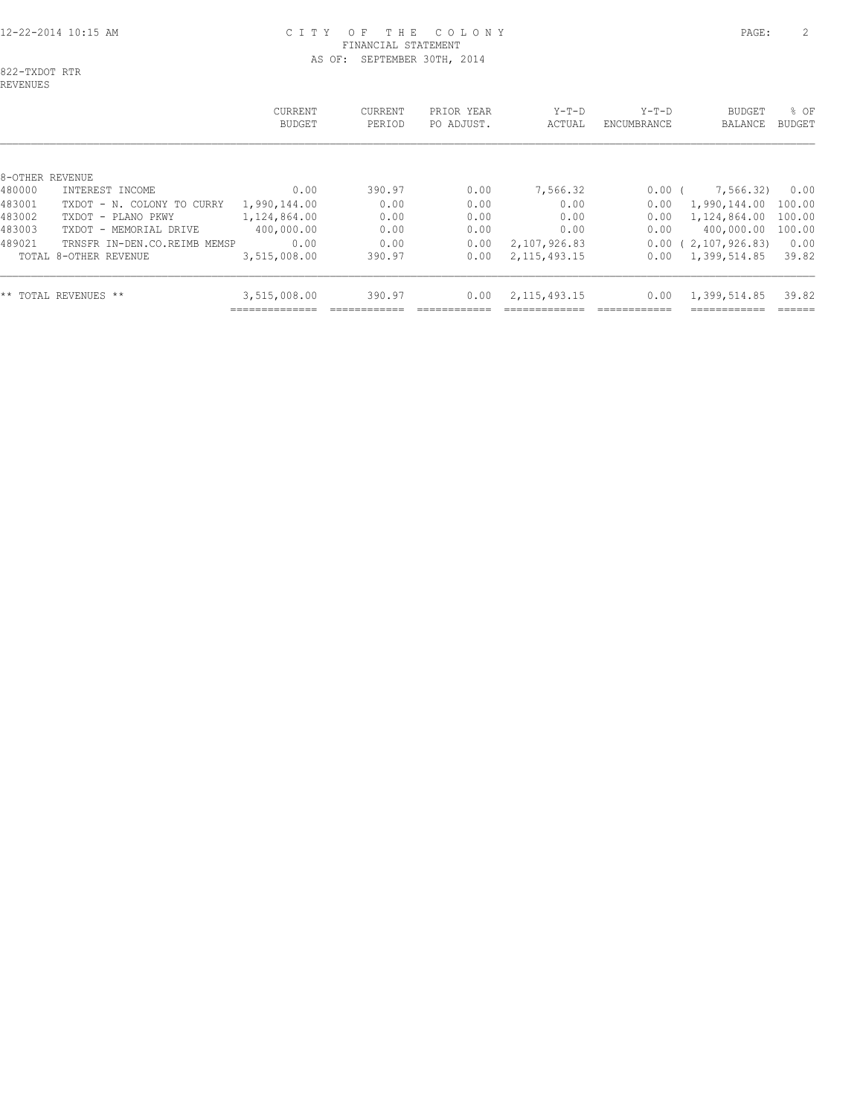#### 12-22-2014 10:15 AM C I T Y O F T H E C O L O N Y PAGE: 2 FINANCIAL STATEMENT AS OF: SEPTEMBER 30TH, 2014

822-TXDOT RTR REVENUES

 CURRENT CURRENT PRIOR YEAR Y-T-D Y-T-D BUDGET % OF BUDGET PERIOD PO ADJUST. ACTUAL ENCUMBRANCE BALANCE BUDGET  $\mathcal{L} = \{ \mathcal{L} = \{ \mathcal{L} = \{ \mathcal{L} = \{ \mathcal{L} = \{ \mathcal{L} = \{ \mathcal{L} = \{ \mathcal{L} = \{ \mathcal{L} = \{ \mathcal{L} = \{ \mathcal{L} = \{ \mathcal{L} = \{ \mathcal{L} = \{ \mathcal{L} = \{ \mathcal{L} = \{ \mathcal{L} = \{ \mathcal{L} = \{ \mathcal{L} = \{ \mathcal{L} = \{ \mathcal{L} = \{ \mathcal{L} = \{ \mathcal{L} = \{ \mathcal{L} = \{ \mathcal{L} = \{ \mathcal{$ 8-OTHER REVENUE 480000 INTEREST INCOME 0.00 390.97 0.00 7,566.32 0.00 ( 7,566.32) 0.00 483001 TXDOT - N. COLONY TO CURRY 1,990,144.00 0.00 0.00 0.00 0.00 1,990,144.00 100.00 483002 TXDOT - PLANO PKWY 1,124,864.00 0.00 0.00 0.00 0.00 1,124,864.00 100.00 483003 TXDOT - MEMORIAL DRIVE 400,000.00 0.00 0.00 0.00 0.00 400,000.00 100.00 489021 TRNSFR IN-DEN.CO.REIMB MEMSP 0.00 0.00 0.00 2,107,926.83 0.00 ( 2,107,926.83) 0.00 TOTAL 8-OTHER REVENUE 3,515,008.00 390.97 0.00 2,115,493.15 0.00 1,399,514.85 39.82

\*\* TOTAL REVENUES \*\* <br>3,515,008.00 390.97 0.00 2,115,493.15 0.00 1,399,514.85 39.82

============== ============ ============ ============= ============ ============ ======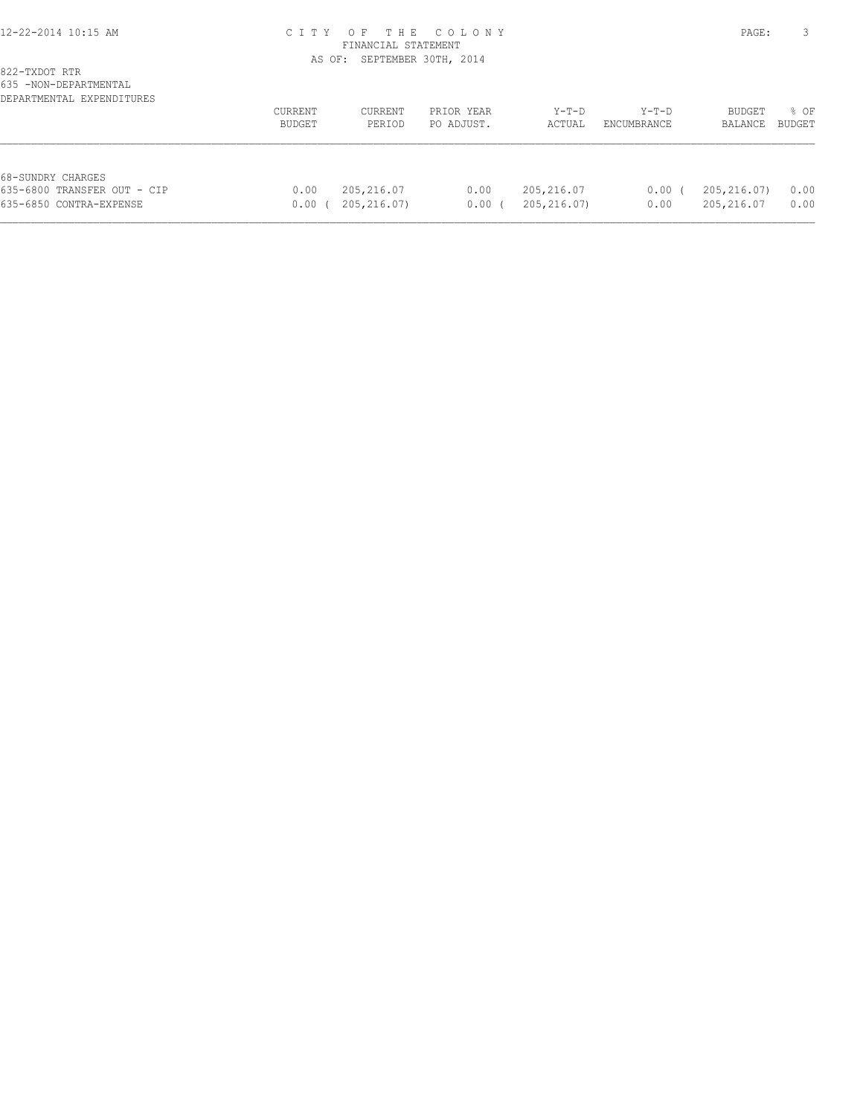#### 12-22-2014 10:15 AM C I T Y O F T H E C O L O N Y PAGE: 3 FINANCIAL STATEMENT AS OF: SEPTEMBER 30TH, 2014

| VUU INUIN PEEIIINIIIIINIIIE<br>DEPARTMENTAL EXPENDITURES                    |                   |                           |                          |                            |                      |                           |                |
|-----------------------------------------------------------------------------|-------------------|---------------------------|--------------------------|----------------------------|----------------------|---------------------------|----------------|
|                                                                             | CURRENT<br>BUDGET | CURRENT<br>PERIOD         | PRIOR YEAR<br>PO ADJUST. | $Y-T-D$<br>ACTUAL          | Y-T-D<br>ENCUMBRANCE | BUDGET<br>BALANCE         | % OF<br>BUDGET |
| 68-SUNDRY CHARGES<br>635-6800 TRANSFER OUT - CIP<br>635-6850 CONTRA-EXPENSE | 0.00<br>0.00      | 205,216.07<br>205,216.07) | 0.00<br>0.00             | 205,216.07<br>205, 216.07) | 0.00<br>0.00         | 205,216.07)<br>205,216.07 | 0.00<br>0.00   |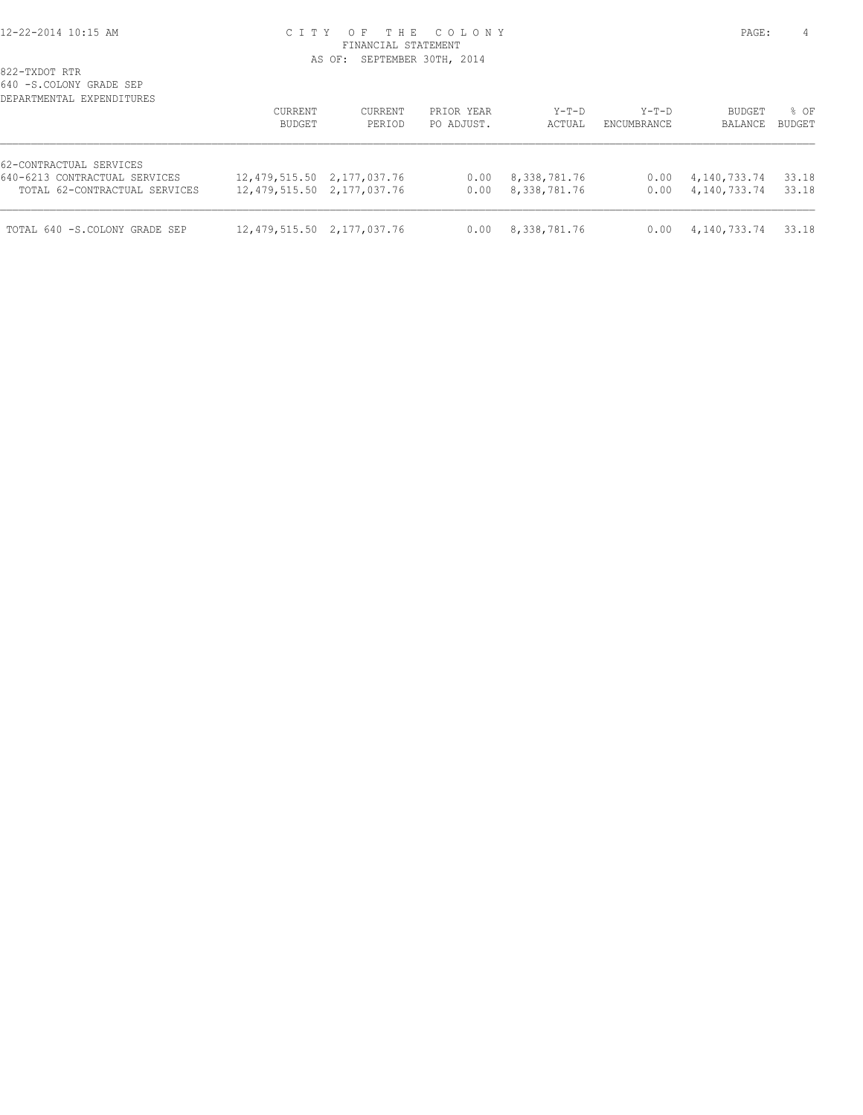#### 12-22-2014 10:15 AM C I T Y O F T H E C O L O N Y PAGE: 4 FINANCIAL STATEMENT AS OF: SEPTEMBER 30TH, 2014

| DEPARTMENTAL EXPENDITURES     | CURRENT<br>BUDGET          | CURRENT<br>PERIOD | PRIOR YEAR<br>PO ADJUST. | Y-T-D<br>ACTUAL | $Y-T-D$<br>ENCUMBRANCE | <b>BUDGET</b><br>BALANCE | % OF<br><b>BUDGET</b> |
|-------------------------------|----------------------------|-------------------|--------------------------|-----------------|------------------------|--------------------------|-----------------------|
| 62-CONTRACTUAL SERVICES       |                            |                   |                          |                 |                        |                          |                       |
| 640-6213 CONTRACTUAL SERVICES | 12,479,515.50 2,177,037.76 |                   | 0.00                     | 8,338,781.76    | 0.00                   | 4,140,733.74             | 33.18                 |
| TOTAL 62-CONTRACTUAL SERVICES | 12,479,515.50 2,177,037.76 |                   | 0.00                     | 8,338,781.76    | 0.00                   | 4,140,733.74             | 33.18                 |
| TOTAL 640 -S.COLONY GRADE SEP | 12,479,515.50 2,177,037.76 |                   | 0.00                     | 8,338,781.76    | 0.00                   | 4,140,733.74             | 33.18                 |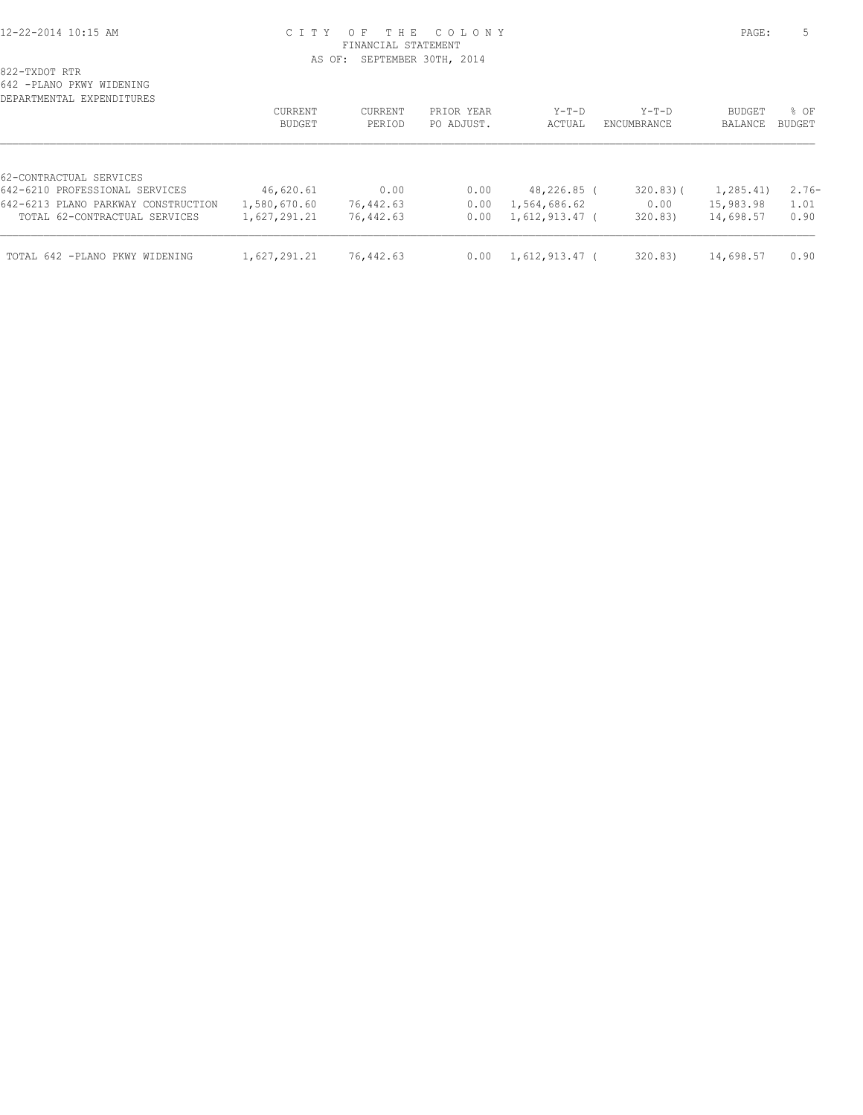#### 12-22-2014 10:15 AM C I T Y O F T H E C O L O N Y PAGE: 5 FINANCIAL STATEMENT AS OF: SEPTEMBER 30TH, 2014

822-TXDOT RTR

642 -PLANO PKWY WIDENING

| 774 - FANILLA FILMI MIDININO<br>DEPARTMENTAL EXPENDITURES |                |                |            |                  |             |               |         |
|-----------------------------------------------------------|----------------|----------------|------------|------------------|-------------|---------------|---------|
|                                                           | <b>CURRENT</b> | <b>CURRENT</b> | PRIOR YEAR | $Y-T-D$          | $Y-T-D$     | <b>BUDGET</b> | % OF    |
|                                                           | BUDGET         | PERIOD         | PO ADJUST. | ACTUAL           | ENCUMBRANCE | BALANCE       | BUDGET  |
| 62-CONTRACTUAL SERVICES                                   |                |                |            |                  |             |               |         |
| 642-6210 PROFESSIONAL SERVICES                            | 46,620.61      | 0.00           | 0.00       | 48,226.85 (      | $320.83$ (  | 1,285.41)     | $2.76-$ |
| 642-6213 PLANO PARKWAY CONSTRUCTION                       | 1,580,670.60   | 76,442.63      | 0.00       | 1,564,686.62     | 0.00        | 15,983.98     | 1.01    |
| TOTAL 62-CONTRACTUAL SERVICES                             | 1,627,291.21   | 76,442.63      | 0.00       | $1.612.913.47$ ( | 320.83      | 14,698.57     | 0.90    |
| TOTAL 642 -PLANO PKWY WIDENING                            | 1,627,291.21   | 76,442.63      | 0.00       | 1,612,913.47 (   | 320.83)     | 14,698.57     | 0.90    |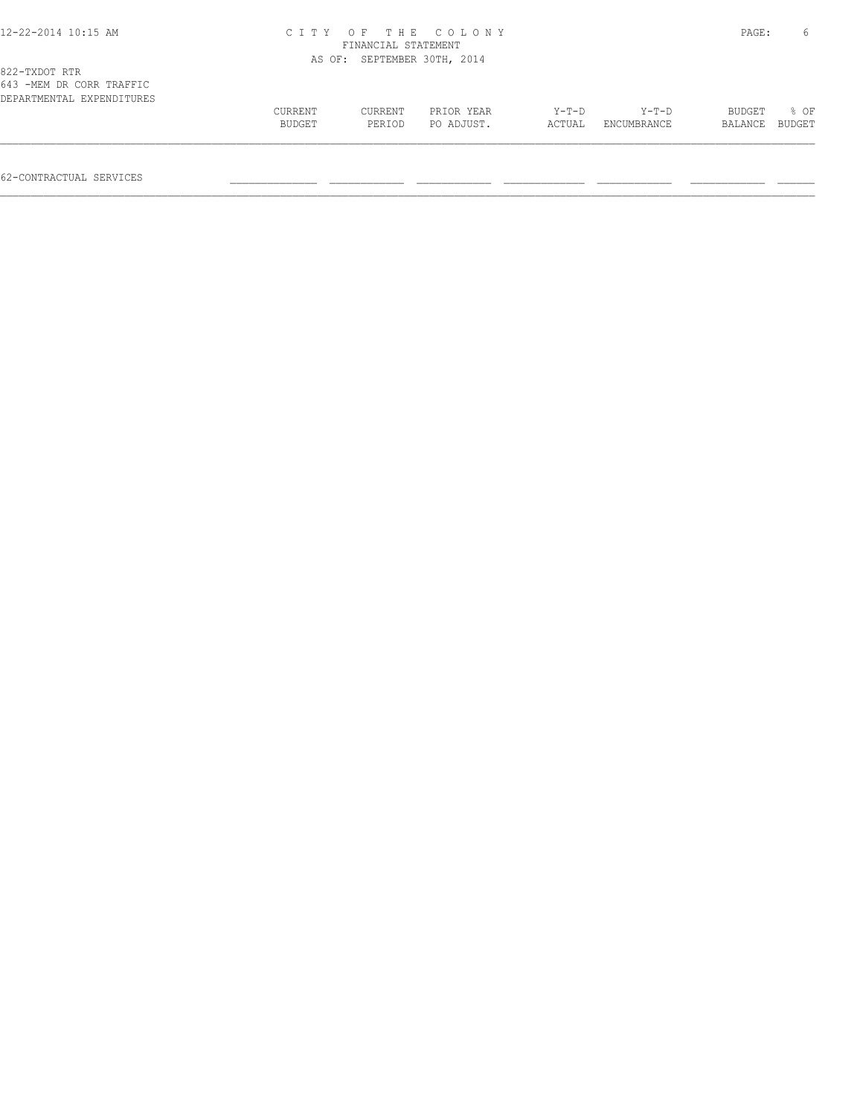#### 12-22-2014 10:15 AM C I T Y O F T H E C O L O N Y PAGE: 6 FINANCIAL STATEMENT AS OF: SEPTEMBER 30TH, 2014

| 643 -MEM DR CORR TRAFFIC  |                |         |            |         |             |               |        |
|---------------------------|----------------|---------|------------|---------|-------------|---------------|--------|
| DEPARTMENTAL EXPENDITURES |                |         |            |         |             |               |        |
|                           | <b>CURRENT</b> | CURRENT | PRIOR YEAR | $Y-T-D$ | $Y - T - D$ | <b>BUDGET</b> | $8$ OF |
|                           | BUDGET         | PERIOD  | PO ADJUST. | ACTUAL  | ENCUMBRANCE | BALANCE       | BUDGET |
|                           |                |         |            |         |             |               |        |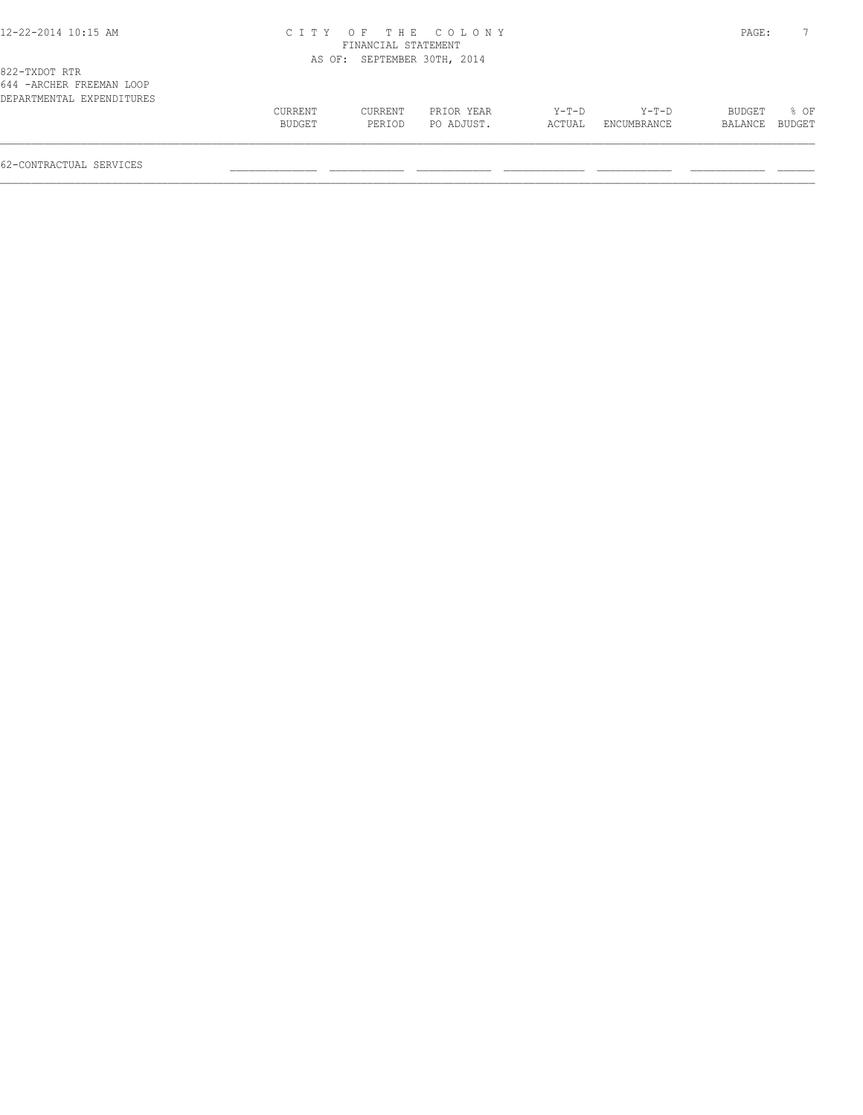#### 12-22-2014 10:15 AM C I T Y O F T H E C O L O N Y PAGE: 7 FINANCIAL STATEMENT AS OF: SEPTEMBER 30TH, 2014

| CURRENT | CURRENT | PRIOR YEAR | Y-T-D  | $Y-T-D$     | BUDGET         | % OF |
|---------|---------|------------|--------|-------------|----------------|------|
| BUDGET  | PERIOD  | PO ADJUST. | ACTUAL | ENCUMBRANCE | BALANCE BUDGET |      |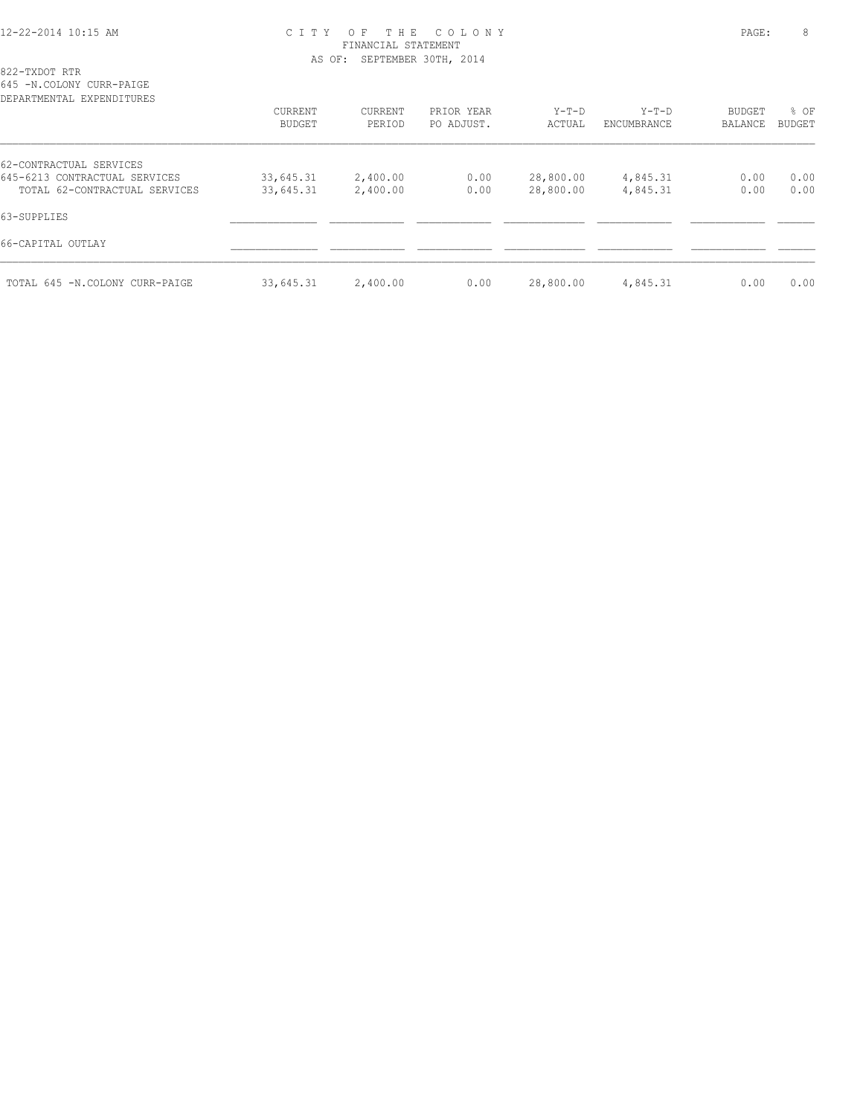#### 12-22-2014 10:15 AM C I T Y O F T H E C O L O N Y PAGE: 8 FINANCIAL STATEMENT AS OF: SEPTEMBER 30TH, 2014

822-TXDOT RTR

645 -N.COLONY CURR-PAIGE

| DEPARTMENTAL EXPENDITURES      |               |          |            |           |             |               |        |
|--------------------------------|---------------|----------|------------|-----------|-------------|---------------|--------|
|                                | CURRENT       | CURRENT  | PRIOR YEAR | $Y-T-D$   | $Y-T-D$     | <b>BUDGET</b> | % OF   |
|                                | <b>BUDGET</b> | PERIOD   | PO ADJUST. | ACTUAL    | ENCUMBRANCE | BALANCE       | BUDGET |
| 62-CONTRACTUAL SERVICES        |               |          |            |           |             |               |        |
| 645-6213 CONTRACTUAL SERVICES  | 33,645.31     | 2,400.00 | 0.00       | 28,800.00 | 4,845.31    | 0.00          | 0.00   |
| TOTAL 62-CONTRACTUAL SERVICES  | 33,645.31     | 2,400.00 | 0.00       | 28,800.00 | 4,845.31    | 0.00          | 0.00   |
| 63-SUPPLIES                    |               |          |            |           |             |               |        |
| 66-CAPITAL OUTLAY              |               |          |            |           |             |               |        |
| TOTAL 645 -N.COLONY CURR-PAIGE | 33,645.31     | 2,400.00 | 0.00       | 28,800.00 | 4,845.31    | 0.00          | 0.00   |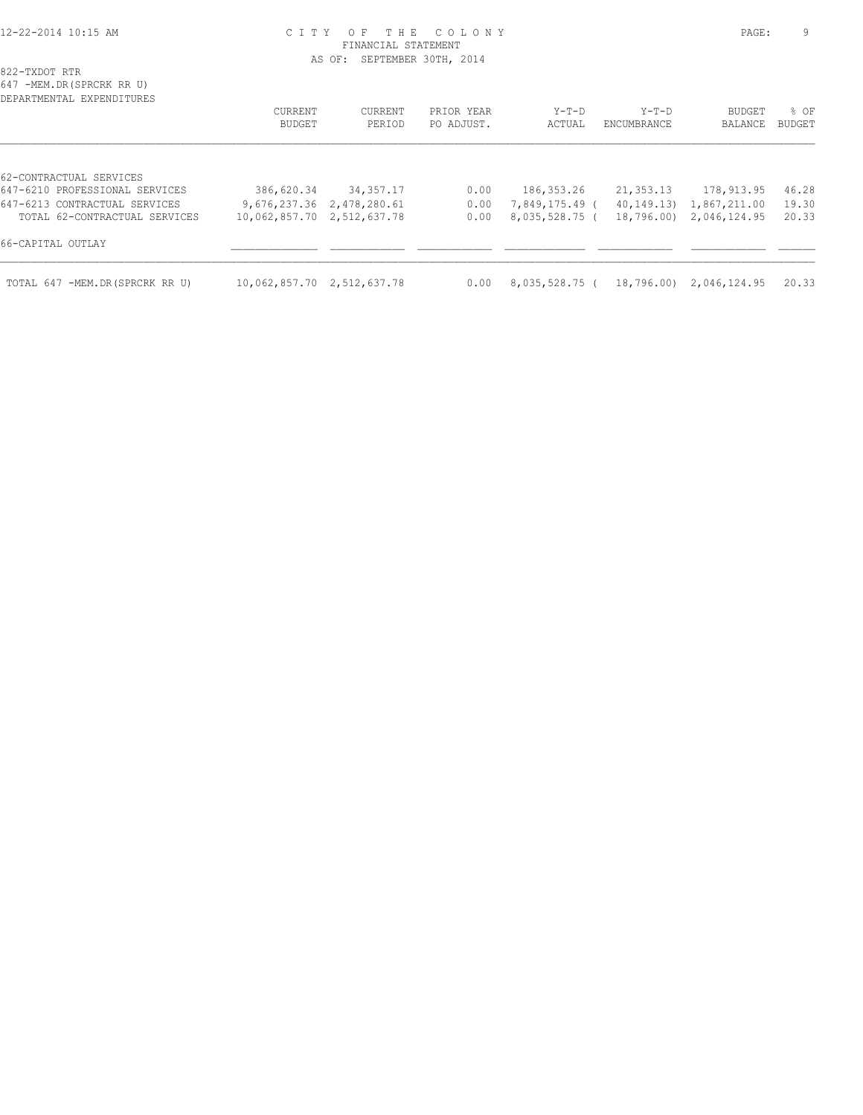#### 12-22-2014 10:15 AM C I T Y O F T H E C O L O N Y PAGE: 9 FINANCIAL STATEMENT AS OF: SEPTEMBER 30TH, 2014

822-TXDOT RTR

647 -MEM.DR(SPRCRK RR U) DEPARTMENTAL EXPENDITURES CURRENT CURRENT PRIOR YEAR Y-T-D Y-T-D BUDGET % OF BUDGET PERIOD PO ADJUST. ACTUAL ENCUMBRANCE BALANCE BUDGET  $\mathcal{L} = \{ \mathcal{L} = \{ \mathcal{L} = \{ \mathcal{L} = \{ \mathcal{L} = \{ \mathcal{L} = \{ \mathcal{L} = \{ \mathcal{L} = \{ \mathcal{L} = \{ \mathcal{L} = \{ \mathcal{L} = \{ \mathcal{L} = \{ \mathcal{L} = \{ \mathcal{L} = \{ \mathcal{L} = \{ \mathcal{L} = \{ \mathcal{L} = \{ \mathcal{L} = \{ \mathcal{L} = \{ \mathcal{L} = \{ \mathcal{L} = \{ \mathcal{L} = \{ \mathcal{L} = \{ \mathcal{L} = \{ \mathcal{$ 62-CONTRACTUAL SERVICES<br>647-6210 PROFESSIONAL SERVICES 386,620.34 34,357.17 0.00 186,353.26 21,353.13 178,913.95 46.28<br>9,676,237.36 2,478,280.61 0.00 7,849,175.49 (40,149.13) 1,867,211.00 19.30<br>10,062,857.70 2,512,637.78 0.00 8,035,528.75 (18,796.00) 2,046,124.95 20.33 647-6213 CONTRACTUAL SERVICES 9,676,237.36 2,478,280.61 0.00 7,849,175.49 ( 40,149.13) 1,867,211.00 19.30  $0.00$  8,035,528.75 ( 18,796.00) 2,046,124.95 20.33 66-CAPITAL OUTLAY \_\_\_\_\_\_\_\_\_\_\_\_\_\_ \_\_\_\_\_\_\_\_\_\_\_\_ \_\_\_\_\_\_\_\_\_\_\_\_ \_\_\_\_\_\_\_\_\_\_\_\_\_ \_\_\_\_\_\_\_\_\_\_\_\_ \_\_\_\_\_\_\_\_\_\_\_\_ \_\_\_\_\_\_  $\mathcal{L} = \{ \mathcal{L} = \{ \mathcal{L} = \{ \mathcal{L} = \{ \mathcal{L} = \{ \mathcal{L} = \{ \mathcal{L} = \{ \mathcal{L} = \{ \mathcal{L} = \{ \mathcal{L} = \{ \mathcal{L} = \{ \mathcal{L} = \{ \mathcal{L} = \{ \mathcal{L} = \{ \mathcal{L} = \{ \mathcal{L} = \{ \mathcal{L} = \{ \mathcal{L} = \{ \mathcal{L} = \{ \mathcal{L} = \{ \mathcal{L} = \{ \mathcal{L} = \{ \mathcal{L} = \{ \mathcal{L} = \{ \mathcal{$ TOTAL 647 -MEM.DR(SPRCRK RR U) 10,062,857.70 2,512,637.78 0.00 8,035,528.75 ( 18,796.00) 2,046,124.95 20.33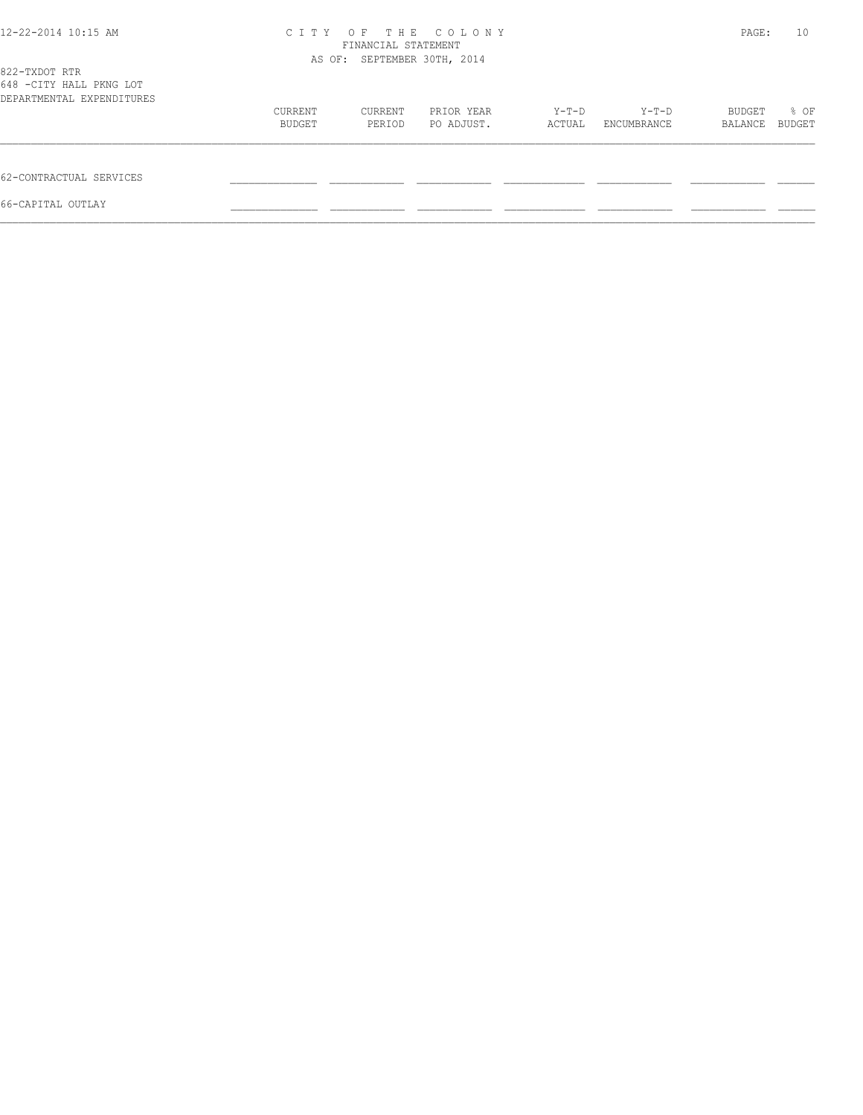| 12-22-2014 10:15 AM                                                   | C I T Y           | T H E<br>OF<br>FINANCIAL STATEMENT | COLONY                   |                 |                      | PAGE:             | 10             |
|-----------------------------------------------------------------------|-------------------|------------------------------------|--------------------------|-----------------|----------------------|-------------------|----------------|
| 822-TXDOT RTR<br>648 -CITY HALL PKNG LOT<br>DEPARTMENTAL EXPENDITURES |                   | AS OF: SEPTEMBER 30TH, 2014        |                          |                 |                      |                   |                |
|                                                                       | CURRENT<br>BUDGET | CURRENT<br>PERIOD                  | PRIOR YEAR<br>PO ADJUST. | Y-T-D<br>ACTUAL | Y-T-D<br>ENCUMBRANCE | BUDGET<br>BALANCE | % OF<br>BUDGET |
| 62-CONTRACTUAL SERVICES                                               |                   |                                    |                          |                 |                      |                   |                |
| 66-CAPITAL OUTLAY                                                     |                   |                                    |                          |                 |                      |                   |                |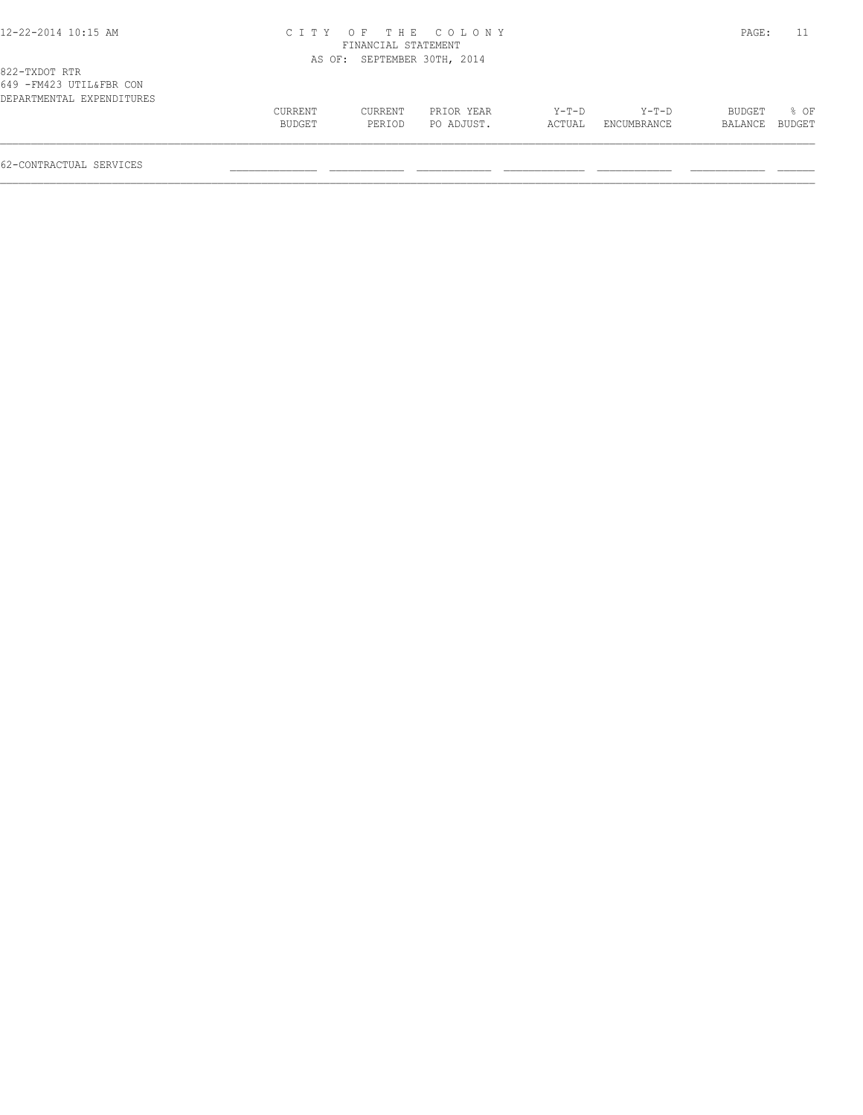#### 12-22-2014 10:15 AM C I T Y O F T H E C O L O N Y PAGE: 11 FINANCIAL STATEMENT AS OF: SEPTEMBER 30TH, 2014

| DEPARTMENTAL EXPENDITURES |         |         |            |        |             |                |      |
|---------------------------|---------|---------|------------|--------|-------------|----------------|------|
|                           | CURRENT | CURRENT | PRIOR YEAR | Y-T-D  | $Y-T-D$     | BUDGET         | 8 OF |
|                           | BUDGET  | PERTOD  | PO ADJUST. | ACTUAL | ENCUMBRANCE | BALANCE BUDGET |      |
|                           |         |         |            |        |             |                |      |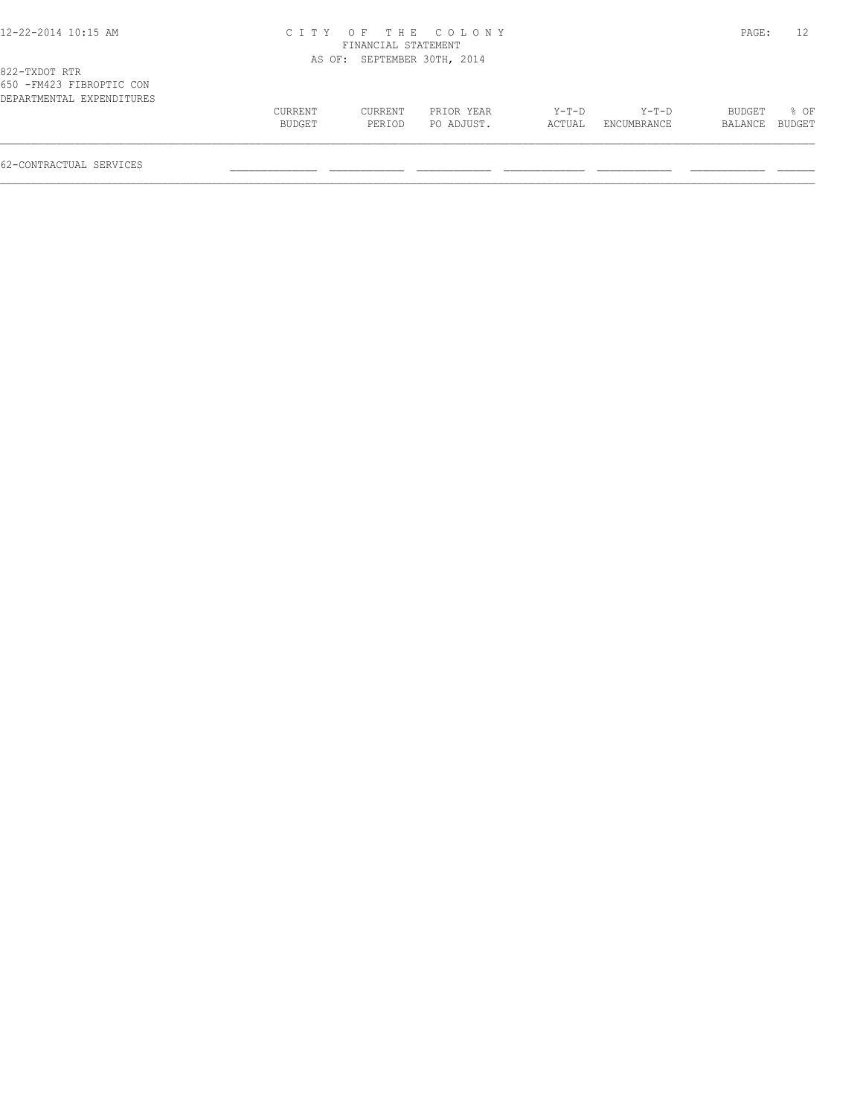#### 12-22-2014 10:15 AM C I T Y O F T H E C O L O N Y PAGE: 12 FINANCIAL STATEMENT AS OF: SEPTEMBER 30TH, 2014

| 650 - FM423 FIBROPTIC CON |         |         |            |        |             |         |        |
|---------------------------|---------|---------|------------|--------|-------------|---------|--------|
| DEPARTMENTAL EXPENDITURES |         |         |            |        |             |         |        |
|                           | CURRENT | CURRENT | PRIOR YEAR | Y-T-D  | $Y-T-D$     | BUDGET  | $8$ OF |
|                           | BUDGET  | PERIOD  | PO ADJUST. | ACTUAL | ENCUMBRANCE | BALANCE | BUDGET |
|                           |         |         |            |        |             |         |        |
|                           |         |         |            |        |             |         |        |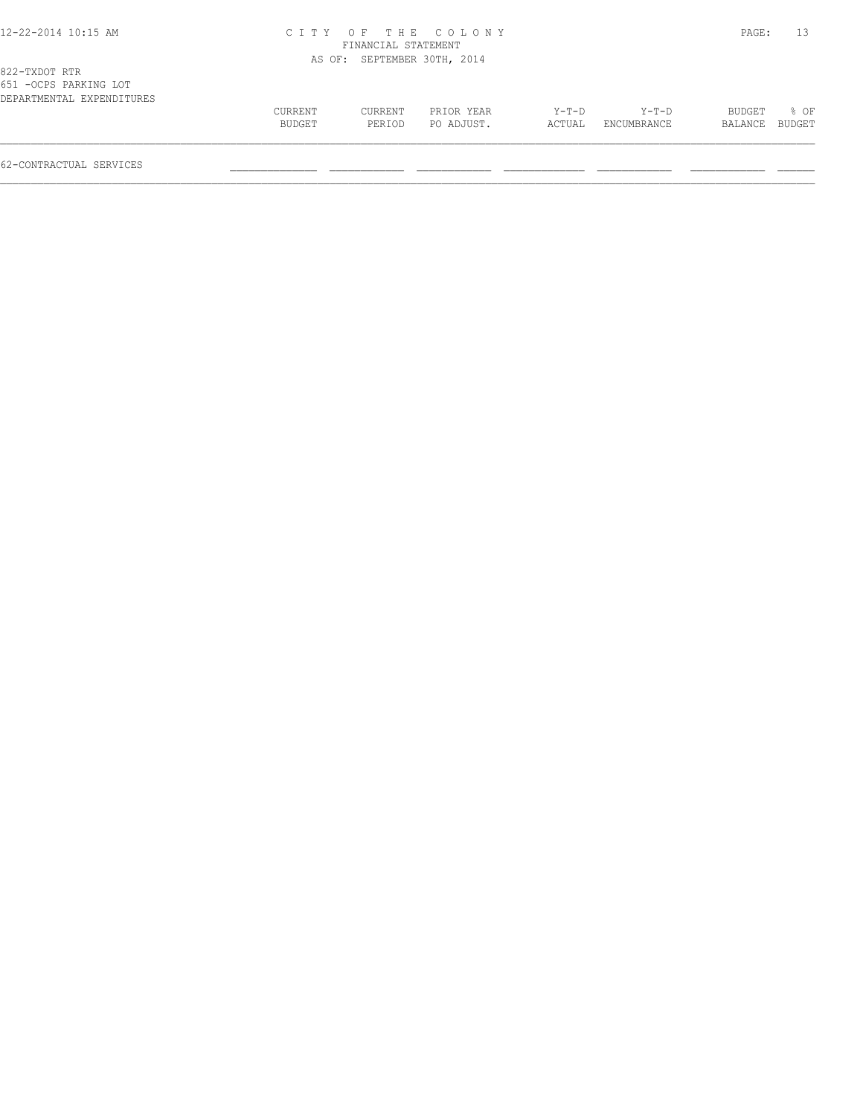#### 12-22-2014 10:15 AM C I T Y O F T H E C O L O N Y PAGE: 13 FINANCIAL STATEMENT AS OF: SEPTEMBER 30TH, 2014

| DEPARTMENTAL EXPENDITURES |         |         |            |         |             |           |        |
|---------------------------|---------|---------|------------|---------|-------------|-----------|--------|
|                           | CURRENT | CURRENT | PRIOR YEAR | $Y-T-D$ | $Y-T-D$     | BUDGET    | % OF   |
|                           | BUDGET  | PERIOD  | PO ADJUST. | ACTUAL  | ENCUMBRANCE | BALANCE . | BUDGET |
|                           |         |         |            |         |             |           |        |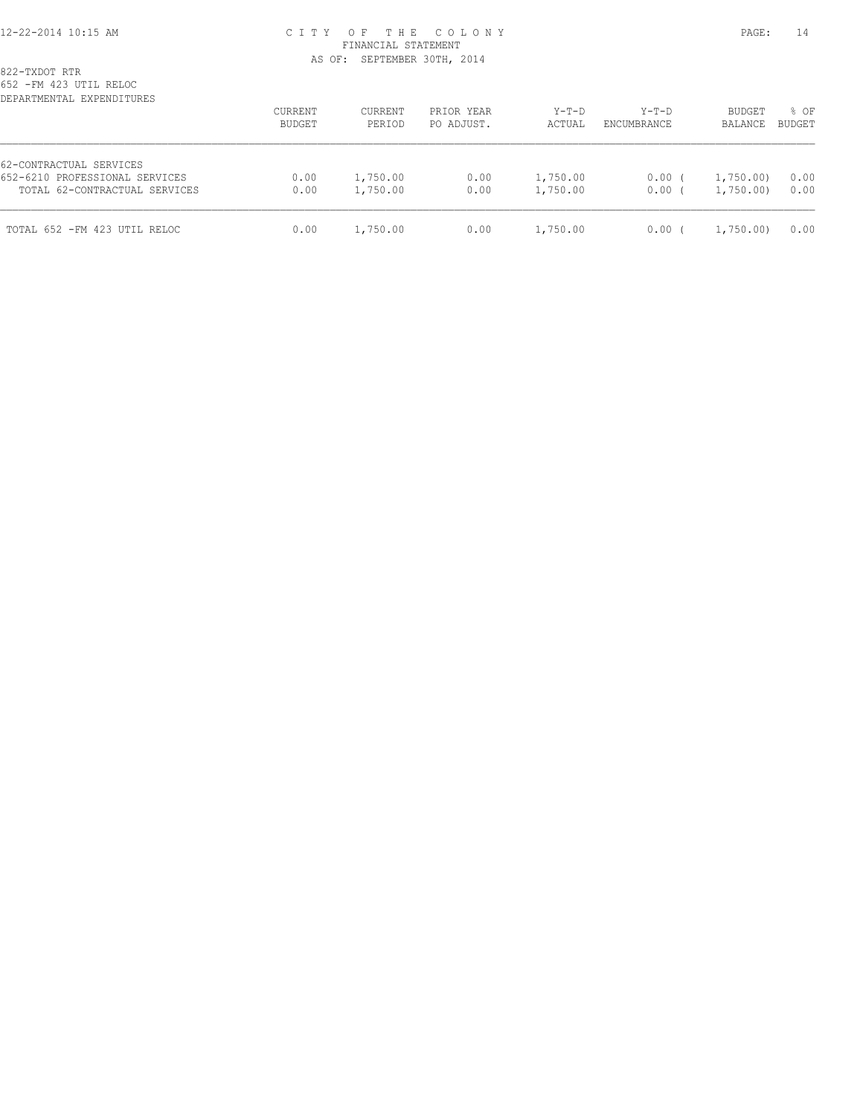#### 12-22-2014 10:15 AM C I T Y O F T H E C O L O N Y PAGE: 14 FINANCIAL STATEMENT AS OF: SEPTEMBER 30TH, 2014

| DEPARTMENTAL EXPENDITURES                                                                  | CURRENT<br>BUDGET | CURRENT<br>PERIOD    | PRIOR YEAR<br>PO ADJUST. | $Y-T-D$<br>ACTUAL    | $Y-T-D$<br>ENCUMBRANCE | BUDGET<br>BALANCE    | % OF<br>BUDGET |
|--------------------------------------------------------------------------------------------|-------------------|----------------------|--------------------------|----------------------|------------------------|----------------------|----------------|
| 62-CONTRACTUAL SERVICES<br>652-6210 PROFESSIONAL SERVICES<br>TOTAL 62-CONTRACTUAL SERVICES | 0.00<br>0.00      | 1,750.00<br>1,750.00 | 0.00<br>0.00             | 1,750.00<br>1,750.00 | $0.00$ (<br>$0.00$ (   | 1,750.00<br>1,750.00 | 0.00<br>0.00   |
| TOTAL 652 -FM 423 UTIL RELOC                                                               | 0.00              | 1,750.00             | 0.00                     | 1,750.00             | $0.00$ (               | 1,750.00)            | 0.00           |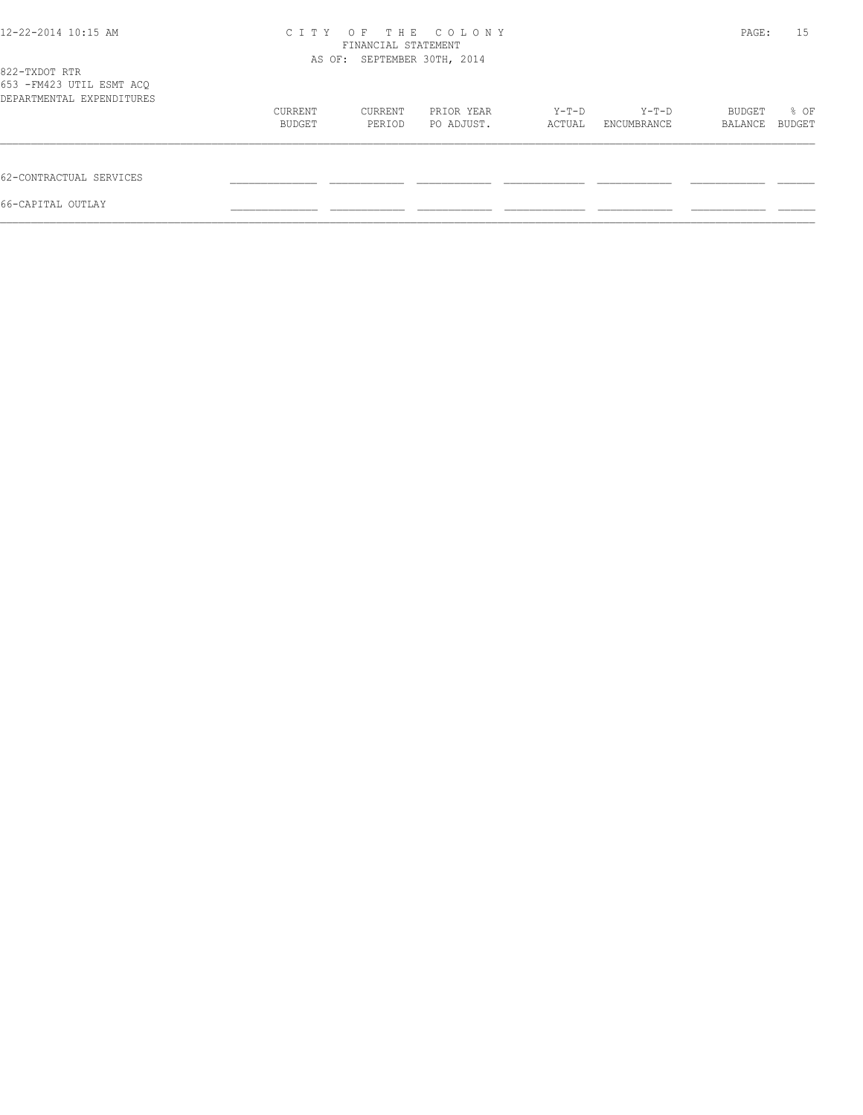| 12-22-2014 10:15 AM                                                     | C T T Y                     | OF<br>THE<br>FINANCIAL STATEMENT | COLONY     |        |             | PAGE:   | 15     |
|-------------------------------------------------------------------------|-----------------------------|----------------------------------|------------|--------|-------------|---------|--------|
|                                                                         | AS OF: SEPTEMBER 30TH, 2014 |                                  |            |        |             |         |        |
| 822-TXDOT RTR<br>653 - FM423 UTIL ESMT ACQ<br>DEPARTMENTAL EXPENDITURES |                             |                                  |            |        |             |         |        |
|                                                                         | CURRENT                     | CURRENT                          | PRIOR YEAR | Y-T-D  | $Y-T-D$     | BUDGET  | % OF   |
|                                                                         | BUDGET                      | PERIOD                           | PO ADJUST. | ACTUAL | ENCUMBRANCE | BALANCE | BUDGET |
| 62-CONTRACTUAL SERVICES                                                 |                             |                                  |            |        |             |         |        |
| 66-CAPITAL OUTLAY                                                       |                             |                                  |            |        |             |         |        |
|                                                                         |                             |                                  |            |        |             |         |        |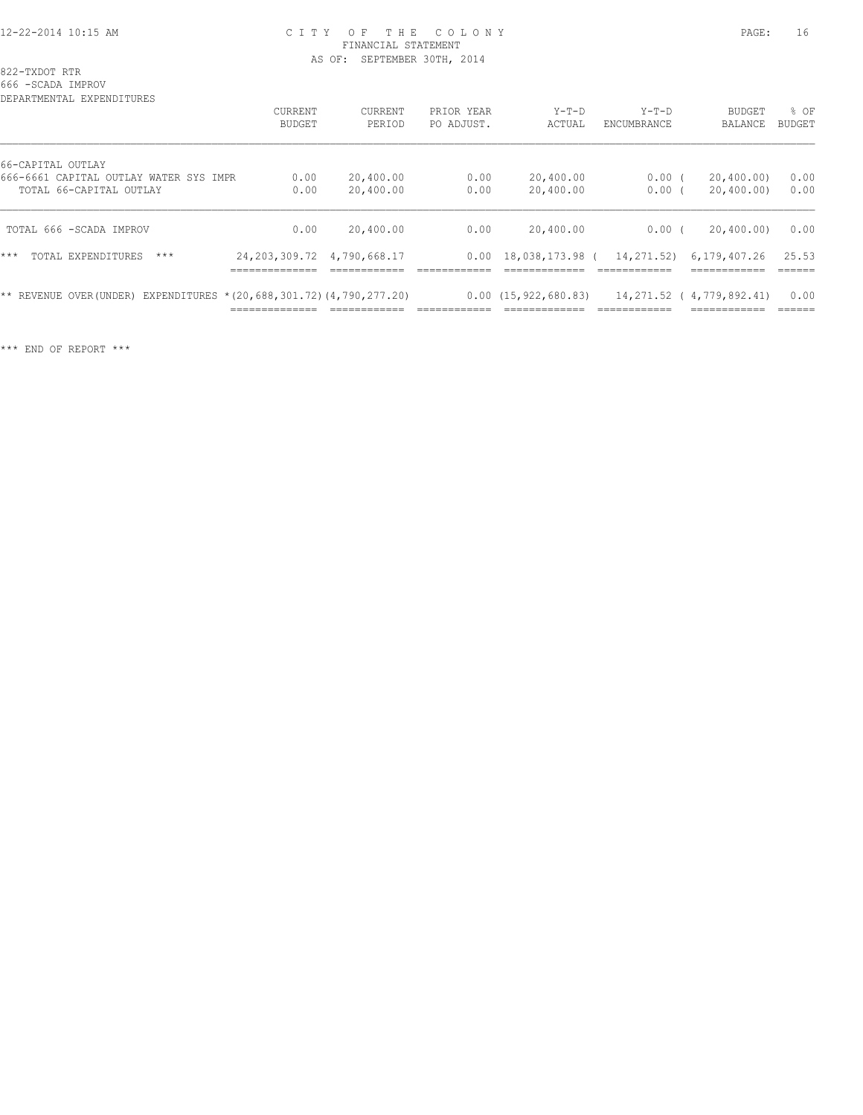#### 12-22-2014 10:15 AM C I T Y O F T H E C O L O N Y PAGE: 16 FINANCIAL STATEMENT AS OF: SEPTEMBER 30TH, 2014

822-TXDOT RTR

666 -SCADA IMPROV

| DEPARTMENTAL EXPENDITURES                                            |                                                                   |                   |                          |                                                      |                                |                                                           |                          |
|----------------------------------------------------------------------|-------------------------------------------------------------------|-------------------|--------------------------|------------------------------------------------------|--------------------------------|-----------------------------------------------------------|--------------------------|
|                                                                      | CURRENT<br><b>BUDGET</b>                                          | CURRENT<br>PERIOD | PRIOR YEAR<br>PO ADJUST. | $Y-T-D$<br>ACTUAL                                    | $Y-T-D$<br>ENCUMBRANCE         | <b>BUDGET</b><br><b>BALANCE</b>                           | % OF<br>BUDGET           |
| 66-CAPITAL OUTLAY<br>666-6661 CAPITAL OUTLAY WATER SYS IMPR          | 0.00                                                              | 20,400.00         | 0.00                     | 20,400.00                                            | $0.00$ (                       | 20,400.00)                                                | 0.00                     |
| TOTAL 66-CAPITAL OUTLAY                                              | 0.00                                                              | 20,400.00         | 0.00                     | 20,400.00                                            | 0.00                           | 20,400.00)                                                | 0.00                     |
| TOTAL 666 -SCADA IMPROV                                              | 0.00                                                              | 20,400.00         | 0.00                     | 20,400.00                                            | 0.00(                          | 20,400,00)                                                | 0.00                     |
| TOTAL EXPENDITURES<br>$***$<br>$***$                                 | 24, 203, 309, 72 4, 790, 668, 17<br>--------------<br>___________ |                   | 0.00                     | 18,038,173.98 (                                      | 14,271.52)                     | 6,179,407.26<br>------------<br>___________               | 25.53<br>------          |
| ** REVENUE OVER(UNDER) EXPENDITURES * (20,688,301.72) (4,790,277.20) | --------------<br>_____________                                   | --------------    |                          | 0.00(15, 922, 680.83)<br>____________<br>___________ | -------------<br>------------- | 14,271.52 (4,779,892.41)<br>____________<br>------------- | 0.00<br>------<br>______ |

\*\*\* END OF REPORT \*\*\*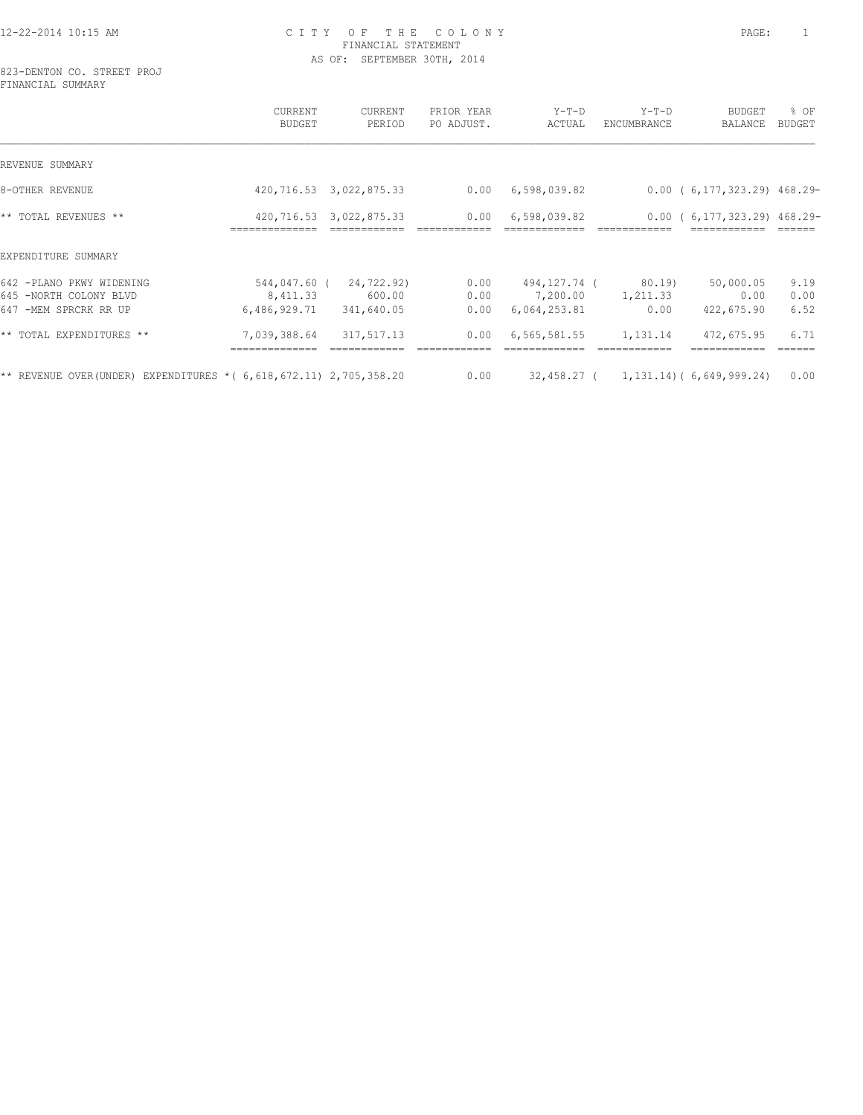#### 12-22-2014 10:15 AM C I T Y O F T H E C O L O N Y PAGE: 1 FINANCIAL STATEMENT AS OF: SEPTEMBER 30TH, 2014

823-DENTON CO. STREET PROJ FINANCIAL SUMMARY

|                                                                             | CURRENT<br><b>BUDGET</b>                 | CURRENT<br>PERIOD                  | PRIOR YEAR<br>PO ADJUST. | $Y-T-D$<br>ACTUAL                        | $Y-T-D$<br>ENCUMBRANCE     | <b>BUDGET</b><br>BALANCE               | % OF<br>BUDGET       |
|-----------------------------------------------------------------------------|------------------------------------------|------------------------------------|--------------------------|------------------------------------------|----------------------------|----------------------------------------|----------------------|
| REVENUE SUMMARY                                                             |                                          |                                    |                          |                                          |                            |                                        |                      |
| 8-OTHER REVENUE                                                             |                                          | 420,716.53 3,022,875.33            | 0.00                     | 6,598,039.82                             |                            | 0.00(6,177,323.29)468.29               |                      |
| ** TOTAL REVENUES **                                                        |                                          | 420,716.53 3,022,875.33            | 0.00                     | 6,598,039.82                             |                            | $0.00$ (6,177,323.29) 468.29-          |                      |
| EXPENDITURE SUMMARY                                                         |                                          |                                    |                          |                                          |                            |                                        |                      |
| 642 -PLANO PKWY WIDENING<br>645 -NORTH COLONY BLVD<br>647 -MEM SPRCRK RR UP | 544,047.60 (<br>8,411.33<br>6,486,929.71 | 24,722.92)<br>600.00<br>341,640.05 | 0.00<br>0.00<br>0.00     | 494,127.74 (<br>7,200.00<br>6,064,253.81 | 80.19)<br>1,211.33<br>0.00 | 50,000.05<br>0.00<br>422,675.90        | 9.19<br>0.00<br>6.52 |
| ** TOTAL EXPENDITURES **                                                    | 7,039,388.64                             | 317,517.13                         | 0.00                     | 6,565,581.55                             | 1,131.14                   | 472,675.95                             | 6.71                 |
| ** REVENUE OVER(UNDER) EXPENDITURES * ( $6,618,672.11$ ) 2,705,358.20       |                                          |                                    | 0.00                     |                                          |                            | $32,458.27$ ( 1,131.14) (6,649,999.24) | 0.00                 |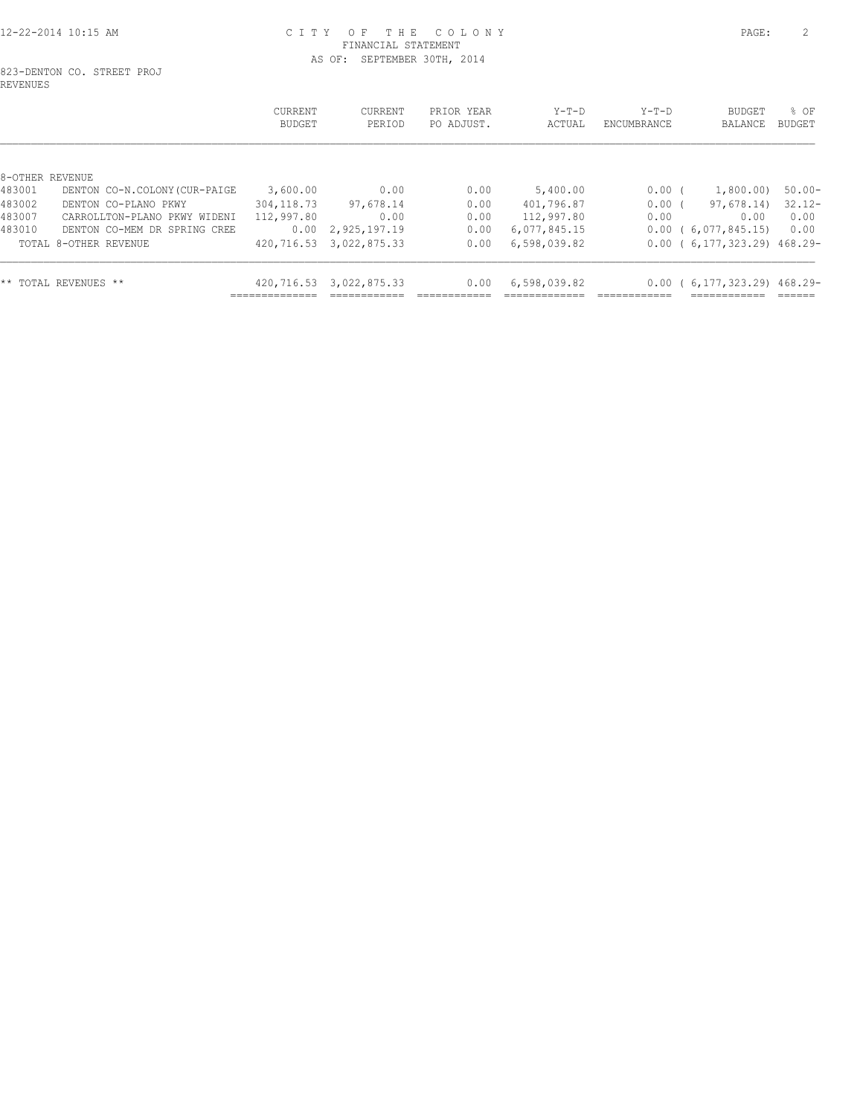#### 12-22-2014 10:15 AM C I T Y O F T H E C O L O N Y PAGE: 2 FINANCIAL STATEMENT AS OF: SEPTEMBER 30TH, 2014

#### 823-DENTON CO. STREET PROJ REVENUES

|                 |                               | CURRENT<br>BUDGET | CURRENT<br>PERIOD | PRIOR YEAR<br>PO ADJUST. | $Y-T-D$<br>ACTUAL | $Y-T-D$<br>ENCUMBRANCE | <b>BUDGET</b><br>BALANCE | $8$ OF<br>BUDGET |
|-----------------|-------------------------------|-------------------|-------------------|--------------------------|-------------------|------------------------|--------------------------|------------------|
| 8-OTHER REVENUE |                               |                   |                   |                          |                   |                        |                          |                  |
| 483001          | DENTON CO-N.COLONY (CUR-PAIGE | 3,600.00          | 0.00              | 0.00                     | 5,400.00          | 0.00(                  | 1,800.00)                | $50.00 -$        |
| 483002          | DENTON CO-PLANO PKWY          | 304, 118.73       | 97,678.14         | 0.00                     | 401,796.87        | 0.00(                  | 97,678.14)               | $32.12 -$        |
| 483007          | CARROLLTON-PLANO PKWY WIDENI  | 112,997.80        | 0.00              | 0.00                     | 112,997.80        | 0.00                   | 0.00                     | 0.00             |
| 483010          | DENTON CO-MEM DR SPRING CREE  | 0.00              | 2,925,197.19      | 0.00                     | 6,077,845.15      | 0.00                   | 6,077,845.15)            | 0.00             |
|                 | TOTAL 8-OTHER REVENUE         | 420,716.53        | 3,022,875.33      | 0.00                     | 6,598,039.82      |                        | 0.00(6,177,323.29)468.29 |                  |
|                 | ** TOTAL REVENUES **          | 420,716.53        | 3,022,875.33      | 0.00                     | 6,598,039.82      | 0.00                   | 6,177,323.29) 468.29-    |                  |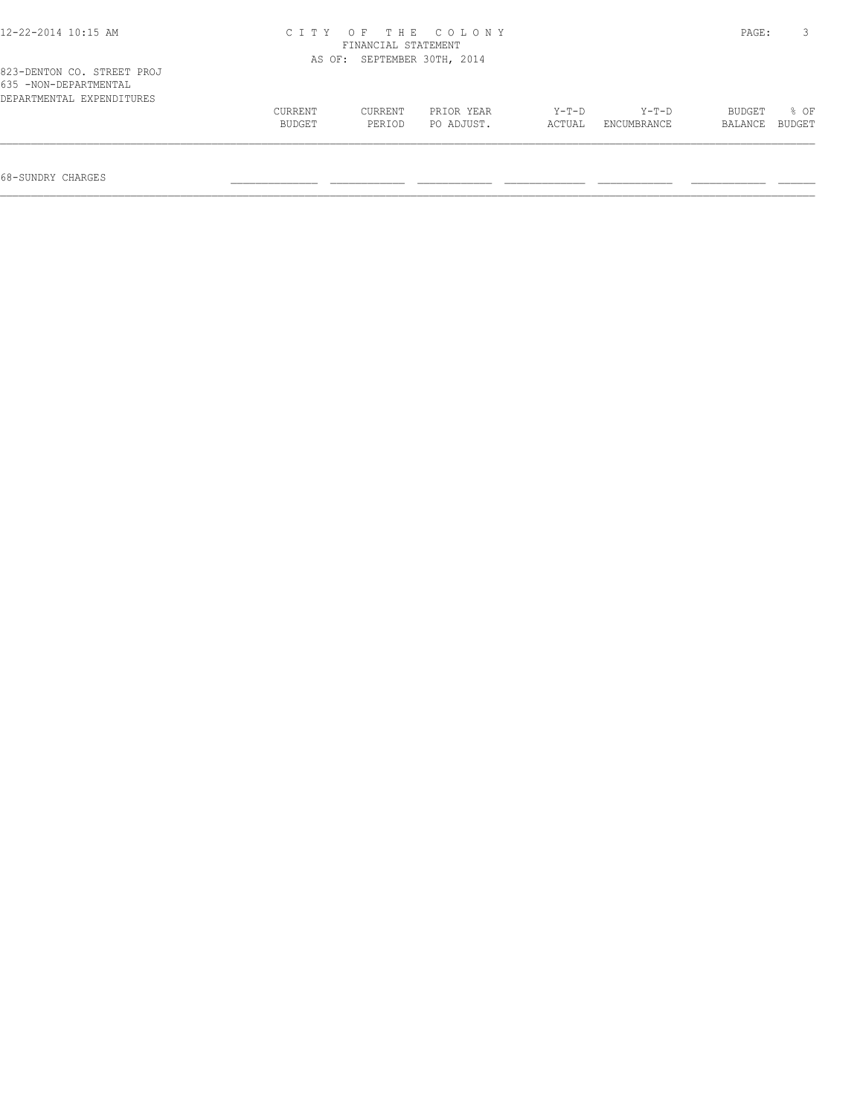| 12-22-2014 10:15 AM<br>CITY OF THE COLONY<br>FINANCIAL STATEMENT                 |         |                             |            |         |             |         |        |
|----------------------------------------------------------------------------------|---------|-----------------------------|------------|---------|-------------|---------|--------|
|                                                                                  |         | AS OF: SEPTEMBER 30TH, 2014 |            |         |             |         |        |
| 823-DENTON CO. STREET PROJ<br>635 -NON-DEPARTMENTAL<br>DEPARTMENTAL EXPENDITURES |         |                             |            |         |             |         |        |
|                                                                                  | CURRENT | CURRENT                     | PRIOR YEAR | $Y-T-D$ | $Y-T-D$     | BUDGET  | 8 OF   |
|                                                                                  | BUDGET  | PERIOD                      | PO ADJUST. | ACTUAL  | ENCUMBRANCE | BALANCE | BUDGET |
|                                                                                  |         |                             |            |         |             |         |        |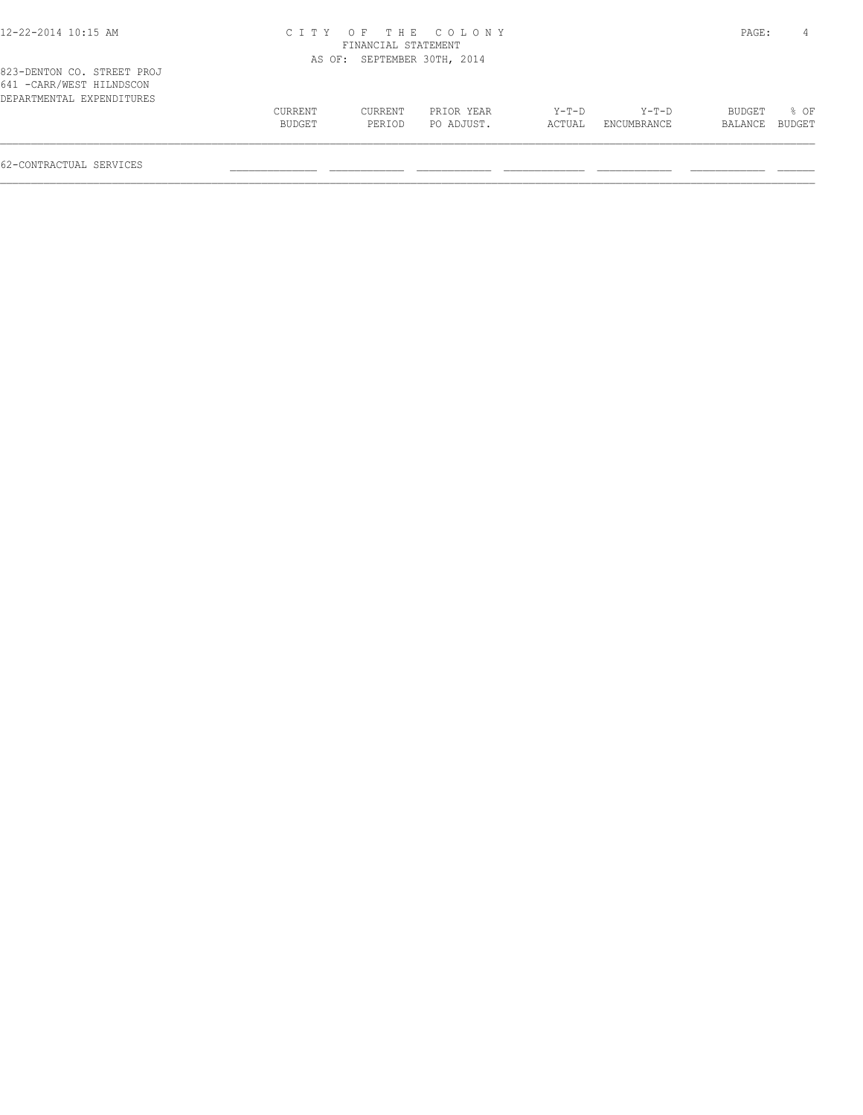| 12-22-2014 10:15 AM                                                                  |                   |                             | CITY OF THE COLONY       |                 |                      | PAGE:             | 4                |
|--------------------------------------------------------------------------------------|-------------------|-----------------------------|--------------------------|-----------------|----------------------|-------------------|------------------|
|                                                                                      |                   | FINANCIAL STATEMENT         |                          |                 |                      |                   |                  |
|                                                                                      |                   | AS OF: SEPTEMBER 30TH, 2014 |                          |                 |                      |                   |                  |
| 823-DENTON CO. STREET PROJ<br>641 - CARR/WEST HILNDSCON<br>DEPARTMENTAL EXPENDITURES |                   |                             |                          |                 |                      |                   |                  |
|                                                                                      | CURRENT<br>BUDGET | CURRENT<br>PERIOD           | PRIOR YEAR<br>PO ADJUST. | Y-T-D<br>ACTUAL | Y-T-D<br>ENCUMBRANCE | BUDGET<br>BALANCE | $8$ OF<br>BUDGET |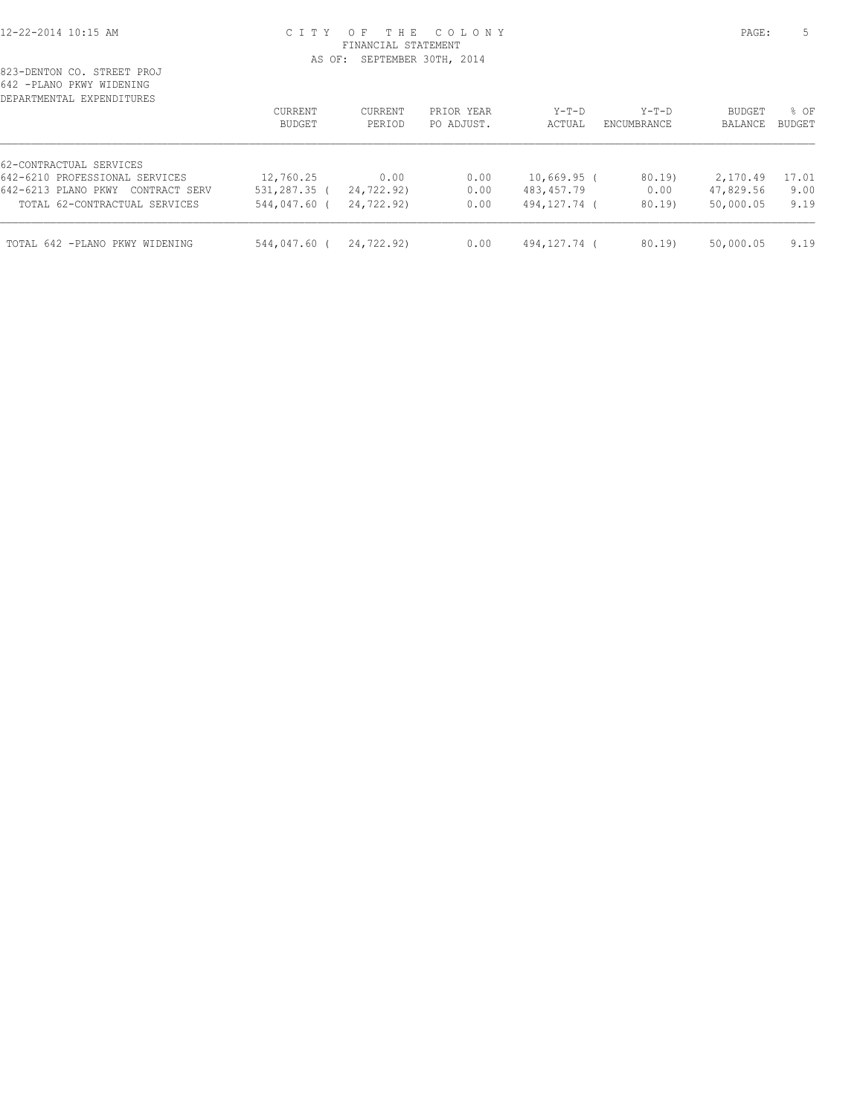#### 12-22-2014 10:15 AM C I T Y O F T H E C O L O N Y PAGE: 5 FINANCIAL STATEMENT AS OF: SEPTEMBER 30TH, 2014

| DEPARTMENTAL EXPENDITURES            | <b>CURRENT</b><br><b>BUDGET</b> | <b>CURRENT</b><br>PERIOD | PRIOR YEAR<br>PO ADJUST. | $Y-T-D$<br>ACTUAL | $Y-T-D$<br>ENCUMBRANCE | <b>BUDGET</b><br>BALANCE | % OF<br><b>BUDGET</b> |
|--------------------------------------|---------------------------------|--------------------------|--------------------------|-------------------|------------------------|--------------------------|-----------------------|
|                                      |                                 |                          |                          |                   |                        |                          |                       |
| 62-CONTRACTUAL SERVICES              |                                 |                          |                          |                   |                        |                          |                       |
| 642-6210 PROFESSIONAL SERVICES       | 12,760.25                       | 0.00                     | 0.00                     | $10,669.95$ (     | 80.19)                 | 2,170.49                 | 17.01                 |
| 642-6213 PLANO PKWY<br>CONTRACT SERV | 531,287.35 (                    | 24,722.92)               | 0.00                     | 483,457.79        | 0.00                   | 47,829.56                | 9.00                  |
| TOTAL 62-CONTRACTUAL SERVICES        | 544,047.60 (                    | 24,722.92)               | 0.00                     | 494,127.74 (      | 80.19                  | 50,000.05                | 9.19                  |
|                                      |                                 |                          | 0.00                     |                   | 80.19)                 |                          | 9.19                  |
| TOTAL 642 -PLANO PKWY WIDENING       | 544,047.60 (                    | 24,722.92)               |                          | 494,127.74 (      |                        | 50,000.05                |                       |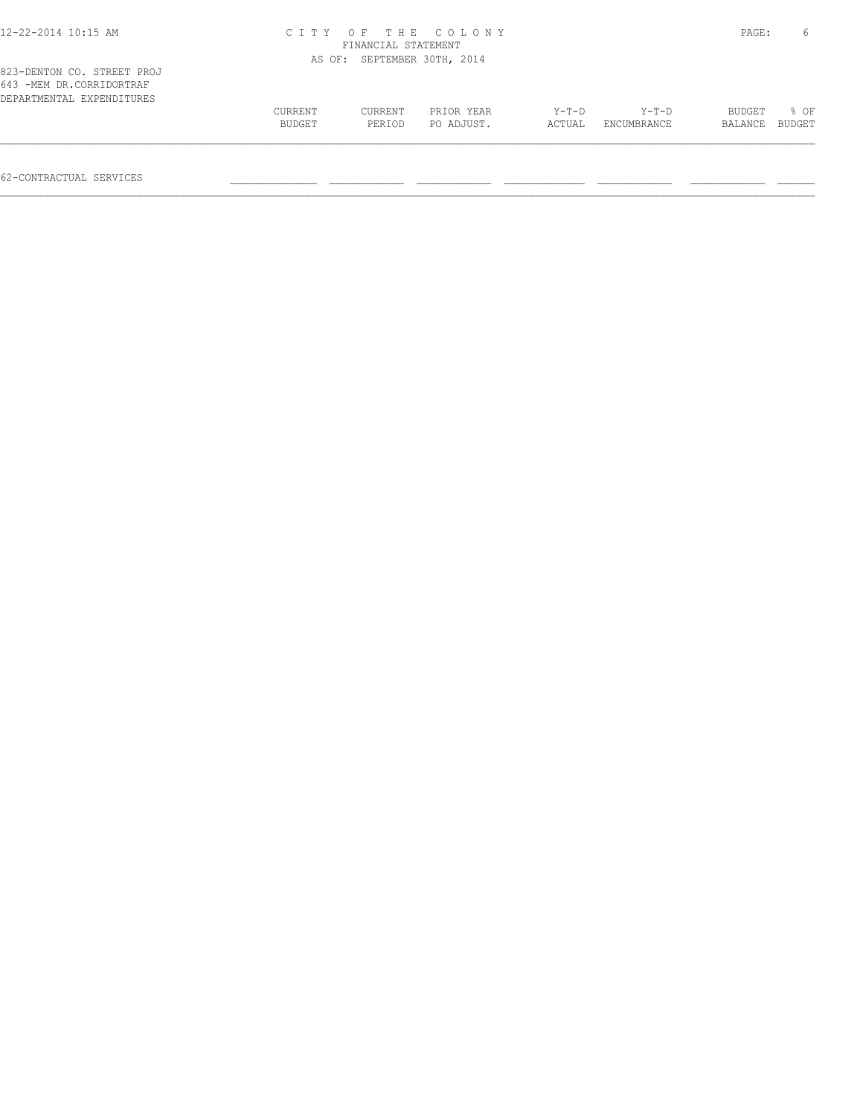| 823-DENTON CO. STREET PROJ<br>643 -MEM DR.CORRIDORTRAF<br>DEPARTMENTAL EXPENDITURES |               |         |            |         |                    |         |        |
|-------------------------------------------------------------------------------------|---------------|---------|------------|---------|--------------------|---------|--------|
|                                                                                     | CURRENT       | CURRENT | PRIOR YEAR | $Y-T-D$ | $Y-T-D$            | BUDGET  | 8 OF   |
|                                                                                     | <b>BUDGET</b> | PERIOD  | PO ADJUST. | ACTUAL  | <b>ENCUMBRANCE</b> | BALANCE | BUDGET |

62-CONTRACTUAL SERVICES \_\_\_\_\_\_\_\_\_\_\_\_\_\_ \_\_\_\_\_\_\_\_\_\_\_\_ \_\_\_\_\_\_\_\_\_\_\_\_ \_\_\_\_\_\_\_\_\_\_\_\_\_ \_\_\_\_\_\_\_\_\_\_\_\_ \_\_\_\_\_\_\_\_\_\_\_\_ \_\_\_\_\_\_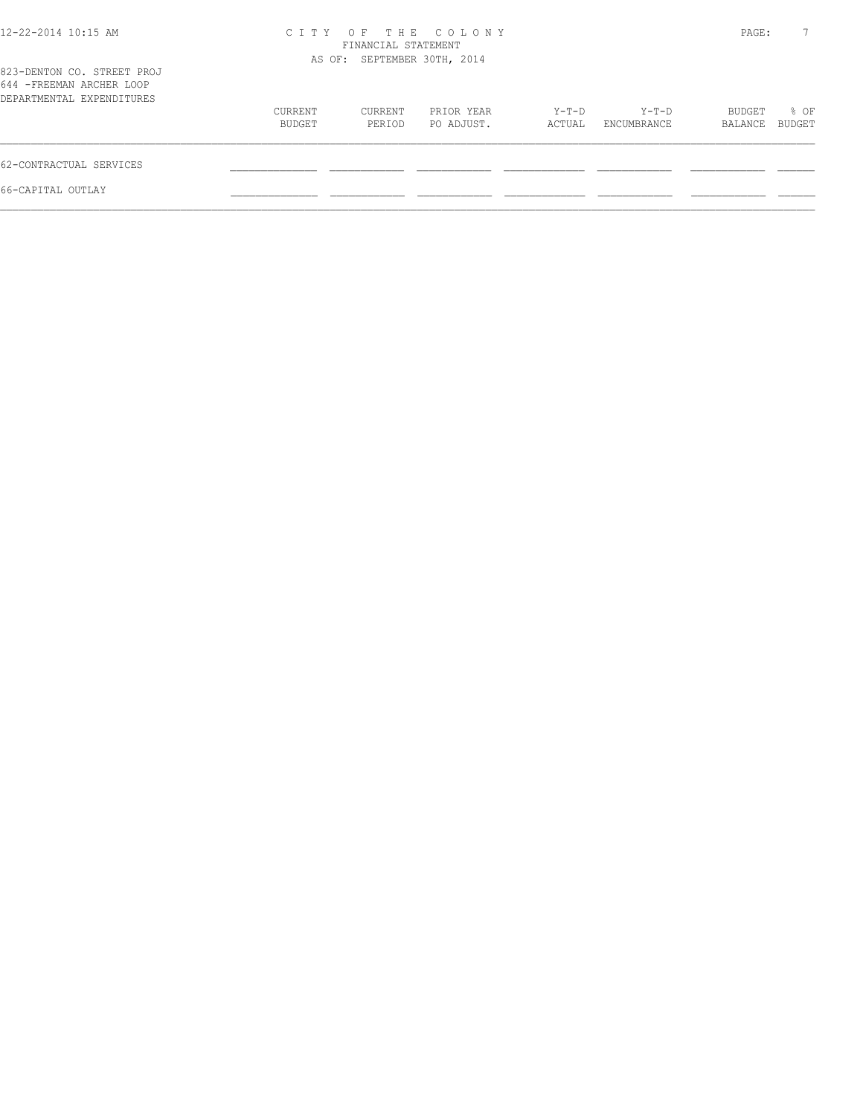| 12-22-2014 10:15 AM                                                                  | C T T Y           | FINANCIAL STATEMENT         | OF THE COLONY            |                 |                      | PAGE:             |                |
|--------------------------------------------------------------------------------------|-------------------|-----------------------------|--------------------------|-----------------|----------------------|-------------------|----------------|
| 823-DENTON CO. STREET PROJ<br>644 - FREEMAN ARCHER LOOP<br>DEPARTMENTAL EXPENDITURES |                   | AS OF: SEPTEMBER 30TH, 2014 |                          |                 |                      |                   |                |
|                                                                                      | CURRENT<br>BUDGET | CURRENT<br>PERIOD           | PRIOR YEAR<br>PO ADJUST. | Y-T-D<br>ACTUAL | Y-T-D<br>ENCUMBRANCE | BUDGET<br>BALANCE | % OF<br>BUDGET |
| 62-CONTRACTUAL SERVICES                                                              |                   |                             |                          |                 |                      |                   |                |
| 66-CAPITAL OUTLAY                                                                    |                   |                             |                          |                 |                      |                   |                |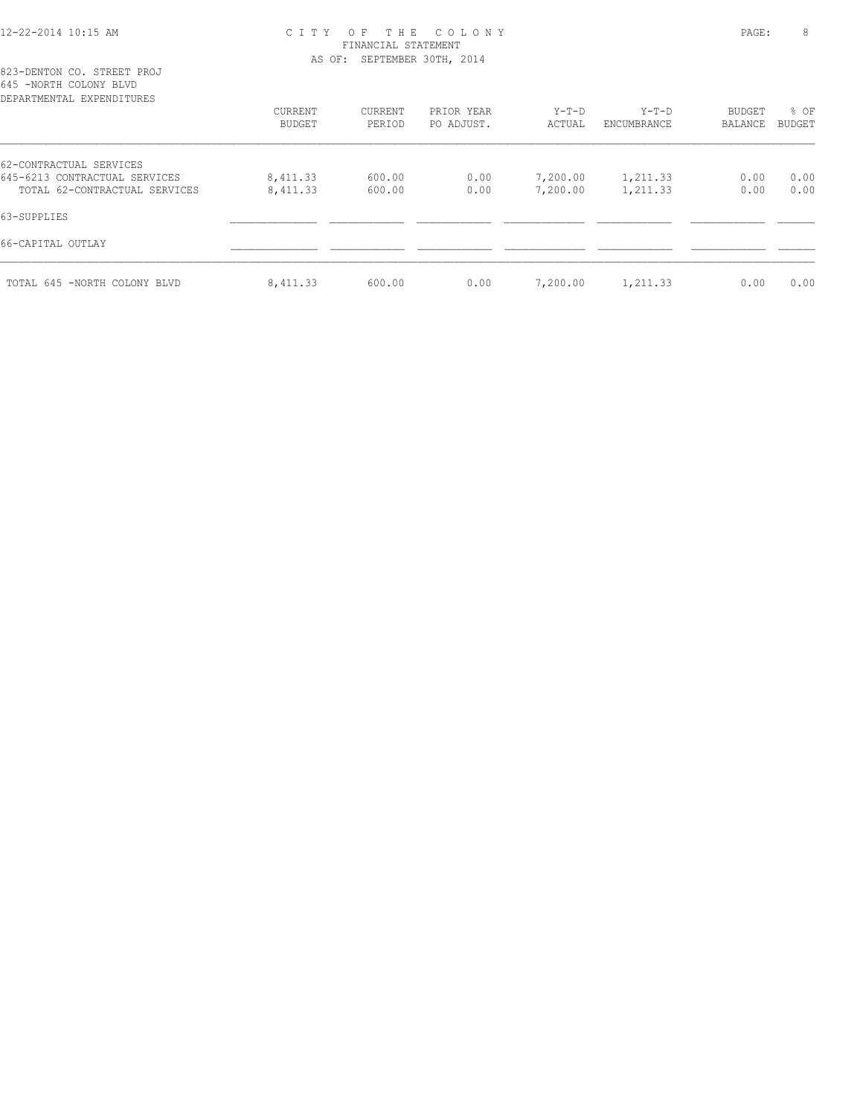## 12-22-2014 10:15 AM C I T Y O F T H E C O L O N Y PAGE: 8 FINANCIAL STATEMENT AS OF: SEPTEMBER 30TH, 2014

823-DENTON CO. STREET PROJ 645 -NORTH COLONY BLVD

| DEPARTMENTAL EXPENDITURES     |                   |                   |                          |                   |                        |                   |                       |
|-------------------------------|-------------------|-------------------|--------------------------|-------------------|------------------------|-------------------|-----------------------|
|                               | CURRENT<br>BUDGET | CURRENT<br>PERIOD | PRIOR YEAR<br>PO ADJUST. | $Y-T-D$<br>ACTUAL | $Y-T-D$<br>ENCUMBRANCE | BUDGET<br>BALANCE | % OF<br><b>BUDGET</b> |
| 62-CONTRACTUAL SERVICES       |                   |                   |                          |                   |                        |                   |                       |
| 645-6213 CONTRACTUAL SERVICES | 8,411.33          | 600.00            | 0.00                     | 7,200.00          | 1,211.33               | 0.00              | 0.00                  |
| TOTAL 62-CONTRACTUAL SERVICES | 8,411.33          | 600.00            | 0.00                     | 7,200.00          | 1,211.33               | 0.00              | 0.00                  |
| 63-SUPPLIES                   |                   |                   |                          |                   |                        |                   |                       |
| 66-CAPITAL OUTLAY             |                   |                   |                          |                   |                        |                   |                       |
| TOTAL 645 -NORTH COLONY BLVD  | 8,411.33          | 600.00            | 0.00                     | 7,200.00          | 1,211.33               | 0.00              | 0.00                  |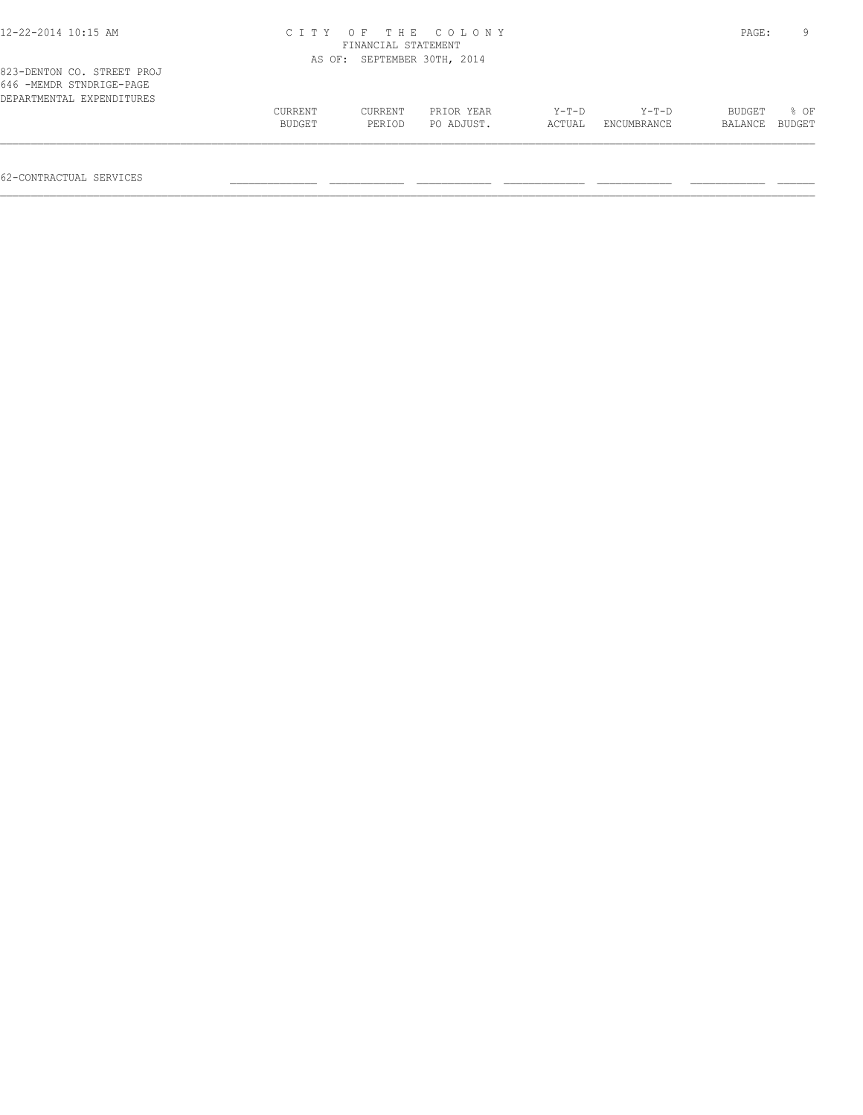| 12-22-2014 10:15 AM                                    |                   | FINANCIAL STATEMENT         | CITY OF THE COLONY       |                   |                        | PAGE:             |                |
|--------------------------------------------------------|-------------------|-----------------------------|--------------------------|-------------------|------------------------|-------------------|----------------|
| 823-DENTON CO. STREET PROJ<br>646 -MEMDR STNDRIGE-PAGE |                   | AS OF: SEPTEMBER 30TH, 2014 |                          |                   |                        |                   |                |
| DEPARTMENTAL EXPENDITURES                              | CURRENT<br>BUDGET | CURRENT<br>PERIOD           | PRIOR YEAR<br>PO ADJUST. | $Y-T-D$<br>ACTUAL | $Y-T-D$<br>ENCUMBRANCE | BUDGET<br>BALANCE | 8 OF<br>BUDGET |

62-CONTRACTUAL SERVICES \_\_\_\_\_\_\_\_\_\_\_\_\_\_ \_\_\_\_\_\_\_\_\_\_\_\_ \_\_\_\_\_\_\_\_\_\_\_\_ \_\_\_\_\_\_\_\_\_\_\_\_\_ \_\_\_\_\_\_\_\_\_\_\_\_ \_\_\_\_\_\_\_\_\_\_\_\_ \_\_\_\_\_\_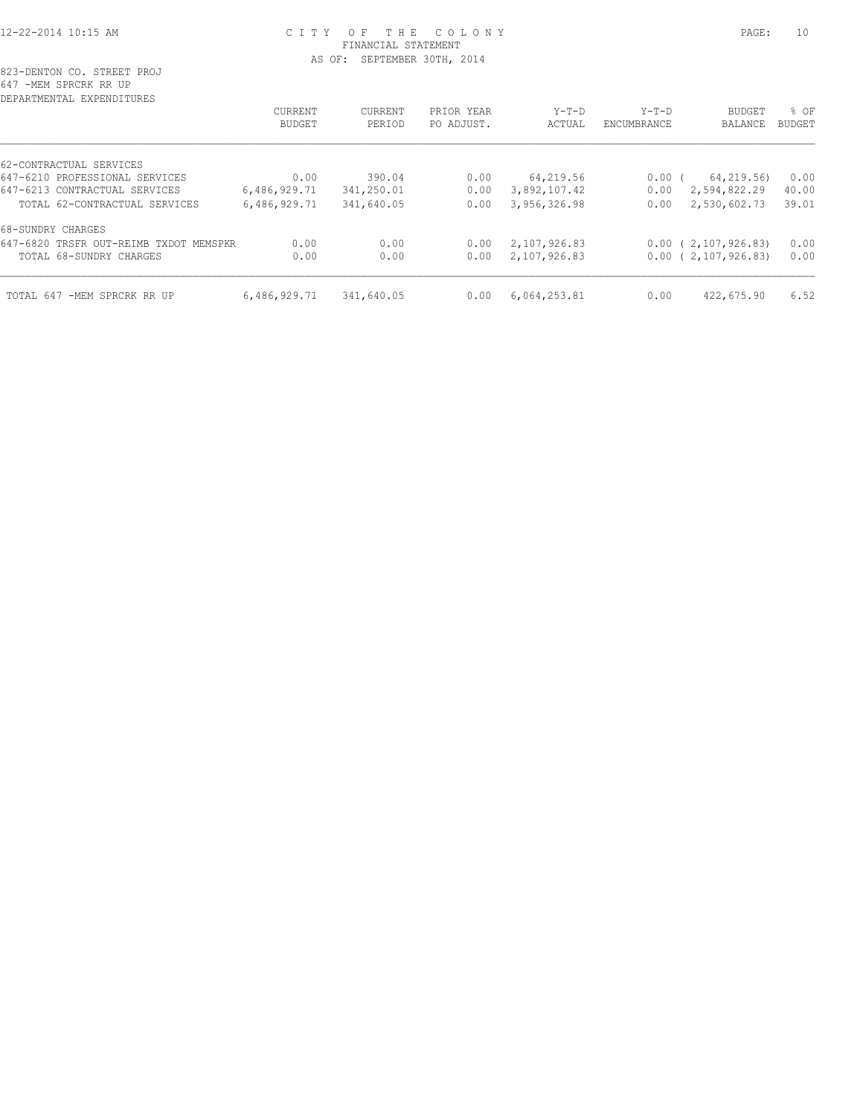# 12-22-2014 10:15 AM C I T Y O F T H E C O L O N Y PAGE: 10 FINANCIAL STATEMENT AS OF: SEPTEMBER 30TH, 2014

| DEPARTMENTAL EXPENDITURES              |              |            |            |              |             |                        |               |
|----------------------------------------|--------------|------------|------------|--------------|-------------|------------------------|---------------|
|                                        | CURRENT      | CURRENT    | PRIOR YEAR | $Y-T-D$      | $Y-T-D$     | <b>BUDGET</b>          | % OF          |
|                                        | BUDGET       | PERIOD     | PO ADJUST. | ACTUAL       | ENCUMBRANCE | BALANCE                | <b>BUDGET</b> |
| 62-CONTRACTUAL SERVICES                |              |            |            |              |             |                        |               |
| 647-6210 PROFESSIONAL SERVICES         | 0.00         | 390.04     | 0.00       | 64,219.56    | $0.00$ (    | 64,219.56)             | 0.00          |
| 647-6213 CONTRACTUAL SERVICES          | 6,486,929.71 | 341,250.01 | 0.00       | 3,892,107.42 | 0.00        | 2,594,822.29           | 40.00         |
| TOTAL 62-CONTRACTUAL SERVICES          | 6,486,929.71 | 341,640.05 | 0.00       | 3,956,326.98 | 0.00        | 2,530,602.73           | 39.01         |
| 68-SUNDRY CHARGES                      |              |            |            |              |             |                        |               |
| 647-6820 TRSFR OUT-REIMB TXDOT MEMSPKR | 0.00         | 0.00       | 0.00       | 2,107,926.83 |             | $0.00$ ( 2,107,926.83) | 0.00          |
| TOTAL 68-SUNDRY CHARGES                | 0.00         | 0.00       | 0.00       | 2,107,926.83 |             | $0.00$ ( 2,107,926.83) | 0.00          |
| TOTAL 647<br>-MEM SPRCRK RR UP         | 6,486,929.71 | 341,640.05 | 0.00       | 6,064,253.81 | 0.00        | 422,675.90             | 6.52          |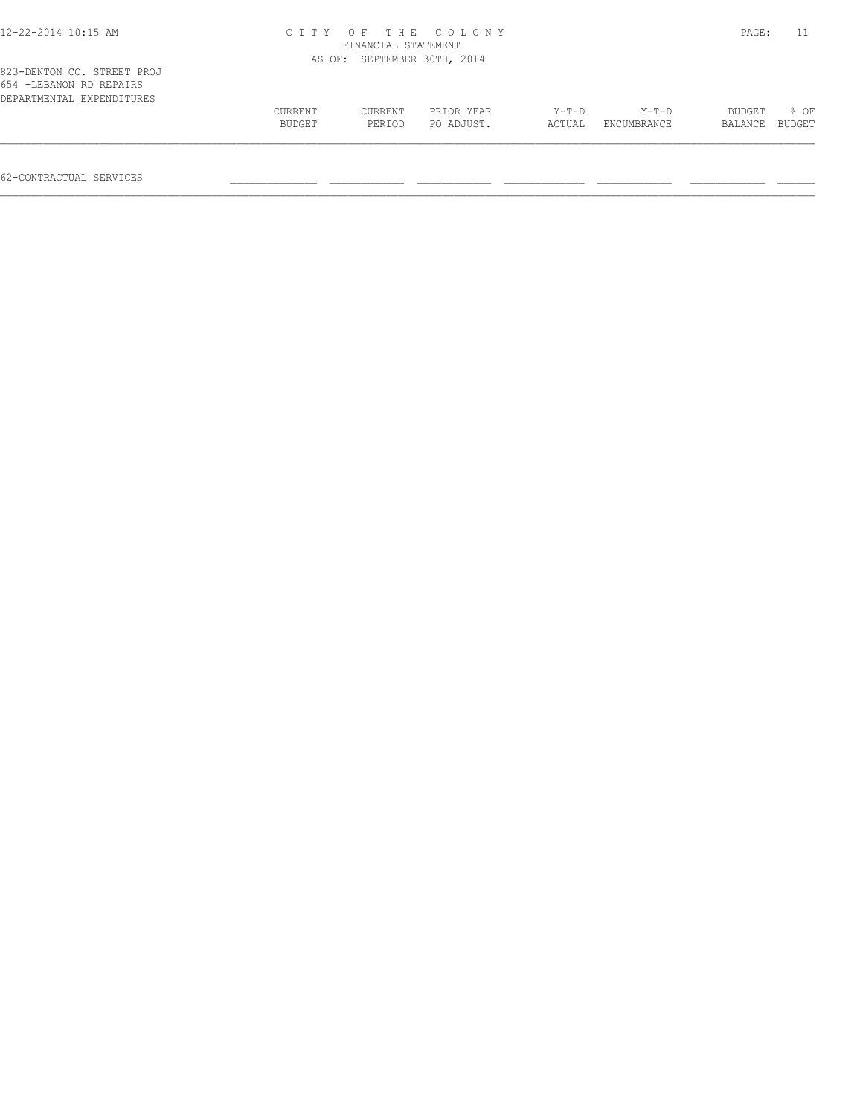| $12 - 22 - 2014$ $10:15$ AM                                                         |                   | FINANCIAL STATEMENT         | CITY OF THE COLONY       |                   |                        | PAGE:             |                |
|-------------------------------------------------------------------------------------|-------------------|-----------------------------|--------------------------|-------------------|------------------------|-------------------|----------------|
|                                                                                     |                   | AS OF: SEPTEMBER 30TH, 2014 |                          |                   |                        |                   |                |
| 823-DENTON CO. STREET PROJ<br>654 - LEBANON RD REPAIRS<br>DEPARTMENTAL EXPENDITURES |                   |                             |                          |                   |                        |                   |                |
|                                                                                     | CURRENT<br>BUDGET | CURRENT<br>PERIOD           | PRIOR YEAR<br>PO ADJUST. | $Y-T-D$<br>ACTUAL | $Y-T-D$<br>ENCUMBRANCE | BUDGET<br>BALANCE | 8 OF<br>BUDGET |
|                                                                                     |                   |                             |                          |                   |                        |                   |                |

62-CONTRACTUAL SERVICES \_\_\_\_\_\_\_\_\_\_\_\_\_\_ \_\_\_\_\_\_\_\_\_\_\_\_ \_\_\_\_\_\_\_\_\_\_\_\_ \_\_\_\_\_\_\_\_\_\_\_\_\_ \_\_\_\_\_\_\_\_\_\_\_\_ \_\_\_\_\_\_\_\_\_\_\_\_ \_\_\_\_\_\_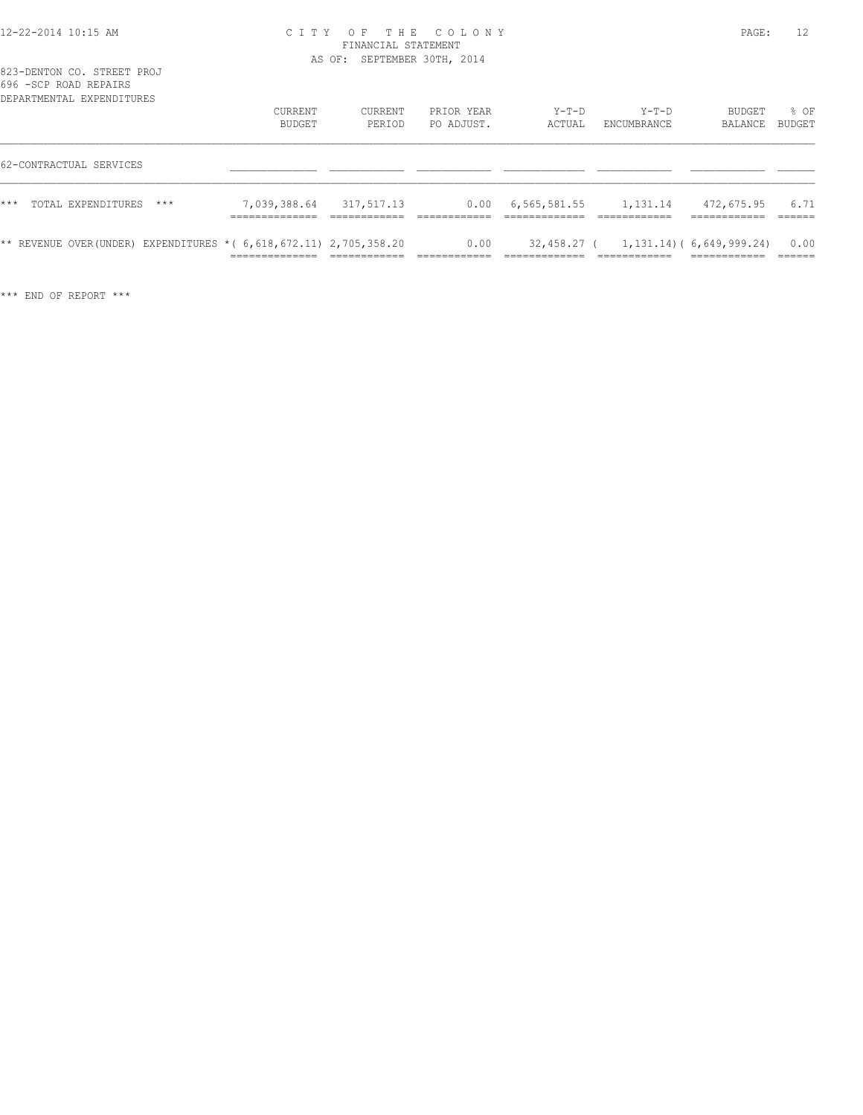#### 12-22-2014 10:15 AM C I T Y O F T H E C O L O N Y PAGE: 12 FINANCIAL STATEMENT AS OF: SEPTEMBER 30TH, 2014

| 823-DENTON CO. STREET PROJ |  |  |  |
|----------------------------|--|--|--|
| 696 - SCP ROAD REPAIRS     |  |  |  |
| DEPARTMENTAL EXPENDITURES  |  |  |  |

|       | הודם המחו שבעה זעיר - מכסו<br>DEPARTMENTAL EXPENDITURES |       |                                                                                                                |                   |                          |                           |                                        |                   |                |
|-------|---------------------------------------------------------|-------|----------------------------------------------------------------------------------------------------------------|-------------------|--------------------------|---------------------------|----------------------------------------|-------------------|----------------|
|       |                                                         |       | CURRENT<br>BUDGET                                                                                              | CURRENT<br>PERIOD | PRIOR YEAR<br>PO ADJUST. | $Y-T-D$<br>ACTUAL         | $Y-T-D$<br>ENCUMBRANCE                 | BUDGET<br>BALANCE | % OF<br>BUDGET |
|       | 62-CONTRACTUAL SERVICES                                 |       |                                                                                                                |                   |                          |                           |                                        |                   |                |
| $***$ | TOTAL EXPENDITURES                                      | $***$ | 7,039,388.64                                                                                                   | 317,517.13        |                          | $0.00 \quad 6,565,581.55$ | 1,131.14                               | 472,675.95        | 6.71           |
|       |                                                         |       | ** REVENUE OVER (UNDER) EXPENDITURES * ( $6,618,672.11$ ) $2,705,358.20$<br>______________<br>________________ |                   | 0.00                     |                           | $32,458,27$ ( 1,131.14) (6,649,999.24) | -------------     | 0.00           |

\*\*\* END OF REPORT \*\*\*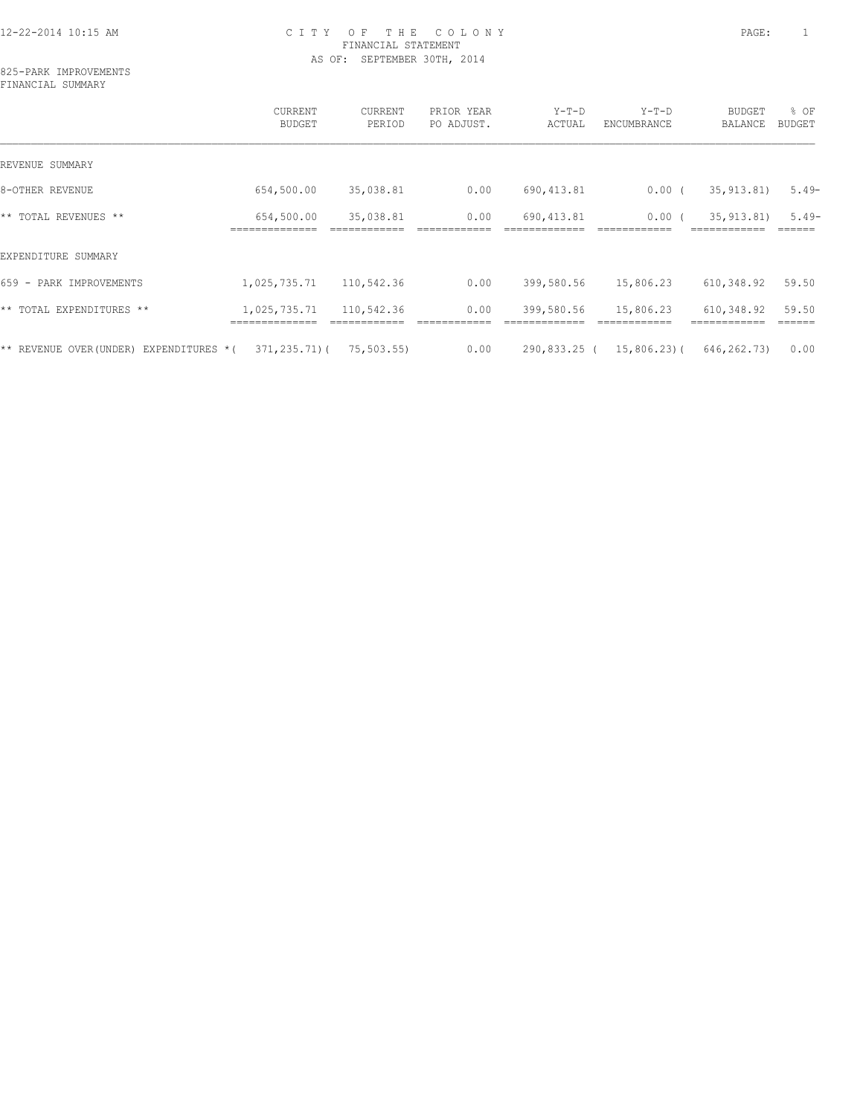# 12-22-2014 10:15 AM C I T Y O F T H E C O L O N Y PAGE: 1 FINANCIAL STATEMENT AS OF: SEPTEMBER 30TH, 2014

825-PARK IMPROVEMENTS FINANCIAL SUMMARY

|                                            | CURRENT<br>BUDGET | CURRENT<br>PERIOD | PRIOR YEAR<br>PO ADJUST. | $Y-T-D$<br>ACTUAL | $Y-T-D$<br>ENCUMBRANCE | <b>BUDGET</b><br>BALANCE | % OF<br>BUDGET |
|--------------------------------------------|-------------------|-------------------|--------------------------|-------------------|------------------------|--------------------------|----------------|
| REVENUE SUMMARY                            |                   |                   |                          |                   |                        |                          |                |
| 8-OTHER REVENUE                            | 654,500.00        | 35,038.81         | 0.00                     | 690, 413.81       | $0.00$ (               | 35, 913.81)              | $5.49-$        |
| ** TOTAL REVENUES **                       | 654,500.00        | 35,038.81         | 0.00                     | 690, 413.81       | 0.00                   | 35, 913.81)              | $5.49-$        |
| EXPENDITURE SUMMARY                        |                   |                   |                          |                   |                        |                          |                |
| 659 -<br>PARK IMPROVEMENTS                 | 1,025,735.71      | 110,542.36        | 0.00                     | 399,580.56        | 15,806.23              | 610,348.92               | 59.50          |
| ** TOTAL EXPENDITURES **                   | 1,025,735.71      | 110,542.36        | 0.00                     | 399,580.56        | 15,806.23              | 610,348.92               | 59.50          |
| ** REVENUE OVER (UNDER)<br>EXPENDITURES *( | $371, 235, 71)$ ( | 75,503.55)        | 0.00                     | 290,833.25 (      | 15,806.23)(            | 646,262.73)              | 0.00           |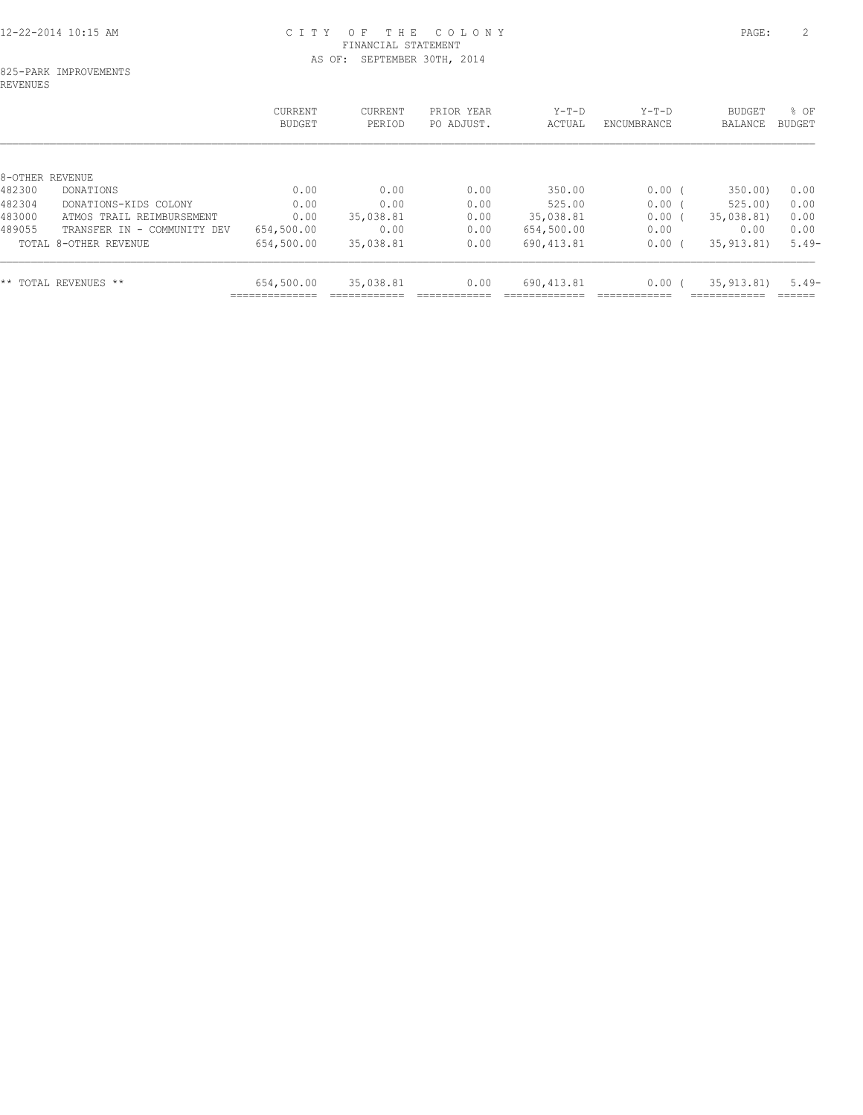# 12-22-2014 10:15 AM C I T Y O F T H E C O L O N Y PAGE: 2 FINANCIAL STATEMENT AS OF: SEPTEMBER 30TH, 2014

#### 825-PARK IMPROVEMENTS REVENUES

|                                       | <b>CURRENT</b><br>BUDGET | CURRENT<br>PERIOD | PRIOR YEAR<br>PO ADJUST. | $Y-T-D$<br>ACTUAL | $Y-T-D$<br>ENCUMBRANCE | BUDGET<br>BALANCE | $8$ OF<br>BUDGET |
|---------------------------------------|--------------------------|-------------------|--------------------------|-------------------|------------------------|-------------------|------------------|
|                                       |                          |                   |                          |                   |                        |                   |                  |
| 8-OTHER REVENUE                       |                          |                   |                          |                   |                        |                   |                  |
| 482300<br>DONATIONS                   | 0.00                     | 0.00              | 0.00                     | 350.00            | $0.00$ (               | 350.00)           | 0.00             |
| 482304<br>DONATIONS-KIDS COLONY       | 0.00                     | 0.00              | 0.00                     | 525.00            | 0.00 <sub>1</sub>      | 525.00            | 0.00             |
| 483000<br>ATMOS TRAIL REIMBURSEMENT   | 0.00                     | 35,038.81         | 0.00                     | 35,038.81         | 0.00 <sub>1</sub>      | 35,038.81)        | 0.00             |
| 489055<br>TRANSFER IN - COMMUNITY DEV | 654,500.00               | 0.00              | 0.00                     | 654,500.00        | 0.00                   | 0.00              | 0.00             |
| TOTAL 8-OTHER REVENUE                 | 654,500.00               | 35,038.81         | 0.00                     | 690, 413.81       | 0.00 <sub>1</sub>      | 35, 913.81)       | $5.49-$          |
| ** TOTAL REVENUES **                  | 654,500.00               | 35,038.81         | 0.00                     | 690, 413.81       | 0.00 <sub>1</sub>      | 35, 913.81)       | $5.49-$          |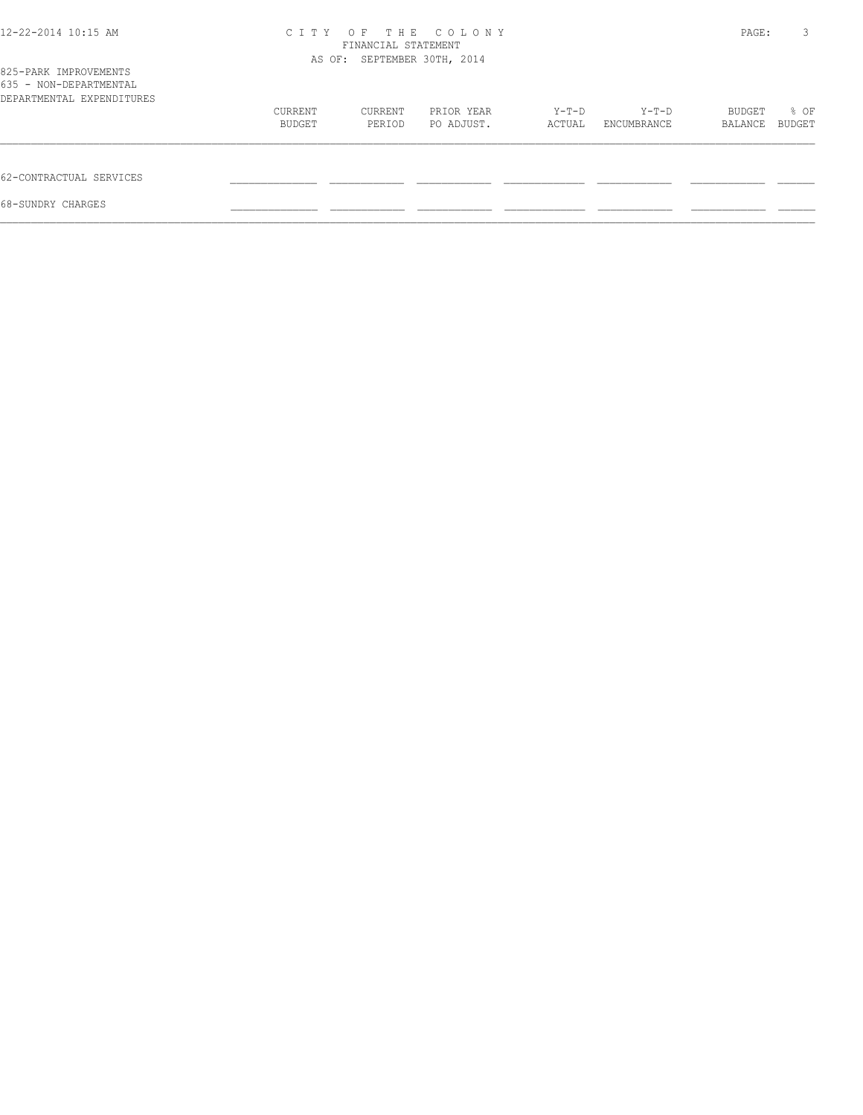| 12-22-2014 10:15 AM                                                          | C I T Y | FINANCIAL STATEMENT<br>AS OF: SEPTEMBER 30TH, 2014 | OF THE COLONY |        |             | PAGE:   | 3      |
|------------------------------------------------------------------------------|---------|----------------------------------------------------|---------------|--------|-------------|---------|--------|
| 825-PARK IMPROVEMENTS<br>635 - NON-DEPARTMENTAL<br>DEPARTMENTAL EXPENDITURES |         |                                                    |               |        |             |         |        |
|                                                                              | CURRENT | CURRENT                                            | PRIOR YEAR    | Y-T-D  | Y-T-D       | BUDGET  | % OF   |
|                                                                              | BUDGET  | PERIOD                                             | PO ADJUST.    | ACTUAL | ENCUMBRANCE | BALANCE | BUDGET |
| 62-CONTRACTUAL SERVICES                                                      |         |                                                    |               |        |             |         |        |
| 68-SUNDRY CHARGES                                                            |         |                                                    |               |        |             |         |        |
|                                                                              |         |                                                    |               |        |             |         |        |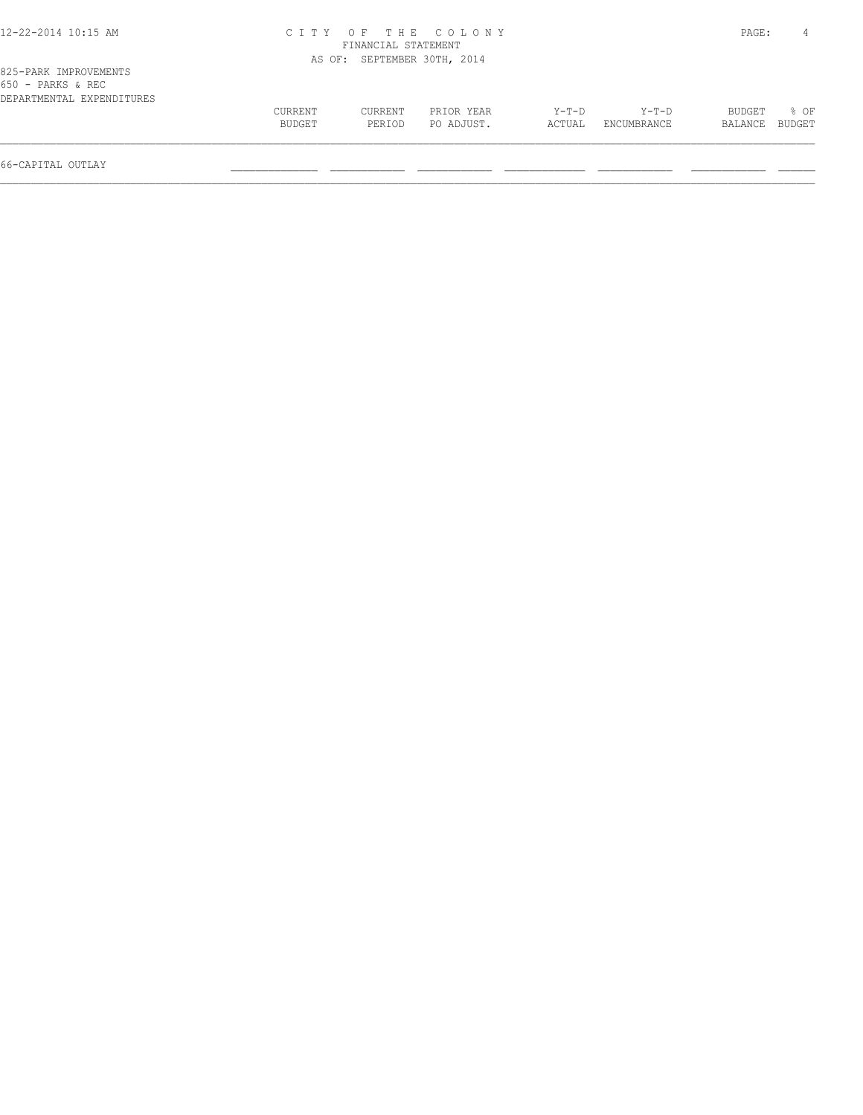| 12-22-2014 10:15 AM |  |  |
|---------------------|--|--|
|---------------------|--|--|

## 12-22-2014 10:15 AM C I T Y O F T H E C O L O N Y PAGE: 4 FINANCIAL STATEMENT AS OF: SEPTEMBER 30TH, 2014

| 650 - PARKS & REC         |         |         |            |        |             |                |  |
|---------------------------|---------|---------|------------|--------|-------------|----------------|--|
| DEPARTMENTAL EXPENDITURES |         |         |            |        |             |                |  |
|                           | CURRENT | CURRENT | PRIOR YEAR | Y-T-D  | Y-T-D       | BUDGET % OF    |  |
|                           | BUDGET  | PERTOD  | PO ADJUST. | ACTUAL | ENCUMBRANCE | BALANCE BUDGET |  |
|                           |         |         |            |        |             |                |  |
|                           |         |         |            |        |             |                |  |

66-CAPITAL OUTLAY \_\_\_\_\_\_\_\_\_\_\_\_\_\_ \_\_\_\_\_\_\_\_\_\_\_\_ \_\_\_\_\_\_\_\_\_\_\_\_ \_\_\_\_\_\_\_\_\_\_\_\_\_ \_\_\_\_\_\_\_\_\_\_\_\_ \_\_\_\_\_\_\_\_\_\_\_\_ \_\_\_\_\_\_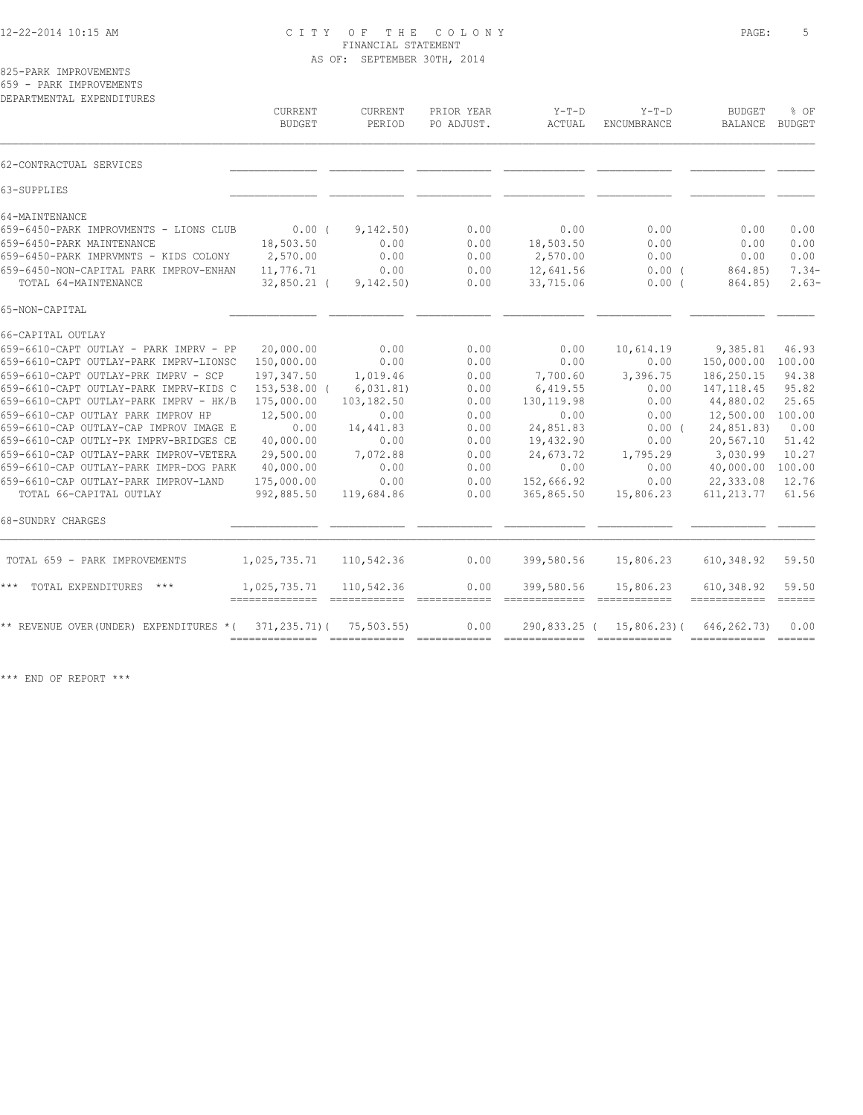## 12-22-2014 10:15 AM C I T Y O F T H E C O L O N Y PAGE: 5 FINANCIAL STATEMENT AS OF: SEPTEMBER 30TH, 2014

825-PARK IMPROVEMENTS 659 - PARK IMPROVEMENTS

| DEPARTMENTAL EXPENDITURES                                                                                                                                                                                                                                                                                                                                                                                                                                                                                                               | <b>CURRENT</b><br><b>BUDGET</b>                                                                                                                             | <b>CURRENT</b><br>PERIOD                                                                                                   | PRIOR YEAR<br>PO ADJUST.                                                                     | $Y-T-D$<br>ACTUAL                                                                                                                      | $Y-T-D$<br>ENCUMBRANCE                                                                                             | <b>BUDGET</b><br>BALANCE                                                                                                                                      | % OF<br>BUDGET                                                                                                                                                                                                                                                                                                                                                                                                                                                                                          |
|-----------------------------------------------------------------------------------------------------------------------------------------------------------------------------------------------------------------------------------------------------------------------------------------------------------------------------------------------------------------------------------------------------------------------------------------------------------------------------------------------------------------------------------------|-------------------------------------------------------------------------------------------------------------------------------------------------------------|----------------------------------------------------------------------------------------------------------------------------|----------------------------------------------------------------------------------------------|----------------------------------------------------------------------------------------------------------------------------------------|--------------------------------------------------------------------------------------------------------------------|---------------------------------------------------------------------------------------------------------------------------------------------------------------|---------------------------------------------------------------------------------------------------------------------------------------------------------------------------------------------------------------------------------------------------------------------------------------------------------------------------------------------------------------------------------------------------------------------------------------------------------------------------------------------------------|
| 62-CONTRACTUAL SERVICES                                                                                                                                                                                                                                                                                                                                                                                                                                                                                                                 |                                                                                                                                                             |                                                                                                                            |                                                                                              |                                                                                                                                        |                                                                                                                    |                                                                                                                                                               |                                                                                                                                                                                                                                                                                                                                                                                                                                                                                                         |
| 63-SUPPLIES                                                                                                                                                                                                                                                                                                                                                                                                                                                                                                                             |                                                                                                                                                             |                                                                                                                            |                                                                                              |                                                                                                                                        |                                                                                                                    |                                                                                                                                                               |                                                                                                                                                                                                                                                                                                                                                                                                                                                                                                         |
| 64-MAINTENANCE<br>659-6450-PARK IMPROVMENTS - LIONS CLUB<br>659-6450-PARK MAINTENANCE<br>659-6450-PARK IMPRVMNTS - KIDS COLONY<br>659-6450-NON-CAPITAL PARK IMPROV-ENHAN<br>TOTAL 64-MAINTENANCE                                                                                                                                                                                                                                                                                                                                        | 0.00(<br>18,503.50<br>2,570.00<br>11,776.71<br>$32,850.21$ (                                                                                                | 9,142.50)<br>0.00<br>0.00<br>0.00<br>9,142.50)                                                                             | 0.00<br>0.00<br>0.00<br>0.00<br>0.00                                                         | 0.00<br>18,503.50<br>2,570.00<br>12,641.56<br>33,715.06                                                                                | 0.00<br>0.00<br>0.00<br>$0.00$ (<br>$0.00$ (                                                                       | 0.00<br>0.00<br>0.00<br>864.85)<br>864.85)                                                                                                                    | 0.00<br>0.00<br>0.00<br>$7.34-$<br>$2.63-$                                                                                                                                                                                                                                                                                                                                                                                                                                                              |
| 65-NON-CAPITAL                                                                                                                                                                                                                                                                                                                                                                                                                                                                                                                          |                                                                                                                                                             |                                                                                                                            |                                                                                              |                                                                                                                                        |                                                                                                                    |                                                                                                                                                               |                                                                                                                                                                                                                                                                                                                                                                                                                                                                                                         |
| 66-CAPITAL OUTLAY<br>659-6610-CAPT OUTLAY - PARK IMPRV - PP<br>659-6610-CAPT OUTLAY-PARK IMPRV-LIONSC<br>659-6610-CAPT OUTLAY-PRK IMPRV - SCP<br>659-6610-CAPT OUTLAY-PARK IMPRV-KIDS C<br>659-6610-CAPT OUTLAY-PARK IMPRV - HK/B<br>659-6610-CAP OUTLAY PARK IMPROV HP<br>659-6610-CAP OUTLAY-CAP IMPROV IMAGE E<br>659-6610-CAP OUTLY-PK IMPRV-BRIDGES CE<br>659-6610-CAP OUTLAY-PARK IMPROV-VETERA<br>659-6610-CAP OUTLAY-PARK IMPR-DOG PARK<br>659-6610-CAP OUTLAY-PARK IMPROV-LAND<br>TOTAL 66-CAPITAL OUTLAY<br>68-SUNDRY CHARGES | 20,000.00<br>150,000.00<br>197,347.50<br>153,538.00 (<br>175,000.00<br>12,500.00<br>0.00<br>40,000.00<br>29,500.00<br>40,000.00<br>175,000.00<br>992,885.50 | 0.00<br>0.00<br>1,019.46<br>6,031.81)<br>103,182.50<br>0.00<br>14,441.83<br>0.00<br>7,072.88<br>0.00<br>0.00<br>119,684.86 | 0.00<br>0.00<br>0.00<br>0.00<br>0.00<br>0.00<br>0.00<br>0.00<br>0.00<br>0.00<br>0.00<br>0.00 | 0.00<br>0.00<br>7,700.60<br>6,419.55<br>130, 119.98<br>0.00<br>24,851.83<br>19,432.90<br>24,673.72<br>0.00<br>152,666.92<br>365,865.50 | 10,614.19<br>0.00<br>3,396.75<br>0.00<br>0.00<br>0.00<br>$0.00$ (<br>0.00<br>1,795.29<br>0.00<br>0.00<br>15,806.23 | 9,385.81<br>150,000.00<br>186,250.15<br>147, 118.45<br>44,880.02<br>12,500.00<br>24,851.83)<br>20,567.10<br>3,030.99<br>40,000.00<br>22,333.08<br>611, 213.77 | 46.93<br>100.00<br>94.38<br>95.82<br>25.65<br>100.00<br>0.00<br>51.42<br>10.27<br>100.00<br>12.76<br>61.56                                                                                                                                                                                                                                                                                                                                                                                              |
| TOTAL 659 - PARK IMPROVEMENTS                                                                                                                                                                                                                                                                                                                                                                                                                                                                                                           | 1,025,735.71                                                                                                                                                | 110,542.36                                                                                                                 | 0.00                                                                                         | 399,580.56                                                                                                                             | 15,806.23                                                                                                          | 610, 348.92                                                                                                                                                   | 59.50                                                                                                                                                                                                                                                                                                                                                                                                                                                                                                   |
| $***$<br>TOTAL EXPENDITURES ***                                                                                                                                                                                                                                                                                                                                                                                                                                                                                                         | 1,025,735.71                                                                                                                                                | 110,542.36                                                                                                                 | 0.00                                                                                         | 399,580.56                                                                                                                             | 15,806.23                                                                                                          | 610,348.92                                                                                                                                                    | 59.50<br>$\begin{array}{c} \multicolumn{3}{c} {\textbf{1}} & \multicolumn{3}{c} {\textbf{2}} & \multicolumn{3}{c} {\textbf{3}} \\ \multicolumn{3}{c} {\textbf{4}} & \multicolumn{3}{c} {\textbf{5}} & \multicolumn{3}{c} {\textbf{6}} \\ \multicolumn{3}{c} {\textbf{5}} & \multicolumn{3}{c} {\textbf{6}} & \multicolumn{3}{c} {\textbf{7}} \\ \multicolumn{3}{c} {\textbf{6}} & \multicolumn{3}{c} {\textbf{7}} & \multicolumn{3}{c} {\textbf{8}} \\ \multicolumn{3}{c} {\textbf{7}} & \multicolumn{$ |
| ** REVENUE OVER (UNDER) EXPENDITURES *(                                                                                                                                                                                                                                                                                                                                                                                                                                                                                                 | $371, 235, 71)$ (                                                                                                                                           | 75, 503, 55)                                                                                                               | 0.00                                                                                         | 290,833.25 (                                                                                                                           | $15,806,23$ (                                                                                                      | 646, 262. 73)                                                                                                                                                 | 0.00<br>$=$ $=$ $=$ $=$ $=$                                                                                                                                                                                                                                                                                                                                                                                                                                                                             |

\*\*\* END OF REPORT \*\*\*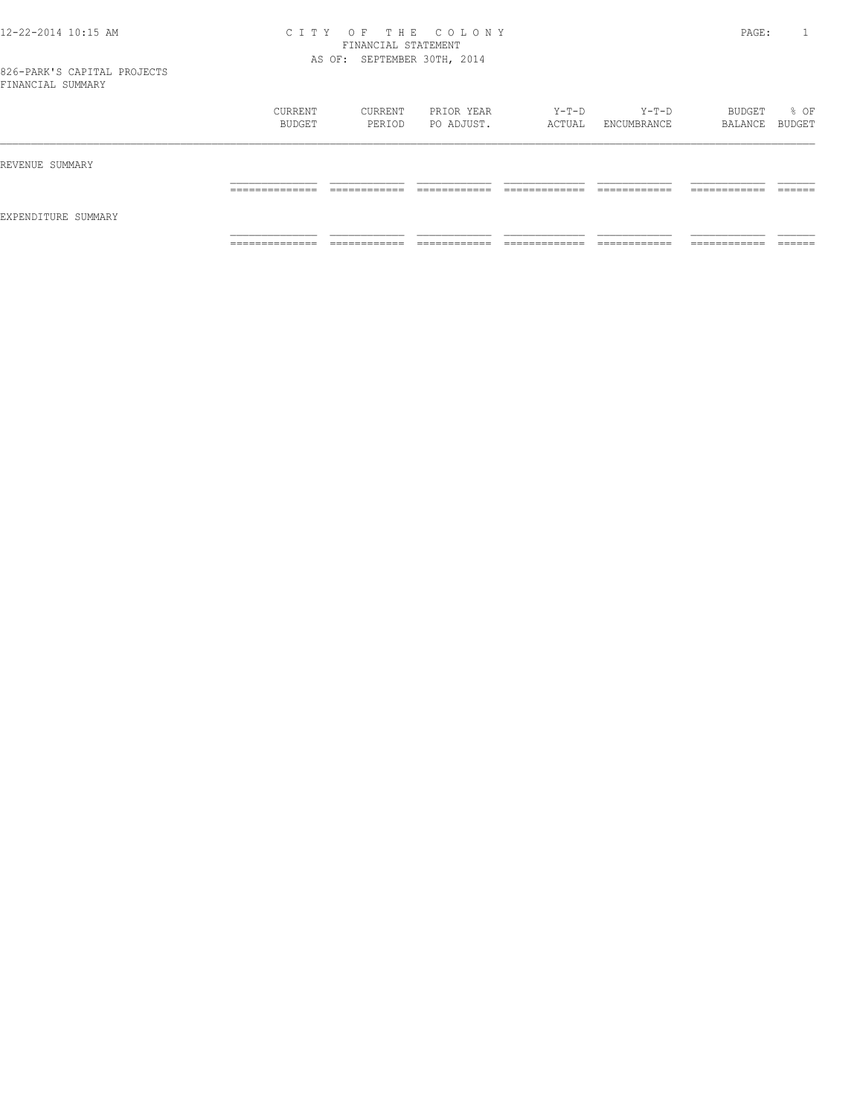#### 12-22-2014 10:15 AM C I T Y O F T H E C O L O N Y PAGE: 1 FINANCIAL STATEMENT AS OF: SEPTEMBER 30TH, 2014

|                     | CURRENT<br>BUDGET | CURRENT<br>PERIOD | PRIOR YEAR<br>PO ADJUST. | $Y-T-D$<br>ACTUAL | Y-T-D<br>ENCUMBRANCE | BUDGET<br>BALANCE BUDGET | % OF    |
|---------------------|-------------------|-------------------|--------------------------|-------------------|----------------------|--------------------------|---------|
| REVENUE SUMMARY     |                   |                   |                          |                   |                      |                          |         |
| EXPENDITURE SUMMARY | ______________    | ____________      | ____________             | _____________     | ____________         | ____________             | ------- |
|                     | _____________     | ____________      | _____________            | _____________     | ____________         | ____________             | _______ |
|                     | ______________    | -------------     | --------------           | _____________     | ____________         | -------------            | ------- |
|                     | .                 | .                 | .                        | .                 | .                    | .                        | _____   |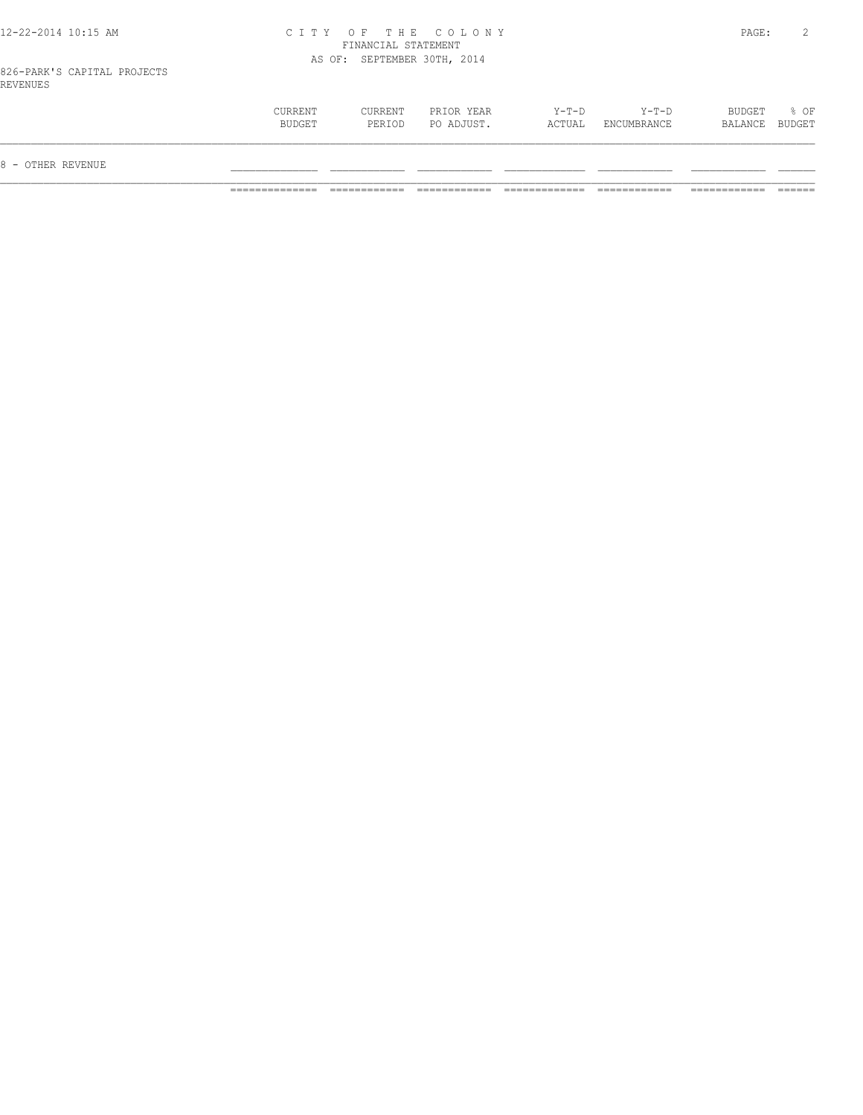#### 12-22-2014 10:15 AM C I T Y O F T H E C O L O N Y PAGE: 2 FINANCIAL STATEMENT AS OF: SEPTEMBER 30TH, 2014

826-PARK'S CAPITAL PROJECTS REVENUES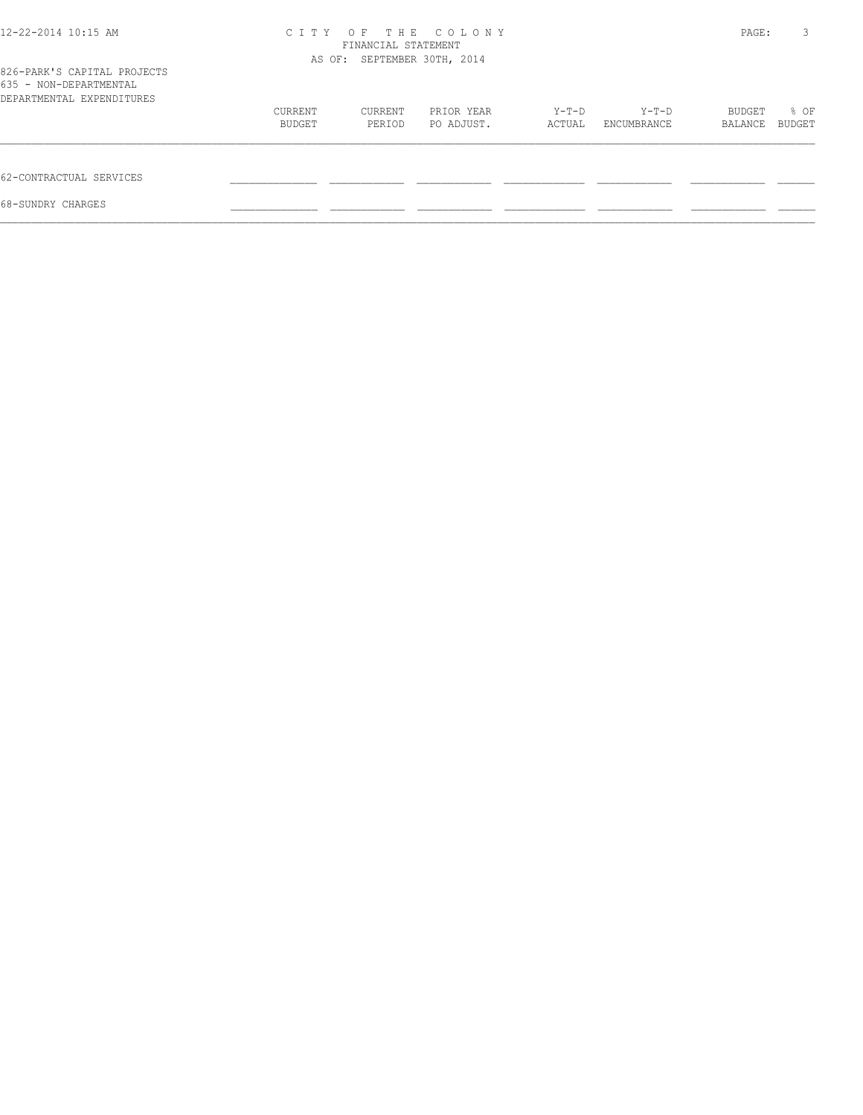| 12-22-2014 10:15 AM                                                                | C T T Y | OF.<br>FINANCIAL STATEMENT  | THE COLONY |        |             | PAGE:   | 3      |
|------------------------------------------------------------------------------------|---------|-----------------------------|------------|--------|-------------|---------|--------|
| 826-PARK'S CAPITAL PROJECTS<br>635 - NON-DEPARTMENTAL<br>DEPARTMENTAL EXPENDITURES |         | AS OF: SEPTEMBER 30TH, 2014 |            |        |             |         |        |
|                                                                                    | CURRENT | CURRENT                     | PRIOR YEAR | Y-T-D  | Y-T-D       |         | % OF   |
|                                                                                    | BUDGET  | PERIOD                      | PO ADJUST. | ACTUAL | ENCUMBRANCE | BALANCE | BUDGET |
| 62-CONTRACTUAL SERVICES                                                            |         |                             |            |        |             |         |        |
| 68-SUNDRY CHARGES                                                                  |         |                             |            |        |             |         |        |
|                                                                                    |         |                             |            |        |             |         |        |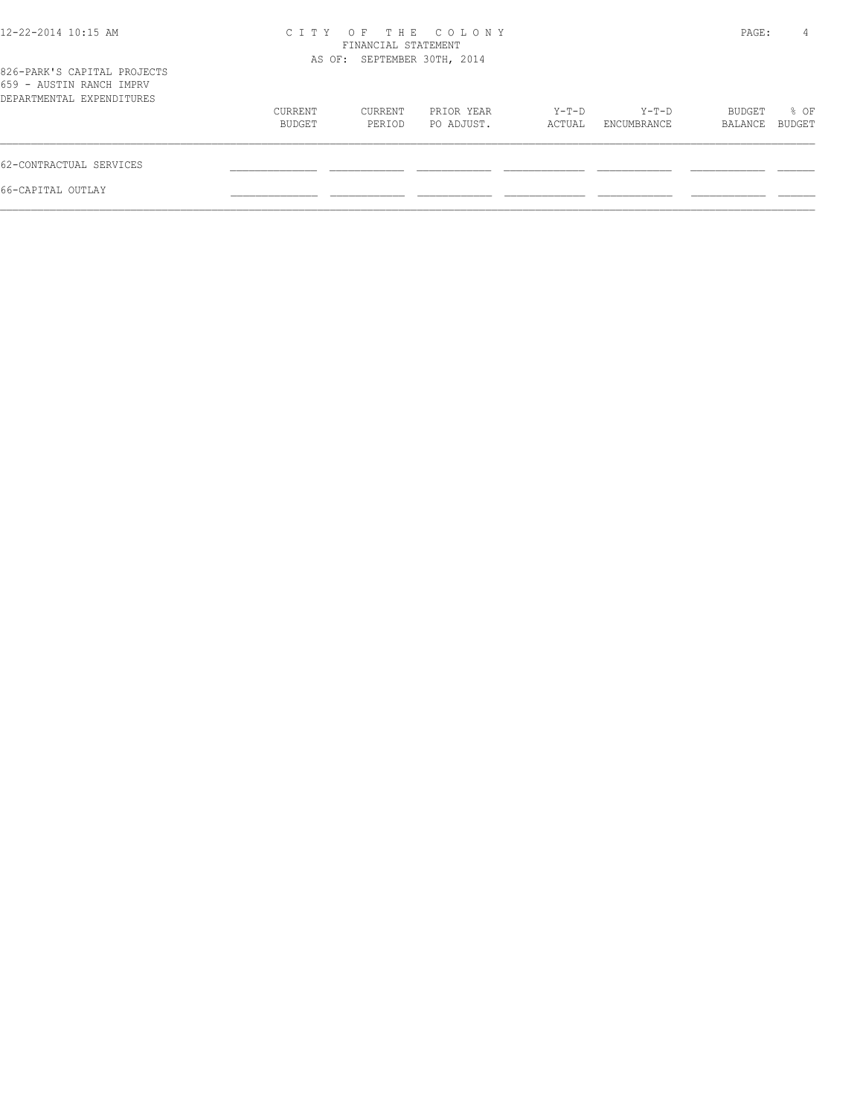| 12-22-2014 10:15 AM                                                                  |                   | FINANCIAL STATEMENT         | CITY OF THE COLONY       |                 |                      | PAGE:             | 4              |
|--------------------------------------------------------------------------------------|-------------------|-----------------------------|--------------------------|-----------------|----------------------|-------------------|----------------|
| 826-PARK'S CAPITAL PROJECTS<br>659 - AUSTIN RANCH IMPRV<br>DEPARTMENTAL EXPENDITURES |                   | AS OF: SEPTEMBER 30TH, 2014 |                          |                 |                      |                   |                |
|                                                                                      | CURRENT<br>BUDGET | CURRENT<br>PERIOD           | PRIOR YEAR<br>PO ADJUST. | Y-T-D<br>ACTUAL | Y-T-D<br>ENCUMBRANCE | BUDGET<br>BALANCE | % OF<br>BUDGET |
| 62-CONTRACTUAL SERVICES                                                              |                   |                             |                          |                 |                      |                   |                |
| 66-CAPITAL OUTLAY                                                                    |                   |                             |                          |                 |                      |                   |                |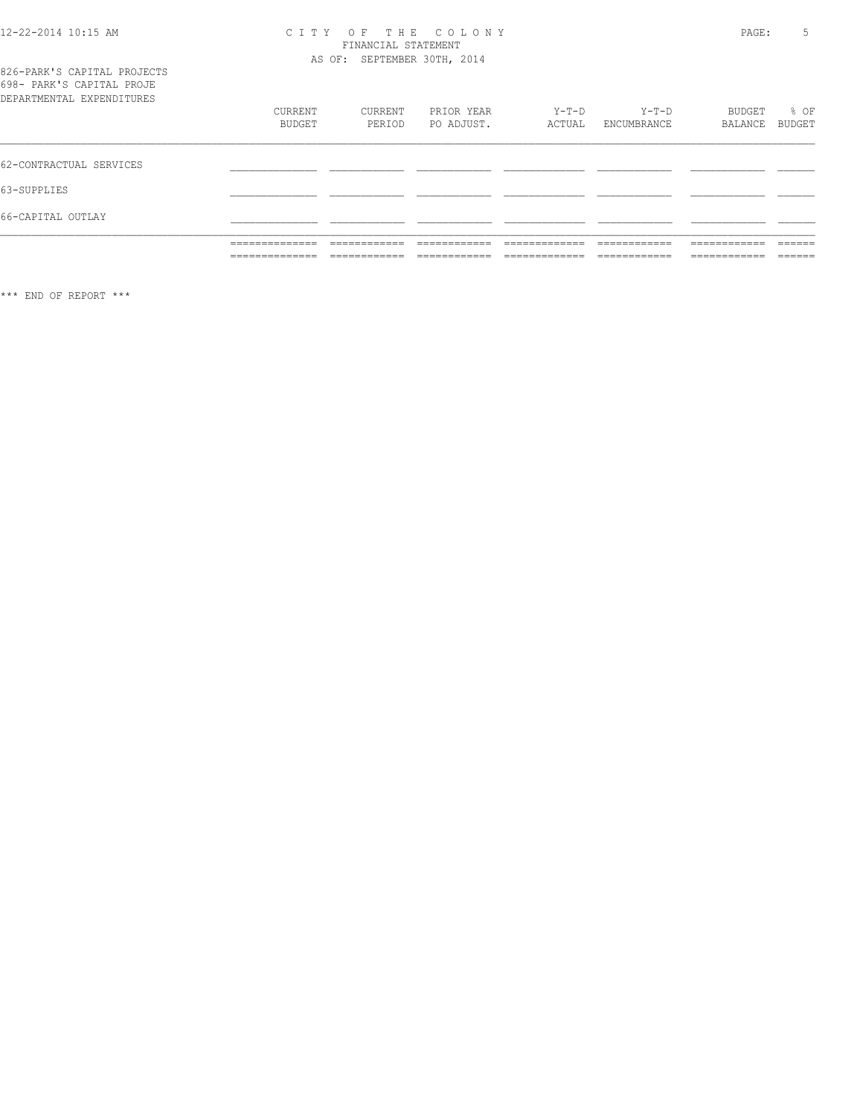# 12-22-2014 10:15 AM CITY OF THE COLONY<br>FINANCIAL STATEMENT<br>AS OF: SEPTEMBER 30TH, 2014

| 826-PARK'S CAPITAL PROJECTS |  |
|-----------------------------|--|
| 698- PARK'S CAPITAL PROJE   |  |
| DEPARTMENTAL EXPENDITURES   |  |

| DEPARTMENTAL EXPENDITURES |                                   |                              |                               |                                |                              |                              |                   |
|---------------------------|-----------------------------------|------------------------------|-------------------------------|--------------------------------|------------------------------|------------------------------|-------------------|
|                           | CURRENT                           | CURRENT                      | PRIOR YEAR                    | Y-T-D                          | $Y-T-D$                      | BUDGET                       | % OF              |
|                           | <b>BUDGET</b>                     | PERIOD                       | PO ADJUST.                    | ACTUAL                         | ENCUMBRANCE                  | BALANCE                      | BUDGET            |
|                           |                                   |                              |                               |                                |                              |                              |                   |
| 62-CONTRACTUAL SERVICES   |                                   |                              |                               |                                |                              |                              |                   |
| 63-SUPPLIES               |                                   |                              |                               |                                |                              |                              |                   |
| 66-CAPITAL OUTLAY         |                                   |                              |                               |                                |                              |                              |                   |
|                           | ______________<br>-------------   | ------------<br>-----------  | ________<br>____________      | -------------                  | ------------<br>-----------  | ____________<br>-----------  | -------<br>______ |
|                           | ______________<br>--------------- | ____________<br>____________ | -------------<br>____________ | _____________<br>_____________ | ____________<br>____________ | ____________<br>____________ | -------<br>______ |

\*\*\* END OF REPORT \*\*\*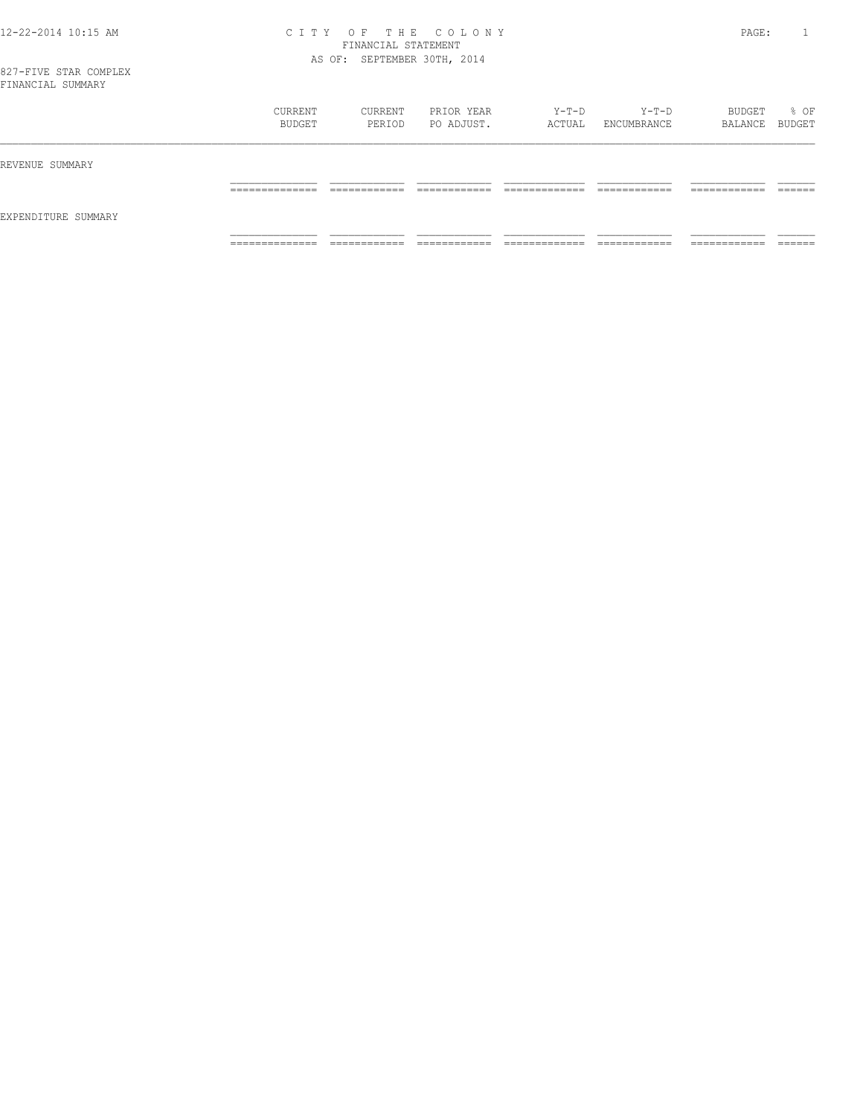#### 12-22-2014 10:15 AM C I T Y O F T H E C O L O N Y PAGE: 1 FINANCIAL STATEMENT AS OF: SEPTEMBER 30TH, 2014

| r rivinvo riim ooimmiitr |                                   |                              |                          |                                 |                        |                               |        |
|--------------------------|-----------------------------------|------------------------------|--------------------------|---------------------------------|------------------------|-------------------------------|--------|
|                          | CURRENT<br>BUDGET                 | CURRENT<br>PERIOD            | PRIOR YEAR<br>PO ADJUST. | Y-T-D<br>ACTUAL                 | $Y-T-D$<br>ENCUMBRANCE | BUDGET<br>BALANCE BUDGET      | % OF   |
| REVENUE SUMMARY          |                                   |                              |                          |                                 |                        |                               |        |
| EXPENDITURE SUMMARY      | ______________<br>______________  | ____________                 | ____________             | _____________                   | _____________          | ____________<br>________      | ______ |
|                          | ______________<br>_______________ | ____________<br>____________ | ____________             | _____________<br>______________ | _____________          | -------------<br>____________ |        |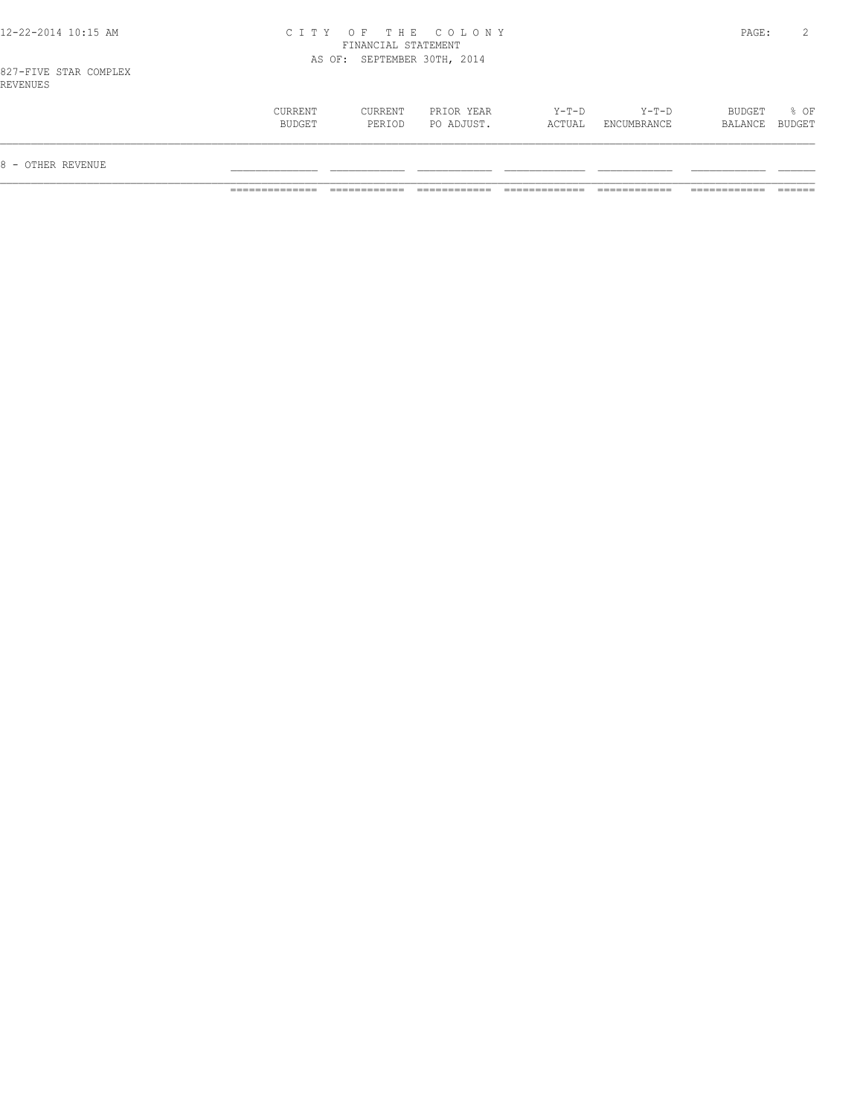|  |  | 12-22-2014 10:15 AM |  |
|--|--|---------------------|--|
|  |  |                     |  |

## 12-22-2014 10:15 AM C I T Y O F T H E C O L O N Y PAGE: 2 FINANCIAL STATEMENT AS OF: SEPTEMBER 30TH, 2014

827-FIVE STAR COMPLEX REVENUES

| 8 - OTHER REVENUE |                   |                   |                          |                 |                        |                          |      |
|-------------------|-------------------|-------------------|--------------------------|-----------------|------------------------|--------------------------|------|
|                   | CURRENT<br>BUDGET | CURRENT<br>PERIOD | PRIOR YEAR<br>PO ADJUST. | Y-T-D<br>ACTUAL | $Y-T-D$<br>ENCUMBRANCE | BUDGET<br>BALANCE BUDGET | % OF |
| ---------         |                   |                   |                          |                 |                        |                          |      |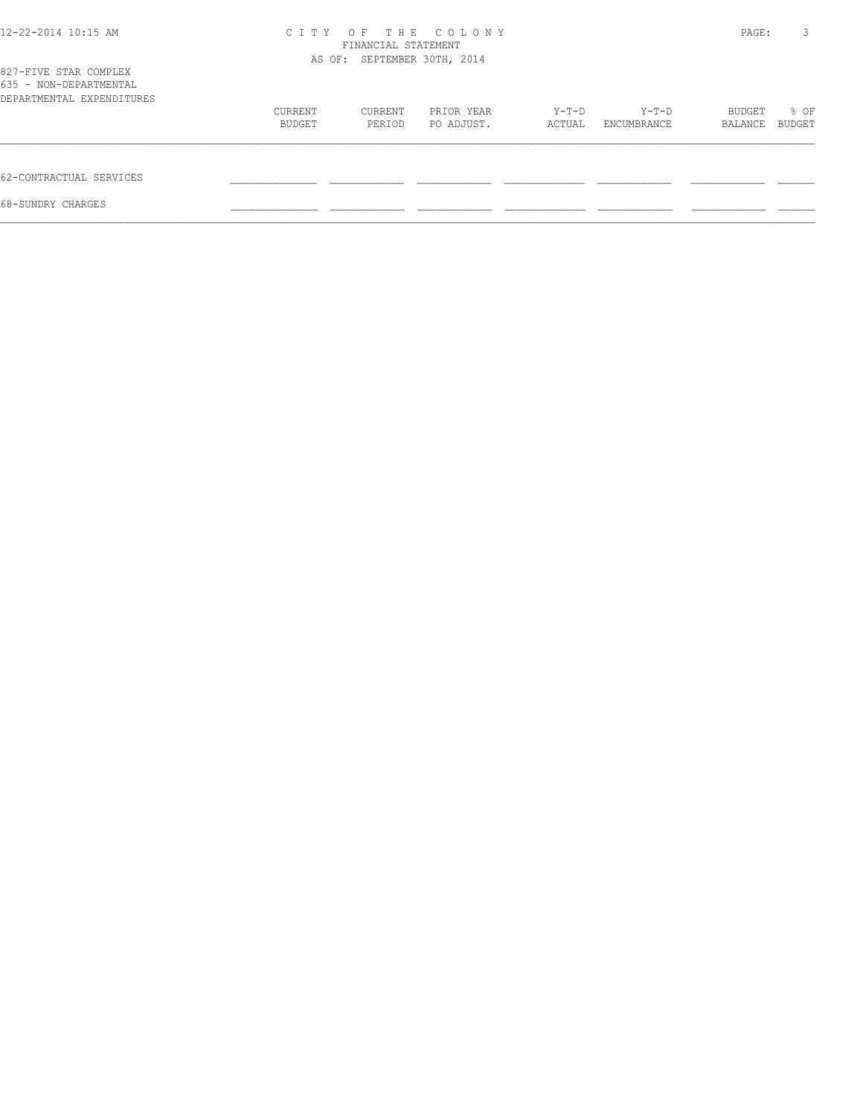| $12 - 22 - 2014$ 10:15 AM                                                    | C T T Y | FINANCIAL STATEMENT<br>AS OF: SEPTEMBER 30TH, 2014 | OF THE COLONY |        |             | PAGE:   | 3      |
|------------------------------------------------------------------------------|---------|----------------------------------------------------|---------------|--------|-------------|---------|--------|
| 827-FIVE STAR COMPLEX<br>635 - NON-DEPARTMENTAL<br>DEPARTMENTAL EXPENDITURES |         |                                                    |               |        |             |         |        |
|                                                                              | CURRENT | CURRENT                                            | PRIOR YEAR    | Y-T-D  | Y-T-D       | BUDGET  | % OF   |
|                                                                              | BUDGET  | PERIOD                                             | PO ADJUST.    | ACTUAL | ENCUMBRANCE | BALANCE | BUDGET |
| 62-CONTRACTUAL SERVICES                                                      |         |                                                    |               |        |             |         |        |
| 68-SUNDRY CHARGES                                                            |         |                                                    |               |        |             |         |        |
|                                                                              |         |                                                    |               |        |             |         |        |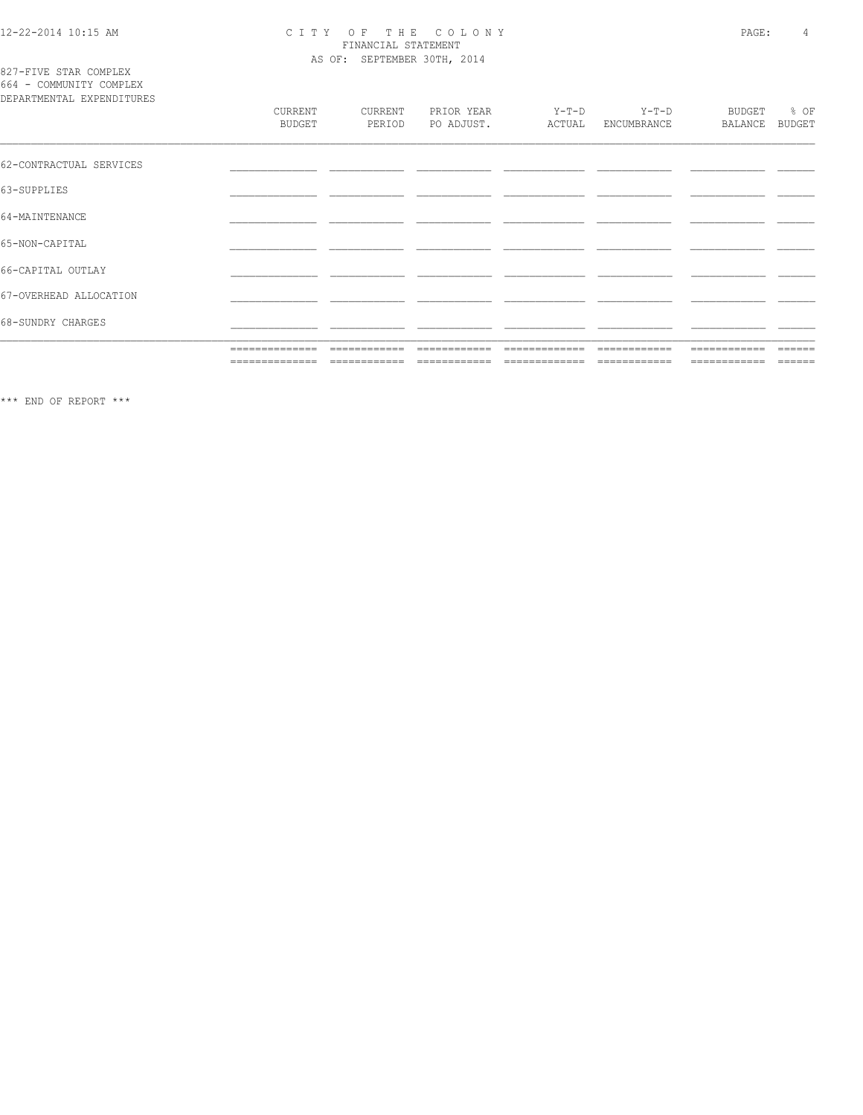# 12-22-2014 10:15 AM CITY OF THE COLONY<br>
FINANCIAL STATEMENT<br>
AS OF: SEPTEMBER 30TH, 2014

827-FIVE STAR COMPLEX<br>664 - COMMUNITY COMPLEX

| DEPARTMENTAL EXPENDITURES |                          |                   |                          |                   |                        |                          |                                                                                                                                                                                                                                                                                                                                                                                                                                                                                        |
|---------------------------|--------------------------|-------------------|--------------------------|-------------------|------------------------|--------------------------|----------------------------------------------------------------------------------------------------------------------------------------------------------------------------------------------------------------------------------------------------------------------------------------------------------------------------------------------------------------------------------------------------------------------------------------------------------------------------------------|
|                           | CURRENT<br><b>BUDGET</b> | CURRENT<br>PERIOD | PRIOR YEAR<br>PO ADJUST. | $Y-T-D$<br>ACTUAL | $Y-T-D$<br>ENCUMBRANCE | <b>BUDGET</b><br>BALANCE | % OF<br><b>BUDGET</b>                                                                                                                                                                                                                                                                                                                                                                                                                                                                  |
| 62-CONTRACTUAL SERVICES   |                          |                   |                          |                   |                        |                          |                                                                                                                                                                                                                                                                                                                                                                                                                                                                                        |
| 63-SUPPLIES               |                          |                   |                          |                   |                        |                          |                                                                                                                                                                                                                                                                                                                                                                                                                                                                                        |
| 64-MAINTENANCE            |                          |                   |                          |                   |                        |                          |                                                                                                                                                                                                                                                                                                                                                                                                                                                                                        |
| 65-NON-CAPITAL            |                          |                   |                          |                   |                        |                          |                                                                                                                                                                                                                                                                                                                                                                                                                                                                                        |
| 66-CAPITAL OUTLAY         |                          |                   |                          |                   |                        |                          |                                                                                                                                                                                                                                                                                                                                                                                                                                                                                        |
| 67-OVERHEAD ALLOCATION    |                          |                   |                          |                   |                        |                          |                                                                                                                                                                                                                                                                                                                                                                                                                                                                                        |
| 68-SUNDRY CHARGES         |                          |                   |                          |                   |                        |                          |                                                                                                                                                                                                                                                                                                                                                                                                                                                                                        |
|                           | ==============           | ============      | ============             | --------------    | ============           | ------------             | ------                                                                                                                                                                                                                                                                                                                                                                                                                                                                                 |
|                           | ==============           | ============      | ============             | =============     | ============           | ============             | $\begin{array}{cccccccccc} \multicolumn{2}{c}{} & \multicolumn{2}{c}{} & \multicolumn{2}{c}{} & \multicolumn{2}{c}{} & \multicolumn{2}{c}{} & \multicolumn{2}{c}{} & \multicolumn{2}{c}{} & \multicolumn{2}{c}{} & \multicolumn{2}{c}{} & \multicolumn{2}{c}{} & \multicolumn{2}{c}{} & \multicolumn{2}{c}{} & \multicolumn{2}{c}{} & \multicolumn{2}{c}{} & \multicolumn{2}{c}{} & \multicolumn{2}{c}{} & \multicolumn{2}{c}{} & \multicolumn{2}{c}{} & \multicolumn{2}{c}{} & \mult$ |

 $\star\star\star$  END OF REPORT  $\star\star\star$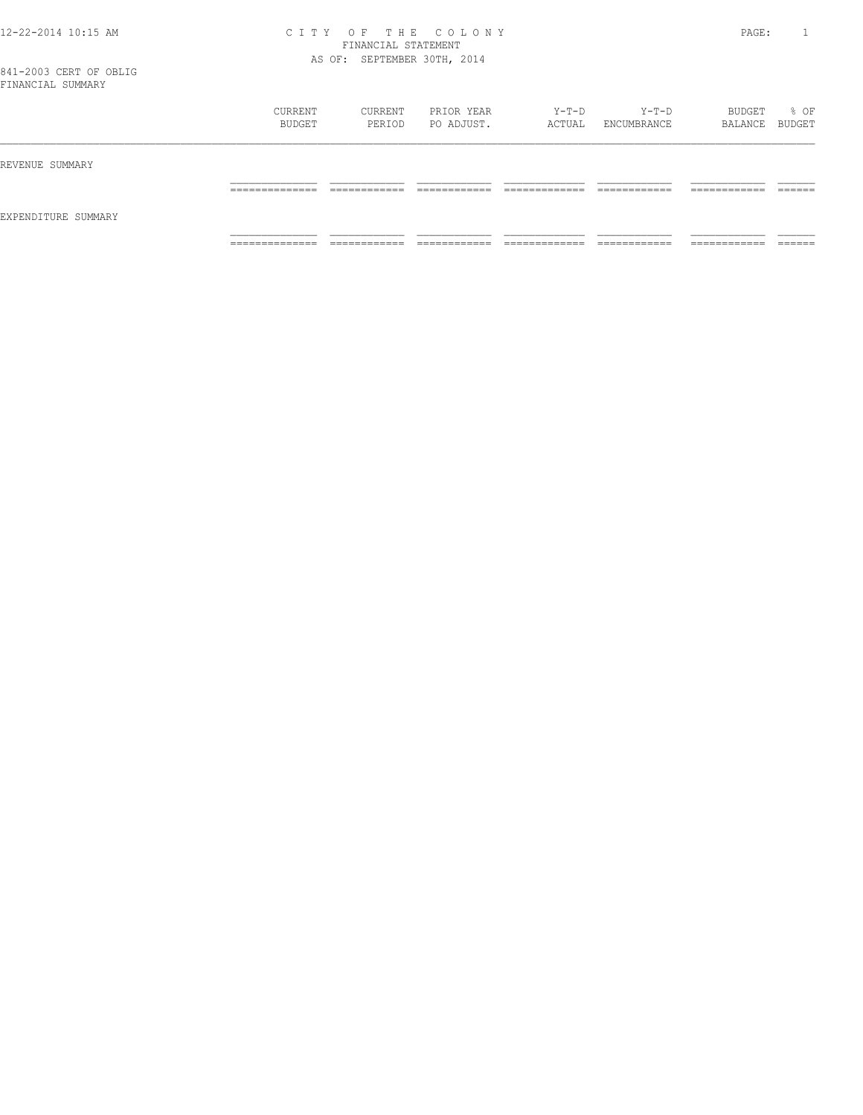#### 12-22-2014 10:15 AM C I T Y O F T H E C O L O N Y PAGE: 1 FINANCIAL STATEMENT AS OF: SEPTEMBER 30TH, 2014

| ד דוועה העדר מעדים אוד |                                   |                              |                               |                                 |                               |                               |                    |
|------------------------|-----------------------------------|------------------------------|-------------------------------|---------------------------------|-------------------------------|-------------------------------|--------------------|
|                        | CURRENT<br>BUDGET                 | CURRENT<br>PERIOD            | PRIOR YEAR<br>PO ADJUST.      | Y-T-D<br>ACTUAL                 | Y-T-D<br>ENCUMBRANCE          | BUDGET<br>BALANCE BUDGET      | % OF               |
| REVENUE SUMMARY        |                                   |                              |                               |                                 |                               |                               |                    |
|                        | ______________<br>_______________ | ____________<br>____________ | -------------<br>____________ | _____________<br>______________ | -------------<br>____________ | -------------<br>____________ | -------<br>_______ |
| EXPENDITURE SUMMARY    |                                   |                              |                               |                                 |                               |                               |                    |
|                        | ______________<br>_______________ | ____________<br>____________ | ____________<br>____________  | _____________<br>______________ | ____________<br>____________  | ____________<br>____________  | ______<br>_______  |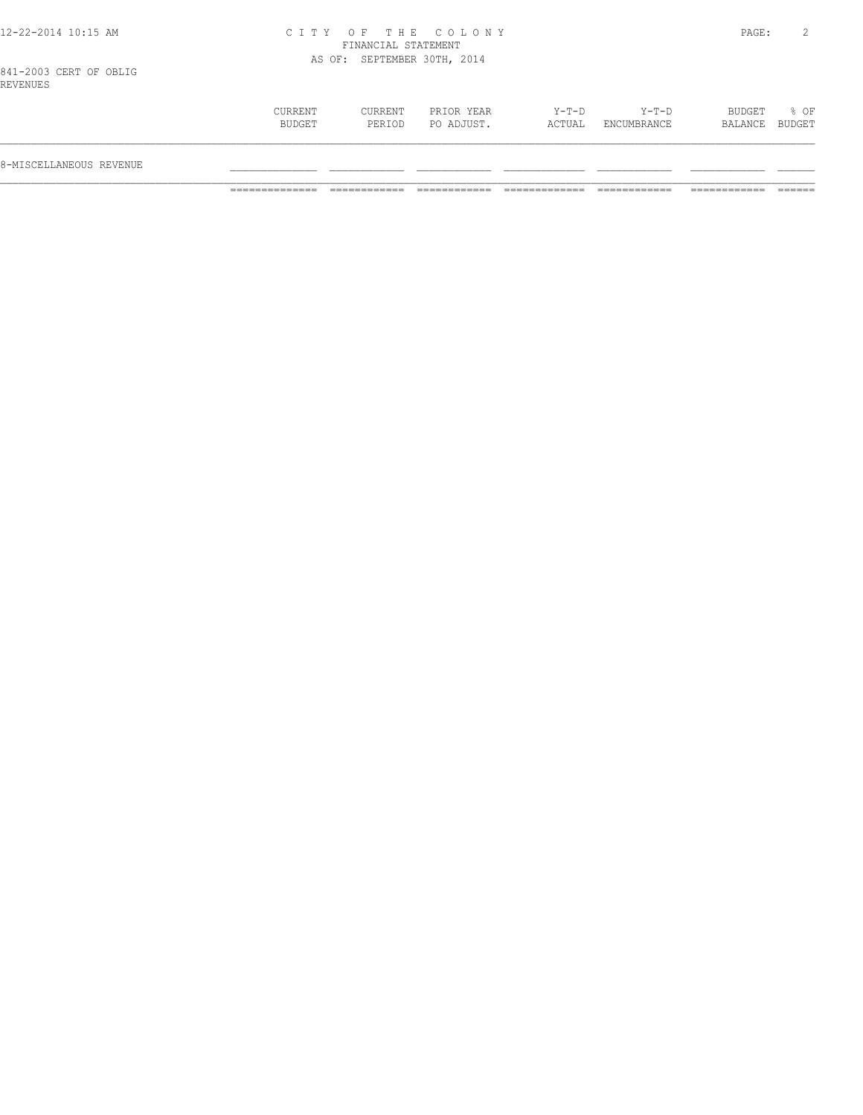|  |  |  |  |  | 12-22-2014 10:15 AM |  |
|--|--|--|--|--|---------------------|--|
|--|--|--|--|--|---------------------|--|

## 12-22-2014 10:15 AM C I T Y O F T H E C O L O N Y PAGE: 2 FINANCIAL STATEMENT AS OF: SEPTEMBER 30TH, 2014

841-2003 CERT OF OBLIG REVENUES

| 8-MISCELLANEOUS REVENUE |                   |                   |                          |                 |                        |                          |      |
|-------------------------|-------------------|-------------------|--------------------------|-----------------|------------------------|--------------------------|------|
|                         | CURRENT<br>BUDGET | CURRENT<br>PERIOD | PRIOR YEAR<br>PO ADJUST. | Y-T-D<br>ACTUAL | $Y-T-D$<br>ENCUMBRANCE | BUDGET<br>BALANCE BUDGET | % OF |
|                         |                   |                   |                          |                 |                        |                          |      |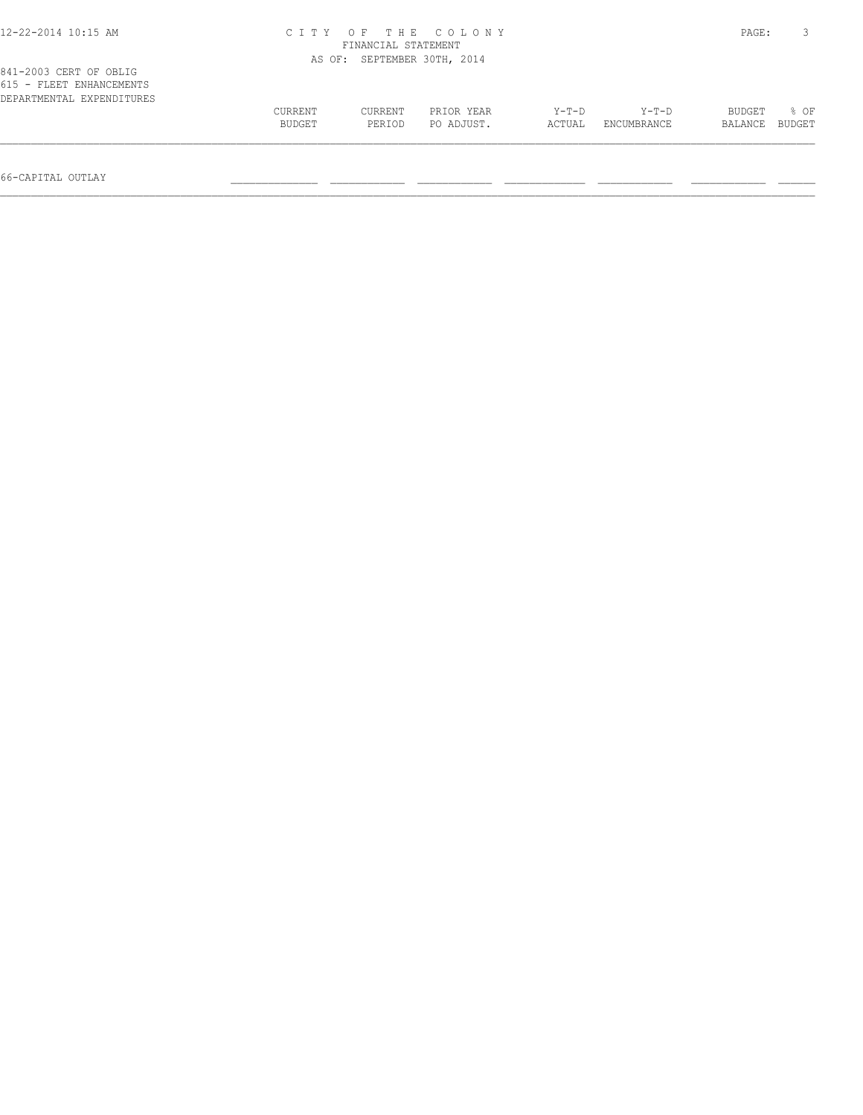| $12 - 22 - 2014$ 10:15 AM                          |                   | FINANCIAL STATEMENT         | CITY OF THE COLONY       |                   |                        | PAGE:             |                |
|----------------------------------------------------|-------------------|-----------------------------|--------------------------|-------------------|------------------------|-------------------|----------------|
| 841-2003 CERT OF OBLIG<br>615 - FLEET ENHANCEMENTS |                   | AS OF: SEPTEMBER 30TH, 2014 |                          |                   |                        |                   |                |
| DEPARTMENTAL EXPENDITURES                          | CURRENT<br>BUDGET | CURRENT<br>PERIOD           | PRIOR YEAR<br>PO ADJUST. | $Y-T-D$<br>ACTUAL | $Y-T-D$<br>ENCUMBRANCE | BUDGET<br>BALANCE | 8 OF<br>BUDGET |

66-CAPITAL OUTLAY \_\_\_\_\_\_\_\_\_\_\_\_\_\_ \_\_\_\_\_\_\_\_\_\_\_\_ \_\_\_\_\_\_\_\_\_\_\_\_ \_\_\_\_\_\_\_\_\_\_\_\_\_ \_\_\_\_\_\_\_\_\_\_\_\_ \_\_\_\_\_\_\_\_\_\_\_\_ \_\_\_\_\_\_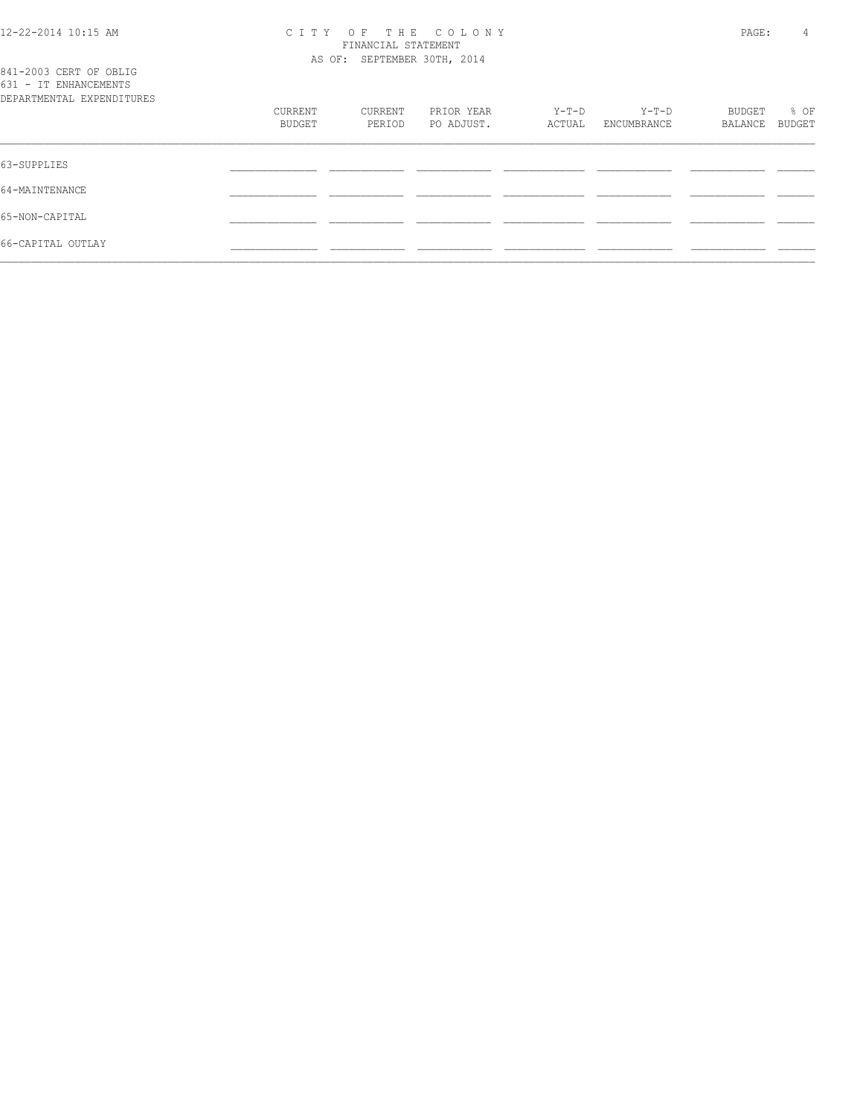# 12-22-2014 10:15 AM C I T Y O F T H E C O L O N Y PAGE: 4 FINANCIAL STATEMENT

| 841-2003 CERT OF OBLIG<br>631 - IT ENHANCEMENTS |                   |                   | AS OF: SEPTEMBER 30TH, 2014 |                 |                      |                   |                |
|-------------------------------------------------|-------------------|-------------------|-----------------------------|-----------------|----------------------|-------------------|----------------|
| DEPARTMENTAL EXPENDITURES                       | CURRENT<br>BUDGET | CURRENT<br>PERIOD | PRIOR YEAR<br>PO ADJUST.    | Y-T-D<br>ACTUAL | Y-T-D<br>ENCUMBRANCE | BUDGET<br>BALANCE | % OF<br>BUDGET |
| 63-SUPPLIES                                     |                   |                   |                             |                 |                      |                   |                |
| 64-MAINTENANCE                                  |                   |                   |                             |                 |                      |                   |                |
| 65-NON-CAPITAL                                  |                   |                   |                             |                 |                      |                   |                |
| 66-CAPITAL OUTLAY                               |                   |                   |                             |                 |                      |                   |                |
|                                                 |                   |                   |                             |                 |                      |                   |                |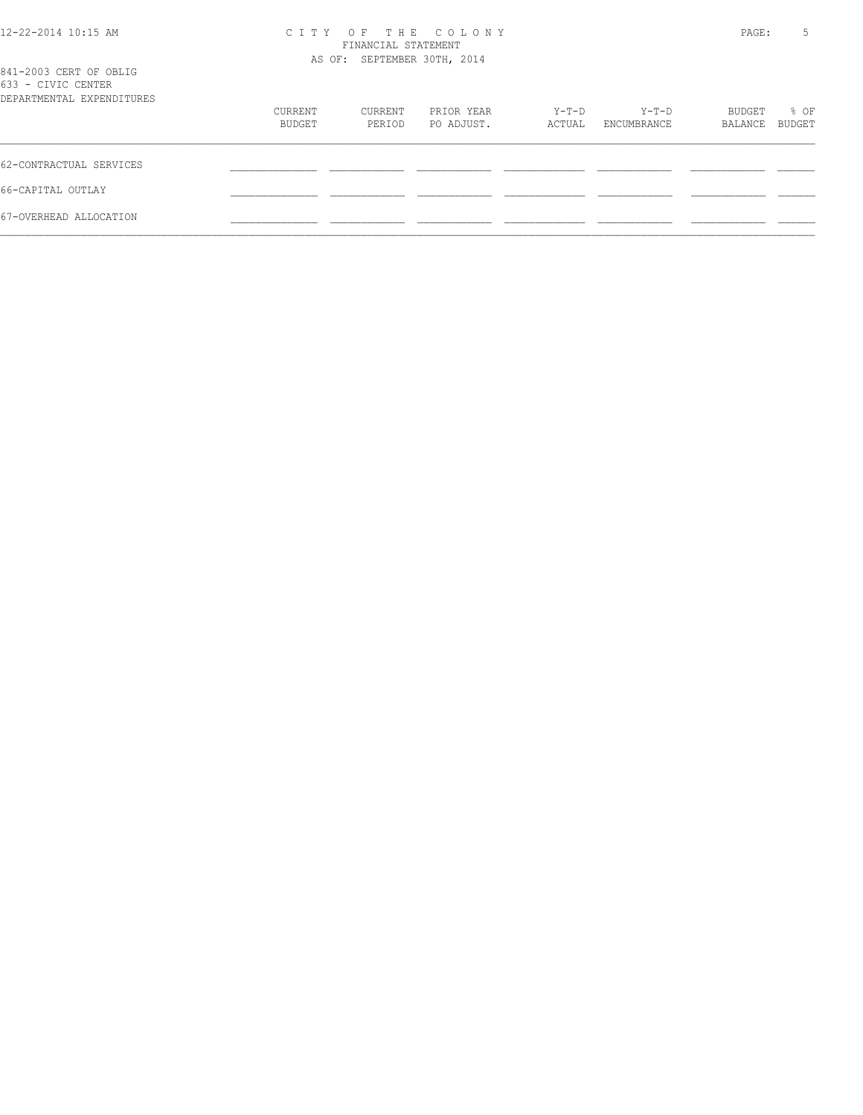| 12-22-2014 10:15 AM                                                       | C T T Y           | FINANCIAL STATEMENT<br>AS OF: SEPTEMBER 30TH, 2014 | OF THE COLONY            |                 |                      | PAGE:             | 5              |
|---------------------------------------------------------------------------|-------------------|----------------------------------------------------|--------------------------|-----------------|----------------------|-------------------|----------------|
| 841-2003 CERT OF OBLIG<br>633 - CIVIC CENTER<br>DEPARTMENTAL EXPENDITURES |                   |                                                    |                          |                 |                      |                   |                |
|                                                                           | CURRENT<br>BUDGET | CURRENT<br>PERIOD                                  | PRIOR YEAR<br>PO ADJUST. | Y-T-D<br>ACTUAL | Y-T-D<br>ENCUMBRANCE | BUDGET<br>BALANCE | % OF<br>BUDGET |
| 62-CONTRACTUAL SERVICES                                                   |                   |                                                    |                          |                 |                      |                   |                |
| 66-CAPITAL OUTLAY                                                         |                   |                                                    |                          |                 |                      |                   |                |
| 67-OVERHEAD ALLOCATION                                                    |                   |                                                    |                          |                 |                      |                   |                |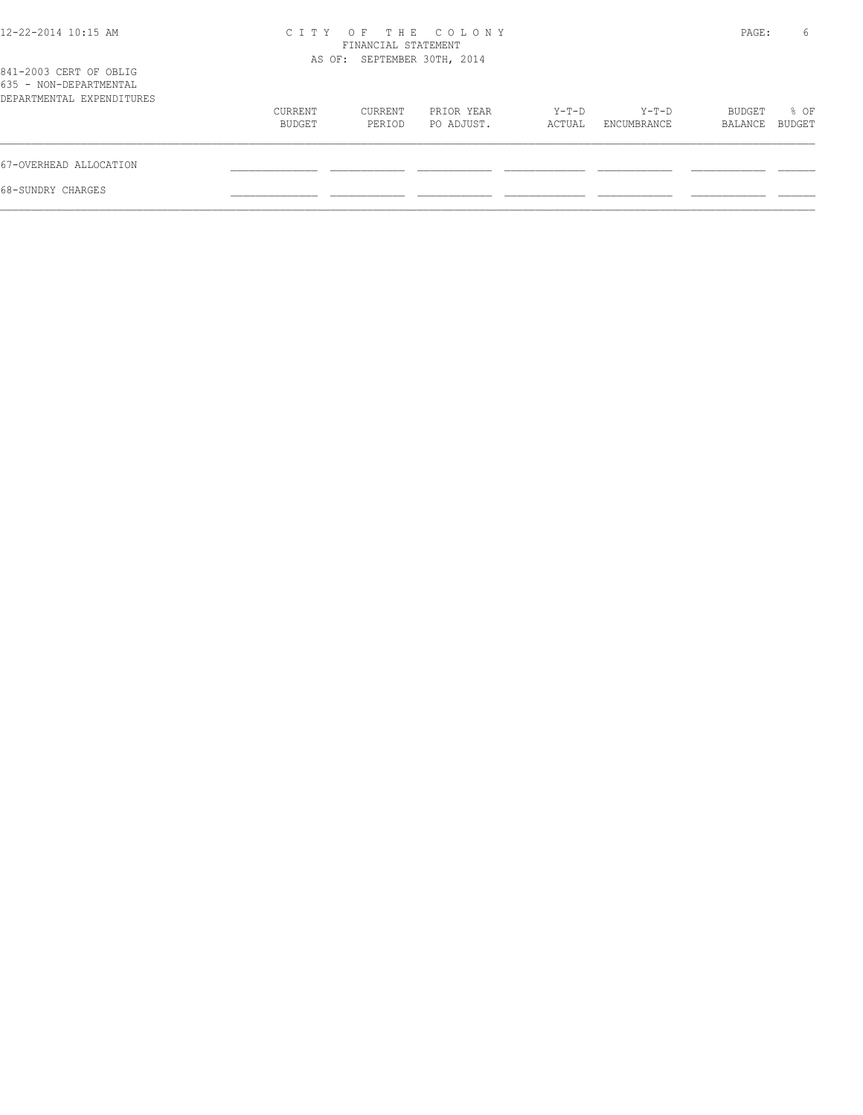| $12 - 22 - 2014$ 10:15 AM                                                     | C T T Y           | FINANCIAL STATEMENT         | OF THE COLONY            |                 |                      | PAGE:             | 6              |
|-------------------------------------------------------------------------------|-------------------|-----------------------------|--------------------------|-----------------|----------------------|-------------------|----------------|
| 841-2003 CERT OF OBLIG<br>635 - NON-DEPARTMENTAL<br>DEPARTMENTAL EXPENDITURES |                   | AS OF: SEPTEMBER 30TH, 2014 |                          |                 |                      |                   |                |
|                                                                               | CURRENT<br>BUDGET | CURRENT<br>PERIOD           | PRIOR YEAR<br>PO ADJUST. | Y-T-D<br>ACTUAL | Y-T-D<br>ENCUMBRANCE | BUDGET<br>BALANCE | % OF<br>BUDGET |
| 67-OVERHEAD ALLOCATION                                                        |                   |                             |                          |                 |                      |                   |                |
| 68-SUNDRY CHARGES                                                             |                   |                             |                          |                 |                      |                   |                |
|                                                                               |                   |                             |                          |                 |                      |                   |                |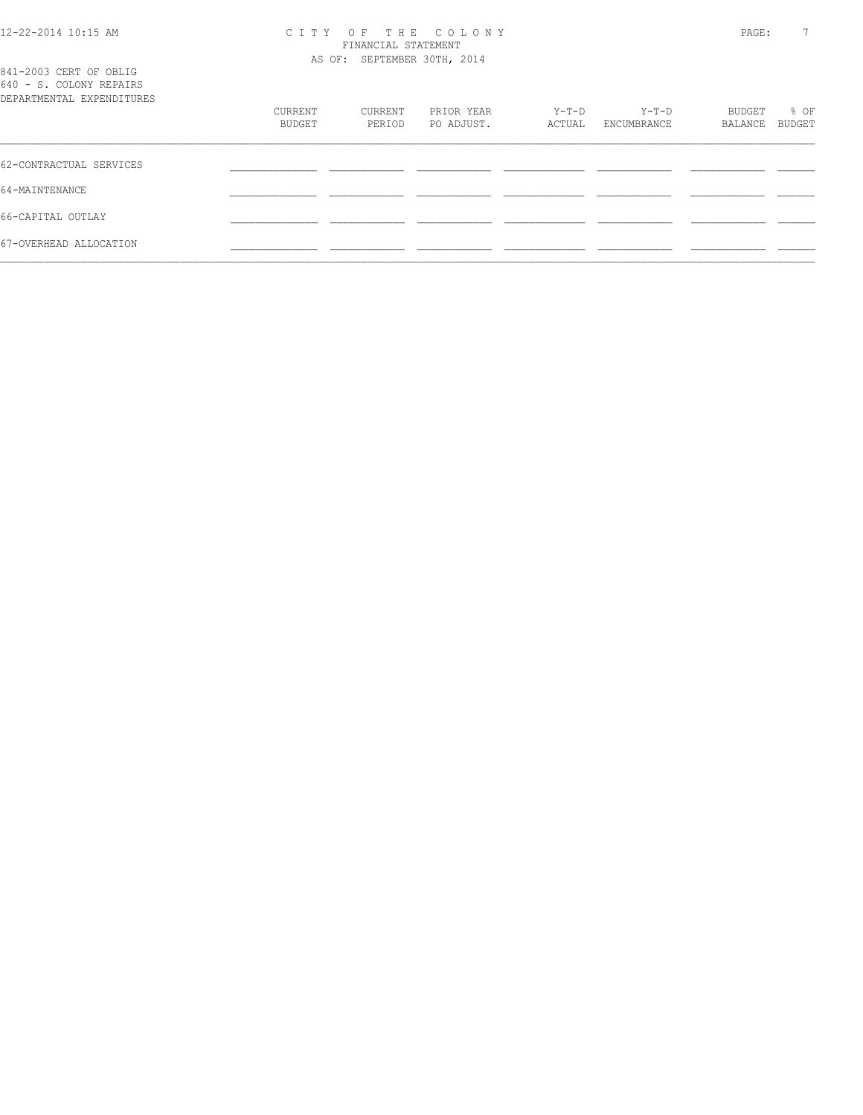#### 12-22-2014 10:15 AM C I T Y O F T H E C O L O N Y PAGE: 7 FINANCIAL STATEMENT AS OF: SEPTEMBER 30TH, 2014

| 841-2003 CERT OF OBLIG<br>640 - S. COLONY REPAIRS<br>DEPARTMENTAL EXPENDITURES |                   |                   |                          |                 |                        |                   |                |
|--------------------------------------------------------------------------------|-------------------|-------------------|--------------------------|-----------------|------------------------|-------------------|----------------|
|                                                                                | CURRENT<br>BUDGET | CURRENT<br>PERIOD | PRIOR YEAR<br>PO ADJUST. | Y-T-D<br>ACTUAL | $Y-T-D$<br>ENCUMBRANCE | BUDGET<br>BALANCE | % OF<br>BUDGET |
| 62-CONTRACTUAL SERVICES                                                        |                   |                   |                          |                 |                        |                   |                |
| 64-MAINTENANCE                                                                 |                   |                   |                          |                 |                        |                   |                |
| 66-CAPITAL OUTLAY                                                              |                   |                   |                          |                 |                        |                   |                |
| 67-OVERHEAD ALLOCATION                                                         |                   |                   |                          |                 |                        |                   |                |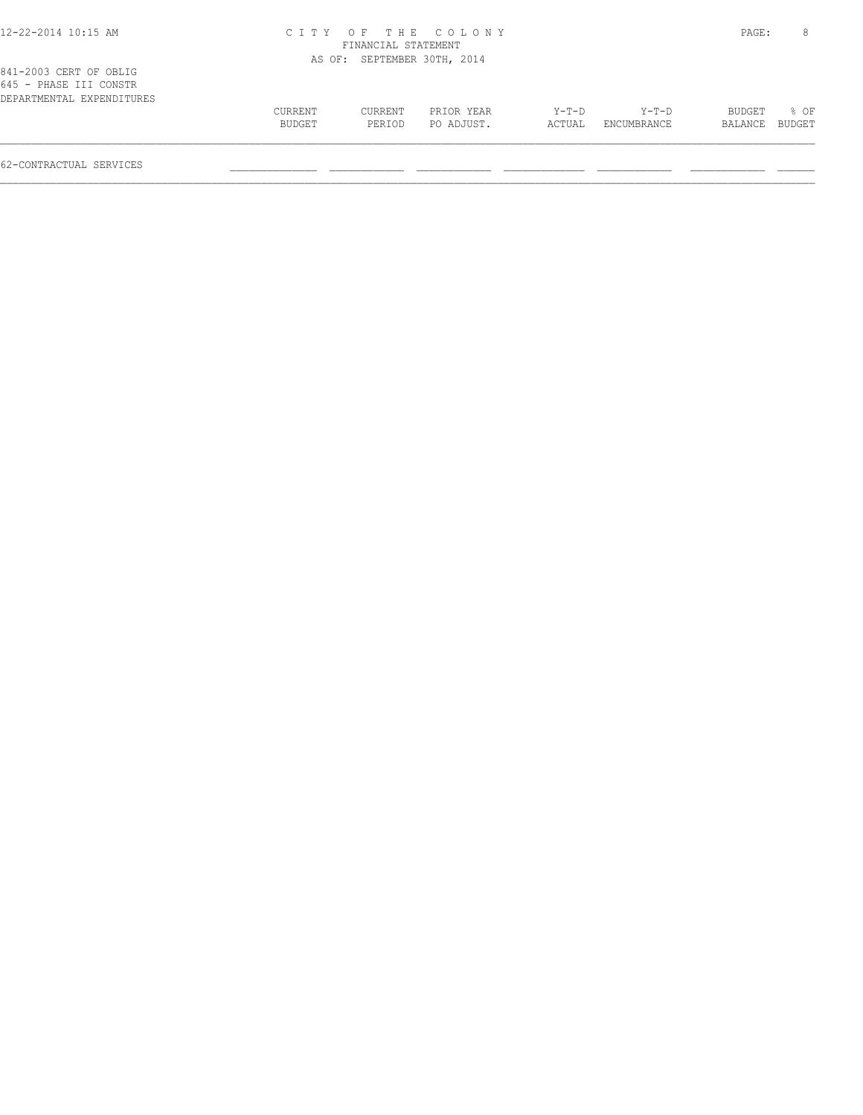# 12-22-2014 10:15 AM C I T Y O F T H E C O L O N Y PAGE: 8 FINANCIAL STATEMENT

|                                                                               |         |         | AS OF: SEPTEMBER 30TH, 2014 |         |             |                |      |
|-------------------------------------------------------------------------------|---------|---------|-----------------------------|---------|-------------|----------------|------|
| 841-2003 CERT OF OBLIG<br>645 - PHASE III CONSTR<br>DEPARTMENTAL EXPENDITURES |         |         |                             |         |             |                |      |
|                                                                               | CURRENT | CURRENT | PRIOR YEAR                  | $Y-T-D$ | $Y-T-D$     | BUDGET         | 8 OF |
|                                                                               | BUDGET  | PERIOD  | PO ADJUST.                  | ACTUAL  | ENCUMBRANCE | BALANCE BUDGET |      |
|                                                                               |         |         |                             |         |             |                |      |

62-CONTRACTUAL SERVICES \_\_\_\_\_\_\_\_\_\_\_\_\_\_ \_\_\_\_\_\_\_\_\_\_\_\_ \_\_\_\_\_\_\_\_\_\_\_\_ \_\_\_\_\_\_\_\_\_\_\_\_\_ \_\_\_\_\_\_\_\_\_\_\_\_ \_\_\_\_\_\_\_\_\_\_\_\_ \_\_\_\_\_\_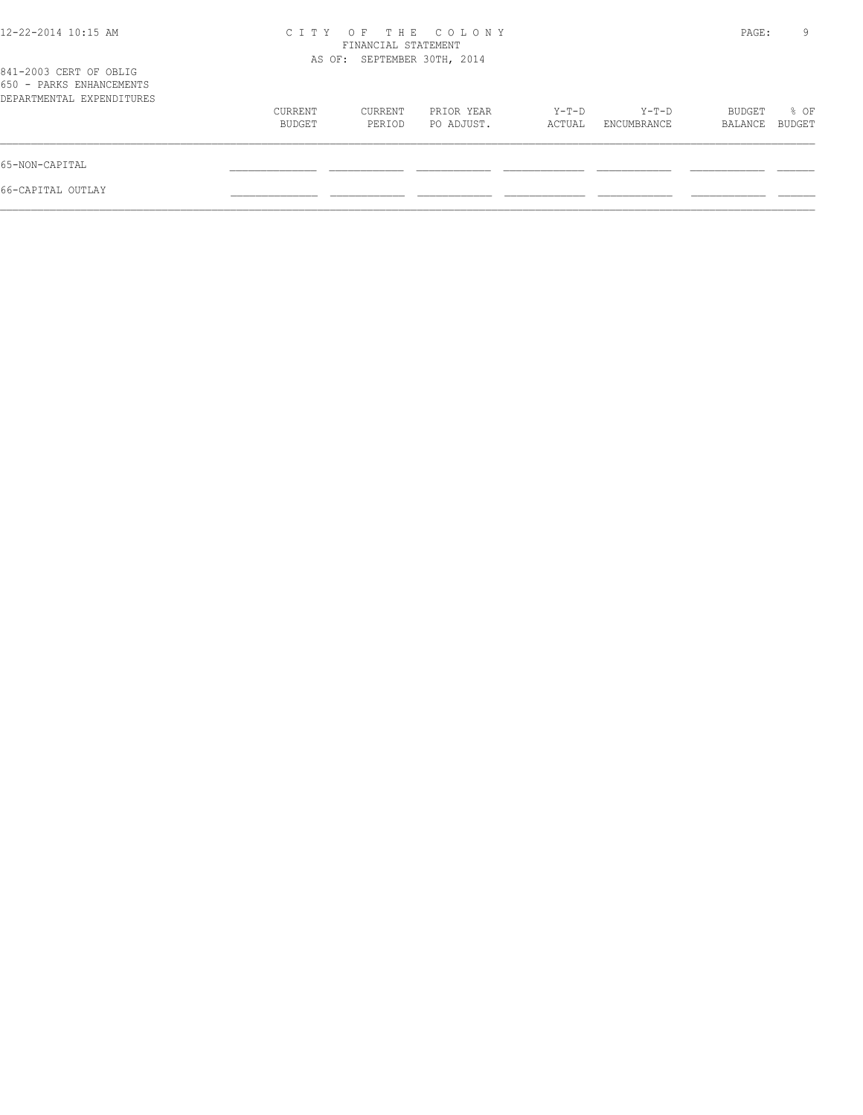|                   |                   |                          |                                                                          |                      |                   | 9              |
|-------------------|-------------------|--------------------------|--------------------------------------------------------------------------|----------------------|-------------------|----------------|
|                   |                   |                          |                                                                          |                      |                   |                |
| CURRENT<br>BUDGET | CURRENT<br>PERIOD | PRIOR YEAR<br>PO ADJUST. | $Y-T-D$<br>ACTUAL                                                        | Y-T-D<br>ENCUMBRANCE | BUDGET<br>BALANCE | % OF<br>BUDGET |
|                   |                   |                          |                                                                          |                      |                   |                |
|                   |                   |                          |                                                                          |                      |                   |                |
|                   |                   |                          | CITY OF THE COLONY<br>FINANCIAL STATEMENT<br>AS OF: SEPTEMBER 30TH, 2014 |                      |                   | PAGE:          |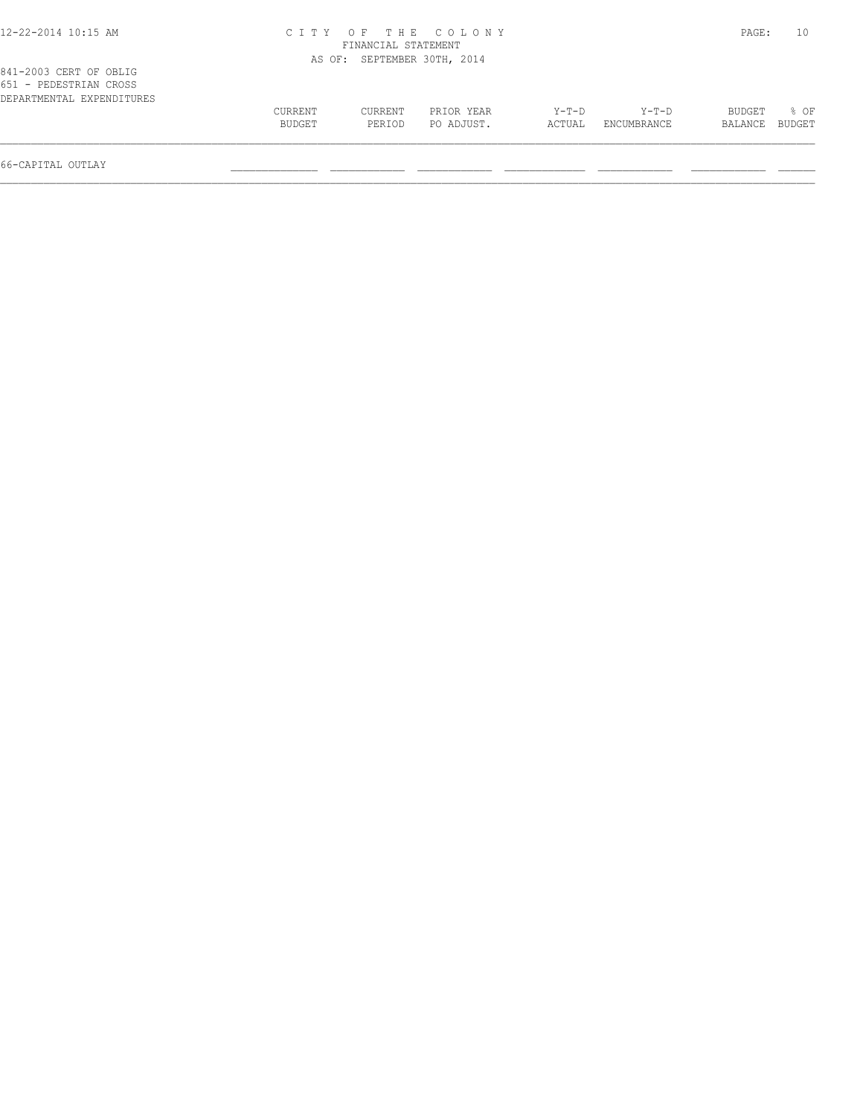| 12-22-2014 10:15 AM |  |  |
|---------------------|--|--|
|---------------------|--|--|

## 12-22-2014 10:15 AM C I T Y O F T H E C O L O N Y PAGE: 10 FINANCIAL STATEMENT AS OF: SEPTEMBER 30TH, 2014

| 651 - PEDESTRIAN CROSS    |               |         |            |         |             |         |        |
|---------------------------|---------------|---------|------------|---------|-------------|---------|--------|
| DEPARTMENTAL EXPENDITURES |               |         |            |         |             |         |        |
|                           | CURRENT       | CURRENT | PRIOR YEAR | $Y-T-D$ | $Y-T-D$     | BUDGET  | $8$ OF |
|                           | <b>BUDGET</b> | PERIOD  | PO ADJUST. | ACTUAL  | ENCUMBRANCE | BALANCE | BUDGET |
|                           |               |         |            |         |             |         |        |
|                           |               |         |            |         |             |         |        |

66-CAPITAL OUTLAY \_\_\_\_\_\_\_\_\_\_\_\_\_\_ \_\_\_\_\_\_\_\_\_\_\_\_ \_\_\_\_\_\_\_\_\_\_\_\_ \_\_\_\_\_\_\_\_\_\_\_\_\_ \_\_\_\_\_\_\_\_\_\_\_\_ \_\_\_\_\_\_\_\_\_\_\_\_ \_\_\_\_\_\_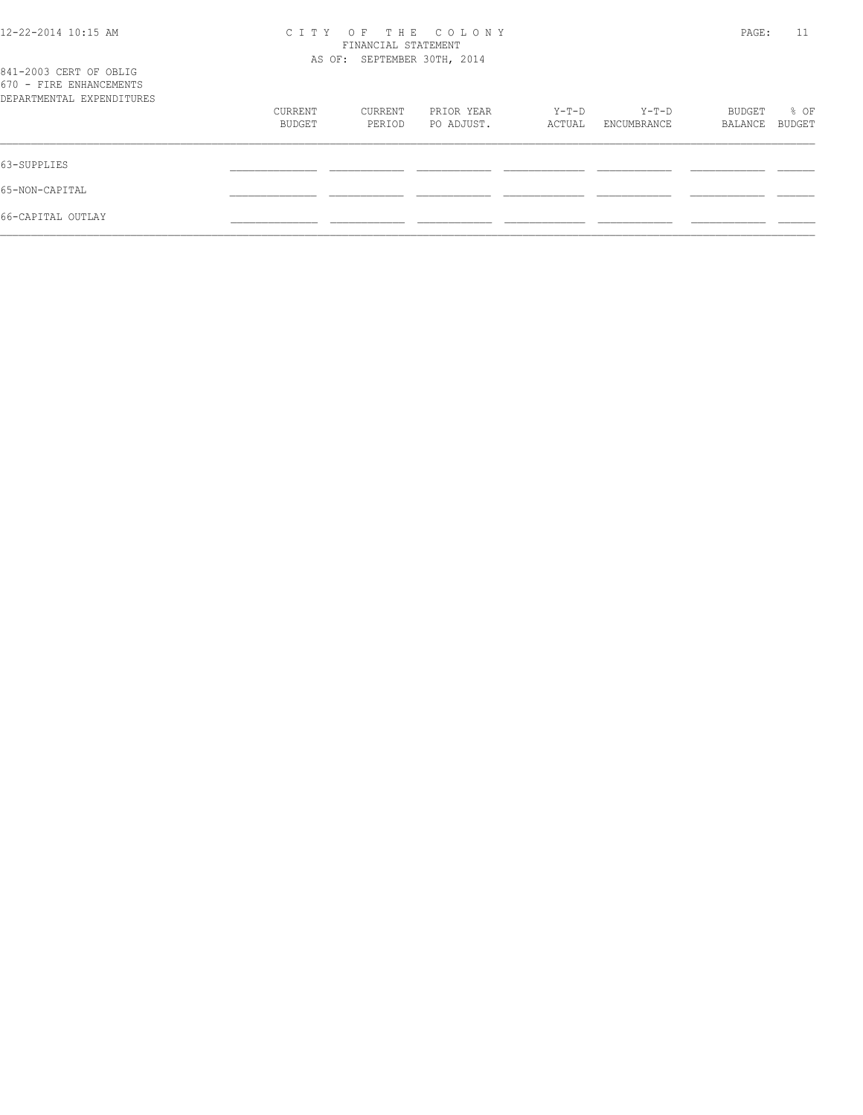| 12-22-2014 10:15 AM                                                            | C T T Y | PAGE:                                              | 11         |         |             |         |        |
|--------------------------------------------------------------------------------|---------|----------------------------------------------------|------------|---------|-------------|---------|--------|
|                                                                                |         | FINANCIAL STATEMENT<br>AS OF: SEPTEMBER 30TH, 2014 |            |         |             |         |        |
| 841-2003 CERT OF OBLIG<br>670 - FIRE ENHANCEMENTS<br>DEPARTMENTAL EXPENDITURES |         |                                                    |            |         |             |         |        |
|                                                                                | CURRENT | CURRENT                                            | PRIOR YEAR | $Y-T-D$ | $Y-T-D$     | BUDGET  | % OF   |
|                                                                                | BUDGET  | PERIOD                                             | PO ADJUST. | ACTUAL  | ENCUMBRANCE | BALANCE | BUDGET |
| 63-SUPPLIES                                                                    |         |                                                    |            |         |             |         |        |
| 65-NON-CAPITAL                                                                 |         |                                                    |            |         |             |         |        |
| 66-CAPITAL OUTLAY                                                              |         |                                                    |            |         |             |         |        |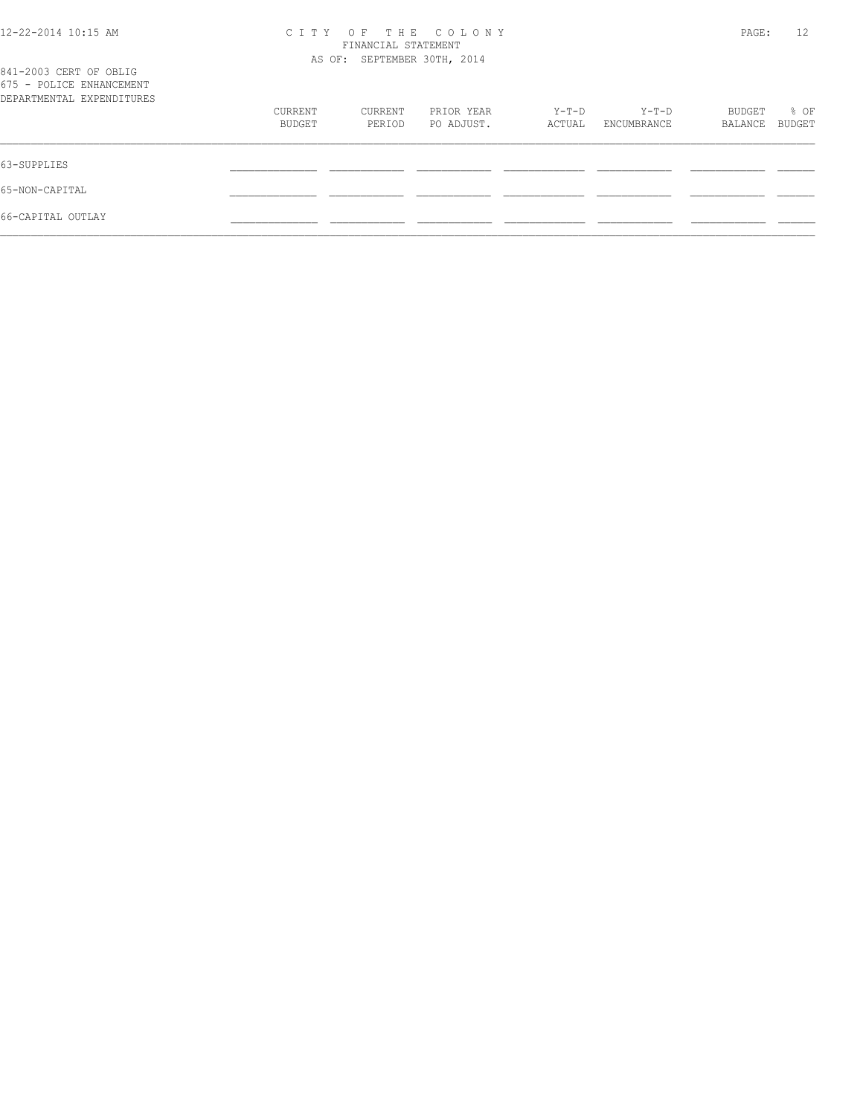| 12-22-2014 10:15 AM                                                             | OF THE COLONY<br>C I T Y<br>FINANCIAL STATEMENT<br>AS OF: SEPTEMBER 30TH, 2014 |         |            |        |             | 12<br>PAGE: |        |  |
|---------------------------------------------------------------------------------|--------------------------------------------------------------------------------|---------|------------|--------|-------------|-------------|--------|--|
| 841-2003 CERT OF OBLIG<br>675 - POLICE ENHANCEMENT<br>DEPARTMENTAL EXPENDITURES |                                                                                |         |            |        |             |             |        |  |
|                                                                                 | CURRENT                                                                        | CURRENT | PRIOR YEAR | Y-T-D  | $Y-T-D$     | BUDGET      | % OF   |  |
|                                                                                 | BUDGET                                                                         | PERIOD  | PO ADJUST. | ACTUAL | ENCUMBRANCE | BALANCE     | BUDGET |  |
| 63-SUPPLIES                                                                     |                                                                                |         |            |        |             |             |        |  |
| 65-NON-CAPITAL                                                                  |                                                                                |         |            |        |             |             |        |  |
| 66-CAPITAL OUTLAY                                                               |                                                                                |         |            |        |             |             |        |  |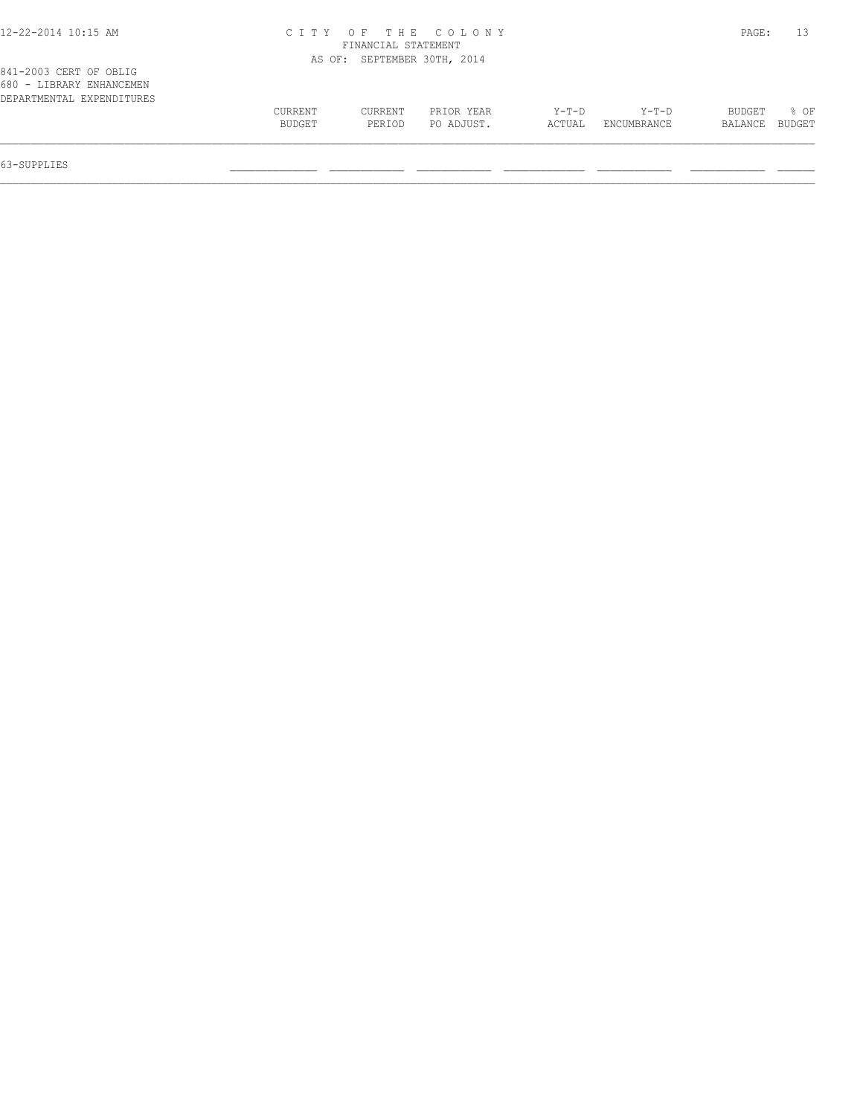# 12-22-2014 10:15 AM C I T Y O F T H E C O L O N Y PAGE: 13 FINANCIAL STATEMENT

|                                                    |         |         | AS OF: SEPTEMBER 30TH, 2014 |         |             |         |        |
|----------------------------------------------------|---------|---------|-----------------------------|---------|-------------|---------|--------|
| 841-2003 CERT OF OBLIG<br>680 - LIBRARY ENHANCEMEN |         |         |                             |         |             |         |        |
| DEPARTMENTAL EXPENDITURES                          |         |         |                             |         |             |         |        |
|                                                    | CURRENT | CURRENT | PRIOR YEAR                  | $Y-T-D$ | Y-T-D       | BUDGET  | 80F    |
|                                                    | BUDGET  | PERIOD  | PO ADJUST.                  | ACTUAL  | ENCUMBRANCE | BALANCE | BUDGET |
|                                                    |         |         |                             |         |             |         |        |

63-SUPPLIES \_\_\_\_\_\_\_\_\_\_\_\_\_\_ \_\_\_\_\_\_\_\_\_\_\_\_ \_\_\_\_\_\_\_\_\_\_\_\_ \_\_\_\_\_\_\_\_\_\_\_\_\_ \_\_\_\_\_\_\_\_\_\_\_\_ \_\_\_\_\_\_\_\_\_\_\_\_ \_\_\_\_\_\_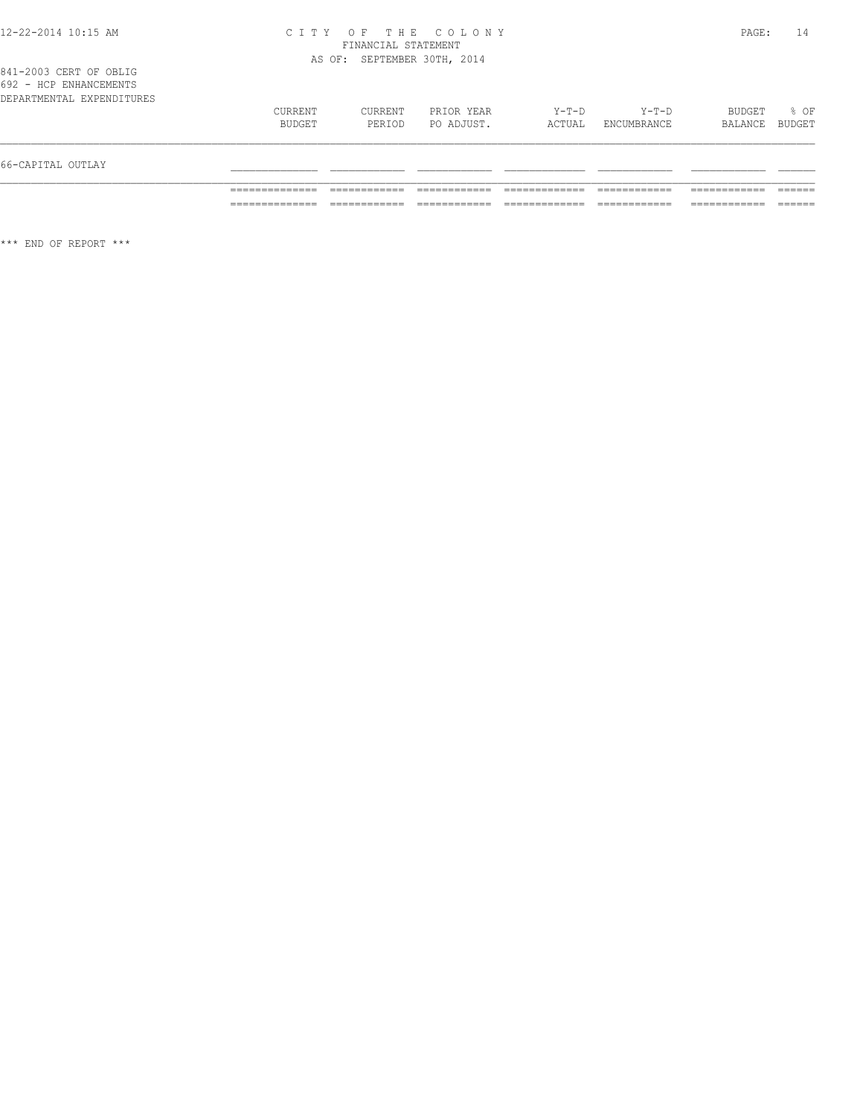#### 12-22-2014 10:15 AM C I T Y O F T H E C O L O N Y PAGE: 14 FINANCIAL STATEMENT AS OF: SEPTEMBER 30TH, 2014

|  |  | 841-2003 CERT OF OBLIG     |  |
|--|--|----------------------------|--|
|  |  | 692 - HCP ENHANCEMENTS     |  |
|  |  | DRPARTMENTAI RYPRNDITHIRRS |  |

| 66-CAPITAL OUTLAY         |                   |                   |                          |                   |                        |                          |        |
|---------------------------|-------------------|-------------------|--------------------------|-------------------|------------------------|--------------------------|--------|
|                           | CURRENT<br>BUDGET | CURRENT<br>PERIOD | PRIOR YEAR<br>PO ADJUST. | $Y-T-D$<br>ACTUAL | $Y-T-D$<br>ENCUMBRANCE | BUDGET<br>BALANCE BUDGET | $8$ OF |
| DEPARTMENTAL EXPENDITURES |                   |                   |                          |                   |                        |                          |        |
| 092 - AVE ENAANVEMENIS    |                   |                   |                          |                   |                        |                          |        |

\*\*\* END OF REPORT \*\*\*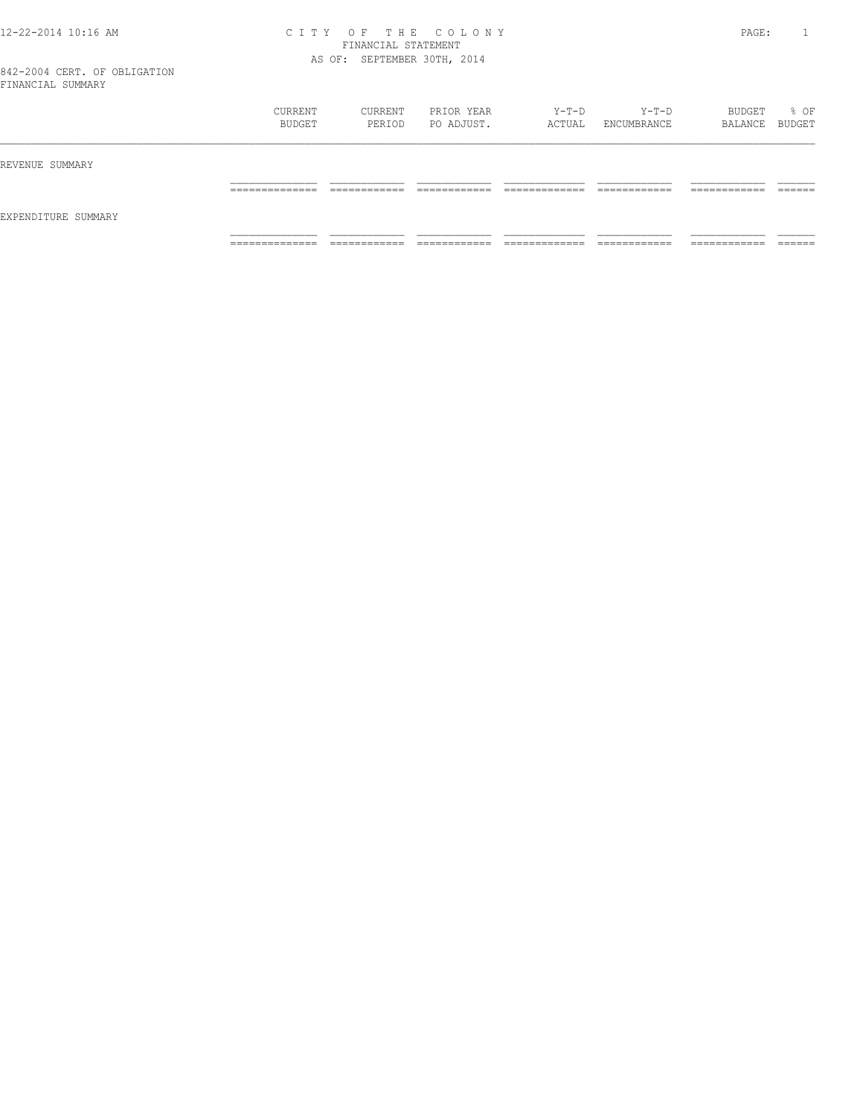#### 12-22-2014 10:16 AM C I T Y O F T H E C O L O N Y PAGE: 1 FINANCIAL STATEMENT AS OF: SEPTEMBER 30TH, 2014

842-2004 CERT. OF OBLIGATION FINANCIAL SUMMARY

|                     | CURRENT<br>BUDGET               | CURRENT<br>PERIOD            | PRIOR YEAR<br>PO ADJUST.    | Y-T-D<br>ACTUAL               | Y-T-D<br>ENCUMBRANCE          | BUDGET<br>BALANCE BUDGET     | % OF             |
|---------------------|---------------------------------|------------------------------|-----------------------------|-------------------------------|-------------------------------|------------------------------|------------------|
| REVENUE SUMMARY     |                                 |                              |                             |                               |                               |                              |                  |
|                     | ______________<br>------------- | ------------<br>____________ | -------------               | ____________<br>_____________ | -------------<br>____________ | -------------<br>----------- | -------<br>_____ |
| EXPENDITURE SUMMARY |                                 |                              |                             |                               |                               |                              |                  |
|                     | ______________<br>------------- | ___________<br>___________   | ____________<br>----------- | _____________<br>.            | -------------<br>.            | -------------<br>.           | _____<br>______  |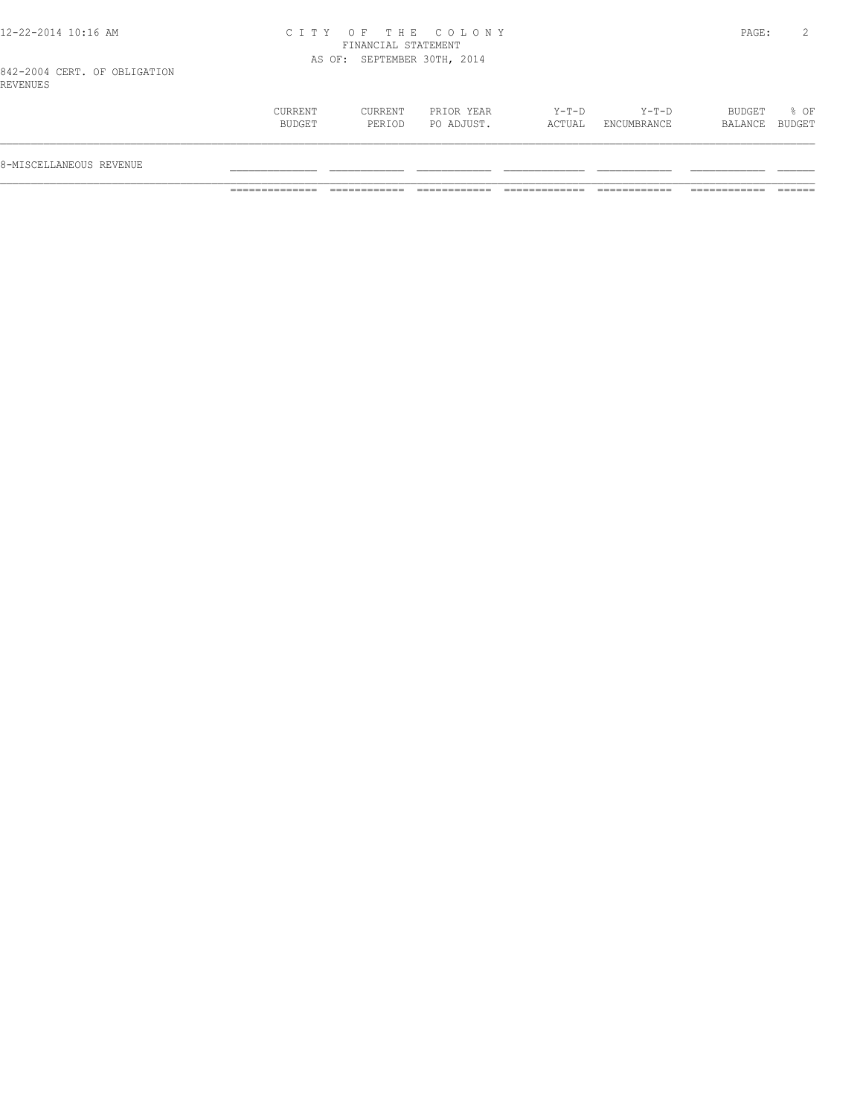# 12-22-2014 10:16 AM C I T Y O F T H E C O L O N Y PAGE: 2 FINANCIAL STATEMENT AS OF: SEPTEMBER 30TH, 2014

842-2004 CERT. OF OBLIGATION REVENUES

| BUDGET<br>Y-T-D<br>$Y-T-D$<br>CURRENT<br>CURRENT<br>PRIOR YEAR<br>PO ADJUST.<br>BUDGET<br>ACTUAL<br>PERIOD<br>ENCUMBRANCE<br>BALANCE BUDGET<br>8-MISCELLANEOUS REVENUE |  |  |  |      |
|------------------------------------------------------------------------------------------------------------------------------------------------------------------------|--|--|--|------|
|                                                                                                                                                                        |  |  |  |      |
|                                                                                                                                                                        |  |  |  | % OF |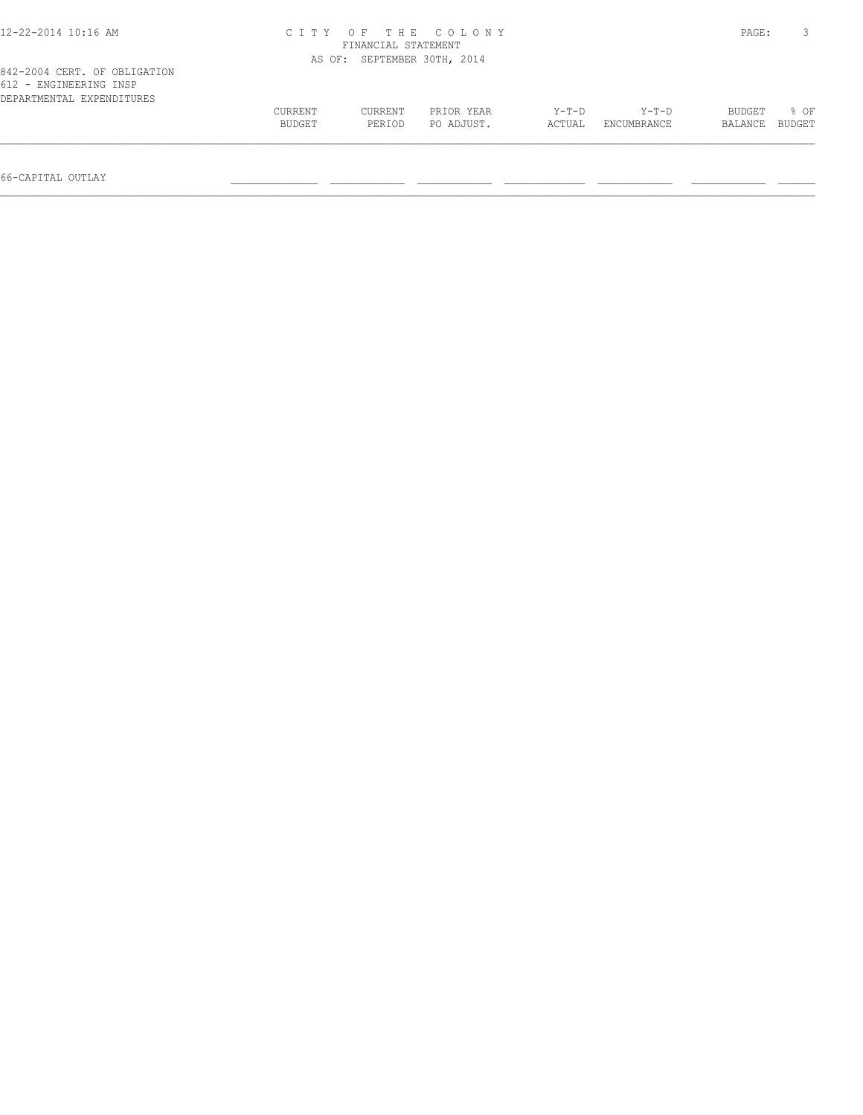| 12-22-2014 10:16 AM                                                                 |         | FINANCIAL STATEMENT         | CITY OF THE COLONY |        |             | PAGE:   |        |
|-------------------------------------------------------------------------------------|---------|-----------------------------|--------------------|--------|-------------|---------|--------|
|                                                                                     |         | AS OF: SEPTEMBER 30TH, 2014 |                    |        |             |         |        |
| 842-2004 CERT. OF OBLIGATION<br>612 - ENGINEERING INSP<br>DEPARTMENTAL EXPENDITURES |         |                             |                    |        |             |         |        |
|                                                                                     | CURRENT | CURRENT                     | PRIOR YEAR         | Y-T-D  | Y-T-D       | BUDGET  | 8 OF   |
|                                                                                     | BUDGET  | PERIOD                      | PO ADJUST.         | ACTUAL | ENCUMBRANCE | BALANCE | BUDGET |
|                                                                                     |         |                             |                    |        |             |         |        |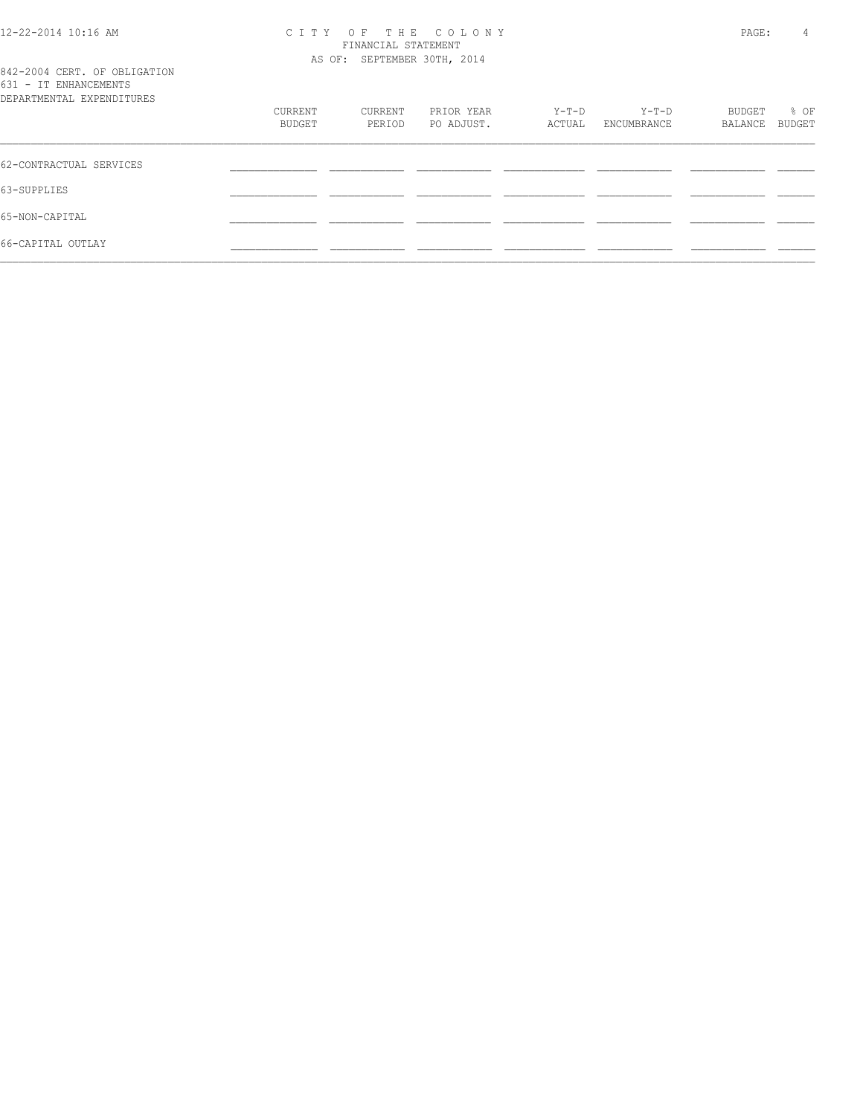# 12-22-2014 10:16 AM C I T Y O F T H E C O L O N Y PAGE: 4 FINANCIAL STATEMENT AS OF: SEPTEMBER 30TH, 2014

|  |                       | 842-2004 CERT. OF OBLIGATION |
|--|-----------------------|------------------------------|
|  | 631 - IT ENHANCEMENTS |                              |
|  |                       | DEPARTMENTAL EXPENDITHERS    |

| DEPARTMENTAL EXPENDITURES | CURRENT | CURRENT | PRIOR YEAR | Y-T-D  | Y-T-D       | BUDGET  | % OF   |
|---------------------------|---------|---------|------------|--------|-------------|---------|--------|
|                           | BUDGET  | PERIOD  | PO ADJUST. | ACTUAL | ENCUMBRANCE | BALANCE | BUDGET |
| 62-CONTRACTUAL SERVICES   |         |         |            |        |             |         |        |
| 63-SUPPLIES               |         |         |            |        |             |         |        |
| 65-NON-CAPITAL            |         |         |            |        |             |         |        |
| 66-CAPITAL OUTLAY         |         |         |            |        |             |         |        |
|                           |         |         |            |        |             |         |        |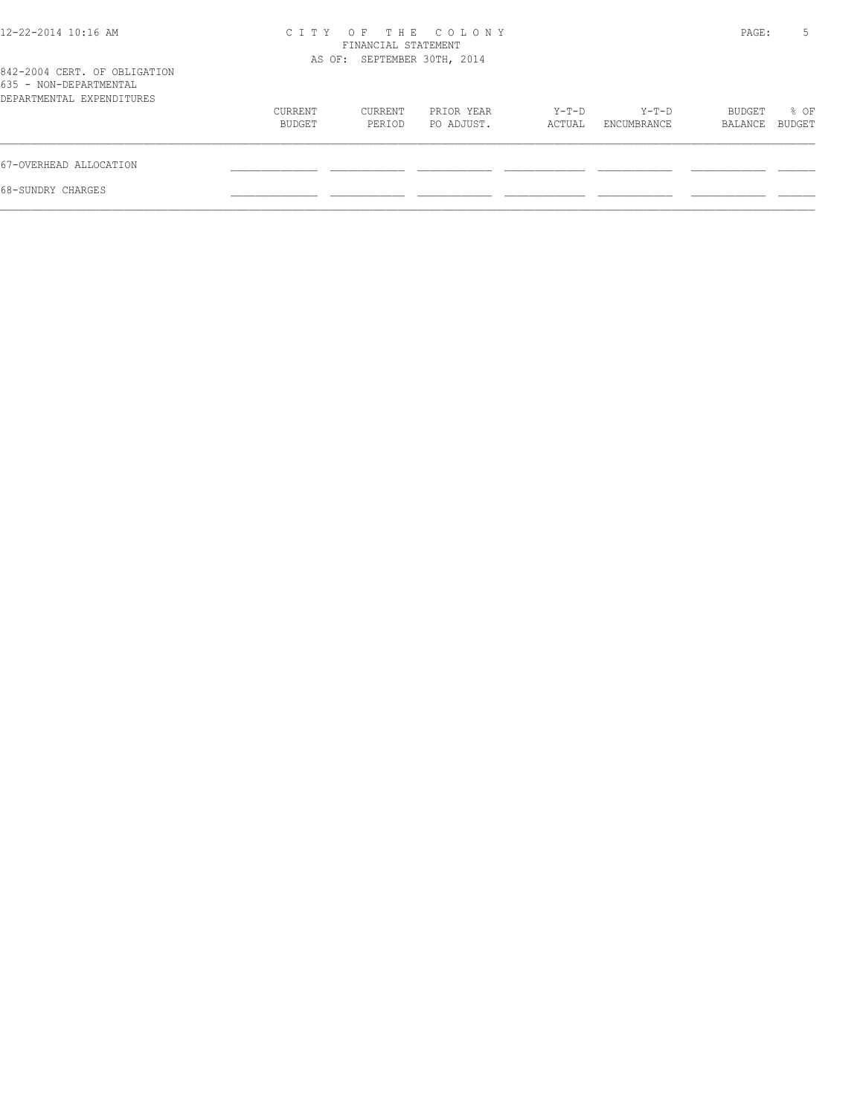| 12-22-2014 10:16 AM                                                                 |                   | FINANCIAL STATEMENT<br>AS OF: SEPTEMBER 30TH, 2014 | CITY OF THE COLONY       |                 |                      | PAGE:             | 5              |
|-------------------------------------------------------------------------------------|-------------------|----------------------------------------------------|--------------------------|-----------------|----------------------|-------------------|----------------|
| 842-2004 CERT. OF OBLIGATION<br>635 - NON-DEPARTMENTAL<br>DEPARTMENTAL EXPENDITURES |                   |                                                    |                          |                 |                      |                   |                |
|                                                                                     | CURRENT<br>BUDGET | CURRENT<br>PERIOD                                  | PRIOR YEAR<br>PO ADJUST. | Y-T-D<br>ACTUAL | Y-T-D<br>ENCUMBRANCE | BUDGET<br>BALANCE | % OF<br>BUDGET |
| 67-OVERHEAD ALLOCATION                                                              |                   |                                                    |                          |                 |                      |                   |                |
| 68-SUNDRY CHARGES                                                                   |                   |                                                    |                          |                 |                      |                   |                |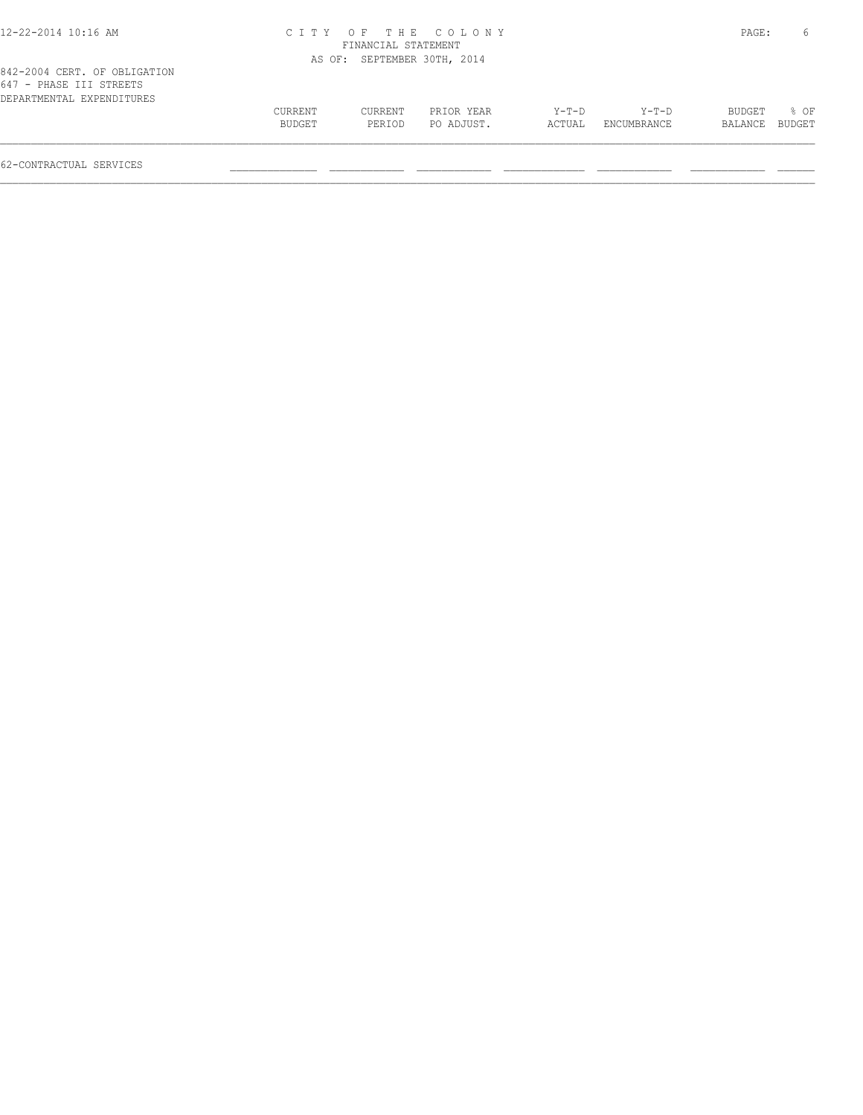| 12-22-2014 10:16 AM                                                                  |                   |                             | CITY OF THE COLONY       |                 |                        | PAGE:             | 6              |
|--------------------------------------------------------------------------------------|-------------------|-----------------------------|--------------------------|-----------------|------------------------|-------------------|----------------|
|                                                                                      |                   | FINANCIAL STATEMENT         |                          |                 |                        |                   |                |
|                                                                                      |                   | AS OF: SEPTEMBER 30TH, 2014 |                          |                 |                        |                   |                |
| 842-2004 CERT. OF OBLIGATION<br>647 - PHASE III STREETS<br>DEPARTMENTAL EXPENDITURES |                   |                             |                          |                 |                        |                   |                |
|                                                                                      | CURRENT<br>BUDGET | CURRENT<br>PERIOD           | PRIOR YEAR<br>PO ADJUST. | Y-T-D<br>ACTUAL | $Y-T-D$<br>ENCUMBRANCE | BUDGET<br>BALANCE | 8 OF<br>BUDGET |
|                                                                                      |                   |                             |                          |                 |                        |                   |                |

62-CONTRACTUAL SERVICES \_\_\_\_\_\_\_\_\_\_\_\_\_\_ \_\_\_\_\_\_\_\_\_\_\_\_ \_\_\_\_\_\_\_\_\_\_\_\_ \_\_\_\_\_\_\_\_\_\_\_\_\_ \_\_\_\_\_\_\_\_\_\_\_\_ \_\_\_\_\_\_\_\_\_\_\_\_ \_\_\_\_\_\_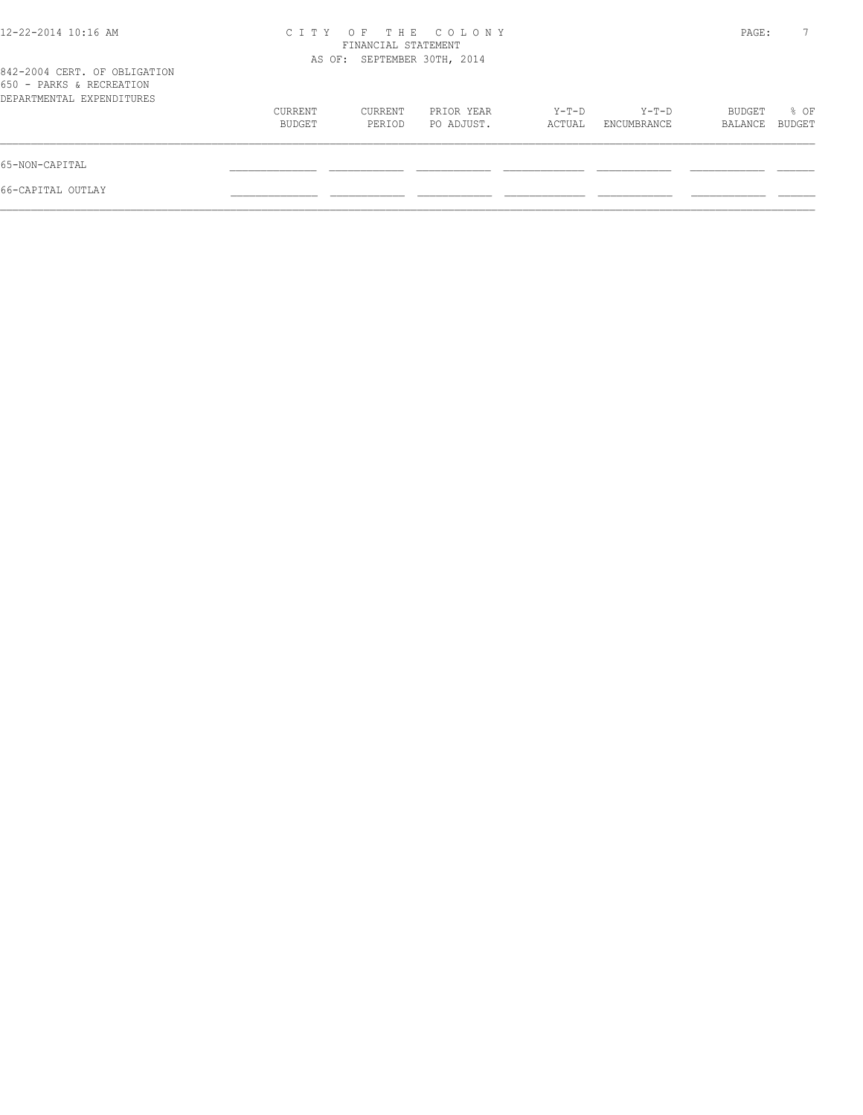| OF THE COLONY<br>C T T Y<br>FINANCIAL STATEMENT |                   |                          |                             |                      |                   |                |
|-------------------------------------------------|-------------------|--------------------------|-----------------------------|----------------------|-------------------|----------------|
|                                                 |                   |                          |                             |                      |                   |                |
| CURRENT<br>BUDGET                               | CURRENT<br>PERIOD | PRIOR YEAR<br>PO ADJUST. | Y-T-D<br>ACTUAL             | Y-T-D<br>ENCUMBRANCE | BUDGET<br>BALANCE | % OF<br>BUDGET |
|                                                 |                   |                          |                             |                      |                   |                |
|                                                 |                   |                          |                             |                      |                   |                |
|                                                 |                   |                          | AS OF: SEPTEMBER 30TH, 2014 |                      |                   | PAGE:          |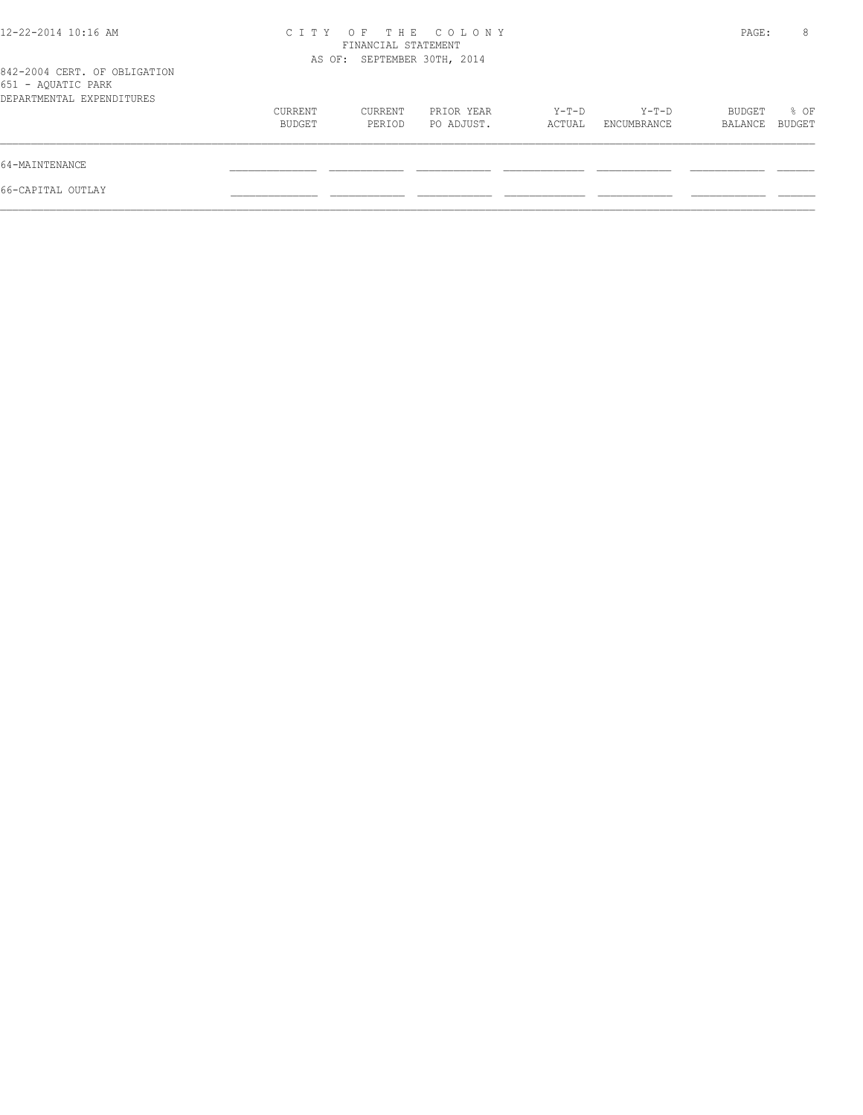| 12-22-2014 10:16 AM                                                             |                             | FINANCIAL STATEMENT | CITY OF THE COLONY       |                 |                      | PAGE:             | 8              |
|---------------------------------------------------------------------------------|-----------------------------|---------------------|--------------------------|-----------------|----------------------|-------------------|----------------|
| 842-2004 CERT. OF OBLIGATION<br>651 - AQUATIC PARK<br>DEPARTMENTAL EXPENDITURES | AS OF: SEPTEMBER 30TH, 2014 |                     |                          |                 |                      |                   |                |
|                                                                                 | CURRENT<br>BUDGET           | CURRENT<br>PERIOD   | PRIOR YEAR<br>PO ADJUST. | Y-T-D<br>ACTUAL | Y-T-D<br>ENCUMBRANCE | BUDGET<br>BALANCE | % OF<br>BUDGET |
| 64-MAINTENANCE                                                                  |                             |                     |                          |                 |                      |                   |                |
| 66-CAPITAL OUTLAY                                                               |                             |                     |                          |                 |                      |                   |                |
|                                                                                 |                             |                     |                          |                 |                      |                   |                |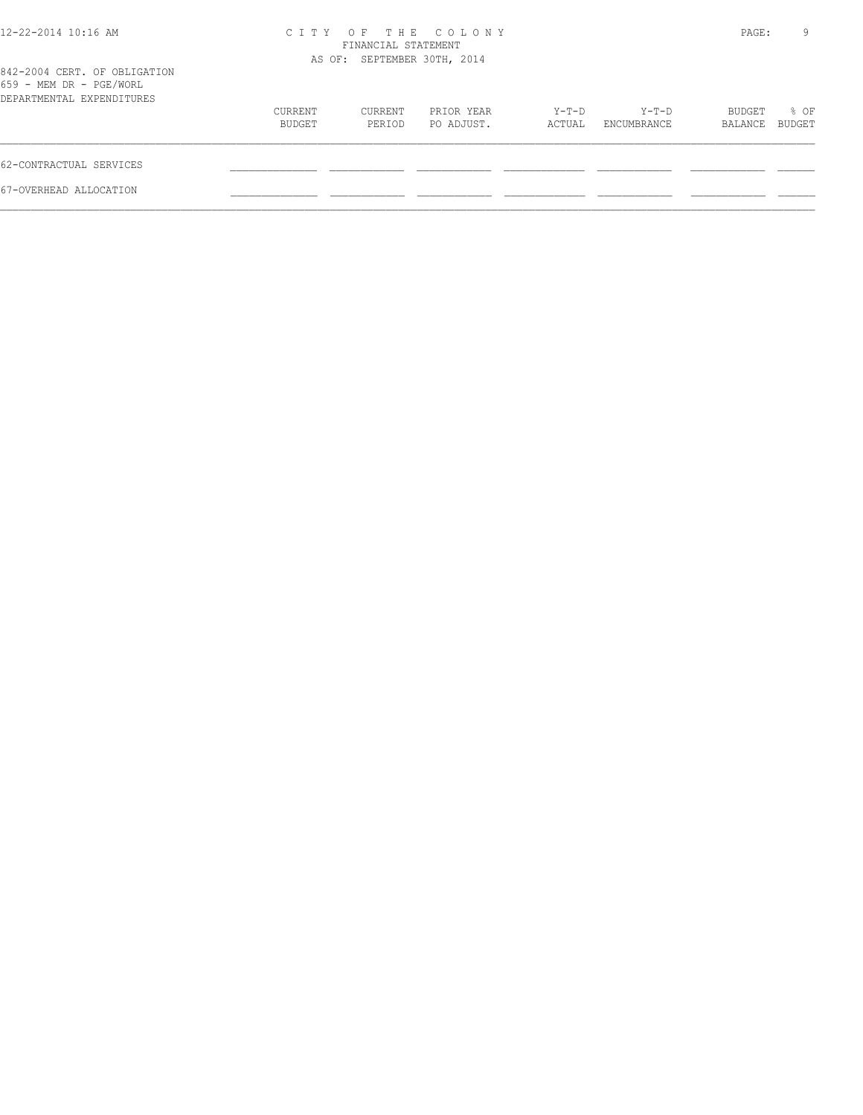| CITY OF THE COLONY<br>FINANCIAL STATEMENT<br>AS OF: SEPTEMBER 30TH, 2014 |                                              |  |  |  |  |
|--------------------------------------------------------------------------|----------------------------------------------|--|--|--|--|
|                                                                          |                                              |  |  |  |  |
| $Y-T-D$<br>PRIOR YEAR<br>PO ADJUST.<br>ENCUMBRANCE<br>ACTUAL             | Y-T-D<br>BUDGET<br>% OF<br>BUDGET<br>BALANCE |  |  |  |  |
|                                                                          |                                              |  |  |  |  |
|                                                                          |                                              |  |  |  |  |
|                                                                          |                                              |  |  |  |  |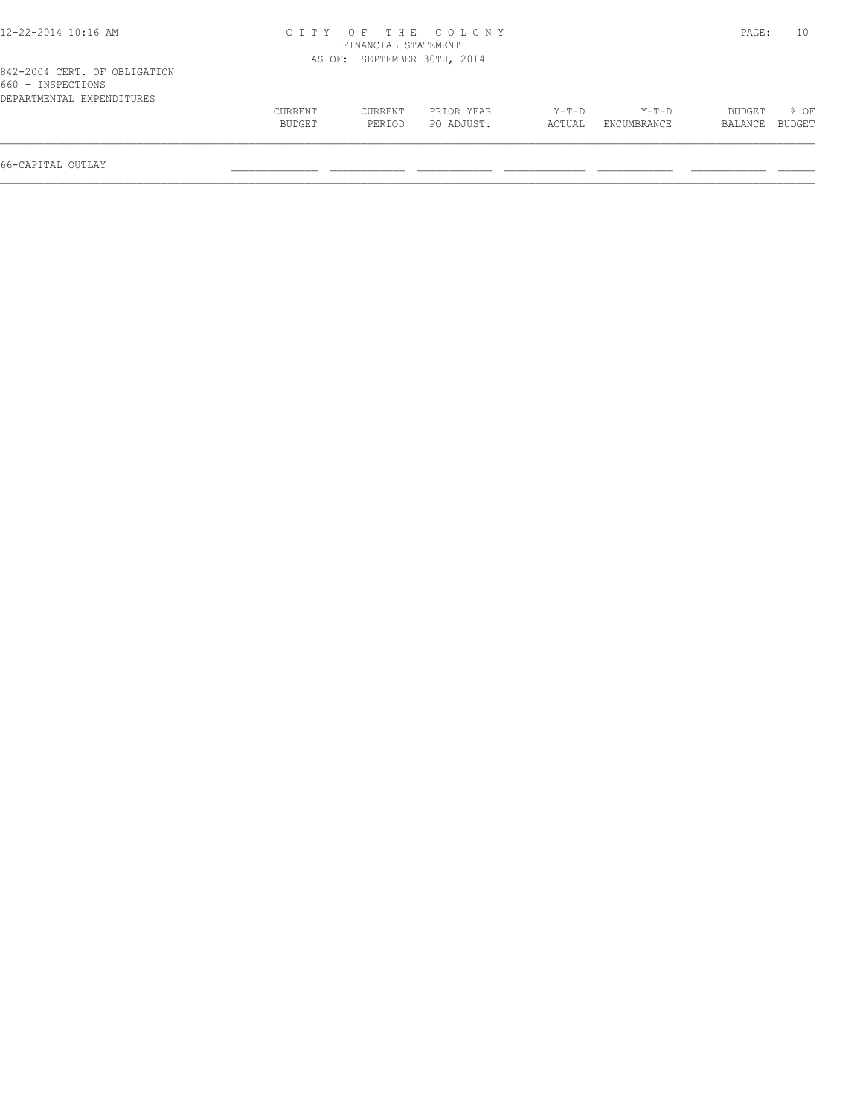| 12-22-2014 10:16 AM                                                            |                   |                             | CITY OF THE COLONY       |                   |                        | PAGE:             | 10               |
|--------------------------------------------------------------------------------|-------------------|-----------------------------|--------------------------|-------------------|------------------------|-------------------|------------------|
|                                                                                |                   | FINANCIAL STATEMENT         |                          |                   |                        |                   |                  |
|                                                                                |                   | AS OF: SEPTEMBER 30TH, 2014 |                          |                   |                        |                   |                  |
| 842-2004 CERT. OF OBLIGATION<br>660 - INSPECTIONS<br>DEPARTMENTAL EXPENDITURES |                   |                             |                          |                   |                        |                   |                  |
|                                                                                | CURRENT<br>BUDGET | CURRENT<br>PERIOD           | PRIOR YEAR<br>PO ADJUST. | $Y-T-D$<br>ACTUAL | $Y-T-D$<br>ENCUMBRANCE | BUDGET<br>BALANCE | $8$ OF<br>BUDGET |
|                                                                                |                   |                             |                          |                   |                        |                   |                  |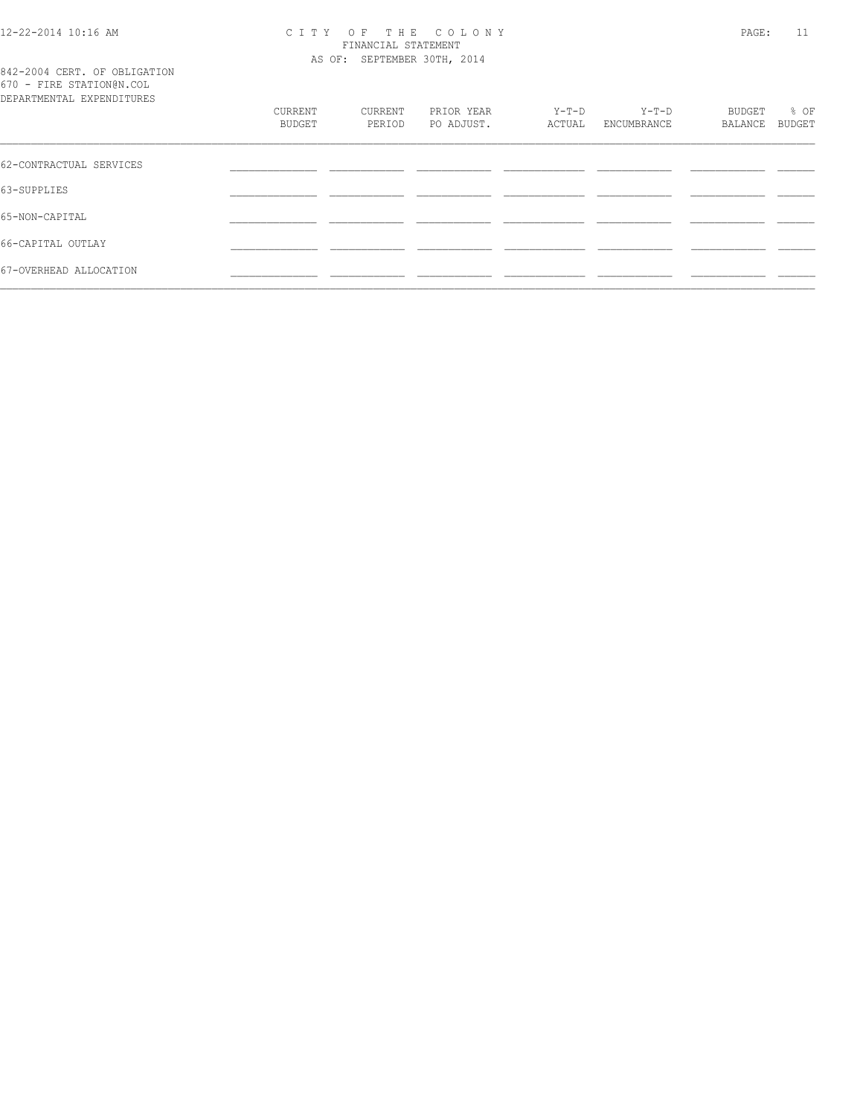#### 12-22-2014 10:16 AM C I T Y O F T H E C O L O N Y PAGE: 11 FINANCIAL STATEMENT AS OF: SEPTEMBER 30TH, 2014

842-2004 CERT. OF OBLIGATION 670 - FIRE STATION@N.COL

| DEPARTMENTAL EXPENDITURES |                   |                   |                          |                 |                      |                   |                       |
|---------------------------|-------------------|-------------------|--------------------------|-----------------|----------------------|-------------------|-----------------------|
|                           | CURRENT<br>BUDGET | CURRENT<br>PERIOD | PRIOR YEAR<br>PO ADJUST. | Y-T-D<br>ACTUAL | Y-T-D<br>ENCUMBRANCE | BUDGET<br>BALANCE | % OF<br><b>BUDGET</b> |
| 62-CONTRACTUAL SERVICES   |                   |                   |                          |                 |                      |                   |                       |
| 63-SUPPLIES               |                   |                   |                          |                 |                      |                   |                       |
| 65-NON-CAPITAL            |                   |                   |                          |                 |                      |                   |                       |
| 66-CAPITAL OUTLAY         |                   |                   |                          |                 |                      |                   |                       |
| 67-OVERHEAD ALLOCATION    |                   |                   |                          |                 |                      |                   |                       |
|                           |                   |                   |                          |                 |                      |                   |                       |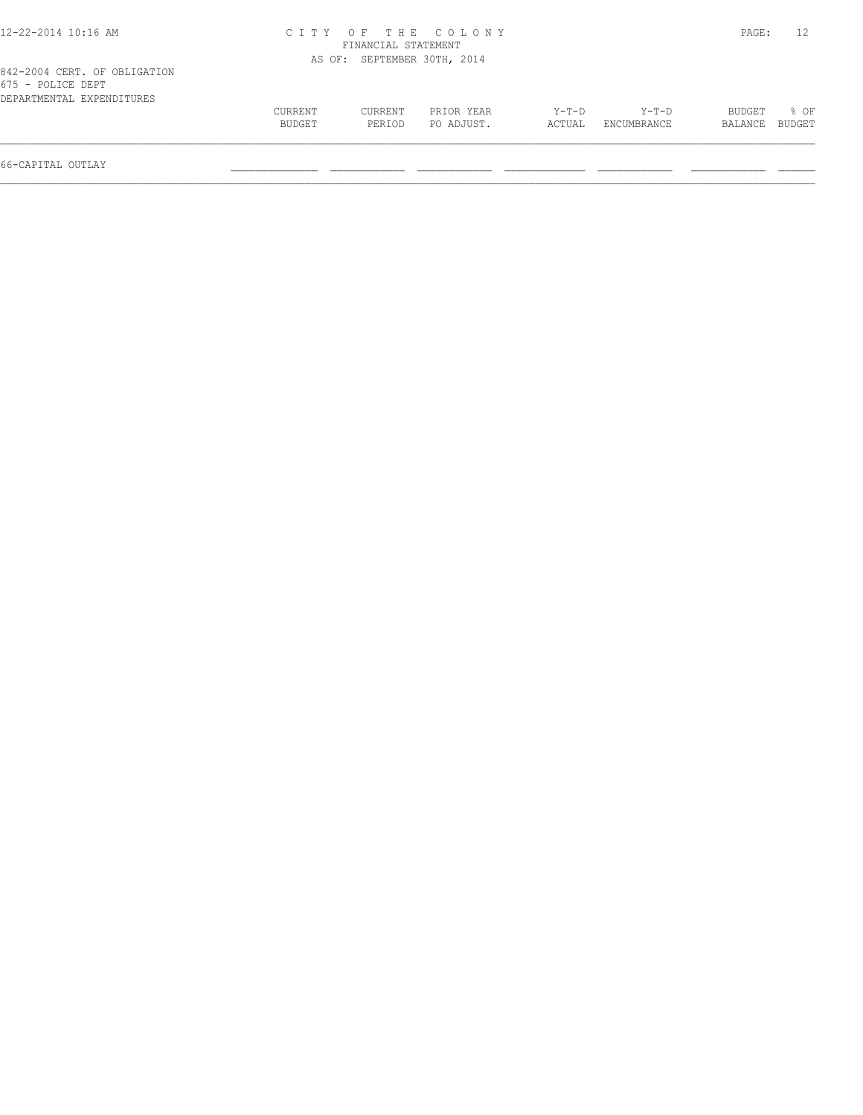| CURRENT<br>BUDGET | CURRENT<br>PERIOD | PRIOR YEAR<br>PO ADJUST. | $Y-T-D$<br>ACTUAL                                                        | $Y-T-D$<br>ENCUMBRANCE | BUDGET<br>BALANCE | $8$ OF<br>BUDGET |
|-------------------|-------------------|--------------------------|--------------------------------------------------------------------------|------------------------|-------------------|------------------|
|                   |                   |                          | CITY OF THE COLONY<br>FINANCIAL STATEMENT<br>AS OF: SEPTEMBER 30TH, 2014 |                        |                   | PAGE:            |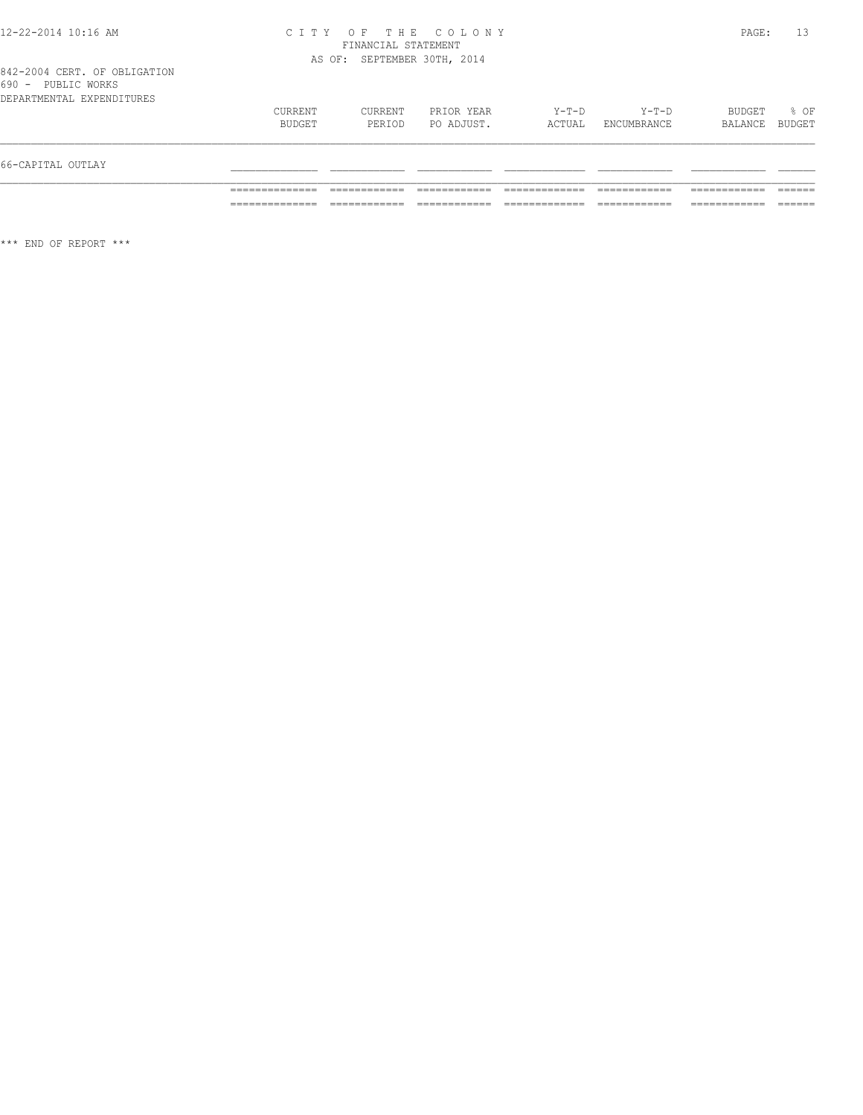#### 12-22-2014 10:16 AM C I T Y O F T H E C O L O N Y PAGE: 13 FINANCIAL STATEMENT AS OF: SEPTEMBER 30TH, 2014

|  |                    |  | 842-2004 CERT. OF OBLIGATION |
|--|--------------------|--|------------------------------|
|  | 690 - PUBLIC WORKS |  |                              |
|  |                    |  | DEPARTMENTAL EXPENDITURES    |

| 66-CAPITAL OUTLAY         |                   |                   |                          |                   |                        |                   |                |
|---------------------------|-------------------|-------------------|--------------------------|-------------------|------------------------|-------------------|----------------|
| DEPARTMENTAL EXPENDITURES | CURRENT<br>BUDGET | CURRENT<br>PERIOD | PRIOR YEAR<br>PO ADJUST. | $Y-T-D$<br>ACTUAL | $Y-T-D$<br>ENCUMBRANCE | BUDGET<br>BALANCE | % OF<br>BUDGET |

\*\*\* END OF REPORT \*\*\*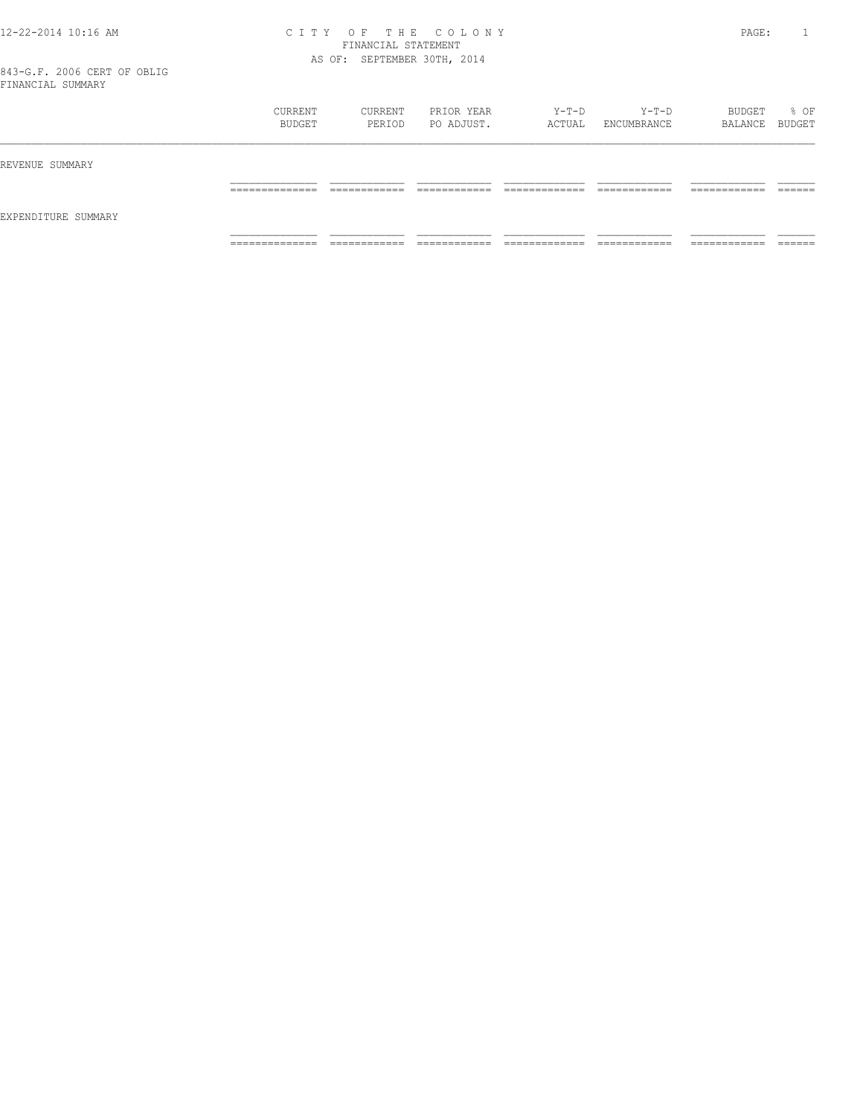#### 12-22-2014 10:16 AM C I T Y O F T H E C O L O N Y PAGE: 1 FINANCIAL STATEMENT AS OF: SEPTEMBER 30TH, 2014

|                     | CURRENT<br>BUDGET                 | CURRENT<br>PERIOD            | PRIOR YEAR<br>PO ADJUST.     | Y-T-D<br>ACTUAL                | Y-T-D<br>ENCUMBRANCE         | BUDGET<br>BALANCE BUDGET      | % OF               |
|---------------------|-----------------------------------|------------------------------|------------------------------|--------------------------------|------------------------------|-------------------------------|--------------------|
| REVENUE SUMMARY     |                                   |                              |                              |                                |                              |                               |                    |
|                     | ______________<br>_______________ | ____________<br>____________ | -------------<br>_________   | _____________<br>_____________ | ____________<br>____________ | ____________<br>____________  | -------<br>_______ |
| EXPENDITURE SUMMARY |                                   |                              |                              |                                |                              |                               |                    |
|                     | ______________<br>.               | ___________<br>____________  | ____________<br>____________ | _____________<br>_____________ | ____________<br>____________ | -------------<br>____________ | _______            |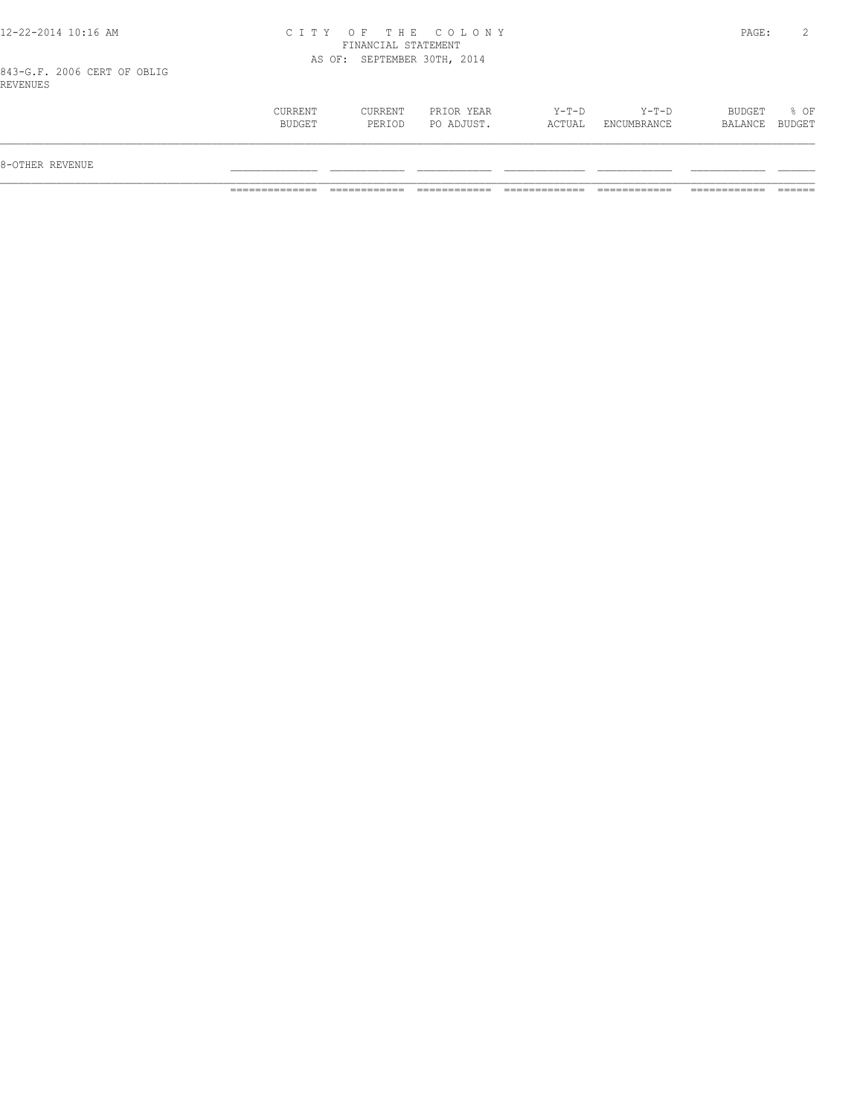| 12-22-2014 10:16 AM |  |  |
|---------------------|--|--|
|---------------------|--|--|

# 12-22-2014 10:16 AM C I T Y O F T H E C O L O N Y PAGE: 2 FINANCIAL STATEMENT AS OF: SEPTEMBER 30TH, 2014

843-G.F. 2006 CERT OF OBLIG REVENUES

| 8-OTHER REVENUE                                                                                                                           |      |
|-------------------------------------------------------------------------------------------------------------------------------------------|------|
|                                                                                                                                           |      |
| BUDGET<br>CURRENT<br>CURRENT<br>Y-T-D<br>Y-T-D<br>PRIOR YEAR<br>PO ADJUST.<br>BALANCE BUDGET<br>BUDGET<br>ACTUAL<br>ENCUMBRANCE<br>PERIOD | % OF |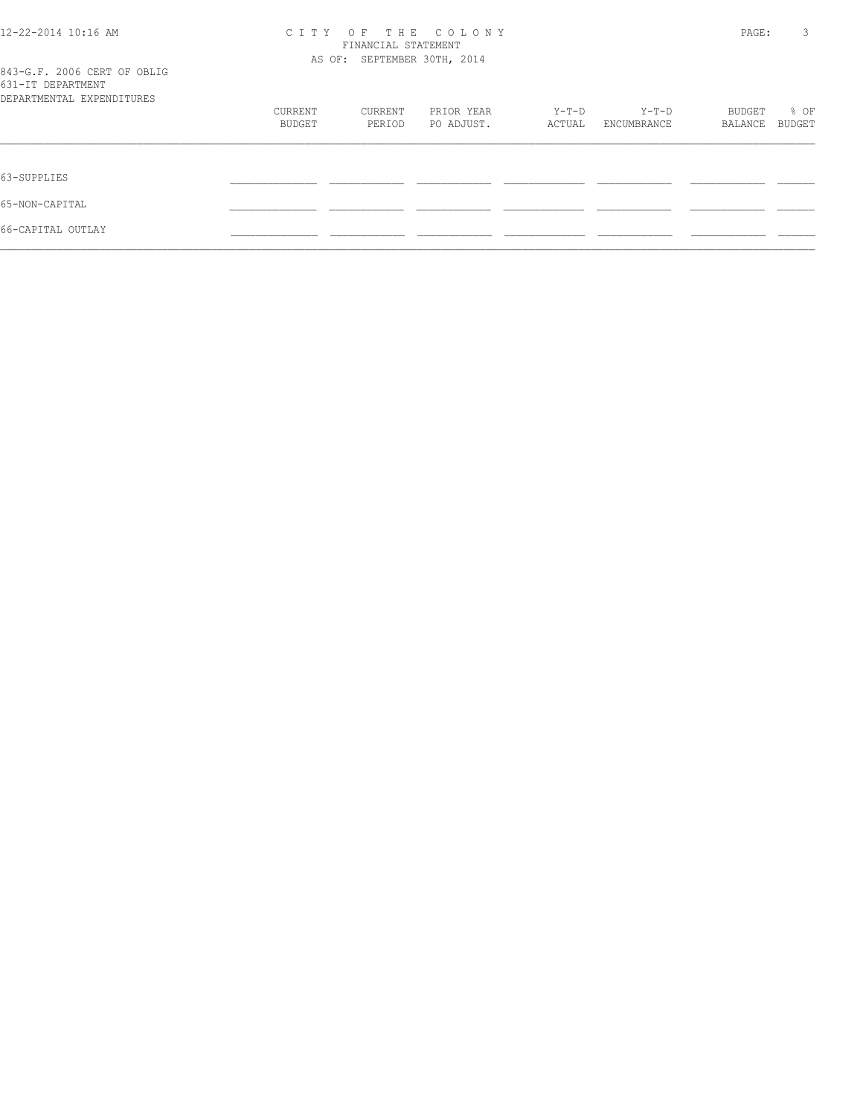| 12-22-2014 10:16 AM<br>843-G.F. 2006 CERT OF OBLIG | OF<br>THE COLONY<br>C I T Y<br>FINANCIAL STATEMENT<br>AS OF: SEPTEMBER 30TH, 2014 |         |            |        |             |         |        |  |
|----------------------------------------------------|-----------------------------------------------------------------------------------|---------|------------|--------|-------------|---------|--------|--|
| 631-IT DEPARTMENT<br>DEPARTMENTAL EXPENDITURES     |                                                                                   |         |            |        |             |         |        |  |
|                                                    | CURRENT                                                                           | CURRENT | PRIOR YEAR | Y-T-D  | Y-T-D       | BUDGET  | % OF   |  |
|                                                    | BUDGET                                                                            | PERIOD  | PO ADJUST. | ACTUAL | ENCUMBRANCE | BALANCE | BUDGET |  |
| 63-SUPPLIES                                        |                                                                                   |         |            |        |             |         |        |  |
| 65-NON-CAPITAL                                     |                                                                                   |         |            |        |             |         |        |  |
| 66-CAPITAL OUTLAY                                  |                                                                                   |         |            |        |             |         |        |  |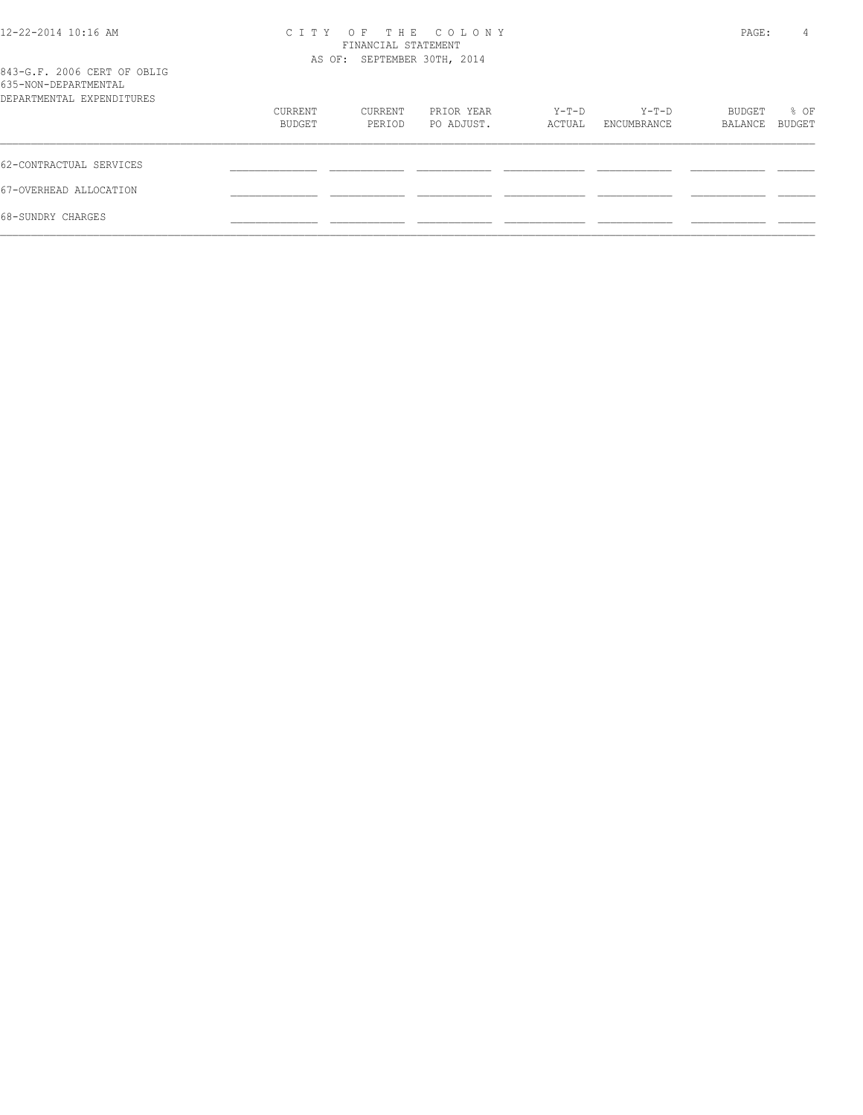| 12-22-2014 10:16 AM                                                              | C T T Y                     | PAGE:   | 4          |        |             |         |        |
|----------------------------------------------------------------------------------|-----------------------------|---------|------------|--------|-------------|---------|--------|
|                                                                                  | AS OF: SEPTEMBER 30TH, 2014 |         |            |        |             |         |        |
| 843-G.F. 2006 CERT OF OBLIG<br>635-NON-DEPARTMENTAL<br>DEPARTMENTAL EXPENDITURES |                             |         |            |        |             |         |        |
|                                                                                  | CURRENT                     | CURRENT | PRIOR YEAR | Y-T-D  | Y-T-D       | BUDGET  | % OF   |
|                                                                                  | BUDGET                      | PERIOD  | PO ADJUST. | ACTUAL | ENCUMBRANCE | BALANCE | BUDGET |
| 62-CONTRACTUAL SERVICES                                                          |                             |         |            |        |             |         |        |
| 67-OVERHEAD ALLOCATION                                                           |                             |         |            |        |             |         |        |
| 68-SUNDRY CHARGES                                                                |                             |         |            |        |             |         |        |
|                                                                                  |                             |         |            |        |             |         |        |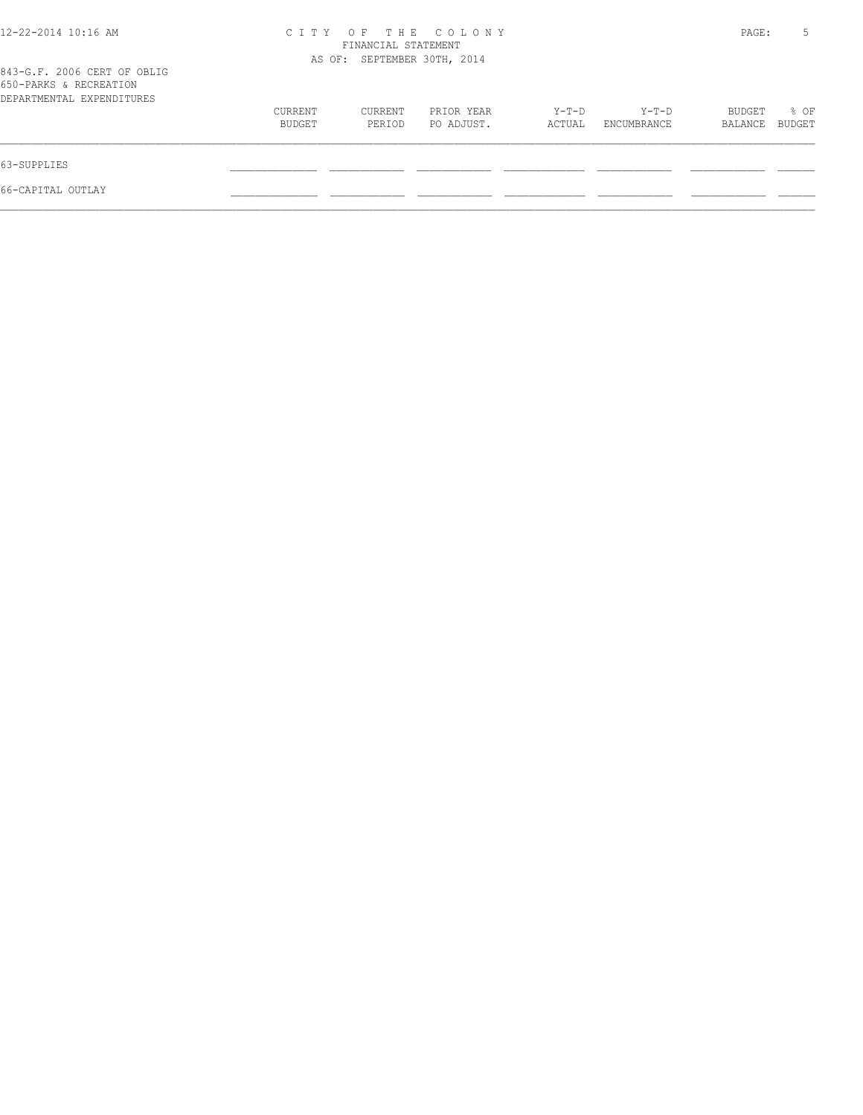| 12-22-2014 10:16 AM                                                                |                   | FINANCIAL STATEMENT<br>AS OF: SEPTEMBER 30TH, 2014 | CITY OF THE COLONY       |                 |                      | PAGE:             | 5              |
|------------------------------------------------------------------------------------|-------------------|----------------------------------------------------|--------------------------|-----------------|----------------------|-------------------|----------------|
| 843-G.F. 2006 CERT OF OBLIG<br>650-PARKS & RECREATION<br>DEPARTMENTAL EXPENDITURES |                   |                                                    |                          |                 |                      |                   |                |
|                                                                                    | CURRENT<br>BUDGET | CURRENT<br>PERIOD                                  | PRIOR YEAR<br>PO ADJUST. | Y-T-D<br>ACTUAL | Y-T-D<br>ENCUMBRANCE | BUDGET<br>BALANCE | % OF<br>BUDGET |
| 63-SUPPLIES                                                                        |                   |                                                    |                          |                 |                      |                   |                |
| 66-CAPITAL OUTLAY                                                                  |                   |                                                    |                          |                 |                      |                   |                |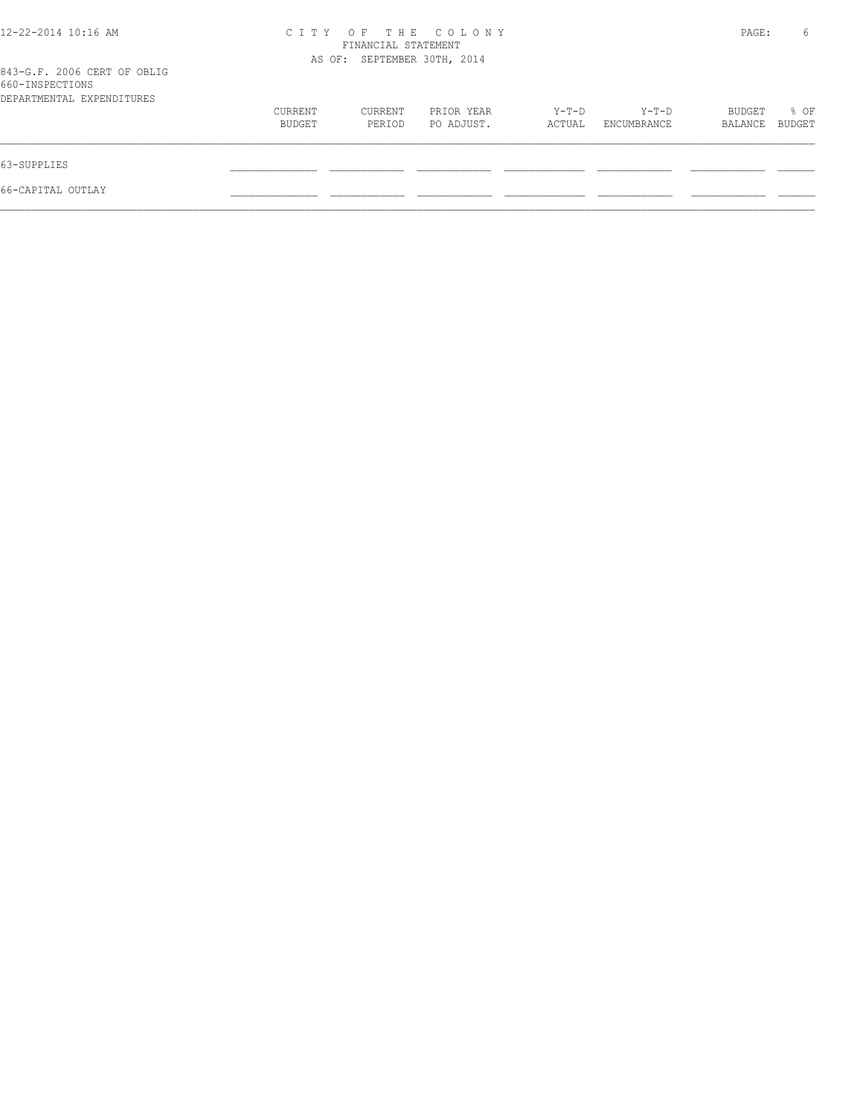| 12-22-2014 10:16 AM                                                         |                             | FINANCIAL STATEMENT | CITY OF THE COLONY       |                   |                        | PAGE:             | 6              |
|-----------------------------------------------------------------------------|-----------------------------|---------------------|--------------------------|-------------------|------------------------|-------------------|----------------|
| 843-G.F. 2006 CERT OF OBLIG<br>660-INSPECTIONS<br>DEPARTMENTAL EXPENDITURES | AS OF: SEPTEMBER 30TH, 2014 |                     |                          |                   |                        |                   |                |
|                                                                             | CURRENT<br>BUDGET           | CURRENT<br>PERIOD   | PRIOR YEAR<br>PO ADJUST. | $Y-T-D$<br>ACTUAL | $Y-T-D$<br>ENCUMBRANCE | BUDGET<br>BALANCE | % OF<br>BUDGET |
| 63-SUPPLIES                                                                 |                             |                     |                          |                   |                        |                   |                |
| 66-CAPITAL OUTLAY                                                           |                             |                     |                          |                   |                        |                   |                |
|                                                                             |                             |                     |                          |                   |                        |                   |                |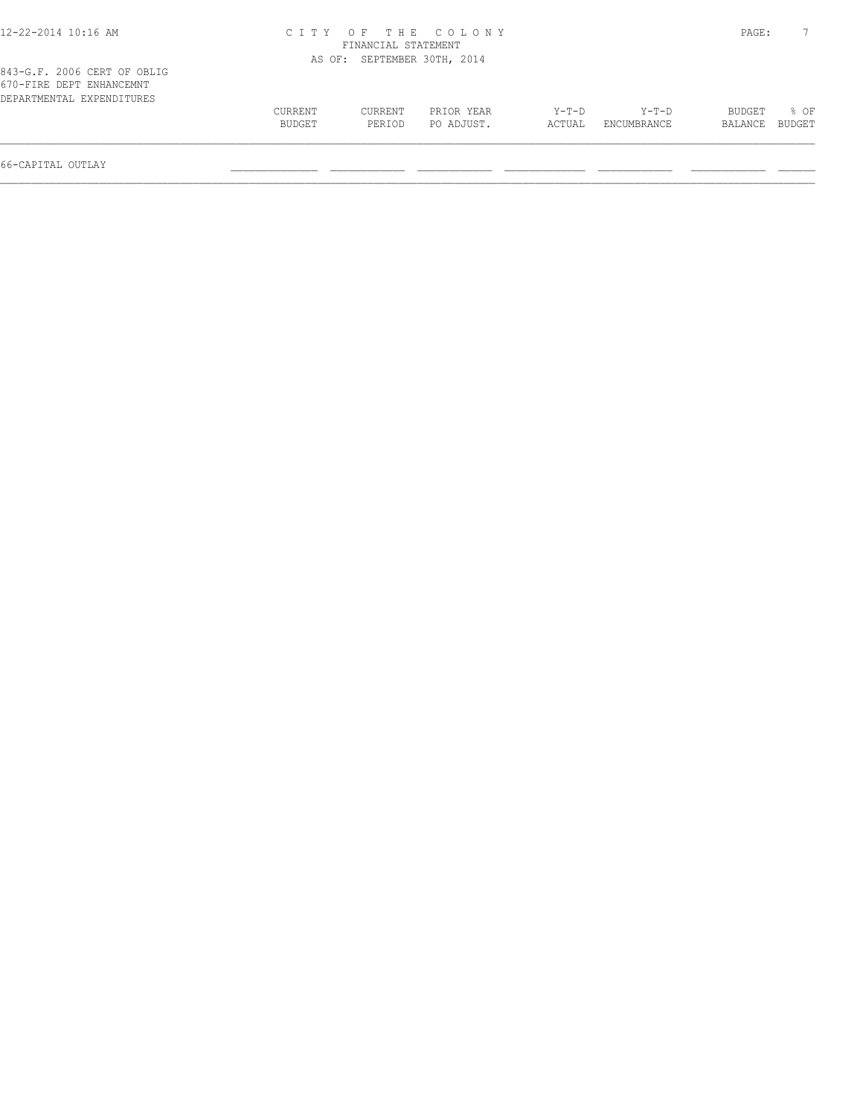| 12-22-2014 10:16 AM                                                                  |                   |                     | CITY OF THE COLONY          |                 |                      | PAGE:             |                |
|--------------------------------------------------------------------------------------|-------------------|---------------------|-----------------------------|-----------------|----------------------|-------------------|----------------|
|                                                                                      |                   | FINANCIAL STATEMENT |                             |                 |                      |                   |                |
|                                                                                      |                   |                     | AS OF: SEPTEMBER 30TH, 2014 |                 |                      |                   |                |
| 843-G.F. 2006 CERT OF OBLIG<br>670-FIRE DEPT ENHANCEMNT<br>DEPARTMENTAL EXPENDITURES |                   |                     |                             |                 |                      |                   |                |
|                                                                                      | CURRENT<br>BUDGET | CURRENT<br>PERIOD   | PRIOR YEAR<br>PO ADJUST.    | Y-T-D<br>ACTUAL | Y-T-D<br>ENCUMBRANCE | BUDGET<br>BALANCE | 8 OF<br>BUDGET |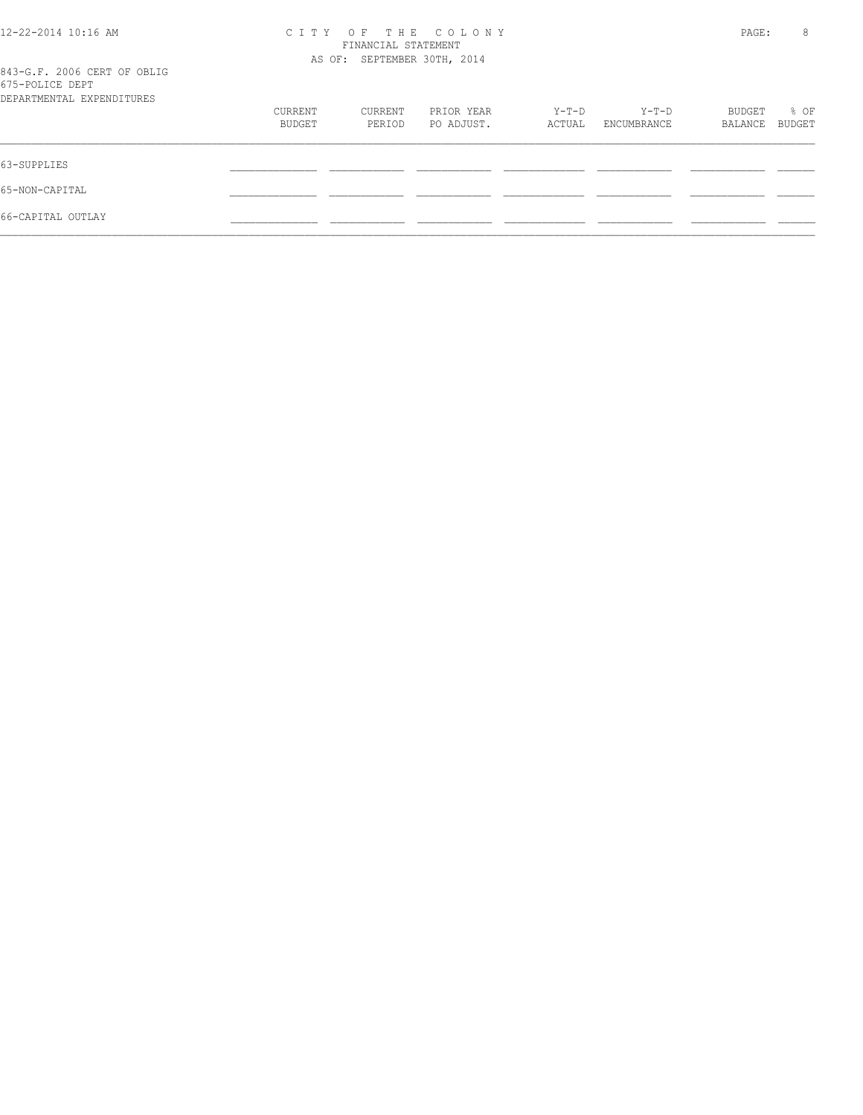| 12-22-2014 10:16 AM                            | C T T Y                     | PAGE:   | 8          |        |             |         |        |
|------------------------------------------------|-----------------------------|---------|------------|--------|-------------|---------|--------|
|                                                |                             |         |            |        |             |         |        |
|                                                | AS OF: SEPTEMBER 30TH, 2014 |         |            |        |             |         |        |
| 843-G.F. 2006 CERT OF OBLIG<br>675-POLICE DEPT |                             |         |            |        |             |         |        |
| DEPARTMENTAL EXPENDITURES                      |                             |         |            |        |             |         |        |
|                                                | CURRENT                     | CURRENT | PRIOR YEAR | Y-T-D  | Y-T-D       | BUDGET  | % OF   |
|                                                | BUDGET                      | PERIOD  | PO ADJUST. | ACTUAL | ENCUMBRANCE | BALANCE | BUDGET |
| 63-SUPPLIES                                    |                             |         |            |        |             |         |        |
| 65-NON-CAPITAL                                 |                             |         |            |        |             |         |        |
| 66-CAPITAL OUTLAY                              |                             |         |            |        |             |         |        |
|                                                |                             |         |            |        |             |         |        |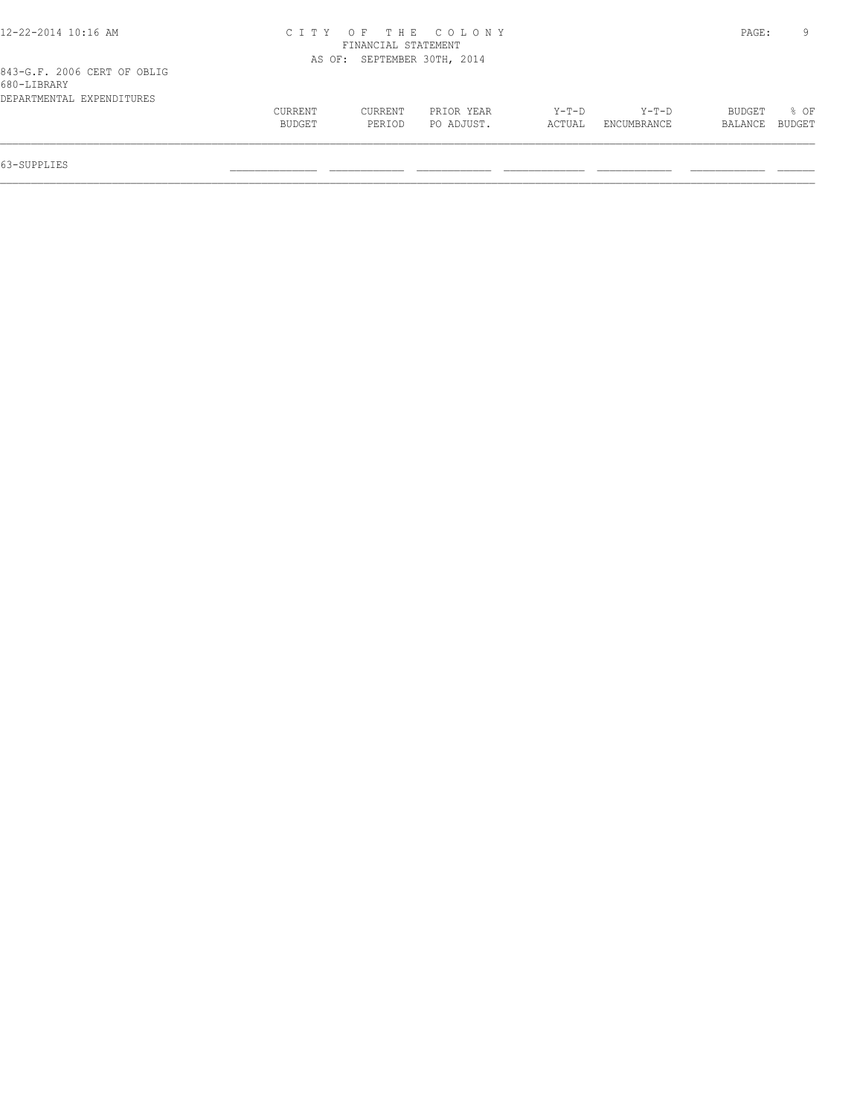| 12-22-2014 10:16 AM         |         |                             | CITY OF THE COLONY |         |             | PAGE:   |        |
|-----------------------------|---------|-----------------------------|--------------------|---------|-------------|---------|--------|
|                             |         | FINANCIAL STATEMENT         |                    |         |             |         |        |
|                             |         | AS OF: SEPTEMBER 30TH, 2014 |                    |         |             |         |        |
| 843-G.F. 2006 CERT OF OBLIG |         |                             |                    |         |             |         |        |
| 680-LIBRARY                 |         |                             |                    |         |             |         |        |
| DEPARTMENTAL EXPENDITURES   |         |                             |                    |         |             |         |        |
|                             | CURRENT | CURRENT                     | PRIOR YEAR         | $Y-T-D$ | $Y-T-D$     | BUDGET  | % OF   |
|                             | BUDGET  | PERIOD                      | PO ADJUST.         | ACTUAL  | ENCUMBRANCE | BALANCE | BUDGET |
|                             |         |                             |                    |         |             |         |        |
|                             |         |                             |                    |         |             |         |        |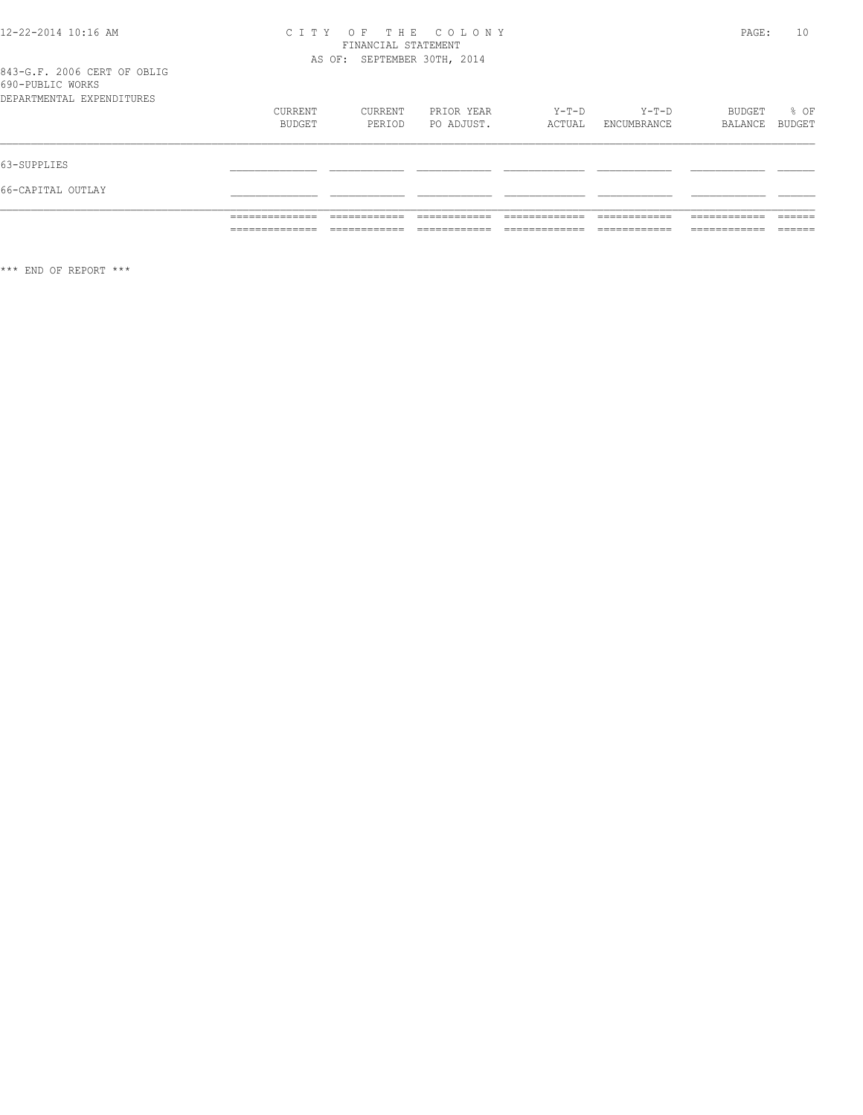# CITY OF THE COLONY<br>FINANCIAL STATEMENT<br>AS OF: SEPTEMBER 30TH, 2014

PAGE: 10

|                           |                   |                   |                          |                 |                      |                   | ______         |
|---------------------------|-------------------|-------------------|--------------------------|-----------------|----------------------|-------------------|----------------|
| 66-CAPITAL OUTLAY         |                   |                   |                          |                 |                      |                   |                |
| 63-SUPPLIES               |                   |                   |                          |                 |                      |                   |                |
| DEPARTMENTAL EXPENDITURES | CURRENT<br>BUDGET | CURRENT<br>PERIOD | PRIOR YEAR<br>PO ADJUST. | Y-T-D<br>ACTUAL | Y-T-D<br>ENCUMBRANCE | BUDGET<br>BALANCE | % OF<br>BUDGET |
| 690-PUBLIC WORKS          |                   |                   |                          |                 |                      |                   |                |

 $***$  END OF REPORT  $***$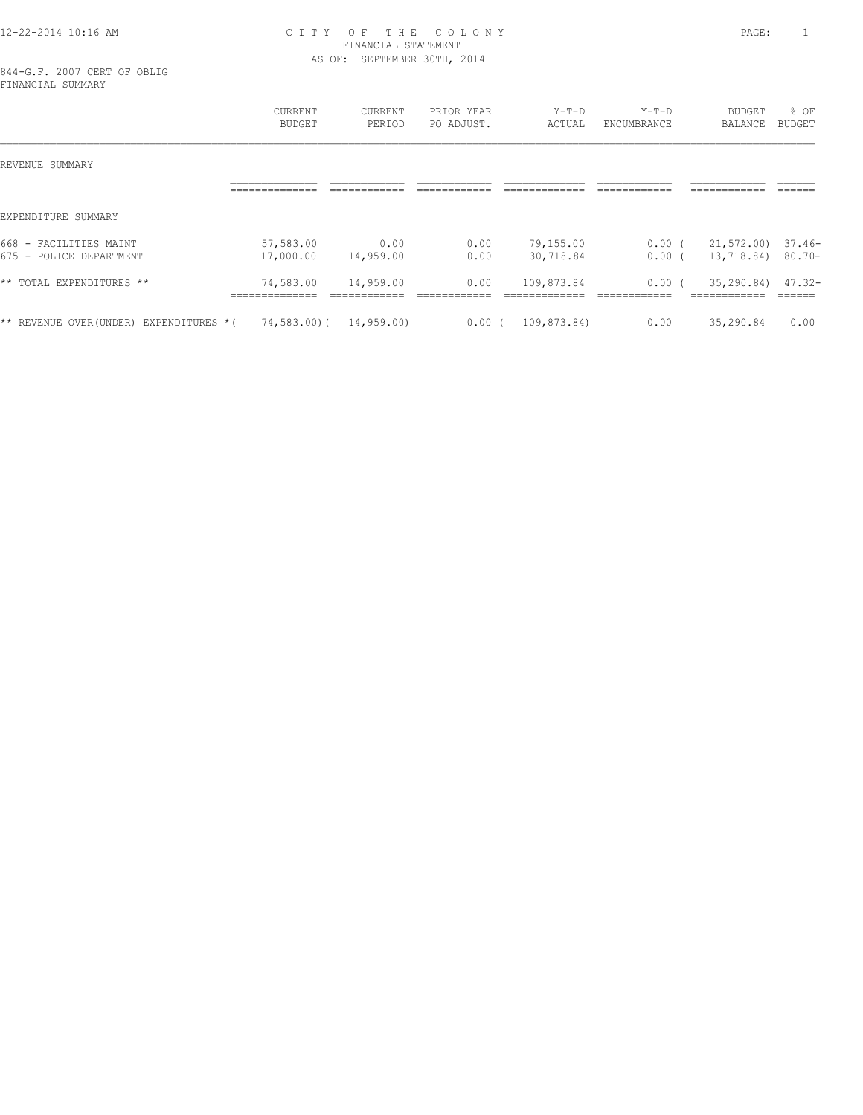# 12-22-2014 10:16 AM C I T Y O F T H E C O L O N Y PAGE: 1 FINANCIAL STATEMENT AS OF: SEPTEMBER 30TH, 2014

844-G.F. 2007 CERT OF OBLIG FINANCIAL SUMMARY

|                                                     | <b>CURRENT</b><br><b>BUDGET</b> | CURRENT<br>PERIOD         | PRIOR YEAR<br>PO ADJUST. | $Y-T-D$<br>ACTUAL | $Y-T-D$<br>ENCUMBRANCE   | <b>BUDGET</b><br><b>BALANCE</b>             | % OF<br>BUDGET      |
|-----------------------------------------------------|---------------------------------|---------------------------|--------------------------|-------------------|--------------------------|---------------------------------------------|---------------------|
| REVENUE SUMMARY                                     |                                 |                           |                          |                   |                          |                                             |                     |
|                                                     |                                 |                           |                          |                   |                          |                                             |                     |
| EXPENDITURE SUMMARY                                 |                                 |                           |                          |                   |                          |                                             |                     |
| 668<br>FACILITIES MAINT<br>$\overline{\phantom{0}}$ | 57,583.00                       | 0.00                      | 0.00                     | 79,155.00         | 0.00(                    | 21,572.00)                                  | $37.46-$            |
| POLICE DEPARTMENT<br>$675 -$                        | 17,000.00                       | 14,959.00                 | 0.00                     | 30,718.84         | 0.00(                    | 13,718.84)                                  | 80.70-              |
| ** TOTAL EXPENDITURES **                            | 74,583.00<br>______________     | 14,959.00<br>____________ | 0.00<br>--------------   | 109,873.84        | $0.00$ (<br>____________ | 35,290.84)<br>____________<br>------------- | $47.32 -$<br>______ |
| ** REVENUE OVER (UNDER) EXPENDITURES * (            | $74,583.00$ (                   | 14,959.00)                | 0.00(                    | 109,873.84)       | 0.00                     | 35,290.84                                   | 0.00                |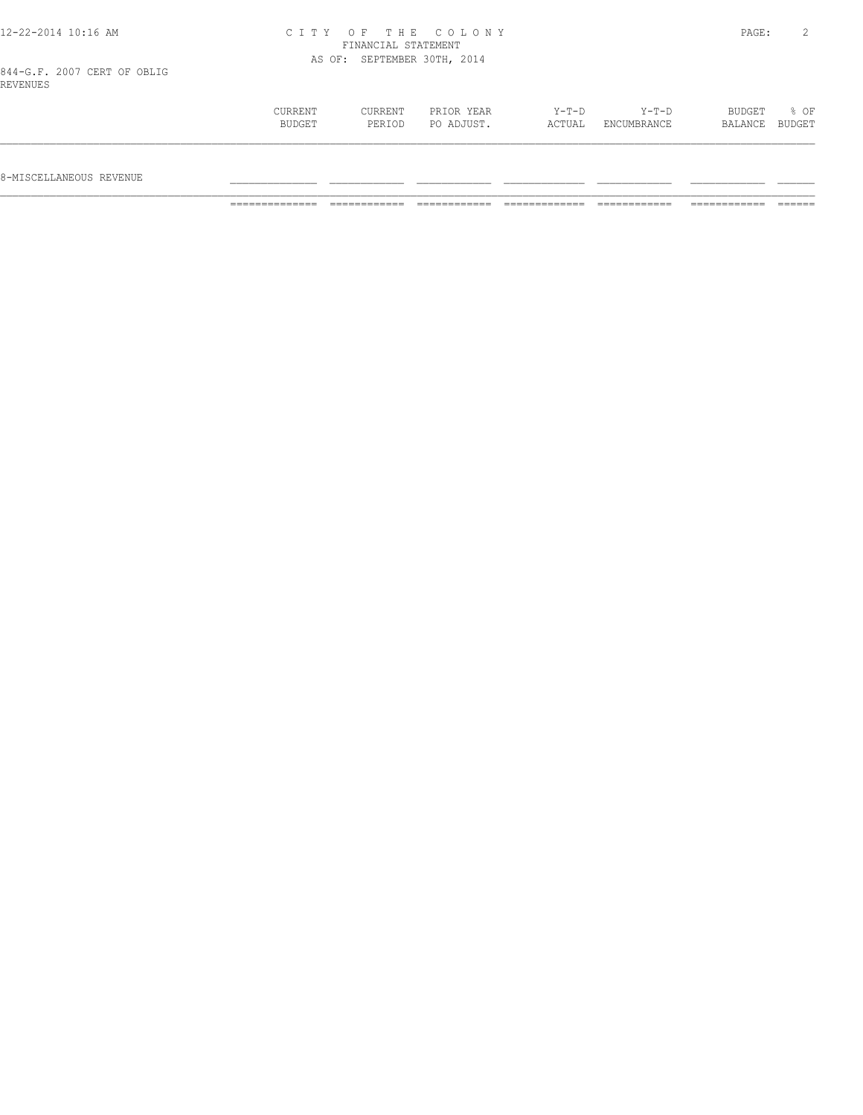# 12-22-2014 10:16 AM C I T Y O F T H E C O L O N Y PAGE: 2 FINANCIAL STATEMENT AS OF: SEPTEMBER 30TH, 2014

844-G.F. 2007 CERT OF OBLIG REVENUES

| . |         |         |            |         |             |         |        |
|---|---------|---------|------------|---------|-------------|---------|--------|
|   | CURRENT | CURRENT | PRIOR YEAR | $Y-T-D$ | $Y-T-D$     | BUDGET  | % OF   |
|   | BUDGET  | PERIOD  | PO ADJUST. | ACTUAL  | ENCUMBRANCE | BALANCE | BUDGET |
|   |         |         |            |         |             |         |        |
|   |         |         |            |         |             |         |        |
|   |         |         |            |         |             |         |        |

8-MISCELLANEOUS REVENUE \_\_\_\_\_\_\_\_\_\_\_\_\_\_ \_\_\_\_\_\_\_\_\_\_\_\_ \_\_\_\_\_\_\_\_\_\_\_\_ \_\_\_\_\_\_\_\_\_\_\_\_\_ \_\_\_\_\_\_\_\_\_\_\_\_ \_\_\_\_\_\_\_\_\_\_\_\_ \_\_\_\_\_\_

============== ============ ============ ============= ============ ============ ======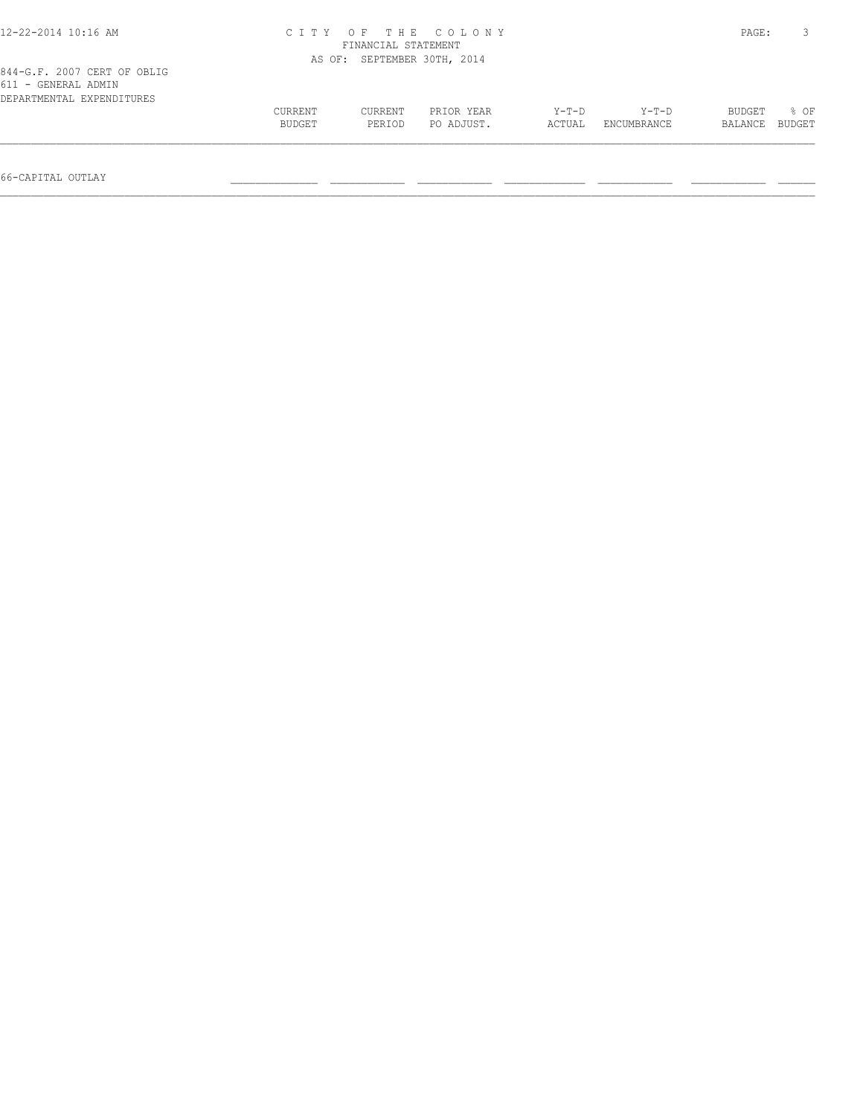| 12-22-2014 10:16 AM                                                             | OF THE COLONY<br>C T T Y<br>FINANCIAL STATEMENT |                             |                          |                   |                        |                   | PAGE:          |
|---------------------------------------------------------------------------------|-------------------------------------------------|-----------------------------|--------------------------|-------------------|------------------------|-------------------|----------------|
|                                                                                 |                                                 | AS OF: SEPTEMBER 30TH, 2014 |                          |                   |                        |                   |                |
| 844-G.F. 2007 CERT OF OBLIG<br>611 - GENERAL ADMIN<br>DEPARTMENTAL EXPENDITURES |                                                 |                             |                          |                   |                        |                   |                |
|                                                                                 | CURRENT<br>BUDGET                               | CURRENT<br>PERIOD           | PRIOR YEAR<br>PO ADJUST. | $Y-T-D$<br>ACTUAL | $Y-T-D$<br>ENCUMBRANCE | BUDGET<br>BALANCE | 8 OF<br>BUDGET |
|                                                                                 |                                                 |                             |                          |                   |                        |                   |                |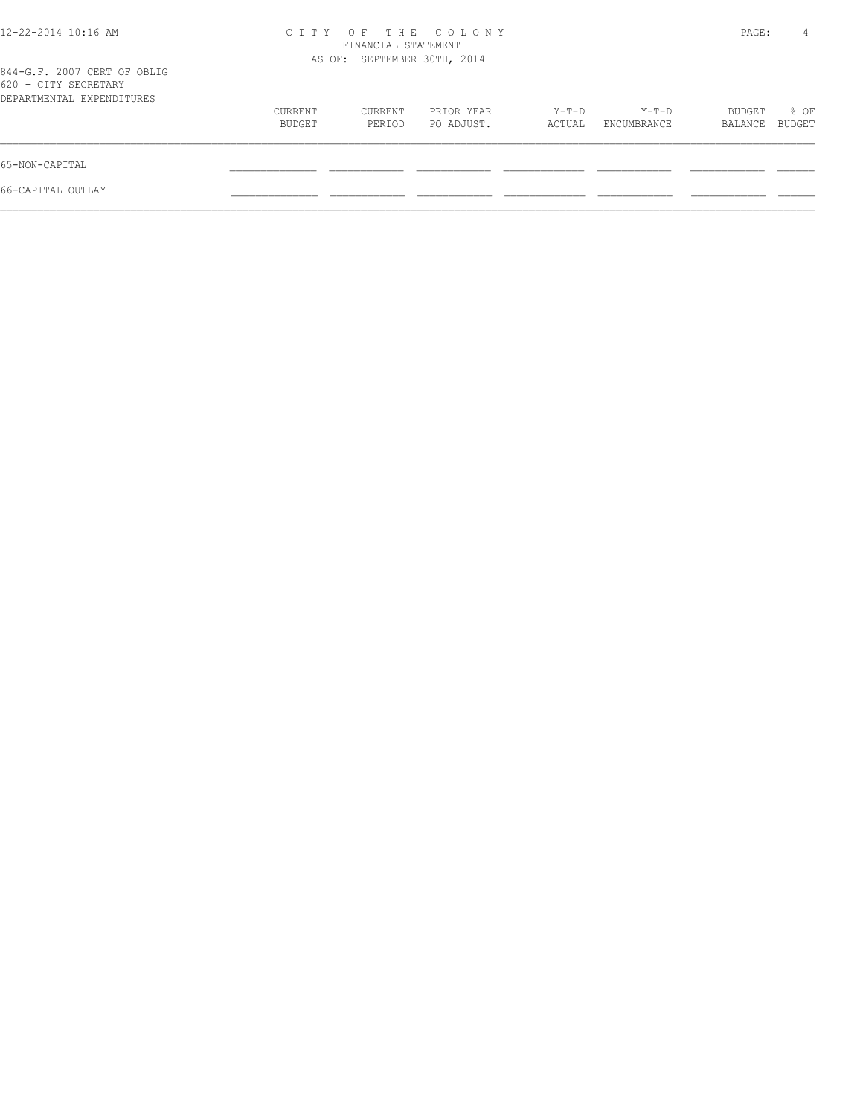| 12-22-2014 10:16 AM                                                              | C T T Y           | OF.<br>FINANCIAL STATEMENT  | THE COLONY               |                 |                      | PAGE:             | 4              |
|----------------------------------------------------------------------------------|-------------------|-----------------------------|--------------------------|-----------------|----------------------|-------------------|----------------|
| 844-G.F. 2007 CERT OF OBLIG<br>620 - CITY SECRETARY<br>DEPARTMENTAL EXPENDITURES |                   | AS OF: SEPTEMBER 30TH, 2014 |                          |                 |                      |                   |                |
|                                                                                  | CURRENT<br>BUDGET | CURRENT<br>PERIOD           | PRIOR YEAR<br>PO ADJUST. | Y-T-D<br>ACTUAL | Y-T-D<br>ENCUMBRANCE | BUDGET<br>BALANCE | % OF<br>BUDGET |
| 65-NON-CAPITAL                                                                   |                   |                             |                          |                 |                      |                   |                |
| 66-CAPITAL OUTLAY                                                                |                   |                             |                          |                 |                      |                   |                |
|                                                                                  |                   |                             |                          |                 |                      |                   |                |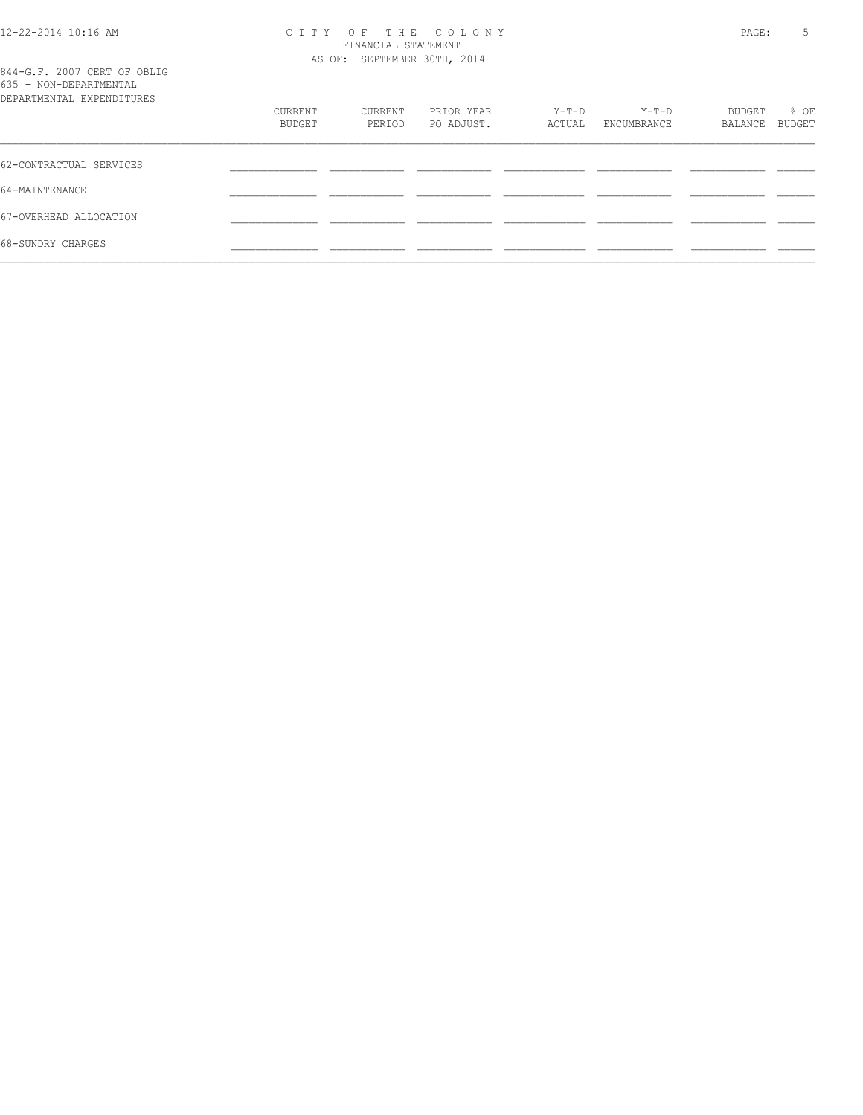# 12-22-2014 10:16 AM C I T Y O F T H E C O L O N Y PAGE: 5 FINANCIAL STATEMENT AS OF: SEPTEMBER 30TH, 2014

| 844-G.F. 2007 CERT OF OBLIG<br>635 - NON-DEPARTMENTAL<br>DEPARTMENTAL EXPENDITURES |                   |                   |                          |                 |                      |                   |                |
|------------------------------------------------------------------------------------|-------------------|-------------------|--------------------------|-----------------|----------------------|-------------------|----------------|
|                                                                                    | CURRENT<br>BUDGET | CURRENT<br>PERIOD | PRIOR YEAR<br>PO ADJUST. | Y-T-D<br>ACTUAL | Y-T-D<br>ENCUMBRANCE | BUDGET<br>BALANCE | % OF<br>BUDGET |
| 62-CONTRACTUAL SERVICES                                                            |                   |                   |                          |                 |                      |                   |                |
| 64-MAINTENANCE                                                                     |                   |                   |                          |                 |                      |                   |                |
| 67-OVERHEAD ALLOCATION                                                             |                   |                   |                          |                 |                      |                   |                |
| 68-SUNDRY CHARGES                                                                  |                   |                   |                          |                 |                      |                   |                |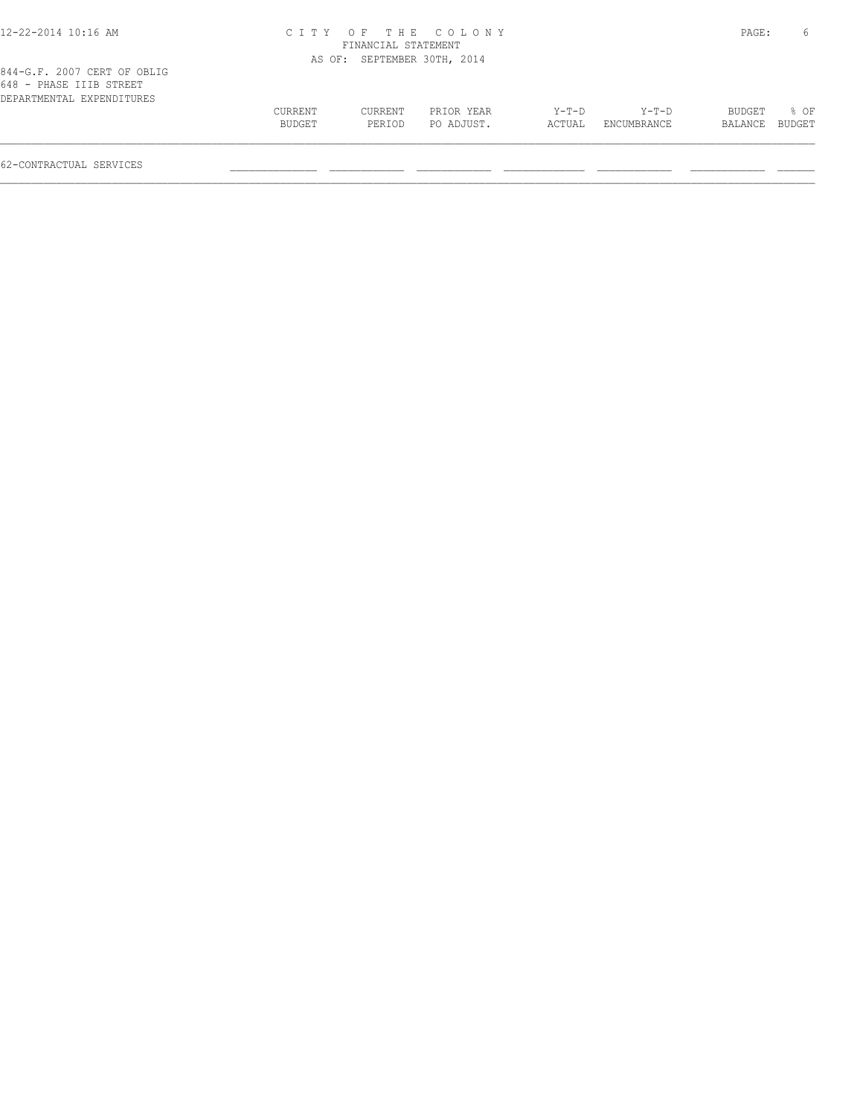| 12-22-2014 10:16 AM                                                                 |                   |                             | CITY OF THE COLONY       |                   |                        | PAGE:             |                |
|-------------------------------------------------------------------------------------|-------------------|-----------------------------|--------------------------|-------------------|------------------------|-------------------|----------------|
|                                                                                     |                   | FINANCIAL STATEMENT         |                          |                   |                        |                   |                |
|                                                                                     |                   | AS OF: SEPTEMBER 30TH, 2014 |                          |                   |                        |                   |                |
| 844-G.F. 2007 CERT OF OBLIG<br>648 - PHASE IIIB STREET<br>DEPARTMENTAL EXPENDITURES |                   |                             |                          |                   |                        |                   |                |
|                                                                                     | CURRENT<br>BUDGET | CURRENT<br>PERIOD           | PRIOR YEAR<br>PO ADJUST. | $Y-T-D$<br>ACTUAL | $Y-T-D$<br>ENCUMBRANCE | BUDGET<br>BALANCE | 8 OF<br>BUDGET |

62-CONTRACTUAL SERVICES \_\_\_\_\_\_\_\_\_\_\_\_\_\_ \_\_\_\_\_\_\_\_\_\_\_\_ \_\_\_\_\_\_\_\_\_\_\_\_ \_\_\_\_\_\_\_\_\_\_\_\_\_ \_\_\_\_\_\_\_\_\_\_\_\_ \_\_\_\_\_\_\_\_\_\_\_\_ \_\_\_\_\_\_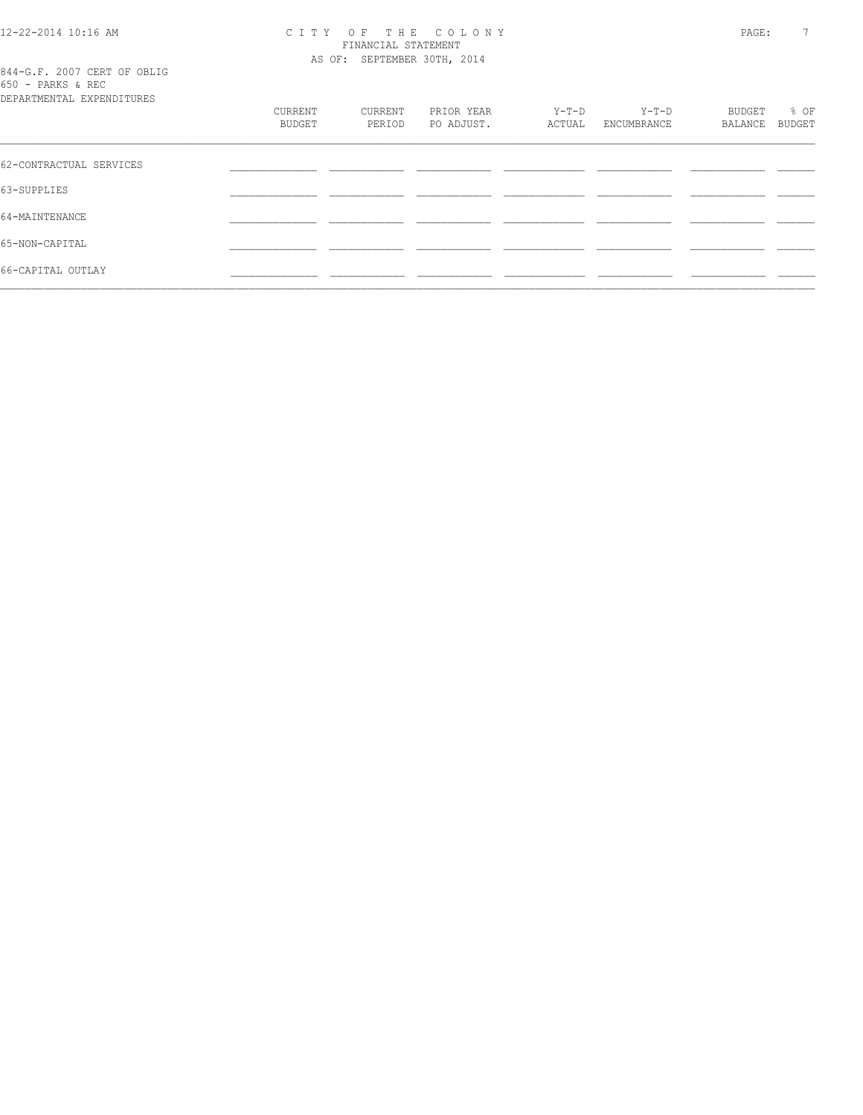# 12-22-2014 10:16 AM CITY OF THE COLONY<br>FINANCIAL STATEMENT<br>AS OF: SEPTEMBER 30TH, 2014

|                   |  |  |                                       | 844-G.F. 2007 CERT OF OBLIG |
|-------------------|--|--|---------------------------------------|-----------------------------|
| 650 - PARKS & REC |  |  |                                       |                             |
|                   |  |  | סססוזים רוויסמטיס זו שוויס אים אסום ה |                             |

| DEPARTMENTAL EXPENDITURES |                   |                   |                          |                   |                      |                   |                |
|---------------------------|-------------------|-------------------|--------------------------|-------------------|----------------------|-------------------|----------------|
|                           | CURRENT<br>BUDGET | CURRENT<br>PERIOD | PRIOR YEAR<br>PO ADJUST. | $Y-T-D$<br>ACTUAL | Y-T-D<br>ENCUMBRANCE | BUDGET<br>BALANCE | % OF<br>BUDGET |
| 62-CONTRACTUAL SERVICES   |                   |                   |                          |                   |                      |                   |                |
| 63-SUPPLIES               |                   |                   |                          |                   |                      |                   |                |
| 64-MAINTENANCE            |                   |                   |                          |                   |                      |                   |                |
| 65-NON-CAPITAL            |                   |                   |                          |                   |                      |                   |                |
| 66-CAPITAL OUTLAY         |                   |                   |                          |                   |                      |                   |                |
|                           |                   |                   |                          |                   |                      |                   |                |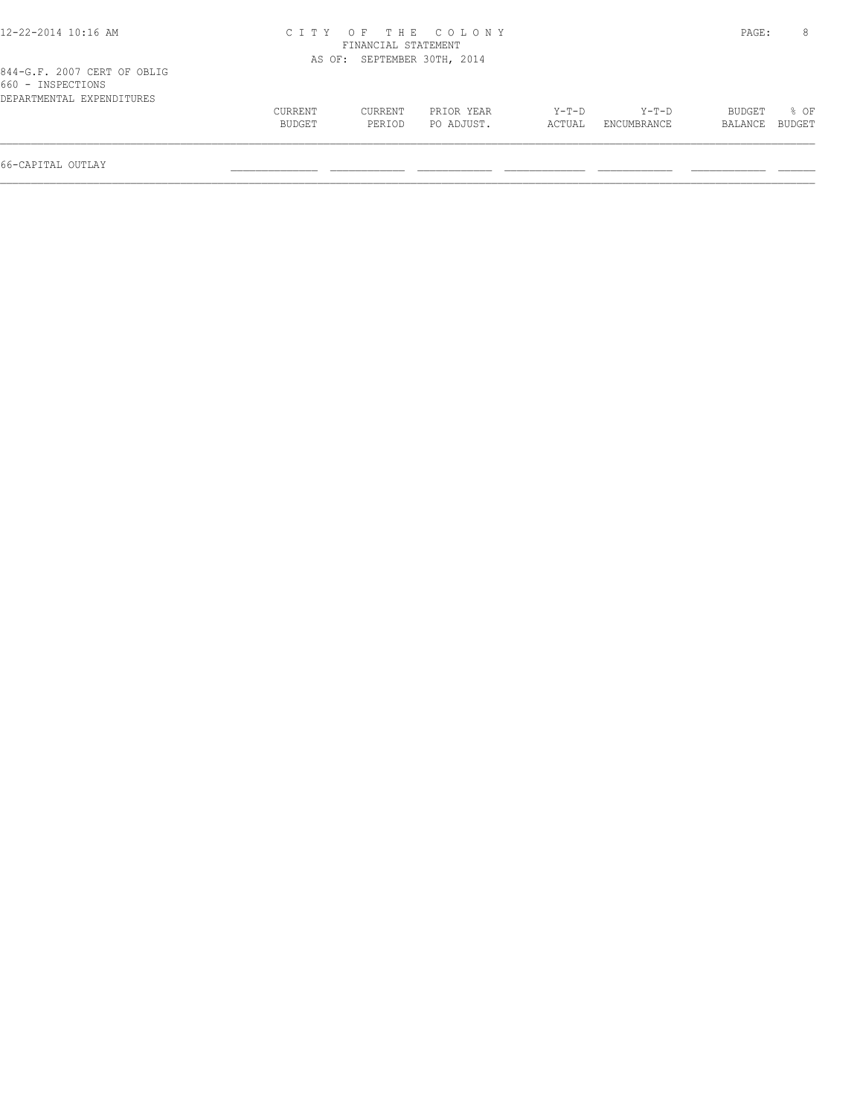| 12-22-2014 10:16 AM                              |               |                             | CITY OF THE COLONY |        |             | PAGE:   |        |
|--------------------------------------------------|---------------|-----------------------------|--------------------|--------|-------------|---------|--------|
|                                                  |               | FINANCIAL STATEMENT         |                    |        |             |         |        |
|                                                  |               | AS OF: SEPTEMBER 30TH, 2014 |                    |        |             |         |        |
| 844-G.F. 2007 CERT OF OBLIG<br>660 - INSPECTIONS |               |                             |                    |        |             |         |        |
| DEPARTMENTAL EXPENDITURES                        |               |                             |                    |        |             |         |        |
|                                                  | CURRENT       | CURRENT                     | PRIOR YEAR         | Y-T-D  | Y-T-D       | BUDGET  | 8 OF   |
|                                                  | <b>BUDGET</b> | PERTOD                      | PO ADJUST.         | ACTUAL | ENCUMBRANCE | BALANCE | BUDGET |
|                                                  |               |                             |                    |        |             |         |        |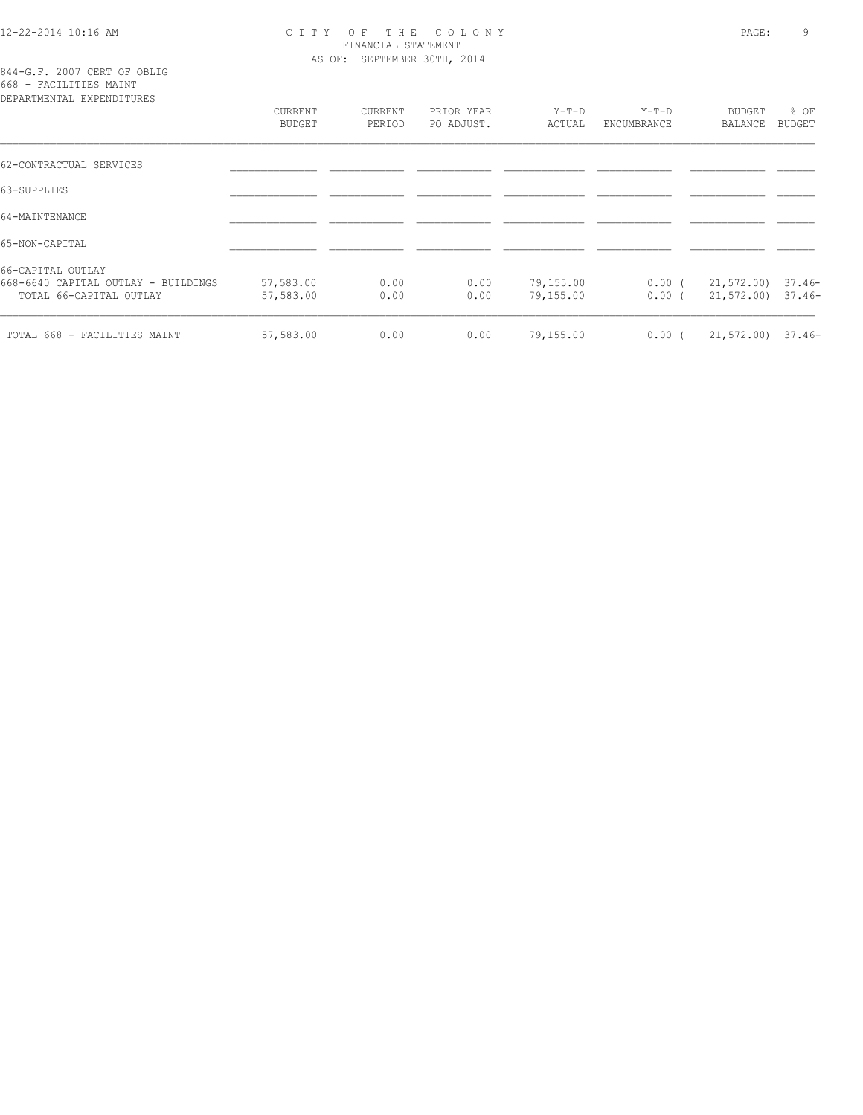# 12-22-2014 10:16 AM C I T Y O F T H E C O L O N Y PAGE: 9 FINANCIAL STATEMENT AS OF: SEPTEMBER 30TH, 2014

844-G.F. 2007 CERT OF OBLIG 668 - FACILITIES MAINT

| DEPARTMENTAL EXPENDITURES                                      |                          |                   |                          |                        |                      |                                           |                |
|----------------------------------------------------------------|--------------------------|-------------------|--------------------------|------------------------|----------------------|-------------------------------------------|----------------|
|                                                                | CURRENT<br><b>BUDGET</b> | CURRENT<br>PERIOD | PRIOR YEAR<br>PO ADJUST. | Y-T-D<br>ACTUAL        | Y-T-D<br>ENCUMBRANCE | BUDGET<br>BALANCE                         | % OF<br>BUDGET |
| 62-CONTRACTUAL SERVICES                                        |                          |                   |                          |                        |                      |                                           |                |
| 63-SUPPLIES                                                    |                          |                   |                          |                        |                      |                                           |                |
| 64-MAINTENANCE                                                 |                          |                   |                          |                        |                      |                                           |                |
| 65-NON-CAPITAL                                                 |                          |                   |                          |                        |                      |                                           |                |
| 66-CAPITAL OUTLAY                                              |                          |                   |                          |                        |                      |                                           |                |
| 668-6640 CAPITAL OUTLAY - BUILDINGS<br>TOTAL 66-CAPITAL OUTLAY | 57,583.00<br>57,583.00   | 0.00<br>0.00      | 0.00<br>0.00             | 79,155.00<br>79,155.00 | $0.00$ (<br>$0.00$ ( | 21,572.00) 37.46-<br>$21,572.00$ $37.46-$ |                |
| TOTAL 668 - FACILITIES MAINT                                   | 57,583.00                | 0.00              | 0.00                     | 79,155.00              | $0.00$ (             | $21,572.00$ $37.46-$                      |                |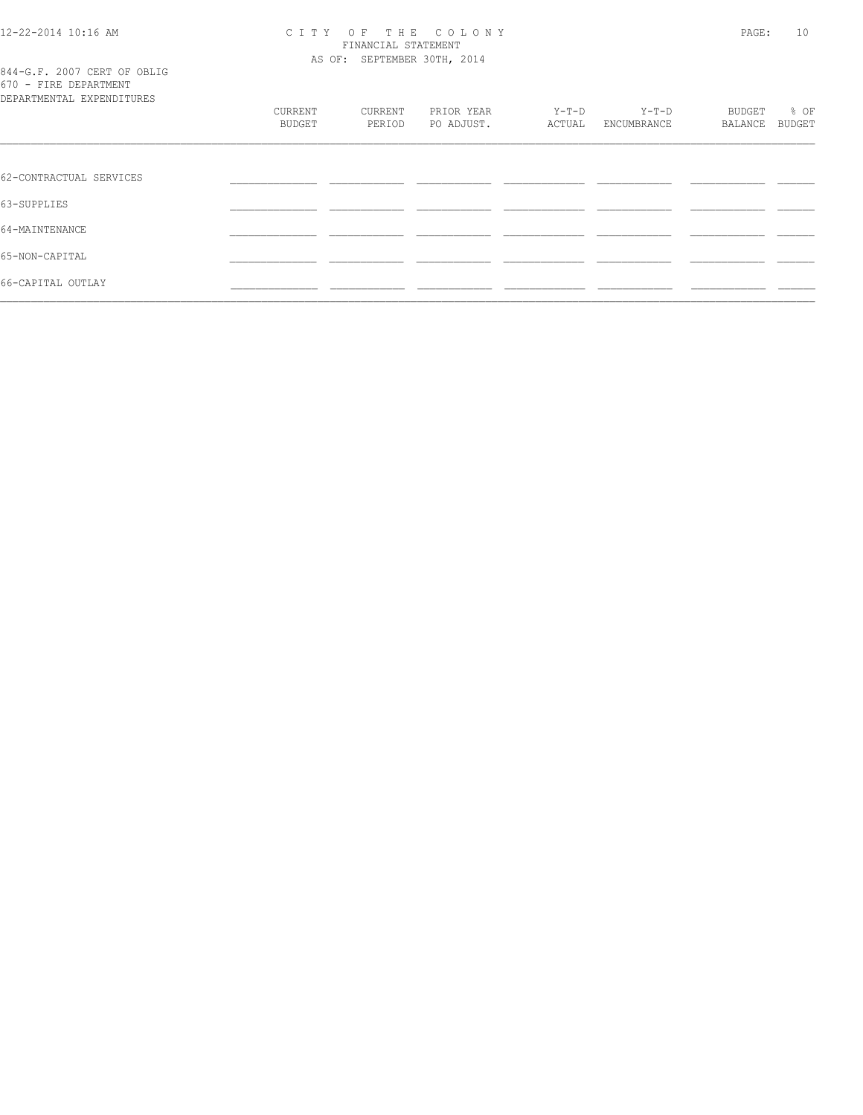# 12-22-2014 10:16 AM CITY OF THE COLONY<br>FINANCIAL STATEMENT<br>AS OF: SEPTEMBER 30TH, 2014

| 844-G.F. 2007 CERT OF OBLIG |  |  |  |  |
|-----------------------------|--|--|--|--|
| 670 - FIRE DEPARTMENT       |  |  |  |  |
| DEPARTMENTAL EXPENDITURES   |  |  |  |  |

| DEPARTMENTAL EXPENDITURES |                   |                   |                          |                   |                        |                          |                |  |
|---------------------------|-------------------|-------------------|--------------------------|-------------------|------------------------|--------------------------|----------------|--|
|                           | CURRENT<br>BUDGET | CURRENT<br>PERIOD | PRIOR YEAR<br>PO ADJUST. | $Y-T-D$<br>ACTUAL | $Y-T-D$<br>ENCUMBRANCE | <b>BUDGET</b><br>BALANCE | % OF<br>BUDGET |  |
|                           |                   |                   |                          |                   |                        |                          |                |  |
|                           |                   |                   |                          |                   |                        |                          |                |  |
| 62-CONTRACTUAL SERVICES   |                   |                   |                          |                   |                        |                          |                |  |
| 63-SUPPLIES               |                   |                   |                          |                   |                        |                          |                |  |
| 64-MAINTENANCE            |                   |                   |                          |                   |                        |                          |                |  |
| 65-NON-CAPITAL            |                   |                   |                          |                   |                        |                          |                |  |
| 66-CAPITAL OUTLAY         |                   |                   |                          |                   |                        |                          |                |  |
|                           |                   |                   |                          |                   |                        |                          |                |  |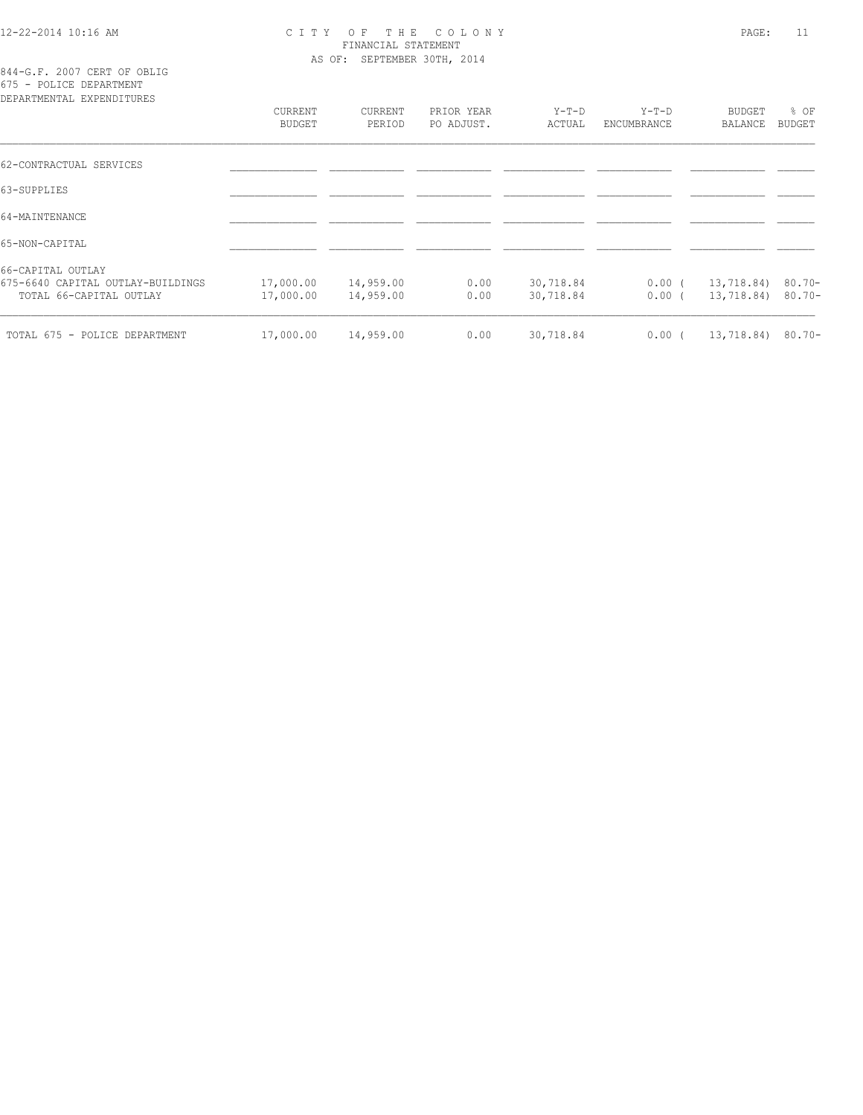# 12-22-2014 10:16 AM C I T Y O F T H E C O L O N Y PAGE: 11 FINANCIAL STATEMENT AS OF: SEPTEMBER 30TH, 2014

844-G.F. 2007 CERT OF OBLIG 675 - POLICE DEPARTMENT

| DEPARTMENTAL EXPENDITURES                                    |                                 |                        |                          |                        |                        |                                 |                |
|--------------------------------------------------------------|---------------------------------|------------------------|--------------------------|------------------------|------------------------|---------------------------------|----------------|
|                                                              | <b>CURRENT</b><br><b>BUDGET</b> | CURRENT<br>PERIOD      | PRIOR YEAR<br>PO ADJUST. | Y-T-D<br>ACTUAL        | $Y-T-D$<br>ENCUMBRANCE | <b>BUDGET</b><br>BALANCE        | % OF<br>BUDGET |
| 62-CONTRACTUAL SERVICES                                      |                                 |                        |                          |                        |                        |                                 |                |
| 63-SUPPLIES                                                  |                                 |                        |                          |                        |                        |                                 |                |
| 64-MAINTENANCE                                               |                                 |                        |                          |                        |                        |                                 |                |
| 65-NON-CAPITAL                                               |                                 |                        |                          |                        |                        |                                 |                |
| 66-CAPITAL OUTLAY                                            |                                 |                        |                          |                        |                        |                                 |                |
| 675-6640 CAPITAL OUTLAY-BUILDINGS<br>TOTAL 66-CAPITAL OUTLAY | 17,000.00<br>17,000.00          | 14,959.00<br>14,959.00 | 0.00<br>0.00             | 30,718.84<br>30,718.84 | $0.00$ (<br>$0.00$ (   | 13,718.84) 80.70-<br>13,718.84) | $80.70 -$      |
| TOTAL 675 - POLICE DEPARTMENT                                | 17,000.00                       | 14,959.00              | 0.00                     | 30,718.84              | $0.00$ (               | 13,718.84) 80.70-               |                |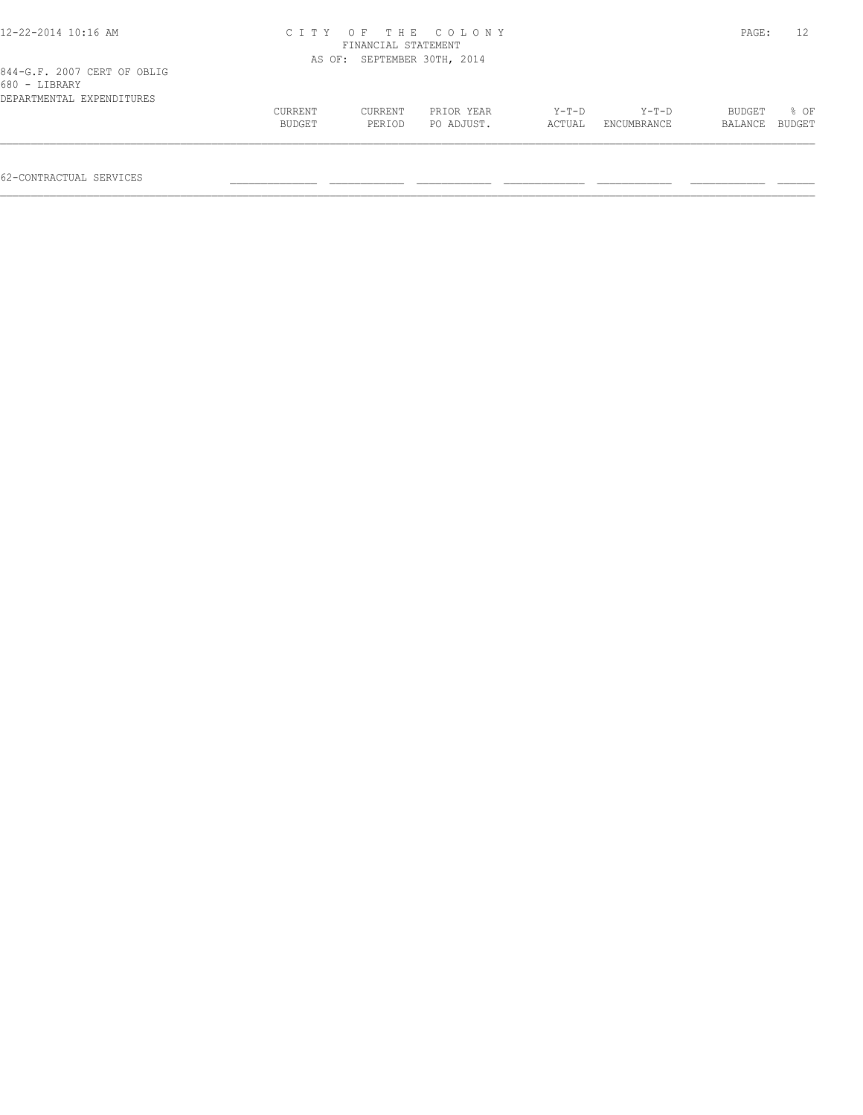| 12-22-2014 10:16 AM                          |         | FINANCIAL STATEMENT         | CITY OF THE COLONY |         |             | PAGE:   |        |
|----------------------------------------------|---------|-----------------------------|--------------------|---------|-------------|---------|--------|
|                                              |         | AS OF: SEPTEMBER 30TH, 2014 |                    |         |             |         |        |
| 844-G.F. 2007 CERT OF OBLIG<br>680 - LIBRARY |         |                             |                    |         |             |         |        |
| DEPARTMENTAL EXPENDITURES                    |         |                             |                    |         |             |         |        |
|                                              | CURRENT | CURRENT                     | PRIOR YEAR         | $Y-T-D$ | $Y-T-D$     | BUDGET  | 8 OF   |
|                                              | BUDGET  | PERIOD                      | PO ADJUST.         | ACTUAL  | ENCUMBRANCE | BALANCE | BUDGET |
|                                              |         |                             |                    |         |             |         |        |
|                                              |         |                             |                    |         |             |         |        |

62-CONTRACTUAL SERVICES \_\_\_\_\_\_\_\_\_\_\_\_\_\_ \_\_\_\_\_\_\_\_\_\_\_\_ \_\_\_\_\_\_\_\_\_\_\_\_ \_\_\_\_\_\_\_\_\_\_\_\_\_ \_\_\_\_\_\_\_\_\_\_\_\_ \_\_\_\_\_\_\_\_\_\_\_\_ \_\_\_\_\_\_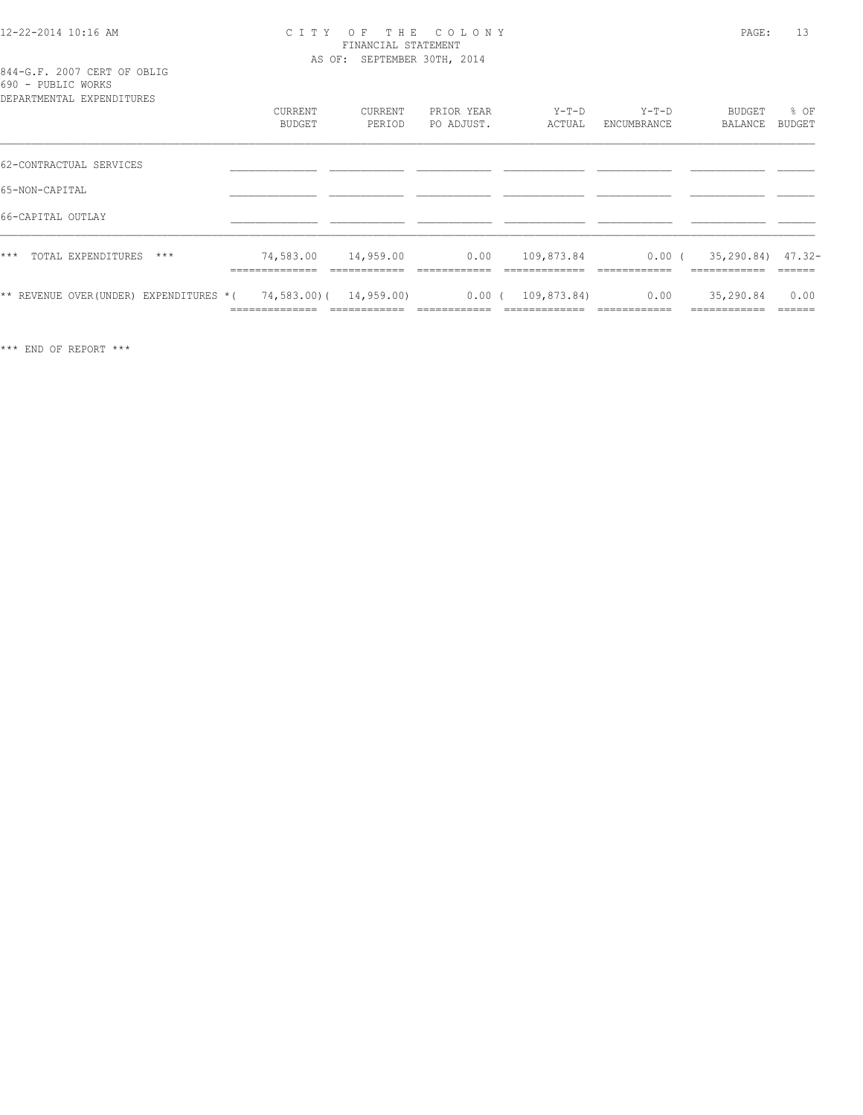#### 12-22-2014 10:16 AM C I T Y O F T H E C O L O N Y PAGE: 13 FINANCIAL STATEMENT AS OF: SEPTEMBER 30TH, 2014

844-G.F. 2007 CERT OF OBLIG 690 - PUBLIC WORKS

| DEPARTMENTAL EXPENDITURES              | CURRENT<br>BUDGET                         | CURRENT<br>PERIOD         | PRIOR YEAR<br>PO ADJUST. | $Y-T-D$<br>ACTUAL              | $Y-T-D$<br>ENCUMBRANCE   | BUDGET<br>BALANCE                     | $8$ OF<br>BUDGET |
|----------------------------------------|-------------------------------------------|---------------------------|--------------------------|--------------------------------|--------------------------|---------------------------------------|------------------|
| 62-CONTRACTUAL SERVICES                |                                           |                           |                          |                                |                          |                                       |                  |
| 65-NON-CAPITAL                         |                                           |                           |                          |                                |                          |                                       |                  |
| 66-CAPITAL OUTLAY                      |                                           |                           |                          |                                |                          |                                       |                  |
| $***$<br>TOTAL EXPENDITURES<br>$***$   | 74,583.00<br>______________               | 14,959.00<br>____________ | 0.00                     | 109,873.84<br>_____________    | $0.00$ (<br>____________ | $35, 290.84$ $47.32$<br>------------- | ______           |
| ** REVENUE OVER(UNDER) EXPENDITURES *( | 74,583,00) ( 14,959,00)<br>-------------- | ____________              | $0.00$ (<br>____________ | 109,873.84)<br>--------------- | 0.00<br>-------------    | 35,290.84<br>-------------            | 0.00<br>-------  |

\*\*\* END OF REPORT \*\*\*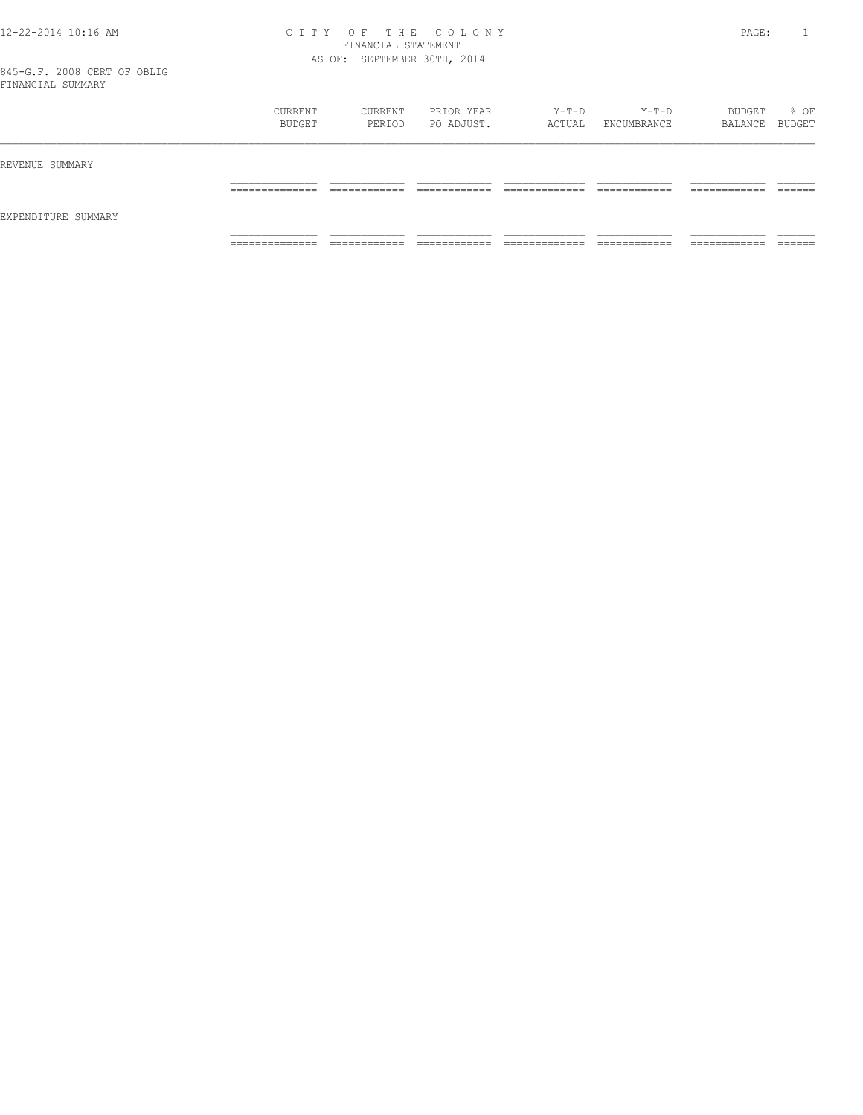#### 12-22-2014 10:16 AM C I T Y O F T H E C O L O N Y PAGE: 1 FINANCIAL STATEMENT AS OF: SEPTEMBER 30TH, 2014

|                     | CURRENT<br>BUDGET                 | CURRENT<br>PERIOD            | PRIOR YEAR<br>PO ADJUST.   | Y-T-D<br>ACTUAL                | Y-T-D<br>ENCUMBRANCE          | BUDGET<br>BALANCE BUDGET      | % OF               |
|---------------------|-----------------------------------|------------------------------|----------------------------|--------------------------------|-------------------------------|-------------------------------|--------------------|
| REVENUE SUMMARY     |                                   |                              |                            |                                |                               |                               |                    |
|                     | ______________<br>_______________ | ____________<br>____________ | -------------<br>_________ | _____________<br>_____________ | _____________<br>____________ | -------------<br>____________ | -------<br>_______ |
| EXPENDITURE SUMMARY |                                   |                              |                            |                                |                               |                               |                    |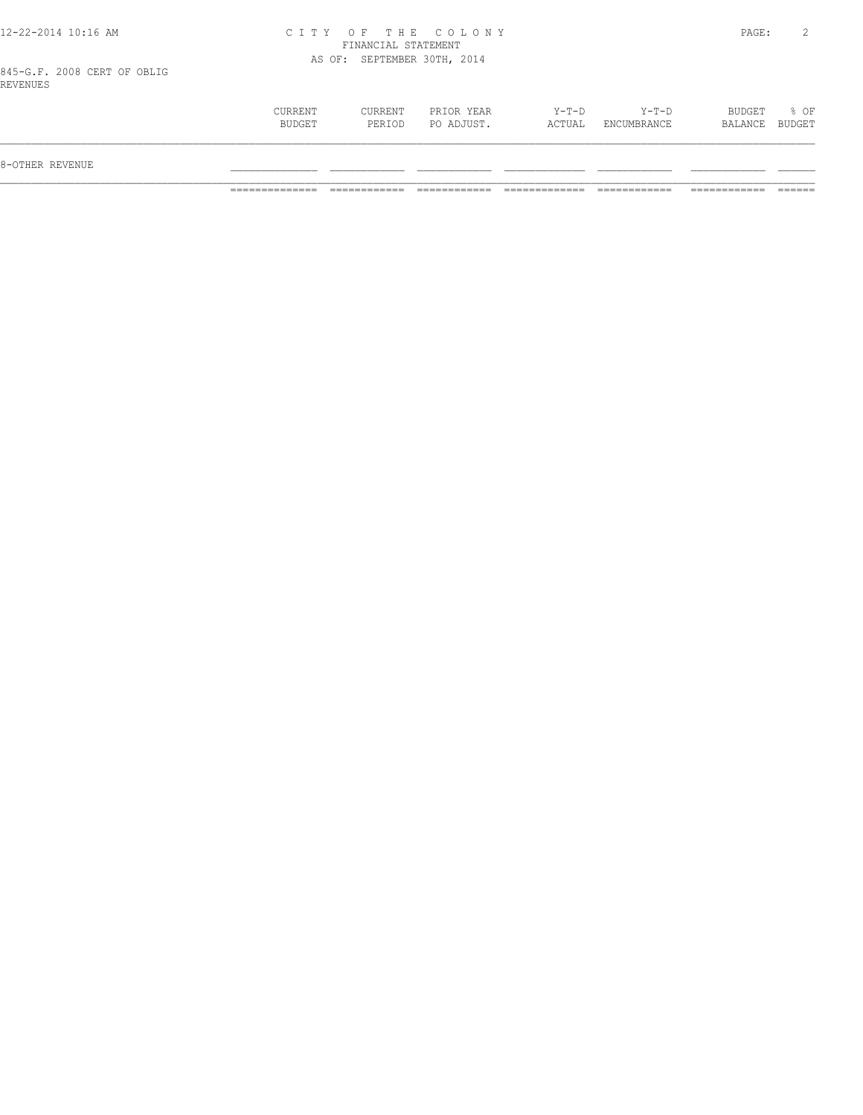| 12-22-2014 10:16 AM |  |  |
|---------------------|--|--|
|---------------------|--|--|

#### 12-22-2014 10:16 AM C I T Y O F T H E C O L O N Y PAGE: 2 FINANCIAL STATEMENT AS OF: SEPTEMBER 30TH, 2014

845-G.F. 2008 CERT OF OBLIG REVENUES

| 8-OTHER REVENUE                                                                                                           |                        |
|---------------------------------------------------------------------------------------------------------------------------|------------------------|
|                                                                                                                           |                        |
| Y-T-D<br>$Y-T-D$<br>BUDGET<br>CURRENT<br>CURRENT<br>PRIOR YEAR<br>PO ADJUST.<br>BUDGET<br>ACTUAL<br>ENCUMBRANCE<br>PERIOD | % OF<br>BALANCE BUDGET |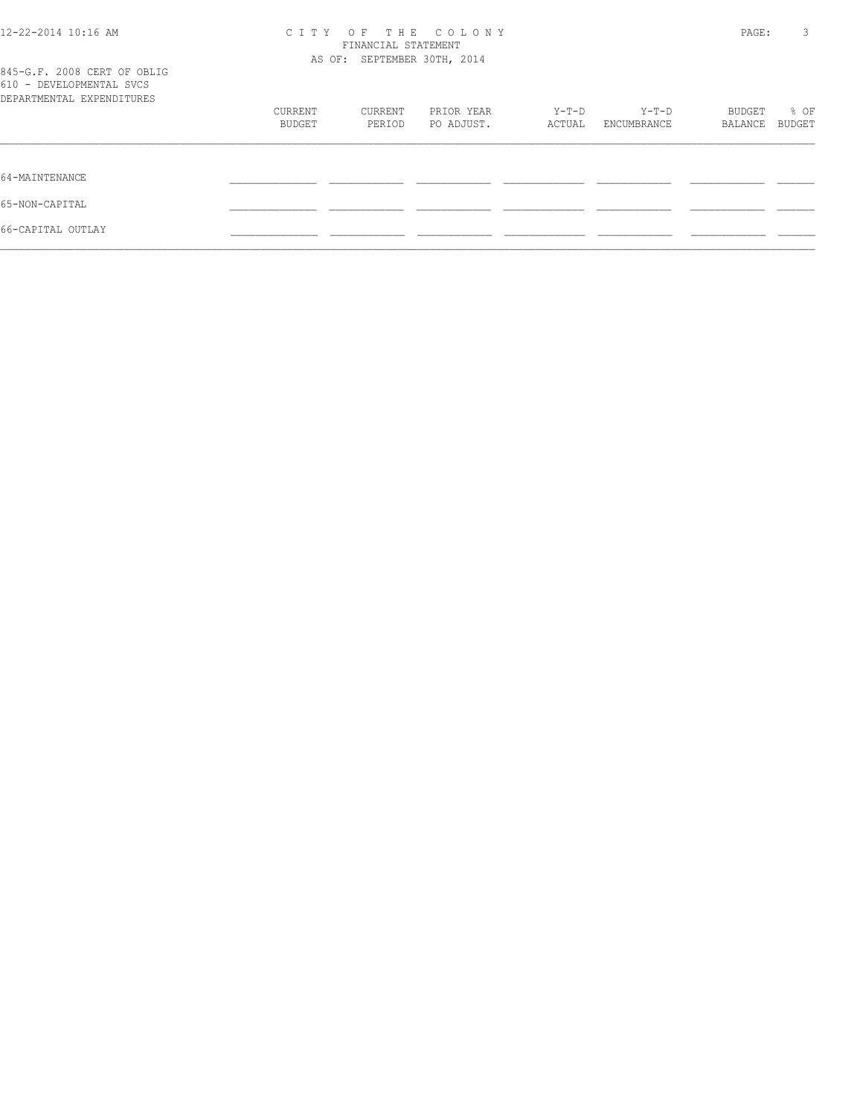| 12-22-2014 10:16 AM                                                                  | C T T Y                  | FINANCIAL STATEMENT<br>AS OF: SEPTEMBER 30TH, 2014 | OF THE COLONY            |                 |                      | PAGE:             | 3              |
|--------------------------------------------------------------------------------------|--------------------------|----------------------------------------------------|--------------------------|-----------------|----------------------|-------------------|----------------|
| 845-G.F. 2008 CERT OF OBLIG<br>610 - DEVELOPMENTAL SVCS<br>DEPARTMENTAL EXPENDITURES |                          |                                                    |                          |                 |                      |                   |                |
|                                                                                      | CURRENT<br><b>BUDGET</b> | CURRENT<br>PERIOD                                  | PRIOR YEAR<br>PO ADJUST. | Y-T-D<br>ACTUAL | Y-T-D<br>ENCUMBRANCE | BUDGET<br>BALANCE | % OF<br>BUDGET |
| 64-MAINTENANCE                                                                       |                          |                                                    |                          |                 |                      |                   |                |
| 65-NON-CAPITAL                                                                       |                          |                                                    |                          |                 |                      |                   |                |
| 66-CAPITAL OUTLAY                                                                    |                          |                                                    |                          |                 |                      |                   |                |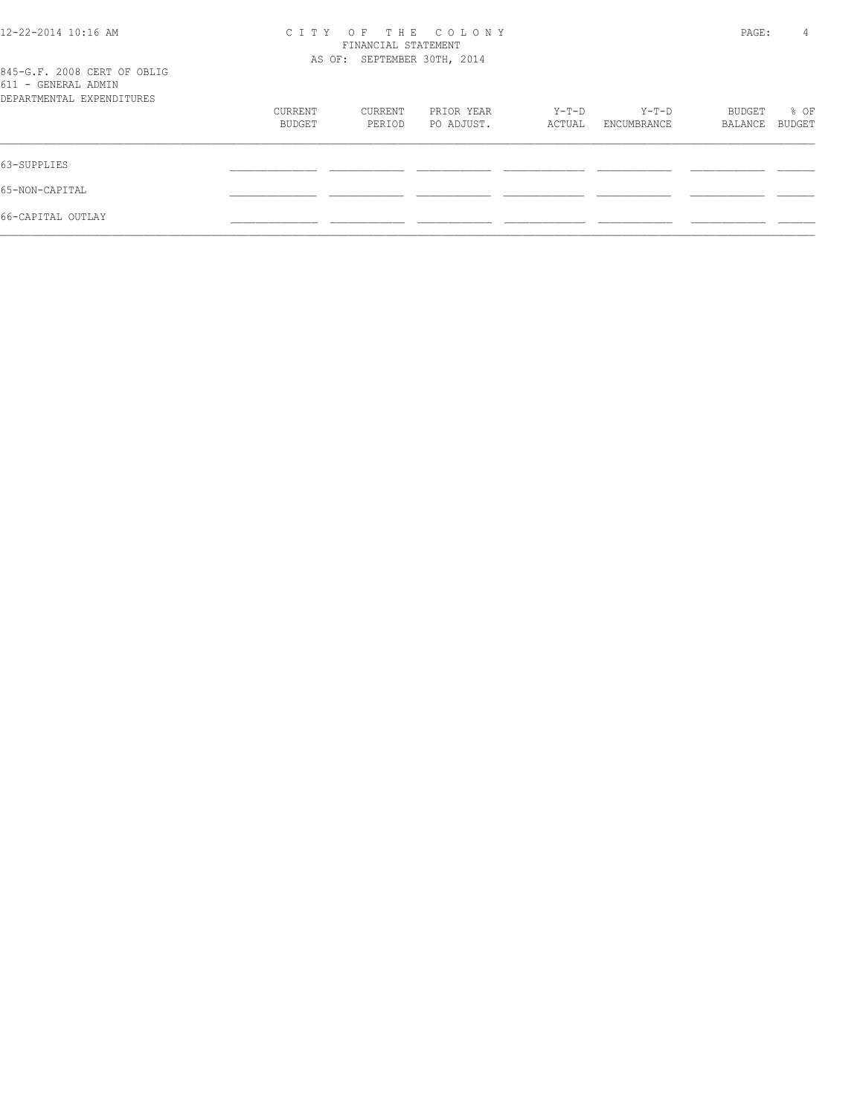| 12-22-2014 10:16 AM                                | C T T Y | FINANCIAL STATEMENT         | OF THE COLONY |        |             | PAGE:   | 4      |
|----------------------------------------------------|---------|-----------------------------|---------------|--------|-------------|---------|--------|
|                                                    |         |                             |               |        |             |         |        |
|                                                    |         | AS OF: SEPTEMBER 30TH, 2014 |               |        |             |         |        |
| 845-G.F. 2008 CERT OF OBLIG<br>611 - GENERAL ADMIN |         |                             |               |        |             |         |        |
| DEPARTMENTAL EXPENDITURES                          |         |                             |               |        |             |         |        |
|                                                    | CURRENT | CURRENT                     | PRIOR YEAR    | Y-T-D  | Y-T-D       | BUDGET  | % OF   |
|                                                    | BUDGET  | PERIOD                      | PO ADJUST.    | ACTUAL | ENCUMBRANCE | BALANCE | BUDGET |
| 63-SUPPLIES                                        |         |                             |               |        |             |         |        |
|                                                    |         |                             |               |        |             |         |        |
| 65-NON-CAPITAL                                     |         |                             |               |        |             |         |        |
| 66-CAPITAL OUTLAY                                  |         |                             |               |        |             |         |        |
|                                                    |         |                             |               |        |             |         |        |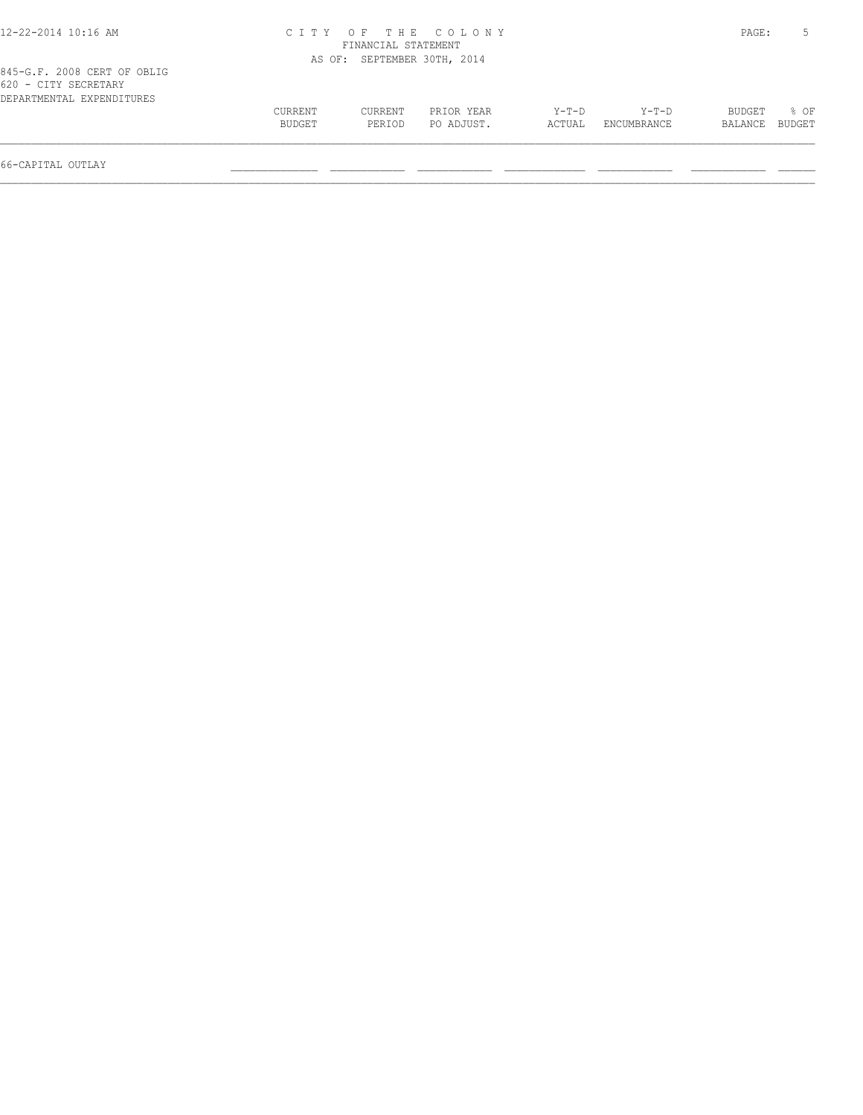| 12-22-2014 10:16 AM                                 |         |                             | CITY OF THE COLONY |        |             | PAGE:   |        |
|-----------------------------------------------------|---------|-----------------------------|--------------------|--------|-------------|---------|--------|
|                                                     |         | FINANCIAL STATEMENT         |                    |        |             |         |        |
|                                                     |         | AS OF: SEPTEMBER 30TH, 2014 |                    |        |             |         |        |
| 845-G.F. 2008 CERT OF OBLIG<br>620 - CITY SECRETARY |         |                             |                    |        |             |         |        |
| DEPARTMENTAL EXPENDITURES                           |         |                             |                    |        |             |         |        |
|                                                     | CURRENT | CURRENT                     | PRIOR YEAR         | Y-T-D  | Y-T-D       | BUDGET  | 8 OF   |
|                                                     | BUDGET  | PERIOD                      | PO ADJUST.         | ACTUAL | ENCUMBRANCE | BALANCE | BUDGET |
|                                                     |         |                             |                    |        |             |         |        |

66-CAPITAL OUTLAY \_\_\_\_\_\_\_\_\_\_\_\_\_\_ \_\_\_\_\_\_\_\_\_\_\_\_ \_\_\_\_\_\_\_\_\_\_\_\_ \_\_\_\_\_\_\_\_\_\_\_\_\_ \_\_\_\_\_\_\_\_\_\_\_\_ \_\_\_\_\_\_\_\_\_\_\_\_ \_\_\_\_\_\_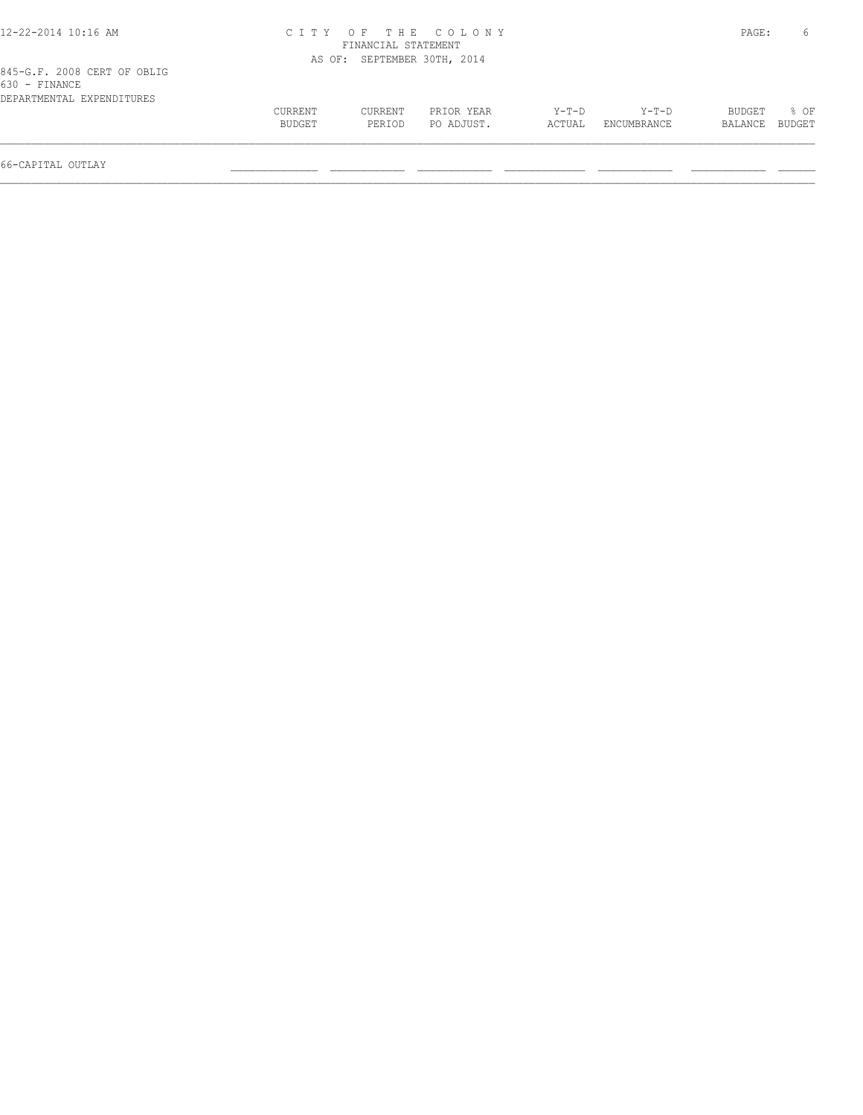| 12-22-2014 10:16 AM                          |         |                             | CITY OF THE COLONY |        |             | PAGE:   |        |
|----------------------------------------------|---------|-----------------------------|--------------------|--------|-------------|---------|--------|
|                                              |         | FINANCIAL STATEMENT         |                    |        |             |         |        |
|                                              |         | AS OF: SEPTEMBER 30TH, 2014 |                    |        |             |         |        |
| 845-G.F. 2008 CERT OF OBLIG<br>630 - FINANCE |         |                             |                    |        |             |         |        |
| DEPARTMENTAL EXPENDITURES                    |         |                             |                    |        |             |         |        |
|                                              | CURRENT | CURRENT                     | PRIOR YEAR         | Y-T-D  | Y-T-D       | BUDGET  | $8$ OF |
|                                              | BUDGET  | PERIOD                      | PO ADJUST.         | ACTUAL | ENCUMBRANCE | BALANCE | BUDGET |
|                                              |         |                             |                    |        |             |         |        |

66-CAPITAL OUTLAY \_\_\_\_\_\_\_\_\_\_\_\_\_\_ \_\_\_\_\_\_\_\_\_\_\_\_ \_\_\_\_\_\_\_\_\_\_\_\_ \_\_\_\_\_\_\_\_\_\_\_\_\_ \_\_\_\_\_\_\_\_\_\_\_\_ \_\_\_\_\_\_\_\_\_\_\_\_ \_\_\_\_\_\_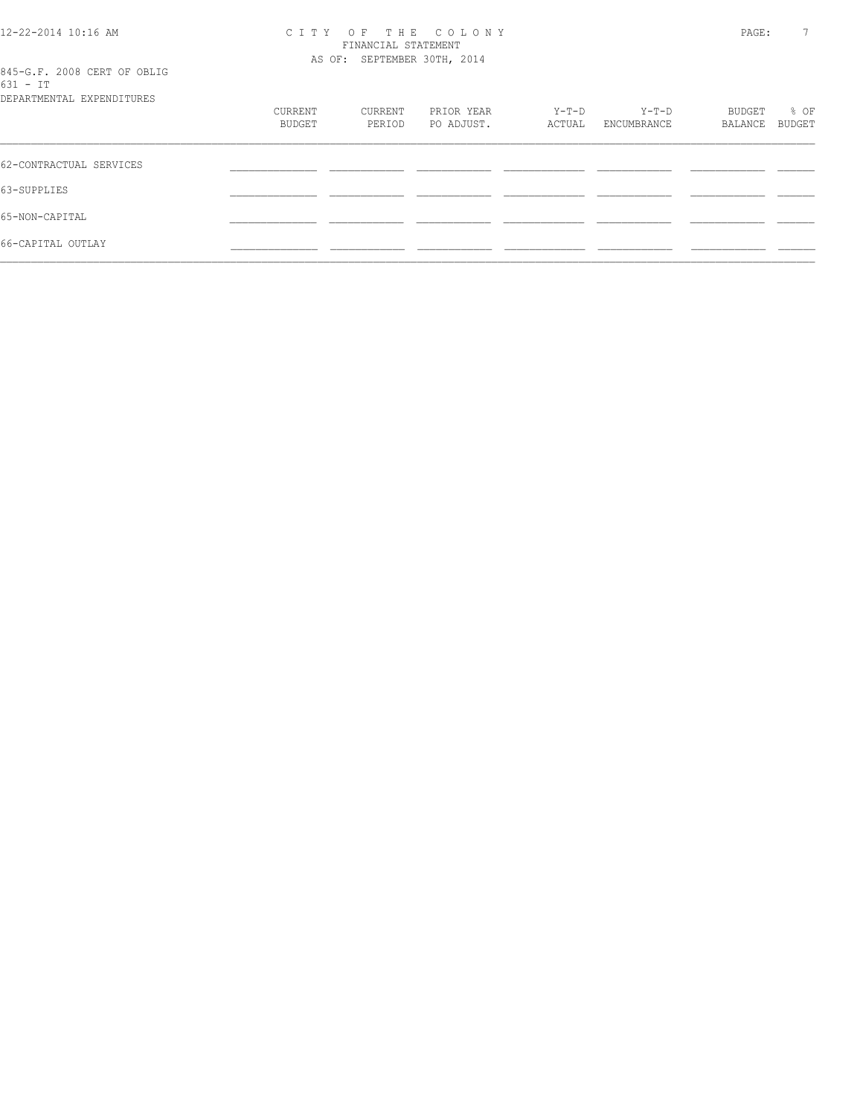#### 12-22-2014 10:16 AM C I T Y O F T H E C O L O N Y PAGE: 7 FINANCIAL STATEMENT AS OF: SEPTEMBER 30TH, 2014

| 845-G.F. 2008 CERT OF OBLIG |  |  |  |
|-----------------------------|--|--|--|
| 631 - TT                    |  |  |  |

| DEPARTMENTAL EXPENDITURES |                   |                   |                          |                   |                        |                   |                |
|---------------------------|-------------------|-------------------|--------------------------|-------------------|------------------------|-------------------|----------------|
|                           | CURRENT<br>BUDGET | CURRENT<br>PERIOD | PRIOR YEAR<br>PO ADJUST. | $Y-T-D$<br>ACTUAL | $Y-T-D$<br>ENCUMBRANCE | BUDGET<br>BALANCE | % OF<br>BUDGET |
|                           |                   |                   |                          |                   |                        |                   |                |
| 62-CONTRACTUAL SERVICES   |                   |                   |                          |                   |                        |                   |                |
| 63-SUPPLIES               |                   |                   |                          |                   |                        |                   |                |
| 65-NON-CAPITAL            |                   |                   |                          |                   |                        |                   |                |
| 66-CAPITAL OUTLAY         |                   |                   |                          |                   |                        |                   |                |
|                           |                   |                   |                          |                   |                        |                   |                |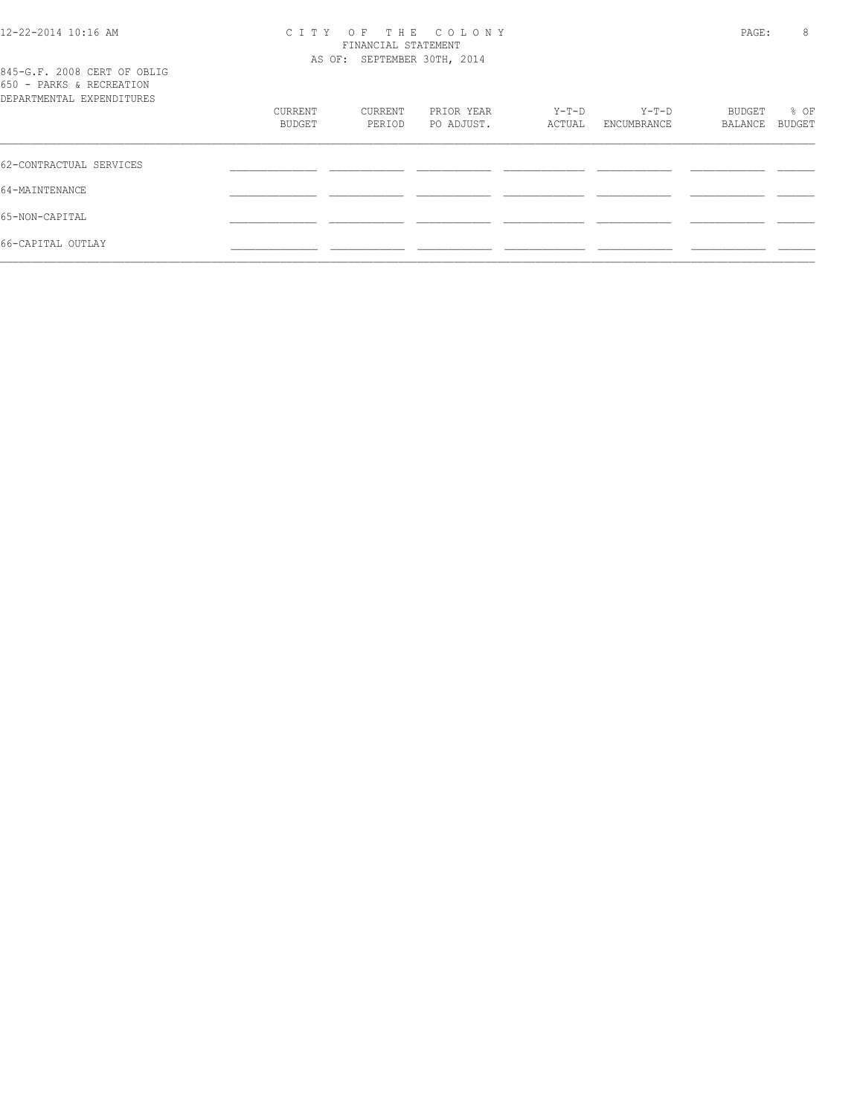| 12-22-2014 10:16 AM |  |
|---------------------|--|
|---------------------|--|

66-CAPITAL OUTLAY \_\_\_\_\_\_\_\_\_\_\_\_\_\_ \_\_\_\_\_\_\_\_\_\_\_\_ \_\_\_\_\_\_\_\_\_\_\_\_ \_\_\_\_\_\_\_\_\_\_\_\_\_ \_\_\_\_\_\_\_\_\_\_\_\_ \_\_\_\_\_\_\_\_\_\_\_\_ \_\_\_\_\_\_  $\mathcal{L} = \{ \mathcal{L} = \{ \mathcal{L} = \{ \mathcal{L} = \{ \mathcal{L} = \{ \mathcal{L} = \{ \mathcal{L} = \{ \mathcal{L} = \{ \mathcal{L} = \{ \mathcal{L} = \{ \mathcal{L} = \{ \mathcal{L} = \{ \mathcal{L} = \{ \mathcal{L} = \{ \mathcal{L} = \{ \mathcal{L} = \{ \mathcal{L} = \{ \mathcal{L} = \{ \mathcal{L} = \{ \mathcal{L} = \{ \mathcal{L} = \{ \mathcal{L} = \{ \mathcal{L} = \{ \mathcal{L} = \{ \mathcal{$ 

65-NON-CAPITAL \_\_\_\_\_\_\_\_\_\_\_\_\_\_ \_\_\_\_\_\_\_\_\_\_\_\_ \_\_\_\_\_\_\_\_\_\_\_\_ \_\_\_\_\_\_\_\_\_\_\_\_\_ \_\_\_\_\_\_\_\_\_\_\_\_ \_\_\_\_\_\_\_\_\_\_\_\_ \_\_\_\_\_\_

| 12-22-2014 10:16 AM                                     |         | FINANCIAL STATEMENT         | CITY OF THE COLONY |        |             | PAGE:   | 8      |
|---------------------------------------------------------|---------|-----------------------------|--------------------|--------|-------------|---------|--------|
| 845-G.F. 2008 CERT OF OBLIG<br>650 - PARKS & RECREATION |         | AS OF: SEPTEMBER 30TH, 2014 |                    |        |             |         |        |
| DEPARTMENTAL EXPENDITURES                               | CURRENT | CURRENT                     | PRIOR YEAR         | Y-T-D  | Y-T-D       | BUDGET  | % OF   |
|                                                         | BUDGET  | PERIOD                      | PO ADJUST.         | ACTUAL | ENCUMBRANCE | BALANCE | BUDGET |
| 62-CONTRACTUAL SERVICES                                 |         |                             |                    |        |             |         |        |
| 64-MAINTENANCE                                          |         |                             |                    |        |             |         |        |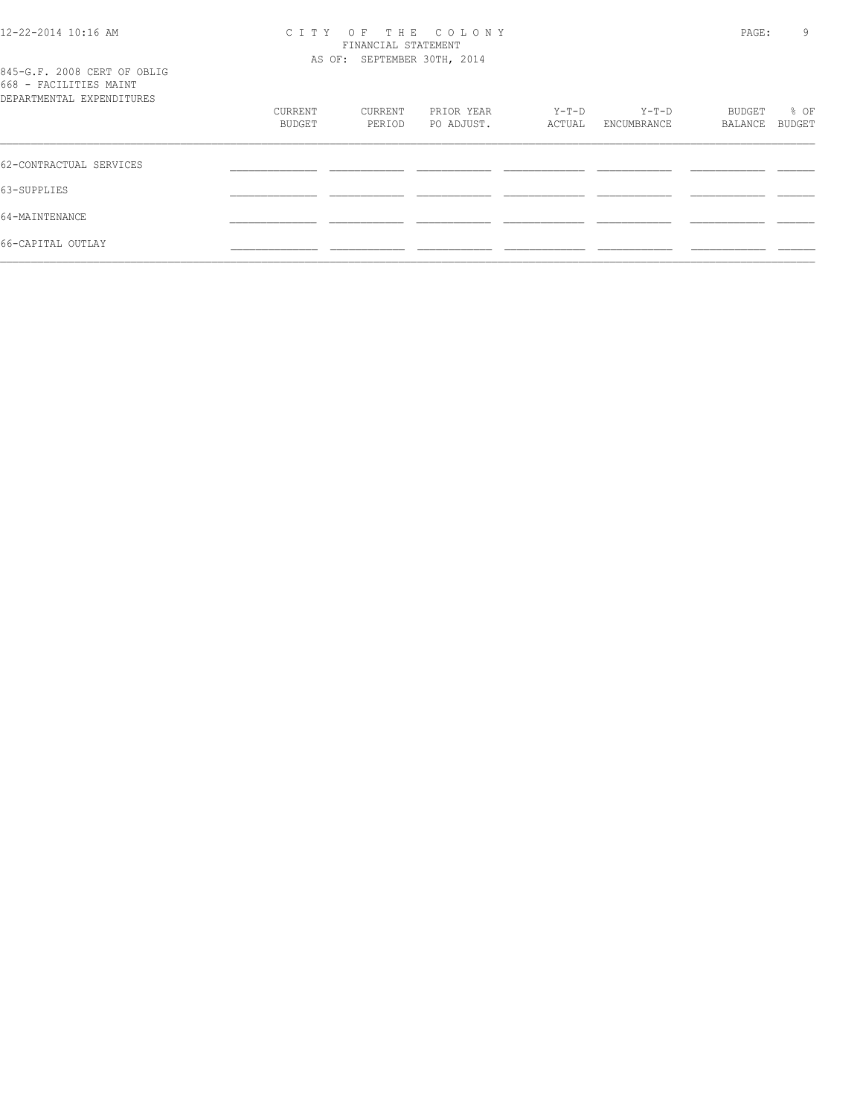| 12-22-2014 10:16 AM |  |
|---------------------|--|
|---------------------|--|

#### 12-22-2014 10:16 AM C I T Y O F T H E C O L O N Y PAGE: 9 FINANCIAL STATEMENT AS OF: SEPTEMBER 30TH, 2014

| 845-G.F. 2008 CERT OF OBLIG |  |  |  |
|-----------------------------|--|--|--|
| 668 - FACILITIES MAINT      |  |  |  |
| DEPARTMENTAL EXPENDITHERS   |  |  |  |

| DEPARTMENTAL EXPENDITURES |                   |                   |                          |                   |                        |         |                |
|---------------------------|-------------------|-------------------|--------------------------|-------------------|------------------------|---------|----------------|
|                           | CURRENT<br>BUDGET | CURRENT<br>PERIOD | PRIOR YEAR<br>PO ADJUST. | $Y-T-D$<br>ACTUAL | $Y-T-D$<br>ENCUMBRANCE | BUDGET  | % OF<br>BUDGET |
|                           |                   |                   |                          |                   |                        | BALANCE |                |
| 62-CONTRACTUAL SERVICES   |                   |                   |                          |                   |                        |         |                |
| 63-SUPPLIES               |                   |                   |                          |                   |                        |         |                |
| 64-MAINTENANCE            |                   |                   |                          |                   |                        |         |                |
| 66-CAPITAL OUTLAY         |                   |                   |                          |                   |                        |         |                |
|                           |                   |                   |                          |                   |                        |         |                |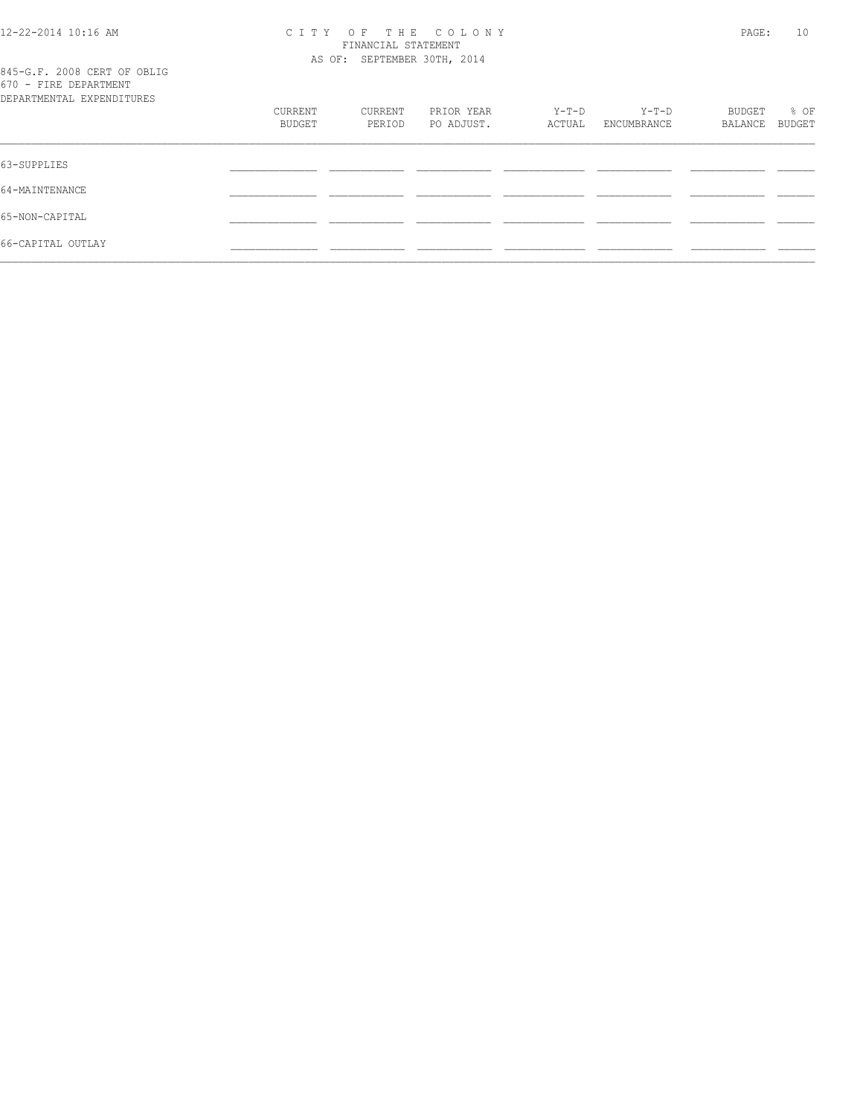#### 12-22-2014 10:16 AM C I T Y O F T H E C O L O N Y PAGE: 10 FINANCIAL STATEMENT AS OF: SEPTEMBER 30TH, 2014

| 845-G.F. 2008 CERT OF OBLIG |  |  |
|-----------------------------|--|--|
| 670 - FIRE DEPARTMENT       |  |  |
| RPARTMENTAI EXPENDITHERS    |  |  |

| DEPARTMENTAL EXPENDITURES |         |         |            |        |             |         |        |
|---------------------------|---------|---------|------------|--------|-------------|---------|--------|
|                           | CURRENT | CURRENT | PRIOR YEAR | Y-T-D  | Y-T-D       | BUDGET  | % OF   |
|                           | BUDGET  | PERIOD  | PO ADJUST. | ACTUAL | ENCUMBRANCE | BALANCE | BUDGET |
|                           |         |         |            |        |             |         |        |
| 63-SUPPLIES               |         |         |            |        |             |         |        |
| 64-MAINTENANCE            |         |         |            |        |             |         |        |
| 65-NON-CAPITAL            |         |         |            |        |             |         |        |
| 66-CAPITAL OUTLAY         |         |         |            |        |             |         |        |
|                           |         |         |            |        |             |         |        |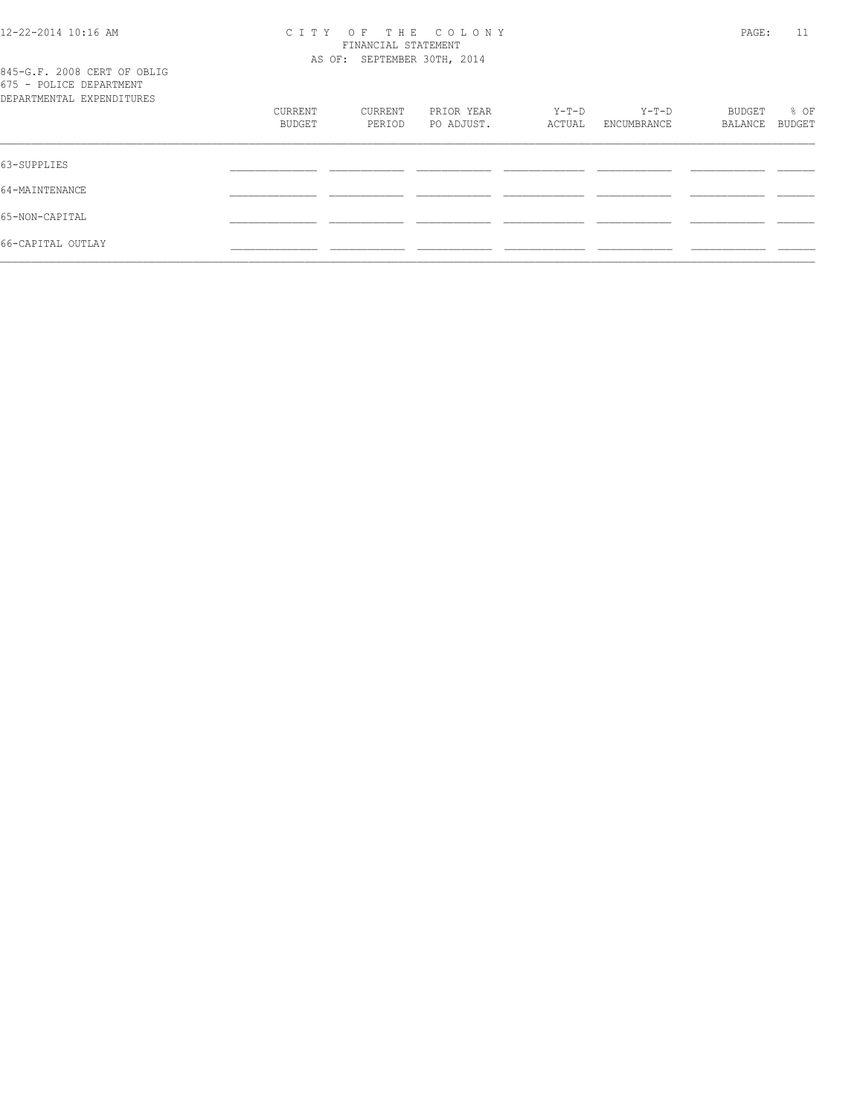#### 12-22-2014 10:16 AM C I T Y O F T H E C O L O N Y PAGE: 11 FINANCIAL STATEMENT AS OF: SEPTEMBER 30TH, 2014

| 845-G.F. 2008 CERT OF OBLIG |  |  |
|-----------------------------|--|--|
| 675 - POLICE DEPARTMENT     |  |  |
| DEPARTMENTAL EXPENDITURES   |  |  |

| DEPARTMENTAL EXPENDITURES |         |         |            |        |             |         |        |
|---------------------------|---------|---------|------------|--------|-------------|---------|--------|
|                           | CURRENT | CURRENT | PRIOR YEAR | Y-T-D  | Y-T-D       | BUDGET  | % OF   |
|                           | BUDGET  | PERIOD  | PO ADJUST. | ACTUAL | ENCUMBRANCE | BALANCE | BUDGET |
| 63-SUPPLIES               |         |         |            |        |             |         |        |
|                           |         |         |            |        |             |         |        |
| 64-MAINTENANCE            |         |         |            |        |             |         |        |
| 65-NON-CAPITAL            |         |         |            |        |             |         |        |
| 66-CAPITAL OUTLAY         |         |         |            |        |             |         |        |
|                           |         |         |            |        |             |         |        |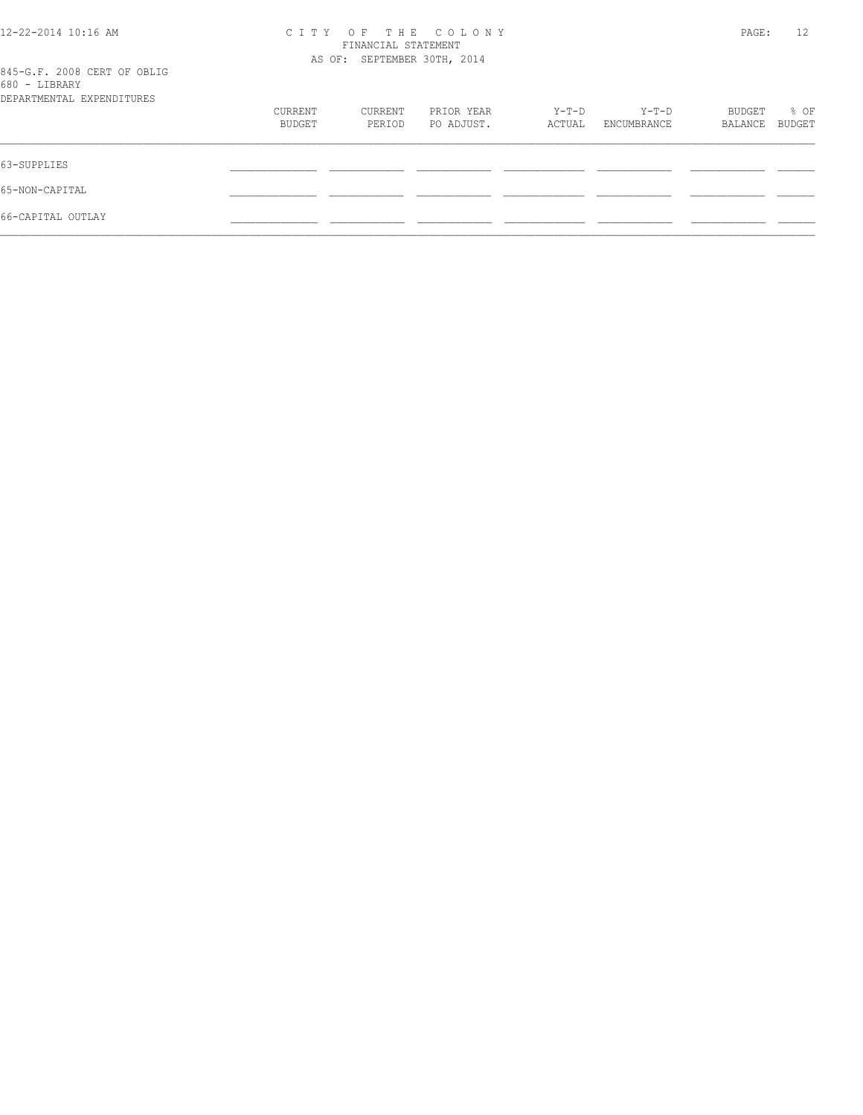| 12-22-2014 10:16 AM                          | OF THE COLONY<br>C T T Y<br>FINANCIAL STATEMENT |         |            |        |             |         | 12     |
|----------------------------------------------|-------------------------------------------------|---------|------------|--------|-------------|---------|--------|
|                                              | AS OF: SEPTEMBER 30TH, 2014                     |         |            |        |             |         |        |
| 845-G.F. 2008 CERT OF OBLIG<br>680 - LIBRARY |                                                 |         |            |        |             |         |        |
| DEPARTMENTAL EXPENDITURES                    |                                                 |         |            |        |             |         |        |
|                                              | CURRENT                                         | CURRENT | PRIOR YEAR | Y-T-D  | Y-T-D       | BUDGET  | % OF   |
|                                              | BUDGET                                          | PERIOD  | PO ADJUST. | ACTUAL | ENCUMBRANCE | BALANCE | BUDGET |
| 63-SUPPLIES                                  |                                                 |         |            |        |             |         |        |
| 65-NON-CAPITAL                               |                                                 |         |            |        |             |         |        |
| 66-CAPITAL OUTLAY                            |                                                 |         |            |        |             |         |        |
|                                              |                                                 |         |            |        |             |         |        |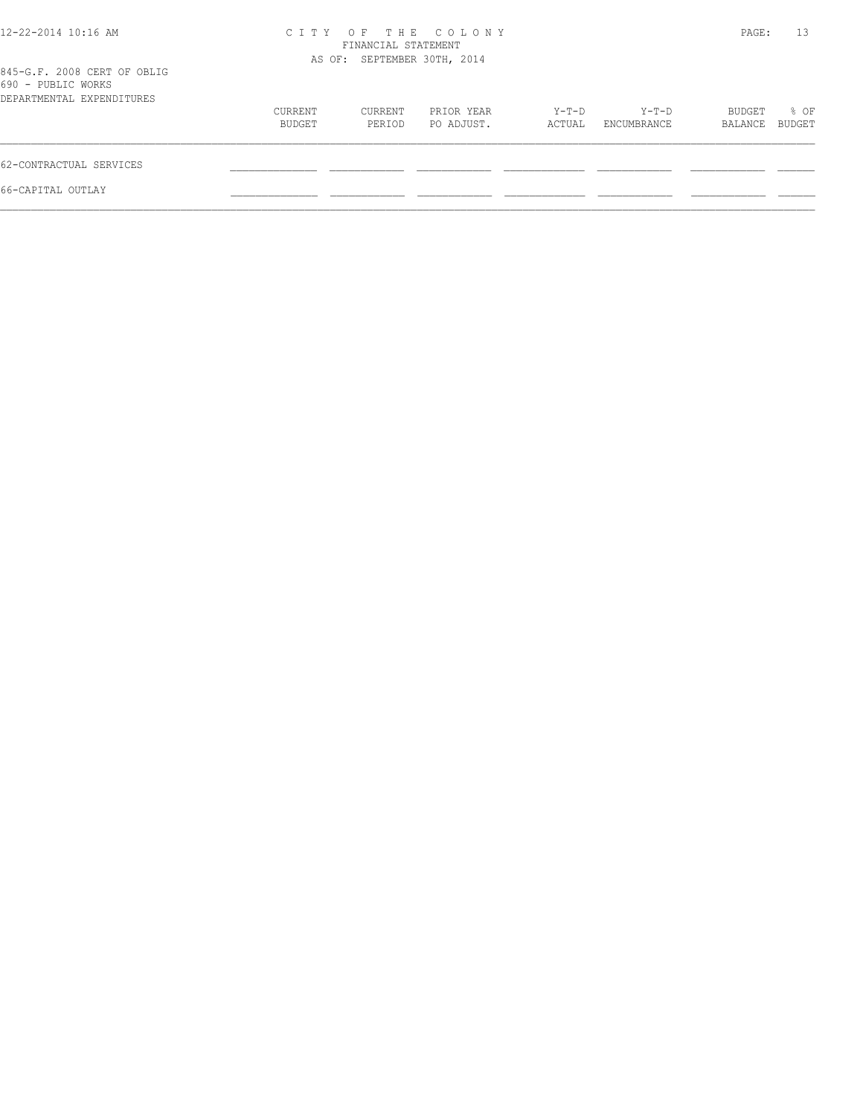| 12-22-2014 10:16 AM                                                            |                   | FINANCIAL STATEMENT         | CITY OF THE COLONY       |                 |                      | PAGE:             | 13             |
|--------------------------------------------------------------------------------|-------------------|-----------------------------|--------------------------|-----------------|----------------------|-------------------|----------------|
| 845-G.F. 2008 CERT OF OBLIG<br>690 - PUBLIC WORKS<br>DEPARTMENTAL EXPENDITURES |                   | AS OF: SEPTEMBER 30TH, 2014 |                          |                 |                      |                   |                |
|                                                                                | CURRENT<br>BUDGET | CURRENT<br>PERIOD           | PRIOR YEAR<br>PO ADJUST. | Y-T-D<br>ACTUAL | Y-T-D<br>ENCUMBRANCE | BUDGET<br>BALANCE | % OF<br>BUDGET |
| 62-CONTRACTUAL SERVICES                                                        |                   |                             |                          |                 |                      |                   |                |
| 66-CAPITAL OUTLAY                                                              |                   |                             |                          |                 |                      |                   |                |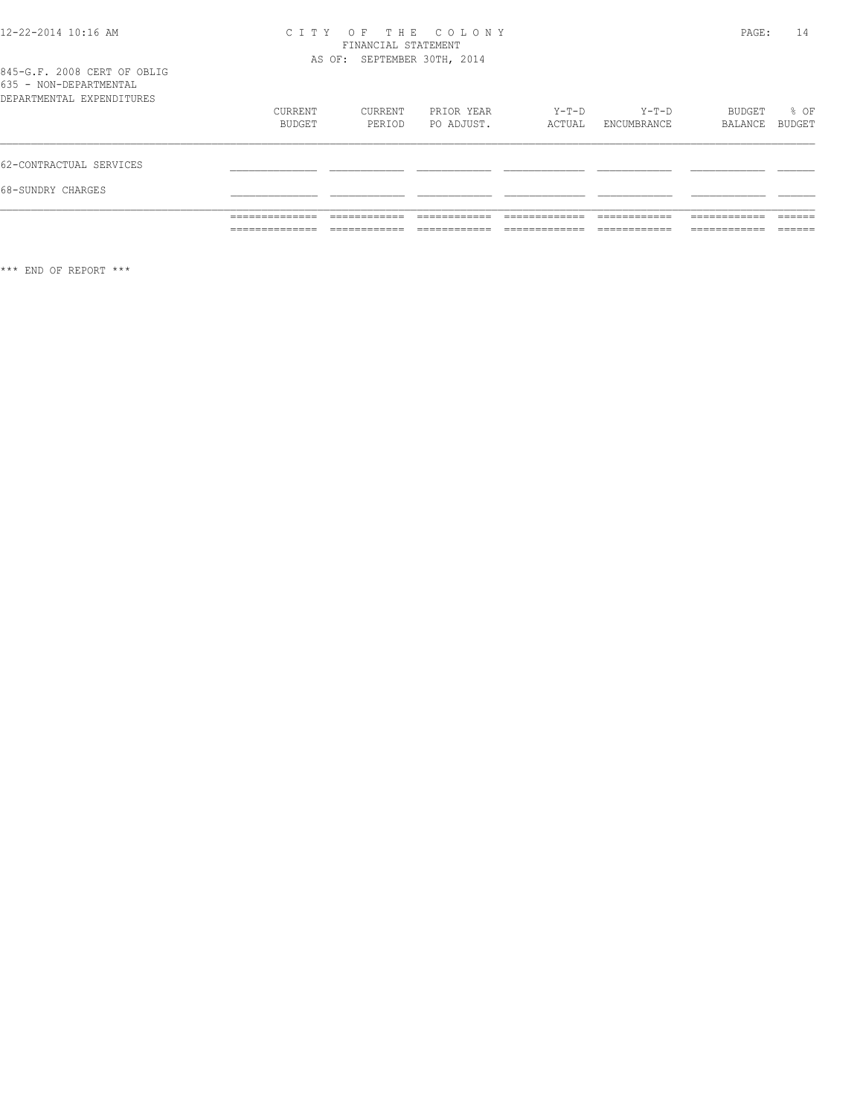#### 12-22-2014 10:16 AM C I T Y O F T H E C O L O N Y PAGE: 14 FINANCIAL STATEMENT AS OF: SEPTEMBER 30TH, 2014

845-G.F. 2008 CERT OF OBLIG 635 - NON-DEPARTMENTAL

|                                                    | ______________<br>______________ | ____________      |                          |                   |                      | __________<br>____________  | _____<br>______ |
|----------------------------------------------------|----------------------------------|-------------------|--------------------------|-------------------|----------------------|-----------------------------|-----------------|
|                                                    | ______________<br>______________ |                   |                          |                   | ____________         | ___________<br>____________ | ______          |
| 68-SUNDRY CHARGES                                  |                                  |                   |                          |                   |                      |                             |                 |
| 62-CONTRACTUAL SERVICES                            |                                  |                   |                          |                   |                      |                             |                 |
|                                                    | CURRENT<br>BUDGET                | CURRENT<br>PERIOD | PRIOR YEAR<br>PO ADJUST. | $Y-T-D$<br>ACTUAL | Y-T-D<br>ENCUMBRANCE | BUDGET<br>BALANCE           | % OF<br>BUDGET  |
| $\backsim$ $\backsim$<br>DEPARTMENTAL EXPENDITURES |                                  |                   |                          |                   |                      |                             |                 |

\*\*\* END OF REPORT \*\*\*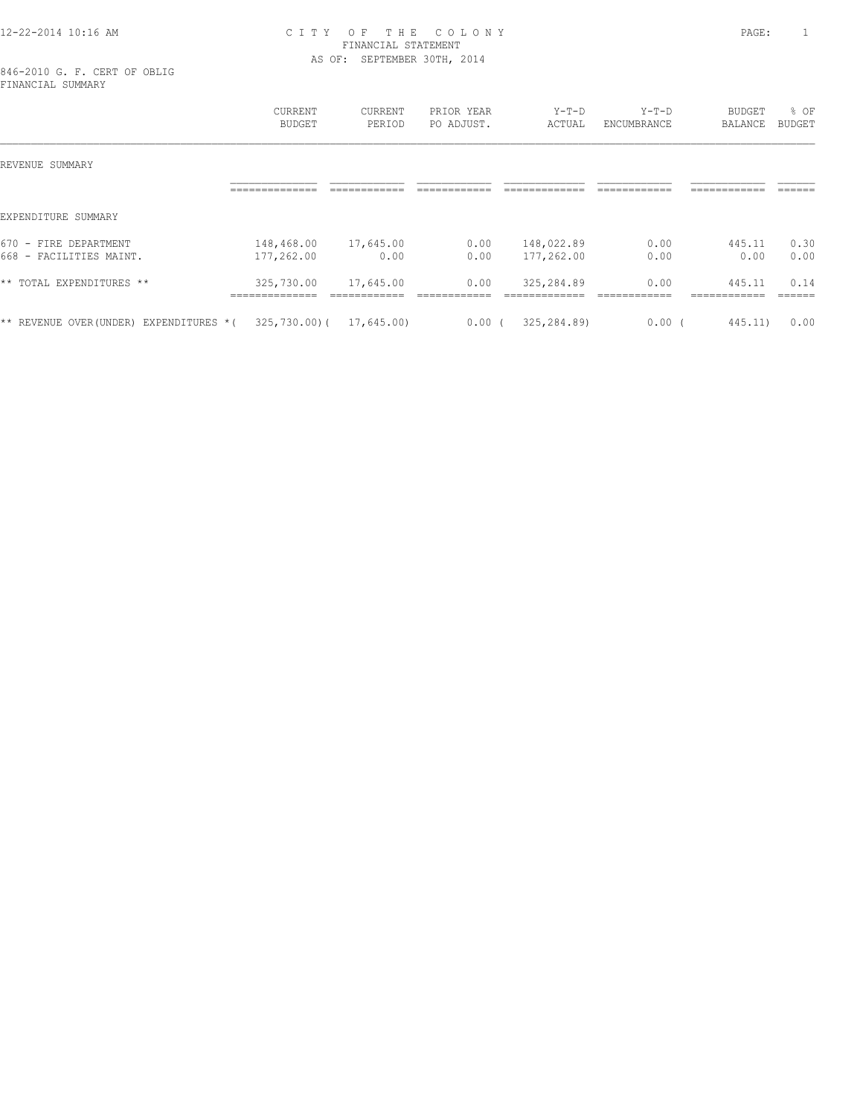#### 12-22-2014 10:16 AM C I T Y O F T H E C O L O N Y PAGE: 1 FINANCIAL STATEMENT AS OF: SEPTEMBER 30TH, 2014

846-2010 G. F. CERT OF OBLIG FINANCIAL SUMMARY

|                                                       | CURRENT<br><b>BUDGET</b>                        | CURRENT<br>PERIOD                         | PRIOR YEAR<br>PO ADJUST.       | $Y-T-D$<br>ACTUAL            | $Y-T-D$<br>ENCUMBRANCE               | <b>BUDGET</b><br>BALANCE               | % OF<br><b>BUDGET</b>     |
|-------------------------------------------------------|-------------------------------------------------|-------------------------------------------|--------------------------------|------------------------------|--------------------------------------|----------------------------------------|---------------------------|
| REVENUE SUMMARY                                       |                                                 |                                           |                                |                              |                                      |                                        |                           |
|                                                       | . _ _ _ _ _ _ _ _ _ _ _ _ _ _                   | ------------<br>____________              | ------------<br>________       | -------------                | ------------<br>____________         | ============                           | ------<br>______          |
| EXPENDITURE SUMMARY                                   |                                                 |                                           |                                |                              |                                      |                                        |                           |
| 670<br>DEPARTMENT<br>FIRE<br>$\overline{\phantom{a}}$ | 148,468.00                                      | 17,645.00                                 | 0.00                           | 148,022.89                   | 0.00                                 | 445.11                                 | 0.30                      |
| $668 -$<br>FACILITIES MAINT.                          | 177,262.00                                      | 0.00                                      | 0.00                           | 177,262.00                   | 0.00                                 | 0.00                                   | 0.00                      |
| ** TOTAL EXPENDITURES **                              | 325,730.00<br>______________<br>--------------- | 17,645.00<br>____________<br>____________ | 0.00<br>_____<br>------------- | 325,284.89<br>-------------- | 0.00<br>____________<br>____________ | 445.11<br>------------<br>____________ | 0.14<br>-------<br>______ |
| ** REVENUE OVER (UNDER)<br>EXPENDITURES *(            | $325,730.00$ (                                  | 17,645.00)                                | 0.00(                          | 325,284.89)                  | 0.00                                 | 445.11)                                | 0.00                      |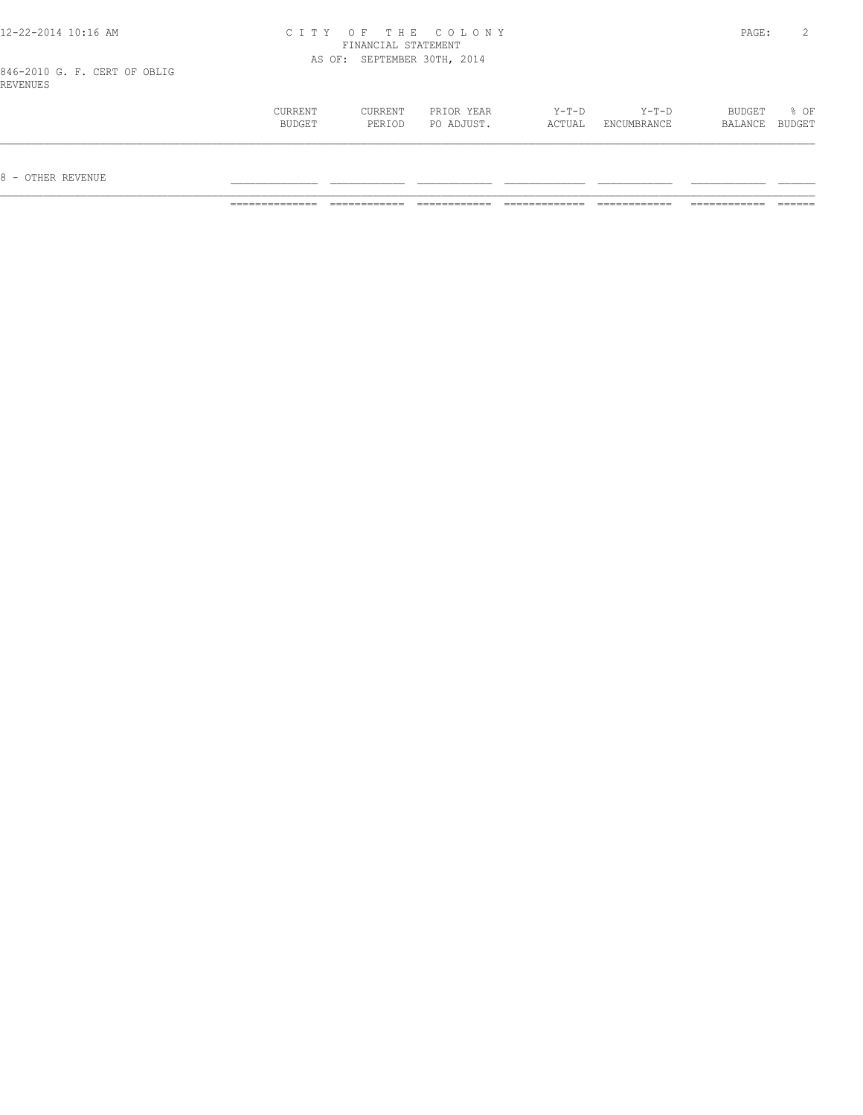| 12-22-2014 10:16 AM                      |         |                     | CITY OF THE COLONY          |         |         | PAGE:  |        |
|------------------------------------------|---------|---------------------|-----------------------------|---------|---------|--------|--------|
|                                          |         | FINANCIAL STATEMENT |                             |         |         |        |        |
|                                          |         |                     | AS OF: SEPTEMBER 30TH, 2014 |         |         |        |        |
| 846-2010 G. F. CERT OF OBLIG<br>REVENUES |         |                     |                             |         |         |        |        |
|                                          | CURRENT | CURRENT             | PRIOR YEAR                  | $Y-T-D$ | $Y-T-D$ | BUDGET | $8$ OF |

 BUDGET PERIOD PO ADJUST. ACTUAL ENCUMBRANCE BALANCE BUDGET  $\mathcal{L} = \{ \mathcal{L} = \{ \mathcal{L} = \{ \mathcal{L} = \{ \mathcal{L} = \{ \mathcal{L} = \{ \mathcal{L} = \{ \mathcal{L} = \{ \mathcal{L} = \{ \mathcal{L} = \{ \mathcal{L} = \{ \mathcal{L} = \{ \mathcal{L} = \{ \mathcal{L} = \{ \mathcal{L} = \{ \mathcal{L} = \{ \mathcal{L} = \{ \mathcal{L} = \{ \mathcal{L} = \{ \mathcal{L} = \{ \mathcal{L} = \{ \mathcal{L} = \{ \mathcal{L} = \{ \mathcal{L} = \{ \mathcal{$ 

 $8$  – OTHER REVENUE

 $12 - 22 - 2014$   $10:16$  AM

============== ============ ============ ============= ============ ============ ======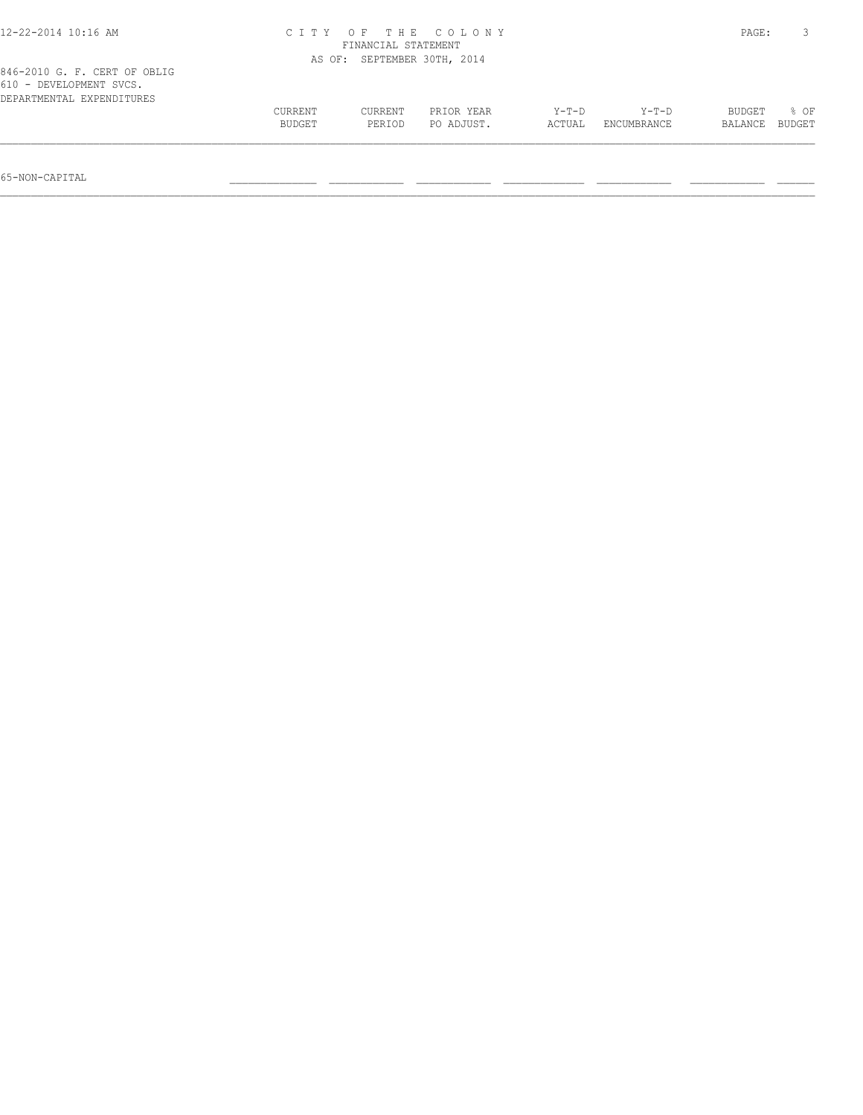| 12-22-2014 10:16 AM                                                                  | C T T Y<br>FINANCIAL STATEMENT | PAGE:                       |                          |                 |                        |                   |                |
|--------------------------------------------------------------------------------------|--------------------------------|-----------------------------|--------------------------|-----------------|------------------------|-------------------|----------------|
|                                                                                      |                                | AS OF: SEPTEMBER 30TH, 2014 |                          |                 |                        |                   |                |
| 846-2010 G. F. CERT OF OBLIG<br>610 - DEVELOPMENT SVCS.<br>DEPARTMENTAL EXPENDITURES |                                |                             |                          |                 |                        |                   |                |
|                                                                                      | CURRENT<br>BUDGET              | CURRENT<br>PERIOD           | PRIOR YEAR<br>PO ADJUST. | Y-T-D<br>ACTUAL | $Y-T-D$<br>ENCUMBRANCE | BUDGET<br>BALANCE | 8 OF<br>BUDGET |
|                                                                                      |                                |                             |                          |                 |                        |                   |                |

65-NON-CAPITAL \_\_\_\_\_\_\_\_\_\_\_\_\_\_ \_\_\_\_\_\_\_\_\_\_\_\_ \_\_\_\_\_\_\_\_\_\_\_\_ \_\_\_\_\_\_\_\_\_\_\_\_\_ \_\_\_\_\_\_\_\_\_\_\_\_ \_\_\_\_\_\_\_\_\_\_\_\_ \_\_\_\_\_\_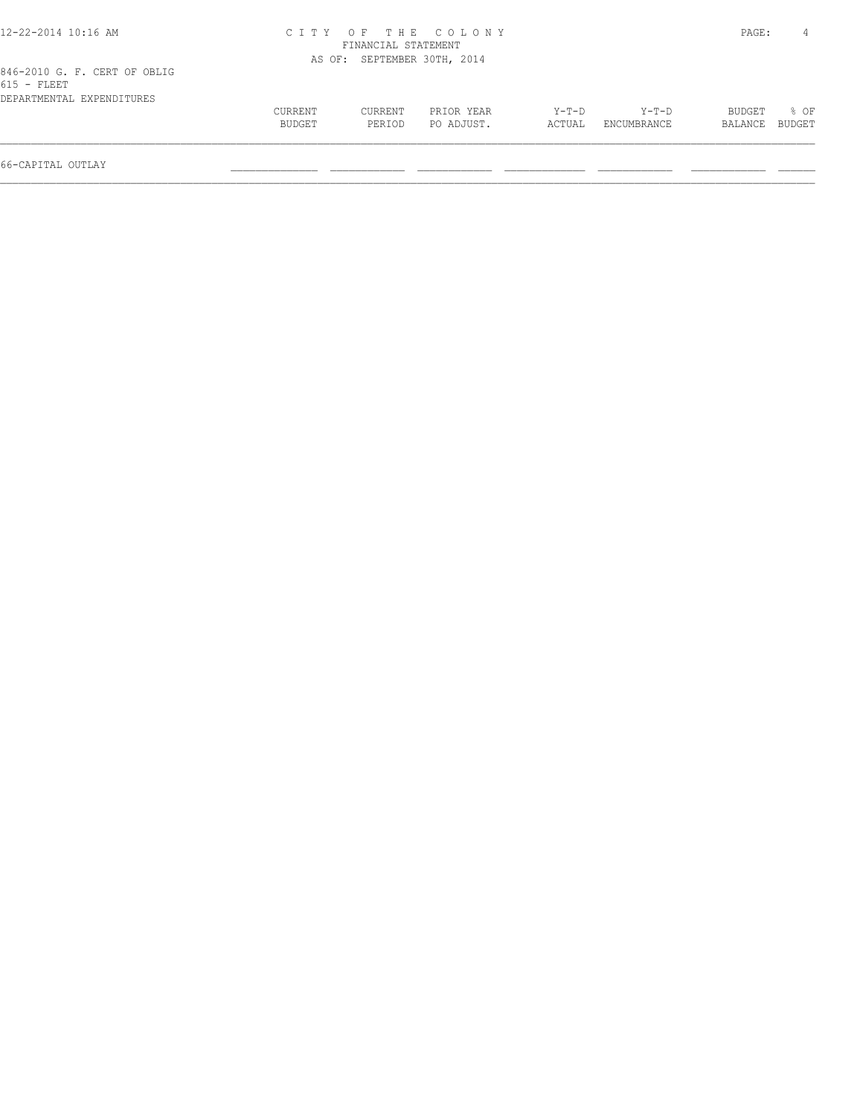| 12-22-2014 10:16 AM                           |         |                             | CITY OF THE COLONY |        |             | PAGE:         |        |
|-----------------------------------------------|---------|-----------------------------|--------------------|--------|-------------|---------------|--------|
|                                               |         | FINANCIAL STATEMENT         |                    |        |             |               |        |
|                                               |         | AS OF: SEPTEMBER 30TH, 2014 |                    |        |             |               |        |
| 846-2010 G. F. CERT OF OBLIG<br>$615$ - FLEET |         |                             |                    |        |             |               |        |
| DEPARTMENTAL EXPENDITURES                     |         |                             |                    |        |             |               |        |
|                                               | CURRENT | CURRENT                     | PRIOR YEAR         | Y-T-D  | Y-T-D       | <b>BUDGET</b> | 8 OF   |
|                                               | BUDGET  | PERIOD                      | PO ADJUST.         | ACTUAL | ENCUMBRANCE | BALANCE       | BUDGET |
| 66-CAPITAL OUTLAY                             |         |                             |                    |        |             |               |        |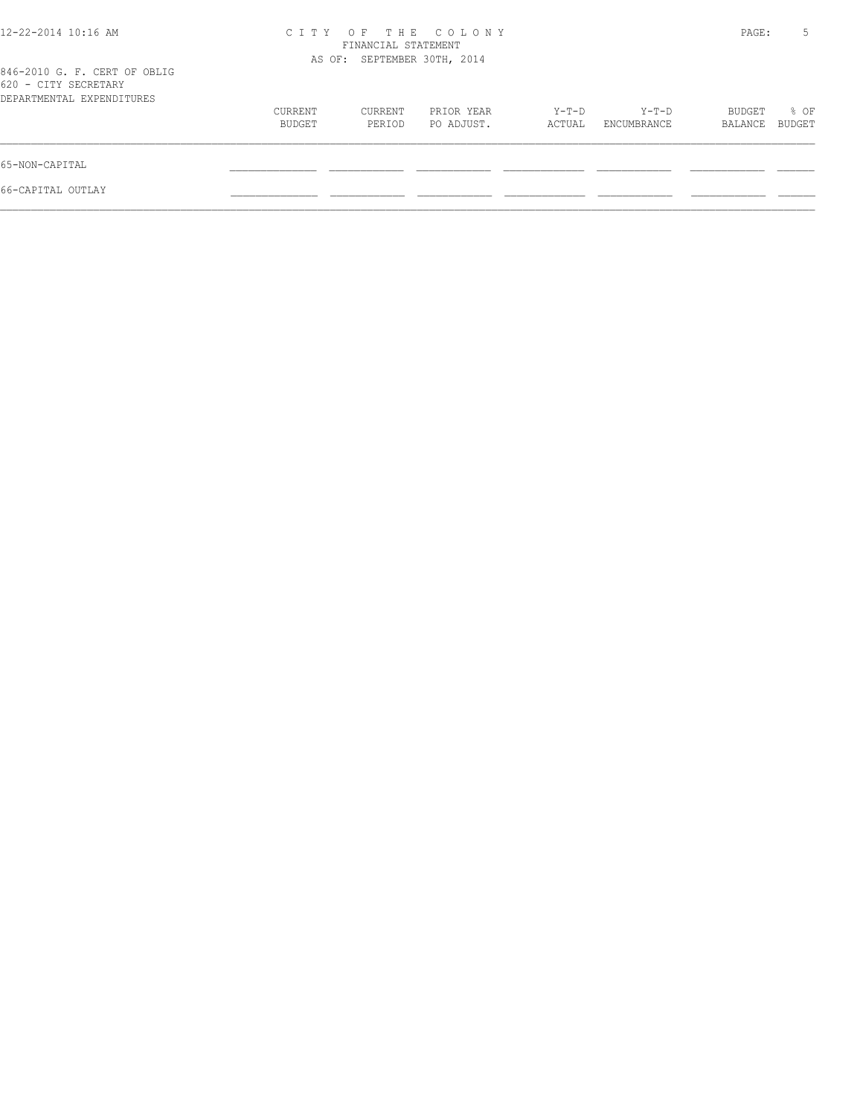| 12-22-2014 10:16 AM                                                               | CITY OF THE COLONY | PAGE:                       | 5                        |                 |                      |                   |                |
|-----------------------------------------------------------------------------------|--------------------|-----------------------------|--------------------------|-----------------|----------------------|-------------------|----------------|
| 846-2010 G. F. CERT OF OBLIG<br>620 - CITY SECRETARY<br>DEPARTMENTAL EXPENDITURES |                    | AS OF: SEPTEMBER 30TH, 2014 |                          |                 |                      |                   |                |
|                                                                                   | CURRENT<br>BUDGET  | CURRENT<br>PERIOD           | PRIOR YEAR<br>PO ADJUST. | Y-T-D<br>ACTUAL | Y-T-D<br>ENCUMBRANCE | BUDGET<br>BALANCE | % OF<br>BUDGET |
| 65-NON-CAPITAL                                                                    |                    |                             |                          |                 |                      |                   |                |
| 66-CAPITAL OUTLAY                                                                 |                    |                             |                          |                 |                      |                   |                |
|                                                                                   |                    |                             |                          |                 |                      |                   |                |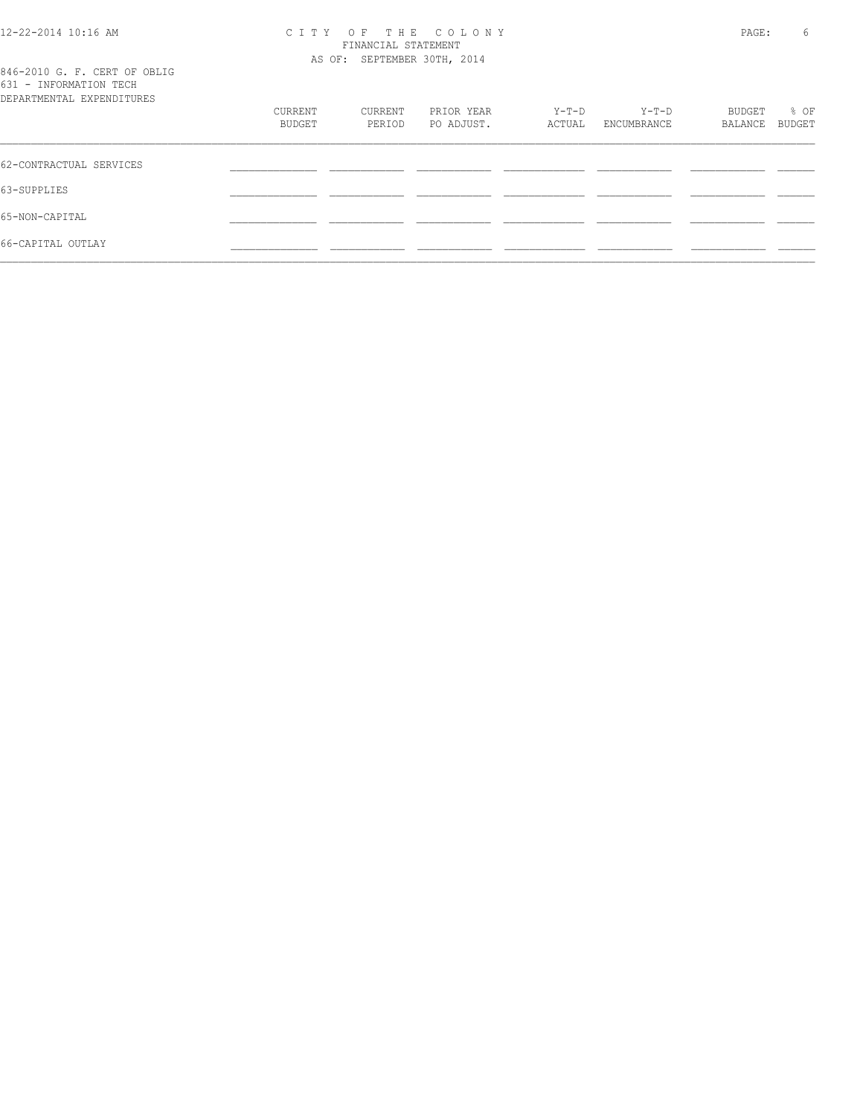#### 12-22-2014 10:16 AM C I T Y O F T H E C O L O N Y PAGE: 6 FINANCIAL STATEMENT AS OF: SEPTEMBER 30TH, 2014

|                           |  |  |  | 846-2010 G. F. CERT OF OBLIG |  |
|---------------------------|--|--|--|------------------------------|--|
| 631 - INFORMATION TECH    |  |  |  |                              |  |
| DEPARTMENTAL EXPENDITHERS |  |  |  |                              |  |

| 001 TMLOMMUTION IBOIL<br>DEPARTMENTAL EXPENDITURES |                   |                   |                          |                 |                        |                   |                |
|----------------------------------------------------|-------------------|-------------------|--------------------------|-----------------|------------------------|-------------------|----------------|
|                                                    | CURRENT<br>BUDGET | CURRENT<br>PERIOD | PRIOR YEAR<br>PO ADJUST. | Y-T-D<br>ACTUAL | $Y-T-D$<br>ENCUMBRANCE | BUDGET<br>BALANCE | % OF<br>BUDGET |
| 62-CONTRACTUAL SERVICES                            |                   |                   |                          |                 |                        |                   |                |
| 63-SUPPLIES                                        |                   |                   |                          |                 |                        |                   |                |
| 65-NON-CAPITAL                                     |                   |                   |                          |                 |                        |                   |                |
| 66-CAPITAL OUTLAY                                  |                   |                   |                          |                 |                        |                   |                |
|                                                    |                   |                   |                          |                 |                        |                   |                |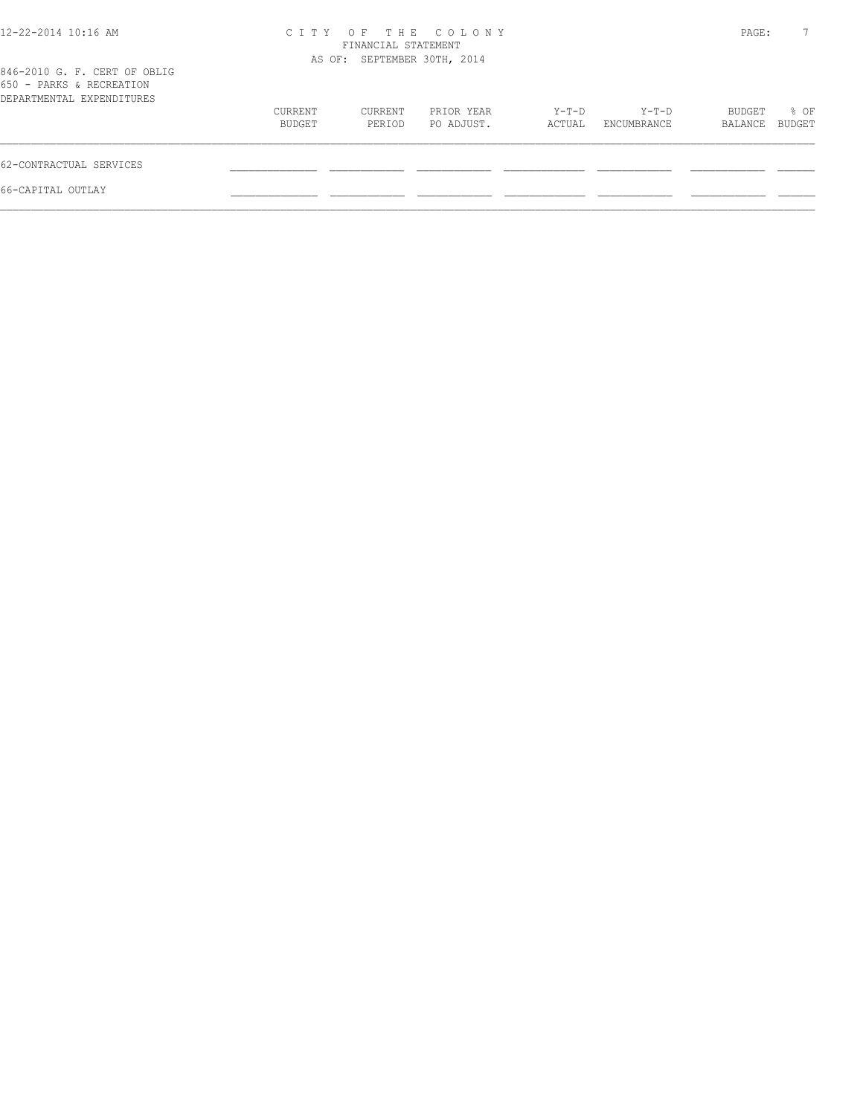| $12 - 22 - 2014$ 10:16 AM                                                             | C T T Y           | FINANCIAL STATEMENT<br>AS OF: SEPTEMBER 30TH, 2014 | OF THE COLONY            |                   |                        | PAGE:             | $7^{\circ}$    |
|---------------------------------------------------------------------------------------|-------------------|----------------------------------------------------|--------------------------|-------------------|------------------------|-------------------|----------------|
| 846-2010 G. F. CERT OF OBLIG<br>650 - PARKS & RECREATION<br>DEPARTMENTAL EXPENDITURES |                   |                                                    |                          |                   |                        |                   |                |
|                                                                                       | CURRENT<br>BUDGET | CURRENT<br>PERIOD                                  | PRIOR YEAR<br>PO ADJUST. | $Y-T-D$<br>ACTUAL | $Y-T-D$<br>ENCUMBRANCE | BUDGET<br>BALANCE | % OF<br>BUDGET |
| 62-CONTRACTUAL SERVICES                                                               |                   |                                                    |                          |                   |                        |                   |                |
| 66-CAPITAL OUTLAY                                                                     |                   |                                                    |                          |                   |                        |                   |                |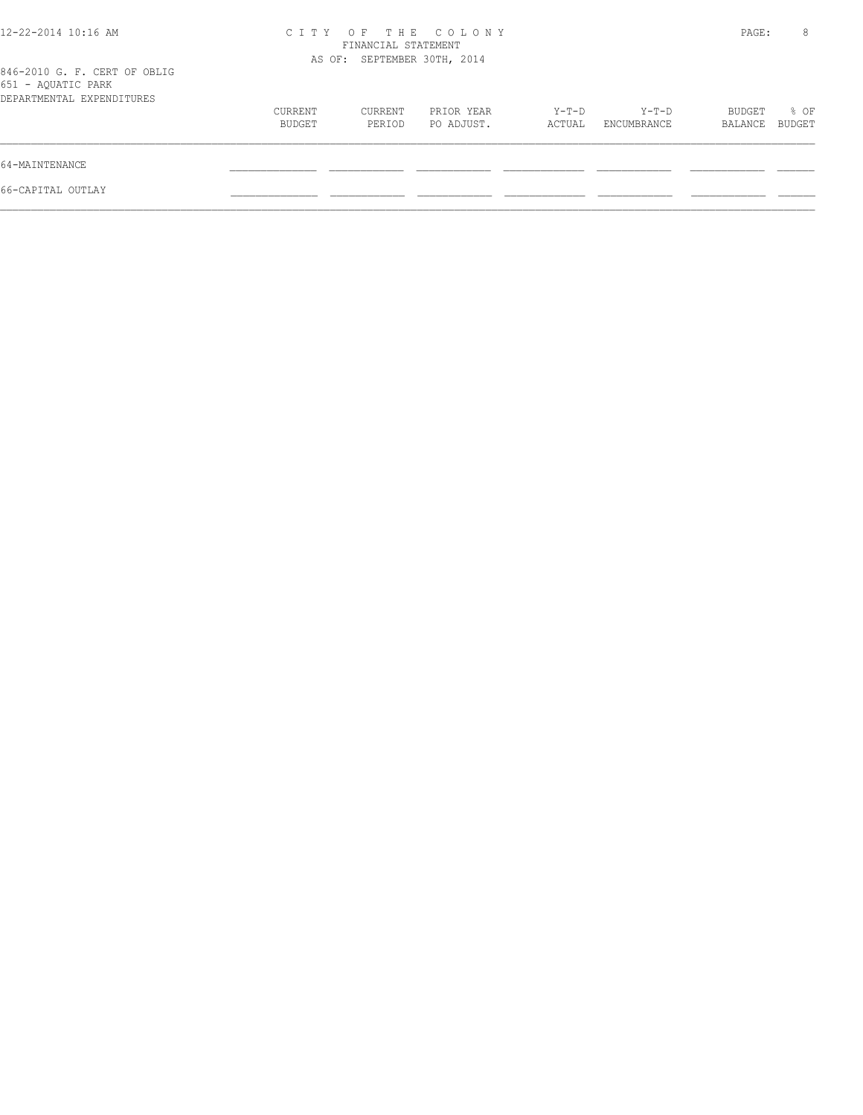| 12-22-2014 10:16 AM                                                             | CITY OF THE COLONY | PAGE:                       | 8                        |                 |                      |                   |                |
|---------------------------------------------------------------------------------|--------------------|-----------------------------|--------------------------|-----------------|----------------------|-------------------|----------------|
| 846-2010 G. F. CERT OF OBLIG<br>651 - AQUATIC PARK<br>DEPARTMENTAL EXPENDITURES |                    | AS OF: SEPTEMBER 30TH, 2014 |                          |                 |                      |                   |                |
|                                                                                 | CURRENT<br>BUDGET  | CURRENT<br>PERIOD           | PRIOR YEAR<br>PO ADJUST. | Y-T-D<br>ACTUAL | Y-T-D<br>ENCUMBRANCE | BUDGET<br>BALANCE | % OF<br>BUDGET |
| 64-MAINTENANCE                                                                  |                    |                             |                          |                 |                      |                   |                |
| 66-CAPITAL OUTLAY                                                               |                    |                             |                          |                 |                      |                   |                |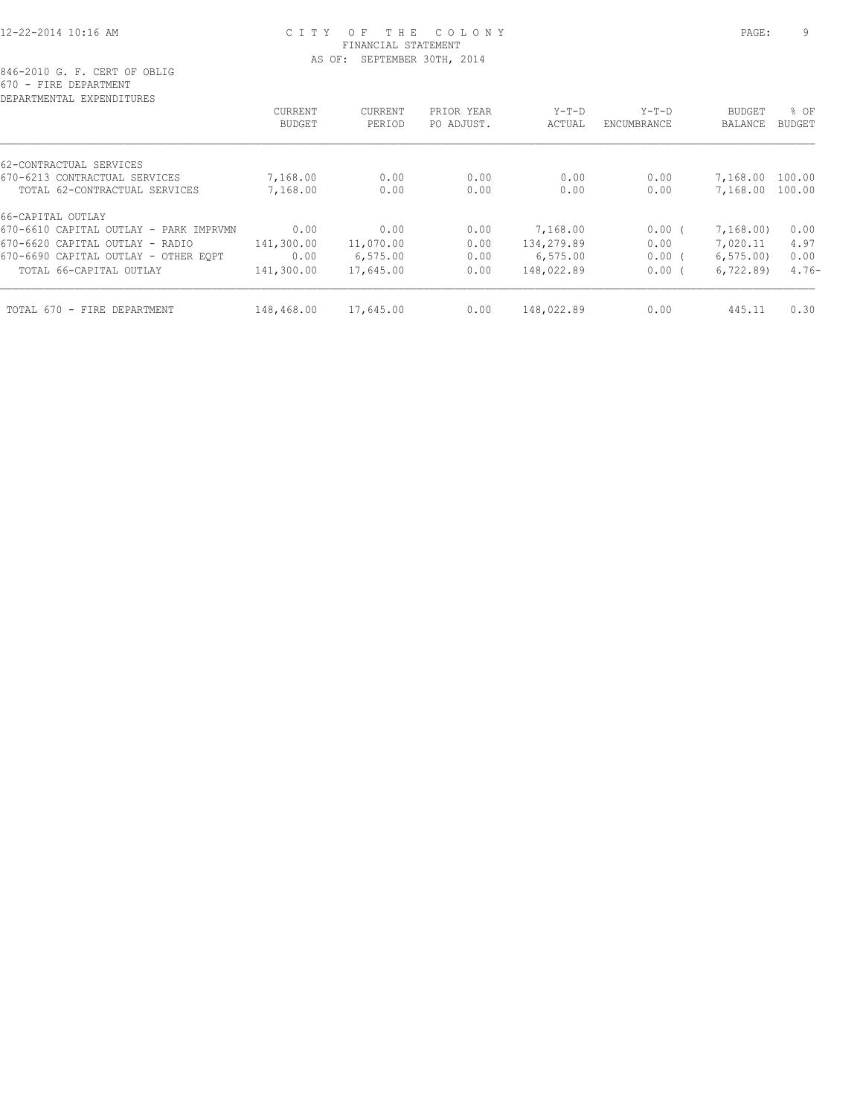### 12-22-2014 10:16 AM C I T Y O F T H E C O L O N Y PAGE: 9 FINANCIAL STATEMENT AS OF: SEPTEMBER 30TH, 2014

| DEPARTMENTAL EXPENDITURES              |               |           |            |            |             |                |         |
|----------------------------------------|---------------|-----------|------------|------------|-------------|----------------|---------|
|                                        | CURRENT       | CURRENT   | PRIOR YEAR | $Y-T-D$    | $Y-T-D$     | <b>BUDGET</b>  | % OF    |
|                                        | <b>BUDGET</b> | PERIOD    | PO ADJUST. | ACTUAL     | ENCUMBRANCE | <b>BALANCE</b> | BUDGET  |
| 62-CONTRACTUAL SERVICES                |               |           |            |            |             |                |         |
| 670-6213 CONTRACTUAL SERVICES          | 7,168.00      | 0.00      | 0.00       | 0.00       | 0.00        | 7,168.00       | 100.00  |
| TOTAL 62-CONTRACTUAL SERVICES          | 7,168.00      | 0.00      | 0.00       | 0.00       | 0.00        | 7,168.00       | 100.00  |
| 66-CAPITAL OUTLAY                      |               |           |            |            |             |                |         |
| 670-6610 CAPITAL OUTLAY - PARK IMPRVMN | 0.00          | 0.00      | 0.00       | 7,168.00   | $0.00$ (    | 7,168.00)      | 0.00    |
| 670-6620 CAPITAL OUTLAY - RADIO        | 141,300.00    | 11,070.00 | 0.00       | 134,279.89 | 0.00        | 7,020.11       | 4.97    |
| 670-6690 CAPITAL OUTLAY - OTHER EOPT   | 0.00          | 6,575.00  | 0.00       | 6, 575.00  | 0.00(       | 6, 575.00      | 0.00    |
| TOTAL 66-CAPITAL OUTLAY                | 141,300.00    | 17,645.00 | 0.00       | 148,022.89 | 0.00(       | 6, 722.89      | $4.76-$ |
| TOTAL 670 - FIRE DEPARTMENT            | 148,468.00    | 17,645.00 | 0.00       | 148,022.89 | 0.00        | 445.11         | 0.30    |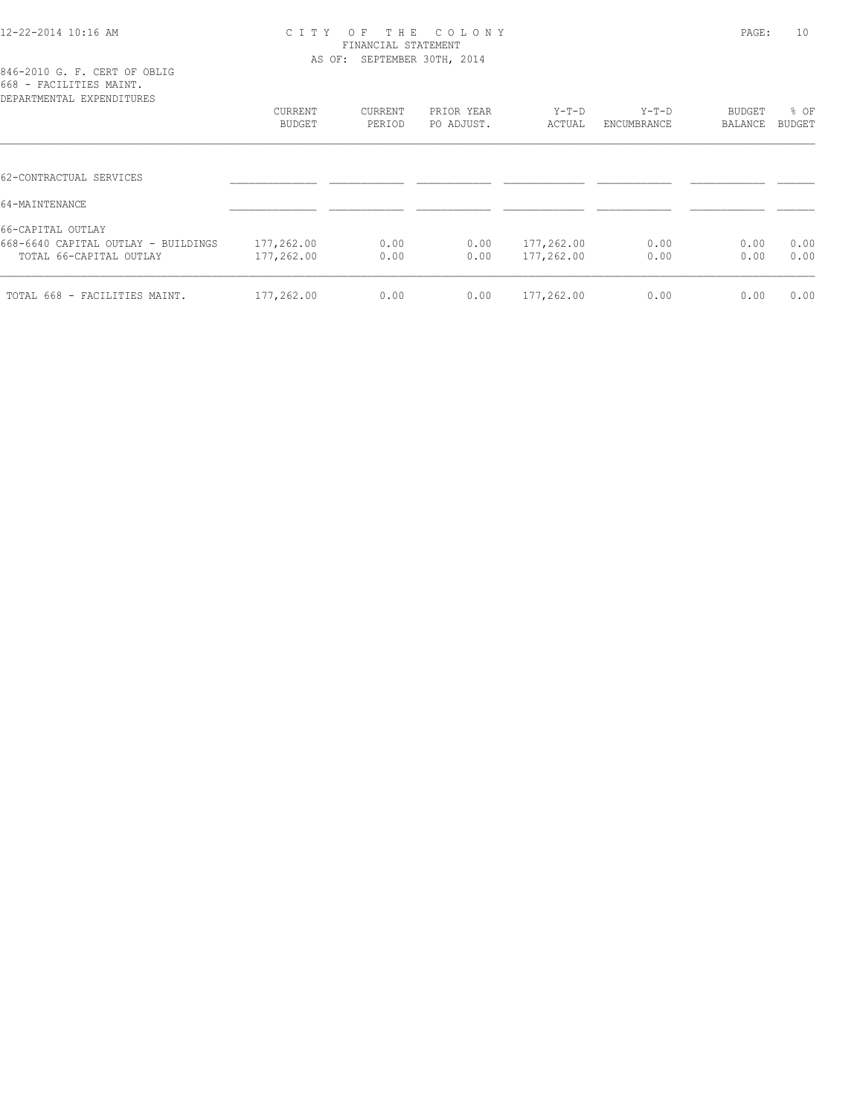#### 12-22-2014 10:16 AM C I T Y O F T H E C O L O N Y PAGE: 10 FINANCIAL STATEMENT AS OF: SEPTEMBER 30TH, 2014

| 846-2010 G. F. CERT OF OBLIG |  |  |  |  |  |  |  |  |  |  |
|------------------------------|--|--|--|--|--|--|--|--|--|--|
| 668 - FACILITIES MAINT.      |  |  |  |  |  |  |  |  |  |  |
| prodentment textoriorminal   |  |  |  |  |  |  |  |  |  |  |

| CURRENT<br>BUDGET | CURRENT<br>PERIOD | PRIOR YEAR<br>PO ADJUST. | Y-T-D<br>ACTUAL | $Y-T-D$<br>ENCUMBRANCE | BUDGET<br>BALANCE | % OF<br>BUDGET |
|-------------------|-------------------|--------------------------|-----------------|------------------------|-------------------|----------------|
|                   |                   |                          |                 |                        |                   |                |
|                   |                   |                          |                 |                        |                   |                |
|                   |                   |                          |                 |                        |                   |                |
|                   |                   |                          |                 |                        |                   |                |
| 177,262.00        | 0.00              | 0.00                     | 177,262.00      | 0.00                   | 0.00              | 0.00           |
| 177,262.00        | 0.00              | 0.00                     | 177,262.00      | 0.00                   | 0.00              | 0.00           |
| 177,262.00        | 0.00              | 0.00                     | 177,262.00      | 0.00                   | 0.00              | 0.00           |
|                   |                   |                          |                 |                        |                   |                |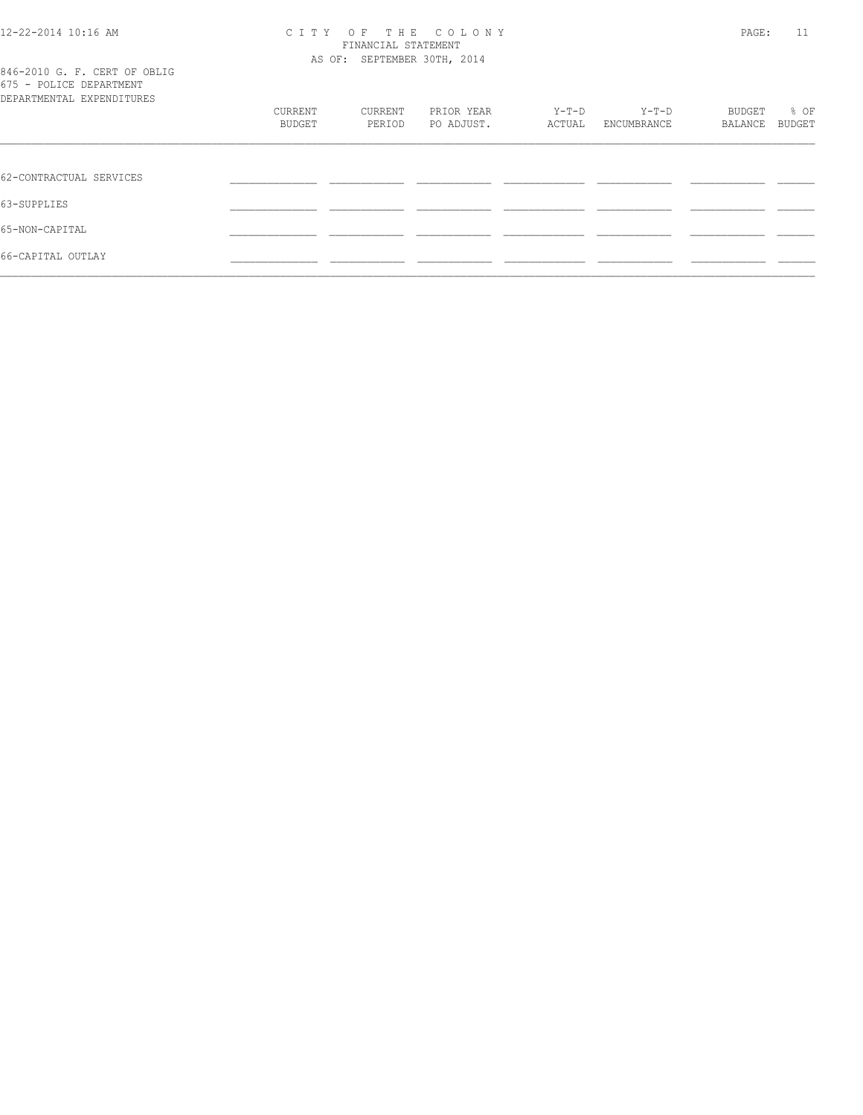#### 12-22-2014 10:16 AM C I T Y O F T H E C O L O N Y PAGE: 11 FINANCIAL STATEMENT AS OF: SEPTEMBER 30TH, 2014

| 846-2010 G. F. CERT OF OBLIG<br>675 - POLICE DEPARTMENT<br>DEPARTMENTAL EXPENDITURES |         |         |            |        |             |         |        |
|--------------------------------------------------------------------------------------|---------|---------|------------|--------|-------------|---------|--------|
|                                                                                      | CURRENT | CURRENT | PRIOR YEAR | Y-T-D  | Y-T-D       | BUDGET  | % OF   |
|                                                                                      | BUDGET  | PERIOD  | PO ADJUST. | ACTUAL | ENCUMBRANCE | BALANCE | BUDGET |
|                                                                                      |         |         |            |        |             |         |        |
| 62-CONTRACTUAL SERVICES                                                              |         |         |            |        |             |         |        |
| 63-SUPPLIES                                                                          |         |         |            |        |             |         |        |
| 65-NON-CAPITAL                                                                       |         |         |            |        |             |         |        |
| 66-CAPITAL OUTLAY                                                                    |         |         |            |        |             |         |        |
|                                                                                      |         |         |            |        |             |         |        |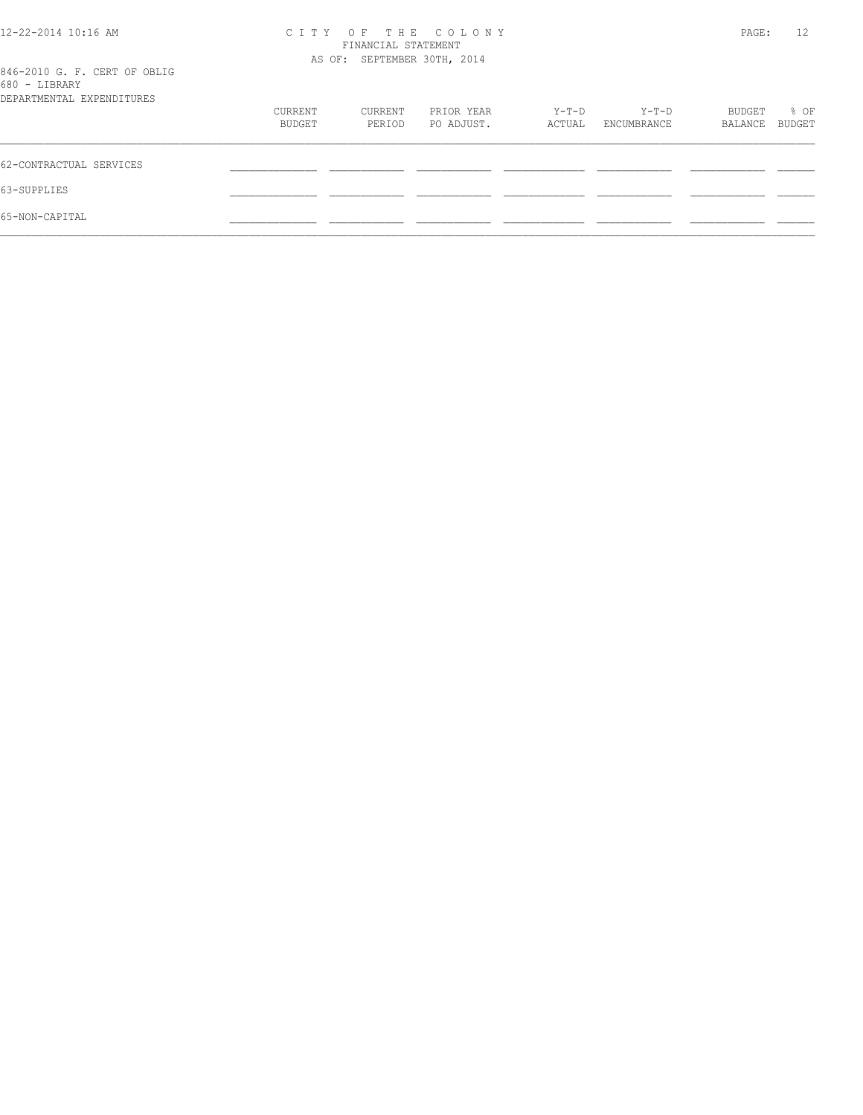| 12-22-2014 10:16 AM                           | C T T Y           | PAGE:                                              | 12                       |                 |                      |                   |                       |
|-----------------------------------------------|-------------------|----------------------------------------------------|--------------------------|-----------------|----------------------|-------------------|-----------------------|
|                                               |                   | FINANCIAL STATEMENT<br>AS OF: SEPTEMBER 30TH, 2014 |                          |                 |                      |                   |                       |
| 846-2010 G. F. CERT OF OBLIG<br>680 - LIBRARY |                   |                                                    |                          |                 |                      |                   |                       |
| DEPARTMENTAL EXPENDITURES                     |                   |                                                    |                          |                 |                      |                   |                       |
|                                               | CURRENT<br>BUDGET | CURRENT<br>PERIOD                                  | PRIOR YEAR<br>PO ADJUST. | Y-T-D<br>ACTUAL | Y-T-D<br>ENCUMBRANCE | BUDGET<br>BALANCE | % OF<br><b>BUDGET</b> |
| 62-CONTRACTUAL SERVICES                       |                   |                                                    |                          |                 |                      |                   |                       |
| 63-SUPPLIES                                   |                   |                                                    |                          |                 |                      |                   |                       |
| 65-NON-CAPITAL                                |                   |                                                    |                          |                 |                      |                   |                       |
|                                               |                   |                                                    |                          |                 |                      |                   |                       |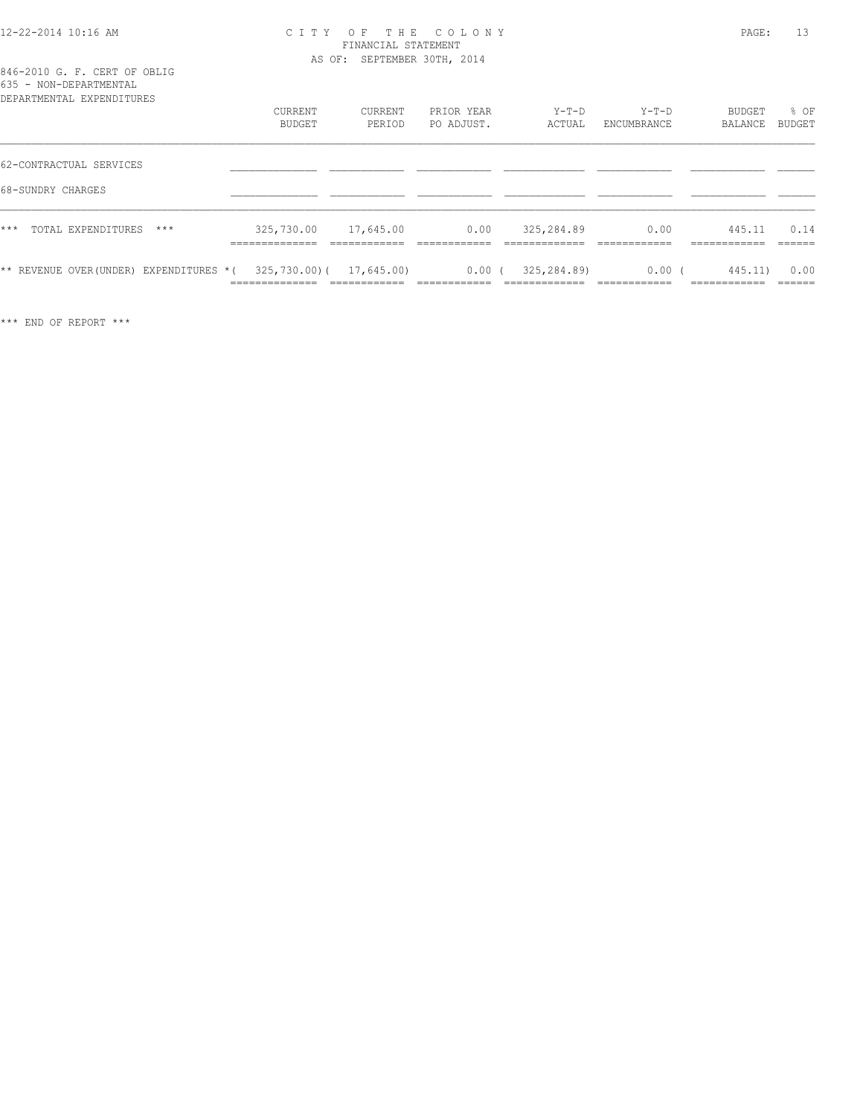#### 12-22-2014 10:16 AM C I T Y O F T H E C O L O N Y PAGE: 13 FINANCIAL STATEMENT AS OF: SEPTEMBER 30TH, 2014

## 846-2010 G. F. CERT OF OBLIG 635 - NON-DEPARTMENTAL

| DEPARTMENTAL EXPENDITURES                                      | CURRENT<br>BUDGET            | CURRENT<br>PERIOD | PRIOR YEAR<br>PO ADJUST. | $Y-T-D$<br>ACTUAL | Y-T-D<br>ENCUMBRANCE | % OF<br>BUDGET<br><b>BUDGET</b><br>BALANCE |
|----------------------------------------------------------------|------------------------------|-------------------|--------------------------|-------------------|----------------------|--------------------------------------------|
| 62-CONTRACTUAL SERVICES                                        |                              |                   |                          |                   |                      |                                            |
| 68-SUNDRY CHARGES                                              |                              |                   |                          |                   |                      |                                            |
| ***<br>TOTAL EXPENDITURES<br>$***$                             | 325,730.00<br>______________ | 17,645.00         | 0.00                     | 325,284.89        | 0.00                 | 0.14<br>445.11                             |
| ** REVENUE OVER(UNDER) EXPENDITURES *( 325,730.00)( 17,645.00) |                              |                   | $0.00$ (                 | 325,284.89)       | $0.00$ (             | 0.00<br>445.11)                            |

\*\*\* END OF REPORT \*\*\*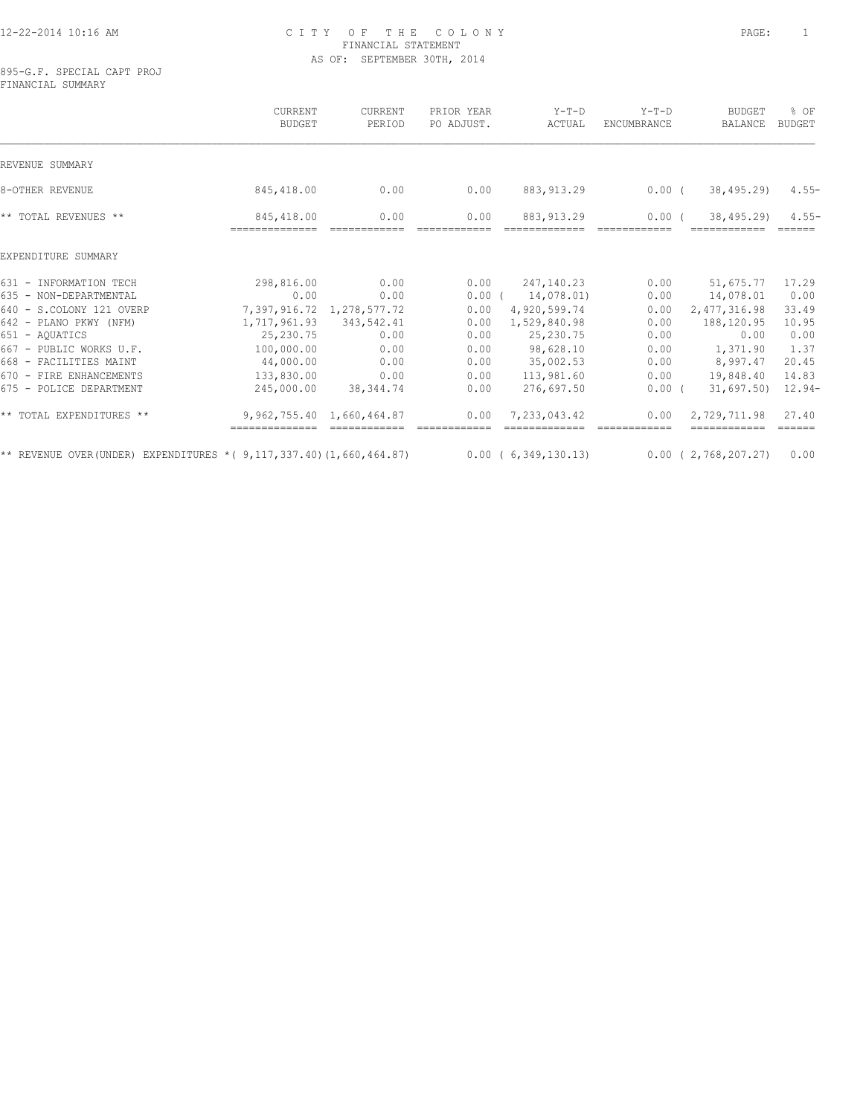#### 12-22-2014 10:16 AM C I T Y O F T H E C O L O N Y PAGE: 1 FINANCIAL STATEMENT AS OF: SEPTEMBER 30TH, 2014

895-G.F. SPECIAL CAPT PROJ FINANCIAL SUMMARY

|                                                                              | CURRENT<br><b>BUDGET</b>              | CURRENT<br>PERIOD                                    | PRIOR YEAR<br>PO ADJUST. | $Y-T-D$<br>ACTUAL                     | $Y-T-D$<br>ENCUMBRANCE   | <b>BUDGET</b><br>BALANCE                      | % OF<br><b>BUDGET</b>        |
|------------------------------------------------------------------------------|---------------------------------------|------------------------------------------------------|--------------------------|---------------------------------------|--------------------------|-----------------------------------------------|------------------------------|
| REVENUE SUMMARY                                                              |                                       |                                                      |                          |                                       |                          |                                               |                              |
| 8-OTHER REVENUE                                                              | 845,418.00                            | 0.00                                                 | 0.00                     | 883, 913.29                           | $0.00$ (                 | 38,495.29)                                    | $4.55-$                      |
| ** TOTAL REVENUES **                                                         | 845,418.00                            | 0.00                                                 | 0.00                     | 883, 913, 29                          | 0.00(                    | 38,495.29)                                    | $4.55-$<br>======            |
| EXPENDITURE SUMMARY                                                          |                                       |                                                      |                          |                                       |                          |                                               |                              |
| 631 - INFORMATION TECH<br>635 - NON-DEPARTMENTAL                             | 298,816.00<br>0.00                    | 0.00<br>0.00                                         | 0.00<br>0.00(            | 247,140.23<br>14,078.01)              | 0.00<br>0.00             | 51,675.77<br>14,078.01                        | 17.29<br>0.00                |
| 640 - S.COLONY 121 OVERP<br>642 - PLANO PKWY (NFM)                           |                                       | 7,397,916.72 1,278,577.72<br>1,717,961.93 343,542.41 | 0.00<br>0.00             | 4,920,599.74<br>1,529,840.98          | 0.00<br>0.00             | 2, 477, 316.98<br>188,120.95                  | 33.49<br>10.95               |
| 651 - AQUATICS<br>667 - PUBLIC WORKS U.F.                                    | 25,230.75<br>100,000.00               | 0.00<br>0.00                                         | 0.00<br>0.00             | 25,230.75<br>98,628.10                | 0.00<br>0.00             | 0.00<br>1,371.90                              | 0.00<br>1.37                 |
| 668 - FACILITIES MAINT<br>670 - FIRE ENHANCEMENTS<br>675 - POLICE DEPARTMENT | 44,000.00<br>133,830.00<br>245,000.00 | 0.00<br>0.00<br>38,344.74                            | 0.00<br>0.00<br>0.00     | 35,002.53<br>113,981.60<br>276,697.50 | 0.00<br>0.00<br>$0.00$ ( | 8,997.47<br>19,848.40<br>$31,697.50$ $12.94-$ | 20.45<br>14.83               |
| ** TOTAL EXPENDITURES **                                                     |                                       | 9,962,755.40 1,660,464.87                            | 0.00                     | 7,233,043.42                          | 0.00                     | 2,729,711.98                                  | 27.40<br>$=$ $=$ $=$ $=$ $=$ |
| ** REVENUE OVER (UNDER) EXPENDITURES * ( $9,117,337.40$ ) (1,660,464.87)     |                                       |                                                      |                          | 0.00(6,349,130.13)                    |                          | $0.00$ ( 2,768,207.27)                        | 0.00                         |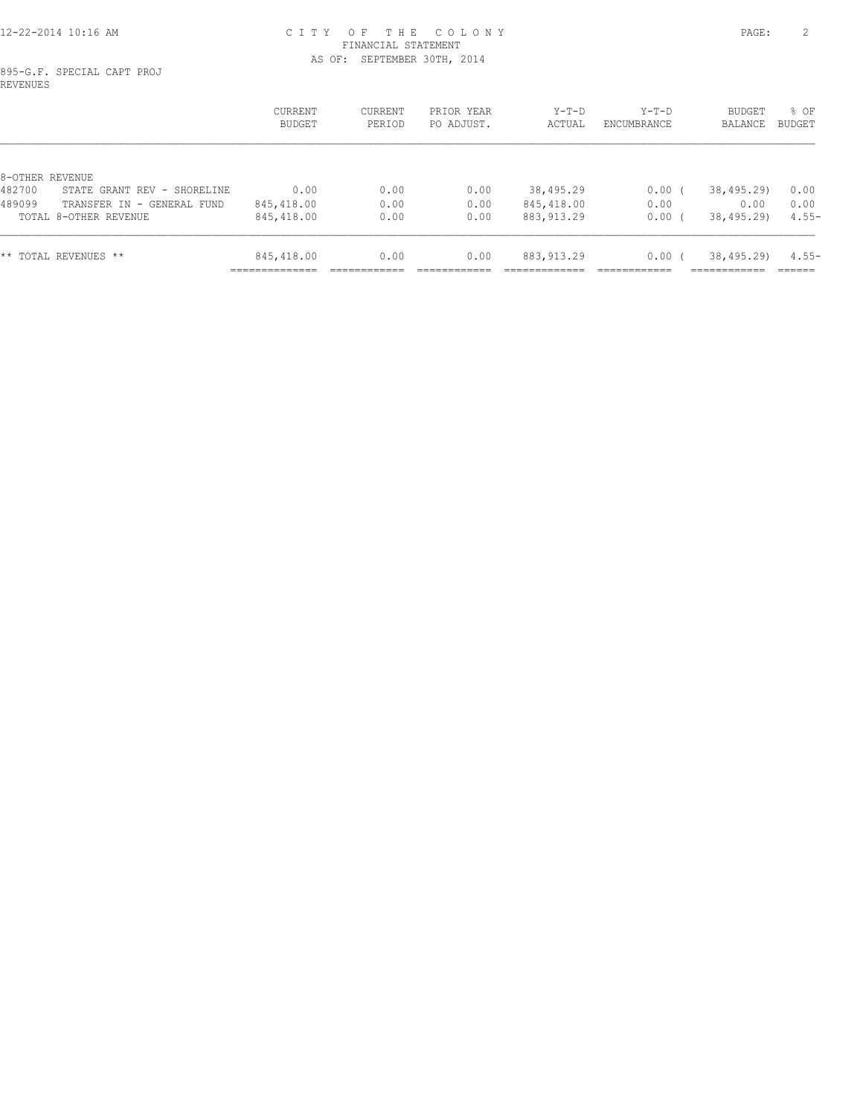#### 12-22-2014 10:16 AM C I T Y O F T H E C O L O N Y PAGE: 2 FINANCIAL STATEMENT AS OF: SEPTEMBER 30TH, 2014

895-G.F. SPECIAL CAPT PROJ REVENUES

|                 |                             | CURRENT<br>BUDGET            | CURRENT<br>PERIOD | PRIOR YEAR<br>PO ADJUST. | $Y-T-D$<br>ACTUAL | $Y-T-D$<br>ENCUMBRANCE | BUDGET<br>BALANCE | % OF<br>BUDGET |
|-----------------|-----------------------------|------------------------------|-------------------|--------------------------|-------------------|------------------------|-------------------|----------------|
| 8-OTHER REVENUE |                             |                              |                   |                          |                   |                        |                   |                |
| 482700          | STATE GRANT REV - SHORELINE | 0.00                         | 0.00              | 0.00                     | 38,495.29         | 0.00                   | 38,495.29)        | 0.00           |
| 489099          | TRANSFER IN - GENERAL FUND  | 845,418.00                   | 0.00              | 0.00                     | 845,418.00        | 0.00                   | 0.00              | 0.00           |
|                 | TOTAL 8-OTHER REVENUE       | 845,418.00                   | 0.00              | 0.00                     | 883, 913.29       | 0.00                   | 38,495.29)        | $4.55-$        |
|                 | ** TOTAL REVENUES **        | 845,418.00<br>______________ | 0.00              | 0.00                     | 883, 913.29       | 0.00                   | 38,495.29)        | $4.55-$        |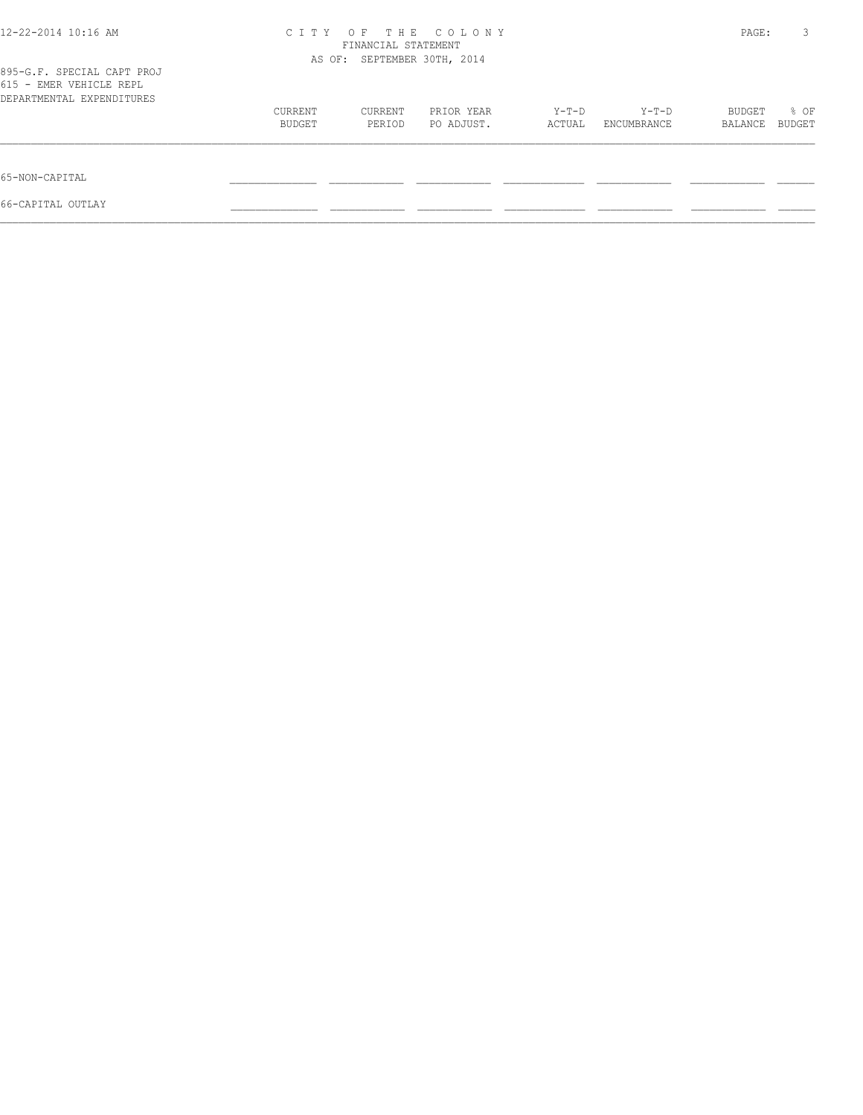| 12-22-2014 10:16 AM                                                                | C T T Y                     | PAGE:   | 3          |        |             |         |        |
|------------------------------------------------------------------------------------|-----------------------------|---------|------------|--------|-------------|---------|--------|
|                                                                                    | AS OF: SEPTEMBER 30TH, 2014 |         |            |        |             |         |        |
| 895-G.F. SPECIAL CAPT PROJ<br>615 - EMER VEHICLE REPL<br>DEPARTMENTAL EXPENDITURES |                             |         |            |        |             |         |        |
|                                                                                    | CURRENT                     | CURRENT | PRIOR YEAR | Y-T-D  | Y-T-D       | BUDGET  | % OF   |
|                                                                                    | BUDGET                      | PERIOD  | PO ADJUST. | ACTUAL | ENCUMBRANCE | BALANCE | BUDGET |
| 65-NON-CAPITAL                                                                     |                             |         |            |        |             |         |        |
| 66-CAPITAL OUTLAY                                                                  |                             |         |            |        |             |         |        |
|                                                                                    |                             |         |            |        |             |         |        |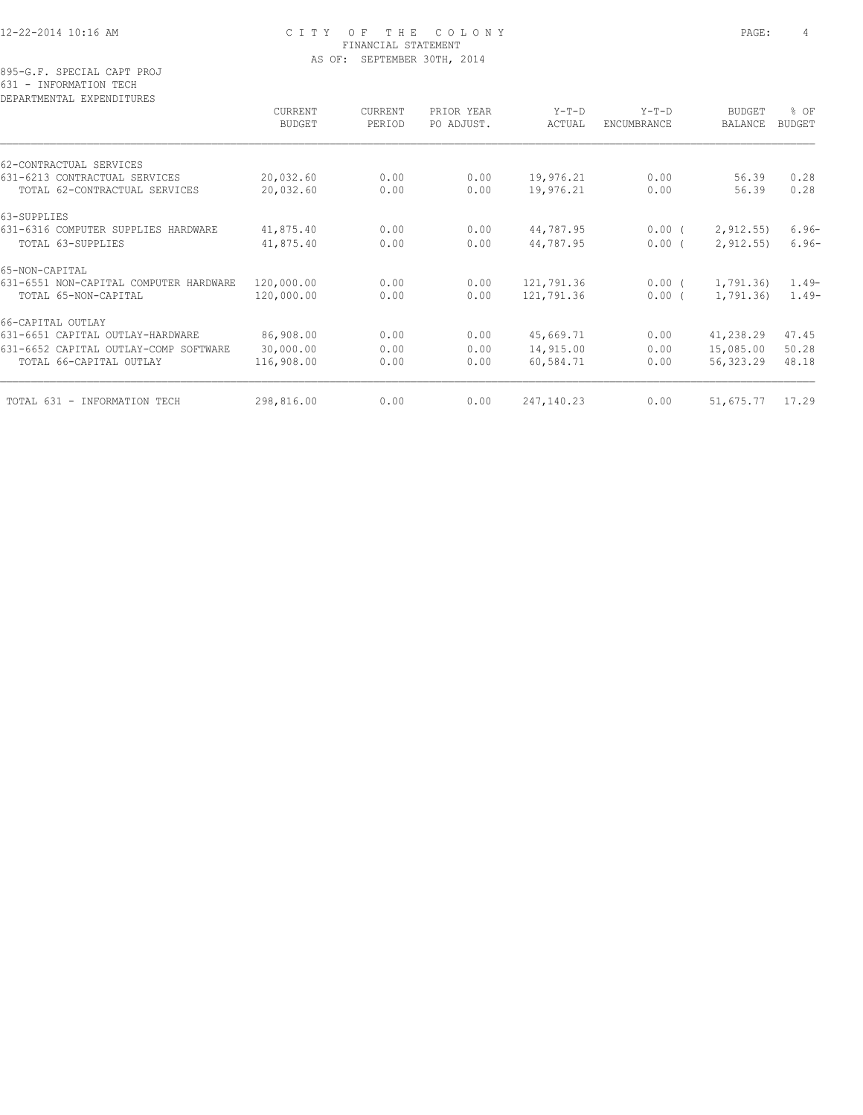#### 12-22-2014 10:16 AM C I T Y O F T H E C O L O N Y PAGE: 4 FINANCIAL STATEMENT AS OF: SEPTEMBER 30TH, 2014

895-G.F. SPECIAL CAPT PROJ 631 - INFORMATION TECH

| CURRENT    | CURRENT                     | PRIOR YEAR     | $Y-T-D$            | $Y-T-D$              | <b>BUDGET</b>       | % OF                             |
|------------|-----------------------------|----------------|--------------------|----------------------|---------------------|----------------------------------|
|            |                             |                |                    |                      |                     | <b>BUDGET</b>                    |
|            |                             |                |                    |                      |                     |                                  |
| 20,032.60  | 0.00                        | 0.00           | 19,976.21          | 0.00                 | 56.39               | 0.28                             |
| 20,032.60  | 0.00                        | 0.00           | 19,976.21          | 0.00                 | 56.39               | 0.28                             |
|            |                             |                |                    |                      |                     |                                  |
| 41,875.40  | 0.00                        | 0.00           | 44,787.95          |                      | 2, 912.55           | $6.96-$                          |
| 41,875.40  | 0.00                        | 0.00           | 44,787.95          | 0.00(                | 2, 912.55           | $6.96-$                          |
|            |                             |                |                    |                      |                     |                                  |
| 120,000.00 | 0.00                        | 0.00           | 121,791.36         | $0.00$ (             | 1,791.36            | $1.49-$                          |
| 120,000.00 | 0.00                        | 0.00           | 121,791.36         | 0.00(                | 1,791.36)           | $1.49-$                          |
|            |                             |                |                    |                      |                     |                                  |
| 86,908.00  | 0.00                        | 0.00           | 45,669.71          | 0.00                 | 41,238.29           | 47.45                            |
| 30,000.00  | 0.00                        | 0.00           | 14,915.00          | 0.00                 | 15,085.00           | 50.28                            |
| 116,908.00 | 0.00                        | 0.00           | 60,584.71          | 0.00                 | 56,323.29           | 48.18                            |
|            |                             |                |                    |                      |                     | 17.29                            |
|            | <b>BUDGET</b><br>298,816.00 | PERIOD<br>0.00 | PO ADJUST.<br>0.00 | ACTUAL<br>247,140.23 | ENCUMBRANCE<br>0.00 | BALANCE<br>$0.00$ (<br>51,675.77 |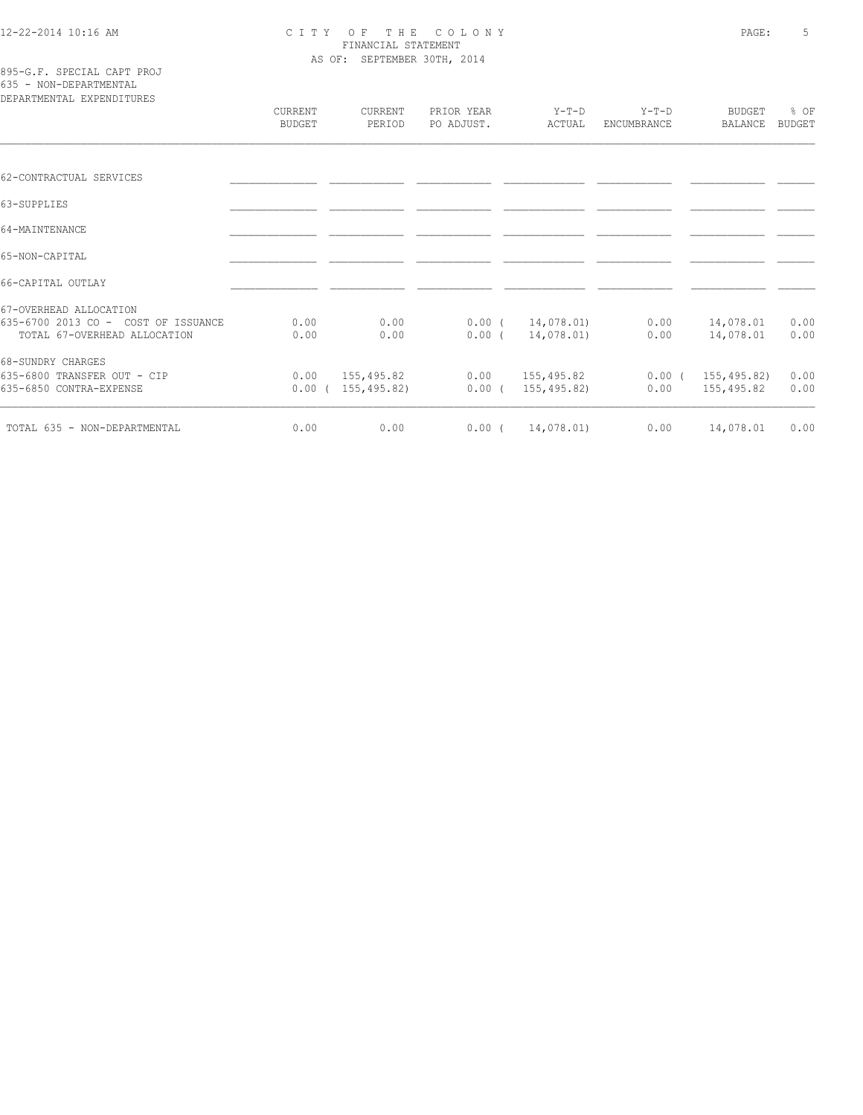#### 12-22-2014 10:16 AM C I T Y O F T H E C O L O N Y PAGE: 5 FINANCIAL STATEMENT AS OF: SEPTEMBER 30TH, 2014

| 895-G.F. SPECIAL CAPT PROJ |  |
|----------------------------|--|
| 635 - NON-DEPARTMENTAL     |  |
| popsamumumsi puppuntamupo  |  |

| DEPARTMENTAL EXPENDITURES                                           |                          |                          |                          |                          |                               |                                 |                       |
|---------------------------------------------------------------------|--------------------------|--------------------------|--------------------------|--------------------------|-------------------------------|---------------------------------|-----------------------|
|                                                                     | CURRENT<br><b>BUDGET</b> | <b>CURRENT</b><br>PERIOD | PRIOR YEAR<br>PO ADJUST. | Y-T-D<br>ACTUAL          | $Y-T-D$<br><b>ENCUMBRANCE</b> | <b>BUDGET</b><br><b>BALANCE</b> | % OF<br><b>BUDGET</b> |
|                                                                     |                          |                          |                          |                          |                               |                                 |                       |
| 62-CONTRACTUAL SERVICES                                             |                          |                          |                          |                          |                               |                                 |                       |
| 63-SUPPLIES                                                         |                          |                          |                          |                          |                               |                                 |                       |
| 64-MAINTENANCE                                                      |                          |                          |                          |                          |                               |                                 |                       |
| 65-NON-CAPITAL                                                      |                          |                          |                          |                          |                               |                                 |                       |
| 66-CAPITAL OUTLAY                                                   |                          |                          |                          |                          |                               |                                 |                       |
| 67-OVERHEAD ALLOCATION                                              |                          |                          |                          |                          |                               |                                 |                       |
| 635-6700 2013 CO - COST OF ISSUANCE<br>TOTAL 67-OVERHEAD ALLOCATION | 0.00<br>0.00             | 0.00<br>0.00             | $0.00$ (<br>$0.00$ (     | 14,078.01)<br>14,078.01) | 0.00<br>0.00                  | 14,078.01<br>14,078.01          | 0.00<br>0.00          |
| 68-SUNDRY CHARGES                                                   |                          |                          |                          |                          |                               |                                 |                       |
| 635-6800 TRANSFER OUT - CIP                                         | 0.00                     | 155,495.82               | 0.00                     | 155,495.82               | $0.00$ (                      | 155,495.82)                     | 0.00                  |
| 635-6850 CONTRA-EXPENSE                                             |                          | $0.00$ ( 155,495.82)     | $0.00$ (                 | 155,495.82)              | 0.00                          | 155,495.82                      | 0.00                  |
| TOTAL 635 - NON-DEPARTMENTAL                                        | 0.00                     | 0.00                     | $0.00$ (                 | 14,078.01)               | 0.00                          | 14,078.01                       | 0.00                  |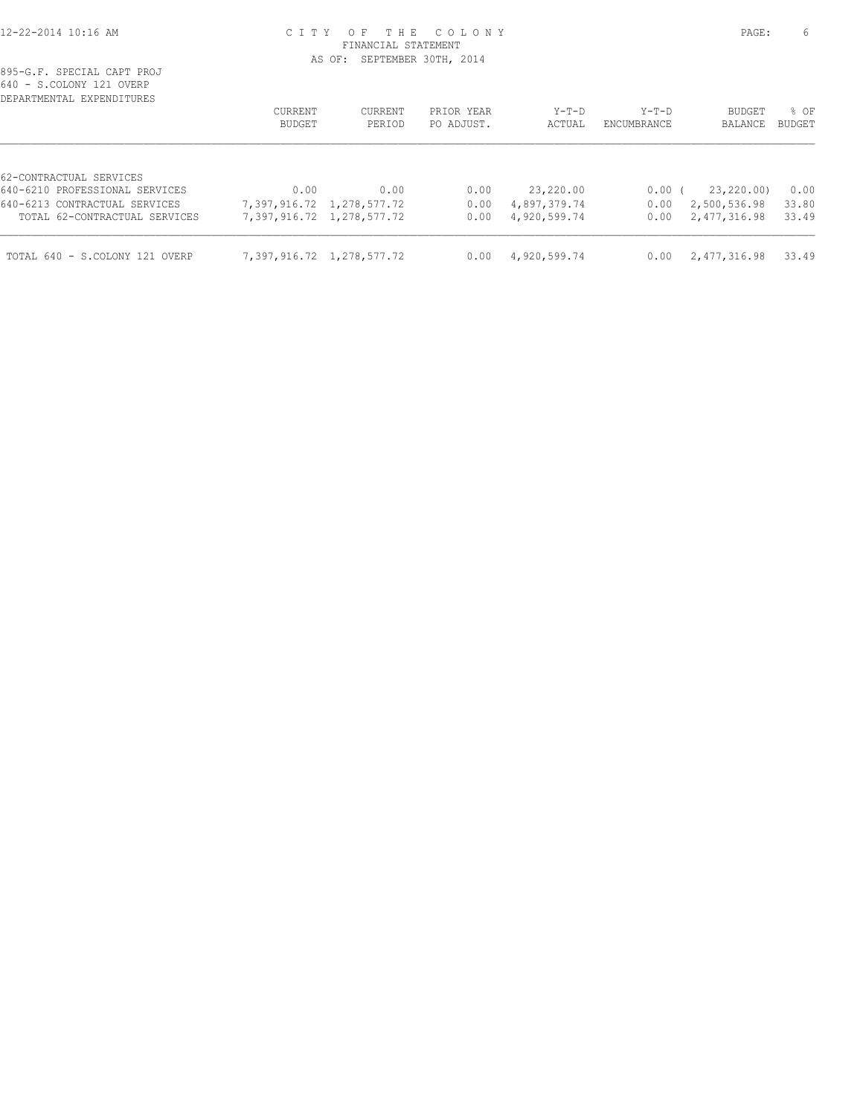#### 12-22-2014 10:16 AM C I T Y O F T H E C O L O N Y PAGE: 6 FINANCIAL STATEMENT AS OF: SEPTEMBER 30TH, 2014

| UIV<br>O.CONCHI IZI OVENI      |         |                           |            |              |             |               |               |
|--------------------------------|---------|---------------------------|------------|--------------|-------------|---------------|---------------|
| DEPARTMENTAL EXPENDITURES      |         |                           |            |              |             |               |               |
|                                | CURRENT | CURRENT                   | PRIOR YEAR | Y-T-D        | Y-T-D       | <b>BUDGET</b> | % OF          |
|                                | BUDGET  | PERIOD                    | PO ADJUST. | ACTUAL       | ENCUMBRANCE | BALANCE       | <b>BUDGET</b> |
|                                |         |                           |            |              |             |               |               |
| 62-CONTRACTUAL SERVICES        |         |                           |            |              |             |               |               |
| 640-6210 PROFESSIONAL SERVICES | 0.00    | 0.00                      | 0.00       | 23,220.00    | $0.00$ (    | 23,220.00)    | 0.00          |
| 640-6213 CONTRACTUAL SERVICES  |         | 7,397,916.72 1,278,577.72 | 0.00       | 4,897,379.74 | 0.00        | 2,500,536.98  | 33.80         |
| TOTAL 62-CONTRACTUAL SERVICES  |         | 7,397,916.72 1,278,577.72 | 0.00       | 4,920,599.74 | 0.00        | 2,477,316.98  | 33.49         |
| TOTAL 640 - S.COLONY 121 OVERP |         | 7,397,916.72 1,278,577.72 | 0.00       | 4,920,599.74 | 0.00        | 2,477,316.98  | 33.49         |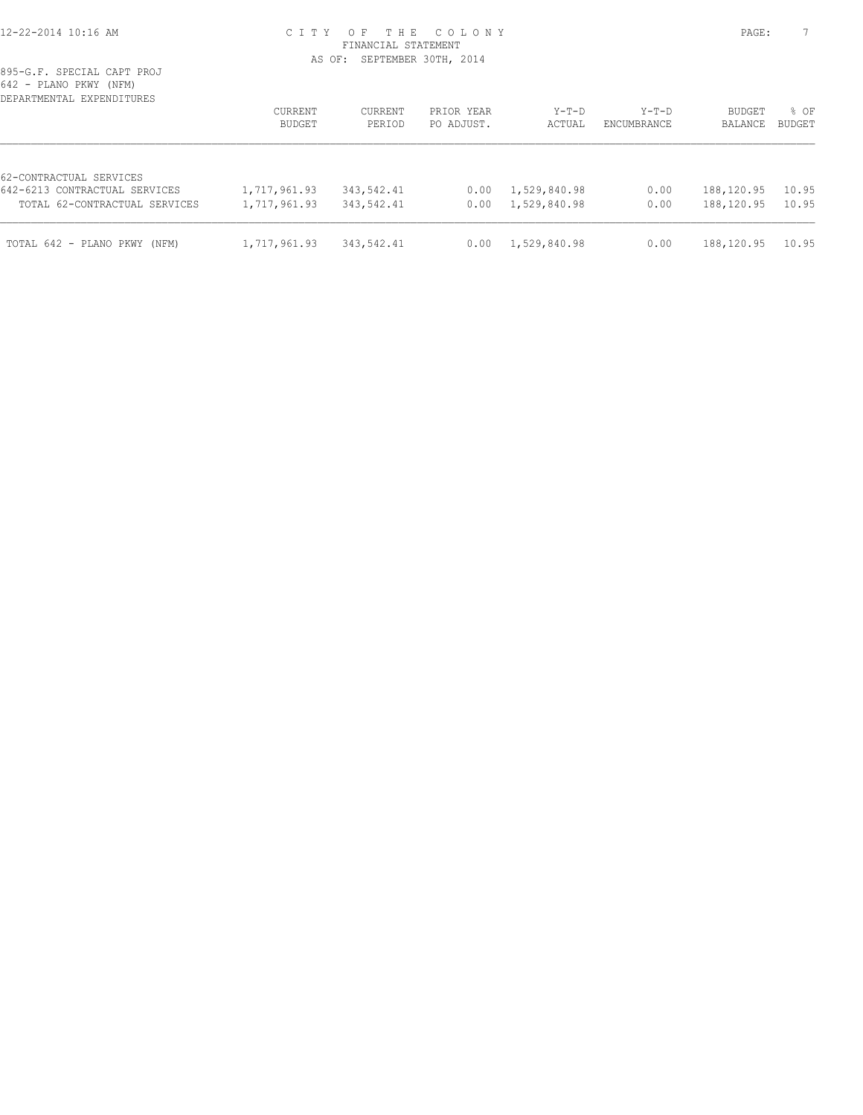#### 12-22-2014 10:16 AM C I T Y O F T H E C O L O N Y PAGE: 7 FINANCIAL STATEMENT AS OF: SEPTEMBER 30TH, 2014

| UTA LIANU LIWI UNDIYI<br>DEPARTMENTAL EXPENDITURES                                        | <b>CURRENT</b><br>BUDGET     | CURRENT<br>PERIOD        | PRIOR YEAR<br>PO ADJUST. | $Y-T-D$<br>ACTUAL            | $Y-T-D$<br>ENCUMBRANCE | <b>BUDGET</b><br>BALANCE | % OF<br><b>BUDGET</b> |
|-------------------------------------------------------------------------------------------|------------------------------|--------------------------|--------------------------|------------------------------|------------------------|--------------------------|-----------------------|
| 62-CONTRACTUAL SERVICES<br>642-6213 CONTRACTUAL SERVICES<br>TOTAL 62-CONTRACTUAL SERVICES | 1,717,961.93<br>1,717,961.93 | 343,542.41<br>343,542.41 | 0.00<br>0.00             | 1,529,840.98<br>1,529,840.98 | 0.00<br>0.00           | 188,120.95<br>188,120.95 | 10.95<br>10.95        |
| TOTAL 642 - PLANO PKWY (NFM)                                                              | 1,717,961.93                 | 343,542.41               | 0.00                     | 1,529,840.98                 | 0.00                   | 188,120.95               | 10.95                 |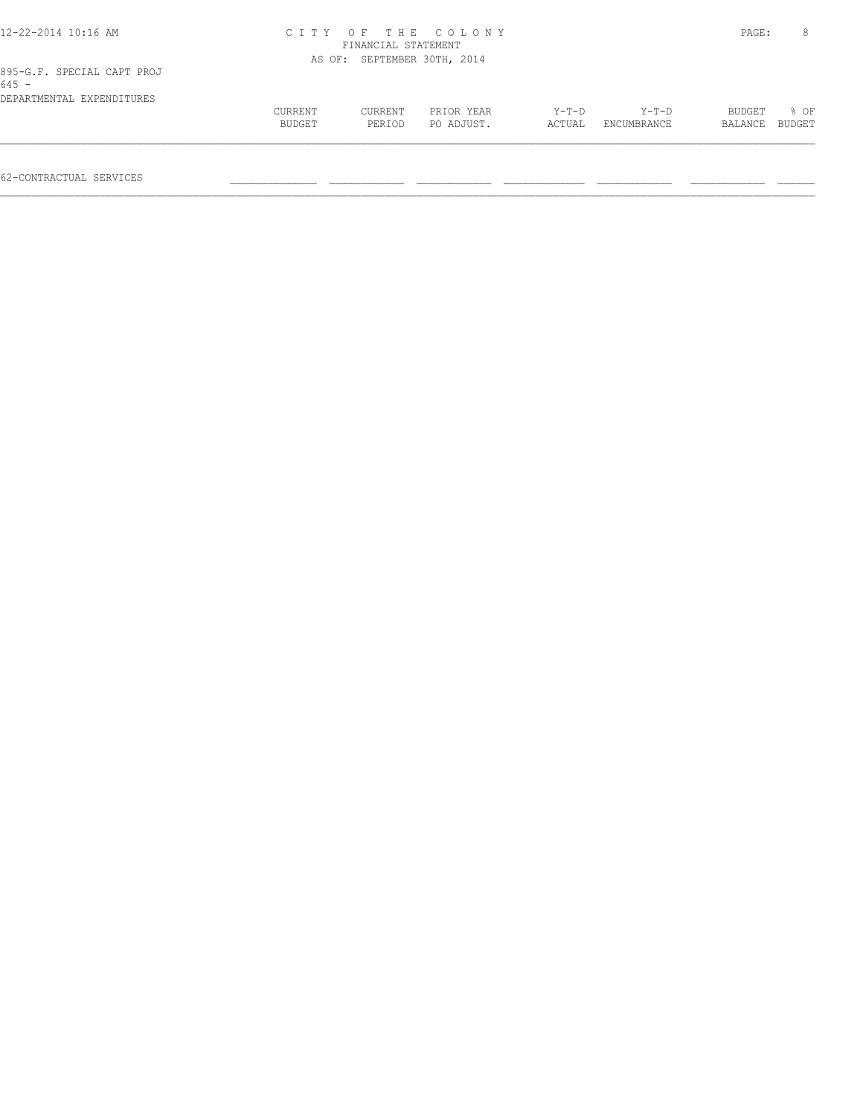| 12-22-2014 10:16 AM                   |         | FINANCIAL STATEMENT         | CITY OF THE COLONY |        |             | PAGE:   | 8      |
|---------------------------------------|---------|-----------------------------|--------------------|--------|-------------|---------|--------|
|                                       |         | AS OF: SEPTEMBER 30TH, 2014 |                    |        |             |         |        |
| 895-G.F. SPECIAL CAPT PROJ<br>$645 -$ |         |                             |                    |        |             |         |        |
| DEPARTMENTAL EXPENDITURES             |         |                             |                    |        |             |         |        |
|                                       | CURRENT | CURRENT                     | PRIOR YEAR         | Y-T-D  | $Y-T-D$     | BUDGET  | % OF   |
|                                       | BUDGET  | PERIOD                      | PO ADJUST.         | ACTUAL | ENCUMBRANCE | BALANCE | BUDGET |
|                                       |         |                             |                    |        |             |         |        |
|                                       |         |                             |                    |        |             |         |        |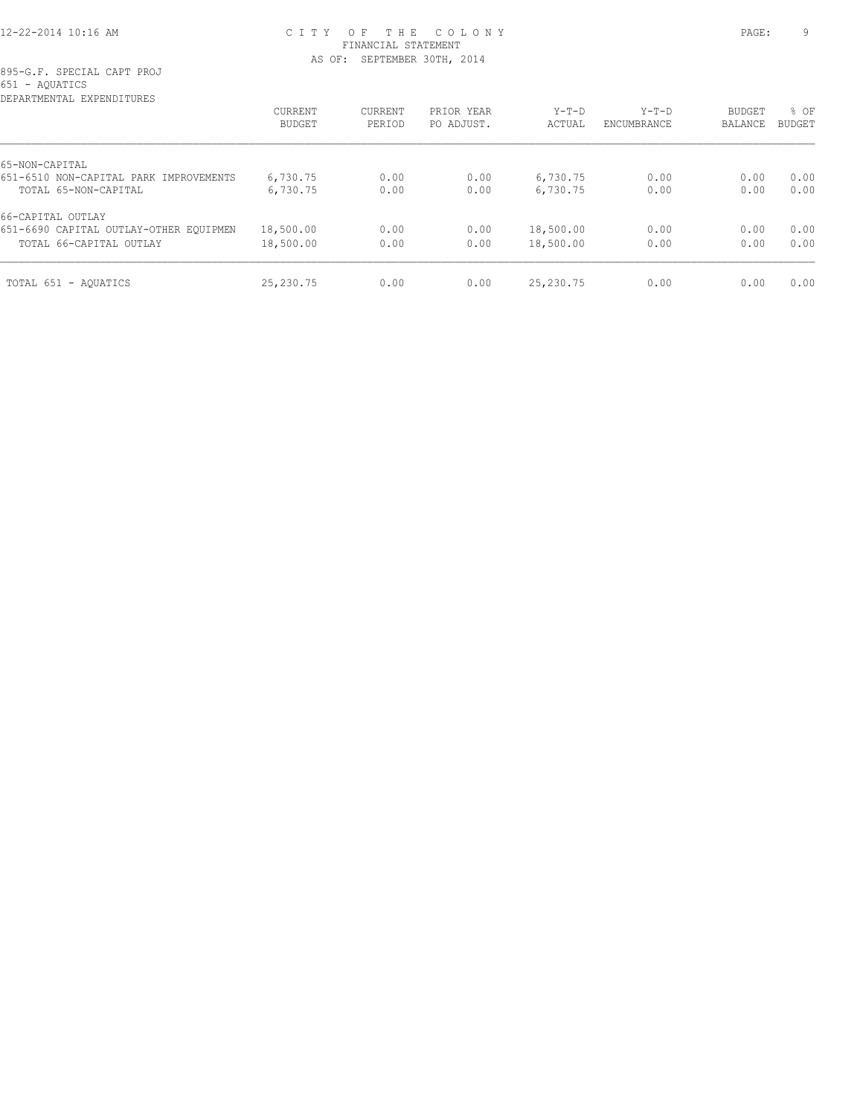### 12-22-2014 10:16 AM C I T Y O F T H E C O L O N Y PAGE: 9 FINANCIAL STATEMENT AS OF: SEPTEMBER 30TH, 2014

895-G.F. SPECIAL CAPT PROJ 651 - AQUATICS

| CURRENT   | <b>CURRENT</b> | PRIOR YEAR | $Y-T-D$   | $Y-T-D$     | <b>BUDGET</b> | % OF   |
|-----------|----------------|------------|-----------|-------------|---------------|--------|
| BUDGET    | PERIOD         | PO ADJUST. | ACTUAL    | ENCUMBRANCE | BALANCE       | BUDGET |
|           |                |            |           |             |               |        |
| 6,730.75  | 0.00           | 0.00       | 6,730.75  | 0.00        | 0.00          | 0.00   |
| 6,730.75  | 0.00           | 0.00       | 6,730.75  | 0.00        | 0.00          | 0.00   |
|           |                |            |           |             |               |        |
| 18,500.00 | 0.00           | 0.00       | 18,500.00 | 0.00        | 0.00          | 0.00   |
| 18,500.00 | 0.00           | 0.00       | 18,500.00 | 0.00        | 0.00          | 0.00   |
| 25,230.75 | 0.00           | 0.00       | 25,230.75 | 0.00        | 0.00          | 0.00   |
|           |                |            |           |             |               |        |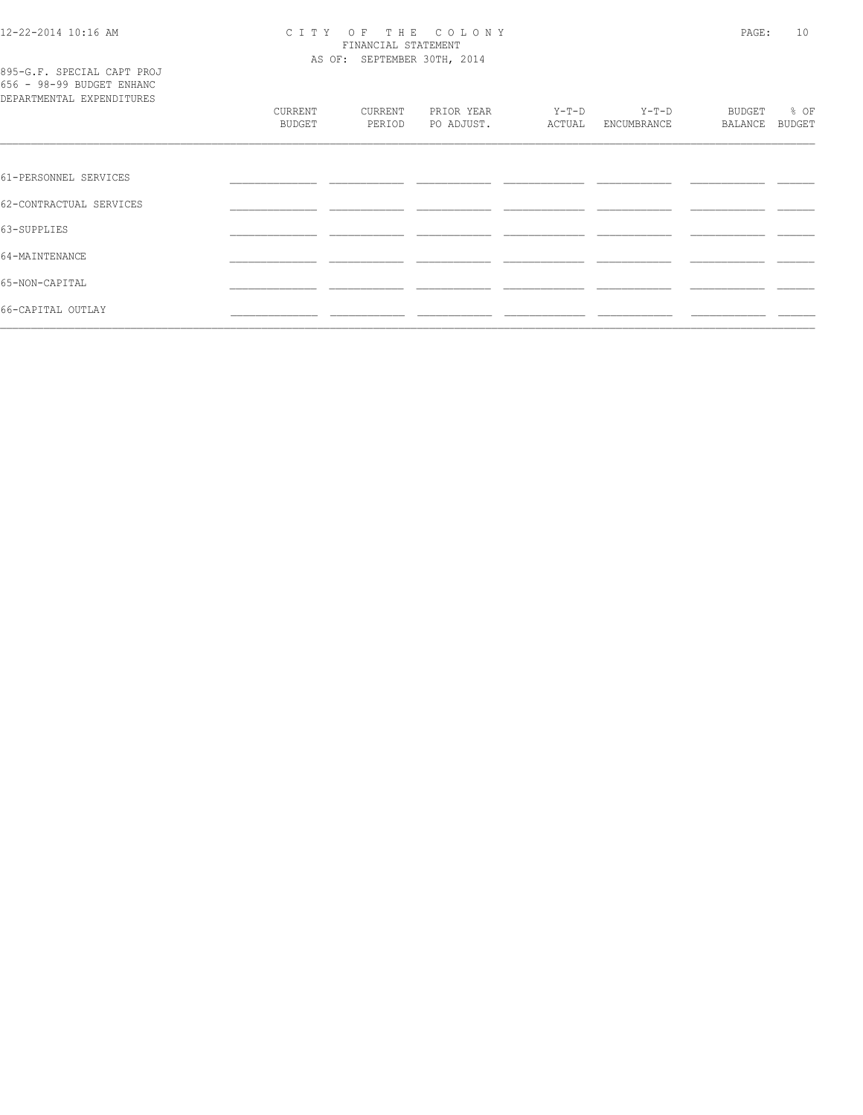66-CAPITAL OUTLAY

# CITY OF THE COLONY<br>FINANCIAL STATEMENT<br>AS OF: SEPTEMBER 30TH, 2014

 $\overline{\phantom{a}}$ 

— <del>— —</del>

— <del>— — —</del> —

| 895-G.F. SPECIAL CAPT PROJ<br>656 - 98-99 BUDGET ENHANC<br>DEPARTMENTAL EXPENDITURES |                   |                   |                          |                 |                      |                   |                |
|--------------------------------------------------------------------------------------|-------------------|-------------------|--------------------------|-----------------|----------------------|-------------------|----------------|
|                                                                                      | CURRENT<br>BUDGET | CURRENT<br>PERIOD | PRIOR YEAR<br>PO ADJUST. | Y-T-D<br>ACTUAL | Y-T-D<br>ENCUMBRANCE | BUDGET<br>BALANCE | % OF<br>BUDGET |
|                                                                                      |                   |                   |                          |                 |                      |                   |                |
| 61-PERSONNEL SERVICES                                                                |                   |                   |                          |                 |                      |                   |                |
| 62-CONTRACTUAL SERVICES                                                              |                   |                   |                          |                 |                      |                   |                |
| 63-SUPPLIES                                                                          |                   |                   |                          |                 |                      |                   |                |
| 64-MAINTENANCE                                                                       |                   |                   |                          |                 |                      |                   |                |
| 65-NON-CAPITAL                                                                       |                   |                   |                          |                 |                      |                   |                |

 $\overline{\phantom{a}}$ 

L.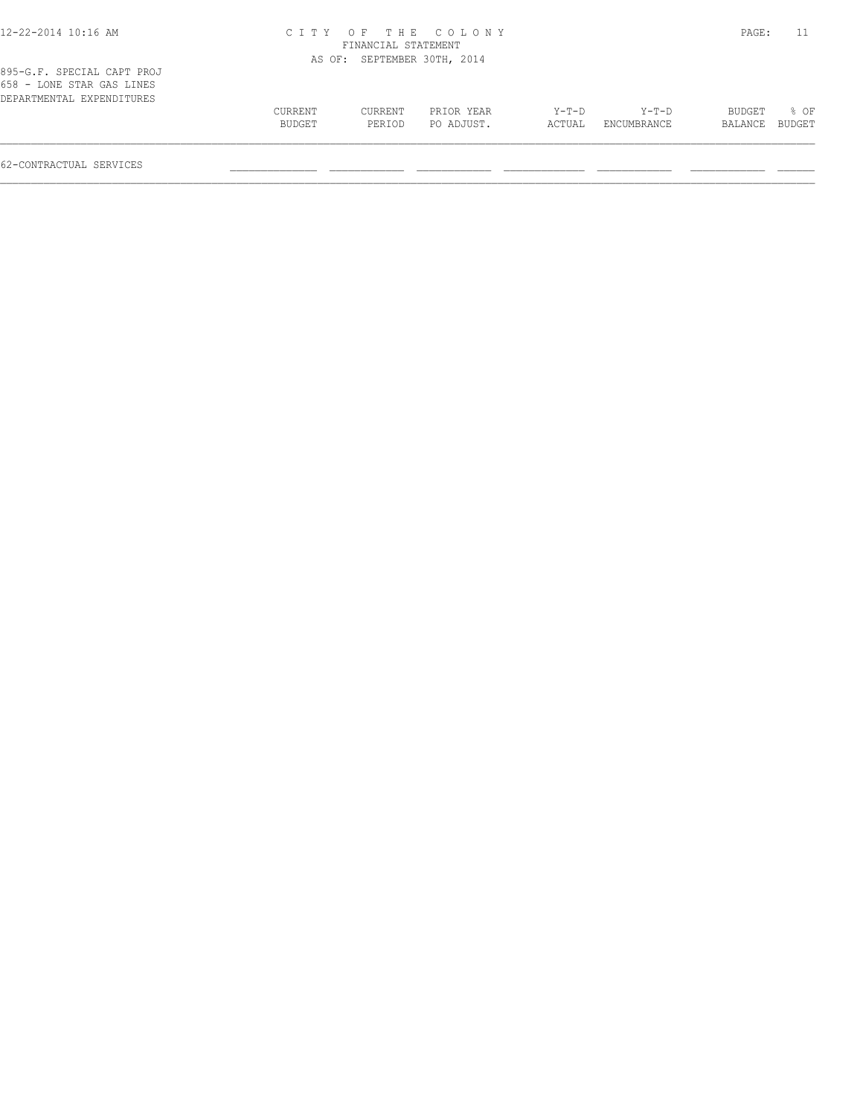| 12-22-2014 10:16 AM                                                                  |                   |                             | CITY OF THE COLONY       |                 |                      | PAGE:             | 11             |
|--------------------------------------------------------------------------------------|-------------------|-----------------------------|--------------------------|-----------------|----------------------|-------------------|----------------|
|                                                                                      |                   | FINANCIAL STATEMENT         |                          |                 |                      |                   |                |
|                                                                                      |                   | AS OF: SEPTEMBER 30TH, 2014 |                          |                 |                      |                   |                |
| 895-G.F. SPECIAL CAPT PROJ<br>658 - LONE STAR GAS LINES<br>DEPARTMENTAL EXPENDITURES |                   |                             |                          |                 |                      |                   |                |
|                                                                                      | CURRENT<br>BUDGET | CURRENT<br>PERIOD           | PRIOR YEAR<br>PO ADJUST. | Y-T-D<br>ACTUAL | Y-T-D<br>ENCUMBRANCE | BUDGET<br>BALANCE | 8 OF<br>BUDGET |
|                                                                                      |                   |                             |                          |                 |                      |                   |                |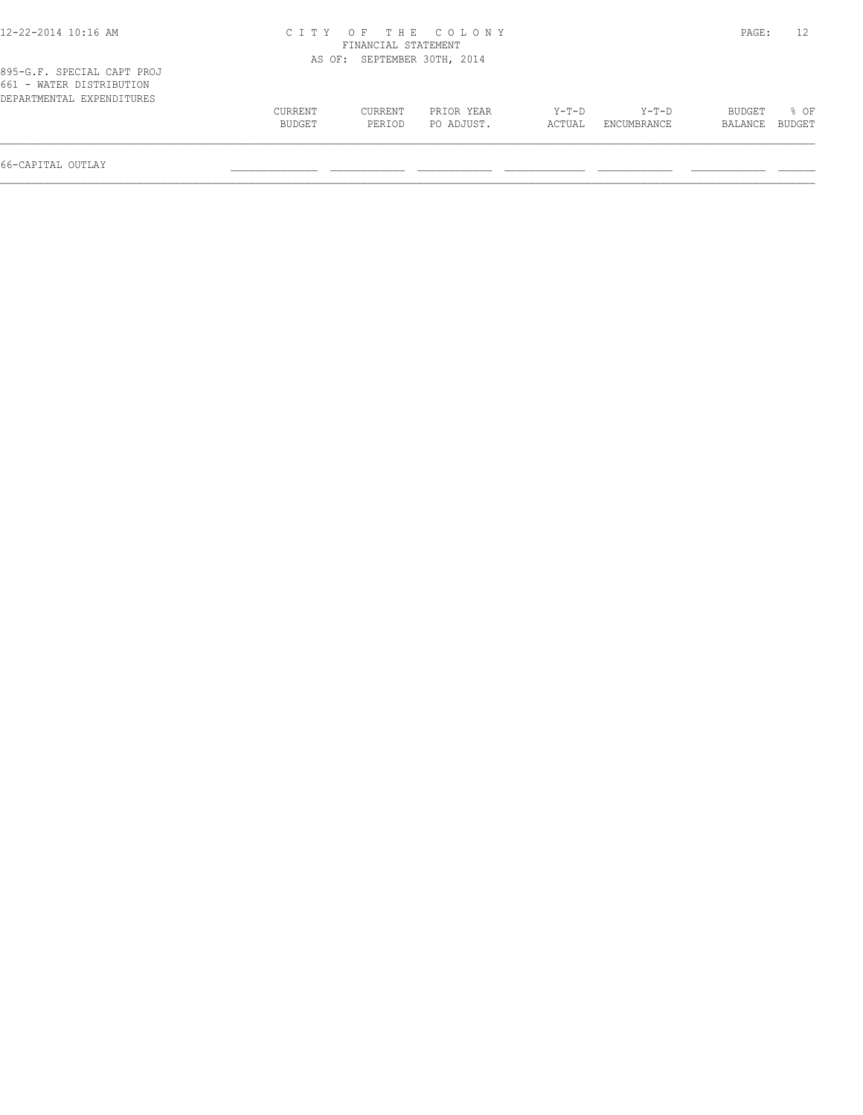| 12-22-2014 10:16 AM                                                                 |                   |                             | CITY OF THE COLONY       |                 |                        | PAGE:             |                |
|-------------------------------------------------------------------------------------|-------------------|-----------------------------|--------------------------|-----------------|------------------------|-------------------|----------------|
|                                                                                     |                   | FINANCIAL STATEMENT         |                          |                 |                        |                   |                |
|                                                                                     |                   | AS OF: SEPTEMBER 30TH, 2014 |                          |                 |                        |                   |                |
| 895-G.F. SPECIAL CAPT PROJ<br>661 - WATER DISTRIBUTION<br>DEPARTMENTAL EXPENDITURES |                   |                             |                          |                 |                        |                   |                |
|                                                                                     | CURRENT<br>BUDGET | CURRENT<br>PERIOD           | PRIOR YEAR<br>PO ADJUST. | Y-T-D<br>ACTUAL | $Y-T-D$<br>ENCUMBRANCE | BUDGET<br>BALANCE | 8 OF<br>BUDGET |
|                                                                                     |                   |                             |                          |                 |                        |                   |                |

66-CAPITAL OUTLAY \_\_\_\_\_\_\_\_\_\_\_\_\_\_ \_\_\_\_\_\_\_\_\_\_\_\_ \_\_\_\_\_\_\_\_\_\_\_\_ \_\_\_\_\_\_\_\_\_\_\_\_\_ \_\_\_\_\_\_\_\_\_\_\_\_ \_\_\_\_\_\_\_\_\_\_\_\_ \_\_\_\_\_\_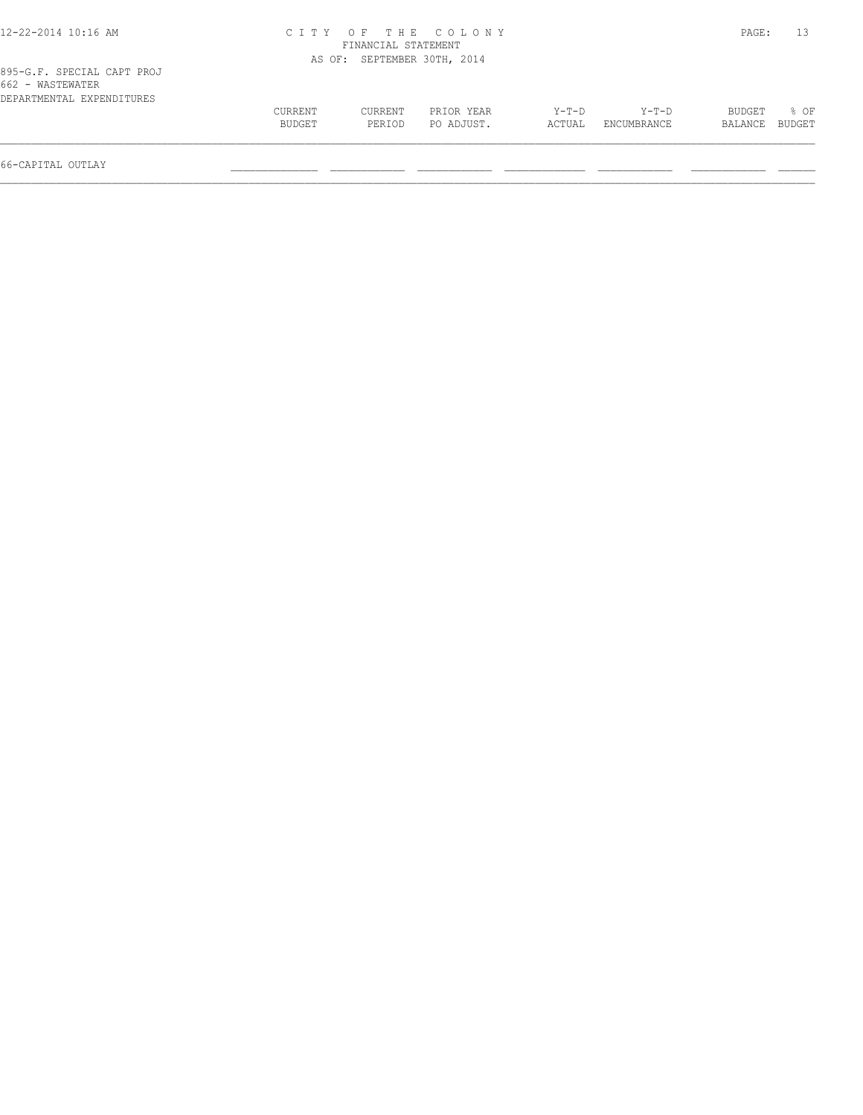| 12-22-2014 10:16 AM                            |         |                             | CITY OF THE COLONY |         |             | PAGE:   |        |
|------------------------------------------------|---------|-----------------------------|--------------------|---------|-------------|---------|--------|
|                                                |         | FINANCIAL STATEMENT         |                    |         |             |         |        |
|                                                |         | AS OF: SEPTEMBER 30TH, 2014 |                    |         |             |         |        |
| 895-G.F. SPECIAL CAPT PROJ<br>662 - WASTEWATER |         |                             |                    |         |             |         |        |
| DEPARTMENTAL EXPENDITURES                      |         |                             |                    |         |             |         |        |
|                                                | CURRENT | CURRENT                     | PRIOR YEAR         | $Y-T-D$ | $Y-T-D$     | BUDGET  | 8 OF   |
|                                                | BUDGET  | PERIOD                      | PO ADJUST.         | ACTUAL  | ENCUMBRANCE | BALANCE | BUDGET |
|                                                |         |                             |                    |         |             |         |        |

66-CAPITAL OUTLAY \_\_\_\_\_\_\_\_\_\_\_\_\_\_ \_\_\_\_\_\_\_\_\_\_\_\_ \_\_\_\_\_\_\_\_\_\_\_\_ \_\_\_\_\_\_\_\_\_\_\_\_\_ \_\_\_\_\_\_\_\_\_\_\_\_ \_\_\_\_\_\_\_\_\_\_\_\_ \_\_\_\_\_\_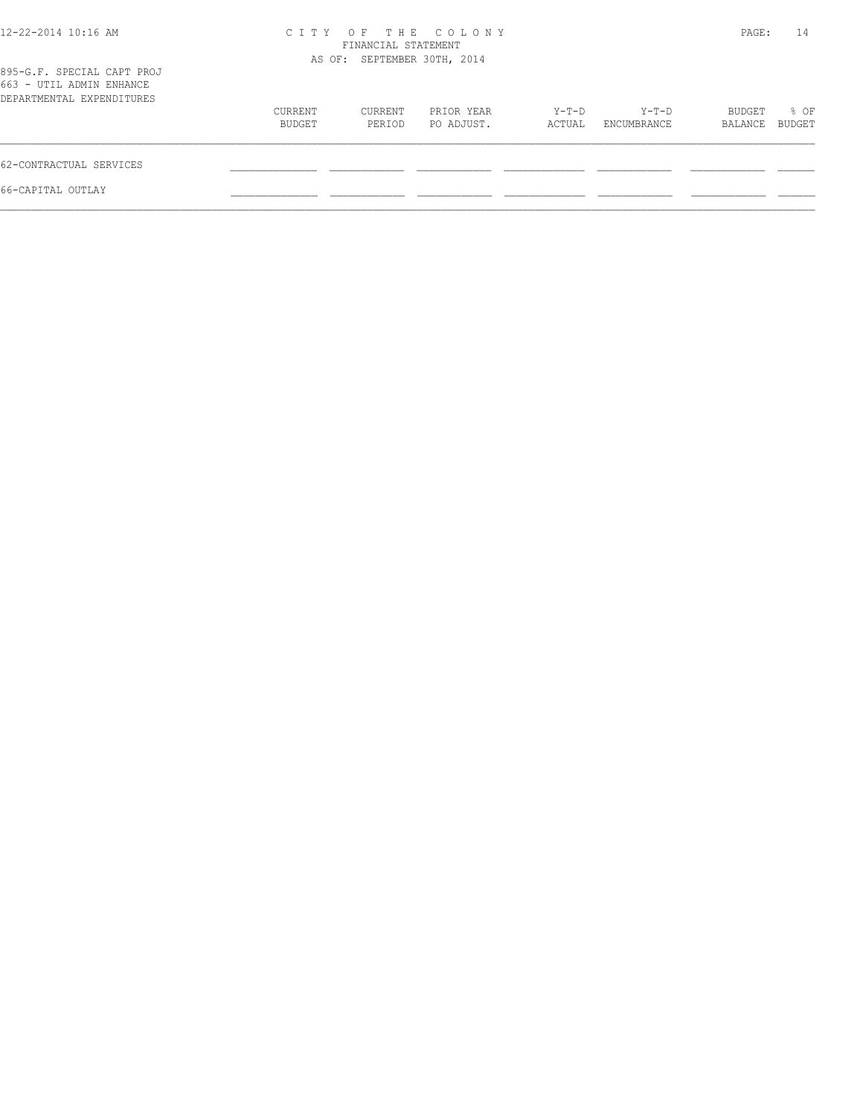| 12-22-2014 10:16 AM                                                                 |                   | FINANCIAL STATEMENT         | CITY OF THE COLONY       |                 |                      | PAGE:             | 14             |
|-------------------------------------------------------------------------------------|-------------------|-----------------------------|--------------------------|-----------------|----------------------|-------------------|----------------|
| 895-G.F. SPECIAL CAPT PROJ<br>663 - UTIL ADMIN ENHANCE<br>DEPARTMENTAL EXPENDITURES |                   | AS OF: SEPTEMBER 30TH, 2014 |                          |                 |                      |                   |                |
|                                                                                     | CURRENT<br>BUDGET | CURRENT<br>PERIOD           | PRIOR YEAR<br>PO ADJUST. | Y-T-D<br>ACTUAL | Y-T-D<br>ENCUMBRANCE | BUDGET<br>BALANCE | % OF<br>BUDGET |
| 62-CONTRACTUAL SERVICES                                                             |                   |                             |                          |                 |                      |                   |                |
| 66-CAPITAL OUTLAY                                                                   |                   |                             |                          |                 |                      |                   |                |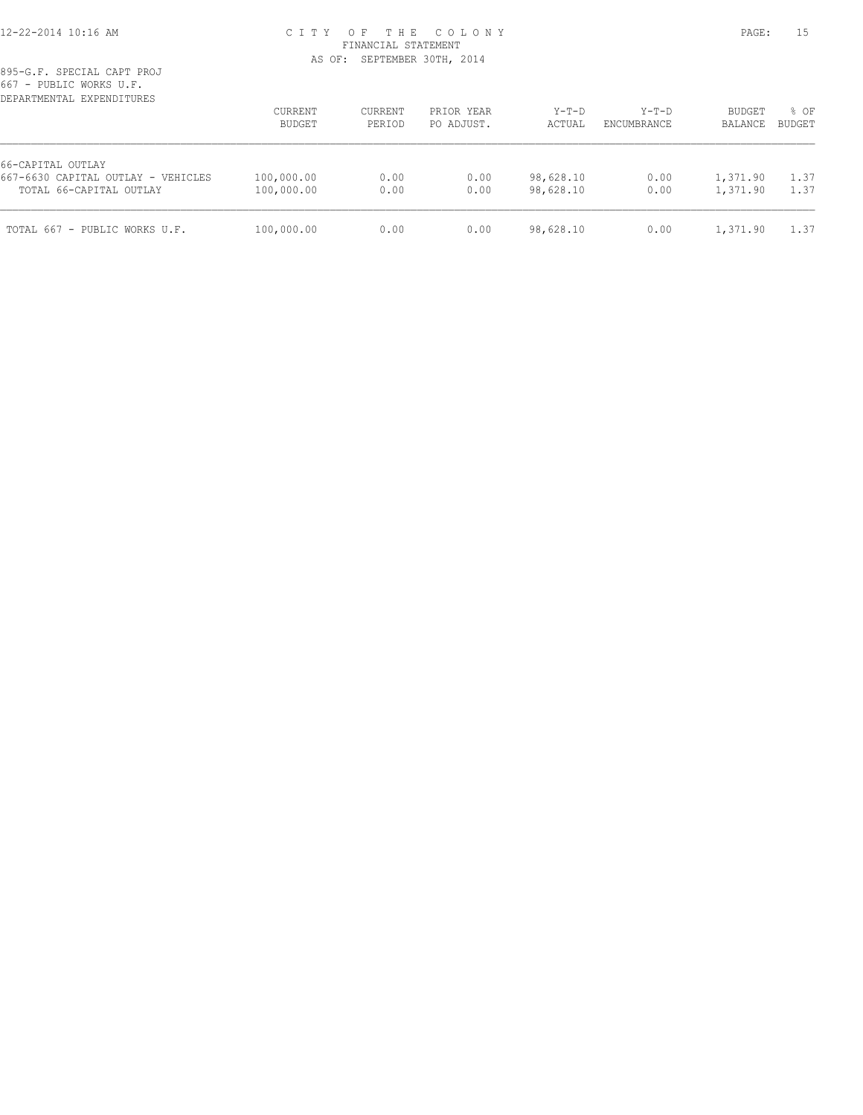## 12-22-2014 10:16 AM C I T Y O F T H E C O L O N Y PAGE: 15 FINANCIAL STATEMENT AS OF: SEPTEMBER 30TH, 2014

| DEPARTMENTAL EXPENDITURES                                                          | CURRENT<br>BUDGET        | CURRENT<br>PERIOD | PRIOR YEAR<br>PO ADJUST. | $Y-T-D$<br>ACTUAL      | $Y-T-D$<br>ENCUMBRANCE | <b>BUDGET</b><br>BALANCE | % OF<br><b>BUDGET</b> |
|------------------------------------------------------------------------------------|--------------------------|-------------------|--------------------------|------------------------|------------------------|--------------------------|-----------------------|
| 66-CAPITAL OUTLAY<br>667-6630 CAPITAL OUTLAY - VEHICLES<br>TOTAL 66-CAPITAL OUTLAY | 100,000.00<br>100,000.00 | 0.00<br>0.00      | 0.00<br>0.00             | 98,628.10<br>98,628.10 | 0.00<br>0.00           | 1,371.90<br>1,371.90     | 1.37<br>1.37          |
| TOTAL 667 - PUBLIC WORKS U.F.                                                      | 100,000.00               | 0.00              | 0.00                     | 98,628.10              | 0.00                   | 1,371.90                 | 1.37                  |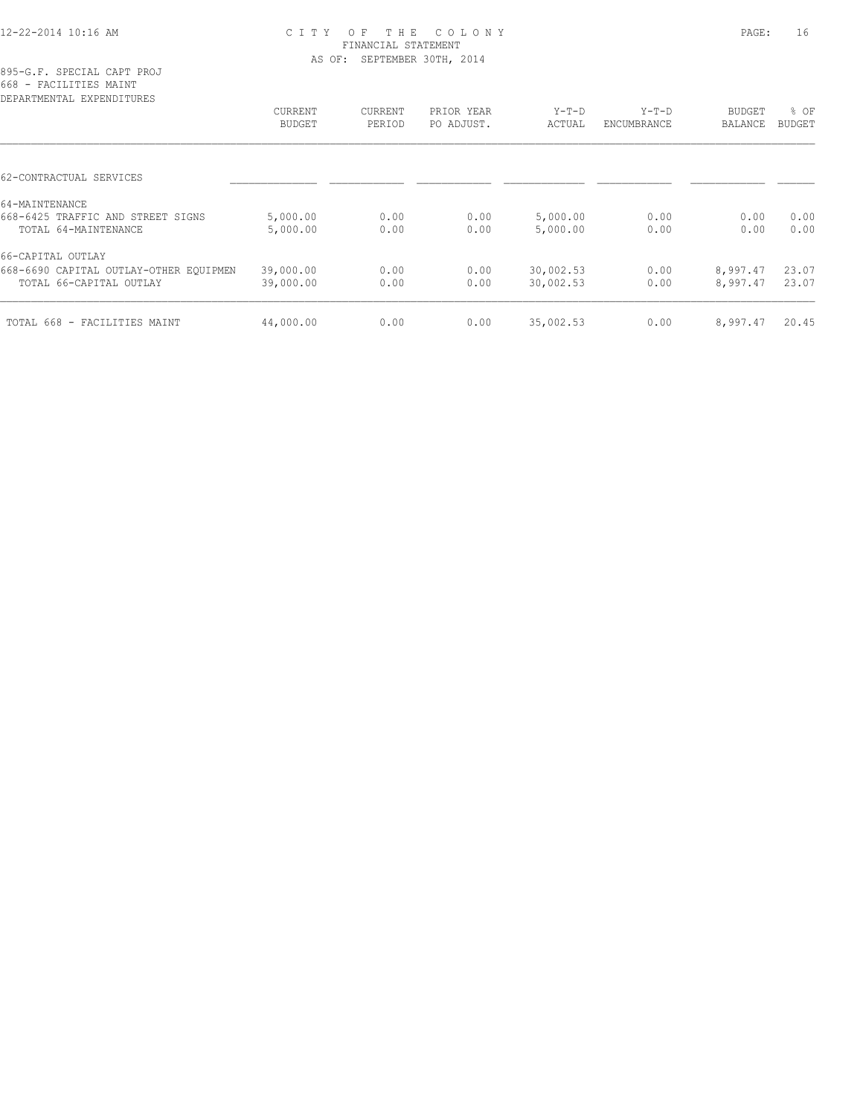### 12-22-2014 10:16 AM C I T Y O F T H E C O L O N Y PAGE: 16 FINANCIAL STATEMENT AS OF: SEPTEMBER 30TH, 2014

895-G.F. SPECIAL CAPT PROJ 668 - FACILITIES MAINT

| CURRENT<br>BUDGET | CURRENT<br>PERIOD | PRIOR YEAR<br>PO ADJUST. | $Y-T-D$<br>ACTUAL | $Y-T-D$<br>ENCUMBRANCE | BUDGET<br>BALANCE | % OF<br><b>BUDGET</b> |
|-------------------|-------------------|--------------------------|-------------------|------------------------|-------------------|-----------------------|
|                   |                   |                          |                   |                        |                   |                       |
|                   |                   |                          |                   |                        |                   |                       |
|                   |                   |                          |                   |                        |                   |                       |
| 5,000.00          | 0.00              | 0.00                     | 5,000.00          | 0.00                   | 0.00              | 0.00                  |
| 5,000.00          | 0.00              | 0.00                     | 5,000.00          | 0.00                   | 0.00              | 0.00                  |
|                   |                   |                          |                   |                        |                   |                       |
| 39,000.00         | 0.00              | 0.00                     | 30,002.53         | 0.00                   | 8,997.47          | 23.07                 |
| 39,000.00         | 0.00              | 0.00                     | 30,002.53         | 0.00                   | 8,997.47          | 23.07                 |
|                   |                   |                          |                   |                        |                   | 20.45                 |
|                   | 44,000.00         | 0.00                     | 0.00              | 35,002.53              | 0.00              | 8,997.47              |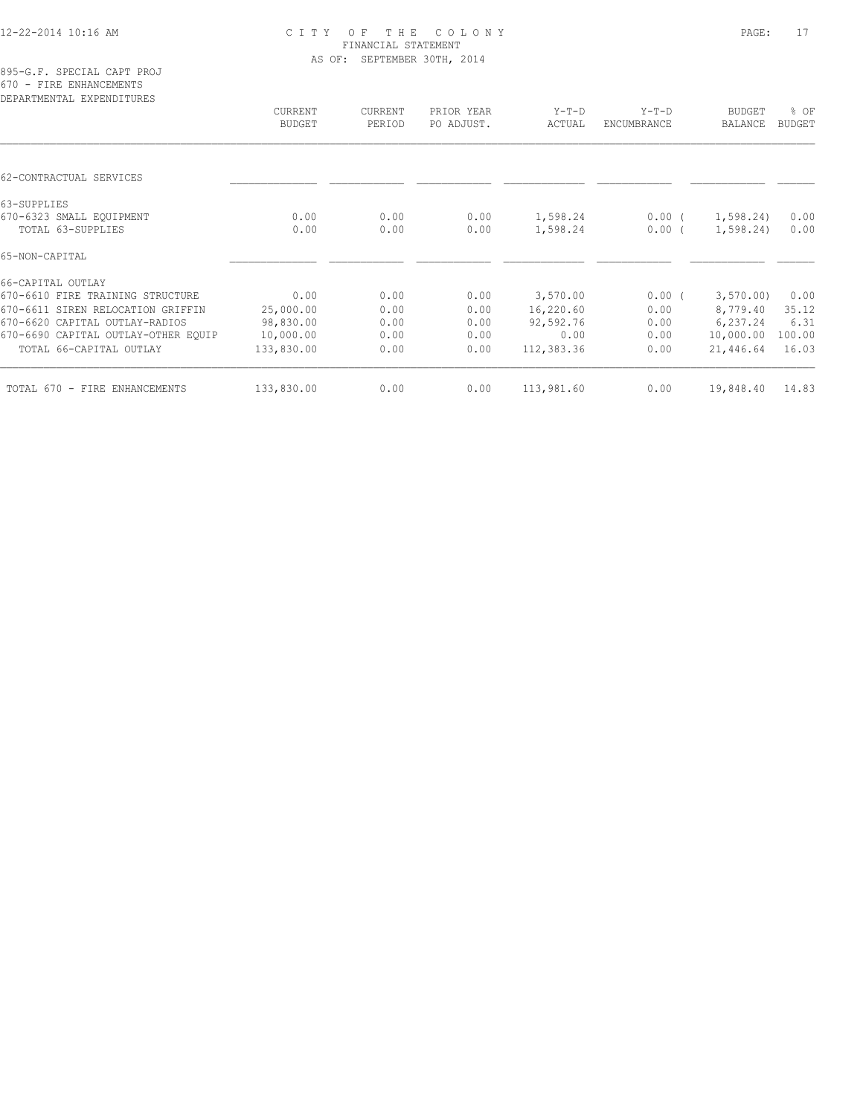# 12-22-2014 10:16 AM C I T Y O F T H E C O L O N Y PAGE: 17 FINANCIAL STATEMENT AS OF: SEPTEMBER 30TH, 2014

|  |  |  |                           | 895-G.F. SPECIAL CAPT PROJ |  |
|--|--|--|---------------------------|----------------------------|--|
|  |  |  | 670 - FIRE ENHANCEMENTS   |                            |  |
|  |  |  | DEPARTMENTAL EXPENDITURES |                            |  |

|               | CURRENT    | PRIOR YEAR | $Y-T-D$    | $Y-T-D$            | <b>BUDGET</b> | % OF                                            |
|---------------|------------|------------|------------|--------------------|---------------|-------------------------------------------------|
| <b>BUDGET</b> | PERIOD     | PO ADJUST. | ACTUAL     | <b>ENCUMBRANCE</b> | BALANCE       | <b>BUDGET</b>                                   |
|               |            |            |            |                    |               |                                                 |
|               |            |            |            |                    |               |                                                 |
|               |            |            |            |                    |               |                                                 |
| 0.00          | 0.00       | 0.00       | 1,598.24   | $0.00$ (           |               | 0.00                                            |
| 0.00          | 0.00       | 0.00       | 1,598.24   | $0.00$ (           |               | 0.00                                            |
|               |            |            |            |                    |               |                                                 |
|               |            |            |            |                    |               |                                                 |
| 0.00          | 0.00       | 0.00       | 3,570.00   | $0.00$ (           |               | 0.00                                            |
| 25,000.00     | 0.00       | 0.00       | 16,220.60  | 0.00               | 8,779.40      | 35.12                                           |
| 98,830.00     | 0.00       | 0.00       | 92,592.76  | 0.00               | 6,237.24      | 6.31                                            |
| 10,000.00     | 0.00       | 0.00       | 0.00       | 0.00               | 10,000.00     | 100.00                                          |
| 133,830.00    | 0.00       | 0.00       | 112,383.36 | 0.00               | 21,446.64     | 16.03                                           |
|               |            |            |            |                    |               | 14.83                                           |
|               | 133,830.00 | 0.00       | 0.00       | 113,981.60         | 0.00          | 1,598.24)<br>1,598.24)<br>3,570.00<br>19,848.40 |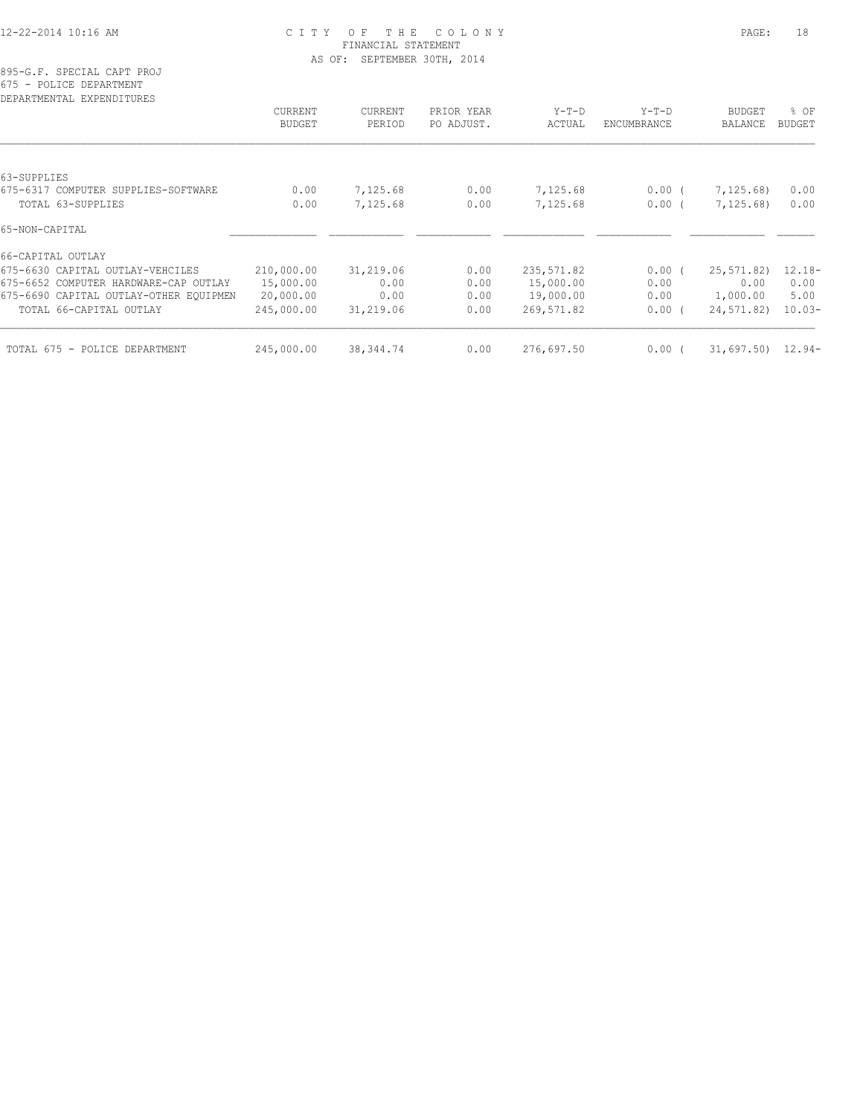## 12-22-2014 10:16 AM C I T Y O F T H E C O L O N Y PAGE: 18 FINANCIAL STATEMENT AS OF: SEPTEMBER 30TH, 2014

|  |  | 895-G.F. SPECIAL CAPT PROJ |  |
|--|--|----------------------------|--|
|  |  | 675 - POLICE DEPARTMENT    |  |
|  |  | prodentment textoriorminal |  |

| CURRENT    | <b>CURRENT</b> | PRIOR YEAR | $Y-T-D$    | $Y-T-D$     | <b>BUDGET</b> | $8$ OF               |
|------------|----------------|------------|------------|-------------|---------------|----------------------|
| BUDGET     | PERIOD         | PO ADJUST. | ACTUAL     | ENCUMBRANCE | BALANCE       | BUDGET               |
|            |                |            |            |             |               |                      |
|            |                |            |            |             |               |                      |
| 0.00       | 7,125.68       | 0.00       | 7,125.68   | $0.00$ (    | 7,125.68)     | 0.00                 |
| 0.00       | 7,125.68       | 0.00       | 7,125.68   | $0.00$ (    | 7,125.68)     | 0.00                 |
|            |                |            |            |             |               |                      |
|            |                |            |            |             |               |                      |
| 210,000.00 | 31,219.06      | 0.00       | 235,571.82 | $0.00$ (    | 25, 571, 82)  | $12.18-$             |
| 15,000.00  | 0.00           | 0.00       | 15,000.00  | 0.00        | 0.00          | 0.00                 |
| 20,000.00  | 0.00           | 0.00       | 19,000.00  | 0.00        | 1,000.00      | 5.00                 |
| 245,000.00 | 31,219.06      | 0.00       | 269,571.82 | $0.00$ (    | 24,571.82)    | $10.03-$             |
|            |                |            |            |             |               |                      |
|            | 245,000.00     | 38, 344.74 | 0.00       | 276,697.50  | 0.00(         | $31,697.50$ $12.94-$ |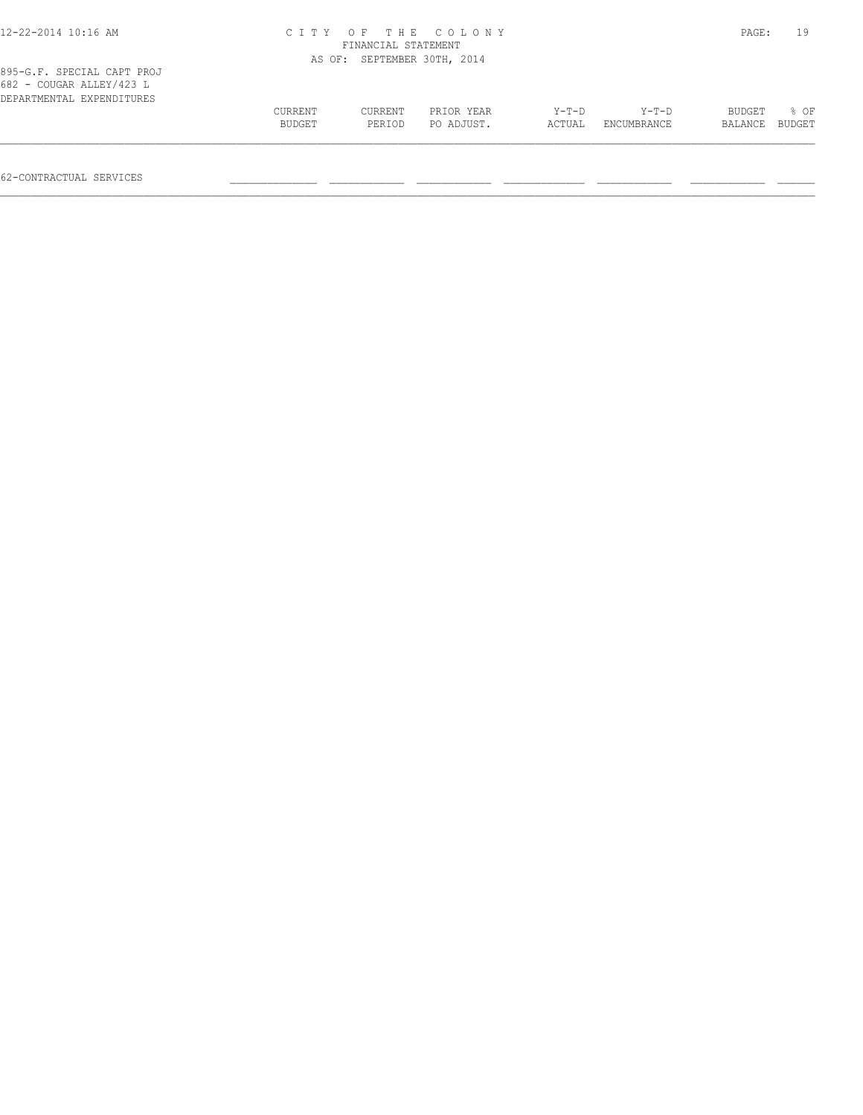| $12 - 22 - 2014$ 10:16 AM                              |                   | FINANCIAL STATEMENT         | CITY OF THE COLONY       |                   |                      | PAGE:             | 19             |
|--------------------------------------------------------|-------------------|-----------------------------|--------------------------|-------------------|----------------------|-------------------|----------------|
| 895-G.F. SPECIAL CAPT PROJ<br>682 - COUGAR ALLEY/423 L |                   | AS OF: SEPTEMBER 30TH, 2014 |                          |                   |                      |                   |                |
| DEPARTMENTAL EXPENDITURES                              | CURRENT<br>BUDGET | CURRENT<br>PERIOD           | PRIOR YEAR<br>PO ADJUST. | $Y-T-D$<br>ACTUAL | Y-T-D<br>ENCUMBRANCE | BUDGET<br>BALANCE | 8 OF<br>BUDGET |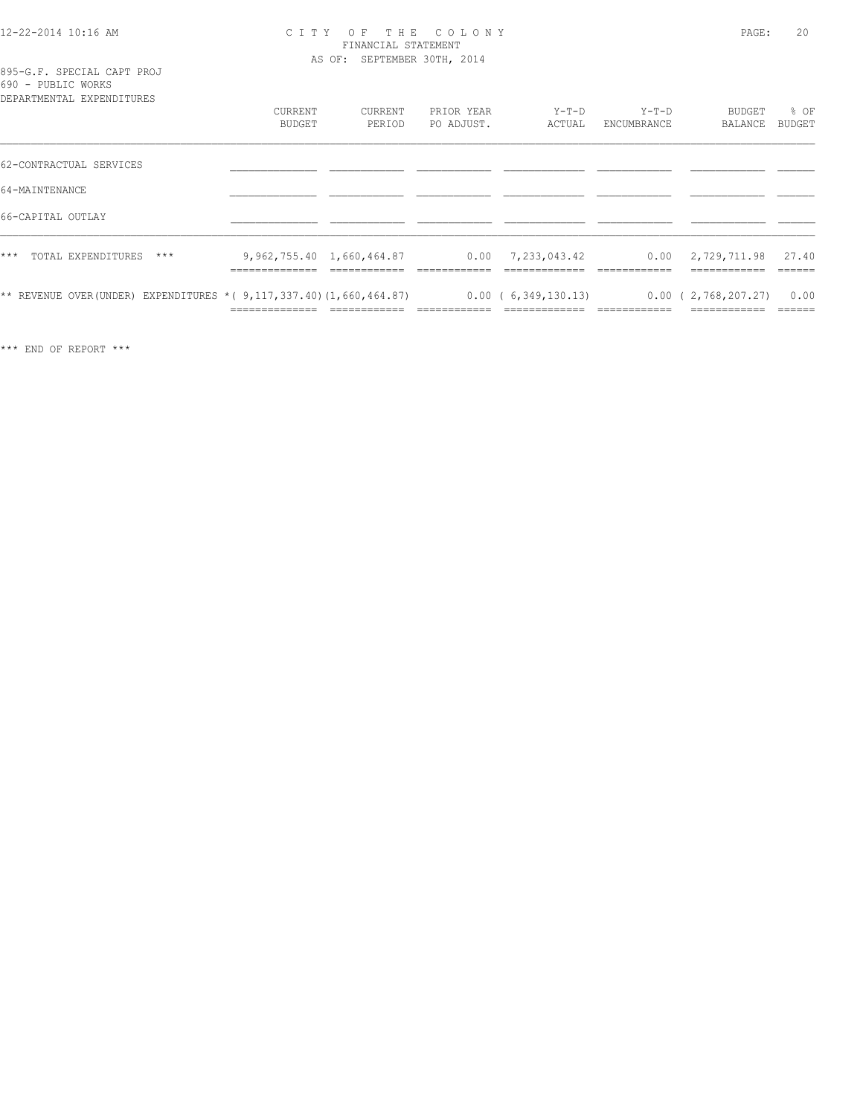#### 12-22-2014 10:16 AM C I T Y O F T H E C O L O N Y PAGE: 20 FINANCIAL STATEMENT AS OF: SEPTEMBER 30TH, 2014

|                    |  |  | 895-G.F. SPECIAL CAPT PROJ   |  |
|--------------------|--|--|------------------------------|--|
| 690 - PUBLIC WORKS |  |  |                              |  |
|                    |  |  | מתחזה דתות המעת בגהות המשתמש |  |

| DEPARTMENTAL EXPENDITURES                                                | <b>CURRENT</b><br><b>BUDGET</b> | CURRENT<br>PERIOD         | PRIOR YEAR<br>PO ADJUST. | $Y-T-D$<br>ACTUAL      | $Y-T-D$<br>ENCUMBRANCE | BUDGET<br>BALANCE                    | % OF<br><b>BUDGET</b> |
|--------------------------------------------------------------------------|---------------------------------|---------------------------|--------------------------|------------------------|------------------------|--------------------------------------|-----------------------|
| 62-CONTRACTUAL SERVICES                                                  |                                 |                           |                          |                        |                        |                                      |                       |
| 64-MAINTENANCE                                                           |                                 |                           |                          |                        |                        |                                      |                       |
| 66-CAPITAL OUTLAY                                                        |                                 |                           |                          |                        |                        |                                      |                       |
| $***$<br>TOTAL EXPENDITURES<br>$***$                                     | ______________<br>_____________ | 9,962,755.40 1,660,464.87 |                          | $0.00$ 7, 233, 043, 42 |                        | $0.00 \quad 2,729,711.98$            | 27.40                 |
| ** REVENUE OVER (UNDER) EXPENDITURES * ( $9,117,337.40$ ) (1,660,464.87) | ______________                  |                           |                          | 0.00(6,349,130.13)     | ____________           | 0.00(2,768,207.27)<br>-------------- | 0.00                  |

\*\*\* END OF REPORT \*\*\*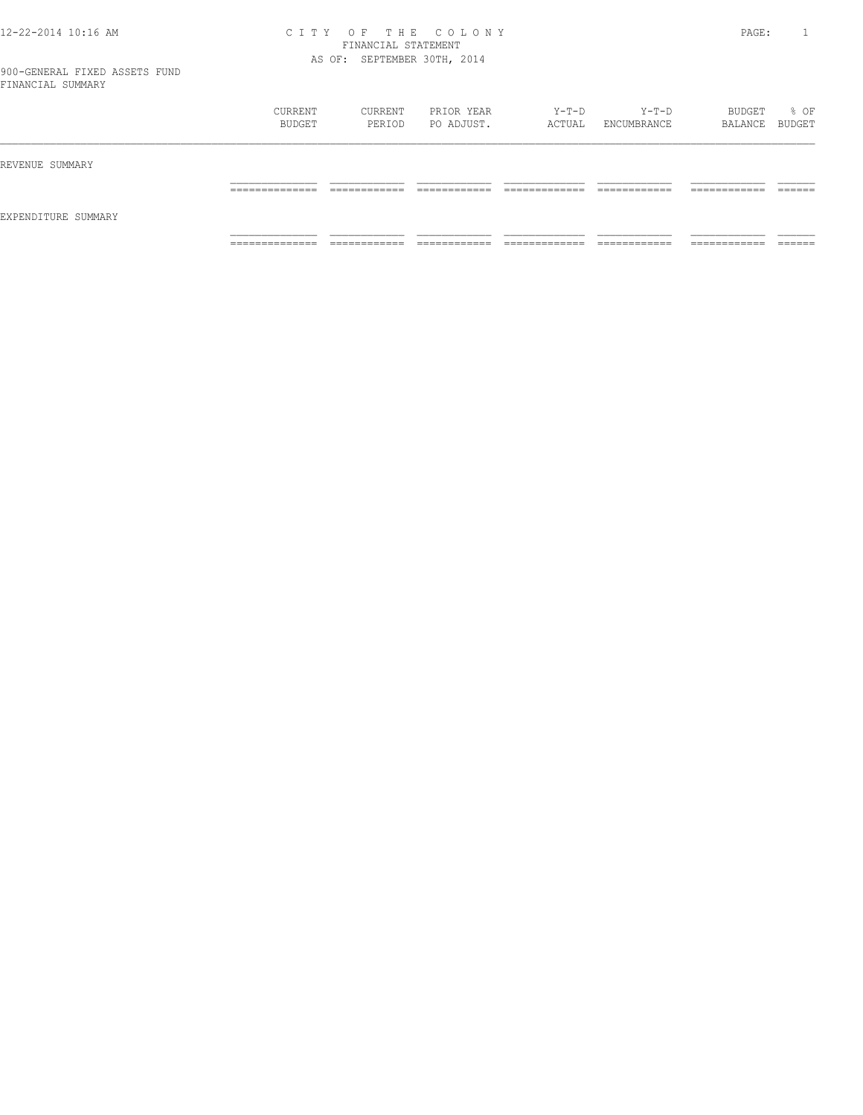#### 12-22-2014 10:16 AM C I T Y O F T H E C O L O N Y PAGE: 1 FINANCIAL STATEMENT AS OF: SEPTEMBER 30TH, 2014

|                     | CURRENT<br>BUDGET   | CURRENT<br>PERIOD            | PRIOR YEAR<br>PO ADJUST.     | Y-T-D<br>ACTUAL                | $Y-T-D$<br>ENCUMBRANCE       | BUDGET<br>BALANCE BUDGET      | % OF               |
|---------------------|---------------------|------------------------------|------------------------------|--------------------------------|------------------------------|-------------------------------|--------------------|
| REVENUE SUMMARY     |                     |                              |                              |                                |                              |                               |                    |
| EXPENDITURE SUMMARY | ______________<br>. | ------------<br>____________ | -------------                | ____________<br>_____________  | ------------<br>____________ | -------------<br>____________ | -------<br>_______ |
|                     | _____________<br>.  | ____________<br>____________ | ____________<br>____________ | _____________<br>_____________ | ____________<br>-----------  | -------------<br>____________ | _______            |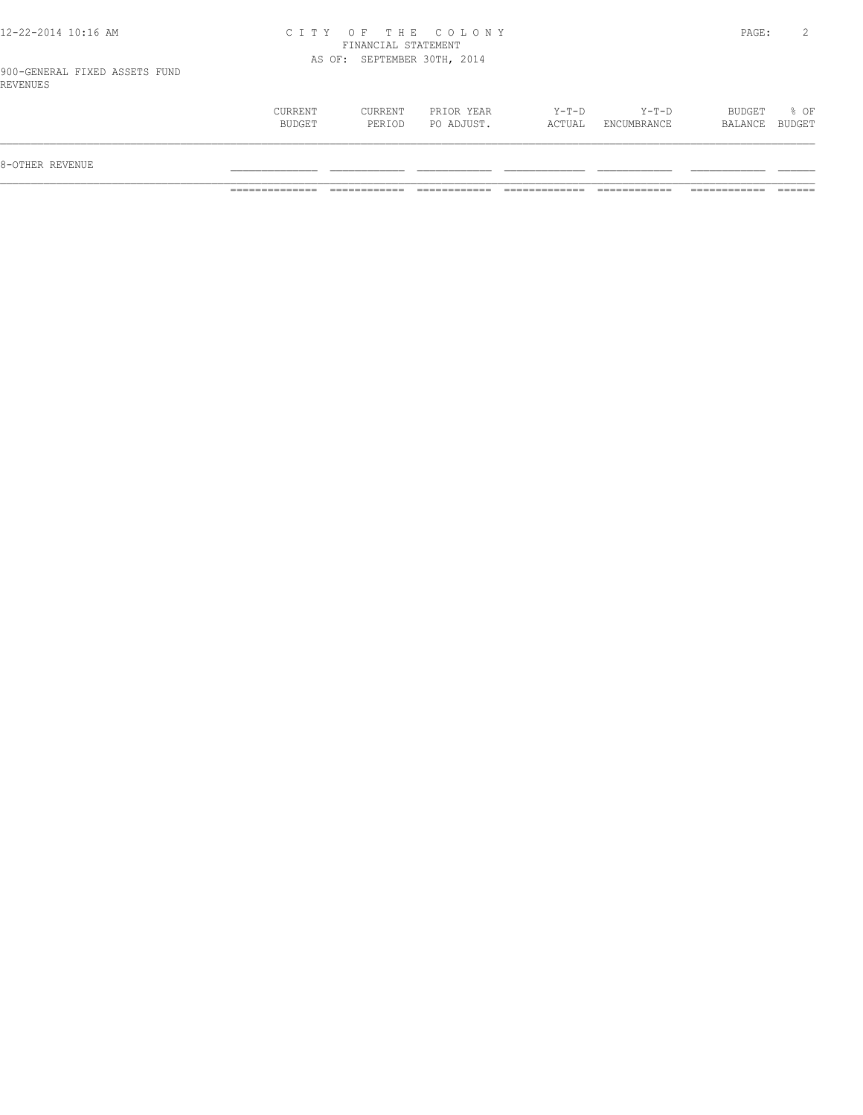### 12-22-2014 10:16 AM C I T Y O F T H E C O L O N Y PAGE: 2 FINANCIAL STATEMENT AS OF: SEPTEMBER 30TH, 2014

900-GENERAL FIXED ASSETS FUND REVENUES

| BUDGET<br>$Y-T-D$<br>% OF<br>CURRENT<br>CURRENT<br>PRIOR YEAR<br>Y-T-D<br>PO ADJUST.<br>BUDGET<br>ACTUAL<br>PERIOD<br>ENCUMBRANCE<br>BALANCE BUDGET<br>8-OTHER REVENUE |  |  |  |  |
|------------------------------------------------------------------------------------------------------------------------------------------------------------------------|--|--|--|--|
|                                                                                                                                                                        |  |  |  |  |
|                                                                                                                                                                        |  |  |  |  |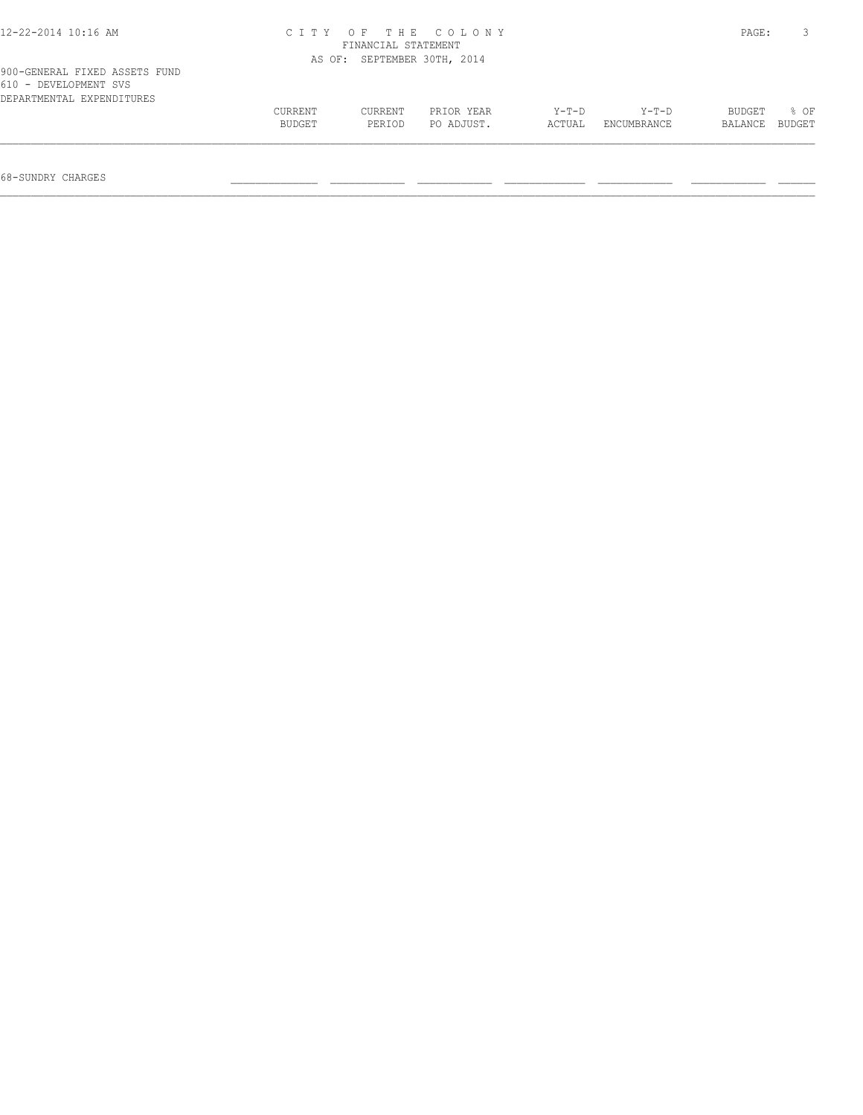| $12 - 22 - 2014$ 10:16 AM                                                           |         | FINANCIAL STATEMENT | CITY OF THE COLONY   |         |             | PAGE:   |        |
|-------------------------------------------------------------------------------------|---------|---------------------|----------------------|---------|-------------|---------|--------|
|                                                                                     | AS OF:  |                     | SEPTEMBER 30TH, 2014 |         |             |         |        |
| 900-GENERAL FIXED ASSETS FUND<br>610 - DEVELOPMENT SVS<br>DEPARTMENTAL EXPENDITURES |         |                     |                      |         |             |         |        |
|                                                                                     | CURRENT | CURRENT             | PRIOR YEAR           | $Y-T-D$ | $Y-T-D$     | BUDGET  | 8 OF   |
|                                                                                     | BUDGET  | PERIOD              | PO ADJUST.           | ACTUAL  | ENCUMBRANCE | BALANCE | BUDGET |
|                                                                                     |         |                     |                      |         |             |         |        |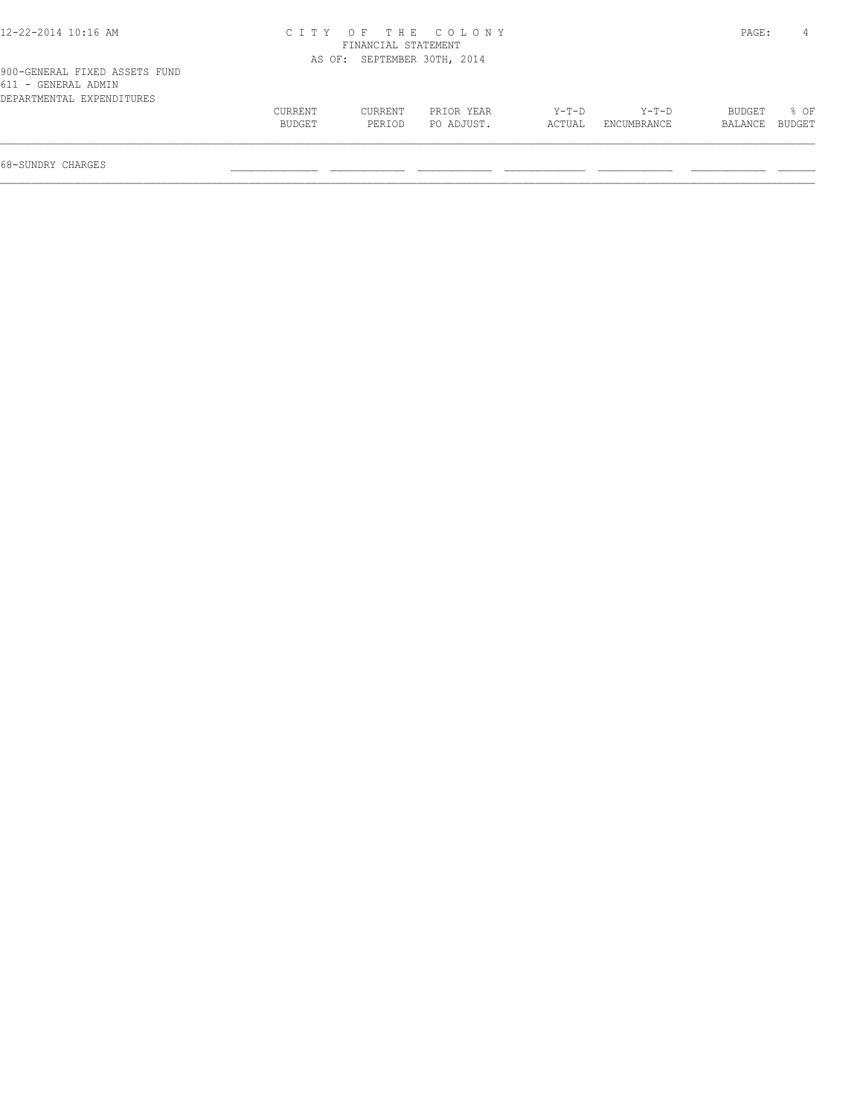| 12-22-2014 10:16 AM                                                               |                   |                             | CITY OF THE COLONY       |                 |                        | PAGE:             |                  |
|-----------------------------------------------------------------------------------|-------------------|-----------------------------|--------------------------|-----------------|------------------------|-------------------|------------------|
|                                                                                   |                   | FINANCIAL STATEMENT         |                          |                 |                        |                   |                  |
|                                                                                   |                   | AS OF: SEPTEMBER 30TH, 2014 |                          |                 |                        |                   |                  |
| 900-GENERAL FIXED ASSETS FUND<br>611 - GENERAL ADMIN<br>DEPARTMENTAL EXPENDITURES |                   |                             |                          |                 |                        |                   |                  |
|                                                                                   | CURRENT<br>BUDGET | CURRENT<br>PERIOD           | PRIOR YEAR<br>PO ADJUST. | Y-T-D<br>ACTUAL | $Y-T-D$<br>ENCUMBRANCE | BUDGET<br>BALANCE | $8$ OF<br>BUDGET |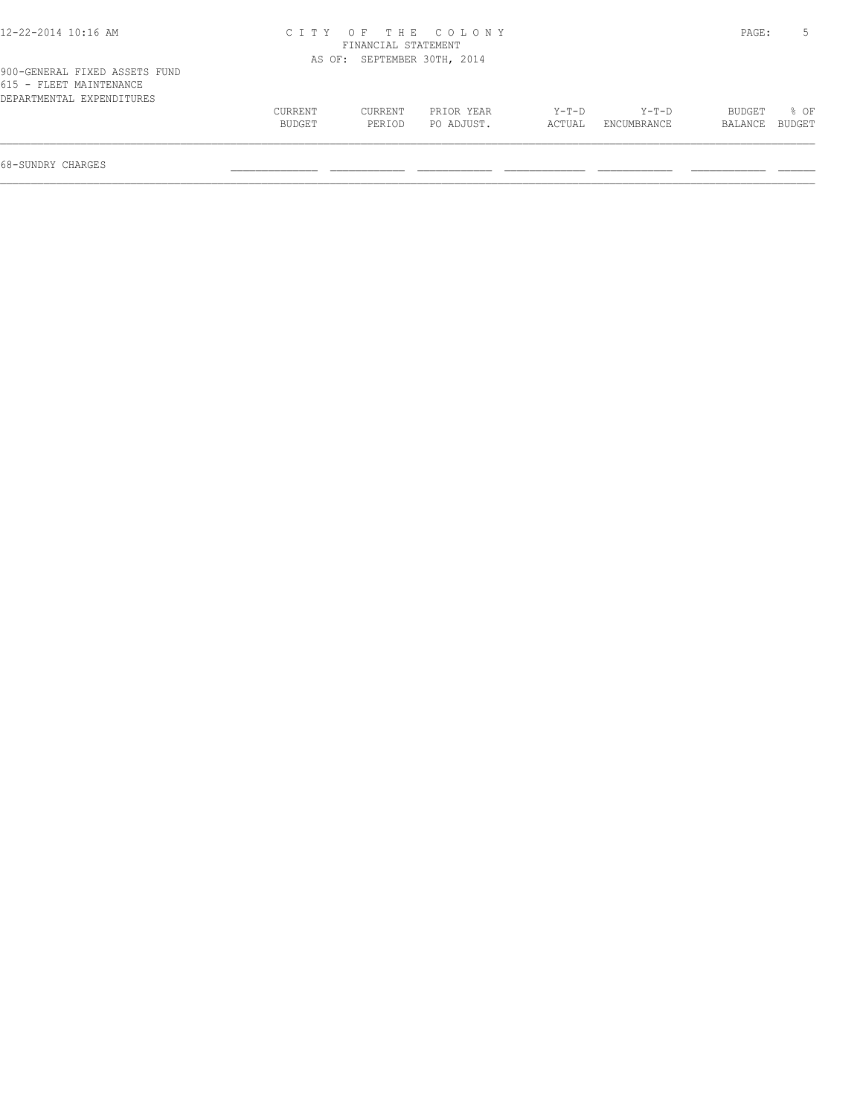| 12-22-2014 10:16 AM                                                                   |                   |                             | CITY OF THE COLONY       |                 |                        | PAGE:             |                |
|---------------------------------------------------------------------------------------|-------------------|-----------------------------|--------------------------|-----------------|------------------------|-------------------|----------------|
|                                                                                       |                   | FINANCIAL STATEMENT         |                          |                 |                        |                   |                |
|                                                                                       |                   | AS OF: SEPTEMBER 30TH, 2014 |                          |                 |                        |                   |                |
| 900-GENERAL FIXED ASSETS FUND<br>615 - FLEET MAINTENANCE<br>DEPARTMENTAL EXPENDITURES |                   |                             |                          |                 |                        |                   |                |
|                                                                                       | CURRENT<br>BUDGET | CURRENT<br>PERIOD           | PRIOR YEAR<br>PO ADJUST. | Y-T-D<br>ACTUAL | $Y-T-D$<br>ENCUMBRANCE | BUDGET<br>BALANCE | 8 OF<br>BUDGET |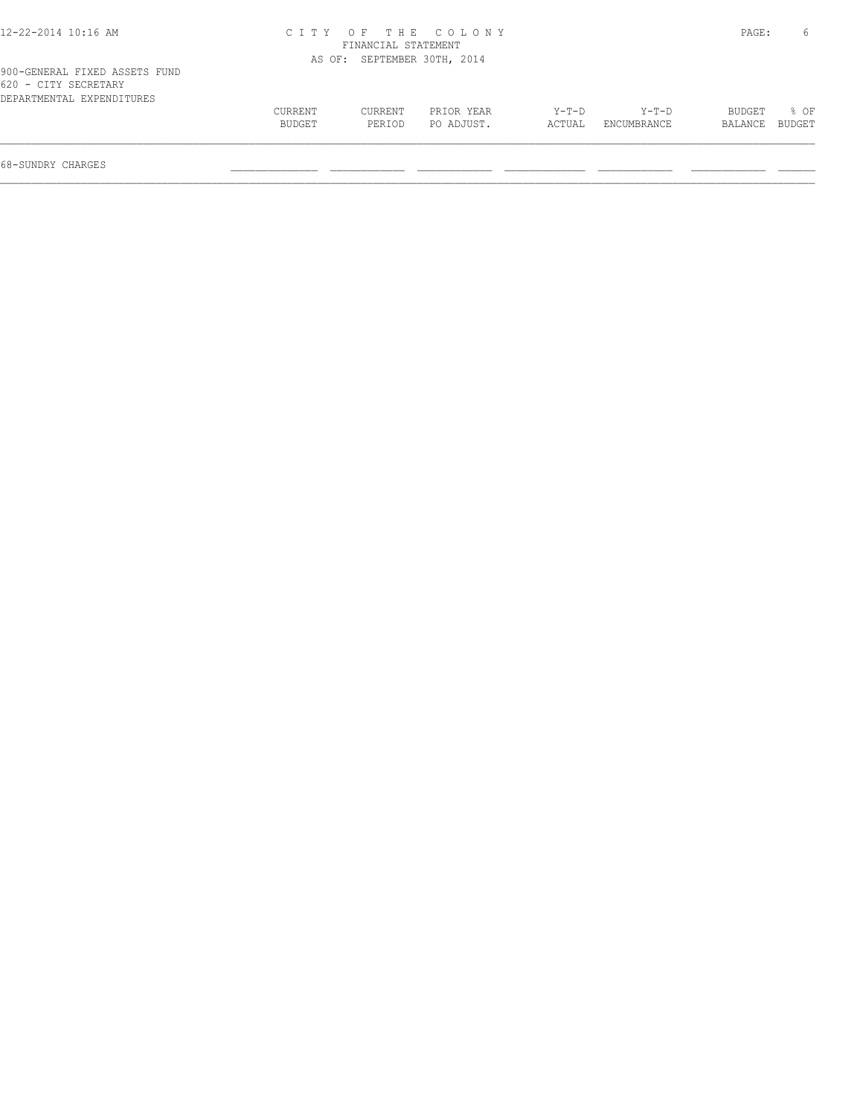| CURRENT<br>BUDGET | CURRENT<br>PERIOD | PRIOR YEAR<br>PO ADJUST. | Y-T-D<br>ACTUAL                                                          | $Y-T-D$<br>ENCUMBRANCE | BUDGET<br>BALANCE | 8 OF<br>BUDGET |
|-------------------|-------------------|--------------------------|--------------------------------------------------------------------------|------------------------|-------------------|----------------|
|                   |                   |                          | CITY OF THE COLONY<br>FINANCIAL STATEMENT<br>AS OF: SEPTEMBER 30TH, 2014 |                        |                   | PAGE:          |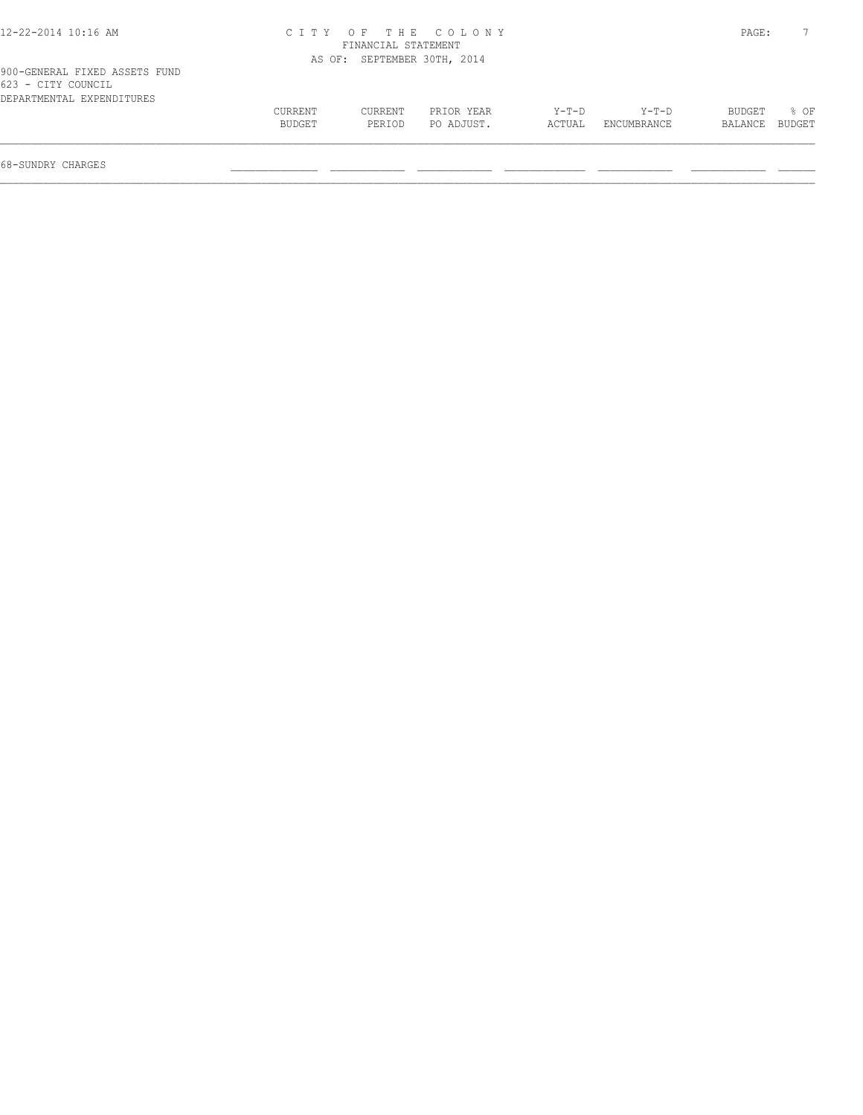| 12-22-2014 10:16 AM                                                              |                   |                     | CITY OF THE COLONY          |                   |                      | PAGE:             |                |
|----------------------------------------------------------------------------------|-------------------|---------------------|-----------------------------|-------------------|----------------------|-------------------|----------------|
|                                                                                  |                   | FINANCIAL STATEMENT |                             |                   |                      |                   |                |
|                                                                                  |                   |                     | AS OF: SEPTEMBER 30TH, 2014 |                   |                      |                   |                |
| 900-GENERAL FIXED ASSETS FUND<br>623 - CITY COUNCIL<br>DEPARTMENTAL EXPENDITURES |                   |                     |                             |                   |                      |                   |                |
|                                                                                  | CURRENT<br>BUDGET | CURRENT<br>PERIOD   | PRIOR YEAR<br>PO ADJUST.    | $Y-T-D$<br>ACTUAL | Y-T-D<br>ENCUMBRANCE | BUDGET<br>BALANCE | 8 OF<br>BUDGET |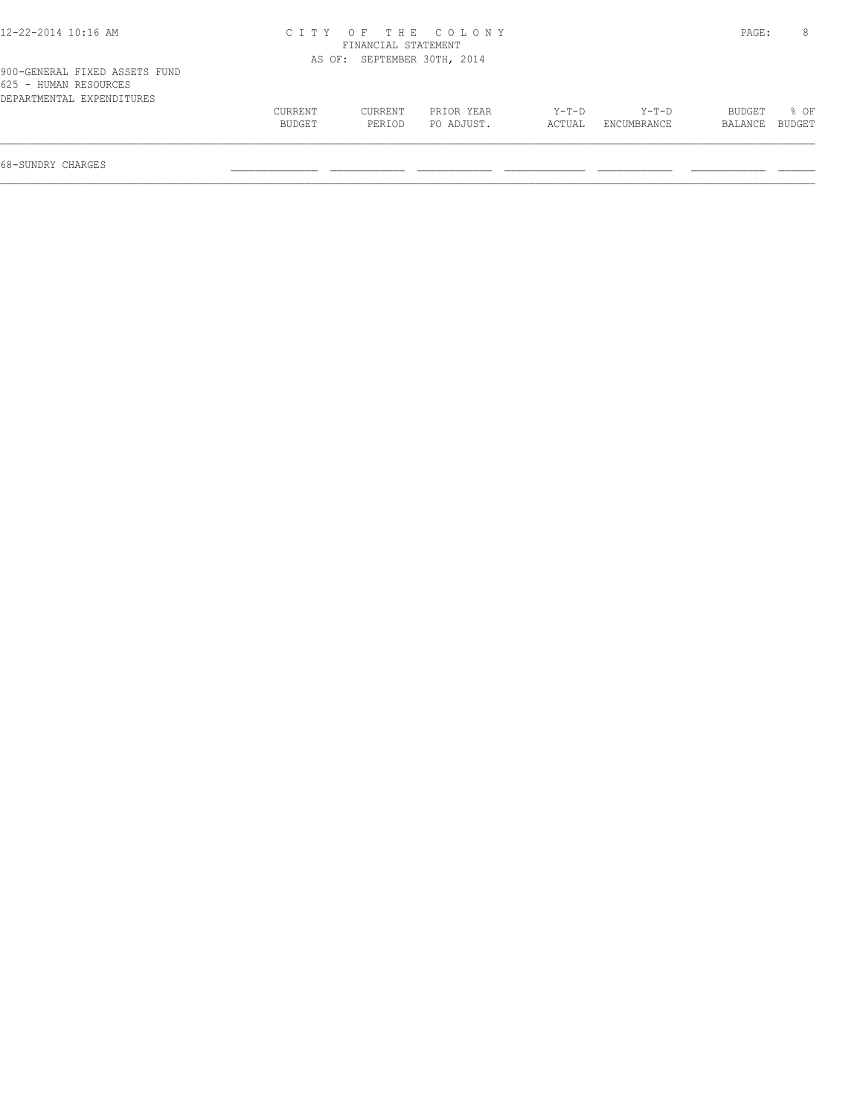| 12-22-2014 10:16 AM                                                                 |                   |                             | CITY OF THE COLONY       |                 |                      | PAGE:                    | 8    |
|-------------------------------------------------------------------------------------|-------------------|-----------------------------|--------------------------|-----------------|----------------------|--------------------------|------|
|                                                                                     |                   | FINANCIAL STATEMENT         |                          |                 |                      |                          |      |
|                                                                                     |                   | AS OF: SEPTEMBER 30TH, 2014 |                          |                 |                      |                          |      |
| 900-GENERAL FIXED ASSETS FUND<br>625 - HUMAN RESOURCES<br>DEPARTMENTAL EXPENDITURES |                   |                             |                          |                 |                      |                          |      |
|                                                                                     | CURRENT<br>BUDGET | <b>CURRENT</b><br>PERIOD    | PRIOR YEAR<br>PO ADJUST. | Y-T-D<br>ACTUAL | Y-T-D<br>ENCUMBRANCE | BUDGET<br>BALANCE BUDGET | 8 OF |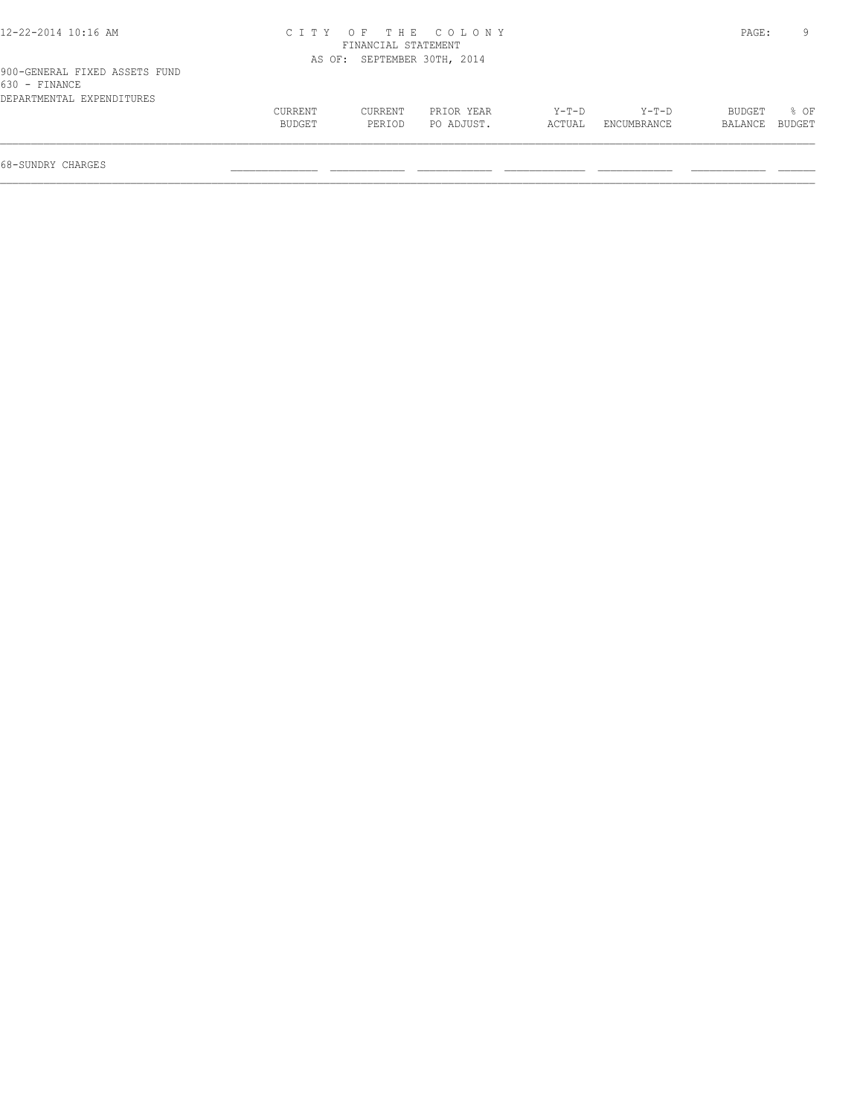| 12-22-2014 10:16 AM                            |         | FINANCIAL STATEMENT         | CITY OF THE COLONY |        |             | PAGE:         |        |
|------------------------------------------------|---------|-----------------------------|--------------------|--------|-------------|---------------|--------|
|                                                |         |                             |                    |        |             |               |        |
|                                                |         | AS OF: SEPTEMBER 30TH, 2014 |                    |        |             |               |        |
| 900-GENERAL FIXED ASSETS FUND<br>630 - FINANCE |         |                             |                    |        |             |               |        |
| DEPARTMENTAL EXPENDITURES                      |         |                             |                    |        |             |               |        |
|                                                | CURRENT | CURRENT                     | PRIOR YEAR         | Y-T-D  | Y-T-D       | <b>BUDGET</b> | $8$ OF |
|                                                | BUDGET  | PERIOD                      | PO ADJUST.         | ACTUAL | ENCUMBRANCE | BALANCE       | BUDGET |
|                                                |         |                             |                    |        |             |               |        |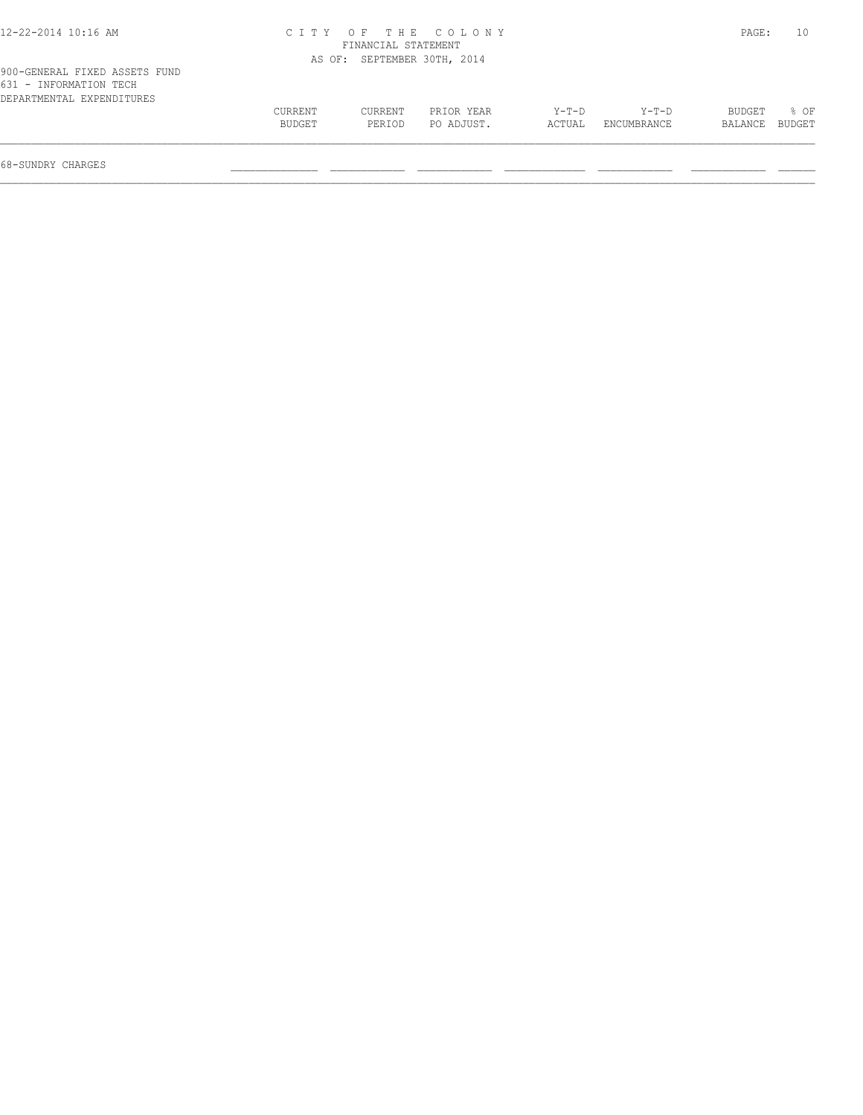| 12-22-2014 10:16 AM                                                                  |                          |                     | CITY OF THE COLONY          |                   |                        | PAGE:             |                  |
|--------------------------------------------------------------------------------------|--------------------------|---------------------|-----------------------------|-------------------|------------------------|-------------------|------------------|
|                                                                                      |                          | FINANCIAL STATEMENT |                             |                   |                        |                   |                  |
|                                                                                      |                          |                     | AS OF: SEPTEMBER 30TH, 2014 |                   |                        |                   |                  |
| 900-GENERAL FIXED ASSETS FUND<br>631 - INFORMATION TECH<br>DEPARTMENTAL EXPENDITURES |                          |                     |                             |                   |                        |                   |                  |
|                                                                                      | <b>CURRENT</b><br>BUDGET | CURRENT<br>PERIOD   | PRIOR YEAR<br>PO ADJUST.    | $Y-T-D$<br>ACTUAL | $Y-T-D$<br>ENCUMBRANCE | BUDGET<br>BALANCE | $8$ OF<br>BUDGET |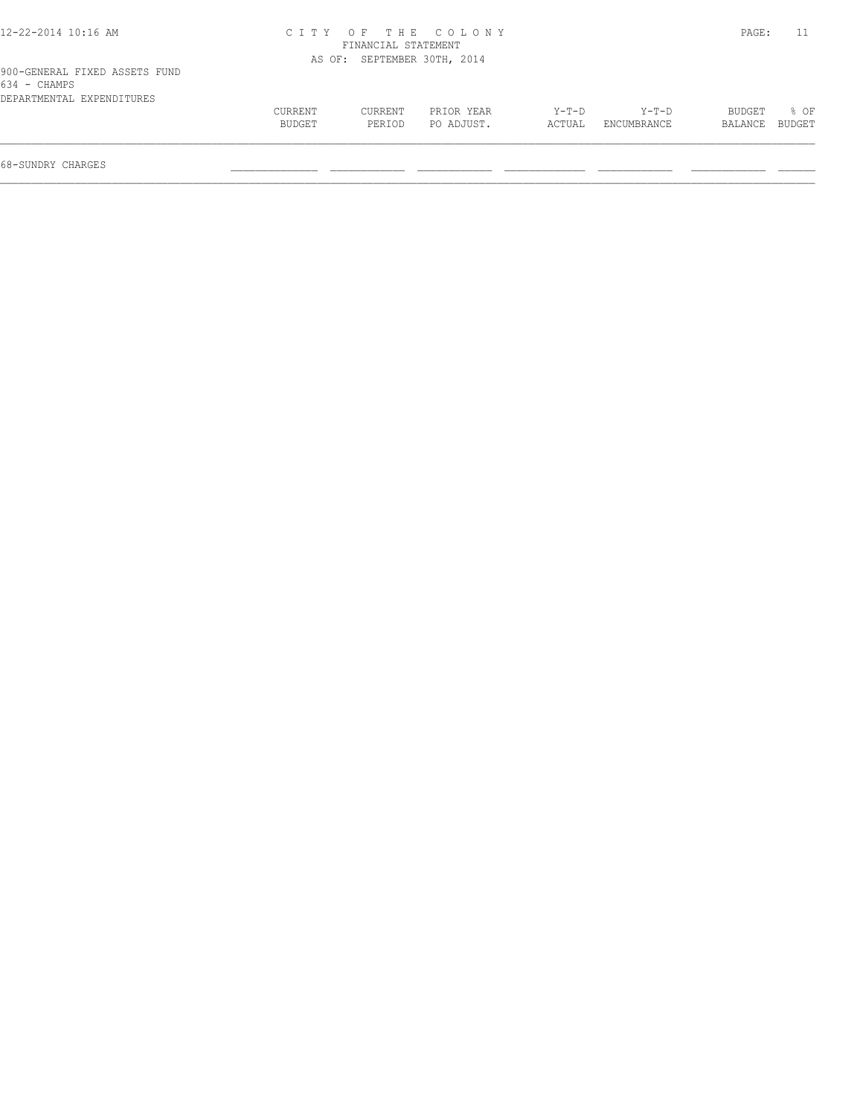| 12-22-2014 10:16 AM                           |                   |                             | CITY OF THE COLONY       |                 |                      | PAGE:                    |                  |
|-----------------------------------------------|-------------------|-----------------------------|--------------------------|-----------------|----------------------|--------------------------|------------------|
|                                               |                   | FINANCIAL STATEMENT         |                          |                 |                      |                          |                  |
|                                               |                   | AS OF: SEPTEMBER 30TH, 2014 |                          |                 |                      |                          |                  |
| 900-GENERAL FIXED ASSETS FUND<br>634 - CHAMPS |                   |                             |                          |                 |                      |                          |                  |
| DEPARTMENTAL EXPENDITURES                     | CURRENT<br>BUDGET | CURRENT<br>PERIOD           | PRIOR YEAR<br>PO ADJUST. | Y-T-D<br>ACTUAL | Y-T-D<br>ENCUMBRANCE | <b>BUDGET</b><br>BALANCE | $8$ OF<br>BUDGET |
|                                               |                   |                             |                          |                 |                      |                          |                  |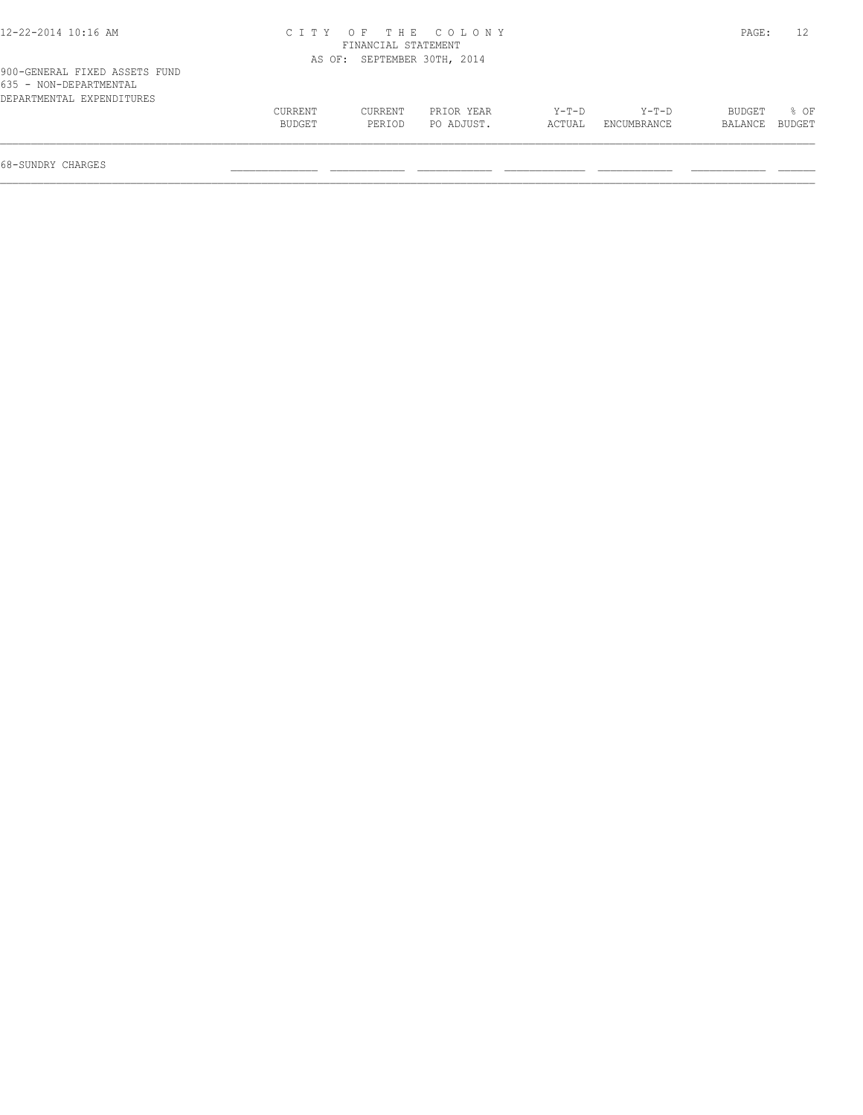| 12-22-2014 10:16 AM           |         |                     | CITY OF THE COLONY          |         |             | PAGE:   |        |
|-------------------------------|---------|---------------------|-----------------------------|---------|-------------|---------|--------|
|                               |         | FINANCIAL STATEMENT |                             |         |             |         |        |
|                               |         |                     | AS OF: SEPTEMBER 30TH, 2014 |         |             |         |        |
| 900-GENERAL FIXED ASSETS FUND |         |                     |                             |         |             |         |        |
| 635 - NON-DEPARTMENTAL        |         |                     |                             |         |             |         |        |
| DEPARTMENTAL EXPENDITURES     |         |                     |                             |         |             |         |        |
|                               | CURRENT | CURRENT             | PRIOR YEAR                  | $Y-T-D$ | Y-T-D       | BUDGET  | 8 OF   |
|                               | BUDGET  | PERIOD              | PO ADJUST.                  | ACTUAL  | ENCUMBRANCE | BALANCE | BUDGET |
|                               |         |                     |                             |         |             |         |        |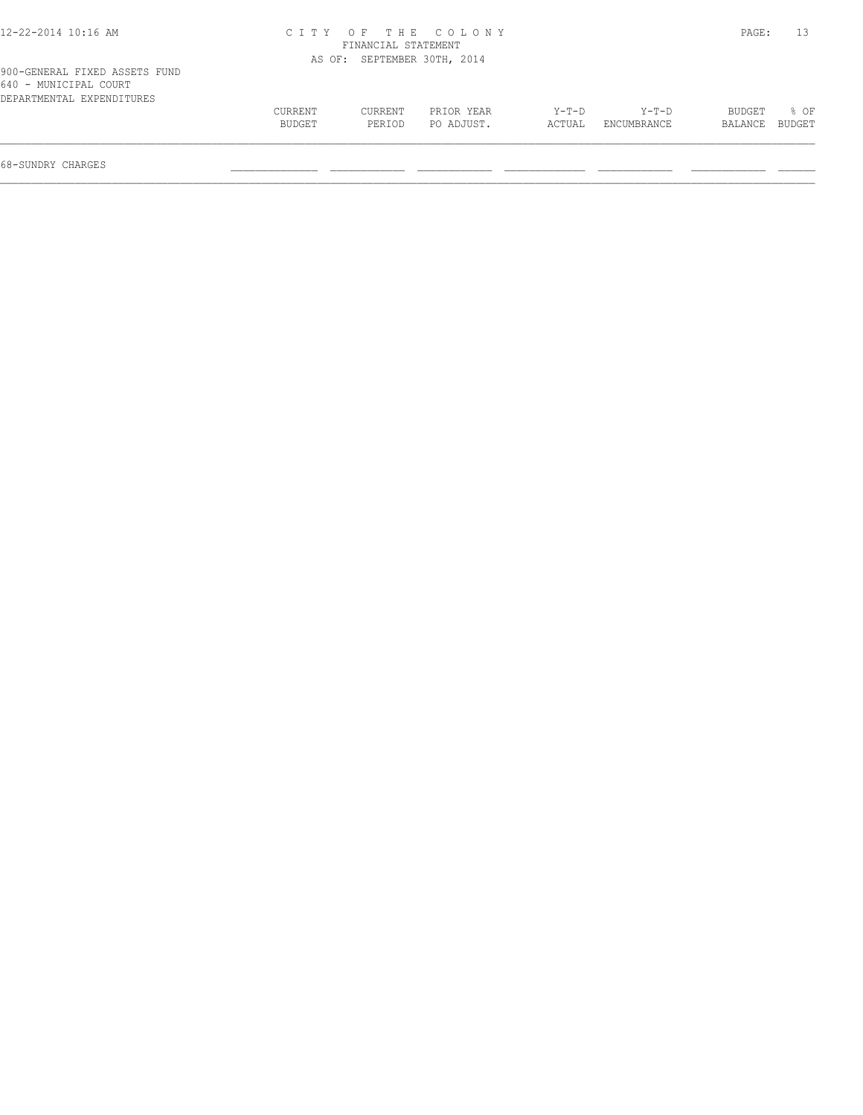| 12-22-2014 10:16 AM                                                                 |                          |                     | CITY OF THE COLONY          |                   |                        | PAGE:             |                  |
|-------------------------------------------------------------------------------------|--------------------------|---------------------|-----------------------------|-------------------|------------------------|-------------------|------------------|
|                                                                                     |                          | FINANCIAL STATEMENT |                             |                   |                        |                   |                  |
|                                                                                     |                          |                     | AS OF: SEPTEMBER 30TH, 2014 |                   |                        |                   |                  |
| 900-GENERAL FIXED ASSETS FUND<br>640 - MUNICIPAL COURT<br>DEPARTMENTAL EXPENDITURES |                          |                     |                             |                   |                        |                   |                  |
|                                                                                     | <b>CURRENT</b><br>BUDGET | CURRENT<br>PERIOD   | PRIOR YEAR<br>PO ADJUST.    | $Y-T-D$<br>ACTUAL | $Y-T-D$<br>ENCUMBRANCE | BUDGET<br>BALANCE | $8$ OF<br>BUDGET |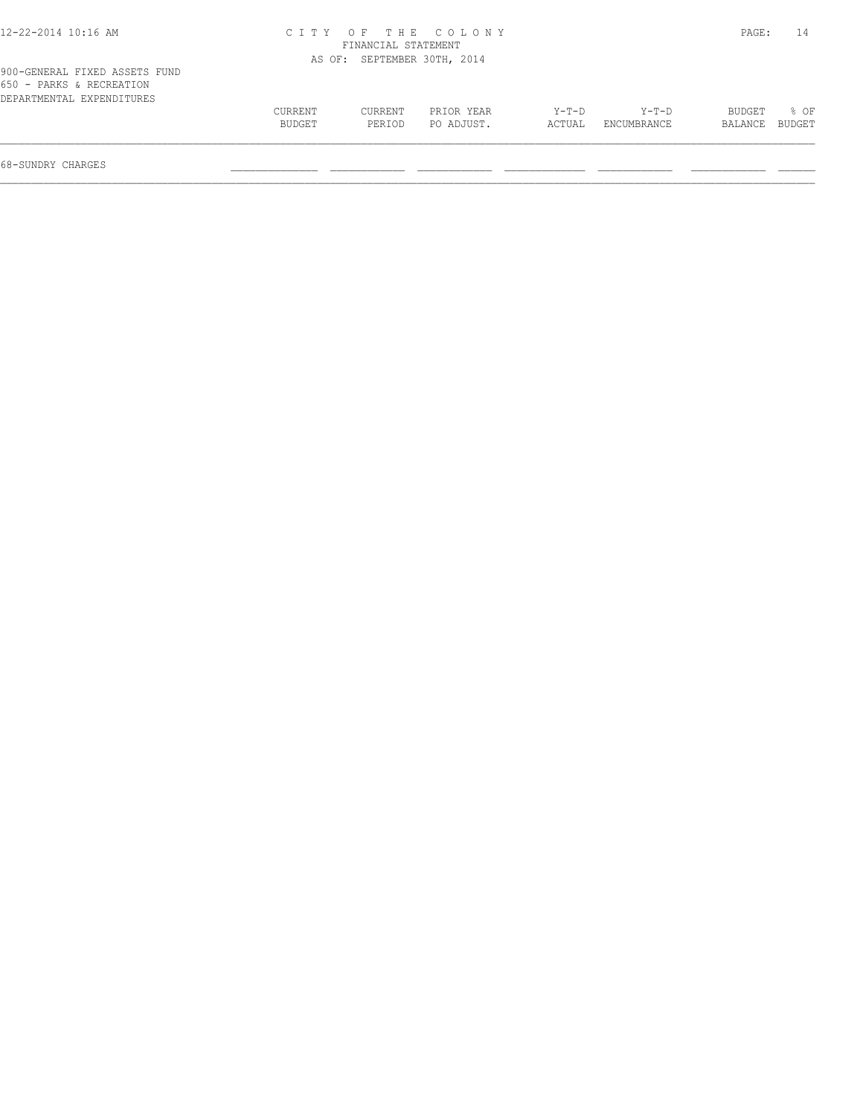| 12-22-2014 10:16 AM                                                                    |                   |                     | CITY OF THE COLONY          |                   |                        | PAGE:             | 14               |
|----------------------------------------------------------------------------------------|-------------------|---------------------|-----------------------------|-------------------|------------------------|-------------------|------------------|
|                                                                                        |                   | FINANCIAL STATEMENT |                             |                   |                        |                   |                  |
|                                                                                        |                   |                     | AS OF: SEPTEMBER 30TH, 2014 |                   |                        |                   |                  |
| 900-GENERAL FIXED ASSETS FUND<br>650 - PARKS & RECREATION<br>DEPARTMENTAL EXPENDITURES |                   |                     |                             |                   |                        |                   |                  |
|                                                                                        | CURRENT<br>BUDGET | CURRENT<br>PERIOD   | PRIOR YEAR<br>PO ADJUST.    | $Y-T-D$<br>ACTUAL | $Y-T-D$<br>ENCUMBRANCE | BUDGET<br>BALANCE | $8$ OF<br>BUDGET |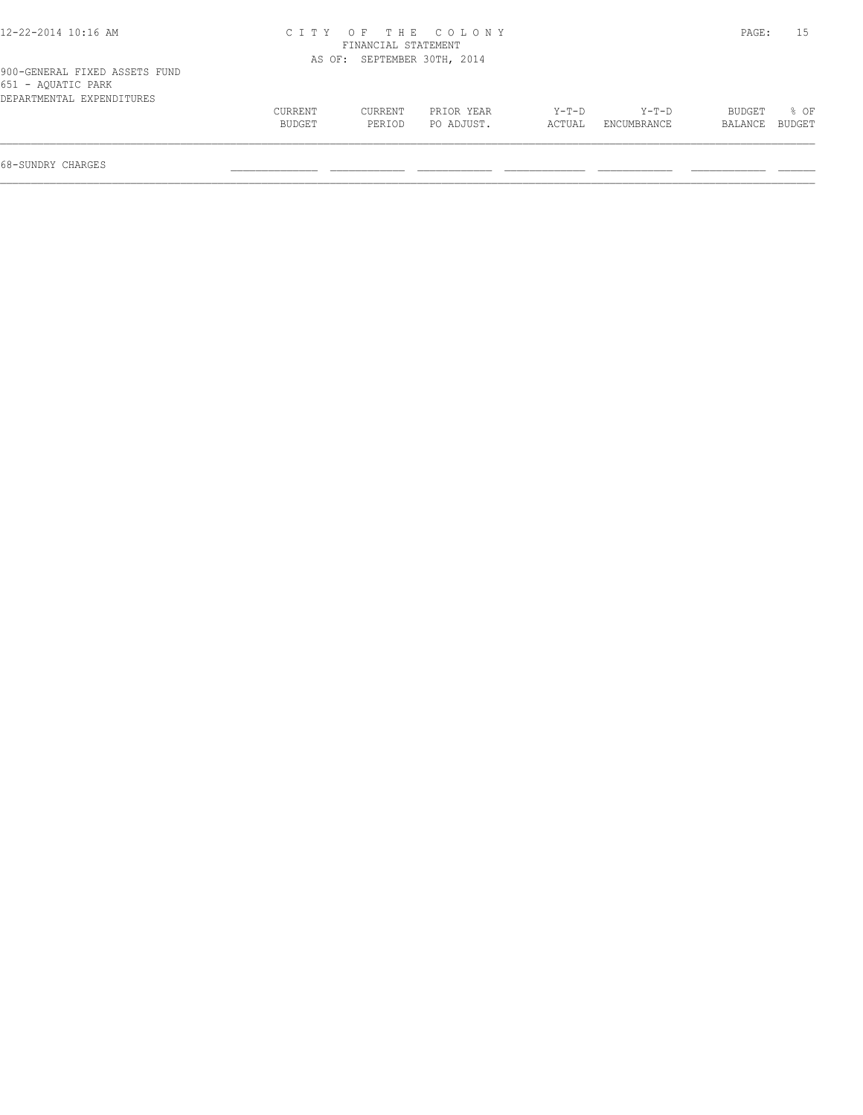| 12-22-2014 10:16 AM                                                              |         |                             | CITY OF THE COLONY |        |             | PAGE:          | 15   |
|----------------------------------------------------------------------------------|---------|-----------------------------|--------------------|--------|-------------|----------------|------|
|                                                                                  |         | FINANCIAL STATEMENT         |                    |        |             |                |      |
|                                                                                  |         | AS OF: SEPTEMBER 30TH, 2014 |                    |        |             |                |      |
| 900-GENERAL FIXED ASSETS FUND<br>651 - AQUATIC PARK<br>DEPARTMENTAL EXPENDITURES |         |                             |                    |        |             |                |      |
|                                                                                  | CURRENT | CURRENT                     | PRIOR YEAR         | Y-T-D  | Y-T-D       | BUDGET         | 8 OF |
|                                                                                  | BUDGET  | PERIOD                      | PO ADJUST.         | ACTUAL | ENCUMBRANCE | BALANCE BUDGET |      |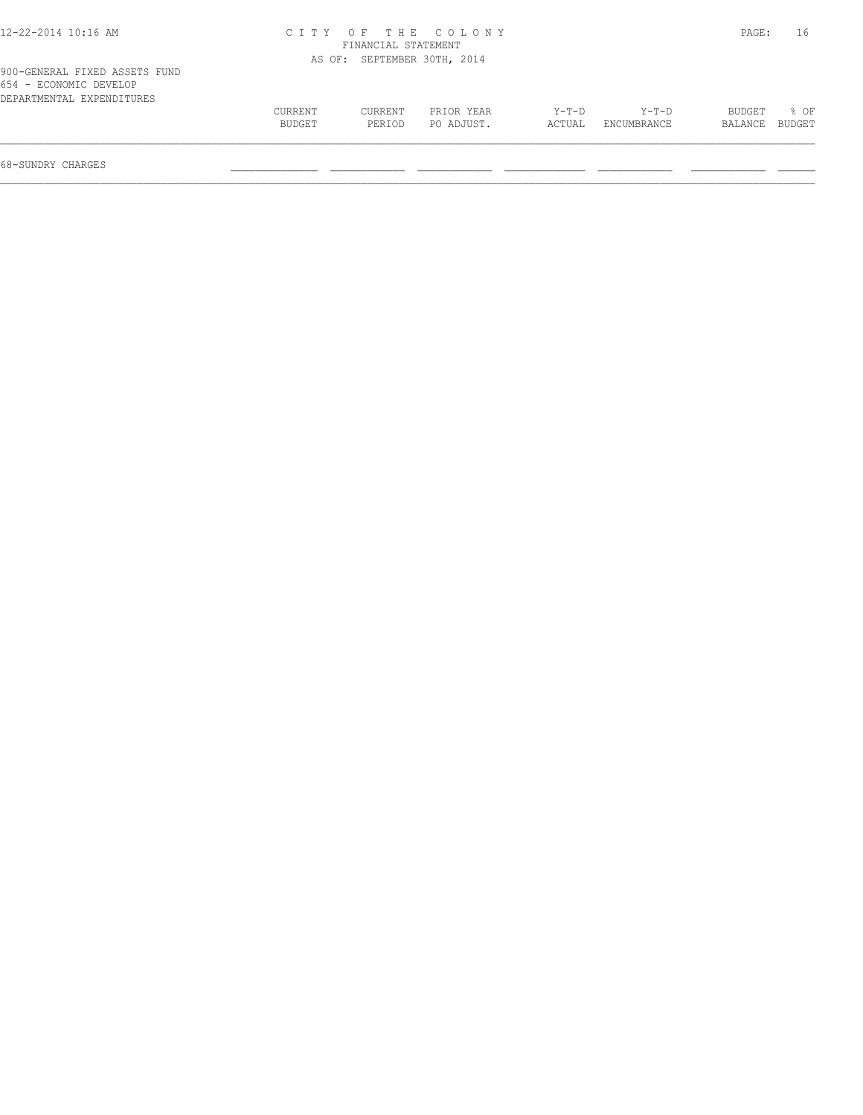| 12-22-2014 10:16 AM                                                                  |                   |                             | CITY OF THE COLONY       |                 |                      | PAGE:             | 16               |
|--------------------------------------------------------------------------------------|-------------------|-----------------------------|--------------------------|-----------------|----------------------|-------------------|------------------|
|                                                                                      |                   | FINANCIAL STATEMENT         |                          |                 |                      |                   |                  |
|                                                                                      |                   | AS OF: SEPTEMBER 30TH, 2014 |                          |                 |                      |                   |                  |
| 900-GENERAL FIXED ASSETS FUND<br>654 - ECONOMIC DEVELOP<br>DEPARTMENTAL EXPENDITURES |                   |                             |                          |                 |                      |                   |                  |
|                                                                                      | CURRENT<br>BUDGET | CURRENT<br>PERIOD           | PRIOR YEAR<br>PO ADJUST. | Y-T-D<br>ACTUAL | Y-T-D<br>ENCUMBRANCE | BUDGET<br>BALANCE | $8$ OF<br>BUDGET |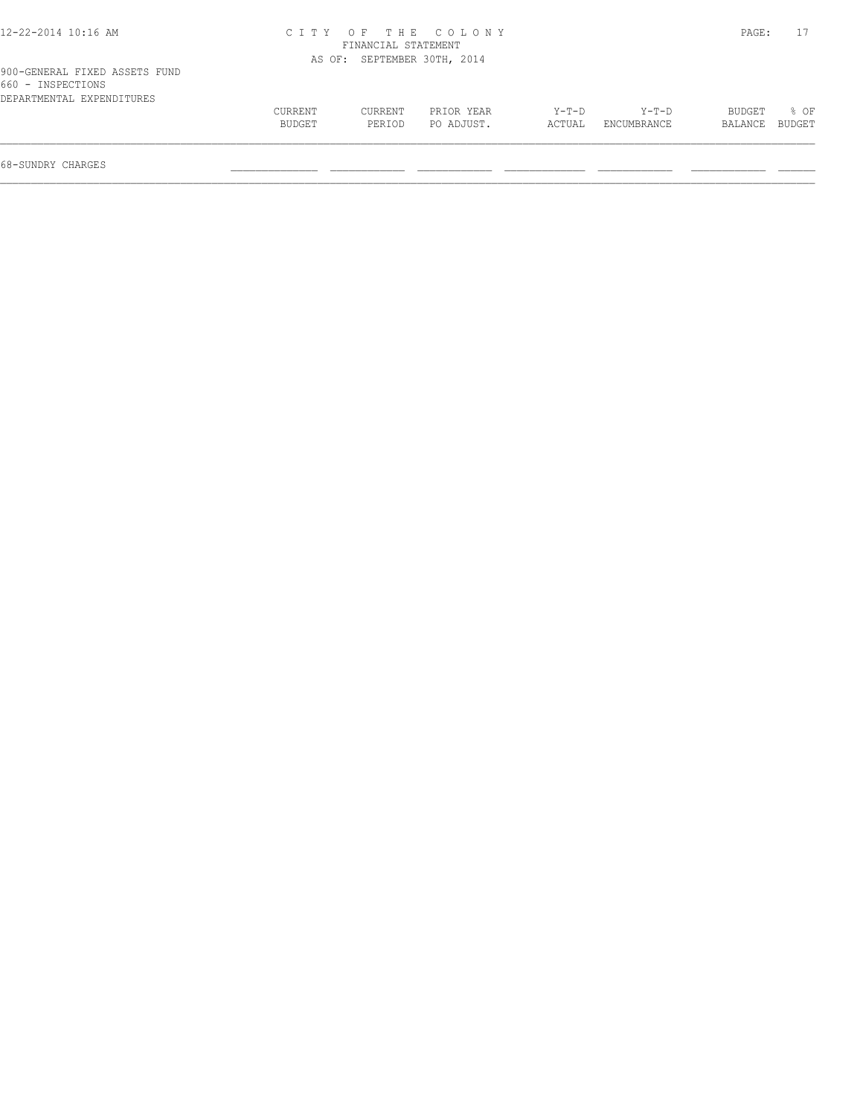| 12-22-2014 10:16 AM                                                             |                   | FINANCIAL STATEMENT         | CITY OF THE COLONY       |                 |                      | PAGE:                    |      |
|---------------------------------------------------------------------------------|-------------------|-----------------------------|--------------------------|-----------------|----------------------|--------------------------|------|
|                                                                                 |                   | AS OF: SEPTEMBER 30TH, 2014 |                          |                 |                      |                          |      |
| 900-GENERAL FIXED ASSETS FUND<br>660 - INSPECTIONS<br>DEPARTMENTAL EXPENDITURES |                   |                             |                          |                 |                      |                          |      |
|                                                                                 | CURRENT<br>BUDGET | CURRENT<br>PERIOD           | PRIOR YEAR<br>PO ADJUST. | Y-T-D<br>ACTUAL | Y-T-D<br>ENCUMBRANCE | BUDGET<br>BALANCE BUDGET | 8 OF |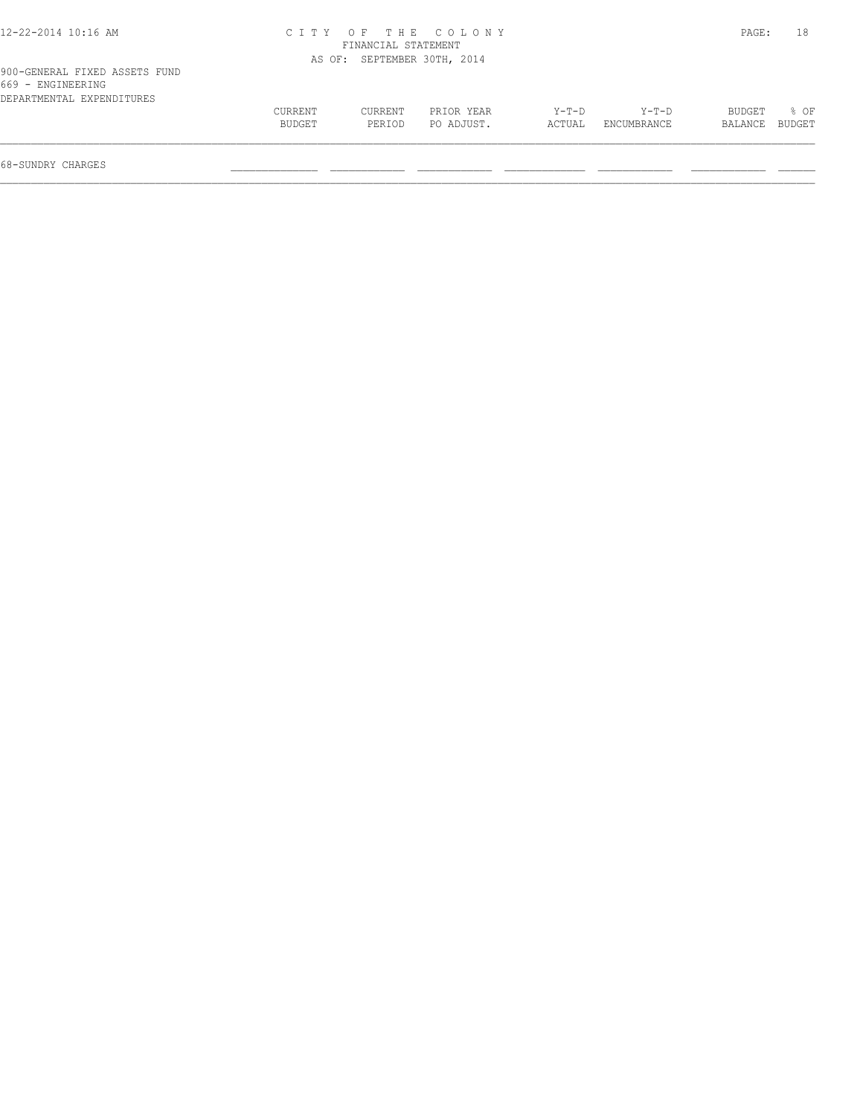| 12-22-2014 10:16 AM                                                             |                   | FINANCIAL STATEMENT         | CITY OF THE COLONY       |                 |                      | PAGE:                    | 18   |
|---------------------------------------------------------------------------------|-------------------|-----------------------------|--------------------------|-----------------|----------------------|--------------------------|------|
|                                                                                 |                   | AS OF: SEPTEMBER 30TH, 2014 |                          |                 |                      |                          |      |
| 900-GENERAL FIXED ASSETS FUND<br>669 - ENGINEERING<br>DEPARTMENTAL EXPENDITURES |                   |                             |                          |                 |                      |                          |      |
|                                                                                 | CURRENT<br>BUDGET | CURRENT<br>PERIOD           | PRIOR YEAR<br>PO ADJUST. | Y-T-D<br>ACTUAL | Y-T-D<br>ENCUMBRANCE | BUDGET<br>BALANCE BUDGET | 8 OF |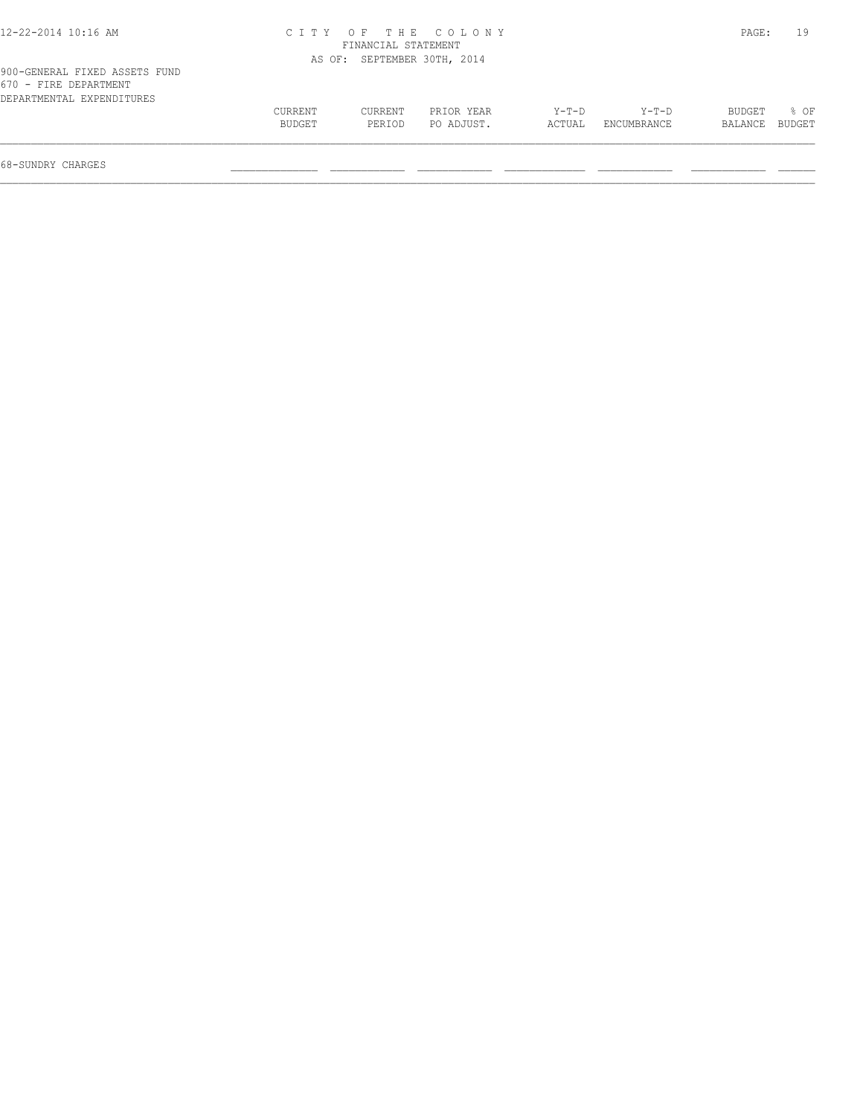| 12-22-2014 10:16 AM                                                                 |                   |                             | CITY OF THE COLONY       |                 |                      | PAGE:                    | 19   |
|-------------------------------------------------------------------------------------|-------------------|-----------------------------|--------------------------|-----------------|----------------------|--------------------------|------|
|                                                                                     |                   | FINANCIAL STATEMENT         |                          |                 |                      |                          |      |
|                                                                                     |                   | AS OF: SEPTEMBER 30TH, 2014 |                          |                 |                      |                          |      |
| 900-GENERAL FIXED ASSETS FUND<br>670 - FIRE DEPARTMENT<br>DEPARTMENTAL EXPENDITURES |                   |                             |                          |                 |                      |                          |      |
|                                                                                     | CURRENT<br>BUDGET | CURRENT<br>PERIOD           | PRIOR YEAR<br>PO ADJUST. | Y-T-D<br>ACTUAL | Y-T-D<br>ENCUMBRANCE | BUDGET<br>BALANCE BUDGET | 8 OF |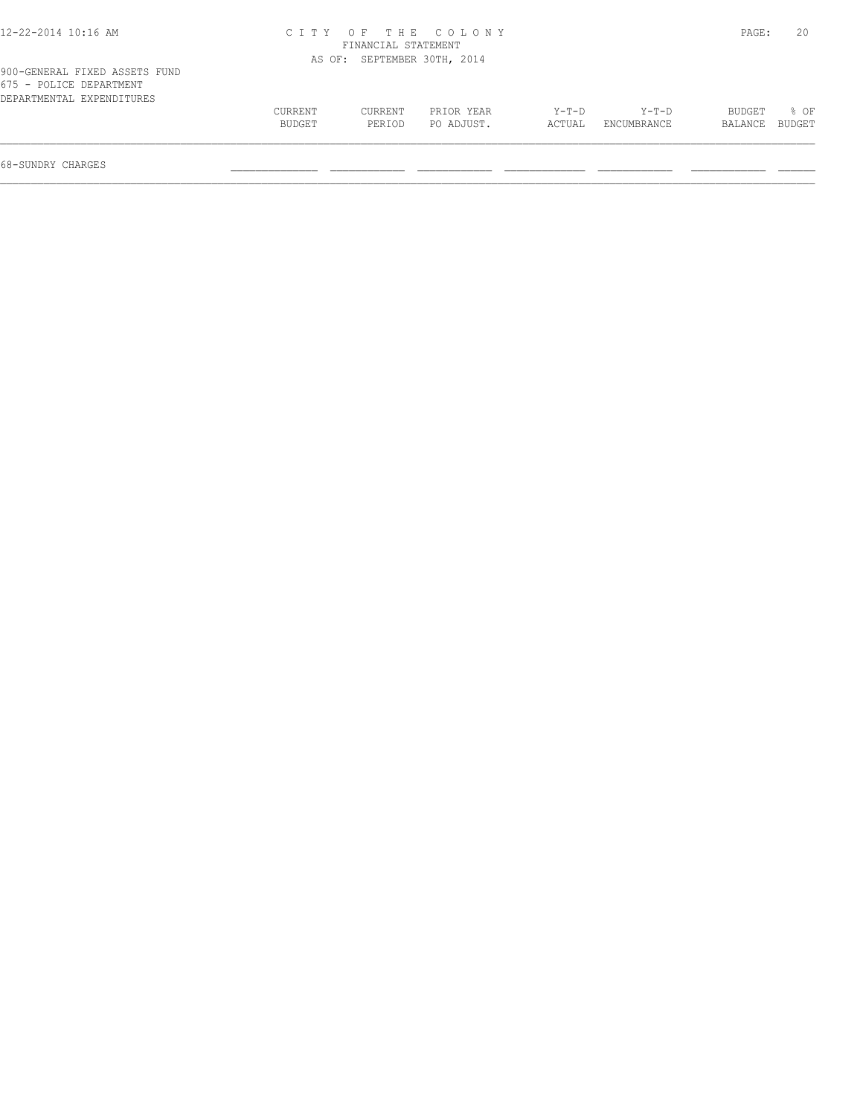| 12-22-2014 10:16 AM                                                                   |                   |                             | CITY OF THE COLONY       |                 |                        | PAGE:             | 20             |
|---------------------------------------------------------------------------------------|-------------------|-----------------------------|--------------------------|-----------------|------------------------|-------------------|----------------|
|                                                                                       |                   | FINANCIAL STATEMENT         |                          |                 |                        |                   |                |
|                                                                                       |                   | AS OF: SEPTEMBER 30TH, 2014 |                          |                 |                        |                   |                |
| 900-GENERAL FIXED ASSETS FUND<br>675 - POLICE DEPARTMENT<br>DEPARTMENTAL EXPENDITURES |                   |                             |                          |                 |                        |                   |                |
|                                                                                       | CURRENT<br>BUDGET | CURRENT<br>PERIOD           | PRIOR YEAR<br>PO ADJUST. | Y-T-D<br>ACTUAL | $Y-T-D$<br>ENCUMBRANCE | BUDGET<br>BALANCE | 8 OF<br>BUDGET |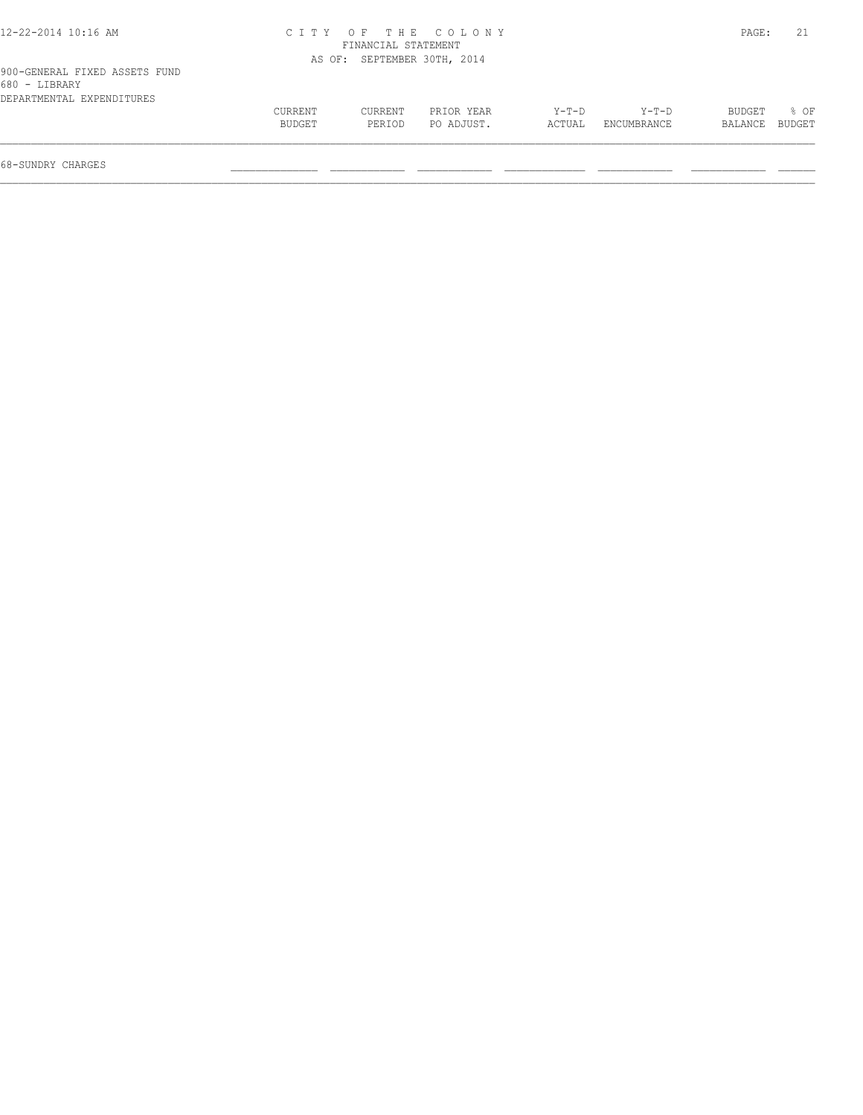| 12-22-2014 10:16 AM                                                         |                   |                     | CITY OF THE COLONY          |                 |                        | PAGE:             |                |
|-----------------------------------------------------------------------------|-------------------|---------------------|-----------------------------|-----------------|------------------------|-------------------|----------------|
|                                                                             |                   | FINANCIAL STATEMENT |                             |                 |                        |                   |                |
|                                                                             |                   |                     | AS OF: SEPTEMBER 30TH, 2014 |                 |                        |                   |                |
| 900-GENERAL FIXED ASSETS FUND<br>680 - LIBRARY<br>DEPARTMENTAL EXPENDITURES |                   |                     |                             |                 |                        |                   |                |
|                                                                             | CURRENT<br>BUDGET | CURRENT<br>PERIOD   | PRIOR YEAR<br>PO ADJUST.    | Y-T-D<br>ACTUAL | $Y-T-D$<br>ENCUMBRANCE | BUDGET<br>BALANCE | 8 OF<br>BUDGET |
|                                                                             |                   |                     |                             |                 |                        |                   |                |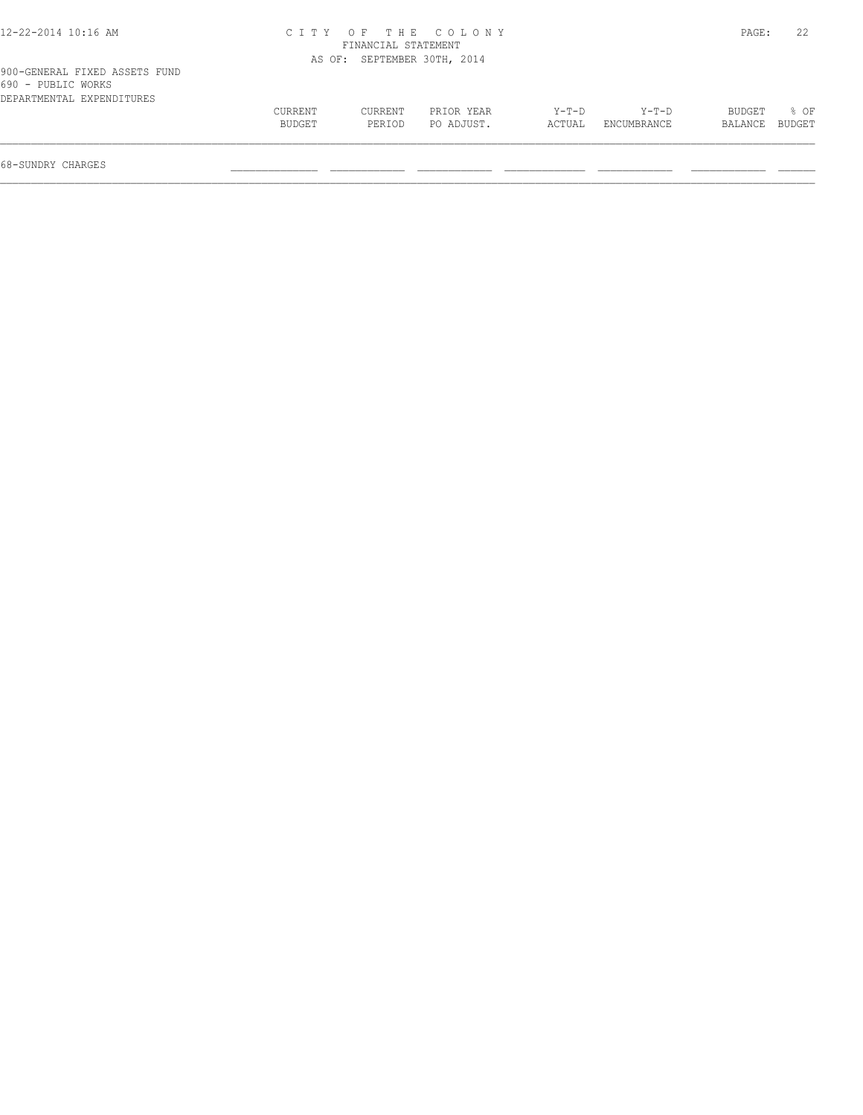| 12-22-2014 10:16 AM                                                              |                   |                             | CITY OF THE COLONY       |                 |                      | PAGE:                    | 22   |
|----------------------------------------------------------------------------------|-------------------|-----------------------------|--------------------------|-----------------|----------------------|--------------------------|------|
|                                                                                  |                   | FINANCIAL STATEMENT         |                          |                 |                      |                          |      |
|                                                                                  |                   | AS OF: SEPTEMBER 30TH, 2014 |                          |                 |                      |                          |      |
| 900-GENERAL FIXED ASSETS FUND<br>690 - PUBLIC WORKS<br>DEPARTMENTAL EXPENDITURES |                   |                             |                          |                 |                      |                          |      |
|                                                                                  | CURRENT<br>BUDGET | CURRENT<br>PERIOD           | PRIOR YEAR<br>PO ADJUST. | Y-T-D<br>ACTUAL | Y-T-D<br>ENCUMBRANCE | BUDGET<br>BALANCE BUDGET | 8 OF |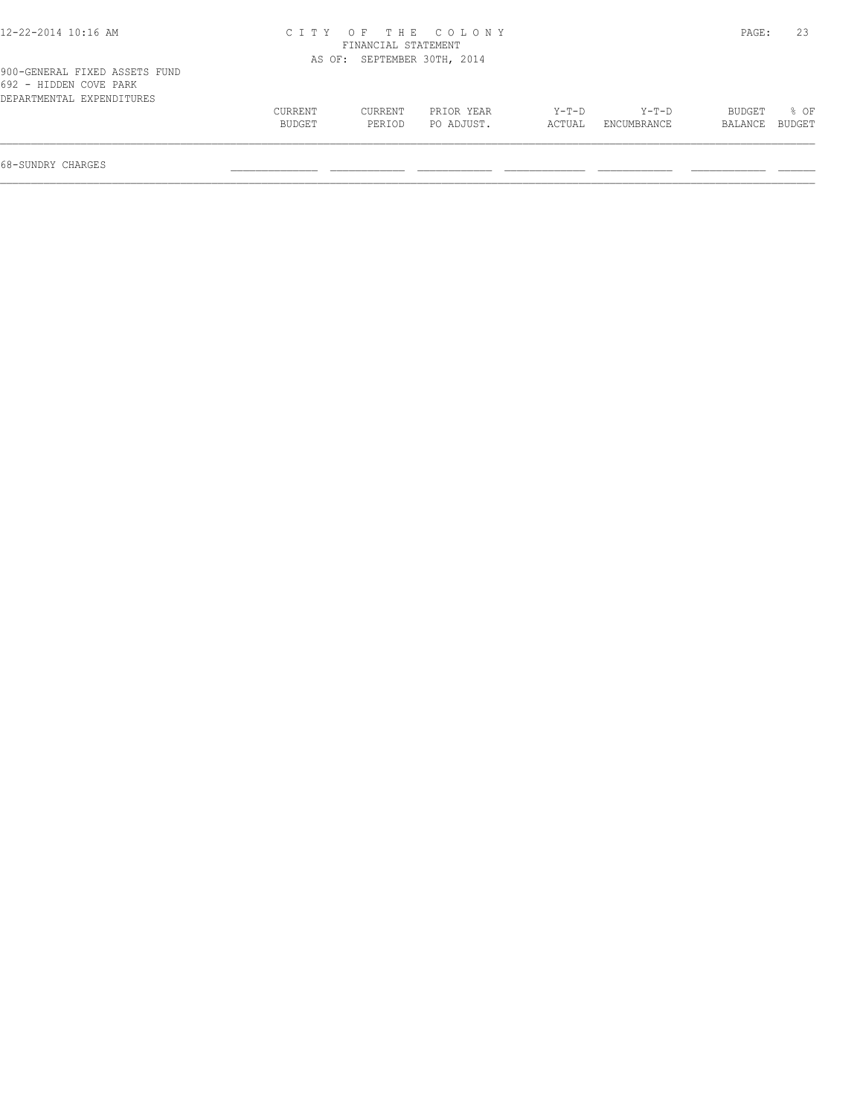| 12-22-2014 10:16 AM                                                                  |                   |                             | CITY OF THE COLONY       |                 |                      | PAGE:                    | 23   |
|--------------------------------------------------------------------------------------|-------------------|-----------------------------|--------------------------|-----------------|----------------------|--------------------------|------|
|                                                                                      |                   | FINANCIAL STATEMENT         |                          |                 |                      |                          |      |
|                                                                                      |                   | AS OF: SEPTEMBER 30TH, 2014 |                          |                 |                      |                          |      |
| 900-GENERAL FIXED ASSETS FUND<br>692 - HIDDEN COVE PARK<br>DEPARTMENTAL EXPENDITURES |                   |                             |                          |                 |                      |                          |      |
|                                                                                      | CURRENT<br>BUDGET | <b>CURRENT</b><br>PERIOD    | PRIOR YEAR<br>PO ADJUST. | Y-T-D<br>ACTUAL | Y-T-D<br>ENCUMBRANCE | BUDGET<br>BALANCE BUDGET | 8 OF |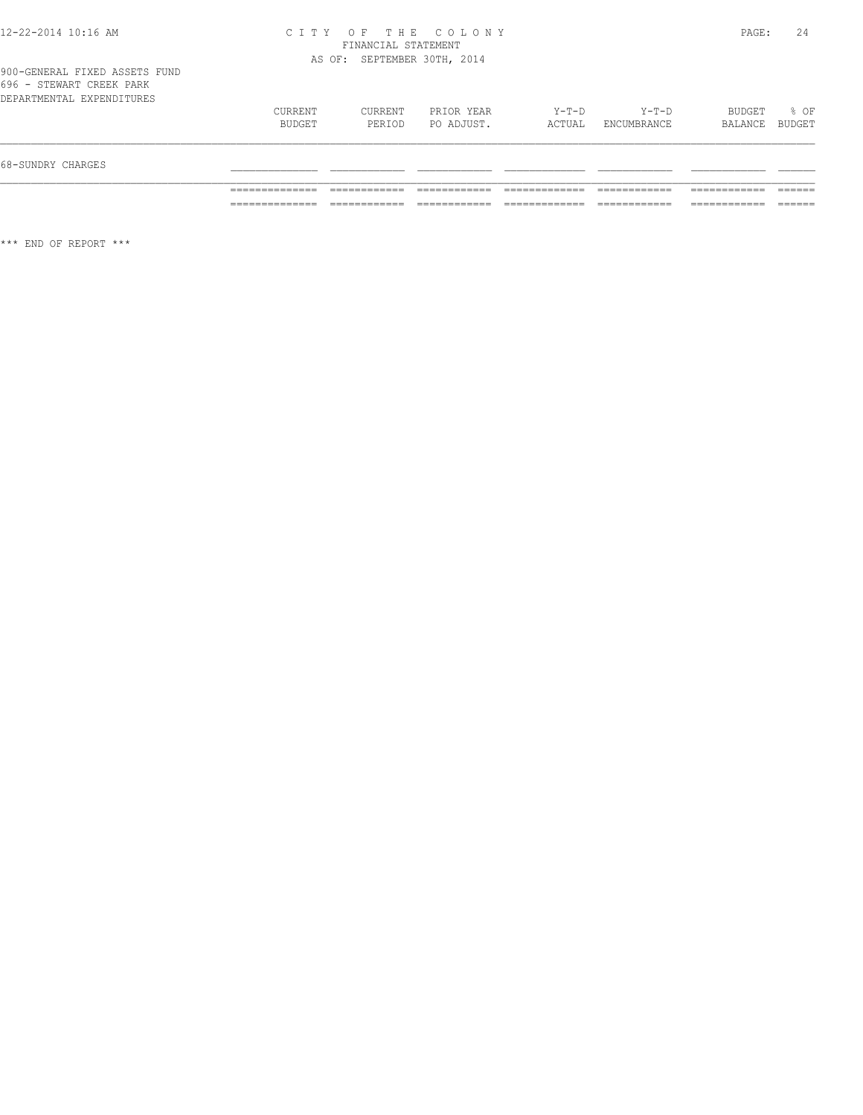#### 12-22-2014 10:16 AM C I T Y O F T H E C O L O N Y PAGE: 24 FINANCIAL STATEMENT AS OF: SEPTEMBER 30TH, 2014

| 68-SUNDRY CHARGES                                     |                   |                   |                          |                 |                      |                          |      |
|-------------------------------------------------------|-------------------|-------------------|--------------------------|-----------------|----------------------|--------------------------|------|
| 696 - STEWART CREEK PARK<br>DEPARTMENTAL EXPENDITURES | CURRENT<br>BUDGET | CURRENT<br>PERIOD | PRIOR YEAR<br>PO ADJUST. | Y-T-D<br>ACTUAL | Y-T-D<br>ENCUMBRANCE | BUDGET<br>BALANCE BUDGET | % OF |

\*\*\* END OF REPORT \*\*\*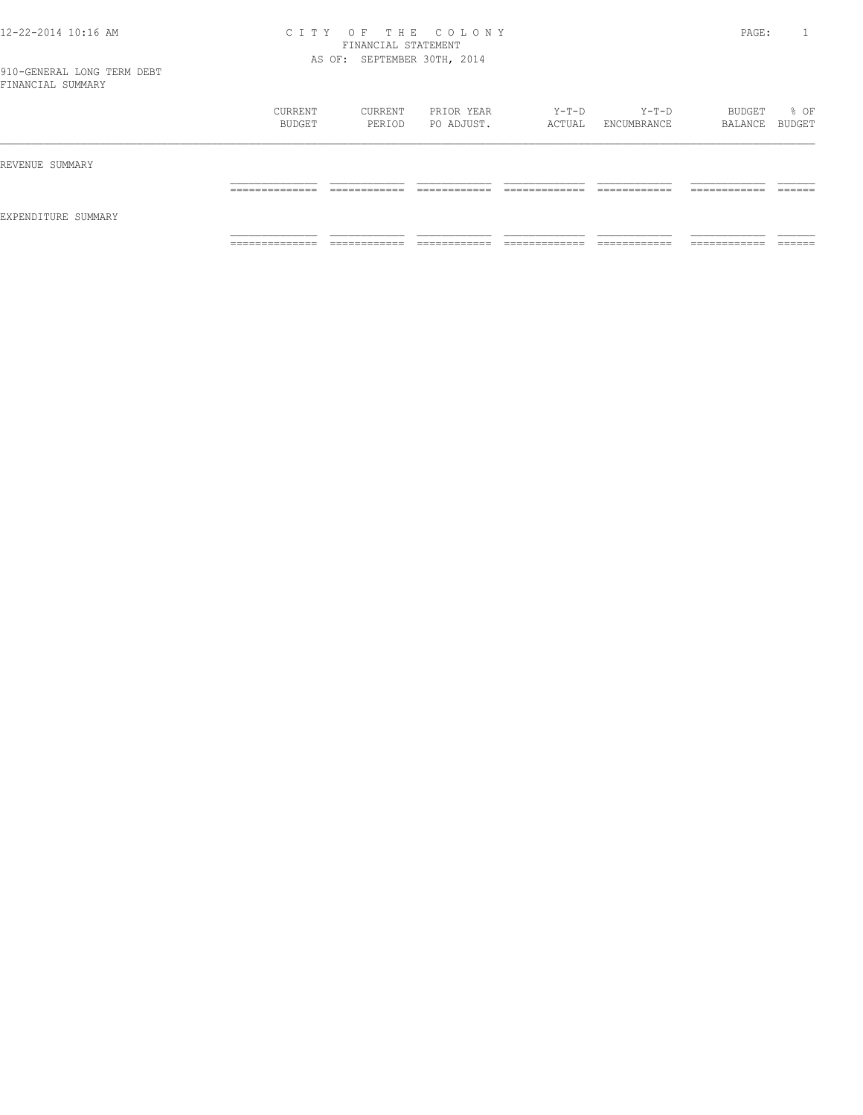#### 12-22-2014 10:16 AM C I T Y O F T H E C O L O N Y PAGE: 1 FINANCIAL STATEMENT AS OF: SEPTEMBER 30TH, 2014

|                     | CURRENT<br>BUDGET   | CURRENT<br>PERIOD            | PRIOR YEAR<br>PO ADJUST.     | Y-T-D<br>ACTUAL                | $Y-T-D$<br>ENCUMBRANCE       | BUDGET<br>BALANCE BUDGET      | % OF               |
|---------------------|---------------------|------------------------------|------------------------------|--------------------------------|------------------------------|-------------------------------|--------------------|
| REVENUE SUMMARY     |                     |                              |                              |                                |                              |                               |                    |
| EXPENDITURE SUMMARY | ______________<br>. | ------------<br>____________ | -------------                | ____________<br>_____________  | ------------<br>____________ | -------------<br>____________ | -------<br>_______ |
|                     | _____________<br>.  | ____________<br>____________ | ____________<br>____________ | _____________<br>_____________ | ____________<br>-----------  | -------------<br>____________ | _______            |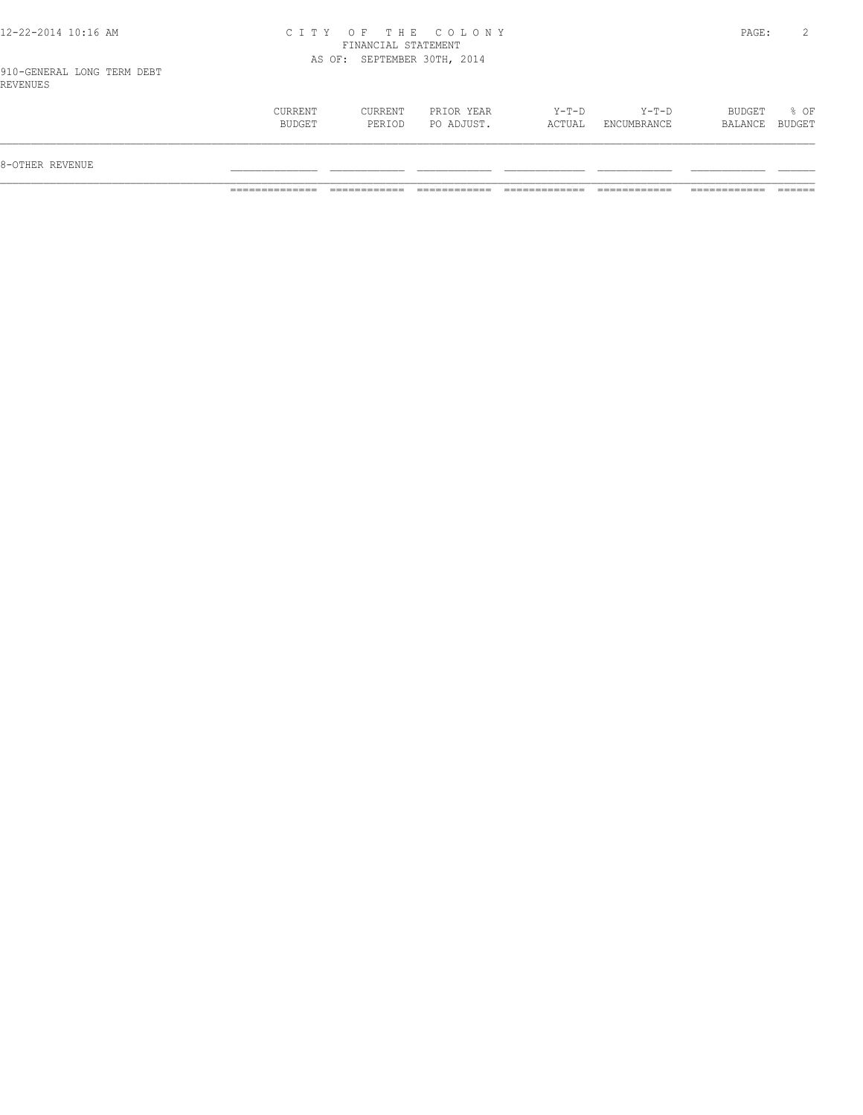| 12-22-2014 10:16 AM |  |  |  |  |  |  |
|---------------------|--|--|--|--|--|--|
|---------------------|--|--|--|--|--|--|

## 12-22-2014 10:16 AM C I T Y O F T H E C O L O N Y PAGE: 2 FINANCIAL STATEMENT AS OF: SEPTEMBER 30TH, 2014

910-GENERAL LONG TERM DEBT REVENUES

| 8-OTHER REVENUE |                          |                   |                          |                   |                        |                   |                |
|-----------------|--------------------------|-------------------|--------------------------|-------------------|------------------------|-------------------|----------------|
|                 | <b>CURRENT</b><br>BUDGET | CURRENT<br>PERIOD | PRIOR YEAR<br>PO ADJUST. | $Y-T-D$<br>ACTUAL | $Y-T-D$<br>ENCUMBRANCE | BUDGET<br>BALANCE | % OF<br>BUDGET |